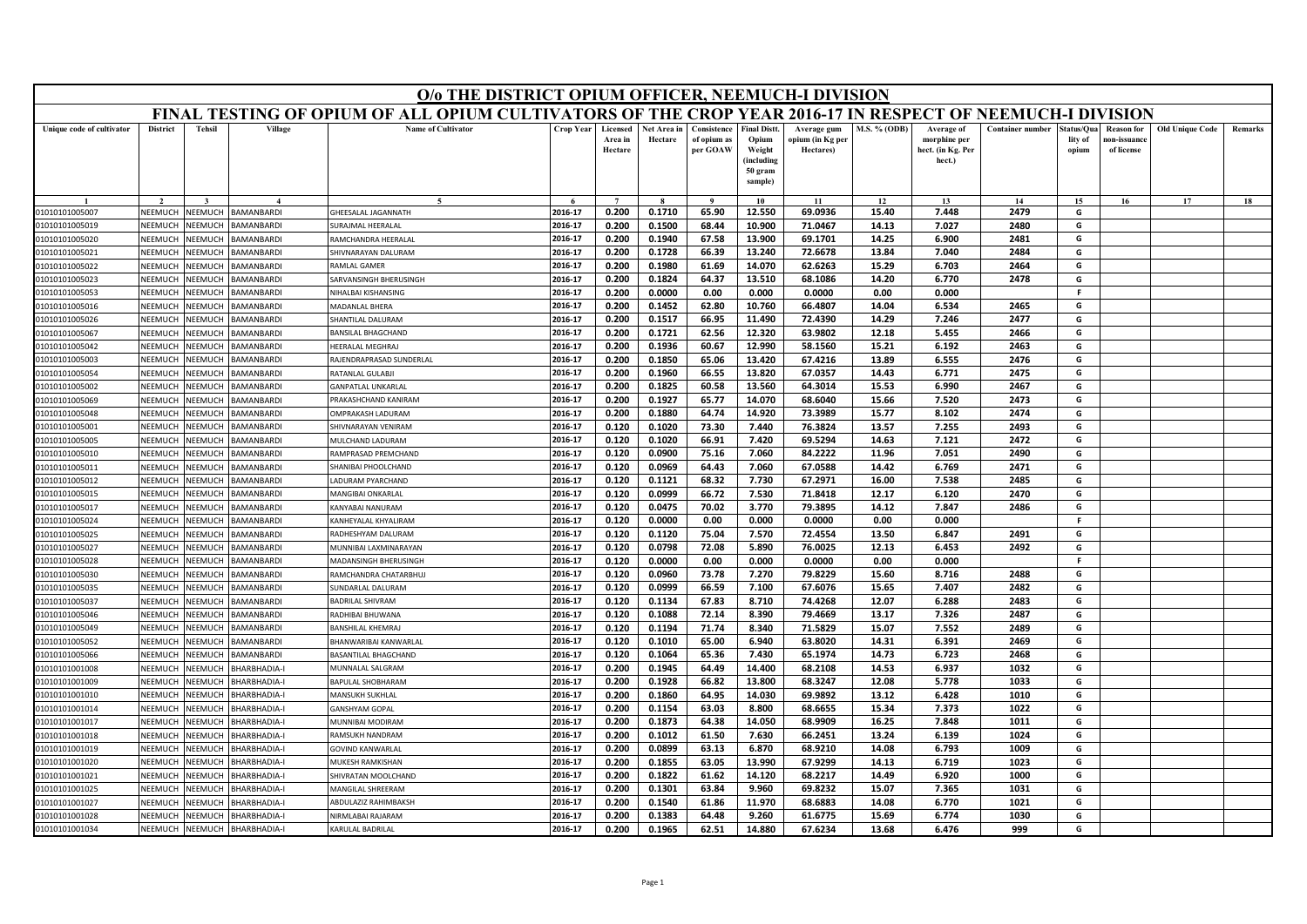| FINAL TESTING OF OPIUM OF ALL OPIUM CULTIVATORS OF THE CROP YEAR 2016-17 IN RESPECT OF NEEMUCH-I DIVISION<br><b>Tehsil</b><br>Village<br><b>Name of Cultivator</b><br>Crop Year<br><b>M.S. % (ODB)</b><br><b>Container number</b><br>Unique code of cultivator<br><b>District</b><br>Licensed<br>Net Area in<br>Consistence<br><b>Final Distt.</b><br>Average of<br>Average gum<br>Area in<br>Hectare<br>of opium as<br>Opium<br>opium (in Kg per<br>morphine per<br>per GOAW<br>Weight<br>Hectares)<br>hect. (in Kg. Per<br>Hectare<br>(including<br>hect.)<br>50 gram<br>sample) | tatus/Qua<br><b>Reason for</b><br>lity of<br>10n-issuanc<br>of license<br>opium<br>15<br>16<br>G | Old Unique Code<br>Remarks |
|------------------------------------------------------------------------------------------------------------------------------------------------------------------------------------------------------------------------------------------------------------------------------------------------------------------------------------------------------------------------------------------------------------------------------------------------------------------------------------------------------------------------------------------------------------------------------------|--------------------------------------------------------------------------------------------------|----------------------------|
|                                                                                                                                                                                                                                                                                                                                                                                                                                                                                                                                                                                    |                                                                                                  |                            |
|                                                                                                                                                                                                                                                                                                                                                                                                                                                                                                                                                                                    |                                                                                                  |                            |
| 13<br>14<br>10<br>11<br>12                                                                                                                                                                                                                                                                                                                                                                                                                                                                                                                                                         |                                                                                                  | 17<br>18                   |
| 2016-17<br>0.200<br>0.1710<br>65.90<br>12.550<br>69.0936<br>15.40<br>7.448<br>2479<br><b>BAMANBARDI</b><br>01010101005007<br>NEEMUCH<br>NEEMUCH<br>GHFFSALAL JAGANNATH                                                                                                                                                                                                                                                                                                                                                                                                             |                                                                                                  |                            |
| 2016-17<br>0.200<br>0.1500<br>68.44<br>10.900<br>71.0467<br>7.027<br>2480<br>01010101005019<br>NEEMUCH<br>NEEMUCH<br><b>BAMANBARDI</b><br>URAJMAL HEERALAL<br>14.13                                                                                                                                                                                                                                                                                                                                                                                                                | G                                                                                                |                            |
| NEEMUCH<br>BAMANBARDI<br>RAMCHANDRA HEERALAL<br>2016-17<br>0.200<br>0.1940<br>67.58<br>13.900<br>69.1701<br>14.25<br>6.900<br>2481<br>01010101005020<br>NEEMUCH                                                                                                                                                                                                                                                                                                                                                                                                                    | G                                                                                                |                            |
| NEEMUCH<br>NEEMUCH<br>SHIVNARAYAN DALURAM<br>2016-17<br>0.200<br>0.1728<br>66.39<br>13.240<br>72.6678<br>13.84<br>7.040<br>2484<br>01010101005021<br>BAMANBARDI                                                                                                                                                                                                                                                                                                                                                                                                                    | G                                                                                                |                            |
| 2016-17<br>0.200<br>0.1980<br>61.69<br>14.070<br>62.6263<br>15.29<br>2464<br>NEEMUCH<br>NEEMUCH<br>6.703<br>01010101005022<br>BAMANBARDI<br>RAMLAL GAMER                                                                                                                                                                                                                                                                                                                                                                                                                           | G                                                                                                |                            |
| 64.37<br>13.510<br>2478<br>2016-17<br>0.200<br>0.1824<br>68.1086<br>14.20<br>6.770<br>01010101005023<br>NEEMUCH<br>NEEMUCH<br>BAMANBARDI<br>SARVANSINGH BHERUSINGH                                                                                                                                                                                                                                                                                                                                                                                                                 | G                                                                                                |                            |
| 0.0000<br>0.00<br>0.0000<br>NEEMUCH<br>NEEMUCH<br><b>BAMANBARD</b><br>2016-17<br>0.200<br>0.000<br>0.00<br>0.000<br>01010101005053<br>NIHALBAI KISHANSING                                                                                                                                                                                                                                                                                                                                                                                                                          | F.                                                                                               |                            |
| 2016-17<br>0.1452<br>62.80<br>66.4807<br>14.04<br>6.534<br>2465<br>0.200<br>10.760<br>NEEMUCI<br>NEEMUCH<br><b>BAMANBARDI</b><br>01010101005016<br>MADANLAL BHERA                                                                                                                                                                                                                                                                                                                                                                                                                  | G                                                                                                |                            |
| 2016-17<br>72.4390<br>7.246<br>2477<br>0.200<br>0.1517<br>66.95<br>11.490<br>14.29<br>01010101005026<br>NEEMUCH<br>NEEMUCH<br>BAMANBARDI<br>SHANTILAL DALURAM                                                                                                                                                                                                                                                                                                                                                                                                                      | G                                                                                                |                            |
| 2016-17<br>0.200<br>0.1721<br>62.56<br>12.320<br>63.9802<br>12.18<br>5.455<br>2466<br>01010101005067<br>NEEMUCH<br>NEEMUCH<br><b>BAMANBARDI</b><br><b>BANSILAL BHAGCHAND</b>                                                                                                                                                                                                                                                                                                                                                                                                       | G                                                                                                |                            |
| 2016-17<br>0.200<br>0.1936<br>60.67<br>12.990<br>58.1560<br>15.21<br>6.192<br>2463<br>01010101005042<br>NEEMUCH<br>NEEMUCH<br><b>BAMANBARD</b><br>HEERALAL MEGHRAJ                                                                                                                                                                                                                                                                                                                                                                                                                 | G                                                                                                |                            |
| 2016-17<br>0.200<br>0.1850<br>65.06<br>13.420<br>67.4216<br>13.89<br>6.555<br>2476<br>01010101005003<br>NEEMUCI<br>VEEMUCH<br><b>BAMANBARDI</b><br>RAJENDRAPRASAD SUNDERLAL                                                                                                                                                                                                                                                                                                                                                                                                        | G                                                                                                |                            |
| BAMANBARDI<br>0.1960<br>66.55<br>13.820<br>67.0357<br>2475<br>01010101005054<br>NEEMUCH<br>NEEMUCH<br>RATANLAL GULABJI<br>2016-17<br>0.200<br>14.43<br>6.771                                                                                                                                                                                                                                                                                                                                                                                                                       | G                                                                                                |                            |
| 0.1825<br>13.560<br>2467<br>01010101005002<br>NEEMUCH<br>VEEMUCH<br><b>BAMANBARD</b><br>2016-17<br>0.200<br>60.58<br>64.3014<br>15.53<br>6.990<br><b>GANPATLAL UNKARLAL</b>                                                                                                                                                                                                                                                                                                                                                                                                        | G                                                                                                |                            |
| 2473<br>NEEMUC<br>VEEMUCH<br>2016-17<br>0.200<br>0.1927<br>65.77<br>14.070<br>68.6040<br>15.66<br>7.520<br>01010101005069<br><b>BAMANBARDI</b><br>PRAKASHCHAND KANIRAM                                                                                                                                                                                                                                                                                                                                                                                                             | G                                                                                                |                            |
| NEEMUCH<br>VEEMUCH<br><b>BAMANBARDI</b><br>2016-17<br>0.200<br>0.1880<br>64.74<br>14.920<br>73.3989<br>15.77<br>8.102<br>2474<br>01010101005048<br>OMPRAKASH LADURAM                                                                                                                                                                                                                                                                                                                                                                                                               | G                                                                                                |                            |
| NEEMUCH<br>NEEMUCH<br><b>BAMANBARDI</b><br>2016-17<br>0.120<br>0.1020<br>73.30<br>7.440<br>76.3824<br>13.57<br>7.255<br>2493<br>01010101005001<br>SHIVNARAYAN VENIRAM                                                                                                                                                                                                                                                                                                                                                                                                              | G                                                                                                |                            |
| 69.5294<br>2016-17<br>0.120<br>0.1020<br>66.91<br>7.420<br>14.63<br>7.121<br>2472<br>01010101005005<br>NEEMUC<br>VEEMUCI<br><b>BAMANBARDI</b><br>MULCHAND LADURAM                                                                                                                                                                                                                                                                                                                                                                                                                  | G                                                                                                |                            |
| 2016-17<br>0.120<br>0.0900<br>75.16<br>7.060<br>84.2222<br>11.96<br>7.051<br>2490<br>01010101005010<br>NEEMUCH<br>NEEMUCH<br><b>BAMANBARDI</b><br>RAMPRASAD PREMCHAND                                                                                                                                                                                                                                                                                                                                                                                                              | G                                                                                                |                            |
| SHANIBAI PHOOLCHAND<br>2016-17<br>0.120<br>0.0969<br>64.43<br>7.060<br>67.0588<br>14.42<br>6.769<br>2471<br>01010101005011<br>NEEMUCH<br>NEEMUCH<br>BAMANBARDI<br>0.120<br>0.1121<br>68.32<br>67.2971<br>16.00<br>7.538<br>2485                                                                                                                                                                                                                                                                                                                                                    | G                                                                                                |                            |
| 2016-17<br>7.730<br>NEEMUCI<br>VEEMUC<br>ADURAM PYARCHAND<br>01010101005012<br><b>BAMANBARDI</b>                                                                                                                                                                                                                                                                                                                                                                                                                                                                                   | G                                                                                                |                            |
| MANGIBAI ONKARLAL<br>2016-17<br>0.120<br>0.0999<br>66.72<br>7.530<br>71.8418<br>12.17<br>6.120<br>2470<br>01010101005015<br>NEEMUCH<br>VEEMUCH<br><b>BAMANBARDI</b><br>2016-17<br>79.3895<br>BAMANBARDI<br>KANYABAI NANURAM<br>0.120<br>0.0475<br>70.02<br>3.770<br>14.12<br>7.847<br>2486<br>NEEMUCH<br>VEEMUCH                                                                                                                                                                                                                                                                   | G<br>G                                                                                           |                            |
| 01010101005017<br>2016-17<br>0.120<br>0.0000<br>0.00<br>0.000<br>0.0000<br>0.00<br>0.000<br>01010101005024<br>NEEMUC<br>VEEMUCI<br><b>BAMANBARDI</b><br>KANHEYALAL KHYALIRAM                                                                                                                                                                                                                                                                                                                                                                                                       | F                                                                                                |                            |
| 2016-17<br>0.1120<br>75.04<br>72.4554<br>6.847<br>NEEMUCH<br>NEEMUCH<br><b>BAMANBARDI</b><br>0.120<br>7.570<br>13.50<br>2491                                                                                                                                                                                                                                                                                                                                                                                                                                                       | G                                                                                                |                            |
| 01010101005025<br>RADHESHYAM DALURAM<br>2016-17<br>0.120<br>0.0798<br>72.08<br>5.890<br>76.0025<br>6.453<br>2492<br>01010101005027<br>NEEMUCH<br>NEEMUCH<br><b>BAMANBARDI</b><br>MUNNIBAI LAXMINARAYAN<br>12.13                                                                                                                                                                                                                                                                                                                                                                    | G                                                                                                |                            |
| 2016-17<br>0.120<br>0.0000<br>0.00<br>0.000<br>0.0000<br>0.00<br>0.000<br>NEEMUCI<br>VEEMUCH                                                                                                                                                                                                                                                                                                                                                                                                                                                                                       | F.                                                                                               |                            |
| 01010101005028<br><b>BAMANBARDI</b><br>MADANSINGH BHERUSINGH<br>2016-17<br>0.120<br>0.0960<br>73.78<br>7.270<br>79.8229<br>15.60<br>8.716<br>2488<br>01010101005030<br>NEEMUCH<br>NEEMUCH<br>BAMANBARDI<br>RAMCHANDRA CHATARBHUJ                                                                                                                                                                                                                                                                                                                                                   | G                                                                                                |                            |
| 66.59<br>2482<br><b>BAMANBARDI</b><br>2016-17<br>0.120<br>0.0999<br>7.100<br>67.6076<br>15.65<br>7.407<br>01010101005035<br>NEEMUCH<br>NEEMUCH<br>SUNDARLAL DALURAM                                                                                                                                                                                                                                                                                                                                                                                                                | G                                                                                                |                            |
| NEEMUCH<br>2016-17<br>0.120<br>0.1134<br>67.83<br>8.710<br>74.4268<br>12.07<br>6.288<br>2483<br>01010101005037<br>VEEMUCH<br>BAMANBARDI<br><b>BADRILAL SHIVRAM</b>                                                                                                                                                                                                                                                                                                                                                                                                                 | G                                                                                                |                            |
| NEEMUCH<br>2016-17<br>0.1088<br>72.14<br>79.4669<br>01010101005046<br><b>NEEMUCH</b><br>BAMANBARDI<br>RADHIBAI BHUWANA<br>0.120<br>8.390<br>13.17<br>7.326<br>2487                                                                                                                                                                                                                                                                                                                                                                                                                 | G                                                                                                |                            |
| 01010101005049<br>NEEMUCH<br>NEEMUCH<br><b>BAMANBARD</b><br>2016-17<br>0.120<br>0.1194<br>71.74<br>8.340<br>71.5829<br>15.07<br>7.552<br>2489<br>BANSHILAL KHEMRAJ                                                                                                                                                                                                                                                                                                                                                                                                                 | G                                                                                                |                            |
| NEEMUCH<br>NEEMUCH<br>2016-17<br>0.120<br>0.1010<br>65.00<br>6.940<br>63.8020<br>14.31<br>6.391<br>2469<br>01010101005052<br>BAMANBARDI<br>BHANWARIBAI KANWARLAI                                                                                                                                                                                                                                                                                                                                                                                                                   | G                                                                                                |                            |
| NEEMUCH<br>2016-17<br>0.120<br>0.1064<br>65.36<br>7.430<br>65.1974<br>6.723<br>2468<br>01010101005066<br>NEEMUCH<br><b>BAMANBARD</b><br>BASANTILAL BHAGCHAND<br>14.73                                                                                                                                                                                                                                                                                                                                                                                                              | G                                                                                                |                            |
| 01010101001008<br>NEEMUCH<br>NEEMUCH<br>BHARBHADIA-I<br>MUNNALAL SALGRAM<br>2016-17<br>0.200<br>0.1945<br>64.49<br>14.400<br>68.2108<br>14.53<br>6.937<br>1032                                                                                                                                                                                                                                                                                                                                                                                                                     | G                                                                                                |                            |
| 01010101001009<br>NEEMUCH<br>NEEMUCH<br>BHARBHADIA-I<br>2016-17<br>0.200<br>0.1928<br>66.82<br>13.800<br>68.3247<br>12.08<br>5.778<br>1033<br><b>BAPULAL SHOBHARAM</b>                                                                                                                                                                                                                                                                                                                                                                                                             | G                                                                                                |                            |
| 2016-17<br>0.1860<br>64.95<br>69.9892<br>13.12<br>6.428<br>NEEMUCH<br>0.200<br>14.030<br>1010<br>01010101001010<br><b>NEEMUCH</b><br>BHARBHADIA-I<br>MANSUKH SUKHLAL                                                                                                                                                                                                                                                                                                                                                                                                               | G                                                                                                |                            |
| GANSHYAM GOPAL<br>2016-17<br>0.200<br>0.1154<br>63.03<br>8.800<br>68.6655<br>15.34<br>7.373<br>1022<br>01010101001014<br>VEEMUCH<br>VEEMUCH<br>BHARBHADIA-I                                                                                                                                                                                                                                                                                                                                                                                                                        | G                                                                                                |                            |
| 68.9909<br>7.848<br>2016-17<br>0.200<br>0.1873<br>64.38<br>14.050<br>16.25<br>1011<br>01010101001017<br>NEEMUCH<br>VEEMUCH<br><b>BHARBHADIA-I</b><br>MUNNIBAI MODIRAN                                                                                                                                                                                                                                                                                                                                                                                                              | G                                                                                                |                            |
| 66.2451<br>2016-17<br>0.200<br>0.1012<br>61.50<br>7.630<br>13.24<br>6.139<br>1024<br>NEEMUCH<br>RAMSUKH NANDRAM<br>01010101001018<br><b>NEEMUCH</b><br>BHARBHADIA-I                                                                                                                                                                                                                                                                                                                                                                                                                | G                                                                                                |                            |
| 2016-17<br>0.200<br>0.0899<br>63.13<br>6.870<br>68.9210<br>1009<br>VEEMUCI<br>VEEMUCH<br><b>BHARBHADIA-I</b><br><b>GOVIND KANWARLAL</b><br>14.08<br>6.793<br>01010101001019                                                                                                                                                                                                                                                                                                                                                                                                        | G                                                                                                |                            |
| 2016-17<br>0.1855<br>63.05<br>13.990<br>67.9299<br>14.13<br>6.719<br>1023<br>NFFMUCH<br>NFFMUCH<br>BHARBHADIA-I<br>0.200<br>01010101001020<br>MUKESH RAMKISHAN                                                                                                                                                                                                                                                                                                                                                                                                                     | G                                                                                                |                            |
| 2016-17<br>0.1822<br>61.62<br>14.120<br>68.2217<br>14.49<br>6.920<br>1000<br>0.200<br>01010101001021<br>NEEMUCH<br>VEEMUCH<br>BHARBHADIA-I<br><b>SHIVRATAN MOOLCHAND</b>                                                                                                                                                                                                                                                                                                                                                                                                           | G                                                                                                |                            |
| 0.200<br>0.1301<br>63.84<br>9.960<br>69.8232<br>7.365<br>1031<br>2016-17<br>15.07<br>01010101001025<br>NEEMUCI<br>VEEMUCH<br><b>BHARBHADIA-I</b><br><b>MANGILAL SHREERAM</b>                                                                                                                                                                                                                                                                                                                                                                                                       | G                                                                                                |                            |
| 2016-17<br>0.200<br>0.1540<br>61.86<br>11.970<br>68.6883<br>14.08<br>6.770<br>1021<br>01010101001027<br>NEEMUCH<br>VEEMUCH<br><b>HARBHADIA-I</b><br><b>ABDULAZIZ RAHIMBAKSH</b>                                                                                                                                                                                                                                                                                                                                                                                                    | G                                                                                                |                            |
| 2016-17<br>0.200<br>0.1383<br>64.48<br>9.260<br>61.6775<br>15.69<br>6.774<br>1030<br>NEEMUCH<br>NEEMUCH<br>BHARBHADIA-I<br>01010101001028<br>NIRMLABAI RAJARAM                                                                                                                                                                                                                                                                                                                                                                                                                     | G                                                                                                |                            |
| 0.200<br>0.1965<br>2016-17<br>62.51<br>14.880<br>67.6234<br>13.68<br>6.476<br>999<br>NEEMUCH<br>NEEMUCH<br>01010101001034<br>BHARBHADIA-I<br>KARULAL BADRILAL                                                                                                                                                                                                                                                                                                                                                                                                                      | G                                                                                                |                            |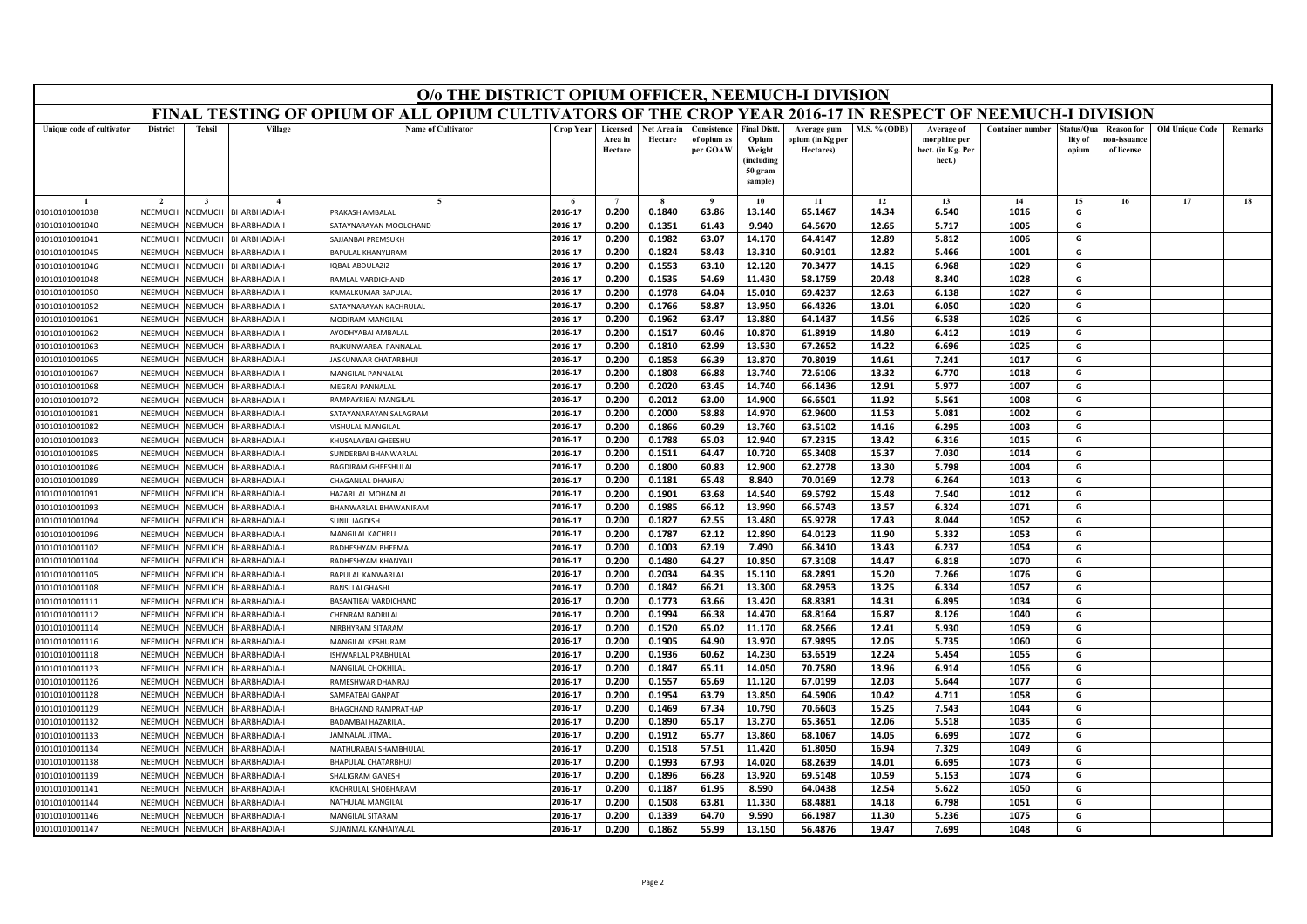|                                  | O/o THE DISTRICT OPIUM OFFICER, NEEMUCH-I DIVISION<br>FINAL TESTING OF OPIUM OF ALL OPIUM CULTIVATORS OF THE CROP YEAR 2016-17 IN RESPECT OF NEEMUCH-I DIVISION |                    |                                   |                                             |                    |                                |                        |                                        |                                                                            |                                              |                |                                                           |                         |                               |                                                |                 |         |
|----------------------------------|-----------------------------------------------------------------------------------------------------------------------------------------------------------------|--------------------|-----------------------------------|---------------------------------------------|--------------------|--------------------------------|------------------------|----------------------------------------|----------------------------------------------------------------------------|----------------------------------------------|----------------|-----------------------------------------------------------|-------------------------|-------------------------------|------------------------------------------------|-----------------|---------|
|                                  |                                                                                                                                                                 |                    |                                   |                                             |                    |                                |                        |                                        |                                                                            |                                              |                |                                                           |                         |                               |                                                |                 |         |
| Unique code of cultivator        | <b>District</b>                                                                                                                                                 | <b>Tehsil</b>      | Village                           | <b>Name of Cultivator</b>                   | Crop Year          | Licensed<br>Area in<br>Hectare | Net Area in<br>Hectare | Consistence<br>of opium as<br>per GOAW | <b>Final Distt.</b><br>Opium<br>Weight<br>(including<br>50 gram<br>sample) | Average gum<br>opium (in Kg per<br>Hectares) | M.S. % (ODB)   | Average of<br>morphine per<br>hect. (in Kg. Per<br>hect.) | <b>Container number</b> | tatus/Qua<br>lity of<br>opium | <b>Reason for</b><br>10n-issuanc<br>of license | Old Unique Code | Remarks |
|                                  |                                                                                                                                                                 |                    |                                   |                                             |                    |                                |                        |                                        | 10                                                                         | 11                                           | 12             | 13                                                        | 14                      | 15                            | 16                                             | 17              | 18      |
| 01010101001038                   | NEEMUCH                                                                                                                                                         | NEEMUCH            | <b>BHARBHADIA-I</b>               | PRAKASH AMRAI AI                            | 2016-17            | 0.200                          | 0.1840                 | 63.86                                  | 13.140                                                                     | 65.1467                                      | 14.34          | 6.540                                                     | 1016                    | G                             |                                                |                 |         |
| 01010101001040                   | NEEMUCH                                                                                                                                                         | NEEMUCH            | BHARBHADIA-I                      | SATAYNARAYAN MOOLCHAND                      | 2016-17            | 0.200                          | 0.1351                 | 61.43                                  | 9.940                                                                      | 64.5670                                      | 12.65          | 5.717                                                     | 1005                    | G                             |                                                |                 |         |
| 01010101001041                   | NEEMUCH                                                                                                                                                         | NEEMUCH            | BHARBHADIA-I                      | SAJJANBAI PREMSUKH                          | 2016-17            | 0.200                          | 0.1982                 | 63.07                                  | 14.170                                                                     | 64.4147                                      | 12.89          | 5.812                                                     | 1006                    | G                             |                                                |                 |         |
| 01010101001045                   | NEEMUCH                                                                                                                                                         | NEEMUCH            | BHARBHADIA-I                      | <b>BAPULAL KHANYLIRAM</b>                   | 2016-17            | 0.200                          | 0.1824                 | 58.43                                  | 13.310                                                                     | 60.9101                                      | 12.82          | 5.466                                                     | 1001                    | G                             |                                                |                 |         |
| 01010101001046                   | NEEMUCH                                                                                                                                                         | NEEMUCH            | BHARBHADIA-I                      | <b>IQBAL ABDULAZIZ</b>                      | 2016-17            | 0.200                          | 0.1553                 | 63.10                                  | 12.120                                                                     | 70.3477                                      | 14.15          | 6.968                                                     | 1029                    | G                             |                                                |                 |         |
| 01010101001048                   | NEEMUCH                                                                                                                                                         | NEEMUCH            | BHARBHADIA-I                      | RAMLAL VARDICHAND                           | 2016-17            | 0.200                          | 0.1535                 | 54.69                                  | 11.430                                                                     | 58.1759                                      | 20.48          | 8.340                                                     | 1028                    | G                             |                                                |                 |         |
| 01010101001050                   | NEEMUCH                                                                                                                                                         | NEEMUCH            | BHARBHADIA-I                      | KAMALKUMAR BAPULAI                          | 2016-17            | 0.200                          | 0.1978                 | 64.04                                  | 15.010                                                                     | 69.4237                                      | 12.63          | 6.138                                                     | 1027                    | G                             |                                                |                 |         |
| 01010101001052                   | NEEMUCI                                                                                                                                                         | NEEMUCH            | BHARBHADIA-I                      | SATAYNARAYAN KACHRULAL                      | 2016-17            | 0.200                          | 0.1766                 | 58.87                                  | 13.950                                                                     | 66.4326                                      | 13.01          | 6.050                                                     | 1020                    | G                             |                                                |                 |         |
| 01010101001061                   | NEEMUCH                                                                                                                                                         | NEEMUCH            | BHARBHADIA-I                      | MODIRAM MANGILAL                            | 2016-17            | 0.200                          | 0.1962                 | 63.47                                  | 13.880                                                                     | 64.1437                                      | 14.56          | 6.538                                                     | 1026                    | G                             |                                                |                 |         |
| 01010101001062                   | NEEMUCH                                                                                                                                                         | NEEMUCH            | BHARBHADIA-I                      | AYODHYABAI AMBALAI                          | 2016-17            | 0.200                          | 0.1517                 | 60.46                                  | 10.870                                                                     | 61.8919                                      | 14.80          | 6.412                                                     | 1019                    | G                             |                                                |                 |         |
| 01010101001063                   | NEEMUCH                                                                                                                                                         | NEEMUCH            | BHARBHADIA-I                      | RAJKUNWARBAI PANNALAL                       | 2016-17            | 0.200                          | 0.1810                 | 62.99                                  | 13.530                                                                     | 67.2652                                      | 14.22          | 6.696                                                     | 1025                    | G                             |                                                |                 |         |
| 01010101001065                   | NEEMUCH                                                                                                                                                         | VEEMUCH            | <b>HARBHADIA-I</b>                | ASKUNWAR CHATARBHUJ                         | 2016-17            | 0.200                          | 0.1858                 | 66.39                                  | 13.870                                                                     | 70.8019                                      | 14.61          | 7.241                                                     | 1017                    | G                             |                                                |                 |         |
| 01010101001067                   | NEEMUCH                                                                                                                                                         | VEEMUCH            | BHARBHADIA-I                      | <b>MANGILAL PANNALAI</b>                    | 2016-17            | 0.200                          | 0.1808                 | 66.88                                  | 13.740                                                                     | 72.6106                                      | 13.32          | 6.770                                                     | 1018                    | G                             |                                                |                 |         |
| 01010101001068                   | NEEMUCH                                                                                                                                                         | VEEMUCH            | BHARBHADIA-I                      | MEGRAJ PANNALAL                             | 2016-17            | 0.200                          | 0.2020                 | 63.45                                  | 14.740                                                                     | 66.1436                                      | 12.91          | 5.977                                                     | 1007                    | G                             |                                                |                 |         |
| 01010101001072                   | NEEMUCI                                                                                                                                                         | VEEMUCH            | <b>BHARBHADIA-I</b>               | RAMPAYRIBAI MANGILAL                        | 2016-17            | 0.200                          | 0.2012                 | 63.00                                  | 14.900                                                                     | 66.6501                                      | 11.92          | 5.561                                                     | 1008                    | G                             |                                                |                 |         |
| 01010101001081<br>01010101001082 | NEEMUCH<br>NEEMUCH                                                                                                                                              | VEEMUCH<br>NEEMUCH | BHARBHADIA-I<br>BHARBHADIA-I      | SATAYANARAYAN SALAGRAM                      | 2016-17            | 0.200                          | 0.2000                 | 58.88                                  | 14.970                                                                     | 62.9600                                      | 11.53          | 5.081                                                     | 1002                    | G<br>G                        |                                                |                 |         |
|                                  | NEEMUC                                                                                                                                                          |                    |                                   | <b>VISHULAL MANGILAL</b>                    | 2016-17<br>2016-17 | 0.200<br>0.200                 | 0.1866                 | 60.29<br>65.03                         | 13.760<br>12.940                                                           | 63.5102                                      | 14.16<br>13.42 | 6.295<br>6.316                                            | 1003<br>1015            | G                             |                                                |                 |         |
| 01010101001083                   |                                                                                                                                                                 | VEEMUCI            | <b>BHARBHADIA-I</b>               | KHUSALAYBAI GHEESHU                         |                    |                                | 0.1788                 |                                        |                                                                            | 67.2315                                      |                |                                                           |                         |                               |                                                |                 |         |
| 01010101001085                   | NEEMUCH                                                                                                                                                         | NEEMUCH            | BHARBHADIA-I                      | SUNDERBAI BHANWARLAL<br>BAGDIRAM GHEESHULAL | 2016-17<br>2016-17 | 0.200                          | 0.1511                 | 64.47                                  | 10.720                                                                     | 65.3408                                      | 15.37<br>13.30 | 7.030<br>5.798                                            | 1014<br>1004            | G<br>G                        |                                                |                 |         |
| 01010101001086                   | NEEMUCH                                                                                                                                                         | NEEMUCH            | BHARBHADIA-I                      |                                             | 2016-17            | 0.200<br>0.200                 | 0.1800<br>0.1181       | 60.83<br>65.48                         | 12.900<br>8.840                                                            | 62.2778<br>70.0169                           | 12.78          | 6.264                                                     | 1013                    | G                             |                                                |                 |         |
| 01010101001089<br>01010101001091 | NEEMUCI<br>NEEMUCH                                                                                                                                              | VEEMUCI<br>VEEMUCH | HARBHADIA-I<br><b>HARBHADIA-I</b> | CHAGANLAL DHANRAJ<br>HAZARILAL MOHANLAI     | 2016-17            | 0.200                          | 0.1901                 | 63.68                                  | 14.540                                                                     | 69.5792                                      | 15.48          | 7.540                                                     | 1012                    | G                             |                                                |                 |         |
| 01010101001093                   | VEEMUCH                                                                                                                                                         | VEEMUCH            | BHARBHADIA-I                      | BHANWARLAL BHAWANIRAM                       | 2016-17            | 0.200                          | 0.1985                 | 66.12                                  | 13.990                                                                     | 66.5743                                      | 13.57          | 6.324                                                     | 1071                    | G                             |                                                |                 |         |
| 01010101001094                   | NEEMUCI                                                                                                                                                         | VEEMUCH            | <b>BHARBHADIA-I</b>               | <b>SUNIL JAGDISH</b>                        | 2016-17            | 0.200                          | 0.1827                 | 62.55                                  | 13.480                                                                     | 65.9278                                      | 17.43          | 8.044                                                     | 1052                    | G                             |                                                |                 |         |
| 01010101001096                   | NEEMUCH                                                                                                                                                         | NEEMUCH            | BHARBHADIA-I                      | MANGILAL KACHRU                             | 2016-17            | 0.200                          | 0.1787                 | 62.12                                  | 12.890                                                                     | 64.0123                                      | 11.90          | 5.332                                                     | 1053                    | G                             |                                                |                 |         |
| 01010101001102                   | NEEMUCH                                                                                                                                                         | NEEMUCH            | BHARBHADIA-I                      | RADHESHYAM BHEEMA                           | 2016-17            | 0.200                          | 0.1003                 | 62.19                                  | 7.490                                                                      | 66.3410                                      | 13.43          | 6.237                                                     | 1054                    | G                             |                                                |                 |         |
| 01010101001104                   | NEEMUCI                                                                                                                                                         | VEEMUCH            | BHARBHADIA-I                      | RADHESHYAM KHANYALI                         | 2016-17            | 0.200                          | 0.1480                 | 64.27                                  | 10.850                                                                     | 67.3108                                      | 14.47          | 6.818                                                     | 1070                    | G                             |                                                |                 |         |
| 01010101001105                   | NEEMUCH                                                                                                                                                         | NEEMUCH            | BHARBHADIA-I                      | BAPULAL KANWARLAL                           | 2016-17            | 0.200                          | 0.2034                 | 64.35                                  | 15.110                                                                     | 68.2891                                      | 15.20          | 7.266                                                     | 1076                    | G                             |                                                |                 |         |
| 01010101001108                   | NEEMUCH                                                                                                                                                         | NEEMUCH            | BHARBHADIA-I                      | <b>BANSI LALGHASHI</b>                      | 2016-17            | 0.200                          | 0.1842                 | 66.21                                  | 13.300                                                                     | 68.2953                                      | 13.25          | 6.334                                                     | 1057                    | G                             |                                                |                 |         |
| 01010101001111                   | NEEMUCH                                                                                                                                                         | VEEMUCH            | BHARBHADIA-I                      | BASANTIBAI VARDICHAND                       | 2016-17            | 0.200                          | 0.1773                 | 63.66                                  | 13.420                                                                     | 68.8381                                      | 14.31          | 6.895                                                     | 1034                    | G                             |                                                |                 |         |
| 01010101001112                   | NEEMUCH                                                                                                                                                         | <b>NEEMUCH</b>     | BHARBHADIA-I                      | <b>HENRAM BADRILAL</b>                      | 2016-17            | 0.200                          | 0.1994                 | 66.38                                  | 14.470                                                                     | 68.8164                                      | 16.87          | 8.126                                                     | 1040                    | G                             |                                                |                 |         |
| 01010101001114                   | NEEMUCH                                                                                                                                                         | NEEMUCH            | BHARBHADIA-I                      | <b>NIRBHYRAM SITARAM</b>                    | 2016-17            | 0.200                          | 0.1520                 | 65.02                                  | 11.170                                                                     | 68.2566                                      | 12.41          | 5.930                                                     | 1059                    | G                             |                                                |                 |         |
| 01010101001116                   | NEEMUCH                                                                                                                                                         | NEEMUCH            | BHARBHADIA-I                      | MANGILAL KESHURAM                           | 2016-17            | 0.200                          | 0.1905                 | 64.90                                  | 13.970                                                                     | 67.9895                                      | 12.05          | 5.735                                                     | 1060                    | G                             |                                                |                 |         |
| 01010101001118                   | NEEMUCH                                                                                                                                                         | NEEMUCH            | BHARBHADIA-I                      | SHWARLAL PRABHULAL                          | 2016-17            | 0.200                          | 0.1936                 | 60.62                                  | 14.230                                                                     | 63.6519                                      | 12.24          | 5.454                                                     | 1055                    | G                             |                                                |                 |         |
| 01010101001123                   | NEEMUCH                                                                                                                                                         | NEEMUCH            | BHARBHADIA-I                      | MANGILAL CHOKHILAL                          | 2016-17            | 0.200                          | 0.1847                 | 65.11                                  | 14.050                                                                     | 70.7580                                      | 13.96          | 6.914                                                     | 1056                    | G                             |                                                |                 |         |
| 01010101001126                   | NEEMUCH                                                                                                                                                         | NEEMUCH            | BHARBHADIA-I                      | RAMESHWAR DHANRAJ                           | 2016-17            | 0.200                          | 0.1557                 | 65.69                                  | 11.120                                                                     | 67.0199                                      | 12.03          | 5.644                                                     | 1077                    | G                             |                                                |                 |         |
| 01010101001128                   | NEEMUCH                                                                                                                                                         | <b>NEEMUCH</b>     | BHARBHADIA-I                      | SAMPATRAI GANPAT                            | 2016-17            | 0.200                          | 0.1954                 | 63.79                                  | 13.850                                                                     | 64.5906                                      | 10.42          | 4.711                                                     | 1058                    | G                             |                                                |                 |         |
| 01010101001129                   | VEEMUCH                                                                                                                                                         | VEEMUCH            | <b>HARBHADIA-I</b>                | <b>BHAGCHAND RAMPRATHAP</b>                 | 2016-17            | 0.200                          | 0.1469                 | 67.34                                  | 10.790                                                                     | 70.6603                                      | 15.25          | 7.543                                                     | 1044                    | G                             |                                                |                 |         |
| 01010101001132                   | NEEMUCH                                                                                                                                                         | VEEMUCH            | <b>BHARBHADIA-I</b>               | BADAMBAI HAZARILAL                          | 2016-17            | 0.200                          | 0.1890                 | 65.17                                  | 13.270                                                                     | 65.3651                                      | 12.06          | 5.518                                                     | 1035                    | G                             |                                                |                 |         |
| 01010101001133                   | NEEMUCH                                                                                                                                                         | <b>NEEMUCH</b>     | BHARBHADIA-I                      | <b>AMNALAL JITMAL</b>                       | 2016-17            | 0.200                          | 0.1912                 | 65.77                                  | 13.860                                                                     | 68.1067                                      | 14.05          | 6.699                                                     | 1072                    | G                             |                                                |                 |         |
| 01010101001134                   | VEEMUCI                                                                                                                                                         | VEEMUCH            | <b>BHARBHADIA-I</b>               | MATHURABAI SHAMBHULAL                       | 2016-17            | 0.200                          | 0.1518                 | 57.51                                  | 11.420                                                                     | 61.8050                                      | 16.94          | 7.329                                                     | 1049                    | G                             |                                                |                 |         |
| 01010101001138                   | <b>NFFMUCH</b>                                                                                                                                                  | NFFMUCH            | BHARBHADIA-I                      | BHAPULAL CHATARBHUJ                         | 2016-17            | 0.200                          | 0.1993                 | 67.93                                  | 14.020                                                                     | 68.2639                                      | 14.01          | 6.695                                                     | 1073                    | G                             |                                                |                 |         |
| 01010101001139                   | NEEMUCH                                                                                                                                                         | VEEMUCH            | BHARBHADIA-I                      | SHALIGRAM GANESH                            | 2016-17            | 0.200                          | 0.1896                 | 66.28                                  | 13.920                                                                     | 69.5148                                      | 10.59          | 5.153                                                     | 1074                    | G                             |                                                |                 |         |
| 01010101001141                   | NEEMUCI                                                                                                                                                         | VEEMUCH            | <b>BHARBHADIA-I</b>               | ACHRULAL SHOBHARAM                          | 2016-17            | 0.200                          | 0.1187                 | 61.95                                  | 8.590                                                                      | 64.0438                                      | 12.54          | 5.622                                                     | 1050                    | G                             |                                                |                 |         |
| 01010101001144                   | NEEMUCH                                                                                                                                                         | VEEMUCH            | <b>HARBHADIA-I</b>                | NATHULAL MANGILAI                           | 2016-17            | 0.200                          | 0.1508                 | 63.81                                  | 11.330                                                                     | 68.4881                                      | 14.18          | 6.798                                                     | 1051                    | G                             |                                                |                 |         |
| 01010101001146                   | NEEMUCH                                                                                                                                                         | NEEMUCH            | BHARBHADIA-I                      | MANGILAL SITARAM                            | 2016-17            | 0.200                          | 0.1339                 | 64.70                                  | 9.590                                                                      | 66.1987                                      | 11.30          | 5.236                                                     | 1075                    | G                             |                                                |                 |         |
| 01010101001147                   | NEEMUCH                                                                                                                                                         | NEEMUCH            | BHARBHADIA-I                      | SUJANMAL KANHAIYALAI                        | 2016-17            | 0.200                          | 0.1862                 | 55.99                                  | 13.150                                                                     | 56.4876                                      | 19.47          | 7.699                                                     | 1048                    | G                             |                                                |                 |         |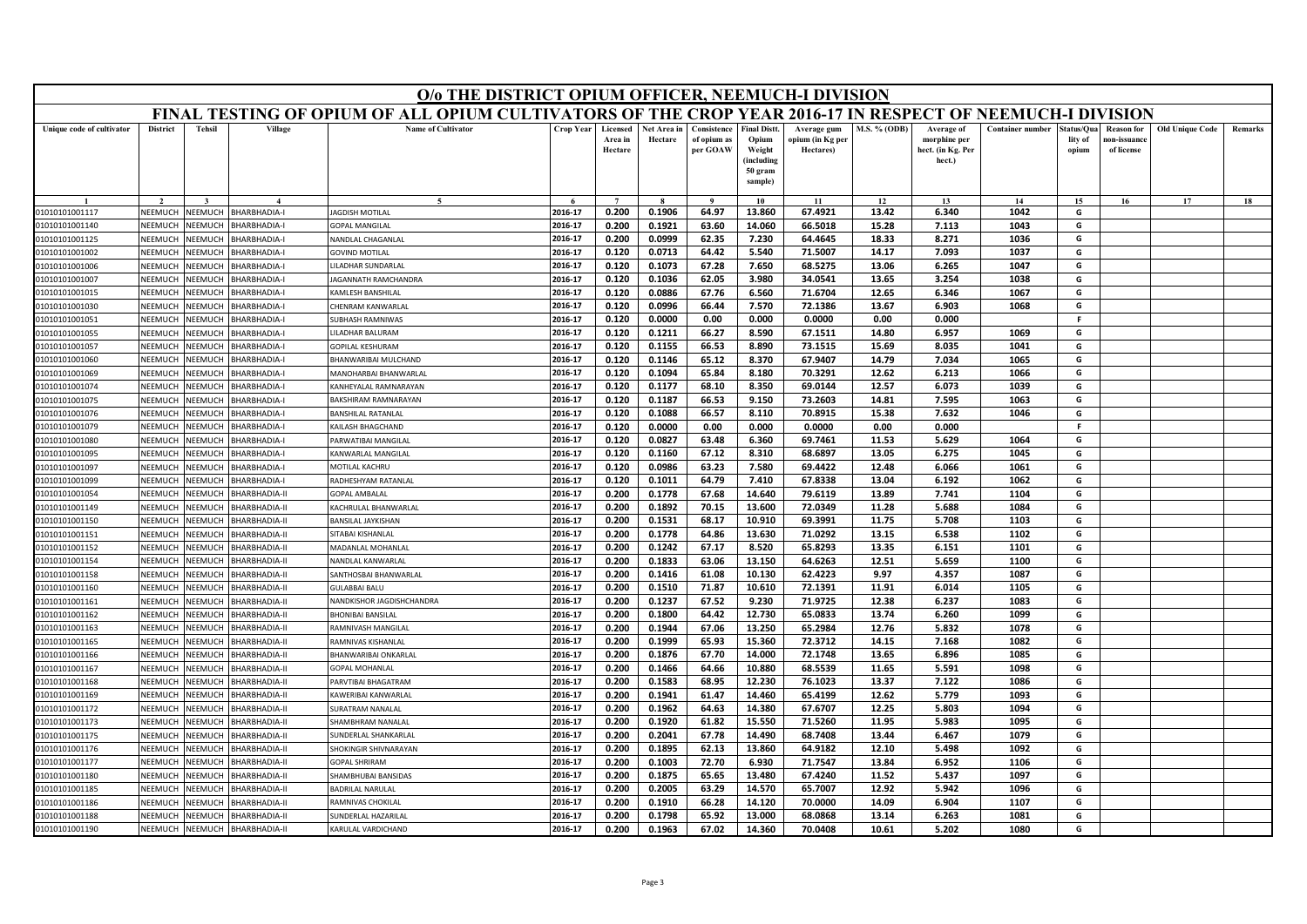|                                  | O/o THE DISTRICT OPIUM OFFICER, NEEMUCH-I DIVISION<br>FINAL TESTING OF OPIUM OF ALL OPIUM CULTIVATORS OF THE CROP YEAR 2016-17 IN RESPECT OF NEEMUCH-I DIVISION |                    |                                     |                                                |                    |                                |                        |                                        |                                                                            |                                              |                     |                                                           |                         |                               |                                                |                        |         |
|----------------------------------|-----------------------------------------------------------------------------------------------------------------------------------------------------------------|--------------------|-------------------------------------|------------------------------------------------|--------------------|--------------------------------|------------------------|----------------------------------------|----------------------------------------------------------------------------|----------------------------------------------|---------------------|-----------------------------------------------------------|-------------------------|-------------------------------|------------------------------------------------|------------------------|---------|
|                                  |                                                                                                                                                                 |                    |                                     |                                                |                    |                                |                        |                                        |                                                                            |                                              |                     |                                                           |                         |                               |                                                |                        |         |
| Unique code of cultivator        | <b>District</b>                                                                                                                                                 | <b>Tehsil</b>      | Village                             | <b>Name of Cultivator</b>                      | Crop Year          | Licensed<br>Area in<br>Hectare | Net Area in<br>Hectare | Consistence<br>of opium as<br>per GOAW | <b>Final Distt.</b><br>Opium<br>Weight<br>(including<br>50 gram<br>sample) | Average gum<br>opium (in Kg per<br>Hectares) | <b>M.S. % (ODB)</b> | Average of<br>morphine per<br>hect. (in Kg. Per<br>hect.) | <b>Container number</b> | tatus/Qua<br>lity of<br>opium | <b>Reason for</b><br>10n-issuanc<br>of license | <b>Old Unique Code</b> | Remarks |
|                                  |                                                                                                                                                                 |                    |                                     |                                                |                    |                                |                        |                                        | 10                                                                         | 11                                           | 12                  | 13                                                        | 14                      | 15                            | 16                                             | 17                     | 18      |
| 01010101001117                   | NEEMUCH                                                                                                                                                         | NEEMUCH            | <b>BHARBHADIA-I</b>                 | <b>JAGDISH MOTILAL</b>                         | 2016-17            | 0.200                          | 0.1906                 | 64.97                                  | 13.860                                                                     | 67.4921                                      | 13.42               | 6.340                                                     | 1042                    | G                             |                                                |                        |         |
| 01010101001140                   | NEEMUCH                                                                                                                                                         | NEEMUCH            | BHARBHADIA-I                        | <b>GOPAL MANGILAL</b>                          | 2016-17            | 0.200                          | 0.1921                 | 63.60                                  | 14.060                                                                     | 66.5018                                      | 15.28               | 7.113                                                     | 1043                    | G                             |                                                |                        |         |
| 01010101001125                   | NEEMUCH                                                                                                                                                         | NEEMUCH            | BHARBHADIA-I                        | NANDLAL CHAGANLAL                              | 2016-17            | 0.200                          | 0.0999                 | 62.35                                  | 7.230                                                                      | 64.4645                                      | 18.33               | 8.271                                                     | 1036                    | G                             |                                                |                        |         |
| 01010101001002                   | NEEMUCH                                                                                                                                                         | NEEMUCH            | BHARBHADIA-I                        | <b>GOVIND MOTILAL</b>                          | 2016-17            | 0.120                          | 0.0713                 | 64.42                                  | 5.540                                                                      | 71.5007                                      | 14.17               | 7.093                                                     | 1037                    | G                             |                                                |                        |         |
| 01010101001006                   | NEEMUCH                                                                                                                                                         | NEEMUCH            | BHARBHADIA-I                        | ILADHAR SUNDARLAL                              | 2016-17            | 0.120                          | 0.1073                 | 67.28                                  | 7.650                                                                      | 68.5275                                      | 13.06               | 6.265                                                     | 1047                    | G                             |                                                |                        |         |
| 01010101001007                   | NEEMUCH                                                                                                                                                         | NEEMUCH            | BHARBHADIA-I                        | JAGANNATH RAMCHANDRA                           | 2016-17            | 0.120                          | 0.1036                 | 62.05                                  | 3.980                                                                      | 34.0541                                      | 13.65               | 3.254                                                     | 1038                    | G                             |                                                |                        |         |
| 01010101001015                   | NEEMUCH                                                                                                                                                         | NEEMUCH            | BHARBHADIA-I                        | KAMLESH BANSHILAL                              | 2016-17            | 0.120                          | 0.0886                 | 67.76                                  | 6.560                                                                      | 71.6704                                      | 12.65               | 6.346                                                     | 1067                    | G                             |                                                |                        |         |
| 01010101001030                   | NEEMUCI                                                                                                                                                         | NEEMUCH            | BHARBHADIA-I                        | HENRAM KANWARLAL                               | 2016-17            | 0.120                          | 0.0996                 | 66.44                                  | 7.570                                                                      | 72.1386                                      | 13.67               | 6.903                                                     | 1068                    | G                             |                                                |                        |         |
| 01010101001051                   | NEEMUCH                                                                                                                                                         | NEEMUCH            | BHARBHADIA-I                        | <b>SUBHASH RAMNIWAS</b>                        | 2016-17            | 0.120                          | 0.0000                 | 0.00                                   | 0.000                                                                      | 0.0000                                       | 0.00                | 0.000                                                     |                         | F                             |                                                |                        |         |
| 01010101001055                   | NEEMUCH                                                                                                                                                         | NEEMUCH            | BHARBHADIA-I                        | LILADHAR BALURAM                               | 2016-17            | 0.120                          | 0.1211                 | 66.27                                  | 8.590                                                                      | 67.1511                                      | 14.80               | 6.957                                                     | 1069                    | G                             |                                                |                        |         |
| 01010101001057                   | NEEMUCH                                                                                                                                                         | NEEMUCH            | BHARBHADIA-I                        | GOPILAL KESHURAM                               | 2016-17            | 0.120                          | 0.1155                 | 66.53                                  | 8.890                                                                      | 73.1515                                      | 15.69               | 8.035                                                     | 1041                    | G                             |                                                |                        |         |
| 01010101001060                   | NEEMUCH                                                                                                                                                         | VEEMUCH            | <b>HARBHADIA-I</b>                  | BHANWARIBAI MULCHAND                           | 2016-17            | 0.120                          | 0.1146                 | 65.12                                  | 8.370                                                                      | 67.9407                                      | 14.79               | 7.034                                                     | 1065                    | G                             |                                                |                        |         |
| 01010101001069                   | NEEMUCH                                                                                                                                                         | VEEMUCH            | BHARBHADIA-I                        | MANOHARBAI BHANWARLAL                          | 2016-17            | 0.120                          | 0.1094                 | 65.84                                  | 8.180                                                                      | 70.3291                                      | 12.62               | 6.213                                                     | 1066                    | G                             |                                                |                        |         |
| 01010101001074                   | NEEMUCH                                                                                                                                                         | VEEMUCH            | BHARBHADIA-I                        | KANHFYALAL RAMNARAYAN                          | 2016-17            | 0.120                          | 0.1177                 | 68.10                                  | 8.350                                                                      | 69.0144                                      | 12.57               | 6.073                                                     | 1039                    | G                             |                                                |                        |         |
| 01010101001075                   | NEEMUCI<br>NEEMUCH                                                                                                                                              | VEEMUCH<br>VEEMUCH | <b>BHARBHADIA-I</b><br>BHARBHADIA-I | BAKSHIRAM RAMNARAYAN                           | 2016-17<br>2016-17 | 0.120<br>0.120                 | 0.1187                 | 66.53                                  | 9.150                                                                      | 73.2603                                      | 14.81               | 7.595                                                     | 1063                    | G<br>G                        |                                                |                        |         |
| 01010101001076<br>01010101001079 | NEEMUCH                                                                                                                                                         | NEEMUCH            | BHARBHADIA-I                        | <b>BANSHILAL RATANLAI</b><br>KAILASH BHAGCHAND | 2016-17            | 0.120                          | 0.1088<br>0.0000       | 66.57<br>0.00                          | 8.110<br>0.000                                                             | 70.8915<br>0.0000                            | 15.38<br>0.00       | 7.632<br>0.000                                            | 1046                    | -F                            |                                                |                        |         |
| 01010101001080                   | NEEMUC                                                                                                                                                          | VEEMUCI            | <b>BHARBHADIA-I</b>                 | PARWATIBAI MANGILAL                            | 2016-17            | 0.120                          | 0.0827                 | 63.48                                  | 6.360                                                                      | 69.7461                                      | 11.53               | 5.629                                                     | 1064                    | G                             |                                                |                        |         |
| 01010101001095                   | NEEMUCH                                                                                                                                                         | NEEMUCH            | BHARBHADIA-I                        | KANWARLAL MANGILAL                             | 2016-17            | 0.120                          | 0.1160                 | 67.12                                  | 8.310                                                                      | 68.6897                                      | 13.05               | 6.275                                                     | 1045                    | G                             |                                                |                        |         |
| 01010101001097                   | NEEMUCH                                                                                                                                                         | NEEMUCH            | BHARBHADIA-I                        | MOTILAL KACHRU                                 | 2016-17            | 0.120                          | 0.0986                 | 63.23                                  | 7.580                                                                      | 69.4422                                      | 12.48               | 6.066                                                     | 1061                    | G                             |                                                |                        |         |
| 01010101001099                   | NEEMUCI                                                                                                                                                         | VEEMUCH            | HARBHADIA-I                         | RADHESHYAM RATANLAL                            | 2016-17            | 0.120                          | 0.1011                 | 64.79                                  | 7.410                                                                      | 67.8338                                      | 13.04               | 6.192                                                     | 1062                    | G                             |                                                |                        |         |
| 01010101001054                   | NEEMUCH                                                                                                                                                         | VEEMUCH            | <b>HARBHADIA-II</b>                 | GOPAL AMBALAI                                  | 2016-17            | 0.200                          | 0.1778                 | 67.68                                  | 14.640                                                                     | 79.6119                                      | 13.89               | 7.741                                                     | 1104                    | G                             |                                                |                        |         |
| 01010101001149                   | NEEMUCH                                                                                                                                                         | VEEMUCH            | BHARBHADIA-II                       | <b>KACHRULAL BHANWARLAL</b>                    | 2016-17            | 0.200                          | 0.1892                 | 70.15                                  | 13.600                                                                     | 72.0349                                      | 11.28               | 5.688                                                     | 1084                    | G                             |                                                |                        |         |
| 01010101001150                   | NEEMUCI                                                                                                                                                         | VEEMUCH            | <b>BHARBHADIA-II</b>                | <b>BANSILAL JAYKISHAN</b>                      | 2016-17            | 0.200                          | 0.1531                 | 68.17                                  | 10.910                                                                     | 69.3991                                      | 11.75               | 5.708                                                     | 1103                    | G                             |                                                |                        |         |
| 01010101001151                   | NEEMUCH                                                                                                                                                         | NEEMUCH            | BHARBHADIA-II                       | SITABAI KISHANLAL                              | 2016-17            | 0.200                          | 0.1778                 | 64.86                                  | 13.630                                                                     | 71.0292                                      | 13.15               | 6.538                                                     | 1102                    | G                             |                                                |                        |         |
| 01010101001152                   | NEEMUCH                                                                                                                                                         | NEEMUCH            | BHARBHADIA-II                       | MADANLAL MOHANLAL                              | 2016-17            | 0.200                          | 0.1242                 | 67.17                                  | 8.520                                                                      | 65.8293                                      | 13.35               | 6.151                                                     | 1101                    | G                             |                                                |                        |         |
| 01010101001154                   | NEEMUCI                                                                                                                                                         | VEEMUCH            | BHARBHADIA-II                       | NANDLAL KANWARLAI                              | 2016-17            | 0.200                          | 0.1833                 | 63.06                                  | 13.150                                                                     | 64.6263                                      | 12.51               | 5.659                                                     | 1100                    | G                             |                                                |                        |         |
| 01010101001158                   | NEEMUCH                                                                                                                                                         | NEEMUCH            | BHARBHADIA-II                       | SANTHOSBAI BHANWARLAL                          | 2016-17            | 0.200                          | 0.1416                 | 61.08                                  | 10.130                                                                     | 62.4223                                      | 9.97                | 4.357                                                     | 1087                    | G                             |                                                |                        |         |
| 01010101001160                   | NEEMUCH                                                                                                                                                         | NEEMUCH            | BHARBHADIA-II                       | GULABBAI BALU                                  | 2016-17            | 0.200                          | 0.1510                 | 71.87                                  | 10.610                                                                     | 72.1391                                      | 11.91               | 6.014                                                     | 1105                    | G                             |                                                |                        |         |
| 01010101001161                   | NEEMUCH                                                                                                                                                         | VEEMUCH            | <b>BHARBHADIA-II</b>                | NANDKISHOR JAGDISHCHANDRA                      | 2016-17            | 0.200                          | 0.1237                 | 67.52                                  | 9.230                                                                      | 71.9725                                      | 12.38               | 6.237                                                     | 1083                    | G                             |                                                |                        |         |
| 01010101001162                   | NEEMUCH                                                                                                                                                         | <b>NEEMUCH</b>     | BHARBHADIA-II                       | <b>BHONIBAI BANSILAL</b>                       | 2016-17            | 0.200                          | 0.1800                 | 64.42                                  | 12.730                                                                     | 65.0833                                      | 13.74               | 6.260                                                     | 1099                    | G                             |                                                |                        |         |
| 01010101001163                   | NEEMUCH                                                                                                                                                         | NEEMUCH            | BHARBHADIA-II                       | RAMNIVASH MANGILAL                             | 2016-17            | 0.200                          | 0.1944                 | 67.06                                  | 13.250                                                                     | 65.2984                                      | 12.76               | 5.832                                                     | 1078                    | G                             |                                                |                        |         |
| 01010101001165                   | NEEMUCH                                                                                                                                                         | NEEMUCH            | <b>BHARBHADIA-II</b>                | RAMNIVAS KISHANLAI                             | 2016-17            | 0.200                          | 0.1999                 | 65.93                                  | 15.360                                                                     | 72.3712                                      | 14.15               | 7.168                                                     | 1082                    | G                             |                                                |                        |         |
| 01010101001166                   | NEEMUCH                                                                                                                                                         | NEEMUCH            | BHARBHADIA-II                       | BHANWARIBAI ONKARLAI                           | 2016-17            | 0.200                          | 0.1876                 | 67.70                                  | 14.000                                                                     | 72.1748                                      | 13.65               | 6.896                                                     | 1085                    | G                             |                                                |                        |         |
| 01010101001167                   | NEEMUCH                                                                                                                                                         | NEEMUCH            | BHARBHADIA-II                       | <b>GOPAL MOHANLAL</b>                          | 2016-17            | 0.200                          | 0.1466                 | 64.66                                  | 10.880                                                                     | 68.5539                                      | 11.65               | 5.591                                                     | 1098                    | G                             |                                                |                        |         |
| 01010101001168                   | NEEMUCH                                                                                                                                                         | NEEMUCH            | <b>BHARBHADIA-II</b>                | PARVTIBAI BHAGATRAM                            | 2016-17            | 0.200                          | 0.1583                 | 68.95                                  | 12.230                                                                     | 76.1023                                      | 13.37               | 7.122                                                     | 1086                    | G                             |                                                |                        |         |
| 01010101001169                   | NEEMUCH                                                                                                                                                         | <b>NEEMUCH</b>     | BHARBHADIA-II                       | KAWERIBAI KANWARLAL                            | 2016-17            | 0.200                          | 0.1941                 | 61.47                                  | 14.460                                                                     | 65.4199                                      | 12.62               | 5.779                                                     | 1093                    | G                             |                                                |                        |         |
| 01010101001172                   | VEEMUCH                                                                                                                                                         | VEEMUCH            | BHARBHADIA-II                       | URATRAM NANALAL                                | 2016-17            | 0.200                          | 0.1962                 | 64.63                                  | 14.380                                                                     | 67.6707                                      | 12.25               | 5.803                                                     | 1094                    | G                             |                                                |                        |         |
| 01010101001173                   | NEEMUCH                                                                                                                                                         | VEEMUCH            | <b>BHARBHADIA-II</b>                | SHAMBHRAM NANALAI                              | 2016-17            | 0.200                          | 0.1920                 | 61.82                                  | 15.550                                                                     | 71.5260                                      | 11.95               | 5.983                                                     | 1095                    | G                             |                                                |                        |         |
| 01010101001175                   | NEEMUCH                                                                                                                                                         | <b>NEEMUCH</b>     | BHARBHADIA-II                       | SUNDERLAL SHANKARLAL                           | 2016-17            | 0.200                          | 0.2041                 | 67.78                                  | 14.490                                                                     | 68.7408                                      | 13.44               | 6.467                                                     | 1079                    | G                             |                                                |                        |         |
| 01010101001176                   | VEEMUCH                                                                                                                                                         | VEEMUCH            | <b>BHARBHADIA-II</b>                | HOKINGIR SHIVNARAYAN                           | 2016-17            | 0.200                          | 0.1895                 | 62.13                                  | 13.860                                                                     | 64.9182                                      | 12.10               | 5.498                                                     | 1092                    | G                             |                                                |                        |         |
| 01010101001177                   | NFFMUCH                                                                                                                                                         | NFFMUCH            | BHARBHADIA-II                       | <b>GOPAL SHRIRAM</b>                           | 2016-17            | 0.200                          | 0.1003                 | 72.70                                  | 6.930                                                                      | 71.7547                                      | 13.84               | 6.952                                                     | 1106                    | G                             |                                                |                        |         |
| 01010101001180                   | NEEMUCH                                                                                                                                                         | VEEMUCH            | BHARBHADIA-II                       | SHAMBHUBAI BANSIDAS                            | 2016-17            | 0.200                          | 0.1875                 | 65.65                                  | 13.480                                                                     | 67.4240                                      | 11.52               | 5.437                                                     | 1097                    | G                             |                                                |                        |         |
| 01010101001185                   | NEEMUCI                                                                                                                                                         | VEEMUCH            | <b>BHARBHADIA-II</b>                | <b>BADRILAL NARULAL</b>                        | 2016-17            | 0.200                          | 0.2005                 | 63.29                                  | 14.570                                                                     | 65.7007                                      | 12.92               | 5.942                                                     | 1096                    | G                             |                                                |                        |         |
| 01010101001186                   | NEEMUCH                                                                                                                                                         | VEEMUCH            | <b>BHARBHADIA-II</b>                | RAMNIVAS CHOKILAI                              | 2016-17            | 0.200                          | 0.1910                 | 66.28                                  | 14.120                                                                     | 70.0000                                      | 14.09               | 6.904                                                     | 1107                    | G                             |                                                |                        |         |
| 01010101001188                   | NEEMUCH                                                                                                                                                         | NEEMUCH            | BHARBHADIA-II                       | SUNDERLAL HAZARILAL                            | 2016-17            | 0.200                          | 0.1798                 | 65.92                                  | 13.000                                                                     | 68.0868                                      | 13.14               | 6.263                                                     | 1081                    | G                             |                                                |                        |         |
| 01010101001190                   | NEEMUCH                                                                                                                                                         | NEEMUCH            | BHARBHADIA-II                       | KARULAL VARDICHAND                             | 2016-17            | 0.200                          | 0.1963                 | 67.02                                  | 14.360                                                                     | 70.0408                                      | 10.61               | 5.202                                                     | 1080                    | G                             |                                                |                        |         |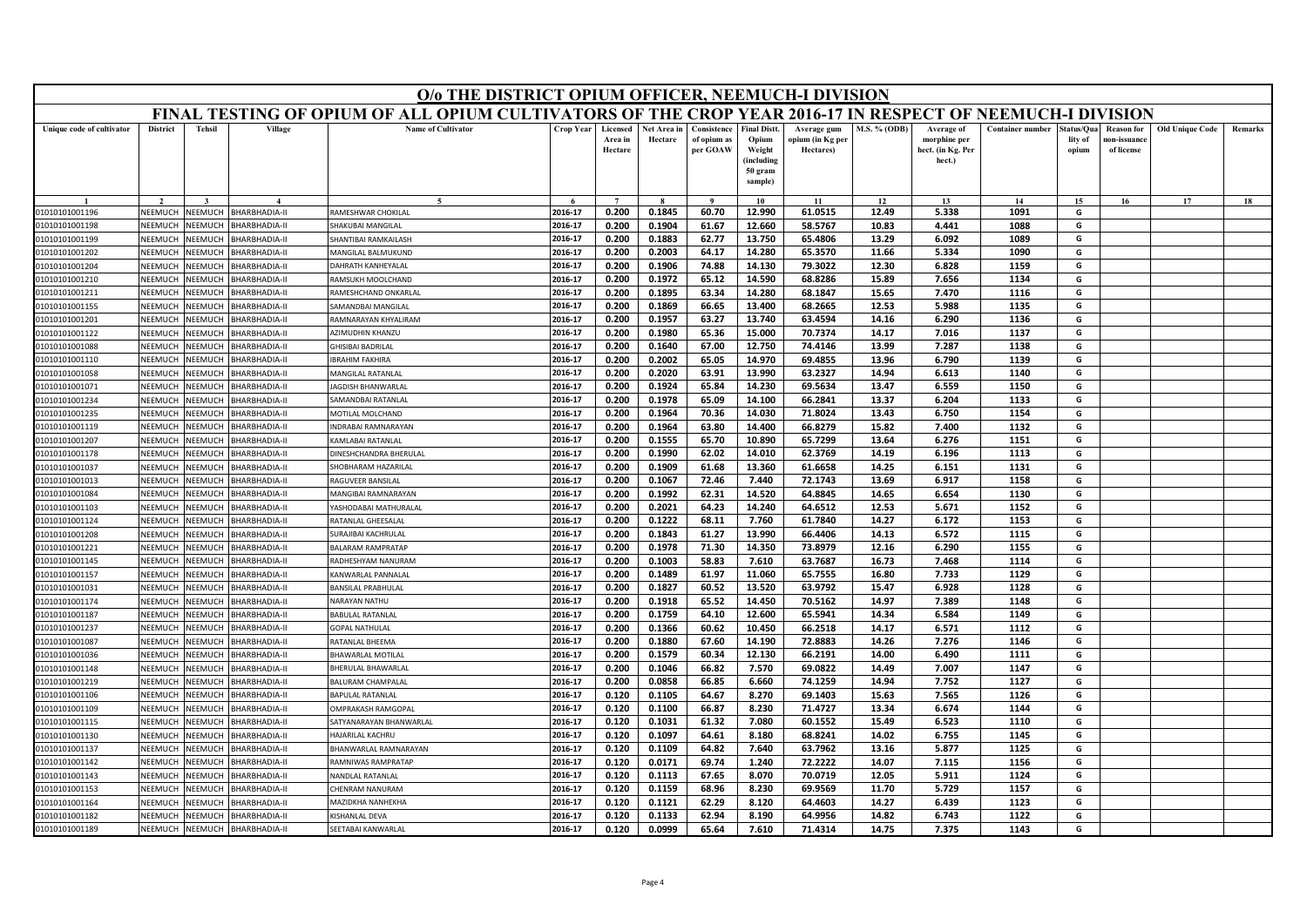|                                  |                    |                    |                                       | O/o THE DISTRICT OPIUM OFFICER, NEEMUCH-I DIVISION                                                        |                    |                                |                        |                                        |                                                                            |                                              |                     |                                                           |                         |                                |                                                |                        |         |
|----------------------------------|--------------------|--------------------|---------------------------------------|-----------------------------------------------------------------------------------------------------------|--------------------|--------------------------------|------------------------|----------------------------------------|----------------------------------------------------------------------------|----------------------------------------------|---------------------|-----------------------------------------------------------|-------------------------|--------------------------------|------------------------------------------------|------------------------|---------|
|                                  |                    |                    |                                       | FINAL TESTING OF OPIUM OF ALL OPIUM CULTIVATORS OF THE CROP YEAR 2016-17 IN RESPECT OF NEEMUCH-I DIVISION |                    |                                |                        |                                        |                                                                            |                                              |                     |                                                           |                         |                                |                                                |                        |         |
| Unique code of cultivator        | <b>District</b>    | <b>Tehsil</b>      | Village                               | <b>Name of Cultivator</b>                                                                                 | <b>Crop Year</b>   | Licensed<br>Area in<br>Hectare | Net Area in<br>Hectare | Consistence<br>of opium as<br>per GOAW | <b>Final Distt.</b><br>Opium<br>Weight<br>(including<br>50 gram<br>sample) | Average gum<br>opium (in Kg per<br>Hectares) | <b>M.S. % (ODB)</b> | Average of<br>morphine per<br>hect. (in Kg. Per<br>hect.) | <b>Container number</b> | Status/Qua<br>lity of<br>opium | <b>Reason for</b><br>10n-issuanc<br>of license | <b>Old Unique Code</b> | Remarks |
|                                  |                    |                    |                                       | $\sim$                                                                                                    |                    | $\overline{ }$                 |                        |                                        | 10                                                                         | 11                                           | 12                  | 13                                                        | 14                      | 15                             | 16                                             | 17                     | 18      |
| 01010101001196                   | NEEMUCH            | NEEMUCH            | <b>BHARBHADIA-II</b>                  | RAMESHWAR CHOKILAL                                                                                        | 2016-17            | 0.200                          | 0.1845                 | 60.70                                  | 12.990                                                                     | 61.0515                                      | 12.49               | 5.338                                                     | 1091                    | G                              |                                                |                        |         |
| 01010101001198                   | NEEMUCH            | NEEMUCH            | <b>BHARBHADIA-II</b>                  | <b>SHAKUBAI MANGILAL</b>                                                                                  | 2016-17            | 0.200                          | 0.1904                 | 61.67                                  | 12.660                                                                     | 58.5767                                      | 10.83               | 4.441                                                     | 1088                    | G                              |                                                |                        |         |
| 01010101001199                   | VEEMUCH            | NEEMUCH            | BHARBHADIA-II                         | <b>SHANTIBAI RAMKAILASH</b>                                                                               | 2016-17            | 0.200                          | 0.1883                 | 62.77                                  | 13.750                                                                     | 65.4806                                      | 13.29               | 6.092                                                     | 1089                    | G                              |                                                |                        |         |
| 01010101001202                   | NEEMUCI            | NEEMUCH            | <b>BHARBHADIA-II</b>                  | MANGILAL BALMUKUND                                                                                        | 2016-17            | 0.200                          | 0.2003                 | 64.17                                  | 14.280                                                                     | 65.3570                                      | 11.66               | 5.334                                                     | 1090                    | G                              |                                                |                        |         |
| 01010101001204                   | NEEMUCH            | NEEMUCH            | <b>HARBHADIA-II</b>                   | DAHRATH KANHEYALAL                                                                                        | 2016-17            | 0.200                          | 0.1906                 | 74.88                                  | 14.130                                                                     | 79.3022                                      | 12.30               | 6.828                                                     | 1159                    | G                              |                                                |                        |         |
| 01010101001210                   | NEEMUCH            | NEEMUCH            | BHARBHADIA-II                         | RAMSUKH MOOLCHAND                                                                                         | 2016-17            | 0.200                          | 0.1972                 | 65.12                                  | 14.590                                                                     | 68.8286                                      | 15.89               | 7.656                                                     | 1134                    | G                              |                                                |                        |         |
| 01010101001211                   | NEEMUCI            | NEEMUCH            | <b>BHARBHADIA-II</b>                  | RAMESHCHAND ONKARLAI                                                                                      | 2016-17            | 0.200                          | 0.1895                 | 63.34                                  | 14.280                                                                     | 68.1847                                      | 15.65               | 7.470                                                     | 1116                    | G                              |                                                |                        |         |
| 01010101001155                   | NEEMUCH            | <b>NEEMUCH</b>     | BHARBHADIA-II                         | SAMANDBAI MANGILAI                                                                                        | 2016-17            | 0.200                          | 0.1869                 | 66.65                                  | 13.400                                                                     | 68.2665                                      | 12.53               | 5.988                                                     | 1135                    | G                              |                                                |                        |         |
| 01010101001201                   | NEEMUCH            | NEEMUCH            | <b>HARBHADIA-II</b>                   | RAMNARAYAN KHYALIRAM                                                                                      | 2016-17            | 0.200                          | 0.1957                 | 63.27                                  | 13.740                                                                     | 63.4594                                      | 14.16               | 6.290                                                     | 1136                    | G                              |                                                |                        |         |
| 01010101001122                   | NEEMUCH            | NEEMUCH            | BHARBHADIA-II                         | <b>AZIMUDHIN KHANZI</b>                                                                                   | 2016-17            | 0.200                          | 0.1980                 | 65.36                                  | 15.000                                                                     | 70.7374                                      | 14.17               | 7.016                                                     | 1137                    | G                              |                                                |                        |         |
| 01010101001088                   | NEEMUCH            | <b>NEEMUCH</b>     | BHARBHADIA-II                         | <b>GHISIBAI BADRILAL</b>                                                                                  | 2016-17            | 0.200                          | 0.1640                 | 67.00                                  | 12.750                                                                     | 74.4146                                      | 13.99               | 7.287                                                     | 1138                    | G                              |                                                |                        |         |
| 01010101001110                   | NEEMUCH            | VEEMUCH            | <b>HARBHADIA-II</b>                   | <b>BRAHIM FAKHIRA</b>                                                                                     | 2016-17            | 0.200                          | 0.2002                 | 65.05                                  | 14.970                                                                     | 69.4855                                      | 13.96               | 6.790                                                     | 1139                    | G                              |                                                |                        |         |
| 01010101001058                   | NFFMUCH            | NFFMUCH            | BHARBHADIA-II                         | <b>MANGILAL RATANLAL</b>                                                                                  | 2016-17            | 0.200                          | 0.2020                 | 63.91                                  | 13.990                                                                     | 63.2327                                      | 14.94               | 6.613                                                     | 1140                    | G                              |                                                |                        |         |
| 01010101001071<br>01010101001234 | NEEMUCH<br>NEEMUCH | VEEMUCH<br>VEEMUCH | BHARBHADIA-II<br><b>BHARBHADIA-II</b> | AGDISH BHANWARLAL<br>SAMANDBAI RATANLAL                                                                   | 2016-17<br>2016-17 | 0.200<br>0.200                 | 0.1924<br>0.1978       | 65.84<br>65.09                         | 14.230<br>14.100                                                           | 69.5634<br>66.2841                           | 13.47<br>13.37      | 6.559<br>6.204                                            | 1150<br>1133            | G<br>G                         |                                                |                        |         |
| 01010101001235                   | NEEMUCH            | NEEMUCH            | BHARBHADIA-II                         | MOTILAL MOLCHAND                                                                                          | 2016-17            | 0.200                          | 0.1964                 | 70.36                                  | 14.030                                                                     | 71.8024                                      | 13.43               | 6.750                                                     | 1154                    | G                              |                                                |                        |         |
| 01010101001119                   | NEEMUCH            | NEEMUCH            | BHARBHADIA-II                         | <b>INDRABAI RAMNARAYAN</b>                                                                                | 2016-17            | 0.200                          | 0.1964                 | 63.80                                  | 14.400                                                                     | 66.8279                                      | 15.82               | 7.400                                                     | 1132                    | G                              |                                                |                        |         |
| 01010101001207                   | NEEMUCI            | <b>NEEMUCH</b>     | <b>BHARBHADIA-II</b>                  | KAMLABAI RATANLAL                                                                                         | 2016-17            | 0.200                          | 0.1555                 | 65.70                                  | 10.890                                                                     | 65.7299                                      | 13.64               | 6.276                                                     | 1151                    | G                              |                                                |                        |         |
| 01010101001178                   | NFFMUCH            | <b>SEEMUCH</b>     | <b>BHARBHADIA-II</b>                  | DINESHCHANDRA BHERULAL                                                                                    | 2016-17            | 0.200                          | 0.1990                 | 62.02                                  | 14.010                                                                     | 62.3769                                      | 14.19               | 6.196                                                     | 1113                    | G                              |                                                |                        |         |
| 01010101001037                   | NEEMUCH            | NEEMUCH            | BHARBHADIA-II                         | SHOBHARAM HAZARILAL                                                                                       | 2016-17            | 0.200                          | 0.1909                 | 61.68                                  | 13.360                                                                     | 61.6658                                      | 14.25               | 6.151                                                     | 1131                    | G                              |                                                |                        |         |
| 01010101001013                   | VEEMUCH            | <b>JEEMUCH</b>     | <b>HARBHADIA-II</b>                   | RAGUVEER BANSILA                                                                                          | 2016-17            | 0.200                          | 0.1067                 | 72.46                                  | 7.440                                                                      | 72.1743                                      | 13.69               | 6.917                                                     | 1158                    | G                              |                                                |                        |         |
| 01010101001084                   | NEEMUCH            | VEEMUCH            | <b>BHARBHADIA-II</b>                  | MANGIBAI RAMNARAYAN                                                                                       | 2016-17            | 0.200                          | 0.1992                 | 62.31                                  | 14.520                                                                     | 64.8845                                      | 14.65               | 6.654                                                     | 1130                    | G                              |                                                |                        |         |
| 01010101001103                   | NEEMUCH            | VEEMUCH            | BHARBHADIA-II                         | YASHODABAI MATHURALAL                                                                                     | 2016-17            | 0.200                          | 0.2021                 | 64.23                                  | 14.240                                                                     | 64.6512                                      | 12.53               | 5.671                                                     | 1152                    | G                              |                                                |                        |         |
| 01010101001124                   | NEEMUCI            | <b>NEEMUCH</b>     | <b>BHARBHADIA-II</b>                  | RATANLAL GHEESALA                                                                                         | 2016-17            | 0.200                          | 0.1222                 | 68.11                                  | 7.760                                                                      | 61.7840                                      | 14.27               | 6.172                                                     | 1153                    | G                              |                                                |                        |         |
| 01010101001208                   | NEEMUCH            | VEEMUCH            | <b>HARBHADIA-II</b>                   | SURAJIBAI KACHRULAL                                                                                       | 2016-17            | 0.200                          | 0.1843                 | 61.27                                  | 13.990                                                                     | 66.4406                                      | 14.13               | 6.572                                                     | 1115                    | G                              |                                                |                        |         |
| 01010101001221                   | NEEMUCH            | NEEMUCH            | BHARBHADIA-II                         | <b>ΒΔΙ ΔΡΑΜ ΡΑΜΡΡΑΤΑΡ</b>                                                                                 | 2016-17            | 0.200                          | 0.1978                 | 71.30                                  | 14.350                                                                     | 73.8979                                      | 12.16               | 6.290                                                     | 1155                    | G                              |                                                |                        |         |
| 01010101001145                   | NEEMUCI            | VEEMUCH            | <b>BHARBHADIA-II</b>                  | RADHESHYAM NANURAM                                                                                        | 2016-17            | 0.200                          | 0.1003                 | 58.83                                  | 7.610                                                                      | 63.7687                                      | 16.73               | 7.468                                                     | 1114                    | G                              |                                                |                        |         |
| 01010101001157                   | NEEMUCH            | VEEMUCH            | BHARBHADIA-II                         | KANWARLAL PANNALAL                                                                                        | 2016-17            | 0.200                          | 0.1489                 | 61.97                                  | 11.060                                                                     | 65.7555                                      | 16.80               | 7.733                                                     | 1129                    | G                              |                                                |                        |         |
| 01010101001031                   | NEEMUCH            | NEEMUCH            | BHARBHADIA-II                         | <b>BANSILAL PRABHULAL</b>                                                                                 | 2016-17            | 0.200                          | 0.1827                 | 60.52                                  | 13.520                                                                     | 63.9792                                      | 15.47               | 6.928                                                     | 1128                    | G                              |                                                |                        |         |
| 01010101001174                   | NEEMUCH            | VEEMUCI            | <b>HARBHADIA-II</b>                   | NARAYAN NATHU                                                                                             | 2016-17            | 0.200                          | 0.1918                 | 65.52                                  | 14.450                                                                     | 70.5162                                      | 14.97               | 7.389                                                     | 1148                    | G                              |                                                |                        |         |
| 01010101001187                   | NEEMUCH            | VEEMUCH            | <b>BHARBHADIA-II</b>                  | <b>BABULAL RATANLAL</b>                                                                                   | 2016-17            | 0.200                          | 0.1759                 | 64.10                                  | 12.600                                                                     | 65.5941                                      | 14.34               | 6.584                                                     | 1149                    | G                              |                                                |                        |         |
| 01010101001237                   | NEEMUCH            | NEEMUCH            | BHARBHADIA-II                         | <b>GOPAL NATHULAL</b>                                                                                     | 2016-17            | 0.200                          | 0.1366                 | 60.62                                  | 10.450                                                                     | 66.2518                                      | 14.17               | 6.571                                                     | 1112                    | G                              |                                                |                        |         |
| 01010101001087                   | NEEMUCI            | NEEMUCH            | BHARBHADIA-II                         | RATANLAL BHEEMA                                                                                           | 2016-17            | 0.200                          | 0.1880                 | 67.60                                  | 14.190                                                                     | 72.8883                                      | 14.26               | 7.276                                                     | 1146                    | G                              |                                                |                        |         |
| 01010101001036                   | NEEMUCH            | <b>NEEMUCH</b>     | BHARBHADIA-II                         | BHAWARLAL MOTILAL                                                                                         | 2016-17            | 0.200                          | 0.1579                 | 60.34                                  | 12.130                                                                     | 66.2191                                      | 14.00               | 6.490                                                     | 1111                    | G                              |                                                |                        |         |
| 01010101001148                   | <b>JEEMUCH</b>     | VEEMUCH            | <b>BHARBHADIA-II</b>                  | BHERULAL BHAWARLAL                                                                                        | 2016-17            | 0.200                          | 0.1046                 | 66.82                                  | 7.570                                                                      | 69.0822                                      | 14.49               | 7.007                                                     | 1147                    | G                              |                                                |                        |         |
| 01010101001219                   | <b>NFFMUCH</b>     | NEEMUCH            | BHARBHADIA-II                         | <b>BALURAM CHAMPALAI</b>                                                                                  | 2016-17            | 0.200                          | 0.0858                 | 66.85                                  | 6.660                                                                      | 74.1259                                      | 14.94               | 7.752                                                     | 1127                    | G                              |                                                |                        |         |
| 01010101001106                   | NEEMUCH            | VEEMUCH            | <b>HARBHADIA-II</b>                   | <b>BAPULAL RATANLAL</b>                                                                                   | 2016-17            | 0.120                          | 0.1105                 | 64.67                                  | 8.270                                                                      | 69.1403                                      | 15.63               | 7.565                                                     | 1126                    | G                              |                                                |                        |         |
| 01010101001109                   | VEEMUCH            | VEEMUCH            | <b>HARBHADIA-II</b>                   | <b>IMPRAKASH RAMGOPAL</b>                                                                                 | 2016-17            | 0.120                          | 0.1100                 | 66.87                                  | 8.230                                                                      | 71.4727                                      | 13.34               | 6.674                                                     | 1144                    | G                              |                                                |                        |         |
| 01010101001115                   | NEEMUCH            | VEEMUCH            | <b>BHARBHADIA-II</b>                  | SATYANARAYAN BHANWARLAI                                                                                   | 2016-17            | 0.120                          | 0.1031                 | 61.32                                  | 7.080                                                                      | 60.1552                                      | 15.49               | 6.523                                                     | 1110                    | G                              |                                                |                        |         |
| 01010101001130                   | NEEMUCH            | <b>NEEMUCH</b>     | BHARBHADIA-II                         | HAJARILAL KACHRU                                                                                          | 2016-17            | 0.120                          | 0.1097                 | 64.61                                  | 8.180                                                                      | 68.8241                                      | 14.02               | 6.755                                                     | 1145                    | G                              |                                                |                        |         |
| 01010101001137                   | <b>NEEMUCI</b>     | IEEMUCH            | <b>HARBHADIA-II</b>                   | BHANWARLAL RAMNARAYAN                                                                                     | 2016-17            | 0.120                          | 0.1109                 | 64.82                                  | 7.640                                                                      | 63.7962                                      | 13.16               | 5.877                                                     | 1125                    | G                              |                                                |                        |         |
| 01010101001142                   | <b>NFFMUCH</b>     | NFFMUCH            | <b>HARBHADIA-II</b>                   | RAMNIWAS RAMPRATAP                                                                                        | 2016-17            | 0.120                          | 0.0171                 | 69.74                                  | 1.240                                                                      | 72.2222                                      | 14.07               | 7.115                                                     | 1156                    | G                              |                                                |                        |         |
| 01010101001143                   | NEEMUCH            | VEEMUCH            | BHARBHADIA-II                         | NANDLAL RATANLAL                                                                                          | 2016-17            | 0.120                          | 0.1113                 | 67.65                                  | 8.070                                                                      | 70.0719                                      | 12.05               | 5.911                                                     | 1124                    | G                              |                                                |                        |         |
| 01010101001153                   | VEEMUCI            | VEEMUCH            | <b>HARBHADIA-II</b>                   | HENRAM NANURAM                                                                                            | 2016-17            | 0.120                          | 0.1159                 | 68.96                                  | 8.230                                                                      | 69.9569                                      | 11.70               | 5.729                                                     | 1157                    | G                              |                                                |                        |         |
| 01010101001164                   | NEEMUCH            | VEEMUCI            | <b>HARBHADIA-II</b>                   | MAZIDKHA NANHFKHA                                                                                         | 2016-17<br>2016-17 | 0.120                          | 0.1121                 | 62.29                                  | 8.120                                                                      | 64.4603                                      | 14.27               | 6.439                                                     | 1123                    | G<br>G                         |                                                |                        |         |
| 01010101001182                   | NEEMUCH            | NFFMUCH            | BHARBHADIA-II                         | <b>KISHANLAL DEVA</b>                                                                                     | 2016-17            | 0.120<br>0.120                 | 0.1133<br>0.0999       | 62.94<br>65.64                         | 8.190<br>7.610                                                             | 64.9956<br>71.4314                           | 14.82<br>14.75      | 6.743<br>7.375                                            | 1122<br>1143            | G                              |                                                |                        |         |
| 01010101001189                   | NEEMUCH            | NEEMUCH            | BHARBHADIA-I                          | SEETABAI KANWARLAL                                                                                        |                    |                                |                        |                                        |                                                                            |                                              |                     |                                                           |                         |                                |                                                |                        |         |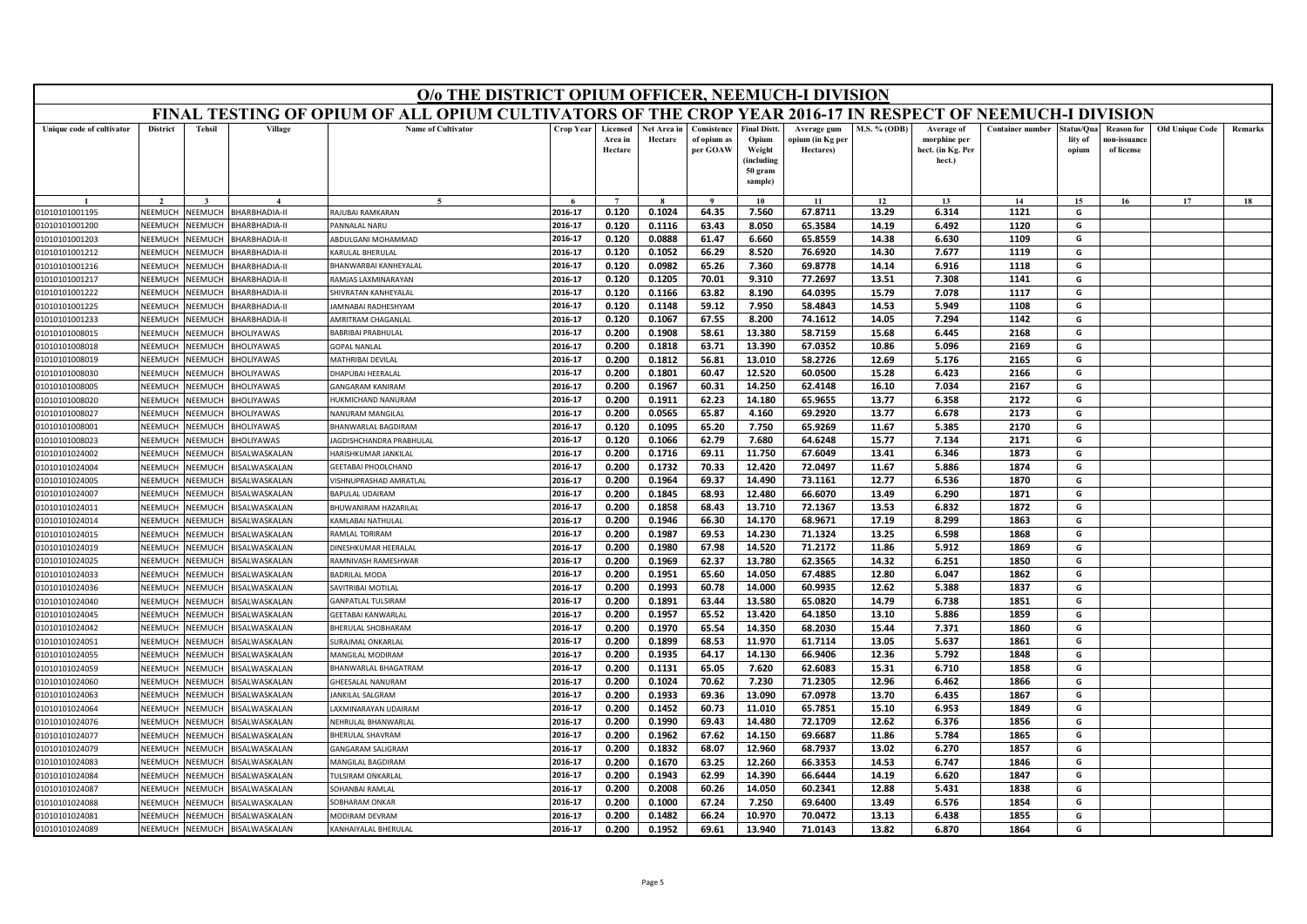|                                  |                    |                    |                                        | O/o THE DISTRICT OPIUM OFFICER, NEEMUCH-I DIVISION                                                        |                    |                                |                        |                                        |                                                                            |                                              |                     |                                                           |                         |                                |                                                |                        |         |
|----------------------------------|--------------------|--------------------|----------------------------------------|-----------------------------------------------------------------------------------------------------------|--------------------|--------------------------------|------------------------|----------------------------------------|----------------------------------------------------------------------------|----------------------------------------------|---------------------|-----------------------------------------------------------|-------------------------|--------------------------------|------------------------------------------------|------------------------|---------|
|                                  |                    |                    |                                        | FINAL TESTING OF OPIUM OF ALL OPIUM CULTIVATORS OF THE CROP YEAR 2016-17 IN RESPECT OF NEEMUCH-I DIVISION |                    |                                |                        |                                        |                                                                            |                                              |                     |                                                           |                         |                                |                                                |                        |         |
| Unique code of cultivator        | <b>District</b>    | <b>Tehsil</b>      | Village                                | <b>Name of Cultivator</b>                                                                                 | <b>Crop Year</b>   | Licensed<br>Area in<br>Hectare | Net Area in<br>Hectare | Consistence<br>of opium as<br>per GOAW | <b>Final Distt.</b><br>Opium<br>Weight<br>(including<br>50 gram<br>sample) | Average gum<br>opium (in Kg per<br>Hectares) | <b>M.S. % (ODB)</b> | Average of<br>morphine per<br>hect. (in Kg. Per<br>hect.) | <b>Container number</b> | Status/Qua<br>lity of<br>opium | <b>Reason for</b><br>10n-issuanc<br>of license | <b>Old Unique Code</b> | Remarks |
|                                  |                    |                    |                                        | $\sim$                                                                                                    |                    | $\overline{7}$                 |                        |                                        | 10                                                                         | 11                                           | 12                  | 13                                                        | 14                      | 15                             | 16                                             | 17                     | 18      |
| 01010101001195                   | NEEMUCH            | NEEMUCH            | <b>BHARBHADIA-II</b>                   | RAIUBAI RAMKARAN                                                                                          | 2016-17            | 0.120                          | 0.1024                 | 64.35                                  | 7.560                                                                      | 67.8711                                      | 13.29               | 6.314                                                     | 1121                    | G                              |                                                |                        |         |
| 01010101001200                   | NEEMUCH            | NEEMUCH            | <b>BHARBHADIA-II</b>                   | PANNALAL NARU                                                                                             | 2016-17            | 0.120                          | 0.1116                 | 63.43                                  | 8.050                                                                      | 65.3584                                      | 14.19               | 6.492                                                     | 1120                    | G                              |                                                |                        |         |
| 01010101001203                   | VEEMUCH            | NEEMUCH            | BHARBHADIA-II                          | ABDULGANI MOHAMMAD                                                                                        | 2016-17            | 0.120                          | 0.0888                 | 61.47                                  | 6.660                                                                      | 65.8559                                      | 14.38               | 6.630                                                     | 1109                    | G                              |                                                |                        |         |
| 01010101001212                   | NEEMUCI            | NEEMUCH            | <b>BHARBHADIA-II</b>                   | KARULAL BHERULAL                                                                                          | 2016-17            | 0.120                          | 0.1052                 | 66.29                                  | 8.520                                                                      | 76.6920                                      | 14.30               | 7.677                                                     | 1119                    | G                              |                                                |                        |         |
| 01010101001216                   | NEEMUCH            | NEEMUCH            | <b>HARBHADIA-II</b>                    | BHANWARBAI KANHEYALAL                                                                                     | 2016-17            | 0.120                          | 0.0982                 | 65.26                                  | 7.360                                                                      | 69.8778                                      | 14.14               | 6.916                                                     | 1118                    | G                              |                                                |                        |         |
| 01010101001217                   | NEEMUCH            | NEEMUCH            | BHARBHADIA-II                          | RAMJAS LAXMINARAYAN                                                                                       | 2016-17            | 0.120                          | 0.1205                 | 70.01                                  | 9.310                                                                      | 77.2697                                      | 13.51               | 7.308                                                     | 1141                    | G                              |                                                |                        |         |
| 01010101001222                   | NEEMUCI            | NEEMUCH            | <b>BHARBHADIA-II</b>                   | SHIVRATAN KANHEYALAI                                                                                      | 2016-17            | 0.120                          | 0.1166                 | 63.82                                  | 8.190                                                                      | 64.0395                                      | 15.79               | 7.078                                                     | 1117                    | G                              |                                                |                        |         |
| 01010101001225                   | NEEMUCH            | <b>NEEMUCH</b>     | BHARBHADIA-II                          | AMNABAI RADHESHYAM                                                                                        | 2016-17            | 0.120                          | 0.1148                 | 59.12                                  | 7.950                                                                      | 58.4843                                      | 14.53               | 5.949                                                     | 1108                    | G                              |                                                |                        |         |
| 01010101001233                   | NEEMUCH            | NEEMUCH            | <b>HARBHADIA-II</b>                    | <b>AMRITRAM CHAGANLAL</b>                                                                                 | 2016-17            | 0.120                          | 0.1067                 | 67.55                                  | 8.200                                                                      | 74.1612                                      | 14.05               | 7.294                                                     | 1142                    | G                              |                                                |                        |         |
| 01010101008015                   | NEEMUCH            | NEEMUCH            | <b>BHOLIYAWAS</b>                      | <b>BABRIBAI PRABHULAL</b>                                                                                 | 2016-17            | 0.200                          | 0.1908                 | 58.61                                  | 13.380                                                                     | 58.7159                                      | 15.68               | 6.445                                                     | 2168                    | G                              |                                                |                        |         |
| 01010101008018                   | NEEMUCH            | <b>NEEMUCH</b>     | BHOLIYAWAS                             | <b>GOPAL NANLAL</b>                                                                                       | 2016-17            | 0.200                          | 0.1818                 | 63.71                                  | 13.390                                                                     | 67.0352                                      | 10.86               | 5.096                                                     | 2169                    | G                              |                                                |                        |         |
| 01010101008019                   | NEEMUCH            | VEEMUCH            | <b>HOLIYAWAS</b>                       | MATHRIBAI DEVILAL                                                                                         | 2016-17            | 0.200                          | 0.1812                 | 56.81                                  | 13.010                                                                     | 58.2726                                      | 12.69               | 5.176                                                     | 2165                    | G                              |                                                |                        |         |
| 01010101008030                   | NEFMUCH            | NFFMUCH            | BHOLIYAWAS                             | DHAPUBAI HEERALAL                                                                                         | 2016-17            | 0.200                          | 0.1801                 | 60.47                                  | 12.520                                                                     | 60.0500                                      | 15.28               | 6.423                                                     | 2166                    | G                              |                                                |                        |         |
| 01010101008005                   | NEEMUCH            | VEEMUCH            | <b>BHOLIYAWAS</b>                      | GANGARAM KANIRAM                                                                                          | 2016-17            | 0.200                          | 0.1967                 | 60.31                                  | 14.250                                                                     | 62.4148                                      | 16.10               | 7.034                                                     | 2167                    | G                              |                                                |                        |         |
| 01010101008020                   | NEEMUCH<br>NEEMUCH | VEEMUCH<br>NEEMUCH | <b>BHOLIYAWAS</b>                      | <b>IUKMICHAND NANURAM</b><br>NANURAM MANGILA                                                              | 2016-17            | 0.200                          | 0.1911                 | 62.23                                  | 14.180                                                                     | 65.9655                                      | 13.77               | 6.358                                                     | 2172<br>2173            | G                              |                                                |                        |         |
| 01010101008027<br>01010101008001 | NEEMUCH            | NEEMUCH            | <b>BHOLIYAWAS</b><br><b>BHOLIYAWAS</b> |                                                                                                           | 2016-17            | 0.200                          | 0.0565                 | 65.87                                  | 4.160                                                                      | 69.2920<br>65.9269                           | 13.77               | 6.678                                                     | 2170                    | G<br>G                         |                                                |                        |         |
|                                  | NEEMUCI            | <b>NEEMUCH</b>     | <b>BHOLIYAWAS</b>                      | BHANWARLAL BAGDIRAM<br>AGDISHCHANDRA PRABHULAL                                                            | 2016-17<br>2016-17 | 0.120<br>0.120                 | 0.1095<br>0.1066       | 65.20<br>62.79                         | 7.750<br>7.680                                                             | 64.6248                                      | 11.67<br>15.77      | 5.385<br>7.134                                            | 2171                    | G                              |                                                |                        |         |
| 01010101008023                   | NFFMUCH            | <b>SEEMUCH</b>     |                                        | HARISHKUMAR JANKILAI                                                                                      | 2016-17            | 0.200                          | 0.1716                 | 69.11                                  | 11.750                                                                     | 67.6049                                      | 13.41               | 6.346                                                     | 1873                    | G                              |                                                |                        |         |
| 01010101024002<br>01010101024004 | NEEMUCH            | NEEMUCH            | <b>BISALWASKALAN</b><br>BISALWASKALAN  | <b>GEETABAI PHOOLCHAND</b>                                                                                | 2016-17            | 0.200                          | 0.1732                 | 70.33                                  | 12.420                                                                     | 72.0497                                      | 11.67               | 5.886                                                     | 1874                    | G                              |                                                |                        |         |
| 01010101024005                   | VEEMUCH            | <b>JEEMUCH</b>     | <b>BISALWASKALAN</b>                   | VISHNUPRASHAD AMRATLAL                                                                                    | 2016-17            | 0.200                          | 0.1964                 | 69.37                                  | 14.490                                                                     | 73.1161                                      | 12.77               | 6.536                                                     | 1870                    | G                              |                                                |                        |         |
| 01010101024007                   | NEEMUCH            | VEEMUCH            | <b>BISALWASKALAN</b>                   | <b>BAPULAL UDAIRAM</b>                                                                                    | 2016-17            | 0.200                          | 0.1845                 | 68.93                                  | 12.480                                                                     | 66.6070                                      | 13.49               | 6.290                                                     | 1871                    | G                              |                                                |                        |         |
| 01010101024011                   | NEEMUCH            | VEEMUCH            | BISALWASKALAN                          | BHUWANIRAM HAZARILAL                                                                                      | 2016-17            | 0.200                          | 0.1858                 | 68.43                                  | 13.710                                                                     | 72.1367                                      | 13.53               | 6.832                                                     | 1872                    | G                              |                                                |                        |         |
| 01010101024014                   | NEEMUCI            | <b>NEEMUCH</b>     | <b>BISALWASKALAN</b>                   | KAMLABAI NATHULAL                                                                                         | 2016-17            | 0.200                          | 0.1946                 | 66.30                                  | 14.170                                                                     | 68.9671                                      | 17.19               | 8.299                                                     | 1863                    | G                              |                                                |                        |         |
| 01010101024015                   | NEEMUCH            | VEEMUCH            | <b>BISALWASKALAN</b>                   | <b>RAMLAL TORIRAM</b>                                                                                     | 2016-17            | 0.200                          | 0.1987                 | 69.53                                  | 14.230                                                                     | 71.1324                                      | 13.25               | 6.598                                                     | 1868                    | G                              |                                                |                        |         |
| 01010101024019                   | NEEMUCH            | NEEMUCH            | BISALWASKALAN                          | DINESHKUMAR HEERALAL                                                                                      | 2016-17            | 0.200                          | 0.1980                 | 67.98                                  | 14.520                                                                     | 71.2172                                      | 11.86               | 5.912                                                     | 1869                    | G                              |                                                |                        |         |
| 01010101024025                   | NEEMUCI            | VEEMUCH            | <b>BISALWASKALAN</b>                   | RAMNIVASH RAMESHWAR                                                                                       | 2016-17            | 0.200                          | 0.1969                 | 62.37                                  | 13.780                                                                     | 62.3565                                      | 14.32               | 6.251                                                     | 1850                    | G                              |                                                |                        |         |
| 01010101024033                   | NEEMUCH            | VEEMUCH            | BISALWASKALAN                          | <b>BADRILAL MODA</b>                                                                                      | 2016-17            | 0.200                          | 0.1951                 | 65.60                                  | 14.050                                                                     | 67.4885                                      | 12.80               | 6.047                                                     | 1862                    | G                              |                                                |                        |         |
| 01010101024036                   | NEEMUCH            | NEEMUCH            | BISALWASKALAN                          | SAVITRIBAI MOTILAL                                                                                        | 2016-17            | 0.200                          | 0.1993                 | 60.78                                  | 14.000                                                                     | 60.9935                                      | 12.62               | 5.388                                                     | 1837                    | G                              |                                                |                        |         |
| 01010101024040                   | NEEMUCH            | VEEMUCH            | <b>BISALWASKALAN</b>                   | <b>GANPATLAL TULSIRAM</b>                                                                                 | 2016-17            | 0.200                          | 0.1891                 | 63.44                                  | 13.580                                                                     | 65.0820                                      | 14.79               | 6.738                                                     | 1851                    | G                              |                                                |                        |         |
| 01010101024045                   | NEEMUCH            | VEEMUCH            | BISALWASKALAN                          | GEETABAI KANWARLAL                                                                                        | 2016-17            | 0.200                          | 0.1957                 | 65.52                                  | 13.420                                                                     | 64.1850                                      | 13.10               | 5.886                                                     | 1859                    | G                              |                                                |                        |         |
| 01010101024042                   | NEEMUCH            | NEEMUCH            | BISALWASKALAN                          | BHERULAL SHOBHARAM                                                                                        | 2016-17            | 0.200                          | 0.1970                 | 65.54                                  | 14.350                                                                     | 68.2030                                      | 15.44               | 7.371                                                     | 1860                    | G                              |                                                |                        |         |
| 01010101024051                   | NEEMUCI            | NEEMUCH            | BISALWASKALAN                          | <b>SURAJMAL ONKARLAI</b>                                                                                  | 2016-17            | 0.200                          | 0.1899                 | 68.53                                  | 11.970                                                                     | 61.7114                                      | 13.05               | 5.637                                                     | 1861                    | G                              |                                                |                        |         |
| 01010101024055                   | NEEMUCH            | <b>NEEMUCH</b>     | BISALWASKALAN                          | MANGILAL MODIRAM                                                                                          | 2016-17            | 0.200                          | 0.1935                 | 64.17                                  | 14.130                                                                     | 66.9406                                      | 12.36               | 5.792                                                     | 1848                    | G                              |                                                |                        |         |
| 01010101024059                   | VEEMUCI            | VEEMUCH            | <b>BISALWASKALAN</b>                   | BHANWARLAL BHAGATRAM                                                                                      | 2016-17            | 0.200                          | 0.1131                 | 65.05                                  | 7.620                                                                      | 62.6083                                      | 15.31               | 6.710                                                     | 1858                    | G                              |                                                |                        |         |
| 01010101024060                   | <b>NFFMUCH</b>     | NEEMUCH            | <b>BISALWASKALAN</b>                   | <b>GHEESALAL NANURAM</b>                                                                                  | 2016-17            | 0.200                          | 0.1024                 | 70.62                                  | 7.230                                                                      | 71.2305                                      | 12.96               | 6.462                                                     | 1866                    | G                              |                                                |                        |         |
| 01010101024063                   | NEEMUCH            | VEEMUCH            | <b>BISALWASKALAN</b>                   | ANKILAL SALGRAM                                                                                           | 2016-17            | 0.200                          | 0.1933                 | 69.36                                  | 13.090                                                                     | 67.0978                                      | 13.70               | 6.435                                                     | 1867                    | G                              |                                                |                        |         |
| 01010101024064                   | VEEMUCH            | VEEMUCH            | <b>BISALWASKALAN</b>                   | AXMINARAYAN UDAIRAM                                                                                       | 2016-17            | 0.200                          | 0.1452                 | 60.73                                  | 11.010                                                                     | 65.7851                                      | 15.10               | 6.953                                                     | 1849                    | G                              |                                                |                        |         |
| 01010101024076                   | NEEMUCH            | VEEMUCH            | <b>BISALWASKALAN</b>                   | NFHRULAL BHANWARLA                                                                                        | 2016-17            | 0.200                          | 0.1990                 | 69.43                                  | 14.480                                                                     | 72.1709                                      | 12.62               | 6.376                                                     | 1856                    | G                              |                                                |                        |         |
| 01010101024077                   | NEEMUCH            | <b>NEEMUCH</b>     | <b>BISALWASKALAN</b>                   | BHERULAL SHAVRAM                                                                                          | 2016-17            | 0.200                          | 0.1962                 | 67.62                                  | 14.150                                                                     | 69.6687                                      | 11.86               | 5.784                                                     | 1865                    | G                              |                                                |                        |         |
| 01010101024079                   | <b>NEEMUCI</b>     | <b>JEEMUCH</b>     | <b>BISALWASKALAN</b>                   | GANGARAM SALIGRAM                                                                                         | 2016-17            | 0.200                          | 0.1832                 | 68.07                                  | 12.960                                                                     | 68.7937                                      | 13.02               | 6.270                                                     | 1857                    | G                              |                                                |                        |         |
| 01010101024083                   | <b>NFFMUCH</b>     | NFFMUCH            | <b>BISALWASKALAN</b>                   | <b>MANGILAL BAGDIRAM</b>                                                                                  | 2016-17            | 0.200                          | 0.1670                 | 63.25                                  | 12.260                                                                     | 66.3353                                      | 14.53               | 6.747                                                     | 1846                    | G                              |                                                |                        |         |
| 01010101024084                   | NEEMUCH            | VEEMUCH            | BISALWASKALAN                          | ULSIRAM ONKARLAL                                                                                          | 2016-17            | 0.200                          | 0.1943                 | 62.99                                  | 14.390                                                                     | 66.6444                                      | 14.19               | 6.620                                                     | 1847                    | G                              |                                                |                        |         |
| 01010101024087                   | VEEMUCI            | VEEMUCH            | <b>BISALWASKALAN</b>                   | <b>SOHANBAI RAMLAL</b>                                                                                    | 2016-17            | 0.200                          | 0.2008                 | 60.26                                  | 14.050                                                                     | 60.2341                                      | 12.88               | 5.431                                                     | 1838                    | G                              |                                                |                        |         |
| 01010101024088                   | NEEMUCH            | VEEMUCI            | <b>BISALWASKALAN</b>                   | SOBHARAM ONKAF                                                                                            | 2016-17            | 0.200                          | 0.1000                 | 67.24                                  | 7.250                                                                      | 69.6400                                      | 13.49               | 6.576                                                     | 1854                    | G                              |                                                |                        |         |
| 01010101024081                   | NEEMUCH            | NEEMUCH            | BISALWASKALAN                          | MODIRAM DEVRAM                                                                                            | 2016-17            | 0.200                          | 0.1482                 | 66.24                                  | 10.970                                                                     | 70.0472                                      | 13.13               | 6.438                                                     | 1855                    | G                              |                                                |                        |         |
| 01010101024089                   | NEEMUCH            | NEEMUCH            | BISALWASKALAN                          | KANHAIYALAL BHERULAL                                                                                      | 2016-17            | 0.200                          | 0.1952                 | 69.61                                  | 13.940                                                                     | 71.0143                                      | 13.82               | 6.870                                                     | 1864                    | G                              |                                                |                        |         |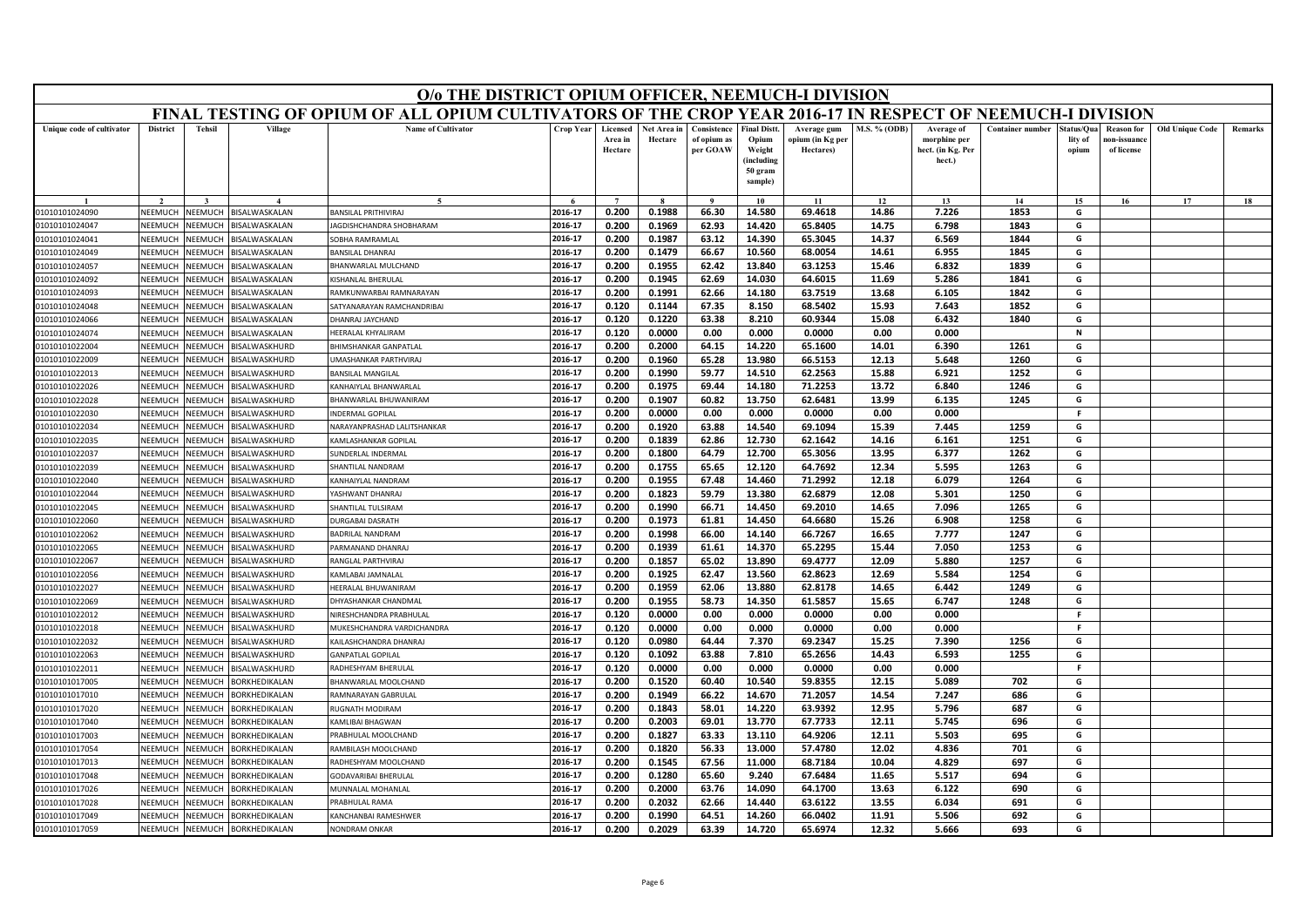|                                  |                    |                    |                                              | O/o THE DISTRICT OPIUM OFFICER, NEEMUCH-I DIVISION                                                        |                    |                                |                        |                                        |                                                                            |                                              |                |                                                           |                         |                               |                                                |                        |         |
|----------------------------------|--------------------|--------------------|----------------------------------------------|-----------------------------------------------------------------------------------------------------------|--------------------|--------------------------------|------------------------|----------------------------------------|----------------------------------------------------------------------------|----------------------------------------------|----------------|-----------------------------------------------------------|-------------------------|-------------------------------|------------------------------------------------|------------------------|---------|
|                                  |                    |                    |                                              | FINAL TESTING OF OPIUM OF ALL OPIUM CULTIVATORS OF THE CROP YEAR 2016-17 IN RESPECT OF NEEMUCH-I DIVISION |                    |                                |                        |                                        |                                                                            |                                              |                |                                                           |                         |                               |                                                |                        |         |
| Unique code of cultivator        | <b>District</b>    | <b>Tehsil</b>      | Village                                      | <b>Name of Cultivator</b>                                                                                 | Crop Year          | Licensed<br>Area in<br>Hectare | Net Area in<br>Hectare | Consistence<br>of opium as<br>per GOAW | <b>Final Distt.</b><br>Opium<br>Weight<br>(including<br>50 gram<br>sample) | Average gum<br>opium (in Kg per<br>Hectares) | M.S. % (ODB)   | Average of<br>morphine per<br>hect. (in Kg. Per<br>hect.) | <b>Container number</b> | tatus/Qua<br>lity of<br>opium | <b>Reason for</b><br>10n-issuanc<br>of license | <b>Old Unique Code</b> | Remarks |
|                                  |                    |                    |                                              |                                                                                                           |                    |                                |                        |                                        | 10                                                                         | 11                                           | 12             | 13                                                        | 14                      | 15                            | 16                                             | 17                     | 18      |
| 01010101024090                   | NEEMUCH            | NEEMUCH            | BISALWASKALAN                                | <b>BANSILAL PRITHIVIRAJ</b>                                                                               | 2016-17            | 0.200                          | 0.1988                 | 66.30                                  | 14.580                                                                     | 69.4618                                      | 14.86          | 7.226                                                     | 1853                    | G                             |                                                |                        |         |
| 01010101024047                   | NEEMUCH            | NEEMUCH            | BISALWASKALAN                                | AGDISHCHANDRA SHOBHARAM                                                                                   | 2016-17            | 0.200                          | 0.1969                 | 62.93                                  | 14.420                                                                     | 65.8405                                      | 14.75          | 6.798                                                     | 1843                    | G                             |                                                |                        |         |
| 01010101024041                   | NEEMUCH            | NEEMUCH            | BISALWASKALAN                                | SOBHA RAMRAMLAI                                                                                           | 2016-17            | 0.200                          | 0.1987                 | 63.12                                  | 14.390                                                                     | 65.3045                                      | 14.37          | 6.569                                                     | 1844                    | G                             |                                                |                        |         |
| 01010101024049                   | NEEMUCH            | NEEMUCH            | BISALWASKALAN                                | <b>BANSILAL DHANRAJ</b>                                                                                   | 2016-17            | 0.200                          | 0.1479                 | 66.67                                  | 10.560                                                                     | 68.0054                                      | 14.61          | 6.955                                                     | 1845                    | G                             |                                                |                        |         |
| 01010101024057                   | NEEMUCH            | NEEMUCH            | BISALWASKALAN                                | BHANWARLAL MULCHAND                                                                                       | 2016-17            | 0.200                          | 0.1955                 | 62.42                                  | 13.840                                                                     | 63.1253                                      | 15.46          | 6.832                                                     | 1839                    | G                             |                                                |                        |         |
| 01010101024092                   | NEEMUCH            | NEEMUCH            | BISALWASKALAN                                | KISHANLAL BHERULAI                                                                                        | 2016-17            | 0.200                          | 0.1945                 | 62.69                                  | 14.030                                                                     | 64.6015                                      | 11.69          | 5.286                                                     | 1841                    | G                             |                                                |                        |         |
| 01010101024093                   | NEEMUCH            | NEEMUCH            | BISALWASKALAN                                | RAMKUNWARBAI RAMNARAYAN                                                                                   | 2016-17            | 0.200                          | 0.1991                 | 62.66                                  | 14.180                                                                     | 63.7519                                      | 13.68          | 6.105                                                     | 1842                    | G                             |                                                |                        |         |
| 01010101024048                   | NEEMUCI            | NEEMUCH            | BISALWASKALAN                                | SATYANARAYAN RAMCHANDRIBAI                                                                                | 2016-17            | 0.120                          | 0.1144                 | 67.35                                  | 8.150                                                                      | 68.5402                                      | 15.93          | 7.643                                                     | 1852                    | G                             |                                                |                        |         |
| 01010101024066                   | NEEMUCH            | NEEMUCH            | BISALWASKALAN                                | DHANRAJ JAYCHAND                                                                                          | 2016-17            | 0.120                          | 0.1220                 | 63.38                                  | 8.210                                                                      | 60.9344                                      | 15.08          | 6.432                                                     | 1840                    | G                             |                                                |                        |         |
| 01010101024074                   | NEEMUCH            | NEEMUCH            | BISALWASKALAN                                | HEERALAL KHYALIRAM                                                                                        | 2016-17            | 0.120                          | 0.0000                 | 0.00                                   | 0.000                                                                      | 0.0000                                       | 0.00           | 0.000                                                     |                         | N                             |                                                |                        |         |
| 01010101022004                   | NEEMUCH            | NEEMUCH            | BISALWASKHURD                                | BHIMSHANKAR GANPATLAL                                                                                     | 2016-17            | 0.200                          | 0.2000                 | 64.15                                  | 14.220                                                                     | 65.1600                                      | 14.01          | 6.390                                                     | 1261                    | G                             |                                                |                        |         |
| 01010101022009                   | NEEMUCH            | VEEMUCH            | <b>BISALWASKHURD</b>                         | <b>JMASHANKAR PARTHVIRAJ</b>                                                                              | 2016-17            | 0.200                          | 0.1960                 | 65.28                                  | 13.980                                                                     | 66.5153                                      | 12.13          | 5.648                                                     | 1260                    | G                             |                                                |                        |         |
| 01010101022013                   | NEEMUCH            | NEEMUCH            | BISALWASKHURD                                | <b>BANSILAL MANGILAL</b>                                                                                  | 2016-17            | 0.200                          | 0.1990                 | 59.77                                  | 14.510                                                                     | 62.2563                                      | 15.88          | 6.921                                                     | 1252                    | G                             |                                                |                        |         |
| 01010101022026                   | NEEMUCH            | NEEMUCH            | BISALWASKHURD                                | KANHAIYLAL BHANWARLAL                                                                                     | 2016-17            | 0.200                          | 0.1975                 | 69.44                                  | 14.180                                                                     | 71.2253                                      | 13.72          | 6.840                                                     | 1246                    | G                             |                                                |                        |         |
| 01010101022028                   | NEEMUCI            | VEEMUCH            | <b>BISALWASKHURD</b>                         | BHANWARLAL BHUWANIRAM                                                                                     | 2016-17            | 0.200                          | 0.1907                 | 60.82                                  | 13.750                                                                     | 62.6481                                      | 13.99          | 6.135                                                     | 1245                    | G                             |                                                |                        |         |
| 01010101022030                   | NEEMUCH            | VEEMUCH            | BISALWASKHURD                                | INDERMAL GOPILAL                                                                                          | 2016-17            | 0.200                          | 0.0000                 | 0.00                                   | 0.000                                                                      | 0.0000                                       | 0.00           | 0.000                                                     |                         | F.                            |                                                |                        |         |
| 01010101022034                   | NEEMUCH<br>NEEMUCI | NEEMUCH            | BISALWASKHURD                                | NARAYANPRASHAD LALITSHANKAR                                                                               | 2016-17            | 0.200                          | 0.1920                 | 63.88                                  | 14.540                                                                     | 69.1094                                      | 15.39          | 7.445                                                     | 1259                    | G                             |                                                |                        |         |
| 01010101022035                   |                    | VEEMUCH            | <b>BISALWASKHURD</b>                         | KAMLASHANKAR GOPILAI                                                                                      | 2016-17            | 0.200                          | 0.1839                 | 62.86                                  | 12.730                                                                     | 62.1642                                      | 14.16          | 6.161                                                     | 1251                    | G                             |                                                |                        |         |
| 01010101022037                   | NEEMUCH            | NEEMUCH            | BISALWASKHURD                                | SUNDERLAL INDERMAL                                                                                        | 2016-17            | 0.200                          | 0.1800                 | 64.79                                  | 12.700                                                                     | 65.3056                                      | 13.95          | 6.377                                                     | 1262                    | G<br>G                        |                                                |                        |         |
| 01010101022039                   | NEEMUCH            | NEEMUCH            | BISALWASKHURD                                | SHANTILAL NANDRAM                                                                                         | 2016-17            | 0.200                          | 0.1755                 | 65.65                                  | 12.120                                                                     | 64.7692<br>71.2992                           | 12.34          | 5.595                                                     | 1263<br>1264            | G                             |                                                |                        |         |
| 01010101022040<br>01010101022044 | NEEMUCI<br>NEEMUCH | VEEMUCH<br>VEEMUCH | <b>BISALWASKHURD</b><br><b>BISALWASKHURD</b> | KANHAIYLAL NANDRAM<br><b>ASHWANT DHANRAJ</b>                                                              | 2016-17<br>2016-17 | 0.200<br>0.200                 | 0.1955<br>0.1823       | 67.48<br>59.79                         | 14.460<br>13.380                                                           | 62.6879                                      | 12.18<br>12.08 | 6.079<br>5.301                                            | 1250                    | G                             |                                                |                        |         |
| 01010101022045                   | NEEMUCH            | NEEMUCH            | BISALWASKHURD                                | SHANTILAL TULSIRAM                                                                                        | 2016-17            | 0.200                          | 0.1990                 | 66.71                                  | 14.450                                                                     | 69.2010                                      | 14.65          | 7.096                                                     | 1265                    | G                             |                                                |                        |         |
| 01010101022060                   | NEEMUCI            | VEEMUCH            | <b>BISALWASKHURD</b>                         | <b>DURGABAI DASRATH</b>                                                                                   | 2016-17            | 0.200                          | 0.1973                 | 61.81                                  | 14.450                                                                     | 64.6680                                      | 15.26          | 6.908                                                     | 1258                    | G                             |                                                |                        |         |
| 01010101022062                   | NEEMUCH            | NEEMUCH            | BISALWASKHURD                                | BADRILAL NANDRAM                                                                                          | 2016-17            | 0.200                          | 0.1998                 | 66.00                                  | 14.140                                                                     | 66.7267                                      | 16.65          | 7.777                                                     | 1247                    | G                             |                                                |                        |         |
| 01010101022065                   | NEEMUCH            | NEEMUCH            | BISALWASKHURD                                | PARMANAND DHANRAJ                                                                                         | 2016-17            | 0.200                          | 0.1939                 | 61.61                                  | 14.370                                                                     | 65.2295                                      | 15.44          | 7.050                                                     | 1253                    | G                             |                                                |                        |         |
| 01010101022067                   | NEEMUCI            | VEEMUCH            | <b>BISALWASKHURD</b>                         | RANGLAL PARTHVIRAJ                                                                                        | 2016-17            | 0.200                          | 0.1857                 | 65.02                                  | 13.890                                                                     | 69.4777                                      | 12.09          | 5.880                                                     | 1257                    | G                             |                                                |                        |         |
| 01010101022056                   | NEEMUCH            | NEEMUCH            | BISALWASKHURD                                | KAMLABAI JAMNALAI                                                                                         | 2016-17            | 0.200                          | 0.1925                 | 62.47                                  | 13.560                                                                     | 62.8623                                      | 12.69          | 5.584                                                     | 1254                    | G                             |                                                |                        |         |
| 01010101022027                   | NEEMUCH            | NEEMUCH            | BISALWASKHURD                                | <b>IEERALAL BHUWANIRAM</b>                                                                                | 2016-17            | 0.200                          | 0.1959                 | 62.06                                  | 13.880                                                                     | 62.8178                                      | 14.65          | 6.442                                                     | 1249                    | G                             |                                                |                        |         |
| 01010101022069                   | NEEMUCH            | NEEMUCH            | BISALWASKHURD                                | DHYASHANKAR CHANDMAL                                                                                      | 2016-17            | 0.200                          | 0.1955                 | 58.73                                  | 14.350                                                                     | 61.5857                                      | 15.65          | 6.747                                                     | 1248                    | G                             |                                                |                        |         |
| 01010101022012                   | NEEMUCH            | NEEMUCH            | BISALWASKHURD                                | NIRESHCHANDRA PRABHULAL                                                                                   | 2016-17            | 0.120                          | 0.0000                 | 0.00                                   | 0.000                                                                      | 0.0000                                       | 0.00           | 0.000                                                     |                         | F.                            |                                                |                        |         |
| 01010101022018                   | NEEMUCH            | NEEMUCH            | BISALWASKHURD                                | MUKESHCHANDRA VARDICHANDRA                                                                                | 2016-17            | 0.120                          | 0.0000                 | 0.00                                   | 0.000                                                                      | 0.0000                                       | 0.00           | 0.000                                                     |                         | F.                            |                                                |                        |         |
| 01010101022032                   | NEEMUCH            | NEEMUCH            | BISALWASKHURD                                | KAILASHCHANDRA DHANRAJ                                                                                    | 2016-17            | 0.120                          | 0.0980                 | 64.44                                  | 7.370                                                                      | 69.2347                                      | 15.25          | 7.390                                                     | 1256                    | G                             |                                                |                        |         |
| 01010101022063                   | NEEMUCH            | NEEMUCH            | BISALWASKHURD                                | <b>GANPATLAL GOPILAL</b>                                                                                  | 2016-17            | 0.120                          | 0.1092                 | 63.88                                  | 7.810                                                                      | 65.2656                                      | 14.43          | 6.593                                                     | 1255                    | G                             |                                                |                        |         |
| 01010101022011                   | NEEMUCH            | NEEMUCH            | BISALWASKHURD                                | RADHESHYAM BHERULAL                                                                                       | 2016-17            | 0.120                          | 0.0000                 | 0.00                                   | 0.000                                                                      | 0.0000                                       | 0.00           | 0.000                                                     |                         | F.                            |                                                |                        |         |
| 01010101017005                   | NEEMUCH            | NEEMUCH            | BORKHEDIKALAN                                | BHANWARLAL MOOLCHAND                                                                                      | 2016-17            | 0.200                          | 0.1520                 | 60.40                                  | 10.540                                                                     | 59.8355                                      | 12.15          | 5.089                                                     | 702                     | G                             |                                                |                        |         |
| 01010101017010                   | NEEMUCH            | NEEMUCH            | BORKHEDIKALAN                                | RAMNARAYAN GABRULAL                                                                                       | 2016-17            | 0.200                          | 0.1949                 | 66.22                                  | 14.670                                                                     | 71.2057                                      | 14.54          | 7.247                                                     | 686                     | G                             |                                                |                        |         |
| 01010101017020                   | VEEMUCH            | VEEMUCH            | BORKHEDIKALAN                                | RUGNATH MODIRAM                                                                                           | 2016-17            | 0.200                          | 0.1843                 | 58.01                                  | 14.220                                                                     | 63.9392                                      | 12.95          | 5.796                                                     | 687                     | G                             |                                                |                        |         |
| 01010101017040                   | NEEMUCH            | VEEMUCH            | BORKHEDIKALAN                                | KAMLIBAI BHAGWAN                                                                                          | 2016-17            | 0.200                          | 0.2003                 | 69.01                                  | 13.770                                                                     | 67.7733                                      | 12.11          | 5.745                                                     | 696                     | G                             |                                                |                        |         |
| 01010101017003                   | NEEMUCH            | NEEMUCH            | BORKHEDIKALAN                                | PRABHULAL MOOLCHAND                                                                                       | 2016-17            | 0.200                          | 0.1827                 | 63.33                                  | 13.110                                                                     | 64.9206                                      | 12.11          | 5.503                                                     | 695                     | G                             |                                                |                        |         |
| 01010101017054                   | VEEMUCH            | VEEMUCH            | BORKHEDIKALAN                                | RAMBILASH MOOLCHAND                                                                                       | 2016-17            | 0.200                          | 0.1820                 | 56.33                                  | 13.000                                                                     | 57.4780                                      | 12.02          | 4.836                                                     | 701                     | G                             |                                                |                        |         |
| 01010101017013                   | <b>NFFMUCH</b>     | NFFMUCH            | BORKHEDIKALAN                                | RADHESHYAM MOOLCHAND                                                                                      | 2016-17            | 0.200                          | 0.1545                 | 67.56                                  | 11.000                                                                     | 68.7184                                      | 10.04          | 4.829                                                     | 697                     | G                             |                                                |                        |         |
| 01010101017048                   | NEEMUCH            | VEEMUCH            | BORKHEDIKALAN                                | GODAVARIBAI BHERULAL                                                                                      | 2016-17            | 0.200                          | 0.1280                 | 65.60                                  | 9.240                                                                      | 67.6484                                      | 11.65          | 5.517                                                     | 694                     | G                             |                                                |                        |         |
| 01010101017026                   | NEEMUCI            | VEEMUCH            | BORKHEDIKALAN                                | MUNNALAL MOHANLAL                                                                                         | 2016-17            | 0.200                          | 0.2000                 | 63.76                                  | 14.090                                                                     | 64.1700                                      | 13.63          | 6.122                                                     | 690                     | G                             |                                                |                        |         |
| 01010101017028                   | NEEMUCH            | VEEMUCH            | BORKHEDIKALAN                                | PRABHULAL RAMA                                                                                            | 2016-17            | 0.200                          | 0.2032                 | 62.66                                  | 14.440                                                                     | 63.6122                                      | 13.55          | 6.034                                                     | 691                     | G                             |                                                |                        |         |
| 01010101017049                   | NEEMUCH            | NEEMUCH            | BORKHEDIKALAN                                | KANCHANBAI RAMESHWER                                                                                      | 2016-17            | 0.200                          | 0.1990                 | 64.51                                  | 14.260                                                                     | 66.0402                                      | 11.91          | 5.506                                                     | 692                     | G                             |                                                |                        |         |
| 01010101017059                   | NEEMUCH            | NEEMUCH            | BORKHEDIKALAN                                | NONDRAM ONKAR                                                                                             | 2016-17            | 0.200                          | 0.2029                 | 63.39                                  | 14.720                                                                     | 65.6974                                      | 12.32          | 5.666                                                     | 693                     | G                             |                                                |                        |         |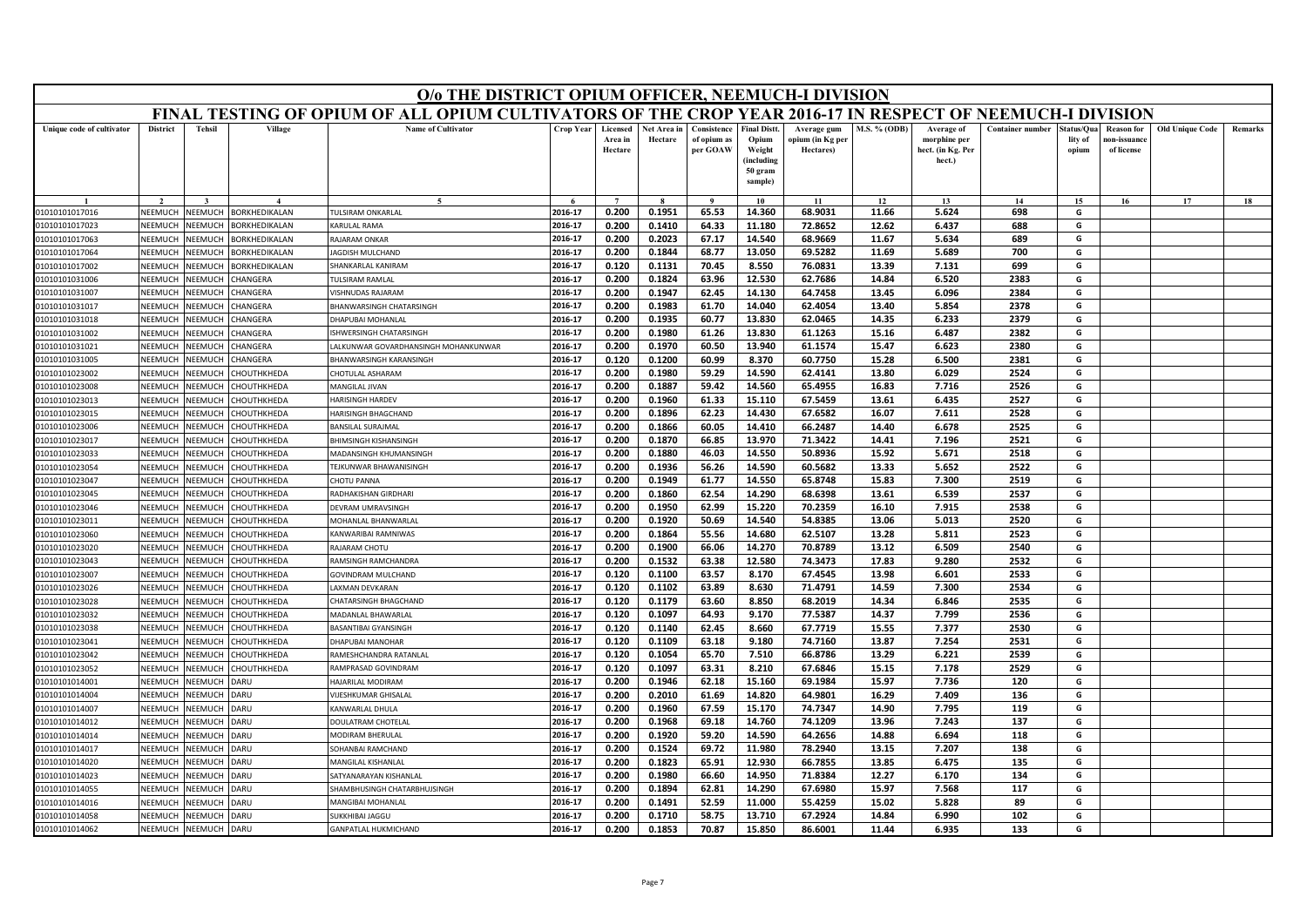|                                  | O/o THE DISTRICT OPIUM OFFICER, NEEMUCH-I DIVISION<br>FINAL TESTING OF OPIUM OF ALL OPIUM CULTIVATORS OF THE CROP YEAR 2016-17 IN RESPECT OF NEEMUCH-I DIVISION |                    |                                          |                                                  |                    |                                |                        |                                        |                                                                            |                                              |                     |                                                           |                         |                               |                                                |                        |         |
|----------------------------------|-----------------------------------------------------------------------------------------------------------------------------------------------------------------|--------------------|------------------------------------------|--------------------------------------------------|--------------------|--------------------------------|------------------------|----------------------------------------|----------------------------------------------------------------------------|----------------------------------------------|---------------------|-----------------------------------------------------------|-------------------------|-------------------------------|------------------------------------------------|------------------------|---------|
|                                  |                                                                                                                                                                 |                    |                                          |                                                  |                    |                                |                        |                                        |                                                                            |                                              |                     |                                                           |                         |                               |                                                |                        |         |
| Unique code of cultivator        | <b>District</b>                                                                                                                                                 | <b>Tehsil</b>      | Village                                  | <b>Name of Cultivator</b>                        | Crop Year          | Licensed<br>Area in<br>Hectare | Net Area in<br>Hectare | Consistence<br>of opium as<br>per GOAW | <b>Final Distt.</b><br>Opium<br>Weight<br>(including<br>50 gram<br>sample) | Average gum<br>opium (in Kg per<br>Hectares) | <b>M.S. % (ODB)</b> | Average of<br>morphine per<br>hect. (in Kg. Per<br>hect.) | <b>Container number</b> | tatus/Qua<br>lity of<br>opium | <b>Reason for</b><br>10n-issuanc<br>of license | <b>Old Unique Code</b> | Remarks |
|                                  |                                                                                                                                                                 |                    |                                          |                                                  |                    |                                |                        |                                        | 10                                                                         | 11                                           | 12                  | 13                                                        | 14                      | 15                            | 16                                             | 17                     | 18      |
| 01010101017016                   | NEEMUCH                                                                                                                                                         | NEEMUCH            | BORKHEDIKALAN                            | <b>TULSIRAM ONKARLAL</b>                         | 2016-17            | 0.200                          | 0.1951                 | 65.53                                  | 14.360                                                                     | 68.9031                                      | 11.66               | 5.624                                                     | 698                     | G                             |                                                |                        |         |
| 01010101017023                   | NEEMUCH                                                                                                                                                         | NEEMUCH            | BORKHEDIKALAN                            | KARULAL RAMA                                     | 2016-17            | 0.200                          | 0.1410                 | 64.33                                  | 11.180                                                                     | 72.8652                                      | 12.62               | 6.437                                                     | 688                     | G                             |                                                |                        |         |
| 01010101017063                   | NEEMUCH                                                                                                                                                         | NEEMUCH            | BORKHEDIKALAN                            | RAJARAM ONKAR                                    | 2016-17            | 0.200                          | 0.2023                 | 67.17                                  | 14.540                                                                     | 68.9669                                      | 11.67               | 5.634                                                     | 689                     | G                             |                                                |                        |         |
| 01010101017064                   | NEEMUCH                                                                                                                                                         | NEEMUCH            | BORKHEDIKALAN                            | JAGDISH MULCHAND                                 | 2016-17            | 0.200                          | 0.1844                 | 68.77                                  | 13.050                                                                     | 69.5282                                      | 11.69               | 5.689                                                     | 700                     | G                             |                                                |                        |         |
| 01010101017002                   | NEEMUCH                                                                                                                                                         | NEEMUCH            | BORKHEDIKALAN                            | SHANKARLAL KANIRAM                               | 2016-17            | 0.120                          | 0.1131                 | 70.45                                  | 8.550                                                                      | 76.0831                                      | 13.39               | 7.131                                                     | 699                     | G                             |                                                |                        |         |
| 01010101031006                   | NEEMUCH                                                                                                                                                         | NEEMUCH            | CHANGERA                                 | TULSIRAM RAMLAL                                  | 2016-17            | 0.200                          | 0.1824                 | 63.96                                  | 12.530                                                                     | 62.7686                                      | 14.84               | 6.520                                                     | 2383                    | G                             |                                                |                        |         |
| 01010101031007                   | NEEMUCH                                                                                                                                                         | NEEMUCH            | CHANGERA                                 | VISHNUDAS RAJARAM                                | 2016-17            | 0.200                          | 0.1947                 | 62.45                                  | 14.130                                                                     | 64.7458                                      | 13.45               | 6.096                                                     | 2384                    | G                             |                                                |                        |         |
| 01010101031017                   | NEEMUCI                                                                                                                                                         | NEEMUCH            | CHANGERA                                 | <b>BHANWARSINGH CHATARSINGH</b>                  | 2016-17            | 0.200                          | 0.1983                 | 61.70                                  | 14.040                                                                     | 62.4054                                      | 13.40               | 5.854                                                     | 2378                    | G                             |                                                |                        |         |
| 01010101031018                   | NEEMUCH                                                                                                                                                         | NEEMUCH            | CHANGERA                                 | DHAPUBAI MOHANLAL                                | 2016-17            | 0.200                          | 0.1935                 | 60.77                                  | 13.830                                                                     | 62.0465                                      | 14.35               | 6.233                                                     | 2379                    | G                             |                                                |                        |         |
| 01010101031002                   | NEEMUCH                                                                                                                                                         | NEEMUCH            | CHANGERA                                 | ISHWERSINGH CHATARSINGH                          | 2016-17            | 0.200                          | 0.1980                 | 61.26                                  | 13.830                                                                     | 61.1263                                      | 15.16               | 6.487                                                     | 2382                    | G                             |                                                |                        |         |
| 01010101031021                   | NEEMUCH                                                                                                                                                         | NEEMUCH            | CHANGERA                                 | ALKUNWAR GOVARDHANSINGH MOHANKUNWAR              | 2016-17            | 0.200                          | 0.1970                 | 60.50                                  | 13.940                                                                     | 61.1574                                      | 15.47               | 6.623                                                     | 2380                    | G                             |                                                |                        |         |
| 01010101031005                   | NEEMUCH                                                                                                                                                         | VEEMUCH            | <b>HANGERA</b>                           | BHANWARSINGH KARANSINGH                          | 2016-17            | 0.120                          | 0.1200                 | 60.99                                  | 8.370                                                                      | 60.7750                                      | 15.28               | 6.500                                                     | 2381                    | G                             |                                                |                        |         |
| 01010101023002                   | NEEMUCH                                                                                                                                                         | NEEMUCH            | CHOUTHKHEDA                              | CHOTULAL ASHARAM                                 | 2016-17            | 0.200                          | 0.1980                 | 59.29                                  | 14.590                                                                     | 62.4141                                      | 13.80               | 6.029                                                     | 2524                    | G                             |                                                |                        |         |
| 01010101023008                   | NEEMUCH                                                                                                                                                         | NEEMUCH            | CHOUTHKHEDA                              | MANGILAL JIVAN                                   | 2016-17            | 0.200                          | 0.1887                 | 59.42                                  | 14.560                                                                     | 65.4955                                      | 16.83               | 7.716                                                     | 2526                    | G                             |                                                |                        |         |
| 01010101023013                   | NEEMUCI                                                                                                                                                         | VEEMUCH            | <b>HOUTHKHEDA</b>                        | HARISINGH HARDEV                                 | 2016-17            | 0.200                          | 0.1960                 | 61.33                                  | 15.110                                                                     | 67.5459                                      | 13.61               | 6.435                                                     | 2527                    | G                             |                                                |                        |         |
| 01010101023015                   | NEEMUCH                                                                                                                                                         | VEEMUCH            | CHOUTHKHEDA                              | HARISINGH BHAGCHAND                              | 2016-17            | 0.200                          | 0.1896                 | 62.23                                  | 14.430                                                                     | 67.6582                                      | 16.07               | 7.611                                                     | 2528                    | G                             |                                                |                        |         |
| 01010101023006                   | NEEMUCH                                                                                                                                                         | NEEMUCH            | CHOUTHKHEDA                              | <b>BANSILAL SURAIMAL</b>                         | 2016-17            | 0.200                          | 0.1866                 | 60.05                                  | 14.410                                                                     | 66.2487                                      | 14.40               | 6.678                                                     | 2525                    | G                             |                                                |                        |         |
| 0101010102301                    | NEEMUC                                                                                                                                                          | VEEMUCH            | <b>CHOUTHKHEDA</b>                       | BHIMSINGH KISHANSINGH                            | 2016-17            | 0.200                          | 0.1870                 | 66.85                                  | 13.970                                                                     | 71.3422                                      | 14.41               | 7.196                                                     | 2521                    | G                             |                                                |                        |         |
| 01010101023033                   | NEEMUCH                                                                                                                                                         | NEEMUCH            | CHOUTHKHEDA                              | MADANSINGH KHUMANSINGH                           | 2016-17            | 0.200                          | 0.1880                 | 46.03                                  | 14.550                                                                     | 50.8936                                      | 15.92               | 5.671                                                     | 2518                    | G                             |                                                |                        |         |
| 01010101023054                   | NEEMUCH                                                                                                                                                         | NEEMUCH            | CHOUTHKHEDA                              | TEJKUNWAR BHAWANISINGH                           | 2016-17            | 0.200                          | 0.1936                 | 56.26                                  | 14.590                                                                     | 60.5682                                      | 13.33               | 5.652                                                     | 2522                    | G                             |                                                |                        |         |
| 01010101023047                   | NEEMUCI                                                                                                                                                         | VEEMUCH            | <b>HOUTHKHEDA</b>                        | CHOTU PANNA                                      | 2016-17            | 0.200                          | 0.1949                 | 61.77                                  | 14.550                                                                     | 65.8748                                      | 15.83               | 7.300                                                     | 2519                    | G                             |                                                |                        |         |
| 01010101023045                   | NEEMUCH                                                                                                                                                         | VEEMUCH            | <b>CHOUTHKHEDA</b>                       | RADHAKISHAN GIRDHARI<br>DEVRAM UMRAVSINGH        | 2016-17<br>2016-17 | 0.200                          | 0.1860                 | 62.54                                  | 14.290                                                                     | 68.6398<br>70.2359                           | 13.61               | 6.539<br>7.915                                            | 2537<br>2538            | G<br>G                        |                                                |                        |         |
| 01010101023046                   | NEEMUCH                                                                                                                                                         | VEEMUCH            | <b>CHOUTHKHEDA</b>                       |                                                  | 2016-17            | 0.200<br>0.200                 | 0.1950<br>0.1920       | 62.99<br>50.69                         | 15.220<br>14.540                                                           | 54.8385                                      | 16.10<br>13.06      | 5.013                                                     | 2520                    | G                             |                                                |                        |         |
| 01010101023011                   | NEEMUCI                                                                                                                                                         | VEEMUCH            | <b>CHOUTHKHEDA</b>                       | MOHANLAL BHANWARLAL                              | 2016-17            | 0.200                          | 0.1864                 | 55.56                                  | 14.680                                                                     | 62.5107                                      | 13.28               |                                                           | 2523                    | G                             |                                                |                        |         |
| 01010101023060<br>01010101023020 | NEEMUCH<br>NEEMUCH                                                                                                                                              | NEEMUCH<br>NEEMUCH | CHOUTHKHEDA<br>CHOUTHKHEDA               | KANWARIBAI RAMNIWAS<br>RAIARAM CHOTLI            | 2016-17            | 0.200                          | 0.1900                 | 66.06                                  | 14.270                                                                     | 70.8789                                      | 13.12               | 5.811<br>6.509                                            | 2540                    | G                             |                                                |                        |         |
|                                  | NEEMUCI                                                                                                                                                         | VEEMUCH            |                                          |                                                  | 2016-17            | 0.200                          | 0.1532                 | 63.38                                  | 12.580                                                                     | 74.3473                                      | 17.83               | 9.280                                                     | 2532                    | G                             |                                                |                        |         |
| 01010101023043<br>01010101023007 | NEEMUCH                                                                                                                                                         | NEEMUCH            | <b>СНОUTHKHEDA</b><br><b>CHOUTHKHEDA</b> | RAMSINGH RAMCHANDRA<br><b>GOVINDRAM MULCHAND</b> | 2016-17            | 0.120                          | 0.1100                 | 63.57                                  | 8.170                                                                      | 67.4545                                      | 13.98               | 6.601                                                     | 2533                    | G                             |                                                |                        |         |
| 01010101023026                   | NEEMUCH                                                                                                                                                         | NEEMUCH            | CHOUTHKHEDA                              | AXMAN DEVKARAN                                   | 2016-17            | 0.120                          | 0.1102                 | 63.89                                  | 8.630                                                                      | 71.4791                                      | 14.59               | 7.300                                                     | 2534                    | G                             |                                                |                        |         |
| 01010101023028                   | NEEMUCH                                                                                                                                                         | NEEMUCH            | CHOUTHKHEDA                              | CHATARSINGH BHAGCHAND                            | 2016-17            | 0.120                          | 0.1179                 | 63.60                                  | 8.850                                                                      | 68.2019                                      | 14.34               | 6.846                                                     | 2535                    | G                             |                                                |                        |         |
| 01010101023032                   | NEEMUCH                                                                                                                                                         | NEEMUCH            | CHOUTHKHEDA                              | MADANLAL BHAWARLAI                               | 2016-17            | 0.120                          | 0.1097                 | 64.93                                  | 9.170                                                                      | 77.5387                                      | 14.37               | 7.799                                                     | 2536                    | G                             |                                                |                        |         |
| 01010101023038                   | NEEMUCH                                                                                                                                                         | NEEMUCH            | CHOUTHKHEDA                              | <b>BASANTIBAI GYANSINGH</b>                      | 2016-17            | 0.120                          | 0.1140                 | 62.45                                  | 8.660                                                                      | 67.7719                                      | 15.55               | 7.377                                                     | 2530                    | G                             |                                                |                        |         |
| 01010101023041                   | NEEMUCH                                                                                                                                                         | NEEMUCH            | <b>CHOUTHKHEDA</b>                       | DHAPUBAI MANOHAR                                 | 2016-17            | 0.120                          | 0.1109                 | 63.18                                  | 9.180                                                                      | 74.7160                                      | 13.87               | 7.254                                                     | 2531                    | G                             |                                                |                        |         |
| 01010101023042                   | NEEMUCH                                                                                                                                                         | NEEMUCH            | CHOUTHKHEDA                              | RAMESHCHANDRA RATANLAI                           | 2016-17            | 0.120                          | 0.1054                 | 65.70                                  | 7.510                                                                      | 66.8786                                      | 13.29               | 6.221                                                     | 2539                    | G                             |                                                |                        |         |
| 01010101023052                   | NEEMUCH                                                                                                                                                         | NEEMUCH            | CHOUTHKHEDA                              | RAMPRASAD GOVINDRAM                              | 2016-17            | 0.120                          | 0.1097                 | 63.31                                  | 8.210                                                                      | 67.6846                                      | 15.15               | 7.178                                                     | 2529                    | G                             |                                                |                        |         |
| 01010101014001                   | NEEMUCH                                                                                                                                                         | NEEMUCH            | DARU                                     | HAJARILAL MODIRAM                                | 2016-17            | 0.200                          | 0.1946                 | 62.18                                  | 15.160                                                                     | 69.1984                                      | 15.97               | 7.736                                                     | 120                     | G                             |                                                |                        |         |
| 01010101014004                   | NEEMUCH                                                                                                                                                         | NEEMUCH            | DARU                                     | VIJESHKUMAR GHISALAL                             | 2016-17            | 0.200                          | 0.2010                 | 61.69                                  | 14.820                                                                     | 64.9801                                      | 16.29               | 7.409                                                     | 136                     | G                             |                                                |                        |         |
| 01010101014007                   | VEEMUCH                                                                                                                                                         | VEEMUCH            | DARU                                     | <b>KANWARLAL DHULA</b>                           | 2016-17            | 0.200                          | 0.1960                 | 67.59                                  | 15.170                                                                     | 74.7347                                      | 14.90               | 7.795                                                     | 119                     | G                             |                                                |                        |         |
| 01010101014012                   | NEEMUCH                                                                                                                                                         | VEEMUCH            | DARU                                     | DOULATRAM CHOTELAL                               | 2016-17            | 0.200                          | 0.1968                 | 69.18                                  | 14.760                                                                     | 74.1209                                      | 13.96               | 7.243                                                     | 137                     | G                             |                                                |                        |         |
| 01010101014014                   | NEEMUCH                                                                                                                                                         | NEEMUCH            | DARU                                     | MODIRAM BHERULAL                                 | 2016-17            | 0.200                          | 0.1920                 | 59.20                                  | 14.590                                                                     | 64.2656                                      | 14.88               | 6.694                                                     | 118                     | G                             |                                                |                        |         |
| 01010101014017                   | VEEMUCH                                                                                                                                                         | VEEMUCH            | DARU                                     | SOHANBAI RAMCHAND                                | 2016-17            | 0.200                          | 0.1524                 | 69.72                                  | 11.980                                                                     | 78.2940                                      | 13.15               | 7.207                                                     | 138                     | G                             |                                                |                        |         |
| 01010101014020                   | NFFMUCH                                                                                                                                                         | NEEMUCH            | DARU                                     | MANGILAL KISHANLAI                               | 2016-17            | 0.200                          | 0.1823                 | 65.91                                  | 12.930                                                                     | 66.7855                                      | 13.85               | 6.475                                                     | 135                     | G                             |                                                |                        |         |
| 01010101014023                   | NEEMUCH                                                                                                                                                         | VEEMUCH            | DARU                                     | SATYANARAYAN KISHANLAL                           | 2016-17            | 0.200                          | 0.1980                 | 66.60                                  | 14.950                                                                     | 71.8384                                      | 12.27               | 6.170                                                     | 134                     | G                             |                                                |                        |         |
| 01010101014055                   | VEEMUCI                                                                                                                                                         | VEEMUCH            | DARU                                     | <b>SHAMBHUSINGH CHATARBHUJSINGH</b>              | 2016-17            | 0.200                          | 0.1894                 | 62.81                                  | 14.290                                                                     | 67.6980                                      | 15.97               | 7.568                                                     | 117                     | G                             |                                                |                        |         |
| 01010101014016                   | NEEMUCH                                                                                                                                                         | VEEMUCH            | <b>DARU</b>                              | MANGIRAI MOHANLAI                                | 2016-17            | 0.200                          | 0.1491                 | 52.59                                  | 11.000                                                                     | 55.4259                                      | 15.02               | 5.828                                                     | 89                      | G                             |                                                |                        |         |
| 01010101014058                   | NEEMUCH                                                                                                                                                         | NEEMUCH            | DARU                                     | SUKKHIBAI JAGGU                                  | 2016-17            | 0.200                          | 0.1710                 | 58.75                                  | 13.710                                                                     | 67.2924                                      | 14.84               | 6.990                                                     | 102                     | G                             |                                                |                        |         |
| 01010101014062                   | NEEMUCH                                                                                                                                                         | NEEMUCH            | DARU                                     | GANPATLAL HUKMICHAND                             | 2016-17            | 0.200                          | 0.1853                 | 70.87                                  | 15.850                                                                     | 86.6001                                      | 11.44               | 6.935                                                     | 133                     | G                             |                                                |                        |         |
|                                  |                                                                                                                                                                 |                    |                                          |                                                  |                    |                                |                        |                                        |                                                                            |                                              |                     |                                                           |                         |                               |                                                |                        |         |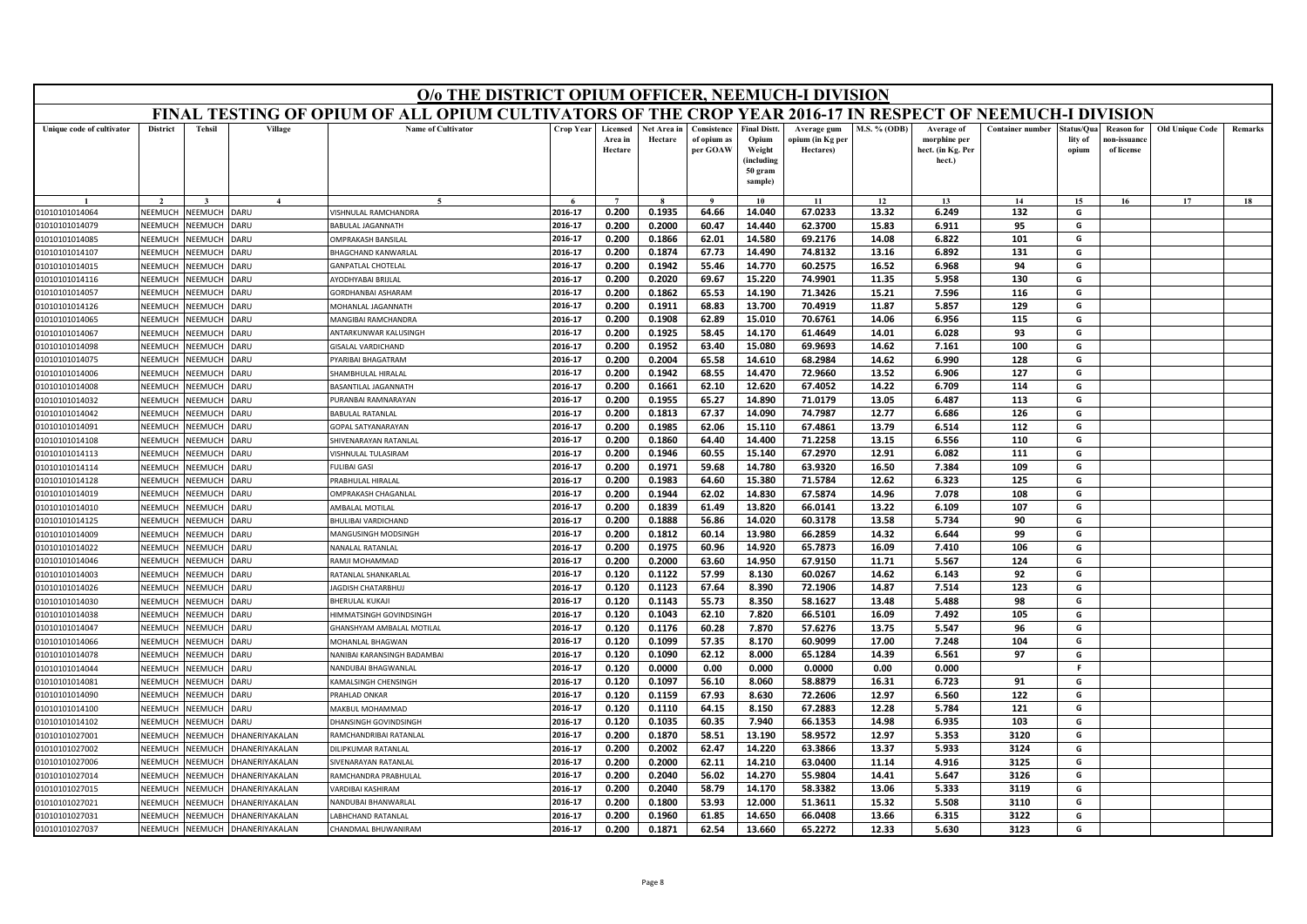|                                  |                    |                    |                | O/o THE DISTRICT OPIUM OFFICER, NEEMUCH-I DIVISION                                                        |                    |                                |                        |                                        |                                                                            |                                              |                     |                                                           |                         |                               |                                                |                        |         |
|----------------------------------|--------------------|--------------------|----------------|-----------------------------------------------------------------------------------------------------------|--------------------|--------------------------------|------------------------|----------------------------------------|----------------------------------------------------------------------------|----------------------------------------------|---------------------|-----------------------------------------------------------|-------------------------|-------------------------------|------------------------------------------------|------------------------|---------|
|                                  |                    |                    |                | FINAL TESTING OF OPIUM OF ALL OPIUM CULTIVATORS OF THE CROP YEAR 2016-17 IN RESPECT OF NEEMUCH-I DIVISION |                    |                                |                        |                                        |                                                                            |                                              |                     |                                                           |                         |                               |                                                |                        |         |
| Unique code of cultivator        | <b>District</b>    | <b>Tehsil</b>      | Village        | <b>Name of Cultivator</b>                                                                                 | Crop Year          | Licensed<br>Area in<br>Hectare | Net Area in<br>Hectare | Consistence<br>of opium as<br>per GOAW | <b>Final Distt.</b><br>Opium<br>Weight<br>(including<br>50 gram<br>sample) | Average gum<br>opium (in Kg per<br>Hectares) | <b>M.S. % (ODB)</b> | Average of<br>morphine per<br>hect. (in Kg. Per<br>hect.) | <b>Container number</b> | tatus/Qua<br>lity of<br>opium | <b>Reason for</b><br>10n-issuanc<br>of license | <b>Old Unique Code</b> | Remarks |
|                                  |                    |                    | $\mathbf{4}$   |                                                                                                           |                    |                                |                        |                                        | 10                                                                         | 11                                           | 12                  | 13                                                        | 14                      | 15                            | 16                                             | 17                     | 18      |
| 01010101014064                   | NEEMUCH            | NEEMUCH            | DARU           | VISHNULAL RAMCHANDRA                                                                                      | 2016-17            | 0.200                          | 0.1935                 | 64.66                                  | 14.040                                                                     | 67.0233                                      | 13.32               | 6.249                                                     | 132                     | G                             |                                                |                        |         |
| 01010101014079                   | NEEMUCH            | NEEMUCH            | DARU           | BABULAL JAGANNATH                                                                                         | 2016-17            | 0.200                          | 0.2000                 | 60.47                                  | 14.440                                                                     | 62.3700                                      | 15.83               | 6.911                                                     | 95                      | G                             |                                                |                        |         |
| 01010101014085                   | NEEMUCH            | NEEMUCH            | DARU           | OMPRAKASH BANSILAI                                                                                        | 2016-17            | 0.200                          | 0.1866                 | 62.01                                  | 14.580                                                                     | 69.2176                                      | 14.08               | 6.822                                                     | 101                     | G                             |                                                |                        |         |
| 01010101014107                   | NEEMUCH            | NEEMUCH            | DARU           | <b>BHAGCHAND KANWARLAL</b>                                                                                | 2016-17            | 0.200                          | 0.1874                 | 67.73                                  | 14.490                                                                     | 74.8132                                      | 13.16               | 6.892                                                     | 131                     | G                             |                                                |                        |         |
| 01010101014015                   | NEEMUCH            | NEEMUCH            | DARU           | <b>GANPATLAL CHOTELAL</b>                                                                                 | 2016-17            | 0.200                          | 0.1942                 | 55.46                                  | 14.770                                                                     | 60.2575                                      | 16.52               | 6.968                                                     | 94                      | G                             |                                                |                        |         |
| 01010101014116                   | NEEMUCH            | NEEMUCH            | DARU           | AYODHYABAI BRIJLAL                                                                                        | 2016-17            | 0.200                          | 0.2020                 | 69.67                                  | 15.220                                                                     | 74.9901                                      | 11.35               | 5.958                                                     | 130                     | G                             |                                                |                        |         |
| 01010101014057                   | NEEMUCH            | NEEMUCH            | DARU           | GORDHANBAI ASHARAM                                                                                        | 2016-17            | 0.200                          | 0.1862                 | 65.53                                  | 14.190                                                                     | 71.3426                                      | 15.21               | 7.596                                                     | 116                     | G                             |                                                |                        |         |
| 01010101014126                   | NEEMUCH            | NEEMUCH            | DARU           | MOHANLAL JAGANNATH                                                                                        | 2016-17            | 0.200                          | 0.1911                 | 68.83                                  | 13.700                                                                     | 70.4919                                      | 11.87               | 5.857                                                     | 129                     | G                             |                                                |                        |         |
| 01010101014065                   | NEEMUCH            | NEEMUCH            | DARU           | MANGIBAI RAMCHANDRA                                                                                       | 2016-17            | 0.200                          | 0.1908                 | 62.89                                  | 15.010                                                                     | 70.6761                                      | 14.06               | 6.956                                                     | 115                     | G                             |                                                |                        |         |
| 01010101014067                   | NEEMUCH            | NEEMUCH            | DARU           | ANTARKUNWAR KALUSINGH                                                                                     | 2016-17            | 0.200                          | 0.1925                 | 58.45                                  | 14.170                                                                     | 61.4649                                      | 14.01               | 6.028                                                     | 93                      | G                             |                                                |                        |         |
| 01010101014098                   | NEEMUCH            | NEEMUCH            | DARU           | GISALAL VARDICHAND                                                                                        | 2016-17            | 0.200                          | 0.1952                 | 63.40                                  | 15.080                                                                     | 69.9693                                      | 14.62               | 7.161                                                     | 100                     | G                             |                                                |                        |         |
| 01010101014075                   | NEEMUCH            | VEEMUCH            | DARU           | PYARIBAI BHAGATRAM                                                                                        | 2016-17            | 0.200                          | 0.2004                 | 65.58                                  | 14.610                                                                     | 68.2984                                      | 14.62               | 6.990                                                     | 128                     | G                             |                                                |                        |         |
| 01010101014006                   | NEEMUCH            | NEEMUCH            | DARU           | SHAMBHULAL HIRALAL                                                                                        | 2016-17            | 0.200                          | 0.1942                 | 68.55                                  | 14.470                                                                     | 72.9660                                      | 13.52               | 6.906                                                     | 127                     | G                             |                                                |                        |         |
| 01010101014008                   | NEEMUCH            | NEEMUCH            | <b>DARU</b>    | BASANTILAL JAGANNATH                                                                                      | 2016-17            | 0.200                          | 0.1661                 | 62.10                                  | 12.620                                                                     | 67.4052                                      | 14.22               | 6.709                                                     | 114                     | G                             |                                                |                        |         |
| 01010101014032                   | NEEMUCI            | VEEMUCH            | <b>DARU</b>    | PURANBAI RAMNARAYAN                                                                                       | 2016-17            | 0.200                          | 0.1955                 | 65.27                                  | 14.890                                                                     | 71.0179                                      | 13.05               | 6.487                                                     | 113                     | G                             |                                                |                        |         |
| 01010101014042                   | NEEMUCH            | NEEMUCH            | DARU           | <b>BABULAL RATANLAL</b>                                                                                   | 2016-17            | 0.200                          | 0.1813                 | 67.37                                  | 14.090                                                                     | 74.7987                                      | 12.77               | 6.686                                                     | 126                     | G                             |                                                |                        |         |
| 01010101014091                   | NEEMUCH            | NEEMUCH            | DARU           | <b>GOPAL SATYANARAYAN</b>                                                                                 | 2016-17            | 0.200                          | 0.1985                 | 62.06                                  | 15.110                                                                     | 67.4861                                      | 13.79               | 6.514                                                     | 112                     | G                             |                                                |                        |         |
| 01010101014108                   | NEEMUCI            | VEEMUCH            | <b>DARU</b>    | SHIVENARAYAN RATANLAL                                                                                     | 2016-17            | 0.200                          | 0.1860                 | 64.40                                  | 14.400                                                                     | 71.2258                                      | 13.15               | 6.556                                                     | 110                     | G                             |                                                |                        |         |
| 01010101014113                   | NEEMUCH            | NEEMUCH            | DARU           | VISHNULAL TULASIRAM                                                                                       | 2016-17            | 0.200                          | 0.1946                 | 60.55                                  | 15.140                                                                     | 67.2970                                      | 12.91               | 6.082                                                     | 111                     | G                             |                                                |                        |         |
| 01010101014114                   | NEEMUCH            | NEEMUCH            | <b>DARU</b>    | <b>FULIBAI GASI</b>                                                                                       | 2016-17            | 0.200                          | 0.1971                 | 59.68                                  | 14.780                                                                     | 63.9320                                      | 16.50               | 7.384                                                     | 109                     | G                             |                                                |                        |         |
| 01010101014128                   | NEEMUCI            | VEEMUCH            | <b>DARU</b>    | PRABHULAL HIRALAI                                                                                         | 2016-17            | 0.200                          | 0.1983                 | 64.60                                  | 15.380                                                                     | 71.5784                                      | 12.62               | 6.323                                                     | 125                     | G                             |                                                |                        |         |
| 01010101014019                   | NEEMUCH            | NEEMUCH            | DARU           | OMPRAKASH CHAGANLAL<br>AMBALAL MOTILAL                                                                    | 2016-17<br>2016-17 | 0.200                          | 0.1944                 | 62.02                                  | 14.830                                                                     | 67.5874                                      | 14.96               | 7.078                                                     | 108                     | G<br>G                        |                                                |                        |         |
| 01010101014010                   | NEEMUCH            | NEEMUCH            | DARU           |                                                                                                           | 2016-17            | 0.200<br>0.200                 | 0.1839<br>0.1888       | 61.49<br>56.86                         | 13.820<br>14.020                                                           | 66.0141<br>60.3178                           | 13.22<br>13.58      | 6.109<br>5.734                                            | 107<br>90               | G                             |                                                |                        |         |
| 01010101014125                   | NEEMUCI            | VEEMUCH            | DARU<br>DARU   | BHULIBAI VARDICHAND                                                                                       | 2016-17            | 0.200                          | 0.1812                 | 60.14                                  | 13.980                                                                     | 66.2859                                      |                     | 6.644                                                     | 99                      | G                             |                                                |                        |         |
| 01010101014009<br>01010101014022 | NEEMUCH<br>NEEMUCH | NEEMUCH<br>NEEMUCH | DARU           | MANGUSINGH MODSINGH<br>NANALAL RATANLAL                                                                   | 2016-17            | 0.200                          | 0.1975                 | 60.96                                  | 14.920                                                                     | 65.7873                                      | 14.32<br>16.09      | 7.410                                                     | 106                     | G                             |                                                |                        |         |
|                                  | NEEMUCI            | VEEMUCH            | DARU           |                                                                                                           | 2016-17            | 0.200                          | 0.2000                 | 63.60                                  | 14.950                                                                     | 67.9150                                      | 11.71               | 5.567                                                     | 124                     | G                             |                                                |                        |         |
| 01010101014046<br>01010101014003 | NEEMUCH            | NEEMUCH            | DARU           | RAMJI MOHAMMAD<br>RATANLAL SHANKARLAL                                                                     | 2016-17            | 0.120                          | 0.1122                 | 57.99                                  | 8.130                                                                      | 60.0267                                      | 14.62               | 6.143                                                     | 92                      | G                             |                                                |                        |         |
| 01010101014026                   | NEEMUCH            | NEEMUCH            | DARU           | AGDISH CHATARBHUJ                                                                                         | 2016-17            | 0.120                          | 0.1123                 | 67.64                                  | 8.390                                                                      | 72.1906                                      | 14.87               | 7.514                                                     | 123                     | G                             |                                                |                        |         |
| 01010101014030                   | NEEMUCH            | NEEMUCH            | DARU           | <b>BHERULAL KUKAJI</b>                                                                                    | 2016-17            | 0.120                          | 0.1143                 | 55.73                                  | 8.350                                                                      | 58.1627                                      | 13.48               | 5.488                                                     | 98                      | G                             |                                                |                        |         |
| 01010101014038                   | NEEMUCH            | NEEMUCH            | DARU           | <b>IIMMATSINGH GOVINDSINGH</b>                                                                            | 2016-17            | 0.120                          | 0.1043                 | 62.10                                  | 7.820                                                                      | 66.5101                                      | 16.09               | 7.492                                                     | 105                     | G                             |                                                |                        |         |
| 01010101014047                   | NEEMUCH            | NEEMUCH            | DARU           | <b>GHANSHYAM AMBALAL MOTILAL</b>                                                                          | 2016-17            | 0.120                          | 0.1176                 | 60.28                                  | 7.870                                                                      | 57.6276                                      | 13.75               | 5.547                                                     | 96                      | G                             |                                                |                        |         |
| 01010101014066                   | NEEMUCH            | NEEMUCH            | DARU           | MOHANLAL BHAGWAN                                                                                          | 2016-17            | 0.120                          | 0.1099                 | 57.35                                  | 8.170                                                                      | 60.9099                                      | 17.00               | 7.248                                                     | 104                     | G                             |                                                |                        |         |
| 01010101014078                   | NEEMUCH            | NEEMUCH            | DARU           | NANIBAI KARANSINGH BADAMBAI                                                                               | 2016-17            | 0.120                          | 0.1090                 | 62.12                                  | 8.000                                                                      | 65.1284                                      | 14.39               | 6.561                                                     | 97                      | G                             |                                                |                        |         |
| 01010101014044                   | NEEMUCH            | NEEMUCH            | DARU           | <b>NANDUBAI BHAGWANLAI</b>                                                                                | 2016-17            | 0.120                          | 0.0000                 | 0.00                                   | 0.000                                                                      | 0.0000                                       | 0.00                | 0.000                                                     |                         | F.                            |                                                |                        |         |
| 01010101014081                   | NEEMUCH            | NEEMUCH            | DARU           | KAMALSINGH CHENSINGH                                                                                      | 2016-17            | 0.120                          | 0.1097                 | 56.10                                  | 8.060                                                                      | 58.8879                                      | 16.31               | 6.723                                                     | 91                      | G                             |                                                |                        |         |
| 01010101014090                   | NEEMUCH            | NEEMUCH            | DARU           | PRAHLAD ONKAR                                                                                             | 2016-17            | 0.120                          | 0.1159                 | 67.93                                  | 8.630                                                                      | 72.2606                                      | 12.97               | 6.560                                                     | 122                     | G                             |                                                |                        |         |
| 01010101014100                   | VEEMUCH            | VEEMUCH            | DARU           | MAKBUL MOHAMMAD                                                                                           | 2016-17            | 0.120                          | 0.1110                 | 64.15                                  | 8.150                                                                      | 67.2883                                      | 12.28               | 5.784                                                     | 121                     | G                             |                                                |                        |         |
| 01010101014102                   | NEEMUCH            | VEEMUCH            | <b>DARU</b>    | DHANSINGH GOVINDSINGH                                                                                     | 2016-17            | 0.120                          | 0.1035                 | 60.35                                  | 7.940                                                                      | 66.1353                                      | 14.98               | 6.935                                                     | 103                     | G                             |                                                |                        |         |
| 01010101027001                   | NEEMUCH            | NEEMUCH            | DHANERIYAKALAN | RAMCHANDRIBAI RATANLAL                                                                                    | 2016-17            | 0.200                          | 0.1870                 | 58.51                                  | 13.190                                                                     | 58.9572                                      | 12.97               | 5.353                                                     | 3120                    | G                             |                                                |                        |         |
| 01010101027002                   | VEEMUCH            | VEEMUCH            | DHANERIYAKALAN | DILIPKUMAR RATANLAL                                                                                       | 2016-17            | 0.200                          | 0.2002                 | 62.47                                  | 14.220                                                                     | 63.3866                                      | 13.37               | 5.933                                                     | 3124                    | G                             |                                                |                        |         |
| 01010101027006                   | NFFMUCH            | NFFMUCH            | DHANERIYAKALAN | SIVENARAYAN RATANLAL                                                                                      | 2016-17            | 0.200                          | 0.2000                 | 62.11                                  | 14.210                                                                     | 63.0400                                      | 11.14               | 4.916                                                     | 3125                    | G                             |                                                |                        |         |
| 01010101027014                   | NEEMUCH            | VEEMUCH            | DHANERIYAKALAN | RAMCHANDRA PRABHULAL                                                                                      | 2016-17            | 0.200                          | 0.2040                 | 56.02                                  | 14.270                                                                     | 55.9804                                      | 14.41               | 5.647                                                     | 3126                    | G                             |                                                |                        |         |
| 01010101027015                   | NEEMUCI            | VEEMUCH            | DHANERIYAKALAN | <b>/ARDIBAI KASHIRAM</b>                                                                                  | 2016-17            | 0.200                          | 0.2040                 | 58.79                                  | 14.170                                                                     | 58.3382                                      | 13.06               | 5.333                                                     | 3119                    | G                             |                                                |                        |         |
| 01010101027021                   | NEEMUCH            | VEEMUCH            | DHANERIYAKALAN | NANDURAI BHANWARI AI                                                                                      | 2016-17            | 0.200                          | 0.1800                 | 53.93                                  | 12.000                                                                     | 51.3611                                      | 15.32               | 5.508                                                     | 3110                    | G                             |                                                |                        |         |
| 01010101027031                   | NEEMUCH            | NEEMUCH            | DHANERIYAKALAN | ABHCHAND RATANLAL                                                                                         | 2016-17            | 0.200                          | 0.1960                 | 61.85                                  | 14.650                                                                     | 66.0408                                      | 13.66               | 6.315                                                     | 3122                    | G                             |                                                |                        |         |
| 01010101027037                   | NEEMUCH            | NEEMUCH            | DHANERIYAKALAN | CHANDMAL BHUWANIRAM                                                                                       | 2016-17            | 0.200                          | 0.1871                 | 62.54                                  | 13.660                                                                     | 65.2272                                      | 12.33               | 5.630                                                     | 3123                    | G                             |                                                |                        |         |
|                                  |                    |                    |                |                                                                                                           |                    |                                |                        |                                        |                                                                            |                                              |                     |                                                           |                         |                               |                                                |                        |         |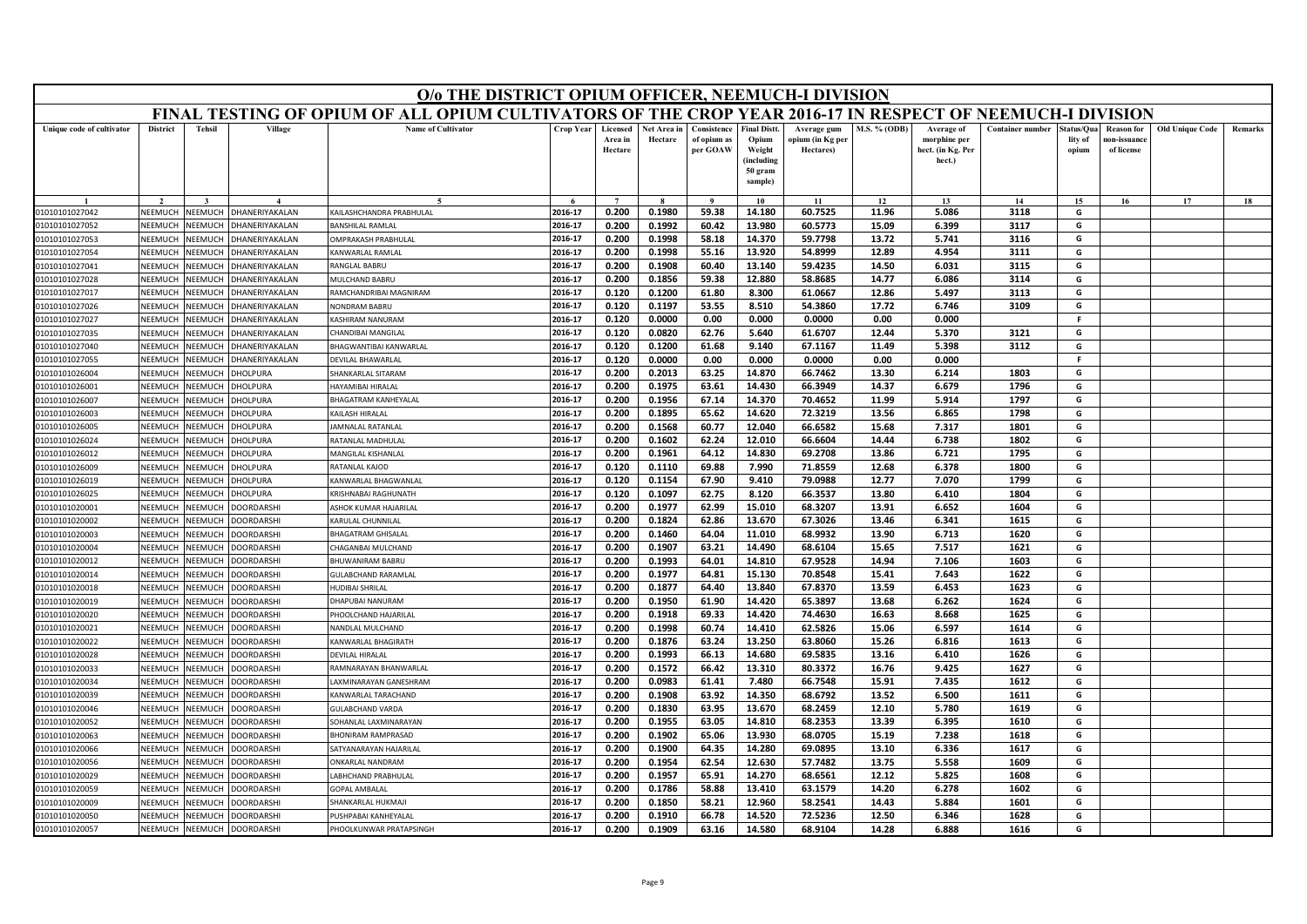| FINAL TESTING OF OPIUM OF ALL OPIUM CULTIVATORS OF THE CROP YEAR 2016-17 IN RESPECT OF NEEMUCH-I DIVISION<br><b>Tehsil</b><br>Village<br><b>Name of Cultivator</b><br><b>District</b><br><b>Crop Year</b><br>Licensed<br>Net Area in<br>Consistence<br><b>Final Distt.</b><br>M.S. % (ODB)<br><b>Container number</b><br>Unique code of cultivator<br>Average gum<br>Average of<br>Status/Ou:<br><b>Reason</b> for<br><b>Old Unique Code</b><br>Area in<br>Hectare<br>of opium as<br>Opium<br>opium (in Kg per<br>morphine per<br>lity of<br>ıon-issuanc<br>per GOAW<br>Weight<br>hect. (in Kg. Per<br>Hectare<br>Hectares)<br>of license<br>opium<br>(including<br>hect.)<br>50 gram<br>sample)<br>$\overline{7}$<br>$\mathbf{o}$<br>10<br>11<br>12<br>13<br>14<br>15 <sup>7</sup><br>16<br>17<br>0.200<br>59.38<br>60.7525<br>2016-17<br>0.1980<br>14.180<br>11.96<br>5.086<br>3118<br>NEEMUCH<br>NEEMUCH<br><b>HANERIYAKALAN</b><br>KAILASHCHANDRA PRABHULAL<br>G<br>01010101027042<br>NFFMUCH<br><b>NEEMUCH</b><br>2016-17<br>0.200<br>0.1992<br>60.42<br>13.980<br>60.5773<br>15.09<br>6.399<br>3117<br>G<br>01010101027052<br>HANERIYAKALAN<br><b>BANSHILAL RAMLAI</b><br>2016-17<br>0.1998<br>58.18<br>59.7798<br>3116<br>01010101027053<br>NEEMUCH<br><b>NEEMUCH</b><br><b>HANERIYAKALAN</b><br><b>MPRAKASH PRABHULAL</b><br>0.200<br>14.370<br>13.72<br>5.741<br>G<br>2016-17<br>0.200<br>0.1998<br>55.16<br>13.920<br>54.8999<br>12.89<br>4.954<br>3111<br>NEEMUCH<br>G<br>01010101027054<br>NEEMUCH<br>HANERIYAKALAN<br>KANWARLAL RAMLAL<br>2016-17<br>13.140<br>59.4235<br>3115<br>G<br>NEEMUCH<br><b>NEEMUCH</b><br><b>ANGLAL BABRU</b><br>0.200<br>0.1908<br>60.40<br>14.50<br>6.031<br>01010101027041<br>HANERIYAKALAN<br>2016-17<br>0.200<br>0.1856<br>59.38<br>12.880<br>58.8685<br>14.77<br>6.086<br>3114<br>G<br>01010101027028<br>NEEMUCH<br><b>NEEMUCH</b><br><b>HANERIYAKALAN</b><br>MULCHAND BABRU<br>2016-17<br>0.120<br>0.1200<br>61.80<br>8.300<br>61.0667<br>12.86<br>5.497<br>3113<br>G<br>NEEMUCH<br>NEEMUCI<br><b>HANERIYAKALAN</b><br>01010101027017<br>RAMCHANDRIBAI MAGNIRAM<br>8.510<br>2016-17<br>0.120<br>0.1197<br>53.55<br>54.3860<br>17.72<br>6.746<br>3109<br>01010101027026<br>NEEMUCH<br><b>JEEMUCH</b><br>HANERIYAKALAN<br><b>VONDRAM BABRU</b><br>G<br>2016-17<br>NEEMUCH<br><b>NEEMUCH</b><br>0.120<br>0.0000<br>0.00<br>0.000<br>0.0000<br>0.00<br>0.000<br>-F<br>01010101027027<br>HANERIYAKALAN<br>ASHIRAM NANURAM<br>NEEMUCH<br>VEEMUCH<br>2016-17<br>0.120<br>0.0820<br>62.76<br>5.640<br>61.6707<br>12.44<br>5.370<br>3121<br>G<br>01010101027035<br><b>HANERIYAKALAN</b><br>HANDIBAI MANGILA<br>2016-17<br>0.120<br>0.1200<br>61.68<br>9.140<br>67.1167<br>11.49<br>5.398<br>3112<br><b>JEEMUCH</b><br>G<br>01010101027040<br>NEEMUCH<br>HANERIYAKALAN<br>HAGWANTIBAI KANWARLAL<br>0.0000<br>2016-17<br>0.120<br>0.00<br>0.000<br>0.0000<br>0.00<br>0.000<br>F<br>01010101027055<br>NEEMUCH<br>VEEMUCI<br>HANERIYAKALAN<br>DEVILAL BHAWARLAL<br>NFFMUCH<br><b>NEEMUCH</b><br>HOLPURA<br>2016-17<br>0.200<br>0.2013<br>63.25<br>14.870<br>66.7462<br>13.30<br>6.214<br>1803<br>G<br>01010101026004<br>SHANKARLAL SITARAM<br>66.3949<br>01010101026001<br>NEEMUCH<br><b>NEEMUCH</b><br>HOLPURA<br>2016-17<br>0.200<br>0.1975<br>63.61<br>14.430<br>14.37<br>6.679<br>1796<br>G<br><b>JAYAMIRAI HIRALAI</b><br>NEEMUCH<br>01010101026007<br><b>NEEMUCH</b><br>HOLPURA<br>2016-17<br>0.200<br>0.1956<br>67.14<br>14.370<br>70.4652<br>11.99<br>5.914<br>1797<br>G<br>HAGATRAM KANHEYALAL<br>VEEMUCH<br><b>HOLPURA</b><br>14.620<br>01010101026003<br>NEEMUCH<br><b>CAILASH HIRALAL</b><br>2016-17<br>0.200<br>0.1895<br>65.62<br>72.3219<br>13.56<br>6.865<br>1798<br>G<br>12.040<br>66.6582<br>01010101026005<br>NEEMUCH<br><b>NEEMUCH</b><br>HOLPURA<br>2016-17<br>0.200<br>0.1568<br>60.77<br>15.68<br>7.317<br>1801<br>G<br>AMNALAL RATANLAL<br>NEEMUCH<br><b>JEEMUCH</b><br>2016-17<br>0.200<br>0.1602<br>62.24<br>12.010<br>66.6604<br>14.44<br>1802<br>01010101026024<br>HOLPURA<br>RATANLAL MADHULAI<br>6.738<br>G<br>2016-17<br>0.200<br>0.1961<br>64.12<br>14.830<br>69.2708<br>13.86<br>1795<br>NFFMUCH<br><b>JEEMUCH</b><br>HOLPURA<br><b>MANGILAL KISHANLAL</b><br>6.721<br>G<br>01010101026012<br>2016-17<br>0.120<br>0.1110<br>69.88<br>7.990<br>71.8559<br>6.378<br>1800<br>G<br>RATANLAL KAJOD<br>12.68<br>01010101026009<br>NEEMUCH<br>NEEMUCH<br>HOLPURA<br>2016-17<br>0.120<br>0.1154<br>67.90<br>12.77<br>1799<br>9.410<br>79.0988<br>7.070<br>G<br>01010101026019<br>NEEMUCH<br><b>JEEMUCH</b><br>HOLPURA<br><b>CANWARLAL BHAGWANLAL</b><br>2016-17<br>0.120<br>0.1097<br>62.75<br>8.120<br>66.3537<br>13.80<br>6.410<br>1804<br>G<br>01010101026025<br>NEEMUCH<br><b>JEEMUCH</b><br>HOLPURA<br><b>KRISHNABAI RAGHUNATH</b> | O/o THE DISTRICT OPIUM OFFICER, NEEMUCH-I DIVISION |  |  |  |  |  |  |  |  |  |  |  |  |  |
|---------------------------------------------------------------------------------------------------------------------------------------------------------------------------------------------------------------------------------------------------------------------------------------------------------------------------------------------------------------------------------------------------------------------------------------------------------------------------------------------------------------------------------------------------------------------------------------------------------------------------------------------------------------------------------------------------------------------------------------------------------------------------------------------------------------------------------------------------------------------------------------------------------------------------------------------------------------------------------------------------------------------------------------------------------------------------------------------------------------------------------------------------------------------------------------------------------------------------------------------------------------------------------------------------------------------------------------------------------------------------------------------------------------------------------------------------------------------------------------------------------------------------------------------------------------------------------------------------------------------------------------------------------------------------------------------------------------------------------------------------------------------------------------------------------------------------------------------------------------------------------------------------------------------------------------------------------------------------------------------------------------------------------------------------------------------------------------------------------------------------------------------------------------------------------------------------------------------------------------------------------------------------------------------------------------------------------------------------------------------------------------------------------------------------------------------------------------------------------------------------------------------------------------------------------------------------------------------------------------------------------------------------------------------------------------------------------------------------------------------------------------------------------------------------------------------------------------------------------------------------------------------------------------------------------------------------------------------------------------------------------------------------------------------------------------------------------------------------------------------------------------------------------------------------------------------------------------------------------------------------------------------------------------------------------------------------------------------------------------------------------------------------------------------------------------------------------------------------------------------------------------------------------------------------------------------------------------------------------------------------------------------------------------------------------------------------------------------------------------------------------------------------------------------------------------------------------------------------------------------------------------------------------------------------------------------------------------------------------------------------------------------------------------------------------------------------------------------------------------------------------------------------------------------------------------------------------------------------------------------------------------------------------------------------------------------------------------------------------------------------------------------------------------------------------------------------------------------------------------------------------------------------------------------------------------------------------------------------------------------------------------------------------------------------------------------------------------------------------------------------------------------------------------------------|----------------------------------------------------|--|--|--|--|--|--|--|--|--|--|--|--|--|
|                                                                                                                                                                                                                                                                                                                                                                                                                                                                                                                                                                                                                                                                                                                                                                                                                                                                                                                                                                                                                                                                                                                                                                                                                                                                                                                                                                                                                                                                                                                                                                                                                                                                                                                                                                                                                                                                                                                                                                                                                                                                                                                                                                                                                                                                                                                                                                                                                                                                                                                                                                                                                                                                                                                                                                                                                                                                                                                                                                                                                                                                                                                                                                                                                                                                                                                                                                                                                                                                                                                                                                                                                                                                                                                                                                                                                                                                                                                                                                                                                                                                                                                                                                                                                                                                                                                                                                                                                                                                                                                                                                                                                                                                                                                                                                                                   |                                                    |  |  |  |  |  |  |  |  |  |  |  |  |  |
|                                                                                                                                                                                                                                                                                                                                                                                                                                                                                                                                                                                                                                                                                                                                                                                                                                                                                                                                                                                                                                                                                                                                                                                                                                                                                                                                                                                                                                                                                                                                                                                                                                                                                                                                                                                                                                                                                                                                                                                                                                                                                                                                                                                                                                                                                                                                                                                                                                                                                                                                                                                                                                                                                                                                                                                                                                                                                                                                                                                                                                                                                                                                                                                                                                                                                                                                                                                                                                                                                                                                                                                                                                                                                                                                                                                                                                                                                                                                                                                                                                                                                                                                                                                                                                                                                                                                                                                                                                                                                                                                                                                                                                                                                                                                                                                                   | Remarks                                            |  |  |  |  |  |  |  |  |  |  |  |  |  |
|                                                                                                                                                                                                                                                                                                                                                                                                                                                                                                                                                                                                                                                                                                                                                                                                                                                                                                                                                                                                                                                                                                                                                                                                                                                                                                                                                                                                                                                                                                                                                                                                                                                                                                                                                                                                                                                                                                                                                                                                                                                                                                                                                                                                                                                                                                                                                                                                                                                                                                                                                                                                                                                                                                                                                                                                                                                                                                                                                                                                                                                                                                                                                                                                                                                                                                                                                                                                                                                                                                                                                                                                                                                                                                                                                                                                                                                                                                                                                                                                                                                                                                                                                                                                                                                                                                                                                                                                                                                                                                                                                                                                                                                                                                                                                                                                   |                                                    |  |  |  |  |  |  |  |  |  |  |  |  |  |
|                                                                                                                                                                                                                                                                                                                                                                                                                                                                                                                                                                                                                                                                                                                                                                                                                                                                                                                                                                                                                                                                                                                                                                                                                                                                                                                                                                                                                                                                                                                                                                                                                                                                                                                                                                                                                                                                                                                                                                                                                                                                                                                                                                                                                                                                                                                                                                                                                                                                                                                                                                                                                                                                                                                                                                                                                                                                                                                                                                                                                                                                                                                                                                                                                                                                                                                                                                                                                                                                                                                                                                                                                                                                                                                                                                                                                                                                                                                                                                                                                                                                                                                                                                                                                                                                                                                                                                                                                                                                                                                                                                                                                                                                                                                                                                                                   | 18                                                 |  |  |  |  |  |  |  |  |  |  |  |  |  |
|                                                                                                                                                                                                                                                                                                                                                                                                                                                                                                                                                                                                                                                                                                                                                                                                                                                                                                                                                                                                                                                                                                                                                                                                                                                                                                                                                                                                                                                                                                                                                                                                                                                                                                                                                                                                                                                                                                                                                                                                                                                                                                                                                                                                                                                                                                                                                                                                                                                                                                                                                                                                                                                                                                                                                                                                                                                                                                                                                                                                                                                                                                                                                                                                                                                                                                                                                                                                                                                                                                                                                                                                                                                                                                                                                                                                                                                                                                                                                                                                                                                                                                                                                                                                                                                                                                                                                                                                                                                                                                                                                                                                                                                                                                                                                                                                   |                                                    |  |  |  |  |  |  |  |  |  |  |  |  |  |
|                                                                                                                                                                                                                                                                                                                                                                                                                                                                                                                                                                                                                                                                                                                                                                                                                                                                                                                                                                                                                                                                                                                                                                                                                                                                                                                                                                                                                                                                                                                                                                                                                                                                                                                                                                                                                                                                                                                                                                                                                                                                                                                                                                                                                                                                                                                                                                                                                                                                                                                                                                                                                                                                                                                                                                                                                                                                                                                                                                                                                                                                                                                                                                                                                                                                                                                                                                                                                                                                                                                                                                                                                                                                                                                                                                                                                                                                                                                                                                                                                                                                                                                                                                                                                                                                                                                                                                                                                                                                                                                                                                                                                                                                                                                                                                                                   |                                                    |  |  |  |  |  |  |  |  |  |  |  |  |  |
|                                                                                                                                                                                                                                                                                                                                                                                                                                                                                                                                                                                                                                                                                                                                                                                                                                                                                                                                                                                                                                                                                                                                                                                                                                                                                                                                                                                                                                                                                                                                                                                                                                                                                                                                                                                                                                                                                                                                                                                                                                                                                                                                                                                                                                                                                                                                                                                                                                                                                                                                                                                                                                                                                                                                                                                                                                                                                                                                                                                                                                                                                                                                                                                                                                                                                                                                                                                                                                                                                                                                                                                                                                                                                                                                                                                                                                                                                                                                                                                                                                                                                                                                                                                                                                                                                                                                                                                                                                                                                                                                                                                                                                                                                                                                                                                                   |                                                    |  |  |  |  |  |  |  |  |  |  |  |  |  |
|                                                                                                                                                                                                                                                                                                                                                                                                                                                                                                                                                                                                                                                                                                                                                                                                                                                                                                                                                                                                                                                                                                                                                                                                                                                                                                                                                                                                                                                                                                                                                                                                                                                                                                                                                                                                                                                                                                                                                                                                                                                                                                                                                                                                                                                                                                                                                                                                                                                                                                                                                                                                                                                                                                                                                                                                                                                                                                                                                                                                                                                                                                                                                                                                                                                                                                                                                                                                                                                                                                                                                                                                                                                                                                                                                                                                                                                                                                                                                                                                                                                                                                                                                                                                                                                                                                                                                                                                                                                                                                                                                                                                                                                                                                                                                                                                   |                                                    |  |  |  |  |  |  |  |  |  |  |  |  |  |
|                                                                                                                                                                                                                                                                                                                                                                                                                                                                                                                                                                                                                                                                                                                                                                                                                                                                                                                                                                                                                                                                                                                                                                                                                                                                                                                                                                                                                                                                                                                                                                                                                                                                                                                                                                                                                                                                                                                                                                                                                                                                                                                                                                                                                                                                                                                                                                                                                                                                                                                                                                                                                                                                                                                                                                                                                                                                                                                                                                                                                                                                                                                                                                                                                                                                                                                                                                                                                                                                                                                                                                                                                                                                                                                                                                                                                                                                                                                                                                                                                                                                                                                                                                                                                                                                                                                                                                                                                                                                                                                                                                                                                                                                                                                                                                                                   |                                                    |  |  |  |  |  |  |  |  |  |  |  |  |  |
|                                                                                                                                                                                                                                                                                                                                                                                                                                                                                                                                                                                                                                                                                                                                                                                                                                                                                                                                                                                                                                                                                                                                                                                                                                                                                                                                                                                                                                                                                                                                                                                                                                                                                                                                                                                                                                                                                                                                                                                                                                                                                                                                                                                                                                                                                                                                                                                                                                                                                                                                                                                                                                                                                                                                                                                                                                                                                                                                                                                                                                                                                                                                                                                                                                                                                                                                                                                                                                                                                                                                                                                                                                                                                                                                                                                                                                                                                                                                                                                                                                                                                                                                                                                                                                                                                                                                                                                                                                                                                                                                                                                                                                                                                                                                                                                                   |                                                    |  |  |  |  |  |  |  |  |  |  |  |  |  |
|                                                                                                                                                                                                                                                                                                                                                                                                                                                                                                                                                                                                                                                                                                                                                                                                                                                                                                                                                                                                                                                                                                                                                                                                                                                                                                                                                                                                                                                                                                                                                                                                                                                                                                                                                                                                                                                                                                                                                                                                                                                                                                                                                                                                                                                                                                                                                                                                                                                                                                                                                                                                                                                                                                                                                                                                                                                                                                                                                                                                                                                                                                                                                                                                                                                                                                                                                                                                                                                                                                                                                                                                                                                                                                                                                                                                                                                                                                                                                                                                                                                                                                                                                                                                                                                                                                                                                                                                                                                                                                                                                                                                                                                                                                                                                                                                   |                                                    |  |  |  |  |  |  |  |  |  |  |  |  |  |
|                                                                                                                                                                                                                                                                                                                                                                                                                                                                                                                                                                                                                                                                                                                                                                                                                                                                                                                                                                                                                                                                                                                                                                                                                                                                                                                                                                                                                                                                                                                                                                                                                                                                                                                                                                                                                                                                                                                                                                                                                                                                                                                                                                                                                                                                                                                                                                                                                                                                                                                                                                                                                                                                                                                                                                                                                                                                                                                                                                                                                                                                                                                                                                                                                                                                                                                                                                                                                                                                                                                                                                                                                                                                                                                                                                                                                                                                                                                                                                                                                                                                                                                                                                                                                                                                                                                                                                                                                                                                                                                                                                                                                                                                                                                                                                                                   |                                                    |  |  |  |  |  |  |  |  |  |  |  |  |  |
|                                                                                                                                                                                                                                                                                                                                                                                                                                                                                                                                                                                                                                                                                                                                                                                                                                                                                                                                                                                                                                                                                                                                                                                                                                                                                                                                                                                                                                                                                                                                                                                                                                                                                                                                                                                                                                                                                                                                                                                                                                                                                                                                                                                                                                                                                                                                                                                                                                                                                                                                                                                                                                                                                                                                                                                                                                                                                                                                                                                                                                                                                                                                                                                                                                                                                                                                                                                                                                                                                                                                                                                                                                                                                                                                                                                                                                                                                                                                                                                                                                                                                                                                                                                                                                                                                                                                                                                                                                                                                                                                                                                                                                                                                                                                                                                                   |                                                    |  |  |  |  |  |  |  |  |  |  |  |  |  |
|                                                                                                                                                                                                                                                                                                                                                                                                                                                                                                                                                                                                                                                                                                                                                                                                                                                                                                                                                                                                                                                                                                                                                                                                                                                                                                                                                                                                                                                                                                                                                                                                                                                                                                                                                                                                                                                                                                                                                                                                                                                                                                                                                                                                                                                                                                                                                                                                                                                                                                                                                                                                                                                                                                                                                                                                                                                                                                                                                                                                                                                                                                                                                                                                                                                                                                                                                                                                                                                                                                                                                                                                                                                                                                                                                                                                                                                                                                                                                                                                                                                                                                                                                                                                                                                                                                                                                                                                                                                                                                                                                                                                                                                                                                                                                                                                   |                                                    |  |  |  |  |  |  |  |  |  |  |  |  |  |
|                                                                                                                                                                                                                                                                                                                                                                                                                                                                                                                                                                                                                                                                                                                                                                                                                                                                                                                                                                                                                                                                                                                                                                                                                                                                                                                                                                                                                                                                                                                                                                                                                                                                                                                                                                                                                                                                                                                                                                                                                                                                                                                                                                                                                                                                                                                                                                                                                                                                                                                                                                                                                                                                                                                                                                                                                                                                                                                                                                                                                                                                                                                                                                                                                                                                                                                                                                                                                                                                                                                                                                                                                                                                                                                                                                                                                                                                                                                                                                                                                                                                                                                                                                                                                                                                                                                                                                                                                                                                                                                                                                                                                                                                                                                                                                                                   |                                                    |  |  |  |  |  |  |  |  |  |  |  |  |  |
|                                                                                                                                                                                                                                                                                                                                                                                                                                                                                                                                                                                                                                                                                                                                                                                                                                                                                                                                                                                                                                                                                                                                                                                                                                                                                                                                                                                                                                                                                                                                                                                                                                                                                                                                                                                                                                                                                                                                                                                                                                                                                                                                                                                                                                                                                                                                                                                                                                                                                                                                                                                                                                                                                                                                                                                                                                                                                                                                                                                                                                                                                                                                                                                                                                                                                                                                                                                                                                                                                                                                                                                                                                                                                                                                                                                                                                                                                                                                                                                                                                                                                                                                                                                                                                                                                                                                                                                                                                                                                                                                                                                                                                                                                                                                                                                                   |                                                    |  |  |  |  |  |  |  |  |  |  |  |  |  |
|                                                                                                                                                                                                                                                                                                                                                                                                                                                                                                                                                                                                                                                                                                                                                                                                                                                                                                                                                                                                                                                                                                                                                                                                                                                                                                                                                                                                                                                                                                                                                                                                                                                                                                                                                                                                                                                                                                                                                                                                                                                                                                                                                                                                                                                                                                                                                                                                                                                                                                                                                                                                                                                                                                                                                                                                                                                                                                                                                                                                                                                                                                                                                                                                                                                                                                                                                                                                                                                                                                                                                                                                                                                                                                                                                                                                                                                                                                                                                                                                                                                                                                                                                                                                                                                                                                                                                                                                                                                                                                                                                                                                                                                                                                                                                                                                   |                                                    |  |  |  |  |  |  |  |  |  |  |  |  |  |
|                                                                                                                                                                                                                                                                                                                                                                                                                                                                                                                                                                                                                                                                                                                                                                                                                                                                                                                                                                                                                                                                                                                                                                                                                                                                                                                                                                                                                                                                                                                                                                                                                                                                                                                                                                                                                                                                                                                                                                                                                                                                                                                                                                                                                                                                                                                                                                                                                                                                                                                                                                                                                                                                                                                                                                                                                                                                                                                                                                                                                                                                                                                                                                                                                                                                                                                                                                                                                                                                                                                                                                                                                                                                                                                                                                                                                                                                                                                                                                                                                                                                                                                                                                                                                                                                                                                                                                                                                                                                                                                                                                                                                                                                                                                                                                                                   |                                                    |  |  |  |  |  |  |  |  |  |  |  |  |  |
|                                                                                                                                                                                                                                                                                                                                                                                                                                                                                                                                                                                                                                                                                                                                                                                                                                                                                                                                                                                                                                                                                                                                                                                                                                                                                                                                                                                                                                                                                                                                                                                                                                                                                                                                                                                                                                                                                                                                                                                                                                                                                                                                                                                                                                                                                                                                                                                                                                                                                                                                                                                                                                                                                                                                                                                                                                                                                                                                                                                                                                                                                                                                                                                                                                                                                                                                                                                                                                                                                                                                                                                                                                                                                                                                                                                                                                                                                                                                                                                                                                                                                                                                                                                                                                                                                                                                                                                                                                                                                                                                                                                                                                                                                                                                                                                                   |                                                    |  |  |  |  |  |  |  |  |  |  |  |  |  |
|                                                                                                                                                                                                                                                                                                                                                                                                                                                                                                                                                                                                                                                                                                                                                                                                                                                                                                                                                                                                                                                                                                                                                                                                                                                                                                                                                                                                                                                                                                                                                                                                                                                                                                                                                                                                                                                                                                                                                                                                                                                                                                                                                                                                                                                                                                                                                                                                                                                                                                                                                                                                                                                                                                                                                                                                                                                                                                                                                                                                                                                                                                                                                                                                                                                                                                                                                                                                                                                                                                                                                                                                                                                                                                                                                                                                                                                                                                                                                                                                                                                                                                                                                                                                                                                                                                                                                                                                                                                                                                                                                                                                                                                                                                                                                                                                   |                                                    |  |  |  |  |  |  |  |  |  |  |  |  |  |
|                                                                                                                                                                                                                                                                                                                                                                                                                                                                                                                                                                                                                                                                                                                                                                                                                                                                                                                                                                                                                                                                                                                                                                                                                                                                                                                                                                                                                                                                                                                                                                                                                                                                                                                                                                                                                                                                                                                                                                                                                                                                                                                                                                                                                                                                                                                                                                                                                                                                                                                                                                                                                                                                                                                                                                                                                                                                                                                                                                                                                                                                                                                                                                                                                                                                                                                                                                                                                                                                                                                                                                                                                                                                                                                                                                                                                                                                                                                                                                                                                                                                                                                                                                                                                                                                                                                                                                                                                                                                                                                                                                                                                                                                                                                                                                                                   |                                                    |  |  |  |  |  |  |  |  |  |  |  |  |  |
|                                                                                                                                                                                                                                                                                                                                                                                                                                                                                                                                                                                                                                                                                                                                                                                                                                                                                                                                                                                                                                                                                                                                                                                                                                                                                                                                                                                                                                                                                                                                                                                                                                                                                                                                                                                                                                                                                                                                                                                                                                                                                                                                                                                                                                                                                                                                                                                                                                                                                                                                                                                                                                                                                                                                                                                                                                                                                                                                                                                                                                                                                                                                                                                                                                                                                                                                                                                                                                                                                                                                                                                                                                                                                                                                                                                                                                                                                                                                                                                                                                                                                                                                                                                                                                                                                                                                                                                                                                                                                                                                                                                                                                                                                                                                                                                                   |                                                    |  |  |  |  |  |  |  |  |  |  |  |  |  |
|                                                                                                                                                                                                                                                                                                                                                                                                                                                                                                                                                                                                                                                                                                                                                                                                                                                                                                                                                                                                                                                                                                                                                                                                                                                                                                                                                                                                                                                                                                                                                                                                                                                                                                                                                                                                                                                                                                                                                                                                                                                                                                                                                                                                                                                                                                                                                                                                                                                                                                                                                                                                                                                                                                                                                                                                                                                                                                                                                                                                                                                                                                                                                                                                                                                                                                                                                                                                                                                                                                                                                                                                                                                                                                                                                                                                                                                                                                                                                                                                                                                                                                                                                                                                                                                                                                                                                                                                                                                                                                                                                                                                                                                                                                                                                                                                   |                                                    |  |  |  |  |  |  |  |  |  |  |  |  |  |
|                                                                                                                                                                                                                                                                                                                                                                                                                                                                                                                                                                                                                                                                                                                                                                                                                                                                                                                                                                                                                                                                                                                                                                                                                                                                                                                                                                                                                                                                                                                                                                                                                                                                                                                                                                                                                                                                                                                                                                                                                                                                                                                                                                                                                                                                                                                                                                                                                                                                                                                                                                                                                                                                                                                                                                                                                                                                                                                                                                                                                                                                                                                                                                                                                                                                                                                                                                                                                                                                                                                                                                                                                                                                                                                                                                                                                                                                                                                                                                                                                                                                                                                                                                                                                                                                                                                                                                                                                                                                                                                                                                                                                                                                                                                                                                                                   |                                                    |  |  |  |  |  |  |  |  |  |  |  |  |  |
|                                                                                                                                                                                                                                                                                                                                                                                                                                                                                                                                                                                                                                                                                                                                                                                                                                                                                                                                                                                                                                                                                                                                                                                                                                                                                                                                                                                                                                                                                                                                                                                                                                                                                                                                                                                                                                                                                                                                                                                                                                                                                                                                                                                                                                                                                                                                                                                                                                                                                                                                                                                                                                                                                                                                                                                                                                                                                                                                                                                                                                                                                                                                                                                                                                                                                                                                                                                                                                                                                                                                                                                                                                                                                                                                                                                                                                                                                                                                                                                                                                                                                                                                                                                                                                                                                                                                                                                                                                                                                                                                                                                                                                                                                                                                                                                                   |                                                    |  |  |  |  |  |  |  |  |  |  |  |  |  |
| <b>SHOK KUMAR HAJARILAL</b><br>2016-17<br>0.200<br>0.1977<br>62.99<br>15.010<br>68.3207<br>13.91<br>6.652<br>1604<br>G<br>NEEMUCH<br><b>NEEMUCH</b><br>OORDARSHI<br>01010101020001                                                                                                                                                                                                                                                                                                                                                                                                                                                                                                                                                                                                                                                                                                                                                                                                                                                                                                                                                                                                                                                                                                                                                                                                                                                                                                                                                                                                                                                                                                                                                                                                                                                                                                                                                                                                                                                                                                                                                                                                                                                                                                                                                                                                                                                                                                                                                                                                                                                                                                                                                                                                                                                                                                                                                                                                                                                                                                                                                                                                                                                                                                                                                                                                                                                                                                                                                                                                                                                                                                                                                                                                                                                                                                                                                                                                                                                                                                                                                                                                                                                                                                                                                                                                                                                                                                                                                                                                                                                                                                                                                                                                                |                                                    |  |  |  |  |  |  |  |  |  |  |  |  |  |
| 67.3026<br>2016-17<br>0.200<br>0.1824<br>62.86<br>13.670<br>13.46<br>6.341<br>1615<br>NEEMUCH<br>KARULAL CHUNNILAI<br>G<br>01010101020002<br><b>NEEMUCH</b><br>OORDARSH                                                                                                                                                                                                                                                                                                                                                                                                                                                                                                                                                                                                                                                                                                                                                                                                                                                                                                                                                                                                                                                                                                                                                                                                                                                                                                                                                                                                                                                                                                                                                                                                                                                                                                                                                                                                                                                                                                                                                                                                                                                                                                                                                                                                                                                                                                                                                                                                                                                                                                                                                                                                                                                                                                                                                                                                                                                                                                                                                                                                                                                                                                                                                                                                                                                                                                                                                                                                                                                                                                                                                                                                                                                                                                                                                                                                                                                                                                                                                                                                                                                                                                                                                                                                                                                                                                                                                                                                                                                                                                                                                                                                                           |                                                    |  |  |  |  |  |  |  |  |  |  |  |  |  |
| 2016-17<br>0.200<br>0.1460<br>64.04<br>11.010<br>68.9932<br>13.90<br>6.713<br>1620<br>NEEMUCH<br>VEEMUCI<br>OORDARSHI<br>G<br>01010101020003<br><b>BHAGATRAM GHISALAL</b>                                                                                                                                                                                                                                                                                                                                                                                                                                                                                                                                                                                                                                                                                                                                                                                                                                                                                                                                                                                                                                                                                                                                                                                                                                                                                                                                                                                                                                                                                                                                                                                                                                                                                                                                                                                                                                                                                                                                                                                                                                                                                                                                                                                                                                                                                                                                                                                                                                                                                                                                                                                                                                                                                                                                                                                                                                                                                                                                                                                                                                                                                                                                                                                                                                                                                                                                                                                                                                                                                                                                                                                                                                                                                                                                                                                                                                                                                                                                                                                                                                                                                                                                                                                                                                                                                                                                                                                                                                                                                                                                                                                                                         |                                                    |  |  |  |  |  |  |  |  |  |  |  |  |  |
| 68.6104<br>1621<br>NFFMUCH<br><b>NEEMUCH</b><br><b>OORDARSHI</b><br>2016-17<br>0.200<br>0.1907<br>63.21<br>14.490<br>15.65<br>7.517<br>G<br>01010101020004<br>HAGANBAI MULCHAND                                                                                                                                                                                                                                                                                                                                                                                                                                                                                                                                                                                                                                                                                                                                                                                                                                                                                                                                                                                                                                                                                                                                                                                                                                                                                                                                                                                                                                                                                                                                                                                                                                                                                                                                                                                                                                                                                                                                                                                                                                                                                                                                                                                                                                                                                                                                                                                                                                                                                                                                                                                                                                                                                                                                                                                                                                                                                                                                                                                                                                                                                                                                                                                                                                                                                                                                                                                                                                                                                                                                                                                                                                                                                                                                                                                                                                                                                                                                                                                                                                                                                                                                                                                                                                                                                                                                                                                                                                                                                                                                                                                                                   |                                                    |  |  |  |  |  |  |  |  |  |  |  |  |  |
| 2016-17<br>0.200<br>0.1993<br>64.01<br>14.810<br>67.9528<br>14.94<br>7.106<br>1603<br>NEEMUCH<br>G<br>01010101020012<br>VEEMUCI<br><b>OORDARSH</b><br>HUWANIRAM BABRL                                                                                                                                                                                                                                                                                                                                                                                                                                                                                                                                                                                                                                                                                                                                                                                                                                                                                                                                                                                                                                                                                                                                                                                                                                                                                                                                                                                                                                                                                                                                                                                                                                                                                                                                                                                                                                                                                                                                                                                                                                                                                                                                                                                                                                                                                                                                                                                                                                                                                                                                                                                                                                                                                                                                                                                                                                                                                                                                                                                                                                                                                                                                                                                                                                                                                                                                                                                                                                                                                                                                                                                                                                                                                                                                                                                                                                                                                                                                                                                                                                                                                                                                                                                                                                                                                                                                                                                                                                                                                                                                                                                                                             |                                                    |  |  |  |  |  |  |  |  |  |  |  |  |  |
| 15.130<br>1622<br>2016-17<br>0.200<br>0.1977<br>64.81<br>70.8548<br>15.41<br>7.643<br>G<br>NEEMUCH<br><b>JEEMUCH</b><br><b>OORDARSHI</b><br>01010101020014<br><b>JULABCHAND RARAMLAL</b>                                                                                                                                                                                                                                                                                                                                                                                                                                                                                                                                                                                                                                                                                                                                                                                                                                                                                                                                                                                                                                                                                                                                                                                                                                                                                                                                                                                                                                                                                                                                                                                                                                                                                                                                                                                                                                                                                                                                                                                                                                                                                                                                                                                                                                                                                                                                                                                                                                                                                                                                                                                                                                                                                                                                                                                                                                                                                                                                                                                                                                                                                                                                                                                                                                                                                                                                                                                                                                                                                                                                                                                                                                                                                                                                                                                                                                                                                                                                                                                                                                                                                                                                                                                                                                                                                                                                                                                                                                                                                                                                                                                                          |                                                    |  |  |  |  |  |  |  |  |  |  |  |  |  |
| 2016-17<br>0.200<br>0.1877<br>64.40<br>13.840<br>67.8370<br>13.59<br>6.453<br>1623<br>G<br>01010101020018<br>NEEMUCH<br><b>NEEMUCH</b><br><b>OORDARSHI</b><br><b>IUDIBAI SHRILAL</b>                                                                                                                                                                                                                                                                                                                                                                                                                                                                                                                                                                                                                                                                                                                                                                                                                                                                                                                                                                                                                                                                                                                                                                                                                                                                                                                                                                                                                                                                                                                                                                                                                                                                                                                                                                                                                                                                                                                                                                                                                                                                                                                                                                                                                                                                                                                                                                                                                                                                                                                                                                                                                                                                                                                                                                                                                                                                                                                                                                                                                                                                                                                                                                                                                                                                                                                                                                                                                                                                                                                                                                                                                                                                                                                                                                                                                                                                                                                                                                                                                                                                                                                                                                                                                                                                                                                                                                                                                                                                                                                                                                                                              |                                                    |  |  |  |  |  |  |  |  |  |  |  |  |  |
| 13.68<br>1624<br>01010101020019<br><b>NEEMUCH</b><br><b>NEEMUC</b><br><b>OORDARSH</b><br>2016-17<br>0.200<br>0.1950<br>61.90<br>14.420<br>65.3897<br>6.262<br>G<br>HAPUBAI NANURAM                                                                                                                                                                                                                                                                                                                                                                                                                                                                                                                                                                                                                                                                                                                                                                                                                                                                                                                                                                                                                                                                                                                                                                                                                                                                                                                                                                                                                                                                                                                                                                                                                                                                                                                                                                                                                                                                                                                                                                                                                                                                                                                                                                                                                                                                                                                                                                                                                                                                                                                                                                                                                                                                                                                                                                                                                                                                                                                                                                                                                                                                                                                                                                                                                                                                                                                                                                                                                                                                                                                                                                                                                                                                                                                                                                                                                                                                                                                                                                                                                                                                                                                                                                                                                                                                                                                                                                                                                                                                                                                                                                                                                |                                                    |  |  |  |  |  |  |  |  |  |  |  |  |  |
| 01010101020020<br>NEEMUCH<br><b>JEEMUCH</b><br><b>OORDARSHI</b><br>2016-17<br>0.200<br>0.1918<br>69.33<br>14.420<br>74.4630<br>16.63<br>8.668<br>1625<br>G<br>HOOLCHAND HAJARILAL                                                                                                                                                                                                                                                                                                                                                                                                                                                                                                                                                                                                                                                                                                                                                                                                                                                                                                                                                                                                                                                                                                                                                                                                                                                                                                                                                                                                                                                                                                                                                                                                                                                                                                                                                                                                                                                                                                                                                                                                                                                                                                                                                                                                                                                                                                                                                                                                                                                                                                                                                                                                                                                                                                                                                                                                                                                                                                                                                                                                                                                                                                                                                                                                                                                                                                                                                                                                                                                                                                                                                                                                                                                                                                                                                                                                                                                                                                                                                                                                                                                                                                                                                                                                                                                                                                                                                                                                                                                                                                                                                                                                                 |                                                    |  |  |  |  |  |  |  |  |  |  |  |  |  |
| <b>NEEMUCH</b><br>14.410<br>62.5826<br>01010101020021<br>NEEMUCH<br><b>OORDARSHI</b><br>VANDLAL MULCHAND<br>2016-17<br>0.200<br>0.1998<br>60.74<br>15.06<br>6.597<br>1614<br>G<br><b>NEEMUCH</b>                                                                                                                                                                                                                                                                                                                                                                                                                                                                                                                                                                                                                                                                                                                                                                                                                                                                                                                                                                                                                                                                                                                                                                                                                                                                                                                                                                                                                                                                                                                                                                                                                                                                                                                                                                                                                                                                                                                                                                                                                                                                                                                                                                                                                                                                                                                                                                                                                                                                                                                                                                                                                                                                                                                                                                                                                                                                                                                                                                                                                                                                                                                                                                                                                                                                                                                                                                                                                                                                                                                                                                                                                                                                                                                                                                                                                                                                                                                                                                                                                                                                                                                                                                                                                                                                                                                                                                                                                                                                                                                                                                                                  |                                                    |  |  |  |  |  |  |  |  |  |  |  |  |  |
| VEEMUCI<br>2016-17<br>0.200<br>0.1876<br>63.24<br>13.250<br>63.8060<br>15.26<br>6.816<br>1613<br>01010101020022<br><b>OORDARSHI</b><br>G<br>KANWARLAL BHAGIRATH                                                                                                                                                                                                                                                                                                                                                                                                                                                                                                                                                                                                                                                                                                                                                                                                                                                                                                                                                                                                                                                                                                                                                                                                                                                                                                                                                                                                                                                                                                                                                                                                                                                                                                                                                                                                                                                                                                                                                                                                                                                                                                                                                                                                                                                                                                                                                                                                                                                                                                                                                                                                                                                                                                                                                                                                                                                                                                                                                                                                                                                                                                                                                                                                                                                                                                                                                                                                                                                                                                                                                                                                                                                                                                                                                                                                                                                                                                                                                                                                                                                                                                                                                                                                                                                                                                                                                                                                                                                                                                                                                                                                                                   |                                                    |  |  |  |  |  |  |  |  |  |  |  |  |  |
| 0.200<br>0.1993<br>66.13<br>14.680<br>69.5835<br>1626<br>01010101020028<br>NEEMUCH<br><b>NEEMUCH</b><br><b>OORDARSHI</b><br><b>DEVILAL HIRALAL</b><br>2016-17<br>13.16<br>6.410<br>G<br>NEEMUCH<br><b>JEEMUCH</b><br>OORDARSHI<br>2016-17<br>0.200<br>0.1572<br>66.42<br>13.310<br>80.3372<br>9.425<br>1627<br>G<br>01010101020033<br>AMNARAYAN BHANWARLAL                                                                                                                                                                                                                                                                                                                                                                                                                                                                                                                                                                                                                                                                                                                                                                                                                                                                                                                                                                                                                                                                                                                                                                                                                                                                                                                                                                                                                                                                                                                                                                                                                                                                                                                                                                                                                                                                                                                                                                                                                                                                                                                                                                                                                                                                                                                                                                                                                                                                                                                                                                                                                                                                                                                                                                                                                                                                                                                                                                                                                                                                                                                                                                                                                                                                                                                                                                                                                                                                                                                                                                                                                                                                                                                                                                                                                                                                                                                                                                                                                                                                                                                                                                                                                                                                                                                                                                                                                                        |                                                    |  |  |  |  |  |  |  |  |  |  |  |  |  |
| 16.76<br><b>NFFMUCH</b><br>VEEMUCI<br><b>OORDARSH</b><br>2016-17<br>0.200<br>0.0983<br>61.41<br>7.480<br>66.7548<br>15.91<br>7.435<br>1612<br>G<br>01010101020034<br>AXMINARAYAN GANESHRAM                                                                                                                                                                                                                                                                                                                                                                                                                                                                                                                                                                                                                                                                                                                                                                                                                                                                                                                                                                                                                                                                                                                                                                                                                                                                                                                                                                                                                                                                                                                                                                                                                                                                                                                                                                                                                                                                                                                                                                                                                                                                                                                                                                                                                                                                                                                                                                                                                                                                                                                                                                                                                                                                                                                                                                                                                                                                                                                                                                                                                                                                                                                                                                                                                                                                                                                                                                                                                                                                                                                                                                                                                                                                                                                                                                                                                                                                                                                                                                                                                                                                                                                                                                                                                                                                                                                                                                                                                                                                                                                                                                                                        |                                                    |  |  |  |  |  |  |  |  |  |  |  |  |  |
| 2016-17<br>0.200<br>0.1908<br>63.92<br>14.350<br>68.6792<br>13.52<br>6.500<br>1611<br>G<br>01010101020039<br>NEEMUCH<br><b>JEEMUCH</b><br>OORDARSHI<br>ANWARLAL TARACHAND                                                                                                                                                                                                                                                                                                                                                                                                                                                                                                                                                                                                                                                                                                                                                                                                                                                                                                                                                                                                                                                                                                                                                                                                                                                                                                                                                                                                                                                                                                                                                                                                                                                                                                                                                                                                                                                                                                                                                                                                                                                                                                                                                                                                                                                                                                                                                                                                                                                                                                                                                                                                                                                                                                                                                                                                                                                                                                                                                                                                                                                                                                                                                                                                                                                                                                                                                                                                                                                                                                                                                                                                                                                                                                                                                                                                                                                                                                                                                                                                                                                                                                                                                                                                                                                                                                                                                                                                                                                                                                                                                                                                                         |                                                    |  |  |  |  |  |  |  |  |  |  |  |  |  |
| ULABCHAND VARDA<br>2016-17<br>0.200<br>0.1830<br>63.95<br>13.670<br>68.2459<br>12.10<br>5.780<br>1619<br>G<br>01010101020046<br>NEEMUCH<br><b>JEEMUCH</b><br><b>OORDARSHI</b>                                                                                                                                                                                                                                                                                                                                                                                                                                                                                                                                                                                                                                                                                                                                                                                                                                                                                                                                                                                                                                                                                                                                                                                                                                                                                                                                                                                                                                                                                                                                                                                                                                                                                                                                                                                                                                                                                                                                                                                                                                                                                                                                                                                                                                                                                                                                                                                                                                                                                                                                                                                                                                                                                                                                                                                                                                                                                                                                                                                                                                                                                                                                                                                                                                                                                                                                                                                                                                                                                                                                                                                                                                                                                                                                                                                                                                                                                                                                                                                                                                                                                                                                                                                                                                                                                                                                                                                                                                                                                                                                                                                                                     |                                                    |  |  |  |  |  |  |  |  |  |  |  |  |  |
| NEEMUCH<br>2016-17<br>0.200<br>0.1955<br>63.05<br>14.810<br>68.2353<br>13.39<br>6.395<br>1610<br>G<br>VEEMUCI<br>OORDARSH<br>OHANLAL LAXMINARAYAN<br>01010101020052                                                                                                                                                                                                                                                                                                                                                                                                                                                                                                                                                                                                                                                                                                                                                                                                                                                                                                                                                                                                                                                                                                                                                                                                                                                                                                                                                                                                                                                                                                                                                                                                                                                                                                                                                                                                                                                                                                                                                                                                                                                                                                                                                                                                                                                                                                                                                                                                                                                                                                                                                                                                                                                                                                                                                                                                                                                                                                                                                                                                                                                                                                                                                                                                                                                                                                                                                                                                                                                                                                                                                                                                                                                                                                                                                                                                                                                                                                                                                                                                                                                                                                                                                                                                                                                                                                                                                                                                                                                                                                                                                                                                                               |                                                    |  |  |  |  |  |  |  |  |  |  |  |  |  |
| 2016-17<br>0.200<br>65.06<br>13.930<br>68.0705<br>15.19<br>7.238<br>1618<br>G<br>NEEMUCH<br>HONIRAM RAMPRASAD<br>0.1902<br>01010101020063<br><b>NEEMUCH</b><br><b>OORDARSHI</b>                                                                                                                                                                                                                                                                                                                                                                                                                                                                                                                                                                                                                                                                                                                                                                                                                                                                                                                                                                                                                                                                                                                                                                                                                                                                                                                                                                                                                                                                                                                                                                                                                                                                                                                                                                                                                                                                                                                                                                                                                                                                                                                                                                                                                                                                                                                                                                                                                                                                                                                                                                                                                                                                                                                                                                                                                                                                                                                                                                                                                                                                                                                                                                                                                                                                                                                                                                                                                                                                                                                                                                                                                                                                                                                                                                                                                                                                                                                                                                                                                                                                                                                                                                                                                                                                                                                                                                                                                                                                                                                                                                                                                   |                                                    |  |  |  |  |  |  |  |  |  |  |  |  |  |
| 1617<br>NEEMUCH<br><b>JEEMUCH</b><br>OORDARSHI<br>ATYANARAYAN HAJARILAL<br>2016-17<br>0.200<br>0.1900<br>64.35<br>14.280<br>69.0895<br>13.10<br>6.336<br>G<br>01010101020066                                                                                                                                                                                                                                                                                                                                                                                                                                                                                                                                                                                                                                                                                                                                                                                                                                                                                                                                                                                                                                                                                                                                                                                                                                                                                                                                                                                                                                                                                                                                                                                                                                                                                                                                                                                                                                                                                                                                                                                                                                                                                                                                                                                                                                                                                                                                                                                                                                                                                                                                                                                                                                                                                                                                                                                                                                                                                                                                                                                                                                                                                                                                                                                                                                                                                                                                                                                                                                                                                                                                                                                                                                                                                                                                                                                                                                                                                                                                                                                                                                                                                                                                                                                                                                                                                                                                                                                                                                                                                                                                                                                                                      |                                                    |  |  |  |  |  |  |  |  |  |  |  |  |  |
| 0.1954<br>62.54<br>12.630<br>57.7482<br>5.558<br>1609<br><b>NFFMUCH</b><br>VEEMUCI<br><b>OORDARSH</b><br>2016-17<br>0.200<br>13.75<br>G<br>01010101020056<br><b>INKARIAI NANDRAM</b>                                                                                                                                                                                                                                                                                                                                                                                                                                                                                                                                                                                                                                                                                                                                                                                                                                                                                                                                                                                                                                                                                                                                                                                                                                                                                                                                                                                                                                                                                                                                                                                                                                                                                                                                                                                                                                                                                                                                                                                                                                                                                                                                                                                                                                                                                                                                                                                                                                                                                                                                                                                                                                                                                                                                                                                                                                                                                                                                                                                                                                                                                                                                                                                                                                                                                                                                                                                                                                                                                                                                                                                                                                                                                                                                                                                                                                                                                                                                                                                                                                                                                                                                                                                                                                                                                                                                                                                                                                                                                                                                                                                                              |                                                    |  |  |  |  |  |  |  |  |  |  |  |  |  |
| 2016-17<br>65.91<br>14.270<br>68.6561<br>12.12<br>5.825<br>1608<br>0.200<br>0.1957<br>G<br>NEEMUCH<br>NEEMUCH<br><b>OORDARSHI</b><br>01010101020029<br>ABHCHAND PRABHULAL                                                                                                                                                                                                                                                                                                                                                                                                                                                                                                                                                                                                                                                                                                                                                                                                                                                                                                                                                                                                                                                                                                                                                                                                                                                                                                                                                                                                                                                                                                                                                                                                                                                                                                                                                                                                                                                                                                                                                                                                                                                                                                                                                                                                                                                                                                                                                                                                                                                                                                                                                                                                                                                                                                                                                                                                                                                                                                                                                                                                                                                                                                                                                                                                                                                                                                                                                                                                                                                                                                                                                                                                                                                                                                                                                                                                                                                                                                                                                                                                                                                                                                                                                                                                                                                                                                                                                                                                                                                                                                                                                                                                                         |                                                    |  |  |  |  |  |  |  |  |  |  |  |  |  |
| 58.88<br>13.410<br>63.1579<br>1602<br>2016-17<br>0.200<br>0.1786<br>14.20<br>6.278<br>G<br>01010101020059<br>NEEMUCH<br><b>JEEMUC</b><br>OORDARSHI<br><b>OPAL AMBALAL</b>                                                                                                                                                                                                                                                                                                                                                                                                                                                                                                                                                                                                                                                                                                                                                                                                                                                                                                                                                                                                                                                                                                                                                                                                                                                                                                                                                                                                                                                                                                                                                                                                                                                                                                                                                                                                                                                                                                                                                                                                                                                                                                                                                                                                                                                                                                                                                                                                                                                                                                                                                                                                                                                                                                                                                                                                                                                                                                                                                                                                                                                                                                                                                                                                                                                                                                                                                                                                                                                                                                                                                                                                                                                                                                                                                                                                                                                                                                                                                                                                                                                                                                                                                                                                                                                                                                                                                                                                                                                                                                                                                                                                                         |                                                    |  |  |  |  |  |  |  |  |  |  |  |  |  |
| 2016-17<br>0.200<br>0.1850<br>58.21<br>12.960<br>58.2541<br>14.43<br>5.884<br>1601<br>G<br>01010101020009<br>NEEMUCH<br><b>JEEMUCI</b><br>OORDARSH<br>HANKARLAL HUKMAII                                                                                                                                                                                                                                                                                                                                                                                                                                                                                                                                                                                                                                                                                                                                                                                                                                                                                                                                                                                                                                                                                                                                                                                                                                                                                                                                                                                                                                                                                                                                                                                                                                                                                                                                                                                                                                                                                                                                                                                                                                                                                                                                                                                                                                                                                                                                                                                                                                                                                                                                                                                                                                                                                                                                                                                                                                                                                                                                                                                                                                                                                                                                                                                                                                                                                                                                                                                                                                                                                                                                                                                                                                                                                                                                                                                                                                                                                                                                                                                                                                                                                                                                                                                                                                                                                                                                                                                                                                                                                                                                                                                                                           |                                                    |  |  |  |  |  |  |  |  |  |  |  |  |  |
| 2016-17<br>0.200<br>0.1910<br>66.78<br>14.520<br>72.5236<br>12.50<br>6.346<br>1628<br>G<br>NEEMUCH<br>NEEMUCH<br><b>OORDARSHI</b><br>01010101020050<br>USHPABAI KANHEYALAL                                                                                                                                                                                                                                                                                                                                                                                                                                                                                                                                                                                                                                                                                                                                                                                                                                                                                                                                                                                                                                                                                                                                                                                                                                                                                                                                                                                                                                                                                                                                                                                                                                                                                                                                                                                                                                                                                                                                                                                                                                                                                                                                                                                                                                                                                                                                                                                                                                                                                                                                                                                                                                                                                                                                                                                                                                                                                                                                                                                                                                                                                                                                                                                                                                                                                                                                                                                                                                                                                                                                                                                                                                                                                                                                                                                                                                                                                                                                                                                                                                                                                                                                                                                                                                                                                                                                                                                                                                                                                                                                                                                                                        |                                                    |  |  |  |  |  |  |  |  |  |  |  |  |  |
| 14.580<br>2016-17<br>0.200<br>0.1909<br>63.16<br>68.9104<br>14.28<br>6.888<br>1616<br>G<br>NEEMUCH<br>NEEMUCH<br>01010101020057<br><b>OORDARSH</b><br>HOOLKUNWAR PRATAPSINGH                                                                                                                                                                                                                                                                                                                                                                                                                                                                                                                                                                                                                                                                                                                                                                                                                                                                                                                                                                                                                                                                                                                                                                                                                                                                                                                                                                                                                                                                                                                                                                                                                                                                                                                                                                                                                                                                                                                                                                                                                                                                                                                                                                                                                                                                                                                                                                                                                                                                                                                                                                                                                                                                                                                                                                                                                                                                                                                                                                                                                                                                                                                                                                                                                                                                                                                                                                                                                                                                                                                                                                                                                                                                                                                                                                                                                                                                                                                                                                                                                                                                                                                                                                                                                                                                                                                                                                                                                                                                                                                                                                                                                      |                                                    |  |  |  |  |  |  |  |  |  |  |  |  |  |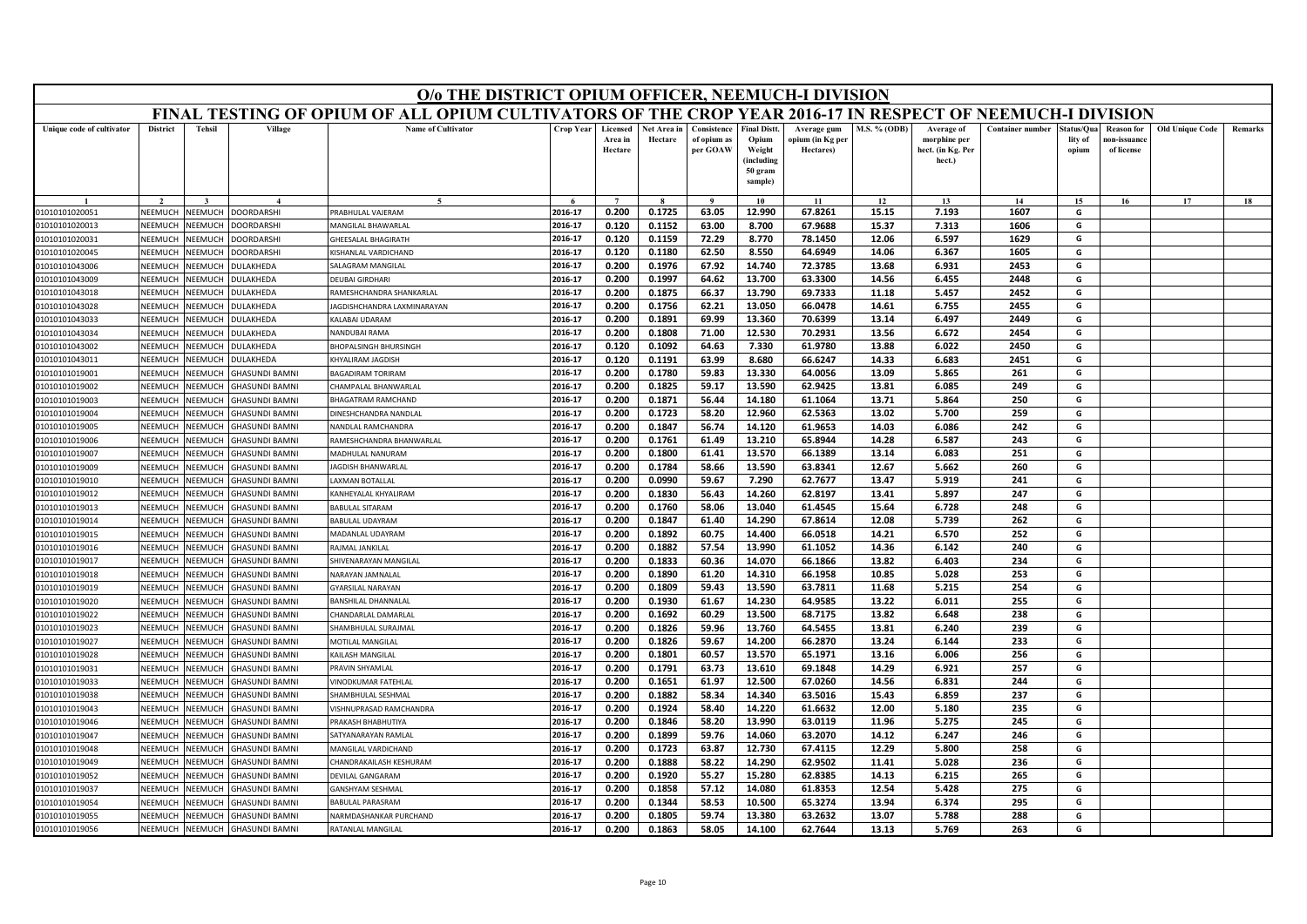|                                  | O/o THE DISTRICT OPIUM OFFICER, NEEMUCH-I DIVISION<br>FINAL TESTING OF OPIUM OF ALL OPIUM CULTIVATORS OF THE CROP YEAR 2016-17 IN RESPECT OF NEEMUCH-I DIVISION |                                  |                                               |                                                   |                    |                                |                        |                                        |                                                                            |                                              |                     |                                                           |                         |                               |                                                |                        |         |
|----------------------------------|-----------------------------------------------------------------------------------------------------------------------------------------------------------------|----------------------------------|-----------------------------------------------|---------------------------------------------------|--------------------|--------------------------------|------------------------|----------------------------------------|----------------------------------------------------------------------------|----------------------------------------------|---------------------|-----------------------------------------------------------|-------------------------|-------------------------------|------------------------------------------------|------------------------|---------|
|                                  |                                                                                                                                                                 |                                  |                                               |                                                   |                    |                                |                        |                                        |                                                                            |                                              |                     |                                                           |                         |                               |                                                |                        |         |
| Unique code of cultivator        | <b>District</b>                                                                                                                                                 | <b>Tehsil</b>                    | Village                                       | <b>Name of Cultivator</b>                         | Crop Year          | Licensed<br>Area in<br>Hectare | Net Area in<br>Hectare | Consistence<br>of opium as<br>per GOAW | <b>Final Distt.</b><br>Opium<br>Weight<br>(including<br>50 gram<br>sample) | Average gum<br>ppium (in Kg per<br>Hectares) | <b>M.S. % (ODB)</b> | Average of<br>morphine per<br>hect. (in Kg. Per<br>hect.) | <b>Container number</b> | tatus/Qua<br>lity of<br>opium | <b>Reason for</b><br>10n-issuanc<br>of license | <b>Old Unique Code</b> | Remarks |
|                                  |                                                                                                                                                                 |                                  |                                               |                                                   |                    |                                |                        | $\bf{Q}$                               | 10                                                                         | 11                                           | 12                  | 13                                                        | 14                      | 15                            | 16                                             | 17                     | 18      |
| 01010101020051                   | NEEMUCH                                                                                                                                                         | NEEMUCH                          | <b>OORDARSHI</b>                              | RABHULAL VAJERAM                                  | 2016-17            | 0.200                          | 0.1725                 | 63.05                                  | 12.990                                                                     | 67.8261                                      | 15.15               | 7.193                                                     | 1607                    | G                             |                                                |                        |         |
| 01010101020013                   | NEEMUCH                                                                                                                                                         | <b>JEEMUCH</b>                   | OORDARSHI                                     | <b>AANGILAL BHAWARLAL</b>                         | 2016-17            | 0.120                          | 0.1152                 | 63.00                                  | 8.700                                                                      | 67.9688                                      | 15.37               | 7.313                                                     | 1606                    | G                             |                                                |                        |         |
| 01010101020031                   | NEEMUCH                                                                                                                                                         | NEEMUCH                          | <b>OORDARSHI</b>                              | HEESALAL BHAGIRATH                                | 2016-17            | 0.120                          | 0.1159                 | 72.29                                  | 8.770                                                                      | 78.1450                                      | 12.06               | 6.597                                                     | 1629                    | G                             |                                                |                        |         |
| 01010101020045                   | <b>NEEMUCH</b>                                                                                                                                                  | VEEMUCH                          | <b>OORDARSHI</b>                              | (ISHANLAL VARDICHAND                              | 2016-17            | 0.120                          | 0.1180                 | 62.50                                  | 8.550                                                                      | 64.6949                                      | 14.06               | 6.367                                                     | 1605                    | G                             |                                                |                        |         |
| 01010101043006                   | NEEMUCH                                                                                                                                                         | <b>NEEMUCH</b>                   | <b>ULAKHEDA</b>                               | ALAGRAM MANGILAL                                  | 2016-17            | 0.200                          | 0.1976                 | 67.92                                  | 14.740                                                                     | 72.3785                                      | 13.68               | 6.931                                                     | 2453                    | G                             |                                                |                        |         |
| 01010101043009                   | NEEMUCH                                                                                                                                                         | <b>NEEMUCH</b>                   | <b>ULAKHEDA</b>                               | DEUBAI GIRDHAR                                    | 2016-17            | 0.200                          | 0.1997                 | 64.62                                  | 13.700                                                                     | 63.3300                                      | 14.56               | 6.455                                                     | 2448                    | G                             |                                                |                        |         |
| 01010101043018                   | NEEMUCH                                                                                                                                                         | VEEMUCH                          | <b>ULAKHEDA</b>                               | RAMESHCHANDRA SHANKARLAI                          | 2016-17            | 0.200                          | 0.1875                 | 66.37                                  | 13.790                                                                     | 69.7333                                      | 11.18               | 5.457                                                     | 2452                    | G                             |                                                |                        |         |
| 01010101043028                   | NEEMUCH                                                                                                                                                         | <b>NEEMUCH</b>                   | <b>ULAKHEDA</b>                               | AGDISHCHANDRA LAXMINARAYAN                        | 2016-17            | 0.200                          | 0.1756                 | 62.21                                  | 13.050                                                                     | 66.0478                                      | 14.61               | 6.755                                                     | 2455                    | G                             |                                                |                        |         |
| 01010101043033                   | NEEMUCH                                                                                                                                                         | <b>NEEMUCH</b>                   | <b>ULAKHEDA</b>                               | ALABAI UDARAM                                     | 2016-17            | 0.200                          | 0.1891                 | 69.99                                  | 13.360                                                                     | 70.6399                                      | 13.14               | 6.497                                                     | 2449                    | G                             |                                                |                        |         |
| 01010101043034                   | NEEMUCH                                                                                                                                                         | <b>NEEMUCH</b>                   | <b>ULAKHEDA</b>                               | NANDUBAI RAMA                                     | 2016-17            | 0.200                          | 0.1808                 | 71.00                                  | 12.530                                                                     | 70.2931                                      | 13.56               | 6.672                                                     | 2454                    | G                             |                                                |                        |         |
| 01010101043002                   | NEEMUCH                                                                                                                                                         | <b>NEEMUCH</b>                   | <b>ULAKHEDA</b>                               | HOPALSINGH BHURSINGH                              | 2016-17            | 0.120                          | 0.1092                 | 64.63                                  | 7.330                                                                      | 61.9780                                      | 13.88               | 6.022                                                     | 2450                    | G                             |                                                |                        |         |
| 01010101043011                   | NEEMUCH                                                                                                                                                         | <b>JEEMUCH</b>                   | ULAKHEDA                                      | HYALIRAM JAGDISH                                  | 2016-17            | 0.120                          | 0.1191                 | 63.99                                  | 8.680                                                                      | 66.6247                                      | 14.33               | 6.683                                                     | 2451                    | G                             |                                                |                        |         |
| 01010101019001                   | <b>NEEMUCH</b>                                                                                                                                                  | <b>JEEMUCH</b>                   | <b>GHASUNDI BAMNI</b>                         | <b>BAGADIRAM TORIRAM</b>                          | 2016-17            | 0.200                          | 0.1780                 | 59.83                                  | 13.330                                                                     | 64.0056                                      | 13.09               | 5.865                                                     | 261                     | G                             |                                                |                        |         |
| 01010101019002                   | NEEMUCH<br>NEEMUCH                                                                                                                                              | <b>JEEMUCH</b>                   | <b>HASUNDI BAMNI</b>                          | HAMPALAL BHANWARLAL                               | 2016-17            | 0.200                          | 0.1825                 | 59.17                                  | 13.590                                                                     | 62.9425                                      | 13.81               | 6.085                                                     | 249                     | G                             |                                                |                        |         |
| 01010101019003                   | NEEMUCH                                                                                                                                                         | <b>JEEMUCI</b><br><b>JEEMUCH</b> | <b>HASUNDI BAMNI</b><br><b>GHASUNDI BAMNI</b> | HAGATRAM RAMCHAND                                 | 2016-17<br>2016-17 | 0.200<br>0.200                 | 0.1871                 | 56.44                                  | 14.180                                                                     | 61.1064                                      | 13.71               | 5.864                                                     | 250                     | G<br>G                        |                                                |                        |         |
| 01010101019004<br>01010101019005 | NEEMUCH                                                                                                                                                         | <b>JEEMUCH</b>                   | <b>GHASUNDI BAMNI</b>                         | <b>INESHCHANDRA NANDLAL</b><br>NANDLAL RAMCHANDRA | 2016-17            | 0.200                          | 0.1723<br>0.1847       | 58.20<br>56.74                         | 12.960<br>14.120                                                           | 62.5363<br>61.9653                           | 13.02<br>14.03      | 5.700<br>6.086                                            | 259<br>242              | G                             |                                                |                        |         |
| 01010101019006                   | NEEMUCH                                                                                                                                                         | <b>JEEMUC</b>                    | <b>HASUNDI BAMNI</b>                          | RAMESHCHANDRA BHANWARLAI                          | 2016-17            | 0.200                          | 0.1761                 | 61.49                                  | 13.210                                                                     | 65.8944                                      | 14.28               | 6.587                                                     | 243                     | G                             |                                                |                        |         |
| 01010101019007                   | NEEMUCH                                                                                                                                                         | <b>NEEMUCH</b>                   | <b>GHASUNDI BAMNI</b>                         | MADHULAL NANURAM                                  | 2016-17            | 0.200                          | 0.1800                 | 61.41                                  | 13.570                                                                     | 66.1389                                      | 13.14               | 6.083                                                     | 251                     | G                             |                                                |                        |         |
| 01010101019009                   | NEEMUCH                                                                                                                                                         | <b>NEEMUCH</b>                   | <b>HASUNDI BAMNI</b>                          | <b>AGDISH BHANWARLAL</b>                          | 2016-17            | 0.200                          | 0.1784                 | 58.66                                  | 13.590                                                                     | 63.8341                                      | 12.67               | 5.662                                                     | 260                     | G                             |                                                |                        |         |
| 01010101019010                   | NEEMUCH                                                                                                                                                         | <b>IEEMUCH</b>                   | <b>HASUNDI BAMNI</b>                          | AXMAN BOTALLAL                                    | 2016-17            | 0.200                          | 0.0990                 | 59.67                                  | 7.290                                                                      | 62.7677                                      | 13.47               | 5.919                                                     | 241                     | G                             |                                                |                        |         |
| 01010101019012                   | NEEMUCH                                                                                                                                                         | <b>JEEMUCH</b>                   | <b>HASUNDI BAMNI</b>                          | ANHEYALAL KHYALIRAM                               | 2016-17            | 0.200                          | 0.1830                 | 56.43                                  | 14.260                                                                     | 62.8197                                      | 13.41               | 5.897                                                     | 247                     | G                             |                                                |                        |         |
| 01010101019013                   | NEEMUCH                                                                                                                                                         | <b>JEEMUCH</b>                   | <b>HASUNDI BAMNI</b>                          | <b>BABULAL SITARAM</b>                            | 2016-17            | 0.200                          | 0.1760                 | 58.06                                  | 13.040                                                                     | 61.4545                                      | 15.64               | 6.728                                                     | 248                     | G                             |                                                |                        |         |
| 01010101019014                   | NEEMUCH                                                                                                                                                         | <b>JEEMUCI</b>                   | <b>HASUNDI BAMNI</b>                          | BABULAL UDAYRAM                                   | 2016-17            | 0.200                          | 0.1847                 | 61.40                                  | 14.290                                                                     | 67.8614                                      | 12.08               | 5.739                                                     | 262                     | G                             |                                                |                        |         |
| 01010101019015                   | NEEMUCH                                                                                                                                                         | <b>NEEMUCH</b>                   | <b>HASUNDI BAMNI</b>                          | <b>MADANLAL UDAYRAM</b>                           | 2016-17            | 0.200                          | 0.1892                 | 60.75                                  | 14.400                                                                     | 66.0518                                      | 14.21               | 6.570                                                     | 252                     | G                             |                                                |                        |         |
| 01010101019016                   | NEEMUCH                                                                                                                                                         | <b>JEEMUCH</b>                   | <b>GHASUNDI BAMNI</b>                         | RAIMAI IANKII AI                                  | 2016-17            | 0.200                          | 0.1882                 | 57.54                                  | 13.990                                                                     | 61.1052                                      | 14.36               | 6.142                                                     | 240                     | G                             |                                                |                        |         |
| 01010101019017                   | <b>NEEMUCH</b>                                                                                                                                                  | <b>JEEMUCI</b>                   | <b>HASUNDI BAMNI</b>                          | <b>SHIVENARAYAN MANGILAL</b>                      | 2016-17            | 0.200                          | 0.1833                 | 60.36                                  | 14.070                                                                     | 66.1866                                      | 13.82               | 6.403                                                     | 234                     | G                             |                                                |                        |         |
| 01010101019018                   | NEEMUCH                                                                                                                                                         | <b>JEEMUCH</b>                   | <b>HASUNDI BAMNI</b>                          | <b>JARAYAN JAMNALAL</b>                           | 2016-17            | 0.200                          | 0.1890                 | 61.20                                  | 14.310                                                                     | 66.1958                                      | 10.85               | 5.028                                                     | 253                     | G                             |                                                |                        |         |
| 01010101019019                   | NEEMUCH                                                                                                                                                         | <b>JEEMUCH</b>                   | <b>GHASUNDI BAMNI</b>                         | YARSILAL NARAYAN                                  | 2016-17            | 0.200                          | 0.1809                 | 59.43                                  | 13.590                                                                     | 63.7811                                      | 11.68               | 5.215                                                     | 254                     | G                             |                                                |                        |         |
| 01010101019020                   | <b>NEEMUCH</b>                                                                                                                                                  | VEEMUCI                          | <b>HASUNDI BAMNI</b>                          | <b>BANSHILAL DHANNALAL</b>                        | 2016-17            | 0.200                          | 0.1930                 | 61.67                                  | 14.230                                                                     | 64.9585                                      | 13.22               | 6.011                                                     | 255                     | G                             |                                                |                        |         |
| 01010101019022                   | NEEMUCH                                                                                                                                                         | <b>JEEMUCH</b>                   | <b>HASUNDI BAMNI</b>                          | HANDARLAL DAMARLAL                                | 2016-17            | 0.200                          | 0.1692                 | 60.29                                  | 13.500                                                                     | 68.7175                                      | 13.82               | 6.648                                                     | 238                     | G                             |                                                |                        |         |
| 01010101019023                   | NEEMUCH                                                                                                                                                         | <b>NEEMUCH</b>                   | <b>GHASUNDI BAMNI</b>                         | HAMBHULAL SURAJMAL                                | 2016-17            | 0.200                          | 0.1826                 | 59.96                                  | 13.760                                                                     | 64.5455                                      | 13.81               | 6.240                                                     | 239                     | G                             |                                                |                        |         |
| 01010101019027                   | <b>NEEMUCH</b>                                                                                                                                                  | VEEMUCH                          | <b>HASUNDI BAMNI</b>                          | MOTILAL MANGILAL                                  | 2016-17            | 0.200                          | 0.1826                 | 59.67                                  | 14.200                                                                     | 66.2870                                      | 13.24               | 6.144                                                     | 233                     | G                             |                                                |                        |         |
| 01010101019028                   | NEEMUCH                                                                                                                                                         | <b>NEEMUCH</b>                   | <b>HASUNDI BAMNI</b>                          | AILASH MANGILAI                                   | 2016-17            | 0.200                          | 0.1801                 | 60.57                                  | 13.570                                                                     | 65.1971                                      | 13.16               | 6.006                                                     | 256                     | G                             |                                                |                        |         |
| 01010101019031                   | NEEMUCH                                                                                                                                                         | <b>NEEMUCH</b>                   | <b>HASUNDI BAMNI</b>                          | RAVIN SHYAMLAL                                    | 2016-17            | 0.200                          | 0.1791                 | 63.73                                  | 13.610                                                                     | 69.1848                                      | 14.29               | 6.921                                                     | 257                     | G                             |                                                |                        |         |
| 01010101019033                   | NEEMUCH                                                                                                                                                         | <b>JEEMUCH</b>                   | <b>HASUNDI BAMNI</b>                          | VINODKUMAR FATEHLAI                               | 2016-17            | 0.200                          | 0.1651                 | 61.97                                  | 12.500                                                                     | 67.0260                                      | 14.56               | 6.831                                                     | 244                     | G                             |                                                |                        |         |
| 01010101019038                   | NEEMUCH                                                                                                                                                         | <b>JEEMUCH</b>                   | <b>HASUNDI BAMNI</b>                          | HAMBHULAL SESHMAL                                 | 2016-17            | 0.200                          | 0.1882                 | 58.34                                  | 14.340                                                                     | 63.5016                                      | 15.43               | 6.859                                                     | 237                     | G                             |                                                |                        |         |
| 01010101019043                   | NEEMUCH                                                                                                                                                         | <b>JEEMUCH</b>                   | <b>HASUNDI BAMNI</b>                          | ISHNUPRASAD RAMCHANDRA                            | 2016-17            | 0.200                          | 0.1924                 | 58.40                                  | 14.220                                                                     | 61.6632                                      | 12.00               | 5.180                                                     | 235                     | G                             |                                                |                        |         |
| 01010101019046                   | NEEMUCH                                                                                                                                                         | VEEMUCH                          | <b>HASUNDI BAMNI</b>                          | <b>RAKASH BHABHUTIYA</b>                          | 2016-17            | 0.200                          | 0.1846                 | 58.20                                  | 13.990                                                                     | 63.0119                                      | 11.96               | 5.275                                                     | 245                     | G                             |                                                |                        |         |
| 01010101019047                   | NEEMUCH                                                                                                                                                         | <b>NEEMUCH</b>                   | <b>HASUNDI BAMNI</b>                          | <b>SATYANARAYAN RAMLAL</b>                        | 2016-17            | 0.200                          | 0.1899                 | 59.76                                  | 14.060                                                                     | 63.2070                                      | 14.12               | 6.247                                                     | 246                     | G                             |                                                |                        |         |
| 01010101019048                   | NEEMUCH                                                                                                                                                         | <b>JEEMUCH</b>                   | <b>HASUNDI BAMNI</b>                          | <b>MANGILAL VARDICHAND</b>                        | 2016-17            | 0.200                          | 0.1723                 | 63.87                                  | 12.730                                                                     | 67.4115                                      | 12.29               | 5.800                                                     | 258                     | G                             |                                                |                        |         |
| 01010101019049                   | <b>NFFMUCH</b>                                                                                                                                                  | <b>JEEMUCI</b>                   | <b>HASUNDI BAMNI</b>                          | HANDRAKAILASH KESHURAM                            | 2016-17            | 0.200                          | 0.1888                 | 58.22                                  | 14.290                                                                     | 62.9502                                      | 11.41               | 5.028                                                     | 236                     | G                             |                                                |                        |         |
| 01010101019052                   | NEEMUCH                                                                                                                                                         | <b>NEEMUCH</b>                   | <b>HASUNDI BAMNI</b>                          | DEVILAL GANGARAM                                  | 2016-17            | 0.200                          | 0.1920                 | 55.27                                  | 15.280                                                                     | 62.8385                                      | 14.13               | 6.215                                                     | 265                     | G                             |                                                |                        |         |
| 01010101019037                   | NEEMUCH                                                                                                                                                         | <b>JEEMUCH</b>                   | <b>HASUNDI BAMNI</b>                          | <b>ANSHYAM SESHMAL</b>                            | 2016-17            | 0.200                          | 0.1858                 | 57.12                                  | 14.080                                                                     | 61.8353                                      | 12.54               | 5.428                                                     | 275                     | G                             |                                                |                        |         |
| 01010101019054                   | NEEMUCH                                                                                                                                                         | <b>JEEMUCI</b>                   | <b>HASUNDI BAMNI</b>                          | <b>BABULAL PARASRAM</b>                           | 2016-17            | 0.200                          | 0.1344                 | 58.53                                  | 10.500                                                                     | 65.3274                                      | 13.94               | 6.374                                                     | 295                     | G                             |                                                |                        |         |
| 01010101019055                   | NEEMUCH                                                                                                                                                         | NEEMUCH                          | <b>HASUNDI BAMNI</b>                          | VARMDASHANKAR PURCHAND                            | 2016-17            | 0.200                          | 0.1805                 | 59.74                                  | 13.380                                                                     | 63.2632                                      | 13.07               | 5.788                                                     | 288                     | G                             |                                                |                        |         |
| 01010101019056                   | NEEMUCH                                                                                                                                                         | NEEMUCH                          | <b>GHASUNDI BAMNI</b>                         | RATANLAL MANGILAL                                 | 2016-17            | 0.200                          | 0.1863                 | 58.05                                  | 14.100                                                                     | 62.7644                                      | 13.13               | 5.769                                                     | 263                     | G                             |                                                |                        |         |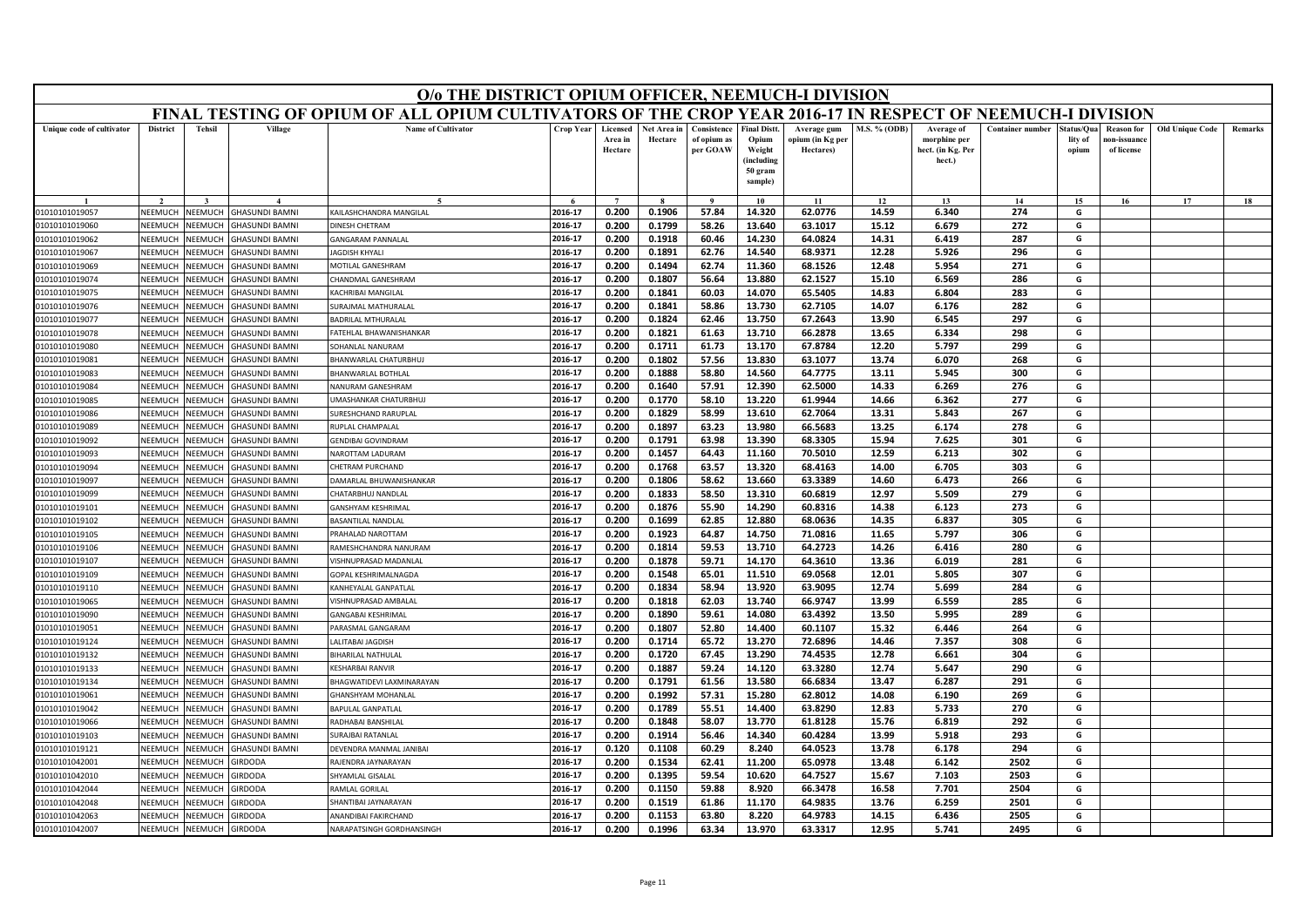|                                  | O/o THE DISTRICT OPIUM OFFICER, NEEMUCH-I DIVISION<br>FINAL TESTING OF OPIUM OF ALL OPIUM CULTIVATORS OF THE CROP YEAR 2016-17 IN RESPECT OF NEEMUCH-I DIVISION |                    |                                                |                                              |                    |                                |                        |                                        |                                                                            |                                              |                |                                                           |                         |                               |                                                |                        |         |
|----------------------------------|-----------------------------------------------------------------------------------------------------------------------------------------------------------------|--------------------|------------------------------------------------|----------------------------------------------|--------------------|--------------------------------|------------------------|----------------------------------------|----------------------------------------------------------------------------|----------------------------------------------|----------------|-----------------------------------------------------------|-------------------------|-------------------------------|------------------------------------------------|------------------------|---------|
|                                  |                                                                                                                                                                 |                    |                                                |                                              |                    |                                |                        |                                        |                                                                            |                                              |                |                                                           |                         |                               |                                                |                        |         |
| Unique code of cultivator        | <b>District</b>                                                                                                                                                 | <b>Tehsil</b>      | Village                                        | <b>Name of Cultivator</b>                    | Crop Year          | Licensed<br>Area in<br>Hectare | Net Area in<br>Hectare | Consistence<br>of opium as<br>per GOAW | <b>Final Distt.</b><br>Opium<br>Weight<br>(including<br>50 gram<br>sample) | Average gum<br>opium (in Kg per<br>Hectares) | M.S. % (ODB)   | Average of<br>morphine per<br>hect. (in Kg. Per<br>hect.) | <b>Container number</b> | tatus/Qua<br>lity of<br>opium | <b>Reason for</b><br>10n-issuanc<br>of license | <b>Old Unique Code</b> | Remarks |
|                                  |                                                                                                                                                                 |                    |                                                |                                              |                    |                                |                        |                                        | 10                                                                         | 11                                           | 12             | 13                                                        | 14                      | 15                            | 16                                             | 17                     | 18      |
| 01010101019057                   | <b>NEEMUCH</b>                                                                                                                                                  | NEEMUCH            | <b>GHASUNDI BAMNI</b>                          | KAILASHCHANDRA MANGILAL                      | 2016-17            | 0.200                          | 0.1906                 | 57.84                                  | 14.320                                                                     | 62.0776                                      | 14.59          | 6.340                                                     | 274                     | G                             |                                                |                        |         |
| 01010101019060                   | NEEMUCH                                                                                                                                                         | NEEMUCH            | <b>GHASUNDI BAMNI</b>                          | DINESH CHETRAM                               | 2016-17            | 0.200                          | 0.1799                 | 58.26                                  | 13.640                                                                     | 63.1017                                      | 15.12          | 6.679                                                     | 272                     | G                             |                                                |                        |         |
| 01010101019062                   | NEEMUCH                                                                                                                                                         | NEEMUCH            | <b>GHASUNDI BAMNI</b>                          | <b>GANGARAM PANNALAL</b>                     | 2016-17            | 0.200                          | 0.1918                 | 60.46                                  | 14.230                                                                     | 64.0824                                      | 14.31          | 6.419                                                     | 287                     | G                             |                                                |                        |         |
| 01010101019067                   | NEEMUCH                                                                                                                                                         | NEEMUCH            | <b>GHASUNDI BAMNI</b>                          | JAGDISH KHYALI                               | 2016-17            | 0.200                          | 0.1891                 | 62.76                                  | 14.540                                                                     | 68.9371                                      | 12.28          | 5.926                                                     | 296                     | G                             |                                                |                        |         |
| 01010101019069                   | NEEMUCH                                                                                                                                                         | NEEMUCH            | <b>GHASUNDI BAMNI</b>                          | MOTILAL GANESHRAM                            | 2016-17            | 0.200                          | 0.1494                 | 62.74                                  | 11.360                                                                     | 68.1526                                      | 12.48          | 5.954                                                     | 271                     | G                             |                                                |                        |         |
| 01010101019074                   | NEEMUCH                                                                                                                                                         | NEEMUCH            | <b>GHASUNDI BAMNI</b>                          | CHANDMAL GANESHRAM                           | 2016-17            | 0.200                          | 0.1807                 | 56.64                                  | 13.880                                                                     | 62.1527                                      | 15.10          | 6.569                                                     | 286                     | G                             |                                                |                        |         |
| 01010101019075                   | NEEMUCH                                                                                                                                                         | NEEMUCH            | <b>GHASUNDI BAMNI</b>                          | <b>KACHRIBAI MANGILAI</b>                    | 2016-17            | 0.200                          | 0.1841                 | 60.03                                  | 14.070                                                                     | 65.5405                                      | 14.83          | 6.804                                                     | 283                     | G                             |                                                |                        |         |
| 01010101019076                   | NEEMUCI                                                                                                                                                         | NEEMUCH            | <b>GHASUNDI BAMNI</b>                          | SURAJMAL MATHURALAL                          | 2016-17            | 0.200                          | 0.1841                 | 58.86                                  | 13.730                                                                     | 62.7105                                      | 14.07          | 6.176                                                     | 282                     | G                             |                                                |                        |         |
| 01010101019077                   | NEEMUCH                                                                                                                                                         | NEEMUCH            | <b>GHASUNDI BAMNI</b>                          | <b>BADRILAL MTHURALAL</b>                    | 2016-17            | 0.200                          | 0.1824                 | 62.46                                  | 13.750                                                                     | 67.2643                                      | 13.90          | 6.545                                                     | 297                     | G                             |                                                |                        |         |
| 01010101019078                   | NEEMUCH                                                                                                                                                         | NEEMUCH            | <b>GHASUNDI BAMNI</b>                          | FATEHLAL BHAWANISHANKAR                      | 2016-17            | 0.200                          | 0.1821                 | 61.63                                  | 13.710                                                                     | 66.2878                                      | 13.65          | 6.334                                                     | 298                     | G                             |                                                |                        |         |
| 01010101019080                   | NEEMUCH                                                                                                                                                         | NEEMUCH            | <b>GHASUNDI BAMNI</b>                          | SOHANLAL NANURAM                             | 2016-17            | 0.200                          | 0.1711                 | 61.73                                  | 13.170                                                                     | 67.8784                                      | 12.20          | 5.797                                                     | 299                     | G                             |                                                |                        |         |
| 01010101019081                   | NEEMUCH                                                                                                                                                         | VEEMUCH            | <b>GHASUNDI BAMNI</b>                          | BHANWARLAL CHATURBHUJ                        | 2016-17            | 0.200                          | 0.1802                 | 57.56                                  | 13.830                                                                     | 63.1077                                      | 13.74          | 6.070                                                     | 268                     | G                             |                                                |                        |         |
| 01010101019083                   | NEEMUCH                                                                                                                                                         | NEEMUCH            | <b>GHASUNDI BAMNI</b>                          | BHANWARLAL BOTHLAL                           | 2016-17            | 0.200                          | 0.1888                 | 58.80                                  | 14.560                                                                     | 64.7775                                      | 13.11          | 5.945                                                     | 300                     | G                             |                                                |                        |         |
| 01010101019084                   | NEEMUCH                                                                                                                                                         | NEEMUCH            | <b>GHASUNDI BAMNI</b>                          | NANURAM GANESHRAM                            | 2016-17            | 0.200                          | 0.1640                 | 57.91                                  | 12.390                                                                     | 62.5000                                      | 14.33          | 6.269                                                     | 276                     | G                             |                                                |                        |         |
| 01010101019085                   | NEEMUCI                                                                                                                                                         | VEEMUCH            | <b>GHASUNDI BAMNI</b>                          | <b>JMASHANKAR CHATURBHUJ</b>                 | 2016-17            | 0.200                          | 0.1770                 | 58.10                                  | 13.220                                                                     | 61.9944                                      | 14.66          | 6.362                                                     | 277                     | G                             |                                                |                        |         |
| 01010101019086                   | NEEMUCH                                                                                                                                                         | VEEMUCH            | <b>GHASUNDI BAMNI</b>                          | SURESHCHAND RARUPLAL                         | 2016-17            | 0.200                          | 0.1829                 | 58.99                                  | 13.610                                                                     | 62.7064                                      | 13.31          | 5.843                                                     | 267                     | G                             |                                                |                        |         |
| 01010101019089                   | NEEMUCH                                                                                                                                                         | NEEMUCH            | <b>GHASUNDI BAMNI</b>                          | RUPLAL CHAMPALAL                             | 2016-17            | 0.200                          | 0.1897                 | 63.23                                  | 13.980                                                                     | 66.5683                                      | 13.25          | 6.174                                                     | 278                     | G                             |                                                |                        |         |
| 01010101019092                   | NEEMUC                                                                                                                                                          | VEEMUCI            | <b>GHASUNDI BAMNI</b>                          | <b>GENDIBAI GOVINDRAM</b>                    | 2016-17            | 0.200                          | 0.1791                 | 63.98                                  | 13.390                                                                     | 68.3305                                      | 15.94          | 7.625                                                     | 301                     | G                             |                                                |                        |         |
| 01010101019093                   | NEEMUCH                                                                                                                                                         | NEEMUCH            | <b>GHASUNDI BAMNI</b>                          | NAROTTAM LADURAM<br><b>HETRAM PURCHAND</b>   | 2016-17            | 0.200                          | 0.1457                 | 64.43                                  | 11.160                                                                     | 70.5010                                      | 12.59          | 6.213                                                     | 302                     | G<br>G                        |                                                |                        |         |
| 01010101019094                   | NEEMUCH                                                                                                                                                         | NEEMUCH            | <b>GHASUNDI BAMNI</b>                          |                                              | 2016-17            | 0.200                          | 0.1768<br>0.1806       | 63.57<br>58.62                         | 13.320<br>13.660                                                           | 68.4163<br>63.3389                           | 14.00<br>14.60 | 6.705<br>6.473                                            | 303<br>266              |                               |                                                |                        |         |
| 01010101019097<br>01010101019099 | NEEMUCI<br>NEEMUCH                                                                                                                                              | VEEMUCH<br>VEEMUCH | <b>GHASUNDI BAMNI</b><br><b>GHASUNDI BAMNI</b> | DAMARLAL BHUWANISHANKAR<br>HATARBHUJ NANDLAL | 2016-17<br>2016-17 | 0.200<br>0.200                 | 0.1833                 | 58.50                                  | 13.310                                                                     | 60.6819                                      | 12.97          | 5.509                                                     | 279                     | G<br>G                        |                                                |                        |         |
| 01010101019101                   | NEEMUCH                                                                                                                                                         | VEEMUCH            | <b>GHASUNDI BAMNI</b>                          | <b>GANSHYAM KESHRIMAL</b>                    | 2016-17            | 0.200                          | 0.1876                 | 55.90                                  | 14.290                                                                     | 60.8316                                      | 14.38          | 6.123                                                     | 273                     | G                             |                                                |                        |         |
| 01010101019102                   | NEEMUCI                                                                                                                                                         | VEEMUCH            | <b>GHASUNDI BAMNI</b>                          | <b>BASANTILAL NANDLAL</b>                    | 2016-17            | 0.200                          | 0.1699                 | 62.85                                  | 12.880                                                                     | 68.0636                                      | 14.35          | 6.837                                                     | 305                     | G                             |                                                |                        |         |
| 01010101019105                   | NEEMUCH                                                                                                                                                         | NEEMUCH            | <b>GHASUNDI BAMNI</b>                          | PRAHALAD NAROTTAM                            | 2016-17            | 0.200                          | 0.1923                 | 64.87                                  | 14.750                                                                     | 71.0816                                      | 11.65          | 5.797                                                     | 306                     | G                             |                                                |                        |         |
| 01010101019106                   | NEEMUCH                                                                                                                                                         | NEEMUCH            | <b>GHASUNDI BAMNI</b>                          | RAMESHCHANDRA NANURAM                        | 2016-17            | 0.200                          | 0.1814                 | 59.53                                  | 13.710                                                                     | 64.2723                                      | 14.26          | 6.416                                                     | 280                     | G                             |                                                |                        |         |
| 01010101019107                   | NEEMUCI                                                                                                                                                         | VEEMUCH            | <b>GHASUNDI BAMNI</b>                          | VISHNUPRASAD MADANLA                         | 2016-17            | 0.200                          | 0.1878                 | 59.71                                  | 14.170                                                                     | 64.3610                                      | 13.36          | 6.019                                                     | 281                     | G                             |                                                |                        |         |
| 01010101019109                   | NEEMUCH                                                                                                                                                         | NEEMUCH            | <b>GHASUNDI BAMNI</b>                          | GOPAL KESHRIMALNAGDA                         | 2016-17            | 0.200                          | 0.1548                 | 65.01                                  | 11.510                                                                     | 69.0568                                      | 12.01          | 5.805                                                     | 307                     | G                             |                                                |                        |         |
| 01010101019110                   | NEEMUCH                                                                                                                                                         | NEEMUCH            | <b>GHASUNDI BAMNI</b>                          | KANHEYALAL GANPATLAL                         | 2016-17            | 0.200                          | 0.1834                 | 58.94                                  | 13.920                                                                     | 63.9095                                      | 12.74          | 5.699                                                     | 284                     | G                             |                                                |                        |         |
| 01010101019065                   | NEEMUCH                                                                                                                                                         | NEEMUCH            | <b>GHASUNDI BAMNI</b>                          | VISHNUPRASAD AMBALAL                         | 2016-17            | 0.200                          | 0.1818                 | 62.03                                  | 13.740                                                                     | 66.9747                                      | 13.99          | 6.559                                                     | 285                     | G                             |                                                |                        |         |
| 01010101019090                   | NEEMUCH                                                                                                                                                         | <b>NEEMUCH</b>     | <b>GHASUNDI BAMNI</b>                          | <b>GANGABAI KESHRIMAL</b>                    | 2016-17            | 0.200                          | 0.1890                 | 59.61                                  | 14.080                                                                     | 63.4392                                      | 13.50          | 5.995                                                     | 289                     | G                             |                                                |                        |         |
| 01010101019051                   | NEEMUCH                                                                                                                                                         | NEEMUCH            | <b>GHASUNDI BAMNI</b>                          | PARASMAL GANGARAM                            | 2016-17            | 0.200                          | 0.1807                 | 52.80                                  | 14.400                                                                     | 60.1107                                      | 15.32          | 6.446                                                     | 264                     | G                             |                                                |                        |         |
| 01010101019124                   | NEEMUCH                                                                                                                                                         | NEEMUCH            | <b>GHASUNDI BAMNI</b>                          | LALITABAI JAGDISH                            | 2016-17            | 0.200                          | 0.1714                 | 65.72                                  | 13.270                                                                     | 72.6896                                      | 14.46          | 7.357                                                     | 308                     | G                             |                                                |                        |         |
| 01010101019132                   | NEEMUCH                                                                                                                                                         | NEEMUCH            | <b>GHASUNDI BAMNI</b>                          | BIHARILAL NATHULAL                           | 2016-17            | 0.200                          | 0.1720                 | 67.45                                  | 13.290                                                                     | 74.4535                                      | 12.78          | 6.661                                                     | 304                     | G                             |                                                |                        |         |
| 01010101019133                   | NEEMUCH                                                                                                                                                         | NEEMUCH            | <b>GHASUNDI BAMNI</b>                          | <b>KESHARBAI RANVIR</b>                      | 2016-17            | 0.200                          | 0.1887                 | 59.24                                  | 14.120                                                                     | 63.3280                                      | 12.74          | 5.647                                                     | 290                     | G                             |                                                |                        |         |
| 01010101019134                   | NEEMUCH                                                                                                                                                         | NEEMUCH            | <b>GHASUNDI BAMNI</b>                          | BHAGWATIDEVI LAXMINARAYAN                    | 2016-17            | 0.200                          | 0.1791                 | 61.56                                  | 13.580                                                                     | 66.6834                                      | 13.47          | 6.287                                                     | 291                     | G                             |                                                |                        |         |
| 01010101019061                   | NEEMUCH                                                                                                                                                         | <b>NEEMUCH</b>     | <b>GHASUNDI BAMNI</b>                          | GHANSHYAM MOHANLAL                           | 2016-17            | 0.200                          | 0.1992                 | 57.31                                  | 15.280                                                                     | 62.8012                                      | 14.08          | 6.190                                                     | 269                     | G                             |                                                |                        |         |
| 01010101019042                   | VEEMUCH                                                                                                                                                         | VEEMUCH            | <b>GHASUNDI BAMNI</b>                          | BAPULAL GANPATLAL                            | 2016-17            | 0.200                          | 0.1789                 | 55.51                                  | 14.400                                                                     | 63.8290                                      | 12.83          | 5.733                                                     | 270                     | G                             |                                                |                        |         |
| 01010101019066                   | NEEMUCH                                                                                                                                                         | VEEMUCH            | <b>GHASUNDI BAMNI</b>                          | RADHABAI BANSHILAL                           | 2016-17            | 0.200                          | 0.1848                 | 58.07                                  | 13.770                                                                     | 61.8128                                      | 15.76          | 6.819                                                     | 292                     | G                             |                                                |                        |         |
| 01010101019103                   | NEEMUCH                                                                                                                                                         | NEEMUCH            | <b>GHASUNDI BAMNI</b>                          | SURAJBAI RATANLAL                            | 2016-17            | 0.200                          | 0.1914                 | 56.46                                  | 14.340                                                                     | 60.4284                                      | 13.99          | 5.918                                                     | 293                     | G                             |                                                |                        |         |
| 01010101019121                   | VEEMUCI                                                                                                                                                         | VEEMUCH            | <b>GHASUNDI BAMNI</b>                          | DEVENDRA MANMAL JANIBAI                      | 2016-17            | 0.120                          | 0.1108                 | 60.29                                  | 8.240                                                                      | 64.0523                                      | 13.78          | 6.178                                                     | 294                     | G                             |                                                |                        |         |
| 01010101042001                   | NFFMUCH                                                                                                                                                         | NEEMUCH            | <b>GIRDODA</b>                                 | RAJENDRA JAYNARAYAN                          | 2016-17            | 0.200                          | 0.1534                 | 62.41                                  | 11.200                                                                     | 65.0978                                      | 13.48          | 6.142                                                     | 2502                    | G                             |                                                |                        |         |
| 01010101042010                   | NEEMUCH                                                                                                                                                         | VEEMUCH            | <b>GIRDODA</b>                                 | SHYAMLAL GISALAL                             | 2016-17            | 0.200                          | 0.1395                 | 59.54                                  | 10.620                                                                     | 64.7527                                      | 15.67          | 7.103                                                     | 2503                    | G                             |                                                |                        |         |
| 01010101042044                   | VEEMUCI                                                                                                                                                         | VEEMUCH            | <b>GIRDODA</b>                                 | RAMLAL GORILAL                               | 2016-17            | 0.200                          | 0.1150                 | 59.88                                  | 8.920                                                                      | 66.3478                                      | 16.58          | 7.701                                                     | 2504                    | G                             |                                                |                        |         |
| 01010101042048                   | NEEMUCH                                                                                                                                                         | VEEMUCI            | <b>GIRDODA</b>                                 | SHANTIBAI JAYNARAYAN                         | 2016-17            | 0.200                          | 0.1519                 | 61.86                                  | 11.170                                                                     | 64.9835                                      | 13.76          | 6.259                                                     | 2501                    | G                             |                                                |                        |         |
| 01010101042063                   | NEEMUCH                                                                                                                                                         | NEEMUCH            | <b>GIRDODA</b>                                 | ANANDIBAI FAKIRCHAND                         | 2016-17            | 0.200                          | 0.1153                 | 63.80                                  | 8.220                                                                      | 64.9783                                      | 14.15          | 6.436                                                     | 2505                    | G                             |                                                |                        |         |
| 01010101042007                   | NEEMUCH                                                                                                                                                         | NEEMUCH            | GIRDODA                                        | NARAPATSINGH GORDHANSINGH                    | 2016-17            | 0.200                          | 0.1996                 | 63.34                                  | 13.970                                                                     | 63.3317                                      | 12.95          | 5.741                                                     | 2495                    | G                             |                                                |                        |         |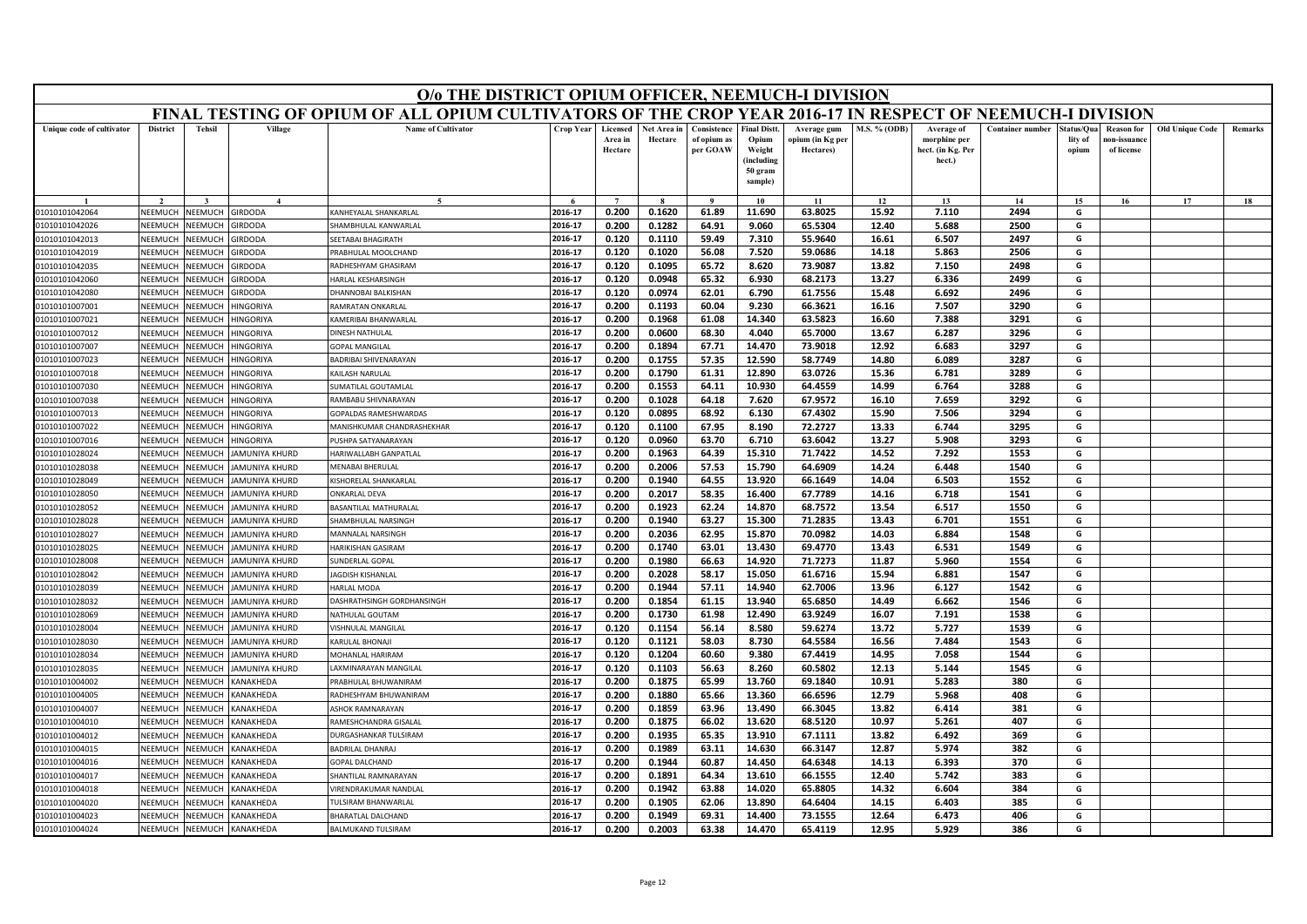|                                  | O/o THE DISTRICT OPIUM OFFICER, NEEMUCH-I DIVISION<br>FINAL TESTING OF OPIUM OF ALL OPIUM CULTIVATORS OF THE CROP YEAR 2016-17 IN RESPECT OF NEEMUCH-I DIVISION |                                 |                                            |                                                 |                    |                                |                        |                                        |                                                                           |                                              |                |                                                           |                         |                                |                                                |                        |         |
|----------------------------------|-----------------------------------------------------------------------------------------------------------------------------------------------------------------|---------------------------------|--------------------------------------------|-------------------------------------------------|--------------------|--------------------------------|------------------------|----------------------------------------|---------------------------------------------------------------------------|----------------------------------------------|----------------|-----------------------------------------------------------|-------------------------|--------------------------------|------------------------------------------------|------------------------|---------|
|                                  |                                                                                                                                                                 |                                 |                                            |                                                 |                    |                                |                        |                                        |                                                                           |                                              |                |                                                           |                         |                                |                                                |                        |         |
| Unique code of cultivator        | <b>District</b>                                                                                                                                                 | <b>Tehsil</b>                   | Village                                    | <b>Name of Cultivator</b>                       | <b>Crop Year</b>   | Licensed<br>Area in<br>Hectare | Net Area in<br>Hectare | Consistence<br>of opium as<br>per GOAW | <b>Final Distt</b><br>Opium<br>Weight<br>(including<br>50 gram<br>sample) | Average gum<br>opium (in Kg per<br>Hectares) | M.S. % (ODB)   | Average of<br>morphine per<br>hect. (in Kg. Per<br>hect.) | <b>Container number</b> | štatus/Oua<br>lity of<br>opium | <b>Reason for</b><br>ıon-issuanc<br>of license | <b>Old Unique Code</b> | Remarks |
|                                  |                                                                                                                                                                 |                                 | $\overline{A}$                             |                                                 |                    | $\overline{ }$                 |                        |                                        | 10                                                                        | 11                                           | 12             | 13                                                        | 14                      | 15                             | 16                                             | 17                     | 18      |
| 01010101042064                   | NEEMUCH                                                                                                                                                         | NEEMUCH                         | <b>GIRDODA</b>                             | KANHEYALAL SHANKARLAL                           | 2016-17            | 0.200                          | 0.1620                 | 61.89                                  | 11.690                                                                    | 63.8025                                      | 15.92          | 7.110                                                     | 2494                    | G                              |                                                |                        |         |
| 01010101042026                   | NEEMUCH                                                                                                                                                         | <b>NEEMUCH</b>                  | <b>IRDODA</b>                              | HAMBHULAL KANWARLAL                             | 2016-17            | 0.200                          | 0.1282                 | 64.91                                  | 9.060                                                                     | 65.5304                                      | 12.40          | 5.688                                                     | 2500                    | G                              |                                                |                        |         |
| 01010101042013                   | NEEMUCH                                                                                                                                                         | <b>NEEMUCH</b>                  | <b>SIRDODA</b>                             | <b>EETABAI BHAGIRATH</b>                        | 2016-17            | 0.120                          | 0.1110                 | 59.49                                  | 7.310                                                                     | 55.9640                                      | 16.61          | 6.507                                                     | 2497                    | G                              |                                                |                        |         |
| 01010101042019                   | NEEMUCI                                                                                                                                                         | <b>NEEMUCH</b>                  | <b>IRDODA</b>                              | PRABHULAL MOOLCHAND                             | 2016-17            | 0.120                          | 0.1020                 | 56.08                                  | 7.520                                                                     | 59.0686                                      | 14.18          | 5.863                                                     | 2506                    | G                              |                                                |                        |         |
| 01010101042035                   | NEEMUCH                                                                                                                                                         | <b>JEEMUCH</b>                  | <b>IRDODA</b>                              | RADHESHYAM GHASIRAM                             | 2016-17            | 0.120                          | 0.1095                 | 65.72                                  | 8.620                                                                     | 73.9087                                      | 13.82          | 7.150                                                     | 2498                    | G                              |                                                |                        |         |
| 01010101042060                   | NEEMUCH                                                                                                                                                         | <b>JEEMUCH</b>                  | <b>SIRDODA</b>                             | <b>HARLAL KESHARSINGH</b>                       | 2016-17            | 0.120                          | 0.0948                 | 65.32                                  | 6.930                                                                     | 68.2173                                      | 13.27          | 6.336                                                     | 2499                    | G                              |                                                |                        |         |
| 01010101042080                   | NEEMUC                                                                                                                                                          | VEEMUCI                         | <b>SIRDODA</b>                             | <b>DHANNOBAI BALKISHAN</b>                      | 2016-17            | 0.120                          | 0.0974                 | 62.01                                  | 6.790                                                                     | 61.7556                                      | 15.48          | 6.692                                                     | 2496                    | G                              |                                                |                        |         |
| 01010101007001                   | NEEMUCH                                                                                                                                                         | <b>JEEMUCH</b>                  | INGORIYA                                   | <b>AMRATAN ONKARLAL</b>                         | 2016-17            | 0.200                          | 0.1193                 | 60.04                                  | 9.230                                                                     | 66.3621                                      | 16.16          | 7.507                                                     | 3290                    | G                              |                                                |                        |         |
| 01010101007021                   | NEEMUCH                                                                                                                                                         | <b>JEEMUCH</b>                  | <b>INGORIYA</b>                            | <b>AMERIBAI BHANWARLAL</b>                      | 2016-17            | 0.200                          | 0.1968                 | 61.08                                  | 14.340                                                                    | 63.5823                                      | 16.60          | 7.388                                                     | 3291                    | G                              |                                                |                        |         |
| 01010101007012                   | <b>NFFMUCH</b>                                                                                                                                                  | VEEMUCH                         | <b>IINGORIYA</b>                           | <b>DINESH NATHULAL</b>                          | 2016-17            | 0.200                          | 0.0600                 | 68.30                                  | 4.040                                                                     | 65.7000                                      | 13.67          | 6.287                                                     | 3296                    | G                              |                                                |                        |         |
| 01010101007007                   | NEEMUCH                                                                                                                                                         | <b>JEEMUCH</b>                  | <b>INGORIYA</b>                            | <b>GOPAL MANGILAL</b>                           | 2016-17            | 0.200                          | 0.1894                 | 67.71                                  | 14.470                                                                    | 73.9018                                      | 12.92          | 6.683                                                     | 3297                    | G                              |                                                |                        |         |
| 01010101007023                   | NEEMUCI                                                                                                                                                         | <b>JEEMUCH</b>                  | <b>INGORIYA</b>                            | <b>BADRIBAI SHIVENARAYAN</b>                    | 2016-17            | 0.200                          | 0.1755                 | 57.35                                  | 12.590                                                                    | 58.7749                                      | 14.80          | 6.089                                                     | 3287                    | G                              |                                                |                        |         |
| 01010101007018                   | NFFMUCH                                                                                                                                                         | <b>JEEMUCH</b>                  | <b>INGORIYA</b>                            | KAILASH NARULAI                                 | 2016-17            | 0.200                          | 0.1790                 | 61.31                                  | 12.890                                                                    | 63.0726                                      | 15.36          | 6.781                                                     | 3289                    | G                              |                                                |                        |         |
| 01010101007030                   | NEEMUCI                                                                                                                                                         | <b>JEEMUCH</b>                  | INGORIYA                                   | UMATILAL GOUTAMLAL                              | 2016-17            | 0.200                          | 0.1553                 | 64.11                                  | 10.930                                                                    | 64.4559                                      | 14.99          | 6.764                                                     | 3288                    | G                              |                                                |                        |         |
| 01010101007038                   | NEEMUCH                                                                                                                                                         | <b>JEEMUCH</b>                  | <b>INGORIYA</b>                            | AMBABU SHIVNARAYAN                              | 2016-17            | 0.200                          | 0.1028                 | 64.18                                  | 7.620                                                                     | 67.9572                                      | 16.10          | 7.659                                                     | 3292                    | G                              |                                                |                        |         |
| 01010101007013                   | NEEMUCH                                                                                                                                                         | VEEMUCH                         | <b>INGORIYA</b>                            | <b>GOPALDAS RAMESHWARDAS</b>                    | 2016-17            | 0.120                          | 0.0895                 | 68.92                                  | 6.130                                                                     | 67.4302                                      | 15.90          | 7.506                                                     | 3294                    | G                              |                                                |                        |         |
| 01010101007022                   | NEEMUCH                                                                                                                                                         | <b>JEEMUCH</b>                  | <b>IINGORIYA</b>                           | MANISHKUMAR CHANDRASHEKHAR                      | 2016-17            | 0.120                          | 0.1100                 | 67.95                                  | 8.190                                                                     | 72.2727                                      | 13.33          | 6.744                                                     | 3295                    | G                              |                                                |                        |         |
| 01010101007016                   | NEEMUCH                                                                                                                                                         | <b>JEEMUCH</b>                  | <b>INGORIYA</b>                            | USHPA SATYANARAYAN                              | 2016-17            | 0.120                          | 0.0960                 | 63.70                                  | 6.710                                                                     | 63.6042                                      | 13.27          | 5.908                                                     | 3293                    | G                              |                                                |                        |         |
| 01010101028024                   | NFFMUCH                                                                                                                                                         | <b>JEEMUCH</b>                  | AMUNIYA KHURD                              | <b>HARIWALLABH GANPATLAL</b>                    | 2016-17            | 0.200                          | 0.1963                 | 64.39                                  | 15.310                                                                    | 71.7422                                      | 14.52          | 7.292                                                     | 1553                    | G                              |                                                |                        |         |
| 01010101028038                   | NEEMUCH                                                                                                                                                         | <b>JEEMUCH</b>                  | AMUNIYA KHURD                              | MENARAI RHERLILAI                               | 2016-17            | 0.200                          | 0.2006                 | 57.53                                  | 15.790                                                                    | 64.6909                                      | 14.24          | 6.448                                                     | 1540                    | G                              |                                                |                        |         |
| 01010101028049                   | NEEMUCH                                                                                                                                                         | <b>JEEMUCH</b>                  | AMUNIYA KHURD                              | (ISHORELAL SHANKARLAI                           | 2016-17            | 0.200                          | 0.1940                 | 64.55                                  | 13.920                                                                    | 66.1649                                      | 14.04          | 6.503                                                     | 1552                    | G                              |                                                |                        |         |
| 01010101028050                   | NEEMUCH                                                                                                                                                         | <b>JEEMUCH</b>                  | AMUNIYA KHURD                              | <b>ONKARLAL DEVA</b>                            | 2016-17            | 0.200                          | 0.2017                 | 58.35                                  | 16.400                                                                    | 67.7789                                      | 14.16          | 6.718                                                     | 1541                    | G                              |                                                |                        |         |
| 01010101028052                   | NFFMUCI                                                                                                                                                         | <b>JEEMUCH</b>                  | AMUNIYA KHURD                              | <b>BASANTILAL MATHURALAL</b>                    | 2016-17            | 0.200                          | 0.1923                 | 62.24                                  | 14.870                                                                    | 68.7572                                      | 13.54          | 6.517                                                     | 1550                    | G                              |                                                |                        |         |
| 01010101028028                   | NEEMUCH                                                                                                                                                         | <b>JEEMUCH</b>                  | AMUNIYA KHURD                              | HAMBHULAL NARSINGH                              | 2016-17            | 0.200                          | 0.1940                 | 63.27                                  | 15.300                                                                    | 71.2835                                      | 13.43          | 6.701                                                     | 1551                    | G                              |                                                |                        |         |
| 01010101028027                   | NEEMUCH                                                                                                                                                         | <b>JEEMUCH</b>                  | AMUNIYA KHURD                              | MANNALAL NARSINGH                               | 2016-17            | 0.200                          | 0.2036                 | 62.95                                  | 15.870                                                                    | 70.0982                                      | 14.03          | 6.884                                                     | 1548                    | G                              |                                                |                        |         |
| 01010101028025                   | NEEMUCI                                                                                                                                                         | <b>JEEMUCH</b>                  | <b>AMUNIYA KHURD</b>                       | HARIKISHAN GASIRAM                              | 2016-17            | 0.200                          | 0.1740                 | 63.01                                  | 13.430                                                                    | 69.4770                                      | 13.43          | 6.531                                                     | 1549                    | G                              |                                                |                        |         |
| 01010101028008                   | NEEMUCI                                                                                                                                                         | <b>JEEMUCI</b>                  | AMUNIYA KHURD                              | UNDERLAL GOPAL                                  | 2016-17            | 0.200                          | 0.1980                 | 66.63                                  | 14.920                                                                    | 71.7273                                      | 11.87          | 5.960                                                     | 1554                    | G                              |                                                |                        |         |
| 01010101028042                   | NEEMUCH                                                                                                                                                         | <b>JEEMUCH</b>                  | AMUNIYA KHURD                              | AGDISH KISHANLAL                                | 2016-17            | 0.200                          | 0.2028                 | 58.17                                  | 15.050                                                                    | 61.6716                                      | 15.94          | 6.881                                                     | 1547                    | G                              |                                                |                        |         |
| 01010101028039                   | NEEMUCH                                                                                                                                                         | <b>JEEMUCH</b>                  | <b>AMUNIYA KHURD</b>                       | HARLAL MODA                                     | 2016-17            | 0.200                          | 0.1944                 | 57.11                                  | 14.940                                                                    | 62.7006                                      | 13.96          | 6.127                                                     | 1542                    | G                              |                                                |                        |         |
| 01010101028032                   | NEEMUCI                                                                                                                                                         | <b>JEEMUC</b>                   | AMUNIYA KHURD                              | DASHRATHSINGH GORDHANSINGH                      | 2016-17            | 0.200                          | 0.1854                 | 61.15                                  | 13.940                                                                    | 65.6850                                      | 14.49          | 6.662                                                     | 1546                    | G                              |                                                |                        |         |
| 01010101028069                   | NEEMUCH                                                                                                                                                         | <b>JEEMUCH</b>                  | AMUNIYA KHURD                              | <b>VATHULAL GOUTAM</b>                          | 2016-17            | 0.200                          | 0.1730                 | 61.98                                  | 12.490                                                                    | 63.9249                                      | 16.07          | 7.191                                                     | 1538                    | G                              |                                                |                        |         |
| 01010101028004                   | NEEMUCH                                                                                                                                                         | <b>JEEMUCH</b>                  | <b>AMUNIYA KHURD</b>                       | <b>ISHNULAL MANGILAL</b>                        | 2016-17            | 0.120                          | 0.1154                 | 56.14                                  | 8.580                                                                     | 59.6274                                      | 13.72          | 5.727                                                     | 1539                    | G                              |                                                |                        |         |
| 01010101028030                   | NEEMUCI                                                                                                                                                         | VEEMUCI                         | AMUNIYA KHURD                              | KARULAL BHONAJI                                 | 2016-17            | 0.120                          | 0.1121                 | 58.03                                  | 8.730                                                                     | 64.5584                                      | 16.56          | 7.484                                                     | 1543                    | G                              |                                                |                        |         |
| 01010101028034                   | NEEMUCH                                                                                                                                                         | <b>NEEMUCH</b>                  | AMUNIYA KHURD                              | <b>MOHANLAL HARIRAM</b>                         | 2016-17            | 0.120                          | 0.1204                 | 60.60                                  | 9.380                                                                     | 67.4419                                      | 14.95          | 7.058                                                     | 1544                    | G                              |                                                |                        |         |
| 01010101028035                   | VEEMUCI<br><b>NFFMUCH</b>                                                                                                                                       | <b>JEEMUCH</b>                  | AMUNIYA KHURD                              | AXMINARAYAN MANGILAL                            | 2016-17            | 0.120                          | 0.1103                 | 56.63                                  | 8.260                                                                     | 60.5802                                      | 12.13          | 5.144                                                     | 1545                    | G                              |                                                |                        |         |
| 01010101004002                   |                                                                                                                                                                 | <b>JEEMUCH</b>                  | KANAKHEDA                                  | PRABHULAL BHUWANIRAM                            | 2016-17<br>2016-17 | 0.200                          | 0.1875                 | 65.99<br>65.66                         | 13.760                                                                    | 69.1840<br>66.6596                           | 10.91          | 5.283                                                     | 380<br>408              | G                              |                                                |                        |         |
| 01010101004005                   | NEEMUCH                                                                                                                                                         | <b>JEEMUCH</b>                  | <b>ANAKHEDA</b>                            | RADHESHYAM BHUWANIRAM<br><b>SHOK RAMNARAYAN</b> | 2016-17            | 0.200<br>0.200                 | 0.1880<br>0.1859       | 63.96                                  | 13.360<br>13.490                                                          | 66.3045                                      | 12.79<br>13.82 | 5.968<br>6.414                                            | 381                     | G<br>G                         |                                                |                        |         |
| 01010101004007                   | <b>NEEMUCH</b>                                                                                                                                                  | <b>JEEMUCH</b>                  | <b>ANAKHEDA</b>                            | <b>RAMESHCHANDRA GISALA</b>                     | 2016-17            |                                |                        |                                        |                                                                           |                                              | 10.97          |                                                           | 407                     | G                              |                                                |                        |         |
| 01010101004010                   | NEEMUCH                                                                                                                                                         | <b>NEEMUCH</b>                  | <b>CANAKHEDA</b>                           | <b>DURGASHANKAR TULSIRAM</b>                    | 2016-17            | 0.200<br>0.200                 | 0.1875<br>0.1935       | 66.02<br>65.35                         | 13.620<br>13.910                                                          | 68.5120<br>67.1111                           | 13.82          | 5.261<br>6.492                                            | 369                     | G                              |                                                |                        |         |
| 01010101004012                   | NEEMUCH<br>VEEMUCI                                                                                                                                              | <b>JEEMUCH</b><br><b>JEEMUC</b> | <b><i>CANAKHEDA</i></b><br><b>ANAKHEDA</b> | <b>ADRILAL DHANRA</b>                           | 2016-17            | 0.200                          | 0.1989                 | 63.11                                  | 14.630                                                                    | 66.3147                                      | 12.87          | 5.974                                                     | 382                     | G                              |                                                |                        |         |
| 01010101004015                   | <b>NFFMUCH</b>                                                                                                                                                  | <b>JEEMUC</b>                   | <b>CANAKHEDA</b>                           |                                                 | 2016-17            | 0.200                          | 0.1944                 | 60.87                                  | 14.450                                                                    | 64.6348                                      | 14.13          | 6.393                                                     | 370                     | G                              |                                                |                        |         |
| 01010101004016<br>01010101004017 | NEEMUCH                                                                                                                                                         | <b>JEEMUCI</b>                  | <b><i>CANAKHEDA</i></b>                    | <b>GOPAL DALCHAND</b><br>HANTILAL RAMNARAYAN    | 2016-17            | 0.200                          | 0.1891                 | 64.34                                  | 13.610                                                                    | 66.1555                                      | 12.40          | 5.742                                                     | 383                     | G                              |                                                |                        |         |
| 01010101004018                   | <b>NEEMUC</b>                                                                                                                                                   | <b>JEEMUC</b>                   | <b>ANAKHEDA</b>                            | <b>IRENDRAKUMAR NANDLAL</b>                     | 2016-17            | 0.200                          | 0.1942                 | 63.88                                  | 14.020                                                                    | 65.8805                                      | 14.32          | 6.604                                                     | 384                     | G                              |                                                |                        |         |
| 01010101004020                   | NEEMUCH                                                                                                                                                         | <b>JEEMUCI</b>                  | <b>ANAKHEDA</b>                            | ULSIRAM BHANWARLAL                              | 2016-17            | 0.200                          | 0.1905                 | 62.06                                  | 13.890                                                                    | 64.6404                                      | 14.15          | 6.403                                                     | 385                     | G                              |                                                |                        |         |
| 01010101004023                   | NFFMUCH                                                                                                                                                         | <b>NEEMUCH</b>                  | <b>CANAKHEDA</b>                           | <b>HARATLAL DALCHAND</b>                        | 2016-17            | 0.200                          | 0.1949                 | 69.31                                  | 14.400                                                                    | 73.1555                                      | 12.64          | 6.473                                                     | 406                     | G                              |                                                |                        |         |
| 01010101004024                   | NEEMUCH                                                                                                                                                         | NEEMUCH                         | KANAKHEDA                                  | BALMUKAND TULSIRAM                              | 2016-17            | 0.200                          | 0.2003                 | 63.38                                  | 14.470                                                                    | 65.4119                                      | 12.95          | 5.929                                                     | 386                     | G                              |                                                |                        |         |
|                                  |                                                                                                                                                                 |                                 |                                            |                                                 |                    |                                |                        |                                        |                                                                           |                                              |                |                                                           |                         |                                |                                                |                        |         |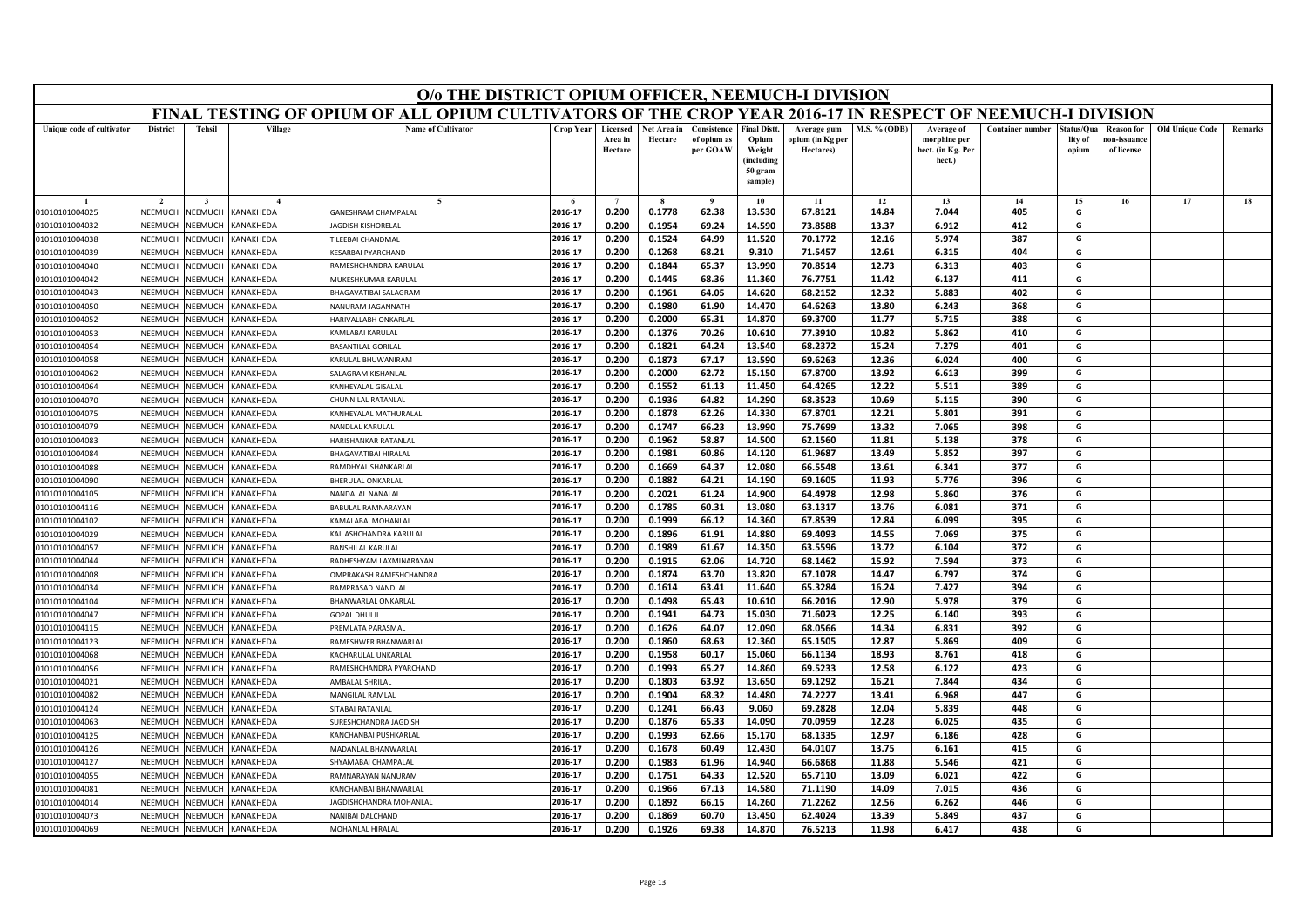|                                  | O/o THE DISTRICT OPIUM OFFICER, NEEMUCH-I DIVISION<br>FINAL TESTING OF OPIUM OF ALL OPIUM CULTIVATORS OF THE CROP YEAR 2016-17 IN RESPECT OF NEEMUCH-I DIVISION |                                  |                                                    |                                                            |                    |                                |                        |                                        |                                                                            |                                              |                     |                                                           |                         |                                |                                                |                        |                |
|----------------------------------|-----------------------------------------------------------------------------------------------------------------------------------------------------------------|----------------------------------|----------------------------------------------------|------------------------------------------------------------|--------------------|--------------------------------|------------------------|----------------------------------------|----------------------------------------------------------------------------|----------------------------------------------|---------------------|-----------------------------------------------------------|-------------------------|--------------------------------|------------------------------------------------|------------------------|----------------|
|                                  |                                                                                                                                                                 |                                  |                                                    |                                                            |                    |                                |                        |                                        |                                                                            |                                              |                     |                                                           |                         |                                |                                                |                        |                |
| Unique code of cultivator        | <b>District</b>                                                                                                                                                 | <b>Tehsil</b>                    | Village                                            | <b>Name of Cultivator</b>                                  | Crop Year          | Licensed<br>Area in<br>Hectare | Net Area in<br>Hectare | Consistence<br>of opium as<br>per GOAW | <b>Final Distt.</b><br>Opium<br>Weight<br>(including<br>50 gram<br>sample) | Average gum<br>opium (in Kg per<br>Hectares) | <b>M.S. % (ODB)</b> | Average of<br>morphine per<br>hect. (in Kg. Per<br>hect.) | <b>Container number</b> | itatus/Qua<br>lity of<br>opium | <b>Reason</b> for<br>10n-issuanc<br>of license | <b>Old Unique Code</b> | <b>Remarks</b> |
|                                  |                                                                                                                                                                 |                                  |                                                    |                                                            |                    | $\overline{ }$                 |                        |                                        |                                                                            |                                              |                     |                                                           |                         |                                |                                                |                        |                |
| 01010101004025                   | NEEMUCH                                                                                                                                                         | <b>NEEMUCH</b>                   | <b>CANAKHEDA</b>                                   | GANESHRAM CHAMPALAL                                        | 2016-17            | 0.200                          | 0.1778                 | $\bf{Q}$<br>62.38                      | 10<br>13.530                                                               | 11<br>67.8121                                | 12<br>14.84         | 13<br>7.044                                               | 14<br>405               | 15<br>G                        | 16                                             | 17                     | 18             |
| 01010101004032                   | NEEMUCH                                                                                                                                                         | <b>NEEMUCH</b>                   | <b>ANAKHEDA</b>                                    | AGDISH KISHORFLAL                                          | 2016-17            | 0.200                          | 0.1954                 | 69.24                                  | 14.590                                                                     | 73.8588                                      | 13.37               | 6.912                                                     | 412                     | G                              |                                                |                        |                |
| 01010101004038                   | NEEMUCH                                                                                                                                                         | <b>NEEMUCH</b>                   | <b>CANAKHEDA</b>                                   | <b>ILEEBAI CHANDMAL</b>                                    | 2016-17            | 0.200                          | 0.1524                 | 64.99                                  | 11.520                                                                     | 70.1772                                      | 12.16               | 5.974                                                     | 387                     | G                              |                                                |                        |                |
| 01010101004039                   | NEEMUCH                                                                                                                                                         | <b>JEEMUCI</b>                   | <b>ANAKHEDA</b>                                    | KESARBAI PYARCHAND                                         | 2016-17            | 0.200                          | 0.1268                 | 68.21                                  | 9.310                                                                      | 71.5457                                      | 12.61               | 6.315                                                     | 404                     | G                              |                                                |                        |                |
| 01010101004040                   | NEEMUCH                                                                                                                                                         | VEEMUCI                          | <b>ANAKHEDA</b>                                    | AMESHCHANDRA KARULAL                                       | 2016-17            | 0.200                          | 0.1844                 | 65.37                                  | 13.990                                                                     | 70.8514                                      | 12.73               | 6.313                                                     | 403                     | G                              |                                                |                        |                |
| 01010101004042                   | NEEMUCH                                                                                                                                                         | <b>NEEMUCH</b>                   | <b><i>CANAKHEDA</i></b>                            | <b>MUKESHKUMAR KARULAL</b>                                 | 2016-17            | 0.200                          | 0.1445                 | 68.36                                  | 11.360                                                                     | 76.7751                                      | 11.42               | 6.137                                                     | 411                     | G                              |                                                |                        |                |
| 01010101004043                   | NEEMUCH                                                                                                                                                         | VEEMUC                           | <b>CANAKHEDA</b>                                   | <b>HAGAVATIBAI SALAGRAM</b>                                | 2016-17            | 0.200                          | 0.1961                 | 64.05                                  | 14.620                                                                     | 68.2152                                      | 12.32               | 5.883                                                     | 402                     | G                              |                                                |                        |                |
| 01010101004050                   | NEEMUCH                                                                                                                                                         | <b>JEEMUCI</b>                   | <b>ANAKHEDA</b>                                    | <b>JANURAM JAGANNATH</b>                                   | 2016-17            | 0.200                          | 0.1980                 | 61.90                                  | 14.470                                                                     | 64.6263                                      | 13.80               | 6.243                                                     | 368                     | G                              |                                                |                        |                |
| 01010101004052                   | NEEMUCH                                                                                                                                                         | NEEMUCH                          | <b><i>CANAKHEDA</i></b>                            | <b>ARIVALLABH ONKARLAL</b>                                 | 2016-17            | 0.200                          | 0.2000                 | 65.31                                  | 14.870                                                                     | 69.3700                                      | 11.77               | 5.715                                                     | 388                     | G                              |                                                |                        |                |
| 01010101004053                   | NEEMUCH                                                                                                                                                         | <b>NEEMUC</b>                    | <b><i>CANAKHEDA</i></b>                            | <b>CAMLABAI KARULAL</b>                                    | 2016-17            | 0.200                          | 0.1376                 | 70.26                                  | 10.610                                                                     | 77.3910                                      | 10.82               | 5.862                                                     | 410                     | G                              |                                                |                        |                |
| 01010101004054                   | NEEMUCH                                                                                                                                                         | <b>JEEMUCI</b>                   | <b>ANAKHEDA</b>                                    | ASANTILAL GORILAL                                          | 2016-17            | 0.200                          | 0.1821                 | 64.24                                  | 13.540                                                                     | 68.2372                                      | 15.24               | 7.279                                                     | 401                     | G                              |                                                |                        |                |
| 01010101004058                   | NEEMUCH                                                                                                                                                         | VEEMUCH                          | <b>CANAKHEDA</b>                                   | ARULAL BHUWANIRAM                                          | 2016-17            | 0.200                          | 0.1873                 | 67.17                                  | 13.590                                                                     | 69.6263                                      | 12.36               | 6.024                                                     | 400                     | G                              |                                                |                        |                |
| 01010101004062                   | <b>NEEMUCH</b>                                                                                                                                                  | VEEMUCI                          | <b>KANAKHEDA</b>                                   | <b>ALAGRAM KISHANLAL</b>                                   | 2016-17            | 0.200                          | 0.2000                 | 62.72                                  | 15.150                                                                     | 67.8700                                      | 13.92               | 6.613                                                     | 399                     | G                              |                                                |                        |                |
| 01010101004064                   | NEEMUCH                                                                                                                                                         | <b>JEEMUC</b>                    | <b>ANAKHEDA</b>                                    | ANHEYALAL GISALAL                                          | 2016-17            | 0.200                          | 0.1552                 | 61.13                                  | 11.450                                                                     | 64.4265                                      | 12.22               | 5.511                                                     | 389                     | G                              |                                                |                        |                |
| 01010101004070                   | NEEMUCH                                                                                                                                                         | <b>NEEMUC</b>                    | <b><i>CANAKHEDA</i></b>                            | HUNNILAL RATANLAL                                          | 2016-17            | 0.200                          | 0.1936                 | 64.82                                  | 14.290                                                                     | 68.3523                                      | 10.69               | 5.115                                                     | 390                     | G                              |                                                |                        |                |
| 01010101004075                   | NEEMUCH                                                                                                                                                         | <b>NEEMUC</b>                    | <b>CANAKHEDA</b>                                   | KANHEYALAL MATHURALAL                                      | 2016-17            | 0.200                          | 0.1878                 | 62.26                                  | 14.330                                                                     | 67.8701                                      | 12.21               | 5.801                                                     | 391                     | G                              |                                                |                        |                |
| 01010101004079                   | NEEMUCH                                                                                                                                                         | VEEMUCI                          | <b>CANAKHEDA</b>                                   | VANDLAL KARULAL                                            | 2016-17            | 0.200                          | 0.1747                 | 66.23                                  | 13.990                                                                     | 75.7699                                      | 13.32               | 7.065                                                     | 398                     | G                              |                                                |                        |                |
| 01010101004083                   | NEEMUCH                                                                                                                                                         | <b>JEEMUC</b>                    | <b>ANAKHEDA</b>                                    | <b>IARISHANKAR RATANLAL</b>                                | 2016-17            | 0.200                          | 0.1962                 | 58.87                                  | 14.500                                                                     | 62.1560                                      | 11.81               | 5.138                                                     | 378                     | G                              |                                                |                        |                |
| 01010101004084                   | NEEMUCH                                                                                                                                                         | VEEMUCI                          | <b>CANAKHEDA</b>                                   | <b>BHAGAVATIBAI HIRALAL</b>                                | 2016-17            | 0.200                          | 0.1981                 | 60.86                                  | 14.120                                                                     | 61.9687                                      | 13.49               | 5.852                                                     | 397                     | G                              |                                                |                        |                |
| 01010101004088                   | NEEMUCH                                                                                                                                                         | <b>JEEMUCH</b>                   | <b>ANAKHEDA</b>                                    | RAMDHYAL SHANKARLAL                                        | 2016-17            | 0.200                          | 0.1669                 | 64.37                                  | 12.080                                                                     | 66.5548                                      | 13.61               | 6.341                                                     | 377                     | G                              |                                                |                        |                |
| 01010101004090                   | NEEMUCH                                                                                                                                                         | <b>JEEMUCH</b>                   | <b>ANAKHEDA</b>                                    | HERULAL ONKARLAL                                           | 2016-17            | 0.200                          | 0.1882                 | 64.21                                  | 14.190                                                                     | 69.1605                                      | 11.93               | 5.776                                                     | 396                     | G                              |                                                |                        |                |
| 01010101004105                   | NFFMUCH                                                                                                                                                         | <b>JEEMUCH</b>                   | <b>CANAKHEDA</b>                                   | VANDALAL NANALAL                                           | 2016-17            | 0.200                          | 0.2021                 | 61.24                                  | 14.900                                                                     | 64.4978                                      | 12.98               | 5.860                                                     | 376                     | G                              |                                                |                        |                |
| 01010101004116                   | NEEMUCH                                                                                                                                                         | <b>JEEMUCH</b>                   | <b><i>CANAKHEDA</i></b>                            | ABULAL RAMNARAYAN                                          | 2016-17            | 0.200                          | 0.1785                 | 60.31                                  | 13.080                                                                     | 63.1317                                      | 13.76               | 6.081                                                     | 371                     | G                              |                                                |                        |                |
| 01010101004102                   | NEEMUCH                                                                                                                                                         | <b>JEEMUC</b>                    | <b>ANAKHEDA</b>                                    | AMALABAI MOHANLAI                                          | 2016-17            | 0.200                          | 0.1999                 | 66.12                                  | 14.360                                                                     | 67.8539                                      | 12.84               | 6.099                                                     | 395                     | G                              |                                                |                        |                |
| 01010101004029                   | NEEMUCH                                                                                                                                                         | <b>JEEMUCI</b>                   | <b><i>CANAKHEDA</i></b>                            | KAILASHCHANDRA KARULAI                                     | 2016-17            | 0.200                          | 0.1896                 | 61.91                                  | 14.880                                                                     | 69.4093                                      | 14.55               | 7.069                                                     | 375                     | G                              |                                                |                        |                |
| 01010101004057                   | NEEMUCH                                                                                                                                                         | <b>JEEMUCI</b>                   | <b><i>CANAKHEDA</i></b>                            | <b>BANSHILAL KARULAI</b>                                   | 2016-17            | 0.200                          | 0.1989                 | 61.67                                  | 14.350                                                                     | 63.5596                                      | 13.72               | 6.104                                                     | 372                     | G                              |                                                |                        |                |
| 01010101004044                   | NEEMUCH                                                                                                                                                         | <b>JEEMUC</b>                    | <b>ANAKHEDA</b>                                    | ADHESHYAM LAXMINARAYAN                                     | 2016-17            | 0.200                          | 0.1915                 | 62.06                                  | 14.720                                                                     | 68.1462                                      | 15.92               | 7.594                                                     | 373                     | G                              |                                                |                        |                |
| 01010101004008                   | <b>NEEMUCH</b>                                                                                                                                                  | VEEMUCI                          | <b>CANAKHEDA</b>                                   | <b>IMPRAKASH RAMESHCHANDRA</b>                             | 2016-17            | 0.200                          | 0.1874                 | 63.70                                  | 13.820                                                                     | 67.1078                                      | 14.47               | 6.797                                                     | 374                     | G                              |                                                |                        |                |
| 01010101004034                   | NEEMUCH                                                                                                                                                         | <b>JEEMUCI</b>                   | <b>CANAKHEDA</b>                                   | <b>RAMPRASAD NANDLAL</b>                                   | 2016-17            | 0.200                          | 0.1614                 | 63.41                                  | 11.640                                                                     | 65.3284                                      | 16.24               | 7.427                                                     | 394                     | G                              |                                                |                        |                |
| 01010101004104                   | NEEMUCH                                                                                                                                                         | <b>JEEMUC</b>                    | <b>ANAKHEDA</b>                                    | HANWARLAL ONKARLAI                                         | 2016-17            | 0.200                          | 0.1498                 | 65.43                                  | 10.610                                                                     | 66.2016                                      | 12.90               | 5.978                                                     | 379                     | G                              |                                                |                        |                |
| 01010101004047                   | NEEMUCH                                                                                                                                                         | VEEMUCI                          | <b>CANAKHEDA</b>                                   | <b>GOPAL DHULJ</b>                                         | 2016-17            | 0.200                          | 0.1941                 | 64.73                                  | 15.030                                                                     | 71.6023                                      | 12.25               | 6.140                                                     | 393                     | G                              |                                                |                        |                |
| 01010101004115                   | NFFMUCH                                                                                                                                                         | <b>JEEMUCI</b>                   | <b><i>CANAKHEDA</i></b>                            | REMLATA PARASMAL                                           | 2016-17            | 0.200                          | 0.1626                 | 64.07                                  | 12.090                                                                     | 68.0566                                      | 14.34               | 6.831                                                     | 392                     | G                              |                                                |                        |                |
| 01010101004123                   | NEEMUCH                                                                                                                                                         | <b>JEEMUC</b>                    | <b>CANAKHEDA</b>                                   | AMESHWER BHANWARLAI                                        | 2016-17            | 0.200                          | 0.1860                 | 68.63                                  | 12.360                                                                     | 65.1505                                      | 12.87               | 5.869                                                     | 409                     | G                              |                                                |                        |                |
| 01010101004068                   | NEEMUCH                                                                                                                                                         | <b>JEEMUCI</b>                   | <b>ANAKHEDA</b>                                    | ACHARULAL UNKARLAL                                         | 2016-17            | 0.200                          | 0.1958                 | 60.17                                  | 15.060                                                                     | 66.1134                                      | 18.93               | 8.761                                                     | 418                     | G                              |                                                |                        |                |
| 01010101004056                   | NEEMUCH                                                                                                                                                         | <b>JEEMUCH</b>                   | <b><i>CANAKHEDA</i></b>                            | RAMESHCHANDRA PYARCHAND                                    | 2016-17            | 0.200                          | 0.1993                 | 65.27                                  | 14.860                                                                     | 69.5233                                      | 12.58               | 6.122                                                     | 423                     | G                              |                                                |                        |                |
| 01010101004021                   | NEEMUCH                                                                                                                                                         | VEEMUCI                          | <b>CANAKHEDA</b>                                   | AMBALAL SHRILAL                                            | 2016-17            | 0.200                          | 0.1803                 | 63.92                                  | 13.650                                                                     | 69.1292                                      | 16.21               | 7.844                                                     | 434                     | G                              |                                                |                        |                |
| 01010101004082                   | NEEMUCH                                                                                                                                                         | <b>JEEMUCH</b>                   | <b>ANAKHEDA</b>                                    | <b>MANGILAL RAMLAI</b>                                     | 2016-17<br>2016-17 | 0.200                          | 0.1904                 | 68.32                                  | 14.480                                                                     | 74.2227                                      | 13.41               | 6.968                                                     | 447<br>448              | G                              |                                                |                        |                |
| 01010101004124                   | NEEMUCH                                                                                                                                                         | <b>JEEMUCH</b>                   | <b>CANAKHEDA</b>                                   | <b>ITABAI RATANLAL</b>                                     |                    | 0.200                          | 0.1241                 | 66.43                                  | 9.060                                                                      | 69.2828                                      | 12.04               | 5.839                                                     |                         | G<br>G                         |                                                |                        |                |
| 01010101004063                   | <b>NEEMUCH</b>                                                                                                                                                  | NEEMUC                           | <b>CANAKHEDA</b>                                   | <b>JURESHCHANDRA JAGDISH</b>                               | 2016-17<br>2016-17 | 0.200<br>0.200                 | 0.1876<br>0.1993       | 65.33                                  | 14.090                                                                     | 70.0959<br>68.1335                           | 12.28<br>12.97      | 6.025                                                     | 435<br>428              |                                |                                                |                        |                |
| 01010101004125<br>0101010004126  | NEEMUCH<br>NEEMUCH                                                                                                                                              | <b>JEEMUCI</b><br><b>JEEMUCH</b> | <b>ANAKHEDA</b><br><b><i>CANAKHEDA</i></b>         | <b>CANCHANBAI PUSHKARLAL</b><br><b>MADANLAL BHANWARLAL</b> | 2016-17            | 0.200                          | 0.1678                 | 62.66<br>60.49                         | 15.170<br>12.430                                                           | 64.0107                                      | 13.75               | 6.186<br>6.161                                            | 415                     | G<br>G                         |                                                |                        |                |
|                                  | NEEMUCH                                                                                                                                                         |                                  |                                                    |                                                            | 2016-17            | 0.200                          | 0.1983                 | 61.96                                  | 14.940                                                                     | 66.6868                                      | 11.88               | 5.546                                                     | 421                     | G                              |                                                |                        |                |
| 01010101004127<br>01010101004055 | NEEMUCH                                                                                                                                                         | <b>NEEMUC</b><br><b>JEEMUCI</b>  | <b><i>CANAKHEDA</i></b><br><b><i>CANAKHEDA</i></b> | <b>HYAMABAI CHAMPALAI</b><br>AMNARAYAN NANURAM             | 2016-17            | 0.200                          | 0.1751                 | 64.33                                  | 12.520                                                                     | 65.7110                                      | 13.09               | 6.021                                                     | 422                     | G                              |                                                |                        |                |
| 01010101004081                   | NEEMUCH                                                                                                                                                         | VEEMUCH                          | <b>CANAKHEDA</b>                                   | ANCHANBAI BHANWARLAL                                       | 2016-17            | 0.200                          | 0.1966                 | 67.13                                  | 14.580                                                                     | 71.1190                                      | 14.09               | 7.015                                                     | 436                     | G                              |                                                |                        |                |
| 01010101004014                   | NEEMUCH                                                                                                                                                         | <b>NEEMUC</b>                    | <b>CANAKHEDA</b>                                   | AGDISHCHANDRA MOHANLAL                                     | 2016-17            | 0.200                          | 0.1892                 | 66.15                                  | 14.260                                                                     | 71.2262                                      | 12.56               | 6.262                                                     | 446                     | G                              |                                                |                        |                |
| 01010101004073                   | NEEMUCH                                                                                                                                                         | <b>NEEMUCH</b>                   | <b><i>CANAKHEDA</i></b>                            | VANIBAI DALCHAND                                           | 2016-17            | 0.200                          | 0.1869                 | 60.70                                  | 13.450                                                                     | 62.4024                                      | 13.39               | 5.849                                                     | 437                     | G                              |                                                |                        |                |
| 01010101004069                   | NEEMUCH                                                                                                                                                         | NEEMUCH                          | KANAKHEDA                                          | MOHANLAL HIRALAL                                           | 2016-17            | 0.200                          | 0.1926                 | 69.38                                  | 14.870                                                                     | 76.5213                                      | 11.98               | 6.417                                                     | 438                     | G                              |                                                |                        |                |
|                                  |                                                                                                                                                                 |                                  |                                                    |                                                            |                    |                                |                        |                                        |                                                                            |                                              |                     |                                                           |                         |                                |                                                |                        |                |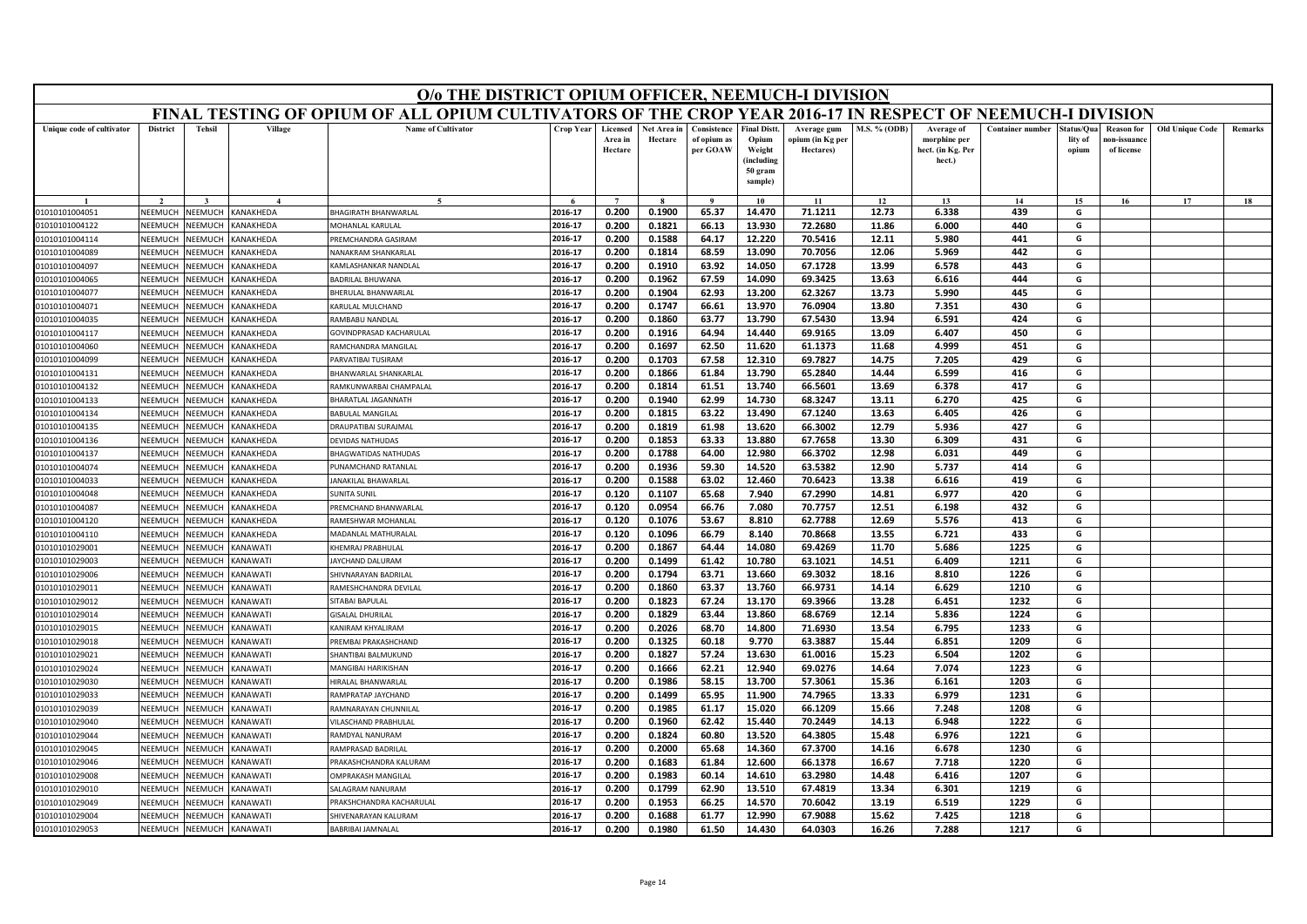|                                  |                    |                           |                         | O/o THE DISTRICT OPIUM OFFICER, NEEMUCH-I DIVISION                                                        |                    |                                |                        |                                        |                                                                            |                                              |                     |                                                           |                         |                                |                                                |                        |         |
|----------------------------------|--------------------|---------------------------|-------------------------|-----------------------------------------------------------------------------------------------------------|--------------------|--------------------------------|------------------------|----------------------------------------|----------------------------------------------------------------------------|----------------------------------------------|---------------------|-----------------------------------------------------------|-------------------------|--------------------------------|------------------------------------------------|------------------------|---------|
|                                  |                    |                           |                         | FINAL TESTING OF OPIUM OF ALL OPIUM CULTIVATORS OF THE CROP YEAR 2016-17 IN RESPECT OF NEEMUCH-I DIVISION |                    |                                |                        |                                        |                                                                            |                                              |                     |                                                           |                         |                                |                                                |                        |         |
| Unique code of cultivator        | <b>District</b>    | <b>Tehsil</b>             | Village                 | <b>Name of Cultivator</b>                                                                                 | <b>Crop Year</b>   | Licensed<br>Area in<br>Hectare | Net Area in<br>Hectare | Consistence<br>of opium as<br>per GOAW | <b>Final Distt.</b><br>Opium<br>Weight<br>(including<br>50 gram<br>sample) | Average gum<br>opium (in Kg per<br>Hectares) | <b>M.S. % (ODB)</b> | Average of<br>morphine per<br>hect. (in Kg. Per<br>hect.) | <b>Container number</b> | Status/Qua<br>lity of<br>opium | <b>Reason for</b><br>10n-issuanc<br>of license | <b>Old Unique Code</b> | Remarks |
|                                  |                    |                           |                         | $\epsilon$                                                                                                |                    | $\overline{7}$                 |                        | $\alpha$                               | 10                                                                         | 11                                           | 12                  | 13                                                        | 14                      | 15                             | 16                                             | 17                     | 18      |
| 01010101004051                   | NEEMUCH            | NEEMUCH                   | KANAKHEDA               | <b>BHAGIRATH BHANWARLAL</b>                                                                               | 2016-17            | 0.200                          | 0.1900                 | 65.37                                  | 14.470                                                                     | 71.1211                                      | 12.73               | 6.338                                                     | 439                     | G                              |                                                |                        |         |
| 01010101004122                   | NEEMUCH            | NEEMUCH                   | KANAKHEDA               | MOHANLAL KARULAL                                                                                          | 2016-17            | 0.200                          | 0.1821                 | 66.13                                  | 13.930                                                                     | 72.2680                                      | 11.86               | 6.000                                                     | 440                     | G                              |                                                |                        |         |
| 01010101004114                   | VEEMUCH            | NEEMUCH                   | KANAKHEDA               | PREMCHANDRA GASIRAM                                                                                       | 2016-17            | 0.200                          | 0.1588                 | 64.17                                  | 12.220                                                                     | 70.5416                                      | 12.11               | 5.980                                                     | 441                     | G                              |                                                |                        |         |
| 01010101004089                   | NEEMUCI            | NEEMUCI                   | KANAKHEDA               | NANAKRAM SHANKARLAL                                                                                       | 2016-17            | 0.200                          | 0.1814                 | 68.59                                  | 13.090                                                                     | 70.7056                                      | 12.06               | 5.969                                                     | 442                     | G                              |                                                |                        |         |
| 01010101004097                   | NEEMUCH            | NEEMUCH                   | KANAKHEDA               | KAMLASHANKAR NANDLAL                                                                                      | 2016-17            | 0.200                          | 0.1910                 | 63.92                                  | 14.050                                                                     | 67.1728                                      | 13.99               | 6.578                                                     | 443                     | G                              |                                                |                        |         |
| 01010101004065                   | NEEMUCH            | NEEMUCH                   | KANAKHEDA               | <b>BADRILAL BHUWANA</b>                                                                                   | 2016-17            | 0.200                          | 0.1962                 | 67.59                                  | 14.090                                                                     | 69.3425                                      | 13.63               | 6.616                                                     | 444                     | G                              |                                                |                        |         |
| 01010101004077                   | NEEMUCI            | NEEMUCI                   | KANAKHEDA               | BHERULAL BHANWARLAL                                                                                       | 2016-17            | 0.200                          | 0.1904                 | 62.93                                  | 13.200                                                                     | 62.3267                                      | 13.73               | 5.990                                                     | 445                     | G                              |                                                |                        |         |
| 01010101004071                   | NEEMUCH            | NEEMUCH                   | KANAKHEDA               | KARULAL MULCHAND                                                                                          | 2016-17            | 0.200                          | 0.1747                 | 66.61                                  | 13.970                                                                     | 76.0904                                      | 13.80               | 7.351                                                     | 430                     | G                              |                                                |                        |         |
| 01010101004035                   | NEEMUCH            | NEEMUCH                   | KANAKHEDA               | RAMBABU NANDLAL                                                                                           | 2016-17            | 0.200                          | 0.1860                 | 63.77                                  | 13.790                                                                     | 67.5430                                      | 13.94               | 6.591                                                     | 424                     | G                              |                                                |                        |         |
| 01010101004117                   | NEEMUCH            | NEEMUC                    | KANAKHEDA               | GOVINDPRASAD KACHARULAL                                                                                   | 2016-17            | 0.200                          | 0.1916                 | 64.94                                  | 14.440                                                                     | 69.9165                                      | 13.09               | 6.407                                                     | 450                     | G                              |                                                |                        |         |
| 01010101004060                   | NEEMUCH            | <b>NEEMUCH</b>            | KANAKHEDA               | RAMCHANDRA MANGILAL                                                                                       | 2016-17            | 0.200                          | 0.1697                 | 62.50                                  | 11.620                                                                     | 61.1373                                      | 11.68               | 4.999                                                     | 451                     | G                              |                                                |                        |         |
| 01010101004099                   | NEEMUCH            | VEEMUC                    | KANAKHEDA               | PARVATIBAI TUSIRAM                                                                                        | 2016-17            | 0.200                          | 0.1703                 | 67.58                                  | 12.310                                                                     | 69.7827                                      | 14.75               | 7.205                                                     | 429                     | G                              |                                                |                        |         |
| 01010101004131                   | NFFMUCH            | NFFMUCH                   | KANAKHEDA               | BHANWARLAL SHANKARLAL                                                                                     | 2016-17            | 0.200                          | 0.1866                 | 61.84                                  | 13.790                                                                     | 65.2840                                      | 14.44               | 6.599                                                     | 416                     | G                              |                                                |                        |         |
| 01010101004132                   | NEEMUCH            | NEEMUCH                   | KANAKHEDA               | RAMKUNWARBAI CHAMPALAI                                                                                    | 2016-17            | 0.200                          | 0.1814                 | 61.51                                  | 13.740                                                                     | 66.5601                                      | 13.69               | 6.378                                                     | 417                     | G                              |                                                |                        |         |
| 01010101004133                   | NEEMUCH            | VEEMUCI                   | KANAKHEDA               | BHARATLAL JAGANNATH                                                                                       | 2016-17            | 0.200                          | 0.1940                 | 62.99                                  | 14.730                                                                     | 68.3247                                      | 13.11               | 6.270                                                     | 425                     | G                              |                                                |                        |         |
| 01010101004134                   | NEEMUCH            | NEEMUCI                   | KANAKHEDA               | <b>BABULAL MANGILAI</b>                                                                                   | 2016-17            | 0.200                          | 0.1815                 | 63.22                                  | 13.490                                                                     | 67.1240                                      | 13.63               | 6.405                                                     | 426                     | G                              |                                                |                        |         |
| 01010101004135                   | NEEMUCH            | NEEMUCH                   | KANAKHEDA               | DRAUPATIBAI SURAJMAL                                                                                      | 2016-17            | 0.200                          | 0.1819                 | 61.98                                  | 13.620                                                                     | 66.3002                                      | 12.79               | 5.936                                                     | 427                     | G                              |                                                |                        |         |
| 01010101004136                   | NEEMUCI            | <b>NEEMUCH</b>            | KANAKHEDA               | DEVIDAS NATHUDAS                                                                                          | 2016-17            | 0.200                          | 0.1853                 | 63.33                                  | 13.880                                                                     | 67.7658                                      | 13.30               | 6.309                                                     | 431                     | G                              |                                                |                        |         |
| 01010101004137                   | NFFMUCH            | <b>SEEMUCH</b>            | KANAKHEDA               | <b>BHAGWATIDAS NATHUDAS</b>                                                                               | 2016-17            | 0.200                          | 0.1788                 | 64.00                                  | 12.980                                                                     | 66.3702                                      | 12.98               | 6.031                                                     | 449                     | G                              |                                                |                        |         |
| 01010101004074                   | NEEMUCH            | NEEMUCH                   | KANAKHEDA               | PUNAMCHAND RATANLAL                                                                                       | 2016-17            | 0.200                          | 0.1936                 | 59.30                                  | 14.520                                                                     | 63.5382                                      | 12.90               | 5.737                                                     | 414                     | G                              |                                                |                        |         |
| 01010101004033                   | NEEMUCH            | <b>JEEMUCH</b>            | <b><i>CANAKHEDA</i></b> | <b>ANAKILAL BHAWARLAL</b>                                                                                 | 2016-17            | 0.200                          | 0.1588                 | 63.02                                  | 12.460                                                                     | 70.6423                                      | 13.38               | 6.616                                                     | 419                     | G                              |                                                |                        |         |
| 01010101004048                   | NEEMUCH            | NEEMUCH                   | KANAKHEDA               | SUNITA SUNIL                                                                                              | 2016-17            | 0.120                          | 0.1107                 | 65.68                                  | 7.940                                                                      | 67.2990                                      | 14.81               | 6.977                                                     | 420                     | G                              |                                                |                        |         |
| 01010101004087                   | NFFMUCH            | VEEMUCH                   | KANAKHEDA               | PREMCHAND BHANWARLAL                                                                                      | 2016-17            | 0.120<br>0.120                 | 0.0954                 | 66.76<br>53.67                         | 7.080                                                                      | 70.7757<br>62.7788                           | 12.51<br>12.69      | 6.198                                                     | 432                     | G                              |                                                |                        |         |
| 01010101004120                   | NEEMUCI<br>NEEMUCH | <b>NEEMUCH</b><br>NEEMUCH | KANAKHEDA<br>KANAKHEDA  | RAMESHWAR MOHANLA                                                                                         | 2016-17<br>2016-17 | 0.120                          | 0.1076<br>0.1096       | 66.79                                  | 8.810<br>8.140                                                             | 70.8668                                      | 13.55               | 5.576<br>6.721                                            | 413<br>433              | G<br>G                         |                                                |                        |         |
| 01010101004110<br>01010101029001 | NEEMUCH            | NEEMUCH                   | KANAWATI                | MADANLAL MATHURALAL<br>KHEMRAJ PRABHULAL                                                                  | 2016-17            | 0.200                          | 0.1867                 | 64.44                                  | 14.080                                                                     | 69.4269                                      | 11.70               | 5.686                                                     | 1225                    | G                              |                                                |                        |         |
| 01010101029003                   | NEEMUCI            | VEEMUCI                   | <b>ANAWATI</b>          | JAYCHAND DALURAM                                                                                          | 2016-17            | 0.200                          | 0.1499                 | 61.42                                  | 10.780                                                                     | 63.1021                                      | 14.51               | 6.409                                                     | 1211                    | G                              |                                                |                        |         |
| 01010101029006                   | NEEMUCH            | VEEMUCH                   | KANAWATI                | SHIVNARAYAN BADRILAL                                                                                      | 2016-17            | 0.200                          | 0.1794                 | 63.71                                  | 13.660                                                                     | 69.3032                                      | 18.16               | 8.810                                                     | 1226                    | G                              |                                                |                        |         |
| 01010101029011                   | NEEMUCH            | NEEMUCH                   | KANAWATI                | RAMESHCHANDRA DEVILAL                                                                                     | 2016-17            | 0.200                          | 0.1860                 | 63.37                                  | 13.760                                                                     | 66.9731                                      | 14.14               | 6.629                                                     | 1210                    | G                              |                                                |                        |         |
| 01010101029012                   | NEEMUCH            | VEEMUCI                   | <b>ANAWATI</b>          | SITABAI BAPULAL                                                                                           | 2016-17            | 0.200                          | 0.1823                 | 67.24                                  | 13.170                                                                     | 69.3966                                      | 13.28               | 6.451                                                     | 1232                    | G                              |                                                |                        |         |
| 01010101029014                   | NEEMUCH            | VEEMUCH                   | KANAWATI                | <b>GISALAL DHURILAL</b>                                                                                   | 2016-17            | 0.200                          | 0.1829                 | 63.44                                  | 13.860                                                                     | 68.6769                                      | 12.14               | 5.836                                                     | 1224                    | G                              |                                                |                        |         |
| 01010101029015                   | NEEMUCH            | NEEMUCH                   | KANAWATI                | KANIRAM KHYALIRAM                                                                                         | 2016-17            | 0.200                          | 0.2026                 | 68.70                                  | 14.800                                                                     | 71.6930                                      | 13.54               | 6.795                                                     | 1233                    | G                              |                                                |                        |         |
| 01010101029018                   | NEEMUCI            | NEEMUCI                   | KANAWATI                | PREMBAI PRAKASHCHAND                                                                                      | 2016-17            | 0.200                          | 0.1325                 | 60.18                                  | 9.770                                                                      | 63.3887                                      | 15.44               | 6.851                                                     | 1209                    | G                              |                                                |                        |         |
| 01010101029021                   | NEEMUCH            | NEEMUCH                   | KANAWATI                | <b>SHANTIBAI BALMUKUND</b>                                                                                | 2016-17            | 0.200                          | 0.1827                 | 57.24                                  | 13.630                                                                     | 61.0016                                      | 15.23               | 6.504                                                     | 1202                    | G                              |                                                |                        |         |
| 01010101029024                   | VEEMUCI            | VEEMUC                    | KANAWATI                | <b>MANGIBAI HARIKISHAN</b>                                                                                | 2016-17            | 0.200                          | 0.1666                 | 62.21                                  | 12.940                                                                     | 69.0276                                      | 14.64               | 7.074                                                     | 1223                    | G                              |                                                |                        |         |
| 01010101029030                   | <b>NFFMUCH</b>     | NEEMUCH                   | KANAWATI                | HIRALAL BHANWARLAI                                                                                        | 2016-17            | 0.200                          | 0.1986                 | 58.15                                  | 13.700                                                                     | 57.3061                                      | 15.36               | 6.161                                                     | 1203                    | G                              |                                                |                        |         |
| 01010101029033                   | NEEMUCH            | VEEMUCH                   | <b>ANAWATI</b>          | RAMPRATAP JAYCHAND                                                                                        | 2016-17            | 0.200                          | 0.1499                 | 65.95                                  | 11.900                                                                     | 74.7965                                      | 13.33               | 6.979                                                     | 1231                    | G                              |                                                |                        |         |
| 01010101029039                   | VEEMUCH            | VEEMUCH                   | KANAWATI                | RAMNARAYAN CHUNNILAL                                                                                      | 2016-17            | 0.200                          | 0.1985                 | 61.17                                  | 15.020                                                                     | 66.1209                                      | 15.66               | 7.248                                                     | 1208                    | G                              |                                                |                        |         |
| 01010101029040                   | NEEMUCH            | NEEMUCH                   | <b>ANAWATI</b>          | VILASCHAND PRABHULAI                                                                                      | 2016-17            | 0.200                          | 0.1960                 | 62.42                                  | 15.440                                                                     | 70.2449                                      | 14.13               | 6.948                                                     | 1222                    | G                              |                                                |                        |         |
| 01010101029044                   | NEEMUCH            | <b>NEEMUCH</b>            | KANAWATI                | RAMDYAL NANURAM                                                                                           | 2016-17            | 0.200                          | 0.1824                 | 60.80                                  | 13.520                                                                     | 64.3805                                      | 15.48               | 6.976                                                     | 1221                    | G                              |                                                |                        |         |
| 01010101029045                   | <b>NEEMUCI</b>     | IEEMUCI                   | <b>ANAWATI</b>          | RAMPRASAD BADRILAI                                                                                        | 2016-17            | 0.200                          | 0.2000                 | 65.68                                  | 14.360                                                                     | 67.3700                                      | 14.16               | 6.678                                                     | 1230                    | G                              |                                                |                        |         |
| 01010101029046                   | <b>NFFMUCH</b>     | NFFMUC                    | KANAWATI                | PRAKASHCHANDRA KALURAM                                                                                    | 2016-17            | 0.200                          | 0.1683                 | 61.84                                  | 12.600                                                                     | 66.1378                                      | 16.67               | 7.718                                                     | 1220                    | G                              |                                                |                        |         |
| 01010101029008                   | NEEMUCH            | VEEMUCH                   | KANAWATI                | <b>OMPRAKASH MANGILAL</b>                                                                                 | 2016-17            | 0.200                          | 0.1983                 | 60.14                                  | 14.610                                                                     | 63.2980                                      | 14.48               | 6.416                                                     | 1207                    | G                              |                                                |                        |         |
| 01010101029010                   | VEEMUCI            | VEEMUC                    | <b>ANAWATI</b>          | <b>SALAGRAM NANURAM</b>                                                                                   | 2016-17            | 0.200                          | 0.1799                 | 62.90                                  | 13.510                                                                     | 67.4819                                      | 13.34               | 6.301                                                     | 1219                    | G                              |                                                |                        |         |
| 01010101029049                   | NEEMUCH            | VEEMUC                    | <b>ANAWATI</b>          | PRAKSHCHANDRA KACHARULAI                                                                                  | 2016-17            | 0.200                          | 0.1953                 | 66.25                                  | 14.570                                                                     | 70.6042                                      | 13.19               | 6.519                                                     | 1229                    | G                              |                                                |                        |         |
| 01010101029004                   | NEEMUCH            | NEEMUCH                   | KANAWATI                | SHIVENARAYAN KALURAM                                                                                      | 2016-17            | 0.200                          | 0.1688                 | 61.77                                  | 12.990                                                                     | 67.9088                                      | 15.62               | 7.425                                                     | 1218                    | G                              |                                                |                        |         |
| 01010101029053                   | NEEMUCH            | NEEMUCH                   | KANAWATI                | <b>BABRIBAI JAMNALAL</b>                                                                                  | 2016-17            | 0.200                          | 0.1980                 | 61.50                                  | 14.430                                                                     | 64.0303                                      | 16.26               | 7.288                                                     | 1217                    | G                              |                                                |                        |         |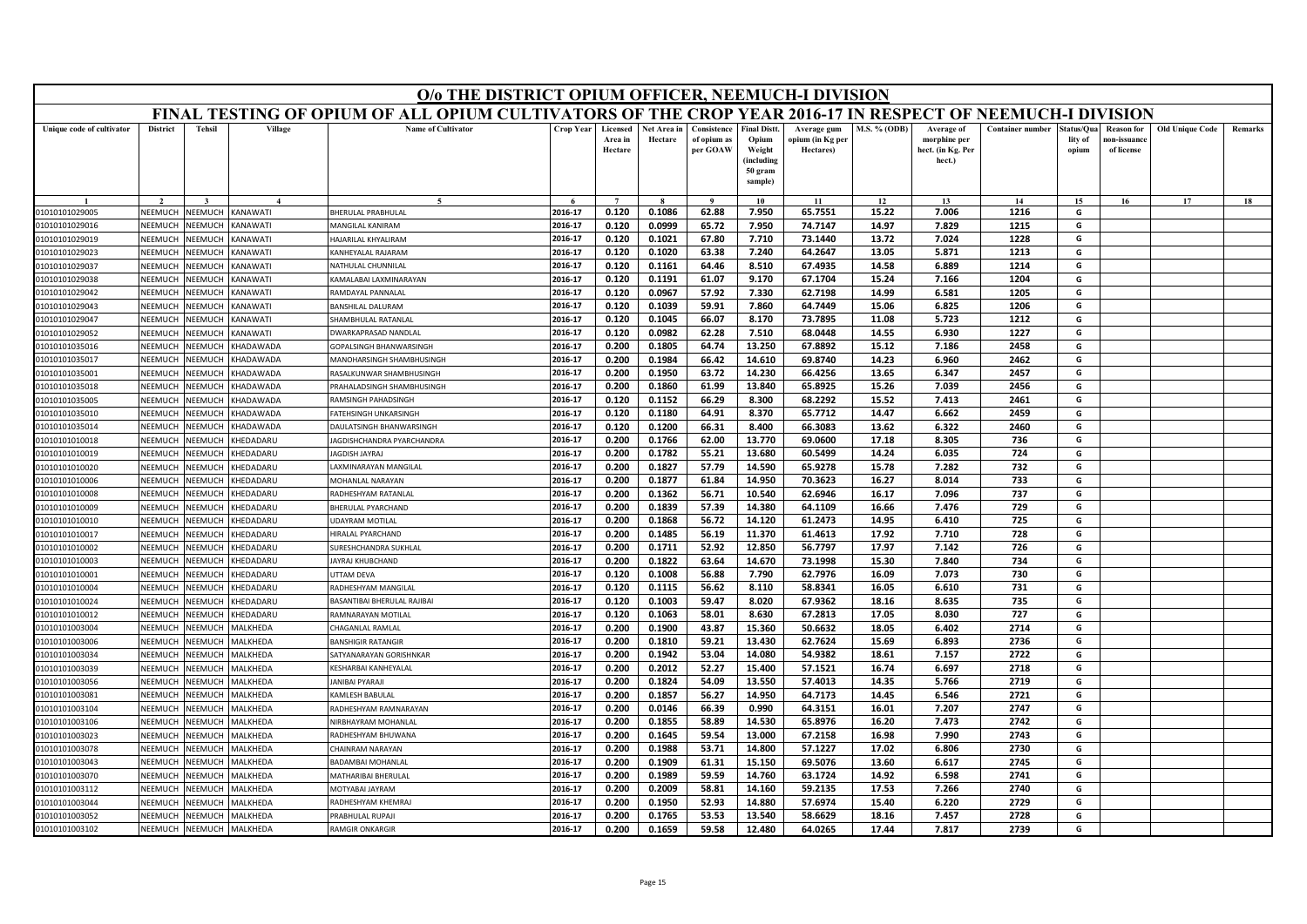|                                  | O/o THE DISTRICT OPIUM OFFICER, NEEMUCH-I DIVISION<br>FINAL TESTING OF OPIUM OF ALL OPIUM CULTIVATORS OF THE CROP YEAR 2016-17 IN RESPECT OF NEEMUCH-I DIVISION |                                  |                                    |                                                  |                    |                                |                        |                                        |                                                                            |                                              |                |                                                           |                         |                                |                                                |                        |         |
|----------------------------------|-----------------------------------------------------------------------------------------------------------------------------------------------------------------|----------------------------------|------------------------------------|--------------------------------------------------|--------------------|--------------------------------|------------------------|----------------------------------------|----------------------------------------------------------------------------|----------------------------------------------|----------------|-----------------------------------------------------------|-------------------------|--------------------------------|------------------------------------------------|------------------------|---------|
|                                  |                                                                                                                                                                 |                                  |                                    |                                                  |                    |                                |                        |                                        |                                                                            |                                              |                |                                                           |                         |                                |                                                |                        |         |
| Unique code of cultivator        | <b>District</b>                                                                                                                                                 | <b>Tehsil</b>                    | Village                            | <b>Name of Cultivator</b>                        | <b>Crop Year</b>   | Licensed<br>Area in<br>Hectare | Net Area in<br>Hectare | Consistence<br>of opium as<br>per GOAW | <b>Final Distt.</b><br>Opium<br>Weight<br>(including<br>50 gram<br>sample) | Average gum<br>opium (in Kg per<br>Hectares) | M.S. % (ODB)   | Average of<br>morphine per<br>hect. (in Kg. Per<br>hect.) | <b>Container number</b> | štatus/Oua<br>lity of<br>opium | <b>Reason for</b><br>ıon-issuanc<br>of license | <b>Old Unique Code</b> | Remarks |
|                                  |                                                                                                                                                                 |                                  |                                    | $\sim$                                           |                    | $\overline{7}$                 |                        | $\mathbf{o}$                           | 10                                                                         | 11                                           | 12             | 13                                                        | 14                      | 15                             | 16                                             | 17                     | 18      |
| 01010101029005                   | NEEMUCH                                                                                                                                                         | NEEMUCH                          | <b>ANAWATI</b>                     | BHERULAL PRABHULAL                               | 2016-17            | 0.120                          | 0.1086                 | 62.88                                  | 7.950                                                                      | 65.7551                                      | 15.22          | 7.006                                                     | 1216                    | G                              |                                                |                        |         |
| 01010101029016                   | NEEMUCH                                                                                                                                                         | <b>NEEMUCH</b>                   | <b>ANAWATI</b>                     | MANGILAL KANIRAM                                 | 2016-17            | 0.120                          | 0.0999                 | 65.72                                  | 7.950                                                                      | 74.7147                                      | 14.97          | 7.829                                                     | 1215                    | G                              |                                                |                        |         |
| 01010101029019                   | NFFMUCH                                                                                                                                                         | <b>NEEMUCH</b>                   | <b>ANAWATI</b>                     | <b>HAJARILAL KHYALIRAM</b>                       | 2016-17            | 0.120                          | 0.1021                 | 67.80                                  | 7.710                                                                      | 73.1440                                      | 13.72          | 7.024                                                     | 1228                    | G                              |                                                |                        |         |
| 01010101029023                   | NEEMUCI                                                                                                                                                         | VEEMUCI                          | <b>ANAWATI</b>                     | KANHEYALAL RAJARAM                               | 2016-17            | 0.120                          | 0.1020                 | 63.38                                  | 7.240                                                                      | 64.2647                                      | 13.05          | 5.871                                                     | 1213                    | G                              |                                                |                        |         |
| 01010101029037                   | NEEMUCH                                                                                                                                                         | <b>JEEMUCH</b>                   | <b>ANAWATI</b>                     | NATHULAL CHUNNILAL                               | 2016-17            | 0.120                          | 0.1161                 | 64.46                                  | 8.510                                                                      | 67.4935                                      | 14.58          | 6.889                                                     | 1214                    | G                              |                                                |                        |         |
| 01010101029038                   | NEEMUCH                                                                                                                                                         | <b>NEEMUCH</b>                   | <b>ANAWATI</b>                     | <b>CAMALABAI LAXMINARAYAN</b>                    | 2016-17            | 0.120                          | 0.1191                 | 61.07                                  | 9.170                                                                      | 67.1704                                      | 15.24          | 7.166                                                     | 1204                    | G                              |                                                |                        |         |
| 01010101029042                   | NEEMUC                                                                                                                                                          | VEEMUCI                          | <b>ANAWATI</b>                     | RAMDAYAL PANNALAL                                | 2016-17            | 0.120                          | 0.0967                 | 57.92                                  | 7.330                                                                      | 62.7198                                      | 14.99          | 6.581                                                     | 1205                    | G                              |                                                |                        |         |
| 01010101029043                   | NEEMUCH                                                                                                                                                         | <b>JEEMUCH</b>                   | ANAWATI)                           | <b>BANSHILAL DALURAM</b>                         | 2016-17            | 0.120                          | 0.1039                 | 59.91                                  | 7.860                                                                      | 64.7449                                      | 15.06          | 6.825                                                     | 1206                    | G                              |                                                |                        |         |
| 01010101029047                   | NEEMUCH                                                                                                                                                         | <b>JEEMUCH</b>                   | <b>ANAWATI</b>                     | HAMBHULAL RATANLAL                               | 2016-17            | 0.120                          | 0.1045                 | 66.07                                  | 8.170                                                                      | 73.7895                                      | 11.08          | 5.723                                                     | 1212                    | G                              |                                                |                        |         |
| 01010101029052                   | <b>NFFMUCH</b>                                                                                                                                                  | VEEMUCH                          | KANAWATI                           | DWARKAPRASAD NANDLAI                             | 2016-17            | 0.120                          | 0.0982                 | 62.28                                  | 7.510                                                                      | 68.0448                                      | 14.55          | 6.930                                                     | 1227                    | G                              |                                                |                        |         |
| 01010101035016                   | NEEMUCH                                                                                                                                                         | <b>JEEMUCH</b>                   | HADAWADA                           | GOPALSINGH BHANWARSINGH                          | 2016-17            | 0.200                          | 0.1805                 | 64.74                                  | 13.250                                                                     | 67.8892                                      | 15.12          | 7.186                                                     | 2458                    | G                              |                                                |                        |         |
| 01010101035017                   | NEEMUCI                                                                                                                                                         | <b>JEEMUC</b>                    | HADAWADA                           | <b>MANOHARSINGH SHAMBHUSINGH</b>                 | 2016-17            | 0.200                          | 0.1984                 | 66.42                                  | 14.610                                                                     | 69.8740                                      | 14.23          | 6.960                                                     | 2462                    | G                              |                                                |                        |         |
| 01010101035001                   | <b>NFFMUCH</b>                                                                                                                                                  | <b>NEEMUCH</b>                   | <b>HADAWADA</b>                    | RASALKUNWAR SHAMBHUSINGH                         | 2016-17            | 0.200                          | 0.1950                 | 63.72                                  | 14.230                                                                     | 66.4256                                      | 13.65          | 6.347                                                     | 2457                    | G                              |                                                |                        |         |
| 01010101035018                   | NEEMUCI                                                                                                                                                         | <b>JEEMUCH</b>                   | HADAWADA                           | RAHALADSINGH SHAMBHUSINGH                        | 2016-17            | 0.200                          | 0.1860                 | 61.99                                  | 13.840                                                                     | 65.8925                                      | 15.26          | 7.039                                                     | 2456                    | G                              |                                                |                        |         |
| 01010101035005                   | NEEMUCH                                                                                                                                                         | <b>JEEMUC</b>                    | HADAWADA                           | <b>AMSINGH PAHADSINGH</b>                        | 2016-17            | 0.120                          | 0.1152                 | 66.29                                  | 8.300                                                                      | 68.2292                                      | 15.52          | 7.413                                                     | 2461                    | G                              |                                                |                        |         |
| 01010101035010                   | NEEMUCH                                                                                                                                                         | VEEMUCI                          | <b>HADAWADA</b>                    | <b>ATEHSINGH UNKARSINGH</b>                      | 2016-17            | 0.120                          | 0.1180                 | 64.91                                  | 8.370                                                                      | 65.7712                                      | 14.47          | 6.662                                                     | 2459                    | G                              |                                                |                        |         |
| 01010101035014                   | NEEMUCH                                                                                                                                                         | <b>JEEMUCH</b>                   | <b>HADAWADA</b>                    | DAULATSINGH BHANWARSINGH                         | 2016-17            | 0.120                          | 0.1200                 | 66.31                                  | 8.400                                                                      | 66.3083                                      | 13.62          | 6.322                                                     | 2460                    | G                              |                                                |                        |         |
| 01010101010018                   | NEEMUCH                                                                                                                                                         | <b>JEEMUCI</b>                   | <b>HEDADARU</b>                    | AGDISHCHANDRA PYARCHANDRA                        | 2016-17            | 0.200                          | 0.1766                 | 62.00                                  | 13.770                                                                     | 69.0600                                      | 17.18          | 8.305                                                     | 736                     | G                              |                                                |                        |         |
| 01010101010019                   | NFFMUCH                                                                                                                                                         | <b>JEEMUCH</b>                   | <b>HEDADARU</b>                    | AGDISH JAYRAJ                                    | 2016-17            | 0.200                          | 0.1782                 | 55.21                                  | 13.680                                                                     | 60.5499                                      | 14.24          | 6.035                                                     | 724                     | G                              |                                                |                        |         |
| 01010101010020                   | NEEMUCH                                                                                                                                                         | <b>NEEMUCH</b>                   | <b>HEDADARU</b>                    | AXMINARAYAN MANGILAL                             | 2016-17            | 0.200                          | 0.1827                 | 57.79                                  | 14.590                                                                     | 65.9278                                      | 15.78          | 7.282                                                     | 732                     | G                              |                                                |                        |         |
| 01010101010006                   | NEEMUCH                                                                                                                                                         | <b>JEEMUCH</b>                   | HEDADARU                           | MOHANLAL NARAYAN                                 | 2016-17            | 0.200                          | 0.1877                 | 61.84                                  | 14.950                                                                     | 70.3623                                      | 16.27          | 8.014                                                     | 733                     | G                              |                                                |                        |         |
| 01010101010008                   | NEEMUCH                                                                                                                                                         | <b>JEEMUCH</b>                   | <b>HEDADARU</b>                    | RADHESHYAM RATANLAL                              | 2016-17            | 0.200                          | 0.1362                 | 56.71                                  | 10.540                                                                     | 62.6946                                      | 16.17          | 7.096                                                     | 737                     | G                              |                                                |                        |         |
| 01010101010009                   | NFFMUCI                                                                                                                                                         | <b>JEEMUCH</b>                   | <b>HEDADARU</b>                    | BHERULAL PYARCHAND                               | 2016-17            | 0.200                          | 0.1839                 | 57.39                                  | 14.380                                                                     | 64.1109                                      | 16.66          | 7.476                                                     | 729                     | G                              |                                                |                        |         |
| 01010101010010                   | NEEMUCH                                                                                                                                                         | <b>JEEMUCH</b>                   | <b>HEDADARU</b>                    | <b>JDAYRAM MOTILAI</b>                           | 2016-17            | 0.200                          | 0.1868                 | 56.72                                  | 14.120                                                                     | 61.2473                                      | 14.95          | 6.410                                                     | 725                     | G<br>G                         |                                                |                        |         |
| 01010101010017                   | NEEMUCH<br>NFFMUCH                                                                                                                                              | <b>JEEMUC</b>                    | <b>HEDADARU</b>                    | <b>IIRALAL PYARCHAND</b>                         | 2016-17<br>2016-17 | 0.200                          | 0.1485<br>0.1711       | 56.19                                  | 11.370<br>12.850                                                           | 61.4613<br>56.7797                           | 17.92<br>17.97 | 7.710<br>7.142                                            | 728<br>726              | G                              |                                                |                        |         |
| 01010101010002                   | NEEMUCI                                                                                                                                                         | <b>JEEMUCH</b>                   | <b>HEDADARU</b>                    | URESHCHANDRA SUKHLAL                             | 2016-17            | 0.200<br>0.200                 | 0.1822                 | 52.92<br>63.64                         | 14.670                                                                     | 73.1998                                      | 15.30          | 7.840                                                     | 734                     | G                              |                                                |                        |         |
| 01010101010003                   | NEEMUCH                                                                                                                                                         | <b>JEEMUCI</b>                   | <b>HEDADARU</b>                    | AYRAJ KHUBCHAND                                  | 2016-17            | 0.120                          | 0.1008                 | 56.88                                  | 7.790                                                                      | 62.7976                                      | 16.09          | 7.073                                                     | 730                     | G                              |                                                |                        |         |
| 01010101010001<br>01010101010004 | NEEMUCH                                                                                                                                                         | <b>JEEMUCH</b><br><b>JEEMUCH</b> | <b>HEDADARU</b><br><b>HEDADARU</b> | <b>JTTAM DEVA</b><br>RADHESHYAM MANGILAL         | 2016-17            | 0.120                          | 0.1115                 | 56.62                                  | 8.110                                                                      | 58.8341                                      | 16.05          | 6.610                                                     | 731                     | G                              |                                                |                        |         |
| 01010101010024                   | NEEMUCI                                                                                                                                                         | <b>NEEMUC</b>                    | <b>HEDADARU</b>                    |                                                  | 2016-17            | 0.120                          | 0.1003                 | 59.47                                  | 8.020                                                                      | 67.9362                                      | 18.16          | 8.635                                                     | 735                     | G                              |                                                |                        |         |
| 01010101010012                   | NEEMUCH                                                                                                                                                         | <b>JEEMUCH</b>                   | <b>HEDADARU</b>                    | BASANTIBAI BHERULAL RAJIBAI<br>AMNARAYAN MOTILAL | 2016-17            | 0.120                          | 0.1063                 | 58.01                                  | 8.630                                                                      | 67.2813                                      | 17.05          | 8.030                                                     | 727                     | G                              |                                                |                        |         |
| 01010101003004                   | NEEMUCH                                                                                                                                                         | <b>JEEMUCH</b>                   | MALKHEDA                           | <b>HAGANLAL RAMLAL</b>                           | 2016-17            | 0.200                          | 0.1900                 | 43.87                                  | 15.360                                                                     | 50.6632                                      | 18.05          | 6.402                                                     | 2714                    | G                              |                                                |                        |         |
| 01010101003006                   | NEEMUCI                                                                                                                                                         | VEEMUCI                          | MALKHEDA                           | BANSHIGIR RATANGIR                               | 2016-17            | 0.200                          | 0.1810                 | 59.21                                  | 13.430                                                                     | 62.7624                                      | 15.69          | 6.893                                                     | 2736                    | G                              |                                                |                        |         |
| 01010101003034                   | NEEMUCH                                                                                                                                                         | <b>NEEMUCH</b>                   | MALKHEDA                           | <b>ATYANARAYAN GORISHNKAR</b>                    | 2016-17            | 0.200                          | 0.1942                 | 53.04                                  | 14.080                                                                     | 54.9382                                      | 18.61          | 7.157                                                     | 2722                    | G                              |                                                |                        |         |
| 01010101003039                   | VEEMUCI                                                                                                                                                         | <b>JEEMUCI</b>                   | <b>AALKHEDA</b>                    | <b>ESHARBAI KANHEYALAI</b>                       | 2016-17            | 0.200                          | 0.2012                 | 52.27                                  | 15.400                                                                     | 57.1521                                      | 16.74          | 6.697                                                     | 2718                    | G                              |                                                |                        |         |
| 01010101003056                   | <b>NFFMUCH</b>                                                                                                                                                  | <b>JEEMUCH</b>                   | MALKHEDA                           | <b>ANIBAI PYARAJI</b>                            | 2016-17            | 0.200                          | 0.1824                 | 54.09                                  | 13.550                                                                     | 57.4013                                      | 14.35          | 5.766                                                     | 2719                    | G                              |                                                |                        |         |
| 01010101003081                   | NEEMUCH                                                                                                                                                         | <b>JEEMUCH</b>                   | <b>ALKHEDA</b>                     | <b>AMLESH BABULAL</b>                            | 2016-17            | 0.200                          | 0.1857                 | 56.27                                  | 14.950                                                                     | 64.7173                                      | 14.45          | 6.546                                                     | 2721                    | G                              |                                                |                        |         |
| 01010101003104                   | <b>NEEMUCH</b>                                                                                                                                                  | <b>JEEMUCH</b>                   | <b>ALKHEDA</b>                     | ADHESHYAM RAMNARAYAN                             | 2016-17            | 0.200                          | 0.0146                 | 66.39                                  | 0.990                                                                      | 64.3151                                      | 16.01          | 7.207                                                     | 2747                    | G                              |                                                |                        |         |
| 01010101003106                   | NEEMUCH                                                                                                                                                         | <b>NEEMUCH</b>                   | <b>AALKHEDA</b>                    | NIRBHAYRAM MOHANLA                               | 2016-17            | 0.200                          | 0.1855                 | 58.89                                  | 14.530                                                                     | 65.8976                                      | 16.20          | 7.473                                                     | 2742                    | G                              |                                                |                        |         |
| 01010101003023                   | NEEMUCH                                                                                                                                                         | <b>JEEMUCH</b>                   | <b>AALKHEDA</b>                    | RADHESHYAM BHUWANA                               | 2016-17            | 0.200                          | 0.1645                 | 59.54                                  | 13.000                                                                     | 67.2158                                      | 16.98          | 7.990                                                     | 2743                    | G                              |                                                |                        |         |
| 01010101003078                   | VEEMUCI                                                                                                                                                         | <b>JEEMUCI</b>                   | <b>AALKHEDA</b>                    | HAINRAM NARAYAN                                  | 2016-17            | 0.200                          | 0.1988                 | 53.71                                  | 14.800                                                                     | 57.1227                                      | 17.02          | 6.806                                                     | 2730                    | G                              |                                                |                        |         |
| 01010101003043                   | <b>NFFMUCH</b>                                                                                                                                                  | <b>JEEMUC</b>                    | MALKHEDA                           | BADAMBAI MOHANLAI                                | 2016-17            | 0.200                          | 0.1909                 | 61.31                                  | 15.150                                                                     | 69.5076                                      | 13.60          | 6.617                                                     | 2745                    | G                              |                                                |                        |         |
| 01010101003070                   | NEEMUCH                                                                                                                                                         | <b>JEEMUCH</b>                   | <b>MALKHEDA</b>                    | MATHARIBAI BHFRULAL                              | 2016-17            | 0.200                          | 0.1989                 | 59.59                                  | 14.760                                                                     | 63.1724                                      | 14.92          | 6.598                                                     | 2741                    | G                              |                                                |                        |         |
| 01010101003112                   | VEEMUCI                                                                                                                                                         | <b>JEEMUC</b>                    | <b>ALKHEDA</b>                     | <b>IOTYABAI JAYRAM</b>                           | 2016-17            | 0.200                          | 0.2009                 | 58.81                                  | 14.160                                                                     | 59.2135                                      | 17.53          | 7.266                                                     | 2740                    | G                              |                                                |                        |         |
| 01010101003044                   | NEEMUCH                                                                                                                                                         | <b>JEEMUCI</b>                   | <b>AALKHEDA</b>                    | <b>RADHESHYAM KHEMRAI</b>                        | 2016-17            | 0.200                          | 0.1950                 | 52.93                                  | 14.880                                                                     | 57.6974                                      | 15.40          | 6.220                                                     | 2729                    | G                              |                                                |                        |         |
| 01010101003052                   | NEEMUCH                                                                                                                                                         | <b>NEEMUCH</b>                   | <b>AALKHEDA</b>                    | RABHULAL RUPAJI                                  | 2016-17            | 0.200                          | 0.1765                 | 53.53                                  | 13.540                                                                     | 58.6629                                      | 18.16          | 7.457                                                     | 2728                    | G                              |                                                |                        |         |
| 01010101003102                   | NEEMUCH                                                                                                                                                         | NEEMUCH                          | MALKHEDA                           | RAMGIR ONKARGIF                                  | 2016-17            | 0.200                          | 0.1659                 | 59.58                                  | 12.480                                                                     | 64.0265                                      | 17.44          | 7.817                                                     | 2739                    | G                              |                                                |                        |         |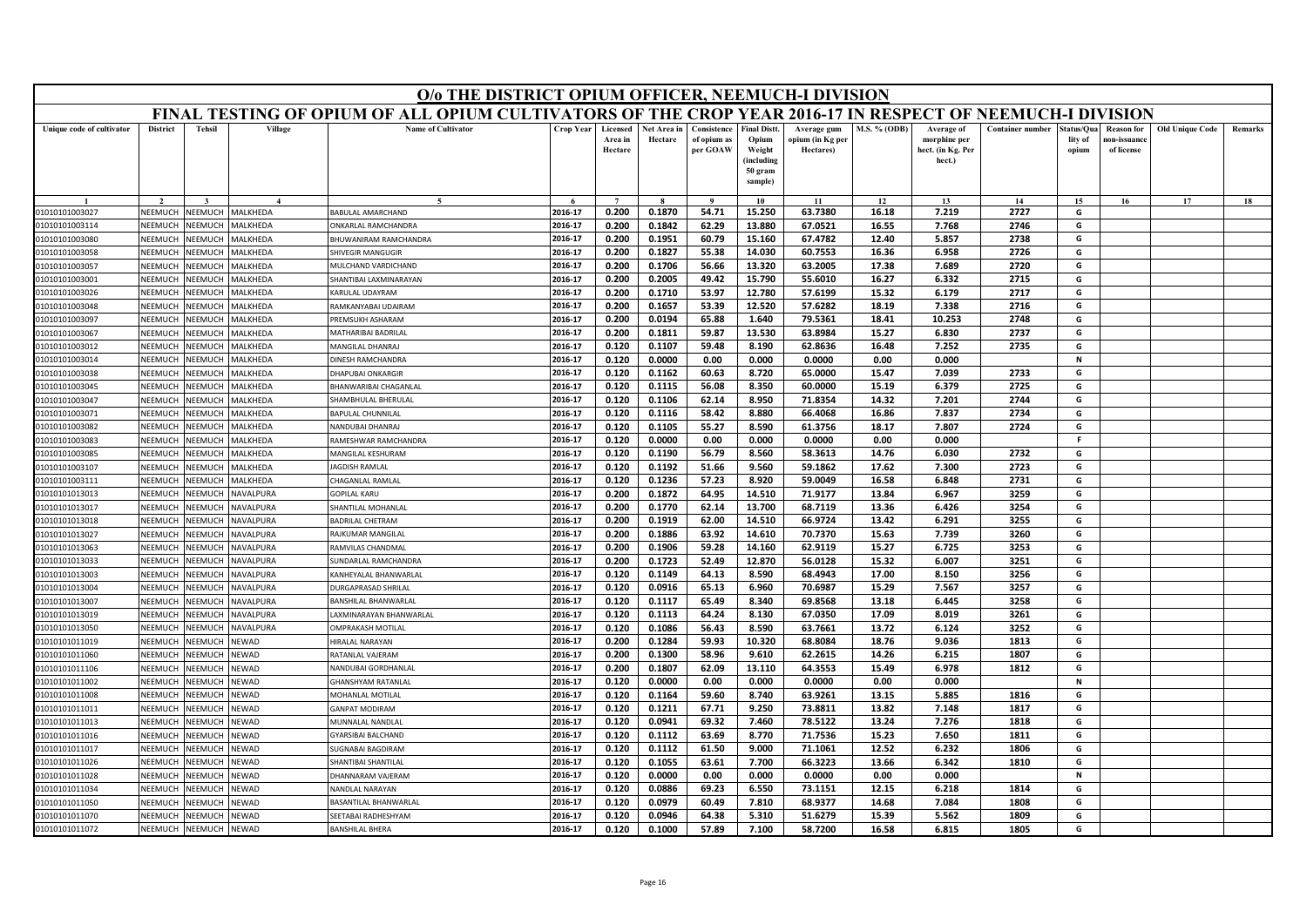|                                  |                    |                    |                      | O/o THE DISTRICT OPIUM OFFICER, NEEMUCH-I DIVISION                                                        |                    |                                |                        |                                        |                                                                            |                                              |                     |                                                           |                         |                                |                                                |                        |         |
|----------------------------------|--------------------|--------------------|----------------------|-----------------------------------------------------------------------------------------------------------|--------------------|--------------------------------|------------------------|----------------------------------------|----------------------------------------------------------------------------|----------------------------------------------|---------------------|-----------------------------------------------------------|-------------------------|--------------------------------|------------------------------------------------|------------------------|---------|
|                                  |                    |                    |                      | FINAL TESTING OF OPIUM OF ALL OPIUM CULTIVATORS OF THE CROP YEAR 2016-17 IN RESPECT OF NEEMUCH-I DIVISION |                    |                                |                        |                                        |                                                                            |                                              |                     |                                                           |                         |                                |                                                |                        |         |
| Unique code of cultivator        | <b>District</b>    | <b>Tehsil</b>      | Village              | <b>Name of Cultivator</b>                                                                                 | <b>Crop Year</b>   | Licensed<br>Area in<br>Hectare | Net Area in<br>Hectare | Consistence<br>of opium as<br>per GOAW | <b>Final Distt.</b><br>Opium<br>Weight<br>(including<br>50 gram<br>sample) | Average gum<br>opium (in Kg per<br>Hectares) | <b>M.S. % (ODB)</b> | Average of<br>morphine per<br>hect. (in Kg. Per<br>hect.) | <b>Container number</b> | Status/Qua<br>lity of<br>opium | <b>Reason for</b><br>10n-issuanc<br>of license | <b>Old Unique Code</b> | Remarks |
|                                  |                    |                    |                      | $\tilde{\phantom{a}}$                                                                                     |                    | $\overline{7}$                 |                        | $\mathbf{o}$                           | 10                                                                         | 11                                           | 12                  | 13                                                        | 14                      | 15                             | 16                                             | 17                     | 18      |
| 01010101003027                   | NEEMUCH            | NEEMUCH            | MALKHEDA             | BABULAL AMARCHAND                                                                                         | 2016-17            | 0.200                          | 0.1870                 | 54.71                                  | 15.250                                                                     | 63.7380                                      | 16.18               | 7.219                                                     | 2727                    | G                              |                                                |                        |         |
| 01010101003114                   | NEEMUCH            | NEEMUCH            | MALKHEDA             | ONKARLAL RAMCHANDRA                                                                                       | 2016-17            | 0.200                          | 0.1842                 | 62.29                                  | 13.880                                                                     | 67.0521                                      | 16.55               | 7.768                                                     | 2746                    | G                              |                                                |                        |         |
| 01010101003080                   | VEEMUCH            | NEEMUCH            | MALKHEDA             | BHUWANIRAM RAMCHANDRA                                                                                     | 2016-17            | 0.200                          | 0.1951                 | 60.79                                  | 15.160                                                                     | 67.4782                                      | 12.40               | 5.857                                                     | 2738                    | G                              |                                                |                        |         |
| 01010101003058                   | NEEMUCI            | NEEMUCI            | MALKHEDA             | <b>SHIVEGIR MANGUGIR</b>                                                                                  | 2016-17            | 0.200                          | 0.1827                 | 55.38                                  | 14.030                                                                     | 60.7553                                      | 16.36               | 6.958                                                     | 2726                    | G                              |                                                |                        |         |
| 01010101003057                   | NEEMUCH            | NEEMUCH            | MALKHEDA             | MULCHAND VARDICHAND                                                                                       | 2016-17            | 0.200                          | 0.1706                 | 56.66                                  | 13.320                                                                     | 63.2005                                      | 17.38               | 7.689                                                     | 2720                    | G                              |                                                |                        |         |
| 01010101003001                   | NEEMUCH            | NEEMUCH            | MALKHEDA             | SHANTIBAI LAXMINARAYAN                                                                                    | 2016-17            | 0.200                          | 0.2005                 | 49.42                                  | 15.790                                                                     | 55.6010                                      | 16.27               | 6.332                                                     | 2715                    | G                              |                                                |                        |         |
| 01010101003026                   | NEEMUCI            | NEEMUCI            | MALKHEDA             | KARULAL UDAYRAM                                                                                           | 2016-17            | 0.200                          | 0.1710                 | 53.97                                  | 12.780                                                                     | 57.6199                                      | 15.32               | 6.179                                                     | 2717                    | G                              |                                                |                        |         |
| 01010101003048                   | NEEMUCH            | NEEMUCH            | MALKHEDA             | RAMKANYABAI UDAIRAM                                                                                       | 2016-17            | 0.200                          | 0.1657                 | 53.39                                  | 12.520                                                                     | 57.6282                                      | 18.19               | 7.338                                                     | 2716                    | G                              |                                                |                        |         |
| 01010101003097                   | NEEMUCH            | NEEMUCH            | MALKHEDA             | <b>PREMSUKH ASHARAM</b>                                                                                   | 2016-17            | 0.200                          | 0.0194                 | 65.88                                  | 1.640                                                                      | 79.5361                                      | 18.41               | 10.253                                                    | 2748                    | G                              |                                                |                        |         |
| 01010101003067                   | NEEMUCH            | NEEMUCH            | MALKHEDA             | MATHARIBAI BADRILAI                                                                                       | 2016-17            | 0.200                          | 0.1811                 | 59.87                                  | 13.530                                                                     | 63.8984                                      | 15.27               | 6.830                                                     | 2737                    | G                              |                                                |                        |         |
| 01010101003012                   | NEEMUCH            | <b>NEEMUCH</b>     | MALKHEDA             | MANGILAL DHANRAJ                                                                                          | 2016-17            | 0.120                          | 0.1107                 | 59.48                                  | 8.190                                                                      | 62.8636                                      | 16.48               | 7.252                                                     | 2735                    | G                              |                                                |                        |         |
| 01010101003014                   | NEEMUCH            | VEEMUCI            | <b>MALKHEDA</b>      | <b>DINESH RAMCHANDRA</b>                                                                                  | 2016-17            | 0.120                          | 0.0000                 | 0.00                                   | 0.000                                                                      | 0.0000                                       | 0.00                | 0.000                                                     |                         | N                              |                                                |                        |         |
| 01010101003038                   | NFFMUCH            | NFFMUCH            | MALKHEDA             | DHAPUBAI ONKARGIR                                                                                         | 2016-17            | 0.120                          | 0.1162                 | 60.63                                  | 8.720                                                                      | 65.0000                                      | 15.47               | 7.039                                                     | 2733                    | G                              |                                                |                        |         |
| 01010101003045                   | NEEMUCH            | NEEMUCH            | MALKHEDA             | BHANWARIBAI CHAGANLAL                                                                                     | 2016-17            | 0.120                          | 0.1115                 | 56.08                                  | 8.350                                                                      | 60.0000                                      | 15.19               | 6.379                                                     | 2725                    | G                              |                                                |                        |         |
| 01010101003047                   | NEEMUCH<br>NEEMUCH | VEEMUCH<br>NEEMUCH | <b>MALKHEDA</b>      | <b>SHAMBHULAL BHERULAI</b>                                                                                | 2016-17            | 0.120                          | 0.1106<br>0.1116       | 62.14                                  | 8.950                                                                      | 71.8354                                      | 14.32               | 7.201                                                     | 2744                    | G                              |                                                |                        |         |
| 01010101003071<br>01010101003082 | NEEMUCH            | NEEMUCH            | MALKHEDA<br>MALKHEDA | <b>BAPULAL CHUNNILAL</b>                                                                                  | 2016-17<br>2016-17 | 0.120                          |                        | 58.42                                  | 8.880                                                                      | 66.4068<br>61.3756                           | 16.86               | 7.837<br>7.807                                            | 2734<br>2724            | G<br>G                         |                                                |                        |         |
|                                  | NEEMUCH            | <b>NEEMUCH</b>     | MALKHEDA             | NANDUBAI DHANRAJ<br>RAMESHWAR RAMCHANDRA                                                                  | 2016-17            | 0.120<br>0.120                 | 0.1105<br>0.0000       | 55.27<br>0.00                          | 8.590<br>0.000                                                             | 0.0000                                       | 18.17<br>0.00       | 0.000                                                     |                         | F.                             |                                                |                        |         |
| 01010101003083                   | NFFMUCH            | <b>SEEMUCH</b>     | MALKHEDA             | <b>MANGILAL KESHURAM</b>                                                                                  | 2016-17            | 0.120                          | 0.1190                 | 56.79                                  | 8.560                                                                      | 58.3613                                      | 14.76               | 6.030                                                     | 2732                    | G                              |                                                |                        |         |
| 01010101003085<br>01010101003107 | NEEMUCH            | NEEMUCH            | MALKHEDA             | JAGDISH RAMLAL                                                                                            | 2016-17            | 0.120                          | 0.1192                 | 51.66                                  | 9.560                                                                      | 59.1862                                      | 17.62               | 7.300                                                     | 2723                    | G                              |                                                |                        |         |
| 01010101003111                   | NEEMUCH            | <b>JEEMUCH</b>     | <b>ALKHEDA</b>       | CHAGANLAL RAMLAL                                                                                          | 2016-17            | 0.120                          | 0.1236                 | 57.23                                  | 8.920                                                                      | 59.0049                                      | 16.58               | 6.848                                                     | 2731                    | G                              |                                                |                        |         |
| 01010101013013                   | NEEMUCH            | NEEMUCH            | NAVALPURA            | <b>GOPILAL KARU</b>                                                                                       | 2016-17            | 0.200                          | 0.1872                 | 64.95                                  | 14.510                                                                     | 71.9177                                      | 13.84               | 6.967                                                     | 3259                    | G                              |                                                |                        |         |
| 01010101013017                   | NFFMUCH            | VEEMUCH            | NAVALPURA            | SHANTILAL MOHANLAL                                                                                        | 2016-17            | 0.200                          | 0.1770                 | 62.14                                  | 13.700                                                                     | 68.7119                                      | 13.36               | 6.426                                                     | 3254                    | G                              |                                                |                        |         |
| 01010101013018                   | NEEMUCI            | <b>NEEMUCH</b>     | <b>VAVALPURA</b>     | <b>BADRILAL CHETRAM</b>                                                                                   | 2016-17            | 0.200                          | 0.1919                 | 62.00                                  | 14.510                                                                     | 66.9724                                      | 13.42               | 6.291                                                     | 3255                    | G                              |                                                |                        |         |
| 01010101013027                   | NEEMUCH            | NEEMUCH            | NAVALPURA            | <b>RAJKUMAR MANGILAL</b>                                                                                  | 2016-17            | 0.200                          | 0.1886                 | 63.92                                  | 14.610                                                                     | 70.7370                                      | 15.63               | 7.739                                                     | 3260                    | G                              |                                                |                        |         |
| 01010101013063                   | NEEMUCH            | NEEMUCH            | NAVALPURA            | RAMVILAS CHANDMAL                                                                                         | 2016-17            | 0.200                          | 0.1906                 | 59.28                                  | 14.160                                                                     | 62.9119                                      | 15.27               | 6.725                                                     | 3253                    | G                              |                                                |                        |         |
| 01010101013033                   | NEEMUCI            | VEEMUCH            | VAVALPURA            | <b>SUNDARLAL RAMCHANDRA</b>                                                                               | 2016-17            | 0.200                          | 0.1723                 | 52.49                                  | 12.870                                                                     | 56.0128                                      | 15.32               | 6.007                                                     | 3251                    | G                              |                                                |                        |         |
| 01010101013003                   | NEEMUCH            | VEEMUCH            | NAVALPURA            | KANHEYALAL BHANWARLAL                                                                                     | 2016-17            | 0.120                          | 0.1149                 | 64.13                                  | 8.590                                                                      | 68.4943                                      | 17.00               | 8.150                                                     | 3256                    | G                              |                                                |                        |         |
| 01010101013004                   | NEEMUCH            | NEEMUCH            | NAVALPURA            | DURGAPRASAD SHRILAL                                                                                       | 2016-17            | 0.120                          | 0.0916                 | 65.13                                  | 6.960                                                                      | 70.6987                                      | 15.29               | 7.567                                                     | 3257                    | G                              |                                                |                        |         |
| 01010101013007                   | NEEMUCH            | VEEMUCH            | NAVALPURA            | BANSHILAL BHANWARLAI                                                                                      | 2016-17            | 0.120                          | 0.1117                 | 65.49                                  | 8.340                                                                      | 69.8568                                      | 13.18               | 6.445                                                     | 3258                    | G                              |                                                |                        |         |
| 01010101013019                   | NEEMUCH            | VEEMUCH            | NAVALPURA            | AXMINARAYAN BHANWARLAL                                                                                    | 2016-17            | 0.120                          | 0.1113                 | 64.24                                  | 8.130                                                                      | 67.0350                                      | 17.09               | 8.019                                                     | 3261                    | G                              |                                                |                        |         |
| 01010101013050                   | NEEMUCH            | NEEMUCH            | NAVALPURA            | <b>DMPRAKASH MOTILAL</b>                                                                                  | 2016-17            | 0.120                          | 0.1086                 | 56.43                                  | 8.590                                                                      | 63.7661                                      | 13.72               | 6.124                                                     | 3252                    | G                              |                                                |                        |         |
| 01010101011019                   | NEEMUCH            | NEEMUCH            | <b>NEWAD</b>         | HIRALAL NARAYAN                                                                                           | 2016-17            | 0.200                          | 0.1284                 | 59.93                                  | 10.320                                                                     | 68.8084                                      | 18.76               | 9.036                                                     | 1813                    | G                              |                                                |                        |         |
| 01010101011060                   | NEEMUCH            | NEEMUCH            | NEWAD                | RATANLAL VAJERAM                                                                                          | 2016-17            | 0.200                          | 0.1300                 | 58.96                                  | 9.610                                                                      | 62.2615                                      | 14.26               | 6.215                                                     | 1807                    | G                              |                                                |                        |         |
| 01010101011106                   | <b>JEEMUCH</b>     | VEEMUCH            | <b>NEWAD</b>         | <b>NANDUBAI GORDHANLAL</b>                                                                                | 2016-17            | 0.200                          | 0.1807                 | 62.09                                  | 13.110                                                                     | 64.3553                                      | 15.49               | 6.978                                                     | 1812                    | G                              |                                                |                        |         |
| 01010101011002                   | <b>NFFMUCH</b>     | NEEMUCH            | VEWAD                | <b>GHANSHYAM RATANLAL</b>                                                                                 | 2016-17            | 0.120                          | 0.0000                 | 0.00                                   | 0.000                                                                      | 0.0000                                       | 0.00                | 0.000                                                     |                         | $\mathbf N$                    |                                                |                        |         |
| 01010101011008                   | NEEMUCH            | VEEMUCH            | <b>JEWAD</b>         | MOHANLAL MOTILAL                                                                                          | 2016-17            | 0.120                          | 0.1164                 | 59.60                                  | 8.740                                                                      | 63.9261                                      | 13.15               | 5.885                                                     | 1816                    | G                              |                                                |                        |         |
| 01010101011011                   | VEEMUCH            | VEEMUCH            | <b>NEWAD</b>         | <b>GANPAT MODIRAM</b>                                                                                     | 2016-17            | 0.120                          | 0.1211                 | 67.71                                  | 9.250                                                                      | 73.8811                                      | 13.82               | 7.148                                                     | 1817                    | G                              |                                                |                        |         |
| 01010101011013                   | NEEMUCH            | NEEMUCH            | <b>NEWAD</b>         | MUNNALAL NANDLAI                                                                                          | 2016-17            | 0.120                          | 0.0941                 | 69.32                                  | 7.460                                                                      | 78.5122                                      | 13.24               | 7.276                                                     | 1818                    | G                              |                                                |                        |         |
| 01010101011016                   | NEEMUCH            | <b>NEEMUCH</b>     | VEWAD                | <b>GYARSIBAI BALCHAND</b>                                                                                 | 2016-17            | 0.120                          | 0.1112                 | 63.69                                  | 8.770                                                                      | 71.7536                                      | 15.23               | 7.650                                                     | 1811                    | G                              |                                                |                        |         |
| 01010101011017                   | VEEMUCI            | VEEMUCH            | <b>NEWAD</b>         | SUGNABAI BAGDIRAM                                                                                         | 2016-17            | 0.120                          | 0.1112                 | 61.50                                  | 9.000                                                                      | 71.1061                                      | 12.52               | 6.232                                                     | 1806                    | G                              |                                                |                        |         |
| 01010101011026                   | <b>NFFMUCH</b>     | NEEMUCH            | VEWAD                | SHANTIBAI SHANTILAL                                                                                       | 2016-17            | 0.120                          | 0.1055                 | 63.61                                  | 7.700                                                                      | 66.3223                                      | 13.66               | 6.342                                                     | 1810                    | G                              |                                                |                        |         |
| 01010101011028                   | NEEMUCH            | VEEMUCH            | NEWAD                | DHANNARAM VAJERAM                                                                                         | 2016-17            | 0.120                          | 0.0000                 | 0.00                                   | 0.000                                                                      | 0.0000                                       | 0.00                | 0.000                                                     |                         | N                              |                                                |                        |         |
| 01010101011034                   | VEEMUCI            | VEEMUCI            | <b>NEWAD</b>         | <b>VANDLAL NARAYAN</b>                                                                                    | 2016-17            | 0.120                          | 0.0886                 | 69.23                                  | 6.550                                                                      | 73.1151                                      | 12.15               | 6.218                                                     | 1814                    | G                              |                                                |                        |         |
| 01010101011050                   | NEEMUCH            | NEEMUCI            | <b>NEWAD</b>         | <b>BASANTILAL BHANWARLA</b>                                                                               | 2016-17            | 0.120                          | 0.0979                 | 60.49                                  | 7.810                                                                      | 68.9377                                      | 14.68               | 7.084                                                     | 1808                    | G                              |                                                |                        |         |
| 01010101011070                   | NEEMUCH            | NEEMUCH            | NEWAD                | SEETABAI RADHESHYAM                                                                                       | 2016-17            | 0.120                          | 0.0946                 | 64.38                                  | 5.310                                                                      | 51.6279                                      | 15.39               | 5.562                                                     | 1809                    | G                              |                                                |                        |         |
| 01010101011072                   | NEEMUCH            | NEEMUCH            | NEWAD                | <b>BANSHILAL BHERA</b>                                                                                    | 2016-17            | 0.120                          | 0.1000                 | 57.89                                  | 7.100                                                                      | 58.7200                                      | 16.58               | 6.815                                                     | 1805                    | G                              |                                                |                        |         |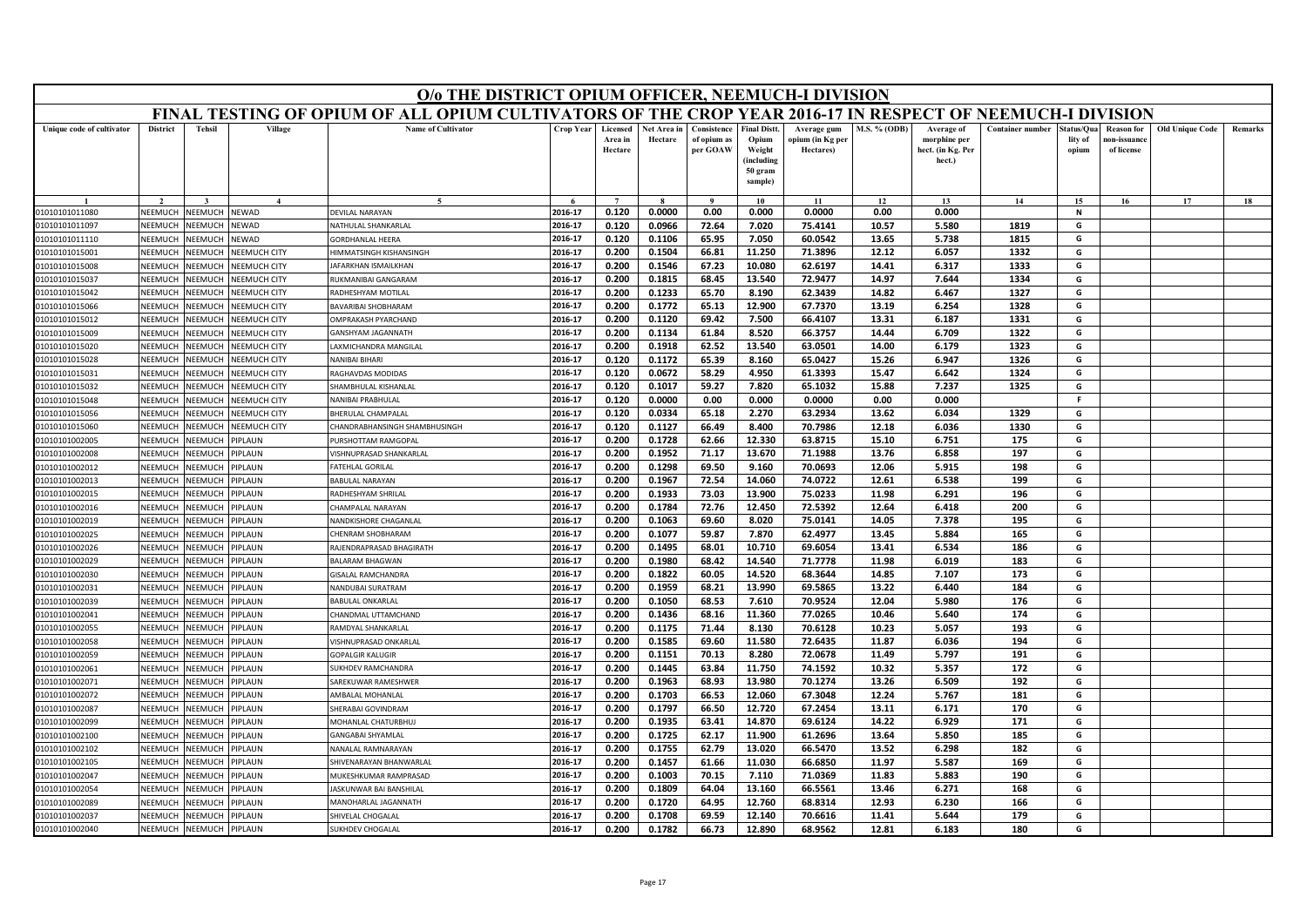|                                  |                    |                    |                                     | O/o THE DISTRICT OPIUM OFFICER, NEEMUCH-I DIVISION                                                        |                    |                                |                        |                                        |                                                                            |                                              |                     |                                                           |                         |                                |                                                |                        |         |
|----------------------------------|--------------------|--------------------|-------------------------------------|-----------------------------------------------------------------------------------------------------------|--------------------|--------------------------------|------------------------|----------------------------------------|----------------------------------------------------------------------------|----------------------------------------------|---------------------|-----------------------------------------------------------|-------------------------|--------------------------------|------------------------------------------------|------------------------|---------|
|                                  |                    |                    |                                     | FINAL TESTING OF OPIUM OF ALL OPIUM CULTIVATORS OF THE CROP YEAR 2016-17 IN RESPECT OF NEEMUCH-I DIVISION |                    |                                |                        |                                        |                                                                            |                                              |                     |                                                           |                         |                                |                                                |                        |         |
| Unique code of cultivator        | <b>District</b>    | <b>Tehsil</b>      | Village                             | <b>Name of Cultivator</b>                                                                                 | <b>Crop Year</b>   | Licensed<br>Area in<br>Hectare | Net Area in<br>Hectare | Consistence<br>of opium as<br>per GOAW | <b>Final Distt.</b><br>Opium<br>Weight<br>(including<br>50 gram<br>sample) | Average gum<br>opium (in Kg per<br>Hectares) | <b>M.S. % (ODB)</b> | Average of<br>morphine per<br>hect. (in Kg. Per<br>hect.) | <b>Container number</b> | Status/Qua<br>lity of<br>opium | <b>Reason for</b><br>10n-issuanc<br>of license | <b>Old Unique Code</b> | Remarks |
|                                  |                    |                    | $\boldsymbol{\Lambda}$              | $\sim$                                                                                                    |                    | $\overline{7}$                 |                        |                                        | 10                                                                         | 11                                           | 12                  | 13                                                        | 14                      | 15                             | 16                                             | 17                     | 18      |
| 01010101011080                   | NEEMUCH            | NEEMUCH            | <b>NEWAD</b>                        | DEVILAL NARAYAN                                                                                           | 2016-17            | 0.120                          | 0.0000                 | 0.00                                   | 0.000                                                                      | 0.0000                                       | 0.00                | 0.000                                                     |                         | N                              |                                                |                        |         |
| 01010101011097                   | NEEMUCH            | NEEMUCH            | NEWAD                               | NATHULAL SHANKARLAL                                                                                       | 2016-17            | 0.120                          | 0.0966                 | 72.64                                  | 7.020                                                                      | 75.4141                                      | 10.57               | 5.580                                                     | 1819                    | G                              |                                                |                        |         |
| 01010101011110                   | <b>SEEMUCH</b>     | NEEMUCH            | NEWAD                               | <b>GORDHANLAL HEERA</b>                                                                                   | 2016-17            | 0.120                          | 0.1106                 | 65.95                                  | 7.050                                                                      | 60.0542                                      | 13.65               | 5.738                                                     | 1815                    | G                              |                                                |                        |         |
| 01010101015001                   | NEEMUCH            | NEEMUCH            | <b>NEEMUCH CITY</b>                 | HIMMATSINGH KISHANSINGH                                                                                   | 2016-17            | 0.200                          | 0.1504                 | 66.81                                  | 11.250                                                                     | 71.3896                                      | 12.12               | 6.057                                                     | 1332                    | G                              |                                                |                        |         |
| 01010101015008                   | NEEMUCH            | NEEMUCH            | <b>VEEMUCH CITY</b>                 | AFARKHAN ISMAILKHAN                                                                                       | 2016-17            | 0.200                          | 0.1546                 | 67.23                                  | 10.080                                                                     | 62.6197                                      | 14.41               | 6.317                                                     | 1333                    | G                              |                                                |                        |         |
| 01010101015037                   | NEEMUCH            | NEEMUCH            | NEEMUCH CITY                        | RUKMANIBAI GANGARAM                                                                                       | 2016-17            | 0.200                          | 0.1815                 | 68.45                                  | 13.540                                                                     | 72.9477                                      | 14.97               | 7.644                                                     | 1334                    | G                              |                                                |                        |         |
| 01010101015042                   | NEEMUCI            | NEEMUCH            | <b>NEEMUCH CITY</b>                 | RADHESHYAM MOTILAL                                                                                        | 2016-17            | 0.200                          | 0.1233                 | 65.70                                  | 8.190                                                                      | 62.3439                                      | 14.82               | 6.467                                                     | 1327                    | G                              |                                                |                        |         |
| 01010101015066                   | NEEMUCH            | NEEMUCH            | NEEMUCH CITY                        | <b>BAVARIBAI SHOBHARAM</b>                                                                                | 2016-17            | 0.200                          | 0.1772                 | 65.13                                  | 12.900                                                                     | 67.7370                                      | 13.19               | 6.254                                                     | 1328                    | G                              |                                                |                        |         |
| 01010101015012                   | NEEMUCH            | NEEMUCH            | <b>NEEMUCH CITY</b>                 | <b>DMPRAKASH PYARCHAND</b>                                                                                | 2016-17            | 0.200                          | 0.1120                 | 69.42                                  | 7.500                                                                      | 66.4107                                      | 13.31               | 6.187                                                     | 1331                    | G                              |                                                |                        |         |
| 01010101015009                   | NEEMUCH            | NEEMUCH            | NEEMUCH CITY                        | GANSHYAM JAGANNATH                                                                                        | 2016-17            | 0.200                          | 0.1134                 | 61.84                                  | 8.520                                                                      | 66.3757                                      | 14.44               | 6.709                                                     | 1322                    | G                              |                                                |                        |         |
| 01010101015020                   | NEEMUCH            | <b>NEEMUCH</b>     | NEEMUCH CITY                        | AXMICHANDRA MANGILAL                                                                                      | 2016-17            | 0.200                          | 0.1918                 | 62.52                                  | 13.540                                                                     | 63.0501                                      | 14.00               | 6.179                                                     | 1323                    | G                              |                                                |                        |         |
| 01010101015028                   | NEEMUCH            | VEEMUCH            | NEEMUCH CITY                        | <b>VANIBAI BIHARI</b>                                                                                     | 2016-17            | 0.120                          | 0.1172                 | 65.39                                  | 8.160                                                                      | 65.0427                                      | 15.26               | 6.947                                                     | 1326                    | G                              |                                                |                        |         |
| 01010101015031                   | NFFMUCH            | NFFMUCH            | <b>NEEMUCH CITY</b>                 | RAGHAVDAS MODIDAS                                                                                         | 2016-17            | 0.120                          | 0.0672                 | 58.29                                  | 4.950                                                                      | 61.3393                                      | 15.47               | 6.642                                                     | 1324                    | G                              |                                                |                        |         |
| 01010101015032                   | NEEMUCH            | VEEMUCH            | <b>NEEMUCH CITY</b>                 | HAMBHULAL KISHANLAL                                                                                       | 2016-17            | 0.120                          | 0.1017                 | 59.27                                  | 7.820                                                                      | 65.1032                                      | 15.88               | 7.237                                                     | 1325                    | G<br>F                         |                                                |                        |         |
| 01010101015048<br>01010101015056 | NEEMUCH<br>NEEMUCH | VEEMUCH<br>NEEMUCH | NEEMUCH CITY<br><b>NEEMUCH CITY</b> | <b>VANIBAI PRABHULAI</b><br><b>BHERULAL CHAMPALAL</b>                                                     | 2016-17<br>2016-17 | 0.120<br>0.120                 | 0.0000<br>0.0334       | 0.00                                   | 0.000                                                                      | 0.0000                                       | 0.00<br>13.62       | 0.000<br>6.034                                            | 1329                    | G                              |                                                |                        |         |
| 01010101015060                   | NEEMUCH            | NEEMUCH            | NEEMUCH CITY                        | CHANDRABHANSINGH SHAMBHUSINGH                                                                             | 2016-17            | 0.120                          | 0.1127                 | 65.18<br>66.49                         | 2.270<br>8.400                                                             | 63.2934<br>70.7986                           | 12.18               | 6.036                                                     | 1330                    | G                              |                                                |                        |         |
| 01010101002005                   | NEEMUCI            | <b>NEEMUCH</b>     | <b>IPLAUN</b>                       | PURSHOTTAM RAMGOPAL                                                                                       | 2016-17            | 0.200                          | 0.1728                 | 62.66                                  | 12.330                                                                     | 63.8715                                      | 15.10               | 6.751                                                     | 175                     | G                              |                                                |                        |         |
|                                  | NFFMUCH            | NEEMUCH            | PIPLAUN                             | VISHNUPRASAD SHANKARLAI                                                                                   | 2016-17            | 0.200                          | 0.1952                 | 71.17                                  | 13.670                                                                     | 71.1988                                      | 13.76               | 6.858                                                     | 197                     | G                              |                                                |                        |         |
| 01010101002008<br>01010101002012 | NEEMUCH            | NEEMUCH            | PIPLAUN                             | FATEHLAL GORILAL                                                                                          | 2016-17            | 0.200                          | 0.1298                 | 69.50                                  | 9.160                                                                      | 70.0693                                      | 12.06               | 5.915                                                     | 198                     | G                              |                                                |                        |         |
| 01010101002013                   | VEEMUCH            | <b>JEEMUCH</b>     | IPLAUN                              | <b>BABULAL NARAYAN</b>                                                                                    | 2016-17            | 0.200                          | 0.1967                 | 72.54                                  | 14.060                                                                     | 74.0722                                      | 12.61               | 6.538                                                     | 199                     | G                              |                                                |                        |         |
| 01010101002015                   | NEEMUCH            | NEEMUCH            | PIPLAUN                             | RADHESHYAM SHRILAL                                                                                        | 2016-17            | 0.200                          | 0.1933                 | 73.03                                  | 13.900                                                                     | 75.0233                                      | 11.98               | 6.291                                                     | 196                     | G                              |                                                |                        |         |
| 01010101002016                   | NFFMUCH            | VEEMUCH            | PIPLAUN                             | CHAMPALAL NARAYAN                                                                                         | 2016-17            | 0.200                          | 0.1784                 | 72.76                                  | 12.450                                                                     | 72.5392                                      | 12.64               | 6.418                                                     | 200                     | G                              |                                                |                        |         |
| 01010101002019                   | NEEMUCI            | <b>NEEMUCH</b>     | <b>IPLAUN</b>                       | NANDKISHORE CHAGANLAL                                                                                     | 2016-17            | 0.200                          | 0.1063                 | 69.60                                  | 8.020                                                                      | 75.0141                                      | 14.05               | 7.378                                                     | 195                     | G                              |                                                |                        |         |
| 01010101002025                   | NEEMUCH            | NEEMUCH            | <b>IPLAUN</b>                       | CHENRAM SHOBHARAM                                                                                         | 2016-17            | 0.200                          | 0.1077                 | 59.87                                  | 7.870                                                                      | 62.4977                                      | 13.45               | 5.884                                                     | 165                     | G                              |                                                |                        |         |
| 01010101002026                   | NEEMUCH            | NEEMUCH            | PIPLAUN                             | RAJENDRAPRASAD BHAGIRATH                                                                                  | 2016-17            | 0.200                          | 0.1495                 | 68.01                                  | 10.710                                                                     | 69.6054                                      | 13.41               | 6.534                                                     | 186                     | G                              |                                                |                        |         |
| 01010101002029                   | NEEMUCI            | VEEMUCH            | <b>IPLAUN</b>                       | <b>BALARAM BHAGWAN</b>                                                                                    | 2016-17            | 0.200                          | 0.1980                 | 68.42                                  | 14.540                                                                     | 71.7778                                      | 11.98               | 6.019                                                     | 183                     | G                              |                                                |                        |         |
| 01010101002030                   | NEEMUCH            | VEEMUCH            | <b>IPLAUN</b>                       | <b>GISALAL RAMCHANDRA</b>                                                                                 | 2016-17            | 0.200                          | 0.1822                 | 60.05                                  | 14.520                                                                     | 68.3644                                      | 14.85               | 7.107                                                     | 173                     | G                              |                                                |                        |         |
| 01010101002031                   | NEEMUCH            | NEEMUCH            | <b>PIPLAUN</b>                      | NANDUBAI SURATRAM                                                                                         | 2016-17            | 0.200                          | 0.1959                 | 68.21                                  | 13.990                                                                     | 69.5865                                      | 13.22               | 6.440                                                     | 184                     | G                              |                                                |                        |         |
| 01010101002039                   | NEEMUCH            | VEEMUCH            | <b>IPLAUN</b>                       | BABULAL ONKARLAL                                                                                          | 2016-17            | 0.200                          | 0.1050                 | 68.53                                  | 7.610                                                                      | 70.9524                                      | 12.04               | 5.980                                                     | 176                     | G                              |                                                |                        |         |
| 01010101002041                   | NEEMUCH            | VEEMUCH            | PIPLAUN                             | CHANDMAL UTTAMCHAND                                                                                       | 2016-17            | 0.200                          | 0.1436                 | 68.16                                  | 11.360                                                                     | 77.0265                                      | 10.46               | 5.640                                                     | 174                     | G                              |                                                |                        |         |
| 01010101002055                   | NEEMUCH            | NEEMUCH            | <b>PIPLAUN</b>                      | RAMDYAL SHANKARLAL                                                                                        | 2016-17            | 0.200                          | 0.1175                 | 71.44                                  | 8.130                                                                      | 70.6128                                      | 10.23               | 5.057                                                     | 193                     | G                              |                                                |                        |         |
| 01010101002058                   | NEEMUCI            | NEEMUCH            | <b>IPLAUN</b>                       | VISHNUPRASAD ONKARLAI                                                                                     | 2016-17            | 0.200                          | 0.1585                 | 69.60                                  | 11.580                                                                     | 72.6435                                      | 11.87               | 6.036                                                     | 194                     | G                              |                                                |                        |         |
| 01010101002059                   | NEEMUCH            | NEEMUCH            | <b>PIPLAUN</b>                      | GOPALGIR KALUGIF                                                                                          | 2016-17            | 0.200                          | 0.1151                 | 70.13                                  | 8.280                                                                      | 72.0678                                      | 11.49               | 5.797                                                     | 191                     | G                              |                                                |                        |         |
| 01010101002061                   | VEEMUCI            | VEEMUCH            | <b>IPLAUN</b>                       | UKHDEV RAMCHANDRA                                                                                         | 2016-17            | 0.200                          | 0.1445                 | 63.84                                  | 11.750                                                                     | 74.1592                                      | 10.32               | 5.357                                                     | 172                     | G                              |                                                |                        |         |
| 01010101002071                   | <b>NFFMUCH</b>     | NEEMUCH            | <b>IPLAUN</b>                       | SAREKUWAR RAMESHWER                                                                                       | 2016-17            | 0.200                          | 0.1963                 | 68.93                                  | 13.980                                                                     | 70.1274                                      | 13.26               | 6.509                                                     | 192                     | G                              |                                                |                        |         |
| 01010101002072                   | NEEMUCH            | VEEMUCH            | IPLAUN                              | AMBALAL MOHANLAL                                                                                          | 2016-17            | 0.200                          | 0.1703                 | 66.53                                  | 12.060                                                                     | 67.3048                                      | 12.24               | 5.767                                                     | 181                     | G                              |                                                |                        |         |
| 01010101002087                   | VEEMUCH            | VEEMUCH            | <b>IPLAUN</b>                       | HERABAI GOVINDRAM                                                                                         | 2016-17            | 0.200                          | 0.1797                 | 66.50                                  | 12.720                                                                     | 67.2454                                      | 13.11               | 6.171                                                     | 170                     | G                              |                                                |                        |         |
| 01010101002099                   | NEEMUCH            | NEEMUCH            | <b>IPLAUN</b>                       | MOHANLAL CHATURBHU                                                                                        | 2016-17            | 0.200                          | 0.1935                 | 63.41                                  | 14.870                                                                     | 69.6124                                      | 14.22               | 6.929                                                     | 171                     | G                              |                                                |                        |         |
| 01010101002100                   | NEEMUCH            | <b>NEEMUCH</b>     | <b>PIPLAUN</b>                      | <b>GANGABAI SHYAMLAL</b>                                                                                  | 2016-17            | 0.200                          | 0.1725                 | 62.17                                  | 11.900                                                                     | 61.2696                                      | 13.64               | 5.850                                                     | 185                     | G                              |                                                |                        |         |
| 01010101002102                   | <b>NEEMUCI</b>     | <b>JEEMUCH</b>     | IPLAUN                              | <b>NANALAL RAMNARAYAN</b>                                                                                 | 2016-17            | 0.200                          | 0.1755                 | 62.79                                  | 13.020                                                                     | 66.5470                                      | 13.52               | 6.298                                                     | 182                     | G                              |                                                |                        |         |
| 01010101002105                   | <b>NFFMUCH</b>     | NEEMUCH            | <b>IPLAUN</b>                       | SHIVFNARAYAN BHANWARLAI                                                                                   | 2016-17            | 0.200                          | 0.1457                 | 61.66                                  | 11.030                                                                     | 66.6850                                      | 11.97               | 5.587                                                     | 169                     | G                              |                                                |                        |         |
| 01010101002047                   | NEEMUCH            | VEEMUCH            | <b>IPLAUN</b>                       | MUKESHKUMAR RAMPRASAD                                                                                     | 2016-17            | 0.200                          | 0.1003                 | 70.15                                  | 7.110                                                                      | 71.0369                                      | 11.83               | 5.883                                                     | 190                     | G                              |                                                |                        |         |
| 01010101002054                   | VEEMUCI            | VEEMUCH            | IPLAUN                              | ASKUNWAR BAI BANSHILAL                                                                                    | 2016-17            | 0.200                          | 0.1809                 | 64.04                                  | 13.160                                                                     | 66.5561                                      | 13.46               | 6.271                                                     | 168                     | G                              |                                                |                        |         |
| 01010101002089                   | NEEMUCH            | NEEMUCI            | <b>IPLAUN</b>                       | MANOHARLAL JAGANNATH                                                                                      | 2016-17            | 0.200                          | 0.1720                 | 64.95                                  | 12.760                                                                     | 68.8314                                      | 12.93               | 6.230                                                     | 166                     | G                              |                                                |                        |         |
| 01010101002037                   | NEEMUCH            | NEEMUCH            | PIPLAUN                             | <b>SHIVELAL CHOGALAL</b>                                                                                  | 2016-17            | 0.200                          | 0.1708                 | 69.59                                  | 12.140                                                                     | 70.6616                                      | 11.41               | 5.644                                                     | 179                     | G                              |                                                |                        |         |
| 01010101002040                   | NEEMUCH            | NEEMUCH            | PIPLAUN                             | <b>SUKHDEV CHOGALAL</b>                                                                                   | 2016-17            | 0.200                          | 0.1782                 | 66.73                                  | 12.890                                                                     | 68.9562                                      | 12.81               | 6.183                                                     | 180                     | G                              |                                                |                        |         |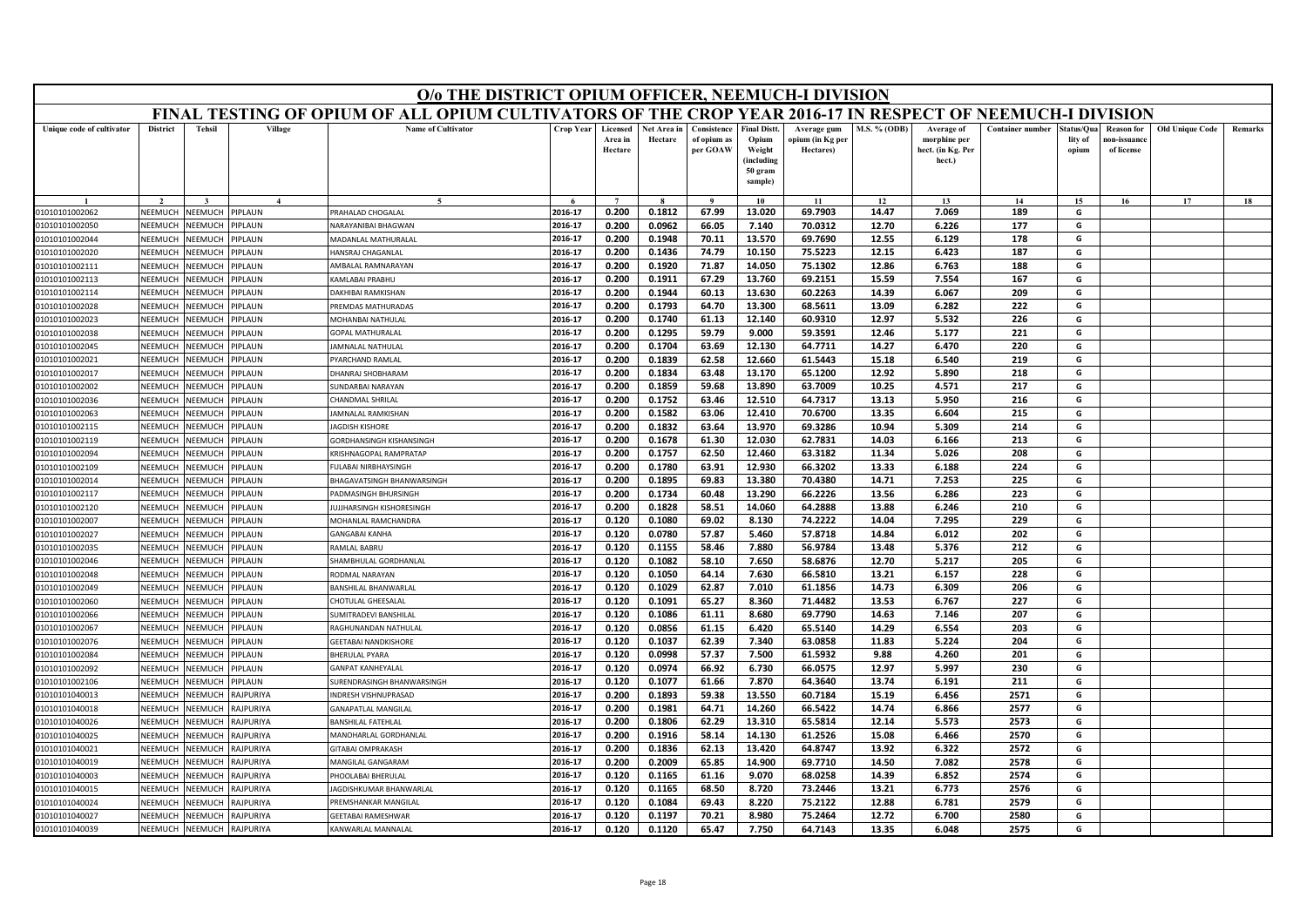| FINAL TESTING OF OPIUM OF ALL OPIUM CULTIVATORS OF THE CROP YEAR 2016-17 IN RESPECT OF NEEMUCH-I DIVISION<br><b>District</b><br><b>Tehsil</b><br>Village<br><b>Name of Cultivator</b><br>Crop Year<br><b>M.S. % (ODB)</b><br><b>Container number</b><br>Unique code of cultivator<br>Licensed<br>Net Area in<br>Consistence<br><b>Final Distt.</b><br>Average of<br>tatus/Qua<br><b>Reason for</b><br><b>Old Unique Code</b><br>Remarks<br>Average gum<br>Area in<br>Hectare<br>of opium as<br>Opium<br>ppium (in Kg per<br>morphine per<br>lity of<br>10n-issuanc<br>Hectare<br>per GOAW<br>Weight<br>Hectares)<br>hect. (in Kg. Per<br>of license<br>opium<br>(including<br>hect.)<br>50 gram<br>sample)<br>17<br>$\bf{Q}$<br>10<br>11<br>12<br>13<br>14<br>15<br>16<br>18<br>2016-17<br>0.200<br>0.1812<br>67.99<br>13.020<br>69.7903<br>14.47<br>7.069<br>189<br>G<br>NEEMUCH<br><b>NEEMUCH</b><br>PIPLAUN<br>PRAHALAD CHOGALAL<br>01010101002062<br>2016-17<br>0.200<br>0.0962<br>66.05<br>7.140<br>70.0312<br>12.70<br>6.226<br>177<br>G<br>01010101002050<br>NEEMUCH<br><b>NEEMUCH</b><br><b>IPLAUN</b><br><b>VARAYANIBAI BHAGWAN</b><br>NEEMUCH<br>NEEMUCH<br><b>ADANLAL MATHURALAL</b><br>2016-17<br>0.200<br>0.1948<br>70.11<br>13.570<br>69.7690<br>12.55<br>6.129<br>178<br>G<br>01010101002044<br><b>IPLAUN</b><br>75.5223<br><b>NEEMUCH</b><br>VEEMUCI<br>HANSRAJ CHAGANLAL<br>2016-17<br>0.200<br>0.1436<br>74.79<br>10.150<br>12.15<br>6.423<br>187<br>G<br>01010101002020<br><b>IPLAUN</b><br>2016-17<br>0.200<br>0.1920<br>71.87<br>14.050<br>75.1302<br>12.86<br>6.763<br>188<br>G<br>NEEMUCH<br><b>NEEMUCH</b><br>01010101002111<br><b>IPLAUN</b><br><b>MBALAL RAMNARAYAN</b><br>67.29<br>69.2151<br>15.59<br>7.554<br>167<br>2016-17<br>0.200<br>0.1911<br>13.760<br>G<br>01010101002113<br>NEEMUCH<br><b>NEEMUCH</b><br><b>IPLAUN</b><br><b>CAMLABAI PRABHL</b><br>0.1944<br>60.13<br>13.630<br>60.2263<br>209<br>01010101002114<br><b>NEEMUCH</b><br>VEEMUCI<br><b>IPLAUN</b><br>2016-17<br>0.200<br>14.39<br>6.067<br>G<br><b>JAKHIBAI RAMKISHAN</b><br>2016-17<br>0.200<br>0.1793<br>64.70<br>13.300<br>68.5611<br>13.09<br>6.282<br>222<br>G<br>NEEMUCH<br>VEEMUCI<br><b>IPLAUN</b><br>01010101002028<br>REMDAS MATHURADAS<br>2016-17<br>12.140<br>12.97<br>5.532<br>226<br>0.200<br>0.1740<br>61.13<br>60.9310<br>G<br>01010101002023<br>NEEMUCH<br>VEEMUCI<br><b>IPLAUN</b><br><b><i>AOHANBAI NATHULAL</i></b><br>2016-17<br>0.200<br>0.1295<br>59.79<br>9.000<br>59.3591<br>12.46<br>5.177<br>221<br>G<br>01010101002038<br>NEEMUCH<br>VEEMUCI<br><b>IPLAUN</b><br>GOPAL MATHURALAL<br>2016-17<br>0.200<br>0.1704<br>63.69<br>12.130<br>64.7711<br>14.27<br>6.470<br>220<br>G<br>VEEMUCH<br><b>IPLAUN</b><br>01010101002045<br>NEEMUCH<br>AMNALAL NATHULAL<br>2016-17<br>0.200<br>0.1839<br>62.58<br>12.660<br>61.5443<br>15.18<br>6.540<br>219<br>NEEMUCH<br>G<br>01010101002021<br><b>JEEMUCI</b><br><b>IPLAUN</b><br>YARCHAND RAMLAL<br><b>NEEMUCH</b><br><b>JEEMUC</b><br>0.200<br>0.1834<br>63.48<br>13.170<br>65.1200<br>12.92<br>218<br>G<br>01010101002017<br><b>IPLAUN</b><br>HANRAJ SHOBHARAM<br>2016-17<br>5.890<br><b>JEEMUC</b><br><b>IPLAUN</b><br>0.1859<br>13.890<br>63.7009<br>217<br>G<br>01010101002002<br>NEEMUCH<br>2016-17<br>0.200<br>59.68<br>10.25<br>4.571<br><b>UNDARBAI NARAYAN</b><br>NEEMUCH<br>64.7317<br>216<br>01010101002036<br><b>JEEMUC</b><br><b>IPLAUN</b><br>2016-17<br>0.200<br>0.1752<br>63.46<br>12.510<br>13.13<br>5.950<br>G<br>HANDMAL SHRILAL<br>NEEMUCH<br><b>JEEMUCI</b><br><b>IPLAUN</b><br>2016-17<br>0.200<br>0.1582<br>63.06<br>12.410<br>70.6700<br>13.35<br>6.604<br>215<br>G<br>01010101002063<br>AMNALAL RAMKISHAN<br>01010101002115<br>NFFMUCH<br><b>JEEMUCH</b><br><b>IPLAUN</b><br>2016-17<br>0.200<br>0.1832<br>63.64<br>13.970<br>69.3286<br>10.94<br>5.309<br>214<br>G<br><b>AGDISH KISHORE</b><br>NEEMUCH<br><b>JEEMUC</b><br>2016-17<br>0.200<br>0.1678<br>61.30<br>12.030<br>62.7831<br>14.03<br>213<br>G<br>01010101002119<br><b>IPLAUN</b><br>6.166<br>GORDHANSINGH KISHANSINGH<br>NEEMUCH<br>VEEMUCH<br>2016-17<br>0.200<br>0.1757<br>62.50<br>12.460<br>63.3182<br>11.34<br>5.026<br>208<br>G<br>01010101002094<br><b>IPLAUN</b><br>KRISHNAGOPAL RAMPRATAP<br>ULABAI NIRBHAYSINGH<br>2016-17<br>0.200<br>0.1780<br>63.91<br>12.930<br>66.3202<br>13.33<br>6.188<br>224<br>G<br>01010101002109<br>NEEMUCH<br><b>NEEMUCH</b><br><b>IPLAUN</b><br>70.4380<br>7.253<br>225<br>NEEMUCH<br>2016-17<br>0.200<br>0.1895<br>69.83<br>13.380<br>14.71<br>G<br><b>JEEMUC</b><br>01010101002014<br>IPLAUN<br><b>BHAGAVATSINGH BHANWARSINGH</b><br>NEEMUCH<br>VEEMUCH<br>2016-17<br>0.200<br>0.1734<br>60.48<br>13.290<br>66.2226<br>13.56<br>6.286<br>223<br>G<br>01010101002117<br><b>IPLAUN</b><br>ADMASINGH BHURSINGH<br>2016-17<br>58.51<br>64.2888<br>210<br>G<br><b>JEEMUCH</b><br>UJJHARSINGH KISHORESINGH<br>0.200<br>0.1828<br>14.060<br>13.88<br>6.246<br>01010101002120<br>NEEMUCH<br><b>IPLAUN</b><br>2016-17<br>0.120<br>0.1080<br>69.02<br>8.130<br>74.2222<br>14.04<br>7.295<br>229<br>G<br>NEEMUCH<br>MOHANLAL RAMCHANDRA<br>01010101002007<br><b>JEEMUC</b><br><b>IPLAUN</b><br>202<br>2016-17<br>0.120<br>0.0780<br>57.87<br>5.460<br>57.8718<br>6.012<br>G<br>NEEMUCH<br><b>NEEMUCH</b><br><b>IPLAUN</b><br>14.84<br>01010101002027<br>GANGABAI KANHA<br>2016-17<br>0.120<br>0.1155<br>58.46<br>7.880<br>56.9784<br>13.48<br>5.376<br>212<br>G<br>01010101002035<br>NEEMUCH<br><b>JEEMUCH</b><br><b>IPLAUN</b><br><b>AMIAI RARRII</b><br>2016-17<br>0.120<br>0.1082<br>58.10<br>7.650<br>58.6876<br>12.70<br>5.217<br>205<br>G<br>NEEMUCH<br><b>JEEMUC</b><br><b>IPLAUN</b><br>01010101002046<br>HAMBHULAL GORDHANLAL<br>66.5810<br>228<br>2016-17<br>0.120<br>0.1050<br>64.14<br>7.630<br>13.21<br>6.157<br>G<br>01010101002048<br>NEEMUCH<br><b>JEEMUCH</b><br><b>IPLAUN</b><br>ODMAL NARAYAN<br>62.87<br>206<br><b>JEEMUCH</b><br>2016-17<br>0.120<br>0.1029<br>7.010<br>61.1856<br>14.73<br>6.309<br>G<br>01010101002049<br>NEEMUCH<br><b>IPLAUN</b><br><b>BANSHILAL BHANWARLAL</b><br><b>NEEMUCH</b><br>VEEMUCI<br>2016-17<br>0.120<br>0.1091<br>65.27<br>8.360<br>71.4482<br>13.53<br>6.767<br>227<br>G<br>01010101002060<br><b>IPLAUN</b><br>HOTULAL GHEESALAL<br>NEEMUCH<br>2016-17<br>61.11<br>8.680<br>69.7790<br>207<br>G<br>01010101002066<br><b>JEEMUCI</b><br><b>IPLAUN</b><br>UMITRADEVI BANSHILAL<br>0.120<br>0.1086<br>14.63<br>7.146<br>01010101002067<br>NEEMUCH<br>VEEMUCH<br><b>IPLAUN</b><br>2016-17<br>0.120<br>0.0856<br>61.15<br>6.420<br>65.5140<br>6.554<br>203<br>G<br>RAGHUNANDAN NATHULAL<br>14.29<br>NEEMUCH<br>VEEMUCI<br><b>IPLAUN</b><br>2016-17<br>0.120<br>0.1037<br>62.39<br>7.340<br>63.0858<br>11.83<br>5.224<br>204<br>G<br>01010101002076<br>GEETABAI NANDKISHORE<br>201<br>NEEMUCH<br>VEEMUCI<br><b>IPLAUN</b><br>2016-17<br>0.120<br>0.0998<br>57.37<br>7.500<br>61.5932<br>9.88<br>4.260<br>G<br>01010101002084<br><b>BHERULAL PYARA</b><br>01010101002092<br>NEEMUCH<br>VEEMUCI<br><b>IPLAUN</b><br>2016-17<br>0.120<br>0.0974<br>66.92<br>6.730<br>66.0575<br>12.97<br>5.997<br>230<br>G<br><b>GANPAT KANHEYALAL</b><br>NEEMUCH<br><b>JEEMUCI</b><br><b>IPLAUN</b><br>2016-17<br>0.120<br>0.1077<br>61.66<br>7.870<br>64.3640<br>13.74<br>6.191<br>211<br>G<br>01010101002106<br><b>JURENDRASINGH BHANWARSINGH</b><br>2016-17<br>0.200<br>59.38<br>13.550<br>60.7184<br>15.19<br>2571<br>NEEMUCH<br>0.1893<br>6.456<br>G<br>01010101040013<br><b>JEEMUCH</b><br><b>AJPURIYA</b><br>NDRESH VISHNUPRASAD<br>2577<br>G<br>NEEMUCH<br><b>JEEMUCH</b><br><b>ANAPATLAL MANGILAL</b><br>2016-17<br>0.200<br>0.1981<br>64.71<br>14.260<br>66.5422<br>14.74<br>6.866<br>01010101040018<br>RAJPURIYA<br>2016-17<br>62.29<br>65.5814<br>12.14<br>2573<br>G<br>NEEMUCH<br>VEEMUCI<br>RAJPURIYA<br>0.200<br>0.1806<br>13.310<br>5.573<br>01010101040026<br><b>BANSHILAL FATFHLAI</b><br>2016-17<br>58.14<br>61.2526<br>2570<br>0.200<br>0.1916<br>14.130<br>15.08<br>6.466<br>G<br>NEEMUCH<br><b>NEEMUCH</b><br>RAJPURIYA<br>MANOHARLAL GORDHANLAL<br>01010101040025<br>2016-17<br>0.200<br>0.1836<br>62.13<br>13.420<br>64.8747<br>13.92<br>6.322<br>2572<br>G<br>NEEMUCH<br><b>JEEMUCH</b><br><b>AJPURIYA</b><br><b>ITABAI OMPRAKASH</b><br>01010101040021<br>2016-17<br>0.200<br>0.2009<br>65.85<br>14.900<br>69.7710<br>14.50<br>7.082<br>2578<br>G<br><b>NFFMUCH</b><br>VEEMUCI<br><b>AJPURIYA</b><br>01010101040019<br>MANGILAL GANGARAM<br>2016-17<br>0.120<br>0.1165<br>9.070<br>68.0258<br>14.39<br>6.852<br>2574<br>G<br>61.16<br>NEEMUCH<br><b>NEEMUCH</b><br>RAJPURIYA<br>01010101040003<br>HOOLABAI BHERULAL<br>0.120<br>0.1165<br>68.50<br>8.720<br>73.2446<br>2576<br>2016-17<br>13.21<br>6.773<br>G<br>01010101040015<br>NEEMUCH<br><b>JEEMUC</b><br><b>AJPURIYA</b><br>AGDISHKUMAR BHANWARLAL<br>2016-17<br>0.120<br>0.1084<br>69.43<br>8.220<br>75.2122<br>12.88<br>6.781<br>2579<br>G<br>01010101040024<br>NEEMUCH<br><b>JEEMUCI</b><br><b>AJPURIYA</b><br>REMSHANKAR MANGILA<br>2016-17<br>0.120<br>0.1197<br>70.21<br>8.980<br>75.2464<br>12.72<br>6.700<br>2580<br>G<br>01010101040027<br>NEEMUCH<br>NEEMUCH<br>RAJPURIYA<br><b>GEETABAI RAMESHWAR</b><br>0.120<br>0.1120<br>65.47<br>7.750<br>2016-17<br>64.7143<br>13.35<br>6.048<br>2575<br>G<br>NEEMUCH<br>NEEMUCH<br><b>AJPURIYA</b><br>01010101040039<br>KANWARLAL MANNALAI |  |  | O/o THE DISTRICT OPIUM OFFICER, NEEMUCH-I DIVISION |  |  |  |  |  |  |  |
|---------------------------------------------------------------------------------------------------------------------------------------------------------------------------------------------------------------------------------------------------------------------------------------------------------------------------------------------------------------------------------------------------------------------------------------------------------------------------------------------------------------------------------------------------------------------------------------------------------------------------------------------------------------------------------------------------------------------------------------------------------------------------------------------------------------------------------------------------------------------------------------------------------------------------------------------------------------------------------------------------------------------------------------------------------------------------------------------------------------------------------------------------------------------------------------------------------------------------------------------------------------------------------------------------------------------------------------------------------------------------------------------------------------------------------------------------------------------------------------------------------------------------------------------------------------------------------------------------------------------------------------------------------------------------------------------------------------------------------------------------------------------------------------------------------------------------------------------------------------------------------------------------------------------------------------------------------------------------------------------------------------------------------------------------------------------------------------------------------------------------------------------------------------------------------------------------------------------------------------------------------------------------------------------------------------------------------------------------------------------------------------------------------------------------------------------------------------------------------------------------------------------------------------------------------------------------------------------------------------------------------------------------------------------------------------------------------------------------------------------------------------------------------------------------------------------------------------------------------------------------------------------------------------------------------------------------------------------------------------------------------------------------------------------------------------------------------------------------------------------------------------------------------------------------------------------------------------------------------------------------------------------------------------------------------------------------------------------------------------------------------------------------------------------------------------------------------------------------------------------------------------------------------------------------------------------------------------------------------------------------------------------------------------------------------------------------------------------------------------------------------------------------------------------------------------------------------------------------------------------------------------------------------------------------------------------------------------------------------------------------------------------------------------------------------------------------------------------------------------------------------------------------------------------------------------------------------------------------------------------------------------------------------------------------------------------------------------------------------------------------------------------------------------------------------------------------------------------------------------------------------------------------------------------------------------------------------------------------------------------------------------------------------------------------------------------------------------------------------------------------------------------------------------------------------------------------------------------------------------------------------------------------------------------------------------------------------------------------------------------------------------------------------------------------------------------------------------------------------------------------------------------------------------------------------------------------------------------------------------------------------------------------------------------------------------------------------------------------------------------------------------------------------------------------------------------------------------------------------------------------------------------------------------------------------------------------------------------------------------------------------------------------------------------------------------------------------------------------------------------------------------------------------------------------------------------------------------------------------------------------------------------------------------------------------------------------------------------------------------------------------------------------------------------------------------------------------------------------------------------------------------------------------------------------------------------------------------------------------------------------------------------------------------------------------------------------------------------------------------------------------------------------------------------------------------------------------------------------------------------------------------------------------------------------------------------------------------------------------------------------------------------------------------------------------------------------------------------------------------------------------------------------------------------------------------------------------------------------------------------------------------------------------------------------------------------------------------------------------------------------------------------------------------------------------------------------------------------------------------------------------------------------------------------------------------------------------------------------------------------------------------------------------------------------------------------------------------------------------------------------------------------------------------------------------------------------------------------------------------------------------------------------------------------------------------------------------------------------------------------------------------------------------------------------------------------------------------------------------------------------------------------------------------------------------------------------------------------------------------------------------------------------------------------------------------------------------------------------------------------------------------------------------------------------------------------------------------------------------------------------------------------------------------------------------------------------------------------------------------------------------------------------------------------------------------------------------------------------------------------------------------------------------------------------------------------------------------------------------------------------------------------------------------------------------------------------------------------------------------------------------------------------------------------------------------------------------------------------------------------------------------------------------------------------------------------------------------------------------------------------------------------------------------------------------------------------------------------------------------------------------------------------------------------------------------------------------------------------------------------------------------------------------------------------------------------------------------------------------------------------------------------------------------------------------------------------------------------------------------------------------------------------|--|--|----------------------------------------------------|--|--|--|--|--|--|--|
|                                                                                                                                                                                                                                                                                                                                                                                                                                                                                                                                                                                                                                                                                                                                                                                                                                                                                                                                                                                                                                                                                                                                                                                                                                                                                                                                                                                                                                                                                                                                                                                                                                                                                                                                                                                                                                                                                                                                                                                                                                                                                                                                                                                                                                                                                                                                                                                                                                                                                                                                                                                                                                                                                                                                                                                                                                                                                                                                                                                                                                                                                                                                                                                                                                                                                                                                                                                                                                                                                                                                                                                                                                                                                                                                                                                                                                                                                                                                                                                                                                                                                                                                                                                                                                                                                                                                                                                                                                                                                                                                                                                                                                                                                                                                                                                                                                                                                                                                                                                                                                                                                                                                                                                                                                                                                                                                                                                                                                                                                                                                                                                                                                                                                                                                                                                                                                                                                                                                                                                                                                                                                                                                                                                                                                                                                                                                                                                                                                                                                                                                                                                                                                                                                                                                                                                                                                                                                                                                                                                                                                                                                                                                                                                                                                                                                                                                                                                                                                                                                                                                                                                                                                                                                                                                                                                                                                                                                                                                                                                                                                                                                                                                                                                                                                                                                                                                                                                                                                                                                                                                                                                                                                                                                                                                                                                                                                                                                                                                                                                                                                                                                                                                                                                                                                                                                                                                                                                                   |  |  |                                                    |  |  |  |  |  |  |  |
|                                                                                                                                                                                                                                                                                                                                                                                                                                                                                                                                                                                                                                                                                                                                                                                                                                                                                                                                                                                                                                                                                                                                                                                                                                                                                                                                                                                                                                                                                                                                                                                                                                                                                                                                                                                                                                                                                                                                                                                                                                                                                                                                                                                                                                                                                                                                                                                                                                                                                                                                                                                                                                                                                                                                                                                                                                                                                                                                                                                                                                                                                                                                                                                                                                                                                                                                                                                                                                                                                                                                                                                                                                                                                                                                                                                                                                                                                                                                                                                                                                                                                                                                                                                                                                                                                                                                                                                                                                                                                                                                                                                                                                                                                                                                                                                                                                                                                                                                                                                                                                                                                                                                                                                                                                                                                                                                                                                                                                                                                                                                                                                                                                                                                                                                                                                                                                                                                                                                                                                                                                                                                                                                                                                                                                                                                                                                                                                                                                                                                                                                                                                                                                                                                                                                                                                                                                                                                                                                                                                                                                                                                                                                                                                                                                                                                                                                                                                                                                                                                                                                                                                                                                                                                                                                                                                                                                                                                                                                                                                                                                                                                                                                                                                                                                                                                                                                                                                                                                                                                                                                                                                                                                                                                                                                                                                                                                                                                                                                                                                                                                                                                                                                                                                                                                                                                                                                                                                                   |  |  |                                                    |  |  |  |  |  |  |  |
|                                                                                                                                                                                                                                                                                                                                                                                                                                                                                                                                                                                                                                                                                                                                                                                                                                                                                                                                                                                                                                                                                                                                                                                                                                                                                                                                                                                                                                                                                                                                                                                                                                                                                                                                                                                                                                                                                                                                                                                                                                                                                                                                                                                                                                                                                                                                                                                                                                                                                                                                                                                                                                                                                                                                                                                                                                                                                                                                                                                                                                                                                                                                                                                                                                                                                                                                                                                                                                                                                                                                                                                                                                                                                                                                                                                                                                                                                                                                                                                                                                                                                                                                                                                                                                                                                                                                                                                                                                                                                                                                                                                                                                                                                                                                                                                                                                                                                                                                                                                                                                                                                                                                                                                                                                                                                                                                                                                                                                                                                                                                                                                                                                                                                                                                                                                                                                                                                                                                                                                                                                                                                                                                                                                                                                                                                                                                                                                                                                                                                                                                                                                                                                                                                                                                                                                                                                                                                                                                                                                                                                                                                                                                                                                                                                                                                                                                                                                                                                                                                                                                                                                                                                                                                                                                                                                                                                                                                                                                                                                                                                                                                                                                                                                                                                                                                                                                                                                                                                                                                                                                                                                                                                                                                                                                                                                                                                                                                                                                                                                                                                                                                                                                                                                                                                                                                                                                                                                                   |  |  |                                                    |  |  |  |  |  |  |  |
|                                                                                                                                                                                                                                                                                                                                                                                                                                                                                                                                                                                                                                                                                                                                                                                                                                                                                                                                                                                                                                                                                                                                                                                                                                                                                                                                                                                                                                                                                                                                                                                                                                                                                                                                                                                                                                                                                                                                                                                                                                                                                                                                                                                                                                                                                                                                                                                                                                                                                                                                                                                                                                                                                                                                                                                                                                                                                                                                                                                                                                                                                                                                                                                                                                                                                                                                                                                                                                                                                                                                                                                                                                                                                                                                                                                                                                                                                                                                                                                                                                                                                                                                                                                                                                                                                                                                                                                                                                                                                                                                                                                                                                                                                                                                                                                                                                                                                                                                                                                                                                                                                                                                                                                                                                                                                                                                                                                                                                                                                                                                                                                                                                                                                                                                                                                                                                                                                                                                                                                                                                                                                                                                                                                                                                                                                                                                                                                                                                                                                                                                                                                                                                                                                                                                                                                                                                                                                                                                                                                                                                                                                                                                                                                                                                                                                                                                                                                                                                                                                                                                                                                                                                                                                                                                                                                                                                                                                                                                                                                                                                                                                                                                                                                                                                                                                                                                                                                                                                                                                                                                                                                                                                                                                                                                                                                                                                                                                                                                                                                                                                                                                                                                                                                                                                                                                                                                                                                                   |  |  |                                                    |  |  |  |  |  |  |  |
|                                                                                                                                                                                                                                                                                                                                                                                                                                                                                                                                                                                                                                                                                                                                                                                                                                                                                                                                                                                                                                                                                                                                                                                                                                                                                                                                                                                                                                                                                                                                                                                                                                                                                                                                                                                                                                                                                                                                                                                                                                                                                                                                                                                                                                                                                                                                                                                                                                                                                                                                                                                                                                                                                                                                                                                                                                                                                                                                                                                                                                                                                                                                                                                                                                                                                                                                                                                                                                                                                                                                                                                                                                                                                                                                                                                                                                                                                                                                                                                                                                                                                                                                                                                                                                                                                                                                                                                                                                                                                                                                                                                                                                                                                                                                                                                                                                                                                                                                                                                                                                                                                                                                                                                                                                                                                                                                                                                                                                                                                                                                                                                                                                                                                                                                                                                                                                                                                                                                                                                                                                                                                                                                                                                                                                                                                                                                                                                                                                                                                                                                                                                                                                                                                                                                                                                                                                                                                                                                                                                                                                                                                                                                                                                                                                                                                                                                                                                                                                                                                                                                                                                                                                                                                                                                                                                                                                                                                                                                                                                                                                                                                                                                                                                                                                                                                                                                                                                                                                                                                                                                                                                                                                                                                                                                                                                                                                                                                                                                                                                                                                                                                                                                                                                                                                                                                                                                                                                                   |  |  |                                                    |  |  |  |  |  |  |  |
|                                                                                                                                                                                                                                                                                                                                                                                                                                                                                                                                                                                                                                                                                                                                                                                                                                                                                                                                                                                                                                                                                                                                                                                                                                                                                                                                                                                                                                                                                                                                                                                                                                                                                                                                                                                                                                                                                                                                                                                                                                                                                                                                                                                                                                                                                                                                                                                                                                                                                                                                                                                                                                                                                                                                                                                                                                                                                                                                                                                                                                                                                                                                                                                                                                                                                                                                                                                                                                                                                                                                                                                                                                                                                                                                                                                                                                                                                                                                                                                                                                                                                                                                                                                                                                                                                                                                                                                                                                                                                                                                                                                                                                                                                                                                                                                                                                                                                                                                                                                                                                                                                                                                                                                                                                                                                                                                                                                                                                                                                                                                                                                                                                                                                                                                                                                                                                                                                                                                                                                                                                                                                                                                                                                                                                                                                                                                                                                                                                                                                                                                                                                                                                                                                                                                                                                                                                                                                                                                                                                                                                                                                                                                                                                                                                                                                                                                                                                                                                                                                                                                                                                                                                                                                                                                                                                                                                                                                                                                                                                                                                                                                                                                                                                                                                                                                                                                                                                                                                                                                                                                                                                                                                                                                                                                                                                                                                                                                                                                                                                                                                                                                                                                                                                                                                                                                                                                                                                                   |  |  |                                                    |  |  |  |  |  |  |  |
|                                                                                                                                                                                                                                                                                                                                                                                                                                                                                                                                                                                                                                                                                                                                                                                                                                                                                                                                                                                                                                                                                                                                                                                                                                                                                                                                                                                                                                                                                                                                                                                                                                                                                                                                                                                                                                                                                                                                                                                                                                                                                                                                                                                                                                                                                                                                                                                                                                                                                                                                                                                                                                                                                                                                                                                                                                                                                                                                                                                                                                                                                                                                                                                                                                                                                                                                                                                                                                                                                                                                                                                                                                                                                                                                                                                                                                                                                                                                                                                                                                                                                                                                                                                                                                                                                                                                                                                                                                                                                                                                                                                                                                                                                                                                                                                                                                                                                                                                                                                                                                                                                                                                                                                                                                                                                                                                                                                                                                                                                                                                                                                                                                                                                                                                                                                                                                                                                                                                                                                                                                                                                                                                                                                                                                                                                                                                                                                                                                                                                                                                                                                                                                                                                                                                                                                                                                                                                                                                                                                                                                                                                                                                                                                                                                                                                                                                                                                                                                                                                                                                                                                                                                                                                                                                                                                                                                                                                                                                                                                                                                                                                                                                                                                                                                                                                                                                                                                                                                                                                                                                                                                                                                                                                                                                                                                                                                                                                                                                                                                                                                                                                                                                                                                                                                                                                                                                                                                                   |  |  |                                                    |  |  |  |  |  |  |  |
|                                                                                                                                                                                                                                                                                                                                                                                                                                                                                                                                                                                                                                                                                                                                                                                                                                                                                                                                                                                                                                                                                                                                                                                                                                                                                                                                                                                                                                                                                                                                                                                                                                                                                                                                                                                                                                                                                                                                                                                                                                                                                                                                                                                                                                                                                                                                                                                                                                                                                                                                                                                                                                                                                                                                                                                                                                                                                                                                                                                                                                                                                                                                                                                                                                                                                                                                                                                                                                                                                                                                                                                                                                                                                                                                                                                                                                                                                                                                                                                                                                                                                                                                                                                                                                                                                                                                                                                                                                                                                                                                                                                                                                                                                                                                                                                                                                                                                                                                                                                                                                                                                                                                                                                                                                                                                                                                                                                                                                                                                                                                                                                                                                                                                                                                                                                                                                                                                                                                                                                                                                                                                                                                                                                                                                                                                                                                                                                                                                                                                                                                                                                                                                                                                                                                                                                                                                                                                                                                                                                                                                                                                                                                                                                                                                                                                                                                                                                                                                                                                                                                                                                                                                                                                                                                                                                                                                                                                                                                                                                                                                                                                                                                                                                                                                                                                                                                                                                                                                                                                                                                                                                                                                                                                                                                                                                                                                                                                                                                                                                                                                                                                                                                                                                                                                                                                                                                                                                                   |  |  |                                                    |  |  |  |  |  |  |  |
|                                                                                                                                                                                                                                                                                                                                                                                                                                                                                                                                                                                                                                                                                                                                                                                                                                                                                                                                                                                                                                                                                                                                                                                                                                                                                                                                                                                                                                                                                                                                                                                                                                                                                                                                                                                                                                                                                                                                                                                                                                                                                                                                                                                                                                                                                                                                                                                                                                                                                                                                                                                                                                                                                                                                                                                                                                                                                                                                                                                                                                                                                                                                                                                                                                                                                                                                                                                                                                                                                                                                                                                                                                                                                                                                                                                                                                                                                                                                                                                                                                                                                                                                                                                                                                                                                                                                                                                                                                                                                                                                                                                                                                                                                                                                                                                                                                                                                                                                                                                                                                                                                                                                                                                                                                                                                                                                                                                                                                                                                                                                                                                                                                                                                                                                                                                                                                                                                                                                                                                                                                                                                                                                                                                                                                                                                                                                                                                                                                                                                                                                                                                                                                                                                                                                                                                                                                                                                                                                                                                                                                                                                                                                                                                                                                                                                                                                                                                                                                                                                                                                                                                                                                                                                                                                                                                                                                                                                                                                                                                                                                                                                                                                                                                                                                                                                                                                                                                                                                                                                                                                                                                                                                                                                                                                                                                                                                                                                                                                                                                                                                                                                                                                                                                                                                                                                                                                                                                                   |  |  |                                                    |  |  |  |  |  |  |  |
|                                                                                                                                                                                                                                                                                                                                                                                                                                                                                                                                                                                                                                                                                                                                                                                                                                                                                                                                                                                                                                                                                                                                                                                                                                                                                                                                                                                                                                                                                                                                                                                                                                                                                                                                                                                                                                                                                                                                                                                                                                                                                                                                                                                                                                                                                                                                                                                                                                                                                                                                                                                                                                                                                                                                                                                                                                                                                                                                                                                                                                                                                                                                                                                                                                                                                                                                                                                                                                                                                                                                                                                                                                                                                                                                                                                                                                                                                                                                                                                                                                                                                                                                                                                                                                                                                                                                                                                                                                                                                                                                                                                                                                                                                                                                                                                                                                                                                                                                                                                                                                                                                                                                                                                                                                                                                                                                                                                                                                                                                                                                                                                                                                                                                                                                                                                                                                                                                                                                                                                                                                                                                                                                                                                                                                                                                                                                                                                                                                                                                                                                                                                                                                                                                                                                                                                                                                                                                                                                                                                                                                                                                                                                                                                                                                                                                                                                                                                                                                                                                                                                                                                                                                                                                                                                                                                                                                                                                                                                                                                                                                                                                                                                                                                                                                                                                                                                                                                                                                                                                                                                                                                                                                                                                                                                                                                                                                                                                                                                                                                                                                                                                                                                                                                                                                                                                                                                                                                                   |  |  |                                                    |  |  |  |  |  |  |  |
|                                                                                                                                                                                                                                                                                                                                                                                                                                                                                                                                                                                                                                                                                                                                                                                                                                                                                                                                                                                                                                                                                                                                                                                                                                                                                                                                                                                                                                                                                                                                                                                                                                                                                                                                                                                                                                                                                                                                                                                                                                                                                                                                                                                                                                                                                                                                                                                                                                                                                                                                                                                                                                                                                                                                                                                                                                                                                                                                                                                                                                                                                                                                                                                                                                                                                                                                                                                                                                                                                                                                                                                                                                                                                                                                                                                                                                                                                                                                                                                                                                                                                                                                                                                                                                                                                                                                                                                                                                                                                                                                                                                                                                                                                                                                                                                                                                                                                                                                                                                                                                                                                                                                                                                                                                                                                                                                                                                                                                                                                                                                                                                                                                                                                                                                                                                                                                                                                                                                                                                                                                                                                                                                                                                                                                                                                                                                                                                                                                                                                                                                                                                                                                                                                                                                                                                                                                                                                                                                                                                                                                                                                                                                                                                                                                                                                                                                                                                                                                                                                                                                                                                                                                                                                                                                                                                                                                                                                                                                                                                                                                                                                                                                                                                                                                                                                                                                                                                                                                                                                                                                                                                                                                                                                                                                                                                                                                                                                                                                                                                                                                                                                                                                                                                                                                                                                                                                                                                                   |  |  |                                                    |  |  |  |  |  |  |  |
|                                                                                                                                                                                                                                                                                                                                                                                                                                                                                                                                                                                                                                                                                                                                                                                                                                                                                                                                                                                                                                                                                                                                                                                                                                                                                                                                                                                                                                                                                                                                                                                                                                                                                                                                                                                                                                                                                                                                                                                                                                                                                                                                                                                                                                                                                                                                                                                                                                                                                                                                                                                                                                                                                                                                                                                                                                                                                                                                                                                                                                                                                                                                                                                                                                                                                                                                                                                                                                                                                                                                                                                                                                                                                                                                                                                                                                                                                                                                                                                                                                                                                                                                                                                                                                                                                                                                                                                                                                                                                                                                                                                                                                                                                                                                                                                                                                                                                                                                                                                                                                                                                                                                                                                                                                                                                                                                                                                                                                                                                                                                                                                                                                                                                                                                                                                                                                                                                                                                                                                                                                                                                                                                                                                                                                                                                                                                                                                                                                                                                                                                                                                                                                                                                                                                                                                                                                                                                                                                                                                                                                                                                                                                                                                                                                                                                                                                                                                                                                                                                                                                                                                                                                                                                                                                                                                                                                                                                                                                                                                                                                                                                                                                                                                                                                                                                                                                                                                                                                                                                                                                                                                                                                                                                                                                                                                                                                                                                                                                                                                                                                                                                                                                                                                                                                                                                                                                                                                                   |  |  |                                                    |  |  |  |  |  |  |  |
|                                                                                                                                                                                                                                                                                                                                                                                                                                                                                                                                                                                                                                                                                                                                                                                                                                                                                                                                                                                                                                                                                                                                                                                                                                                                                                                                                                                                                                                                                                                                                                                                                                                                                                                                                                                                                                                                                                                                                                                                                                                                                                                                                                                                                                                                                                                                                                                                                                                                                                                                                                                                                                                                                                                                                                                                                                                                                                                                                                                                                                                                                                                                                                                                                                                                                                                                                                                                                                                                                                                                                                                                                                                                                                                                                                                                                                                                                                                                                                                                                                                                                                                                                                                                                                                                                                                                                                                                                                                                                                                                                                                                                                                                                                                                                                                                                                                                                                                                                                                                                                                                                                                                                                                                                                                                                                                                                                                                                                                                                                                                                                                                                                                                                                                                                                                                                                                                                                                                                                                                                                                                                                                                                                                                                                                                                                                                                                                                                                                                                                                                                                                                                                                                                                                                                                                                                                                                                                                                                                                                                                                                                                                                                                                                                                                                                                                                                                                                                                                                                                                                                                                                                                                                                                                                                                                                                                                                                                                                                                                                                                                                                                                                                                                                                                                                                                                                                                                                                                                                                                                                                                                                                                                                                                                                                                                                                                                                                                                                                                                                                                                                                                                                                                                                                                                                                                                                                                                                   |  |  |                                                    |  |  |  |  |  |  |  |
|                                                                                                                                                                                                                                                                                                                                                                                                                                                                                                                                                                                                                                                                                                                                                                                                                                                                                                                                                                                                                                                                                                                                                                                                                                                                                                                                                                                                                                                                                                                                                                                                                                                                                                                                                                                                                                                                                                                                                                                                                                                                                                                                                                                                                                                                                                                                                                                                                                                                                                                                                                                                                                                                                                                                                                                                                                                                                                                                                                                                                                                                                                                                                                                                                                                                                                                                                                                                                                                                                                                                                                                                                                                                                                                                                                                                                                                                                                                                                                                                                                                                                                                                                                                                                                                                                                                                                                                                                                                                                                                                                                                                                                                                                                                                                                                                                                                                                                                                                                                                                                                                                                                                                                                                                                                                                                                                                                                                                                                                                                                                                                                                                                                                                                                                                                                                                                                                                                                                                                                                                                                                                                                                                                                                                                                                                                                                                                                                                                                                                                                                                                                                                                                                                                                                                                                                                                                                                                                                                                                                                                                                                                                                                                                                                                                                                                                                                                                                                                                                                                                                                                                                                                                                                                                                                                                                                                                                                                                                                                                                                                                                                                                                                                                                                                                                                                                                                                                                                                                                                                                                                                                                                                                                                                                                                                                                                                                                                                                                                                                                                                                                                                                                                                                                                                                                                                                                                                                                   |  |  |                                                    |  |  |  |  |  |  |  |
|                                                                                                                                                                                                                                                                                                                                                                                                                                                                                                                                                                                                                                                                                                                                                                                                                                                                                                                                                                                                                                                                                                                                                                                                                                                                                                                                                                                                                                                                                                                                                                                                                                                                                                                                                                                                                                                                                                                                                                                                                                                                                                                                                                                                                                                                                                                                                                                                                                                                                                                                                                                                                                                                                                                                                                                                                                                                                                                                                                                                                                                                                                                                                                                                                                                                                                                                                                                                                                                                                                                                                                                                                                                                                                                                                                                                                                                                                                                                                                                                                                                                                                                                                                                                                                                                                                                                                                                                                                                                                                                                                                                                                                                                                                                                                                                                                                                                                                                                                                                                                                                                                                                                                                                                                                                                                                                                                                                                                                                                                                                                                                                                                                                                                                                                                                                                                                                                                                                                                                                                                                                                                                                                                                                                                                                                                                                                                                                                                                                                                                                                                                                                                                                                                                                                                                                                                                                                                                                                                                                                                                                                                                                                                                                                                                                                                                                                                                                                                                                                                                                                                                                                                                                                                                                                                                                                                                                                                                                                                                                                                                                                                                                                                                                                                                                                                                                                                                                                                                                                                                                                                                                                                                                                                                                                                                                                                                                                                                                                                                                                                                                                                                                                                                                                                                                                                                                                                                                                   |  |  |                                                    |  |  |  |  |  |  |  |
|                                                                                                                                                                                                                                                                                                                                                                                                                                                                                                                                                                                                                                                                                                                                                                                                                                                                                                                                                                                                                                                                                                                                                                                                                                                                                                                                                                                                                                                                                                                                                                                                                                                                                                                                                                                                                                                                                                                                                                                                                                                                                                                                                                                                                                                                                                                                                                                                                                                                                                                                                                                                                                                                                                                                                                                                                                                                                                                                                                                                                                                                                                                                                                                                                                                                                                                                                                                                                                                                                                                                                                                                                                                                                                                                                                                                                                                                                                                                                                                                                                                                                                                                                                                                                                                                                                                                                                                                                                                                                                                                                                                                                                                                                                                                                                                                                                                                                                                                                                                                                                                                                                                                                                                                                                                                                                                                                                                                                                                                                                                                                                                                                                                                                                                                                                                                                                                                                                                                                                                                                                                                                                                                                                                                                                                                                                                                                                                                                                                                                                                                                                                                                                                                                                                                                                                                                                                                                                                                                                                                                                                                                                                                                                                                                                                                                                                                                                                                                                                                                                                                                                                                                                                                                                                                                                                                                                                                                                                                                                                                                                                                                                                                                                                                                                                                                                                                                                                                                                                                                                                                                                                                                                                                                                                                                                                                                                                                                                                                                                                                                                                                                                                                                                                                                                                                                                                                                                                                   |  |  |                                                    |  |  |  |  |  |  |  |
|                                                                                                                                                                                                                                                                                                                                                                                                                                                                                                                                                                                                                                                                                                                                                                                                                                                                                                                                                                                                                                                                                                                                                                                                                                                                                                                                                                                                                                                                                                                                                                                                                                                                                                                                                                                                                                                                                                                                                                                                                                                                                                                                                                                                                                                                                                                                                                                                                                                                                                                                                                                                                                                                                                                                                                                                                                                                                                                                                                                                                                                                                                                                                                                                                                                                                                                                                                                                                                                                                                                                                                                                                                                                                                                                                                                                                                                                                                                                                                                                                                                                                                                                                                                                                                                                                                                                                                                                                                                                                                                                                                                                                                                                                                                                                                                                                                                                                                                                                                                                                                                                                                                                                                                                                                                                                                                                                                                                                                                                                                                                                                                                                                                                                                                                                                                                                                                                                                                                                                                                                                                                                                                                                                                                                                                                                                                                                                                                                                                                                                                                                                                                                                                                                                                                                                                                                                                                                                                                                                                                                                                                                                                                                                                                                                                                                                                                                                                                                                                                                                                                                                                                                                                                                                                                                                                                                                                                                                                                                                                                                                                                                                                                                                                                                                                                                                                                                                                                                                                                                                                                                                                                                                                                                                                                                                                                                                                                                                                                                                                                                                                                                                                                                                                                                                                                                                                                                                                                   |  |  |                                                    |  |  |  |  |  |  |  |
|                                                                                                                                                                                                                                                                                                                                                                                                                                                                                                                                                                                                                                                                                                                                                                                                                                                                                                                                                                                                                                                                                                                                                                                                                                                                                                                                                                                                                                                                                                                                                                                                                                                                                                                                                                                                                                                                                                                                                                                                                                                                                                                                                                                                                                                                                                                                                                                                                                                                                                                                                                                                                                                                                                                                                                                                                                                                                                                                                                                                                                                                                                                                                                                                                                                                                                                                                                                                                                                                                                                                                                                                                                                                                                                                                                                                                                                                                                                                                                                                                                                                                                                                                                                                                                                                                                                                                                                                                                                                                                                                                                                                                                                                                                                                                                                                                                                                                                                                                                                                                                                                                                                                                                                                                                                                                                                                                                                                                                                                                                                                                                                                                                                                                                                                                                                                                                                                                                                                                                                                                                                                                                                                                                                                                                                                                                                                                                                                                                                                                                                                                                                                                                                                                                                                                                                                                                                                                                                                                                                                                                                                                                                                                                                                                                                                                                                                                                                                                                                                                                                                                                                                                                                                                                                                                                                                                                                                                                                                                                                                                                                                                                                                                                                                                                                                                                                                                                                                                                                                                                                                                                                                                                                                                                                                                                                                                                                                                                                                                                                                                                                                                                                                                                                                                                                                                                                                                                                                   |  |  |                                                    |  |  |  |  |  |  |  |
|                                                                                                                                                                                                                                                                                                                                                                                                                                                                                                                                                                                                                                                                                                                                                                                                                                                                                                                                                                                                                                                                                                                                                                                                                                                                                                                                                                                                                                                                                                                                                                                                                                                                                                                                                                                                                                                                                                                                                                                                                                                                                                                                                                                                                                                                                                                                                                                                                                                                                                                                                                                                                                                                                                                                                                                                                                                                                                                                                                                                                                                                                                                                                                                                                                                                                                                                                                                                                                                                                                                                                                                                                                                                                                                                                                                                                                                                                                                                                                                                                                                                                                                                                                                                                                                                                                                                                                                                                                                                                                                                                                                                                                                                                                                                                                                                                                                                                                                                                                                                                                                                                                                                                                                                                                                                                                                                                                                                                                                                                                                                                                                                                                                                                                                                                                                                                                                                                                                                                                                                                                                                                                                                                                                                                                                                                                                                                                                                                                                                                                                                                                                                                                                                                                                                                                                                                                                                                                                                                                                                                                                                                                                                                                                                                                                                                                                                                                                                                                                                                                                                                                                                                                                                                                                                                                                                                                                                                                                                                                                                                                                                                                                                                                                                                                                                                                                                                                                                                                                                                                                                                                                                                                                                                                                                                                                                                                                                                                                                                                                                                                                                                                                                                                                                                                                                                                                                                                                                   |  |  |                                                    |  |  |  |  |  |  |  |
|                                                                                                                                                                                                                                                                                                                                                                                                                                                                                                                                                                                                                                                                                                                                                                                                                                                                                                                                                                                                                                                                                                                                                                                                                                                                                                                                                                                                                                                                                                                                                                                                                                                                                                                                                                                                                                                                                                                                                                                                                                                                                                                                                                                                                                                                                                                                                                                                                                                                                                                                                                                                                                                                                                                                                                                                                                                                                                                                                                                                                                                                                                                                                                                                                                                                                                                                                                                                                                                                                                                                                                                                                                                                                                                                                                                                                                                                                                                                                                                                                                                                                                                                                                                                                                                                                                                                                                                                                                                                                                                                                                                                                                                                                                                                                                                                                                                                                                                                                                                                                                                                                                                                                                                                                                                                                                                                                                                                                                                                                                                                                                                                                                                                                                                                                                                                                                                                                                                                                                                                                                                                                                                                                                                                                                                                                                                                                                                                                                                                                                                                                                                                                                                                                                                                                                                                                                                                                                                                                                                                                                                                                                                                                                                                                                                                                                                                                                                                                                                                                                                                                                                                                                                                                                                                                                                                                                                                                                                                                                                                                                                                                                                                                                                                                                                                                                                                                                                                                                                                                                                                                                                                                                                                                                                                                                                                                                                                                                                                                                                                                                                                                                                                                                                                                                                                                                                                                                                                   |  |  |                                                    |  |  |  |  |  |  |  |
|                                                                                                                                                                                                                                                                                                                                                                                                                                                                                                                                                                                                                                                                                                                                                                                                                                                                                                                                                                                                                                                                                                                                                                                                                                                                                                                                                                                                                                                                                                                                                                                                                                                                                                                                                                                                                                                                                                                                                                                                                                                                                                                                                                                                                                                                                                                                                                                                                                                                                                                                                                                                                                                                                                                                                                                                                                                                                                                                                                                                                                                                                                                                                                                                                                                                                                                                                                                                                                                                                                                                                                                                                                                                                                                                                                                                                                                                                                                                                                                                                                                                                                                                                                                                                                                                                                                                                                                                                                                                                                                                                                                                                                                                                                                                                                                                                                                                                                                                                                                                                                                                                                                                                                                                                                                                                                                                                                                                                                                                                                                                                                                                                                                                                                                                                                                                                                                                                                                                                                                                                                                                                                                                                                                                                                                                                                                                                                                                                                                                                                                                                                                                                                                                                                                                                                                                                                                                                                                                                                                                                                                                                                                                                                                                                                                                                                                                                                                                                                                                                                                                                                                                                                                                                                                                                                                                                                                                                                                                                                                                                                                                                                                                                                                                                                                                                                                                                                                                                                                                                                                                                                                                                                                                                                                                                                                                                                                                                                                                                                                                                                                                                                                                                                                                                                                                                                                                                                                                   |  |  |                                                    |  |  |  |  |  |  |  |
|                                                                                                                                                                                                                                                                                                                                                                                                                                                                                                                                                                                                                                                                                                                                                                                                                                                                                                                                                                                                                                                                                                                                                                                                                                                                                                                                                                                                                                                                                                                                                                                                                                                                                                                                                                                                                                                                                                                                                                                                                                                                                                                                                                                                                                                                                                                                                                                                                                                                                                                                                                                                                                                                                                                                                                                                                                                                                                                                                                                                                                                                                                                                                                                                                                                                                                                                                                                                                                                                                                                                                                                                                                                                                                                                                                                                                                                                                                                                                                                                                                                                                                                                                                                                                                                                                                                                                                                                                                                                                                                                                                                                                                                                                                                                                                                                                                                                                                                                                                                                                                                                                                                                                                                                                                                                                                                                                                                                                                                                                                                                                                                                                                                                                                                                                                                                                                                                                                                                                                                                                                                                                                                                                                                                                                                                                                                                                                                                                                                                                                                                                                                                                                                                                                                                                                                                                                                                                                                                                                                                                                                                                                                                                                                                                                                                                                                                                                                                                                                                                                                                                                                                                                                                                                                                                                                                                                                                                                                                                                                                                                                                                                                                                                                                                                                                                                                                                                                                                                                                                                                                                                                                                                                                                                                                                                                                                                                                                                                                                                                                                                                                                                                                                                                                                                                                                                                                                                                                   |  |  |                                                    |  |  |  |  |  |  |  |
|                                                                                                                                                                                                                                                                                                                                                                                                                                                                                                                                                                                                                                                                                                                                                                                                                                                                                                                                                                                                                                                                                                                                                                                                                                                                                                                                                                                                                                                                                                                                                                                                                                                                                                                                                                                                                                                                                                                                                                                                                                                                                                                                                                                                                                                                                                                                                                                                                                                                                                                                                                                                                                                                                                                                                                                                                                                                                                                                                                                                                                                                                                                                                                                                                                                                                                                                                                                                                                                                                                                                                                                                                                                                                                                                                                                                                                                                                                                                                                                                                                                                                                                                                                                                                                                                                                                                                                                                                                                                                                                                                                                                                                                                                                                                                                                                                                                                                                                                                                                                                                                                                                                                                                                                                                                                                                                                                                                                                                                                                                                                                                                                                                                                                                                                                                                                                                                                                                                                                                                                                                                                                                                                                                                                                                                                                                                                                                                                                                                                                                                                                                                                                                                                                                                                                                                                                                                                                                                                                                                                                                                                                                                                                                                                                                                                                                                                                                                                                                                                                                                                                                                                                                                                                                                                                                                                                                                                                                                                                                                                                                                                                                                                                                                                                                                                                                                                                                                                                                                                                                                                                                                                                                                                                                                                                                                                                                                                                                                                                                                                                                                                                                                                                                                                                                                                                                                                                                                                   |  |  |                                                    |  |  |  |  |  |  |  |
|                                                                                                                                                                                                                                                                                                                                                                                                                                                                                                                                                                                                                                                                                                                                                                                                                                                                                                                                                                                                                                                                                                                                                                                                                                                                                                                                                                                                                                                                                                                                                                                                                                                                                                                                                                                                                                                                                                                                                                                                                                                                                                                                                                                                                                                                                                                                                                                                                                                                                                                                                                                                                                                                                                                                                                                                                                                                                                                                                                                                                                                                                                                                                                                                                                                                                                                                                                                                                                                                                                                                                                                                                                                                                                                                                                                                                                                                                                                                                                                                                                                                                                                                                                                                                                                                                                                                                                                                                                                                                                                                                                                                                                                                                                                                                                                                                                                                                                                                                                                                                                                                                                                                                                                                                                                                                                                                                                                                                                                                                                                                                                                                                                                                                                                                                                                                                                                                                                                                                                                                                                                                                                                                                                                                                                                                                                                                                                                                                                                                                                                                                                                                                                                                                                                                                                                                                                                                                                                                                                                                                                                                                                                                                                                                                                                                                                                                                                                                                                                                                                                                                                                                                                                                                                                                                                                                                                                                                                                                                                                                                                                                                                                                                                                                                                                                                                                                                                                                                                                                                                                                                                                                                                                                                                                                                                                                                                                                                                                                                                                                                                                                                                                                                                                                                                                                                                                                                                                                   |  |  |                                                    |  |  |  |  |  |  |  |
|                                                                                                                                                                                                                                                                                                                                                                                                                                                                                                                                                                                                                                                                                                                                                                                                                                                                                                                                                                                                                                                                                                                                                                                                                                                                                                                                                                                                                                                                                                                                                                                                                                                                                                                                                                                                                                                                                                                                                                                                                                                                                                                                                                                                                                                                                                                                                                                                                                                                                                                                                                                                                                                                                                                                                                                                                                                                                                                                                                                                                                                                                                                                                                                                                                                                                                                                                                                                                                                                                                                                                                                                                                                                                                                                                                                                                                                                                                                                                                                                                                                                                                                                                                                                                                                                                                                                                                                                                                                                                                                                                                                                                                                                                                                                                                                                                                                                                                                                                                                                                                                                                                                                                                                                                                                                                                                                                                                                                                                                                                                                                                                                                                                                                                                                                                                                                                                                                                                                                                                                                                                                                                                                                                                                                                                                                                                                                                                                                                                                                                                                                                                                                                                                                                                                                                                                                                                                                                                                                                                                                                                                                                                                                                                                                                                                                                                                                                                                                                                                                                                                                                                                                                                                                                                                                                                                                                                                                                                                                                                                                                                                                                                                                                                                                                                                                                                                                                                                                                                                                                                                                                                                                                                                                                                                                                                                                                                                                                                                                                                                                                                                                                                                                                                                                                                                                                                                                                                                   |  |  |                                                    |  |  |  |  |  |  |  |
|                                                                                                                                                                                                                                                                                                                                                                                                                                                                                                                                                                                                                                                                                                                                                                                                                                                                                                                                                                                                                                                                                                                                                                                                                                                                                                                                                                                                                                                                                                                                                                                                                                                                                                                                                                                                                                                                                                                                                                                                                                                                                                                                                                                                                                                                                                                                                                                                                                                                                                                                                                                                                                                                                                                                                                                                                                                                                                                                                                                                                                                                                                                                                                                                                                                                                                                                                                                                                                                                                                                                                                                                                                                                                                                                                                                                                                                                                                                                                                                                                                                                                                                                                                                                                                                                                                                                                                                                                                                                                                                                                                                                                                                                                                                                                                                                                                                                                                                                                                                                                                                                                                                                                                                                                                                                                                                                                                                                                                                                                                                                                                                                                                                                                                                                                                                                                                                                                                                                                                                                                                                                                                                                                                                                                                                                                                                                                                                                                                                                                                                                                                                                                                                                                                                                                                                                                                                                                                                                                                                                                                                                                                                                                                                                                                                                                                                                                                                                                                                                                                                                                                                                                                                                                                                                                                                                                                                                                                                                                                                                                                                                                                                                                                                                                                                                                                                                                                                                                                                                                                                                                                                                                                                                                                                                                                                                                                                                                                                                                                                                                                                                                                                                                                                                                                                                                                                                                                                                   |  |  |                                                    |  |  |  |  |  |  |  |
|                                                                                                                                                                                                                                                                                                                                                                                                                                                                                                                                                                                                                                                                                                                                                                                                                                                                                                                                                                                                                                                                                                                                                                                                                                                                                                                                                                                                                                                                                                                                                                                                                                                                                                                                                                                                                                                                                                                                                                                                                                                                                                                                                                                                                                                                                                                                                                                                                                                                                                                                                                                                                                                                                                                                                                                                                                                                                                                                                                                                                                                                                                                                                                                                                                                                                                                                                                                                                                                                                                                                                                                                                                                                                                                                                                                                                                                                                                                                                                                                                                                                                                                                                                                                                                                                                                                                                                                                                                                                                                                                                                                                                                                                                                                                                                                                                                                                                                                                                                                                                                                                                                                                                                                                                                                                                                                                                                                                                                                                                                                                                                                                                                                                                                                                                                                                                                                                                                                                                                                                                                                                                                                                                                                                                                                                                                                                                                                                                                                                                                                                                                                                                                                                                                                                                                                                                                                                                                                                                                                                                                                                                                                                                                                                                                                                                                                                                                                                                                                                                                                                                                                                                                                                                                                                                                                                                                                                                                                                                                                                                                                                                                                                                                                                                                                                                                                                                                                                                                                                                                                                                                                                                                                                                                                                                                                                                                                                                                                                                                                                                                                                                                                                                                                                                                                                                                                                                                                                   |  |  |                                                    |  |  |  |  |  |  |  |
|                                                                                                                                                                                                                                                                                                                                                                                                                                                                                                                                                                                                                                                                                                                                                                                                                                                                                                                                                                                                                                                                                                                                                                                                                                                                                                                                                                                                                                                                                                                                                                                                                                                                                                                                                                                                                                                                                                                                                                                                                                                                                                                                                                                                                                                                                                                                                                                                                                                                                                                                                                                                                                                                                                                                                                                                                                                                                                                                                                                                                                                                                                                                                                                                                                                                                                                                                                                                                                                                                                                                                                                                                                                                                                                                                                                                                                                                                                                                                                                                                                                                                                                                                                                                                                                                                                                                                                                                                                                                                                                                                                                                                                                                                                                                                                                                                                                                                                                                                                                                                                                                                                                                                                                                                                                                                                                                                                                                                                                                                                                                                                                                                                                                                                                                                                                                                                                                                                                                                                                                                                                                                                                                                                                                                                                                                                                                                                                                                                                                                                                                                                                                                                                                                                                                                                                                                                                                                                                                                                                                                                                                                                                                                                                                                                                                                                                                                                                                                                                                                                                                                                                                                                                                                                                                                                                                                                                                                                                                                                                                                                                                                                                                                                                                                                                                                                                                                                                                                                                                                                                                                                                                                                                                                                                                                                                                                                                                                                                                                                                                                                                                                                                                                                                                                                                                                                                                                                                                   |  |  |                                                    |  |  |  |  |  |  |  |
|                                                                                                                                                                                                                                                                                                                                                                                                                                                                                                                                                                                                                                                                                                                                                                                                                                                                                                                                                                                                                                                                                                                                                                                                                                                                                                                                                                                                                                                                                                                                                                                                                                                                                                                                                                                                                                                                                                                                                                                                                                                                                                                                                                                                                                                                                                                                                                                                                                                                                                                                                                                                                                                                                                                                                                                                                                                                                                                                                                                                                                                                                                                                                                                                                                                                                                                                                                                                                                                                                                                                                                                                                                                                                                                                                                                                                                                                                                                                                                                                                                                                                                                                                                                                                                                                                                                                                                                                                                                                                                                                                                                                                                                                                                                                                                                                                                                                                                                                                                                                                                                                                                                                                                                                                                                                                                                                                                                                                                                                                                                                                                                                                                                                                                                                                                                                                                                                                                                                                                                                                                                                                                                                                                                                                                                                                                                                                                                                                                                                                                                                                                                                                                                                                                                                                                                                                                                                                                                                                                                                                                                                                                                                                                                                                                                                                                                                                                                                                                                                                                                                                                                                                                                                                                                                                                                                                                                                                                                                                                                                                                                                                                                                                                                                                                                                                                                                                                                                                                                                                                                                                                                                                                                                                                                                                                                                                                                                                                                                                                                                                                                                                                                                                                                                                                                                                                                                                                                                   |  |  |                                                    |  |  |  |  |  |  |  |
|                                                                                                                                                                                                                                                                                                                                                                                                                                                                                                                                                                                                                                                                                                                                                                                                                                                                                                                                                                                                                                                                                                                                                                                                                                                                                                                                                                                                                                                                                                                                                                                                                                                                                                                                                                                                                                                                                                                                                                                                                                                                                                                                                                                                                                                                                                                                                                                                                                                                                                                                                                                                                                                                                                                                                                                                                                                                                                                                                                                                                                                                                                                                                                                                                                                                                                                                                                                                                                                                                                                                                                                                                                                                                                                                                                                                                                                                                                                                                                                                                                                                                                                                                                                                                                                                                                                                                                                                                                                                                                                                                                                                                                                                                                                                                                                                                                                                                                                                                                                                                                                                                                                                                                                                                                                                                                                                                                                                                                                                                                                                                                                                                                                                                                                                                                                                                                                                                                                                                                                                                                                                                                                                                                                                                                                                                                                                                                                                                                                                                                                                                                                                                                                                                                                                                                                                                                                                                                                                                                                                                                                                                                                                                                                                                                                                                                                                                                                                                                                                                                                                                                                                                                                                                                                                                                                                                                                                                                                                                                                                                                                                                                                                                                                                                                                                                                                                                                                                                                                                                                                                                                                                                                                                                                                                                                                                                                                                                                                                                                                                                                                                                                                                                                                                                                                                                                                                                                                                   |  |  |                                                    |  |  |  |  |  |  |  |
|                                                                                                                                                                                                                                                                                                                                                                                                                                                                                                                                                                                                                                                                                                                                                                                                                                                                                                                                                                                                                                                                                                                                                                                                                                                                                                                                                                                                                                                                                                                                                                                                                                                                                                                                                                                                                                                                                                                                                                                                                                                                                                                                                                                                                                                                                                                                                                                                                                                                                                                                                                                                                                                                                                                                                                                                                                                                                                                                                                                                                                                                                                                                                                                                                                                                                                                                                                                                                                                                                                                                                                                                                                                                                                                                                                                                                                                                                                                                                                                                                                                                                                                                                                                                                                                                                                                                                                                                                                                                                                                                                                                                                                                                                                                                                                                                                                                                                                                                                                                                                                                                                                                                                                                                                                                                                                                                                                                                                                                                                                                                                                                                                                                                                                                                                                                                                                                                                                                                                                                                                                                                                                                                                                                                                                                                                                                                                                                                                                                                                                                                                                                                                                                                                                                                                                                                                                                                                                                                                                                                                                                                                                                                                                                                                                                                                                                                                                                                                                                                                                                                                                                                                                                                                                                                                                                                                                                                                                                                                                                                                                                                                                                                                                                                                                                                                                                                                                                                                                                                                                                                                                                                                                                                                                                                                                                                                                                                                                                                                                                                                                                                                                                                                                                                                                                                                                                                                                                                   |  |  |                                                    |  |  |  |  |  |  |  |
|                                                                                                                                                                                                                                                                                                                                                                                                                                                                                                                                                                                                                                                                                                                                                                                                                                                                                                                                                                                                                                                                                                                                                                                                                                                                                                                                                                                                                                                                                                                                                                                                                                                                                                                                                                                                                                                                                                                                                                                                                                                                                                                                                                                                                                                                                                                                                                                                                                                                                                                                                                                                                                                                                                                                                                                                                                                                                                                                                                                                                                                                                                                                                                                                                                                                                                                                                                                                                                                                                                                                                                                                                                                                                                                                                                                                                                                                                                                                                                                                                                                                                                                                                                                                                                                                                                                                                                                                                                                                                                                                                                                                                                                                                                                                                                                                                                                                                                                                                                                                                                                                                                                                                                                                                                                                                                                                                                                                                                                                                                                                                                                                                                                                                                                                                                                                                                                                                                                                                                                                                                                                                                                                                                                                                                                                                                                                                                                                                                                                                                                                                                                                                                                                                                                                                                                                                                                                                                                                                                                                                                                                                                                                                                                                                                                                                                                                                                                                                                                                                                                                                                                                                                                                                                                                                                                                                                                                                                                                                                                                                                                                                                                                                                                                                                                                                                                                                                                                                                                                                                                                                                                                                                                                                                                                                                                                                                                                                                                                                                                                                                                                                                                                                                                                                                                                                                                                                                                                   |  |  |                                                    |  |  |  |  |  |  |  |
|                                                                                                                                                                                                                                                                                                                                                                                                                                                                                                                                                                                                                                                                                                                                                                                                                                                                                                                                                                                                                                                                                                                                                                                                                                                                                                                                                                                                                                                                                                                                                                                                                                                                                                                                                                                                                                                                                                                                                                                                                                                                                                                                                                                                                                                                                                                                                                                                                                                                                                                                                                                                                                                                                                                                                                                                                                                                                                                                                                                                                                                                                                                                                                                                                                                                                                                                                                                                                                                                                                                                                                                                                                                                                                                                                                                                                                                                                                                                                                                                                                                                                                                                                                                                                                                                                                                                                                                                                                                                                                                                                                                                                                                                                                                                                                                                                                                                                                                                                                                                                                                                                                                                                                                                                                                                                                                                                                                                                                                                                                                                                                                                                                                                                                                                                                                                                                                                                                                                                                                                                                                                                                                                                                                                                                                                                                                                                                                                                                                                                                                                                                                                                                                                                                                                                                                                                                                                                                                                                                                                                                                                                                                                                                                                                                                                                                                                                                                                                                                                                                                                                                                                                                                                                                                                                                                                                                                                                                                                                                                                                                                                                                                                                                                                                                                                                                                                                                                                                                                                                                                                                                                                                                                                                                                                                                                                                                                                                                                                                                                                                                                                                                                                                                                                                                                                                                                                                                                                   |  |  |                                                    |  |  |  |  |  |  |  |
|                                                                                                                                                                                                                                                                                                                                                                                                                                                                                                                                                                                                                                                                                                                                                                                                                                                                                                                                                                                                                                                                                                                                                                                                                                                                                                                                                                                                                                                                                                                                                                                                                                                                                                                                                                                                                                                                                                                                                                                                                                                                                                                                                                                                                                                                                                                                                                                                                                                                                                                                                                                                                                                                                                                                                                                                                                                                                                                                                                                                                                                                                                                                                                                                                                                                                                                                                                                                                                                                                                                                                                                                                                                                                                                                                                                                                                                                                                                                                                                                                                                                                                                                                                                                                                                                                                                                                                                                                                                                                                                                                                                                                                                                                                                                                                                                                                                                                                                                                                                                                                                                                                                                                                                                                                                                                                                                                                                                                                                                                                                                                                                                                                                                                                                                                                                                                                                                                                                                                                                                                                                                                                                                                                                                                                                                                                                                                                                                                                                                                                                                                                                                                                                                                                                                                                                                                                                                                                                                                                                                                                                                                                                                                                                                                                                                                                                                                                                                                                                                                                                                                                                                                                                                                                                                                                                                                                                                                                                                                                                                                                                                                                                                                                                                                                                                                                                                                                                                                                                                                                                                                                                                                                                                                                                                                                                                                                                                                                                                                                                                                                                                                                                                                                                                                                                                                                                                                                                                   |  |  |                                                    |  |  |  |  |  |  |  |
|                                                                                                                                                                                                                                                                                                                                                                                                                                                                                                                                                                                                                                                                                                                                                                                                                                                                                                                                                                                                                                                                                                                                                                                                                                                                                                                                                                                                                                                                                                                                                                                                                                                                                                                                                                                                                                                                                                                                                                                                                                                                                                                                                                                                                                                                                                                                                                                                                                                                                                                                                                                                                                                                                                                                                                                                                                                                                                                                                                                                                                                                                                                                                                                                                                                                                                                                                                                                                                                                                                                                                                                                                                                                                                                                                                                                                                                                                                                                                                                                                                                                                                                                                                                                                                                                                                                                                                                                                                                                                                                                                                                                                                                                                                                                                                                                                                                                                                                                                                                                                                                                                                                                                                                                                                                                                                                                                                                                                                                                                                                                                                                                                                                                                                                                                                                                                                                                                                                                                                                                                                                                                                                                                                                                                                                                                                                                                                                                                                                                                                                                                                                                                                                                                                                                                                                                                                                                                                                                                                                                                                                                                                                                                                                                                                                                                                                                                                                                                                                                                                                                                                                                                                                                                                                                                                                                                                                                                                                                                                                                                                                                                                                                                                                                                                                                                                                                                                                                                                                                                                                                                                                                                                                                                                                                                                                                                                                                                                                                                                                                                                                                                                                                                                                                                                                                                                                                                                                                   |  |  |                                                    |  |  |  |  |  |  |  |
|                                                                                                                                                                                                                                                                                                                                                                                                                                                                                                                                                                                                                                                                                                                                                                                                                                                                                                                                                                                                                                                                                                                                                                                                                                                                                                                                                                                                                                                                                                                                                                                                                                                                                                                                                                                                                                                                                                                                                                                                                                                                                                                                                                                                                                                                                                                                                                                                                                                                                                                                                                                                                                                                                                                                                                                                                                                                                                                                                                                                                                                                                                                                                                                                                                                                                                                                                                                                                                                                                                                                                                                                                                                                                                                                                                                                                                                                                                                                                                                                                                                                                                                                                                                                                                                                                                                                                                                                                                                                                                                                                                                                                                                                                                                                                                                                                                                                                                                                                                                                                                                                                                                                                                                                                                                                                                                                                                                                                                                                                                                                                                                                                                                                                                                                                                                                                                                                                                                                                                                                                                                                                                                                                                                                                                                                                                                                                                                                                                                                                                                                                                                                                                                                                                                                                                                                                                                                                                                                                                                                                                                                                                                                                                                                                                                                                                                                                                                                                                                                                                                                                                                                                                                                                                                                                                                                                                                                                                                                                                                                                                                                                                                                                                                                                                                                                                                                                                                                                                                                                                                                                                                                                                                                                                                                                                                                                                                                                                                                                                                                                                                                                                                                                                                                                                                                                                                                                                                                   |  |  |                                                    |  |  |  |  |  |  |  |
|                                                                                                                                                                                                                                                                                                                                                                                                                                                                                                                                                                                                                                                                                                                                                                                                                                                                                                                                                                                                                                                                                                                                                                                                                                                                                                                                                                                                                                                                                                                                                                                                                                                                                                                                                                                                                                                                                                                                                                                                                                                                                                                                                                                                                                                                                                                                                                                                                                                                                                                                                                                                                                                                                                                                                                                                                                                                                                                                                                                                                                                                                                                                                                                                                                                                                                                                                                                                                                                                                                                                                                                                                                                                                                                                                                                                                                                                                                                                                                                                                                                                                                                                                                                                                                                                                                                                                                                                                                                                                                                                                                                                                                                                                                                                                                                                                                                                                                                                                                                                                                                                                                                                                                                                                                                                                                                                                                                                                                                                                                                                                                                                                                                                                                                                                                                                                                                                                                                                                                                                                                                                                                                                                                                                                                                                                                                                                                                                                                                                                                                                                                                                                                                                                                                                                                                                                                                                                                                                                                                                                                                                                                                                                                                                                                                                                                                                                                                                                                                                                                                                                                                                                                                                                                                                                                                                                                                                                                                                                                                                                                                                                                                                                                                                                                                                                                                                                                                                                                                                                                                                                                                                                                                                                                                                                                                                                                                                                                                                                                                                                                                                                                                                                                                                                                                                                                                                                                                                   |  |  |                                                    |  |  |  |  |  |  |  |
|                                                                                                                                                                                                                                                                                                                                                                                                                                                                                                                                                                                                                                                                                                                                                                                                                                                                                                                                                                                                                                                                                                                                                                                                                                                                                                                                                                                                                                                                                                                                                                                                                                                                                                                                                                                                                                                                                                                                                                                                                                                                                                                                                                                                                                                                                                                                                                                                                                                                                                                                                                                                                                                                                                                                                                                                                                                                                                                                                                                                                                                                                                                                                                                                                                                                                                                                                                                                                                                                                                                                                                                                                                                                                                                                                                                                                                                                                                                                                                                                                                                                                                                                                                                                                                                                                                                                                                                                                                                                                                                                                                                                                                                                                                                                                                                                                                                                                                                                                                                                                                                                                                                                                                                                                                                                                                                                                                                                                                                                                                                                                                                                                                                                                                                                                                                                                                                                                                                                                                                                                                                                                                                                                                                                                                                                                                                                                                                                                                                                                                                                                                                                                                                                                                                                                                                                                                                                                                                                                                                                                                                                                                                                                                                                                                                                                                                                                                                                                                                                                                                                                                                                                                                                                                                                                                                                                                                                                                                                                                                                                                                                                                                                                                                                                                                                                                                                                                                                                                                                                                                                                                                                                                                                                                                                                                                                                                                                                                                                                                                                                                                                                                                                                                                                                                                                                                                                                                                                   |  |  |                                                    |  |  |  |  |  |  |  |
|                                                                                                                                                                                                                                                                                                                                                                                                                                                                                                                                                                                                                                                                                                                                                                                                                                                                                                                                                                                                                                                                                                                                                                                                                                                                                                                                                                                                                                                                                                                                                                                                                                                                                                                                                                                                                                                                                                                                                                                                                                                                                                                                                                                                                                                                                                                                                                                                                                                                                                                                                                                                                                                                                                                                                                                                                                                                                                                                                                                                                                                                                                                                                                                                                                                                                                                                                                                                                                                                                                                                                                                                                                                                                                                                                                                                                                                                                                                                                                                                                                                                                                                                                                                                                                                                                                                                                                                                                                                                                                                                                                                                                                                                                                                                                                                                                                                                                                                                                                                                                                                                                                                                                                                                                                                                                                                                                                                                                                                                                                                                                                                                                                                                                                                                                                                                                                                                                                                                                                                                                                                                                                                                                                                                                                                                                                                                                                                                                                                                                                                                                                                                                                                                                                                                                                                                                                                                                                                                                                                                                                                                                                                                                                                                                                                                                                                                                                                                                                                                                                                                                                                                                                                                                                                                                                                                                                                                                                                                                                                                                                                                                                                                                                                                                                                                                                                                                                                                                                                                                                                                                                                                                                                                                                                                                                                                                                                                                                                                                                                                                                                                                                                                                                                                                                                                                                                                                                                                   |  |  |                                                    |  |  |  |  |  |  |  |
|                                                                                                                                                                                                                                                                                                                                                                                                                                                                                                                                                                                                                                                                                                                                                                                                                                                                                                                                                                                                                                                                                                                                                                                                                                                                                                                                                                                                                                                                                                                                                                                                                                                                                                                                                                                                                                                                                                                                                                                                                                                                                                                                                                                                                                                                                                                                                                                                                                                                                                                                                                                                                                                                                                                                                                                                                                                                                                                                                                                                                                                                                                                                                                                                                                                                                                                                                                                                                                                                                                                                                                                                                                                                                                                                                                                                                                                                                                                                                                                                                                                                                                                                                                                                                                                                                                                                                                                                                                                                                                                                                                                                                                                                                                                                                                                                                                                                                                                                                                                                                                                                                                                                                                                                                                                                                                                                                                                                                                                                                                                                                                                                                                                                                                                                                                                                                                                                                                                                                                                                                                                                                                                                                                                                                                                                                                                                                                                                                                                                                                                                                                                                                                                                                                                                                                                                                                                                                                                                                                                                                                                                                                                                                                                                                                                                                                                                                                                                                                                                                                                                                                                                                                                                                                                                                                                                                                                                                                                                                                                                                                                                                                                                                                                                                                                                                                                                                                                                                                                                                                                                                                                                                                                                                                                                                                                                                                                                                                                                                                                                                                                                                                                                                                                                                                                                                                                                                                                                   |  |  |                                                    |  |  |  |  |  |  |  |
|                                                                                                                                                                                                                                                                                                                                                                                                                                                                                                                                                                                                                                                                                                                                                                                                                                                                                                                                                                                                                                                                                                                                                                                                                                                                                                                                                                                                                                                                                                                                                                                                                                                                                                                                                                                                                                                                                                                                                                                                                                                                                                                                                                                                                                                                                                                                                                                                                                                                                                                                                                                                                                                                                                                                                                                                                                                                                                                                                                                                                                                                                                                                                                                                                                                                                                                                                                                                                                                                                                                                                                                                                                                                                                                                                                                                                                                                                                                                                                                                                                                                                                                                                                                                                                                                                                                                                                                                                                                                                                                                                                                                                                                                                                                                                                                                                                                                                                                                                                                                                                                                                                                                                                                                                                                                                                                                                                                                                                                                                                                                                                                                                                                                                                                                                                                                                                                                                                                                                                                                                                                                                                                                                                                                                                                                                                                                                                                                                                                                                                                                                                                                                                                                                                                                                                                                                                                                                                                                                                                                                                                                                                                                                                                                                                                                                                                                                                                                                                                                                                                                                                                                                                                                                                                                                                                                                                                                                                                                                                                                                                                                                                                                                                                                                                                                                                                                                                                                                                                                                                                                                                                                                                                                                                                                                                                                                                                                                                                                                                                                                                                                                                                                                                                                                                                                                                                                                                                                   |  |  |                                                    |  |  |  |  |  |  |  |
|                                                                                                                                                                                                                                                                                                                                                                                                                                                                                                                                                                                                                                                                                                                                                                                                                                                                                                                                                                                                                                                                                                                                                                                                                                                                                                                                                                                                                                                                                                                                                                                                                                                                                                                                                                                                                                                                                                                                                                                                                                                                                                                                                                                                                                                                                                                                                                                                                                                                                                                                                                                                                                                                                                                                                                                                                                                                                                                                                                                                                                                                                                                                                                                                                                                                                                                                                                                                                                                                                                                                                                                                                                                                                                                                                                                                                                                                                                                                                                                                                                                                                                                                                                                                                                                                                                                                                                                                                                                                                                                                                                                                                                                                                                                                                                                                                                                                                                                                                                                                                                                                                                                                                                                                                                                                                                                                                                                                                                                                                                                                                                                                                                                                                                                                                                                                                                                                                                                                                                                                                                                                                                                                                                                                                                                                                                                                                                                                                                                                                                                                                                                                                                                                                                                                                                                                                                                                                                                                                                                                                                                                                                                                                                                                                                                                                                                                                                                                                                                                                                                                                                                                                                                                                                                                                                                                                                                                                                                                                                                                                                                                                                                                                                                                                                                                                                                                                                                                                                                                                                                                                                                                                                                                                                                                                                                                                                                                                                                                                                                                                                                                                                                                                                                                                                                                                                                                                                                                   |  |  |                                                    |  |  |  |  |  |  |  |
|                                                                                                                                                                                                                                                                                                                                                                                                                                                                                                                                                                                                                                                                                                                                                                                                                                                                                                                                                                                                                                                                                                                                                                                                                                                                                                                                                                                                                                                                                                                                                                                                                                                                                                                                                                                                                                                                                                                                                                                                                                                                                                                                                                                                                                                                                                                                                                                                                                                                                                                                                                                                                                                                                                                                                                                                                                                                                                                                                                                                                                                                                                                                                                                                                                                                                                                                                                                                                                                                                                                                                                                                                                                                                                                                                                                                                                                                                                                                                                                                                                                                                                                                                                                                                                                                                                                                                                                                                                                                                                                                                                                                                                                                                                                                                                                                                                                                                                                                                                                                                                                                                                                                                                                                                                                                                                                                                                                                                                                                                                                                                                                                                                                                                                                                                                                                                                                                                                                                                                                                                                                                                                                                                                                                                                                                                                                                                                                                                                                                                                                                                                                                                                                                                                                                                                                                                                                                                                                                                                                                                                                                                                                                                                                                                                                                                                                                                                                                                                                                                                                                                                                                                                                                                                                                                                                                                                                                                                                                                                                                                                                                                                                                                                                                                                                                                                                                                                                                                                                                                                                                                                                                                                                                                                                                                                                                                                                                                                                                                                                                                                                                                                                                                                                                                                                                                                                                                                                                   |  |  |                                                    |  |  |  |  |  |  |  |
|                                                                                                                                                                                                                                                                                                                                                                                                                                                                                                                                                                                                                                                                                                                                                                                                                                                                                                                                                                                                                                                                                                                                                                                                                                                                                                                                                                                                                                                                                                                                                                                                                                                                                                                                                                                                                                                                                                                                                                                                                                                                                                                                                                                                                                                                                                                                                                                                                                                                                                                                                                                                                                                                                                                                                                                                                                                                                                                                                                                                                                                                                                                                                                                                                                                                                                                                                                                                                                                                                                                                                                                                                                                                                                                                                                                                                                                                                                                                                                                                                                                                                                                                                                                                                                                                                                                                                                                                                                                                                                                                                                                                                                                                                                                                                                                                                                                                                                                                                                                                                                                                                                                                                                                                                                                                                                                                                                                                                                                                                                                                                                                                                                                                                                                                                                                                                                                                                                                                                                                                                                                                                                                                                                                                                                                                                                                                                                                                                                                                                                                                                                                                                                                                                                                                                                                                                                                                                                                                                                                                                                                                                                                                                                                                                                                                                                                                                                                                                                                                                                                                                                                                                                                                                                                                                                                                                                                                                                                                                                                                                                                                                                                                                                                                                                                                                                                                                                                                                                                                                                                                                                                                                                                                                                                                                                                                                                                                                                                                                                                                                                                                                                                                                                                                                                                                                                                                                                                                   |  |  |                                                    |  |  |  |  |  |  |  |
|                                                                                                                                                                                                                                                                                                                                                                                                                                                                                                                                                                                                                                                                                                                                                                                                                                                                                                                                                                                                                                                                                                                                                                                                                                                                                                                                                                                                                                                                                                                                                                                                                                                                                                                                                                                                                                                                                                                                                                                                                                                                                                                                                                                                                                                                                                                                                                                                                                                                                                                                                                                                                                                                                                                                                                                                                                                                                                                                                                                                                                                                                                                                                                                                                                                                                                                                                                                                                                                                                                                                                                                                                                                                                                                                                                                                                                                                                                                                                                                                                                                                                                                                                                                                                                                                                                                                                                                                                                                                                                                                                                                                                                                                                                                                                                                                                                                                                                                                                                                                                                                                                                                                                                                                                                                                                                                                                                                                                                                                                                                                                                                                                                                                                                                                                                                                                                                                                                                                                                                                                                                                                                                                                                                                                                                                                                                                                                                                                                                                                                                                                                                                                                                                                                                                                                                                                                                                                                                                                                                                                                                                                                                                                                                                                                                                                                                                                                                                                                                                                                                                                                                                                                                                                                                                                                                                                                                                                                                                                                                                                                                                                                                                                                                                                                                                                                                                                                                                                                                                                                                                                                                                                                                                                                                                                                                                                                                                                                                                                                                                                                                                                                                                                                                                                                                                                                                                                                                                   |  |  |                                                    |  |  |  |  |  |  |  |
|                                                                                                                                                                                                                                                                                                                                                                                                                                                                                                                                                                                                                                                                                                                                                                                                                                                                                                                                                                                                                                                                                                                                                                                                                                                                                                                                                                                                                                                                                                                                                                                                                                                                                                                                                                                                                                                                                                                                                                                                                                                                                                                                                                                                                                                                                                                                                                                                                                                                                                                                                                                                                                                                                                                                                                                                                                                                                                                                                                                                                                                                                                                                                                                                                                                                                                                                                                                                                                                                                                                                                                                                                                                                                                                                                                                                                                                                                                                                                                                                                                                                                                                                                                                                                                                                                                                                                                                                                                                                                                                                                                                                                                                                                                                                                                                                                                                                                                                                                                                                                                                                                                                                                                                                                                                                                                                                                                                                                                                                                                                                                                                                                                                                                                                                                                                                                                                                                                                                                                                                                                                                                                                                                                                                                                                                                                                                                                                                                                                                                                                                                                                                                                                                                                                                                                                                                                                                                                                                                                                                                                                                                                                                                                                                                                                                                                                                                                                                                                                                                                                                                                                                                                                                                                                                                                                                                                                                                                                                                                                                                                                                                                                                                                                                                                                                                                                                                                                                                                                                                                                                                                                                                                                                                                                                                                                                                                                                                                                                                                                                                                                                                                                                                                                                                                                                                                                                                                                                   |  |  |                                                    |  |  |  |  |  |  |  |
|                                                                                                                                                                                                                                                                                                                                                                                                                                                                                                                                                                                                                                                                                                                                                                                                                                                                                                                                                                                                                                                                                                                                                                                                                                                                                                                                                                                                                                                                                                                                                                                                                                                                                                                                                                                                                                                                                                                                                                                                                                                                                                                                                                                                                                                                                                                                                                                                                                                                                                                                                                                                                                                                                                                                                                                                                                                                                                                                                                                                                                                                                                                                                                                                                                                                                                                                                                                                                                                                                                                                                                                                                                                                                                                                                                                                                                                                                                                                                                                                                                                                                                                                                                                                                                                                                                                                                                                                                                                                                                                                                                                                                                                                                                                                                                                                                                                                                                                                                                                                                                                                                                                                                                                                                                                                                                                                                                                                                                                                                                                                                                                                                                                                                                                                                                                                                                                                                                                                                                                                                                                                                                                                                                                                                                                                                                                                                                                                                                                                                                                                                                                                                                                                                                                                                                                                                                                                                                                                                                                                                                                                                                                                                                                                                                                                                                                                                                                                                                                                                                                                                                                                                                                                                                                                                                                                                                                                                                                                                                                                                                                                                                                                                                                                                                                                                                                                                                                                                                                                                                                                                                                                                                                                                                                                                                                                                                                                                                                                                                                                                                                                                                                                                                                                                                                                                                                                                                                                   |  |  |                                                    |  |  |  |  |  |  |  |
|                                                                                                                                                                                                                                                                                                                                                                                                                                                                                                                                                                                                                                                                                                                                                                                                                                                                                                                                                                                                                                                                                                                                                                                                                                                                                                                                                                                                                                                                                                                                                                                                                                                                                                                                                                                                                                                                                                                                                                                                                                                                                                                                                                                                                                                                                                                                                                                                                                                                                                                                                                                                                                                                                                                                                                                                                                                                                                                                                                                                                                                                                                                                                                                                                                                                                                                                                                                                                                                                                                                                                                                                                                                                                                                                                                                                                                                                                                                                                                                                                                                                                                                                                                                                                                                                                                                                                                                                                                                                                                                                                                                                                                                                                                                                                                                                                                                                                                                                                                                                                                                                                                                                                                                                                                                                                                                                                                                                                                                                                                                                                                                                                                                                                                                                                                                                                                                                                                                                                                                                                                                                                                                                                                                                                                                                                                                                                                                                                                                                                                                                                                                                                                                                                                                                                                                                                                                                                                                                                                                                                                                                                                                                                                                                                                                                                                                                                                                                                                                                                                                                                                                                                                                                                                                                                                                                                                                                                                                                                                                                                                                                                                                                                                                                                                                                                                                                                                                                                                                                                                                                                                                                                                                                                                                                                                                                                                                                                                                                                                                                                                                                                                                                                                                                                                                                                                                                                                                                   |  |  |                                                    |  |  |  |  |  |  |  |
|                                                                                                                                                                                                                                                                                                                                                                                                                                                                                                                                                                                                                                                                                                                                                                                                                                                                                                                                                                                                                                                                                                                                                                                                                                                                                                                                                                                                                                                                                                                                                                                                                                                                                                                                                                                                                                                                                                                                                                                                                                                                                                                                                                                                                                                                                                                                                                                                                                                                                                                                                                                                                                                                                                                                                                                                                                                                                                                                                                                                                                                                                                                                                                                                                                                                                                                                                                                                                                                                                                                                                                                                                                                                                                                                                                                                                                                                                                                                                                                                                                                                                                                                                                                                                                                                                                                                                                                                                                                                                                                                                                                                                                                                                                                                                                                                                                                                                                                                                                                                                                                                                                                                                                                                                                                                                                                                                                                                                                                                                                                                                                                                                                                                                                                                                                                                                                                                                                                                                                                                                                                                                                                                                                                                                                                                                                                                                                                                                                                                                                                                                                                                                                                                                                                                                                                                                                                                                                                                                                                                                                                                                                                                                                                                                                                                                                                                                                                                                                                                                                                                                                                                                                                                                                                                                                                                                                                                                                                                                                                                                                                                                                                                                                                                                                                                                                                                                                                                                                                                                                                                                                                                                                                                                                                                                                                                                                                                                                                                                                                                                                                                                                                                                                                                                                                                                                                                                                                                   |  |  |                                                    |  |  |  |  |  |  |  |
|                                                                                                                                                                                                                                                                                                                                                                                                                                                                                                                                                                                                                                                                                                                                                                                                                                                                                                                                                                                                                                                                                                                                                                                                                                                                                                                                                                                                                                                                                                                                                                                                                                                                                                                                                                                                                                                                                                                                                                                                                                                                                                                                                                                                                                                                                                                                                                                                                                                                                                                                                                                                                                                                                                                                                                                                                                                                                                                                                                                                                                                                                                                                                                                                                                                                                                                                                                                                                                                                                                                                                                                                                                                                                                                                                                                                                                                                                                                                                                                                                                                                                                                                                                                                                                                                                                                                                                                                                                                                                                                                                                                                                                                                                                                                                                                                                                                                                                                                                                                                                                                                                                                                                                                                                                                                                                                                                                                                                                                                                                                                                                                                                                                                                                                                                                                                                                                                                                                                                                                                                                                                                                                                                                                                                                                                                                                                                                                                                                                                                                                                                                                                                                                                                                                                                                                                                                                                                                                                                                                                                                                                                                                                                                                                                                                                                                                                                                                                                                                                                                                                                                                                                                                                                                                                                                                                                                                                                                                                                                                                                                                                                                                                                                                                                                                                                                                                                                                                                                                                                                                                                                                                                                                                                                                                                                                                                                                                                                                                                                                                                                                                                                                                                                                                                                                                                                                                                                                                   |  |  |                                                    |  |  |  |  |  |  |  |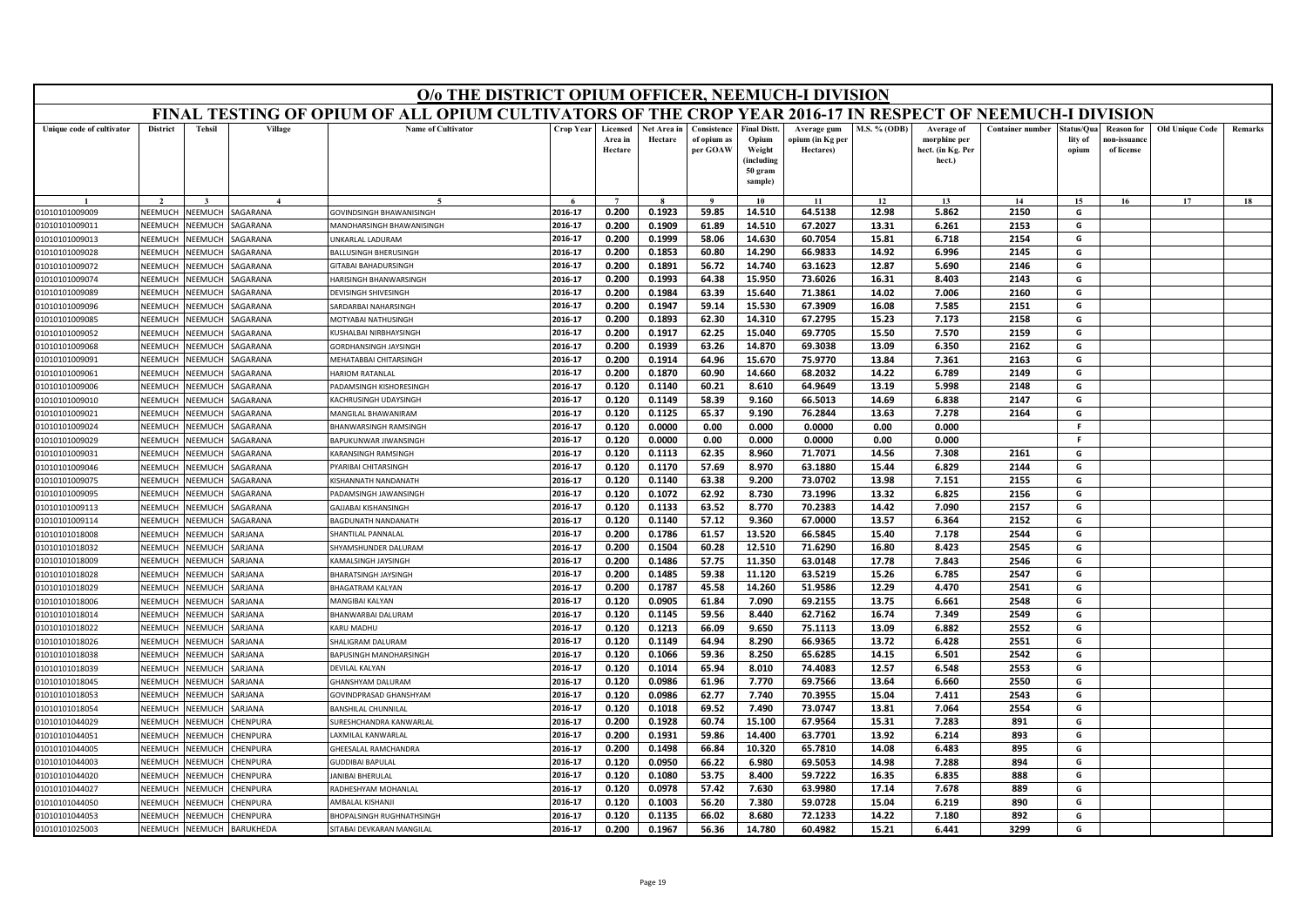|                           |                 |                |                | O/o THE DISTRICT OPIUM OFFICER, NEEMUCH-I DIVISION                                                        |                  |                                |                        |                                        |                                                                            |                                              |                     |                                                           |                         |                                |                                                |                        |         |
|---------------------------|-----------------|----------------|----------------|-----------------------------------------------------------------------------------------------------------|------------------|--------------------------------|------------------------|----------------------------------------|----------------------------------------------------------------------------|----------------------------------------------|---------------------|-----------------------------------------------------------|-------------------------|--------------------------------|------------------------------------------------|------------------------|---------|
|                           |                 |                |                | FINAL TESTING OF OPIUM OF ALL OPIUM CULTIVATORS OF THE CROP YEAR 2016-17 IN RESPECT OF NEEMUCH-I DIVISION |                  |                                |                        |                                        |                                                                            |                                              |                     |                                                           |                         |                                |                                                |                        |         |
| Unique code of cultivator | <b>District</b> | <b>Tehsil</b>  | Village        | <b>Name of Cultivator</b>                                                                                 | <b>Crop Year</b> | Licensed<br>Area in<br>Hectare | Net Area in<br>Hectare | Consistence<br>of opium as<br>per GOAW | <b>Final Distt.</b><br>Opium<br>Weight<br>(including<br>50 gram<br>sample) | Average gum<br>opium (in Kg per<br>Hectares) | <b>M.S. % (ODB)</b> | Average of<br>morphine per<br>hect. (in Kg. Per<br>hect.) | <b>Container number</b> | Status/Qua<br>lity of<br>opium | <b>Reason for</b><br>10n-issuanc<br>of license | <b>Old Unique Code</b> | Remarks |
|                           |                 |                |                |                                                                                                           |                  | $\overline{ }$                 |                        | $\Omega$                               | 10                                                                         | 11                                           | 12                  | 13                                                        | 14                      | 15                             | 16                                             | 17                     | 18      |
| 01010101009009            | NEEMUCH         | NEEMUCH        | SAGARANA       | GOVINDSINGH BHAWANISINGH                                                                                  | 2016-17          | 0.200                          | 0.1923                 | 59.85                                  | 14.510                                                                     | 64.5138                                      | 12.98               | 5.862                                                     | 2150                    | G                              |                                                |                        |         |
| 01010101009011            | NEEMUCH         | NEEMUCH        | SAGARANA       | MANOHARSINGH BHAWANISINGH                                                                                 | 2016-17          | 0.200                          | 0.1909                 | 61.89                                  | 14.510                                                                     | 67.2027                                      | 13.31               | 6.261                                                     | 2153                    | G                              |                                                |                        |         |
| 01010101009013            | <b>SEEMUCH</b>  | NEEMUCH        | SAGARANA       | <b>INKARLAL LADURAM</b>                                                                                   | 2016-17          | 0.200                          | 0.1999                 | 58.06                                  | 14.630                                                                     | 60.7054                                      | 15.81               | 6.718                                                     | 2154                    | G                              |                                                |                        |         |
| 01010101009028            | NEEMUCI         | NEEMUCI        | <b>GARANA</b>  | <b>BALLUSINGH BHERUSINGH</b>                                                                              | 2016-17          | 0.200                          | 0.1853                 | 60.80                                  | 14.290                                                                     | 66.9833                                      | 14.92               | 6.996                                                     | 2145                    | G                              |                                                |                        |         |
| 01010101009072            | NEEMUCH         | NEEMUCH        | <b>GARANA</b>  | GITABAI BAHADURSINGH                                                                                      | 2016-17          | 0.200                          | 0.1891                 | 56.72                                  | 14.740                                                                     | 63.1623                                      | 12.87               | 5.690                                                     | 2146                    | G                              |                                                |                        |         |
| 01010101009074            | NEEMUCH         | NEEMUCH        | SAGARANA       | HARISINGH BHANWARSINGH                                                                                    | 2016-17          | 0.200                          | 0.1993                 | 64.38                                  | 15.950                                                                     | 73.6026                                      | 16.31               | 8.403                                                     | 2143                    | G                              |                                                |                        |         |
| 01010101009089            | NEEMUCI         | NEEMUCH        | SAGARANA       | DEVISINGH SHIVESINGH                                                                                      | 2016-17          | 0.200                          | 0.1984                 | 63.39                                  | 15.640                                                                     | 71.3861                                      | 14.02               | 7.006                                                     | 2160                    | G                              |                                                |                        |         |
| 01010101009096            | NEEMUCH         | <b>NEEMUCH</b> | SAGARANA       | SARDARBAI NAHARSINGH                                                                                      | 2016-17          | 0.200                          | 0.1947                 | 59.14                                  | 15.530                                                                     | 67.3909                                      | 16.08               | 7.585                                                     | 2151                    | G                              |                                                |                        |         |
| 01010101009085            | NEEMUCH         | NEEMUCH        | SAGARANA       | MOTYABAI NATHUSINGH                                                                                       | 2016-17          | 0.200                          | 0.1893                 | 62.30                                  | 14.310                                                                     | 67.2795                                      | 15.23               | 7.173                                                     | 2158                    | G                              |                                                |                        |         |
| 01010101009052            | NEEMUCH         | NEEMUCH        | SAGARANA       | KUSHALBAI NIRBHAYSINGH                                                                                    | 2016-17          | 0.200                          | 0.1917                 | 62.25                                  | 15.040                                                                     | 69.7705                                      | 15.50               | 7.570                                                     | 2159                    | G                              |                                                |                        |         |
| 01010101009068            | NEEMUCH         | <b>NEEMUCH</b> | SAGARANA       | <b>GORDHANSINGH JAYSINGH</b>                                                                              | 2016-17          | 0.200                          | 0.1939                 | 63.26                                  | 14.870                                                                     | 69.3038                                      | 13.09               | 6.350                                                     | 2162                    | G                              |                                                |                        |         |
| 01010101009091            | NEEMUCI         | VEEMUCH        | <b>GARANA</b>  | MEHATABBAI CHITARSINGH                                                                                    | 2016-17          | 0.200                          | 0.1914                 | 64.96                                  | 15.670                                                                     | 75.9770                                      | 13.84               | 7.361                                                     | 2163                    | G                              |                                                |                        |         |
| 01010101009061            | NFFMUCH         | NFFMUCH        | SAGARANA       | <b>HARIOM RATANLAL</b>                                                                                    | 2016-17          | 0.200                          | 0.1870                 | 60.90                                  | 14.660                                                                     | 68.2032                                      | 14.22               | 6.789                                                     | 2149                    | G                              |                                                |                        |         |
| 01010101009006            | NEEMUCI         | VEEMUCH        | SAGARANA       | ADAMSINGH KISHORESINGH                                                                                    | 2016-17          | 0.120                          | 0.1140                 | 60.21                                  | 8.610                                                                      | 64.9649                                      | 13.19               | 5.998                                                     | 2148                    | G                              |                                                |                        |         |
| 01010101009010            | NEEMUCI         | VEEMUCH        | SAGARANA       | KACHRUSINGH UDAYSINGH                                                                                     | 2016-17          | 0.120                          | 0.1149                 | 58.39                                  | 9.160                                                                      | 66.5013                                      | 14.69               | 6.838                                                     | 2147                    | G                              |                                                |                        |         |
| 01010101009021            | NEEMUCH         | NEEMUCH        | SAGARANA       | MANGILAL BHAWANIRAM                                                                                       | 2016-17          | 0.120                          | 0.1125                 | 65.37                                  | 9.190                                                                      | 76.2844                                      | 13.63               | 7.278                                                     | 2164                    | G                              |                                                |                        |         |
| 01010101009024            | NEEMUCH         | NEEMUCH        | SAGARANA       | BHANWARSINGH RAMSINGH                                                                                     | 2016-17          | 0.120                          | 0.0000                 | 0.00                                   | 0.000                                                                      | 0.0000                                       | 0.00                | 0.000                                                     |                         | -F                             |                                                |                        |         |
| 01010101009029            | NEEMUCI         | <b>NEEMUCH</b> | SAGARANA       | BAPUKUNWAR JIWANSINGH                                                                                     | 2016-17          | 0.120                          | 0.0000                 | 0.00                                   | 0.000                                                                      | 0.0000                                       | 0.00                | 0.000                                                     |                         | F.                             |                                                |                        |         |
| 01010101009031            | NFFMUCH         | <b>SEEMUCH</b> | SAGARANA       | KARANSINGH RAMSINGH                                                                                       | 2016-17          | 0.120                          | 0.1113                 | 62.35                                  | 8.960                                                                      | 71.7071                                      | 14.56               | 7.308                                                     | 2161                    | G                              |                                                |                        |         |
| 01010101009046            | NEEMUCH         | NEEMUCH        | SAGARANA       | PYARIBAI CHITARSINGH                                                                                      | 2016-17          | 0.120                          | 0.1170                 | 57.69                                  | 8.970                                                                      | 63.1880                                      | 15.44               | 6.829                                                     | 2144                    | G                              |                                                |                        |         |
| 01010101009075            | VEEMUCI         | <b>JEEMUCH</b> | <b>AGARANA</b> | <b>KISHANNATH NANDANATH</b>                                                                               | 2016-17          | 0.120                          | 0.1140                 | 63.38                                  | 9.200                                                                      | 73.0702                                      | 13.98               | 7.151                                                     | 2155                    | G                              |                                                |                        |         |
| 01010101009095            | NEEMUCH         | NEEMUCH        | <b>GARANA</b>  | PADAMSINGH JAWANSINGH                                                                                     | 2016-17          | 0.120                          | 0.1072                 | 62.92                                  | 8.730                                                                      | 73.1996                                      | 13.32               | 6.825                                                     | 2156                    | G                              |                                                |                        |         |
| 01010101009113            | NFFMUCI         | VEEMUCH        | SAGARANA       | GALIARAI KISHANSINGH                                                                                      | 2016-17          | 0.120                          | 0.1133                 | 63.52                                  | 8.770                                                                      | 70.2383                                      | 14.42               | 7.090                                                     | 2157                    | G                              |                                                |                        |         |
| 01010101009114            | NEEMUCI         | <b>NEEMUCH</b> | SAGARANA       | BAGDUNATH NANDANATH                                                                                       | 2016-17          | 0.120                          | 0.1140                 | 57.12                                  | 9.360                                                                      | 67.0000                                      | 13.57               | 6.364                                                     | 2152                    | G                              |                                                |                        |         |
| 01010101018008            | NEEMUCH         | NEEMUCH        | <b>SARJANA</b> | SHANTILAL PANNALAL                                                                                        | 2016-17          | 0.200                          | 0.1786                 | 61.57                                  | 13.520                                                                     | 66.5845                                      | 15.40               | 7.178                                                     | 2544                    | G                              |                                                |                        |         |
| 01010101018032            | NEEMUCH         | NEEMUCH        | SARIANA        | SHYAMSHUNDER DALURAM                                                                                      | 2016-17          | 0.200                          | 0.1504                 | 60.28                                  | 12.510                                                                     | 71.6290                                      | 16.80               | 8.423                                                     | 2545                    | G                              |                                                |                        |         |
| 01010101018009            | NEEMUCI         | VEEMUCI        | <b>ARJANA</b>  | KAMALSINGH JAYSINGH                                                                                       | 2016-17          | 0.200                          | 0.1486                 | 57.75                                  | 11.350                                                                     | 63.0148                                      | 17.78               | 7.843                                                     | 2546                    | G                              |                                                |                        |         |
| 01010101018028            | NEEMUCH         | VEEMUCH        | SARJANA        | <b>BHARATSINGH JAYSINGH</b>                                                                               | 2016-17          | 0.200                          | 0.1485                 | 59.38                                  | 11.120                                                                     | 63.5219                                      | 15.26               | 6.785                                                     | 2547                    | G                              |                                                |                        |         |
| 01010101018029            | NEEMUCH         | NEEMUCH        | SARJANA        | <b>BHAGATRAM KALYAN</b>                                                                                   | 2016-17          | 0.200                          | 0.1787                 | 45.58                                  | 14.260                                                                     | 51.9586                                      | 12.29               | 4.470                                                     | 2541                    | G                              |                                                |                        |         |
| 01010101018006            | NEEMUCI         | VEEMUCI        | <b>SARJANA</b> | MANGIBAI KALYAN                                                                                           | 2016-17          | 0.120                          | 0.0905                 | 61.84                                  | 7.090                                                                      | 69.2155                                      | 13.75               | 6.661                                                     | 2548                    | G                              |                                                |                        |         |
| 01010101018014            | NEEMUCH         | VEEMUCH        | SARJANA        | BHANWARBAI DALURAM                                                                                        | 2016-17          | 0.120                          | 0.1145                 | 59.56                                  | 8.440                                                                      | 62.7162                                      | 16.74               | 7.349                                                     | 2549                    | G                              |                                                |                        |         |
| 01010101018022            | NEEMUCH         | NEEMUCH        | SARJANA        | KARU MADHU                                                                                                | 2016-17          | 0.120                          | 0.1213                 | 66.09                                  | 9.650                                                                      | 75.1113                                      | 13.09               | 6.882                                                     | 2552                    | G                              |                                                |                        |         |
| 01010101018026            | NEEMUCI         | NEEMUCI        | <b>SARJANA</b> | SHALIGRAM DALURAM                                                                                         | 2016-17          | 0.120                          | 0.1149                 | 64.94                                  | 8.290                                                                      | 66.9365                                      | 13.72               | 6.428                                                     | 2551                    | G                              |                                                |                        |         |
| 01010101018038            | NEEMUCH         | NEEMUCH        | SARJANA        | BAPUSINGH MANOHARSINGH                                                                                    | 2016-17          | 0.120                          | 0.1066                 | 59.36                                  | 8.250                                                                      | 65.6285                                      | 14.15               | 6.501                                                     | 2542                    | G                              |                                                |                        |         |
| 01010101018039            | VEEMUCI         | VEEMUCI        | SARJANA        | DEVILAL KALYAN                                                                                            | 2016-17          | 0.120                          | 0.1014                 | 65.94                                  | 8.010                                                                      | 74.4083                                      | 12.57               | 6.548                                                     | 2553                    | G                              |                                                |                        |         |
| 01010101018045            | <b>NFFMUCH</b>  | NEEMUCH        | <b>SARJANA</b> | GHANSHYAM DALURAM                                                                                         | 2016-17          | 0.120                          | 0.0986                 | 61.96                                  | 7.770                                                                      | 69.7566                                      | 13.64               | 6.660                                                     | 2550                    | G                              |                                                |                        |         |
| 01010101018053            | NEEMUCH         | VEEMUCH        | <b>SARJANA</b> | GOVINDPRASAD GHANSHYAM                                                                                    | 2016-17          | 0.120                          | 0.0986                 | 62.77                                  | 7.740                                                                      | 70.3955                                      | 15.04               | 7.411                                                     | 2543                    | G                              |                                                |                        |         |
| 01010101018054            | VEEMUCH         | VEEMUCH        | <b>GARJANA</b> | BANSHILAL CHUNNILAI                                                                                       | 2016-17          | 0.120                          | 0.1018                 | 69.52                                  | 7.490                                                                      | 73.0747                                      | 13.81               | 7.064                                                     | 2554                    | G                              |                                                |                        |         |
| 01010101044029            | NEEMUCH         | VEEMUCH        | <b>HENPURA</b> | SURESHCHANDRA KANWARLAL                                                                                   | 2016-17          | 0.200                          | 0.1928                 | 60.74                                  | 15.100                                                                     | 67.9564                                      | 15.31               | 7.283                                                     | 891                     | G                              |                                                |                        |         |
| 01010101044051            | NEEMUCH         | <b>NEEMUCH</b> | CHENPURA       | AXMILAL KANWARLAI                                                                                         | 2016-17          | 0.200                          | 0.1931                 | 59.86                                  | 14.400                                                                     | 63.7701                                      | 13.92               | 6.214                                                     | 893                     | G                              |                                                |                        |         |
| 01010101044005            | <b>NEEMUCI</b>  | IEEMUCH        | <b>HENPURA</b> | <b>GHEESALAL RAMCHANDRA</b>                                                                               | 2016-17          | 0.200                          | 0.1498                 | 66.84                                  | 10.320                                                                     | 65.7810                                      | 14.08               | 6.483                                                     | 895                     | G                              |                                                |                        |         |
| 01010101044003            | <b>NFFMUCH</b>  | NFFMUCH        | <b>HENPURA</b> | GUDDIBAI BAPULAI                                                                                          | 2016-17          | 0.120                          | 0.0950                 | 66.22                                  | 6.980                                                                      | 69.5053                                      | 14.98               | 7.288                                                     | 894                     | G                              |                                                |                        |         |
| 01010101044020            | NEEMUCH         | VEEMUCH        | CHENPURA       | ANIBAI BHFRULAL                                                                                           | 2016-17          | 0.120                          | 0.1080                 | 53.75                                  | 8.400                                                                      | 59.7222                                      | 16.35               | 6.835                                                     | 888                     | G                              |                                                |                        |         |
| 01010101044027            | VEEMUCI         | VEEMUCH        | <b>HENPURA</b> | RADHESHYAM MOHANLAL                                                                                       | 2016-17          | 0.120                          | 0.0978                 | 57.42                                  | 7.630                                                                      | 63.9980                                      | 17.14               | 7.678                                                     | 889                     | G                              |                                                |                        |         |
| 01010101044050            | NEEMUCH         | VEEMUCI        | <b>HENPURA</b> | AMBALAL KISHANI                                                                                           | 2016-17          | 0.120                          | 0.1003                 | 56.20                                  | 7.380                                                                      | 59.0728                                      | 15.04               | 6.219                                                     | 890                     | G                              |                                                |                        |         |
| 01010101044053            | NEEMUCH         | NEEMUCH        | CHENPURA       | BHOPALSINGH RUGHNATHSINGH                                                                                 | 2016-17          | 0.120                          | 0.1135                 | 66.02                                  | 8.680                                                                      | 72.1233                                      | 14.22               | 7.180                                                     | 892                     | G                              |                                                |                        |         |
| 01010101025003            | NEEMUCH         | NEEMUCH        | BARUKHEDA      | SITABAI DEVKARAN MANGILAI                                                                                 | 2016-17          | 0.200                          | 0.1967                 | 56.36                                  | 14.780                                                                     | 60.4982                                      | 15.21               | 6.441                                                     | 3299                    | G                              |                                                |                        |         |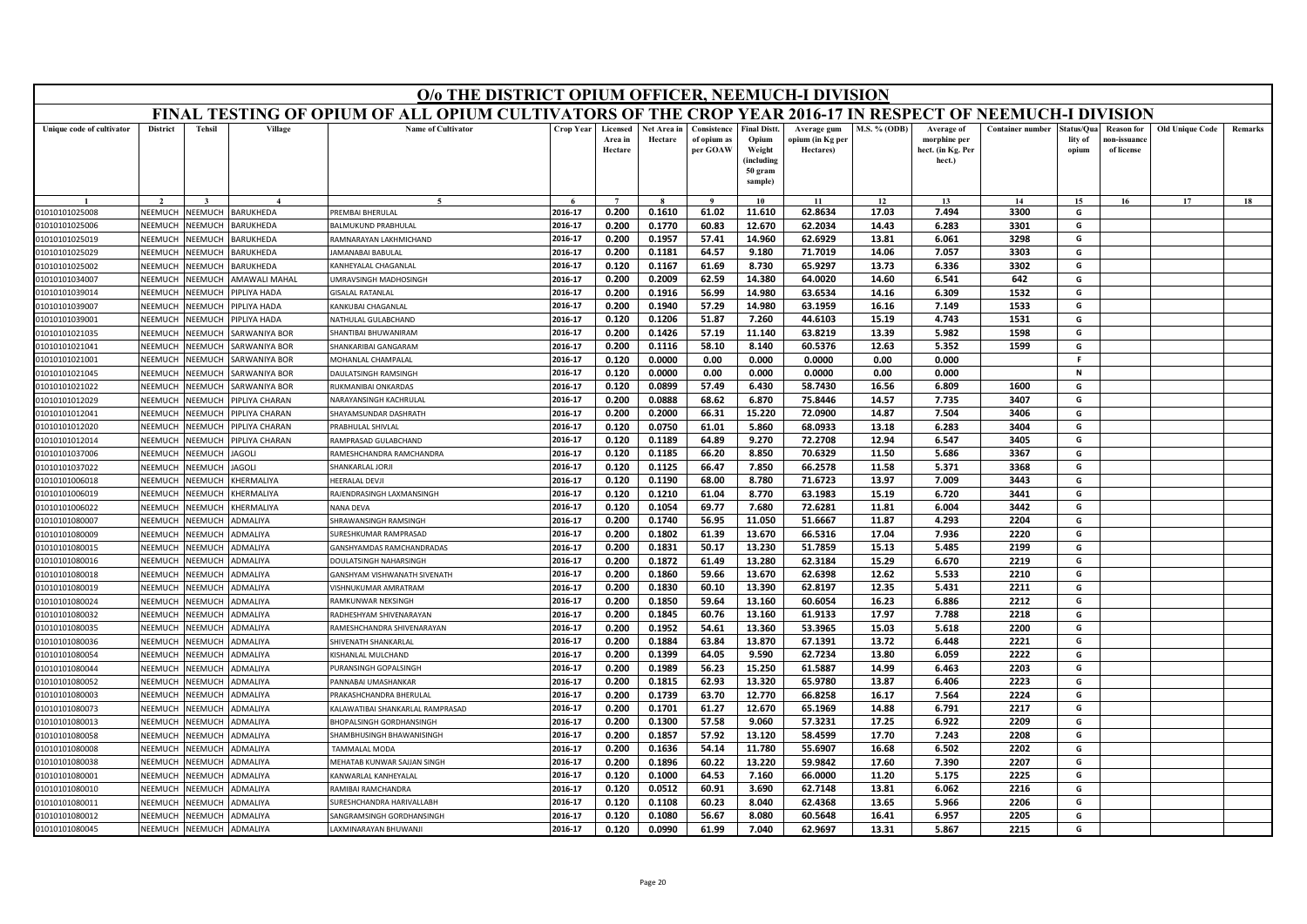|                                  |                    |                    |                       | O/o THE DISTRICT OPIUM OFFICER, NEEMUCH-I DIVISION                                                        |                    |                                |                        |                                        |                                                                            |                                              |                     |                                                           |                         |                               |                                                |                        |         |
|----------------------------------|--------------------|--------------------|-----------------------|-----------------------------------------------------------------------------------------------------------|--------------------|--------------------------------|------------------------|----------------------------------------|----------------------------------------------------------------------------|----------------------------------------------|---------------------|-----------------------------------------------------------|-------------------------|-------------------------------|------------------------------------------------|------------------------|---------|
|                                  |                    |                    |                       | FINAL TESTING OF OPIUM OF ALL OPIUM CULTIVATORS OF THE CROP YEAR 2016-17 IN RESPECT OF NEEMUCH-I DIVISION |                    |                                |                        |                                        |                                                                            |                                              |                     |                                                           |                         |                               |                                                |                        |         |
| Unique code of cultivator        | <b>District</b>    | <b>Tehsil</b>      | Village               | <b>Name of Cultivator</b>                                                                                 | Crop Year          | Licensed<br>Area in<br>Hectare | Net Area in<br>Hectare | Consistence<br>of opium as<br>per GOAW | <b>Final Distt.</b><br>Opium<br>Weight<br>(including<br>50 gram<br>sample) | Average gum<br>opium (in Kg per<br>Hectares) | <b>M.S. % (ODB)</b> | Average of<br>morphine per<br>hect. (in Kg. Per<br>hect.) | <b>Container number</b> | tatus/Qua<br>lity of<br>opium | <b>Reason for</b><br>10n-issuanc<br>of license | <b>Old Unique Code</b> | Remarks |
|                                  |                    |                    |                       |                                                                                                           |                    |                                |                        |                                        | 10                                                                         | 11                                           | 12                  | 13                                                        | 14                      | 15                            | 16                                             | 17                     | 18      |
| 01010101025008                   | <b>NEEMUCH</b>     | NEEMUCH            | BARUKHEDA             | PREMBAI BHERULAL                                                                                          | 2016-17            | 0.200                          | 0.1610                 | 61.02                                  | 11.610                                                                     | 62.8634                                      | 17.03               | 7.494                                                     | 3300                    | G                             |                                                |                        |         |
| 01010101025006                   | NEEMUCH            | NEEMUCH            | BARUKHEDA             | BALMUKUND PRABHULAL                                                                                       | 2016-17            | 0.200                          | 0.1770                 | 60.83                                  | 12.670                                                                     | 62.2034                                      | 14.43               | 6.283                                                     | 3301                    | G                             |                                                |                        |         |
| 01010101025019                   | NEEMUCH            | NEEMUCH            | BARUKHEDA             | RAMNARAYAN LAKHMICHAND                                                                                    | 2016-17            | 0.200                          | 0.1957                 | 57.41                                  | 14.960                                                                     | 62.6929                                      | 13.81               | 6.061                                                     | 3298                    | G                             |                                                |                        |         |
| 01010101025029                   | NEEMUCH            | NEEMUCH            | BARUKHEDA             | JAMANABAI BABULAL                                                                                         | 2016-17            | 0.200                          | 0.1181                 | 64.57                                  | 9.180                                                                      | 71.7019                                      | 14.06               | 7.057                                                     | 3303                    | G                             |                                                |                        |         |
| 01010101025002                   | NEEMUCH            | NEEMUCH            | BARUKHEDA             | KANHEYALAL CHAGANLAL                                                                                      | 2016-17            | 0.120                          | 0.1167                 | 61.69                                  | 8.730                                                                      | 65.9297                                      | 13.73               | 6.336                                                     | 3302                    | G                             |                                                |                        |         |
| 01010101034007                   | NEEMUCH            | NEEMUCH            | AMAWALI MAHAL         | <b>JMRAVSINGH MADHOSINGH</b>                                                                              | 2016-17            | 0.200                          | 0.2009                 | 62.59                                  | 14.380                                                                     | 64.0020                                      | 14.60               | 6.541                                                     | 642                     | G                             |                                                |                        |         |
| 01010101039014                   | NEEMUCH            | NEEMUCH            | PIPLIYA HADA          | <b>GISALAL RATANLAL</b>                                                                                   | 2016-17            | 0.200                          | 0.1916                 | 56.99                                  | 14.980                                                                     | 63.6534                                      | 14.16               | 6.309                                                     | 1532                    | G                             |                                                |                        |         |
| 01010101039007                   | NEEMUCI            | NEEMUCH            | PIPLIYA HADA          | KANKUBAI CHAGANLAL                                                                                        | 2016-17            | 0.200                          | 0.1940                 | 57.29                                  | 14.980                                                                     | 63.1959                                      | 16.16               | 7.149                                                     | 1533                    | G                             |                                                |                        |         |
| 01010101039001                   | NEEMUCH            | NEEMUCH            | PIPLIYA HADA          | NATHULAL GULABCHAND                                                                                       | 2016-17            | 0.120                          | 0.1206                 | 51.87                                  | 7.260                                                                      | 44.6103                                      | 15.19               | 4.743                                                     | 1531                    | G                             |                                                |                        |         |
| 01010101021035                   | NEEMUCH            | NEEMUCH            | SARWANIYA BOR         | SHANTIBAI BHUWANIRAM                                                                                      | 2016-17            | 0.200                          | 0.1426                 | 57.19                                  | 11.140                                                                     | 63.8219                                      | 13.39               | 5.982                                                     | 1598                    | G                             |                                                |                        |         |
| 01010101021041                   | NEEMUCH            | NEEMUCH            | SARWANIYA BOR         | SHANKARIBAI GANGARAM                                                                                      | 2016-17            | 0.200                          | 0.1116                 | 58.10                                  | 8.140                                                                      | 60.5376                                      | 12.63               | 5.352                                                     | 1599                    | G                             |                                                |                        |         |
| 01010101021001                   | NEEMUCI            | VEEMUCH            | SARWANIYA BOR         | MOHANLAL CHAMPALAL                                                                                        | 2016-17            | 0.120                          | 0.0000                 | 0.00                                   | 0.000                                                                      | 0.0000                                       | 0.00                | 0.000                                                     |                         | F                             |                                                |                        |         |
| 01010101021045                   | NEEMUCH            | NEEMUCH            | <b>SARWANIYA BOR</b>  | DAULATSINGH RAMSINGH                                                                                      | 2016-17            | 0.120                          | 0.0000                 | 0.00                                   | 0.000                                                                      | 0.0000                                       | 0.00                | 0.000                                                     |                         | $\mathbf N$                   |                                                |                        |         |
| 01010101021022                   | NEEMUCH            | NEEMUCH            | SARWANIYA BOR         | RUKMANIBAI ONKARDAS                                                                                       | 2016-17            | 0.120                          | 0.0899                 | 57.49                                  | 6.430                                                                      | 58.7430                                      | 16.56               | 6.809                                                     | 1600                    | G                             |                                                |                        |         |
| 01010101012029                   | NEEMUCI            | VEEMUCH            | <b>PIPLIYA CHARAN</b> | NARAYANSINGH KACHRULAL                                                                                    | 2016-17            | 0.200                          | 0.0888                 | 68.62                                  | 6.870                                                                      | 75.8446                                      | 14.57               | 7.735                                                     | 3407                    | G                             |                                                |                        |         |
| 01010101012041                   | NEEMUCH            | NEEMUCH            | PIPLIYA CHARAN        | SHAYAMSUNDAR DASHRATH                                                                                     | 2016-17            | 0.200                          | 0.2000                 | 66.31                                  | 15.220                                                                     | 72.0900                                      | 14.87               | 7.504                                                     | 3406                    | G                             |                                                |                        |         |
| 01010101012020                   | NEEMUCH            | NEEMUCH            | PIPLIYA CHARAN        | PRABHULAL SHIVLAL                                                                                         | 2016-17            | 0.120                          | 0.0750                 | 61.01                                  | 5.860                                                                      | 68.0933                                      | 13.18               | 6.283                                                     | 3404                    | G                             |                                                |                        |         |
| 01010101012014                   | NEEMUCI            | VEEMUCH            | PIPLIYA CHARAN        | RAMPRASAD GULABCHAND                                                                                      | 2016-17            | 0.120                          | 0.1189                 | 64.89                                  | 9.270                                                                      | 72.2708                                      | 12.94               | 6.547                                                     | 3405                    | G                             |                                                |                        |         |
| 01010101037006                   | NEEMUCH            | NEEMUCH            | <b>JAGOLI</b>         | RAMESHCHANDRA RAMCHANDRA                                                                                  | 2016-17            | 0.120                          | 0.1185                 | 66.20                                  | 8.850                                                                      | 70.6329                                      | 11.50               | 5.686                                                     | 3367                    | G                             |                                                |                        |         |
| 01010101037022                   | NEEMUCH            | NEEMUCH            | <b>JAGOLI</b>         | SHANKARLAL JORJI                                                                                          | 2016-17            | 0.120                          | 0.1125                 | 66.47                                  | 7.850                                                                      | 66.2578                                      | 11.58               | 5.371                                                     | 3368                    | G                             |                                                |                        |         |
| 01010101006018                   | NEEMUCI            | VEEMUCI            | <b>CHERMALIYA</b>     | HEERALAL DEVJI                                                                                            | 2016-17            | 0.120                          | 0.1190                 | 68.00                                  | 8.780                                                                      | 71.6723                                      | 13.97               | 7.009                                                     | 3443                    | G                             |                                                |                        |         |
| 01010101006019                   | NEEMUCH            | NEEMUCH            | KHERMALIYA            | RAJENDRASINGH LAXMANSINGH<br>NANA DEVA                                                                    | 2016-17<br>2016-17 | 0.120                          | 0.1210                 | 61.04                                  | 8.770<br>7.680                                                             | 63.1983<br>72.6281                           | 15.19               | 6.720<br>6.004                                            | 3441<br>3442            | G<br>G                        |                                                |                        |         |
| 01010101006022                   | NEEMUCH            | VEEMUCH            | KHERMALIYA            |                                                                                                           | 2016-17            | 0.120<br>0.200                 | 0.1054<br>0.1740       | 69.77<br>56.95                         | 11.050                                                                     | 51.6667                                      | 11.81<br>11.87      | 4.293                                                     | 2204                    | G                             |                                                |                        |         |
| 01010101080007                   | NEEMUC             | VEEMUCI            | ADMALIYA              | SHRAWANSINGH RAMSINGH                                                                                     | 2016-17            | 0.200                          | 0.1802                 | 61.39                                  | 13.670                                                                     | 66.5316                                      | 17.04               | 7.936                                                     | 2220                    | G                             |                                                |                        |         |
| 01010101080009<br>01010101080015 | NEEMUCH<br>NEEMUCH | NEEMUCH<br>NEEMUCH | ADMALIYA<br>ADMALIYA  | SURESHKUMAR RAMPRASAD                                                                                     | 2016-17            | 0.200                          | 0.1831                 | 50.17                                  | 13.230                                                                     | 51.7859                                      | 15.13               | 5.485                                                     | 2199                    | G                             |                                                |                        |         |
|                                  | NEEMUCI            | VEEMUCI            |                       | GANSHYAMDAS RAMCHANDRADAS                                                                                 | 2016-17            | 0.200                          | 0.1872                 | 61.49                                  | 13.280                                                                     | 62.3184                                      | 15.29               | 6.670                                                     | 2219                    | G                             |                                                |                        |         |
| 01010101080016<br>01010101080018 | NEEMUCH            | NEEMUCH            | ADMALIYA<br>ADMALIYA  | DOULATSINGH NAHARSINGH<br>GANSHYAM VISHWANATH SIVENATH                                                    | 2016-17            | 0.200                          | 0.1860                 | 59.66                                  | 13.670                                                                     | 62.6398                                      | 12.62               | 5.533                                                     | 2210                    | G                             |                                                |                        |         |
| 01010101080019                   | NEEMUCH            | NEEMUCH            | <b>ADMALIYA</b>       | VISHNUKUMAR AMRATRAM                                                                                      | 2016-17            | 0.200                          | 0.1830                 | 60.10                                  | 13.390                                                                     | 62.8197                                      | 12.35               | 5.431                                                     | 2211                    | G                             |                                                |                        |         |
| 01010101080024                   | NEEMUCI            | NEEMUCH            | <b>ADMALIYA</b>       | RAMKUNWAR NEKSINGH                                                                                        | 2016-17            | 0.200                          | 0.1850                 | 59.64                                  | 13.160                                                                     | 60.6054                                      | 16.23               | 6.886                                                     | 2212                    | G                             |                                                |                        |         |
| 01010101080032                   | NEEMUCH            | <b>NEEMUCH</b>     | ADMALIYA              | RADHESHYAM SHIVENARAYAN                                                                                   | 2016-17            | 0.200                          | 0.1845                 | 60.76                                  | 13.160                                                                     | 61.9133                                      | 17.97               | 7.788                                                     | 2218                    | G                             |                                                |                        |         |
| 01010101080035                   | NEEMUCH            | NEEMUCH            | ADMALIYA              | RAMESHCHANDRA SHIVENARAYAN                                                                                | 2016-17            | 0.200                          | 0.1952                 | 54.61                                  | 13.360                                                                     | 53.3965                                      | 15.03               | 5.618                                                     | 2200                    | G                             |                                                |                        |         |
| 01010101080036                   | NEEMUCH            | NEEMUCH            | ADMALIYA              | SHIVENATH SHANKARLAL                                                                                      | 2016-17            | 0.200                          | 0.1884                 | 63.84                                  | 13.870                                                                     | 67.1391                                      | 13.72               | 6.448                                                     | 2221                    | G                             |                                                |                        |         |
| 01010101080054                   | NEEMUCH            | NEEMUCH            | ADMALIYA              | <b>KISHANLAL MULCHAND</b>                                                                                 | 2016-17            | 0.200                          | 0.1399                 | 64.05                                  | 9.590                                                                      | 62.7234                                      | 13.80               | 6.059                                                     | 2222                    | G                             |                                                |                        |         |
| 01010101080044                   | NEEMUCH            | NEEMUCH            | ADMALIYA              | PURANSINGH GOPALSINGH                                                                                     | 2016-17            | 0.200                          | 0.1989                 | 56.23                                  | 15.250                                                                     | 61.5887                                      | 14.99               | 6.463                                                     | 2203                    | G                             |                                                |                        |         |
| 01010101080052                   | NEEMUCH            | NEEMUCH            | ADMALIYA              | PANNABAI UMASHANKAR                                                                                       | 2016-17            | 0.200                          | 0.1815                 | 62.93                                  | 13.320                                                                     | 65.9780                                      | 13.87               | 6.406                                                     | 2223                    | G                             |                                                |                        |         |
| 01010101080003                   | NEEMUCH            | <b>NEEMUCH</b>     | <b>ADMALIYA</b>       | PRAKASHCHANDRA BHERULAI                                                                                   | 2016-17            | 0.200                          | 0.1739                 | 63.70                                  | 12.770                                                                     | 66.8258                                      | 16.17               | 7.564                                                     | 2224                    | G                             |                                                |                        |         |
| 01010101080073                   | VEEMUCH            | VEEMUCH            | ADMALIYA              | KALAWATIBAI SHANKARLAL RAMPRASAD                                                                          | 2016-17            | 0.200                          | 0.1701                 | 61.27                                  | 12.670                                                                     | 65.1969                                      | 14.88               | 6.791                                                     | 2217                    | G                             |                                                |                        |         |
| 01010101080013                   | NEEMUCH            | VEEMUCH            | ADMALIYA              | BHOPALSINGH GORDHANSINGH                                                                                  | 2016-17            | 0.200                          | 0.1300                 | 57.58                                  | 9.060                                                                      | 57.3231                                      | 17.25               | 6.922                                                     | 2209                    | G                             |                                                |                        |         |
| 01010101080058                   | NEEMUCH            | NEEMUCH            | ADMALIYA              | SHAMBHUSINGH BHAWANISINGH                                                                                 | 2016-17            | 0.200                          | 0.1857                 | 57.92                                  | 13.120                                                                     | 58.4599                                      | 17.70               | 7.243                                                     | 2208                    | G                             |                                                |                        |         |
| 01010101080008                   | VEEMUCI            | VEEMUCH            | ADMALIYA              | <b>TAMMALAL MODA</b>                                                                                      | 2016-17            | 0.200                          | 0.1636                 | 54.14                                  | 11.780                                                                     | 55.6907                                      | 16.68               | 6.502                                                     | 2202                    | G                             |                                                |                        |         |
| 01010101080038                   | <b>NFFMUCH</b>     | NEEMUCI            | <b>ADMALIYA</b>       | MEHATAB KUNWAR SAJJAN SINGH                                                                               | 2016-17            | 0.200                          | 0.1896                 | 60.22                                  | 13.220                                                                     | 59.9842                                      | 17.60               | 7.390                                                     | 2207                    | G                             |                                                |                        |         |
| 01010101080001                   | NEEMUCH            | VEEMUCH            | ADMALIYA              | KANWARLAL KANHEYALAL                                                                                      | 2016-17            | 0.120                          | 0.1000                 | 64.53                                  | 7.160                                                                      | 66.0000                                      | 11.20               | 5.175                                                     | 2225                    | G                             |                                                |                        |         |
| 01010101080010                   | VEEMUCI            | VEEMUCH            | ADMALIYA              | RAMIBAI RAMCHANDRA                                                                                        | 2016-17            | 0.120                          | 0.0512                 | 60.91                                  | 3.690                                                                      | 62.7148                                      | 13.81               | 6.062                                                     | 2216                    | G                             |                                                |                        |         |
| 01010101080011                   | NEEMUCH            | VEEMUCI            | <b>IDMALIYA</b>       | SURESHCHANDRA HARIVALLABH                                                                                 | 2016-17            | 0.120                          | 0.1108                 | 60.23                                  | 8.040                                                                      | 62.4368                                      | 13.65               | 5.966                                                     | 2206                    | G                             |                                                |                        |         |
| 01010101080012                   | NEEMUCH            | NEEMUCH            | ADMALIYA              | SANGRAMSINGH GORDHANSINGH                                                                                 | 2016-17            | 0.120                          | 0.1080                 | 56.67                                  | 8.080                                                                      | 60.5648                                      | 16.41               | 6.957                                                     | 2205                    | G                             |                                                |                        |         |
| 01010101080045                   | NEEMUCH            | NEEMUCH            | ADMALIYA              | AXMINARAYAN BHUWANJI                                                                                      | 2016-17            | 0.120                          | 0.0990                 | 61.99                                  | 7.040                                                                      | 62.9697                                      | 13.31               | 5.867                                                     | 2215                    | G                             |                                                |                        |         |
|                                  |                    |                    |                       |                                                                                                           |                    |                                |                        |                                        |                                                                            |                                              |                     |                                                           |                         |                               |                                                |                        |         |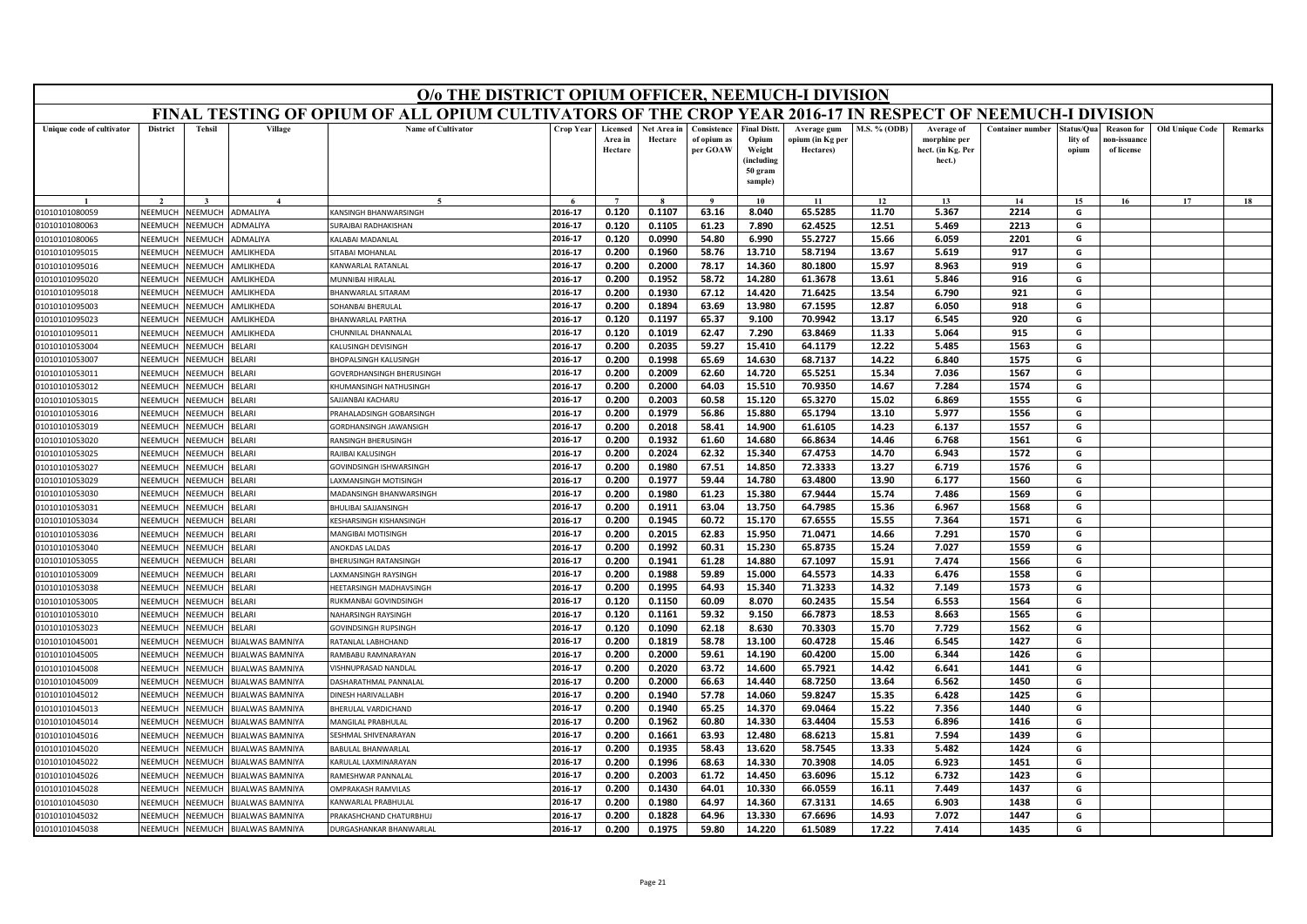|                                  | O/o THE DISTRICT OPIUM OFFICER, NEEMUCH-I DIVISION<br>FINAL TESTING OF OPIUM OF ALL OPIUM CULTIVATORS OF THE CROP YEAR 2016-17 IN RESPECT OF NEEMUCH-I DIVISION |                                  |                         |                                                    |                    |                                |                        |                                        |                                                                           |                                              |                     |                                                           |                         |                               |                                                |                        |         |
|----------------------------------|-----------------------------------------------------------------------------------------------------------------------------------------------------------------|----------------------------------|-------------------------|----------------------------------------------------|--------------------|--------------------------------|------------------------|----------------------------------------|---------------------------------------------------------------------------|----------------------------------------------|---------------------|-----------------------------------------------------------|-------------------------|-------------------------------|------------------------------------------------|------------------------|---------|
|                                  |                                                                                                                                                                 |                                  |                         |                                                    |                    |                                |                        |                                        |                                                                           |                                              |                     |                                                           |                         |                               |                                                |                        |         |
| Unique code of cultivator        | <b>District</b>                                                                                                                                                 | <b>Tehsil</b>                    | Village                 | <b>Name of Cultivator</b>                          | Crop Year          | Licensed<br>Area in<br>Hectare | Net Area in<br>Hectare | Consistence<br>of opium as<br>per GOAW | <b>Final Distt</b><br>Opium<br>Weight<br>(including<br>50 gram<br>sample) | Average gum<br>opium (in Kg per<br>Hectares) | <b>M.S. % (ODB)</b> | Average of<br>morphine per<br>hect. (in Kg. Per<br>hect.) | <b>Container number</b> | tatus/Qua<br>lity of<br>opium | <b>Reason</b> for<br>10n-issuanc<br>of license | <b>Old Unique Code</b> | Remarks |
|                                  |                                                                                                                                                                 |                                  |                         |                                                    |                    |                                |                        |                                        |                                                                           | 11                                           | 12                  | 13                                                        | 14                      | 15                            | 16                                             | 17                     | 18      |
| 01010101080059                   | NEEMUCH                                                                                                                                                         | <b>NEEMUCH</b>                   | ADMALIYA                | KANSINGH BHANWARSINGH                              | 2016-17            | 0.120                          | 0.1107                 | 63.16                                  | 8.040                                                                     | 65.5285                                      | 11.70               | 5.367                                                     | 2214                    | G                             |                                                |                        |         |
| 01010101080063                   | NEEMUCH                                                                                                                                                         | <b>JEEMUCH</b>                   | <b>DMALIYA</b>          | URAJBAI RADHAKISHAN                                | 2016-17            | 0.120                          | 0.1105                 | 61.23                                  | 7.890                                                                     | 62.4525                                      | 12.51               | 5.469                                                     | 2213                    | G                             |                                                |                        |         |
| 01010101080065                   | NEEMUCH                                                                                                                                                         | <b>NEEMUCH</b>                   | <b>ADMALIYA</b>         | ALABAI MADANLAL                                    | 2016-17            | 0.120                          | 0.0990                 | 54.80                                  | 6.990                                                                     | 55.2727                                      | 15.66               | 6.059                                                     | 2201                    | G                             |                                                |                        |         |
| 01010101095015                   | <b>NEEMUCH</b>                                                                                                                                                  | <b>NEEMUCH</b>                   | AMLIKHEDA               | <b>SITABAI MOHANLAL</b>                            | 2016-17            | 0.200                          | 0.1960                 | 58.76                                  | 13.710                                                                    | 58.7194                                      | 13.67               | 5.619                                                     | 917                     | G                             |                                                |                        |         |
| 01010101095016                   | NEEMUCH                                                                                                                                                         | <b>JEEMUCH</b>                   | <b>MLIKHEDA</b>         | KANWARLAL RATANLAL                                 | 2016-17            | 0.200                          | 0.2000                 | 78.17                                  | 14.360                                                                    | 80.1800                                      | 15.97               | 8.963                                                     | 919                     | G                             |                                                |                        |         |
| 01010101095020                   | NEEMUCH                                                                                                                                                         | <b>JEEMUCH</b>                   | MLIKHEDA                | <b>MUNNIBAI HIRALAI</b>                            | 2016-17            | 0.200                          | 0.1952                 | 58.72                                  | 14.280                                                                    | 61.3678                                      | 13.61               | 5.846                                                     | 916                     | G                             |                                                |                        |         |
| 01010101095018                   | NFFMUCH                                                                                                                                                         | <b>JEEMUCH</b>                   | <b>MLIKHEDA</b>         | BHANWARLAL SITARAM                                 | 2016-17            | 0.200                          | 0.1930                 | 67.12                                  | 14.420                                                                    | 71.6425                                      | 13.54               | 6.790                                                     | 921                     | G                             |                                                |                        |         |
| 01010101095003                   | NEEMUCH                                                                                                                                                         | <b>JEEMUCH</b>                   | MLIKHEDA                | OHANBAI BHERULAL                                   | 2016-17            | 0.200                          | 0.1894                 | 63.69                                  | 13.980                                                                    | 67.1595                                      | 12.87               | 6.050                                                     | 918                     | G                             |                                                |                        |         |
| 01010101095023                   | NEEMUCH                                                                                                                                                         | <b>JEEMUC</b>                    | MLIKHEDA                | <b>HANWARLAL PARTHA</b>                            | 2016-17            | 0.120                          | 0.1197                 | 65.37                                  | 9.100                                                                     | 70.9942                                      | 13.17               | 6.545                                                     | 920                     | G                             |                                                |                        |         |
| 01010101095011                   | NEEMUCH                                                                                                                                                         | <b>NEEMUCH</b>                   | AMLIKHEDA               | HUNNILAL DHANNALAI                                 | 2016-17            | 0.120                          | 0.1019                 | 62.47                                  | 7.290                                                                     | 63.8469                                      | 11.33               | 5.064                                                     | 915                     | G                             |                                                |                        |         |
| 01010101053004                   | NEEMUCH                                                                                                                                                         | IEEMUCH                          | <b>BELARI</b>           | (ALUSINGH DEVISINGH                                | 2016-17            | 0.200                          | 0.2035                 | 59.27                                  | 15.410                                                                    | 64.1179                                      | 12.22               | 5.485                                                     | 1563                    | G                             |                                                |                        |         |
| 01010101053007                   | NEEMUCH                                                                                                                                                         | <b>JEEMUCH</b>                   | <b>BELARI</b>           | <b>HOPALSINGH KALUSINGH</b>                        | 2016-17            | 0.200                          | 0.1998                 | 65.69                                  | 14.630                                                                    | 68.7137                                      | 14.22               | 6.840                                                     | 1575                    | G                             |                                                |                        |         |
| 01010101053011                   | NEEMUCH                                                                                                                                                         | VEEMUCH                          | <b>BELARI</b>           | GOVERDHANSINGH BHERUSINGH                          | 2016-17            | 0.200                          | 0.2009                 | 62.60                                  | 14.720                                                                    | 65.5251                                      | 15.34               | 7.036                                                     | 1567                    | G                             |                                                |                        |         |
| 01010101053012                   | NEEMUCH                                                                                                                                                         | <b>JEEMUCH</b>                   | BELARI                  | (HUMANSINGH NATHUSINGH                             | 2016-17            | 0.200                          | 0.2000                 | 64.03                                  | 15.510                                                                    | 70.9350                                      | 14.67               | 7.284                                                     | 1574                    | G                             |                                                |                        |         |
| 01010101053015                   | NEEMUCH                                                                                                                                                         | <b>JEEMUCH</b>                   | <b>BELARI</b>           | <b>AJJANBAI KACHARU</b>                            | 2016-17            | 0.200                          | 0.2003                 | 60.58                                  | 15.120                                                                    | 65.3270                                      | 15.02               | 6.869                                                     | 1555                    | G                             |                                                |                        |         |
| 01010101053016                   | NEEMUCH                                                                                                                                                         | <b>JEEMUCH</b>                   | <b>BELARI</b>           | PRAHALADSINGH GOBARSINGH                           | 2016-17            | 0.200                          | 0.1979                 | 56.86                                  | 15.880                                                                    | 65.1794                                      | 13.10               | 5.977                                                     | 1556                    | G                             |                                                |                        |         |
| 01010101053019                   | NFFMUCH                                                                                                                                                         | <b>JEEMUCH</b>                   | <b>SFLARI</b>           | GORDHANSINGH JAWANSIGH                             | 2016-17            | 0.200                          | 0.2018                 | 58.41                                  | 14.900                                                                    | 61.6105                                      | 14.23               | 6.137                                                     | 1557                    | G                             |                                                |                        |         |
| 01010101053020                   | NEEMUCH                                                                                                                                                         | <b>NEEMUCH</b>                   | <b>BELARI</b>           | RANSINGH BHERUSINGH                                | 2016-17            | 0.200                          | 0.1932                 | 61.60                                  | 14.680                                                                    | 66.8634                                      | 14.46               | 6.768                                                     | 1561                    | G                             |                                                |                        |         |
| 01010101053025                   | NEEMUCH                                                                                                                                                         | <b>JEEMUCH</b>                   | <b>BELARI</b>           | RAJIBAI KALUSINGH                                  | 2016-17            | 0.200                          | 0.2024                 | 62.32                                  | 15.340                                                                    | 67.4753                                      | 14.70               | 6.943                                                     | 1572                    | G                             |                                                |                        |         |
| 01010101053027                   | NEEMUCH                                                                                                                                                         | <b>NEEMUCH</b>                   | <b>BELARI</b>           | GOVINDSINGH ISHWARSINGH                            | 2016-17            | 0.200                          | 0.1980                 | 67.51                                  | 14.850                                                                    | 72.3333                                      | 13.27               | 6.719                                                     | 1576                    | G                             |                                                |                        |         |
| 01010101053029                   | NEEMUCH                                                                                                                                                         | <b>JEEMUCH</b>                   | ELARI                   | AXMANSINGH MOTISINGH                               | 2016-17            | 0.200                          | 0.1977                 | 59.44                                  | 14.780                                                                    | 63.4800                                      | 13.90               | 6.177                                                     | 1560                    | G                             |                                                |                        |         |
| 01010101053030                   | NEEMUCH                                                                                                                                                         | <b>JEEMUCH</b>                   | <b>BELARI</b>           | MADANSINGH BHANWARSINGH                            | 2016-17            | 0.200                          | 0.1980                 | 61.23                                  | 15.380                                                                    | 67.9444                                      | 15.74               | 7.486                                                     | 1569                    | G                             |                                                |                        |         |
| 01010101053031                   | NEEMUCH                                                                                                                                                         | <b>JEEMUCH</b>                   | <b>SFLARI</b>           | BHULIBAI SAJJANSINGH                               | 2016-17            | 0.200                          | 0.1911                 | 63.04                                  | 13.750                                                                    | 64.7985                                      | 15.36               | 6.967                                                     | 1568                    | G                             |                                                |                        |         |
| 01010101053034                   | NEEMUCH                                                                                                                                                         | <b>JEEMUCH</b>                   | <b>BELARI</b>           | KESHARSINGH KISHANSINGH                            | 2016-17            | 0.200                          | 0.1945                 | 60.72                                  | 15.170                                                                    | 67.6555                                      | 15.55               | 7.364                                                     | 1571                    | G                             |                                                |                        |         |
| 01010101053036                   | NEEMUCH                                                                                                                                                         | <b>JEEMUCH</b>                   | <b>BELARI</b>           | MANGIBAI MOTISINGH                                 | 2016-17            | 0.200                          | 0.2015                 | 62.83                                  | 15.950                                                                    | 71.0471                                      | 14.66               | 7.291                                                     | 1570                    | G                             |                                                |                        |         |
| 01010101053040                   | NEEMUCH                                                                                                                                                         | <b>JEEMUCH</b>                   | <b>BELARI</b>           | ANOKDAS LALDAS                                     | 2016-17            | 0.200                          | 0.1992                 | 60.31                                  | 15.230                                                                    | 65.8735                                      | 15.24               | 7.027                                                     | 1559                    | G                             |                                                |                        |         |
| 01010101053055                   | NEEMUCH                                                                                                                                                         | VEEMUCI                          | <b>BELARI</b>           | <b>BHERUSINGH RATANSINGH</b>                       | 2016-17            | 0.200                          | 0.1941                 | 61.28                                  | 14.880                                                                    | 67.1097                                      | 15.91               | 7.474                                                     | 1566                    | G                             |                                                |                        |         |
| 01010101053009                   | NEEMUCH                                                                                                                                                         | <b>JEEMUCH</b>                   | <b>BELARI</b>           | AXMANSINGH RAYSINGH                                | 2016-17            | 0.200                          | 0.1988                 | 59.89<br>64.93                         | 15.000                                                                    | 64.5573                                      | 14.33               | 6.476                                                     | 1558                    | G                             |                                                |                        |         |
| 01010101053038                   | NEEMUCH<br>NEEMUCI                                                                                                                                              | <b>JEEMUCH</b>                   | <b>BELARI</b>           | <b>IEETARSINGH MADHAVSINGH</b>                     | 2016-17            | 0.200                          | 0.1995                 |                                        | 15.340                                                                    | 71.3233                                      | 14.32               | 7.149                                                     | 1573                    | G<br>G                        |                                                |                        |         |
| 01010101053005                   |                                                                                                                                                                 | VEEMUCI                          | <b>BELARI</b>           | RUKMANBAI GOVINDSINGH                              | 2016-17            | 0.120                          | 0.1150                 | 60.09                                  | 8.070                                                                     | 60.2435                                      | 15.54               | 6.553                                                     | 1564                    |                               |                                                |                        |         |
| 01010101053010<br>01010101053023 | NEEMUCH<br>NEEMUCH                                                                                                                                              | <b>NEEMUCH</b><br><b>JEEMUCH</b> | <b>BELARI</b><br>ELARI  | NAHARSINGH RAYSINGH<br><b>GOVINDSINGH RUPSINGH</b> | 2016-17<br>2016-17 | 0.120<br>0.120                 | 0.1161<br>0.1090       | 59.32<br>62.18                         | 9.150<br>8.630                                                            | 66.7873<br>70.3303                           | 18.53               | 8.663<br>7.729                                            | 1565<br>1562            | G<br>G                        |                                                |                        |         |
|                                  | NEEMUCH                                                                                                                                                         | <b>JEEMUC</b>                    | <b>BIJALWAS BAMNIYA</b> |                                                    | 2016-17            | 0.200                          | 0.1819                 | 58.78                                  | 13.100                                                                    | 60.4728                                      | 15.70<br>15.46      | 6.545                                                     | 1427                    | G                             |                                                |                        |         |
| 01010101045001<br>01010101045005 | NEEMUCH                                                                                                                                                         | <b>NEEMUCH</b>                   | BIJALWAS BAMNIYA        | RATANLAL LABHCHAND<br>AMBABU RAMNARAYAN            | 2016-17            | 0.200                          | 0.2000                 | 59.61                                  | 14.190                                                                    | 60.4200                                      | 15.00               | 6.344                                                     | 1426                    | G                             |                                                |                        |         |
| 01010101045008                   | VEEMUCI                                                                                                                                                         | <b>JEEMUCH</b>                   | <b>IJALWAS BAMNIYA</b>  | ISHNUPRASAD NANDLAI                                | 2016-17            | 0.200                          | 0.2020                 | 63.72                                  | 14.600                                                                    | 65.7921                                      | 14.42               | 6.641                                                     | 1441                    | G                             |                                                |                        |         |
| 01010101045009                   | NEEMUCH                                                                                                                                                         | <b>JEEMUCH</b>                   | <b>BIJALWAS BAMNIYA</b> | <b>DASHARATHMAL PANNALAI</b>                       | 2016-17            | 0.200                          | 0.2000                 | 66.63                                  | 14.440                                                                    | 68.7250                                      | 13.64               | 6.562                                                     | 1450                    | G                             |                                                |                        |         |
| 01010101045012                   | <b>NEEMUCH</b>                                                                                                                                                  | <b>JEEMUCH</b>                   | <b>IJALWAS BAMNIYA</b>  | <b>JINESH HARIVALLABH</b>                          | 2016-17            | 0.200                          | 0.1940                 | 57.78                                  | 14.060                                                                    | 59.8247                                      | 15.35               | 6.428                                                     | 1425                    | G                             |                                                |                        |         |
| 01010101045013                   | <b>NEEMUCH</b>                                                                                                                                                  | <b>JEEMUCH</b>                   | <b>IJALWAS BAMNIYA</b>  | HERULAL VARDICHAND                                 | 2016-17            | 0.200                          | 0.1940                 | 65.25                                  | 14.370                                                                    | 69.0464                                      | 15.22               | 7.356                                                     | 1440                    | G                             |                                                |                        |         |
| 01010101045014                   | NEEMUCH                                                                                                                                                         | <b>JEEMUCH</b>                   | <b>IJALWAS BAMNIYA</b>  | MANGILAL PRABHULAI                                 | 2016-17            | 0.200                          | 0.1962                 | 60.80                                  | 14.330                                                                    | 63.4404                                      | 15.53               | 6.896                                                     | 1416                    | G                             |                                                |                        |         |
| 01010101045016                   | NEEMUCH                                                                                                                                                         | VEEMUCH                          | <b>BIJALWAS BAMNIYA</b> | ESHMAL SHIVENARAYAN                                | 2016-17            | 0.200                          | 0.1661                 | 63.93                                  | 12.480                                                                    | 68.6213                                      | 15.81               | 7.594                                                     | 1439                    | G                             |                                                |                        |         |
| 01010101045020                   | VEEMUCI                                                                                                                                                         | <b><i>IEEMUCH</i></b>            | <b>IJALWAS BAMNIYA</b>  | <b>ABULAL BHANWARLAL</b>                           | 2016-17            | 0.200                          | 0.1935                 | 58.43                                  | 13.620                                                                    | 58.7545                                      | 13.33               | 5.482                                                     | 1424                    | G                             |                                                |                        |         |
| 01010101045022                   | <b>NFFMUCH</b>                                                                                                                                                  | <b>JEEMUCH</b>                   | <b>BIJALWAS BAMNIYA</b> | <b>CARULAL LAXMINARAYAN</b>                        | 2016-17            | 0.200                          | 0.1996                 | 68.63                                  | 14.330                                                                    | 70.3908                                      | 14.05               | 6.923                                                     | 1451                    | G                             |                                                |                        |         |
| 01010101045026                   | NEEMUCH                                                                                                                                                         | <b>JEEMUCH</b>                   | <b>BIJALWAS BAMNIYA</b> | AMESHWAR PANNALAL                                  | 2016-17            | 0.200                          | 0.2003                 | 61.72                                  | 14.450                                                                    | 63.6096                                      | 15.12               | 6.732                                                     | 1423                    | G                             |                                                |                        |         |
| 01010101045028                   | VEEMUCI                                                                                                                                                         | <b>JEEMUCI</b>                   | <b>IJALWAS BAMNIYA</b>  | <b>IMPRAKASH RAMVILAS</b>                          | 2016-17            | 0.200                          | 0.1430                 | 64.01                                  | 10.330                                                                    | 66.0559                                      | 16.11               | 7.449                                                     | 1437                    | G                             |                                                |                        |         |
| 01010101045030                   | NEEMUCI                                                                                                                                                         | <b>JEEMUCI</b>                   | <b>IJALWAS BAMNIYA</b>  | <b>ANWARLAL PRABHULAI</b>                          | 2016-17            | 0.200                          | 0.1980                 | 64.97                                  | 14.360                                                                    | 67.3131                                      | 14.65               | 6.903                                                     | 1438                    | G                             |                                                |                        |         |
| 01010101045032                   | NEEMUCH                                                                                                                                                         | VEEMUCH                          | BIJALWAS BAMNIYA        | <b>PRAKASHCHAND CHATURBHU.</b>                     | 2016-17            | 0.200                          | 0.1828                 | 64.96                                  | 13.330                                                                    | 67.6696                                      | 14.93               | 7.072                                                     | 1447                    | G                             |                                                |                        |         |
| 01010101045038                   | NEEMUCH                                                                                                                                                         | <b>NEEMUCH</b>                   | BIJALWAS BAMNIYA        | DURGASHANKAR BHANWARLAI                            | 2016-17            | 0.200                          | 0.1975                 | 59.80                                  | 14.220                                                                    | 61.5089                                      | 17.22               | 7.414                                                     | 1435                    | G                             |                                                |                        |         |
|                                  |                                                                                                                                                                 |                                  |                         |                                                    |                    |                                |                        |                                        |                                                                           |                                              |                     |                                                           |                         |                               |                                                |                        |         |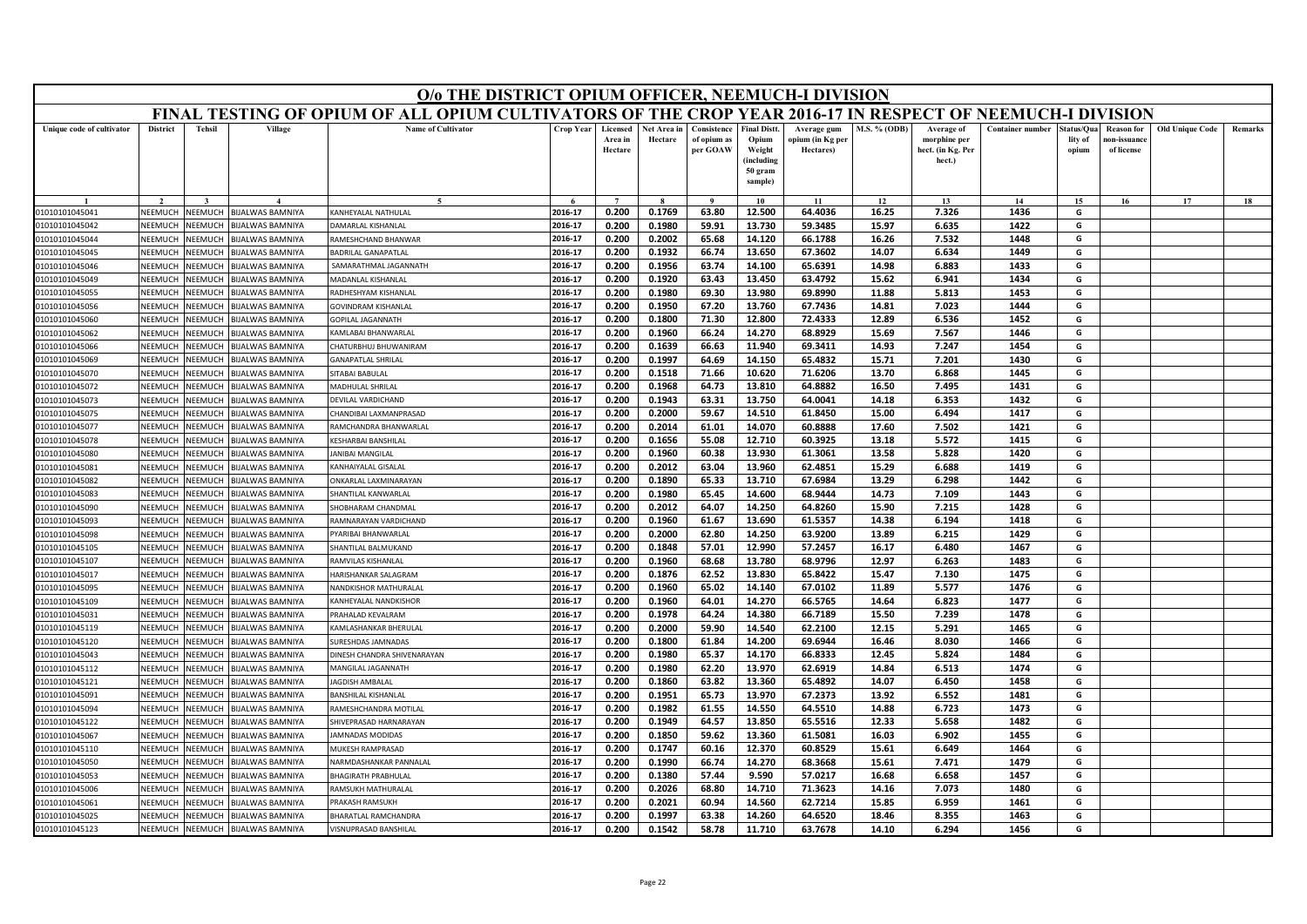|                                  |                    |                    |                                                    | O/o THE DISTRICT OPIUM OFFICER, NEEMUCH-I DIVISION                                                        |                    |                                |                        |                                        |                                                                            |                                              |                |                                                           |                         |                                |                                                |                        |         |
|----------------------------------|--------------------|--------------------|----------------------------------------------------|-----------------------------------------------------------------------------------------------------------|--------------------|--------------------------------|------------------------|----------------------------------------|----------------------------------------------------------------------------|----------------------------------------------|----------------|-----------------------------------------------------------|-------------------------|--------------------------------|------------------------------------------------|------------------------|---------|
|                                  |                    |                    |                                                    | FINAL TESTING OF OPIUM OF ALL OPIUM CULTIVATORS OF THE CROP YEAR 2016-17 IN RESPECT OF NEEMUCH-I DIVISION |                    |                                |                        |                                        |                                                                            |                                              |                |                                                           |                         |                                |                                                |                        |         |
| Unique code of cultivator        | <b>District</b>    | <b>Tehsil</b>      | Village                                            | <b>Name of Cultivator</b>                                                                                 | <b>Crop Year</b>   | Licensed<br>Area in<br>Hectare | Net Area in<br>Hectare | Consistence<br>of opium as<br>per GOAW | <b>Final Distt.</b><br>Opium<br>Weight<br>(including<br>50 gram<br>sample) | Average gum<br>opium (in Kg per<br>Hectares) | M.S. % (ODB)   | Average of<br>morphine per<br>hect. (in Kg. Per<br>hect.) | <b>Container number</b> | Status/Qua<br>lity of<br>opium | <b>Reason for</b><br>10n-issuanc<br>of license | <b>Old Unique Code</b> | Remarks |
|                                  |                    |                    |                                                    | $\sim$                                                                                                    |                    | $\overline{ }$                 |                        |                                        | 10                                                                         | 11                                           | 12             | 13                                                        | 14                      | 15                             | 16                                             | 17                     | 18      |
| 01010101045041                   | NEEMUCH            | NEEMUCH            | <b>BIJALWAS BAMNIYA</b>                            | KANHEYALAL NATHULAL                                                                                       | 2016-17            | 0.200                          | 0.1769                 | 63.80                                  | 12.500                                                                     | 64.4036                                      | 16.25          | 7.326                                                     | 1436                    | G                              |                                                |                        |         |
| 01010101045042                   | NEEMUCH            | NEEMUCH            | BIJALWAS BAMNIYA                                   | DAMARLAL KISHANLAL                                                                                        | 2016-17            | 0.200                          | 0.1980                 | 59.91                                  | 13.730                                                                     | 59.3485                                      | 15.97          | 6.635                                                     | 1422                    | G                              |                                                |                        |         |
| 01010101045044                   | VEEMUCH            | NEEMUCH            | <b>BIJALWAS BAMNIYA</b>                            | RAMESHCHAND BHANWAR                                                                                       | 2016-17            | 0.200                          | 0.2002                 | 65.68                                  | 14.120                                                                     | 66.1788                                      | 16.26          | 7.532                                                     | 1448                    | G                              |                                                |                        |         |
| 01010101045045                   | NEEMUCI            | NEEMUCH            | <b>BIJALWAS BAMNIYA</b>                            | <b>BADRILAL GANAPATLAI</b>                                                                                | 2016-17            | 0.200                          | 0.1932                 | 66.74                                  | 13.650                                                                     | 67.3602                                      | 14.07          | 6.634                                                     | 1449                    | G                              |                                                |                        |         |
| 01010101045046                   | NEEMUCH            | NEEMUCH            | <b>BIJALWAS BAMNIYA</b>                            | SAMARATHMAL JAGANNATH                                                                                     | 2016-17            | 0.200                          | 0.1956                 | 63.74                                  | 14.100                                                                     | 65.6391                                      | 14.98          | 6.883                                                     | 1433                    | G                              |                                                |                        |         |
| 01010101045049                   | NEEMUCH            | NEEMUCH            | <b>BIJALWAS BAMNIYA</b>                            | MADANLAL KISHANLAL                                                                                        | 2016-17            | 0.200                          | 0.1920                 | 63.43                                  | 13.450                                                                     | 63.4792                                      | 15.62          | 6.941                                                     | 1434                    | G                              |                                                |                        |         |
| 01010101045055                   | NEEMUCI            | NEEMUCH            | <b>BIJALWAS BAMNIYA</b>                            | RADHESHYAM KISHANLA                                                                                       | 2016-17            | 0.200                          | 0.1980                 | 69.30                                  | 13.980                                                                     | 69.8990                                      | 11.88          | 5.813                                                     | 1453                    | G                              |                                                |                        |         |
| 01010101045056                   | NEEMUCH            | <b>NEEMUCH</b>     | <b>BIJALWAS BAMNIYA</b>                            | <b>GOVINDRAM KISHANLAI</b>                                                                                | 2016-17            | 0.200                          | 0.1950                 | 67.20                                  | 13.760                                                                     | 67.7436                                      | 14.81          | 7.023                                                     | 1444                    | G                              |                                                |                        |         |
| 01010101045060                   | NEEMUCH            | NEEMUCH            | BIJALWAS BAMNIYA                                   | <b>GOPILAL JAGANNATH</b>                                                                                  | 2016-17            | 0.200                          | 0.1800                 | 71.30                                  | 12.800                                                                     | 72.4333                                      | 12.89          | 6.536                                                     | 1452                    | G                              |                                                |                        |         |
| 01010101045062                   | NEEMUCH            | NEEMUCH            | <b>BIJALWAS BAMNIYA</b>                            | KAMI ABAI BHANWARI AI                                                                                     | 2016-17            | 0.200                          | 0.1960                 | 66.24                                  | 14.270                                                                     | 68.8929                                      | 15.69          | 7.567                                                     | 1446                    | G                              |                                                |                        |         |
| 01010101045066                   | NEEMUCH            | <b>NEEMUCH</b>     | BIJALWAS BAMNIYA                                   | <b>HATURBHUJ BHUWANIRAM</b>                                                                               | 2016-17            | 0.200                          | 0.1639                 | 66.63                                  | 11.940                                                                     | 69.3411                                      | 14.93          | 7.247                                                     | 1454                    | G                              |                                                |                        |         |
| 01010101045069                   | NEEMUCH            | VEEMUCH            | <b>BIJALWAS BAMNIYA</b>                            | <b>GANAPATLAL SHRILAL</b>                                                                                 | 2016-17            | 0.200                          | 0.1997                 | 64.69                                  | 14.150                                                                     | 65.4832                                      | 15.71          | 7.201                                                     | 1430                    | G                              |                                                |                        |         |
| 01010101045070                   | NFFMUCH            | NEEMUCH            | <b>BIJALWAS BAMNIYA</b>                            | SITABAI BABULAL                                                                                           | 2016-17            | 0.200                          | 0.1518                 | 71.66                                  | 10.620                                                                     | 71.6206                                      | 13.70          | 6.868                                                     | 1445                    | G                              |                                                |                        |         |
| 01010101045072                   | NEEMUCH            | VEEMUCH            | <b>BIJALWAS BAMNIYA</b>                            | MADHULAL SHRILAL                                                                                          | 2016-17            | 0.200                          | 0.1968                 | 64.73                                  | 13.810                                                                     | 64.8882                                      | 16.50          | 7.495                                                     | 1431                    | G                              |                                                |                        |         |
| 01010101045073                   | NEEMUCH<br>NEEMUCH | VEEMUCH<br>NEEMUCH | <b>BIJALWAS BAMNIYA</b>                            | DEVILAL VARDICHAND                                                                                        | 2016-17            | 0.200                          | 0.1943                 | 63.31                                  | 13.750                                                                     | 64.0041                                      | 14.18          | 6.353                                                     | 1432<br>1417            | G                              |                                                |                        |         |
| 01010101045075<br>01010101045077 | NEEMUCH            | VEEMUCH            | <b>BIJALWAS BAMNIYA</b><br><b>BIJALWAS BAMNIYA</b> | CHANDIBAI LAXMANPRASAD                                                                                    | 2016-17            | 0.200                          | 0.2000                 | 59.67                                  | 14.510                                                                     | 61.8450                                      | 15.00          | 6.494                                                     | 1421                    | G<br>G                         |                                                |                        |         |
|                                  | NEEMUCI            | <b>NEEMUCH</b>     | BIJALWAS BAMNIYA                                   | RAMCHANDRA BHANWARLAL<br><b>KESHARBAI BANSHILAL</b>                                                       | 2016-17<br>2016-17 | 0.200<br>0.200                 | 0.2014<br>0.1656       | 61.01<br>55.08                         | 14.070<br>12.710                                                           | 60.8888<br>60.3925                           | 17.60<br>13.18 | 7.502<br>5.572                                            | 1415                    | G                              |                                                |                        |         |
| 01010101045078                   | NFFMUCH            | VEEMUCH            |                                                    | ANIBAI MANGILAL                                                                                           | 2016-17            | 0.200                          | 0.1960                 | 60.38                                  | 13.930                                                                     | 61.3061                                      | 13.58          | 5.828                                                     | 1420                    | G                              |                                                |                        |         |
| 01010101045080<br>01010101045081 | NEEMUCH            | VEEMUCH            | <b>BIJALWAS BAMNIYA</b><br><b>BIJALWAS BAMNIYA</b> | KANHAIYALAL GISALAL                                                                                       | 2016-17            | 0.200                          | 0.2012                 | 63.04                                  | 13.960                                                                     | 62.4851                                      | 15.29          | 6.688                                                     | 1419                    | G                              |                                                |                        |         |
| 01010101045082                   | VEEMUCH            | <b>JEEMUCH</b>     | <b>BIJALWAS BAMNIYA</b>                            | <b>ONKARLAL LAXMINARAYAN</b>                                                                              | 2016-17            | 0.200                          | 0.1890                 | 65.33                                  | 13.710                                                                     | 67.6984                                      | 13.29          | 6.298                                                     | 1442                    | G                              |                                                |                        |         |
| 01010101045083                   | NEEMUCH            | VEEMUCH            | <b>BIJALWAS BAMNIYA</b>                            | <b>SHANTILAL KANWARLAL</b>                                                                                | 2016-17            | 0.200                          | 0.1980                 | 65.45                                  | 14.600                                                                     | 68.9444                                      | 14.73          | 7.109                                                     | 1443                    | G                              |                                                |                        |         |
| 01010101045090                   | NEEMUCH            | VEEMUCH            | <b>BIJALWAS BAMNIYA</b>                            | <b>SHOBHARAM CHANDMAL</b>                                                                                 | 2016-17            | 0.200                          | 0.2012                 | 64.07                                  | 14.250                                                                     | 64.8260                                      | 15.90          | 7.215                                                     | 1428                    | G                              |                                                |                        |         |
| 01010101045093                   | NEEMUCI            | <b>NEEMUCH</b>     | <b>BIJALWAS BAMNIYA</b>                            | RAMNARAYAN VARDICHAND                                                                                     | 2016-17            | 0.200                          | 0.1960                 | 61.67                                  | 13.690                                                                     | 61.5357                                      | 14.38          | 6.194                                                     | 1418                    | G                              |                                                |                        |         |
| 01010101045098                   | NEEMUCH            | VEEMUCH            | <b>BIJALWAS BAMNIYA</b>                            | PYARIBAI BHANWARLAL                                                                                       | 2016-17            | 0.200                          | 0.2000                 | 62.80                                  | 14.250                                                                     | 63.9200                                      | 13.89          | 6.215                                                     | 1429                    | G                              |                                                |                        |         |
| 01010101045105                   | NEEMUCH            | NEEMUCH            | <b>BIJALWAS BAMNIYA</b>                            | SHANTILAL BALMUKAND                                                                                       | 2016-17            | 0.200                          | 0.1848                 | 57.01                                  | 12.990                                                                     | 57.2457                                      | 16.17          | 6.480                                                     | 1467                    | G                              |                                                |                        |         |
| 01010101045107                   | NEEMUCI            | VEEMUCH            | <b>BIJALWAS BAMNIYA</b>                            | RAMVILAS KISHANLAI                                                                                        | 2016-17            | 0.200                          | 0.1960                 | 68.68                                  | 13.780                                                                     | 68.9796                                      | 12.97          | 6.263                                                     | 1483                    | G                              |                                                |                        |         |
| 01010101045017                   | NEEMUCH            | VEEMUCH            | <b>BIJALWAS BAMNIYA</b>                            | <b>IARISHANKAR SALAGRAM</b>                                                                               | 2016-17            | 0.200                          | 0.1876                 | 62.52                                  | 13.830                                                                     | 65.8422                                      | 15.47          | 7.130                                                     | 1475                    | G                              |                                                |                        |         |
| 01010101045095                   | NEEMUCH            | NEEMUCH            | <b>BIJALWAS BAMNIYA</b>                            | NANDKISHOR MATHURALAI                                                                                     | 2016-17            | 0.200                          | 0.1960                 | 65.02                                  | 14.140                                                                     | 67.0102                                      | 11.89          | 5.577                                                     | 1476                    | G                              |                                                |                        |         |
| 01010101045109                   | NEEMUCI            | VEEMUCI            | BIJALWAS BAMNIYA                                   | KANHEYALAL NANDKISHOF                                                                                     | 2016-17            | 0.200                          | 0.1960                 | 64.01                                  | 14.270                                                                     | 66.5765                                      | 14.64          | 6.823                                                     | 1477                    | G                              |                                                |                        |         |
| 01010101045031                   | NEEMUCH            | VEEMUCH            | BIJALWAS BAMNIYA                                   | <b>PRAHALAD KEVALRAM</b>                                                                                  | 2016-17            | 0.200                          | 0.1978                 | 64.24                                  | 14.380                                                                     | 66.7189                                      | 15.50          | 7.239                                                     | 1478                    | G                              |                                                |                        |         |
| 01010101045119                   | NEEMUCH            | NEEMUCH            | <b>BIJALWAS BAMNIYA</b>                            | KAMLASHANKAR BHERULAL                                                                                     | 2016-17            | 0.200                          | 0.2000                 | 59.90                                  | 14.540                                                                     | 62.2100                                      | 12.15          | 5.291                                                     | 1465                    | G                              |                                                |                        |         |
| 01010101045120                   | NEEMUCI            | NEEMUCH            | <b>BIJALWAS BAMNIYA</b>                            | SURESHDAS JAMNADAS                                                                                        | 2016-17            | 0.200                          | 0.1800                 | 61.84                                  | 14.200                                                                     | 69.6944                                      | 16.46          | 8.030                                                     | 1466                    | G                              |                                                |                        |         |
| 01010101045043                   | NEEMUCH            | <b>NEEMUCH</b>     | <b>BIJALWAS BAMNIYA</b>                            | <b>DINESH CHANDRA SHIVENARAYAN</b>                                                                        | 2016-17            | 0.200                          | 0.1980                 | 65.37                                  | 14.170                                                                     | 66.8333                                      | 12.45          | 5.824                                                     | 1484                    | G                              |                                                |                        |         |
| 01010101045112                   | VEEMUCI            | VEEMUCH            | <b>BIJALWAS BAMNIYA</b>                            | MANGILAL JAGANNATH                                                                                        | 2016-17            | 0.200                          | 0.1980                 | 62.20                                  | 13.970                                                                     | 62.6919                                      | 14.84          | 6.513                                                     | 1474                    | G                              |                                                |                        |         |
| 01010101045121                   | <b>NFFMUCH</b>     | NEEMUCH            | <b>BIJALWAS BAMNIYA</b>                            | <b>AGDISH AMBALAL</b>                                                                                     | 2016-17            | 0.200                          | 0.1860                 | 63.82                                  | 13.360                                                                     | 65.4892                                      | 14.07          | 6.450                                                     | 1458                    | G                              |                                                |                        |         |
| 01010101045091                   | NEEMUCH            | VEEMUCH            | <b>BIJALWAS BAMNIYA</b>                            | BANSHILAL KISHANLAL                                                                                       | 2016-17            | 0.200                          | 0.1951                 | 65.73                                  | 13.970                                                                     | 67.2373                                      | 13.92          | 6.552                                                     | 1481                    | G                              |                                                |                        |         |
| 01010101045094                   | VEEMUCH            | VEEMUCH            | <b>BIJALWAS BAMNIYA</b>                            | RAMESHCHANDRA MOTILAL                                                                                     | 2016-17            | 0.200                          | 0.1982                 | 61.55                                  | 14.550                                                                     | 64.5510                                      | 14.88          | 6.723                                                     | 1473                    | G                              |                                                |                        |         |
| 01010101045122                   | NEEMUCH            | VEEMUCH            | <b>BIJALWAS BAMNIYA</b>                            | SHIVFPRASAD HARNARAYAN                                                                                    | 2016-17            | 0.200                          | 0.1949                 | 64.57                                  | 13.850                                                                     | 65.5516                                      | 12.33          | 5.658                                                     | 1482                    | G                              |                                                |                        |         |
| 01010101045067                   | NEEMUCH            | <b>NEEMUCH</b>     | BIJALWAS BAMNIYA                                   | AMNADAS MODIDAS                                                                                           | 2016-17            | 0.200                          | 0.1850                 | 59.62                                  | 13.360                                                                     | 61.5081                                      | 16.03          | 6.902                                                     | 1455                    | G                              |                                                |                        |         |
| 01010101045110                   | <b>NEEMUCI</b>     | <b>JEEMUCH</b>     | <b>BIJALWAS BAMNIYA</b>                            | MUKESH RAMPRASAD                                                                                          | 2016-17            | 0.200                          | 0.1747                 | 60.16                                  | 12.370                                                                     | 60.8529                                      | 15.61          | 6.649                                                     | 1464                    | G                              |                                                |                        |         |
| 01010101045050                   | <b>NFFMUCH</b>     | VEEMUCH            | <b>BIJALWAS BAMNIYA</b>                            | NARMDASHANKAR PANNALAL                                                                                    | 2016-17            | 0.200                          | 0.1990                 | 66.74                                  | 14.270                                                                     | 68.3668                                      | 15.61          | 7.471                                                     | 1479                    | G                              |                                                |                        |         |
| 01010101045053                   | NEEMUCH            | VEEMUCH            | BIJALWAS BAMNIYA                                   | <b>HAGIRATH PRABHULAL</b>                                                                                 | 2016-17            | 0.200                          | 0.1380                 | 57.44                                  | 9.590                                                                      | 57.0217                                      | 16.68          | 6.658                                                     | 1457                    | G                              |                                                |                        |         |
| 01010101045006                   | VEEMUCI            | VEEMUCH            | <b>BIJALWAS BAMNIYA</b>                            | RAMSUKH MATHURALAL                                                                                        | 2016-17            | 0.200                          | 0.2026                 | 68.80                                  | 14.710                                                                     | 71.3623                                      | 14.16          | 7.073                                                     | 1480                    | G                              |                                                |                        |         |
| 01010101045061                   | NEEMUCH            | VEEMUCI            | <b>BIJALWAS BAMNIYA</b>                            | <b>PRAKASH RAMSUKH</b>                                                                                    | 2016-17            | 0.200                          | 0.2021                 | 60.94                                  | 14.560                                                                     | 62.7214                                      | 15.85          | 6.959                                                     | 1461                    | G                              |                                                |                        |         |
| 01010101045025                   | NFFMUCH            | NEEMUCH            | <b>BIJALWAS BAMNIYA</b>                            | <b>BHARATLAL RAMCHANDRA</b>                                                                               | 2016-17            | 0.200                          | 0.1997                 | 63.38                                  | 14.260                                                                     | 64.6520                                      | 18.46          | 8.355                                                     | 1463                    | G                              |                                                |                        |         |
| 01010101045123                   | NEEMUCH            | NEEMUCH            | <b>BIJALWAS BAMNIYA</b>                            | VISNUPRASAD BANSHILAI                                                                                     | 2016-17            | 0.200                          | 0.1542                 | 58.78                                  | 11.710                                                                     | 63.7678                                      | 14.10          | 6.294                                                     | 1456                    | G                              |                                                |                        |         |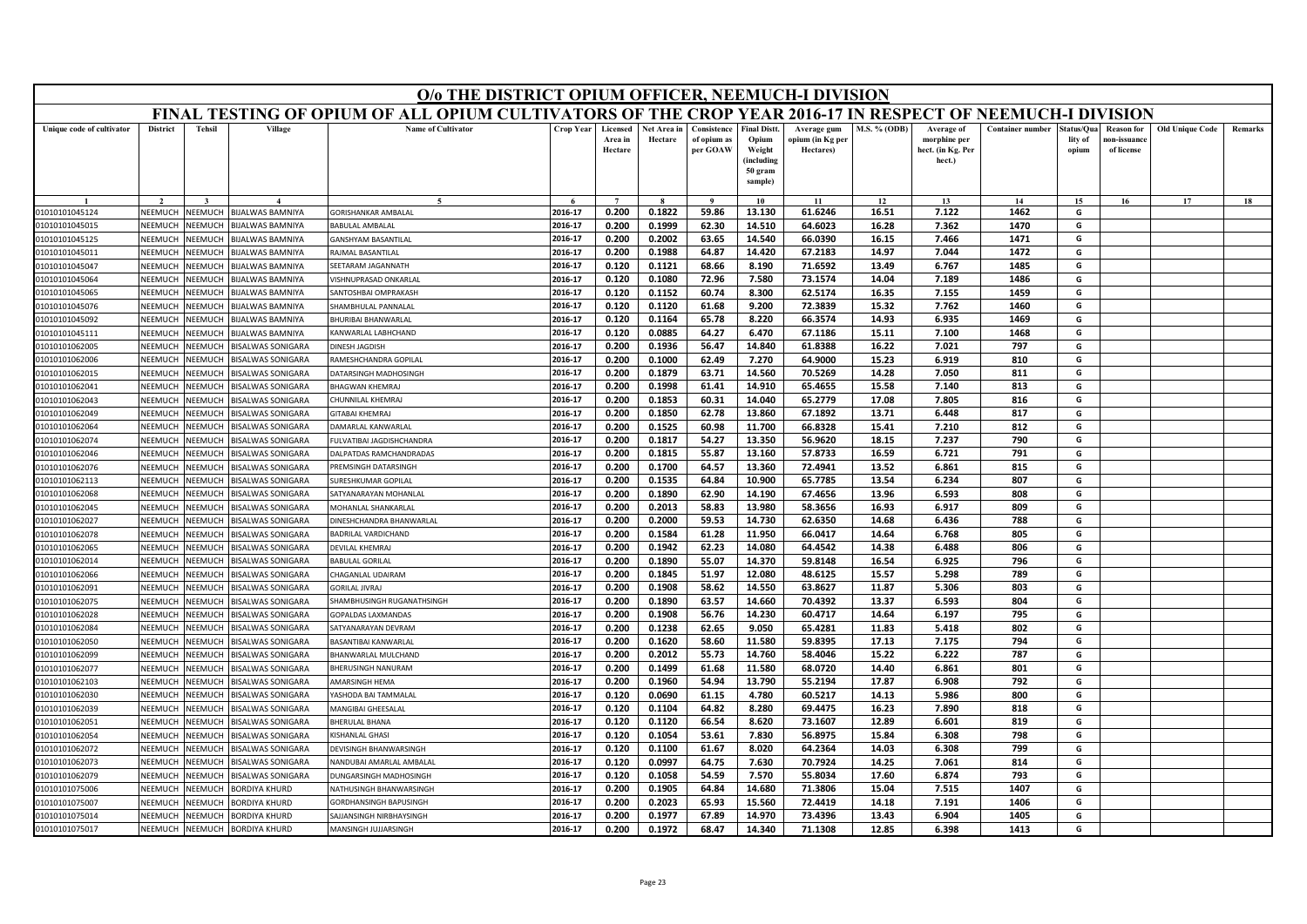|                                  | O/o THE DISTRICT OPIUM OFFICER, NEEMUCH-I DIVISION<br>FINAL TESTING OF OPIUM OF ALL OPIUM CULTIVATORS OF THE CROP YEAR 2016-17 IN RESPECT OF NEEMUCH-I DIVISION |                                  |                                                   |                                       |                    |                                |                        |                                        |                                                                 |                                              |                |                                                           |                         |                               |                                         |                        |         |
|----------------------------------|-----------------------------------------------------------------------------------------------------------------------------------------------------------------|----------------------------------|---------------------------------------------------|---------------------------------------|--------------------|--------------------------------|------------------------|----------------------------------------|-----------------------------------------------------------------|----------------------------------------------|----------------|-----------------------------------------------------------|-------------------------|-------------------------------|-----------------------------------------|------------------------|---------|
|                                  |                                                                                                                                                                 |                                  |                                                   |                                       |                    |                                |                        |                                        |                                                                 |                                              |                |                                                           |                         |                               |                                         |                        |         |
| Unique code of cultivator        | <b>District</b>                                                                                                                                                 | <b>Tehsil</b>                    | Village                                           | <b>Name of Cultivator</b>             | Crop Year          | Licensed<br>Area in<br>Hectare | Net Area in<br>Hectare | Consistence<br>of opium as<br>per GOAW | <b>Final Distt.</b><br>Opium<br>Weight<br>(including<br>50 gram | Average gum<br>opium (in Kg per<br>Hectares) | M.S. % (ODB)   | Average of<br>morphine per<br>hect. (in Kg. Per<br>hect.) | <b>Container number</b> | tatus/Qua<br>lity of<br>opium | Reason for<br>10n-issuanc<br>of license | <b>Old Unique Code</b> | Remarks |
|                                  |                                                                                                                                                                 |                                  |                                                   |                                       |                    |                                |                        |                                        | sample)                                                         |                                              |                |                                                           |                         |                               |                                         |                        |         |
|                                  |                                                                                                                                                                 |                                  |                                                   |                                       |                    | $\overline{ }$                 |                        | $\mathbf{o}$                           | 10                                                              | 11                                           | 12             | 13                                                        | 14                      | 15                            | 16                                      | 17                     | 18      |
| 01010101045124                   | NEEMUCH<br>NEEMUCH                                                                                                                                              | NEEMUCH                          | <b>BIJALWAS BAMNIYA</b>                           | GORISHANKAR AMBALAL<br>ARULAL AMBALAI | 2016-17            | 0.200                          | 0.1822                 | 59.86                                  | 13.130                                                          | 61.6246                                      | 16.51          | 7.122                                                     | 1462                    | G<br>G                        |                                         |                        |         |
| 01010101045015<br>01010101045125 | NEEMUCH                                                                                                                                                         | <b>NEEMUCH</b><br><b>NEEMUCH</b> | <b>IJALWAS BAMNIYA</b><br><b>BIJALWAS BAMNIYA</b> | <b>ANSHYAM BASANTILAL</b>             | 2016-17<br>2016-17 | 0.200<br>0.200                 | 0.1999<br>0.2002       | 62.30<br>63.65                         | 14.510<br>14.540                                                | 64.6023<br>66.0390                           | 16.28<br>16.15 | 7.362<br>7.466                                            | 1470<br>1471            | G                             |                                         |                        |         |
| 01010101045011                   | NEEMUCH                                                                                                                                                         | VEEMUCI                          | <b>IJALWAS BAMNIYA</b>                            | RAJMAL BASANTILAL                     | 2016-17            | 0.200                          | 0.1988                 | 64.87                                  | 14.420                                                          | 67.2183                                      | 14.97          | 7.044                                                     | 1472                    | G                             |                                         |                        |         |
| 01010101045047                   | NEEMUCH                                                                                                                                                         | VEEMUCI                          | <b>IJALWAS BAMNIYA</b>                            | EETARAM JAGANNATH                     | 2016-17            | 0.120                          | 0.1121                 | 68.66                                  | 8.190                                                           | 71.6592                                      | 13.49          | 6.767                                                     | 1485                    | G                             |                                         |                        |         |
| 01010101045064                   | NEEMUCH                                                                                                                                                         | <b>NEEMUCH</b>                   | <b>IJALWAS BAMNIYA</b>                            | ISHNUPRASAD ONKARLAL                  | 2016-17            | 0.120                          | 0.1080                 | 72.96                                  | 7.580                                                           | 73.1574                                      | 14.04          | 7.189                                                     | 1486                    | G                             |                                         |                        |         |
| 01010101045065                   | NEEMUCH                                                                                                                                                         | <b>NEEMUC</b>                    | <b>IJALWAS BAMNIYA</b>                            | ANTOSHBAI OMPRAKASH                   | 2016-17            | 0.120                          | 0.1152                 | 60.74                                  | 8.300                                                           | 62.5174                                      | 16.35          | 7.155                                                     | 1459                    | G                             |                                         |                        |         |
| 01010101045076                   | NEEMUCH                                                                                                                                                         | <b>JEEMUCH</b>                   | <b>IIJALWAS BAMNIYA</b>                           | HAMBHULAL PANNALAI                    | 2016-17            | 0.120                          | 0.1120                 | 61.68                                  | 9.200                                                           | 72.3839                                      | 15.32          | 7.762                                                     | 1460                    | G                             |                                         |                        |         |
| 01010101045092                   | NEEMUCH                                                                                                                                                         | <b>JEEMUCH</b>                   | <b>IJALWAS BAMNIYA</b>                            | <b>HURIBAI BHANWARLAL</b>             | 2016-17            | 0.120                          | 0.1164                 | 65.78                                  | 8.220                                                           | 66.3574                                      | 14.93          | 6.935                                                     | 1469                    | G                             |                                         |                        |         |
| 01010101045111                   | <b>NEEMUCH</b>                                                                                                                                                  | VEEMUCI                          | <b>BIJALWAS BAMNIYA</b>                           | <b>CANWARLAL LABHCHAND</b>            | 2016-17            | 0.120                          | 0.0885                 | 64.27                                  | 6.470                                                           | 67.1186                                      | 15.11          | 7.100                                                     | 1468                    | G                             |                                         |                        |         |
| 01010101062005                   | NEEMUCH                                                                                                                                                         | <b>JEEMUCH</b>                   | <b>ISALWAS SONIGARA</b>                           | <b>INESH JAGDISH</b>                  | 2016-17            | 0.200                          | 0.1936                 | 56.47                                  | 14.840                                                          | 61.8388                                      | 16.22          | 7.021                                                     | 797                     | G                             |                                         |                        |         |
| 01010101062006                   | NEEMUCH                                                                                                                                                         | <b>JEEMUC</b>                    | <b>ISALWAS SONIGARA</b>                           | AMESHCHANDRA GOPILAL                  | 2016-17            | 0.200                          | 0.1000                 | 62.49                                  | 7.270                                                           | 64.9000                                      | 15.23          | 6.919                                                     | 810                     | G                             |                                         |                        |         |
| 01010101062015                   | NFFMUCH                                                                                                                                                         | <b>NEEMUCH</b>                   | <b>ISALWAS SONIGARA</b>                           | <b>ATARSINGH MADHOSINGH</b>           | 2016-17            | 0.200                          | 0.1879                 | 63.71                                  | 14.560                                                          | 70.5269                                      | 14.28          | 7.050                                                     | 811                     | G                             |                                         |                        |         |
| 01010101062041                   | NEEMUCH                                                                                                                                                         | <b>JEEMUCH</b>                   | <b>ISALWAS SONIGARA</b>                           | <b>HAGWAN KHEMRAJ</b>                 | 2016-17            | 0.200                          | 0.1998                 | 61.41                                  | 14.910                                                          | 65.4655                                      | 15.58          | 7.140                                                     | 813                     | G                             |                                         |                        |         |
| 01010101062043                   | NEEMUCH                                                                                                                                                         | <b>NEEMUC</b>                    | <b>ISALWAS SONIGARA</b>                           | HUNNILAL KHEMRA                       | 2016-17            | 0.200                          | 0.1853                 | 60.31                                  | 14.040                                                          | 65.2779                                      | 17.08          | 7.805                                                     | 816                     | G                             |                                         |                        |         |
| 01010101062049                   | NEEMUCH                                                                                                                                                         | VEEMUCI                          | <b>ISALWAS SONIGARA</b>                           | <b>ITABAI KHEMRAJ</b>                 | 2016-17            | 0.200                          | 0.1850                 | 62.78                                  | 13.860                                                          | 67.1892                                      | 13.71          | 6.448                                                     | 817                     | G                             |                                         |                        |         |
| 01010101062064                   | NEEMUCH                                                                                                                                                         | <b>JEEMUCH</b>                   | <b>ISALWAS SONIGARA</b>                           | AMARLAL KANWARLAL                     | 2016-17            | 0.200                          | 0.1525                 | 60.98                                  | 11.700                                                          | 66.8328                                      | 15.41          | 7.210                                                     | 812                     | G                             |                                         |                        |         |
| 01010101062074                   | NEEMUCH                                                                                                                                                         | <b>JEEMUCI</b>                   | <b>ISALWAS SONIGARA</b>                           | ULVATIBAI JAGDISHCHANDRA              | 2016-17            | 0.200                          | 0.1817                 | 54.27                                  | 13.350                                                          | 56.9620                                      | 18.15          | 7.237                                                     | 790                     | G                             |                                         |                        |         |
| 01010101062046                   | <b>NFFMUCH</b>                                                                                                                                                  | <b>JEEMUCH</b>                   | <b>ISALWAS SONIGARA</b>                           | ALPATDAS RAMCHANDRADAS                | 2016-17            | 0.200                          | 0.1815                 | 55.87                                  | 13.160                                                          | 57.8733                                      | 16.59          | 6.721                                                     | 791                     | G                             |                                         |                        |         |
| 01010101062076                   | NEEMUCH                                                                                                                                                         | <b>NEEMUCH</b>                   | <b>ISALWAS SONIGARA</b>                           | <b>REMSINGH DATARSINGH</b>            | 2016-17            | 0.200                          | 0.1700                 | 64.57                                  | 13.360                                                          | 72.4941                                      | 13.52          | 6.861                                                     | 815                     | G                             |                                         |                        |         |
| 01010101062113                   | NEEMUCH                                                                                                                                                         | <b>JEEMUCH</b>                   | <b>ISALWAS SONIGARA</b>                           | URESHKUMAR GOPILAI                    | 2016-17            | 0.200                          | 0.1535                 | 64.84                                  | 10.900                                                          | 65.7785                                      | 13.54          | 6.234                                                     | 807                     | G                             |                                         |                        |         |
| 01010101062068                   | NEEMUCH                                                                                                                                                         | <b>JEEMUCH</b>                   | <b>ISALWAS SONIGARA</b>                           | ATYANARAYAN MOHANLAL                  | 2016-17            | 0.200                          | 0.1890                 | 62.90                                  | 14.190                                                          | 67.4656                                      | 13.96          | 6.593                                                     | 808                     | G                             |                                         |                        |         |
| 01010101062045                   | NEEMUCH                                                                                                                                                         | <b>JEEMUCH</b>                   | <b>ISALWAS SONIGARA</b>                           | <b>MOHANLAL SHANKARLAL</b>            | 2016-17            | 0.200                          | 0.2013                 | 58.83                                  | 13.980                                                          | 58.3656                                      | 16.93          | 6.917                                                     | 809                     | G                             |                                         |                        |         |
| 01010101062027                   | NEEMUCH                                                                                                                                                         | <b>JEEMUCI</b>                   | <b>ISALWAS SONIGARA</b>                           | INESHCHANDRA BHANWARLAL               | 2016-17            | 0.200                          | 0.2000                 | 59.53                                  | 14.730                                                          | 62.6350                                      | 14.68          | 6.436                                                     | 788                     | G                             |                                         |                        |         |
| 01010101062078                   | NEEMUCH                                                                                                                                                         | <b>JEEMUC</b>                    | <b>ISALWAS SONIGARA</b>                           | ADRILAL VARDICHAND                    | 2016-17            | 0.200                          | 0.1584                 | 61.28                                  | 11.950                                                          | 66.0417                                      | 14.64          | 6.768                                                     | 805                     | G                             |                                         |                        |         |
| 01010101062065                   | NFFMUCH                                                                                                                                                         | <b>JEEMUCH</b>                   | <b>ISALWAS SONIGARA</b>                           | DEVILAL KHEMRAJ                       | 2016-17            | 0.200                          | 0.1942                 | 62.23                                  | 14.080                                                          | 64.4542                                      | 14.38          | 6.488                                                     | 806                     | G                             |                                         |                        |         |
| 01010101062014                   | NEEMUCH                                                                                                                                                         | <b>JEEMUC</b>                    | <b>ISALWAS SONIGARA</b>                           | ABULAL GORILAL                        | 2016-17            | 0.200                          | 0.1890                 | 55.07                                  | 14.370                                                          | 59.8148                                      | 16.54          | 6.925                                                     | 796                     | G                             |                                         |                        |         |
| 01010101062066                   | NEEMUCH                                                                                                                                                         | <b>JEEMUCH</b>                   | <b>ISALWAS SONIGARA</b>                           | HAGANLAL UDAIRAM                      | 2016-17            | 0.200                          | 0.1845                 | 51.97                                  | 12.080                                                          | 48.6125                                      | 15.57          | 5.298                                                     | 789                     | G                             |                                         |                        |         |
| 01010101062091                   | NEEMUCH                                                                                                                                                         | <b>JEEMUCH</b>                   | <b>ISALWAS SONIGARA</b>                           | <b>ORILAL JIVRAJ</b>                  | 2016-17            | 0.200                          | 0.1908                 | 58.62                                  | 14.550                                                          | 63.8627                                      | 11.87          | 5.306                                                     | 803                     | G                             |                                         |                        |         |
| 01010101062075                   | NEEMUCH                                                                                                                                                         | <b>NEEMUC</b>                    | <b>ISALWAS SONIGARA</b>                           | HAMBHUSINGH RUGANATHSINGH             | 2016-17            | 0.200                          | 0.1890                 | 63.57                                  | 14.660                                                          | 70.4392                                      | 13.37          | 6.593                                                     | 804                     | G                             |                                         |                        |         |
| 01010101062028                   | NEEMUCH                                                                                                                                                         | <b>JEEMUCH</b>                   | <b>ISALWAS SONIGARA</b>                           | <b>GOPALDAS LAXMANDAS</b>             | 2016-17            | 0.200                          | 0.1908                 | 56.76                                  | 14.230                                                          | 60.4717                                      | 14.64          | 6.197                                                     | 795                     | G                             |                                         |                        |         |
| 01010101062084                   | NEEMUCH                                                                                                                                                         | <b>JEEMUCH</b>                   | <b>ISALWAS SONIGARA</b>                           | <b>ATYANARAYAN DEVRAM</b>             | 2016-17            | 0.200                          | 0.1238                 | 62.65                                  | 9.050                                                           | 65.4281                                      | 11.83          | 5.418                                                     | 802                     | G                             |                                         |                        |         |
| 01010101062050                   | <b>NEEMUCH</b>                                                                                                                                                  | VEEMUC                           | <b>ISALWAS SONIGARA</b>                           | ASANTIBAI KANWARLAL                   | 2016-17            | 0.200                          | 0.1620                 | 58.60                                  | 11.580                                                          | 59.8395                                      | 17.13          | 7.175                                                     | 794                     | G                             |                                         |                        |         |
| 01010101062099                   | NEEMUCH                                                                                                                                                         | <b>NEEMUCH</b>                   | <b>ISALWAS SONIGARA</b>                           | HANWARLAL MULCHAND                    | 2016-17            | 0.200                          | 0.2012                 | 55.73                                  | 14.760                                                          | 58.4046                                      | 15.22          | 6.222                                                     | 787                     | G                             |                                         |                        |         |
| 01010101062077                   | NEEMUCH                                                                                                                                                         | <b>JEEMUCI</b>                   | <b>ISALWAS SONIGARA</b>                           | HERUSINGH NANURAM                     | 2016-17            | 0.200                          | 0.1499                 | 61.68                                  | 11.580                                                          | 68.0720                                      | 14.40          | 6.861                                                     | 801                     | G                             |                                         |                        |         |
| 01010101062103                   | <b>NFFMUCH</b>                                                                                                                                                  | <b>JEEMUC</b>                    | <b>ISALWAS SONIGARA</b>                           | AMARSINGH HEMA                        | 2016-17            | 0.200                          | 0.1960                 | 54.94                                  | 13.790                                                          | 55.2194                                      | 17.87          | 6.908                                                     | 792                     | G                             |                                         |                        |         |
| 01010101062030                   | NEEMUCH                                                                                                                                                         | <b>JEEMUCH</b>                   | <b>ISALWAS SONIGARA</b>                           | ASHODA BAI TAMMALAL                   | 2016-17            | 0.120                          | 0.0690                 | 61.15                                  | 4.780                                                           | 60.5217                                      | 14.13          | 5.986                                                     | 800                     | G                             |                                         |                        |         |
| 01010101062039                   | NEEMUCH                                                                                                                                                         | <b>JEEMUCH</b>                   | <b>ISALWAS SONIGARA</b>                           | <b>ANGIBAI GHEESALAL</b>              | 2016-17            | 0.120                          | 0.1104                 | 64.82                                  | 8.280                                                           | 69.4475                                      | 16.23          | 7.890                                                     | 818                     | G                             |                                         |                        |         |
| 01010101062051                   | NEEMUCH                                                                                                                                                         | VEEMUCI                          | <b>ISALWAS SONIGARA</b>                           | <b>HERULAL BHANA</b>                  | 2016-17            | 0.120                          | 0.1120                 | 66.54                                  | 8.620                                                           | 73.1607                                      | 12.89          | 6.601                                                     | 819                     | G                             |                                         |                        |         |
| 01010101062054                   | NEEMUCH                                                                                                                                                         | <b>JEEMUCH</b>                   | <b>ISALWAS SONIGARA</b>                           | <b>ISHANLAL GHASI</b>                 | 2016-17            | 0.120                          | 0.1054                 | 53.61                                  | 7.830                                                           | 56.8975                                      | 15.84          | 6.308                                                     | 798                     | G                             |                                         |                        |         |
| 01010101062072                   | VEEMUCH                                                                                                                                                         | <b>IEEMUCH</b>                   | <b>ISALWAS SONIGARA</b>                           | EVISINGH BHANWARSINGH                 | 2016-17            | 0.120                          | 0.1100                 | 61.67                                  | 8.020                                                           | 64.2364                                      | 14.03          | 6.308                                                     | 799                     | G                             |                                         |                        |         |
| 01010101062073                   | <b>NFFMUCH</b>                                                                                                                                                  | <b>JEEMUC</b>                    | <b>ISALWAS SONIGARA</b>                           | VANDUBAI AMARLAL AMBALAL              | 2016-17            | 0.120                          | 0.0997                 | 64.75                                  | 7.630                                                           | 70.7924                                      | 14.25          | 7.061                                                     | 814                     | G                             |                                         |                        |         |
| 01010101062079                   | NEEMUCH                                                                                                                                                         | <b>NEEMUCH</b>                   | <b>ISALWAS SONIGARA</b>                           | UNGARSINGH MADHOSINGH                 | 2016-17            | 0.120                          | 0.1058                 | 54.59                                  | 7.570                                                           | 55.8034                                      | 17.60          | 6.874                                                     | 793                     | G                             |                                         |                        |         |
| 01010101075006                   | NEEMUCH                                                                                                                                                         | <b>JEEMUC</b>                    | <b>ORDIYA KHURD</b>                               | <b>IATHUSINGH BHANWARSINGH</b>        | 2016-17            | 0.200                          | 0.1905                 | 64.84                                  | 14.680                                                          | 71.3806                                      | 15.04          | 7.515                                                     | 1407                    | G                             |                                         |                        |         |
| 01010101075007                   | NEEMUCH                                                                                                                                                         | <b>JEEMUC</b>                    | <b>ORDIYA KHURD</b>                               | <b>GORDHANSINGH BAPUSINGH</b>         | 2016-17            | 0.200                          | 0.2023                 | 65.93                                  | 15.560                                                          | 72.4419                                      | 14.18          | 7.191                                                     | 1406                    | G                             |                                         |                        |         |
| 01010101075014                   | NEEMUCH                                                                                                                                                         | NEEMUCH                          | <b>BORDIYA KHURD</b>                              | <b>AJJANSINGH NIRBHAYSINGH</b>        | 2016-17            | 0.200                          | 0.1977                 | 67.89                                  | 14.970                                                          | 73.4396                                      | 13.43          | 6.904                                                     | 1405                    | G                             |                                         |                        |         |
| 01010101075017                   | NEEMUCH                                                                                                                                                         | NEEMUCH                          | <b>BORDIYA KHURD</b>                              | MANSINGH JUJJARSINGH                  | 2016-17            | 0.200                          | 0.1972                 | 68.47                                  | 14.340                                                          | 71.1308                                      | 12.85          | 6.398                                                     | 1413                    | G                             |                                         |                        |         |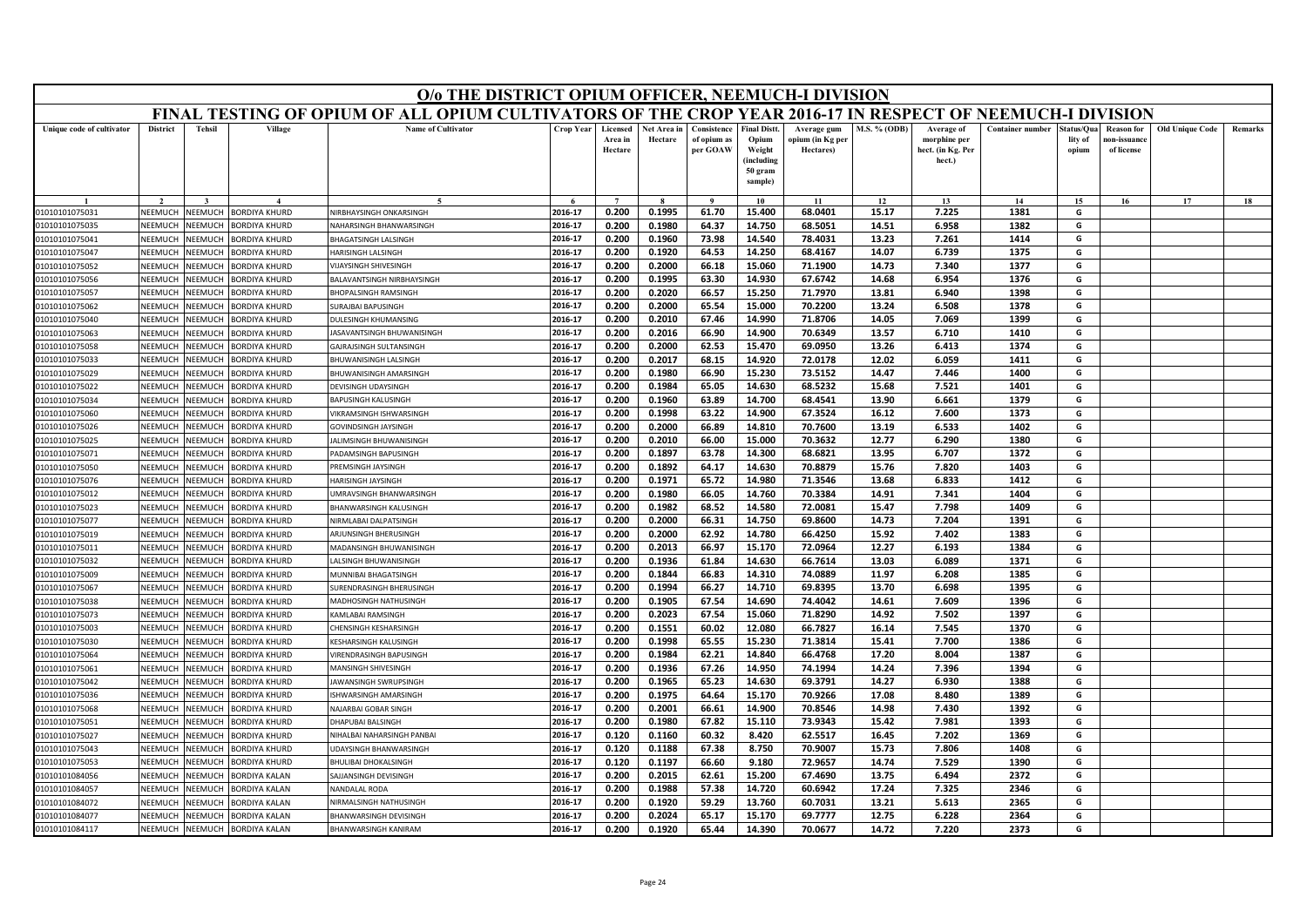|                                  |                    |                           |                                              | O/o THE DISTRICT OPIUM OFFICER, NEEMUCH-I DIVISION                                                        |                    |                                |                        |                                        |                                                                            |                                              |                     |                                                           |                         |                                |                                                |                        |         |
|----------------------------------|--------------------|---------------------------|----------------------------------------------|-----------------------------------------------------------------------------------------------------------|--------------------|--------------------------------|------------------------|----------------------------------------|----------------------------------------------------------------------------|----------------------------------------------|---------------------|-----------------------------------------------------------|-------------------------|--------------------------------|------------------------------------------------|------------------------|---------|
|                                  |                    |                           |                                              | FINAL TESTING OF OPIUM OF ALL OPIUM CULTIVATORS OF THE CROP YEAR 2016-17 IN RESPECT OF NEEMUCH-I DIVISION |                    |                                |                        |                                        |                                                                            |                                              |                     |                                                           |                         |                                |                                                |                        |         |
| Unique code of cultivator        | <b>District</b>    | <b>Tehsil</b>             | Village                                      | <b>Name of Cultivator</b>                                                                                 | <b>Crop Year</b>   | Licensed<br>Area in<br>Hectare | Net Area in<br>Hectare | Consistence<br>of opium as<br>per GOAW | <b>Final Distt.</b><br>Opium<br>Weight<br>(including<br>50 gram<br>sample) | Average gum<br>opium (in Kg per<br>Hectares) | <b>M.S. % (ODB)</b> | Average of<br>morphine per<br>hect. (in Kg. Per<br>hect.) | <b>Container number</b> | Status/Qua<br>lity of<br>opium | <b>Reason for</b><br>10n-issuanc<br>of license | <b>Old Unique Code</b> | Remarks |
|                                  |                    |                           |                                              |                                                                                                           |                    | $\overline{ }$                 |                        | $\Omega$                               | 10                                                                         | 11                                           | 12                  | 13                                                        | 14                      | 15                             | 16                                             | 17                     | 18      |
| 01010101075031                   | NEEMUCH            | NEEMUCH                   | <b>BORDIYA KHURD</b>                         | NIRBHAYSINGH ONKARSINGH                                                                                   | 2016-17            | 0.200                          | 0.1995                 | 61.70                                  | 15.400                                                                     | 68.0401                                      | 15.17               | 7.225                                                     | 1381                    | G                              |                                                |                        |         |
| 01010101075035                   | NEEMUCH            | NEEMUCH                   | BORDIYA KHURD                                | NAHARSINGH BHANWARSINGH                                                                                   | 2016-17            | 0.200                          | 0.1980                 | 64.37                                  | 14.750                                                                     | 68.5051                                      | 14.51               | 6.958                                                     | 1382                    | G                              |                                                |                        |         |
| 01010101075041                   | VEEMUCH            | NEEMUCH                   | <b>BORDIYA KHURD</b>                         | <b>BHAGATSINGH LALSINGH</b>                                                                               | 2016-17            | 0.200                          | 0.1960                 | 73.98                                  | 14.540                                                                     | 78.4031                                      | 13.23               | 7.261                                                     | 1414                    | G                              |                                                |                        |         |
| 01010101075047                   | NEEMUCH            | NEEMUCH                   | <b>BORDIYA KHURD</b>                         | HARISINGH LALSINGH                                                                                        | 2016-17            | 0.200                          | 0.1920                 | 64.53                                  | 14.250                                                                     | 68.4167                                      | 14.07               | 6.739                                                     | 1375                    | G                              |                                                |                        |         |
| 01010101075052                   | NEEMUCH            | NEEMUCH                   | <b>BORDIYA KHURD</b>                         | VIJAYSINGH SHIVESINGH                                                                                     | 2016-17            | 0.200                          | 0.2000                 | 66.18                                  | 15.060                                                                     | 71.1900                                      | 14.73               | 7.340                                                     | 1377                    | G                              |                                                |                        |         |
| 01010101075056                   | NEEMUCH            | NEEMUCH                   | <b>BORDIYA KHURD</b>                         | BALAVANTSINGH NIRBHAYSINGH                                                                                | 2016-17            | 0.200                          | 0.1995                 | 63.30                                  | 14.930                                                                     | 67.6742                                      | 14.68               | 6.954                                                     | 1376                    | G                              |                                                |                        |         |
| 01010101075057                   | NEEMUCI            | NEEMUCH                   | <b>BORDIYA KHURD</b>                         | <b>BHOPALSINGH RAMSINGH</b>                                                                               | 2016-17            | 0.200                          | 0.2020                 | 66.57                                  | 15.250                                                                     | 71.7970                                      | 13.81               | 6.940                                                     | 1398                    | G                              |                                                |                        |         |
| 01010101075062                   | NEEMUCH            | NEEMUCH                   | BORDIYA KHURD                                | SURAJBAI BAPUSINGH                                                                                        | 2016-17            | 0.200                          | 0.2000                 | 65.54                                  | 15.000                                                                     | 70.2200                                      | 13.24               | 6.508                                                     | 1378                    | G                              |                                                |                        |         |
| 01010101075040                   | NEEMUCH            | NEEMUCH                   | <b>BORDIYA KHURD</b>                         | DULESINGH KHUMANSING                                                                                      | 2016-17            | 0.200                          | 0.2010                 | 67.46                                  | 14.990                                                                     | 71.8706                                      | 14.05               | 7.069                                                     | 1399                    | G                              |                                                |                        |         |
| 01010101075063                   | NEEMUCH            | NEEMUCH                   | <b>BORDIYA KHURD</b>                         | JASAVANTSINGH BHUWANISINGH                                                                                | 2016-17            | 0.200                          | 0.2016                 | 66.90                                  | 14.900                                                                     | 70.6349                                      | 13.57               | 6.710                                                     | 1410                    | G                              |                                                |                        |         |
| 01010101075058                   | NEEMUCH            | <b>NEEMUCH</b>            | BORDIYA KHURD                                | GAJRAJSINGH SULTANSINGH                                                                                   | 2016-17            | 0.200                          | 0.2000                 | 62.53                                  | 15.470                                                                     | 69.0950                                      | 13.26               | 6.413                                                     | 1374                    | G                              |                                                |                        |         |
| 01010101075033                   | NEEMUCH            | VEEMUCH                   | <b>BORDIYA KHURD</b>                         | BHUWANISINGH LALSINGH                                                                                     | 2016-17            | 0.200                          | 0.2017                 | 68.15                                  | 14.920                                                                     | 72.0178                                      | 12.02               | 6.059                                                     | 1411                    | G                              |                                                |                        |         |
| 01010101075029                   | NFFMUCH            | NFFMUCH                   | <b>BORDIYA KHURD</b>                         | <b>RHI IWANISINGH AMARSINGH</b>                                                                           | 2016-17            | 0.200                          | 0.1980                 | 66.90                                  | 15.230                                                                     | 73.5152                                      | 14.47               | 7.446                                                     | 1400                    | G                              |                                                |                        |         |
| 01010101075022                   | NEEMUCH            | NEEMUCH                   | <b>BORDIYA KHURD</b>                         | DEVISINGH UDAYSINGH                                                                                       | 2016-17            | 0.200                          | 0.1984                 | 65.05                                  | 14.630                                                                     | 68.5232                                      | 15.68               | 7.521                                                     | 1401                    | G                              |                                                |                        |         |
| 01010101075034                   | NEEMUCH            | VEEMUCH                   | BORDIYA KHURD                                | <b>BAPUSINGH KALUSINGH</b>                                                                                | 2016-17            | 0.200                          | 0.1960                 | 63.89                                  | 14.700                                                                     | 68.4541                                      | 13.90               | 6.661                                                     | 1379                    | G                              |                                                |                        |         |
| 01010101075060                   | NEEMUCH            | NEEMUCH                   | <b>BORDIYA KHURD</b>                         | VIKRAMSINGH ISHWARSINGH                                                                                   | 2016-17            | 0.200                          | 0.1998                 | 63.22                                  | 14.900                                                                     | 67.3524                                      | 16.12               | 7.600                                                     | 1373                    | G                              |                                                |                        |         |
| 01010101075026                   | NEEMUCH            | NEEMUCH                   | <b>BORDIYA KHURD</b>                         | GOVINDSINGH JAYSINGH                                                                                      | 2016-17            | 0.200                          | 0.2000                 | 66.89                                  | 14.810                                                                     | 70.7600                                      | 13.19               | 6.533                                                     | 1402                    | G                              |                                                |                        |         |
| 01010101075025                   | NEEMUCH            | <b>NEEMUCH</b>            | <b>BORDIYA KHURD</b>                         | JALIMSINGH BHUWANISINGH                                                                                   | 2016-17            | 0.200                          | 0.2010                 | 66.00                                  | 15.000                                                                     | 70.3632                                      | 12.77               | 6.290                                                     | 1380                    | G                              |                                                |                        |         |
| 01010101075071                   | NFFMUCH            | <b>SEEMUCH</b>            | BORDIYA KHURD                                | PADAMSINGH BAPUSINGH                                                                                      | 2016-17            | 0.200                          | 0.1897                 | 63.78                                  | 14.300                                                                     | 68.6821                                      | 13.95               | 6.707                                                     | 1372                    | G                              |                                                |                        |         |
| 01010101075050                   | NEEMUCH            | NEEMUCH                   | <b>BORDIYA KHURD</b>                         | PREMSINGH JAYSINGH                                                                                        | 2016-17            | 0.200                          | 0.1892                 | 64.17                                  | 14.630                                                                     | 70.8879                                      | 15.76               | 7.820                                                     | 1403                    | G                              |                                                |                        |         |
| 01010101075076                   | NEEMUCH            | <b>JEEMUCH</b>            | <b>BORDIYA KHURD</b>                         | HARISINGH JAYSINGH                                                                                        | 2016-17            | 0.200                          | 0.1971                 | 65.72                                  | 14.980                                                                     | 71.3546                                      | 13.68               | 6.833                                                     | 1412                    | G                              |                                                |                        |         |
| 01010101075012                   | NEEMUCH            | NEEMUCH                   | <b>BORDIYA KHURD</b>                         | JMRAVSINGH BHANWARSINGH                                                                                   | 2016-17            | 0.200                          | 0.1980                 | 66.05                                  | 14.760                                                                     | 70.3384                                      | 14.91               | 7.341                                                     | 1404                    | G                              |                                                |                        |         |
| 01010101075023                   | NFFMUCH            | VEEMUCH                   | <b>BORDIYA KHURD</b>                         | <b>BHANWARSINGH KALUSINGH</b>                                                                             | 2016-17            | 0.200                          | 0.1982<br>0.2000       | 68.52                                  | 14.580                                                                     | 72.0081<br>69.8600                           | 15.47               | 7.798<br>7.204                                            | 1409<br>1391            | G                              |                                                |                        |         |
| 01010101075077                   | NEEMUCH<br>NEEMUCH | <b>NEEMUCH</b><br>NEEMUCH | <b>BORDIYA KHURD</b>                         | NIRMLABAI DALPATSINGH                                                                                     | 2016-17<br>2016-17 | 0.200<br>0.200                 | 0.2000                 | 66.31<br>62.92                         | 14.750<br>14.780                                                           | 66.4250                                      | 14.73<br>15.92      | 7.402                                                     | 1383                    | G<br>G                         |                                                |                        |         |
| 01010101075019<br>01010101075011 | NEEMUCH            | NEEMUCH                   | <b>BORDIYA KHURD</b><br><b>BORDIYA KHURD</b> | ARJUNSINGH BHERUSINGH<br>MADANSINGH BHUWANISINGH                                                          | 2016-17            | 0.200                          | 0.2013                 | 66.97                                  | 15.170                                                                     | 72.0964                                      | 12.27               | 6.193                                                     | 1384                    | G                              |                                                |                        |         |
|                                  | NEEMUCI            |                           |                                              |                                                                                                           | 2016-17            | 0.200                          | 0.1936                 | 61.84                                  | 14.630                                                                     | 66.7614                                      | 13.03               | 6.089                                                     | 1371                    | G                              |                                                |                        |         |
| 01010101075032<br>01010101075009 | NEEMUCH            | VEEMUCH<br>VEEMUCH        | BORDIYA KHURD<br>BORDIYA KHURD               | ALSINGH BHUWANISINGH<br>MUNNIBAI BHAGATSINGH                                                              | 2016-17            | 0.200                          | 0.1844                 | 66.83                                  | 14.310                                                                     | 74.0889                                      | 11.97               | 6.208                                                     | 1385                    | G                              |                                                |                        |         |
| 01010101075067                   | NEEMUCH            | NEEMUCH                   | <b>BORDIYA KHURD</b>                         | SURENDRASINGH BHERUSINGH                                                                                  | 2016-17            | 0.200                          | 0.1994                 | 66.27                                  | 14.710                                                                     | 69.8395                                      | 13.70               | 6.698                                                     | 1395                    | G                              |                                                |                        |         |
| 01010101075038                   | NEEMUCH            | VEEMUCH                   |                                              |                                                                                                           | 2016-17            | 0.200                          | 0.1905                 | 67.54                                  | 14.690                                                                     | 74.4042                                      | 14.61               | 7.609                                                     | 1396                    | G                              |                                                |                        |         |
| 01010101075073                   | NEEMUCH            | VEEMUCH                   | <b>BORDIYA KHURD</b><br>BORDIYA KHURD        | MADHOSINGH NATHUSINGH<br>KAMLABAI RAMSINGH                                                                | 2016-17            | 0.200                          | 0.2023                 | 67.54                                  | 15.060                                                                     | 71.8290                                      | 14.92               | 7.502                                                     | 1397                    | G                              |                                                |                        |         |
| 01010101075003                   | NEEMUCH            | NEEMUCH                   | <b>BORDIYA KHURD</b>                         | <b>HENSINGH KESHARSINGH</b>                                                                               | 2016-17            | 0.200                          | 0.1551                 | 60.02                                  | 12.080                                                                     | 66.7827                                      | 16.14               | 7.545                                                     | 1370                    | G                              |                                                |                        |         |
| 01010101075030                   | NEEMUCH            | NEEMUCH                   | <b>BORDIYA KHURD</b>                         | <b>KESHARSINGH KALUSINGH</b>                                                                              | 2016-17            | 0.200                          | 0.1998                 | 65.55                                  | 15.230                                                                     | 71.3814                                      | 15.41               | 7.700                                                     | 1386                    | G                              |                                                |                        |         |
| 01010101075064                   | NEEMUCH            | NEEMUCH                   | BORDIYA KHURD                                | VIRENDRASINGH BAPUSINGH                                                                                   | 2016-17            | 0.200                          | 0.1984                 | 62.21                                  | 14.840                                                                     | 66.4768                                      | 17.20               | 8.004                                                     | 1387                    | G                              |                                                |                        |         |
| 01010101075061                   | <b>JEEMUCH</b>     | VEEMUCH                   | <b>BORDIYA KHURD</b>                         | MANSINGH SHIVESINGH                                                                                       | 2016-17            | 0.200                          | 0.1936                 | 67.26                                  | 14.950                                                                     | 74.1994                                      | 14.24               | 7.396                                                     | 1394                    | G                              |                                                |                        |         |
| 01010101075042                   | <b>NFFMUCH</b>     | NEEMUCH                   | <b>BORDIYA KHURD</b>                         | JAWANSINGH SWRUPSINGH                                                                                     | 2016-17            | 0.200                          | 0.1965                 | 65.23                                  | 14.630                                                                     | 69.3791                                      | 14.27               | 6.930                                                     | 1388                    | G                              |                                                |                        |         |
| 01010101075036                   | NEEMUCH            | VEEMUCH                   | <b>BORDIYA KHURD</b>                         | SHWARSINGH AMARSINGH                                                                                      | 2016-17            | 0.200                          | 0.1975                 | 64.64                                  | 15.170                                                                     | 70.9266                                      | 17.08               | 8.480                                                     | 1389                    | G                              |                                                |                        |         |
| 01010101075068                   | VEEMUCH            | VEEMUCH                   | <b>BORDIYA KHURD</b>                         | <b>JAJARBAI GOBAR SINGH</b>                                                                               | 2016-17            | 0.200                          | 0.2001                 | 66.61                                  | 14.900                                                                     | 70.8546                                      | 14.98               | 7.430                                                     | 1392                    | G                              |                                                |                        |         |
| 01010101075051                   | NEEMUCH            | VEEMUCH                   | BORDIYA KHURD                                | DHAPURAI BALSINGH                                                                                         | 2016-17            | 0.200                          | 0.1980                 | 67.82                                  | 15.110                                                                     | 73.9343                                      | 15.42               | 7.981                                                     | 1393                    | G                              |                                                |                        |         |
| 01010101075027                   | NEEMUCH            | <b>NEEMUCH</b>            | BORDIYA KHURD                                | NIHALBAI NAHARSINGH PANBAI                                                                                | 2016-17            | 0.120                          | 0.1160                 | 60.32                                  | 8.420                                                                      | 62.5517                                      | 16.45               | 7.202                                                     | 1369                    | G                              |                                                |                        |         |
| 01010101075043                   | <b>NEEMUCH</b>     | <b>JEEMUCH</b>            | <b>BORDIYA KHURD</b>                         | JDAYSINGH BHANWARSINGH                                                                                    | 2016-17            | 0.120                          | 0.1188                 | 67.38                                  | 8.750                                                                      | 70.9007                                      | 15.73               | 7.806                                                     | 1408                    | G                              |                                                |                        |         |
| 01010101075053                   | <b>NFFMUCH</b>     | NFFMUCH                   | <b>BORDIYA KHURD</b>                         | <b>BHULIBAI DHOKALSINGH</b>                                                                               | 2016-17            | 0.120                          | 0.1197                 | 66.60                                  | 9.180                                                                      | 72.9657                                      | 14.74               | 7.529                                                     | 1390                    | G                              |                                                |                        |         |
| 01010101084056                   | NEEMUCH            | VEEMUCH                   | <b>BORDIYA KALAN</b>                         | <b>SAJJANSINGH DEVISINGH</b>                                                                              | 2016-17            | 0.200                          | 0.2015                 | 62.61                                  | 15.200                                                                     | 67.4690                                      | 13.75               | 6.494                                                     | 2372                    | G                              |                                                |                        |         |
| 01010101084057                   | VEEMUCI            | VEEMUCH                   | <b>BORDIYA KALAN</b>                         | VANDALAL RODA                                                                                             | 2016-17            | 0.200                          | 0.1988                 | 57.38                                  | 14.720                                                                     | 60.6942                                      | 17.24               | 7.325                                                     | 2346                    | G                              |                                                |                        |         |
| 01010101084072                   | NEEMUCH            | VEEMUCI                   | <b>BORDIYA KALAN</b>                         | <b>NIRMALSINGH NATHUSINGH</b>                                                                             | 2016-17            | 0.200                          | 0.1920                 | 59.29                                  | 13.760                                                                     | 60.7031                                      | 13.21               | 5.613                                                     | 2365                    | G                              |                                                |                        |         |
| 01010101084077                   | NEEMUCH            | NEEMUCH                   | <b>BORDIYA KALAN</b>                         | BHANWARSINGH DEVISINGH                                                                                    | 2016-17            | 0.200                          | 0.2024                 | 65.17                                  | 15.170                                                                     | 69.7777                                      | 12.75               | 6.228                                                     | 2364                    | G                              |                                                |                        |         |
| 01010101084117                   | NEEMUCH            | NEEMUCH                   | <b>BORDIYA KALAN</b>                         | BHANWARSINGH KANIRAM                                                                                      | 2016-17            | 0.200                          | 0.1920                 | 65.44                                  | 14.390                                                                     | 70.0677                                      | 14.72               | 7.220                                                     | 2373                    | G                              |                                                |                        |         |
|                                  |                    |                           |                                              |                                                                                                           |                    |                                |                        |                                        |                                                                            |                                              |                     |                                                           |                         |                                |                                                |                        |         |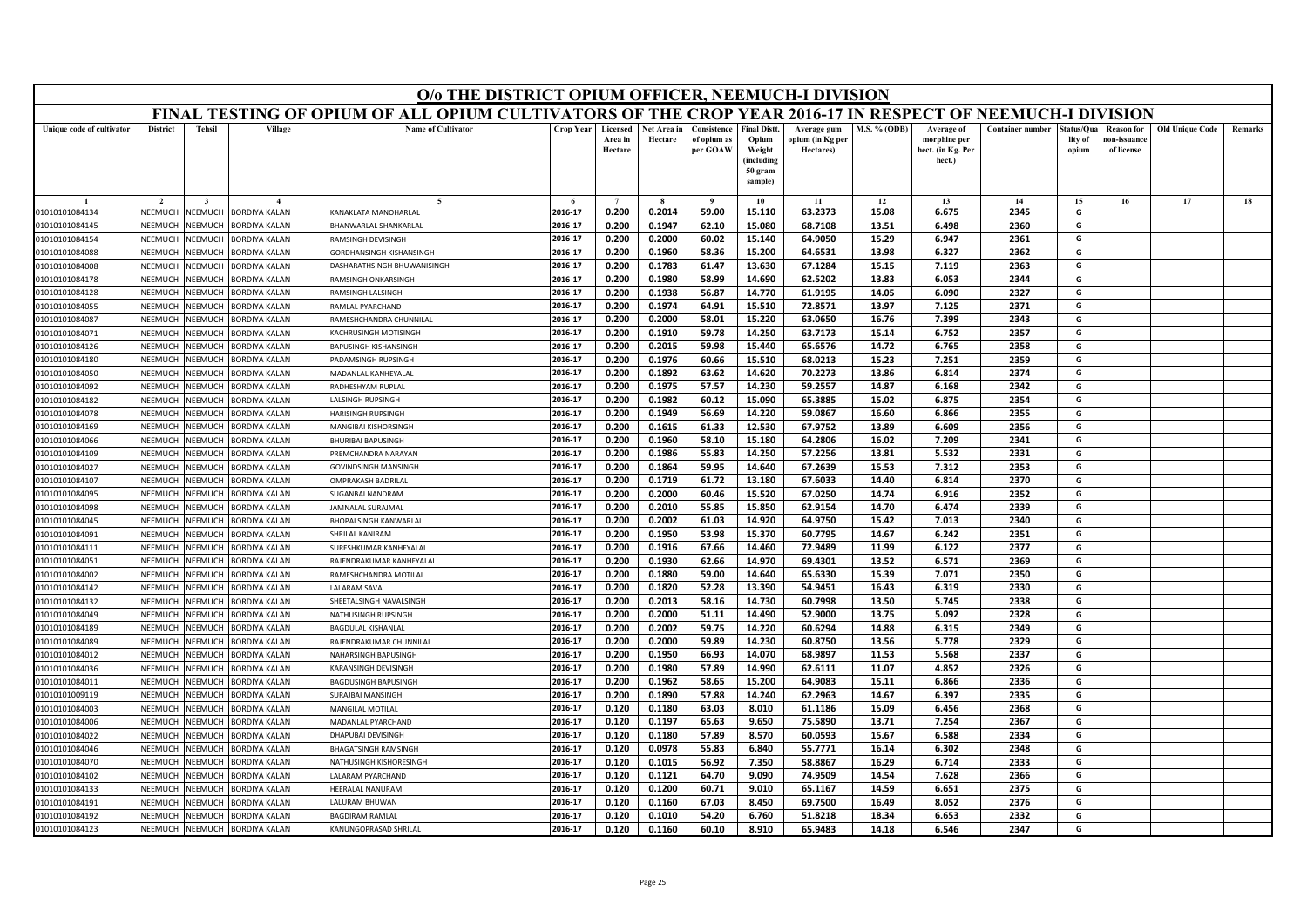|                                                                                                                                                                      | O/o THE DISTRICT OPIUM OFFICER, NEEMUCH-I DIVISION<br>FINAL TESTING OF OPIUM OF ALL OPIUM CULTIVATORS OF THE CROP YEAR 2016-17 IN RESPECT OF NEEMUCH-I DIVISION          |                |                      |                                    |                  |                                |                        |                                        |                                                                           |                                              |              |                                                           |                         |                                |                                                |                        |         |
|----------------------------------------------------------------------------------------------------------------------------------------------------------------------|--------------------------------------------------------------------------------------------------------------------------------------------------------------------------|----------------|----------------------|------------------------------------|------------------|--------------------------------|------------------------|----------------------------------------|---------------------------------------------------------------------------|----------------------------------------------|--------------|-----------------------------------------------------------|-------------------------|--------------------------------|------------------------------------------------|------------------------|---------|
|                                                                                                                                                                      |                                                                                                                                                                          |                |                      |                                    |                  |                                |                        |                                        |                                                                           |                                              |              |                                                           |                         |                                |                                                |                        |         |
| Unique code of cultivator                                                                                                                                            | <b>District</b>                                                                                                                                                          | <b>Tehsil</b>  | Village              | <b>Name of Cultivator</b>          | <b>Crop Year</b> | Licensed<br>Area in<br>Hectare | Net Area in<br>Hectare | Consistence<br>of opium as<br>per GOAW | <b>Final Distt</b><br>Opium<br>Weight<br>(including<br>50 gram<br>sample) | Average gum<br>opium (in Kg per<br>Hectares) | M.S. % (ODB) | Average of<br>morphine per<br>hect. (in Kg. Per<br>hect.) | <b>Container number</b> | štatus/Oua<br>lity of<br>opium | <b>Reason for</b><br>ıon-issuanc<br>of license | <b>Old Unique Code</b> | Remarks |
|                                                                                                                                                                      |                                                                                                                                                                          |                |                      |                                    |                  | $\overline{ }$                 |                        |                                        | 10                                                                        | 11                                           | 12           | 13                                                        | 14                      | 15                             | 16                                             | 17                     | 18      |
| 01010101084134                                                                                                                                                       | 0.200<br>0.2014<br>2016-17<br>59.00<br>63.2373<br>15.08<br>6.675<br>2345<br>G<br>NEEMUCH<br>NEEMUCH<br><b>BORDIYA KALAN</b><br>KANAKLATA MANOHARLAL<br>15.110<br>NEEMUCH |                |                      |                                    |                  |                                |                        |                                        |                                                                           |                                              |              |                                                           |                         |                                |                                                |                        |         |
| 01010101084145                                                                                                                                                       | <b>NEEMUCH</b><br><b>HANWARLAL SHANKARLAL</b><br>2016-17<br>0.200<br>0.1947<br>62.10<br>15.080<br>68.7108<br>13.51<br>6.498<br>2360<br>G<br><b>BORDIYA KALAN</b>         |                |                      |                                    |                  |                                |                        |                                        |                                                                           |                                              |              |                                                           |                         |                                |                                                |                        |         |
| 01010101084154                                                                                                                                                       | NFFMUCH                                                                                                                                                                  | <b>JEEMUCH</b> | <b>BORDIYA KALAN</b> | RAMSINGH DEVISINGH                 | 2016-17          | 0.200                          | 0.2000                 | 60.02                                  | 15.140                                                                    | 64.9050                                      | 15.29        | 6.947                                                     | 2361                    | G                              |                                                |                        |         |
| 01010101084088                                                                                                                                                       | NEEMUCI                                                                                                                                                                  | <b>NEEMUCH</b> | <b>BORDIYA KALAN</b> | GORDHANSINGH KISHANSINGH           | 2016-17          | 0.200                          | 0.1960                 | 58.36                                  | 15.200                                                                    | 64.6531                                      | 13.98        | 6.327                                                     | 2362                    | G                              |                                                |                        |         |
| 01010101084008                                                                                                                                                       | NEEMUCH                                                                                                                                                                  | <b>JEEMUCI</b> | <b>ORDIYA KALAN</b>  | <b>DASHARATHSINGH BHUWANISINGH</b> | 2016-17          | 0.200                          | 0.1783                 | 61.47                                  | 13.630                                                                    | 67.1284                                      | 15.15        | 7.119                                                     | 2363                    | G                              |                                                |                        |         |
| 01010101084178                                                                                                                                                       | 2344<br>2016-17<br>0.200<br>0.1980<br>58.99<br>14.690<br>62.5202<br>13.83<br>6.053<br>G<br>NEEMUCH<br><b>JEEMUCH</b><br><b>BORDIYA KALAN</b><br>RAMSINGH ONKARSINGH      |                |                      |                                    |                  |                                |                        |                                        |                                                                           |                                              |              |                                                           |                         |                                |                                                |                        |         |
| 2327<br>2016-17<br>0.200<br>0.1938<br>56.87<br>14.770<br>61.9195<br>14.05<br>6.090<br>G<br>NEEMUC<br>VEEMUCI<br>01010101084128<br>BORDIYA KALAN<br>RAMSINGH LALSINGH |                                                                                                                                                                          |                |                      |                                    |                  |                                |                        |                                        |                                                                           |                                              |              |                                                           |                         |                                |                                                |                        |         |
| 01010101084055                                                                                                                                                       | NEEMUCH                                                                                                                                                                  | <b>JEEMUCH</b> | <b>ORDIYA KALAN</b>  | AMLAL PYARCHAND                    | 2016-17          | 0.200                          | 0.1974                 | 64.91                                  | 15.510                                                                    | 72.8571                                      | 13.97        | 7.125                                                     | 2371                    | G                              |                                                |                        |         |
| 01010101084087                                                                                                                                                       | NEEMUCH                                                                                                                                                                  | <b>JEEMUCH</b> | <b>BORDIYA KALAN</b> | RAMESHCHANDRA CHUNNILAL            | 2016-17          | 0.200                          | 0.2000                 | 58.01                                  | 15.220                                                                    | 63.0650                                      | 16.76        | 7.399                                                     | 2343                    | G                              |                                                |                        |         |
| 01010101084071                                                                                                                                                       | NFFMUCI                                                                                                                                                                  | VEEMUCH        | <b>BORDIYA KALAN</b> | KACHRUSINGH MOTISINGH              | 2016-17          | 0.200                          | 0.1910                 | 59.78                                  | 14.250                                                                    | 63.7173                                      | 15.14        | 6.752                                                     | 2357                    | G                              |                                                |                        |         |
| 01010101084126                                                                                                                                                       | NEEMUCH                                                                                                                                                                  | <b>JEEMUCH</b> | <b>BORDIYA KALAN</b> | <b>APUSINGH KISHANSINGH</b>        | 2016-17          | 0.200                          | 0.2015                 | 59.98                                  | 15.440                                                                    | 65.6576                                      | 14.72        | 6.765                                                     | 2358                    | G                              |                                                |                        |         |
| 01010101084180                                                                                                                                                       | NEEMUCH                                                                                                                                                                  | <b>JEEMUCI</b> | <b>ORDIYA KALAN</b>  | ADAMSINGH RUPSINGH                 | 2016-17          | 0.200                          | 0.1976                 | 60.66                                  | 15.510                                                                    | 68.0213                                      | 15.23        | 7.251                                                     | 2359                    | G                              |                                                |                        |         |
| 01010101084050                                                                                                                                                       | NFFMUCH                                                                                                                                                                  | <b>JEEMUCH</b> | <b>BORDIYA KALAN</b> | MADANLAL KANHEYALAL                | 2016-17          | 0.200                          | 0.1892                 | 63.62                                  | 14.620                                                                    | 70.2273                                      | 13.86        | 6.814                                                     | 2374                    | G                              |                                                |                        |         |
| 01010101084092                                                                                                                                                       | NEEMUCI                                                                                                                                                                  | <b>JEEMUCH</b> | <b>BORDIYA KALAN</b> | RADHESHYAM RUPLAL                  | 2016-17          | 0.200                          | 0.1975                 | 57.57                                  | 14.230                                                                    | 59.2557                                      | 14.87        | 6.168                                                     | 2342                    | G                              |                                                |                        |         |
| 01010101084182                                                                                                                                                       | NEEMUCH                                                                                                                                                                  | <b>JEEMUC</b>  | <b>BORDIYA KALAN</b> | ALSINGH RUPSINGH                   | 2016-17          | 0.200                          | 0.1982                 | 60.12                                  | 15.090                                                                    | 65.3885                                      | 15.02        | 6.875                                                     | 2354                    | G                              |                                                |                        |         |
| 01010101084078                                                                                                                                                       | NEEMUCH                                                                                                                                                                  | VEEMUCI        | <b>BORDIYA KALAN</b> | <b>HARISINGH RUPSINGH</b>          | 2016-17          | 0.200                          | 0.1949                 | 56.69                                  | 14.220                                                                    | 59.0867                                      | 16.60        | 6.866                                                     | 2355                    | G                              |                                                |                        |         |
| 01010101084169                                                                                                                                                       | NFFMUCI                                                                                                                                                                  | <b>JEEMUCH</b> | BORDIYA KALAN        | MANGIBAI KISHORSINGH               | 2016-17          | 0.200                          | 0.1615                 | 61.33                                  | 12.530                                                                    | 67.9752                                      | 13.89        | 6.609                                                     | 2356                    | G                              |                                                |                        |         |
| 01010101084066                                                                                                                                                       | NEEMUCH                                                                                                                                                                  | <b>JEEMUCI</b> | <b>ORDIYA KALAN</b>  | <b>HURIBAI BAPUSINGH</b>           | 2016-17          | 0.200                          | 0.1960                 | 58.10                                  | 15.180                                                                    | 64.2806                                      | 16.02        | 7.209                                                     | 2341                    | G                              |                                                |                        |         |
| 01010101084109                                                                                                                                                       | NFFMUCH                                                                                                                                                                  | <b>JEEMUCH</b> | <b>BORDIYA KALAN</b> | <b>REMCHANDRA NARAYAN</b>          | 2016-17          | 0.200                          | 0.1986                 | 55.83                                  | 14.250                                                                    | 57.2256                                      | 13.81        | 5.532                                                     | 2331                    | G                              |                                                |                        |         |
| 01010101084027                                                                                                                                                       | NEEMUCH                                                                                                                                                                  | <b>JEEMUCH</b> | <b>BORDIYA KALAN</b> | <b>GOVINDSINGH MANSINGH</b>        | 2016-17          | 0.200                          | 0.1864                 | 59.95                                  | 14.640                                                                    | 67.2639                                      | 15.53        | 7.312                                                     | 2353                    | G                              |                                                |                        |         |
| 01010101084107                                                                                                                                                       | NEEMUCH                                                                                                                                                                  | <b>JEEMUCH</b> | <b>ORDIYA KALAN</b>  | <b>DMPRAKASH BADRILAI</b>          | 2016-17          | 0.200                          | 0.1719                 | 61.72                                  | 13.180                                                                    | 67.6033                                      | 14.40        | 6.814                                                     | 2370                    | G                              |                                                |                        |         |
| 01010101084095                                                                                                                                                       | NEEMUCH                                                                                                                                                                  | <b>JEEMUCH</b> | <b>ORDIYA KALAN</b>  | UGANBAI NANDRAM                    | 2016-17          | 0.200                          | 0.2000                 | 60.46                                  | 15.520                                                                    | 67.0250                                      | 14.74        | 6.916                                                     | 2352                    | G                              |                                                |                        |         |
| 01010101084098                                                                                                                                                       | NFFMUCI                                                                                                                                                                  | <b>JEEMUCH</b> | <b>BORDIYA KALAN</b> | <b>AMNALAL SURAJMAL</b>            | 2016-17          | 0.200                          | 0.2010                 | 55.85                                  | 15.850                                                                    | 62.9154                                      | 14.70        | 6.474                                                     | 2339                    | G                              |                                                |                        |         |
| 01010101084045                                                                                                                                                       | NEEMUCH                                                                                                                                                                  | <b>JEEMUCH</b> | <b>ORDIYA KALAN</b>  | <b>BHOPALSINGH KANWARLAL</b>       | 2016-17          | 0.200                          | 0.2002                 | 61.03                                  | 14.920                                                                    | 64.9750                                      | 15.42        | 7.013                                                     | 2340                    | G                              |                                                |                        |         |
| 01010101084091                                                                                                                                                       | NEEMUCH                                                                                                                                                                  | <b>JEEMUC</b>  | <b>BORDIYA KALAN</b> | <b>HRILAL KANIRAM</b>              | 2016-17          | 0.200                          | 0.1950                 | 53.98                                  | 15.370                                                                    | 60.7795                                      | 14.67        | 6.242                                                     | 2351                    | G                              |                                                |                        |         |
| 01010101084111                                                                                                                                                       | NEEMUCH                                                                                                                                                                  | <b>JEEMUCH</b> | <b>BORDIYA KALAN</b> | <b>JURESHKUMAR KANHEYALAL</b>      | 2016-17          | 0.200                          | 0.1916                 | 67.66                                  | 14.460                                                                    | 72.9489                                      | 11.99        | 6.122                                                     | 2377                    | G                              |                                                |                        |         |
| 01010101084051                                                                                                                                                       | NEEMUCI                                                                                                                                                                  | <b>JEEMUCI</b> | <b>BORDIYA KALAN</b> | RAJENDRAKUMAR KANHEYALAL           | 2016-17          | 0.200                          | 0.1930                 | 62.66                                  | 14.970                                                                    | 69.4301                                      | 13.52        | 6.571                                                     | 2369                    | G                              |                                                |                        |         |
| 01010101084002                                                                                                                                                       | NEEMUCH                                                                                                                                                                  | <b>JEEMUCH</b> | <b>BORDIYA KALAN</b> | RAMESHCHANDRA MOTILAL              | 2016-17          | 0.200                          | 0.1880                 | 59.00                                  | 14.640                                                                    | 65.6330                                      | 15.39        | 7.071                                                     | 2350                    | G                              |                                                |                        |         |
| 01010101084142                                                                                                                                                       | NEEMUCH                                                                                                                                                                  | <b>JEEMUCH</b> | <b>BORDIYA KALAN</b> | ALARAM SAVA                        | 2016-17          | 0.200                          | 0.1820                 | 52.28                                  | 13.390                                                                    | 54.9451                                      | 16.43        | 6.319                                                     | 2330                    | G                              |                                                |                        |         |
| 01010101084132                                                                                                                                                       | NEEMUCI                                                                                                                                                                  | <b>JEEMUC</b>  | <b>BORDIYA KALAN</b> | SHEETALSINGH NAVALSINGH            | 2016-17          | 0.200                          | 0.2013                 | 58.16                                  | 14.730                                                                    | 60.7998                                      | 13.50        | 5.745                                                     | 2338                    | G                              |                                                |                        |         |
| 01010101084049                                                                                                                                                       | NEEMUCH                                                                                                                                                                  | <b>JEEMUCH</b> | <b>BORDIYA KALAN</b> | <b>NATHUSINGH RUPSINGH</b>         | 2016-17          | 0.200                          | 0.2000                 | 51.11                                  | 14.490                                                                    | 52.9000                                      | 13.75        | 5.092                                                     | 2328                    | G                              |                                                |                        |         |
| 01010101084189                                                                                                                                                       | NEEMUCH                                                                                                                                                                  | <b>JEEMUCH</b> | <b>BORDIYA KALAN</b> | <b>BAGDULAL KISHANLAL</b>          | 2016-17          | 0.200                          | 0.2002                 | 59.75                                  | 14.220                                                                    | 60.6294                                      | 14.88        | 6.315                                                     | 2349                    | G                              |                                                |                        |         |
| 01010101084089                                                                                                                                                       | NEEMUCI                                                                                                                                                                  | VEEMUCI        | <b>BORDIYA KALAN</b> | RAJENDRAKUMAR CHUNNILAL            | 2016-17          | 0.200                          | 0.2000                 | 59.89                                  | 14.230                                                                    | 60.8750                                      | 13.56        | 5.778                                                     | 2329                    | G                              |                                                |                        |         |
| 01010101084012                                                                                                                                                       | NEEMUCH                                                                                                                                                                  | <b>JEEMUCH</b> | <b>BORDIYA KALAN</b> | NAHARSINGH BAPUSINGH               | 2016-17          | 0.200                          | 0.1950                 | 66.93                                  | 14.070                                                                    | 68.9897                                      | 11.53        | 5.568                                                     | 2337                    | G                              |                                                |                        |         |
| 01010101084036                                                                                                                                                       | VEEMUCI                                                                                                                                                                  | <b>JEEMUCI</b> | <b>ORDIYA KALAN</b>  | <b>ARANSINGH DEVISINGH</b>         | 2016-17          | 0.200                          | 0.1980                 | 57.89                                  | 14.990                                                                    | 62.6111                                      | 11.07        | 4.852                                                     | 2326                    | G                              |                                                |                        |         |
| 01010101084011                                                                                                                                                       | <b>NFFMUCH</b>                                                                                                                                                           | <b>JEEMUCH</b> | <b>BORDIYA KALAN</b> | BAGDUSINGH BAPUSINGH               | 2016-17          | 0.200                          | 0.1962                 | 58.65                                  | 15.200                                                                    | 64.9083                                      | 15.11        | 6.866                                                     | 2336                    | G                              |                                                |                        |         |
| 01010101009119                                                                                                                                                       | <b>NEEMUCH</b>                                                                                                                                                           | <b>JEEMUCH</b> | <b>ORDIYA KALAN</b>  | URAJBAI MANSINGH                   | 2016-17          | 0.200                          | 0.1890                 | 57.88                                  | 14.240                                                                    | 62.2963                                      | 14.67        | 6.397                                                     | 2335                    | G                              |                                                |                        |         |
| 01010101084003                                                                                                                                                       | <b>NEEMUCH</b>                                                                                                                                                           | <b>JEEMUCH</b> | <b>ORDIYA KALAN</b>  | <b>MANGILAL MOTILAL</b>            | 2016-17          | 0.120                          | 0.1180                 | 63.03                                  | 8.010                                                                     | 61.1186                                      | 15.09        | 6.456                                                     | 2368                    | G                              |                                                |                        |         |
| 01010101084006                                                                                                                                                       | NEEMUCH                                                                                                                                                                  | <b>NEEMUCH</b> | <b>BORDIYA KALAN</b> | MADANLAL PYARCHAND                 | 2016-17          | 0.120                          | 0.1197                 | 65.63                                  | 9.650                                                                     | 75.5890                                      | 13.71        | 7.254                                                     | 2367                    | G                              |                                                |                        |         |
| 01010101084022                                                                                                                                                       | NEEMUCH                                                                                                                                                                  | <b>JEEMUCH</b> | <b>BORDIYA KALAN</b> | HAPUBAI DEVISINGH                  | 2016-17          | 0.120                          | 0.1180                 | 57.89                                  | 8.570                                                                     | 60.0593                                      | 15.67        | 6.588                                                     | 2334                    | G                              |                                                |                        |         |
| 01010101084046                                                                                                                                                       | VEEMUCI                                                                                                                                                                  | <b>JEEMUCH</b> | <b>ORDIYA KALAN</b>  | <b>HAGATSINGH RAMSINGH</b>         | 2016-17          | 0.120                          | 0.0978                 | 55.83                                  | 6.840                                                                     | 55.7771                                      | 16.14        | 6.302                                                     | 2348                    | G                              |                                                |                        |         |
| 01010101084070                                                                                                                                                       | <b>NFFMUCH</b>                                                                                                                                                           | <b>JEEMUC</b>  | <b>BORDIYA KALAN</b> | NATHUSINGH KISHORFSINGH            | 2016-17          | 0.120                          | 0.1015                 | 56.92                                  | 7.350                                                                     | 58.8867                                      | 16.29        | 6.714                                                     | 2333                    | G                              |                                                |                        |         |
| 01010101084102                                                                                                                                                       | NEEMUCH                                                                                                                                                                  | <b>JEEMUCH</b> | <b>BORDIYA KALAN</b> | ALARAM PYARCHAND                   | 2016-17          | 0.120                          | 0.1121                 | 64.70                                  | 9.090                                                                     | 74.9509                                      | 14.54        | 7.628                                                     | 2366                    | G                              |                                                |                        |         |
| 01010101084133                                                                                                                                                       | VEEMUCI                                                                                                                                                                  | <b>JEEMUCI</b> | <b>ORDIYA KALAN</b>  | <b>IEERALAL NANURAM</b>            | 2016-17          | 0.120                          | 0.1200                 | 60.71                                  | 9.010                                                                     | 65.1167                                      | 14.59        | 6.651                                                     | 2375                    | G                              |                                                |                        |         |
| 01010101084191                                                                                                                                                       | NEEMUCH                                                                                                                                                                  | <b>JEEMUCI</b> | <b>ORDIYA KALAN</b>  | ALURAM BHUWAN                      | 2016-17          | 0.120                          | 0.1160                 | 67.03                                  | 8.450                                                                     | 69.7500                                      | 16.49        | 8.052                                                     | 2376                    | G                              |                                                |                        |         |
| 01010101084192                                                                                                                                                       | NFFMUCH                                                                                                                                                                  | VEEMUCH        | BORDIYA KALAN        | <b>BAGDIRAM RAMLAL</b>             | 2016-17          | 0.120                          | 0.1010                 | 54.20                                  | 6.760                                                                     | 51.8218                                      | 18.34        | 6.653                                                     | 2332                    | G                              |                                                |                        |         |
| 01010101084123                                                                                                                                                       | NEEMUCH                                                                                                                                                                  | <b>NEEMUCH</b> | BORDIYA KALAN        | KANUNGOPRASAD SHRILAL              | 2016-17          | 0.120                          | 0.1160                 | 60.10                                  | 8.910                                                                     | 65.9483                                      | 14.18        | 6.546                                                     | 2347                    | G                              |                                                |                        |         |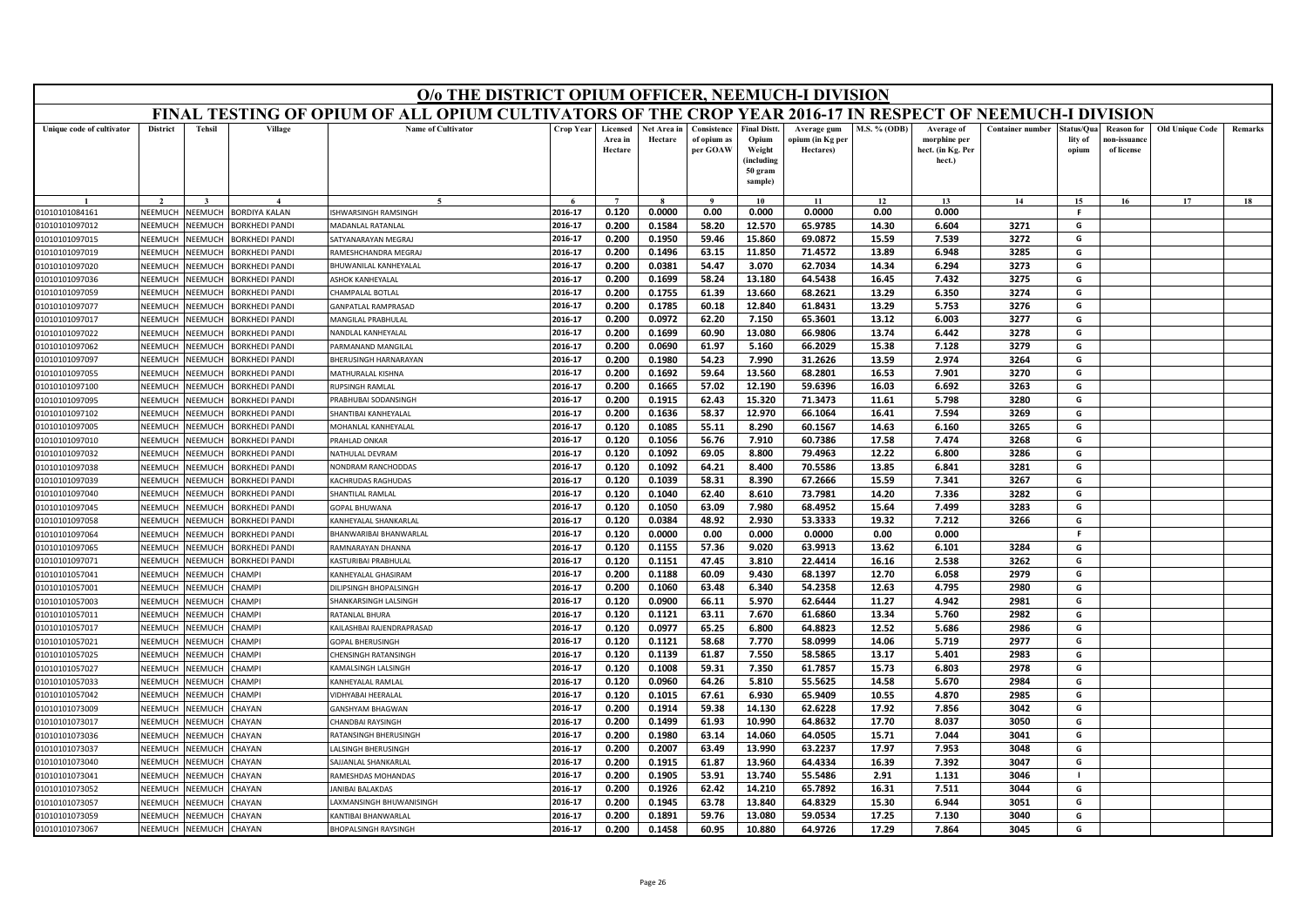|                                  | O/o THE DISTRICT OPIUM OFFICER, NEEMUCH-I DIVISION<br>FINAL TESTING OF OPIUM OF ALL OPIUM CULTIVATORS OF THE CROP YEAR 2016-17 IN RESPECT OF NEEMUCH-I DIVISION |                    |                                                |                                              |                    |                                |                        |                                        |                                                                            |                                              |                     |                                                           |                         |                                |                                                |                        |         |
|----------------------------------|-----------------------------------------------------------------------------------------------------------------------------------------------------------------|--------------------|------------------------------------------------|----------------------------------------------|--------------------|--------------------------------|------------------------|----------------------------------------|----------------------------------------------------------------------------|----------------------------------------------|---------------------|-----------------------------------------------------------|-------------------------|--------------------------------|------------------------------------------------|------------------------|---------|
|                                  |                                                                                                                                                                 |                    |                                                |                                              |                    |                                |                        |                                        |                                                                            |                                              |                     |                                                           |                         |                                |                                                |                        |         |
| Unique code of cultivator        | <b>District</b>                                                                                                                                                 | <b>Tehsil</b>      | Village                                        | <b>Name of Cultivator</b>                    | <b>Crop Year</b>   | Licensed<br>Area in<br>Hectare | Net Area in<br>Hectare | Consistence<br>of opium as<br>per GOAW | <b>Final Distt.</b><br>Opium<br>Weight<br>(including<br>50 gram<br>sample) | Average gum<br>opium (in Kg per<br>Hectares) | <b>M.S. % (ODB)</b> | Average of<br>morphine per<br>hect. (in Kg. Per<br>hect.) | <b>Container number</b> | Status/Qua<br>lity of<br>opium | <b>Reason for</b><br>10n-issuanc<br>of license | <b>Old Unique Code</b> | Remarks |
|                                  |                                                                                                                                                                 |                    |                                                | $\tilde{\phantom{a}}$                        |                    | $\overline{7}$                 |                        |                                        | 10                                                                         | 11                                           | 12                  | 13                                                        | 14                      | 15                             | 16                                             | 17                     | 18      |
| 01010101084161                   | NEEMUCH                                                                                                                                                         | NEEMUCH            | <b>BORDIYA KALAN</b>                           | ISHWARSINGH RAMSINGH                         | 2016-17            | 0.120                          | 0.0000                 | 0.00                                   | 0.000                                                                      | 0.0000                                       | 0.00                | 0.000                                                     |                         | <b>F</b>                       |                                                |                        |         |
| 01010101097012                   | NEEMUCH                                                                                                                                                         | NEEMUCH            | <b>BORKHEDI PANDI</b>                          | <b>MADANLAL RATANLAL</b>                     | 2016-17            | 0.200                          | 0.1584                 | 58.20                                  | 12.570                                                                     | 65.9785                                      | 14.30               | 6.604                                                     | 3271                    | G                              |                                                |                        |         |
| 01010101097015                   | <b>SEEMUCH</b>                                                                                                                                                  | NEEMUCH            | <b>BORKHEDI PANDI</b>                          | SATYANARAYAN MEGRAJ                          | 2016-17            | 0.200                          | 0.1950                 | 59.46                                  | 15.860                                                                     | 69.0872                                      | 15.59               | 7.539                                                     | 3272                    | G                              |                                                |                        |         |
| 01010101097019                   | NEEMUCH                                                                                                                                                         | NEEMUCH            | <b>BORKHEDI PANDI</b>                          | RAMESHCHANDRA MEGRA                          | 2016-17            | 0.200                          | 0.1496                 | 63.15                                  | 11.850                                                                     | 71.4572                                      | 13.89               | 6.948                                                     | 3285                    | G                              |                                                |                        |         |
| 01010101097020                   | NEEMUCH                                                                                                                                                         | NEEMUCH            | <b>BORKHEDI PANDI</b>                          | BHUWANILAL KANHEYALAL                        | 2016-17            | 0.200                          | 0.0381                 | 54.47                                  | 3.070                                                                      | 62.7034                                      | 14.34               | 6.294                                                     | 3273                    | G                              |                                                |                        |         |
| 01010101097036                   | NEEMUCH                                                                                                                                                         | NEEMUCH            | <b>BORKHEDI PANDI</b>                          | <b>ASHOK KANHEYALAL</b>                      | 2016-17            | 0.200                          | 0.1699                 | 58.24                                  | 13.180                                                                     | 64.5438                                      | 16.45               | 7.432                                                     | 3275                    | G                              |                                                |                        |         |
| 01010101097059                   | NEEMUCI                                                                                                                                                         | NEEMUCH            | <b>BORKHEDI PANDI</b>                          | CHAMPALAL BOTLAL                             | 2016-17            | 0.200                          | 0.1755                 | 61.39                                  | 13.660                                                                     | 68.2621                                      | 13.29               | 6.350                                                     | 3274                    | G                              |                                                |                        |         |
| 01010101097077                   | NEEMUCH                                                                                                                                                         | <b>NEEMUCH</b>     | BORKHEDI PANDI                                 | <b>GANPATLAL RAMPRASAD</b>                   | 2016-17            | 0.200                          | 0.1785                 | 60.18                                  | 12.840                                                                     | 61.8431                                      | 13.29               | 5.753                                                     | 3276                    | G                              |                                                |                        |         |
| 01010101097017                   | NEEMUCH                                                                                                                                                         | NEEMUCH            | <b>BORKHEDI PANDI</b>                          | MANGILAL PRABHULAI                           | 2016-17            | 0.200                          | 0.0972                 | 62.20                                  | 7.150                                                                      | 65.3601                                      | 13.12               | 6.003                                                     | 3277                    | G                              |                                                |                        |         |
| 01010101097022                   | NEEMUCH                                                                                                                                                         | NEEMUCH            | <b>BORKHEDI PANDI</b>                          | NANDLAL KANHEYALAL                           | 2016-17            | 0.200                          | 0.1699                 | 60.90                                  | 13.080                                                                     | 66.9806                                      | 13.74               | 6.442                                                     | 3278                    | G                              |                                                |                        |         |
| 01010101097062                   | NEEMUCH                                                                                                                                                         | <b>NEEMUCH</b>     | <b>BORKHEDI PANDI</b>                          | ARMANAND MANGILAI                            | 2016-17            | 0.200                          | 0.0690                 | 61.97                                  | 5.160                                                                      | 66.2029                                      | 15.38               | 7.128                                                     | 3279                    | G                              |                                                |                        |         |
| 01010101097097                   | NEEMUCH                                                                                                                                                         | VEEMUCH            | <b>BORKHEDI PANDI</b>                          | BHERUSINGH HARNARAYAN                        | 2016-17            | 0.200                          | 0.1980                 | 54.23                                  | 7.990                                                                      | 31.2626                                      | 13.59               | 2.974                                                     | 3264                    | G                              |                                                |                        |         |
| 01010101097055                   | NFFMUCH                                                                                                                                                         | NFFMUCH            | <b>BORKHEDI PANDI</b>                          | MATHURALAL KISHNA                            | 2016-17            | 0.200                          | 0.1692                 | 59.64                                  | 13.560                                                                     | 68.2801                                      | 16.53               | 7.901                                                     | 3270                    | G                              |                                                |                        |         |
| 01010101097100                   | NEEMUCH                                                                                                                                                         | NEEMUCH            | <b>BORKHEDI PANDI</b>                          | RUPSINGH RAMLAL                              | 2016-17            | 0.200                          | 0.1665                 | 57.02                                  | 12.190                                                                     | 59.6396                                      | 16.03               | 6.692                                                     | 3263                    | G                              |                                                |                        |         |
| 01010101097095                   | NEEMUCH<br>NEEMUCH                                                                                                                                              | VEEMUCH<br>NEEMUCH | <b>BORKHEDI PANDI</b>                          | PRABHUBAI SODANSINGH<br>SHANTIBAI KANHEYALAL | 2016-17            | 0.200                          | 0.1915                 | 62.43                                  | 15.320                                                                     | 71.3473                                      | 11.61               | 5.798                                                     | 3280                    | G                              |                                                |                        |         |
| 01010101097102<br>01010101097005 | NEEMUCH                                                                                                                                                         | NEEMUCH            | <b>BORKHEDI PANDI</b><br><b>BORKHEDI PANDI</b> |                                              | 2016-17<br>2016-17 | 0.200                          | 0.1636                 | 58.37                                  | 12.970                                                                     | 66.1064                                      | 16.41               | 7.594                                                     | 3269                    | G<br>G                         |                                                |                        |         |
|                                  | NEEMUCH                                                                                                                                                         | <b>NEEMUCH</b>     | <b>BORKHEDI PANDI</b>                          | MOHANLAL KANHEYALAL<br>PRAHLAD ONKAR         | 2016-17            | 0.120<br>0.120                 | 0.1085<br>0.1056       | 55.11<br>56.76                         | 8.290<br>7.910                                                             | 60.1567<br>60.7386                           | 14.63<br>17.58      | 6.160<br>7.474                                            | 3265<br>3268            | G                              |                                                |                        |         |
| 01010101097010                   | NFFMUCH                                                                                                                                                         | <b>SEEMUCH</b>     | <b>BORKHEDI PANDI</b>                          | NATHULAL DEVRAM                              | 2016-17            | 0.120                          | 0.1092                 | 69.05                                  | 8.800                                                                      | 79.4963                                      | 12.22               | 6.800                                                     | 3286                    | G                              |                                                |                        |         |
| 01010101097032<br>01010101097038 | NEEMUCH                                                                                                                                                         | NEEMUCH            | <b>BORKHEDI PANDI</b>                          | NONDRAM RANCHODDAS                           | 2016-17            | 0.120                          | 0.1092                 | 64.21                                  | 8.400                                                                      | 70.5586                                      | 13.85               | 6.841                                                     | 3281                    | G                              |                                                |                        |         |
| 01010101097039                   | VEEMUCH                                                                                                                                                         | <b>JEEMUCH</b>     | <b>SORKHEDI PANDI</b>                          | KACHRUDAS RAGHUDAS                           | 2016-17            | 0.120                          | 0.1039                 | 58.31                                  | 8.390                                                                      | 67.2666                                      | 15.59               | 7.341                                                     | 3267                    | G                              |                                                |                        |         |
| 01010101097040                   | NEEMUCH                                                                                                                                                         | VEEMUCH            | <b>BORKHEDI PANDI</b>                          | SHANTILAL RAMLAL                             | 2016-17            | 0.120                          | 0.1040                 | 62.40                                  | 8.610                                                                      | 73.7981                                      | 14.20               | 7.336                                                     | 3282                    | G                              |                                                |                        |         |
| 01010101097045                   | NFFMUCH                                                                                                                                                         | VEEMUCH            | <b>BORKHEDI PANDI</b>                          | GOPAL BHUWANA                                | 2016-17            | 0.120                          | 0.1050                 | 63.09                                  | 7.980                                                                      | 68.4952                                      | 15.64               | 7.499                                                     | 3283                    | G                              |                                                |                        |         |
| 01010101097058                   | NEEMUCI                                                                                                                                                         | <b>NEEMUCH</b>     | <b>BORKHEDI PANDI</b>                          | KANHEYALAL SHANKARLAI                        | 2016-17            | 0.120                          | 0.0384                 | 48.92                                  | 2.930                                                                      | 53.3333                                      | 19.32               | 7.212                                                     | 3266                    | G                              |                                                |                        |         |
| 01010101097064                   | NEEMUCH                                                                                                                                                         | NEEMUCH            | <b>BORKHEDI PANDI</b>                          | BHANWARIBAI BHANWARLAI                       | 2016-17            | 0.120                          | 0.0000                 | 0.00                                   | 0.000                                                                      | 0.0000                                       | 0.00                | 0.000                                                     |                         | F.                             |                                                |                        |         |
| 01010101097065                   | NEEMUCH                                                                                                                                                         | NEEMUCH            | <b>BORKHEDI PANDI</b>                          | RAMNARAYAN DHANNA                            | 2016-17            | 0.120                          | 0.1155                 | 57.36                                  | 9.020                                                                      | 63.9913                                      | 13.62               | 6.101                                                     | 3284                    | G                              |                                                |                        |         |
| 01010101097071                   | NEEMUCI                                                                                                                                                         | VEEMUCH            | <b>BORKHEDI PANDI</b>                          | KASTURIBAI PRABHULAL                         | 2016-17            | 0.120                          | 0.1151                 | 47.45                                  | 3.810                                                                      | 22.4414                                      | 16.16               | 2.538                                                     | 3262                    | G                              |                                                |                        |         |
| 01010101057041                   | NEEMUCH                                                                                                                                                         | VEEMUCH            | <b>HAMPI</b>                                   | KANHEYALAL GHASIRAM                          | 2016-17            | 0.200                          | 0.1188                 | 60.09                                  | 9.430                                                                      | 68.1397                                      | 12.70               | 6.058                                                     | 2979                    | G                              |                                                |                        |         |
| 01010101057001                   | NEEMUCH                                                                                                                                                         | NEEMUCH            | <b>CHAMPI</b>                                  | DILIPSINGH BHOPALSINGH                       | 2016-17            | 0.200                          | 0.1060                 | 63.48                                  | 6.340                                                                      | 54.2358                                      | 12.63               | 4.795                                                     | 2980                    | G                              |                                                |                        |         |
| 01010101057003                   | NEEMUCH                                                                                                                                                         | VEEMUCI            | :HAMPI                                         | SHANKARSINGH LALSINGH                        | 2016-17            | 0.120                          | 0.0900                 | 66.11                                  | 5.970                                                                      | 62.6444                                      | 11.27               | 4.942                                                     | 2981                    | G                              |                                                |                        |         |
| 01010101057011                   | NEEMUCH                                                                                                                                                         | VEEMUCH            | <b>HAMPI</b>                                   | RATANLAL BHURA                               | 2016-17            | 0.120                          | 0.1121                 | 63.11                                  | 7.670                                                                      | 61.6860                                      | 13.34               | 5.760                                                     | 2982                    | G                              |                                                |                        |         |
| 01010101057017                   | NEEMUCH                                                                                                                                                         | NEEMUCH            | <b>CHAMPI</b>                                  | KAILASHBAI RAJENDRAPRASAD                    | 2016-17            | 0.120                          | 0.0977                 | 65.25                                  | 6.800                                                                      | 64.8823                                      | 12.52               | 5.686                                                     | 2986                    | G                              |                                                |                        |         |
| 01010101057021                   | NEEMUCH                                                                                                                                                         | NEEMUCH            | <b>HAMPI</b>                                   | <b>GOPAL BHERUSINGH</b>                      | 2016-17            | 0.120                          | 0.1121                 | 58.68                                  | 7.770                                                                      | 58.0999                                      | 14.06               | 5.719                                                     | 2977                    | G                              |                                                |                        |         |
| 01010101057025                   | NEEMUCH                                                                                                                                                         | NEEMUCH            | <b>HAMPI</b>                                   | CHENSINGH RATANSINGH                         | 2016-17            | 0.120                          | 0.1139                 | 61.87                                  | 7.550                                                                      | 58.5865                                      | 13.17               | 5.401                                                     | 2983                    | G                              |                                                |                        |         |
| 01010101057027                   | <b>JEEMUCH</b>                                                                                                                                                  | VEEMUCH            | <b>HAMPI</b>                                   | <b>KAMALSINGH LALSINGH</b>                   | 2016-17            | 0.120                          | 0.1008                 | 59.31                                  | 7.350                                                                      | 61.7857                                      | 15.73               | 6.803                                                     | 2978                    | G                              |                                                |                        |         |
| 01010101057033                   | <b>NFFMUCH</b>                                                                                                                                                  | NEEMUCH            | <b>HAMPI</b>                                   | KANHEYALAL RAMLAL                            | 2016-17            | 0.120                          | 0.0960                 | 64.26                                  | 5.810                                                                      | 55.5625                                      | 14.58               | 5.670                                                     | 2984                    | G                              |                                                |                        |         |
| 01010101057042                   | NEEMUCH                                                                                                                                                         | VEEMUCH            | <b>HAMPI</b>                                   | <b>VIDHYABAI HEERALAL</b>                    | 2016-17            | 0.120                          | 0.1015                 | 67.61                                  | 6.930                                                                      | 65.9409                                      | 10.55               | 4.870                                                     | 2985                    | G                              |                                                |                        |         |
| 01010101073009                   | VEEMUCH                                                                                                                                                         | VEEMUCH            | <b>HAYAN</b>                                   | GANSHYAM BHAGWAN                             | 2016-17            | 0.200                          | 0.1914                 | 59.38                                  | 14.130                                                                     | 62.6228                                      | 17.92               | 7.856                                                     | 3042                    | G                              |                                                |                        |         |
| 01010101073017                   | NEEMUCH                                                                                                                                                         | NEEMUCH            | <b>HAYAN</b>                                   | <b>CHANDBAL RAYSINGH</b>                     | 2016-17            | 0.200                          | 0.1499                 | 61.93                                  | 10.990                                                                     | 64.8632                                      | 17.70               | 8.037                                                     | 3050                    | G                              |                                                |                        |         |
| 01010101073036                   | NEEMUCH                                                                                                                                                         | <b>NEEMUCH</b>     | <b>HAYAN</b>                                   | RATANSINGH BHERUSINGH                        | 2016-17            | 0.200                          | 0.1980                 | 63.14                                  | 14.060                                                                     | 64.0505                                      | 15.71               | 7.044                                                     | 3041                    | G                              |                                                |                        |         |
| 01010101073037                   | <b>NEEMUCI</b>                                                                                                                                                  | VEEMUCH            | <b>HAYAN</b>                                   | ALSINGH BHERUSINGH                           | 2016-17            | 0.200                          | 0.2007                 | 63.49                                  | 13.990                                                                     | 63.2237                                      | 17.97               | 7.953                                                     | 3048                    | G                              |                                                |                        |         |
| 01010101073040                   | <b>NFFMUCH</b>                                                                                                                                                  | NEEMUCH            | <b>HAYAN</b>                                   | SAJJANLAL SHANKARLAI                         | 2016-17            | 0.200                          | 0.1915                 | 61.87                                  | 13.960                                                                     | 64.4334                                      | 16.39               | 7.392                                                     | 3047                    | G                              |                                                |                        |         |
| 01010101073041                   | NEEMUCH                                                                                                                                                         | VEEMUCH            | <b>HAYAN</b>                                   | RAMESHDAS MOHANDAS                           | 2016-17            | 0.200                          | 0.1905                 | 53.91                                  | 13.740                                                                     | 55.5486                                      | 2.91                | 1.131                                                     | 3046                    | -1                             |                                                |                        |         |
| 01010101073052                   | VEEMUCI                                                                                                                                                         | VEEMUCI            | <b>HAYAN</b>                                   | ANIBAI BALAKDAS                              | 2016-17            | 0.200                          | 0.1926                 | 62.42                                  | 14.210                                                                     | 65.7892                                      | 16.31               | 7.511                                                     | 3044                    | G                              |                                                |                        |         |
| 01010101073057                   | NEEMUCH                                                                                                                                                         | NEEMUCI            | <b>HAYAN</b>                                   | AXMANSINGH BHUWANISINGH                      | 2016-17            | 0.200                          | 0.1945                 | 63.78                                  | 13.840                                                                     | 64.8329                                      | 15.30               | 6.944                                                     | 3051                    | G                              |                                                |                        |         |
| 01010101073059                   | NEEMUCH                                                                                                                                                         | NEEMUCH            | <b>HAYAN</b>                                   | KANTIBAI BHANWARLAL                          | 2016-17            | 0.200                          | 0.1891                 | 59.76                                  | 13.080                                                                     | 59.0534                                      | 17.25               | 7.130                                                     | 3040                    | G                              |                                                |                        |         |
| 01010101073067                   | NEEMUCH                                                                                                                                                         | NEEMUCH            | <b>CHAYAN</b>                                  | <b>BHOPALSINGH RAYSINGH</b>                  | 2016-17            | 0.200                          | 0.1458                 | 60.95                                  | 10.880                                                                     | 64.9726                                      | 17.29               | 7.864                                                     | 3045                    | G                              |                                                |                        |         |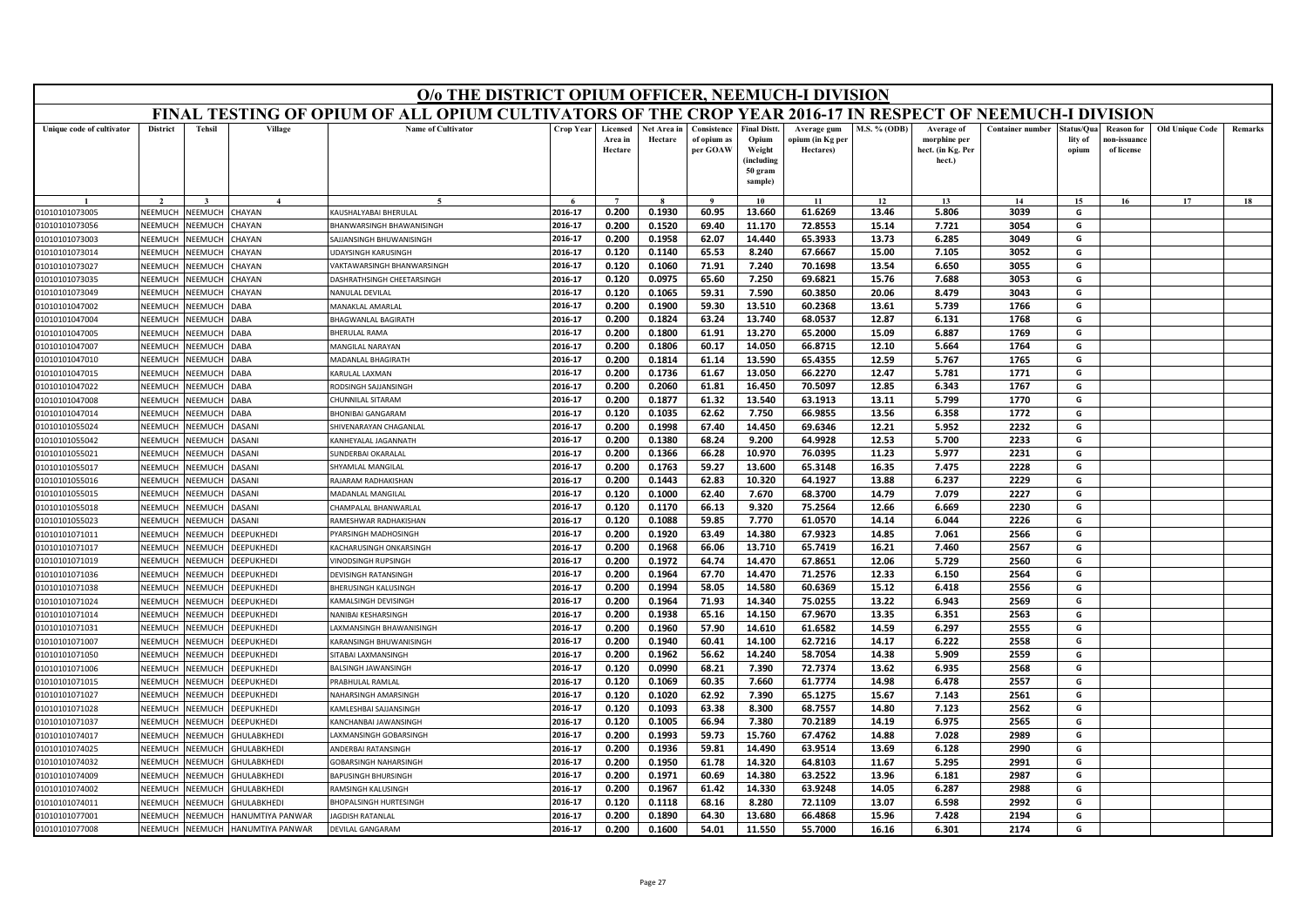|                                  | O/o THE DISTRICT OPIUM OFFICER, NEEMUCH-I DIVISION<br>FINAL TESTING OF OPIUM OF ALL OPIUM CULTIVATORS OF THE CROP YEAR 2016-17 IN RESPECT OF NEEMUCH-I DIVISION |                           |                        |                                            |                    |                                |                        |                                        |                                                                            |                                              |                     |                                                           |                         |                                |                                                |                        |                |
|----------------------------------|-----------------------------------------------------------------------------------------------------------------------------------------------------------------|---------------------------|------------------------|--------------------------------------------|--------------------|--------------------------------|------------------------|----------------------------------------|----------------------------------------------------------------------------|----------------------------------------------|---------------------|-----------------------------------------------------------|-------------------------|--------------------------------|------------------------------------------------|------------------------|----------------|
|                                  |                                                                                                                                                                 |                           |                        |                                            |                    |                                |                        |                                        |                                                                            |                                              |                     |                                                           |                         |                                |                                                |                        |                |
| Unique code of cultivator        | <b>District</b>                                                                                                                                                 | <b>Tehsil</b>             | Village                | <b>Name of Cultivator</b>                  | <b>Crop Year</b>   | Licensed<br>Area in<br>Hectare | Net Area in<br>Hectare | Consistence<br>of opium as<br>per GOAW | <b>Final Distt.</b><br>Opium<br>Weight<br>(including<br>50 gram<br>sample) | Average gum<br>opium (in Kg per<br>Hectares) | <b>M.S. % (ODB)</b> | Average of<br>morphine per<br>hect. (in Kg. Per<br>hect.) | <b>Container number</b> | Status/Qua<br>lity of<br>opium | <b>Reason</b> for<br>10n-issuanc<br>of license | <b>Old Unique Code</b> | <b>Remarks</b> |
|                                  |                                                                                                                                                                 |                           | $\mathbf{4}$           |                                            |                    | $\overline{7}$                 |                        |                                        | 10                                                                         | 11                                           | 12                  | 13                                                        | 14                      | 15                             | 16                                             | 17                     | 18             |
| 01010101073005                   | NEEMUCH                                                                                                                                                         | NEEMUCH                   | <b>CHAYAN</b>          | KAUSHALYABAI BHERULAL                      | 2016-17            | 0.200                          | 0.1930                 | 60.95                                  | 13.660                                                                     | 61.6269                                      | 13.46               | 5.806                                                     | 3039                    | G                              |                                                |                        |                |
| 01010101073056                   | NEEMUCH                                                                                                                                                         | NEEMUCH                   | <b>HAYAN</b>           | BHANWARSINGH BHAWANISINGH                  | 2016-17            | 0.200                          | 0.1520                 | 69.40                                  | 11.170                                                                     | 72.8553                                      | 15.14               | 7.721                                                     | 3054                    | G                              |                                                |                        |                |
| 01010101073003                   | NEEMUCH                                                                                                                                                         | NEEMUCH                   | <b>CHAYAN</b>          | SAJJANSINGH BHUWANISINGH                   | 2016-17            | 0.200                          | 0.1958                 | 62.07                                  | 14.440                                                                     | 65.3933                                      | 13.73               | 6.285                                                     | 3049                    | G                              |                                                |                        |                |
| 01010101073014                   | NEEMUCI                                                                                                                                                         | NEEMUCH                   | <b>HAYAN</b>           | <b>UDAYSINGH KARUSINGH</b>                 | 2016-17            | 0.120                          | 0.1140                 | 65.53                                  | 8.240                                                                      | 67.6667                                      | 15.00               | 7.105                                                     | 3052                    | G                              |                                                |                        |                |
| 01010101073027                   | NEEMUCH                                                                                                                                                         | NEEMUCH                   | <b>HAYAN</b>           | VAKTAWARSINGH BHANWARSINGH                 | 2016-17            | 0.120                          | 0.1060                 | 71.91                                  | 7.240                                                                      | 70.1698                                      | 13.54               | 6.650                                                     | 3055                    | G                              |                                                |                        |                |
| 01010101073035                   | NEEMUCH                                                                                                                                                         | NEEMUCH                   | <b>CHAYAN</b>          | DASHRATHSINGH CHEETARSINGH                 | 2016-17            | 0.120                          | 0.0975                 | 65.60                                  | 7.250                                                                      | 69.6821                                      | 15.76               | 7.688                                                     | 3053                    | G                              |                                                |                        |                |
| 01010101073049                   | NEEMUCI                                                                                                                                                         | NEEMUCH                   | <b>HAYAN</b>           | NANULAL DEVILAI                            | 2016-17            | 0.120                          | 0.1065                 | 59.31                                  | 7.590                                                                      | 60.3850                                      | 20.06               | 8.479                                                     | 3043                    | G                              |                                                |                        |                |
| 01010101047002                   | NEEMUCH                                                                                                                                                         | NEEMUCH                   | DABA                   | MANAKLAL AMARLAL                           | 2016-17            | 0.200                          | 0.1900                 | 59.30                                  | 13.510                                                                     | 60.2368                                      | 13.61               | 5.739                                                     | 1766                    | G                              |                                                |                        |                |
| 01010101047004                   | NEEMUCH                                                                                                                                                         | NEEMUCH                   | DABA                   | <b>BHAGWANLAL BAGIRATH</b>                 | 2016-17            | 0.200                          | 0.1824                 | 63.24                                  | 13.740                                                                     | 68.0537                                      | 12.87               | 6.131                                                     | 1768                    | G                              |                                                |                        |                |
| 01010101047005                   | NEEMUCI                                                                                                                                                         | NEEMUCH                   | <b>DABA</b>            | <b>BHERULAL RAMA</b>                       | 2016-17            | 0.200                          | 0.1800                 | 61.91                                  | 13.270                                                                     | 65.2000                                      | 15.09               | 6.887                                                     | 1769                    | G                              |                                                |                        |                |
| 01010101047007                   | NEEMUCH                                                                                                                                                         | <b>NEEMUCH</b>            | DABA                   | MANGILAL NARAYAN                           | 2016-17            | 0.200                          | 0.1806                 | 60.17                                  | 14.050                                                                     | 66.8715                                      | 12.10               | 5.664                                                     | 1764                    | G                              |                                                |                        |                |
| 01010101047010                   | NEEMUCH                                                                                                                                                         | NEEMUCH                   | DABA                   | MADANLAL BHAGIRATH                         | 2016-17            | 0.200                          | 0.1814                 | 61.14                                  | 13.590                                                                     | 65.4355                                      | 12.59               | 5.767                                                     | 1765                    | G                              |                                                |                        |                |
| 01010101047015                   | NEEMUCH                                                                                                                                                         | NEEMUCH                   | <b>DABA</b>            | KARULAL LAXMAN                             | 2016-17            | 0.200                          | 0.1736                 | 61.67                                  | 13.050                                                                     | 66.2270                                      | 12.47               | 5.781                                                     | 1771                    | G                              |                                                |                        |                |
| 01010101047022                   | NEEMUCH                                                                                                                                                         | NEEMUCH                   | <b>DABA</b>            | RODSINGH SAJJANSINGH                       | 2016-17            | 0.200                          | 0.2060                 | 61.81                                  | 16.450                                                                     | 70.5097                                      | 12.85               | 6.343                                                     | 1767                    | G                              |                                                |                        |                |
| 01010101047008                   | NEEMUCH                                                                                                                                                         | NEEMUCH                   | <b>DABA</b>            | CHUNNILAL SITARAM                          | 2016-17            | 0.200                          | 0.1877                 | 61.32                                  | 13.540                                                                     | 63.1913                                      | 13.11               | 5.799                                                     | 1770                    | G                              |                                                |                        |                |
| 01010101047014                   | NEEMUCH<br>NEEMUCH                                                                                                                                              | NEEMUCH                   | <b>DABA</b>            | <b>BHONIBAI GANGARAM</b>                   | 2016-17            | 0.120                          | 0.1035                 | 62.62                                  | 7.750                                                                      | 66.9855                                      | 13.56               | 6.358                                                     | 1772                    | G                              |                                                |                        |                |
| 01010101055024<br>01010101055042 | NEEMUCI                                                                                                                                                         | NEEMUCH<br>VEEMUCH        | DASANI<br><b>ASANI</b> | SHIVENARAYAN CHAGANLAL                     | 2016-17<br>2016-17 | 0.200<br>0.200                 | 0.1998<br>0.1380       | 67.40<br>68.24                         | 14.450<br>9.200                                                            | 69.6346<br>64.9928                           | 12.21<br>12.53      | 5.952<br>5.700                                            | 2232<br>2233            | G<br>G                         |                                                |                        |                |
|                                  | NEEMUCH                                                                                                                                                         | NEEMUCH                   | DASANI                 | KANHEYALAL JAGANNATH<br>SUNDERBAI OKARALAL | 2016-17            | 0.200                          | 0.1366                 | 66.28                                  | 10.970                                                                     | 76.0395                                      | 11.23               | 5.977                                                     | 2231                    | G                              |                                                |                        |                |
| 01010101055021                   |                                                                                                                                                                 |                           | <b>DASANI</b>          | SHYAMLAL MANGILAL                          | 2016-17            | 0.200                          | 0.1763                 | 59.27                                  | 13.600                                                                     | 65.3148                                      | 16.35               | 7.475                                                     | 2228                    | G                              |                                                |                        |                |
| 01010101055017<br>01010101055016 | NEEMUCH<br>NEEMUCH                                                                                                                                              | <b>NEEMUCH</b><br>VEEMUCH | <b>ASANI</b>           | RAJARAM RADHAKISHAN                        | 2016-17            | 0.200                          | 0.1443                 | 62.83                                  | 10.320                                                                     | 64.1927                                      | 13.88               | 6.237                                                     | 2229                    | G                              |                                                |                        |                |
| 01010101055015                   | NFFMUCH                                                                                                                                                         | NFFMUCH                   | DASANI                 | MADANLAL MANGILAL                          | 2016-17            | 0.120                          | 0.1000                 | 62.40                                  | 7.670                                                                      | 68.3700                                      | 14.79               | 7.079                                                     | 2227                    | G                              |                                                |                        |                |
| 01010101055018                   | NEEMUCH                                                                                                                                                         | VEEMUCH                   | DASANI                 | HAMPALAL BHANWARLAI                        | 2016-17            | 0.120                          | 0.1170                 | 66.13                                  | 9.320                                                                      | 75.2564                                      | 12.66               | 6.669                                                     | 2230                    | G                              |                                                |                        |                |
| 01010101055023                   | NEEMUCI                                                                                                                                                         | VEEMUCH                   | <b>ASANI</b>           | RAMESHWAR RADHAKISHAN                      | 2016-17            | 0.120                          | 0.1088                 | 59.85                                  | 7.770                                                                      | 61.0570                                      | 14.14               | 6.044                                                     | 2226                    | G                              |                                                |                        |                |
| 01010101071011                   | NEEMUCH                                                                                                                                                         | VEEMUCH                   | <b>DEEPUKHEDI</b>      | PYARSINGH MADHOSINGH                       | 2016-17            | 0.200                          | 0.1920                 | 63.49                                  | 14.380                                                                     | 67.9323                                      | 14.85               | 7.061                                                     | 2566                    | G                              |                                                |                        |                |
| 01010101071017                   | NEEMUCH                                                                                                                                                         | VEEMUCH                   | DEEPUKHEDI             | KACHARUSINGH ONKARSINGH                    | 2016-17            | 0.200                          | 0.1968                 | 66.06                                  | 13.710                                                                     | 65.7419                                      | 16.21               | 7.460                                                     | 2567                    | G                              |                                                |                        |                |
| 01010101071019                   | NEEMUCI                                                                                                                                                         | <b>NEEMUCH</b>            | <b>DEEPUKHEDI</b>      | <b>INODSINGH RUPSINGH</b>                  | 2016-17            | 0.200                          | 0.1972                 | 64.74                                  | 14.470                                                                     | 67.8651                                      | 12.06               | 5.729                                                     | 2560                    | G                              |                                                |                        |                |
| 01010101071036                   | NEEMUCH                                                                                                                                                         | NEEMUCH                   | DEEPUKHEDI             | <b>DEVISINGH RATANSINGH</b>                | 2016-17            | 0.200                          | 0.1964                 | 67.70                                  | 14.470                                                                     | 71.2576                                      | 12.33               | 6.150                                                     | 2564                    | G                              |                                                |                        |                |
| 01010101071038                   | NEEMUCH                                                                                                                                                         | NEEMUCH                   | DEEPUKHEDI             | BHERUSINGH KALUSINGH                       | 2016-17            | 0.200                          | 0.1994                 | 58.05                                  | 14.580                                                                     | 60.6369                                      | 15.12               | 6.418                                                     | 2556                    | G                              |                                                |                        |                |
| 01010101071024                   | NEEMUCI                                                                                                                                                         | VEEMUCH                   | <b>DEEPUKHEDI</b>      | KAMALSINGH DEVISINGH                       | 2016-17            | 0.200                          | 0.1964                 | 71.93                                  | 14.340                                                                     | 75.0255                                      | 13.22               | 6.943                                                     | 2569                    | G                              |                                                |                        |                |
| 01010101071014                   | NEEMUCH                                                                                                                                                         | NEEMUCH                   | DEEPUKHEDI             | NANIBAI KESHARSINGH                        | 2016-17            | 0.200                          | 0.1938                 | 65.16                                  | 14.150                                                                     | 67.9670                                      | 13.35               | 6.351                                                     | 2563                    | G                              |                                                |                        |                |
| 01010101071031                   | NFFMUCH                                                                                                                                                         | NFFMUCH                   | <b>DFFPUKHFDI</b>      | AXMANSINGH BHAWANISINGH                    | 2016-17            | 0.200                          | 0.1960                 | 57.90                                  | 14.610                                                                     | 61.6582                                      | 14.59               | 6.297                                                     | 2555                    | G                              |                                                |                        |                |
| 01010101071007                   | NEEMUCI                                                                                                                                                         | VEEMUCI                   | DEEPUKHEDI             | KARANSINGH BHUWANISINGH                    | 2016-17            | 0.200                          | 0.1940                 | 60.41                                  | 14.100                                                                     | 62.7216                                      | 14.17               | 6.222                                                     | 2558                    | G                              |                                                |                        |                |
| 01010101071050                   | NEEMUCH                                                                                                                                                         | NEEMUCH                   | DEEPUKHEDI             | SITABAI LAXMANSINGH                        | 2016-17            | 0.200                          | 0.1962                 | 56.62                                  | 14.240                                                                     | 58.7054                                      | 14.38               | 5.909                                                     | 2559                    | G                              |                                                |                        |                |
| 01010101071006                   | NEEMUCH                                                                                                                                                         | NEEMUCH                   | <b>DEEPUKHEDI</b>      | <b>BALSINGH JAWANSINGH</b>                 | 2016-17            | 0.120                          | 0.0990                 | 68.21                                  | 7.390                                                                      | 72.7374                                      | 13.62               | 6.935                                                     | 2568                    | G                              |                                                |                        |                |
| 01010101071015                   | NEEMUCH                                                                                                                                                         | NEEMUCH                   | DEEPUKHEDI             | PRABHULAL RAMLAL                           | 2016-17            | 0.120                          | 0.1069                 | 60.35                                  | 7.660                                                                      | 61.7774                                      | 14.98               | 6.478                                                     | 2557                    | G                              |                                                |                        |                |
| 01010101071027                   | NEEMUCH                                                                                                                                                         | VEEMUCH                   | DEEPUKHEDI             | <b>NAHARSINGH AMARSINGH</b>                | 2016-17            | 0.120                          | 0.1020                 | 62.92                                  | 7.390                                                                      | 65.1275                                      | 15.67               | 7.143                                                     | 2561                    | G                              |                                                |                        |                |
| 01010101071028                   | NEEMUCH                                                                                                                                                         | NEEMUCH                   | <b>DEEPUKHEDI</b>      | KAMLESHBAI SAJJANSINGH                     | 2016-17            | 0.120                          | 0.1093                 | 63.38                                  | 8.300                                                                      | 68.7557                                      | 14.80               | 7.123                                                     | 2562                    | G                              |                                                |                        |                |
| 01010101071037                   | NEEMUCI                                                                                                                                                         | NEEMUCH                   | DEEPUKHEDI             | KANCHANBAI JAWANSINGH                      | 2016-17            | 0.120                          | 0.1005                 | 66.94                                  | 7.380                                                                      | 70.2189                                      | 14.19               | 6.975                                                     | 2565                    | G                              |                                                |                        |                |
| 01010101074017                   | NEEMUCH                                                                                                                                                         | VEEMUCH                   | GHULABKHEDI            | AXMANSINGH GOBARSINGH                      | 2016-17            | 0.200                          | 0.1993                 | 59.73                                  | 15.760                                                                     | 67.4762                                      | 14.88               | 7.028                                                     | 2989                    | G                              |                                                |                        |                |
| 01010101074025                   | NEEMUCH                                                                                                                                                         | VEEMUCH                   | <b>GHULABKHEDI</b>     | ANDERBAI RATANSINGH                        | 2016-17            | 0.200                          | 0.1936                 | 59.81                                  | 14.490                                                                     | 63.9514                                      | 13.69               | 6.128                                                     | 2990                    | G                              |                                                |                        |                |
| 01010101074032                   | NEEMUCH                                                                                                                                                         | VEEMUCH                   | GHULABKHEDI            | GOBARSINGH NAHARSINGH                      | 2016-17            | 0.200                          | 0.1950                 | 61.78                                  | 14.320                                                                     | 64.8103                                      | 11.67               | 5.295                                                     | 2991                    | G                              |                                                |                        |                |
| 01010101074009                   | NEEMUCH                                                                                                                                                         | VEEMUCH                   | GHULABKHEDI            | <b>BAPUSINGH BHURSINGH</b>                 | 2016-17            | 0.200                          | 0.1971                 | 60.69                                  | 14.380                                                                     | 63.2522                                      | 13.96               | 6.181                                                     | 2987                    | G                              |                                                |                        |                |
| 01010101074002                   | NEEMUCH                                                                                                                                                         | NEEMUCH                   | <b>GHULABKHEDI</b>     | RAMSINGH KALUSINGH                         | 2016-17            | 0.200                          | 0.1967                 | 61.42                                  | 14.330                                                                     | 63.9248                                      | 14.05               | 6.287                                                     | 2988                    | G                              |                                                |                        |                |
| 01010101074011                   | NEEMUCI                                                                                                                                                         | NEEMUCI                   | <b>GHULABKHEDI</b>     | <b>BHOPALSINGH HURTESINGH</b>              | 2016-17            | 0.120                          | 0.1118                 | 68.16                                  | 8.280                                                                      | 72.1109                                      | 13.07               | 6.598                                                     | 2992                    | G                              |                                                |                        |                |
| 01010101077001                   | NEEMUCH                                                                                                                                                         | NEEMUCH                   | HANUMTIYA PANWAR       | <b>AGDISH RATANLAL</b>                     | 2016-17            | 0.200                          | 0.1890                 | 64.30                                  | 13.680                                                                     | 66.4868                                      | 15.96               | 7.428                                                     | 2194                    | G                              |                                                |                        |                |
| 01010101077008                   | NEEMUCH                                                                                                                                                         | NEEMUCH                   | HANUMTIYA PANWAR       | <b>DEVILAL GANGARAM</b>                    | 2016-17            | 0.200                          | 0.1600                 | 54.01                                  | 11.550                                                                     | 55.7000                                      | 16.16               | 6.301                                                     | 2174                    | G                              |                                                |                        |                |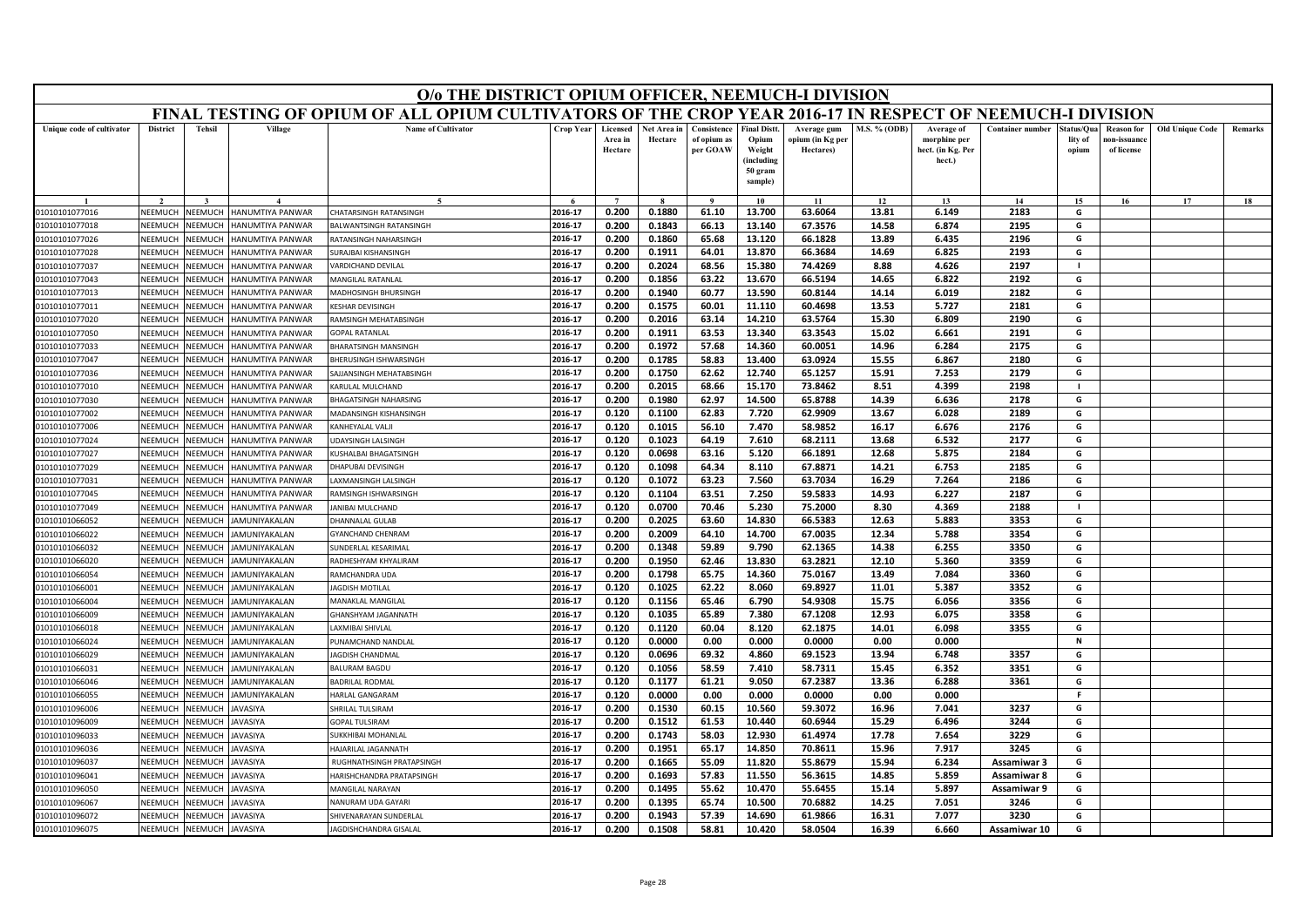|                                  | O/o THE DISTRICT OPIUM OFFICER, NEEMUCH-I DIVISION<br>FINAL TESTING OF OPIUM OF ALL OPIUM CULTIVATORS OF THE CROP YEAR 2016-17 IN RESPECT OF NEEMUCH-I DIVISION |                                 |                                                    |                                                  |                    |                                |                        |                                        |                                                      |                                              |                |                                                           |                         |                                |                                                |                        |         |
|----------------------------------|-----------------------------------------------------------------------------------------------------------------------------------------------------------------|---------------------------------|----------------------------------------------------|--------------------------------------------------|--------------------|--------------------------------|------------------------|----------------------------------------|------------------------------------------------------|----------------------------------------------|----------------|-----------------------------------------------------------|-------------------------|--------------------------------|------------------------------------------------|------------------------|---------|
|                                  |                                                                                                                                                                 |                                 |                                                    |                                                  |                    |                                |                        |                                        |                                                      |                                              |                |                                                           |                         |                                |                                                |                        |         |
| Unique code of cultivator        | <b>District</b>                                                                                                                                                 | <b>Tehsil</b>                   | Village                                            | <b>Name of Cultivator</b>                        | <b>Crop Year</b>   | Licensed<br>Area in<br>Hectare | Net Area in<br>Hectare | Consistence<br>of opium as<br>per GOAW | <b>Final Distt.</b><br>Opium<br>Weight<br>(including | Average gum<br>opium (in Kg per<br>Hectares) | M.S. % (ODB)   | Average of<br>morphine per<br>hect. (in Kg. Per<br>hect.) | <b>Container number</b> | Status/Ou:<br>lity of<br>opium | <b>Reason</b> for<br>ıon-issuanc<br>of license | <b>Old Unique Code</b> | Remarks |
|                                  |                                                                                                                                                                 |                                 |                                                    |                                                  |                    |                                |                        |                                        | 50 gram<br>sample)                                   |                                              |                |                                                           |                         |                                |                                                |                        |         |
|                                  |                                                                                                                                                                 |                                 |                                                    |                                                  |                    | $\overline{7}$                 |                        | $\mathbf{o}$                           | 10                                                   | 11                                           | 12             | 13                                                        | 14                      | 15 <sup>7</sup>                | 16                                             | 17                     | 18      |
| 01010101077016                   | NEEMUCH                                                                                                                                                         | NEEMUCH                         | <b>IANUMTIYA PANWAR</b>                            | <b>HATARSINGH RATANSINGH</b>                     | 2016-17            | 0.200                          | 0.1880                 | 61.10                                  | 13.700                                               | 63.6064                                      | 13.81          | 6.149                                                     | 2183                    | G                              |                                                |                        |         |
| 01010101077018                   | NFFMUCH                                                                                                                                                         | <b>NEEMUCH</b>                  | ANUMTIYA PANWAR                                    | ALWANTSINGH RATANSINGH                           | 2016-17            | 0.200                          | 0.1843                 | 66.13                                  | 13.140                                               | 67.3576                                      | 14.58          | 6.874                                                     | 2195                    | G                              |                                                |                        |         |
| 01010101077026                   | NEEMUCH                                                                                                                                                         | <b>NEEMUCH</b>                  | <b>JANUMTIYA PANWAR</b>                            | <b>ATANSINGH NAHARSINGH</b>                      | 2016-17            | 0.200                          | 0.1860                 | 65.68                                  | 13.120                                               | 66.1828                                      | 13.89          | 6.435                                                     | 2196                    | G                              |                                                |                        |         |
| 01010101077028                   | NEEMUCH                                                                                                                                                         | NEEMUCI                         | <b>IANUMTIYA PANWAR</b>                            | <b>JURAJBAI KISHANSINGH</b>                      | 2016-17            | 0.200                          | 0.1911                 | 64.01                                  | 13.870                                               | 66.3684                                      | 14.69          | 6.825                                                     | 2193                    | G                              |                                                |                        |         |
| 01010101077037                   | NEEMUCH                                                                                                                                                         | VEEMUCI                         | <b>ANUMTIYA PANWAR</b>                             | ARDICHAND DEVILAL                                | 2016-17            | 0.200                          | 0.2024                 | 68.56                                  | 15.380                                               | 74.4269                                      | 8.88           | 4.626                                                     | 2197                    | -1                             |                                                |                        |         |
| 01010101077043                   | NEEMUCH                                                                                                                                                         | <b>NEEMUCH</b>                  | <b>IANUMTIYA PANWAR</b>                            | <b>MANGILAL RATANLAL</b>                         | 2016-17            | 0.200                          | 0.1856                 | 63.22                                  | 13.670                                               | 66.5194                                      | 14.65          | 6.822                                                     | 2192                    | G                              |                                                |                        |         |
| 01010101077013                   | NEEMUCH                                                                                                                                                         | NEEMUCI                         | <b>IANUMTIYA PANWAR</b>                            | <b>MADHOSINGH BHURSINGH</b>                      | 2016-17            | 0.200                          | 0.1940                 | 60.77                                  | 13.590                                               | 60.8144                                      | 14.14          | 6.019                                                     | 2182                    | G                              |                                                |                        |         |
| 01010101077011                   | NEEMUCH                                                                                                                                                         | <b>JEEMUCH</b>                  | <b>ANUMTIYA PANWAR</b>                             | <b>FSHAR DEVISINGE</b>                           | 2016-17            | 0.200                          | 0.1575                 | 60.01                                  | 11.110                                               | 60.4698                                      | 13.53          | 5.727                                                     | 2181<br>2190            | G                              |                                                |                        |         |
| 01010101077020                   | NEEMUCH                                                                                                                                                         | <b>NEEMUCH</b>                  | <b>IANUMTIYA PANWAR</b>                            | <b>AMSINGH MEHATABSINGH</b>                      | 2016-17            | 0.200                          | 0.2016                 | 63.14                                  | 14.210                                               | 63.5764                                      | 15.30          | 6.809                                                     | 2191                    | G<br>G                         |                                                |                        |         |
| 01010101077050                   | NEEMUCH                                                                                                                                                         | VEEMUCI                         | <b>IANUMTIYA PANWAR</b>                            | <b>SOPAL RATANLAL</b>                            | 2016-17            | 0.200                          | 0.1911                 | 63.53                                  | 13.340                                               | 63.3543<br>60.0051                           | 15.02          | 6.661<br>6.284                                            | 2175                    |                                |                                                |                        |         |
| 01010101077033                   | NEEMUCH<br>NEEMUCH                                                                                                                                              | <b>JEEMUCH</b>                  | IANUMTIYA PANWAR                                   | <b>HARATSINGH MANSINGH</b>                       | 2016-17<br>2016-17 | 0.200<br>0.200                 | 0.1972<br>0.1785       | 57.68<br>58.83                         | 14.360<br>13.400                                     | 63.0924                                      | 14.96<br>15.55 | 6.867                                                     | 2180                    | G<br>G                         |                                                |                        |         |
| 01010101077047<br>01010101077036 | NFFMUCH                                                                                                                                                         | <b>NEEMUC</b><br><b>NEEMUCH</b> | <b>IANUMTIYA PANWAR</b><br><b>IANUMTIYA PANWAR</b> | HERUSINGH ISHWARSINGH<br>AIIANSINGH MEHATARSINGH | 2016-17            | 0.200                          | 0.1750                 | 62.62                                  | 12.740                                               | 65.1257                                      | 15.91          | 7.253                                                     | 2179                    | G                              |                                                |                        |         |
| 01010101077010                   | NEEMUCH                                                                                                                                                         | <b>NEEMUCH</b>                  | <b>ANUMTIYA PANWAR</b>                             | ARULAL MULCHAND                                  | 2016-17            | 0.200                          | 0.2015                 | 68.66                                  | 15.170                                               | 73.8462                                      | 8.51           | 4.399                                                     | 2198                    |                                |                                                |                        |         |
| 01010101077030                   | NEEMUCH                                                                                                                                                         | <b>NEEMUC</b>                   | <b>IANUMTIYA PANWAR</b>                            | <b>HAGATSINGH NAHARSING</b>                      | 2016-17            | 0.200                          | 0.1980                 | 62.97                                  | 14.500                                               | 65.8788                                      | 14.39          | 6.636                                                     | 2178                    | G                              |                                                |                        |         |
| 01010101077002                   | <b>NEEMUCH</b>                                                                                                                                                  | VEEMUCI                         | <b>IANUMTIYA PANWAR</b>                            | <b>MADANSINGH KISHANSINGH</b>                    | 2016-17            | 0.120                          | 0.1100                 | 62.83                                  | 7.720                                                | 62.9909                                      | 13.67          | 6.028                                                     | 2189                    | G                              |                                                |                        |         |
| 01010101077006                   | NEEMUCH                                                                                                                                                         | <b>NEEMUCH</b>                  | <b>IANUMTIYA PANWAR</b>                            | <b>CANHEYALAL VALJI</b>                          | 2016-17            | 0.120                          | 0.1015                 | 56.10                                  | 7.470                                                | 58.9852                                      | 16.17          | 6.676                                                     | 2176                    | G                              |                                                |                        |         |
| 01010101077024                   | NEEMUCH                                                                                                                                                         | <b>JEEMUCI</b>                  | IANUMTIYA PANWAR                                   | <b>DAYSINGH LALSINGH</b>                         | 2016-17            | 0.120                          | 0.1023                 | 64.19                                  | 7.610                                                | 68.2111                                      | 13.68          | 6.532                                                     | 2177                    | G                              |                                                |                        |         |
| 01010101077027                   | NEEMUCH                                                                                                                                                         | <b>JEEMUCH</b>                  | <b>ANUMTIYA PANWAR</b>                             | USHALBAI BHAGATSINGH                             | 2016-17            | 0.120                          | 0.0698                 | 63.16                                  | 5.120                                                | 66.1891                                      | 12.68          | 5.875                                                     | 2184                    | G                              |                                                |                        |         |
| 01010101077029                   | NEEMUCH                                                                                                                                                         | NEEMUCH                         | <b>IANUMTIYA PANWAR</b>                            | <b>HAPURALDEVISINGH</b>                          | 2016-17            | 0.120                          | 0.1098                 | 64.34                                  | 8.110                                                | 67.8871                                      | 14.21          | 6.753                                                     | 2185                    | G                              |                                                |                        |         |
| 01010101077031                   | NEEMUCH                                                                                                                                                         | <b>JEEMUCI</b>                  | <b>ANUMTIYA PANWAR</b>                             | AXMANSINGH LALSINGH                              | 2016-17            | 0.120                          | 0.1072                 | 63.23                                  | 7.560                                                | 63.7034                                      | 16.29          | 7.264                                                     | 2186                    | G                              |                                                |                        |         |
| 01010101077045                   | NEEMUCH                                                                                                                                                         | <b>JEEMUCH</b>                  | <b>IANUMTIYA PANWAR</b>                            | AMSINGH ISHWARSINGH                              | 2016-17            | 0.120                          | 0.1104                 | 63.51                                  | 7.250                                                | 59.5833                                      | 14.93          | 6.227                                                     | 2187                    | G                              |                                                |                        |         |
| 01010101077049                   | NEEMUCH                                                                                                                                                         | <b>NEEMUCH</b>                  | <b>IANUMTIYA PANWAR</b>                            | ANIBAI MULCHAND                                  | 2016-17            | 0.120                          | 0.0700                 | 70.46                                  | 5.230                                                | 75.2000                                      | 8.30           | 4.369                                                     | 2188                    | -1                             |                                                |                        |         |
| 01010101066052                   | NEEMUCH                                                                                                                                                         | VEEMUCI                         | AMUNIYAKALAN                                       | HANNALAL GULAB                                   | 2016-17            | 0.200                          | 0.2025                 | 63.60                                  | 14.830                                               | 66.5383                                      | 12.63          | 5.883                                                     | 3353                    | G                              |                                                |                        |         |
| 01010101066022                   | NEEMUCH                                                                                                                                                         | VEEMUCI                         | AMUNIYAKALAN                                       | YANCHAND CHENRAM                                 | 2016-17            | 0.200                          | 0.2009                 | 64.10                                  | 14.700                                               | 67.0035                                      | 12.34          | 5.788                                                     | 3354                    | G                              |                                                |                        |         |
| 01010101066032                   | <b>NFFMUCH</b>                                                                                                                                                  | <b>NEEMUCH</b>                  | AMUNIYAKALAN                                       | <b>JUNDERLAL KESARIMAL</b>                       | 2016-17            | 0.200                          | 0.1348                 | 59.89                                  | 9.790                                                | 62.1365                                      | 14.38          | 6.255                                                     | 3350                    | G                              |                                                |                        |         |
| 01010101066020                   | NEEMUCH                                                                                                                                                         | <b>NEEMUC</b>                   | AMUNIYAKALAN                                       | RADHESHYAM KHYALIRAM                             | 2016-17            | 0.200                          | 0.1950                 | 62.46                                  | 13.830                                               | 63.2821                                      | 12.10          | 5.360                                                     | 3359                    | G                              |                                                |                        |         |
| 01010101066054                   | NEEMUCH                                                                                                                                                         | VEEMUCI                         | AMUNIYAKALAN                                       | <b>AMCHANDRA UDA</b>                             | 2016-17            | 0.200                          | 0.1798                 | 65.75                                  | 14.360                                               | 75.0167                                      | 13.49          | 7.084                                                     | 3360                    | G                              |                                                |                        |         |
| 01010101066001                   | NEEMUCH                                                                                                                                                         | <b>NEEMUCH</b>                  | AMUNIYAKALAN                                       | <b>AGDISH MOTILAL</b>                            | 2016-17            | 0.120                          | 0.1025                 | 62.22                                  | 8.060                                                | 69.8927                                      | 11.01          | 5.387                                                     | 3352                    | G                              |                                                |                        |         |
| 01010101066004                   | NEEMUCH                                                                                                                                                         | <b>NEEMUC</b>                   | AMUNIYAKALAN                                       | MANAKLAL MANGILA                                 | 2016-17            | 0.120                          | 0.1156                 | 65.46                                  | 6.790                                                | 54.9308                                      | 15.75          | 6.056                                                     | 3356                    | G                              |                                                |                        |         |
| 01010101066009                   | NEEMUCH                                                                                                                                                         | VEEMUCI                         | AMUNIYAKALAN                                       | HANSHYAM JAGANNATH                               | 2016-17            | 0.120                          | 0.1035                 | 65.89                                  | 7.380                                                | 67.1208                                      | 12.93          | 6.075                                                     | 3358                    | G                              |                                                |                        |         |
| 01010101066018                   | NEEMUCH                                                                                                                                                         | <b>NEEMUCH</b>                  | AMUNIYAKALAN                                       | AXMIBAI SHIVLAL                                  | 2016-17            | 0.120                          | 0.1120                 | 60.04                                  | 8.120                                                | 62.1875                                      | 14.01          | 6.098                                                     | 3355                    | G                              |                                                |                        |         |
| 01010101066024                   | <b>NEEMUCH</b>                                                                                                                                                  | VEEMUC                          | AMUNIYAKALAN                                       | UNAMCHAND NANDLAL                                | 2016-17            | 0.120                          | 0.0000                 | 0.00                                   | 0.000                                                | 0.0000                                       | 0.00           | 0.000                                                     |                         | N                              |                                                |                        |         |
| 01010101066029                   | NEEMUCH                                                                                                                                                         | <b>NEEMUCH</b>                  | AMUNIYAKALAN                                       | <b>AGDISH CHANDMAL</b>                           | 2016-17            | 0.120                          | 0.0696                 | 69.32                                  | 4.860                                                | 69.1523                                      | 13.94          | 6.748                                                     | 3357                    | G                              |                                                |                        |         |
| 01010101066031                   | NEEMUCH                                                                                                                                                         | VEEMUCI                         | AMUNIYAKALAN                                       | ALURAM BAGDU                                     | 2016-17            | 0.120                          | 0.1056                 | 58.59                                  | 7.410                                                | 58.7311                                      | 15.45          | 6.352                                                     | 3351                    | G                              |                                                |                        |         |
| 01010101066046                   | <b>NFFMUCH</b>                                                                                                                                                  | VEEMUCI                         | AMUNIYAKALAN                                       | <b>BADRILAL RODMAL</b>                           | 2016-17            | 0.120                          | 0.1177                 | 61.21                                  | 9.050                                                | 67.2387                                      | 13.36          | 6.288                                                     | 3361                    | G                              |                                                |                        |         |
| 01010101066055                   | NEEMUCH                                                                                                                                                         | <b>JEEMUCH</b>                  | AMUNIYAKALAN                                       | <b>IARLAL GANGARAM</b>                           | 2016-17            | 0.120                          | 0.0000                 | 0.00                                   | 0.000                                                | 0.0000                                       | 0.00           | 0.000                                                     |                         | F.                             |                                                |                        |         |
| 01010101096006                   | NEEMUCH                                                                                                                                                         | <b>NEEMUCH</b>                  | AVASIYA                                            | HRILAL TULSIRAM                                  | 2016-17            | 0.200                          | 0.1530                 | 60.15                                  | 10.560                                               | 59.3072                                      | 16.96          | 7.041                                                     | 3237                    | G                              |                                                |                        |         |
| 01010101096009                   | NEEMUCH                                                                                                                                                         | NEEMUCI                         | AVASIYA                                            | GOPAL TULSIRAM                                   | 2016-17            | 0.200                          | 0.1512                 | 61.53                                  | 10.440                                               | 60.6944                                      | 15.29          | 6.496                                                     | 3244                    | G                              |                                                |                        |         |
| 01010101096033                   | NEEMUCH                                                                                                                                                         | <b>NEEMUCH</b>                  | AVASIYA                                            | <b>JUKKHIBAI MOHANLAL</b>                        | 2016-17            | 0.200                          | 0.1743                 | 58.03                                  | 12.930                                               | 61.4974                                      | 17.78          | 7.654                                                     | 3229                    | G                              |                                                |                        |         |
| 01010101096036                   | NEEMUCH                                                                                                                                                         | <b>JEEMUCI</b>                  | AVASIYA                                            | <b>IAJARILAL JAGANNATH</b>                       | 2016-17            | 0.200                          | 0.1951                 | 65.17                                  | 14.850                                               | 70.8611                                      | 15.96          | 7.917                                                     | 3245                    | G                              |                                                |                        |         |
| 01010101096037                   | <b>NFFMUCH</b>                                                                                                                                                  | VEEMUCI                         | AVASIYA                                            | RUGHNATHSINGH PRATAPSINGH                        | 2016-17            | 0.200                          | 0.1665                 | 55.09                                  | 11.820                                               | 55.8679                                      | 15.94          | 6.234                                                     | Assamiwar 3             | G                              |                                                |                        |         |
| 01010101096041                   | NEEMUCH                                                                                                                                                         | NEEMUCH                         | AVASIYA                                            | <b>IARISHCHANDRA PRATAPSINGH</b>                 | 2016-17            | 0.200                          | 0.1693                 | 57.83                                  | 11.550                                               | 56.3615                                      | 14.85          | 5.859                                                     | Assamiwar 8             | G                              |                                                |                        |         |
| 01010101096050                   | NEEMUCH                                                                                                                                                         | <b>JEEMUC</b>                   | AVASIYA                                            | <b>AANGILAL NARAYAN</b>                          | 2016-17            | 0.200                          | 0.1495                 | 55.62                                  | 10.470                                               | 55.6455                                      | 15.14          | 5.897                                                     | Assamiwar 9             | G                              |                                                |                        |         |
| 01010101096067                   | NEEMUCH                                                                                                                                                         | VEEMUCI                         | AVASIYA                                            | VANURAM UDA GAYARI                               | 2016-17            | 0.200                          | 0.1395                 | 65.74                                  | 10.500                                               | 70.6882                                      | 14.25          | 7.051                                                     | 3246                    | G                              |                                                |                        |         |
| 01010101096072                   | NEEMUCH                                                                                                                                                         | NEEMUCH                         | AVASIYA                                            | HIVENARAYAN SUNDERLAL                            | 2016-17            | 0.200                          | 0.1943                 | 57.39                                  | 14.690                                               | 61.9866                                      | 16.31          | 7.077                                                     | 3230                    | G                              |                                                |                        |         |
| 01010101096075                   | NEEMUCH                                                                                                                                                         | NEEMUCH                         | AVASIYA                                            | AGDISHCHANDRA GISALAL                            | 2016-17            | 0.200                          | 0.1508                 | 58.81                                  | 10.420                                               | 58.0504                                      | 16.39          | 6.660                                                     | Assamiwar 10            | G                              |                                                |                        |         |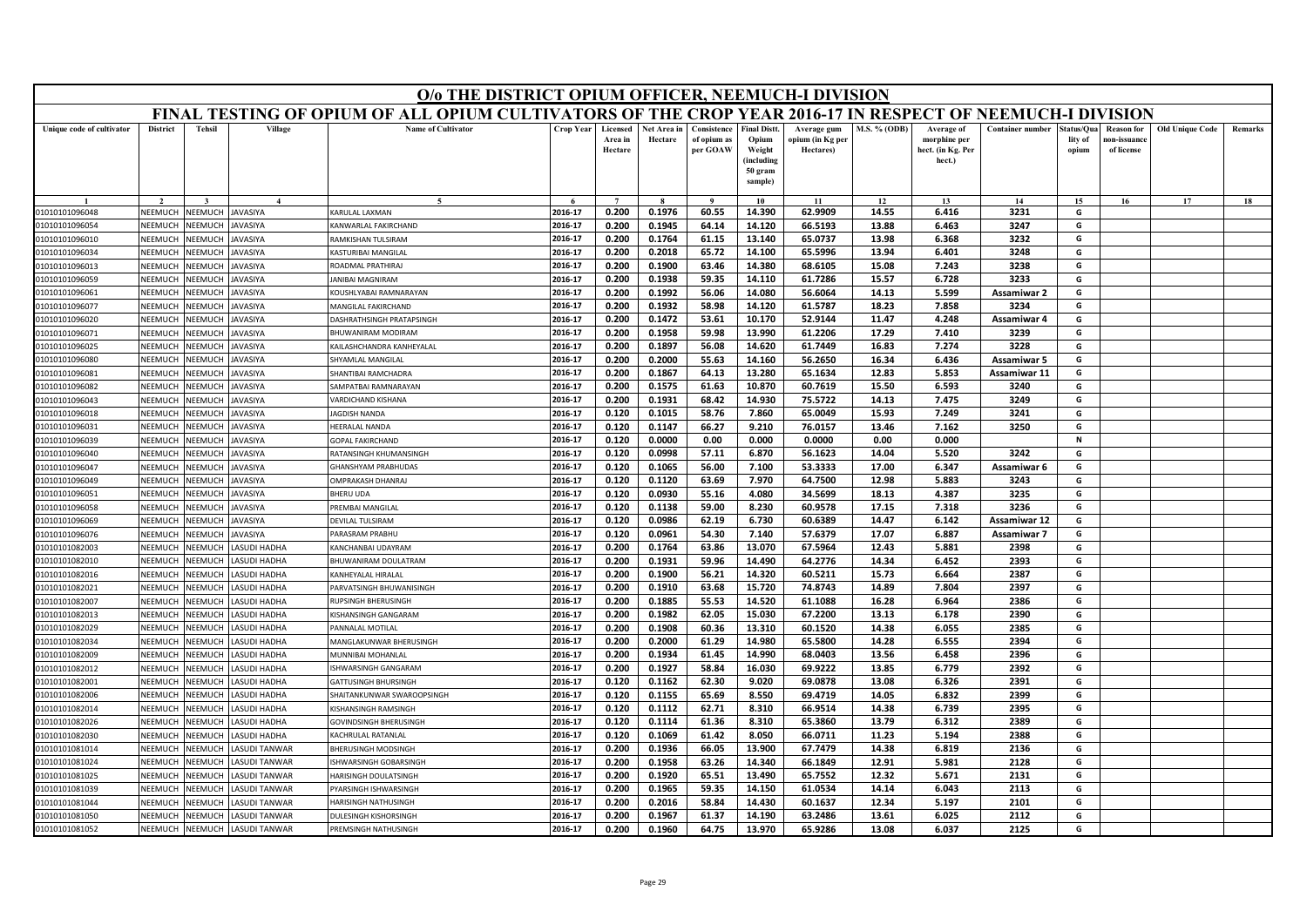|                                  | O/o THE DISTRICT OPIUM OFFICER, NEEMUCH-I DIVISION<br>FINAL TESTING OF OPIUM OF ALL OPIUM CULTIVATORS OF THE CROP YEAR 2016-17 IN RESPECT OF NEEMUCH-I DIVISION |                                  |                     |                                                         |                    |                                |                        |                                        |                                                                            |                                              |                |                                                           |                         |                               |                                                |                        |         |
|----------------------------------|-----------------------------------------------------------------------------------------------------------------------------------------------------------------|----------------------------------|---------------------|---------------------------------------------------------|--------------------|--------------------------------|------------------------|----------------------------------------|----------------------------------------------------------------------------|----------------------------------------------|----------------|-----------------------------------------------------------|-------------------------|-------------------------------|------------------------------------------------|------------------------|---------|
|                                  |                                                                                                                                                                 |                                  |                     |                                                         |                    |                                |                        |                                        |                                                                            |                                              |                |                                                           |                         |                               |                                                |                        |         |
| Unique code of cultivator        | <b>District</b>                                                                                                                                                 | <b>Tehsil</b>                    | Village             | <b>Name of Cultivator</b>                               | Crop Year          | Licensed<br>Area in<br>Hectare | Net Area in<br>Hectare | Consistence<br>of opium as<br>per GOAW | <b>Final Distt.</b><br>Opium<br>Weight<br>(including<br>50 gram<br>sample) | Average gum<br>ppium (in Kg per<br>Hectares) | M.S. % (ODB)   | Average of<br>morphine per<br>hect. (in Kg. Per<br>hect.) | <b>Container number</b> | tatus/Qua<br>lity of<br>opium | <b>Reason for</b><br>10n-issuanc<br>of license | <b>Old Unique Code</b> | Remarks |
|                                  |                                                                                                                                                                 |                                  |                     |                                                         |                    |                                |                        | $\bf{Q}$                               | 10                                                                         | 11                                           | 12             | 13                                                        | 14                      | 15                            | 16                                             | 17                     | 18      |
| 01010101096048                   | NEEMUCH                                                                                                                                                         | <b>NEEMUCH</b>                   | AVASIYA             | KARLILAL LAXMAN                                         | 2016-17            | 0.200                          | 0.1976                 | 60.55                                  | 14.390                                                                     | 62.9909                                      | 14.55          | 6.416                                                     | 3231                    | G                             |                                                |                        |         |
| 01010101096054                   | NEEMUCH                                                                                                                                                         | <b>NEEMUCH</b>                   | <b>AVASIYA</b>      | ANWARLAL FAKIRCHAND                                     | 2016-17            | 0.200                          | 0.1945                 | 64.14                                  | 14.120                                                                     | 66.5193                                      | 13.88          | 6.463                                                     | 3247                    | G                             |                                                |                        |         |
| 01010101096010                   | NEEMUCH                                                                                                                                                         | NEEMUCH                          | AVASIYA             | RAMKISHAN TULSIRAM                                      | 2016-17            | 0.200                          | 0.1764                 | 61.15                                  | 13.140                                                                     | 65.0737                                      | 13.98          | 6.368                                                     | 3232                    | G                             |                                                |                        |         |
| 01010101096034                   | <b>NEEMUCH</b>                                                                                                                                                  | VEEMUCI                          | AVASIYA             | KASTURIBAI MANGILAL                                     | 2016-17            | 0.200                          | 0.2018                 | 65.72                                  | 14.100                                                                     | 65.5996                                      | 13.94          | 6.401                                                     | 3248                    | G                             |                                                |                        |         |
| 01010101096013                   | NEEMUCH                                                                                                                                                         | <b>NEEMUCH</b>                   | AVASIYA             | <b>ROADMAL PRATHIRAJ</b>                                | 2016-17            | 0.200                          | 0.1900                 | 63.46                                  | 14.380                                                                     | 68.6105                                      | 15.08          | 7.243                                                     | 3238                    | G                             |                                                |                        |         |
| 01010101096059                   | NEEMUCH                                                                                                                                                         | <b>NEEMUCH</b>                   | AVASIYA             | <b>ANIBAI MAGNIRAM</b>                                  | 2016-17            | 0.200                          | 0.1938                 | 59.35                                  | 14.110                                                                     | 61.7286                                      | 15.57          | 6.728                                                     | 3233                    | G                             |                                                |                        |         |
| 01010101096061                   | NEEMUCH                                                                                                                                                         | VEEMUCI                          | AVASIYA             | KOUSHLYABAI RAMNARAYAN                                  | 2016-17            | 0.200                          | 0.1992                 | 56.06                                  | 14.080                                                                     | 56.6064                                      | 14.13          | 5.599                                                     | Assamiwar 2             | G                             |                                                |                        |         |
| 01010101096077                   | NEEMUCH                                                                                                                                                         | VEEMUCI                          | AVASIYA             | MANGILAL FAKIRCHAND                                     | 2016-17            | 0.200                          | 0.1932                 | 58.98                                  | 14.120                                                                     | 61.5787                                      | 18.23          | 7.858                                                     | 3234                    | G                             |                                                |                        |         |
| 01010101096020                   | NEEMUCH                                                                                                                                                         | VEEMUCI                          | AVASIYA             | ASHRATHSINGH PRATAPSINGH                                | 2016-17            | 0.200                          | 0.1472                 | 53.61                                  | 10.170                                                                     | 52.9144                                      | 11.47          | 4.248                                                     | Assamiwar 4             | G                             |                                                |                        |         |
| 01010101096071                   | NEEMUCH                                                                                                                                                         | VEEMUCI                          | AVASIYA             | BHUWANIRAM MODIRAM                                      | 2016-17            | 0.200                          | 0.1958                 | 59.98                                  | 13.990                                                                     | 61.2206                                      | 17.29          | 7.410                                                     | 3239                    | G                             |                                                |                        |         |
| 01010101096025                   | NEEMUCH                                                                                                                                                         | VEEMUCH                          | AVASIYA             | (AILASHCHANDRA KANHFYALAL                               | 2016-17<br>2016-17 | 0.200<br>0.200                 | 0.1897<br>0.2000       | 56.08<br>55.63                         | 14.620<br>14.160                                                           | 61.7449<br>56.2650                           | 16.83<br>16.34 | 7.274<br>6.436                                            | 3228                    | G                             |                                                |                        |         |
| 01010101096080                   | NEEMUCH<br>NEEMUCH                                                                                                                                              | <b>JEEMUCI</b><br><b>JEEMUCH</b> | AVASIYA<br>AVASIYA  | <b>HYAMLAL MANGILAL</b>                                 |                    |                                |                        |                                        |                                                                            |                                              |                |                                                           | <b>Assamiwar 5</b>      | G                             |                                                |                        |         |
| 01010101096081<br>01010101096082 | NEEMUCH                                                                                                                                                         | <b>JEEMUCH</b>                   | AVASIYA             | <b>HANTIBAI RAMCHADRA</b><br><b>AMPATBAI RAMNARAYAN</b> | 2016-17<br>2016-17 | 0.200                          | 0.1867<br>0.1575       | 64.13                                  | 13.280                                                                     | 65.1634<br>60.7619                           | 12.83          | 5.853                                                     | Assamiwar 11            | G<br>G                        |                                                |                        |         |
| 01010101096043                   | NEEMUCH                                                                                                                                                         | <b>JEEMUC</b>                    | AVASIYA             | ARDICHAND KISHANA                                       | 2016-17            | 0.200<br>0.200                 | 0.1931                 | 61.63<br>68.42                         | 10.870<br>14.930                                                           | 75.5722                                      | 15.50<br>14.13 | 6.593<br>7.475                                            | 3240<br>3249            | G                             |                                                |                        |         |
| 01010101096018                   | NEEMUCH                                                                                                                                                         | <b>JEEMUCH</b>                   | AVASIYA             | <b>AGDISH NANDA</b>                                     | 2016-17            | 0.120                          | 0.1015                 | 58.76                                  | 7.860                                                                      | 65.0049                                      | 15.93          | 7.249                                                     | 3241                    | G                             |                                                |                        |         |
| 01010101096031                   | NFFMUCH                                                                                                                                                         | <b>JEEMUCH</b>                   | AVASIYA             | <b>IEERALAL NANDA</b>                                   | 2016-17            | 0.120                          | 0.1147                 | 66.27                                  | 9.210                                                                      | 76.0157                                      | 13.46          | 7.162                                                     | 3250                    | G                             |                                                |                        |         |
| 01010101096039                   | NEEMUCH                                                                                                                                                         | <b>JEEMUC</b>                    | AVASIYA             | <b>GOPAL FAKIRCHAND</b>                                 | 2016-17            | 0.120                          | 0.0000                 | 0.00                                   | 0.000                                                                      | 0.0000                                       | 0.00           | 0.000                                                     |                         | N                             |                                                |                        |         |
| 01010101096040                   | NEEMUCH                                                                                                                                                         | VEEMUCH                          | AVASIYA             | RATANSINGH KHUMANSINGH                                  | 2016-17            | 0.120                          | 0.0998                 | 57.11                                  | 6.870                                                                      | 56.1623                                      | 14.04          | 5.520                                                     | 3242                    | G                             |                                                |                        |         |
| 01010101096047                   | NEEMUCH                                                                                                                                                         | <b>NEEMUCH</b>                   | AVASIYA             | HANSHYAM PRABHUDAS                                      | 2016-17            | 0.120                          | 0.1065                 | 56.00                                  | 7.100                                                                      | 53.3333                                      | 17.00          | 6.347                                                     | Assamiwar 6             | G                             |                                                |                        |         |
| 01010101096049                   | NEEMUCH                                                                                                                                                         | <b>JEEMUCI</b>                   | <b>VASIYA</b>       | <b>IMPRAKASH DHANRAJ</b>                                | 2016-17            | 0.120                          | 0.1120                 | 63.69                                  | 7.970                                                                      | 64.7500                                      | 12.98          | 5.883                                                     | 3243                    | G                             |                                                |                        |         |
| 01010101096051                   | NEEMUCH                                                                                                                                                         | <b>JEEMUCH</b>                   | AVASIYA             | <b>BHERU UDA</b>                                        | 2016-17            | 0.120                          | 0.0930                 | 55.16                                  | 4.080                                                                      | 34.5699                                      | 18.13          | 4.387                                                     | 3235                    | G                             |                                                |                        |         |
| 01010101096058                   | NEEMUCH                                                                                                                                                         | <b>JEEMUCH</b>                   | AVASIYA             | <b>REMBAI MANGILAL</b>                                  | 2016-17            | 0.120                          | 0.1138                 | 59.00                                  | 8.230                                                                      | 60.9578                                      | 17.15          | 7.318                                                     | 3236                    | G                             |                                                |                        |         |
| 01010101096069                   | NEEMUCH                                                                                                                                                         | <b>JEEMUC</b>                    | AVASIYA             | DEVILAL TULSIRAM                                        | 2016-17            | 0.120                          | 0.0986                 | 62.19                                  | 6.730                                                                      | 60.6389                                      | 14.47          | 6.142                                                     | Assamiwar 12            | G                             |                                                |                        |         |
| 01010101096076                   | NEEMUCH                                                                                                                                                         | <b>NEEMUCH</b>                   | AVASIYA             | ARASRAM PRABHU                                          | 2016-17            | 0.120                          | 0.0961                 | 54.30                                  | 7.140                                                                      | 57.6379                                      | 17.07          | 6.887                                                     | Assamiwar 7             | G                             |                                                |                        |         |
| 01010101082003                   | NEEMUCH                                                                                                                                                         | <b>JEEMUCH</b>                   | <b>ASUDI HADHA</b>  | KANCHANRAI LIDAYRAM                                     | 2016-17            | 0.200                          | 0.1764                 | 63.86                                  | 13.070                                                                     | 67.5964                                      | 12.43          | 5.881                                                     | 2398                    | G                             |                                                |                        |         |
| 01010101082010                   | NEEMUCH                                                                                                                                                         | <b>JEEMUCI</b>                   | ASUDI HADHA         | <b>BHUWANIRAM DOULATRAM</b>                             | 2016-17            | 0.200                          | 0.1931                 | 59.96                                  | 14.490                                                                     | 64.2776                                      | 14.34          | 6.452                                                     | 2393                    | G                             |                                                |                        |         |
| 01010101082016                   | NEEMUCH                                                                                                                                                         | <b>JEEMUCH</b>                   | <b>ASUDI HADHA</b>  | <b>ANHEYALAL HIRALAL</b>                                | 2016-17            | 0.200                          | 0.1900                 | 56.21                                  | 14.320                                                                     | 60.5211                                      | 15.73          | 6.664                                                     | 2387                    | G                             |                                                |                        |         |
| 01010101082021                   | NEEMUCH                                                                                                                                                         | <b>JEEMUCH</b>                   | <b>ASUDI HADHA</b>  | ARVATSINGH BHUWANISINGH                                 | 2016-17            | 0.200                          | 0.1910                 | 63.68                                  | 15.720                                                                     | 74.8743                                      | 14.89          | 7.804                                                     | 2397                    | G                             |                                                |                        |         |
| 01010101082007                   | <b>NEEMUCH</b>                                                                                                                                                  | VEEMUCI                          | <b>ASUDI HADHA</b>  | <b>RUPSINGH BHERUSINGH</b>                              | 2016-17            | 0.200                          | 0.1885                 | 55.53                                  | 14.520                                                                     | 61.1088                                      | 16.28          | 6.964                                                     | 2386                    | G                             |                                                |                        |         |
| 01010101082013                   | NEEMUCH                                                                                                                                                         | <b>JEEMUCH</b>                   | ASUDI HADHA         | ISHANSINGH GANGARAM                                     | 2016-17            | 0.200                          | 0.1982                 | 62.05                                  | 15.030                                                                     | 67.2200                                      | 13.13          | 6.178                                                     | 2390                    | G                             |                                                |                        |         |
| 01010101082029                   | NEEMUCH                                                                                                                                                         | <b>NEEMUCH</b>                   | <b>ASUDI HADHA</b>  | ANNALAL MOTILAL                                         | 2016-17            | 0.200                          | 0.1908                 | 60.36                                  | 13.310                                                                     | 60.1520                                      | 14.38          | 6.055                                                     | 2385                    | G                             |                                                |                        |         |
| 01010101082034                   | <b>NEEMUCH</b>                                                                                                                                                  | VEEMUCI                          | <b>ASUDI HADHA</b>  | MANGLAKUNWAR BHERUSINGH                                 | 2016-17            | 0.200                          | 0.2000                 | 61.29                                  | 14.980                                                                     | 65.5800                                      | 14.28          | 6.555                                                     | 2394                    | G                             |                                                |                        |         |
| 01010101082009                   | NEEMUCH                                                                                                                                                         | <b>NEEMUCH</b>                   | <b>ASUDI HADHA</b>  | <b>MUNNIBAI MOHANLAL</b>                                | 2016-17            | 0.200                          | 0.1934                 | 61.45                                  | 14.990                                                                     | 68.0403                                      | 13.56          | 6.458                                                     | 2396                    | G                             |                                                |                        |         |
| 01010101082012                   | NEEMUCH                                                                                                                                                         | <b>NEEMUCH</b>                   | <b>ASUDI HADHA</b>  | <b>SHWARSINGH GANGARAM</b>                              | 2016-17            | 0.200                          | 0.1927                 | 58.84                                  | 16.030                                                                     | 69.9222                                      | 13.85          | 6.779                                                     | 2392                    | G                             |                                                |                        |         |
| 01010101082001                   | NEEMUCH                                                                                                                                                         | <b>JEEMUCH</b>                   | <b>ASUDI HADHA</b>  | <b>GATTUSINGH BHURSINGH</b>                             | 2016-17            | 0.120                          | 0.1162                 | 62.30                                  | 9.020                                                                      | 69.0878                                      | 13.08          | 6.326                                                     | 2391                    | G                             |                                                |                        |         |
| 01010101082006                   | NEEMUCH                                                                                                                                                         | <b>JEEMUCH</b>                   | <b>ASUDI HADHA</b>  | HAITANKUNWAR SWAROOPSINGH                               | 2016-17            | 0.120                          | 0.1155                 | 65.69                                  | 8.550                                                                      | 69.4719                                      | 14.05          | 6.832                                                     | 2399                    | G                             |                                                |                        |         |
| 01010101082014                   | NEEMUCH                                                                                                                                                         | <b>JEEMUCH</b>                   | <b>ASUDI HADHA</b>  | ISHANSINGH RAMSINGH                                     | 2016-17            | 0.120                          | 0.1112                 | 62.71                                  | 8.310                                                                      | 66.9514                                      | 14.38          | 6.739                                                     | 2395                    | G                             |                                                |                        |         |
| 01010101082026                   | NEEMUCH                                                                                                                                                         | VEEMUCH                          | <b>ASUDI HADHA</b>  | <b>GOVINDSINGH BHERUSINGH</b>                           | 2016-17            | 0.120                          | 0.1114                 | 61.36                                  | 8.310                                                                      | 65.3860                                      | 13.79          | 6.312                                                     | 2389                    | G                             |                                                |                        |         |
| 01010101082030                   | NEEMUCH                                                                                                                                                         | <b>NEEMUCH</b>                   | <b>ASUDI HADHA</b>  | (ACHRULAL RATANLAL                                      | 2016-17            | 0.120                          | 0.1069                 | 61.42                                  | 8.050                                                                      | 66.0711                                      | 11.23          | 5.194                                                     | 2388                    | G                             |                                                |                        |         |
| 01010101081014                   | NEEMUCH                                                                                                                                                         | <b>JEEMUCH</b>                   | <b>ASUDI TANWAR</b> | <b>HERUSINGH MODSINGH</b>                               | 2016-17            | 0.200                          | 0.1936                 | 66.05                                  | 13.900                                                                     | 67.7479                                      | 14.38          | 6.819                                                     | 2136                    | G                             |                                                |                        |         |
| 01010101081024                   | <b>NFFMUCH</b>                                                                                                                                                  | VEEMUCI                          | <b>ASUDI TANWAR</b> | SHWARSINGH GOBARSINGH                                   | 2016-17            | 0.200                          | 0.1958                 | 63.26                                  | 14.340                                                                     | 66.1849                                      | 12.91          | 5.981                                                     | 2128                    | G                             |                                                |                        |         |
| 01010101081025                   | NEEMUCH                                                                                                                                                         | <b>NEEMUCH</b>                   | <b>ASUDI TANWAR</b> | <b>IARISINGH DOULATSINGH</b>                            | 2016-17            | 0.200                          | 0.1920                 | 65.51                                  | 13.490                                                                     | 65.7552                                      | 12.32          | 5.671                                                     | 2131                    | G                             |                                                |                        |         |
| 01010101081039                   | NEEMUCH                                                                                                                                                         | <b>JEEMUCI</b>                   | <b>ASUDI TANWAR</b> | YARSINGH ISHWARSINGH                                    | 2016-17            | 0.200                          | 0.1965                 | 59.35                                  | 14.150                                                                     | 61.0534                                      | 14.14          | 6.043                                                     | 2113                    | G                             |                                                |                        |         |
| 01010101081044                   | NEEMUCH                                                                                                                                                         | <b>JEEMUCI</b>                   | <b>ASUDI TANWAR</b> | <b>JARISINGH NATHUSINGH</b>                             | 2016-17<br>2016-17 | 0.200                          | 0.2016                 | 58.84                                  | 14.430                                                                     | 60.1637                                      | 12.34          | 5.197                                                     | 2101                    | G<br>G                        |                                                |                        |         |
| 01010101081050                   | NEEMUCH                                                                                                                                                         | NEEMUCH                          | <b>ASUDI TANWAR</b> | DULESINGH KISHORSINGH                                   | 2016-17            | 0.200<br>0.200                 | 0.1967<br>0.1960       | 61.37<br>64.75                         | 14.190<br>13.970                                                           | 63.2486<br>65.9286                           | 13.61<br>13.08 | 6.025<br>6.037                                            | 2112<br>2125            | G                             |                                                |                        |         |
| 01010101081052                   | NEEMUCH                                                                                                                                                         | NEEMUCH                          | <b>ASUDI TANWAR</b> | PREMSINGH NATHUSINGH                                    |                    |                                |                        |                                        |                                                                            |                                              |                |                                                           |                         |                               |                                                |                        |         |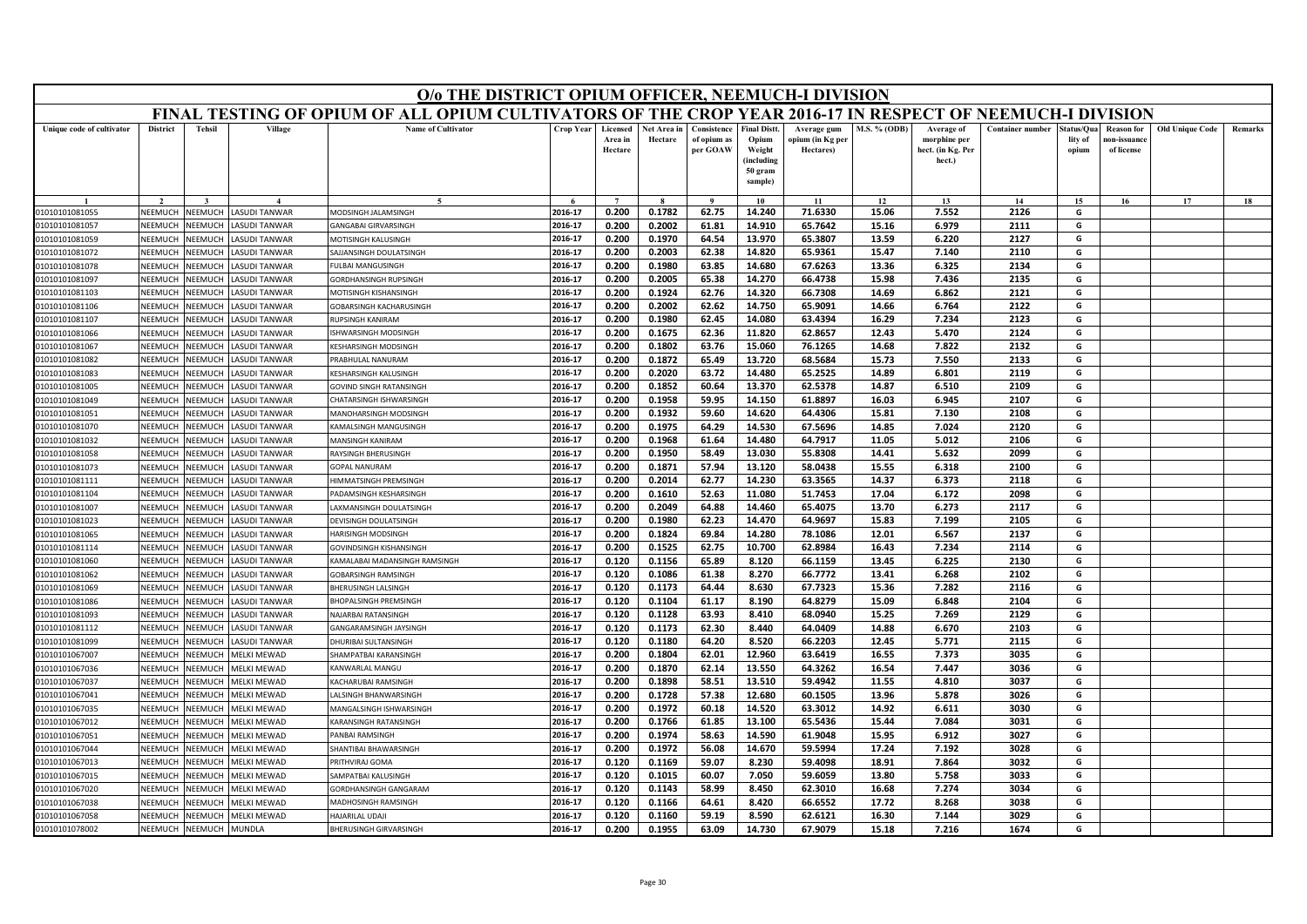|                                  | O/o THE DISTRICT OPIUM OFFICER, NEEMUCH-I DIVISION<br>FINAL TESTING OF OPIUM OF ALL OPIUM CULTIVATORS OF THE CROP YEAR 2016-17 IN RESPECT OF NEEMUCH-I DIVISION |                    |                                            |                                           |                    |                                |                        |                                        |                                                                            |                                              |                     |                                                           |                         |                                |                                                |                        |         |
|----------------------------------|-----------------------------------------------------------------------------------------------------------------------------------------------------------------|--------------------|--------------------------------------------|-------------------------------------------|--------------------|--------------------------------|------------------------|----------------------------------------|----------------------------------------------------------------------------|----------------------------------------------|---------------------|-----------------------------------------------------------|-------------------------|--------------------------------|------------------------------------------------|------------------------|---------|
|                                  |                                                                                                                                                                 |                    |                                            |                                           |                    |                                |                        |                                        |                                                                            |                                              |                     |                                                           |                         |                                |                                                |                        |         |
| Unique code of cultivator        | <b>District</b>                                                                                                                                                 | <b>Tehsil</b>      | Village                                    | <b>Name of Cultivator</b>                 | <b>Crop Year</b>   | Licensed<br>Area in<br>Hectare | Net Area in<br>Hectare | Consistence<br>of opium as<br>per GOAW | <b>Final Distt.</b><br>Opium<br>Weight<br>(including<br>50 gram<br>sample) | Average gum<br>opium (in Kg per<br>Hectares) | <b>M.S. % (ODB)</b> | Average of<br>morphine per<br>hect. (in Kg. Per<br>hect.) | <b>Container number</b> | Status/Qua<br>lity of<br>opium | <b>Reason for</b><br>10n-issuanc<br>of license | <b>Old Unique Code</b> | Remarks |
|                                  |                                                                                                                                                                 |                    |                                            | $\tilde{\phantom{a}}$                     |                    | $\overline{ }$                 |                        | $\mathbf{o}$                           | 10                                                                         | 11                                           | 12                  | 13                                                        | 14                      | 15                             | 16                                             | 17                     | 18      |
| 01010101081055                   | NEEMUCH                                                                                                                                                         | NEEMUCH            | <b>ASUDI TANWAR</b>                        | MODSINGH JALAMSINGH                       | 2016-17            | 0.200                          | 0.1782                 | 62.75                                  | 14.240                                                                     | 71.6330                                      | 15.06               | 7.552                                                     | 2126                    | G                              |                                                |                        |         |
| 01010101081057                   | NEEMUCH                                                                                                                                                         | NEEMUCH            | LASUDI TANWAR                              | <b>GANGABAI GIRVARSINGH</b>               | 2016-17            | 0.200                          | 0.2002                 | 61.81                                  | 14.910                                                                     | 65.7642                                      | 15.16               | 6.979                                                     | 2111                    | G                              |                                                |                        |         |
| 01010101081059                   | VEEMUCH                                                                                                                                                         | NEEMUCH            | LASUDI TANWAR                              | MOTISINGH KALUSINGH                       | 2016-17            | 0.200                          | 0.1970                 | 64.54                                  | 13.970                                                                     | 65.3807                                      | 13.59               | 6.220                                                     | 2127                    | G                              |                                                |                        |         |
| 01010101081072                   | NEEMUCH                                                                                                                                                         | NEEMUCH            | <b>ASUDI TANWAR</b>                        | SAJJANSINGH DOULATSINGH                   | 2016-17            | 0.200                          | 0.2003                 | 62.38                                  | 14.820                                                                     | 65.9361                                      | 15.47               | 7.140                                                     | 2110                    | G                              |                                                |                        |         |
| 01010101081078                   | NEEMUCH                                                                                                                                                         | NEEMUCH            | <b>ASUDI TANWAR</b>                        | <b>FULBAI MANGUSINGH</b>                  | 2016-17            | 0.200                          | 0.1980                 | 63.85                                  | 14.680                                                                     | 67.6263                                      | 13.36               | 6.325                                                     | 2134                    | G                              |                                                |                        |         |
| 01010101081097                   | NEEMUCH                                                                                                                                                         | NEEMUCH            | LASUDI TANWAR                              | GORDHANSINGH RUPSINGH                     | 2016-17            | 0.200                          | 0.2005                 | 65.38                                  | 14.270                                                                     | 66.4738                                      | 15.98               | 7.436                                                     | 2135                    | G                              |                                                |                        |         |
| 01010101081103                   | NEEMUCI                                                                                                                                                         | NEEMUCH            | ASUDI TANWAR                               | MOTISINGH KISHANSINGH                     | 2016-17            | 0.200                          | 0.1924                 | 62.76                                  | 14.320                                                                     | 66.7308                                      | 14.69               | 6.862                                                     | 2121                    | G                              |                                                |                        |         |
| 01010101081106                   | NEEMUCH                                                                                                                                                         | NEEMUCH            | ASUDI TANWAR                               | <b>GOBARSINGH KACHARUSINGH</b>            | 2016-17            | 0.200                          | 0.2002                 | 62.62                                  | 14.750                                                                     | 65.9091                                      | 14.66               | 6.764                                                     | 2122                    | G                              |                                                |                        |         |
| 01010101081107                   | NEEMUCH                                                                                                                                                         | NEEMUCH            | <b>ASUDI TANWAR</b>                        | <b>RUPSINGH KANIRAM</b>                   | 2016-17            | 0.200                          | 0.1980                 | 62.45                                  | 14.080                                                                     | 63.4394                                      | 16.29               | 7.234                                                     | 2123                    | G                              |                                                |                        |         |
| 01010101081066                   | NEEMUCH                                                                                                                                                         | NEEMUCH            | LASUDI TANWAR                              | ISHWARSINGH MODSINGH                      | 2016-17            | 0.200                          | 0.1675                 | 62.36                                  | 11.820                                                                     | 62.8657                                      | 12.43               | 5.470                                                     | 2124                    | G                              |                                                |                        |         |
| 01010101081067                   | NEEMUCH                                                                                                                                                         | <b>NEEMUCH</b>     | <b>ASUDI TANWAR</b>                        | <b>ESHARSINGH MODSINGH</b>                | 2016-17            | 0.200                          | 0.1802                 | 63.76                                  | 15.060                                                                     | 76.1265                                      | 14.68               | 7.822                                                     | 2132                    | G                              |                                                |                        |         |
| 01010101081082                   | NEEMUCH                                                                                                                                                         | VEEMUCH            | <b>ASUDI TANWAR</b>                        | PRABHULAL NANURAM                         | 2016-17            | 0.200                          | 0.1872                 | 65.49                                  | 13.720                                                                     | 68.5684                                      | 15.73               | 7.550                                                     | 2133                    | G                              |                                                |                        |         |
| 01010101081083                   | NFFMUCH                                                                                                                                                         | NFFMUCH            | LASUDI TANWAR                              | KESHARSINGH KALUSINGH                     | 2016-17            | 0.200                          | 0.2020                 | 63.72                                  | 14.480                                                                     | 65.2525                                      | 14.89               | 6.801                                                     | 2119                    | G                              |                                                |                        |         |
| 01010101081005                   | NEEMUCH                                                                                                                                                         | NEEMUCH            | <b>ASUDI TANWAR</b>                        | <b>GOVIND SINGH RATANSINGH</b>            | 2016-17            | 0.200                          | 0.1852                 | 60.64                                  | 13.370                                                                     | 62.5378                                      | 14.87               | 6.510                                                     | 2109                    | G                              |                                                |                        |         |
| 01010101081049                   | NEEMUCH<br>NEEMUCH                                                                                                                                              | VEEMUCH<br>NEEMUCH | <b>ASUDI TANWAR</b>                        | CHATARSINGH ISHWARSINGH                   | 2016-17            | 0.200                          | 0.1958                 | 59.95                                  | 14.150                                                                     | 61.8897                                      | 16.03               | 6.945                                                     | 2107                    | G                              |                                                |                        |         |
| 01010101081051<br>01010101081070 | NEEMUCH                                                                                                                                                         | NEEMUCH            | LASUDI TANWAR<br><b>LASUDI TANWAR</b>      | MANOHARSINGH MODSINGH                     | 2016-17<br>2016-17 | 0.200                          | 0.1932<br>0.1975       | 59.60                                  | 14.620                                                                     | 64.4306                                      | 15.81               | 7.130<br>7.024                                            | 2108<br>2120            | G<br>G                         |                                                |                        |         |
|                                  | NEEMUCI                                                                                                                                                         | <b>NEEMUCH</b>     | <b>ASUDI TANWAR</b>                        | KAMALSINGH MANGUSINGH<br>MANSINGH KANIRAM | 2016-17            | 0.200<br>0.200                 | 0.1968                 | 64.29<br>61.64                         | 14.530<br>14.480                                                           | 67.5696<br>64.7917                           | 14.85<br>11.05      | 5.012                                                     | 2106                    | G                              |                                                |                        |         |
| 01010101081032                   | NFFMUCH                                                                                                                                                         | VEEMUCH            |                                            | <b>RAYSINGH BHERUSINGH</b>                | 2016-17            | 0.200                          | 0.1950                 | 58.49                                  | 13.030                                                                     | 55.8308                                      | 14.41               | 5.632                                                     | 2099                    | G                              |                                                |                        |         |
| 01010101081058<br>01010101081073 | NEEMUCH                                                                                                                                                         | NEEMUCH            | <b>ASUDI TANWAR</b><br><b>ASUDI TANWAR</b> | <b>GOPAL NANURAM</b>                      | 2016-17            | 0.200                          | 0.1871                 | 57.94                                  | 13.120                                                                     | 58.0438                                      | 15.55               | 6.318                                                     | 2100                    | G                              |                                                |                        |         |
| 01010101081111                   | NEEMUCH                                                                                                                                                         | <b>JEEMUCH</b>     | <b>ASUDI TANWAR</b>                        | HIMMATSINGH PREMSINGH                     | 2016-17            | 0.200                          | 0.2014                 | 62.77                                  | 14.230                                                                     | 63.3565                                      | 14.37               | 6.373                                                     | 2118                    | G                              |                                                |                        |         |
| 01010101081104                   | NEEMUCH                                                                                                                                                         | NEEMUCH            | <b>ASUDI TANWAR</b>                        | PADAMSINGH KESHARSINGH                    | 2016-17            | 0.200                          | 0.1610                 | 52.63                                  | 11.080                                                                     | 51.7453                                      | 17.04               | 6.172                                                     | 2098                    | G                              |                                                |                        |         |
| 01010101081007                   | NEEMUCH                                                                                                                                                         | VEEMUCH            | <b>ASUDI TANWAR</b>                        | AXMANSINGH DOULATSINGH                    | 2016-17            | 0.200                          | 0.2049                 | 64.88                                  | 14.460                                                                     | 65.4075                                      | 13.70               | 6.273                                                     | 2117                    | G                              |                                                |                        |         |
| 01010101081023                   | NEEMUCI                                                                                                                                                         | <b>NEEMUCH</b>     | <b>ASUDI TANWAR</b>                        | DEVISINGH DOULATSINGH                     | 2016-17            | 0.200                          | 0.1980                 | 62.23                                  | 14.470                                                                     | 64.9697                                      | 15.83               | 7.199                                                     | 2105                    | G                              |                                                |                        |         |
| 01010101081065                   | NEEMUCH                                                                                                                                                         | NEEMUCH            | <b>ASUDI TANWAR</b>                        | HARISINGH MODSINGH                        | 2016-17            | 0.200                          | 0.1824                 | 69.84                                  | 14.280                                                                     | 78.1086                                      | 12.01               | 6.567                                                     | 2137                    | G                              |                                                |                        |         |
| 01010101081114                   | NEEMUCH                                                                                                                                                         | NEEMUCH            | LASUDI TANWAR                              | GOVINDSINGH KISHANSINGH                   | 2016-17            | 0.200                          | 0.1525                 | 62.75                                  | 10.700                                                                     | 62.8984                                      | 16.43               | 7.234                                                     | 2114                    | G                              |                                                |                        |         |
| 01010101081060                   | NEEMUCI                                                                                                                                                         | VEEMUCH            | <b>ASUDI TANWAR</b>                        | KAMALABAI MADANSINGH RAMSINGH             | 2016-17            | 0.120                          | 0.1156                 | 65.89                                  | 8.120                                                                      | 66.1159                                      | 13.45               | 6.225                                                     | 2130                    | G                              |                                                |                        |         |
| 01010101081062                   | NEEMUCH                                                                                                                                                         | VEEMUCH            | <b>ASUDI TANWAR</b>                        | <b>GOBARSINGH RAMSINGH</b>                | 2016-17            | 0.120                          | 0.1086                 | 61.38                                  | 8.270                                                                      | 66.7772                                      | 13.41               | 6.268                                                     | 2102                    | G                              |                                                |                        |         |
| 01010101081069                   | NEEMUCH                                                                                                                                                         | NEEMUCH            | LASUDI TANWAR                              | <b>BHFRUSINGH LALSINGH</b>                | 2016-17            | 0.120                          | 0.1173                 | 64.44                                  | 8.630                                                                      | 67.7323                                      | 15.36               | 7.282                                                     | 2116                    | G                              |                                                |                        |         |
| 01010101081086                   | NEEMUCH                                                                                                                                                         | VEEMUCH            | ASUDI TANWAR                               | BHOPALSINGH PREMSINGH                     | 2016-17            | 0.120                          | 0.1104                 | 61.17                                  | 8.190                                                                      | 64.8279                                      | 15.09               | 6.848                                                     | 2104                    | G                              |                                                |                        |         |
| 01010101081093                   | NEEMUCH                                                                                                                                                         | VEEMUCH            | LASUDI TANWAR                              | NAJARBAI RATANSINGH                       | 2016-17            | 0.120                          | 0.1128                 | 63.93                                  | 8.410                                                                      | 68.0940                                      | 15.25               | 7.269                                                     | 2129                    | G                              |                                                |                        |         |
| 01010101081112                   | NEEMUCH                                                                                                                                                         | NEEMUCH            | LASUDI TANWAR                              | <b>GANGARAMSINGH JAYSINGH</b>             | 2016-17            | 0.120                          | 0.1173                 | 62.30                                  | 8.440                                                                      | 64.0409                                      | 14.88               | 6.670                                                     | 2103                    | G                              |                                                |                        |         |
| 01010101081099                   | NEEMUCH                                                                                                                                                         | NEEMUCH            | <b>ASUDI TANWAR</b>                        | DHURIBAI SULTANSINGH                      | 2016-17            | 0.120                          | 0.1180                 | 64.20                                  | 8.520                                                                      | 66.2203                                      | 12.45               | 5.771                                                     | 2115                    | G                              |                                                |                        |         |
| 01010101067007                   | NEEMUCH                                                                                                                                                         | NEEMUCH            | <b>MELKI MEWAD</b>                         | HAMPATBAI KARANSINGH                      | 2016-17            | 0.200                          | 0.1804                 | 62.01                                  | 12.960                                                                     | 63.6419                                      | 16.55               | 7.373                                                     | 3035                    | G                              |                                                |                        |         |
| 01010101067036                   | <b>JEEMUCH</b>                                                                                                                                                  | VEEMUCH            | <b>MELKI MEWAD</b>                         | <b>KANWARLAL MANGU</b>                    | 2016-17            | 0.200                          | 0.1870                 | 62.14                                  | 13.550                                                                     | 64.3262                                      | 16.54               | 7.447                                                     | 3036                    | G                              |                                                |                        |         |
| 01010101067037                   | <b>NFFMUCH</b>                                                                                                                                                  | NEEMUCH            | <b>MELKI MEWAD</b>                         | KACHARUBAI RAMSINGH                       | 2016-17            | 0.200                          | 0.1898                 | 58.51                                  | 13.510                                                                     | 59.4942                                      | 11.55               | 4.810                                                     | 3037                    | G                              |                                                |                        |         |
| 01010101067041                   | NEEMUCH                                                                                                                                                         | VEEMUCH            | <b>MELKI MEWAD</b>                         | ALSINGH BHANWARSINGH                      | 2016-17            | 0.200                          | 0.1728                 | 57.38                                  | 12.680                                                                     | 60.1505                                      | 13.96               | 5.878                                                     | 3026                    | G                              |                                                |                        |         |
| 01010101067035                   | VEEMUCH                                                                                                                                                         | VEEMUCH            | <b>MELKI MEWAD</b>                         | <b>MANGALSINGH ISHWARSINGH</b>            | 2016-17            | 0.200                          | 0.1972                 | 60.18                                  | 14.520                                                                     | 63.3012                                      | 14.92               | 6.611                                                     | 3030                    | G                              |                                                |                        |         |
| 01010101067012                   | NEEMUCH                                                                                                                                                         | NEEMUCH            | <b>MELKI MEWAD</b>                         | KARANSINGH RATANSINGH                     | 2016-17            | 0.200                          | 0.1766                 | 61.85                                  | 13.100                                                                     | 65.5436                                      | 15.44               | 7.084                                                     | 3031                    | G                              |                                                |                        |         |
| 01010101067051                   | NEEMUCH                                                                                                                                                         | <b>NEEMUCH</b>     | <b>MELKI MEWAD</b>                         | PANBAI RAMSINGH                           | 2016-17            | 0.200                          | 0.1974                 | 58.63                                  | 14.590                                                                     | 61.9048                                      | 15.95               | 6.912                                                     | 3027                    | G                              |                                                |                        |         |
| 01010101067044                   | <b>NEEMUCI</b>                                                                                                                                                  | IEEMUCH            | MELKI MEWAD                                | HANTIBAI BHAWARSINGH                      | 2016-17            | 0.200                          | 0.1972                 | 56.08                                  | 14.670                                                                     | 59.5994                                      | 17.24               | 7.192                                                     | 3028                    | G                              |                                                |                        |         |
| 01010101067013                   | <b>NFFMUCH</b>                                                                                                                                                  | NFFMUCH            | <b>MELKI MEWAD</b>                         | PRITHVIRAI GOMA                           | 2016-17            | 0.120                          | 0.1169                 | 59.07                                  | 8.230                                                                      | 59.4098                                      | 18.91               | 7.864                                                     | 3032                    | G                              |                                                |                        |         |
| 01010101067015                   | NEEMUCH                                                                                                                                                         | VEEMUCH            | <b>MELKI MEWAD</b>                         | <b>AMPATBAI KALUSINGH</b>                 | 2016-17            | 0.120                          | 0.1015                 | 60.07                                  | 7.050                                                                      | 59.6059                                      | 13.80               | 5.758                                                     | 3033                    | G                              |                                                |                        |         |
| 01010101067020                   | VEEMUCI                                                                                                                                                         | VEEMUCH            | MELKI MEWAD                                | <b>GORDHANSINGH GANGARAM</b>              | 2016-17            | 0.120                          | 0.1143                 | 58.99                                  | 8.450                                                                      | 62.3010                                      | 16.68               | 7.274                                                     | 3034                    | G                              |                                                |                        |         |
| 01010101067038                   | NEEMUCH                                                                                                                                                         | VEEMUCI            | MELKI MEWAD                                | <b>MADHOSINGH RAMSINGH</b>                | 2016-17            | 0.120                          | 0.1166                 | 64.61                                  | 8.420                                                                      | 66.6552                                      | 17.72               | 8.268                                                     | 3038                    | G                              |                                                |                        |         |
| 01010101067058                   | NEEMUCH                                                                                                                                                         | NEEMUCH            | <b>MELKI MEWAD</b>                         | HAJARILAL UDAJI                           | 2016-17            | 0.120                          | 0.1160                 | 59.19                                  | 8.590                                                                      | 62.6121                                      | 16.30               | 7.144                                                     | 3029                    | G                              |                                                |                        |         |
| 01010101078002                   | NEEMUCH                                                                                                                                                         | NEEMUCH            | <b>MUNDLA</b>                              | <b>BHERUSINGH GIRVARSINGH</b>             | 2016-17            | 0.200                          | 0.1955                 | 63.09                                  | 14.730                                                                     | 67.9079                                      | 15.18               | 7.216                                                     | 1674                    | G                              |                                                |                        |         |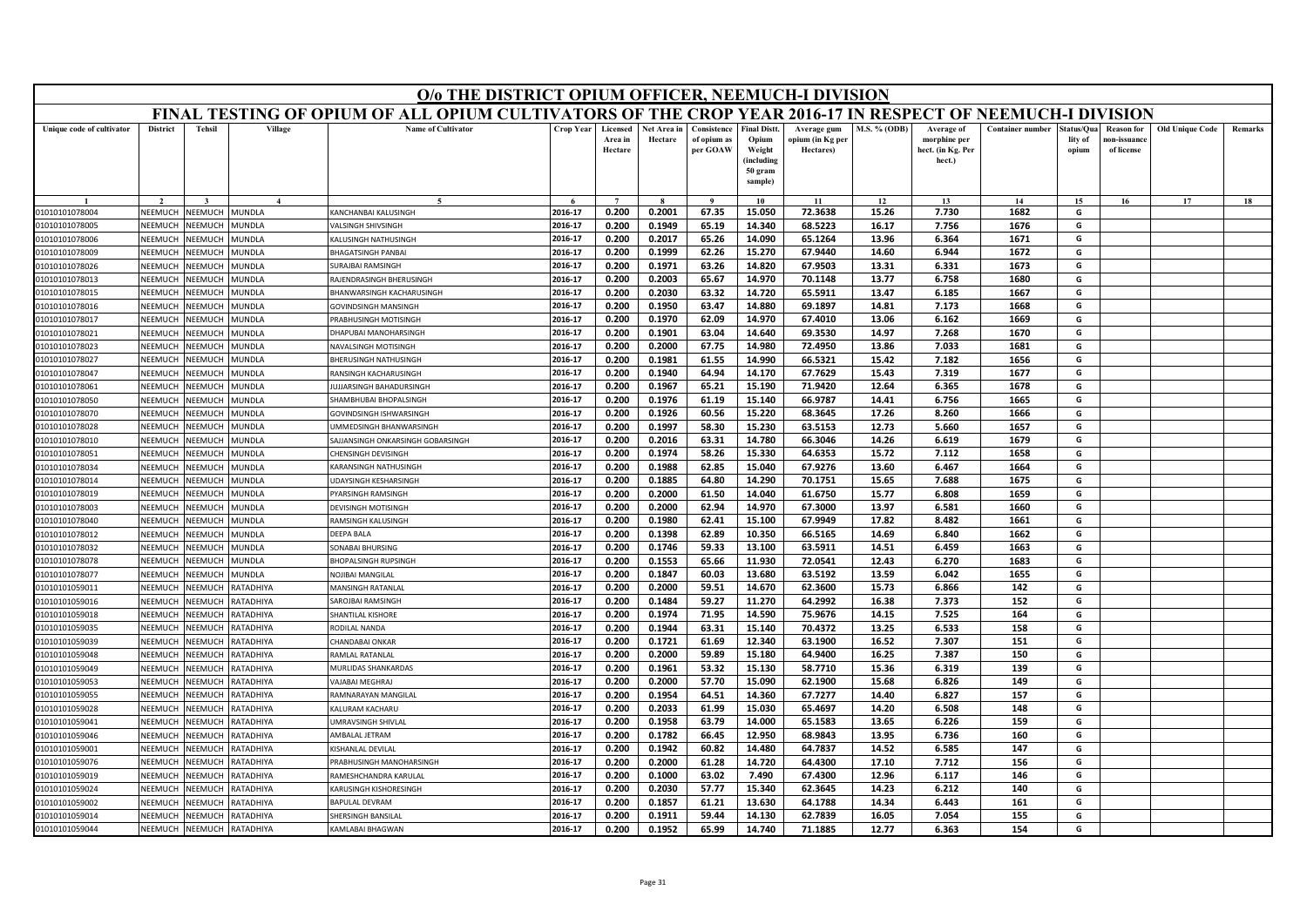| FINAL TESTING OF OPIUM OF ALL OPIUM CULTIVATORS OF THE CROP YEAR 2016-17 IN RESPECT OF NEEMUCH-I DIVISION<br><b>Tehsil</b><br>Village<br><b>Name of Cultivator</b><br><b>District</b><br><b>Crop Year</b><br>Licensed<br>Net Area in<br>Consistence<br><b>Final Distt.</b><br>M.S. % (ODB)<br><b>Container number</b><br><b>Old Unique Code</b><br>Unique code of cultivator<br>Average gum<br>Average of<br>štatus/Oua<br><b>Reason for</b><br>Remarks<br>Area in<br>Hectare<br>of opium as<br>Opium<br>opium (in Kg per<br>morphine per<br>lity of<br>ıon-issuanc<br>per GOAW<br>Weight<br>Hectare<br>Hectares)<br>hect. (in Kg. Per<br>of license<br>opium<br>(including<br>hect.)<br>50 gram<br>sample)<br>$\boldsymbol{\Lambda}$<br>$\tilde{\phantom{a}}$<br>$\overline{ }$<br>$\alpha$<br>10<br>11<br>12<br>13<br>14<br>15<br>16<br>17<br>18<br>0.200<br>0.2001<br>72.3638<br>7.730<br>1682<br>2016-17<br>67.35<br>15.050<br>15.26<br>G<br>NEEMUCH<br>NEEMUCH<br>MUNDLA<br>KANCHANBAI KALUSINGH<br>01010101078004<br><b>NEEMUCH</b><br>2016-17<br>0.200<br>0.1949<br>65.19<br>14.340<br>68.5223<br>16.17<br>7.756<br>1676<br>G<br>01010101078005<br>NEEMUCH<br><b>AUNDLA</b><br><b>ALSINGH SHIVSINGH</b><br>2016-17<br>0.2017<br>14.090<br>65.1264<br>13.96<br>6.364<br>1671<br>G<br>NFFMUCH<br><b>NEEMUCH</b><br><b>AUNDLA</b><br><b>ALUSINGH NATHUSINGH</b><br>0.200<br>65.26<br>01010101078006<br>0.200<br>0.1999<br>62.26<br>15.270<br>67.9440<br>14.60<br>6.944<br>1672<br>G<br>NEEMUCI<br>2016-17<br><b>NEEMUCH</b><br><b>AUNDLA</b><br>BHAGATSINGH PANBAI<br>01010101078009<br>2016-17<br>0.1971<br>14.820<br>67.9503<br>6.331<br>1673<br>G<br>NEEMUCH<br><b>JEEMUCH</b><br>URAJBAI RAMSINGH<br>0.200<br>63.26<br>13.31<br>01010101078026<br><b>AUNDLA</b><br>2016-17<br>0.200<br>0.2003<br>65.67<br>14.970<br>70.1148<br>13.77<br>6.758<br>1680<br>G<br>01010101078013<br>NEEMUCH<br><b>NEEMUCH</b><br>MUNDLA<br>RAJENDRASINGH BHERUSINGH<br>2016-17<br>0.200<br>0.2030<br>63.32<br>14.720<br>65.5911<br>13.47<br>6.185<br>1667<br>G<br>NEEMUC<br>VEEMUCI<br>MUNDLA<br>01010101078015<br><b>BHANWARSINGH KACHARUSINGH</b><br>0.1950<br>69.1897<br>1668<br>2016-17<br>0.200<br>63.47<br>14.880<br>14.81<br>7.173<br>G<br>01010101078016<br>NEEMUCH<br><b>JEEMUCH</b><br>AUNDLA<br><b>GOVINDSINGH MANSINGH</b><br>2016-17<br>0.200<br>62.09<br>14.970<br>67.4010<br>13.06<br>6.162<br>1669<br>G<br>NEEMUCH<br><b>JEEMUCH</b><br>0.1970<br>01010101078017<br><b>AUNDLA</b><br><b>RABHUSINGH MOTISINGH</b><br>14.97<br>NFFMUCI<br>VEEMUCH<br>MUNDLA<br>2016-17<br>0.200<br>0.1901<br>63.04<br>14.640<br>69.3530<br>7.268<br>1670<br>G<br>01010101078021<br>DHAPUBAI MANOHARSINGH<br>72.4950<br>2016-17<br>0.200<br>0.2000<br>67.75<br>14.980<br>13.86<br>7.033<br>1681<br>G<br>01010101078023<br>NEEMUCH<br><b>JEEMUCH</b><br><b>AUNDLA</b><br><b>VAVALSINGH MOTISINGH</b><br>0.200<br>0.1981<br>61.55<br>66.5321<br>15.42<br>7.182<br>1656<br>G<br>2016-17<br>14.990<br>01010101078027<br>NEEMUCI<br><b>JEEMUCH</b><br><b>AUNDLA</b><br>HERUSINGH NATHUSINGH<br>NFFMUCH<br><b>NEEMUCH</b><br>MUNDLA<br>2016-17<br>0.200<br>0.1940<br>64.94<br>14.170<br>67.7629<br>15.43<br>7.319<br>1677<br>G<br>01010101078047<br>RANSINGH KACHARUSINGH<br>0.1967<br>71.9420<br>G<br>01010101078061<br>NEEMUCI<br><b>JEEMUCH</b><br><b>AUNDLA</b><br>2016-17<br>0.200<br>65.21<br>15.190<br>12.64<br>6.365<br>1678<br>UJJARSINGH BAHADURSINGH<br>01010101078050<br>NEEMUCH<br><b>JEEMUCI</b><br><b>AUNDLA</b><br>HAMBHUBAI BHOPALSINGH<br>2016-17<br>0.200<br>0.1976<br>61.19<br>15.140<br>66.9787<br>14.41<br>6.756<br>1665<br>G<br>VEEMUCH<br>01010101078070<br>NEEMUCH<br>MUNDLA<br>2016-17<br>0.200<br>0.1926<br>60.56<br>15.220<br>68.3645<br>17.26<br>8.260<br>1666<br>G<br>GOVINDSINGH ISHWARSINGH<br>63.5153<br>01010101078028<br><b>JEEMUCH</b><br>MUNDLA<br>2016-17<br>0.200<br>0.1997<br>58.30<br>15.230<br>12.73<br>5.660<br>1657<br>G<br>NFFMUCI<br><b>JMMEDSINGH BHANWARSINGH</b><br>NEEMUCH<br><b>JEEMUCH</b><br>2016-17<br>0.200<br>0.2016<br>63.31<br>66.3046<br>14.26<br>1679<br>G<br>01010101078010<br><b>AUNDLA</b><br>AJJANSINGH ONKARSINGH GOBARSINGH<br>14.780<br>6.619<br>2016-17<br>0.200<br>0.1974<br>58.26<br>15.330<br>64.6353<br>15.72<br>7.112<br>1658<br>G<br>NFFMUCH<br><b>JEEMUCH</b><br><b>AUNDLA</b><br><b>HENSINGH DEVISINGH</b><br>01010101078051<br>2016-17<br>0.1988<br>62.85<br>15.040<br>67.9276<br>13.60<br>6.467<br>1664<br>G<br><b>NEEMUCH</b><br>KARANSINGH NATHUSINGH<br>0.200<br>01010101078034<br>NEEMUCH<br>MUNDLA<br>2016-17<br>0.200<br>0.1885<br>64.80<br>70.1751<br>15.65<br>7.688<br>1675<br>G<br>14.290<br>01010101078014<br><b>NEEMUCH</b><br><b>JEEMUCH</b><br><b>IUNDLA</b><br>JDAYSINGH KESHARSINGH<br>2016-17<br>0.200<br>0.2000<br>61.50<br>14.040<br>61.6750<br>15.77<br>6.808<br>1659<br>G<br>01010101078019<br>NEEMUCH<br><b>JEEMUCH</b><br><b>AUNDLA</b><br>YARSINGH RAMSINGH<br>DEVISINGH MOTISINGH<br>2016-17<br>0.200<br>0.2000<br>62.94<br>14.970<br>67.3000<br>13.97<br>6.581<br>1660<br>G<br><b>JEEMUCH</b><br><b>AUNDLA</b><br>01010101078003<br>NFFMUCI<br>67.9949<br>17.82<br>1661<br>2016-17<br>0.200<br>0.1980<br>62.41<br>15.100<br>8.482<br>G<br>NEEMUCH<br><b>JEEMUCH</b><br>RAMSINGH KALUSINGH<br>01010101078040<br><b>AUNDLA</b><br>0.200<br>0.1398<br>62.89<br>10.350<br>66.5165<br>14.69<br>6.840<br>1662<br>G<br>NEEMUCH<br><b>JEEMUCH</b><br>2016-17<br>01010101078012<br><b>AUNDLA</b><br>DEEPA BALA<br>2016-17<br>0.1746<br>13.100<br>63.5911<br>6.459<br><b>JEEMUCH</b><br><b>MUNDLA</b><br>0.200<br>59.33<br>14.51<br>1663<br>G<br>01010101078032<br>NEEMUCI<br><b>SONABAI BHURSING</b><br>2016-17<br>0.200<br>0.1553<br>65.66<br>11.930<br>72.0541<br>12.43<br>6.270<br>1683<br>G<br>NEEMUCI<br>01010101078078<br><b>JEEMUCI</b><br><b>AUNDLA</b><br><b>HOPALSINGH RUPSINGH</b><br>13.59<br>2016-17<br>0.200<br>0.1847<br>60.03<br>13.680<br>63.5192<br>6.042<br>1655<br>G<br>01010101078077<br>NEEMUCH<br><b>JEEMUCH</b><br><b>AUNDLA</b><br><b>VOJIBAI MANGILAL</b><br>2016-17<br>0.200<br>0.2000<br>59.51<br>14.670<br>62.3600<br>15.73<br>6.866<br>142<br>G<br>01010101059011<br>NEEMUCH<br><b>JEEMUCH</b><br>RATADHIYA<br>MANSINGH RATANLAL<br>64.2992<br>16.38<br>7.373<br>152<br>G<br>01010101059016<br>NEEMUCI<br><b>JEEMUC</b><br>RATADHIYA<br>2016-17<br>0.200<br>0.1484<br>59.27<br>11.270<br><b>SAROJBAI RAMSINGH</b><br>01010101059018<br>NEEMUCH<br><b>JEEMUCH</b><br><b>ATADHIYA</b><br><b>HANTILAL KISHORE</b><br>2016-17<br>0.200<br>0.1974<br>71.95<br>14.590<br>75.9676<br>14.15<br>7.525<br>164<br>G<br><b>JEEMUCH</b><br><b>ATADHIYA</b><br>2016-17<br>0.1944<br>70.4372<br>13.25<br>01010101059035<br>NEEMUCH<br><b>ODILAL NANDA</b><br>0.200<br>63.31<br>15.140<br>6.533<br>158<br>G<br>VEEMUCI<br>2016-17<br>0.200<br>0.1721<br>61.69<br>12.340<br>63.1900<br>16.52<br>7.307<br>151<br>G<br>01010101059039<br>NEEMUCI<br>RATADHIYA<br>HANDABAI ONKAP<br>RATADHIYA<br>2016-17<br>0.200<br>0.2000<br>59.89<br>15.180<br>64.9400<br>150<br>01010101059048<br>NEEMUCH<br><b>NEEMUCH</b><br>AMLAL RATANLAL<br>16.25<br>7.387<br>G<br>01010101059049<br>VEEMUCI<br><b>JEEMUCH</b><br><b>ATADHIYA</b><br>2016-17<br>0.1961<br>53.32<br>15.130<br>58.7710<br>6.319<br>139<br>G<br><b>JURLIDAS SHANKARDAS</b><br>0.200<br>15.36<br><b>NFFMUCH</b><br><b>JEEMUCH</b><br>RATADHIYA<br>2016-17<br>0.200<br>0.2000<br>57.70<br>15.090<br>62.1900<br>15.68<br>6.826<br>149<br>G<br>01010101059053<br><b>VAJABAI MEGHRAJ</b><br>2016-17<br>0.1954<br>67.7277<br>157<br>0.200<br>64.51<br>14.360<br>14.40<br>6.827<br>G<br>01010101059055<br><b>NEEMUCH</b><br><b>JEEMUCH</b><br><b>ATADHIYA</b><br>AMNARAYAN MANGILAL<br>G<br><b>ATADHIYA</b><br>ALURAM KACHARU<br>2016-17<br>0.200<br>0.2033<br>61.99<br>15.030<br>65.4697<br>14.20<br>6.508<br>148<br>01010101059028<br><b>NEEMUCH</b><br><b>JEEMUCH</b><br>159<br>2016-17<br>0.200<br>0.1958<br>63.79<br>14.000<br>65.1583<br>13.65<br>6.226<br>G<br>NEEMUCH<br><b>NEEMUCH</b><br><b>ATADHIYA</b><br><b>JMRAVSINGH SHIVLAL</b><br>01010101059041<br>2016-17<br>0.200<br>0.1782<br>66.45<br>12.950<br>68.9843<br>13.95<br>6.736<br>160<br>G<br><b>ATADHIYA</b><br><b>MBALAL JETRAM</b><br>01010101059046<br>NEEMUCH<br><b>JEEMUCH</b><br>64.7837<br>14.52<br>G<br>VEEMUCI<br><b>JEEMUCH</b><br><b>ATADHIYA</b><br><b>ISHANLAL DEVILAL</b><br>2016-17<br>0.200<br>0.1942<br>60.82<br>14.480<br>6.585<br>147<br>01010101059001<br>2016-17<br>0.2000<br>64,4300<br>17.10<br>7.712<br>156<br>G<br><b>NFFMUCH</b><br><b>JEEMUCH</b><br>RATADHIYA<br>0.200<br>61.28<br>14.720<br>01010101059076<br>PRABHUSINGH MANOHARSINGH<br>2016-17<br>0.1000<br>63.02<br>7.490<br>67.4300<br>12.96<br>6.117<br>146<br>0.200<br>G<br>NEEMUCH<br><b>JEEMUCH</b><br>RATADHIYA<br>01010101059019<br>AMESHCHANDRA KARULAL<br>0.200<br>0.2030<br>57.77<br>62.3645<br>6.212<br>140<br>G<br>2016-17<br>15.340<br>14.23<br>01010101059024<br>VEEMUCI<br><b>JEEMUCI</b><br><b>ATADHIYA</b><br><b>ARUSINGH KISHORESINGH</b><br>2016-17<br>0.200<br>0.1857<br>61.21<br>13.630<br>64.1788<br>14.34<br>6.443<br>161<br>G<br>NEEMUCH<br><b>JEEMUCI</b><br><b>ATADHIYA</b><br>01010101059002<br><b>BAPULAL DEVRAM</b><br>2016-17<br>0.200<br>0.1911<br>59.44<br>14.130<br>62.7839<br>16.05<br>7.054<br>155<br>G<br>NEEMUCH<br><b>NEEMUCH</b><br><b>ATADHIYA</b><br>01010101059014<br>HERSINGH BANSILAL<br>0.200<br>0.1952<br>2016-17<br>65.99<br>14.740<br>71.1885<br>12.77<br>6.363<br>154<br>G<br>NEEMUCH<br>NEEMUCH<br>RATADHIYA<br>01010101059044<br>KAMLABAI BHAGWAN | O/o THE DISTRICT OPIUM OFFICER, NEEMUCH-I DIVISION |  |  |  |  |  |  |  |  |  |  |  |  |  |  |  |
|-------------------------------------------------------------------------------------------------------------------------------------------------------------------------------------------------------------------------------------------------------------------------------------------------------------------------------------------------------------------------------------------------------------------------------------------------------------------------------------------------------------------------------------------------------------------------------------------------------------------------------------------------------------------------------------------------------------------------------------------------------------------------------------------------------------------------------------------------------------------------------------------------------------------------------------------------------------------------------------------------------------------------------------------------------------------------------------------------------------------------------------------------------------------------------------------------------------------------------------------------------------------------------------------------------------------------------------------------------------------------------------------------------------------------------------------------------------------------------------------------------------------------------------------------------------------------------------------------------------------------------------------------------------------------------------------------------------------------------------------------------------------------------------------------------------------------------------------------------------------------------------------------------------------------------------------------------------------------------------------------------------------------------------------------------------------------------------------------------------------------------------------------------------------------------------------------------------------------------------------------------------------------------------------------------------------------------------------------------------------------------------------------------------------------------------------------------------------------------------------------------------------------------------------------------------------------------------------------------------------------------------------------------------------------------------------------------------------------------------------------------------------------------------------------------------------------------------------------------------------------------------------------------------------------------------------------------------------------------------------------------------------------------------------------------------------------------------------------------------------------------------------------------------------------------------------------------------------------------------------------------------------------------------------------------------------------------------------------------------------------------------------------------------------------------------------------------------------------------------------------------------------------------------------------------------------------------------------------------------------------------------------------------------------------------------------------------------------------------------------------------------------------------------------------------------------------------------------------------------------------------------------------------------------------------------------------------------------------------------------------------------------------------------------------------------------------------------------------------------------------------------------------------------------------------------------------------------------------------------------------------------------------------------------------------------------------------------------------------------------------------------------------------------------------------------------------------------------------------------------------------------------------------------------------------------------------------------------------------------------------------------------------------------------------------------------------------------------------------------------------------------------------------------------------------------------------------------------------------------------------------------------------------------------------------------------------------------------------------------------------------------------------------------------------------------------------------------------------------------------------------------------------------------------------------------------------------------------------------------------------------------------------------------------------------------------------------------------------------------------------------------------------------------------------------------------------------------------------------------------------------------------------------------------------------------------------------------------------------------------------------------------------------------------------------------------------------------------------------------------------------------------------------------------------------------------------------------------------------------------------------------------------------------------------------------------------------------------------------------------------------------------------------------------------------------------------------------------------------------------------------------------------------------------------------------------------------------------------------------------------------------------------------------------------------------------------------------------------------------------------------------------------------------------------------------------------------------------------------------------------------------------------------------------------------------------------------------------------------------------------------------------------------------------------------------------------------------------------------------------------------------------------------------------------------------------------------------------------------------------------------------------------------------------------------------------------------------------------------------------------------------------------------------------------------------------------------------------------------------------------------------------------------------------------------------------------------------------------------------------------------------------------------------------------------------------------------------------------------------------------------------------------------------------------------------------------------------------------------------------------------------------------------------------------------------------------------------------------------------------------------------------------------------------------------------------------------------------------------------------------------------------------------------------------------------------------------------------------------------------------------------------------------------------------------------------------------------------------------------------------------------------------------------------------------------------------------------------------------------------------------------------------------------------------------------------------------------------------------------------------------------------------------------------------------------------------------------------------------------------------------------------------------------------------------------------------------------------------------------------------------------------------------------------------------------------------------------------------------------------------------------------------------------------------------------------------------------------------------------------------------------------------------------------------------------------------------------------------------------------------------------------------------------------------------------------------------------------------------------------------------------------------------------------------------------------------------------------------------------------------------------------------------------------------------------------------------------------------------------------------------------------------------------------------------------------------------------------------------------------------------------------------------------------------------------------------------------------------------------------------------------------------------------------------------------------------------------------|----------------------------------------------------|--|--|--|--|--|--|--|--|--|--|--|--|--|--|--|
|                                                                                                                                                                                                                                                                                                                                                                                                                                                                                                                                                                                                                                                                                                                                                                                                                                                                                                                                                                                                                                                                                                                                                                                                                                                                                                                                                                                                                                                                                                                                                                                                                                                                                                                                                                                                                                                                                                                                                                                                                                                                                                                                                                                                                                                                                                                                                                                                                                                                                                                                                                                                                                                                                                                                                                                                                                                                                                                                                                                                                                                                                                                                                                                                                                                                                                                                                                                                                                                                                                                                                                                                                                                                                                                                                                                                                                                                                                                                                                                                                                                                                                                                                                                                                                                                                                                                                                                                                                                                                                                                                                                                                                                                                                                                                                                                                                                                                                                                                                                                                                                                                                                                                                                                                                                                                                                                                                                                                                                                                                                                                                                                                                                                                                                                                                                                                                                                                                                                                                                                                                                                                                                                                                                                                                                                                                                                                                                                                                                                                                                                                                                                                                                                                                                                                                                                                                                                                                                                                                                                                                                                                                                                                                                                                                                                                                                                                                                                                                                                                                                                                                                                                                                                                                                                                                                                                                                                                                                                                                                                                                                                                                                                                                                                                                                                                                                                                                                                                                                                                                                                                                                                                                                                                                                                                                                                                                                                                                                                                                                                                                                                                                                                                                                                                                                                                                                                                                                                                                                                                                                                                                                           |                                                    |  |  |  |  |  |  |  |  |  |  |  |  |  |  |  |
|                                                                                                                                                                                                                                                                                                                                                                                                                                                                                                                                                                                                                                                                                                                                                                                                                                                                                                                                                                                                                                                                                                                                                                                                                                                                                                                                                                                                                                                                                                                                                                                                                                                                                                                                                                                                                                                                                                                                                                                                                                                                                                                                                                                                                                                                                                                                                                                                                                                                                                                                                                                                                                                                                                                                                                                                                                                                                                                                                                                                                                                                                                                                                                                                                                                                                                                                                                                                                                                                                                                                                                                                                                                                                                                                                                                                                                                                                                                                                                                                                                                                                                                                                                                                                                                                                                                                                                                                                                                                                                                                                                                                                                                                                                                                                                                                                                                                                                                                                                                                                                                                                                                                                                                                                                                                                                                                                                                                                                                                                                                                                                                                                                                                                                                                                                                                                                                                                                                                                                                                                                                                                                                                                                                                                                                                                                                                                                                                                                                                                                                                                                                                                                                                                                                                                                                                                                                                                                                                                                                                                                                                                                                                                                                                                                                                                                                                                                                                                                                                                                                                                                                                                                                                                                                                                                                                                                                                                                                                                                                                                                                                                                                                                                                                                                                                                                                                                                                                                                                                                                                                                                                                                                                                                                                                                                                                                                                                                                                                                                                                                                                                                                                                                                                                                                                                                                                                                                                                                                                                                                                                                                                           |                                                    |  |  |  |  |  |  |  |  |  |  |  |  |  |  |  |
|                                                                                                                                                                                                                                                                                                                                                                                                                                                                                                                                                                                                                                                                                                                                                                                                                                                                                                                                                                                                                                                                                                                                                                                                                                                                                                                                                                                                                                                                                                                                                                                                                                                                                                                                                                                                                                                                                                                                                                                                                                                                                                                                                                                                                                                                                                                                                                                                                                                                                                                                                                                                                                                                                                                                                                                                                                                                                                                                                                                                                                                                                                                                                                                                                                                                                                                                                                                                                                                                                                                                                                                                                                                                                                                                                                                                                                                                                                                                                                                                                                                                                                                                                                                                                                                                                                                                                                                                                                                                                                                                                                                                                                                                                                                                                                                                                                                                                                                                                                                                                                                                                                                                                                                                                                                                                                                                                                                                                                                                                                                                                                                                                                                                                                                                                                                                                                                                                                                                                                                                                                                                                                                                                                                                                                                                                                                                                                                                                                                                                                                                                                                                                                                                                                                                                                                                                                                                                                                                                                                                                                                                                                                                                                                                                                                                                                                                                                                                                                                                                                                                                                                                                                                                                                                                                                                                                                                                                                                                                                                                                                                                                                                                                                                                                                                                                                                                                                                                                                                                                                                                                                                                                                                                                                                                                                                                                                                                                                                                                                                                                                                                                                                                                                                                                                                                                                                                                                                                                                                                                                                                                                                           |                                                    |  |  |  |  |  |  |  |  |  |  |  |  |  |  |  |
|                                                                                                                                                                                                                                                                                                                                                                                                                                                                                                                                                                                                                                                                                                                                                                                                                                                                                                                                                                                                                                                                                                                                                                                                                                                                                                                                                                                                                                                                                                                                                                                                                                                                                                                                                                                                                                                                                                                                                                                                                                                                                                                                                                                                                                                                                                                                                                                                                                                                                                                                                                                                                                                                                                                                                                                                                                                                                                                                                                                                                                                                                                                                                                                                                                                                                                                                                                                                                                                                                                                                                                                                                                                                                                                                                                                                                                                                                                                                                                                                                                                                                                                                                                                                                                                                                                                                                                                                                                                                                                                                                                                                                                                                                                                                                                                                                                                                                                                                                                                                                                                                                                                                                                                                                                                                                                                                                                                                                                                                                                                                                                                                                                                                                                                                                                                                                                                                                                                                                                                                                                                                                                                                                                                                                                                                                                                                                                                                                                                                                                                                                                                                                                                                                                                                                                                                                                                                                                                                                                                                                                                                                                                                                                                                                                                                                                                                                                                                                                                                                                                                                                                                                                                                                                                                                                                                                                                                                                                                                                                                                                                                                                                                                                                                                                                                                                                                                                                                                                                                                                                                                                                                                                                                                                                                                                                                                                                                                                                                                                                                                                                                                                                                                                                                                                                                                                                                                                                                                                                                                                                                                                                           |                                                    |  |  |  |  |  |  |  |  |  |  |  |  |  |  |  |
|                                                                                                                                                                                                                                                                                                                                                                                                                                                                                                                                                                                                                                                                                                                                                                                                                                                                                                                                                                                                                                                                                                                                                                                                                                                                                                                                                                                                                                                                                                                                                                                                                                                                                                                                                                                                                                                                                                                                                                                                                                                                                                                                                                                                                                                                                                                                                                                                                                                                                                                                                                                                                                                                                                                                                                                                                                                                                                                                                                                                                                                                                                                                                                                                                                                                                                                                                                                                                                                                                                                                                                                                                                                                                                                                                                                                                                                                                                                                                                                                                                                                                                                                                                                                                                                                                                                                                                                                                                                                                                                                                                                                                                                                                                                                                                                                                                                                                                                                                                                                                                                                                                                                                                                                                                                                                                                                                                                                                                                                                                                                                                                                                                                                                                                                                                                                                                                                                                                                                                                                                                                                                                                                                                                                                                                                                                                                                                                                                                                                                                                                                                                                                                                                                                                                                                                                                                                                                                                                                                                                                                                                                                                                                                                                                                                                                                                                                                                                                                                                                                                                                                                                                                                                                                                                                                                                                                                                                                                                                                                                                                                                                                                                                                                                                                                                                                                                                                                                                                                                                                                                                                                                                                                                                                                                                                                                                                                                                                                                                                                                                                                                                                                                                                                                                                                                                                                                                                                                                                                                                                                                                                                           |                                                    |  |  |  |  |  |  |  |  |  |  |  |  |  |  |  |
|                                                                                                                                                                                                                                                                                                                                                                                                                                                                                                                                                                                                                                                                                                                                                                                                                                                                                                                                                                                                                                                                                                                                                                                                                                                                                                                                                                                                                                                                                                                                                                                                                                                                                                                                                                                                                                                                                                                                                                                                                                                                                                                                                                                                                                                                                                                                                                                                                                                                                                                                                                                                                                                                                                                                                                                                                                                                                                                                                                                                                                                                                                                                                                                                                                                                                                                                                                                                                                                                                                                                                                                                                                                                                                                                                                                                                                                                                                                                                                                                                                                                                                                                                                                                                                                                                                                                                                                                                                                                                                                                                                                                                                                                                                                                                                                                                                                                                                                                                                                                                                                                                                                                                                                                                                                                                                                                                                                                                                                                                                                                                                                                                                                                                                                                                                                                                                                                                                                                                                                                                                                                                                                                                                                                                                                                                                                                                                                                                                                                                                                                                                                                                                                                                                                                                                                                                                                                                                                                                                                                                                                                                                                                                                                                                                                                                                                                                                                                                                                                                                                                                                                                                                                                                                                                                                                                                                                                                                                                                                                                                                                                                                                                                                                                                                                                                                                                                                                                                                                                                                                                                                                                                                                                                                                                                                                                                                                                                                                                                                                                                                                                                                                                                                                                                                                                                                                                                                                                                                                                                                                                                                                           |                                                    |  |  |  |  |  |  |  |  |  |  |  |  |  |  |  |
|                                                                                                                                                                                                                                                                                                                                                                                                                                                                                                                                                                                                                                                                                                                                                                                                                                                                                                                                                                                                                                                                                                                                                                                                                                                                                                                                                                                                                                                                                                                                                                                                                                                                                                                                                                                                                                                                                                                                                                                                                                                                                                                                                                                                                                                                                                                                                                                                                                                                                                                                                                                                                                                                                                                                                                                                                                                                                                                                                                                                                                                                                                                                                                                                                                                                                                                                                                                                                                                                                                                                                                                                                                                                                                                                                                                                                                                                                                                                                                                                                                                                                                                                                                                                                                                                                                                                                                                                                                                                                                                                                                                                                                                                                                                                                                                                                                                                                                                                                                                                                                                                                                                                                                                                                                                                                                                                                                                                                                                                                                                                                                                                                                                                                                                                                                                                                                                                                                                                                                                                                                                                                                                                                                                                                                                                                                                                                                                                                                                                                                                                                                                                                                                                                                                                                                                                                                                                                                                                                                                                                                                                                                                                                                                                                                                                                                                                                                                                                                                                                                                                                                                                                                                                                                                                                                                                                                                                                                                                                                                                                                                                                                                                                                                                                                                                                                                                                                                                                                                                                                                                                                                                                                                                                                                                                                                                                                                                                                                                                                                                                                                                                                                                                                                                                                                                                                                                                                                                                                                                                                                                                                                           |                                                    |  |  |  |  |  |  |  |  |  |  |  |  |  |  |  |
|                                                                                                                                                                                                                                                                                                                                                                                                                                                                                                                                                                                                                                                                                                                                                                                                                                                                                                                                                                                                                                                                                                                                                                                                                                                                                                                                                                                                                                                                                                                                                                                                                                                                                                                                                                                                                                                                                                                                                                                                                                                                                                                                                                                                                                                                                                                                                                                                                                                                                                                                                                                                                                                                                                                                                                                                                                                                                                                                                                                                                                                                                                                                                                                                                                                                                                                                                                                                                                                                                                                                                                                                                                                                                                                                                                                                                                                                                                                                                                                                                                                                                                                                                                                                                                                                                                                                                                                                                                                                                                                                                                                                                                                                                                                                                                                                                                                                                                                                                                                                                                                                                                                                                                                                                                                                                                                                                                                                                                                                                                                                                                                                                                                                                                                                                                                                                                                                                                                                                                                                                                                                                                                                                                                                                                                                                                                                                                                                                                                                                                                                                                                                                                                                                                                                                                                                                                                                                                                                                                                                                                                                                                                                                                                                                                                                                                                                                                                                                                                                                                                                                                                                                                                                                                                                                                                                                                                                                                                                                                                                                                                                                                                                                                                                                                                                                                                                                                                                                                                                                                                                                                                                                                                                                                                                                                                                                                                                                                                                                                                                                                                                                                                                                                                                                                                                                                                                                                                                                                                                                                                                                                                           |                                                    |  |  |  |  |  |  |  |  |  |  |  |  |  |  |  |
|                                                                                                                                                                                                                                                                                                                                                                                                                                                                                                                                                                                                                                                                                                                                                                                                                                                                                                                                                                                                                                                                                                                                                                                                                                                                                                                                                                                                                                                                                                                                                                                                                                                                                                                                                                                                                                                                                                                                                                                                                                                                                                                                                                                                                                                                                                                                                                                                                                                                                                                                                                                                                                                                                                                                                                                                                                                                                                                                                                                                                                                                                                                                                                                                                                                                                                                                                                                                                                                                                                                                                                                                                                                                                                                                                                                                                                                                                                                                                                                                                                                                                                                                                                                                                                                                                                                                                                                                                                                                                                                                                                                                                                                                                                                                                                                                                                                                                                                                                                                                                                                                                                                                                                                                                                                                                                                                                                                                                                                                                                                                                                                                                                                                                                                                                                                                                                                                                                                                                                                                                                                                                                                                                                                                                                                                                                                                                                                                                                                                                                                                                                                                                                                                                                                                                                                                                                                                                                                                                                                                                                                                                                                                                                                                                                                                                                                                                                                                                                                                                                                                                                                                                                                                                                                                                                                                                                                                                                                                                                                                                                                                                                                                                                                                                                                                                                                                                                                                                                                                                                                                                                                                                                                                                                                                                                                                                                                                                                                                                                                                                                                                                                                                                                                                                                                                                                                                                                                                                                                                                                                                                                                           |                                                    |  |  |  |  |  |  |  |  |  |  |  |  |  |  |  |
|                                                                                                                                                                                                                                                                                                                                                                                                                                                                                                                                                                                                                                                                                                                                                                                                                                                                                                                                                                                                                                                                                                                                                                                                                                                                                                                                                                                                                                                                                                                                                                                                                                                                                                                                                                                                                                                                                                                                                                                                                                                                                                                                                                                                                                                                                                                                                                                                                                                                                                                                                                                                                                                                                                                                                                                                                                                                                                                                                                                                                                                                                                                                                                                                                                                                                                                                                                                                                                                                                                                                                                                                                                                                                                                                                                                                                                                                                                                                                                                                                                                                                                                                                                                                                                                                                                                                                                                                                                                                                                                                                                                                                                                                                                                                                                                                                                                                                                                                                                                                                                                                                                                                                                                                                                                                                                                                                                                                                                                                                                                                                                                                                                                                                                                                                                                                                                                                                                                                                                                                                                                                                                                                                                                                                                                                                                                                                                                                                                                                                                                                                                                                                                                                                                                                                                                                                                                                                                                                                                                                                                                                                                                                                                                                                                                                                                                                                                                                                                                                                                                                                                                                                                                                                                                                                                                                                                                                                                                                                                                                                                                                                                                                                                                                                                                                                                                                                                                                                                                                                                                                                                                                                                                                                                                                                                                                                                                                                                                                                                                                                                                                                                                                                                                                                                                                                                                                                                                                                                                                                                                                                                                           |                                                    |  |  |  |  |  |  |  |  |  |  |  |  |  |  |  |
|                                                                                                                                                                                                                                                                                                                                                                                                                                                                                                                                                                                                                                                                                                                                                                                                                                                                                                                                                                                                                                                                                                                                                                                                                                                                                                                                                                                                                                                                                                                                                                                                                                                                                                                                                                                                                                                                                                                                                                                                                                                                                                                                                                                                                                                                                                                                                                                                                                                                                                                                                                                                                                                                                                                                                                                                                                                                                                                                                                                                                                                                                                                                                                                                                                                                                                                                                                                                                                                                                                                                                                                                                                                                                                                                                                                                                                                                                                                                                                                                                                                                                                                                                                                                                                                                                                                                                                                                                                                                                                                                                                                                                                                                                                                                                                                                                                                                                                                                                                                                                                                                                                                                                                                                                                                                                                                                                                                                                                                                                                                                                                                                                                                                                                                                                                                                                                                                                                                                                                                                                                                                                                                                                                                                                                                                                                                                                                                                                                                                                                                                                                                                                                                                                                                                                                                                                                                                                                                                                                                                                                                                                                                                                                                                                                                                                                                                                                                                                                                                                                                                                                                                                                                                                                                                                                                                                                                                                                                                                                                                                                                                                                                                                                                                                                                                                                                                                                                                                                                                                                                                                                                                                                                                                                                                                                                                                                                                                                                                                                                                                                                                                                                                                                                                                                                                                                                                                                                                                                                                                                                                                                                           |                                                    |  |  |  |  |  |  |  |  |  |  |  |  |  |  |  |
|                                                                                                                                                                                                                                                                                                                                                                                                                                                                                                                                                                                                                                                                                                                                                                                                                                                                                                                                                                                                                                                                                                                                                                                                                                                                                                                                                                                                                                                                                                                                                                                                                                                                                                                                                                                                                                                                                                                                                                                                                                                                                                                                                                                                                                                                                                                                                                                                                                                                                                                                                                                                                                                                                                                                                                                                                                                                                                                                                                                                                                                                                                                                                                                                                                                                                                                                                                                                                                                                                                                                                                                                                                                                                                                                                                                                                                                                                                                                                                                                                                                                                                                                                                                                                                                                                                                                                                                                                                                                                                                                                                                                                                                                                                                                                                                                                                                                                                                                                                                                                                                                                                                                                                                                                                                                                                                                                                                                                                                                                                                                                                                                                                                                                                                                                                                                                                                                                                                                                                                                                                                                                                                                                                                                                                                                                                                                                                                                                                                                                                                                                                                                                                                                                                                                                                                                                                                                                                                                                                                                                                                                                                                                                                                                                                                                                                                                                                                                                                                                                                                                                                                                                                                                                                                                                                                                                                                                                                                                                                                                                                                                                                                                                                                                                                                                                                                                                                                                                                                                                                                                                                                                                                                                                                                                                                                                                                                                                                                                                                                                                                                                                                                                                                                                                                                                                                                                                                                                                                                                                                                                                                                           |                                                    |  |  |  |  |  |  |  |  |  |  |  |  |  |  |  |
|                                                                                                                                                                                                                                                                                                                                                                                                                                                                                                                                                                                                                                                                                                                                                                                                                                                                                                                                                                                                                                                                                                                                                                                                                                                                                                                                                                                                                                                                                                                                                                                                                                                                                                                                                                                                                                                                                                                                                                                                                                                                                                                                                                                                                                                                                                                                                                                                                                                                                                                                                                                                                                                                                                                                                                                                                                                                                                                                                                                                                                                                                                                                                                                                                                                                                                                                                                                                                                                                                                                                                                                                                                                                                                                                                                                                                                                                                                                                                                                                                                                                                                                                                                                                                                                                                                                                                                                                                                                                                                                                                                                                                                                                                                                                                                                                                                                                                                                                                                                                                                                                                                                                                                                                                                                                                                                                                                                                                                                                                                                                                                                                                                                                                                                                                                                                                                                                                                                                                                                                                                                                                                                                                                                                                                                                                                                                                                                                                                                                                                                                                                                                                                                                                                                                                                                                                                                                                                                                                                                                                                                                                                                                                                                                                                                                                                                                                                                                                                                                                                                                                                                                                                                                                                                                                                                                                                                                                                                                                                                                                                                                                                                                                                                                                                                                                                                                                                                                                                                                                                                                                                                                                                                                                                                                                                                                                                                                                                                                                                                                                                                                                                                                                                                                                                                                                                                                                                                                                                                                                                                                                                                           |                                                    |  |  |  |  |  |  |  |  |  |  |  |  |  |  |  |
|                                                                                                                                                                                                                                                                                                                                                                                                                                                                                                                                                                                                                                                                                                                                                                                                                                                                                                                                                                                                                                                                                                                                                                                                                                                                                                                                                                                                                                                                                                                                                                                                                                                                                                                                                                                                                                                                                                                                                                                                                                                                                                                                                                                                                                                                                                                                                                                                                                                                                                                                                                                                                                                                                                                                                                                                                                                                                                                                                                                                                                                                                                                                                                                                                                                                                                                                                                                                                                                                                                                                                                                                                                                                                                                                                                                                                                                                                                                                                                                                                                                                                                                                                                                                                                                                                                                                                                                                                                                                                                                                                                                                                                                                                                                                                                                                                                                                                                                                                                                                                                                                                                                                                                                                                                                                                                                                                                                                                                                                                                                                                                                                                                                                                                                                                                                                                                                                                                                                                                                                                                                                                                                                                                                                                                                                                                                                                                                                                                                                                                                                                                                                                                                                                                                                                                                                                                                                                                                                                                                                                                                                                                                                                                                                                                                                                                                                                                                                                                                                                                                                                                                                                                                                                                                                                                                                                                                                                                                                                                                                                                                                                                                                                                                                                                                                                                                                                                                                                                                                                                                                                                                                                                                                                                                                                                                                                                                                                                                                                                                                                                                                                                                                                                                                                                                                                                                                                                                                                                                                                                                                                                                           |                                                    |  |  |  |  |  |  |  |  |  |  |  |  |  |  |  |
|                                                                                                                                                                                                                                                                                                                                                                                                                                                                                                                                                                                                                                                                                                                                                                                                                                                                                                                                                                                                                                                                                                                                                                                                                                                                                                                                                                                                                                                                                                                                                                                                                                                                                                                                                                                                                                                                                                                                                                                                                                                                                                                                                                                                                                                                                                                                                                                                                                                                                                                                                                                                                                                                                                                                                                                                                                                                                                                                                                                                                                                                                                                                                                                                                                                                                                                                                                                                                                                                                                                                                                                                                                                                                                                                                                                                                                                                                                                                                                                                                                                                                                                                                                                                                                                                                                                                                                                                                                                                                                                                                                                                                                                                                                                                                                                                                                                                                                                                                                                                                                                                                                                                                                                                                                                                                                                                                                                                                                                                                                                                                                                                                                                                                                                                                                                                                                                                                                                                                                                                                                                                                                                                                                                                                                                                                                                                                                                                                                                                                                                                                                                                                                                                                                                                                                                                                                                                                                                                                                                                                                                                                                                                                                                                                                                                                                                                                                                                                                                                                                                                                                                                                                                                                                                                                                                                                                                                                                                                                                                                                                                                                                                                                                                                                                                                                                                                                                                                                                                                                                                                                                                                                                                                                                                                                                                                                                                                                                                                                                                                                                                                                                                                                                                                                                                                                                                                                                                                                                                                                                                                                                                           |                                                    |  |  |  |  |  |  |  |  |  |  |  |  |  |  |  |
|                                                                                                                                                                                                                                                                                                                                                                                                                                                                                                                                                                                                                                                                                                                                                                                                                                                                                                                                                                                                                                                                                                                                                                                                                                                                                                                                                                                                                                                                                                                                                                                                                                                                                                                                                                                                                                                                                                                                                                                                                                                                                                                                                                                                                                                                                                                                                                                                                                                                                                                                                                                                                                                                                                                                                                                                                                                                                                                                                                                                                                                                                                                                                                                                                                                                                                                                                                                                                                                                                                                                                                                                                                                                                                                                                                                                                                                                                                                                                                                                                                                                                                                                                                                                                                                                                                                                                                                                                                                                                                                                                                                                                                                                                                                                                                                                                                                                                                                                                                                                                                                                                                                                                                                                                                                                                                                                                                                                                                                                                                                                                                                                                                                                                                                                                                                                                                                                                                                                                                                                                                                                                                                                                                                                                                                                                                                                                                                                                                                                                                                                                                                                                                                                                                                                                                                                                                                                                                                                                                                                                                                                                                                                                                                                                                                                                                                                                                                                                                                                                                                                                                                                                                                                                                                                                                                                                                                                                                                                                                                                                                                                                                                                                                                                                                                                                                                                                                                                                                                                                                                                                                                                                                                                                                                                                                                                                                                                                                                                                                                                                                                                                                                                                                                                                                                                                                                                                                                                                                                                                                                                                                                           |                                                    |  |  |  |  |  |  |  |  |  |  |  |  |  |  |  |
|                                                                                                                                                                                                                                                                                                                                                                                                                                                                                                                                                                                                                                                                                                                                                                                                                                                                                                                                                                                                                                                                                                                                                                                                                                                                                                                                                                                                                                                                                                                                                                                                                                                                                                                                                                                                                                                                                                                                                                                                                                                                                                                                                                                                                                                                                                                                                                                                                                                                                                                                                                                                                                                                                                                                                                                                                                                                                                                                                                                                                                                                                                                                                                                                                                                                                                                                                                                                                                                                                                                                                                                                                                                                                                                                                                                                                                                                                                                                                                                                                                                                                                                                                                                                                                                                                                                                                                                                                                                                                                                                                                                                                                                                                                                                                                                                                                                                                                                                                                                                                                                                                                                                                                                                                                                                                                                                                                                                                                                                                                                                                                                                                                                                                                                                                                                                                                                                                                                                                                                                                                                                                                                                                                                                                                                                                                                                                                                                                                                                                                                                                                                                                                                                                                                                                                                                                                                                                                                                                                                                                                                                                                                                                                                                                                                                                                                                                                                                                                                                                                                                                                                                                                                                                                                                                                                                                                                                                                                                                                                                                                                                                                                                                                                                                                                                                                                                                                                                                                                                                                                                                                                                                                                                                                                                                                                                                                                                                                                                                                                                                                                                                                                                                                                                                                                                                                                                                                                                                                                                                                                                                                                           |                                                    |  |  |  |  |  |  |  |  |  |  |  |  |  |  |  |
|                                                                                                                                                                                                                                                                                                                                                                                                                                                                                                                                                                                                                                                                                                                                                                                                                                                                                                                                                                                                                                                                                                                                                                                                                                                                                                                                                                                                                                                                                                                                                                                                                                                                                                                                                                                                                                                                                                                                                                                                                                                                                                                                                                                                                                                                                                                                                                                                                                                                                                                                                                                                                                                                                                                                                                                                                                                                                                                                                                                                                                                                                                                                                                                                                                                                                                                                                                                                                                                                                                                                                                                                                                                                                                                                                                                                                                                                                                                                                                                                                                                                                                                                                                                                                                                                                                                                                                                                                                                                                                                                                                                                                                                                                                                                                                                                                                                                                                                                                                                                                                                                                                                                                                                                                                                                                                                                                                                                                                                                                                                                                                                                                                                                                                                                                                                                                                                                                                                                                                                                                                                                                                                                                                                                                                                                                                                                                                                                                                                                                                                                                                                                                                                                                                                                                                                                                                                                                                                                                                                                                                                                                                                                                                                                                                                                                                                                                                                                                                                                                                                                                                                                                                                                                                                                                                                                                                                                                                                                                                                                                                                                                                                                                                                                                                                                                                                                                                                                                                                                                                                                                                                                                                                                                                                                                                                                                                                                                                                                                                                                                                                                                                                                                                                                                                                                                                                                                                                                                                                                                                                                                                                           |                                                    |  |  |  |  |  |  |  |  |  |  |  |  |  |  |  |
|                                                                                                                                                                                                                                                                                                                                                                                                                                                                                                                                                                                                                                                                                                                                                                                                                                                                                                                                                                                                                                                                                                                                                                                                                                                                                                                                                                                                                                                                                                                                                                                                                                                                                                                                                                                                                                                                                                                                                                                                                                                                                                                                                                                                                                                                                                                                                                                                                                                                                                                                                                                                                                                                                                                                                                                                                                                                                                                                                                                                                                                                                                                                                                                                                                                                                                                                                                                                                                                                                                                                                                                                                                                                                                                                                                                                                                                                                                                                                                                                                                                                                                                                                                                                                                                                                                                                                                                                                                                                                                                                                                                                                                                                                                                                                                                                                                                                                                                                                                                                                                                                                                                                                                                                                                                                                                                                                                                                                                                                                                                                                                                                                                                                                                                                                                                                                                                                                                                                                                                                                                                                                                                                                                                                                                                                                                                                                                                                                                                                                                                                                                                                                                                                                                                                                                                                                                                                                                                                                                                                                                                                                                                                                                                                                                                                                                                                                                                                                                                                                                                                                                                                                                                                                                                                                                                                                                                                                                                                                                                                                                                                                                                                                                                                                                                                                                                                                                                                                                                                                                                                                                                                                                                                                                                                                                                                                                                                                                                                                                                                                                                                                                                                                                                                                                                                                                                                                                                                                                                                                                                                                                                           |                                                    |  |  |  |  |  |  |  |  |  |  |  |  |  |  |  |
|                                                                                                                                                                                                                                                                                                                                                                                                                                                                                                                                                                                                                                                                                                                                                                                                                                                                                                                                                                                                                                                                                                                                                                                                                                                                                                                                                                                                                                                                                                                                                                                                                                                                                                                                                                                                                                                                                                                                                                                                                                                                                                                                                                                                                                                                                                                                                                                                                                                                                                                                                                                                                                                                                                                                                                                                                                                                                                                                                                                                                                                                                                                                                                                                                                                                                                                                                                                                                                                                                                                                                                                                                                                                                                                                                                                                                                                                                                                                                                                                                                                                                                                                                                                                                                                                                                                                                                                                                                                                                                                                                                                                                                                                                                                                                                                                                                                                                                                                                                                                                                                                                                                                                                                                                                                                                                                                                                                                                                                                                                                                                                                                                                                                                                                                                                                                                                                                                                                                                                                                                                                                                                                                                                                                                                                                                                                                                                                                                                                                                                                                                                                                                                                                                                                                                                                                                                                                                                                                                                                                                                                                                                                                                                                                                                                                                                                                                                                                                                                                                                                                                                                                                                                                                                                                                                                                                                                                                                                                                                                                                                                                                                                                                                                                                                                                                                                                                                                                                                                                                                                                                                                                                                                                                                                                                                                                                                                                                                                                                                                                                                                                                                                                                                                                                                                                                                                                                                                                                                                                                                                                                                                           |                                                    |  |  |  |  |  |  |  |  |  |  |  |  |  |  |  |
|                                                                                                                                                                                                                                                                                                                                                                                                                                                                                                                                                                                                                                                                                                                                                                                                                                                                                                                                                                                                                                                                                                                                                                                                                                                                                                                                                                                                                                                                                                                                                                                                                                                                                                                                                                                                                                                                                                                                                                                                                                                                                                                                                                                                                                                                                                                                                                                                                                                                                                                                                                                                                                                                                                                                                                                                                                                                                                                                                                                                                                                                                                                                                                                                                                                                                                                                                                                                                                                                                                                                                                                                                                                                                                                                                                                                                                                                                                                                                                                                                                                                                                                                                                                                                                                                                                                                                                                                                                                                                                                                                                                                                                                                                                                                                                                                                                                                                                                                                                                                                                                                                                                                                                                                                                                                                                                                                                                                                                                                                                                                                                                                                                                                                                                                                                                                                                                                                                                                                                                                                                                                                                                                                                                                                                                                                                                                                                                                                                                                                                                                                                                                                                                                                                                                                                                                                                                                                                                                                                                                                                                                                                                                                                                                                                                                                                                                                                                                                                                                                                                                                                                                                                                                                                                                                                                                                                                                                                                                                                                                                                                                                                                                                                                                                                                                                                                                                                                                                                                                                                                                                                                                                                                                                                                                                                                                                                                                                                                                                                                                                                                                                                                                                                                                                                                                                                                                                                                                                                                                                                                                                                                           |                                                    |  |  |  |  |  |  |  |  |  |  |  |  |  |  |  |
|                                                                                                                                                                                                                                                                                                                                                                                                                                                                                                                                                                                                                                                                                                                                                                                                                                                                                                                                                                                                                                                                                                                                                                                                                                                                                                                                                                                                                                                                                                                                                                                                                                                                                                                                                                                                                                                                                                                                                                                                                                                                                                                                                                                                                                                                                                                                                                                                                                                                                                                                                                                                                                                                                                                                                                                                                                                                                                                                                                                                                                                                                                                                                                                                                                                                                                                                                                                                                                                                                                                                                                                                                                                                                                                                                                                                                                                                                                                                                                                                                                                                                                                                                                                                                                                                                                                                                                                                                                                                                                                                                                                                                                                                                                                                                                                                                                                                                                                                                                                                                                                                                                                                                                                                                                                                                                                                                                                                                                                                                                                                                                                                                                                                                                                                                                                                                                                                                                                                                                                                                                                                                                                                                                                                                                                                                                                                                                                                                                                                                                                                                                                                                                                                                                                                                                                                                                                                                                                                                                                                                                                                                                                                                                                                                                                                                                                                                                                                                                                                                                                                                                                                                                                                                                                                                                                                                                                                                                                                                                                                                                                                                                                                                                                                                                                                                                                                                                                                                                                                                                                                                                                                                                                                                                                                                                                                                                                                                                                                                                                                                                                                                                                                                                                                                                                                                                                                                                                                                                                                                                                                                                                           |                                                    |  |  |  |  |  |  |  |  |  |  |  |  |  |  |  |
|                                                                                                                                                                                                                                                                                                                                                                                                                                                                                                                                                                                                                                                                                                                                                                                                                                                                                                                                                                                                                                                                                                                                                                                                                                                                                                                                                                                                                                                                                                                                                                                                                                                                                                                                                                                                                                                                                                                                                                                                                                                                                                                                                                                                                                                                                                                                                                                                                                                                                                                                                                                                                                                                                                                                                                                                                                                                                                                                                                                                                                                                                                                                                                                                                                                                                                                                                                                                                                                                                                                                                                                                                                                                                                                                                                                                                                                                                                                                                                                                                                                                                                                                                                                                                                                                                                                                                                                                                                                                                                                                                                                                                                                                                                                                                                                                                                                                                                                                                                                                                                                                                                                                                                                                                                                                                                                                                                                                                                                                                                                                                                                                                                                                                                                                                                                                                                                                                                                                                                                                                                                                                                                                                                                                                                                                                                                                                                                                                                                                                                                                                                                                                                                                                                                                                                                                                                                                                                                                                                                                                                                                                                                                                                                                                                                                                                                                                                                                                                                                                                                                                                                                                                                                                                                                                                                                                                                                                                                                                                                                                                                                                                                                                                                                                                                                                                                                                                                                                                                                                                                                                                                                                                                                                                                                                                                                                                                                                                                                                                                                                                                                                                                                                                                                                                                                                                                                                                                                                                                                                                                                                                                           |                                                    |  |  |  |  |  |  |  |  |  |  |  |  |  |  |  |
|                                                                                                                                                                                                                                                                                                                                                                                                                                                                                                                                                                                                                                                                                                                                                                                                                                                                                                                                                                                                                                                                                                                                                                                                                                                                                                                                                                                                                                                                                                                                                                                                                                                                                                                                                                                                                                                                                                                                                                                                                                                                                                                                                                                                                                                                                                                                                                                                                                                                                                                                                                                                                                                                                                                                                                                                                                                                                                                                                                                                                                                                                                                                                                                                                                                                                                                                                                                                                                                                                                                                                                                                                                                                                                                                                                                                                                                                                                                                                                                                                                                                                                                                                                                                                                                                                                                                                                                                                                                                                                                                                                                                                                                                                                                                                                                                                                                                                                                                                                                                                                                                                                                                                                                                                                                                                                                                                                                                                                                                                                                                                                                                                                                                                                                                                                                                                                                                                                                                                                                                                                                                                                                                                                                                                                                                                                                                                                                                                                                                                                                                                                                                                                                                                                                                                                                                                                                                                                                                                                                                                                                                                                                                                                                                                                                                                                                                                                                                                                                                                                                                                                                                                                                                                                                                                                                                                                                                                                                                                                                                                                                                                                                                                                                                                                                                                                                                                                                                                                                                                                                                                                                                                                                                                                                                                                                                                                                                                                                                                                                                                                                                                                                                                                                                                                                                                                                                                                                                                                                                                                                                                                                           |                                                    |  |  |  |  |  |  |  |  |  |  |  |  |  |  |  |
|                                                                                                                                                                                                                                                                                                                                                                                                                                                                                                                                                                                                                                                                                                                                                                                                                                                                                                                                                                                                                                                                                                                                                                                                                                                                                                                                                                                                                                                                                                                                                                                                                                                                                                                                                                                                                                                                                                                                                                                                                                                                                                                                                                                                                                                                                                                                                                                                                                                                                                                                                                                                                                                                                                                                                                                                                                                                                                                                                                                                                                                                                                                                                                                                                                                                                                                                                                                                                                                                                                                                                                                                                                                                                                                                                                                                                                                                                                                                                                                                                                                                                                                                                                                                                                                                                                                                                                                                                                                                                                                                                                                                                                                                                                                                                                                                                                                                                                                                                                                                                                                                                                                                                                                                                                                                                                                                                                                                                                                                                                                                                                                                                                                                                                                                                                                                                                                                                                                                                                                                                                                                                                                                                                                                                                                                                                                                                                                                                                                                                                                                                                                                                                                                                                                                                                                                                                                                                                                                                                                                                                                                                                                                                                                                                                                                                                                                                                                                                                                                                                                                                                                                                                                                                                                                                                                                                                                                                                                                                                                                                                                                                                                                                                                                                                                                                                                                                                                                                                                                                                                                                                                                                                                                                                                                                                                                                                                                                                                                                                                                                                                                                                                                                                                                                                                                                                                                                                                                                                                                                                                                                                                           |                                                    |  |  |  |  |  |  |  |  |  |  |  |  |  |  |  |
|                                                                                                                                                                                                                                                                                                                                                                                                                                                                                                                                                                                                                                                                                                                                                                                                                                                                                                                                                                                                                                                                                                                                                                                                                                                                                                                                                                                                                                                                                                                                                                                                                                                                                                                                                                                                                                                                                                                                                                                                                                                                                                                                                                                                                                                                                                                                                                                                                                                                                                                                                                                                                                                                                                                                                                                                                                                                                                                                                                                                                                                                                                                                                                                                                                                                                                                                                                                                                                                                                                                                                                                                                                                                                                                                                                                                                                                                                                                                                                                                                                                                                                                                                                                                                                                                                                                                                                                                                                                                                                                                                                                                                                                                                                                                                                                                                                                                                                                                                                                                                                                                                                                                                                                                                                                                                                                                                                                                                                                                                                                                                                                                                                                                                                                                                                                                                                                                                                                                                                                                                                                                                                                                                                                                                                                                                                                                                                                                                                                                                                                                                                                                                                                                                                                                                                                                                                                                                                                                                                                                                                                                                                                                                                                                                                                                                                                                                                                                                                                                                                                                                                                                                                                                                                                                                                                                                                                                                                                                                                                                                                                                                                                                                                                                                                                                                                                                                                                                                                                                                                                                                                                                                                                                                                                                                                                                                                                                                                                                                                                                                                                                                                                                                                                                                                                                                                                                                                                                                                                                                                                                                                                           |                                                    |  |  |  |  |  |  |  |  |  |  |  |  |  |  |  |
|                                                                                                                                                                                                                                                                                                                                                                                                                                                                                                                                                                                                                                                                                                                                                                                                                                                                                                                                                                                                                                                                                                                                                                                                                                                                                                                                                                                                                                                                                                                                                                                                                                                                                                                                                                                                                                                                                                                                                                                                                                                                                                                                                                                                                                                                                                                                                                                                                                                                                                                                                                                                                                                                                                                                                                                                                                                                                                                                                                                                                                                                                                                                                                                                                                                                                                                                                                                                                                                                                                                                                                                                                                                                                                                                                                                                                                                                                                                                                                                                                                                                                                                                                                                                                                                                                                                                                                                                                                                                                                                                                                                                                                                                                                                                                                                                                                                                                                                                                                                                                                                                                                                                                                                                                                                                                                                                                                                                                                                                                                                                                                                                                                                                                                                                                                                                                                                                                                                                                                                                                                                                                                                                                                                                                                                                                                                                                                                                                                                                                                                                                                                                                                                                                                                                                                                                                                                                                                                                                                                                                                                                                                                                                                                                                                                                                                                                                                                                                                                                                                                                                                                                                                                                                                                                                                                                                                                                                                                                                                                                                                                                                                                                                                                                                                                                                                                                                                                                                                                                                                                                                                                                                                                                                                                                                                                                                                                                                                                                                                                                                                                                                                                                                                                                                                                                                                                                                                                                                                                                                                                                                                                           |                                                    |  |  |  |  |  |  |  |  |  |  |  |  |  |  |  |
|                                                                                                                                                                                                                                                                                                                                                                                                                                                                                                                                                                                                                                                                                                                                                                                                                                                                                                                                                                                                                                                                                                                                                                                                                                                                                                                                                                                                                                                                                                                                                                                                                                                                                                                                                                                                                                                                                                                                                                                                                                                                                                                                                                                                                                                                                                                                                                                                                                                                                                                                                                                                                                                                                                                                                                                                                                                                                                                                                                                                                                                                                                                                                                                                                                                                                                                                                                                                                                                                                                                                                                                                                                                                                                                                                                                                                                                                                                                                                                                                                                                                                                                                                                                                                                                                                                                                                                                                                                                                                                                                                                                                                                                                                                                                                                                                                                                                                                                                                                                                                                                                                                                                                                                                                                                                                                                                                                                                                                                                                                                                                                                                                                                                                                                                                                                                                                                                                                                                                                                                                                                                                                                                                                                                                                                                                                                                                                                                                                                                                                                                                                                                                                                                                                                                                                                                                                                                                                                                                                                                                                                                                                                                                                                                                                                                                                                                                                                                                                                                                                                                                                                                                                                                                                                                                                                                                                                                                                                                                                                                                                                                                                                                                                                                                                                                                                                                                                                                                                                                                                                                                                                                                                                                                                                                                                                                                                                                                                                                                                                                                                                                                                                                                                                                                                                                                                                                                                                                                                                                                                                                                                                           |                                                    |  |  |  |  |  |  |  |  |  |  |  |  |  |  |  |
|                                                                                                                                                                                                                                                                                                                                                                                                                                                                                                                                                                                                                                                                                                                                                                                                                                                                                                                                                                                                                                                                                                                                                                                                                                                                                                                                                                                                                                                                                                                                                                                                                                                                                                                                                                                                                                                                                                                                                                                                                                                                                                                                                                                                                                                                                                                                                                                                                                                                                                                                                                                                                                                                                                                                                                                                                                                                                                                                                                                                                                                                                                                                                                                                                                                                                                                                                                                                                                                                                                                                                                                                                                                                                                                                                                                                                                                                                                                                                                                                                                                                                                                                                                                                                                                                                                                                                                                                                                                                                                                                                                                                                                                                                                                                                                                                                                                                                                                                                                                                                                                                                                                                                                                                                                                                                                                                                                                                                                                                                                                                                                                                                                                                                                                                                                                                                                                                                                                                                                                                                                                                                                                                                                                                                                                                                                                                                                                                                                                                                                                                                                                                                                                                                                                                                                                                                                                                                                                                                                                                                                                                                                                                                                                                                                                                                                                                                                                                                                                                                                                                                                                                                                                                                                                                                                                                                                                                                                                                                                                                                                                                                                                                                                                                                                                                                                                                                                                                                                                                                                                                                                                                                                                                                                                                                                                                                                                                                                                                                                                                                                                                                                                                                                                                                                                                                                                                                                                                                                                                                                                                                                                           |                                                    |  |  |  |  |  |  |  |  |  |  |  |  |  |  |  |
|                                                                                                                                                                                                                                                                                                                                                                                                                                                                                                                                                                                                                                                                                                                                                                                                                                                                                                                                                                                                                                                                                                                                                                                                                                                                                                                                                                                                                                                                                                                                                                                                                                                                                                                                                                                                                                                                                                                                                                                                                                                                                                                                                                                                                                                                                                                                                                                                                                                                                                                                                                                                                                                                                                                                                                                                                                                                                                                                                                                                                                                                                                                                                                                                                                                                                                                                                                                                                                                                                                                                                                                                                                                                                                                                                                                                                                                                                                                                                                                                                                                                                                                                                                                                                                                                                                                                                                                                                                                                                                                                                                                                                                                                                                                                                                                                                                                                                                                                                                                                                                                                                                                                                                                                                                                                                                                                                                                                                                                                                                                                                                                                                                                                                                                                                                                                                                                                                                                                                                                                                                                                                                                                                                                                                                                                                                                                                                                                                                                                                                                                                                                                                                                                                                                                                                                                                                                                                                                                                                                                                                                                                                                                                                                                                                                                                                                                                                                                                                                                                                                                                                                                                                                                                                                                                                                                                                                                                                                                                                                                                                                                                                                                                                                                                                                                                                                                                                                                                                                                                                                                                                                                                                                                                                                                                                                                                                                                                                                                                                                                                                                                                                                                                                                                                                                                                                                                                                                                                                                                                                                                                                                           |                                                    |  |  |  |  |  |  |  |  |  |  |  |  |  |  |  |
|                                                                                                                                                                                                                                                                                                                                                                                                                                                                                                                                                                                                                                                                                                                                                                                                                                                                                                                                                                                                                                                                                                                                                                                                                                                                                                                                                                                                                                                                                                                                                                                                                                                                                                                                                                                                                                                                                                                                                                                                                                                                                                                                                                                                                                                                                                                                                                                                                                                                                                                                                                                                                                                                                                                                                                                                                                                                                                                                                                                                                                                                                                                                                                                                                                                                                                                                                                                                                                                                                                                                                                                                                                                                                                                                                                                                                                                                                                                                                                                                                                                                                                                                                                                                                                                                                                                                                                                                                                                                                                                                                                                                                                                                                                                                                                                                                                                                                                                                                                                                                                                                                                                                                                                                                                                                                                                                                                                                                                                                                                                                                                                                                                                                                                                                                                                                                                                                                                                                                                                                                                                                                                                                                                                                                                                                                                                                                                                                                                                                                                                                                                                                                                                                                                                                                                                                                                                                                                                                                                                                                                                                                                                                                                                                                                                                                                                                                                                                                                                                                                                                                                                                                                                                                                                                                                                                                                                                                                                                                                                                                                                                                                                                                                                                                                                                                                                                                                                                                                                                                                                                                                                                                                                                                                                                                                                                                                                                                                                                                                                                                                                                                                                                                                                                                                                                                                                                                                                                                                                                                                                                                                                           |                                                    |  |  |  |  |  |  |  |  |  |  |  |  |  |  |  |
|                                                                                                                                                                                                                                                                                                                                                                                                                                                                                                                                                                                                                                                                                                                                                                                                                                                                                                                                                                                                                                                                                                                                                                                                                                                                                                                                                                                                                                                                                                                                                                                                                                                                                                                                                                                                                                                                                                                                                                                                                                                                                                                                                                                                                                                                                                                                                                                                                                                                                                                                                                                                                                                                                                                                                                                                                                                                                                                                                                                                                                                                                                                                                                                                                                                                                                                                                                                                                                                                                                                                                                                                                                                                                                                                                                                                                                                                                                                                                                                                                                                                                                                                                                                                                                                                                                                                                                                                                                                                                                                                                                                                                                                                                                                                                                                                                                                                                                                                                                                                                                                                                                                                                                                                                                                                                                                                                                                                                                                                                                                                                                                                                                                                                                                                                                                                                                                                                                                                                                                                                                                                                                                                                                                                                                                                                                                                                                                                                                                                                                                                                                                                                                                                                                                                                                                                                                                                                                                                                                                                                                                                                                                                                                                                                                                                                                                                                                                                                                                                                                                                                                                                                                                                                                                                                                                                                                                                                                                                                                                                                                                                                                                                                                                                                                                                                                                                                                                                                                                                                                                                                                                                                                                                                                                                                                                                                                                                                                                                                                                                                                                                                                                                                                                                                                                                                                                                                                                                                                                                                                                                                                                           |                                                    |  |  |  |  |  |  |  |  |  |  |  |  |  |  |  |
|                                                                                                                                                                                                                                                                                                                                                                                                                                                                                                                                                                                                                                                                                                                                                                                                                                                                                                                                                                                                                                                                                                                                                                                                                                                                                                                                                                                                                                                                                                                                                                                                                                                                                                                                                                                                                                                                                                                                                                                                                                                                                                                                                                                                                                                                                                                                                                                                                                                                                                                                                                                                                                                                                                                                                                                                                                                                                                                                                                                                                                                                                                                                                                                                                                                                                                                                                                                                                                                                                                                                                                                                                                                                                                                                                                                                                                                                                                                                                                                                                                                                                                                                                                                                                                                                                                                                                                                                                                                                                                                                                                                                                                                                                                                                                                                                                                                                                                                                                                                                                                                                                                                                                                                                                                                                                                                                                                                                                                                                                                                                                                                                                                                                                                                                                                                                                                                                                                                                                                                                                                                                                                                                                                                                                                                                                                                                                                                                                                                                                                                                                                                                                                                                                                                                                                                                                                                                                                                                                                                                                                                                                                                                                                                                                                                                                                                                                                                                                                                                                                                                                                                                                                                                                                                                                                                                                                                                                                                                                                                                                                                                                                                                                                                                                                                                                                                                                                                                                                                                                                                                                                                                                                                                                                                                                                                                                                                                                                                                                                                                                                                                                                                                                                                                                                                                                                                                                                                                                                                                                                                                                                                           |                                                    |  |  |  |  |  |  |  |  |  |  |  |  |  |  |  |
|                                                                                                                                                                                                                                                                                                                                                                                                                                                                                                                                                                                                                                                                                                                                                                                                                                                                                                                                                                                                                                                                                                                                                                                                                                                                                                                                                                                                                                                                                                                                                                                                                                                                                                                                                                                                                                                                                                                                                                                                                                                                                                                                                                                                                                                                                                                                                                                                                                                                                                                                                                                                                                                                                                                                                                                                                                                                                                                                                                                                                                                                                                                                                                                                                                                                                                                                                                                                                                                                                                                                                                                                                                                                                                                                                                                                                                                                                                                                                                                                                                                                                                                                                                                                                                                                                                                                                                                                                                                                                                                                                                                                                                                                                                                                                                                                                                                                                                                                                                                                                                                                                                                                                                                                                                                                                                                                                                                                                                                                                                                                                                                                                                                                                                                                                                                                                                                                                                                                                                                                                                                                                                                                                                                                                                                                                                                                                                                                                                                                                                                                                                                                                                                                                                                                                                                                                                                                                                                                                                                                                                                                                                                                                                                                                                                                                                                                                                                                                                                                                                                                                                                                                                                                                                                                                                                                                                                                                                                                                                                                                                                                                                                                                                                                                                                                                                                                                                                                                                                                                                                                                                                                                                                                                                                                                                                                                                                                                                                                                                                                                                                                                                                                                                                                                                                                                                                                                                                                                                                                                                                                                                                           |                                                    |  |  |  |  |  |  |  |  |  |  |  |  |  |  |  |
|                                                                                                                                                                                                                                                                                                                                                                                                                                                                                                                                                                                                                                                                                                                                                                                                                                                                                                                                                                                                                                                                                                                                                                                                                                                                                                                                                                                                                                                                                                                                                                                                                                                                                                                                                                                                                                                                                                                                                                                                                                                                                                                                                                                                                                                                                                                                                                                                                                                                                                                                                                                                                                                                                                                                                                                                                                                                                                                                                                                                                                                                                                                                                                                                                                                                                                                                                                                                                                                                                                                                                                                                                                                                                                                                                                                                                                                                                                                                                                                                                                                                                                                                                                                                                                                                                                                                                                                                                                                                                                                                                                                                                                                                                                                                                                                                                                                                                                                                                                                                                                                                                                                                                                                                                                                                                                                                                                                                                                                                                                                                                                                                                                                                                                                                                                                                                                                                                                                                                                                                                                                                                                                                                                                                                                                                                                                                                                                                                                                                                                                                                                                                                                                                                                                                                                                                                                                                                                                                                                                                                                                                                                                                                                                                                                                                                                                                                                                                                                                                                                                                                                                                                                                                                                                                                                                                                                                                                                                                                                                                                                                                                                                                                                                                                                                                                                                                                                                                                                                                                                                                                                                                                                                                                                                                                                                                                                                                                                                                                                                                                                                                                                                                                                                                                                                                                                                                                                                                                                                                                                                                                                                           |                                                    |  |  |  |  |  |  |  |  |  |  |  |  |  |  |  |
|                                                                                                                                                                                                                                                                                                                                                                                                                                                                                                                                                                                                                                                                                                                                                                                                                                                                                                                                                                                                                                                                                                                                                                                                                                                                                                                                                                                                                                                                                                                                                                                                                                                                                                                                                                                                                                                                                                                                                                                                                                                                                                                                                                                                                                                                                                                                                                                                                                                                                                                                                                                                                                                                                                                                                                                                                                                                                                                                                                                                                                                                                                                                                                                                                                                                                                                                                                                                                                                                                                                                                                                                                                                                                                                                                                                                                                                                                                                                                                                                                                                                                                                                                                                                                                                                                                                                                                                                                                                                                                                                                                                                                                                                                                                                                                                                                                                                                                                                                                                                                                                                                                                                                                                                                                                                                                                                                                                                                                                                                                                                                                                                                                                                                                                                                                                                                                                                                                                                                                                                                                                                                                                                                                                                                                                                                                                                                                                                                                                                                                                                                                                                                                                                                                                                                                                                                                                                                                                                                                                                                                                                                                                                                                                                                                                                                                                                                                                                                                                                                                                                                                                                                                                                                                                                                                                                                                                                                                                                                                                                                                                                                                                                                                                                                                                                                                                                                                                                                                                                                                                                                                                                                                                                                                                                                                                                                                                                                                                                                                                                                                                                                                                                                                                                                                                                                                                                                                                                                                                                                                                                                                                           |                                                    |  |  |  |  |  |  |  |  |  |  |  |  |  |  |  |
|                                                                                                                                                                                                                                                                                                                                                                                                                                                                                                                                                                                                                                                                                                                                                                                                                                                                                                                                                                                                                                                                                                                                                                                                                                                                                                                                                                                                                                                                                                                                                                                                                                                                                                                                                                                                                                                                                                                                                                                                                                                                                                                                                                                                                                                                                                                                                                                                                                                                                                                                                                                                                                                                                                                                                                                                                                                                                                                                                                                                                                                                                                                                                                                                                                                                                                                                                                                                                                                                                                                                                                                                                                                                                                                                                                                                                                                                                                                                                                                                                                                                                                                                                                                                                                                                                                                                                                                                                                                                                                                                                                                                                                                                                                                                                                                                                                                                                                                                                                                                                                                                                                                                                                                                                                                                                                                                                                                                                                                                                                                                                                                                                                                                                                                                                                                                                                                                                                                                                                                                                                                                                                                                                                                                                                                                                                                                                                                                                                                                                                                                                                                                                                                                                                                                                                                                                                                                                                                                                                                                                                                                                                                                                                                                                                                                                                                                                                                                                                                                                                                                                                                                                                                                                                                                                                                                                                                                                                                                                                                                                                                                                                                                                                                                                                                                                                                                                                                                                                                                                                                                                                                                                                                                                                                                                                                                                                                                                                                                                                                                                                                                                                                                                                                                                                                                                                                                                                                                                                                                                                                                                                                           |                                                    |  |  |  |  |  |  |  |  |  |  |  |  |  |  |  |
|                                                                                                                                                                                                                                                                                                                                                                                                                                                                                                                                                                                                                                                                                                                                                                                                                                                                                                                                                                                                                                                                                                                                                                                                                                                                                                                                                                                                                                                                                                                                                                                                                                                                                                                                                                                                                                                                                                                                                                                                                                                                                                                                                                                                                                                                                                                                                                                                                                                                                                                                                                                                                                                                                                                                                                                                                                                                                                                                                                                                                                                                                                                                                                                                                                                                                                                                                                                                                                                                                                                                                                                                                                                                                                                                                                                                                                                                                                                                                                                                                                                                                                                                                                                                                                                                                                                                                                                                                                                                                                                                                                                                                                                                                                                                                                                                                                                                                                                                                                                                                                                                                                                                                                                                                                                                                                                                                                                                                                                                                                                                                                                                                                                                                                                                                                                                                                                                                                                                                                                                                                                                                                                                                                                                                                                                                                                                                                                                                                                                                                                                                                                                                                                                                                                                                                                                                                                                                                                                                                                                                                                                                                                                                                                                                                                                                                                                                                                                                                                                                                                                                                                                                                                                                                                                                                                                                                                                                                                                                                                                                                                                                                                                                                                                                                                                                                                                                                                                                                                                                                                                                                                                                                                                                                                                                                                                                                                                                                                                                                                                                                                                                                                                                                                                                                                                                                                                                                                                                                                                                                                                                                                           |                                                    |  |  |  |  |  |  |  |  |  |  |  |  |  |  |  |
|                                                                                                                                                                                                                                                                                                                                                                                                                                                                                                                                                                                                                                                                                                                                                                                                                                                                                                                                                                                                                                                                                                                                                                                                                                                                                                                                                                                                                                                                                                                                                                                                                                                                                                                                                                                                                                                                                                                                                                                                                                                                                                                                                                                                                                                                                                                                                                                                                                                                                                                                                                                                                                                                                                                                                                                                                                                                                                                                                                                                                                                                                                                                                                                                                                                                                                                                                                                                                                                                                                                                                                                                                                                                                                                                                                                                                                                                                                                                                                                                                                                                                                                                                                                                                                                                                                                                                                                                                                                                                                                                                                                                                                                                                                                                                                                                                                                                                                                                                                                                                                                                                                                                                                                                                                                                                                                                                                                                                                                                                                                                                                                                                                                                                                                                                                                                                                                                                                                                                                                                                                                                                                                                                                                                                                                                                                                                                                                                                                                                                                                                                                                                                                                                                                                                                                                                                                                                                                                                                                                                                                                                                                                                                                                                                                                                                                                                                                                                                                                                                                                                                                                                                                                                                                                                                                                                                                                                                                                                                                                                                                                                                                                                                                                                                                                                                                                                                                                                                                                                                                                                                                                                                                                                                                                                                                                                                                                                                                                                                                                                                                                                                                                                                                                                                                                                                                                                                                                                                                                                                                                                                                                           |                                                    |  |  |  |  |  |  |  |  |  |  |  |  |  |  |  |
|                                                                                                                                                                                                                                                                                                                                                                                                                                                                                                                                                                                                                                                                                                                                                                                                                                                                                                                                                                                                                                                                                                                                                                                                                                                                                                                                                                                                                                                                                                                                                                                                                                                                                                                                                                                                                                                                                                                                                                                                                                                                                                                                                                                                                                                                                                                                                                                                                                                                                                                                                                                                                                                                                                                                                                                                                                                                                                                                                                                                                                                                                                                                                                                                                                                                                                                                                                                                                                                                                                                                                                                                                                                                                                                                                                                                                                                                                                                                                                                                                                                                                                                                                                                                                                                                                                                                                                                                                                                                                                                                                                                                                                                                                                                                                                                                                                                                                                                                                                                                                                                                                                                                                                                                                                                                                                                                                                                                                                                                                                                                                                                                                                                                                                                                                                                                                                                                                                                                                                                                                                                                                                                                                                                                                                                                                                                                                                                                                                                                                                                                                                                                                                                                                                                                                                                                                                                                                                                                                                                                                                                                                                                                                                                                                                                                                                                                                                                                                                                                                                                                                                                                                                                                                                                                                                                                                                                                                                                                                                                                                                                                                                                                                                                                                                                                                                                                                                                                                                                                                                                                                                                                                                                                                                                                                                                                                                                                                                                                                                                                                                                                                                                                                                                                                                                                                                                                                                                                                                                                                                                                                                                           |                                                    |  |  |  |  |  |  |  |  |  |  |  |  |  |  |  |
|                                                                                                                                                                                                                                                                                                                                                                                                                                                                                                                                                                                                                                                                                                                                                                                                                                                                                                                                                                                                                                                                                                                                                                                                                                                                                                                                                                                                                                                                                                                                                                                                                                                                                                                                                                                                                                                                                                                                                                                                                                                                                                                                                                                                                                                                                                                                                                                                                                                                                                                                                                                                                                                                                                                                                                                                                                                                                                                                                                                                                                                                                                                                                                                                                                                                                                                                                                                                                                                                                                                                                                                                                                                                                                                                                                                                                                                                                                                                                                                                                                                                                                                                                                                                                                                                                                                                                                                                                                                                                                                                                                                                                                                                                                                                                                                                                                                                                                                                                                                                                                                                                                                                                                                                                                                                                                                                                                                                                                                                                                                                                                                                                                                                                                                                                                                                                                                                                                                                                                                                                                                                                                                                                                                                                                                                                                                                                                                                                                                                                                                                                                                                                                                                                                                                                                                                                                                                                                                                                                                                                                                                                                                                                                                                                                                                                                                                                                                                                                                                                                                                                                                                                                                                                                                                                                                                                                                                                                                                                                                                                                                                                                                                                                                                                                                                                                                                                                                                                                                                                                                                                                                                                                                                                                                                                                                                                                                                                                                                                                                                                                                                                                                                                                                                                                                                                                                                                                                                                                                                                                                                                                                           |                                                    |  |  |  |  |  |  |  |  |  |  |  |  |  |  |  |
|                                                                                                                                                                                                                                                                                                                                                                                                                                                                                                                                                                                                                                                                                                                                                                                                                                                                                                                                                                                                                                                                                                                                                                                                                                                                                                                                                                                                                                                                                                                                                                                                                                                                                                                                                                                                                                                                                                                                                                                                                                                                                                                                                                                                                                                                                                                                                                                                                                                                                                                                                                                                                                                                                                                                                                                                                                                                                                                                                                                                                                                                                                                                                                                                                                                                                                                                                                                                                                                                                                                                                                                                                                                                                                                                                                                                                                                                                                                                                                                                                                                                                                                                                                                                                                                                                                                                                                                                                                                                                                                                                                                                                                                                                                                                                                                                                                                                                                                                                                                                                                                                                                                                                                                                                                                                                                                                                                                                                                                                                                                                                                                                                                                                                                                                                                                                                                                                                                                                                                                                                                                                                                                                                                                                                                                                                                                                                                                                                                                                                                                                                                                                                                                                                                                                                                                                                                                                                                                                                                                                                                                                                                                                                                                                                                                                                                                                                                                                                                                                                                                                                                                                                                                                                                                                                                                                                                                                                                                                                                                                                                                                                                                                                                                                                                                                                                                                                                                                                                                                                                                                                                                                                                                                                                                                                                                                                                                                                                                                                                                                                                                                                                                                                                                                                                                                                                                                                                                                                                                                                                                                                                                           |                                                    |  |  |  |  |  |  |  |  |  |  |  |  |  |  |  |
|                                                                                                                                                                                                                                                                                                                                                                                                                                                                                                                                                                                                                                                                                                                                                                                                                                                                                                                                                                                                                                                                                                                                                                                                                                                                                                                                                                                                                                                                                                                                                                                                                                                                                                                                                                                                                                                                                                                                                                                                                                                                                                                                                                                                                                                                                                                                                                                                                                                                                                                                                                                                                                                                                                                                                                                                                                                                                                                                                                                                                                                                                                                                                                                                                                                                                                                                                                                                                                                                                                                                                                                                                                                                                                                                                                                                                                                                                                                                                                                                                                                                                                                                                                                                                                                                                                                                                                                                                                                                                                                                                                                                                                                                                                                                                                                                                                                                                                                                                                                                                                                                                                                                                                                                                                                                                                                                                                                                                                                                                                                                                                                                                                                                                                                                                                                                                                                                                                                                                                                                                                                                                                                                                                                                                                                                                                                                                                                                                                                                                                                                                                                                                                                                                                                                                                                                                                                                                                                                                                                                                                                                                                                                                                                                                                                                                                                                                                                                                                                                                                                                                                                                                                                                                                                                                                                                                                                                                                                                                                                                                                                                                                                                                                                                                                                                                                                                                                                                                                                                                                                                                                                                                                                                                                                                                                                                                                                                                                                                                                                                                                                                                                                                                                                                                                                                                                                                                                                                                                                                                                                                                                                           |                                                    |  |  |  |  |  |  |  |  |  |  |  |  |  |  |  |
|                                                                                                                                                                                                                                                                                                                                                                                                                                                                                                                                                                                                                                                                                                                                                                                                                                                                                                                                                                                                                                                                                                                                                                                                                                                                                                                                                                                                                                                                                                                                                                                                                                                                                                                                                                                                                                                                                                                                                                                                                                                                                                                                                                                                                                                                                                                                                                                                                                                                                                                                                                                                                                                                                                                                                                                                                                                                                                                                                                                                                                                                                                                                                                                                                                                                                                                                                                                                                                                                                                                                                                                                                                                                                                                                                                                                                                                                                                                                                                                                                                                                                                                                                                                                                                                                                                                                                                                                                                                                                                                                                                                                                                                                                                                                                                                                                                                                                                                                                                                                                                                                                                                                                                                                                                                                                                                                                                                                                                                                                                                                                                                                                                                                                                                                                                                                                                                                                                                                                                                                                                                                                                                                                                                                                                                                                                                                                                                                                                                                                                                                                                                                                                                                                                                                                                                                                                                                                                                                                                                                                                                                                                                                                                                                                                                                                                                                                                                                                                                                                                                                                                                                                                                                                                                                                                                                                                                                                                                                                                                                                                                                                                                                                                                                                                                                                                                                                                                                                                                                                                                                                                                                                                                                                                                                                                                                                                                                                                                                                                                                                                                                                                                                                                                                                                                                                                                                                                                                                                                                                                                                                                                           |                                                    |  |  |  |  |  |  |  |  |  |  |  |  |  |  |  |
|                                                                                                                                                                                                                                                                                                                                                                                                                                                                                                                                                                                                                                                                                                                                                                                                                                                                                                                                                                                                                                                                                                                                                                                                                                                                                                                                                                                                                                                                                                                                                                                                                                                                                                                                                                                                                                                                                                                                                                                                                                                                                                                                                                                                                                                                                                                                                                                                                                                                                                                                                                                                                                                                                                                                                                                                                                                                                                                                                                                                                                                                                                                                                                                                                                                                                                                                                                                                                                                                                                                                                                                                                                                                                                                                                                                                                                                                                                                                                                                                                                                                                                                                                                                                                                                                                                                                                                                                                                                                                                                                                                                                                                                                                                                                                                                                                                                                                                                                                                                                                                                                                                                                                                                                                                                                                                                                                                                                                                                                                                                                                                                                                                                                                                                                                                                                                                                                                                                                                                                                                                                                                                                                                                                                                                                                                                                                                                                                                                                                                                                                                                                                                                                                                                                                                                                                                                                                                                                                                                                                                                                                                                                                                                                                                                                                                                                                                                                                                                                                                                                                                                                                                                                                                                                                                                                                                                                                                                                                                                                                                                                                                                                                                                                                                                                                                                                                                                                                                                                                                                                                                                                                                                                                                                                                                                                                                                                                                                                                                                                                                                                                                                                                                                                                                                                                                                                                                                                                                                                                                                                                                                                           |                                                    |  |  |  |  |  |  |  |  |  |  |  |  |  |  |  |
|                                                                                                                                                                                                                                                                                                                                                                                                                                                                                                                                                                                                                                                                                                                                                                                                                                                                                                                                                                                                                                                                                                                                                                                                                                                                                                                                                                                                                                                                                                                                                                                                                                                                                                                                                                                                                                                                                                                                                                                                                                                                                                                                                                                                                                                                                                                                                                                                                                                                                                                                                                                                                                                                                                                                                                                                                                                                                                                                                                                                                                                                                                                                                                                                                                                                                                                                                                                                                                                                                                                                                                                                                                                                                                                                                                                                                                                                                                                                                                                                                                                                                                                                                                                                                                                                                                                                                                                                                                                                                                                                                                                                                                                                                                                                                                                                                                                                                                                                                                                                                                                                                                                                                                                                                                                                                                                                                                                                                                                                                                                                                                                                                                                                                                                                                                                                                                                                                                                                                                                                                                                                                                                                                                                                                                                                                                                                                                                                                                                                                                                                                                                                                                                                                                                                                                                                                                                                                                                                                                                                                                                                                                                                                                                                                                                                                                                                                                                                                                                                                                                                                                                                                                                                                                                                                                                                                                                                                                                                                                                                                                                                                                                                                                                                                                                                                                                                                                                                                                                                                                                                                                                                                                                                                                                                                                                                                                                                                                                                                                                                                                                                                                                                                                                                                                                                                                                                                                                                                                                                                                                                                                                           |                                                    |  |  |  |  |  |  |  |  |  |  |  |  |  |  |  |
|                                                                                                                                                                                                                                                                                                                                                                                                                                                                                                                                                                                                                                                                                                                                                                                                                                                                                                                                                                                                                                                                                                                                                                                                                                                                                                                                                                                                                                                                                                                                                                                                                                                                                                                                                                                                                                                                                                                                                                                                                                                                                                                                                                                                                                                                                                                                                                                                                                                                                                                                                                                                                                                                                                                                                                                                                                                                                                                                                                                                                                                                                                                                                                                                                                                                                                                                                                                                                                                                                                                                                                                                                                                                                                                                                                                                                                                                                                                                                                                                                                                                                                                                                                                                                                                                                                                                                                                                                                                                                                                                                                                                                                                                                                                                                                                                                                                                                                                                                                                                                                                                                                                                                                                                                                                                                                                                                                                                                                                                                                                                                                                                                                                                                                                                                                                                                                                                                                                                                                                                                                                                                                                                                                                                                                                                                                                                                                                                                                                                                                                                                                                                                                                                                                                                                                                                                                                                                                                                                                                                                                                                                                                                                                                                                                                                                                                                                                                                                                                                                                                                                                                                                                                                                                                                                                                                                                                                                                                                                                                                                                                                                                                                                                                                                                                                                                                                                                                                                                                                                                                                                                                                                                                                                                                                                                                                                                                                                                                                                                                                                                                                                                                                                                                                                                                                                                                                                                                                                                                                                                                                                                                           |                                                    |  |  |  |  |  |  |  |  |  |  |  |  |  |  |  |
|                                                                                                                                                                                                                                                                                                                                                                                                                                                                                                                                                                                                                                                                                                                                                                                                                                                                                                                                                                                                                                                                                                                                                                                                                                                                                                                                                                                                                                                                                                                                                                                                                                                                                                                                                                                                                                                                                                                                                                                                                                                                                                                                                                                                                                                                                                                                                                                                                                                                                                                                                                                                                                                                                                                                                                                                                                                                                                                                                                                                                                                                                                                                                                                                                                                                                                                                                                                                                                                                                                                                                                                                                                                                                                                                                                                                                                                                                                                                                                                                                                                                                                                                                                                                                                                                                                                                                                                                                                                                                                                                                                                                                                                                                                                                                                                                                                                                                                                                                                                                                                                                                                                                                                                                                                                                                                                                                                                                                                                                                                                                                                                                                                                                                                                                                                                                                                                                                                                                                                                                                                                                                                                                                                                                                                                                                                                                                                                                                                                                                                                                                                                                                                                                                                                                                                                                                                                                                                                                                                                                                                                                                                                                                                                                                                                                                                                                                                                                                                                                                                                                                                                                                                                                                                                                                                                                                                                                                                                                                                                                                                                                                                                                                                                                                                                                                                                                                                                                                                                                                                                                                                                                                                                                                                                                                                                                                                                                                                                                                                                                                                                                                                                                                                                                                                                                                                                                                                                                                                                                                                                                                                                           |                                                    |  |  |  |  |  |  |  |  |  |  |  |  |  |  |  |
|                                                                                                                                                                                                                                                                                                                                                                                                                                                                                                                                                                                                                                                                                                                                                                                                                                                                                                                                                                                                                                                                                                                                                                                                                                                                                                                                                                                                                                                                                                                                                                                                                                                                                                                                                                                                                                                                                                                                                                                                                                                                                                                                                                                                                                                                                                                                                                                                                                                                                                                                                                                                                                                                                                                                                                                                                                                                                                                                                                                                                                                                                                                                                                                                                                                                                                                                                                                                                                                                                                                                                                                                                                                                                                                                                                                                                                                                                                                                                                                                                                                                                                                                                                                                                                                                                                                                                                                                                                                                                                                                                                                                                                                                                                                                                                                                                                                                                                                                                                                                                                                                                                                                                                                                                                                                                                                                                                                                                                                                                                                                                                                                                                                                                                                                                                                                                                                                                                                                                                                                                                                                                                                                                                                                                                                                                                                                                                                                                                                                                                                                                                                                                                                                                                                                                                                                                                                                                                                                                                                                                                                                                                                                                                                                                                                                                                                                                                                                                                                                                                                                                                                                                                                                                                                                                                                                                                                                                                                                                                                                                                                                                                                                                                                                                                                                                                                                                                                                                                                                                                                                                                                                                                                                                                                                                                                                                                                                                                                                                                                                                                                                                                                                                                                                                                                                                                                                                                                                                                                                                                                                                                                           |                                                    |  |  |  |  |  |  |  |  |  |  |  |  |  |  |  |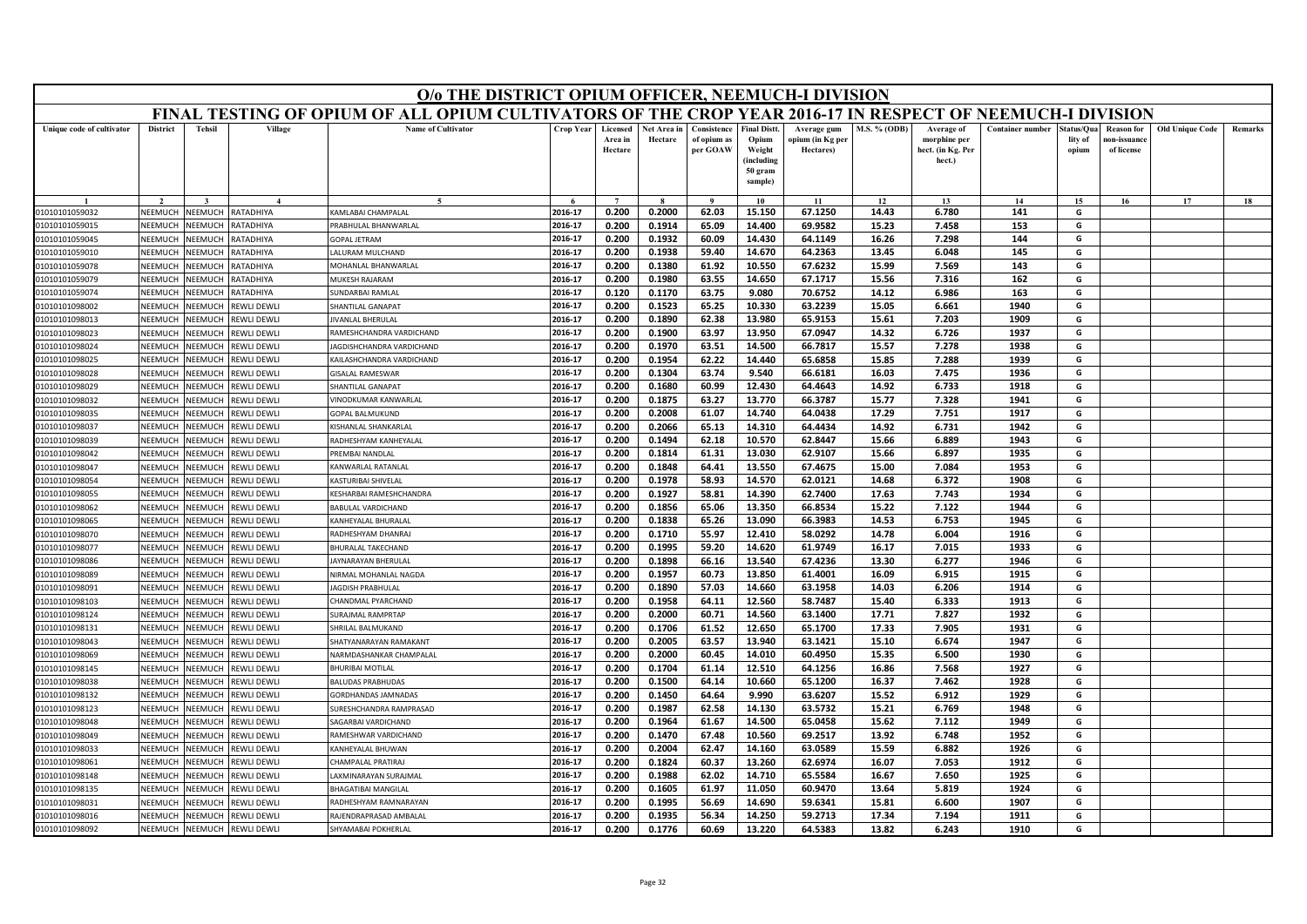|                                  | O/o THE DISTRICT OPIUM OFFICER, NEEMUCH-I DIVISION<br>FINAL TESTING OF OPIUM OF ALL OPIUM CULTIVATORS OF THE CROP YEAR 2016-17 IN RESPECT OF NEEMUCH-I DIVISION                                                                                                                                      |                           |                            |                                                 |                    |                                |                        |                                        |                                                                            |                                              |                     |                                                           |                         |                                |                                                |                        |         |
|----------------------------------|------------------------------------------------------------------------------------------------------------------------------------------------------------------------------------------------------------------------------------------------------------------------------------------------------|---------------------------|----------------------------|-------------------------------------------------|--------------------|--------------------------------|------------------------|----------------------------------------|----------------------------------------------------------------------------|----------------------------------------------|---------------------|-----------------------------------------------------------|-------------------------|--------------------------------|------------------------------------------------|------------------------|---------|
|                                  |                                                                                                                                                                                                                                                                                                      |                           |                            |                                                 |                    |                                |                        |                                        |                                                                            |                                              |                     |                                                           |                         |                                |                                                |                        |         |
| Unique code of cultivator        | <b>District</b>                                                                                                                                                                                                                                                                                      | <b>Tehsil</b>             | Village                    | <b>Name of Cultivator</b>                       | <b>Crop Year</b>   | Licensed<br>Area in<br>Hectare | Net Area in<br>Hectare | Consistence<br>of opium as<br>per GOAW | <b>Final Distt.</b><br>Opium<br>Weight<br>(including<br>50 gram<br>sample) | Average gum<br>opium (in Kg per<br>Hectares) | <b>M.S. % (ODB)</b> | Average of<br>morphine per<br>hect. (in Kg. Per<br>hect.) | <b>Container number</b> | Status/Qua<br>lity of<br>opium | <b>Reason for</b><br>10n-issuanc<br>of license | <b>Old Unique Code</b> | Remarks |
|                                  |                                                                                                                                                                                                                                                                                                      |                           |                            | $\tilde{\phantom{a}}$                           |                    | $\overline{ }$                 |                        | $\mathbf{o}$                           | 10                                                                         | 11                                           | 12                  | 13                                                        | 14                      | 15                             | 16                                             | 17                     | 18      |
| 01010101059032                   | 0.200<br>0.2000<br>62.03<br>67.1250<br>2016-17<br>15.150<br>14.43<br>6.780<br>141<br>G<br>NEEMUCH<br>NEEMUCH<br>RATADHIYA<br>KAMLABAI CHAMPALAL<br>PRABHULAL BHANWARLAL<br>2016-17<br>0.200<br>0.1914<br>65.09<br>14.400<br>69.9582<br>15.23<br>7.458<br>153<br>G<br>NEEMUCH<br>NEEMUCH<br>RATADHIYA |                           |                            |                                                 |                    |                                |                        |                                        |                                                                            |                                              |                     |                                                           |                         |                                |                                                |                        |         |
| 01010101059015                   |                                                                                                                                                                                                                                                                                                      |                           |                            |                                                 |                    |                                |                        |                                        |                                                                            |                                              |                     |                                                           |                         |                                |                                                |                        |         |
| 01010101059045                   | VEEMUCH                                                                                                                                                                                                                                                                                              | NEEMUCH                   | RATADHIYA                  | <b>GOPAL JETRAM</b>                             | 2016-17            | 0.200                          | 0.1932                 | 60.09                                  | 14.430                                                                     | 64.1149                                      | 16.26               | 7.298                                                     | 144                     | G                              |                                                |                        |         |
| 01010101059010                   | NEEMUCI                                                                                                                                                                                                                                                                                              | NEEMUCH                   | RATADHIYA                  | LALURAM MULCHAND                                | 2016-17            | 0.200                          | 0.1938                 | 59.40                                  | 14.670                                                                     | 64.2363                                      | 13.45               | 6.048                                                     | 145                     | G                              |                                                |                        |         |
| 01010101059078                   | NEEMUCH                                                                                                                                                                                                                                                                                              | NEEMUCH                   | <b>ATADHIYA</b>            | MOHANLAL BHANWARLAL                             | 2016-17            | 0.200                          | 0.1380                 | 61.92                                  | 10.550                                                                     | 67.6232                                      | 15.99               | 7.569                                                     | 143                     | G                              |                                                |                        |         |
| 01010101059079                   | NEEMUCH                                                                                                                                                                                                                                                                                              | NEEMUCH                   | RATADHIYA                  | MUKESH RAJARAM                                  | 2016-17            | 0.200                          | 0.1980                 | 63.55                                  | 14.650                                                                     | 67.1717                                      | 15.56               | 7.316                                                     | 162                     | G                              |                                                |                        |         |
| 01010101059074                   | NEEMUCI                                                                                                                                                                                                                                                                                              | NEEMUCH                   | RATADHIYA                  | SUNDARBAI RAMLAI                                | 2016-17            | 0.120                          | 0.1170                 | 63.75                                  | 9.080                                                                      | 70.6752                                      | 14.12               | 6.986                                                     | 163                     | G                              |                                                |                        |         |
| 01010101098002                   | NEEMUCH                                                                                                                                                                                                                                                                                              | NEEMUCH                   | REWLI DEWLI                | <b>SHANTILAL GANAPAT</b>                        | 2016-17            | 0.200                          | 0.1523                 | 65.25                                  | 10.330                                                                     | 63.2239                                      | 15.05               | 6.661                                                     | 1940                    | G                              |                                                |                        |         |
| 01010101098013                   | NEEMUCH                                                                                                                                                                                                                                                                                              | NEEMUCH                   | REWLI DEWLI                | <b>IVANLAL BHERULAL</b>                         | 2016-17            | 0.200                          | 0.1890                 | 62.38                                  | 13.980                                                                     | 65.9153                                      | 15.61               | 7.203                                                     | 1909                    | G                              |                                                |                        |         |
| 01010101098023                   | NEEMUCH                                                                                                                                                                                                                                                                                              | NEEMUCH                   | REWLI DEWLI                | RAMESHCHANDRA VARDICHAND                        | 2016-17            | 0.200                          | 0.1900                 | 63.97                                  | 13.950                                                                     | 67.0947                                      | 14.32               | 6.726                                                     | 1937                    | G                              |                                                |                        |         |
| 01010101098024                   | NEEMUCH                                                                                                                                                                                                                                                                                              | <b>NEEMUCH</b>            | REWLI DEWLI                | AGDISHCHANDRA VARDICHAND                        | 2016-17            | 0.200                          | 0.1970                 | 63.51                                  | 14.500                                                                     | 66.7817                                      | 15.57               | 7.278                                                     | 1938                    | G                              |                                                |                        |         |
| 01010101098025                   | NEEMUCH                                                                                                                                                                                                                                                                                              | VEEMUCH                   | <b>EWLI DEWLI</b>          | KAILASHCHANDRA VARDICHAND                       | 2016-17            | 0.200                          | 0.1954                 | 62.22                                  | 14.440                                                                     | 65.6858                                      | 15.85               | 7.288                                                     | 1939                    | G                              |                                                |                        |         |
| 01010101098028                   | NFFMUCH                                                                                                                                                                                                                                                                                              | NFFMUCH                   | REWLI DEWLI                | <b>GISALAL RAMESWAR</b>                         | 2016-17            | 0.200                          | 0.1304                 | 63.74                                  | 9.540                                                                      | 66.6181                                      | 16.03               | 7.475                                                     | 1936                    | G                              |                                                |                        |         |
| 01010101098029                   | NEEMUCH                                                                                                                                                                                                                                                                                              | NEEMUCH                   | <b>REWLI DEWLI</b>         | <b>SHANTILAL GANAPAT</b>                        | 2016-17            | 0.200                          | 0.1680                 | 60.99                                  | 12.430                                                                     | 64.4643                                      | 14.92               | 6.733                                                     | 1918                    | G                              |                                                |                        |         |
| 01010101098032                   | NEEMUCH                                                                                                                                                                                                                                                                                              | VEEMUCH                   | REWLI DEWLI                | <b>INODKUMAR KANWARLAL</b>                      | 2016-17            | 0.200                          | 0.1875                 | 63.27                                  | 13.770                                                                     | 66.3787                                      | 15.77               | 7.328                                                     | 1941                    | G                              |                                                |                        |         |
| 01010101098035                   | NEEMUCH                                                                                                                                                                                                                                                                                              | NEEMUCH                   | REWLI DEWLI                | <b>GOPAL BALMUKUND</b>                          | 2016-17            | 0.200                          | 0.2008                 | 61.07                                  | 14.740                                                                     | 64.0438                                      | 17.29               | 7.751                                                     | 1917                    | G                              |                                                |                        |         |
| 01010101098037                   | NEEMUCH                                                                                                                                                                                                                                                                                              | NEEMUCH                   | <b>REWLI DEWLI</b>         | KISHANLAL SHANKARLAL                            | 2016-17            | 0.200                          | 0.2066                 | 65.13                                  | 14.310                                                                     | 64.4434                                      | 14.92               | 6.731                                                     | 1942                    | G                              |                                                |                        |         |
| 01010101098039                   | NEEMUCH                                                                                                                                                                                                                                                                                              | <b>NEEMUCH</b>            | REWLI DEWLI                | RADHESHYAM KANHEYALAL                           | 2016-17            | 0.200                          | 0.1494                 | 62.18                                  | 10.570                                                                     | 62.8447                                      | 15.66               | 6.889                                                     | 1943                    | G                              |                                                |                        |         |
| 01010101098042                   | NEFMUCH                                                                                                                                                                                                                                                                                              | NFFMUCH                   | REWLI DEWLI                | PREMBAI NANDLAL                                 | 2016-17            | 0.200                          | 0.1814                 | 61.31                                  | 13.030                                                                     | 62.9107                                      | 15.66               | 6.897                                                     | 1935                    | G                              |                                                |                        |         |
| 01010101098047                   | NEEMUCH                                                                                                                                                                                                                                                                                              | NEEMUCH                   | <b>REWLI DEWLI</b>         | KANWARLAL RATANLAL                              | 2016-17            | 0.200                          | 0.1848                 | 64.41                                  | 13.550                                                                     | 67.4675                                      | 15.00               | 7.084                                                     | 1953                    | G                              |                                                |                        |         |
| 01010101098054                   | VEEMUCH                                                                                                                                                                                                                                                                                              | <b>JEEMUCH</b>            | <b>EWLI DEWLI</b>          | KASTURIBAI SHIVELAL                             | 2016-17            | 0.200                          | 0.1978                 | 58.93                                  | 14.570                                                                     | 62.0121                                      | 14.68               | 6.372                                                     | 1908                    | G                              |                                                |                        |         |
| 01010101098055                   | NEEMUCH                                                                                                                                                                                                                                                                                              | NEEMUCH                   | REWLI DEWLI                | KESHARBAI RAMESHCHANDRA                         | 2016-17            | 0.200                          | 0.1927                 | 58.81                                  | 14.390                                                                     | 62.7400                                      | 17.63               | 7.743                                                     | 1934                    | G                              |                                                |                        |         |
| 01010101098062                   | NEEMUCH                                                                                                                                                                                                                                                                                              | NEEMUCH                   | REWLI DEWLI                | <b>BABULAL VARDICHAND</b>                       | 2016-17            | 0.200                          | 0.1856<br>0.1838       | 65.06                                  | 13.350                                                                     | 66.8534<br>66.3983                           | 15.22<br>14.53      | 7.122                                                     | 1944                    | G                              |                                                |                        |         |
| 01010101098065                   | NEEMUCH<br>NEEMUCH                                                                                                                                                                                                                                                                                   | <b>NEEMUCH</b><br>NEEMUCH | REWLI DEWLI<br>REWLI DEWLI | KANHEYALAL BHURALAI                             | 2016-17<br>2016-17 | 0.200<br>0.200                 | 0.1710                 | 65.26<br>55.97                         | 13.090<br>12.410                                                           | 58.0292                                      | 14.78               | 6.753<br>6.004                                            | 1945<br>1916            | G<br>G                         |                                                |                        |         |
| 01010101098070<br>01010101098077 | NEEMUCH                                                                                                                                                                                                                                                                                              | NEEMUCH                   | <b>REWLI DEWLI</b>         | RADHESHYAM DHANRAJ<br><b>BHURALAL TAKECHAND</b> | 2016-17            | 0.200                          | 0.1995                 | 59.20                                  | 14.620                                                                     | 61.9749                                      | 16.17               | 7.015                                                     | 1933                    | G                              |                                                |                        |         |
| 01010101098086                   | NEEMUCI                                                                                                                                                                                                                                                                                              | VEEMUCH                   | REWLI DEWLI                | AYNARAYAN BHERULAI                              | 2016-17            | 0.200                          | 0.1898                 | 66.16                                  | 13.540                                                                     | 67.4236                                      | 13.30               | 6.277                                                     | 1946                    | G                              |                                                |                        |         |
| 01010101098089                   | NEEMUCH                                                                                                                                                                                                                                                                                              | VEEMUCH                   | REWLI DEWLI                | <b>IRMAL MOHANLAL NAGDA</b>                     | 2016-17            | 0.200                          | 0.1957                 | 60.73                                  | 13.850                                                                     | 61.4001                                      | 16.09               | 6.915                                                     | 1915                    | G                              |                                                |                        |         |
| 01010101098091                   | NEEMUCH                                                                                                                                                                                                                                                                                              | NEEMUCH                   | <b>REWLI DEWLI</b>         | <b>AGDISH PRABHULAL</b>                         | 2016-17            | 0.200                          | 0.1890                 | 57.03                                  | 14.660                                                                     | 63.1958                                      | 14.03               | 6.206                                                     | 1914                    | G                              |                                                |                        |         |
| 01010101098103                   | NEEMUCH                                                                                                                                                                                                                                                                                              | VEEMUCH                   | REWLI DEWLI                | CHANDMAL PYARCHAND                              | 2016-17            | 0.200                          | 0.1958                 | 64.11                                  | 12.560                                                                     | 58.7487                                      | 15.40               | 6.333                                                     | 1913                    | G                              |                                                |                        |         |
| 01010101098124                   | NEEMUCH                                                                                                                                                                                                                                                                                              | VEEMUCH                   | REWLI DEWLI                | <b>SURAJMAL RAMPRTAP</b>                        | 2016-17            | 0.200                          | 0.2000                 | 60.71                                  | 14.560                                                                     | 63.1400                                      | 17.71               | 7.827                                                     | 1932                    | G                              |                                                |                        |         |
| 01010101098131                   | NEEMUCH                                                                                                                                                                                                                                                                                              | NEEMUCH                   | <b>REWLI DEWLI</b>         | <b>SHRILAL BALMUKAND</b>                        | 2016-17            | 0.200                          | 0.1706                 | 61.52                                  | 12.650                                                                     | 65.1700                                      | 17.33               | 7.905                                                     | 1931                    | G                              |                                                |                        |         |
| 01010101098043                   | NEEMUCH                                                                                                                                                                                                                                                                                              | NEEMUCH                   | REWLI DEWLI                | SHATYANARAYAN RAMAKANT                          | 2016-17            | 0.200                          | 0.2005                 | 63.57                                  | 13.940                                                                     | 63.1421                                      | 15.10               | 6.674                                                     | 1947                    | G                              |                                                |                        |         |
| 01010101098069                   | NEEMUCH                                                                                                                                                                                                                                                                                              | NEEMUCH                   | REWLI DEWLI                | NARMDASHANKAR CHAMPALAL                         | 2016-17            | 0.200                          | 0.2000                 | 60.45                                  | 14.010                                                                     | 60.4950                                      | 15.35               | 6.500                                                     | 1930                    | G                              |                                                |                        |         |
| 01010101098145                   | <b>JEEMUCH</b>                                                                                                                                                                                                                                                                                       | VEEMUCH                   | REWLI DEWLI                | BHURIBAI MOTILAL                                | 2016-17            | 0.200                          | 0.1704                 | 61.14                                  | 12.510                                                                     | 64.1256                                      | 16.86               | 7.568                                                     | 1927                    | G                              |                                                |                        |         |
| 01010101098038                   | <b>NFFMUCH</b>                                                                                                                                                                                                                                                                                       | NFFMUCH                   | REWLI DEWLI                | <b>BALUDAS PRABHUDAS</b>                        | 2016-17            | 0.200                          | 0.1500                 | 64.14                                  | 10.660                                                                     | 65.1200                                      | 16.37               | 7.462                                                     | 1928                    | G                              |                                                |                        |         |
| 01010101098132                   | NEEMUCH                                                                                                                                                                                                                                                                                              | VEEMUCH                   | REWLI DEWLI                | <b>GORDHANDAS JAMNADAS</b>                      | 2016-17            | 0.200                          | 0.1450                 | 64.64                                  | 9.990                                                                      | 63.6207                                      | 15.52               | 6.912                                                     | 1929                    | G                              |                                                |                        |         |
| 01010101098123                   | VEEMUCH                                                                                                                                                                                                                                                                                              | <b>NEEMUCH</b>            | REWLI DEWLI                | URESHCHANDRA RAMPRASAD                          | 2016-17            | 0.200                          | 0.1987                 | 62.58                                  | 14.130                                                                     | 63.5732                                      | 15.21               | 6.769                                                     | 1948                    | G                              |                                                |                        |         |
| 01010101098048                   | NEEMUCH                                                                                                                                                                                                                                                                                              | NEEMUCH                   | REWLI DEWLI                | SAGARBAI VARDICHAND                             | 2016-17            | 0.200                          | 0.1964                 | 61.67                                  | 14.500                                                                     | 65.0458                                      | 15.62               | 7.112                                                     | 1949                    | G                              |                                                |                        |         |
| 01010101098049                   | NEEMUCH                                                                                                                                                                                                                                                                                              | <b>NEEMUCH</b>            | REWLI DEWLI                | RAMESHWAR VARDICHAND                            | 2016-17            | 0.200                          | 0.1470                 | 67.48                                  | 10.560                                                                     | 69.2517                                      | 13.92               | 6.748                                                     | 1952                    | G                              |                                                |                        |         |
| 01010101098033                   | <b>NEEMUCH</b>                                                                                                                                                                                                                                                                                       | IEEMUCH                   | REWLI DEWLI                | <b>KANHEYALAL BHUWAN</b>                        | 2016-17            | 0.200                          | 0.2004                 | 62.47                                  | 14.160                                                                     | 63.0589                                      | 15.59               | 6.882                                                     | 1926                    | G                              |                                                |                        |         |
| 01010101098061                   | <b>NFFMUCH</b>                                                                                                                                                                                                                                                                                       | NFFMUCH                   | REWLI DEWLI                | CHAMPALAL PRATIRAJ                              | 2016-17            | 0.200                          | 0.1824                 | 60.37                                  | 13.260                                                                     | 62.6974                                      | 16.07               | 7.053                                                     | 1912                    | G                              |                                                |                        |         |
| 01010101098148                   | NEEMUCH                                                                                                                                                                                                                                                                                              | VEEMUCH                   | REWLI DEWLI                | AXMINARAYAN SURAJMAL                            | 2016-17            | 0.200                          | 0.1988                 | 62.02                                  | 14.710                                                                     | 65.5584                                      | 16.67               | 7.650                                                     | 1925                    | G                              |                                                |                        |         |
| 01010101098135                   | VEEMUCI                                                                                                                                                                                                                                                                                              | VEEMUCH                   | <b>EWLI DEWLI</b>          | <b>BHAGATIBAI MANGILAL</b>                      | 2016-17            | 0.200                          | 0.1605                 | 61.97                                  | 11.050                                                                     | 60.9470                                      | 13.64               | 5.819                                                     | 1924                    | G                              |                                                |                        |         |
| 01010101098031                   | NEEMUCH                                                                                                                                                                                                                                                                                              | NEEMUCH                   | REWLI DEWLI                | RADHESHYAM RAMNARAYAN                           | 2016-17            | 0.200                          | 0.1995                 | 56.69                                  | 14.690                                                                     | 59.6341                                      | 15.81               | 6.600                                                     | 1907                    | G                              |                                                |                        |         |
| 01010101098016                   | NEEMUCH                                                                                                                                                                                                                                                                                              | NEEMUCH                   | <b>REWLI DEWLI</b>         | RAJENDRAPRASAD AMBALAL                          | 2016-17            | 0.200                          | 0.1935                 | 56.34                                  | 14.250                                                                     | 59.2713                                      | 17.34               | 7.194                                                     | 1911                    | G                              |                                                |                        |         |
| 01010101098092                   | NEEMUCH                                                                                                                                                                                                                                                                                              | NEEMUCH                   | <b>REWLI DEWLI</b>         | SHYAMABAI POKHERLAL                             | 2016-17            | 0.200                          | 0.1776                 | 60.69                                  | 13.220                                                                     | 64.5383                                      | 13.82               | 6.243                                                     | 1910                    | G                              |                                                |                        |         |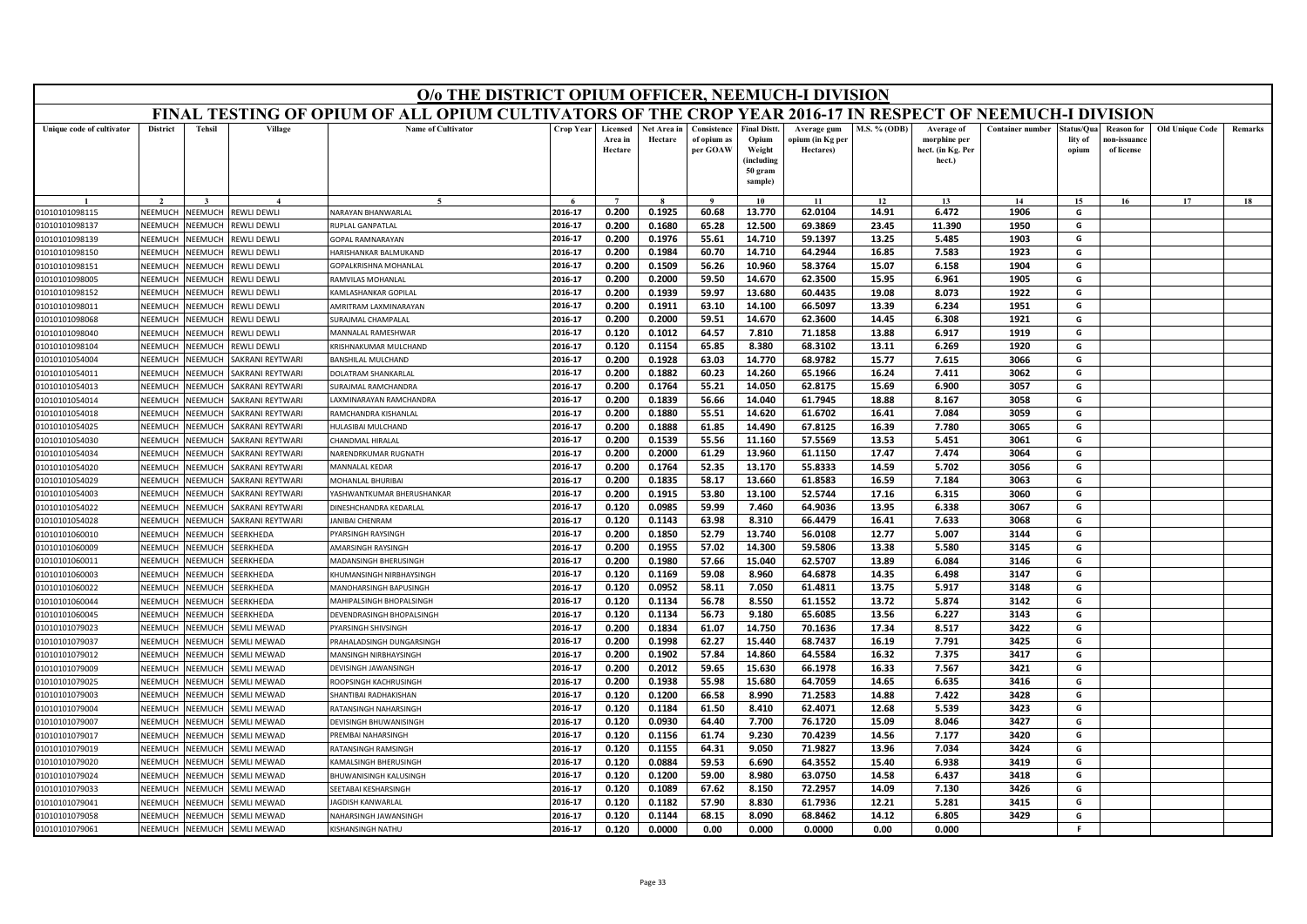|                                                                                                                                                                                 | O/o THE DISTRICT OPIUM OFFICER, NEEMUCH-I DIVISION<br>FINAL TESTING OF OPIUM OF ALL OPIUM CULTIVATORS OF THE CROP YEAR 2016-17 IN RESPECT OF NEEMUCH-I DIVISION                                                                                                                                                       |                                  |                               |                                                       |                    |                                |                        |                                        |                                                                           |                                              |                |                                                           |                         |                                |                                                |                        |         |
|---------------------------------------------------------------------------------------------------------------------------------------------------------------------------------|-----------------------------------------------------------------------------------------------------------------------------------------------------------------------------------------------------------------------------------------------------------------------------------------------------------------------|----------------------------------|-------------------------------|-------------------------------------------------------|--------------------|--------------------------------|------------------------|----------------------------------------|---------------------------------------------------------------------------|----------------------------------------------|----------------|-----------------------------------------------------------|-------------------------|--------------------------------|------------------------------------------------|------------------------|---------|
|                                                                                                                                                                                 |                                                                                                                                                                                                                                                                                                                       |                                  |                               |                                                       |                    |                                |                        |                                        |                                                                           |                                              |                |                                                           |                         |                                |                                                |                        |         |
| Unique code of cultivator                                                                                                                                                       | <b>District</b>                                                                                                                                                                                                                                                                                                       | <b>Tehsil</b>                    | Village                       | <b>Name of Cultivator</b>                             | <b>Crop Year</b>   | Licensed<br>Area in<br>Hectare | Net Area in<br>Hectare | Consistence<br>of opium as<br>per GOAW | <b>Final Distt</b><br>Opium<br>Weight<br>(including<br>50 gram<br>sample) | Average gum<br>opium (in Kg per<br>Hectares) | M.S. % (ODB)   | Average of<br>morphine per<br>hect. (in Kg. Per<br>hect.) | <b>Container number</b> | štatus/Oua<br>lity of<br>opium | <b>Reason for</b><br>ıon-issuanc<br>of license | <b>Old Unique Code</b> | Remarks |
|                                                                                                                                                                                 |                                                                                                                                                                                                                                                                                                                       |                                  |                               | $\tilde{\phantom{a}}$                                 |                    | $\overline{ }$                 |                        |                                        | 10                                                                        | 11                                           | 12             | 13                                                        | 14                      | 15                             | 16                                             | 17                     | 18      |
| 01010101098115                                                                                                                                                                  | 0.200<br>0.1925<br>6.472<br>2016-17<br>60.68<br>13.770<br>62.0104<br>14.91<br>1906<br>G<br>NEEMUCH<br>NEEMUCH<br>REWLI DEWLI<br>NARAYAN BHANWARLAL<br><b>NEEMUCH</b><br><b>IUPLAL GANPATLAL</b><br>2016-17<br>0.200<br>0.1680<br>65.28<br>12.500<br>69.3869<br>23.45<br>11.390<br>1950<br>G<br>NEEMUCH<br>REWLI DEWLI |                                  |                               |                                                       |                    |                                |                        |                                        |                                                                           |                                              |                |                                                           |                         |                                |                                                |                        |         |
| 01010101098137                                                                                                                                                                  |                                                                                                                                                                                                                                                                                                                       |                                  |                               |                                                       |                    |                                |                        |                                        |                                                                           |                                              |                |                                                           |                         |                                |                                                |                        |         |
| 01010101098139                                                                                                                                                                  | 2016-17<br>0.1976<br>55.61<br>59.1397<br>13.25<br>5.485<br>1903<br>G<br>NFFMUCH<br><b>JEEMUCH</b><br>REWLI DEWLI<br><b>GOPAL RAMNARAYAN</b><br>0.200<br>14.710                                                                                                                                                        |                                  |                               |                                                       |                    |                                |                        |                                        |                                                                           |                                              |                |                                                           |                         |                                |                                                |                        |         |
| 01010101098150                                                                                                                                                                  | 0.200<br>0.1984<br>14.710<br>64.2944<br>16.85<br>7.583<br>1923<br>G<br>NEEMUCI<br>2016-17<br>60.70<br><b>NEEMUCH</b><br>REWLI DEWLI<br>HARISHANKAR BALMUKAND                                                                                                                                                          |                                  |                               |                                                       |                    |                                |                        |                                        |                                                                           |                                              |                |                                                           |                         |                                |                                                |                        |         |
| 01010101098151                                                                                                                                                                  | 2016-17<br>10.960<br>58.3764<br>15.07<br>1904<br>G<br>NEEMUCH<br><b>JEEMUCH</b><br>REWLI DEWLI<br>GOPALKRISHNA MOHANLAL<br>0.200<br>0.1509<br>56.26<br>6.158                                                                                                                                                          |                                  |                               |                                                       |                    |                                |                        |                                        |                                                                           |                                              |                |                                                           |                         |                                |                                                |                        |         |
| RAMVILAS MOHANLAL<br>2016-17<br>0.200<br>0.2000<br>59.50<br>14.670<br>62.3500<br>15.95<br>6.961<br>1905<br>G<br>01010101098005<br>NEEMUCH<br><b>NEEMUCH</b><br>REWLI DEWLI<br>G |                                                                                                                                                                                                                                                                                                                       |                                  |                               |                                                       |                    |                                |                        |                                        |                                                                           |                                              |                |                                                           |                         |                                |                                                |                        |         |
| 01010101098152                                                                                                                                                                  | NEEMUCI                                                                                                                                                                                                                                                                                                               | VEEMUCI                          | REWLI DEWLI                   | KAMLASHANKAR GOPILAL                                  | 2016-17            | 0.200                          | 0.1939                 | 59.97                                  | 13.680                                                                    | 60.4435                                      | 19.08          | 8.073                                                     | 1922                    |                                |                                                |                        |         |
| 01010101098011                                                                                                                                                                  | NEEMUCH                                                                                                                                                                                                                                                                                                               | <b>JEEMUCH</b>                   | REWLI DEWLI                   | <b>MRITRAM LAXMINARAYAN</b>                           | 2016-17            | 0.200                          | 0.1911                 | 63.10                                  | 14.100                                                                    | 66.5097                                      | 13.39          | 6.234                                                     | 1951                    | G                              |                                                |                        |         |
| 01010101098068                                                                                                                                                                  | NEEMUCH                                                                                                                                                                                                                                                                                                               | <b>JEEMUCH</b>                   | REWLI DEWLI                   | <b>URAJMAL CHAMPALAL</b>                              | 2016-17            | 0.200                          | 0.2000                 | 59.51                                  | 14.670                                                                    | 62.3600                                      | 14.45          | 6.308                                                     | 1921                    | G                              |                                                |                        |         |
| 01010101098040                                                                                                                                                                  | <b>NFFMUCH</b>                                                                                                                                                                                                                                                                                                        | VEEMUCH                          | REWLI DEWLI                   | MANNALAL RAMESHWAR                                    | 2016-17            | 0.120                          | 0.1012                 | 64.57                                  | 7.810                                                                     | 71.1858                                      | 13.88          | 6.917                                                     | 1919                    | G                              |                                                |                        |         |
| 01010101098104                                                                                                                                                                  | NEEMUCH                                                                                                                                                                                                                                                                                                               | <b>JEEMUCH</b>                   | REWLI DEWLI                   | RISHNAKUMAR MULCHAND                                  | 2016-17            | 0.120                          | 0.1154                 | 65.85                                  | 8.380                                                                     | 68.3102                                      | 13.11          | 6.269                                                     | 1920                    | G                              |                                                |                        |         |
| 01010101054004                                                                                                                                                                  | NEEMUCH                                                                                                                                                                                                                                                                                                               | <b>JEEMUCH</b>                   | <b>AKRANI REYTWARI</b>        | <b>BANSHILAL MULCHAND</b>                             | 2016-17            | 0.200                          | 0.1928                 | 63.03                                  | 14.770                                                                    | 68.9782                                      | 15.77          | 7.615                                                     | 3066                    | G                              |                                                |                        |         |
| 01010101054011                                                                                                                                                                  | NFFMUCH                                                                                                                                                                                                                                                                                                               | <b>JEEMUCH</b>                   | <b>SAKRANI REYTWARI</b>       | <b>OLATRAM SHANKARLAL</b>                             | 2016-17            | 0.200                          | 0.1882                 | 60.23                                  | 14.260                                                                    | 65.1966                                      | 16.24          | 7.411                                                     | 3062                    | G                              |                                                |                        |         |
| 01010101054013                                                                                                                                                                  | NEEMUCI                                                                                                                                                                                                                                                                                                               | <b>JEEMUCH</b>                   | <b>AKRANI REYTWARI</b>        | URAJMAL RAMCHANDRA                                    | 2016-17            | 0.200                          | 0.1764                 | 55.21                                  | 14.050                                                                    | 62.8175                                      | 15.69          | 6.900                                                     | 3057                    | G                              |                                                |                        |         |
| 01010101054014                                                                                                                                                                  | NEEMUCH                                                                                                                                                                                                                                                                                                               | <b>JEEMUCH</b>                   | <b>AKRANI REYTWARI</b>        | AXMINARAYAN RAMCHANDRA                                | 2016-17            | 0.200                          | 0.1839                 | 56.66                                  | 14.040                                                                    | 61.7945                                      | 18.88          | 8.167                                                     | 3058                    | G                              |                                                |                        |         |
| 01010101054018                                                                                                                                                                  | NEEMUCH                                                                                                                                                                                                                                                                                                               | VEEMUCH                          | <b>SAKRANI REYTWARI</b>       | RAMCHANDRA KISHANLAL                                  | 2016-17            | 0.200                          | 0.1880                 | 55.51                                  | 14.620                                                                    | 61.6702                                      | 16.41          | 7.084                                                     | 3059                    | G                              |                                                |                        |         |
| 01010101054025                                                                                                                                                                  | NEEMUCH                                                                                                                                                                                                                                                                                                               | <b>JEEMUCH</b>                   | <b>SAKRANI REYTWARI</b>       | <b>IULASIBAI MULCHAND</b>                             | 2016-17            | 0.200                          | 0.1888                 | 61.85                                  | 14.490                                                                    | 67.8125                                      | 16.39          | 7.780                                                     | 3065                    | G                              |                                                |                        |         |
| 01010101054030                                                                                                                                                                  | NEEMUCH                                                                                                                                                                                                                                                                                                               | <b>JEEMUCH</b>                   | AKRANI REYTWARI               | HANDMAL HIRALAL                                       | 2016-17            | 0.200                          | 0.1539                 | 55.56                                  | 11.160                                                                    | 57.5569                                      | 13.53          | 5.451                                                     | 3061                    | G                              |                                                |                        |         |
| 01010101054034                                                                                                                                                                  | NFFMUCH                                                                                                                                                                                                                                                                                                               | <b>JEEMUCH</b>                   | <b>SAKRANI REYTWARI</b>       | <b>VARENDRKUMAR RUGNATH</b>                           | 2016-17            | 0.200                          | 0.2000                 | 61.29                                  | 13.960                                                                    | 61.1150                                      | 17.47          | 7.474                                                     | 3064                    | G                              |                                                |                        |         |
| 01010101054020                                                                                                                                                                  | NEEMUCH                                                                                                                                                                                                                                                                                                               | <b>JEEMUCH</b>                   | <b>SAKRANI REYTWARI</b>       | MANNALAL KFDAR                                        | 2016-17            | 0.200                          | 0.1764                 | 52.35                                  | 13.170                                                                    | 55.8333                                      | 14.59          | 5.702                                                     | 3056                    | G                              |                                                |                        |         |
| 01010101054029                                                                                                                                                                  | NEEMUCH                                                                                                                                                                                                                                                                                                               | <b>JEEMUCH</b>                   | <b>AKRANI REYTWARI</b>        | <b>MOHANLAL BHURIBA</b>                               | 2016-17            | 0.200                          | 0.1835                 | 58.17                                  | 13.660                                                                    | 61.8583                                      | 16.59          | 7.184                                                     | 3063                    | G                              |                                                |                        |         |
| 01010101054003                                                                                                                                                                  | NEEMUCH                                                                                                                                                                                                                                                                                                               | <b>JEEMUCH</b>                   | <b>AKRANI REYTWARI</b>        | ASHWANTKUMAR BHERUSHANKAR                             | 2016-17            | 0.200                          | 0.1915                 | 53.80                                  | 13.100                                                                    | 52.5744                                      | 17.16          | 6.315                                                     | 3060                    | G                              |                                                |                        |         |
| 01010101054022                                                                                                                                                                  | NFFMUCI                                                                                                                                                                                                                                                                                                               | <b>JEEMUCH</b>                   | <b>AKRANI REYTWARI</b>        | <b>DINESHCHANDRA KEDARLAL</b>                         | 2016-17            | 0.120                          | 0.0985                 | 59.99                                  | 7.460                                                                     | 64.9036                                      | 13.95          | 6.338                                                     | 3067                    | G                              |                                                |                        |         |
| 01010101054028                                                                                                                                                                  | NEEMUCH                                                                                                                                                                                                                                                                                                               | <b>JEEMUCH</b>                   | AKRANI REYTWARI               | ANIBAI CHENRAM                                        | 2016-17            | 0.120                          | 0.1143                 | 63.98                                  | 8.310                                                                     | 66.4479                                      | 16.41          | 7.633                                                     | 3068                    | G                              |                                                |                        |         |
| 01010101060010                                                                                                                                                                  | NEEMUCH                                                                                                                                                                                                                                                                                                               | <b>JEEMUCH</b>                   | <b>SEERKHEDA</b>              | YARSINGH RAYSINGH                                     | 2016-17            | 0.200                          | 0.1850                 | 52.79                                  | 13.740                                                                    | 56.0108                                      | 12.77          | 5.007                                                     | 3144                    | G                              |                                                |                        |         |
| 01010101060009                                                                                                                                                                  | NEEMUCH                                                                                                                                                                                                                                                                                                               | <b>JEEMUCH</b>                   | SEERKHEDA                     | AMARSINGH RAYSINGH                                    | 2016-17            | 0.200                          | 0.1955                 | 57.02                                  | 14.300                                                                    | 59.5806                                      | 13.38          | 5.580                                                     | 3145                    | G                              |                                                |                        |         |
| 01010101060011                                                                                                                                                                  | NEEMUCI                                                                                                                                                                                                                                                                                                               | <b>JEEMUCH</b>                   | EERKHEDA                      | <b>MADANSINGH BHERUSINGH</b>                          | 2016-17            | 0.200                          | 0.1980                 | 57.66                                  | 15.040                                                                    | 62.5707                                      | 13.89          | 6.084                                                     | 3146                    | G                              |                                                |                        |         |
| 01010101060003                                                                                                                                                                  | NEEMUCH                                                                                                                                                                                                                                                                                                               | <b>JEEMUCH</b>                   | SEERKHEDA                     | HUMANSINGH NIRBHAYSINGH                               | 2016-17<br>2016-17 | 0.120<br>0.120                 | 0.1169<br>0.0952       | 59.08<br>58.11                         | 8.960<br>7.050                                                            | 64.6878<br>61.4811                           | 14.35<br>13.75 | 6.498<br>5.917                                            | 3147<br>3148            | G<br>G                         |                                                |                        |         |
| 01010101060022                                                                                                                                                                  | NEEMUCH<br>NEEMUCI                                                                                                                                                                                                                                                                                                    | <b>JEEMUCH</b>                   | <b>SEERKHEDA</b>              | MANOHARSINGH BAPUSINGH                                |                    |                                | 0.1134                 |                                        | 8.550                                                                     | 61.1552                                      | 13.72          | 5.874                                                     |                         | G                              |                                                |                        |         |
| 01010101060044<br>01010101060045                                                                                                                                                | NEEMUCH                                                                                                                                                                                                                                                                                                               | <b>JEEMUCI</b><br><b>JEEMUCH</b> | SEERKHEDA<br><b>SEERKHEDA</b> | MAHIPALSINGH BHOPALSINGH<br>DEVENDRASINGH BHOPALSINGH | 2016-17<br>2016-17 | 0.120<br>0.120                 | 0.1134                 | 56.78<br>56.73                         | 9.180                                                                     | 65.6085                                      | 13.56          | 6.227                                                     | 3142<br>3143            | G                              |                                                |                        |         |
| 01010101079023                                                                                                                                                                  | NEEMUCH                                                                                                                                                                                                                                                                                                               | <b>JEEMUCH</b>                   | <b>EMLI MEWAD</b>             | YARSINGH SHIVSINGH                                    | 2016-17            | 0.200                          | 0.1834                 | 61.07                                  | 14.750                                                                    | 70.1636                                      | 17.34          | 8.517                                                     | 3422                    | G                              |                                                |                        |         |
| 01010101079037                                                                                                                                                                  | NEEMUCI                                                                                                                                                                                                                                                                                                               | VEEMUCH                          | SEMLI MEWAD                   | PRAHALADSINGH DUNGARSINGH                             | 2016-17            | 0.200                          | 0.1998                 | 62.27                                  | 15.440                                                                    | 68.7437                                      | 16.19          | 7.791                                                     | 3425                    | G                              |                                                |                        |         |
| 01010101079012                                                                                                                                                                  | NEEMUCH                                                                                                                                                                                                                                                                                                               | VEEMUCH                          | <b>SEMLI MEWAD</b>            | MANSINGH NIRBHAYSINGH                                 | 2016-17            | 0.200                          | 0.1902                 | 57.84                                  | 14.860                                                                    | 64.5584                                      | 16.32          | 7.375                                                     | 3417                    | G                              |                                                |                        |         |
| 01010101079009                                                                                                                                                                  | VEEMUCI                                                                                                                                                                                                                                                                                                               | <b>JEEMUCH</b>                   | <b>EMLI MEWAD</b>             | <b>DEVISINGH JAWANSINGH</b>                           | 2016-17            | 0.200                          | 0.2012                 | 59.65                                  | 15.630                                                                    | 66.1978                                      | 16.33          | 7.567                                                     | 3421                    | G                              |                                                |                        |         |
| 01010101079025                                                                                                                                                                  | <b>NFFMUCH</b>                                                                                                                                                                                                                                                                                                        | <b>JEEMUCH</b>                   | <b>EMLI MEWAD</b>             | ROOPSINGH KACHRUSINGH                                 | 2016-17            | 0.200                          | 0.1938                 | 55.98                                  | 15.680                                                                    | 64.7059                                      | 14.65          | 6.635                                                     | 3416                    | G                              |                                                |                        |         |
| 01010101079003                                                                                                                                                                  | <b>NEEMUCH</b>                                                                                                                                                                                                                                                                                                        | <b>JEEMUCH</b>                   | <b>EMLI MEWAD</b>             | HANTIBAI RADHAKISHAN                                  | 2016-17            | 0.120                          | 0.1200                 | 66.58                                  | 8.990                                                                     | 71.2583                                      | 14.88          | 7.422                                                     | 3428                    | G                              |                                                |                        |         |
| 01010101079004                                                                                                                                                                  | <b>NEEMUCH</b>                                                                                                                                                                                                                                                                                                        | <b>JEEMUCH</b>                   | <b>EMLI MEWAD</b>             | ATANSINGH NAHARSINGH                                  | 2016-17            | 0.120                          | 0.1184                 | 61.50                                  | 8.410                                                                     | 62.4071                                      | 12.68          | 5.539                                                     | 3423                    | G                              |                                                |                        |         |
| 01010101079007                                                                                                                                                                  | NEEMUCH                                                                                                                                                                                                                                                                                                               | <b>NEEMUCH</b>                   | <b>EMLI MEWAD</b>             | <b>DEVISINGH BHUWANISINGH</b>                         | 2016-17            | 0.120                          | 0.0930                 | 64.40                                  | 7.700                                                                     | 76.1720                                      | 15.09          | 8.046                                                     | 3427                    | G                              |                                                |                        |         |
| 01010101079017                                                                                                                                                                  | NEEMUCH                                                                                                                                                                                                                                                                                                               | <b><i>IEEMUCH</i></b>            | <b>SEMLI MEWAD</b>            | REMBAI NAHARSINGH                                     | 2016-17            | 0.120                          | 0.1156                 | 61.74                                  | 9.230                                                                     | 70.4239                                      | 14.56          | 7.177                                                     | 3420                    | G                              |                                                |                        |         |
| 01010101079019                                                                                                                                                                  | VEEMUCI                                                                                                                                                                                                                                                                                                               | <b>JEEMUCH</b>                   | <b>EMLI MEWAD</b>             | ATANSINGH RAMSINGH                                    | 2016-17            | 0.120                          | 0.1155                 | 64.31                                  | 9.050                                                                     | 71.9827                                      | 13.96          | 7.034                                                     | 3424                    | G                              |                                                |                        |         |
| 01010101079020                                                                                                                                                                  | <b>NFFMUCH</b>                                                                                                                                                                                                                                                                                                        | <b>JEEMUCH</b>                   | <b>EMLI MEWAD</b>             | (AMALSINGH BHFRUSINGH                                 | 2016-17            | 0.120                          | 0.0884                 | 59.53                                  | 6.690                                                                     | 64.3552                                      | 15.40          | 6.938                                                     | 3419                    | G                              |                                                |                        |         |
| 01010101079024                                                                                                                                                                  | NEEMUCH                                                                                                                                                                                                                                                                                                               | <b>JEEMUCH</b>                   | <b>EMLI MEWAD</b>             | <b>BHUWANISINGH KALUSINGH</b>                         | 2016-17            | 0.120                          | 0.1200                 | 59.00                                  | 8.980                                                                     | 63.0750                                      | 14.58          | 6.437                                                     | 3418                    | G                              |                                                |                        |         |
| 01010101079033                                                                                                                                                                  | VEEMUCI                                                                                                                                                                                                                                                                                                               | <b>JEEMUCH</b>                   | <b>EMLI MEWAD</b>             | <b>EETABAI KESHARSINGH</b>                            | 2016-17            | 0.120                          | 0.1089                 | 67.62                                  | 8.150                                                                     | 72.2957                                      | 14.09          | 7.130                                                     | 3426                    | G                              |                                                |                        |         |
| 01010101079041                                                                                                                                                                  | NEEMUCH                                                                                                                                                                                                                                                                                                               | <b>JEEMUCH</b>                   | <b>EMLI MEWAD</b>             | AGDISH KANWARI AI                                     | 2016-17            | 0.120                          | 0.1182                 | 57.90                                  | 8.830                                                                     | 61.7936                                      | 12.21          | 5.281                                                     | 3415                    | G                              |                                                |                        |         |
| 01010101079058                                                                                                                                                                  | NEEMUCH                                                                                                                                                                                                                                                                                                               | <b>NEEMUCH</b>                   | <b>EMLI MEWAD</b>             | NAHARSINGH JAWANSINGH                                 | 2016-17            | 0.120                          | 0.1144                 | 68.15                                  | 8.090                                                                     | 68.8462                                      | 14.12          | 6.805                                                     | 3429                    | G                              |                                                |                        |         |
| 01010101079061                                                                                                                                                                  | NEEMUCH                                                                                                                                                                                                                                                                                                               | NEEMUCH                          | SEMLI MEWAD                   | <b>(ISHANSINGH NATHU</b>                              | 2016-17            | 0.120                          | 0.0000                 | 0.00                                   | 0.000                                                                     | 0.0000                                       | 0.00           | 0.000                                                     |                         | F                              |                                                |                        |         |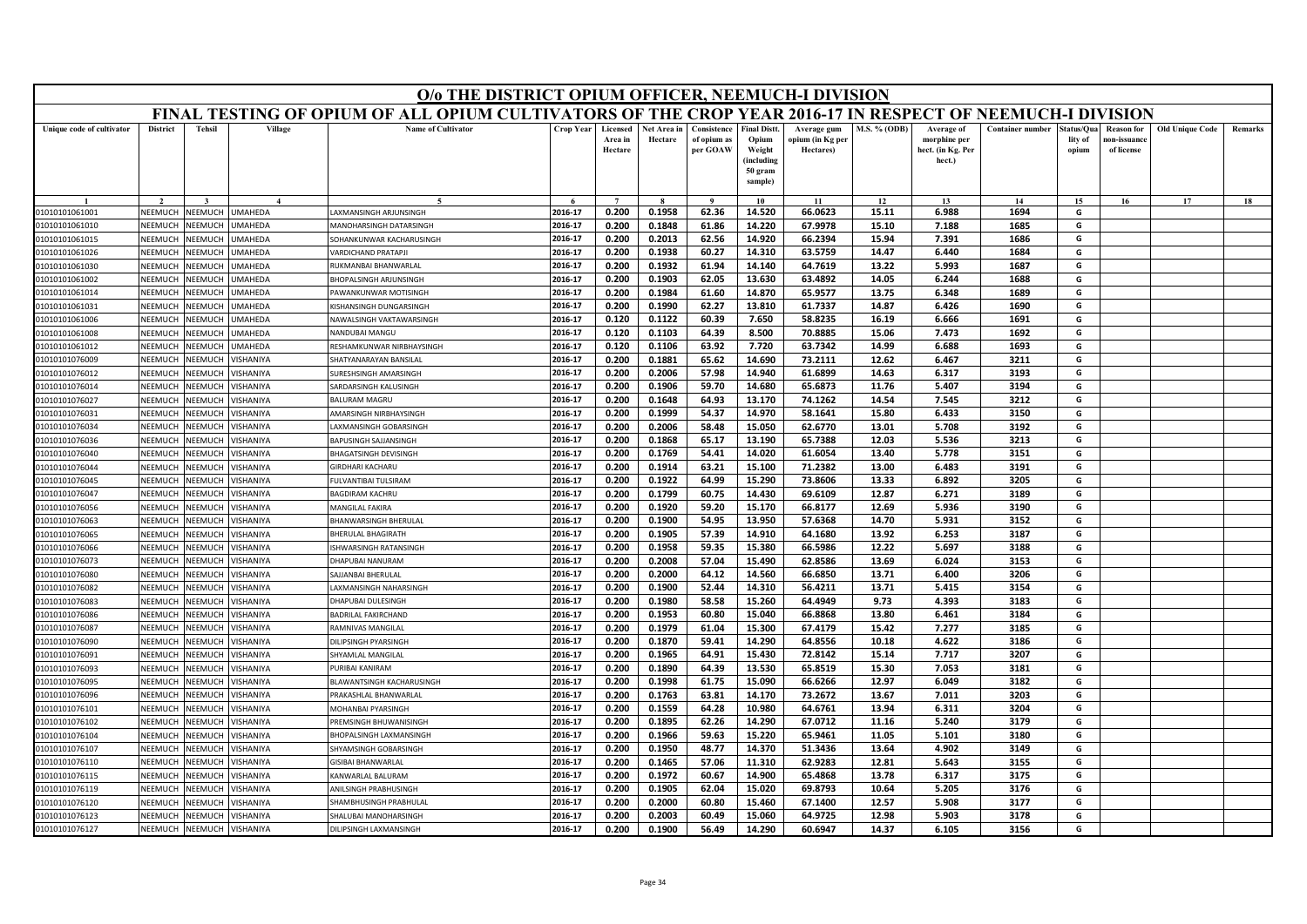| FINAL TESTING OF OPIUM OF ALL OPIUM CULTIVATORS OF THE CROP YEAR 2016-17 IN RESPECT OF NEEMUCH-I DIVISION<br><b>Tehsil</b><br><b>Name of Cultivator</b><br><b>District</b><br>Village<br><b>Crop Year</b><br>Licensed<br>Net Area in<br>Consistence<br><b>Final Distt.</b><br><b>M.S. % (ODB)</b><br><b>Container number</b><br><b>Old Unique Code</b><br>Unique code of cultivator<br>Average gum<br>Average of<br>Status/Qua<br><b>Reason for</b><br>Remarks<br>morphine per<br>Area in<br>Hectare<br>of opium as<br>Opium<br>opium (in Kg per<br>lity of<br>10n-issuanc<br>per GOAW<br>Weight<br>of license<br>Hectare<br>Hectares)<br>hect. (in Kg. Per<br>opium<br>(including<br>hect.)<br>50 gram<br>sample)<br>$\overline{ }$<br>$\alpha$<br>10<br>11<br>12<br>13<br>14<br>15<br>16<br>17<br>18<br>0.200<br>0.1958<br>62.36<br>66.0623<br>2016-17<br>14.520<br>15.11<br>6.988<br>1694<br>G<br>NEEMUCH<br>NEEMUCH<br><b>JMAHEDA</b><br>AXMANSINGH ARJUNSINGH<br>01010101061001<br>2016-17<br>0.200<br>0.1848<br>61.86<br>14.220<br>67.9978<br>15.10<br>7.188<br>1685<br>G<br>01010101061010<br>NEEMUCH<br>NEEMUCH<br><b>JMAHEDA</b><br>MANOHARSINGH DATARSINGH<br>2016-17<br>0.2013<br>62.56<br>14.920<br>66.2394<br>15.94<br>7.391<br>1686<br>G<br>01010101061015<br><b>SEEMUCH</b><br>NEEMUCH<br><b>JMAHEDA</b><br>SOHANKUNWAR KACHARUSINGH<br>0.200<br>0.200<br>0.1938<br>60.27<br>14.310<br>63.5759<br>14.47<br>6.440<br>1684<br>2016-17<br>G<br>01010101061026<br>NEEMUCI<br>NEEMUCI<br><b>JMAHEDA</b><br><b>VARDICHAND PRATAPI</b><br>2016-17<br>0.1932<br>14.140<br>64.7619<br>1687<br>G<br>NEEMUCH<br>NEEMUCH<br><b>JMAHEDA</b><br>RUKMANBAI BHANWARLAL<br>0.200<br>61.94<br>13.22<br>5.993<br>01010101061030<br>2016-17<br>0.200<br>0.1903<br>62.05<br>13.630<br>63.4892<br>14.05<br>6.244<br>1688<br>G<br>01010101061002<br>NEEMUCH<br>NEEMUCH<br><b>JMAHEDA</b><br>BHOPALSINGH ARJUNSINGH<br>2016-17<br>0.200<br>0.1984<br>61.60<br>14.870<br>65.9577<br>13.75<br>6.348<br>1689<br>G<br>NEEMUCI<br>NEEMUCI<br><b>JMAHEDA</b><br>01010101061014<br>PAWANKUNWAR MOTISINGH<br>0.1990<br>13.810<br>61.7337<br>2016-17<br>0.200<br>62.27<br>14.87<br>6.426<br>1690<br>G<br>01010101061031<br>NEEMUCH<br>NEEMUCH<br>JMAHEDA<br><b>KISHANSINGH DUNGARSINGH</b><br>2016-17<br>0.120<br>0.1122<br>60.39<br>7.650<br>58.8235<br>16.19<br>6.666<br>1691<br>NEEMUCH<br>NEEMUCH<br><b>JMAHEDA</b><br>G<br>01010101061006<br>NAWALSINGH VAKTAWARSINGH<br>0.1103<br>64.39<br>8.500<br>70.8885<br>1692<br>NEEMUCH<br>NEEMUC<br>2016-17<br>0.120<br>15.06<br>7.473<br>G<br>01010101061008<br><b>JMAHEDA</b><br>NANDUBAI MANGU<br>2016-17<br>0.120<br>0.1106<br>63.92<br>7.720<br>63.7342<br>14.99<br>6.688<br>1693<br>G<br>01010101061012<br>NEEMUCH<br><b>NEEMUCH</b><br><b>JMAHEDA</b><br>RESHAMKUNWAR NIRBHAYSINGH<br>0.200<br>0.1881<br>65.62<br>14.690<br>73.2111<br>12.62<br>6.467<br>3211<br>2016-17<br>G<br>01010101076009<br>NEEMUCI<br>VEEMUCI<br>/ISHANIYA<br>SHATYANARAYAN BANSILAL<br>01010101076012<br>NFFMUCH<br>NFFMUCH<br><b>ISHANIYA</b><br>2016-17<br>0.200<br>0.2006<br>57.98<br>14.940<br>61.6899<br>14.63<br>6.317<br>3193<br>G<br>SURESHSINGH AMARSINGH<br>65.6873<br>3194<br>G<br>01010101076014<br>NEEMUCH<br>NEEMUCH<br><b>ISHANIYA</b><br>2016-17<br>0.200<br>0.1906<br>59.70<br>14.680<br>11.76<br>5.407<br>SARDARSINGH KALUSINGH<br>74.1262<br>3212<br>01010101076027<br>NEEMUCI<br>VEEMUCH<br>/ISHANIYA<br><b>BALURAM MAGRU</b><br>2016-17<br>0.200<br>0.1648<br>64.93<br>13.170<br>14.54<br>7.545<br>G<br>54.37<br>3150<br>01010101076031<br>NEEMUCH<br>NEEMUCH<br><b>/ISHANIYA</b><br>AMARSINGH NIRBHAYSINGH<br>2016-17<br>0.200<br>0.1999<br>14.970<br>58.1641<br>15.80<br>6.433<br>G<br>62.6770<br>3192<br>01010101076034<br>NEEMUCH<br>NEEMUCH<br>/ISHANIYA<br>2016-17<br>0.200<br>0.2006<br>58.48<br>15.050<br>13.01<br>5.708<br>G<br>AXMANSINGH GOBARSINGH<br>2016-17<br>0.200<br>0.1868<br>65.17<br>13.190<br>65.7388<br>12.03<br>5.536<br>3213<br>01010101076036<br>NEEMUCI<br><b>NEEMUCH</b><br><b>ISHANIYA</b><br>BAPUSINGH SAJJANSINGH<br>G<br>2016-17<br>0.200<br>0.1769<br>54.41<br>14.020<br>61.6054<br>13.40<br>5.778<br>3151<br>G<br>01010101076040<br>NFFMUCH<br>VEEMUCH<br><b>ISHANIYA</b><br><b>BHAGATSINGH DEVISINGH</b><br>2016-17<br>0.1914<br>63.21<br>15.100<br>71.2382<br>13.00<br>6.483<br>3191<br>G<br>GIRDHARI KACHARU<br>0.200<br>01010101076044<br>NEEMUCH<br>NEEMUCH<br>/ISHANIYA<br>2016-17<br>0.200<br>0.1922<br>64.99<br>15.290<br>73.8606<br>13.33<br>6.892<br>3205<br>G<br>01010101076045<br>VEEMUCI<br><b>JEEMUCH</b><br><b>ISHANIYA</b><br>FULVANTIBAI TULSIRAM<br>G<br>2016-17<br>0.200<br>0.1799<br>60.75<br>14.430<br>69.6109<br>12.87<br>6.271<br>3189<br>01010101076047<br>NEEMUCH<br>VEEMUCH<br><b>ISHANIYA</b><br><b>BAGDIRAM KACHRU</b><br><b>MANGILAL FAKIRA</b><br>2016-17<br>0.200<br>0.1920<br>59.20<br>15.170<br>66.8177<br>12.69<br>5.936<br>3190<br>G<br>VEEMUCH<br>/ISHANIYA<br>01010101076056<br>NFFMUCH<br>0.1900<br>57.6368<br>5.931<br>3152<br>2016-17<br>0.200<br>54.95<br>13.950<br>14.70<br>G<br>01010101076063<br>NEEMUCI<br><b>NEEMUCH</b><br><b>ISHANIYA</b><br>BHANWARSINGH BHERULAL<br>0.200<br>57.39<br>14.910<br>64.1680<br>13.92<br>6.253<br>3187<br>G<br>NEEMUCH<br>NEEMUCH<br><b>ISHANIYA</b><br>2016-17<br>0.1905<br>01010101076065<br>BHERULAL BHAGIRATH<br>2016-17<br>0.1958<br>66.5986<br>3188<br>01010101076066<br>NEEMUCH<br>NEEMUCH<br><b>ISHANIYA</b><br>0.200<br>59.35<br>15.380<br>12.22<br>5.697<br>G<br>ISHWARSINGH RATANSINGH<br>2016-17<br>0.200<br>0.2008<br>57.04<br>15.490<br>62.8586<br>13.69<br>6.024<br>3153<br>G<br>01010101076073<br>NEEMUCI<br>VEEMUCH<br><b>ISHANIYA</b><br>DHAPUBAI NANURAN<br>3206<br>2016-17<br>0.200<br>0.2000<br>64.12<br>14.560<br>66.6850<br>13.71<br>6.400<br>G<br>01010101076080<br>NEEMUCH<br>VEEMUCH<br><b>ISHANIYA</b><br>SAJJANBAI BHERULAL<br>2016-17<br>0.200<br>0.1900<br>52.44<br>14.310<br>56.4211<br>13.71<br>5.415<br>3154<br>G<br>01010101076082<br>NEEMUCH<br>NEEMUCH<br><b>ISHANIYA</b><br><b>AXMANSINGH NAHARSINGH</b><br>58.58<br>9.73<br>4.393<br>3183<br>01010101076083<br>NEEMUCI<br>VEEMUCI<br><b>ISHANIYA</b><br>2016-17<br>0.200<br>0.1980<br>15.260<br>64.4949<br>G<br>DHAPUBAI DULESINGH<br>01010101076086<br>NEEMUCH<br>VEEMUCH<br><b>ISHANIYA</b><br><b>BADRILAL FAKIRCHAND</b><br>2016-17<br>0.200<br>0.1953<br>60.80<br>15.040<br>66.8868<br>13.80<br>6.461<br>3184<br>G<br>NEEMUCH<br><b>ISHANIYA</b><br>2016-17<br>67.4179<br>3185<br>01010101076087<br>NEEMUCH<br>RAMNIVAS MANGILAL<br>0.200<br>0.1979<br>61.04<br>15.300<br>15.42<br>7.277<br>G<br>2016-17<br>0.200<br>0.1870<br>59.41<br>14.290<br>64.8556<br>10.18<br>4.622<br>3186<br>G<br>01010101076090<br>NEEMUCI<br>NEEMUCH<br><b>ISHANIYA</b><br>DILIPSINGH PYARSINGH<br>2016-17<br>0.200<br>0.1965<br>64.91<br>15.430<br>72.8142<br>7.717<br>3207<br>01010101076091<br>NEEMUCH<br><b>NEEMUCH</b><br>/ISHANIYA<br><b>SHYAMLAL MANGILAL</b><br>15.14<br>G<br>01010101076093<br>VEEMUCI<br>VEEMUCH<br><b>ISHANIYA</b><br>2016-17<br>0.1890<br>64.39<br>13.530<br>65.8519<br>15.30<br>7.053<br>3181<br>G<br>URIBAI KANIRAM<br>0.200<br><b>NFFMUCH</b><br>NEEMUCH<br><b>ISHANIYA</b><br>2016-17<br>0.200<br>0.1998<br>61.75<br>15.090<br>66.6266<br>12.97<br>6.049<br>3182<br>G<br>01010101076095<br>BLAWANTSINGH KACHARUSINGH<br>63.81<br>73.2672<br>13.67<br>3203<br>G<br>2016-17<br>0.200<br>0.1763<br>14.170<br>7.011<br>01010101076096<br>NEEMUCH<br>VEEMUCH<br><b>ISHANIYA</b><br>PRAKASHLAL BHANWARLAL<br>3204<br>G<br>2016-17<br>0.200<br>0.1559<br>64.28<br>10.980<br>64.6761<br>13.94<br>6.311<br>01010101076101<br>VEEMUCH<br>VEEMUCH<br><b>ISHANIYA</b><br><b>MOHANBAI PYARSINGH</b><br>3179<br>2016-17<br>0.200<br>0.1895<br>62.26<br>14.290<br>67.0712<br>11.16<br>5.240<br>G<br>01010101076102<br>NEEMUCH<br>VEEMUCH<br><b>ISHANIYA</b><br>PREMSINGH BHUWANISINGH<br>2016-17<br>0.200<br>0.1966<br>59.63<br>15.220<br>65.9461<br>11.05<br>3180<br>G<br>NEEMUCH<br>BHOPALSINGH LAXMANSINGH<br>5.101<br>01010101076104<br><b>NEEMUCH</b><br><b>ISHANIYA</b><br>3149<br>G<br>01010101076107<br>VEEMUCI<br><b><i>IEEMUCH</i></b><br>HYAMSINGH GOBARSINGH<br>2016-17<br>0.200<br>0.1950<br>48.77<br>14.370<br>51.3436<br>13.64<br>4.902<br><b>ISHANIYA</b><br>2016-17<br>0.1465<br>57.06<br>62.9283<br>12.81<br>5.643<br>3155<br>G<br><b>NFFMUCH</b><br>NFFMUCH<br><b>ISHANIYA</b><br>0.200<br>11.310<br>01010101076110<br>GISIBAI BHANWARLAI<br>2016-17<br>0.1972<br>60.67<br>14.900<br>65.4868<br>13.78<br>6.317<br>3175<br>G<br>0.200<br>01010101076115<br>NEEMUCH<br>VEEMUCH<br><b>ISHANIYA</b><br>KANWARLAL BALURAM<br>0.200<br>0.1905<br>15.020<br>69.8793<br>5.205<br>3176<br>2016-17<br>62.04<br>10.64<br>G<br>01010101076119<br>VEEMUCI<br>VEEMUCI<br><b>ISHANIYA</b><br>ANILSINGH PRABHUSINGH<br>3177<br>2016-17<br>0.200<br>0.2000<br>60.80<br>15.460<br>67.1400<br>12.57<br>5.908<br>G<br>01010101076120<br>NEEMUCH<br>VEEMUCI<br><b>ISHANIYA</b><br>SHAMBHUSINGH PRABHULAI<br>2016-17<br>0.200<br>0.2003<br>60.49<br>15.060<br>64.9725<br>12.98<br>5.903<br>3178<br>G<br>01010101076123<br>NEEMUCH<br>NEEMUCH<br><b>ISHANIYA</b><br>SHALUBAI MANOHARSINGH<br>0.1900<br>2016-17<br>0.200<br>56.49<br>14.290<br>60.6947<br>14.37<br>6.105<br>3156<br>G<br>NEEMUCH<br>01010101076127<br>NEEMUCH<br>/ISHANIYA<br>DILIPSINGH LAXMANSINGH | O/o THE DISTRICT OPIUM OFFICER, NEEMUCH-I DIVISION |  |  |  |  |  |  |  |  |  |  |  |  |  |  |  |
|-------------------------------------------------------------------------------------------------------------------------------------------------------------------------------------------------------------------------------------------------------------------------------------------------------------------------------------------------------------------------------------------------------------------------------------------------------------------------------------------------------------------------------------------------------------------------------------------------------------------------------------------------------------------------------------------------------------------------------------------------------------------------------------------------------------------------------------------------------------------------------------------------------------------------------------------------------------------------------------------------------------------------------------------------------------------------------------------------------------------------------------------------------------------------------------------------------------------------------------------------------------------------------------------------------------------------------------------------------------------------------------------------------------------------------------------------------------------------------------------------------------------------------------------------------------------------------------------------------------------------------------------------------------------------------------------------------------------------------------------------------------------------------------------------------------------------------------------------------------------------------------------------------------------------------------------------------------------------------------------------------------------------------------------------------------------------------------------------------------------------------------------------------------------------------------------------------------------------------------------------------------------------------------------------------------------------------------------------------------------------------------------------------------------------------------------------------------------------------------------------------------------------------------------------------------------------------------------------------------------------------------------------------------------------------------------------------------------------------------------------------------------------------------------------------------------------------------------------------------------------------------------------------------------------------------------------------------------------------------------------------------------------------------------------------------------------------------------------------------------------------------------------------------------------------------------------------------------------------------------------------------------------------------------------------------------------------------------------------------------------------------------------------------------------------------------------------------------------------------------------------------------------------------------------------------------------------------------------------------------------------------------------------------------------------------------------------------------------------------------------------------------------------------------------------------------------------------------------------------------------------------------------------------------------------------------------------------------------------------------------------------------------------------------------------------------------------------------------------------------------------------------------------------------------------------------------------------------------------------------------------------------------------------------------------------------------------------------------------------------------------------------------------------------------------------------------------------------------------------------------------------------------------------------------------------------------------------------------------------------------------------------------------------------------------------------------------------------------------------------------------------------------------------------------------------------------------------------------------------------------------------------------------------------------------------------------------------------------------------------------------------------------------------------------------------------------------------------------------------------------------------------------------------------------------------------------------------------------------------------------------------------------------------------------------------------------------------------------------------------------------------------------------------------------------------------------------------------------------------------------------------------------------------------------------------------------------------------------------------------------------------------------------------------------------------------------------------------------------------------------------------------------------------------------------------------------------------------------------------------------------------------------------------------------------------------------------------------------------------------------------------------------------------------------------------------------------------------------------------------------------------------------------------------------------------------------------------------------------------------------------------------------------------------------------------------------------------------------------------------------------------------------------------------------------------------------------------------------------------------------------------------------------------------------------------------------------------------------------------------------------------------------------------------------------------------------------------------------------------------------------------------------------------------------------------------------------------------------------------------------------------------------------------------------------------------------------------------------------------------------------------------------------------------------------------------------------------------------------------------------------------------------------------------------------------------------------------------------------------------------------------------------------------------------------------------------------------------------------------------------------------------------------------------------------------------------------------------------------------------------------------------------------------------------------------------------------------------------------------------------------------------------------------------------------------------------------------------------------------------------------------------------------------------------------------------------------------------------------------------------------------------------------------------------------------------------------------------------------------------------------------------------------------------------------------------------------------------------------------------------------------------------------------------------------------------------------------------------------------------------------------------------------------------------------------------------------------------------------------------------------------------------------------------------------------------------------------------------------------------------------------------------------------------------------------------------------------------------------------------------------------------------------------------------------------------------------------------------------------------------------------------------------------------------------------------------------------------------------------------------------------------------------------------------------------------------------------------------------------------------------------------------------------------------------------------------------------------------------------------------------------------------------------------------------------------------------------------------------------------------------------------------------------------------------------------------------------------------------------------------------------------------------|----------------------------------------------------|--|--|--|--|--|--|--|--|--|--|--|--|--|--|--|
|                                                                                                                                                                                                                                                                                                                                                                                                                                                                                                                                                                                                                                                                                                                                                                                                                                                                                                                                                                                                                                                                                                                                                                                                                                                                                                                                                                                                                                                                                                                                                                                                                                                                                                                                                                                                                                                                                                                                                                                                                                                                                                                                                                                                                                                                                                                                                                                                                                                                                                                                                                                                                                                                                                                                                                                                                                                                                                                                                                                                                                                                                                                                                                                                                                                                                                                                                                                                                                                                                                                                                                                                                                                                                                                                                                                                                                                                                                                                                                                                                                                                                                                                                                                                                                                                                                                                                                                                                                                                                                                                                                                                                                                                                                                                                                                                                                                                                                                                                                                                                                                                                                                                                                                                                                                                                                                                                                                                                                                                                                                                                                                                                                                                                                                                                                                                                                                                                                                                                                                                                                                                                                                                                                                                                                                                                                                                                                                                                                                                                                                                                                                                                                                                                                                                                                                                                                                                                                                                                                                                                                                                                                                                                                                                                                                                                                                                                                                                                                                                                                                                                                                                                                                                                                                                                                                                                                                                                                                                                                                                                                                                                                                                                                                                                                                                                                                                                                                                                                                                                                                                                                                                                                                                                                                                                                                                                                                                                                                                                                                                                                                                                                                                                                                                                                                                                                                                                                                                       |                                                    |  |  |  |  |  |  |  |  |  |  |  |  |  |  |  |
|                                                                                                                                                                                                                                                                                                                                                                                                                                                                                                                                                                                                                                                                                                                                                                                                                                                                                                                                                                                                                                                                                                                                                                                                                                                                                                                                                                                                                                                                                                                                                                                                                                                                                                                                                                                                                                                                                                                                                                                                                                                                                                                                                                                                                                                                                                                                                                                                                                                                                                                                                                                                                                                                                                                                                                                                                                                                                                                                                                                                                                                                                                                                                                                                                                                                                                                                                                                                                                                                                                                                                                                                                                                                                                                                                                                                                                                                                                                                                                                                                                                                                                                                                                                                                                                                                                                                                                                                                                                                                                                                                                                                                                                                                                                                                                                                                                                                                                                                                                                                                                                                                                                                                                                                                                                                                                                                                                                                                                                                                                                                                                                                                                                                                                                                                                                                                                                                                                                                                                                                                                                                                                                                                                                                                                                                                                                                                                                                                                                                                                                                                                                                                                                                                                                                                                                                                                                                                                                                                                                                                                                                                                                                                                                                                                                                                                                                                                                                                                                                                                                                                                                                                                                                                                                                                                                                                                                                                                                                                                                                                                                                                                                                                                                                                                                                                                                                                                                                                                                                                                                                                                                                                                                                                                                                                                                                                                                                                                                                                                                                                                                                                                                                                                                                                                                                                                                                                                                                       |                                                    |  |  |  |  |  |  |  |  |  |  |  |  |  |  |  |
|                                                                                                                                                                                                                                                                                                                                                                                                                                                                                                                                                                                                                                                                                                                                                                                                                                                                                                                                                                                                                                                                                                                                                                                                                                                                                                                                                                                                                                                                                                                                                                                                                                                                                                                                                                                                                                                                                                                                                                                                                                                                                                                                                                                                                                                                                                                                                                                                                                                                                                                                                                                                                                                                                                                                                                                                                                                                                                                                                                                                                                                                                                                                                                                                                                                                                                                                                                                                                                                                                                                                                                                                                                                                                                                                                                                                                                                                                                                                                                                                                                                                                                                                                                                                                                                                                                                                                                                                                                                                                                                                                                                                                                                                                                                                                                                                                                                                                                                                                                                                                                                                                                                                                                                                                                                                                                                                                                                                                                                                                                                                                                                                                                                                                                                                                                                                                                                                                                                                                                                                                                                                                                                                                                                                                                                                                                                                                                                                                                                                                                                                                                                                                                                                                                                                                                                                                                                                                                                                                                                                                                                                                                                                                                                                                                                                                                                                                                                                                                                                                                                                                                                                                                                                                                                                                                                                                                                                                                                                                                                                                                                                                                                                                                                                                                                                                                                                                                                                                                                                                                                                                                                                                                                                                                                                                                                                                                                                                                                                                                                                                                                                                                                                                                                                                                                                                                                                                                                                       |                                                    |  |  |  |  |  |  |  |  |  |  |  |  |  |  |  |
|                                                                                                                                                                                                                                                                                                                                                                                                                                                                                                                                                                                                                                                                                                                                                                                                                                                                                                                                                                                                                                                                                                                                                                                                                                                                                                                                                                                                                                                                                                                                                                                                                                                                                                                                                                                                                                                                                                                                                                                                                                                                                                                                                                                                                                                                                                                                                                                                                                                                                                                                                                                                                                                                                                                                                                                                                                                                                                                                                                                                                                                                                                                                                                                                                                                                                                                                                                                                                                                                                                                                                                                                                                                                                                                                                                                                                                                                                                                                                                                                                                                                                                                                                                                                                                                                                                                                                                                                                                                                                                                                                                                                                                                                                                                                                                                                                                                                                                                                                                                                                                                                                                                                                                                                                                                                                                                                                                                                                                                                                                                                                                                                                                                                                                                                                                                                                                                                                                                                                                                                                                                                                                                                                                                                                                                                                                                                                                                                                                                                                                                                                                                                                                                                                                                                                                                                                                                                                                                                                                                                                                                                                                                                                                                                                                                                                                                                                                                                                                                                                                                                                                                                                                                                                                                                                                                                                                                                                                                                                                                                                                                                                                                                                                                                                                                                                                                                                                                                                                                                                                                                                                                                                                                                                                                                                                                                                                                                                                                                                                                                                                                                                                                                                                                                                                                                                                                                                                                                       |                                                    |  |  |  |  |  |  |  |  |  |  |  |  |  |  |  |
|                                                                                                                                                                                                                                                                                                                                                                                                                                                                                                                                                                                                                                                                                                                                                                                                                                                                                                                                                                                                                                                                                                                                                                                                                                                                                                                                                                                                                                                                                                                                                                                                                                                                                                                                                                                                                                                                                                                                                                                                                                                                                                                                                                                                                                                                                                                                                                                                                                                                                                                                                                                                                                                                                                                                                                                                                                                                                                                                                                                                                                                                                                                                                                                                                                                                                                                                                                                                                                                                                                                                                                                                                                                                                                                                                                                                                                                                                                                                                                                                                                                                                                                                                                                                                                                                                                                                                                                                                                                                                                                                                                                                                                                                                                                                                                                                                                                                                                                                                                                                                                                                                                                                                                                                                                                                                                                                                                                                                                                                                                                                                                                                                                                                                                                                                                                                                                                                                                                                                                                                                                                                                                                                                                                                                                                                                                                                                                                                                                                                                                                                                                                                                                                                                                                                                                                                                                                                                                                                                                                                                                                                                                                                                                                                                                                                                                                                                                                                                                                                                                                                                                                                                                                                                                                                                                                                                                                                                                                                                                                                                                                                                                                                                                                                                                                                                                                                                                                                                                                                                                                                                                                                                                                                                                                                                                                                                                                                                                                                                                                                                                                                                                                                                                                                                                                                                                                                                                                                       |                                                    |  |  |  |  |  |  |  |  |  |  |  |  |  |  |  |
|                                                                                                                                                                                                                                                                                                                                                                                                                                                                                                                                                                                                                                                                                                                                                                                                                                                                                                                                                                                                                                                                                                                                                                                                                                                                                                                                                                                                                                                                                                                                                                                                                                                                                                                                                                                                                                                                                                                                                                                                                                                                                                                                                                                                                                                                                                                                                                                                                                                                                                                                                                                                                                                                                                                                                                                                                                                                                                                                                                                                                                                                                                                                                                                                                                                                                                                                                                                                                                                                                                                                                                                                                                                                                                                                                                                                                                                                                                                                                                                                                                                                                                                                                                                                                                                                                                                                                                                                                                                                                                                                                                                                                                                                                                                                                                                                                                                                                                                                                                                                                                                                                                                                                                                                                                                                                                                                                                                                                                                                                                                                                                                                                                                                                                                                                                                                                                                                                                                                                                                                                                                                                                                                                                                                                                                                                                                                                                                                                                                                                                                                                                                                                                                                                                                                                                                                                                                                                                                                                                                                                                                                                                                                                                                                                                                                                                                                                                                                                                                                                                                                                                                                                                                                                                                                                                                                                                                                                                                                                                                                                                                                                                                                                                                                                                                                                                                                                                                                                                                                                                                                                                                                                                                                                                                                                                                                                                                                                                                                                                                                                                                                                                                                                                                                                                                                                                                                                                                                       |                                                    |  |  |  |  |  |  |  |  |  |  |  |  |  |  |  |
|                                                                                                                                                                                                                                                                                                                                                                                                                                                                                                                                                                                                                                                                                                                                                                                                                                                                                                                                                                                                                                                                                                                                                                                                                                                                                                                                                                                                                                                                                                                                                                                                                                                                                                                                                                                                                                                                                                                                                                                                                                                                                                                                                                                                                                                                                                                                                                                                                                                                                                                                                                                                                                                                                                                                                                                                                                                                                                                                                                                                                                                                                                                                                                                                                                                                                                                                                                                                                                                                                                                                                                                                                                                                                                                                                                                                                                                                                                                                                                                                                                                                                                                                                                                                                                                                                                                                                                                                                                                                                                                                                                                                                                                                                                                                                                                                                                                                                                                                                                                                                                                                                                                                                                                                                                                                                                                                                                                                                                                                                                                                                                                                                                                                                                                                                                                                                                                                                                                                                                                                                                                                                                                                                                                                                                                                                                                                                                                                                                                                                                                                                                                                                                                                                                                                                                                                                                                                                                                                                                                                                                                                                                                                                                                                                                                                                                                                                                                                                                                                                                                                                                                                                                                                                                                                                                                                                                                                                                                                                                                                                                                                                                                                                                                                                                                                                                                                                                                                                                                                                                                                                                                                                                                                                                                                                                                                                                                                                                                                                                                                                                                                                                                                                                                                                                                                                                                                                                                                       |                                                    |  |  |  |  |  |  |  |  |  |  |  |  |  |  |  |
|                                                                                                                                                                                                                                                                                                                                                                                                                                                                                                                                                                                                                                                                                                                                                                                                                                                                                                                                                                                                                                                                                                                                                                                                                                                                                                                                                                                                                                                                                                                                                                                                                                                                                                                                                                                                                                                                                                                                                                                                                                                                                                                                                                                                                                                                                                                                                                                                                                                                                                                                                                                                                                                                                                                                                                                                                                                                                                                                                                                                                                                                                                                                                                                                                                                                                                                                                                                                                                                                                                                                                                                                                                                                                                                                                                                                                                                                                                                                                                                                                                                                                                                                                                                                                                                                                                                                                                                                                                                                                                                                                                                                                                                                                                                                                                                                                                                                                                                                                                                                                                                                                                                                                                                                                                                                                                                                                                                                                                                                                                                                                                                                                                                                                                                                                                                                                                                                                                                                                                                                                                                                                                                                                                                                                                                                                                                                                                                                                                                                                                                                                                                                                                                                                                                                                                                                                                                                                                                                                                                                                                                                                                                                                                                                                                                                                                                                                                                                                                                                                                                                                                                                                                                                                                                                                                                                                                                                                                                                                                                                                                                                                                                                                                                                                                                                                                                                                                                                                                                                                                                                                                                                                                                                                                                                                                                                                                                                                                                                                                                                                                                                                                                                                                                                                                                                                                                                                                                                       |                                                    |  |  |  |  |  |  |  |  |  |  |  |  |  |  |  |
|                                                                                                                                                                                                                                                                                                                                                                                                                                                                                                                                                                                                                                                                                                                                                                                                                                                                                                                                                                                                                                                                                                                                                                                                                                                                                                                                                                                                                                                                                                                                                                                                                                                                                                                                                                                                                                                                                                                                                                                                                                                                                                                                                                                                                                                                                                                                                                                                                                                                                                                                                                                                                                                                                                                                                                                                                                                                                                                                                                                                                                                                                                                                                                                                                                                                                                                                                                                                                                                                                                                                                                                                                                                                                                                                                                                                                                                                                                                                                                                                                                                                                                                                                                                                                                                                                                                                                                                                                                                                                                                                                                                                                                                                                                                                                                                                                                                                                                                                                                                                                                                                                                                                                                                                                                                                                                                                                                                                                                                                                                                                                                                                                                                                                                                                                                                                                                                                                                                                                                                                                                                                                                                                                                                                                                                                                                                                                                                                                                                                                                                                                                                                                                                                                                                                                                                                                                                                                                                                                                                                                                                                                                                                                                                                                                                                                                                                                                                                                                                                                                                                                                                                                                                                                                                                                                                                                                                                                                                                                                                                                                                                                                                                                                                                                                                                                                                                                                                                                                                                                                                                                                                                                                                                                                                                                                                                                                                                                                                                                                                                                                                                                                                                                                                                                                                                                                                                                                                                       |                                                    |  |  |  |  |  |  |  |  |  |  |  |  |  |  |  |
|                                                                                                                                                                                                                                                                                                                                                                                                                                                                                                                                                                                                                                                                                                                                                                                                                                                                                                                                                                                                                                                                                                                                                                                                                                                                                                                                                                                                                                                                                                                                                                                                                                                                                                                                                                                                                                                                                                                                                                                                                                                                                                                                                                                                                                                                                                                                                                                                                                                                                                                                                                                                                                                                                                                                                                                                                                                                                                                                                                                                                                                                                                                                                                                                                                                                                                                                                                                                                                                                                                                                                                                                                                                                                                                                                                                                                                                                                                                                                                                                                                                                                                                                                                                                                                                                                                                                                                                                                                                                                                                                                                                                                                                                                                                                                                                                                                                                                                                                                                                                                                                                                                                                                                                                                                                                                                                                                                                                                                                                                                                                                                                                                                                                                                                                                                                                                                                                                                                                                                                                                                                                                                                                                                                                                                                                                                                                                                                                                                                                                                                                                                                                                                                                                                                                                                                                                                                                                                                                                                                                                                                                                                                                                                                                                                                                                                                                                                                                                                                                                                                                                                                                                                                                                                                                                                                                                                                                                                                                                                                                                                                                                                                                                                                                                                                                                                                                                                                                                                                                                                                                                                                                                                                                                                                                                                                                                                                                                                                                                                                                                                                                                                                                                                                                                                                                                                                                                                                                       |                                                    |  |  |  |  |  |  |  |  |  |  |  |  |  |  |  |
|                                                                                                                                                                                                                                                                                                                                                                                                                                                                                                                                                                                                                                                                                                                                                                                                                                                                                                                                                                                                                                                                                                                                                                                                                                                                                                                                                                                                                                                                                                                                                                                                                                                                                                                                                                                                                                                                                                                                                                                                                                                                                                                                                                                                                                                                                                                                                                                                                                                                                                                                                                                                                                                                                                                                                                                                                                                                                                                                                                                                                                                                                                                                                                                                                                                                                                                                                                                                                                                                                                                                                                                                                                                                                                                                                                                                                                                                                                                                                                                                                                                                                                                                                                                                                                                                                                                                                                                                                                                                                                                                                                                                                                                                                                                                                                                                                                                                                                                                                                                                                                                                                                                                                                                                                                                                                                                                                                                                                                                                                                                                                                                                                                                                                                                                                                                                                                                                                                                                                                                                                                                                                                                                                                                                                                                                                                                                                                                                                                                                                                                                                                                                                                                                                                                                                                                                                                                                                                                                                                                                                                                                                                                                                                                                                                                                                                                                                                                                                                                                                                                                                                                                                                                                                                                                                                                                                                                                                                                                                                                                                                                                                                                                                                                                                                                                                                                                                                                                                                                                                                                                                                                                                                                                                                                                                                                                                                                                                                                                                                                                                                                                                                                                                                                                                                                                                                                                                                                                       |                                                    |  |  |  |  |  |  |  |  |  |  |  |  |  |  |  |
|                                                                                                                                                                                                                                                                                                                                                                                                                                                                                                                                                                                                                                                                                                                                                                                                                                                                                                                                                                                                                                                                                                                                                                                                                                                                                                                                                                                                                                                                                                                                                                                                                                                                                                                                                                                                                                                                                                                                                                                                                                                                                                                                                                                                                                                                                                                                                                                                                                                                                                                                                                                                                                                                                                                                                                                                                                                                                                                                                                                                                                                                                                                                                                                                                                                                                                                                                                                                                                                                                                                                                                                                                                                                                                                                                                                                                                                                                                                                                                                                                                                                                                                                                                                                                                                                                                                                                                                                                                                                                                                                                                                                                                                                                                                                                                                                                                                                                                                                                                                                                                                                                                                                                                                                                                                                                                                                                                                                                                                                                                                                                                                                                                                                                                                                                                                                                                                                                                                                                                                                                                                                                                                                                                                                                                                                                                                                                                                                                                                                                                                                                                                                                                                                                                                                                                                                                                                                                                                                                                                                                                                                                                                                                                                                                                                                                                                                                                                                                                                                                                                                                                                                                                                                                                                                                                                                                                                                                                                                                                                                                                                                                                                                                                                                                                                                                                                                                                                                                                                                                                                                                                                                                                                                                                                                                                                                                                                                                                                                                                                                                                                                                                                                                                                                                                                                                                                                                                                                       |                                                    |  |  |  |  |  |  |  |  |  |  |  |  |  |  |  |
|                                                                                                                                                                                                                                                                                                                                                                                                                                                                                                                                                                                                                                                                                                                                                                                                                                                                                                                                                                                                                                                                                                                                                                                                                                                                                                                                                                                                                                                                                                                                                                                                                                                                                                                                                                                                                                                                                                                                                                                                                                                                                                                                                                                                                                                                                                                                                                                                                                                                                                                                                                                                                                                                                                                                                                                                                                                                                                                                                                                                                                                                                                                                                                                                                                                                                                                                                                                                                                                                                                                                                                                                                                                                                                                                                                                                                                                                                                                                                                                                                                                                                                                                                                                                                                                                                                                                                                                                                                                                                                                                                                                                                                                                                                                                                                                                                                                                                                                                                                                                                                                                                                                                                                                                                                                                                                                                                                                                                                                                                                                                                                                                                                                                                                                                                                                                                                                                                                                                                                                                                                                                                                                                                                                                                                                                                                                                                                                                                                                                                                                                                                                                                                                                                                                                                                                                                                                                                                                                                                                                                                                                                                                                                                                                                                                                                                                                                                                                                                                                                                                                                                                                                                                                                                                                                                                                                                                                                                                                                                                                                                                                                                                                                                                                                                                                                                                                                                                                                                                                                                                                                                                                                                                                                                                                                                                                                                                                                                                                                                                                                                                                                                                                                                                                                                                                                                                                                                                                       |                                                    |  |  |  |  |  |  |  |  |  |  |  |  |  |  |  |
|                                                                                                                                                                                                                                                                                                                                                                                                                                                                                                                                                                                                                                                                                                                                                                                                                                                                                                                                                                                                                                                                                                                                                                                                                                                                                                                                                                                                                                                                                                                                                                                                                                                                                                                                                                                                                                                                                                                                                                                                                                                                                                                                                                                                                                                                                                                                                                                                                                                                                                                                                                                                                                                                                                                                                                                                                                                                                                                                                                                                                                                                                                                                                                                                                                                                                                                                                                                                                                                                                                                                                                                                                                                                                                                                                                                                                                                                                                                                                                                                                                                                                                                                                                                                                                                                                                                                                                                                                                                                                                                                                                                                                                                                                                                                                                                                                                                                                                                                                                                                                                                                                                                                                                                                                                                                                                                                                                                                                                                                                                                                                                                                                                                                                                                                                                                                                                                                                                                                                                                                                                                                                                                                                                                                                                                                                                                                                                                                                                                                                                                                                                                                                                                                                                                                                                                                                                                                                                                                                                                                                                                                                                                                                                                                                                                                                                                                                                                                                                                                                                                                                                                                                                                                                                                                                                                                                                                                                                                                                                                                                                                                                                                                                                                                                                                                                                                                                                                                                                                                                                                                                                                                                                                                                                                                                                                                                                                                                                                                                                                                                                                                                                                                                                                                                                                                                                                                                                                                       |                                                    |  |  |  |  |  |  |  |  |  |  |  |  |  |  |  |
|                                                                                                                                                                                                                                                                                                                                                                                                                                                                                                                                                                                                                                                                                                                                                                                                                                                                                                                                                                                                                                                                                                                                                                                                                                                                                                                                                                                                                                                                                                                                                                                                                                                                                                                                                                                                                                                                                                                                                                                                                                                                                                                                                                                                                                                                                                                                                                                                                                                                                                                                                                                                                                                                                                                                                                                                                                                                                                                                                                                                                                                                                                                                                                                                                                                                                                                                                                                                                                                                                                                                                                                                                                                                                                                                                                                                                                                                                                                                                                                                                                                                                                                                                                                                                                                                                                                                                                                                                                                                                                                                                                                                                                                                                                                                                                                                                                                                                                                                                                                                                                                                                                                                                                                                                                                                                                                                                                                                                                                                                                                                                                                                                                                                                                                                                                                                                                                                                                                                                                                                                                                                                                                                                                                                                                                                                                                                                                                                                                                                                                                                                                                                                                                                                                                                                                                                                                                                                                                                                                                                                                                                                                                                                                                                                                                                                                                                                                                                                                                                                                                                                                                                                                                                                                                                                                                                                                                                                                                                                                                                                                                                                                                                                                                                                                                                                                                                                                                                                                                                                                                                                                                                                                                                                                                                                                                                                                                                                                                                                                                                                                                                                                                                                                                                                                                                                                                                                                                                       |                                                    |  |  |  |  |  |  |  |  |  |  |  |  |  |  |  |
|                                                                                                                                                                                                                                                                                                                                                                                                                                                                                                                                                                                                                                                                                                                                                                                                                                                                                                                                                                                                                                                                                                                                                                                                                                                                                                                                                                                                                                                                                                                                                                                                                                                                                                                                                                                                                                                                                                                                                                                                                                                                                                                                                                                                                                                                                                                                                                                                                                                                                                                                                                                                                                                                                                                                                                                                                                                                                                                                                                                                                                                                                                                                                                                                                                                                                                                                                                                                                                                                                                                                                                                                                                                                                                                                                                                                                                                                                                                                                                                                                                                                                                                                                                                                                                                                                                                                                                                                                                                                                                                                                                                                                                                                                                                                                                                                                                                                                                                                                                                                                                                                                                                                                                                                                                                                                                                                                                                                                                                                                                                                                                                                                                                                                                                                                                                                                                                                                                                                                                                                                                                                                                                                                                                                                                                                                                                                                                                                                                                                                                                                                                                                                                                                                                                                                                                                                                                                                                                                                                                                                                                                                                                                                                                                                                                                                                                                                                                                                                                                                                                                                                                                                                                                                                                                                                                                                                                                                                                                                                                                                                                                                                                                                                                                                                                                                                                                                                                                                                                                                                                                                                                                                                                                                                                                                                                                                                                                                                                                                                                                                                                                                                                                                                                                                                                                                                                                                                                                       |                                                    |  |  |  |  |  |  |  |  |  |  |  |  |  |  |  |
|                                                                                                                                                                                                                                                                                                                                                                                                                                                                                                                                                                                                                                                                                                                                                                                                                                                                                                                                                                                                                                                                                                                                                                                                                                                                                                                                                                                                                                                                                                                                                                                                                                                                                                                                                                                                                                                                                                                                                                                                                                                                                                                                                                                                                                                                                                                                                                                                                                                                                                                                                                                                                                                                                                                                                                                                                                                                                                                                                                                                                                                                                                                                                                                                                                                                                                                                                                                                                                                                                                                                                                                                                                                                                                                                                                                                                                                                                                                                                                                                                                                                                                                                                                                                                                                                                                                                                                                                                                                                                                                                                                                                                                                                                                                                                                                                                                                                                                                                                                                                                                                                                                                                                                                                                                                                                                                                                                                                                                                                                                                                                                                                                                                                                                                                                                                                                                                                                                                                                                                                                                                                                                                                                                                                                                                                                                                                                                                                                                                                                                                                                                                                                                                                                                                                                                                                                                                                                                                                                                                                                                                                                                                                                                                                                                                                                                                                                                                                                                                                                                                                                                                                                                                                                                                                                                                                                                                                                                                                                                                                                                                                                                                                                                                                                                                                                                                                                                                                                                                                                                                                                                                                                                                                                                                                                                                                                                                                                                                                                                                                                                                                                                                                                                                                                                                                                                                                                                                                       |                                                    |  |  |  |  |  |  |  |  |  |  |  |  |  |  |  |
|                                                                                                                                                                                                                                                                                                                                                                                                                                                                                                                                                                                                                                                                                                                                                                                                                                                                                                                                                                                                                                                                                                                                                                                                                                                                                                                                                                                                                                                                                                                                                                                                                                                                                                                                                                                                                                                                                                                                                                                                                                                                                                                                                                                                                                                                                                                                                                                                                                                                                                                                                                                                                                                                                                                                                                                                                                                                                                                                                                                                                                                                                                                                                                                                                                                                                                                                                                                                                                                                                                                                                                                                                                                                                                                                                                                                                                                                                                                                                                                                                                                                                                                                                                                                                                                                                                                                                                                                                                                                                                                                                                                                                                                                                                                                                                                                                                                                                                                                                                                                                                                                                                                                                                                                                                                                                                                                                                                                                                                                                                                                                                                                                                                                                                                                                                                                                                                                                                                                                                                                                                                                                                                                                                                                                                                                                                                                                                                                                                                                                                                                                                                                                                                                                                                                                                                                                                                                                                                                                                                                                                                                                                                                                                                                                                                                                                                                                                                                                                                                                                                                                                                                                                                                                                                                                                                                                                                                                                                                                                                                                                                                                                                                                                                                                                                                                                                                                                                                                                                                                                                                                                                                                                                                                                                                                                                                                                                                                                                                                                                                                                                                                                                                                                                                                                                                                                                                                                                                       |                                                    |  |  |  |  |  |  |  |  |  |  |  |  |  |  |  |
|                                                                                                                                                                                                                                                                                                                                                                                                                                                                                                                                                                                                                                                                                                                                                                                                                                                                                                                                                                                                                                                                                                                                                                                                                                                                                                                                                                                                                                                                                                                                                                                                                                                                                                                                                                                                                                                                                                                                                                                                                                                                                                                                                                                                                                                                                                                                                                                                                                                                                                                                                                                                                                                                                                                                                                                                                                                                                                                                                                                                                                                                                                                                                                                                                                                                                                                                                                                                                                                                                                                                                                                                                                                                                                                                                                                                                                                                                                                                                                                                                                                                                                                                                                                                                                                                                                                                                                                                                                                                                                                                                                                                                                                                                                                                                                                                                                                                                                                                                                                                                                                                                                                                                                                                                                                                                                                                                                                                                                                                                                                                                                                                                                                                                                                                                                                                                                                                                                                                                                                                                                                                                                                                                                                                                                                                                                                                                                                                                                                                                                                                                                                                                                                                                                                                                                                                                                                                                                                                                                                                                                                                                                                                                                                                                                                                                                                                                                                                                                                                                                                                                                                                                                                                                                                                                                                                                                                                                                                                                                                                                                                                                                                                                                                                                                                                                                                                                                                                                                                                                                                                                                                                                                                                                                                                                                                                                                                                                                                                                                                                                                                                                                                                                                                                                                                                                                                                                                                                       |                                                    |  |  |  |  |  |  |  |  |  |  |  |  |  |  |  |
|                                                                                                                                                                                                                                                                                                                                                                                                                                                                                                                                                                                                                                                                                                                                                                                                                                                                                                                                                                                                                                                                                                                                                                                                                                                                                                                                                                                                                                                                                                                                                                                                                                                                                                                                                                                                                                                                                                                                                                                                                                                                                                                                                                                                                                                                                                                                                                                                                                                                                                                                                                                                                                                                                                                                                                                                                                                                                                                                                                                                                                                                                                                                                                                                                                                                                                                                                                                                                                                                                                                                                                                                                                                                                                                                                                                                                                                                                                                                                                                                                                                                                                                                                                                                                                                                                                                                                                                                                                                                                                                                                                                                                                                                                                                                                                                                                                                                                                                                                                                                                                                                                                                                                                                                                                                                                                                                                                                                                                                                                                                                                                                                                                                                                                                                                                                                                                                                                                                                                                                                                                                                                                                                                                                                                                                                                                                                                                                                                                                                                                                                                                                                                                                                                                                                                                                                                                                                                                                                                                                                                                                                                                                                                                                                                                                                                                                                                                                                                                                                                                                                                                                                                                                                                                                                                                                                                                                                                                                                                                                                                                                                                                                                                                                                                                                                                                                                                                                                                                                                                                                                                                                                                                                                                                                                                                                                                                                                                                                                                                                                                                                                                                                                                                                                                                                                                                                                                                                                       |                                                    |  |  |  |  |  |  |  |  |  |  |  |  |  |  |  |
|                                                                                                                                                                                                                                                                                                                                                                                                                                                                                                                                                                                                                                                                                                                                                                                                                                                                                                                                                                                                                                                                                                                                                                                                                                                                                                                                                                                                                                                                                                                                                                                                                                                                                                                                                                                                                                                                                                                                                                                                                                                                                                                                                                                                                                                                                                                                                                                                                                                                                                                                                                                                                                                                                                                                                                                                                                                                                                                                                                                                                                                                                                                                                                                                                                                                                                                                                                                                                                                                                                                                                                                                                                                                                                                                                                                                                                                                                                                                                                                                                                                                                                                                                                                                                                                                                                                                                                                                                                                                                                                                                                                                                                                                                                                                                                                                                                                                                                                                                                                                                                                                                                                                                                                                                                                                                                                                                                                                                                                                                                                                                                                                                                                                                                                                                                                                                                                                                                                                                                                                                                                                                                                                                                                                                                                                                                                                                                                                                                                                                                                                                                                                                                                                                                                                                                                                                                                                                                                                                                                                                                                                                                                                                                                                                                                                                                                                                                                                                                                                                                                                                                                                                                                                                                                                                                                                                                                                                                                                                                                                                                                                                                                                                                                                                                                                                                                                                                                                                                                                                                                                                                                                                                                                                                                                                                                                                                                                                                                                                                                                                                                                                                                                                                                                                                                                                                                                                                                                       |                                                    |  |  |  |  |  |  |  |  |  |  |  |  |  |  |  |
|                                                                                                                                                                                                                                                                                                                                                                                                                                                                                                                                                                                                                                                                                                                                                                                                                                                                                                                                                                                                                                                                                                                                                                                                                                                                                                                                                                                                                                                                                                                                                                                                                                                                                                                                                                                                                                                                                                                                                                                                                                                                                                                                                                                                                                                                                                                                                                                                                                                                                                                                                                                                                                                                                                                                                                                                                                                                                                                                                                                                                                                                                                                                                                                                                                                                                                                                                                                                                                                                                                                                                                                                                                                                                                                                                                                                                                                                                                                                                                                                                                                                                                                                                                                                                                                                                                                                                                                                                                                                                                                                                                                                                                                                                                                                                                                                                                                                                                                                                                                                                                                                                                                                                                                                                                                                                                                                                                                                                                                                                                                                                                                                                                                                                                                                                                                                                                                                                                                                                                                                                                                                                                                                                                                                                                                                                                                                                                                                                                                                                                                                                                                                                                                                                                                                                                                                                                                                                                                                                                                                                                                                                                                                                                                                                                                                                                                                                                                                                                                                                                                                                                                                                                                                                                                                                                                                                                                                                                                                                                                                                                                                                                                                                                                                                                                                                                                                                                                                                                                                                                                                                                                                                                                                                                                                                                                                                                                                                                                                                                                                                                                                                                                                                                                                                                                                                                                                                                                                       |                                                    |  |  |  |  |  |  |  |  |  |  |  |  |  |  |  |
|                                                                                                                                                                                                                                                                                                                                                                                                                                                                                                                                                                                                                                                                                                                                                                                                                                                                                                                                                                                                                                                                                                                                                                                                                                                                                                                                                                                                                                                                                                                                                                                                                                                                                                                                                                                                                                                                                                                                                                                                                                                                                                                                                                                                                                                                                                                                                                                                                                                                                                                                                                                                                                                                                                                                                                                                                                                                                                                                                                                                                                                                                                                                                                                                                                                                                                                                                                                                                                                                                                                                                                                                                                                                                                                                                                                                                                                                                                                                                                                                                                                                                                                                                                                                                                                                                                                                                                                                                                                                                                                                                                                                                                                                                                                                                                                                                                                                                                                                                                                                                                                                                                                                                                                                                                                                                                                                                                                                                                                                                                                                                                                                                                                                                                                                                                                                                                                                                                                                                                                                                                                                                                                                                                                                                                                                                                                                                                                                                                                                                                                                                                                                                                                                                                                                                                                                                                                                                                                                                                                                                                                                                                                                                                                                                                                                                                                                                                                                                                                                                                                                                                                                                                                                                                                                                                                                                                                                                                                                                                                                                                                                                                                                                                                                                                                                                                                                                                                                                                                                                                                                                                                                                                                                                                                                                                                                                                                                                                                                                                                                                                                                                                                                                                                                                                                                                                                                                                                                       |                                                    |  |  |  |  |  |  |  |  |  |  |  |  |  |  |  |
|                                                                                                                                                                                                                                                                                                                                                                                                                                                                                                                                                                                                                                                                                                                                                                                                                                                                                                                                                                                                                                                                                                                                                                                                                                                                                                                                                                                                                                                                                                                                                                                                                                                                                                                                                                                                                                                                                                                                                                                                                                                                                                                                                                                                                                                                                                                                                                                                                                                                                                                                                                                                                                                                                                                                                                                                                                                                                                                                                                                                                                                                                                                                                                                                                                                                                                                                                                                                                                                                                                                                                                                                                                                                                                                                                                                                                                                                                                                                                                                                                                                                                                                                                                                                                                                                                                                                                                                                                                                                                                                                                                                                                                                                                                                                                                                                                                                                                                                                                                                                                                                                                                                                                                                                                                                                                                                                                                                                                                                                                                                                                                                                                                                                                                                                                                                                                                                                                                                                                                                                                                                                                                                                                                                                                                                                                                                                                                                                                                                                                                                                                                                                                                                                                                                                                                                                                                                                                                                                                                                                                                                                                                                                                                                                                                                                                                                                                                                                                                                                                                                                                                                                                                                                                                                                                                                                                                                                                                                                                                                                                                                                                                                                                                                                                                                                                                                                                                                                                                                                                                                                                                                                                                                                                                                                                                                                                                                                                                                                                                                                                                                                                                                                                                                                                                                                                                                                                                                                       |                                                    |  |  |  |  |  |  |  |  |  |  |  |  |  |  |  |
|                                                                                                                                                                                                                                                                                                                                                                                                                                                                                                                                                                                                                                                                                                                                                                                                                                                                                                                                                                                                                                                                                                                                                                                                                                                                                                                                                                                                                                                                                                                                                                                                                                                                                                                                                                                                                                                                                                                                                                                                                                                                                                                                                                                                                                                                                                                                                                                                                                                                                                                                                                                                                                                                                                                                                                                                                                                                                                                                                                                                                                                                                                                                                                                                                                                                                                                                                                                                                                                                                                                                                                                                                                                                                                                                                                                                                                                                                                                                                                                                                                                                                                                                                                                                                                                                                                                                                                                                                                                                                                                                                                                                                                                                                                                                                                                                                                                                                                                                                                                                                                                                                                                                                                                                                                                                                                                                                                                                                                                                                                                                                                                                                                                                                                                                                                                                                                                                                                                                                                                                                                                                                                                                                                                                                                                                                                                                                                                                                                                                                                                                                                                                                                                                                                                                                                                                                                                                                                                                                                                                                                                                                                                                                                                                                                                                                                                                                                                                                                                                                                                                                                                                                                                                                                                                                                                                                                                                                                                                                                                                                                                                                                                                                                                                                                                                                                                                                                                                                                                                                                                                                                                                                                                                                                                                                                                                                                                                                                                                                                                                                                                                                                                                                                                                                                                                                                                                                                                                       |                                                    |  |  |  |  |  |  |  |  |  |  |  |  |  |  |  |
|                                                                                                                                                                                                                                                                                                                                                                                                                                                                                                                                                                                                                                                                                                                                                                                                                                                                                                                                                                                                                                                                                                                                                                                                                                                                                                                                                                                                                                                                                                                                                                                                                                                                                                                                                                                                                                                                                                                                                                                                                                                                                                                                                                                                                                                                                                                                                                                                                                                                                                                                                                                                                                                                                                                                                                                                                                                                                                                                                                                                                                                                                                                                                                                                                                                                                                                                                                                                                                                                                                                                                                                                                                                                                                                                                                                                                                                                                                                                                                                                                                                                                                                                                                                                                                                                                                                                                                                                                                                                                                                                                                                                                                                                                                                                                                                                                                                                                                                                                                                                                                                                                                                                                                                                                                                                                                                                                                                                                                                                                                                                                                                                                                                                                                                                                                                                                                                                                                                                                                                                                                                                                                                                                                                                                                                                                                                                                                                                                                                                                                                                                                                                                                                                                                                                                                                                                                                                                                                                                                                                                                                                                                                                                                                                                                                                                                                                                                                                                                                                                                                                                                                                                                                                                                                                                                                                                                                                                                                                                                                                                                                                                                                                                                                                                                                                                                                                                                                                                                                                                                                                                                                                                                                                                                                                                                                                                                                                                                                                                                                                                                                                                                                                                                                                                                                                                                                                                                                                       |                                                    |  |  |  |  |  |  |  |  |  |  |  |  |  |  |  |
|                                                                                                                                                                                                                                                                                                                                                                                                                                                                                                                                                                                                                                                                                                                                                                                                                                                                                                                                                                                                                                                                                                                                                                                                                                                                                                                                                                                                                                                                                                                                                                                                                                                                                                                                                                                                                                                                                                                                                                                                                                                                                                                                                                                                                                                                                                                                                                                                                                                                                                                                                                                                                                                                                                                                                                                                                                                                                                                                                                                                                                                                                                                                                                                                                                                                                                                                                                                                                                                                                                                                                                                                                                                                                                                                                                                                                                                                                                                                                                                                                                                                                                                                                                                                                                                                                                                                                                                                                                                                                                                                                                                                                                                                                                                                                                                                                                                                                                                                                                                                                                                                                                                                                                                                                                                                                                                                                                                                                                                                                                                                                                                                                                                                                                                                                                                                                                                                                                                                                                                                                                                                                                                                                                                                                                                                                                                                                                                                                                                                                                                                                                                                                                                                                                                                                                                                                                                                                                                                                                                                                                                                                                                                                                                                                                                                                                                                                                                                                                                                                                                                                                                                                                                                                                                                                                                                                                                                                                                                                                                                                                                                                                                                                                                                                                                                                                                                                                                                                                                                                                                                                                                                                                                                                                                                                                                                                                                                                                                                                                                                                                                                                                                                                                                                                                                                                                                                                                                                       |                                                    |  |  |  |  |  |  |  |  |  |  |  |  |  |  |  |
|                                                                                                                                                                                                                                                                                                                                                                                                                                                                                                                                                                                                                                                                                                                                                                                                                                                                                                                                                                                                                                                                                                                                                                                                                                                                                                                                                                                                                                                                                                                                                                                                                                                                                                                                                                                                                                                                                                                                                                                                                                                                                                                                                                                                                                                                                                                                                                                                                                                                                                                                                                                                                                                                                                                                                                                                                                                                                                                                                                                                                                                                                                                                                                                                                                                                                                                                                                                                                                                                                                                                                                                                                                                                                                                                                                                                                                                                                                                                                                                                                                                                                                                                                                                                                                                                                                                                                                                                                                                                                                                                                                                                                                                                                                                                                                                                                                                                                                                                                                                                                                                                                                                                                                                                                                                                                                                                                                                                                                                                                                                                                                                                                                                                                                                                                                                                                                                                                                                                                                                                                                                                                                                                                                                                                                                                                                                                                                                                                                                                                                                                                                                                                                                                                                                                                                                                                                                                                                                                                                                                                                                                                                                                                                                                                                                                                                                                                                                                                                                                                                                                                                                                                                                                                                                                                                                                                                                                                                                                                                                                                                                                                                                                                                                                                                                                                                                                                                                                                                                                                                                                                                                                                                                                                                                                                                                                                                                                                                                                                                                                                                                                                                                                                                                                                                                                                                                                                                                                       |                                                    |  |  |  |  |  |  |  |  |  |  |  |  |  |  |  |
|                                                                                                                                                                                                                                                                                                                                                                                                                                                                                                                                                                                                                                                                                                                                                                                                                                                                                                                                                                                                                                                                                                                                                                                                                                                                                                                                                                                                                                                                                                                                                                                                                                                                                                                                                                                                                                                                                                                                                                                                                                                                                                                                                                                                                                                                                                                                                                                                                                                                                                                                                                                                                                                                                                                                                                                                                                                                                                                                                                                                                                                                                                                                                                                                                                                                                                                                                                                                                                                                                                                                                                                                                                                                                                                                                                                                                                                                                                                                                                                                                                                                                                                                                                                                                                                                                                                                                                                                                                                                                                                                                                                                                                                                                                                                                                                                                                                                                                                                                                                                                                                                                                                                                                                                                                                                                                                                                                                                                                                                                                                                                                                                                                                                                                                                                                                                                                                                                                                                                                                                                                                                                                                                                                                                                                                                                                                                                                                                                                                                                                                                                                                                                                                                                                                                                                                                                                                                                                                                                                                                                                                                                                                                                                                                                                                                                                                                                                                                                                                                                                                                                                                                                                                                                                                                                                                                                                                                                                                                                                                                                                                                                                                                                                                                                                                                                                                                                                                                                                                                                                                                                                                                                                                                                                                                                                                                                                                                                                                                                                                                                                                                                                                                                                                                                                                                                                                                                                                                       |                                                    |  |  |  |  |  |  |  |  |  |  |  |  |  |  |  |
|                                                                                                                                                                                                                                                                                                                                                                                                                                                                                                                                                                                                                                                                                                                                                                                                                                                                                                                                                                                                                                                                                                                                                                                                                                                                                                                                                                                                                                                                                                                                                                                                                                                                                                                                                                                                                                                                                                                                                                                                                                                                                                                                                                                                                                                                                                                                                                                                                                                                                                                                                                                                                                                                                                                                                                                                                                                                                                                                                                                                                                                                                                                                                                                                                                                                                                                                                                                                                                                                                                                                                                                                                                                                                                                                                                                                                                                                                                                                                                                                                                                                                                                                                                                                                                                                                                                                                                                                                                                                                                                                                                                                                                                                                                                                                                                                                                                                                                                                                                                                                                                                                                                                                                                                                                                                                                                                                                                                                                                                                                                                                                                                                                                                                                                                                                                                                                                                                                                                                                                                                                                                                                                                                                                                                                                                                                                                                                                                                                                                                                                                                                                                                                                                                                                                                                                                                                                                                                                                                                                                                                                                                                                                                                                                                                                                                                                                                                                                                                                                                                                                                                                                                                                                                                                                                                                                                                                                                                                                                                                                                                                                                                                                                                                                                                                                                                                                                                                                                                                                                                                                                                                                                                                                                                                                                                                                                                                                                                                                                                                                                                                                                                                                                                                                                                                                                                                                                                                                       |                                                    |  |  |  |  |  |  |  |  |  |  |  |  |  |  |  |
|                                                                                                                                                                                                                                                                                                                                                                                                                                                                                                                                                                                                                                                                                                                                                                                                                                                                                                                                                                                                                                                                                                                                                                                                                                                                                                                                                                                                                                                                                                                                                                                                                                                                                                                                                                                                                                                                                                                                                                                                                                                                                                                                                                                                                                                                                                                                                                                                                                                                                                                                                                                                                                                                                                                                                                                                                                                                                                                                                                                                                                                                                                                                                                                                                                                                                                                                                                                                                                                                                                                                                                                                                                                                                                                                                                                                                                                                                                                                                                                                                                                                                                                                                                                                                                                                                                                                                                                                                                                                                                                                                                                                                                                                                                                                                                                                                                                                                                                                                                                                                                                                                                                                                                                                                                                                                                                                                                                                                                                                                                                                                                                                                                                                                                                                                                                                                                                                                                                                                                                                                                                                                                                                                                                                                                                                                                                                                                                                                                                                                                                                                                                                                                                                                                                                                                                                                                                                                                                                                                                                                                                                                                                                                                                                                                                                                                                                                                                                                                                                                                                                                                                                                                                                                                                                                                                                                                                                                                                                                                                                                                                                                                                                                                                                                                                                                                                                                                                                                                                                                                                                                                                                                                                                                                                                                                                                                                                                                                                                                                                                                                                                                                                                                                                                                                                                                                                                                                                                       |                                                    |  |  |  |  |  |  |  |  |  |  |  |  |  |  |  |
|                                                                                                                                                                                                                                                                                                                                                                                                                                                                                                                                                                                                                                                                                                                                                                                                                                                                                                                                                                                                                                                                                                                                                                                                                                                                                                                                                                                                                                                                                                                                                                                                                                                                                                                                                                                                                                                                                                                                                                                                                                                                                                                                                                                                                                                                                                                                                                                                                                                                                                                                                                                                                                                                                                                                                                                                                                                                                                                                                                                                                                                                                                                                                                                                                                                                                                                                                                                                                                                                                                                                                                                                                                                                                                                                                                                                                                                                                                                                                                                                                                                                                                                                                                                                                                                                                                                                                                                                                                                                                                                                                                                                                                                                                                                                                                                                                                                                                                                                                                                                                                                                                                                                                                                                                                                                                                                                                                                                                                                                                                                                                                                                                                                                                                                                                                                                                                                                                                                                                                                                                                                                                                                                                                                                                                                                                                                                                                                                                                                                                                                                                                                                                                                                                                                                                                                                                                                                                                                                                                                                                                                                                                                                                                                                                                                                                                                                                                                                                                                                                                                                                                                                                                                                                                                                                                                                                                                                                                                                                                                                                                                                                                                                                                                                                                                                                                                                                                                                                                                                                                                                                                                                                                                                                                                                                                                                                                                                                                                                                                                                                                                                                                                                                                                                                                                                                                                                                                                                       |                                                    |  |  |  |  |  |  |  |  |  |  |  |  |  |  |  |
|                                                                                                                                                                                                                                                                                                                                                                                                                                                                                                                                                                                                                                                                                                                                                                                                                                                                                                                                                                                                                                                                                                                                                                                                                                                                                                                                                                                                                                                                                                                                                                                                                                                                                                                                                                                                                                                                                                                                                                                                                                                                                                                                                                                                                                                                                                                                                                                                                                                                                                                                                                                                                                                                                                                                                                                                                                                                                                                                                                                                                                                                                                                                                                                                                                                                                                                                                                                                                                                                                                                                                                                                                                                                                                                                                                                                                                                                                                                                                                                                                                                                                                                                                                                                                                                                                                                                                                                                                                                                                                                                                                                                                                                                                                                                                                                                                                                                                                                                                                                                                                                                                                                                                                                                                                                                                                                                                                                                                                                                                                                                                                                                                                                                                                                                                                                                                                                                                                                                                                                                                                                                                                                                                                                                                                                                                                                                                                                                                                                                                                                                                                                                                                                                                                                                                                                                                                                                                                                                                                                                                                                                                                                                                                                                                                                                                                                                                                                                                                                                                                                                                                                                                                                                                                                                                                                                                                                                                                                                                                                                                                                                                                                                                                                                                                                                                                                                                                                                                                                                                                                                                                                                                                                                                                                                                                                                                                                                                                                                                                                                                                                                                                                                                                                                                                                                                                                                                                                                       |                                                    |  |  |  |  |  |  |  |  |  |  |  |  |  |  |  |
|                                                                                                                                                                                                                                                                                                                                                                                                                                                                                                                                                                                                                                                                                                                                                                                                                                                                                                                                                                                                                                                                                                                                                                                                                                                                                                                                                                                                                                                                                                                                                                                                                                                                                                                                                                                                                                                                                                                                                                                                                                                                                                                                                                                                                                                                                                                                                                                                                                                                                                                                                                                                                                                                                                                                                                                                                                                                                                                                                                                                                                                                                                                                                                                                                                                                                                                                                                                                                                                                                                                                                                                                                                                                                                                                                                                                                                                                                                                                                                                                                                                                                                                                                                                                                                                                                                                                                                                                                                                                                                                                                                                                                                                                                                                                                                                                                                                                                                                                                                                                                                                                                                                                                                                                                                                                                                                                                                                                                                                                                                                                                                                                                                                                                                                                                                                                                                                                                                                                                                                                                                                                                                                                                                                                                                                                                                                                                                                                                                                                                                                                                                                                                                                                                                                                                                                                                                                                                                                                                                                                                                                                                                                                                                                                                                                                                                                                                                                                                                                                                                                                                                                                                                                                                                                                                                                                                                                                                                                                                                                                                                                                                                                                                                                                                                                                                                                                                                                                                                                                                                                                                                                                                                                                                                                                                                                                                                                                                                                                                                                                                                                                                                                                                                                                                                                                                                                                                                                                       |                                                    |  |  |  |  |  |  |  |  |  |  |  |  |  |  |  |
|                                                                                                                                                                                                                                                                                                                                                                                                                                                                                                                                                                                                                                                                                                                                                                                                                                                                                                                                                                                                                                                                                                                                                                                                                                                                                                                                                                                                                                                                                                                                                                                                                                                                                                                                                                                                                                                                                                                                                                                                                                                                                                                                                                                                                                                                                                                                                                                                                                                                                                                                                                                                                                                                                                                                                                                                                                                                                                                                                                                                                                                                                                                                                                                                                                                                                                                                                                                                                                                                                                                                                                                                                                                                                                                                                                                                                                                                                                                                                                                                                                                                                                                                                                                                                                                                                                                                                                                                                                                                                                                                                                                                                                                                                                                                                                                                                                                                                                                                                                                                                                                                                                                                                                                                                                                                                                                                                                                                                                                                                                                                                                                                                                                                                                                                                                                                                                                                                                                                                                                                                                                                                                                                                                                                                                                                                                                                                                                                                                                                                                                                                                                                                                                                                                                                                                                                                                                                                                                                                                                                                                                                                                                                                                                                                                                                                                                                                                                                                                                                                                                                                                                                                                                                                                                                                                                                                                                                                                                                                                                                                                                                                                                                                                                                                                                                                                                                                                                                                                                                                                                                                                                                                                                                                                                                                                                                                                                                                                                                                                                                                                                                                                                                                                                                                                                                                                                                                                                                       |                                                    |  |  |  |  |  |  |  |  |  |  |  |  |  |  |  |
|                                                                                                                                                                                                                                                                                                                                                                                                                                                                                                                                                                                                                                                                                                                                                                                                                                                                                                                                                                                                                                                                                                                                                                                                                                                                                                                                                                                                                                                                                                                                                                                                                                                                                                                                                                                                                                                                                                                                                                                                                                                                                                                                                                                                                                                                                                                                                                                                                                                                                                                                                                                                                                                                                                                                                                                                                                                                                                                                                                                                                                                                                                                                                                                                                                                                                                                                                                                                                                                                                                                                                                                                                                                                                                                                                                                                                                                                                                                                                                                                                                                                                                                                                                                                                                                                                                                                                                                                                                                                                                                                                                                                                                                                                                                                                                                                                                                                                                                                                                                                                                                                                                                                                                                                                                                                                                                                                                                                                                                                                                                                                                                                                                                                                                                                                                                                                                                                                                                                                                                                                                                                                                                                                                                                                                                                                                                                                                                                                                                                                                                                                                                                                                                                                                                                                                                                                                                                                                                                                                                                                                                                                                                                                                                                                                                                                                                                                                                                                                                                                                                                                                                                                                                                                                                                                                                                                                                                                                                                                                                                                                                                                                                                                                                                                                                                                                                                                                                                                                                                                                                                                                                                                                                                                                                                                                                                                                                                                                                                                                                                                                                                                                                                                                                                                                                                                                                                                                                                       |                                                    |  |  |  |  |  |  |  |  |  |  |  |  |  |  |  |
|                                                                                                                                                                                                                                                                                                                                                                                                                                                                                                                                                                                                                                                                                                                                                                                                                                                                                                                                                                                                                                                                                                                                                                                                                                                                                                                                                                                                                                                                                                                                                                                                                                                                                                                                                                                                                                                                                                                                                                                                                                                                                                                                                                                                                                                                                                                                                                                                                                                                                                                                                                                                                                                                                                                                                                                                                                                                                                                                                                                                                                                                                                                                                                                                                                                                                                                                                                                                                                                                                                                                                                                                                                                                                                                                                                                                                                                                                                                                                                                                                                                                                                                                                                                                                                                                                                                                                                                                                                                                                                                                                                                                                                                                                                                                                                                                                                                                                                                                                                                                                                                                                                                                                                                                                                                                                                                                                                                                                                                                                                                                                                                                                                                                                                                                                                                                                                                                                                                                                                                                                                                                                                                                                                                                                                                                                                                                                                                                                                                                                                                                                                                                                                                                                                                                                                                                                                                                                                                                                                                                                                                                                                                                                                                                                                                                                                                                                                                                                                                                                                                                                                                                                                                                                                                                                                                                                                                                                                                                                                                                                                                                                                                                                                                                                                                                                                                                                                                                                                                                                                                                                                                                                                                                                                                                                                                                                                                                                                                                                                                                                                                                                                                                                                                                                                                                                                                                                                                                       |                                                    |  |  |  |  |  |  |  |  |  |  |  |  |  |  |  |
|                                                                                                                                                                                                                                                                                                                                                                                                                                                                                                                                                                                                                                                                                                                                                                                                                                                                                                                                                                                                                                                                                                                                                                                                                                                                                                                                                                                                                                                                                                                                                                                                                                                                                                                                                                                                                                                                                                                                                                                                                                                                                                                                                                                                                                                                                                                                                                                                                                                                                                                                                                                                                                                                                                                                                                                                                                                                                                                                                                                                                                                                                                                                                                                                                                                                                                                                                                                                                                                                                                                                                                                                                                                                                                                                                                                                                                                                                                                                                                                                                                                                                                                                                                                                                                                                                                                                                                                                                                                                                                                                                                                                                                                                                                                                                                                                                                                                                                                                                                                                                                                                                                                                                                                                                                                                                                                                                                                                                                                                                                                                                                                                                                                                                                                                                                                                                                                                                                                                                                                                                                                                                                                                                                                                                                                                                                                                                                                                                                                                                                                                                                                                                                                                                                                                                                                                                                                                                                                                                                                                                                                                                                                                                                                                                                                                                                                                                                                                                                                                                                                                                                                                                                                                                                                                                                                                                                                                                                                                                                                                                                                                                                                                                                                                                                                                                                                                                                                                                                                                                                                                                                                                                                                                                                                                                                                                                                                                                                                                                                                                                                                                                                                                                                                                                                                                                                                                                                                                       |                                                    |  |  |  |  |  |  |  |  |  |  |  |  |  |  |  |
|                                                                                                                                                                                                                                                                                                                                                                                                                                                                                                                                                                                                                                                                                                                                                                                                                                                                                                                                                                                                                                                                                                                                                                                                                                                                                                                                                                                                                                                                                                                                                                                                                                                                                                                                                                                                                                                                                                                                                                                                                                                                                                                                                                                                                                                                                                                                                                                                                                                                                                                                                                                                                                                                                                                                                                                                                                                                                                                                                                                                                                                                                                                                                                                                                                                                                                                                                                                                                                                                                                                                                                                                                                                                                                                                                                                                                                                                                                                                                                                                                                                                                                                                                                                                                                                                                                                                                                                                                                                                                                                                                                                                                                                                                                                                                                                                                                                                                                                                                                                                                                                                                                                                                                                                                                                                                                                                                                                                                                                                                                                                                                                                                                                                                                                                                                                                                                                                                                                                                                                                                                                                                                                                                                                                                                                                                                                                                                                                                                                                                                                                                                                                                                                                                                                                                                                                                                                                                                                                                                                                                                                                                                                                                                                                                                                                                                                                                                                                                                                                                                                                                                                                                                                                                                                                                                                                                                                                                                                                                                                                                                                                                                                                                                                                                                                                                                                                                                                                                                                                                                                                                                                                                                                                                                                                                                                                                                                                                                                                                                                                                                                                                                                                                                                                                                                                                                                                                                                                       |                                                    |  |  |  |  |  |  |  |  |  |  |  |  |  |  |  |
|                                                                                                                                                                                                                                                                                                                                                                                                                                                                                                                                                                                                                                                                                                                                                                                                                                                                                                                                                                                                                                                                                                                                                                                                                                                                                                                                                                                                                                                                                                                                                                                                                                                                                                                                                                                                                                                                                                                                                                                                                                                                                                                                                                                                                                                                                                                                                                                                                                                                                                                                                                                                                                                                                                                                                                                                                                                                                                                                                                                                                                                                                                                                                                                                                                                                                                                                                                                                                                                                                                                                                                                                                                                                                                                                                                                                                                                                                                                                                                                                                                                                                                                                                                                                                                                                                                                                                                                                                                                                                                                                                                                                                                                                                                                                                                                                                                                                                                                                                                                                                                                                                                                                                                                                                                                                                                                                                                                                                                                                                                                                                                                                                                                                                                                                                                                                                                                                                                                                                                                                                                                                                                                                                                                                                                                                                                                                                                                                                                                                                                                                                                                                                                                                                                                                                                                                                                                                                                                                                                                                                                                                                                                                                                                                                                                                                                                                                                                                                                                                                                                                                                                                                                                                                                                                                                                                                                                                                                                                                                                                                                                                                                                                                                                                                                                                                                                                                                                                                                                                                                                                                                                                                                                                                                                                                                                                                                                                                                                                                                                                                                                                                                                                                                                                                                                                                                                                                                                                       |                                                    |  |  |  |  |  |  |  |  |  |  |  |  |  |  |  |
|                                                                                                                                                                                                                                                                                                                                                                                                                                                                                                                                                                                                                                                                                                                                                                                                                                                                                                                                                                                                                                                                                                                                                                                                                                                                                                                                                                                                                                                                                                                                                                                                                                                                                                                                                                                                                                                                                                                                                                                                                                                                                                                                                                                                                                                                                                                                                                                                                                                                                                                                                                                                                                                                                                                                                                                                                                                                                                                                                                                                                                                                                                                                                                                                                                                                                                                                                                                                                                                                                                                                                                                                                                                                                                                                                                                                                                                                                                                                                                                                                                                                                                                                                                                                                                                                                                                                                                                                                                                                                                                                                                                                                                                                                                                                                                                                                                                                                                                                                                                                                                                                                                                                                                                                                                                                                                                                                                                                                                                                                                                                                                                                                                                                                                                                                                                                                                                                                                                                                                                                                                                                                                                                                                                                                                                                                                                                                                                                                                                                                                                                                                                                                                                                                                                                                                                                                                                                                                                                                                                                                                                                                                                                                                                                                                                                                                                                                                                                                                                                                                                                                                                                                                                                                                                                                                                                                                                                                                                                                                                                                                                                                                                                                                                                                                                                                                                                                                                                                                                                                                                                                                                                                                                                                                                                                                                                                                                                                                                                                                                                                                                                                                                                                                                                                                                                                                                                                                                                       |                                                    |  |  |  |  |  |  |  |  |  |  |  |  |  |  |  |
|                                                                                                                                                                                                                                                                                                                                                                                                                                                                                                                                                                                                                                                                                                                                                                                                                                                                                                                                                                                                                                                                                                                                                                                                                                                                                                                                                                                                                                                                                                                                                                                                                                                                                                                                                                                                                                                                                                                                                                                                                                                                                                                                                                                                                                                                                                                                                                                                                                                                                                                                                                                                                                                                                                                                                                                                                                                                                                                                                                                                                                                                                                                                                                                                                                                                                                                                                                                                                                                                                                                                                                                                                                                                                                                                                                                                                                                                                                                                                                                                                                                                                                                                                                                                                                                                                                                                                                                                                                                                                                                                                                                                                                                                                                                                                                                                                                                                                                                                                                                                                                                                                                                                                                                                                                                                                                                                                                                                                                                                                                                                                                                                                                                                                                                                                                                                                                                                                                                                                                                                                                                                                                                                                                                                                                                                                                                                                                                                                                                                                                                                                                                                                                                                                                                                                                                                                                                                                                                                                                                                                                                                                                                                                                                                                                                                                                                                                                                                                                                                                                                                                                                                                                                                                                                                                                                                                                                                                                                                                                                                                                                                                                                                                                                                                                                                                                                                                                                                                                                                                                                                                                                                                                                                                                                                                                                                                                                                                                                                                                                                                                                                                                                                                                                                                                                                                                                                                                                                       |                                                    |  |  |  |  |  |  |  |  |  |  |  |  |  |  |  |
|                                                                                                                                                                                                                                                                                                                                                                                                                                                                                                                                                                                                                                                                                                                                                                                                                                                                                                                                                                                                                                                                                                                                                                                                                                                                                                                                                                                                                                                                                                                                                                                                                                                                                                                                                                                                                                                                                                                                                                                                                                                                                                                                                                                                                                                                                                                                                                                                                                                                                                                                                                                                                                                                                                                                                                                                                                                                                                                                                                                                                                                                                                                                                                                                                                                                                                                                                                                                                                                                                                                                                                                                                                                                                                                                                                                                                                                                                                                                                                                                                                                                                                                                                                                                                                                                                                                                                                                                                                                                                                                                                                                                                                                                                                                                                                                                                                                                                                                                                                                                                                                                                                                                                                                                                                                                                                                                                                                                                                                                                                                                                                                                                                                                                                                                                                                                                                                                                                                                                                                                                                                                                                                                                                                                                                                                                                                                                                                                                                                                                                                                                                                                                                                                                                                                                                                                                                                                                                                                                                                                                                                                                                                                                                                                                                                                                                                                                                                                                                                                                                                                                                                                                                                                                                                                                                                                                                                                                                                                                                                                                                                                                                                                                                                                                                                                                                                                                                                                                                                                                                                                                                                                                                                                                                                                                                                                                                                                                                                                                                                                                                                                                                                                                                                                                                                                                                                                                                                                       |                                                    |  |  |  |  |  |  |  |  |  |  |  |  |  |  |  |
|                                                                                                                                                                                                                                                                                                                                                                                                                                                                                                                                                                                                                                                                                                                                                                                                                                                                                                                                                                                                                                                                                                                                                                                                                                                                                                                                                                                                                                                                                                                                                                                                                                                                                                                                                                                                                                                                                                                                                                                                                                                                                                                                                                                                                                                                                                                                                                                                                                                                                                                                                                                                                                                                                                                                                                                                                                                                                                                                                                                                                                                                                                                                                                                                                                                                                                                                                                                                                                                                                                                                                                                                                                                                                                                                                                                                                                                                                                                                                                                                                                                                                                                                                                                                                                                                                                                                                                                                                                                                                                                                                                                                                                                                                                                                                                                                                                                                                                                                                                                                                                                                                                                                                                                                                                                                                                                                                                                                                                                                                                                                                                                                                                                                                                                                                                                                                                                                                                                                                                                                                                                                                                                                                                                                                                                                                                                                                                                                                                                                                                                                                                                                                                                                                                                                                                                                                                                                                                                                                                                                                                                                                                                                                                                                                                                                                                                                                                                                                                                                                                                                                                                                                                                                                                                                                                                                                                                                                                                                                                                                                                                                                                                                                                                                                                                                                                                                                                                                                                                                                                                                                                                                                                                                                                                                                                                                                                                                                                                                                                                                                                                                                                                                                                                                                                                                                                                                                                                                       |                                                    |  |  |  |  |  |  |  |  |  |  |  |  |  |  |  |
|                                                                                                                                                                                                                                                                                                                                                                                                                                                                                                                                                                                                                                                                                                                                                                                                                                                                                                                                                                                                                                                                                                                                                                                                                                                                                                                                                                                                                                                                                                                                                                                                                                                                                                                                                                                                                                                                                                                                                                                                                                                                                                                                                                                                                                                                                                                                                                                                                                                                                                                                                                                                                                                                                                                                                                                                                                                                                                                                                                                                                                                                                                                                                                                                                                                                                                                                                                                                                                                                                                                                                                                                                                                                                                                                                                                                                                                                                                                                                                                                                                                                                                                                                                                                                                                                                                                                                                                                                                                                                                                                                                                                                                                                                                                                                                                                                                                                                                                                                                                                                                                                                                                                                                                                                                                                                                                                                                                                                                                                                                                                                                                                                                                                                                                                                                                                                                                                                                                                                                                                                                                                                                                                                                                                                                                                                                                                                                                                                                                                                                                                                                                                                                                                                                                                                                                                                                                                                                                                                                                                                                                                                                                                                                                                                                                                                                                                                                                                                                                                                                                                                                                                                                                                                                                                                                                                                                                                                                                                                                                                                                                                                                                                                                                                                                                                                                                                                                                                                                                                                                                                                                                                                                                                                                                                                                                                                                                                                                                                                                                                                                                                                                                                                                                                                                                                                                                                                                                                       |                                                    |  |  |  |  |  |  |  |  |  |  |  |  |  |  |  |
|                                                                                                                                                                                                                                                                                                                                                                                                                                                                                                                                                                                                                                                                                                                                                                                                                                                                                                                                                                                                                                                                                                                                                                                                                                                                                                                                                                                                                                                                                                                                                                                                                                                                                                                                                                                                                                                                                                                                                                                                                                                                                                                                                                                                                                                                                                                                                                                                                                                                                                                                                                                                                                                                                                                                                                                                                                                                                                                                                                                                                                                                                                                                                                                                                                                                                                                                                                                                                                                                                                                                                                                                                                                                                                                                                                                                                                                                                                                                                                                                                                                                                                                                                                                                                                                                                                                                                                                                                                                                                                                                                                                                                                                                                                                                                                                                                                                                                                                                                                                                                                                                                                                                                                                                                                                                                                                                                                                                                                                                                                                                                                                                                                                                                                                                                                                                                                                                                                                                                                                                                                                                                                                                                                                                                                                                                                                                                                                                                                                                                                                                                                                                                                                                                                                                                                                                                                                                                                                                                                                                                                                                                                                                                                                                                                                                                                                                                                                                                                                                                                                                                                                                                                                                                                                                                                                                                                                                                                                                                                                                                                                                                                                                                                                                                                                                                                                                                                                                                                                                                                                                                                                                                                                                                                                                                                                                                                                                                                                                                                                                                                                                                                                                                                                                                                                                                                                                                                                                       |                                                    |  |  |  |  |  |  |  |  |  |  |  |  |  |  |  |
|                                                                                                                                                                                                                                                                                                                                                                                                                                                                                                                                                                                                                                                                                                                                                                                                                                                                                                                                                                                                                                                                                                                                                                                                                                                                                                                                                                                                                                                                                                                                                                                                                                                                                                                                                                                                                                                                                                                                                                                                                                                                                                                                                                                                                                                                                                                                                                                                                                                                                                                                                                                                                                                                                                                                                                                                                                                                                                                                                                                                                                                                                                                                                                                                                                                                                                                                                                                                                                                                                                                                                                                                                                                                                                                                                                                                                                                                                                                                                                                                                                                                                                                                                                                                                                                                                                                                                                                                                                                                                                                                                                                                                                                                                                                                                                                                                                                                                                                                                                                                                                                                                                                                                                                                                                                                                                                                                                                                                                                                                                                                                                                                                                                                                                                                                                                                                                                                                                                                                                                                                                                                                                                                                                                                                                                                                                                                                                                                                                                                                                                                                                                                                                                                                                                                                                                                                                                                                                                                                                                                                                                                                                                                                                                                                                                                                                                                                                                                                                                                                                                                                                                                                                                                                                                                                                                                                                                                                                                                                                                                                                                                                                                                                                                                                                                                                                                                                                                                                                                                                                                                                                                                                                                                                                                                                                                                                                                                                                                                                                                                                                                                                                                                                                                                                                                                                                                                                                                                       |                                                    |  |  |  |  |  |  |  |  |  |  |  |  |  |  |  |
|                                                                                                                                                                                                                                                                                                                                                                                                                                                                                                                                                                                                                                                                                                                                                                                                                                                                                                                                                                                                                                                                                                                                                                                                                                                                                                                                                                                                                                                                                                                                                                                                                                                                                                                                                                                                                                                                                                                                                                                                                                                                                                                                                                                                                                                                                                                                                                                                                                                                                                                                                                                                                                                                                                                                                                                                                                                                                                                                                                                                                                                                                                                                                                                                                                                                                                                                                                                                                                                                                                                                                                                                                                                                                                                                                                                                                                                                                                                                                                                                                                                                                                                                                                                                                                                                                                                                                                                                                                                                                                                                                                                                                                                                                                                                                                                                                                                                                                                                                                                                                                                                                                                                                                                                                                                                                                                                                                                                                                                                                                                                                                                                                                                                                                                                                                                                                                                                                                                                                                                                                                                                                                                                                                                                                                                                                                                                                                                                                                                                                                                                                                                                                                                                                                                                                                                                                                                                                                                                                                                                                                                                                                                                                                                                                                                                                                                                                                                                                                                                                                                                                                                                                                                                                                                                                                                                                                                                                                                                                                                                                                                                                                                                                                                                                                                                                                                                                                                                                                                                                                                                                                                                                                                                                                                                                                                                                                                                                                                                                                                                                                                                                                                                                                                                                                                                                                                                                                                                       |                                                    |  |  |  |  |  |  |  |  |  |  |  |  |  |  |  |
|                                                                                                                                                                                                                                                                                                                                                                                                                                                                                                                                                                                                                                                                                                                                                                                                                                                                                                                                                                                                                                                                                                                                                                                                                                                                                                                                                                                                                                                                                                                                                                                                                                                                                                                                                                                                                                                                                                                                                                                                                                                                                                                                                                                                                                                                                                                                                                                                                                                                                                                                                                                                                                                                                                                                                                                                                                                                                                                                                                                                                                                                                                                                                                                                                                                                                                                                                                                                                                                                                                                                                                                                                                                                                                                                                                                                                                                                                                                                                                                                                                                                                                                                                                                                                                                                                                                                                                                                                                                                                                                                                                                                                                                                                                                                                                                                                                                                                                                                                                                                                                                                                                                                                                                                                                                                                                                                                                                                                                                                                                                                                                                                                                                                                                                                                                                                                                                                                                                                                                                                                                                                                                                                                                                                                                                                                                                                                                                                                                                                                                                                                                                                                                                                                                                                                                                                                                                                                                                                                                                                                                                                                                                                                                                                                                                                                                                                                                                                                                                                                                                                                                                                                                                                                                                                                                                                                                                                                                                                                                                                                                                                                                                                                                                                                                                                                                                                                                                                                                                                                                                                                                                                                                                                                                                                                                                                                                                                                                                                                                                                                                                                                                                                                                                                                                                                                                                                                                                                       |                                                    |  |  |  |  |  |  |  |  |  |  |  |  |  |  |  |
|                                                                                                                                                                                                                                                                                                                                                                                                                                                                                                                                                                                                                                                                                                                                                                                                                                                                                                                                                                                                                                                                                                                                                                                                                                                                                                                                                                                                                                                                                                                                                                                                                                                                                                                                                                                                                                                                                                                                                                                                                                                                                                                                                                                                                                                                                                                                                                                                                                                                                                                                                                                                                                                                                                                                                                                                                                                                                                                                                                                                                                                                                                                                                                                                                                                                                                                                                                                                                                                                                                                                                                                                                                                                                                                                                                                                                                                                                                                                                                                                                                                                                                                                                                                                                                                                                                                                                                                                                                                                                                                                                                                                                                                                                                                                                                                                                                                                                                                                                                                                                                                                                                                                                                                                                                                                                                                                                                                                                                                                                                                                                                                                                                                                                                                                                                                                                                                                                                                                                                                                                                                                                                                                                                                                                                                                                                                                                                                                                                                                                                                                                                                                                                                                                                                                                                                                                                                                                                                                                                                                                                                                                                                                                                                                                                                                                                                                                                                                                                                                                                                                                                                                                                                                                                                                                                                                                                                                                                                                                                                                                                                                                                                                                                                                                                                                                                                                                                                                                                                                                                                                                                                                                                                                                                                                                                                                                                                                                                                                                                                                                                                                                                                                                                                                                                                                                                                                                                                                       |                                                    |  |  |  |  |  |  |  |  |  |  |  |  |  |  |  |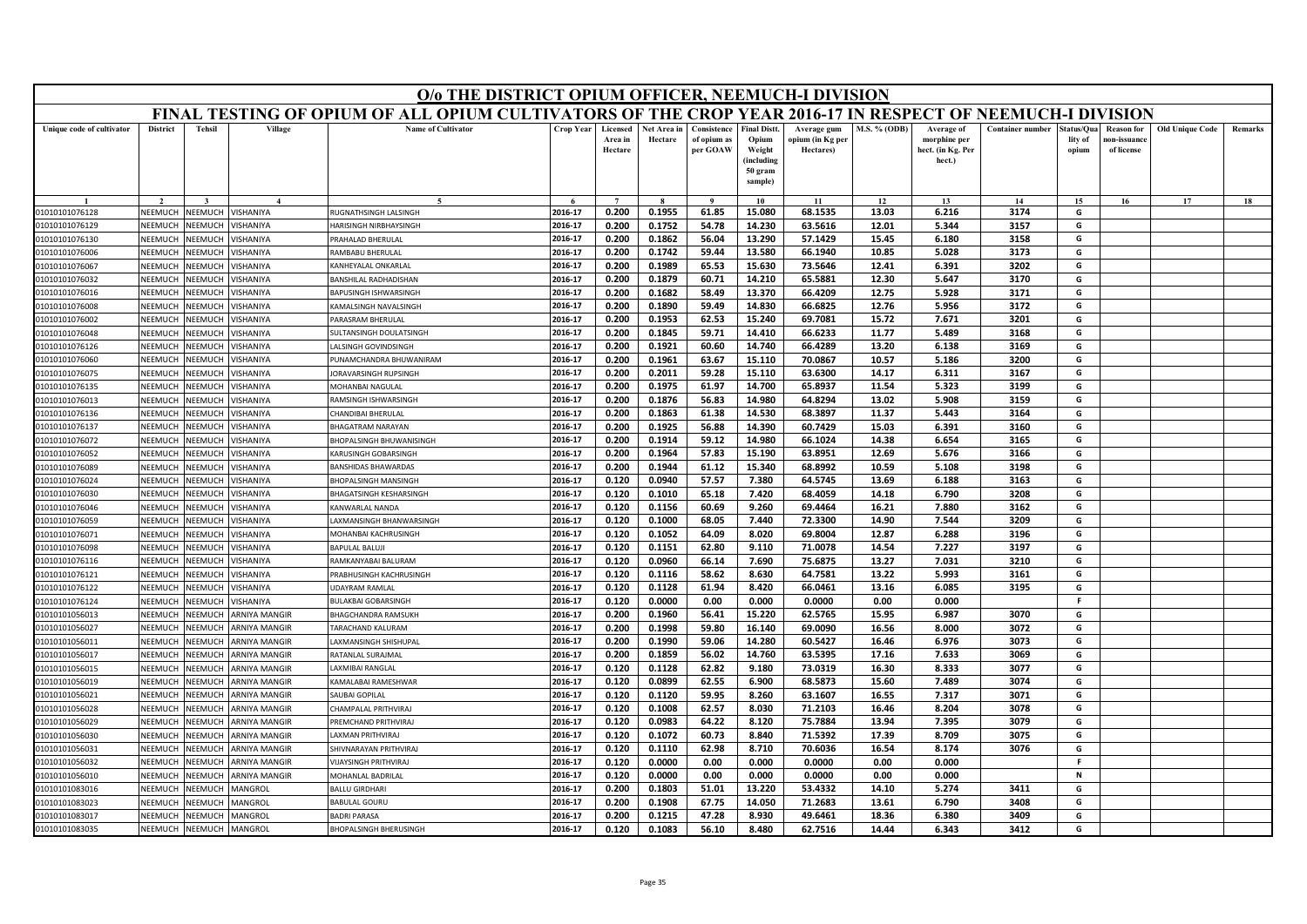|                           | O/o THE DISTRICT OPIUM OFFICER, NEEMUCH-I DIVISION<br>FINAL TESTING OF OPIUM OF ALL OPIUM CULTIVATORS OF THE CROP YEAR 2016-17 IN RESPECT OF NEEMUCH-I DIVISION                                                                                                                                                                               |                       |                      |                                 |           |                                |                        |                                        |                                                                           |                                              |              |                                                           |                         |                               |                                                |                        |                |
|---------------------------|-----------------------------------------------------------------------------------------------------------------------------------------------------------------------------------------------------------------------------------------------------------------------------------------------------------------------------------------------|-----------------------|----------------------|---------------------------------|-----------|--------------------------------|------------------------|----------------------------------------|---------------------------------------------------------------------------|----------------------------------------------|--------------|-----------------------------------------------------------|-------------------------|-------------------------------|------------------------------------------------|------------------------|----------------|
|                           |                                                                                                                                                                                                                                                                                                                                               |                       |                      |                                 |           |                                |                        |                                        |                                                                           |                                              |              |                                                           |                         |                               |                                                |                        |                |
| Unique code of cultivator | <b>District</b>                                                                                                                                                                                                                                                                                                                               | <b>Tehsil</b>         | Village              | <b>Name of Cultivator</b>       | Crop Year | Licensed<br>Area in<br>Hectare | Net Area in<br>Hectare | Consistence<br>of opium as<br>per GOAW | <b>Final Distt</b><br>Opium<br>Weight<br>(including<br>50 gram<br>sample) | Average gum<br>opium (in Kg per<br>Hectares) | M.S. % (ODB) | Average of<br>morphine per<br>hect. (in Kg. Per<br>hect.) | <b>Container number</b> | tatus/Qua<br>lity of<br>opium | <b>Reason</b> for<br>10n-issuanc<br>of license | <b>Old Unique Code</b> | <b>Remarks</b> |
|                           |                                                                                                                                                                                                                                                                                                                                               |                       |                      |                                 |           |                                |                        |                                        | 10                                                                        | 11                                           | 12           | 13                                                        | 14                      | 15                            | 16                                             | 17                     | 18             |
| 01010101076128            | 2016-17<br>0.200<br>0.1955<br>61.85<br>15.080<br>68.1535<br>13.03<br>6.216<br>3174<br>G<br>NEEMUCH<br><b>/ISHANIYA</b><br>RUGNATHSINGH LALSINGH<br><b>NEEMUCH</b><br>2016-17<br>0.200<br>0.1752<br>54.78<br>14.230<br>63.5616<br>12.01<br>5.344<br>3157<br>G<br>NEEMUCH<br><b>JEEMUCH</b><br><b>ISHANIYA</b><br><b>IARISINGH NIRBHAYSINGH</b> |                       |                      |                                 |           |                                |                        |                                        |                                                                           |                                              |              |                                                           |                         |                               |                                                |                        |                |
| 01010101076129            | G<br>NEEMUCH<br><b>NEEMUCH</b><br>2016-17<br>0.200<br>0.1862<br>56.04<br>13.290<br>57.1429<br>15.45<br>6.180<br>3158<br><b>ISHANIYA</b><br>RAHALAD BHERULAL                                                                                                                                                                                   |                       |                      |                                 |           |                                |                        |                                        |                                                                           |                                              |              |                                                           |                         |                               |                                                |                        |                |
| 01010101076130            |                                                                                                                                                                                                                                                                                                                                               |                       |                      |                                 |           |                                |                        |                                        |                                                                           |                                              |              |                                                           |                         |                               |                                                |                        |                |
| 01010101076006            | <b>NEEMUCH</b><br>RAMBABU BHERULAL<br>2016-17<br>0.200<br>0.1742<br>59.44<br>13.580<br>66.1940<br>10.85<br>5.028<br>3173<br>G<br><b>NEEMUCH</b><br><b>ISHANIYA</b>                                                                                                                                                                            |                       |                      |                                 |           |                                |                        |                                        |                                                                           |                                              |              |                                                           |                         |                               |                                                |                        |                |
| 01010101076067            | 2016-17<br>0.1989<br>65.53<br>15.630<br>73.5646<br>12.41<br>3202<br>G<br>0.200<br>6.391<br>NEEMUCH<br><b>JEEMUCH</b><br><b>ISHANIYA</b><br>(ANHEYALAL ONKARLAL                                                                                                                                                                                |                       |                      |                                 |           |                                |                        |                                        |                                                                           |                                              |              |                                                           |                         |                               |                                                |                        |                |
| 01010101076032            | 65.5881<br>12.30<br>3170<br>2016-17<br>0.200<br>0.1879<br>60.71<br>14.210<br>5.647<br>G<br>NEEMUCH<br><b>JEEMUCH</b><br><b>ISHANIYA</b><br><b>BANSHILAL RADHADISHAN</b>                                                                                                                                                                       |                       |                      |                                 |           |                                |                        |                                        |                                                                           |                                              |              |                                                           |                         |                               |                                                |                        |                |
| 01010101076016            | NFFMUCH                                                                                                                                                                                                                                                                                                                                       | <b>JEEMUCH</b>        | <b>ISHANIYA</b>      | BAPUSINGH ISHWARSINGH           | 2016-17   | 0.200                          | 0.1682                 | 58.49                                  | 13.370                                                                    | 66.4209                                      | 12.75        | 5.928                                                     | 3171                    | G                             |                                                |                        |                |
| 01010101076008            | NEEMUCH                                                                                                                                                                                                                                                                                                                                       | <b>JEEMUCH</b>        | <b>ISHANIYA</b>      | <b>AMALSINGH NAVALSINGH</b>     | 2016-17   | 0.200                          | 0.1890                 | 59.49                                  | 14.830                                                                    | 66.6825                                      | 12.76        | 5.956                                                     | 3172                    | G                             |                                                |                        |                |
| 01010101076002            | NEEMUCI                                                                                                                                                                                                                                                                                                                                       | <b>JEEMUC</b>         | <b>ISHANIYA</b>      | ARASRAM BHERULAL                | 2016-17   | 0.200                          | 0.1953                 | 62.53                                  | 15.240                                                                    | 69.7081                                      | 15.72        | 7.671                                                     | 3201                    | G                             |                                                |                        |                |
| 01010101076048            | NEEMUCH                                                                                                                                                                                                                                                                                                                                       | <b>NEEMUCH</b>        | <b>ISHANIYA</b>      | SULTANSINGH DOULATSINGH         | 2016-17   | 0.200                          | 0.1845                 | 59.71                                  | 14.410                                                                    | 66.6233                                      | 11.77        | 5.489                                                     | 3168                    | G                             |                                                |                        |                |
| 01010101076126            | NEEMUCI                                                                                                                                                                                                                                                                                                                                       | <b>IEEMUCH</b>        | <b>ISHANIYA</b>      | ALSINGH GOVINDSINGH             | 2016-17   | 0.200                          | 0.1921                 | 60.60                                  | 14.740                                                                    | 66.4289                                      | 13.20        | 6.138                                                     | 3169                    | G                             |                                                |                        |                |
| 01010101076060            | NEEMUCH                                                                                                                                                                                                                                                                                                                                       | <b>JEEMUCI</b>        | <b>ISHANIYA</b>      | UNAMCHANDRA BHUWANIRAM          | 2016-17   | 0.200                          | 0.1961                 | 63.67                                  | 15.110                                                                    | 70.0867                                      | 10.57        | 5.186                                                     | 3200                    | G                             |                                                |                        |                |
| 01010101076075            | <b>NEEMUCH</b>                                                                                                                                                                                                                                                                                                                                | VEEMUCH               | <b>ISHANIYA</b>      | ORAVARSINGH RUPSINGH            | 2016-17   | 0.200                          | 0.2011                 | 59.28                                  | 15.110                                                                    | 63.6300                                      | 14.17        | 6.311                                                     | 3167                    | G                             |                                                |                        |                |
| 01010101076135            | NEEMUCH                                                                                                                                                                                                                                                                                                                                       | <b>JEEMUCH</b>        | <b>ISHANIYA</b>      | MOHANBAI NAGULAL                | 2016-17   | 0.200                          | 0.1975                 | 61.97                                  | 14.700                                                                    | 65.8937                                      | 11.54        | 5.323                                                     | 3199                    | G                             |                                                |                        |                |
| 01010101076013            | NEEMUCH                                                                                                                                                                                                                                                                                                                                       | <b>JEEMUCI</b>        | <b>ISHANIYA</b>      | RAMSINGH ISHWARSINGH            | 2016-17   | 0.200                          | 0.1876                 | 56.83                                  | 14.980                                                                    | 64.8294                                      | 13.02        | 5.908                                                     | 3159                    | G                             |                                                |                        |                |
| 01010101076136            | NEEMUCH                                                                                                                                                                                                                                                                                                                                       | <b>JEEMUCI</b>        | <b>ISHANIYA</b>      | HANDIBAI BHERULAI               | 2016-17   | 0.200                          | 0.1863                 | 61.38                                  | 14.530                                                                    | 68.3897                                      | 11.37        | 5.443                                                     | 3164                    | G                             |                                                |                        |                |
| 01010101076137            | NFFMUCH                                                                                                                                                                                                                                                                                                                                       | <b>JEEMUCH</b>        | <b>ISHANIYA</b>      | BHAGATRAM NARAYAN               | 2016-17   | 0.200                          | 0.1925                 | 56.88                                  | 14.390                                                                    | 60.7429                                      | 15.03        | 6.391                                                     | 3160                    | G                             |                                                |                        |                |
| 01010101076072            | NEEMUCH                                                                                                                                                                                                                                                                                                                                       | VEEMUCI               | <b>ISHANIYA</b>      | <b>BHOPALSINGH BHUWANISINGH</b> | 2016-17   | 0.200                          | 0.1914                 | 59.12                                  | 14.980                                                                    | 66.1024                                      | 14.38        | 6.654                                                     | 3165                    | G                             |                                                |                        |                |
| 01010101076052            | NEEMUCH                                                                                                                                                                                                                                                                                                                                       | <b>JEEMUCH</b>        | <b>ISHANIYA</b>      | <b>CARUSINGH GOBARSINGH</b>     | 2016-17   | 0.200                          | 0.1964                 | 57.83                                  | 15.190                                                                    | 63.8951                                      | 12.69        | 5.676                                                     | 3166                    | G                             |                                                |                        |                |
| 01010101076089            | NEEMUCH                                                                                                                                                                                                                                                                                                                                       | <b>NEEMUCH</b>        | <b>ISHANIYA</b>      | <b>BANSHIDAS BHAWARDAS</b>      | 2016-17   | 0.200                          | 0.1944                 | 61.12                                  | 15.340                                                                    | 68.8992                                      | 10.59        | 5.108                                                     | 3198                    | G                             |                                                |                        |                |
| 01010101076024            | NEEMUCH                                                                                                                                                                                                                                                                                                                                       | <b>JEEMUCI</b>        | <b>ISHANIYA</b>      | <b>BHOPALSINGH MANSINGH</b>     | 2016-17   | 0.120                          | 0.0940                 | 57.57                                  | 7.380                                                                     | 64.5745                                      | 13.69        | 6.188                                                     | 3163                    | G                             |                                                |                        |                |
| 01010101076030            | NEEMUCH                                                                                                                                                                                                                                                                                                                                       | <b>JEEMUCH</b>        | <b>ISHANIYA</b>      | <b>HAGATSINGH KESHARSINGH</b>   | 2016-17   | 0.120                          | 0.1010                 | 65.18                                  | 7.420                                                                     | 68.4059                                      | 14.18        | 6.790                                                     | 3208                    | G                             |                                                |                        |                |
| 01010101076046            | NEEMUCH                                                                                                                                                                                                                                                                                                                                       | <b>JEEMUCH</b>        | <b>ISHANIYA</b>      | <b>CANWARLAL NANDA</b>          | 2016-17   | 0.120                          | 0.1156                 | 60.69                                  | 9.260                                                                     | 69.4464                                      | 16.21        | 7.880                                                     | 3162                    | G                             |                                                |                        |                |
| 01010101076059            | NEEMUCH                                                                                                                                                                                                                                                                                                                                       | <b>JEEMUCI</b>        | <b>ISHANIYA</b>      | AXMANSINGH BHANWARSINGH         | 2016-17   | 0.120                          | 0.1000                 | 68.05                                  | 7.440                                                                     | 72.3300                                      | 14.90        | 7.544                                                     | 3209                    | G                             |                                                |                        |                |
| 01010101076071            | NEEMUCH                                                                                                                                                                                                                                                                                                                                       | <b>JEEMUCH</b>        | <b>ISHANIYA</b>      | MOHANBAI KACHRUSINGH            | 2016-17   | 0.120                          | 0.1052                 | 64.09                                  | 8.020                                                                     | 69.8004                                      | 12.87        | 6.288                                                     | 3196                    | G                             |                                                |                        |                |
| 01010101076098            | NEEMUCH                                                                                                                                                                                                                                                                                                                                       | <b>JEEMUCH</b>        | <b>ISHANIYA</b>      | RAPHIAI RAILII                  | 2016-17   | 0.120                          | 0.1151                 | 62.80                                  | 9.110                                                                     | 71.0078                                      | 14.54        | 7.227                                                     | 3197                    | G                             |                                                |                        |                |
| 01010101076116            | NEEMUCI                                                                                                                                                                                                                                                                                                                                       | VEEMUCI               | <b>ISHANIYA</b>      | RAMKANYABAI BALURAM             | 2016-17   | 0.120                          | 0.0960                 | 66.14                                  | 7.690                                                                     | 75.6875                                      | 13.27        | 7.031                                                     | 3210                    | G                             |                                                |                        |                |
| 01010101076121            | NEEMUCH                                                                                                                                                                                                                                                                                                                                       | <b>JEEMUCH</b>        | <b>ISHANIYA</b>      | <b>PRABHUSINGH KACHRUSINGH</b>  | 2016-17   | 0.120                          | 0.1116                 | 58.62                                  | 8.630                                                                     | 64.7581                                      | 13.22        | 5.993                                                     | 3161                    | G                             |                                                |                        |                |
| 01010101076122            | NEEMUCH                                                                                                                                                                                                                                                                                                                                       | <b>JEEMUCH</b>        | <b>ISHANIYA</b>      | <b>JDAYRAM RAMLAL</b>           | 2016-17   | 0.120                          | 0.1128                 | 61.94                                  | 8.420                                                                     | 66.0461                                      | 13.16        | 6.085                                                     | 3195                    | G                             |                                                |                        |                |
| 01010101076124            | NEEMUCI                                                                                                                                                                                                                                                                                                                                       | VEEMUCI               | <b>ISHANIYA</b>      | <b>BULAKBAI GOBARSINGH</b>      | 2016-17   | 0.120                          | 0.0000                 | 0.00                                   | 0.000                                                                     | 0.0000                                       | 0.00         | 0.000                                                     |                         | F                             |                                                |                        |                |
| 01010101056013            | NEEMUCH                                                                                                                                                                                                                                                                                                                                       | <b>NEEMUCH</b>        | ARNIYA MANGIR        | <b>HAGCHANDRA RAMSUKH</b>       | 2016-17   | 0.200                          | 0.1960                 | 56.41                                  | 15.220                                                                    | 62.5765                                      | 15.95        | 6.987                                                     | 3070                    | G                             |                                                |                        |                |
| 01010101056027            | NEEMUCH                                                                                                                                                                                                                                                                                                                                       | <b>JEEMUCH</b>        | <b>ARNIYA MANGIR</b> | <b>ARACHAND KALURAM</b>         | 2016-17   | 0.200                          | 0.1998                 | 59.80                                  | 16.140                                                                    | 69.0090                                      | 16.56        | 8.000                                                     | 3072                    | G                             |                                                |                        |                |
| 01010101056011            | <b>NEEMUCH</b>                                                                                                                                                                                                                                                                                                                                | VEEMUCH               | ARNIYA MANGIR        | AXMANSINGH SHISHUPAL            | 2016-17   | 0.200                          | 0.1990                 | 59.06                                  | 14.280                                                                    | 60.5427                                      | 16.46        | 6.976                                                     | 3073                    | G                             |                                                |                        |                |
| 01010101056017            | NEEMUCH                                                                                                                                                                                                                                                                                                                                       | <b>NEEMUCH</b>        | <b>ARNIYA MANGIR</b> | <b>RATANLAL SURAJMAL</b>        | 2016-17   | 0.200                          | 0.1859                 | 56.02                                  | 14.760                                                                    | 63.5395                                      | 17.16        | 7.633                                                     | 3069                    | G                             |                                                |                        |                |
| 01010101056015            | NEEMUCI                                                                                                                                                                                                                                                                                                                                       | <b>JEEMUCH</b>        | <b>ARNIYA MANGIR</b> | AXMIBAI RANGLAI                 | 2016-17   | 0.120                          | 0.1128                 | 62.82                                  | 9.180                                                                     | 73.0319                                      | 16.30        | 8.333                                                     | 3077                    | G                             |                                                |                        |                |
| 01010101056019            | NEEMUCH                                                                                                                                                                                                                                                                                                                                       | <b>JEEMUCH</b>        | <b>ARNIYA MANGIR</b> | KAMALABAI RAMESHWAR             | 2016-17   | 0.120                          | 0.0899                 | 62.55                                  | 6.900                                                                     | 68.5873                                      | 15.60        | 7.489                                                     | 3074                    | G                             |                                                |                        |                |
| 01010101056021            | NEEMUCH                                                                                                                                                                                                                                                                                                                                       | <b>JEEMUCH</b>        | <b>ARNIYA MANGIR</b> | <b>SAUBAI GOPILAL</b>           | 2016-17   | 0.120                          | 0.1120                 | 59.95                                  | 8.260                                                                     | 63.1607                                      | 16.55        | 7.317                                                     | 3071                    | G                             |                                                |                        |                |
| 01010101056028            | <b>NEEMUCH</b>                                                                                                                                                                                                                                                                                                                                | <b>JEEMUCH</b>        | <b>ARNIYA MANGIR</b> | HAMPALAL PRITHVIRAJ             | 2016-17   | 0.120                          | 0.1008                 | 62.57                                  | 8.030                                                                     | 71.2103                                      | 16.46        | 8.204                                                     | 3078                    | G                             |                                                |                        |                |
| 01010101056029            | NEEMUCH                                                                                                                                                                                                                                                                                                                                       | VEEMUCH               | <b>ARNIYA MANGIR</b> | <b>REMCHAND PRITHVIRAL</b>      | 2016-17   | 0.120                          | 0.0983                 | 64.22                                  | 8.120                                                                     | 75.7884                                      | 13.94        | 7.395                                                     | 3079                    | G                             |                                                |                        |                |
| 01010101056030            | NEEMUCH                                                                                                                                                                                                                                                                                                                                       | VEEMUCH               | <b>ARNIYA MANGIR</b> | AXMAN PRITHVIRAJ                | 2016-17   | 0.120                          | 0.1072                 | 60.73                                  | 8.840                                                                     | 71.5392                                      | 17.39        | 8.709                                                     | 3075                    | G                             |                                                |                        |                |
| 01010101056031            | VEEMUCI                                                                                                                                                                                                                                                                                                                                       | <b><i>IEEMUCH</i></b> | <b>RNIYA MANGIR</b>  | HIVNARAYAN PRITHVIRAJ           | 2016-17   | 0.120                          | 0.1110                 | 62.98                                  | 8.710                                                                     | 70.6036                                      | 16.54        | 8.174                                                     | 3076                    | G                             |                                                |                        |                |
| 01010101056032            | <b>NFFMUCH</b>                                                                                                                                                                                                                                                                                                                                | <b>JEEMUCH</b>        | <b>ARNIYA MANGIR</b> | /IJAYSINGH PRITHVIRAJ           | 2016-17   | 0.120                          | 0.0000                 | 0.00                                   | 0.000                                                                     | 0.0000                                       | 0.00         | 0.000                                                     |                         | -F                            |                                                |                        |                |
| 01010101056010            | NEEMUCH                                                                                                                                                                                                                                                                                                                                       | <b>NEEMUCH</b>        | <b>ARNIYA MANGIR</b> | MOHANLAL BADRILAL               | 2016-17   | 0.120                          | 0.0000                 | 0.00                                   | 0.000                                                                     | 0.0000                                       | 0.00         | 0.000                                                     |                         | $\mathsf{N}$                  |                                                |                        |                |
| 01010101083016            | NEEMUCI                                                                                                                                                                                                                                                                                                                                       | <b>JEEMUCI</b>        | <b>AANGROL</b>       | <b>ALLU GIRDHARI</b>            | 2016-17   | 0.200                          | 0.1803                 | 51.01                                  | 13.220                                                                    | 53.4332                                      | 14.10        | 5.274                                                     | 3411                    | G                             |                                                |                        |                |
| 01010101083023            | NEEMUCH                                                                                                                                                                                                                                                                                                                                       | <b>JEEMUCI</b>        | <b>AANGROL</b>       | <b>BABULAL GOURU</b>            | 2016-17   | 0.200                          | 0.1908                 | 67.75                                  | 14.050                                                                    | 71.2683                                      | 13.61        | 6.790                                                     | 3408                    | G                             |                                                |                        |                |
| 01010101083017            | NEEMUCH                                                                                                                                                                                                                                                                                                                                       | VEEMUCH               | <b>AANGROL</b>       | <b>BADRI PARASA</b>             | 2016-17   | 0.200                          | 0.1215                 | 47.28                                  | 8.930                                                                     | 49.6461                                      | 18.36        | 6.380                                                     | 3409                    | G                             |                                                |                        |                |
| 01010101083035            | NEEMUCH                                                                                                                                                                                                                                                                                                                                       | NEEMUCH               | MANGROL              | <b>BHOPALSINGH BHERUSINGH</b>   | 2016-17   | 0.120                          | 0.1083                 | 56.10                                  | 8.480                                                                     | 62.7516                                      | 14.44        | 6.343                                                     | 3412                    | G                             |                                                |                        |                |
|                           |                                                                                                                                                                                                                                                                                                                                               |                       |                      |                                 |           |                                |                        |                                        |                                                                           |                                              |              |                                                           |                         |                               |                                                |                        |                |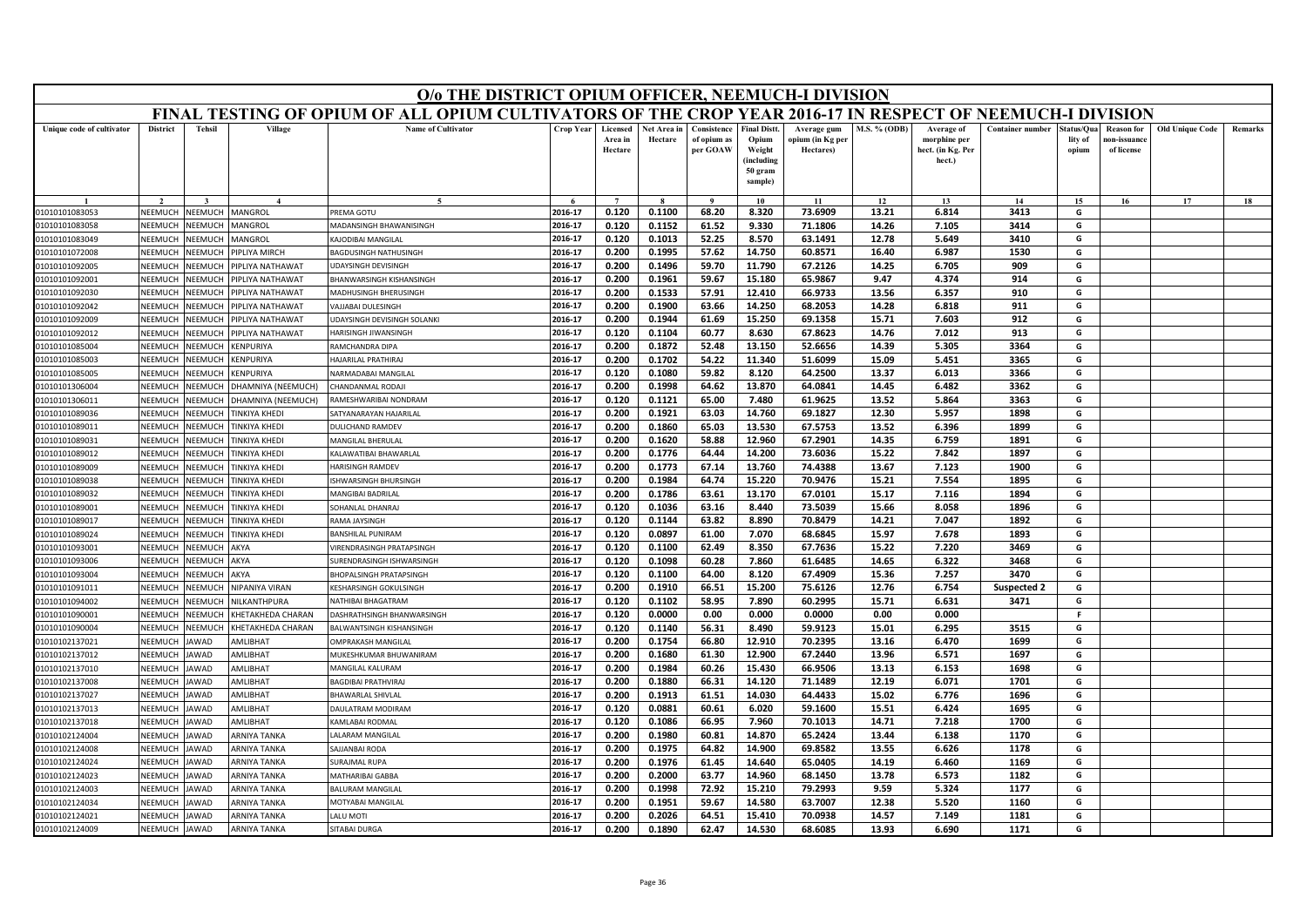|                                                                                                                                                                                     | O/o THE DISTRICT OPIUM OFFICER, NEEMUCH-I DIVISION<br>FINAL TESTING OF OPIUM OF ALL OPIUM CULTIVATORS OF THE CROP YEAR 2016-17 IN RESPECT OF NEEMUCH-I DIVISION                                                                                                                                                  |                |                          |                                   |                    |                                |                        |                                        |                                                                           |                                              |                |                                                           |                         |                                |                                                |                        |         |
|-------------------------------------------------------------------------------------------------------------------------------------------------------------------------------------|------------------------------------------------------------------------------------------------------------------------------------------------------------------------------------------------------------------------------------------------------------------------------------------------------------------|----------------|--------------------------|-----------------------------------|--------------------|--------------------------------|------------------------|----------------------------------------|---------------------------------------------------------------------------|----------------------------------------------|----------------|-----------------------------------------------------------|-------------------------|--------------------------------|------------------------------------------------|------------------------|---------|
|                                                                                                                                                                                     |                                                                                                                                                                                                                                                                                                                  |                |                          |                                   |                    |                                |                        |                                        |                                                                           |                                              |                |                                                           |                         |                                |                                                |                        |         |
| Unique code of cultivator                                                                                                                                                           | <b>District</b>                                                                                                                                                                                                                                                                                                  | <b>Tehsil</b>  | Village                  | <b>Name of Cultivator</b>         | <b>Crop Year</b>   | Licensed<br>Area in<br>Hectare | Net Area in<br>Hectare | Consistence<br>of opium as<br>per GOAW | <b>Final Distt</b><br>Opium<br>Weight<br>(including<br>50 gram<br>sample) | Average gum<br>opium (in Kg per<br>Hectares) | M.S. % (ODB)   | Average of<br>morphine per<br>hect. (in Kg. Per<br>hect.) | <b>Container number</b> | štatus/Oua<br>lity of<br>opium | <b>Reason for</b><br>ıon-issuanc<br>of license | <b>Old Unique Code</b> | Remarks |
|                                                                                                                                                                                     |                                                                                                                                                                                                                                                                                                                  |                |                          | $\epsilon$                        |                    | $\overline{7}$                 |                        |                                        | 10                                                                        | 11                                           | 12             | 13                                                        | 14                      | 15                             | 16                                             | 17                     | 18      |
| 01010101083053                                                                                                                                                                      | 0.120<br>0.1100<br>73.6909<br>MANGROL<br>PREMA GOTU<br>2016-17<br>68.20<br>8.320<br>13.21<br>6.814<br>3413<br>G<br>NEEMUCH<br>NEEMUCH<br><b>NEEMUCH</b><br>2016-17<br>0.120<br>0.1152<br>61.52<br>9.330<br>71.1806<br>14.26<br>7.105<br>3414<br>G<br>NEEMUCH<br><b>AANGROL</b><br><b>MADANSINGH BHAWANISINGH</b> |                |                          |                                   |                    |                                |                        |                                        |                                                                           |                                              |                |                                                           |                         |                                |                                                |                        |         |
| 01010101083058                                                                                                                                                                      | 2016-17<br>52.25<br>8.570<br>63.1491<br>5.649<br>3410<br>G<br>NFFMUCH<br><b>JEEMUCH</b><br><b>ANGROL</b><br>AJODIBAI MANGILAL<br>0.120<br>0.1013<br>12.78                                                                                                                                                        |                |                          |                                   |                    |                                |                        |                                        |                                                                           |                                              |                |                                                           |                         |                                |                                                |                        |         |
| 01010101083049                                                                                                                                                                      |                                                                                                                                                                                                                                                                                                                  |                |                          |                                   |                    |                                |                        |                                        |                                                                           |                                              |                |                                                           |                         |                                |                                                |                        |         |
| 01010101072008                                                                                                                                                                      | 0.200<br>0.1995<br>57.62<br>14.750<br>60.8571<br>6.987<br>1530<br>G<br>2016-17<br>16.40<br>NEEMUCI<br><b>NEEMUCH</b><br><b>PIPLIYA MIRCH</b><br>BAGDUSINGH NATHUSINGH                                                                                                                                            |                |                          |                                   |                    |                                |                        |                                        |                                                                           |                                              |                |                                                           |                         |                                |                                                |                        |         |
| 01010101092005                                                                                                                                                                      | 2016-17<br>59.70<br>11.790<br>67.2126<br>909<br>G<br>NEEMUCH<br><b>JEEMUCH</b><br>JDAYSINGH DEVISINGH<br>0.200<br>0.1496<br>14.25<br>6.705<br><b>IPLIYA NATHAWAT</b>                                                                                                                                             |                |                          |                                   |                    |                                |                        |                                        |                                                                           |                                              |                |                                                           |                         |                                |                                                |                        |         |
| 01010101092001                                                                                                                                                                      | 2016-17<br>0.200<br>0.1961<br>59.67<br>15.180<br>65.9867<br>9.47<br>4.374<br>914<br>G<br>NEEMUCH<br><b>JEEMUCH</b><br><b>PIPLIYA NATHAWAT</b><br><b>BHANWARSINGH KISHANSINGH</b><br>G                                                                                                                            |                |                          |                                   |                    |                                |                        |                                        |                                                                           |                                              |                |                                                           |                         |                                |                                                |                        |         |
| 2016-17<br>0.200<br>0.1533<br>57.91<br>12.410<br>66.9733<br>13.56<br>6.357<br>910<br>NEEMUC<br><b>NEEMUCH</b><br>01010101092030<br><b>PIPLIYA NATHAWAT</b><br>MADHUSINGH BHERUSINGH |                                                                                                                                                                                                                                                                                                                  |                |                          |                                   |                    |                                |                        |                                        |                                                                           |                                              |                |                                                           |                         |                                |                                                |                        |         |
| 01010101092042                                                                                                                                                                      | NEEMUCH                                                                                                                                                                                                                                                                                                          | <b>JEEMUCH</b> | <b>IPLIYA NATHAWAT</b>   | AJJABAI DULESINGH                 | 2016-17            | 0.200                          | 0.1900                 | 63.66                                  | 14.250                                                                    | 68.2053                                      | 14.28          | 6.818                                                     | 911                     | G                              |                                                |                        |         |
| 01010101092009                                                                                                                                                                      | NEEMUCH                                                                                                                                                                                                                                                                                                          | <b>JEEMUCH</b> | <b>IPLIYA NATHAWAT</b>   | JDAYSINGH DEVISINGH SOLANKI       | 2016-17            | 0.200                          | 0.1944                 | 61.69                                  | 15.250                                                                    | 69.1358                                      | 15.71          | 7.603                                                     | 912                     | G                              |                                                |                        |         |
| 01010101092012                                                                                                                                                                      | <b>NFFMUCH</b>                                                                                                                                                                                                                                                                                                   | VEEMUCH        | PIPLIYA NATHAWAT         | HARISINGH JIWANSINGH              | 2016-17            | 0.120                          | 0.1104                 | 60.77                                  | 8.630                                                                     | 67.8623                                      | 14.76          | 7.012                                                     | 913                     | G                              |                                                |                        |         |
| 01010101085004                                                                                                                                                                      | NEEMUCH                                                                                                                                                                                                                                                                                                          | <b>JEEMUCH</b> | <b>CENPURIYA</b>         | <b>AMCHANDRA DIPA</b>             | 2016-17            | 0.200                          | 0.1872                 | 52.48                                  | 13.150                                                                    | 52.6656                                      | 14.39          | 5.305                                                     | 3364                    | G                              |                                                |                        |         |
| 01010101085003                                                                                                                                                                      | NEEMUCH                                                                                                                                                                                                                                                                                                          | <b>JEEMUCH</b> | <b>ENPURIYA</b>          | <b>AJARILAL PRATHIRAJ</b>         | 2016-17            | 0.200                          | 0.1702                 | 54.22                                  | 11.340                                                                    | 51.6099                                      | 15.09          | 5.451                                                     | 3365                    | G                              |                                                |                        |         |
| 01010101085005                                                                                                                                                                      | NFFMUCH                                                                                                                                                                                                                                                                                                          | <b>JEEMUCH</b> | <b>CENPURIYA</b>         | NARMADARAI MANGILAI               | 2016-17            | 0.120                          | 0.1080                 | 59.82                                  | 8.120                                                                     | 64.2500                                      | 13.37          | 6.013                                                     | 3366                    | G                              |                                                |                        |         |
| 01010101306004                                                                                                                                                                      | NEEMUCI                                                                                                                                                                                                                                                                                                          | <b>JEEMUCH</b> | HAMNIYA (NEEMUCH)        | HANDANMAL RODAJI                  | 2016-17            | 0.200                          | 0.1998                 | 64.62                                  | 13.870                                                                    | 64.0841                                      | 14.45          | 6.482                                                     | 3362                    | G                              |                                                |                        |         |
| 01010101306011                                                                                                                                                                      | NEEMUCH                                                                                                                                                                                                                                                                                                          | <b>JEEMUCH</b> | HAMNIYA (NEEMUCH)        | AMESHWARIBAI NONDRAM              | 2016-17            | 0.120                          | 0.1121                 | 65.00                                  | 7.480                                                                     | 61.9625                                      | 13.52          | 5.864                                                     | 3363                    | G                              |                                                |                        |         |
| 01010101089036                                                                                                                                                                      | NEEMUCI                                                                                                                                                                                                                                                                                                          | VEEMUCH        | <b>TINKIYA KHEDI</b>     | <b>ATYANARAYAN HAJARILAL</b>      | 2016-17            | 0.200                          | 0.1921                 | 63.03                                  | 14.760                                                                    | 69.1827                                      | 12.30          | 5.957                                                     | 1898                    | G                              |                                                |                        |         |
| 01010101089011                                                                                                                                                                      | NFFMUCI                                                                                                                                                                                                                                                                                                          | <b>JEEMUCH</b> | <b>TINKIYA KHEDI</b>     | <b>QULICHAND RAMDEV</b>           | 2016-17            | 0.200                          | 0.1860                 | 65.03                                  | 13.530                                                                    | 67.5753                                      | 13.52          | 6.396                                                     | 1899                    | G                              |                                                |                        |         |
| 01010101089031                                                                                                                                                                      | NEEMUCH                                                                                                                                                                                                                                                                                                          | <b>JEEMUCI</b> | <b>INKIYA KHEDI</b>      | MANGILAL BHERULAL                 | 2016-17            | 0.200                          | 0.1620                 | 58.88                                  | 12.960                                                                    | 67.2901                                      | 14.35          | 6.759                                                     | 1891                    | G                              |                                                |                        |         |
| 01010101089012                                                                                                                                                                      | NFFMUCH                                                                                                                                                                                                                                                                                                          | <b>JEEMUCH</b> | <b>TINKIYA KHEDI</b>     | <b>CALAWATIBAI BHAWARLAL</b>      | 2016-17            | 0.200                          | 0.1776                 | 64.44                                  | 14.200                                                                    | 73.6036                                      | 15.22          | 7.842                                                     | 1897                    | G                              |                                                |                        |         |
| 01010101089009                                                                                                                                                                      | NEEMUCH                                                                                                                                                                                                                                                                                                          | <b>JEEMUCH</b> | <b>TINKIYA KHEDI</b>     | <b>HARISINGH RAMDEV</b>           | 2016-17            | 0.200                          | 0.1773                 | 67.14                                  | 13.760                                                                    | 74.4388                                      | 13.67          | 7.123                                                     | 1900                    | G                              |                                                |                        |         |
| 01010101089038                                                                                                                                                                      | NEEMUCH                                                                                                                                                                                                                                                                                                          | <b>JEEMUCH</b> | <b>INKIYA KHEDI</b>      | SHWARSINGH BHURSINGH              | 2016-17            | 0.200                          | 0.1984                 | 64.74                                  | 15.220                                                                    | 70.9476                                      | 15.21          | 7.554                                                     | 1895                    | G                              |                                                |                        |         |
| 01010101089032                                                                                                                                                                      | NEEMUCH                                                                                                                                                                                                                                                                                                          | <b>JEEMUCH</b> | <b>TINKIYA KHEDI</b>     | <b>MANGIBAI BADRILAL</b>          | 2016-17            | 0.200                          | 0.1786                 | 63.61                                  | 13.170                                                                    | 67.0101                                      | 15.17          | 7.116                                                     | 1894                    | G                              |                                                |                        |         |
| 01010101089001                                                                                                                                                                      | NFFMUCI                                                                                                                                                                                                                                                                                                          | <b>JEEMUCH</b> | <b>TINKIYA KHEDI</b>     | OHANLAL DHANRAJ                   | 2016-17            | 0.120                          | 0.1036                 | 63.16                                  | 8.440                                                                     | 73.5039                                      | 15.66          | 8.058                                                     | 1896                    | G                              |                                                |                        |         |
| 01010101089017                                                                                                                                                                      | NEEMUCH                                                                                                                                                                                                                                                                                                          | <b>JEEMUCH</b> | <b>INKIYA KHEDI</b>      | RAMA JAYSINGH                     | 2016-17            | 0.120                          | 0.1144                 | 63.82                                  | 8.890                                                                     | 70.8479                                      | 14.21          | 7.047                                                     | 1892                    | G                              |                                                |                        |         |
| 01010101089024                                                                                                                                                                      | NEEMUCH                                                                                                                                                                                                                                                                                                          | <b>JEEMUCH</b> | <b>TINKIYA KHEDI</b>     | BANSHILAL PUNIRAM                 | 2016-17            | 0.120                          | 0.0897                 | 61.00                                  | 7.070                                                                     | 68.6845                                      | 15.97          | 7.678                                                     | 1893                    | G                              |                                                |                        |         |
| 01010101093001                                                                                                                                                                      | NEEMUCH                                                                                                                                                                                                                                                                                                          | <b>JEEMUCH</b> | <b>AKYA</b>              | <b>/IRENDRASINGH PRATAPSINGH</b>  | 2016-17            | 0.120                          | 0.1100                 | 62.49                                  | 8.350                                                                     | 67.7636                                      | 15.22          | 7.220                                                     | 3469                    | G                              |                                                |                        |         |
| 01010101093006                                                                                                                                                                      | NEEMUCI                                                                                                                                                                                                                                                                                                          | <b>JEEMUCH</b> | АКҮА                     | URENDRASINGH ISHWARSINGH          | 2016-17            | 0.120                          | 0.1098                 | 60.28                                  | 7.860                                                                     | 61.6485                                      | 14.65          | 6.322                                                     | 3468                    | G                              |                                                |                        |         |
| 01010101093004                                                                                                                                                                      | NEEMUCH                                                                                                                                                                                                                                                                                                          | <b>JEEMUCH</b> | АКҮА                     | <b>BHOPALSINGH PRATAPSINGH</b>    | 2016-17            | 0.120                          | 0.1100                 | 64.00                                  | 8.120                                                                     | 67.4909                                      | 15.36          | 7.257                                                     | 3470                    | G                              |                                                |                        |         |
| 01010101091011                                                                                                                                                                      | NEEMUCH                                                                                                                                                                                                                                                                                                          | <b>JEEMUCH</b> | <b>VIPANIYA VIRAN</b>    | <b>KESHARSINGH GOKULSINGH</b>     | 2016-17            | 0.200                          | 0.1910                 | 66.51                                  | 15.200                                                                    | 75.6126                                      | 12.76          | 6.754                                                     | <b>Suspected 2</b>      | G                              |                                                |                        |         |
| 01010101094002                                                                                                                                                                      | NEEMUCI                                                                                                                                                                                                                                                                                                          | <b>JEEMUCI</b> | <b>IILKANTHPURA</b>      | NATHIBAI BHAGATRAM                | 2016-17            | 0.120                          | 0.1102                 | 58.95                                  | 7.890                                                                     | 60.2995                                      | 15.71          | 6.631                                                     | 3471                    | G                              |                                                |                        |         |
| 01010101090001                                                                                                                                                                      | NEEMUCH                                                                                                                                                                                                                                                                                                          | <b>JEEMUCI</b> | <b>CHETAKHEDA CHARAN</b> | <b>DASHRATHSINGH BHANWARSINGH</b> | 2016-17            | 0.120                          | 0.0000                 | 0.00                                   | 0.000                                                                     | 0.0000                                       | 0.00           | 0.000                                                     |                         | F.                             |                                                |                        |         |
| 01010101090004                                                                                                                                                                      | NEEMUCH                                                                                                                                                                                                                                                                                                          | <b>JEEMUC</b>  | <b>CHETAKHEDA CHARAN</b> | <b>ALWANTSINGH KISHANSINGH</b>    | 2016-17            | 0.120                          | 0.1140                 | 56.31                                  | 8.490                                                                     | 59.9123                                      | 15.01          | 6.295                                                     | 3515                    | G                              |                                                |                        |         |
| 01010102137021                                                                                                                                                                      | NEEMUCI                                                                                                                                                                                                                                                                                                          | AWAD           | <b>MLIBHAT</b>           | <b>DMPRAKASH MANGILAL</b>         | 2016-17            | 0.200                          | 0.1754                 | 66.80                                  | 12.910                                                                    | 70.2395                                      | 13.16          | 6.470                                                     | 1699                    | G                              |                                                |                        |         |
| 01010102137012                                                                                                                                                                      | NEEMUCH                                                                                                                                                                                                                                                                                                          | AWAD           | <b>MLIBHAT</b>           | MUKESHKUMAR BHUWANIRAM            | 2016-17            | 0.200                          | 0.1680                 | 61.30                                  | 12.900                                                                    | 67.2440                                      | 13.96          | 6.571                                                     | 1697                    | G                              |                                                |                        |         |
| 01010102137010                                                                                                                                                                      | <b>NEEMUCH</b>                                                                                                                                                                                                                                                                                                   | AWAD           | <b>MLIBHAT</b>           | <b>MANGILAL KALURAM</b>           | 2016-17            | 0.200                          | 0.1984                 | 60.26                                  | 15.430                                                                    | 66.9506                                      | 13.13          | 6.153                                                     | 1698                    | G                              |                                                |                        |         |
| 01010102137008                                                                                                                                                                      | <b>NFFMUCH</b>                                                                                                                                                                                                                                                                                                   | <b>AWAD</b>    | AMLIBHAT                 | BAGDIBAI PRATHVIRAJ               | 2016-17            | 0.200                          | 0.1880                 | 66.31                                  | 14.120                                                                    | 71.1489                                      | 12.19          | 6.071                                                     | 1701                    | G                              |                                                |                        |         |
| 01010102137027                                                                                                                                                                      | NEEMUCH                                                                                                                                                                                                                                                                                                          | AWAD           | MLIBHAT                  | HAWARLAL SHIVLAL                  | 2016-17            | 0.200                          | 0.1913                 | 61.51                                  | 14.030                                                                    | 64.4433                                      | 15.02          | 6.776                                                     | 1696                    | G                              |                                                |                        |         |
| 01010102137013                                                                                                                                                                      | <b>NEEMUCH</b>                                                                                                                                                                                                                                                                                                   | AWAD           | <b>MLIBHAT</b>           | AULATRAM MODIRAM                  | 2016-17            | 0.120                          | 0.0881                 | 60.61                                  | 6.020                                                                     | 59.1600                                      | 15.51          | 6.424                                                     | 1695                    | G                              |                                                |                        |         |
| 01010102137018                                                                                                                                                                      | NEEMUCH                                                                                                                                                                                                                                                                                                          | <b>AWAD</b>    | <b>MLIBHAT</b>           | <b>AMLABAI RODMAL</b>             | 2016-17            | 0.120                          | 0.1086                 | 66.95                                  | 7.960                                                                     | 70.1013                                      | 14.71          | 7.218                                                     | 1700                    | G                              |                                                |                        |         |
| 01010102124004                                                                                                                                                                      | NEEMUCH                                                                                                                                                                                                                                                                                                          | AWAD           | <b>ARNIYA TANKA</b>      | <b>ALARAM MANGILAL</b>            | 2016-17            | 0.200                          | 0.1980                 | 60.81                                  | 14.870                                                                    | 65.2424                                      | 13.44          | 6.138                                                     | 1170                    | G                              |                                                |                        |         |
| 01010102124008                                                                                                                                                                      | <b>NEEMUCH</b>                                                                                                                                                                                                                                                                                                   | AWAD           | <b>RNIYA TANKA</b>       | AJJANBAI RODA                     | 2016-17            | 0.200                          | 0.1975                 | 64.82                                  | 14.900                                                                    | 69.8582                                      | 13.55          | 6.626                                                     | 1178                    | G                              |                                                |                        |         |
| 01010102124024                                                                                                                                                                      | <b>NFFMUCH</b>                                                                                                                                                                                                                                                                                                   | <b>AWAD</b>    | <b>ARNIYA TANKA</b>      | URAIMAL RUPA                      | 2016-17            | 0.200                          | 0.1976                 | 61.45                                  | 14.640                                                                    | 65.0405                                      | 14.19          | 6.460                                                     | 1169                    | G                              |                                                |                        |         |
| 01010102124023                                                                                                                                                                      | NEEMUCH                                                                                                                                                                                                                                                                                                          | <b>AWAD</b>    | <b>ARNIYA TANKA</b>      | MATHARIBAI GABBA                  | 2016-17            | 0.200                          | 0.2000                 | 63.77                                  | 14.960                                                                    | 68.1450                                      | 13.78          | 6.573                                                     | 1182                    | G                              |                                                |                        |         |
| 01010102124003                                                                                                                                                                      | VEEMUCI                                                                                                                                                                                                                                                                                                          | AWAD           | <b>RNIYA TANKA</b>       | ALURAM MANGILAL                   | 2016-17            | 0.200                          | 0.1998                 | 72.92                                  | 15.210                                                                    | 79.2993                                      | 9.59           | 5.324                                                     | 1177                    | G                              |                                                |                        |         |
| 01010102124034                                                                                                                                                                      | NEEMUCH                                                                                                                                                                                                                                                                                                          | AWAD           | <b>ARNIYA TANKA</b>      | MOTYABAI MANGILAL                 | 2016-17<br>2016-17 | 0.200                          | 0.1951                 | 59.67                                  | 14.580                                                                    | 63.7007                                      | 12.38          | 5.520                                                     | 1160                    | G<br>G                         |                                                |                        |         |
| 01010102124021                                                                                                                                                                      | NFFMUCH                                                                                                                                                                                                                                                                                                          | JAWAD          | <b>ARNIYA TANKA</b>      | ALU MOTI                          | 2016-17            | 0.200<br>0.200                 | 0.2026<br>0.1890       | 64.51<br>62.47                         | 15.410<br>14.530                                                          | 70.0938<br>68.6085                           | 14.57<br>13.93 | 7.149<br>6.690                                            | 1181<br>1171            | G                              |                                                |                        |         |
| 01010102124009                                                                                                                                                                      | NEEMUCH                                                                                                                                                                                                                                                                                                          | JAWAD          | ARNIYA TANKA             | <b>SITABAI DURGA</b>              |                    |                                |                        |                                        |                                                                           |                                              |                |                                                           |                         |                                |                                                |                        |         |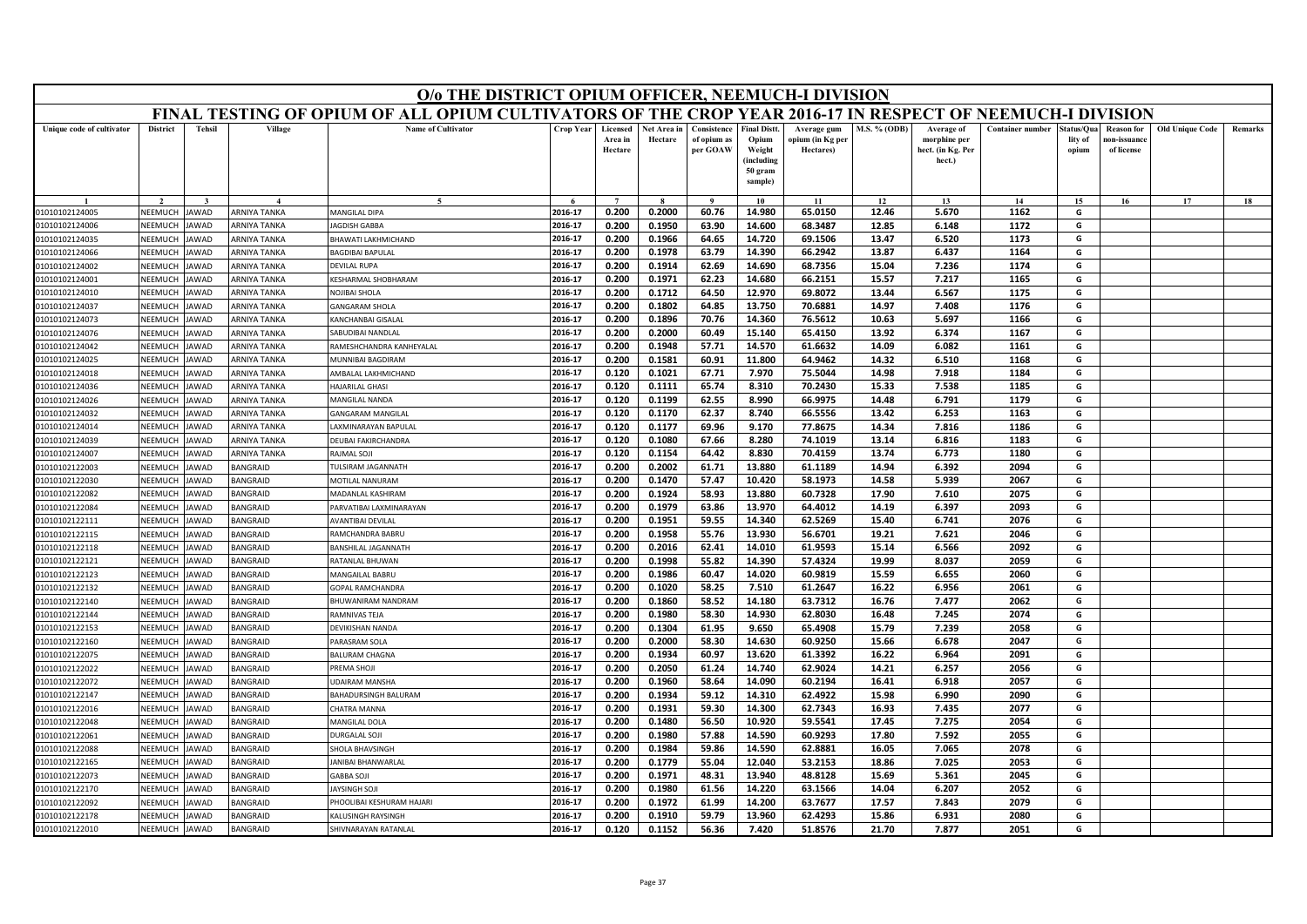|                                  | O/o THE DISTRICT OPIUM OFFICER, NEEMUCH-I DIVISION<br>FINAL TESTING OF OPIUM OF ALL OPIUM CULTIVATORS OF THE CROP YEAR 2016-17 IN RESPECT OF NEEMUCH-I DIVISION |               |                                     |                                                   |                    |                                |                        |                                        |                                                                            |                                              |                |                                                           |                  |                               |                                                |                        |         |
|----------------------------------|-----------------------------------------------------------------------------------------------------------------------------------------------------------------|---------------|-------------------------------------|---------------------------------------------------|--------------------|--------------------------------|------------------------|----------------------------------------|----------------------------------------------------------------------------|----------------------------------------------|----------------|-----------------------------------------------------------|------------------|-------------------------------|------------------------------------------------|------------------------|---------|
|                                  |                                                                                                                                                                 |               |                                     |                                                   |                    |                                |                        |                                        |                                                                            |                                              |                |                                                           |                  |                               |                                                |                        |         |
| Unique code of cultivator        | <b>District</b>                                                                                                                                                 | <b>Tehsil</b> | Village                             | <b>Name of Cultivator</b>                         | Crop Year          | Licensed<br>Area in<br>Hectare | Net Area in<br>Hectare | Consistence<br>of opium as<br>per GOAW | <b>Final Distt.</b><br>Opium<br>Weight<br>(including<br>50 gram<br>sample) | Average gum<br>opium (in Kg per<br>Hectares) | M.S. % (ODB)   | Average of<br>morphine per<br>hect. (in Kg. Per<br>hect.) | Container number | tatus/Qua<br>lity of<br>opium | <b>Reason</b> for<br>ıon-issuanc<br>of license | <b>Old Unique Code</b> | Remarks |
|                                  |                                                                                                                                                                 |               |                                     | $\tilde{\phantom{a}}$                             |                    | $\overline{ }$                 |                        | $\alpha$                               | 10                                                                         | 11                                           | 12             | 13                                                        | 14               | 15                            | 16                                             | 17                     | 18      |
| 01010102124005                   | NEEMUCH                                                                                                                                                         | <b>AWAD</b>   | ARNIYA TANKA                        | MANGILAL DIPA                                     | 2016-17            | 0.200                          | 0.2000                 | 60.76                                  | 14.980                                                                     | 65.0150                                      | 12.46          | 5.670                                                     | 1162             | G                             |                                                |                        |         |
| 01010102124006                   | NEEMUCH                                                                                                                                                         | <b>AWAD</b>   | <b>ARNIYA TANKA</b>                 | <b>AGDISH GABBA</b>                               | 2016-17            | 0.200                          | 0.1950                 | 63.90                                  | 14.600                                                                     | 68.3487                                      | 12.85          | 6.148                                                     | 1172             | G                             |                                                |                        |         |
| 01010102124035                   | NEEMUCH                                                                                                                                                         | AWAD          | <b>ARNIYA TANKA</b>                 | <b>HAWATI LAKHMICHAND</b>                         | 2016-17            | 0.200                          | 0.1966                 | 64.65                                  | 14.720                                                                     | 69.1506                                      | 13.47          | 6.520                                                     | 1173             | G                             |                                                |                        |         |
| 01010102124066                   | NEEMUCI                                                                                                                                                         | <b>AWAD</b>   | ARNIYA TANKA                        | BAGDIBAI BAPULAL                                  | 2016-17            | 0.200                          | 0.1978                 | 63.79                                  | 14.390                                                                     | 66.2942                                      | 13.87          | 6.437                                                     | 1164             | G                             |                                                |                        |         |
| 01010102124002                   | NEEMUCH                                                                                                                                                         | AWAD          | <b>ARNIYA TANKA</b>                 | DEVILAL RUPA                                      | 2016-17            | 0.200                          | 0.1914                 | 62.69                                  | 14.690                                                                     | 68.7356                                      | 15.04          | 7.236                                                     | 1174             | G                             |                                                |                        |         |
| 01010102124001                   | NEEMUCH                                                                                                                                                         | <b>AWAD</b>   | <b>ARNIYA TANKA</b>                 | KESHARMAL SHOBHARAM                               | 2016-17            | 0.200                          | 0.1971                 | 62.23                                  | 14.680                                                                     | 66.2151                                      | 15.57          | 7.217                                                     | 1165             | G                             |                                                |                        |         |
| 01010102124010                   | NEEMUCI                                                                                                                                                         | AWAD          | ARNIYA TANKA                        | NOJIBAI SHOLA                                     | 2016-17            | 0.200                          | 0.1712                 | 64.50                                  | 12.970                                                                     | 69.8072                                      | 13.44          | 6.567                                                     | 1175             | G                             |                                                |                        |         |
| 01010102124037                   | NEEMUCH                                                                                                                                                         | <b>AWAD</b>   | <b>ARNIYA TANKA</b>                 | <b>GANGARAM SHOLA</b>                             | 2016-17            | 0.200                          | 0.1802                 | 64.85                                  | 13.750                                                                     | 70.6881                                      | 14.97          | 7.408                                                     | 1176             | G                             |                                                |                        |         |
| 01010102124073                   | NEEMUCH                                                                                                                                                         | AWAD          | <b>ARNIYA TANKA</b>                 | <b>CANCHANBAI GISALAL</b>                         | 2016-17            | 0.200                          | 0.1896                 | 70.76                                  | 14.360                                                                     | 76.5612                                      | 10.63          | 5.697                                                     | 1166             | G                             |                                                |                        |         |
| 01010102124076                   | <b>NFFMUCH</b>                                                                                                                                                  | <b>AWAD</b>   | ARNIYA TANKA                        | SABUDIBAI NANDLAL                                 | 2016-17            | 0.200                          | 0.2000                 | 60.49                                  | 15.140                                                                     | 65.4150                                      | 13.92          | 6.374                                                     | 1167             | G                             |                                                |                        |         |
| 01010102124042                   | NEEMUCH                                                                                                                                                         | AWAD          | <b>ARNIYA TANKA</b>                 | AMESHCHANDRA KANHEYALAL                           | 2016-17            | 0.200                          | 0.1948                 | 57.71                                  | 14.570                                                                     | 61.6632                                      | 14.09          | 6.082                                                     | 1161             | G                             |                                                |                        |         |
| 01010102124025                   | NEEMUCH                                                                                                                                                         | AWAD          | <b>ARNIYA TANKA</b>                 | <b>JUNNIBAI BAGDIRAM</b>                          | 2016-17            | 0.200                          | 0.1581                 | 60.91                                  | 11.800                                                                     | 64.9462                                      | 14.32          | 6.510                                                     | 1168             | G                             |                                                |                        |         |
| 01010102124018                   | NEEMUCH                                                                                                                                                         | AWAD          | <b>ARNIYA TANKA</b>                 | AMBALAL LAKHMICHAND                               | 2016-17            | 0.120                          | 0.1021                 | 67.71                                  | 7.970                                                                      | 75.5044                                      | 14.98          | 7.918                                                     | 1184             | G                             |                                                |                        |         |
| 01010102124036                   | NEEMUCH                                                                                                                                                         | AWAD          | <b>ARNIYA TANKA</b>                 | <b>HAJARILAL GHASI</b>                            | 2016-17            | 0.120                          | 0.1111                 | 65.74                                  | 8.310                                                                      | 70.2430                                      | 15.33          | 7.538                                                     | 1185<br>1179     | G<br>G                        |                                                |                        |         |
| 01010102124026<br>01010102124032 | NEEMUCI<br>NEEMUCH                                                                                                                                              | AWAD<br>AWAD  | ARNIYA TANKA<br><b>ARNIYA TANKA</b> | <b>MANGILAL NANDA</b><br><b>GANGARAM MANGILAL</b> | 2016-17<br>2016-17 | 0.120<br>0.120                 | 0.1199<br>0.1170       | 62.55<br>62.37                         | 8.990<br>8.740                                                             | 66.9975<br>66.5556                           | 14.48<br>13.42 | 6.791<br>6.253                                            | 1163             | G                             |                                                |                        |         |
| 01010102124014                   | NEEMUCH                                                                                                                                                         | AWAD          | ARNIYA TANKA                        | AXMINARAYAN BAPULAL                               | 2016-17            | 0.120                          | 0.1177                 | 69.96                                  | 9.170                                                                      | 77.8675                                      | 14.34          | 7.816                                                     | 1186             | G                             |                                                |                        |         |
| 01010102124039                   | NEEMUCI                                                                                                                                                         | AWAD          | <b>ARNIYA TANKA</b>                 | DEUBAI FAKIRCHANDRA                               | 2016-17            | 0.120                          | 0.1080                 | 67.66                                  | 8.280                                                                      | 74.1019                                      | 13.14          | 6.816                                                     | 1183             | G                             |                                                |                        |         |
| 01010102124007                   | NEEMUCH                                                                                                                                                         | AWAD          | <b>ARNIYA TANKA</b>                 | RAJMAL SOJI                                       | 2016-17            | 0.120                          | 0.1154                 | 64.42                                  | 8.830                                                                      | 70.4159                                      | 13.74          | 6.773                                                     | 1180             | G                             |                                                |                        |         |
| 01010102122003                   | NEEMUCH                                                                                                                                                         | <b>AWAD</b>   | BANGRAID                            | ULSIRAM JAGANNATH                                 | 2016-17            | 0.200                          | 0.2002                 | 61.71                                  | 13.880                                                                     | 61.1189                                      | 14.94          | 6.392                                                     | 2094             | G                             |                                                |                        |         |
| 01010102122030                   | NEEMUCH                                                                                                                                                         | AWAD          | <b>BANGRAID</b>                     | MOTILAL NANURAM                                   | 2016-17            | 0.200                          | 0.1470                 | 57.47                                  | 10.420                                                                     | 58.1973                                      | 14.58          | 5.939                                                     | 2067             | G                             |                                                |                        |         |
| 01010102122082                   | NEEMUCH                                                                                                                                                         | AWAD          | <b>BANGRAID</b>                     | MADANLAL KASHIRAM                                 | 2016-17            | 0.200                          | 0.1924                 | 58.93                                  | 13.880                                                                     | 60.7328                                      | 17.90          | 7.610                                                     | 2075             | G                             |                                                |                        |         |
| 01010102122084                   | NEEMUCH                                                                                                                                                         | AWAD          | <b>BANGRAID</b>                     | ARVATIBAI LAXMINARAYAN                            | 2016-17            | 0.200                          | 0.1979                 | 63.86                                  | 13.970                                                                     | 64.4012                                      | 14.19          | 6.397                                                     | 2093             | G                             |                                                |                        |         |
| 01010102122111                   | NEEMUCH                                                                                                                                                         | AWAD          | BANGRAID                            | AVANTIBAI DEVILAI                                 | 2016-17            | 0.200                          | 0.1951                 | 59.55                                  | 14.340                                                                     | 62.5269                                      | 15.40          | 6.741                                                     | 2076             | G                             |                                                |                        |         |
| 01010102122115                   | NEEMUCH                                                                                                                                                         | AWAD          | BANGRAID                            | <b>RAMCHANDRA BABRU</b>                           | 2016-17            | 0.200                          | 0.1958                 | 55.76                                  | 13.930                                                                     | 56.6701                                      | 19.21          | 7.621                                                     | 2046             | G                             |                                                |                        |         |
| 01010102122118                   | NEEMUCH                                                                                                                                                         | AWAD          | <b>BANGRAID</b>                     | <b>BANSHILAL JAGANNATH</b>                        | 2016-17            | 0.200                          | 0.2016                 | 62.41                                  | 14.010                                                                     | 61.9593                                      | 15.14          | 6.566                                                     | 2092             | G                             |                                                |                        |         |
| 01010102122121                   | NEEMUCI                                                                                                                                                         | AWAD          | BANGRAID                            | RATANLAL BHUWAN                                   | 2016-17            | 0.200                          | 0.1998                 | 55.82                                  | 14.390                                                                     | 57.4324                                      | 19.99          | 8.037                                                     | 2059             | G                             |                                                |                        |         |
| 01010102122123                   | NEEMUCH                                                                                                                                                         | AWAD          | <b>BANGRAID</b>                     | MANGAILAL BABRU                                   | 2016-17            | 0.200                          | 0.1986                 | 60.47                                  | 14.020                                                                     | 60.9819                                      | 15.59          | 6.655                                                     | 2060             | G                             |                                                |                        |         |
| 01010102122132                   | VEEMUCH                                                                                                                                                         | AWAD          | <b>BANGRAID</b>                     | <b>GOPAL RAMCHANDRA</b>                           | 2016-17            | 0.200                          | 0.1020                 | 58.25                                  | 7.510                                                                      | 61.2647                                      | 16.22          | 6.956                                                     | 2061             | G                             |                                                |                        |         |
| 01010102122140                   | NEEMUCH                                                                                                                                                         | <b>AWAD</b>   | BANGRAID                            | BHUWANIRAM NANDRAM                                | 2016-17            | 0.200                          | 0.1860                 | 58.52                                  | 14.180                                                                     | 63.7312                                      | 16.76          | 7.477                                                     | 2062             | G                             |                                                |                        |         |
| 01010102122144                   | NEEMUCH                                                                                                                                                         | AWAD          | BANGRAID                            | <b>RAMNIVAS TEJA</b>                              | 2016-17            | 0.200                          | 0.1980                 | 58.30                                  | 14.930                                                                     | 62.8030                                      | 16.48          | 7.245                                                     | 2074             | G                             |                                                |                        |         |
| 01010102122153                   | VEEMUCI                                                                                                                                                         | AWAD          | <b>BANGRAID</b>                     | <b>DEVIKISHAN NANDA</b>                           | 2016-17            | 0.200                          | 0.1304                 | 61.95                                  | 9.650                                                                      | 65.4908                                      | 15.79          | 7.239                                                     | 2058             | G                             |                                                |                        |         |
| 01010102122160                   | NEEMUCH                                                                                                                                                         | <b>AWAD</b>   | BANGRAID                            | ARASRAM SOLA                                      | 2016-17            | 0.200                          | 0.2000                 | 58.30                                  | 14.630                                                                     | 60.9250                                      | 15.66          | 6.678                                                     | 2047             | G                             |                                                |                        |         |
| 01010102122075                   | NEEMUCH                                                                                                                                                         | AWAD          | BANGRAID                            | ALURAM CHAGNA                                     | 2016-17            | 0.200                          | 0.1934                 | 60.97                                  | 13.620                                                                     | 61.3392                                      | 16.22          | 6.964                                                     | 2091             | G                             |                                                |                        |         |
| 01010102122022                   | NEEMUCH                                                                                                                                                         | AWAD          | <b>BANGRAID</b>                     | REMA SHOJI                                        | 2016-17            | 0.200                          | 0.2050                 | 61.24                                  | 14.740                                                                     | 62.9024                                      | 14.21          | 6.257                                                     | 2056             | G                             |                                                |                        |         |
| 01010102122072                   | NEEMUCH                                                                                                                                                         | <b>AWAD</b>   | BANGRAID                            | JDAIRAM MANSHA                                    | 2016-17            | 0.200                          | 0.1960                 | 58.64                                  | 14.090                                                                     | 60.2194                                      | 16.41          | 6.918                                                     | 2057             | G                             |                                                |                        |         |
| 01010102122147                   | NEEMUCH                                                                                                                                                         | <b>AWAD</b>   | BANGRAID                            | BAHADURSINGH BALURAM                              | 2016-17            | 0.200                          | 0.1934                 | 59.12                                  | 14.310                                                                     | 62.4922                                      | 15.98          | 6.990                                                     | 2090             | G                             |                                                |                        |         |
| 01010102122016                   | NEEMUCH                                                                                                                                                         | AWAD          | <b>BANGRAID</b>                     | HATRA MANNA                                       | 2016-17            | 0.200                          | 0.1931                 | 59.30                                  | 14.300                                                                     | 62.7343                                      | 16.93          | 7.435                                                     | 2077             | G                             |                                                |                        |         |
| 01010102122048                   | NEEMUCH                                                                                                                                                         | AWAD          | BANGRAID                            | MANGILAL DOLA                                     | 2016-17            | 0.200                          | 0.1480                 | 56.50                                  | 10.920                                                                     | 59.5541                                      | 17.45          | 7.275                                                     | 2054             | G                             |                                                |                        |         |
| 01010102122061                   | NEEMUCH                                                                                                                                                         | <b>AWAD</b>   | BANGRAID                            | DURGALAL SOJI                                     | 2016-17            | 0.200                          | 0.1980                 | 57.88                                  | 14.590                                                                     | 60.9293                                      | 17.80          | 7.592                                                     | 2055             | G                             |                                                |                        |         |
| 01010102122088                   | NEEMUCH                                                                                                                                                         | AWAD          | <b>BANGRAID</b>                     | <b>HOLA BHAVSINGH</b>                             | 2016-17            | 0.200                          | 0.1984                 | 59.86                                  | 14.590                                                                     | 62.8881                                      | 16.05          | 7.065                                                     | 2078             | G                             |                                                |                        |         |
| 01010102122165                   | NEEMUCH                                                                                                                                                         | <b>AWAD</b>   | BANGRAID                            | ANIBAI BHANWARLAL                                 | 2016-17            | 0.200                          | 0.1779                 | 55.04                                  | 12.040                                                                     | 53.2153                                      | 18.86          | 7.025                                                     | 2053             | G                             |                                                |                        |         |
| 01010102122073                   | NEEMUCH                                                                                                                                                         | <b>JAWAD</b>  | BANGRAID                            | <b>GABBA SOJI</b>                                 | 2016-17            | 0.200                          | 0.1971                 | 48.31                                  | 13.940                                                                     | 48.8128                                      | 15.69          | 5.361                                                     | 2045             | G                             |                                                |                        |         |
| 01010102122170                   | NEEMUCI                                                                                                                                                         | AWAD          | <b>BANGRAID</b>                     | <b>AYSINGH SOJI</b>                               | 2016-17            | 0.200                          | 0.1980                 | 61.56                                  | 14.220                                                                     | 63.1566                                      | 14.04          | 6.207                                                     | 2052             | G                             |                                                |                        |         |
| 01010102122092                   | NEEMUCH                                                                                                                                                         | AWAD          | <b>BANGRAID</b>                     | HOOLIBAI KESHURAM HAJARI                          | 2016-17            | 0.200                          | 0.1972                 | 61.99                                  | 14.200                                                                     | 63.7677                                      | 17.57          | 7.843                                                     | 2079             | G                             |                                                |                        |         |
| 01010102122178                   | NEEMUCH                                                                                                                                                         | <b>AWAD</b>   | <b>BANGRAID</b>                     | KALLISINGH RAYSINGH                               | 2016-17            | 0.200                          | 0.1910                 | 59.79                                  | 13.960                                                                     | 62.4293                                      | 15.86          | 6.931                                                     | 2080             | G                             |                                                |                        |         |
| 01010102122010                   | <b>NEEMUCH</b>                                                                                                                                                  | <b>JAWAD</b>  | <b>BANGRAID</b>                     | SHIVNARAYAN RATANLAL                              | 2016-17            | 0.120                          | 0.1152                 | 56.36                                  | 7.420                                                                      | 51.8576                                      | 21.70          | 7.877                                                     | 2051             | G                             |                                                |                        |         |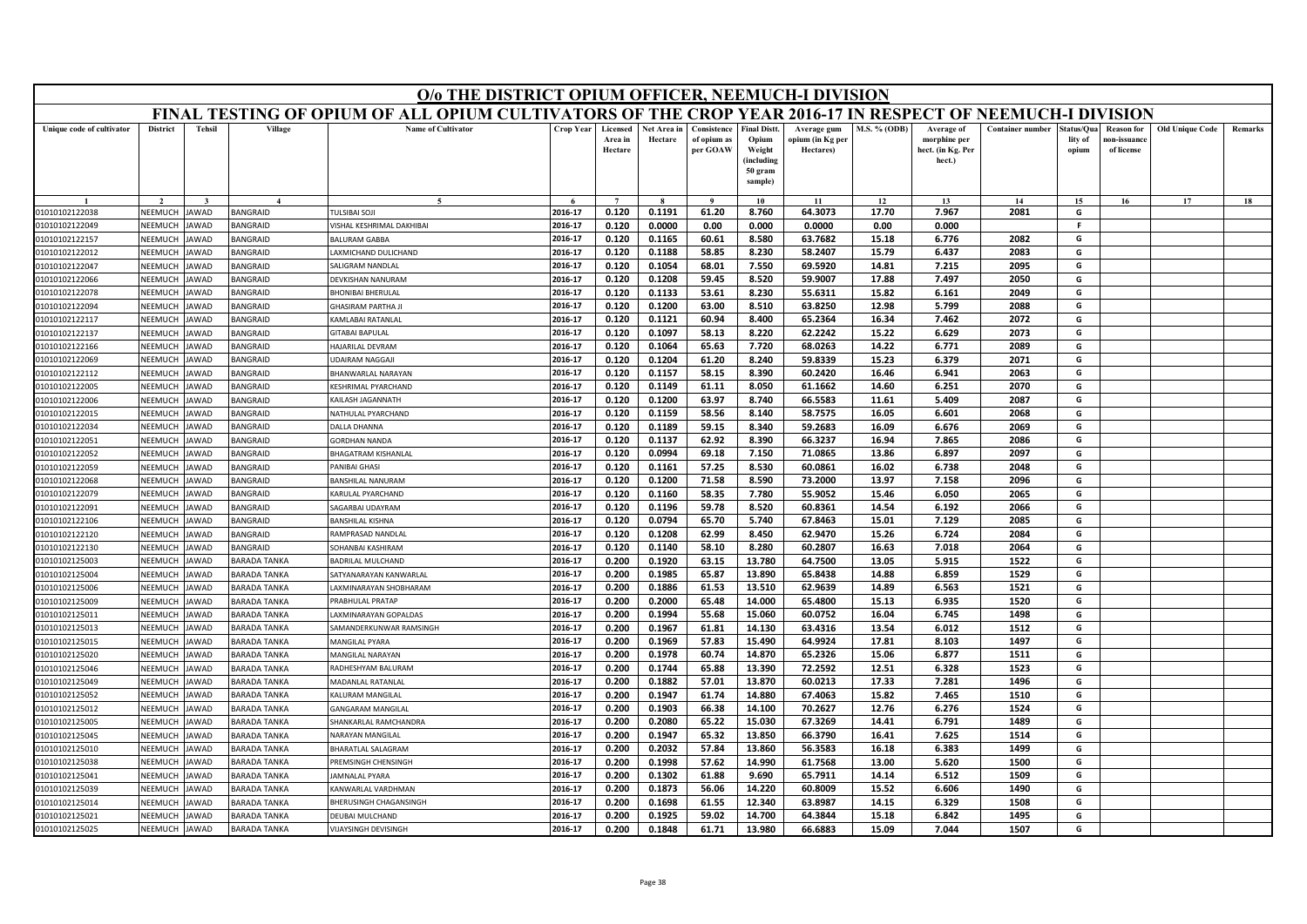|                                  | O/o THE DISTRICT OPIUM OFFICER, NEEMUCH-I DIVISION<br>FINAL TESTING OF OPIUM OF ALL OPIUM CULTIVATORS OF THE CROP YEAR 2016-17 IN RESPECT OF NEEMUCH-I DIVISION |                            |                                    |                                                   |                    |                                |                        |                                        |                                                                            |                                              |                     |                                                           |                         |                               |                                                |                        |         |
|----------------------------------|-----------------------------------------------------------------------------------------------------------------------------------------------------------------|----------------------------|------------------------------------|---------------------------------------------------|--------------------|--------------------------------|------------------------|----------------------------------------|----------------------------------------------------------------------------|----------------------------------------------|---------------------|-----------------------------------------------------------|-------------------------|-------------------------------|------------------------------------------------|------------------------|---------|
|                                  |                                                                                                                                                                 |                            |                                    |                                                   |                    |                                |                        |                                        |                                                                            |                                              |                     |                                                           |                         |                               |                                                |                        |         |
| Unique code of cultivator        | <b>District</b>                                                                                                                                                 | <b>Tehsil</b>              | Village                            | <b>Name of Cultivator</b>                         | Crop Year          | Licensed<br>Area in<br>Hectare | Net Area in<br>Hectare | Consistence<br>of opium as<br>per GOAW | <b>Final Distt.</b><br>Opium<br>Weight<br>(including<br>50 gram<br>sample) | Average gum<br>ppium (in Kg per<br>Hectares) | <b>M.S. % (ODB)</b> | Average of<br>morphine per<br>hect. (in Kg. Per<br>hect.) | <b>Container number</b> | tatus/Qua<br>lity of<br>opium | <b>Reason for</b><br>10n-issuanc<br>of license | <b>Old Unique Code</b> | Remarks |
|                                  |                                                                                                                                                                 |                            |                                    |                                                   |                    |                                |                        | $\bf{Q}$                               | 10                                                                         | 11                                           | 12                  | 13                                                        | 14                      | 15                            | 16                                             | 17                     | 18      |
| 01010102122038                   | NEEMUCH                                                                                                                                                         | JAWAD                      | BANGRAID                           | <b>ULSIBALSOL</b>                                 | 2016-17            | 0.120                          | 0.1191                 | 61.20                                  | 8.760                                                                      | 64.3073                                      | 17.70               | 7.967                                                     | 2081                    | G                             |                                                |                        |         |
| 01010102122049                   | NEEMUCH                                                                                                                                                         | AWAD                       | <b>BANGRAID</b>                    | ISHAL KESHRIMAL DAKHIBAI                          | 2016-17            | 0.120                          | 0.0000                 | 0.00                                   | 0.000                                                                      | 0.0000                                       | 0.00                | 0.000                                                     |                         | -F                            |                                                |                        |         |
| 01010102122157                   | NEEMUCH                                                                                                                                                         | AWAD                       | <b>BANGRAID</b>                    | ALURAM GABBA                                      | 2016-17            | 0.120                          | 0.1165                 | 60.61                                  | 8.580                                                                      | 63.7682                                      | 15.18               | 6.776                                                     | 2082                    | G                             |                                                |                        |         |
| 01010102122012                   | <b>NEEMUCH</b>                                                                                                                                                  | AWAD                       | BANGRAID                           | AXMICHAND DULICHAND                               | 2016-17            | 0.120                          | 0.1188                 | 58.85                                  | 8.230                                                                      | 58.2407                                      | 15.79               | 6.437                                                     | 2083                    | G                             |                                                |                        |         |
| 01010102122047                   | NEEMUCH                                                                                                                                                         | AWAD                       | <b>BANGRAID</b>                    | <b>SALIGRAM NANDLAL</b>                           | 2016-17            | 0.120                          | 0.1054                 | 68.01                                  | 7.550                                                                      | 69.5920                                      | 14.81               | 7.215                                                     | 2095                    | G                             |                                                |                        |         |
| 01010102122066                   | NEEMUCH                                                                                                                                                         | AWAD                       | <b>BANGRAID</b>                    | DEVKISHAN NANURAM                                 | 2016-17            | 0.120                          | 0.1208                 | 59.45                                  | 8.520                                                                      | 59.9007                                      | 17.88               | 7.497                                                     | 2050                    | G                             |                                                |                        |         |
| 01010102122078                   | NEEMUCH                                                                                                                                                         | <b>AWAD</b>                | BANGRAID                           | <b>BHONIBAI BHERULAL</b>                          | 2016-17            | 0.120                          | 0.1133                 | 53.61                                  | 8.230                                                                      | 55.6311                                      | 15.82               | 6.161                                                     | 2049                    | G                             |                                                |                        |         |
| 01010102122094                   | NEEMUCH                                                                                                                                                         | <b>AWAD</b>                | <b>BANGRAID</b>                    | <b>HASIRAM PARTHA JI</b>                          | 2016-17            | 0.120                          | 0.1200                 | 63.00                                  | 8.510                                                                      | 63.8250                                      | 12.98               | 5.799                                                     | 2088                    | G                             |                                                |                        |         |
| 01010102122117                   | NEEMUCH                                                                                                                                                         | <b>AWAD</b>                | <b>BANGRAID</b>                    | AMLABAI RATANLAL                                  | 2016-17            | 0.120                          | 0.1121                 | 60.94                                  | 8.400                                                                      | 65.2364                                      | 16.34               | 7.462                                                     | 2072                    | G                             |                                                |                        |         |
| 01010102122137                   | NEEMUCH                                                                                                                                                         | <b>AWAD</b>                | BANGRAID                           | <b>SITABAI BAPULAL</b>                            | 2016-17            | 0.120                          | 0.1097                 | 58.13                                  | 8.220                                                                      | 62.2242                                      | 15.22               | 6.629                                                     | 2073                    | G                             |                                                |                        |         |
| 01010102122166                   | NEEMUCH                                                                                                                                                         | AWAD                       | <b>BANGRAID</b>                    | <b>IAJARILAL DEVRAM</b>                           | 2016-17            | 0.120                          | 0.1064                 | 65.63                                  | 7.720                                                                      | 68.0263                                      | 14.22               | 6.771                                                     | 2089                    | G                             |                                                |                        |         |
| 01010102122069                   | NEEMUCH                                                                                                                                                         | AWAD                       | <b>BANGRAID</b>                    | <b>DAIRAM NAGGAJI</b>                             | 2016-17            | 0.120                          | 0.1204                 | 61.20                                  | 8.240                                                                      | 59.8339                                      | 15.23               | 6.379                                                     | 2071                    | G                             |                                                |                        |         |
| 01010102122112                   | NEEMUCH                                                                                                                                                         | <b>AWAD</b>                | <b>BANGRAID</b>                    | BHANWARLAL NARAYAN                                | 2016-17            | 0.120                          | 0.1157                 | 58.15                                  | 8.390                                                                      | 60.2420                                      | 16.46               | 6.941                                                     | 2063                    | G                             |                                                |                        |         |
| 01010102122005                   | NEEMUCH                                                                                                                                                         | AWAD                       | BANGRAID                           | (FSHRIMAL PYARCHAND                               | 2016-17            | 0.120                          | 0.1149                 | 61.11                                  | 8.050                                                                      | 61.1662                                      | 14.60               | 6.251                                                     | 2070                    | G                             |                                                |                        |         |
| 01010102122006                   | NEEMUCH                                                                                                                                                         | AWAD                       | <b>BANGRAID</b>                    | AILASH JAGANNATH                                  | 2016-17            | 0.120                          | 0.1200                 | 63.97                                  | 8.740                                                                      | 66.5583                                      | 11.61               | 5.409                                                     | 2087                    | G                             |                                                |                        |         |
| 01010102122015                   | NEEMUCH                                                                                                                                                         | <b>AWAD</b>                | <b>BANGRAID</b>                    | <b>VATHULAL PYARCHAND</b>                         | 2016-17            | 0.120                          | 0.1159                 | 58.56                                  | 8.140                                                                      | 58.7575                                      | 16.05               | 6.601                                                     | 2068                    | G                             |                                                |                        |         |
| 01010102122034                   | NEEMUCH                                                                                                                                                         | <b>AWAD</b>                | BANGRAID                           | <b>DALLA DHANNA</b>                               | 2016-17            | 0.120                          | 0.1189                 | 59.15                                  | 8.340                                                                      | 59.2683                                      | 16.09               | 6.676                                                     | 2069                    | G                             |                                                |                        |         |
| 01010102122051                   | NEEMUCH                                                                                                                                                         | AWAD                       | <b>BANGRAID</b>                    | <b>GORDHAN NANDA</b>                              | 2016-17            | 0.120                          | 0.1137                 | 62.92                                  | 8.390                                                                      | 66.3237                                      | 16.94               | 7.865                                                     | 2086                    | G                             |                                                |                        |         |
| 01010102122052                   | NEEMUCH                                                                                                                                                         | AWAD                       | <b>BANGRAID</b>                    | HAGATRAM KISHANLAL                                | 2016-17            | 0.120                          | 0.0994                 | 69.18                                  | 7.150                                                                      | 71.0865                                      | 13.86               | 6.897                                                     | 2097                    | G                             |                                                |                        |         |
| 01010102122059                   | NEEMUCH                                                                                                                                                         | AWAD                       | <b>BANGRAID</b>                    | ANIBAI GHASI                                      | 2016-17            | 0.120                          | 0.1161                 | 57.25                                  | 8.530                                                                      | 60.0861                                      | 16.02               | 6.738                                                     | 2048                    | G                             |                                                |                        |         |
| 01010102122068                   | NEEMUCH                                                                                                                                                         | AWAD                       | <b>BANGRAID</b>                    | <b>BANSHILAL NANURAM</b>                          | 2016-17            | 0.120                          | 0.1200                 | 71.58                                  | 8.590                                                                      | 73.2000                                      | 13.97               | 7.158                                                     | 2096                    | G                             |                                                |                        |         |
| 01010102122079                   | NEEMUCH                                                                                                                                                         | AWAD                       | <b>BANGRAID</b>                    | ARULAL PYARCHAND<br>AGARBAI UDAYRAM               | 2016-17<br>2016-17 | 0.120                          | 0.1160                 | 58.35                                  | 7.780                                                                      | 55.9052<br>60.8361                           | 15.46               | 6.050                                                     | 2065                    | G<br>G                        |                                                |                        |         |
| 01010102122091                   | NEEMUCH                                                                                                                                                         | AWAD                       | <b>BANGRAID</b>                    |                                                   | 2016-17            | 0.120<br>0.120                 | 0.1196<br>0.0794       | 59.78<br>65.70                         | 8.520<br>5.740                                                             | 67.8463                                      | 14.54<br>15.01      | 6.192<br>7.129                                            | 2066<br>2085            | G                             |                                                |                        |         |
| 01010102122106                   | NEEMUCH                                                                                                                                                         | AWAD                       | <b>BANGRAID</b>                    | BANSHILAL KISHNA                                  | 2016-17            | 0.120                          | 0.1208                 | 62.99                                  | 8.450                                                                      | 62.9470                                      |                     |                                                           | 2084                    | G                             |                                                |                        |         |
| 01010102122120<br>01010102122130 | NEEMUCH<br>NEEMUCH                                                                                                                                              | <b>AWAD</b><br><b>AWAD</b> | <b>BANGRAID</b><br><b>BANGRAID</b> | AMPRASAD NANDLAL<br>OHANBAI KASHIRAM              | 2016-17            | 0.120                          | 0.1140                 | 58.10                                  | 8.280                                                                      | 60.2807                                      | 15.26<br>16.63      | 6.724<br>7.018                                            | 2064                    | G                             |                                                |                        |         |
|                                  | <b>NEEMUCH</b>                                                                                                                                                  |                            | <b>BARADA TANKA</b>                |                                                   | 2016-17            | 0.200                          | 0.1920                 | 63.15                                  | 13.780                                                                     | 64.7500                                      | 13.05               | 5.915                                                     | 1522                    | G                             |                                                |                        |         |
| 01010102125003<br>01010102125004 | NEEMUCH                                                                                                                                                         | AWAD<br>AWAD               | <b>BARADA TANKA</b>                | <b>BADRILAL MULCHAND</b><br>ATYANARAYAN KANWARLAL | 2016-17            | 0.200                          | 0.1985                 | 65.87                                  | 13.890                                                                     | 65.8438                                      | 14.88               | 6.859                                                     | 1529                    | G                             |                                                |                        |         |
| 01010102125006                   | NEEMUCH                                                                                                                                                         | AWAD                       | <b>BARADA TANKA</b>                | AXMINARAYAN SHOBHARAM                             | 2016-17            | 0.200                          | 0.1886                 | 61.53                                  | 13.510                                                                     | 62.9639                                      | 14.89               | 6.563                                                     | 1521                    | G                             |                                                |                        |         |
| 01010102125009                   | <b>NEEMUCH</b>                                                                                                                                                  | <b>AWAD</b>                | <b>BARADA TANKA</b>                | <b>RABHULAL PRATAP</b>                            | 2016-17            | 0.200                          | 0.2000                 | 65.48                                  | 14.000                                                                     | 65.4800                                      | 15.13               | 6.935                                                     | 1520                    | G                             |                                                |                        |         |
| 01010102125011                   | NEEMUCH                                                                                                                                                         | AWAD                       | BARADA TANKA                       | AXMINARAYAN GOPALDAS                              | 2016-17            | 0.200                          | 0.1994                 | 55.68                                  | 15.060                                                                     | 60.0752                                      | 16.04               | 6.745                                                     | 1498                    | G                             |                                                |                        |         |
| 01010102125013                   | NEEMUCH                                                                                                                                                         | AWAD                       | <b>BARADA TANKA</b>                | AMANDERKUNWAR RAMSINGH                            | 2016-17            | 0.200                          | 0.1967                 | 61.81                                  | 14.130                                                                     | 63.4316                                      | 13.54               | 6.012                                                     | 1512                    | G                             |                                                |                        |         |
| 01010102125015                   | <b>NEEMUCH</b>                                                                                                                                                  | AWAD                       | <b>BARADA TANKA</b>                | MANGILAL PYARA                                    | 2016-17            | 0.200                          | 0.1969                 | 57.83                                  | 15.490                                                                     | 64.9924                                      | 17.81               | 8.103                                                     | 1497                    | G                             |                                                |                        |         |
| 01010102125020                   | NEEMUCH                                                                                                                                                         | AWAD                       | <b>BARADA TANKA</b>                | MANGILAL NARAYAN                                  | 2016-17            | 0.200                          | 0.1978                 | 60.74                                  | 14.870                                                                     | 65.2326                                      | 15.06               | 6.877                                                     | 1511                    | G                             |                                                |                        |         |
| 01010102125046                   | NEEMUCH                                                                                                                                                         | AWAD                       | <b>BARADA TANKA</b>                | ADHESHYAM BALURAM                                 | 2016-17            | 0.200                          | 0.1744                 | 65.88                                  | 13.390                                                                     | 72.2592                                      | 12.51               | 6.328                                                     | 1523                    | G                             |                                                |                        |         |
| 01010102125049                   | NEEMUCH                                                                                                                                                         | <b>AWAD</b>                | <b>BARADA TANKA</b>                | MADANLAL RATANLAL                                 | 2016-17            | 0.200                          | 0.1882                 | 57.01                                  | 13.870                                                                     | 60.0213                                      | 17.33               | 7.281                                                     | 1496                    | G                             |                                                |                        |         |
| 01010102125052                   | NEEMUCH                                                                                                                                                         | AWAD                       | <b>BARADA TANKA</b>                | ALURAM MANGILAL                                   | 2016-17            | 0.200                          | 0.1947                 | 61.74                                  | 14.880                                                                     | 67.4063                                      | 15.82               | 7.465                                                     | 1510                    | G                             |                                                |                        |         |
| 01010102125012                   | NEEMUCH                                                                                                                                                         | <b>AWAD</b>                | <b>BARADA TANKA</b>                | <b>ANGARAM MANGILAL</b>                           | 2016-17            | 0.200                          | 0.1903                 | 66.38                                  | 14.100                                                                     | 70.2627                                      | 12.76               | 6.276                                                     | 1524                    | G                             |                                                |                        |         |
| 01010102125005                   | NEEMUCH                                                                                                                                                         | <b>AWAD</b>                | <b>BARADA TANKA</b>                | HANKARLAL RAMCHANDRA                              | 2016-17            | 0.200                          | 0.2080                 | 65.22                                  | 15.030                                                                     | 67.3269                                      | 14.41               | 6.791                                                     | 1489                    | G                             |                                                |                        |         |
| 01010102125045                   | NEEMUCH                                                                                                                                                         | AWAD                       | <b>BARADA TANKA</b>                | <b>VARAYAN MANGILAL</b>                           | 2016-17            | 0.200                          | 0.1947                 | 65.32                                  | 13.850                                                                     | 66.3790                                      | 16.41               | 7.625                                                     | 1514                    | G                             |                                                |                        |         |
| 01010102125010                   | NEEMUCH                                                                                                                                                         | <b>AWAD</b>                | <b>BARADA TANKA</b>                | HARATLAL SALAGRAM                                 | 2016-17            | 0.200                          | 0.2032                 | 57.84                                  | 13.860                                                                     | 56.3583                                      | 16.18               | 6.383                                                     | 1499                    | G                             |                                                |                        |         |
| 01010102125038                   | NFFMUCH                                                                                                                                                         | AWAD                       | <b>BARADA TANKA</b>                | PREMSINGH CHENSINGH                               | 2016-17            | 0.200                          | 0.1998                 | 57.62                                  | 14.990                                                                     | 61.7568                                      | 13.00               | 5.620                                                     | 1500                    | G                             |                                                |                        |         |
| 01010102125041                   | NEEMUCH                                                                                                                                                         | AWAD                       | <b>BARADA TANKA</b>                | AMNALAL PYARA                                     | 2016-17            | 0.200                          | 0.1302                 | 61.88                                  | 9.690                                                                      | 65.7911                                      | 14.14               | 6.512                                                     | 1509                    | G                             |                                                |                        |         |
| 01010102125039                   | NEEMUCH                                                                                                                                                         | <b>AWAD</b>                | <b>BARADA TANKA</b>                | ANWARLAL VARDHMAN                                 | 2016-17            | 0.200                          | 0.1873                 | 56.06                                  | 14.220                                                                     | 60.8009                                      | 15.52               | 6.606                                                     | 1490                    | G                             |                                                |                        |         |
| 01010102125014                   | NEEMUCH                                                                                                                                                         | AWAD                       | <b>BARADA TANKA</b>                | <b>BHERUSINGH CHAGANSINGH</b>                     | 2016-17            | 0.200                          | 0.1698                 | 61.55                                  | 12.340                                                                     | 63.8987                                      | 14.15               | 6.329                                                     | 1508                    | G                             |                                                |                        |         |
| 01010102125021                   | NEEMUCH                                                                                                                                                         | JAWAD                      | <b>BARADA TANKA</b>                | DEUBAI MULCHAND                                   | 2016-17            | 0.200                          | 0.1925                 | 59.02                                  | 14.700                                                                     | 64.3844                                      | 15.18               | 6.842                                                     | 1495                    | G                             |                                                |                        |         |
| 01010102125025                   | NEEMUCH                                                                                                                                                         | AWAD                       | BARADA TANKA                       | VIJAYSINGH DEVISINGH                              | 2016-17            | 0.200                          | 0.1848                 | 61.71                                  | 13.980                                                                     | 66.6883                                      | 15.09               | 7.044                                                     | 1507                    | G                             |                                                |                        |         |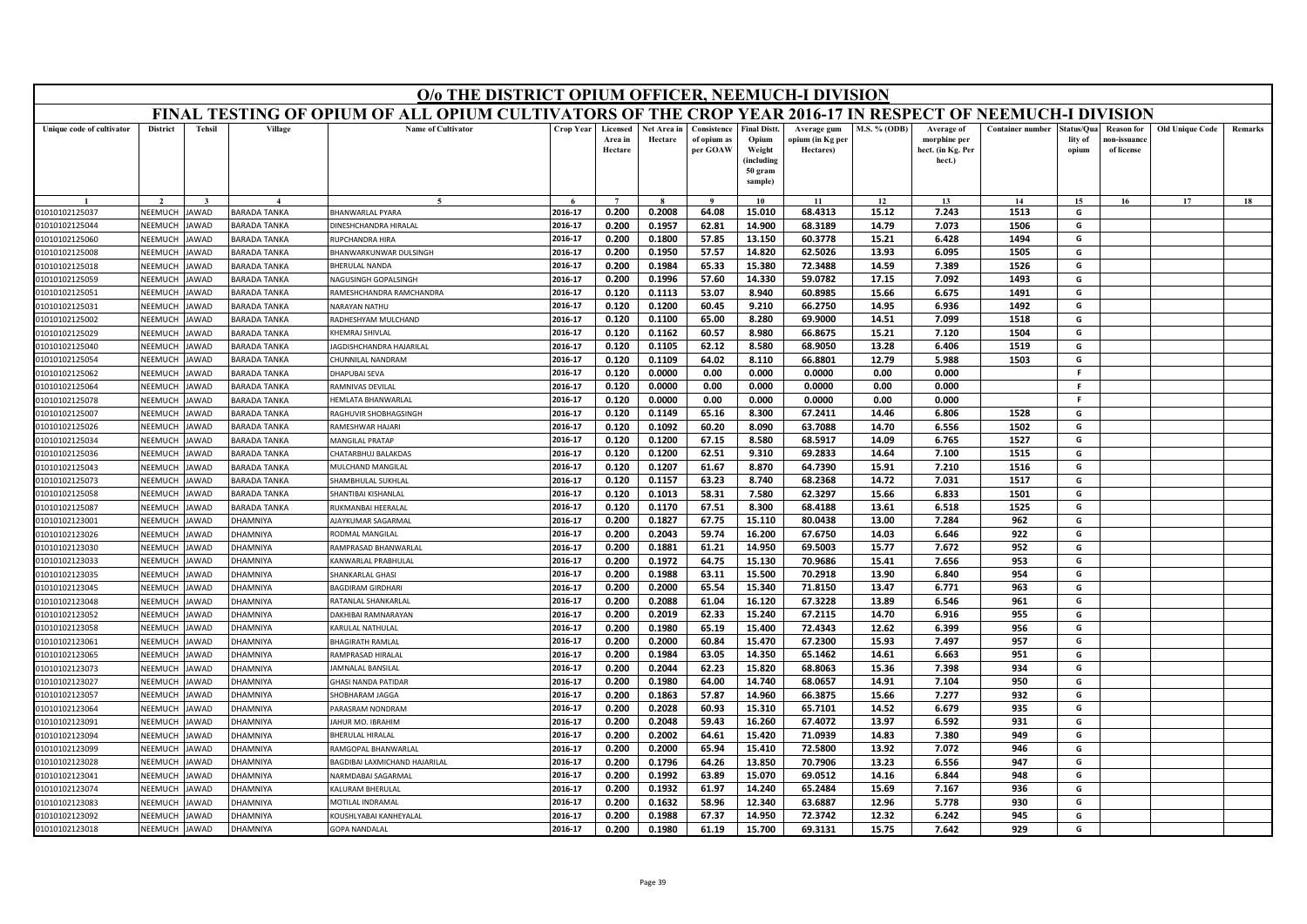| FINAL TESTING OF OPIUM OF ALL OPIUM CULTIVATORS OF THE CROP YEAR 2016-17 IN RESPECT OF NEEMUCH-I DIVISION<br><b>Tehsil</b><br>Village<br><b>Name of Cultivator</b><br><b>District</b><br>Crop Year<br>Licensed<br>Net Area in<br>Consistence<br><b>Final Distt.</b><br><b>M.S. % (ODB)</b><br><b>Container number</b><br>Unique code of cultivator<br>Average gum<br>Average of<br>itatus/Qua<br><b>Reason for</b><br>morphine per<br>Area in<br>Hectare<br>of opium as<br>Opium<br>opium (in Kg per<br>lity of<br>10n-issuanc<br>per GOAW<br>Weight<br>hect. (in Kg. Per<br>of license<br>Hectare<br>Hectares)<br>opium<br>(including<br>hect.)<br>50 gram<br>sample)<br>$\tilde{\phantom{a}}$<br>$\overline{ }$<br>$\alpha$<br>10<br>11<br>12<br>13<br>14<br>15<br>16<br>0.200<br>0.2008<br>68.4313<br>2016-17<br>64.08<br>15.010<br>15.12<br>7.243<br>1513<br>NEEMUCH<br><b>BARADA TANKA</b><br><b>BHANWARLAL PYARA</b><br>G<br>01010102125037<br><b>AWAD</b><br><b>INESHCHANDRA HIRALAL</b><br>2016-17<br>0.200<br>0.1957<br>62.81<br>14.900<br>68.3189<br>14.79<br>7.073<br>1506<br>G<br>01010102125044<br>NEEMUCH<br>JAWAD<br><b>BARADA TANKA</b><br>2016-17<br>0.1800<br>57.85<br>13.150<br>60.3778<br>15.21<br>6.428<br>1494<br>G<br>01010102125060<br>NEEMUCH<br><b>AWAD</b><br><b>BARADA TANKA</b><br>UPCHANDRA HIRA<br>0.200<br>0.200<br>0.1950<br>57.57<br>14.820<br>62.5026<br>13.93<br>6.095<br>1505<br><b>NEEMUCH</b><br>2016-17<br>G<br>01010102125008<br>AWAD<br><b>BARADA TANKA</b><br>BHANWARKUNWAR DULSINGH<br>2016-17<br>0.1984<br>65.33<br>15.380<br>72.3488<br>1526<br>G<br>NEEMUCH<br><b>HERULAL NANDA</b><br>0.200<br>14.59<br>7.389<br>01010102125018<br><b>AWAD</b><br><b>BARADA TANKA</b><br>2016-17<br>0.200<br>0.1996<br>57.60<br>14.330<br>59.0782<br>17.15<br>7.092<br>1493<br>G<br>01010102125059<br>NEEMUCH<br><b>AWAD</b><br><b>BARADA TANKA</b><br><b>VAGUSINGH GOPALSINGH</b><br>2016-17<br>0.120<br>0.1113<br>53.07<br>8.940<br>60.8985<br>15.66<br>6.675<br>1491<br>G<br>NEEMUCH<br>AWAD<br><b>BARADA TANKA</b><br>01010102125051<br>RAMESHCHANDRA RAMCHANDRA<br>1492<br>2016-17<br>0.120<br>0.1200<br>60.45<br>9.210<br>66.2750<br>14.95<br>6.936<br>G<br>01010102125031<br>NEEMUCH<br><b>AWAD</b><br>BARADA TANKA<br><b>VARAYAN NATHU</b><br>2016-17<br>0.1100<br>65.00<br>8.280<br>69.9000<br>14.51<br>7.099<br>1518<br>NEEMUCH<br>0.120<br>G<br>01010102125002<br><b>AWAD</b><br><b>BARADA TANKA</b><br>RADHESHYAM MULCHAND<br>60.57<br>8.980<br>1504<br>NEEMUCH<br><b>AWAD</b><br>2016-17<br>0.120<br>0.1162<br>66.8675<br>15.21<br>7.120<br>G<br>01010102125029<br><b>BARADA TANKA</b><br>KHEMRAJ SHIVLAL<br>2016-17<br>0.120<br>0.1105<br>62.12<br>8.580<br>68.9050<br>13.28<br>6.406<br>1519<br>G<br>01010102125040<br>NEEMUCH<br>AWAD<br><b>BARADA TANKA</b><br>AGDISHCHANDRA HAJARILAL<br>64.02<br>8.110<br>66.8801<br>12.79<br>5.988<br>1503<br>2016-17<br>0.120<br>0.1109<br>G<br>01010102125054<br>NEEMUCH<br>AWAD<br><b>BARADA TANKA</b><br>HUNNILAL NANDRAM<br>NEEMUCH<br><b>AWAD</b><br><b>BARADA TANKA</b><br>2016-17<br>0.120<br>0.0000<br>0.00<br>0.000<br>0.0000<br>0.00<br>0.000<br>F.<br>01010102125062<br><b>DHAPUBAI SEVA</b><br>01010102125064<br>NEEMUCH<br><b>BARADA TANKA</b><br>2016-17<br>0.120<br>0.0000<br>0.00<br>0.000<br>0.0000<br>0.00<br>0.000<br>-F<br>AWAD<br><b>AMNIVAS DEVILAI</b><br>01010102125078<br>NEEMUCH<br>AWAD<br><b>BARADA TANKA</b><br>2016-17<br>0.120<br>0.0000<br>0.00<br>0.000<br>0.0000<br>0.00<br>0.000<br>F.<br><b>IEMLATA BHANWARLAI</b><br><b>AWAD</b><br>01010102125007<br>NEEMUCH<br><b>BARADA TANKA</b><br>RAGHUVIR SHOBHAGSINGH<br>2016-17<br>0.120<br>0.1149<br>65.16<br>8.300<br>67.2411<br>14.46<br>6.806<br>1528<br>G | O/o THE DISTRICT OPIUM OFFICER, NEEMUCH-I DIVISION |  |  |  |  |  |  |  |  |  |  |  |  |  |
|-----------------------------------------------------------------------------------------------------------------------------------------------------------------------------------------------------------------------------------------------------------------------------------------------------------------------------------------------------------------------------------------------------------------------------------------------------------------------------------------------------------------------------------------------------------------------------------------------------------------------------------------------------------------------------------------------------------------------------------------------------------------------------------------------------------------------------------------------------------------------------------------------------------------------------------------------------------------------------------------------------------------------------------------------------------------------------------------------------------------------------------------------------------------------------------------------------------------------------------------------------------------------------------------------------------------------------------------------------------------------------------------------------------------------------------------------------------------------------------------------------------------------------------------------------------------------------------------------------------------------------------------------------------------------------------------------------------------------------------------------------------------------------------------------------------------------------------------------------------------------------------------------------------------------------------------------------------------------------------------------------------------------------------------------------------------------------------------------------------------------------------------------------------------------------------------------------------------------------------------------------------------------------------------------------------------------------------------------------------------------------------------------------------------------------------------------------------------------------------------------------------------------------------------------------------------------------------------------------------------------------------------------------------------------------------------------------------------------------------------------------------------------------------------------------------------------------------------------------------------------------------------------------------------------------------------------------------------------------------------------------------------------------------------------------------------------------------------------------------------------------------------------------------------------------------------------------------------------------------------------------------------------------------------------------------------------------------------------------------------------------------------------------------------------------------------------------------------------------------------------------------------------------------------------------------------------------------------------------------------------------------------------------------------------------------------------------------------------------------|----------------------------------------------------|--|--|--|--|--|--|--|--|--|--|--|--|--|
|                                                                                                                                                                                                                                                                                                                                                                                                                                                                                                                                                                                                                                                                                                                                                                                                                                                                                                                                                                                                                                                                                                                                                                                                                                                                                                                                                                                                                                                                                                                                                                                                                                                                                                                                                                                                                                                                                                                                                                                                                                                                                                                                                                                                                                                                                                                                                                                                                                                                                                                                                                                                                                                                                                                                                                                                                                                                                                                                                                                                                                                                                                                                                                                                                                                                                                                                                                                                                                                                                                                                                                                                                                                                                                                                   |                                                    |  |  |  |  |  |  |  |  |  |  |  |  |  |
|                                                                                                                                                                                                                                                                                                                                                                                                                                                                                                                                                                                                                                                                                                                                                                                                                                                                                                                                                                                                                                                                                                                                                                                                                                                                                                                                                                                                                                                                                                                                                                                                                                                                                                                                                                                                                                                                                                                                                                                                                                                                                                                                                                                                                                                                                                                                                                                                                                                                                                                                                                                                                                                                                                                                                                                                                                                                                                                                                                                                                                                                                                                                                                                                                                                                                                                                                                                                                                                                                                                                                                                                                                                                                                                                   | <b>Old Unique Code</b><br>Remarks                  |  |  |  |  |  |  |  |  |  |  |  |  |  |
|                                                                                                                                                                                                                                                                                                                                                                                                                                                                                                                                                                                                                                                                                                                                                                                                                                                                                                                                                                                                                                                                                                                                                                                                                                                                                                                                                                                                                                                                                                                                                                                                                                                                                                                                                                                                                                                                                                                                                                                                                                                                                                                                                                                                                                                                                                                                                                                                                                                                                                                                                                                                                                                                                                                                                                                                                                                                                                                                                                                                                                                                                                                                                                                                                                                                                                                                                                                                                                                                                                                                                                                                                                                                                                                                   | 17<br>18                                           |  |  |  |  |  |  |  |  |  |  |  |  |  |
|                                                                                                                                                                                                                                                                                                                                                                                                                                                                                                                                                                                                                                                                                                                                                                                                                                                                                                                                                                                                                                                                                                                                                                                                                                                                                                                                                                                                                                                                                                                                                                                                                                                                                                                                                                                                                                                                                                                                                                                                                                                                                                                                                                                                                                                                                                                                                                                                                                                                                                                                                                                                                                                                                                                                                                                                                                                                                                                                                                                                                                                                                                                                                                                                                                                                                                                                                                                                                                                                                                                                                                                                                                                                                                                                   |                                                    |  |  |  |  |  |  |  |  |  |  |  |  |  |
|                                                                                                                                                                                                                                                                                                                                                                                                                                                                                                                                                                                                                                                                                                                                                                                                                                                                                                                                                                                                                                                                                                                                                                                                                                                                                                                                                                                                                                                                                                                                                                                                                                                                                                                                                                                                                                                                                                                                                                                                                                                                                                                                                                                                                                                                                                                                                                                                                                                                                                                                                                                                                                                                                                                                                                                                                                                                                                                                                                                                                                                                                                                                                                                                                                                                                                                                                                                                                                                                                                                                                                                                                                                                                                                                   |                                                    |  |  |  |  |  |  |  |  |  |  |  |  |  |
|                                                                                                                                                                                                                                                                                                                                                                                                                                                                                                                                                                                                                                                                                                                                                                                                                                                                                                                                                                                                                                                                                                                                                                                                                                                                                                                                                                                                                                                                                                                                                                                                                                                                                                                                                                                                                                                                                                                                                                                                                                                                                                                                                                                                                                                                                                                                                                                                                                                                                                                                                                                                                                                                                                                                                                                                                                                                                                                                                                                                                                                                                                                                                                                                                                                                                                                                                                                                                                                                                                                                                                                                                                                                                                                                   |                                                    |  |  |  |  |  |  |  |  |  |  |  |  |  |
|                                                                                                                                                                                                                                                                                                                                                                                                                                                                                                                                                                                                                                                                                                                                                                                                                                                                                                                                                                                                                                                                                                                                                                                                                                                                                                                                                                                                                                                                                                                                                                                                                                                                                                                                                                                                                                                                                                                                                                                                                                                                                                                                                                                                                                                                                                                                                                                                                                                                                                                                                                                                                                                                                                                                                                                                                                                                                                                                                                                                                                                                                                                                                                                                                                                                                                                                                                                                                                                                                                                                                                                                                                                                                                                                   |                                                    |  |  |  |  |  |  |  |  |  |  |  |  |  |
|                                                                                                                                                                                                                                                                                                                                                                                                                                                                                                                                                                                                                                                                                                                                                                                                                                                                                                                                                                                                                                                                                                                                                                                                                                                                                                                                                                                                                                                                                                                                                                                                                                                                                                                                                                                                                                                                                                                                                                                                                                                                                                                                                                                                                                                                                                                                                                                                                                                                                                                                                                                                                                                                                                                                                                                                                                                                                                                                                                                                                                                                                                                                                                                                                                                                                                                                                                                                                                                                                                                                                                                                                                                                                                                                   |                                                    |  |  |  |  |  |  |  |  |  |  |  |  |  |
|                                                                                                                                                                                                                                                                                                                                                                                                                                                                                                                                                                                                                                                                                                                                                                                                                                                                                                                                                                                                                                                                                                                                                                                                                                                                                                                                                                                                                                                                                                                                                                                                                                                                                                                                                                                                                                                                                                                                                                                                                                                                                                                                                                                                                                                                                                                                                                                                                                                                                                                                                                                                                                                                                                                                                                                                                                                                                                                                                                                                                                                                                                                                                                                                                                                                                                                                                                                                                                                                                                                                                                                                                                                                                                                                   |                                                    |  |  |  |  |  |  |  |  |  |  |  |  |  |
|                                                                                                                                                                                                                                                                                                                                                                                                                                                                                                                                                                                                                                                                                                                                                                                                                                                                                                                                                                                                                                                                                                                                                                                                                                                                                                                                                                                                                                                                                                                                                                                                                                                                                                                                                                                                                                                                                                                                                                                                                                                                                                                                                                                                                                                                                                                                                                                                                                                                                                                                                                                                                                                                                                                                                                                                                                                                                                                                                                                                                                                                                                                                                                                                                                                                                                                                                                                                                                                                                                                                                                                                                                                                                                                                   |                                                    |  |  |  |  |  |  |  |  |  |  |  |  |  |
|                                                                                                                                                                                                                                                                                                                                                                                                                                                                                                                                                                                                                                                                                                                                                                                                                                                                                                                                                                                                                                                                                                                                                                                                                                                                                                                                                                                                                                                                                                                                                                                                                                                                                                                                                                                                                                                                                                                                                                                                                                                                                                                                                                                                                                                                                                                                                                                                                                                                                                                                                                                                                                                                                                                                                                                                                                                                                                                                                                                                                                                                                                                                                                                                                                                                                                                                                                                                                                                                                                                                                                                                                                                                                                                                   |                                                    |  |  |  |  |  |  |  |  |  |  |  |  |  |
|                                                                                                                                                                                                                                                                                                                                                                                                                                                                                                                                                                                                                                                                                                                                                                                                                                                                                                                                                                                                                                                                                                                                                                                                                                                                                                                                                                                                                                                                                                                                                                                                                                                                                                                                                                                                                                                                                                                                                                                                                                                                                                                                                                                                                                                                                                                                                                                                                                                                                                                                                                                                                                                                                                                                                                                                                                                                                                                                                                                                                                                                                                                                                                                                                                                                                                                                                                                                                                                                                                                                                                                                                                                                                                                                   |                                                    |  |  |  |  |  |  |  |  |  |  |  |  |  |
|                                                                                                                                                                                                                                                                                                                                                                                                                                                                                                                                                                                                                                                                                                                                                                                                                                                                                                                                                                                                                                                                                                                                                                                                                                                                                                                                                                                                                                                                                                                                                                                                                                                                                                                                                                                                                                                                                                                                                                                                                                                                                                                                                                                                                                                                                                                                                                                                                                                                                                                                                                                                                                                                                                                                                                                                                                                                                                                                                                                                                                                                                                                                                                                                                                                                                                                                                                                                                                                                                                                                                                                                                                                                                                                                   |                                                    |  |  |  |  |  |  |  |  |  |  |  |  |  |
|                                                                                                                                                                                                                                                                                                                                                                                                                                                                                                                                                                                                                                                                                                                                                                                                                                                                                                                                                                                                                                                                                                                                                                                                                                                                                                                                                                                                                                                                                                                                                                                                                                                                                                                                                                                                                                                                                                                                                                                                                                                                                                                                                                                                                                                                                                                                                                                                                                                                                                                                                                                                                                                                                                                                                                                                                                                                                                                                                                                                                                                                                                                                                                                                                                                                                                                                                                                                                                                                                                                                                                                                                                                                                                                                   |                                                    |  |  |  |  |  |  |  |  |  |  |  |  |  |
|                                                                                                                                                                                                                                                                                                                                                                                                                                                                                                                                                                                                                                                                                                                                                                                                                                                                                                                                                                                                                                                                                                                                                                                                                                                                                                                                                                                                                                                                                                                                                                                                                                                                                                                                                                                                                                                                                                                                                                                                                                                                                                                                                                                                                                                                                                                                                                                                                                                                                                                                                                                                                                                                                                                                                                                                                                                                                                                                                                                                                                                                                                                                                                                                                                                                                                                                                                                                                                                                                                                                                                                                                                                                                                                                   |                                                    |  |  |  |  |  |  |  |  |  |  |  |  |  |
|                                                                                                                                                                                                                                                                                                                                                                                                                                                                                                                                                                                                                                                                                                                                                                                                                                                                                                                                                                                                                                                                                                                                                                                                                                                                                                                                                                                                                                                                                                                                                                                                                                                                                                                                                                                                                                                                                                                                                                                                                                                                                                                                                                                                                                                                                                                                                                                                                                                                                                                                                                                                                                                                                                                                                                                                                                                                                                                                                                                                                                                                                                                                                                                                                                                                                                                                                                                                                                                                                                                                                                                                                                                                                                                                   |                                                    |  |  |  |  |  |  |  |  |  |  |  |  |  |
|                                                                                                                                                                                                                                                                                                                                                                                                                                                                                                                                                                                                                                                                                                                                                                                                                                                                                                                                                                                                                                                                                                                                                                                                                                                                                                                                                                                                                                                                                                                                                                                                                                                                                                                                                                                                                                                                                                                                                                                                                                                                                                                                                                                                                                                                                                                                                                                                                                                                                                                                                                                                                                                                                                                                                                                                                                                                                                                                                                                                                                                                                                                                                                                                                                                                                                                                                                                                                                                                                                                                                                                                                                                                                                                                   |                                                    |  |  |  |  |  |  |  |  |  |  |  |  |  |
|                                                                                                                                                                                                                                                                                                                                                                                                                                                                                                                                                                                                                                                                                                                                                                                                                                                                                                                                                                                                                                                                                                                                                                                                                                                                                                                                                                                                                                                                                                                                                                                                                                                                                                                                                                                                                                                                                                                                                                                                                                                                                                                                                                                                                                                                                                                                                                                                                                                                                                                                                                                                                                                                                                                                                                                                                                                                                                                                                                                                                                                                                                                                                                                                                                                                                                                                                                                                                                                                                                                                                                                                                                                                                                                                   |                                                    |  |  |  |  |  |  |  |  |  |  |  |  |  |
|                                                                                                                                                                                                                                                                                                                                                                                                                                                                                                                                                                                                                                                                                                                                                                                                                                                                                                                                                                                                                                                                                                                                                                                                                                                                                                                                                                                                                                                                                                                                                                                                                                                                                                                                                                                                                                                                                                                                                                                                                                                                                                                                                                                                                                                                                                                                                                                                                                                                                                                                                                                                                                                                                                                                                                                                                                                                                                                                                                                                                                                                                                                                                                                                                                                                                                                                                                                                                                                                                                                                                                                                                                                                                                                                   |                                                    |  |  |  |  |  |  |  |  |  |  |  |  |  |
| 01010102125026<br>NEEMUCH<br><b>AWAD</b><br><b>BARADA TANKA</b><br>2016-17<br>0.120<br>0.1092<br>60.20<br>8.090<br>63.7088<br>14.70<br>6.556<br>1502<br>G<br><b>RAMESHWAR HAJARI</b>                                                                                                                                                                                                                                                                                                                                                                                                                                                                                                                                                                                                                                                                                                                                                                                                                                                                                                                                                                                                                                                                                                                                                                                                                                                                                                                                                                                                                                                                                                                                                                                                                                                                                                                                                                                                                                                                                                                                                                                                                                                                                                                                                                                                                                                                                                                                                                                                                                                                                                                                                                                                                                                                                                                                                                                                                                                                                                                                                                                                                                                                                                                                                                                                                                                                                                                                                                                                                                                                                                                                              |                                                    |  |  |  |  |  |  |  |  |  |  |  |  |  |
| NEEMUCH<br>2016-17<br>0.120<br>0.1200<br>67.15<br>8.580<br>68.5917<br>14.09<br>6.765<br>1527<br>01010102125034<br>AWAD<br><b>BARADA TANKA</b><br><b>MANGILAL PRATAP</b><br>G                                                                                                                                                                                                                                                                                                                                                                                                                                                                                                                                                                                                                                                                                                                                                                                                                                                                                                                                                                                                                                                                                                                                                                                                                                                                                                                                                                                                                                                                                                                                                                                                                                                                                                                                                                                                                                                                                                                                                                                                                                                                                                                                                                                                                                                                                                                                                                                                                                                                                                                                                                                                                                                                                                                                                                                                                                                                                                                                                                                                                                                                                                                                                                                                                                                                                                                                                                                                                                                                                                                                                      |                                                    |  |  |  |  |  |  |  |  |  |  |  |  |  |
| 2016-17<br>0.120<br>0.1200<br>62.51<br>9.310<br>69.2833<br>14.64<br>7.100<br>1515<br>G<br>NEEMUCH<br>AWAD<br><b>BARADA TANKA</b><br>HATARBHUJ BALAKDAS<br>01010102125036                                                                                                                                                                                                                                                                                                                                                                                                                                                                                                                                                                                                                                                                                                                                                                                                                                                                                                                                                                                                                                                                                                                                                                                                                                                                                                                                                                                                                                                                                                                                                                                                                                                                                                                                                                                                                                                                                                                                                                                                                                                                                                                                                                                                                                                                                                                                                                                                                                                                                                                                                                                                                                                                                                                                                                                                                                                                                                                                                                                                                                                                                                                                                                                                                                                                                                                                                                                                                                                                                                                                                          |                                                    |  |  |  |  |  |  |  |  |  |  |  |  |  |
| 2016-17<br>0.120<br>0.1207<br>61.67<br>8.870<br>64.7390<br>15.91<br>7.210<br>1516<br>G<br>MULCHAND MANGILAL<br>01010102125043<br>NEEMUCH<br>AWAD<br><b>BARADA TANKA</b>                                                                                                                                                                                                                                                                                                                                                                                                                                                                                                                                                                                                                                                                                                                                                                                                                                                                                                                                                                                                                                                                                                                                                                                                                                                                                                                                                                                                                                                                                                                                                                                                                                                                                                                                                                                                                                                                                                                                                                                                                                                                                                                                                                                                                                                                                                                                                                                                                                                                                                                                                                                                                                                                                                                                                                                                                                                                                                                                                                                                                                                                                                                                                                                                                                                                                                                                                                                                                                                                                                                                                           |                                                    |  |  |  |  |  |  |  |  |  |  |  |  |  |
| 2016-17<br>0.120<br>0.1157<br>63.23<br>8.740<br>68.2368<br>14.72<br>7.031<br>1517<br>G<br>01010102125073<br>NEEMUCH<br><b>AWAD</b><br><b>ARADA TANKA</b><br>HAMBHULAL SUKHLAI                                                                                                                                                                                                                                                                                                                                                                                                                                                                                                                                                                                                                                                                                                                                                                                                                                                                                                                                                                                                                                                                                                                                                                                                                                                                                                                                                                                                                                                                                                                                                                                                                                                                                                                                                                                                                                                                                                                                                                                                                                                                                                                                                                                                                                                                                                                                                                                                                                                                                                                                                                                                                                                                                                                                                                                                                                                                                                                                                                                                                                                                                                                                                                                                                                                                                                                                                                                                                                                                                                                                                     |                                                    |  |  |  |  |  |  |  |  |  |  |  |  |  |
| 58.31<br>7.580<br>G<br>2016-17<br>0.120<br>0.1013<br>62.3297<br>15.66<br>6.833<br>1501<br>01010102125058<br>NEEMUCH<br><b>AWAD</b><br><b>BARADA TANKA</b><br>HANTIBAI KISHANLAL                                                                                                                                                                                                                                                                                                                                                                                                                                                                                                                                                                                                                                                                                                                                                                                                                                                                                                                                                                                                                                                                                                                                                                                                                                                                                                                                                                                                                                                                                                                                                                                                                                                                                                                                                                                                                                                                                                                                                                                                                                                                                                                                                                                                                                                                                                                                                                                                                                                                                                                                                                                                                                                                                                                                                                                                                                                                                                                                                                                                                                                                                                                                                                                                                                                                                                                                                                                                                                                                                                                                                   |                                                    |  |  |  |  |  |  |  |  |  |  |  |  |  |
| <b>NUKMANBAI HEERALAL</b><br>2016-17<br>0.120<br>0.1170<br>67.51<br>8.300<br>68.4188<br>13.61<br>6.518<br>1525<br>G<br>NEEMUCH<br><b>AWAD</b><br><b>BARADA TANKA</b><br>01010102125087                                                                                                                                                                                                                                                                                                                                                                                                                                                                                                                                                                                                                                                                                                                                                                                                                                                                                                                                                                                                                                                                                                                                                                                                                                                                                                                                                                                                                                                                                                                                                                                                                                                                                                                                                                                                                                                                                                                                                                                                                                                                                                                                                                                                                                                                                                                                                                                                                                                                                                                                                                                                                                                                                                                                                                                                                                                                                                                                                                                                                                                                                                                                                                                                                                                                                                                                                                                                                                                                                                                                            |                                                    |  |  |  |  |  |  |  |  |  |  |  |  |  |
| 0.1827<br>80.0438<br>13.00<br>7.284<br>2016-17<br>0.200<br>67.75<br>15.110<br>962<br>G<br>NEEMUCH<br>01010102123001<br>AWAD<br><b>HAMNIYA</b><br><b>UAYKUMAR SAGARMAL</b>                                                                                                                                                                                                                                                                                                                                                                                                                                                                                                                                                                                                                                                                                                                                                                                                                                                                                                                                                                                                                                                                                                                                                                                                                                                                                                                                                                                                                                                                                                                                                                                                                                                                                                                                                                                                                                                                                                                                                                                                                                                                                                                                                                                                                                                                                                                                                                                                                                                                                                                                                                                                                                                                                                                                                                                                                                                                                                                                                                                                                                                                                                                                                                                                                                                                                                                                                                                                                                                                                                                                                         |                                                    |  |  |  |  |  |  |  |  |  |  |  |  |  |
| 2016-17<br>0.200<br>0.2043<br>59.74<br>16.200<br>67.6750<br>14.03<br>6.646<br>922<br>G<br>NEEMUCH<br><b>AWAD</b><br>01010102123026<br><b>HAMNIYA</b><br>ODMAL MANGILAL                                                                                                                                                                                                                                                                                                                                                                                                                                                                                                                                                                                                                                                                                                                                                                                                                                                                                                                                                                                                                                                                                                                                                                                                                                                                                                                                                                                                                                                                                                                                                                                                                                                                                                                                                                                                                                                                                                                                                                                                                                                                                                                                                                                                                                                                                                                                                                                                                                                                                                                                                                                                                                                                                                                                                                                                                                                                                                                                                                                                                                                                                                                                                                                                                                                                                                                                                                                                                                                                                                                                                            |                                                    |  |  |  |  |  |  |  |  |  |  |  |  |  |
| 2016-17<br>14.950<br>69.5003<br>7.672<br>01010102123030<br>NFFMUCH<br><b>AWAD</b><br><b>HAMNIYA</b><br>0.200<br>0.1881<br>61.21<br>15.77<br>952<br>G<br><b>RAMPRASAD BHANWARLAL</b>                                                                                                                                                                                                                                                                                                                                                                                                                                                                                                                                                                                                                                                                                                                                                                                                                                                                                                                                                                                                                                                                                                                                                                                                                                                                                                                                                                                                                                                                                                                                                                                                                                                                                                                                                                                                                                                                                                                                                                                                                                                                                                                                                                                                                                                                                                                                                                                                                                                                                                                                                                                                                                                                                                                                                                                                                                                                                                                                                                                                                                                                                                                                                                                                                                                                                                                                                                                                                                                                                                                                               |                                                    |  |  |  |  |  |  |  |  |  |  |  |  |  |
| 2016-17<br>0.200<br>0.1972<br>64.75<br>15.130<br>70.9686<br>15.41<br>7.656<br>953<br>NEEMUCH<br>G<br>01010102123033<br>AWAD<br><b>HAMNIYA</b><br>ANWARLAL PRABHULAL                                                                                                                                                                                                                                                                                                                                                                                                                                                                                                                                                                                                                                                                                                                                                                                                                                                                                                                                                                                                                                                                                                                                                                                                                                                                                                                                                                                                                                                                                                                                                                                                                                                                                                                                                                                                                                                                                                                                                                                                                                                                                                                                                                                                                                                                                                                                                                                                                                                                                                                                                                                                                                                                                                                                                                                                                                                                                                                                                                                                                                                                                                                                                                                                                                                                                                                                                                                                                                                                                                                                                               |                                                    |  |  |  |  |  |  |  |  |  |  |  |  |  |
| 63.11<br>15.500<br>70.2918<br>954<br>2016-17<br>0.200<br>0.1988<br>13.90<br>6.840<br>G<br>01010102123035<br>NEEMUCH<br>AWAD<br><b>HAMNIYA</b><br>HANKARLAL GHASI                                                                                                                                                                                                                                                                                                                                                                                                                                                                                                                                                                                                                                                                                                                                                                                                                                                                                                                                                                                                                                                                                                                                                                                                                                                                                                                                                                                                                                                                                                                                                                                                                                                                                                                                                                                                                                                                                                                                                                                                                                                                                                                                                                                                                                                                                                                                                                                                                                                                                                                                                                                                                                                                                                                                                                                                                                                                                                                                                                                                                                                                                                                                                                                                                                                                                                                                                                                                                                                                                                                                                                  |                                                    |  |  |  |  |  |  |  |  |  |  |  |  |  |
| 2016-17<br>0.200<br>0.2000<br>65.54<br>15.340<br>71.8150<br>13.47<br>6.771<br>963<br>G<br>01010102123045<br>NEEMUCH<br>AWAD<br><b>HAMNIYA</b><br><b>BAGDIRAM GIRDHARI</b>                                                                                                                                                                                                                                                                                                                                                                                                                                                                                                                                                                                                                                                                                                                                                                                                                                                                                                                                                                                                                                                                                                                                                                                                                                                                                                                                                                                                                                                                                                                                                                                                                                                                                                                                                                                                                                                                                                                                                                                                                                                                                                                                                                                                                                                                                                                                                                                                                                                                                                                                                                                                                                                                                                                                                                                                                                                                                                                                                                                                                                                                                                                                                                                                                                                                                                                                                                                                                                                                                                                                                         |                                                    |  |  |  |  |  |  |  |  |  |  |  |  |  |
| 67.3228<br>13.89<br>6.546<br>961<br>01010102123048<br>NEEMUCH<br>AWAD<br>2016-17<br>0.200<br>0.2088<br>61.04<br>16.120<br>G<br><b>HAMNIYA</b><br>RATANLAL SHANKARLAL                                                                                                                                                                                                                                                                                                                                                                                                                                                                                                                                                                                                                                                                                                                                                                                                                                                                                                                                                                                                                                                                                                                                                                                                                                                                                                                                                                                                                                                                                                                                                                                                                                                                                                                                                                                                                                                                                                                                                                                                                                                                                                                                                                                                                                                                                                                                                                                                                                                                                                                                                                                                                                                                                                                                                                                                                                                                                                                                                                                                                                                                                                                                                                                                                                                                                                                                                                                                                                                                                                                                                              |                                                    |  |  |  |  |  |  |  |  |  |  |  |  |  |
| 955<br>01010102123052<br>NEEMUCH<br>AWAD<br><b>HAMNIYA</b><br>AKHIBAI RAMNARAYAN<br>2016-17<br>0.200<br>0.2019<br>62.33<br>15.240<br>67.2115<br>14.70<br>6.916<br>G                                                                                                                                                                                                                                                                                                                                                                                                                                                                                                                                                                                                                                                                                                                                                                                                                                                                                                                                                                                                                                                                                                                                                                                                                                                                                                                                                                                                                                                                                                                                                                                                                                                                                                                                                                                                                                                                                                                                                                                                                                                                                                                                                                                                                                                                                                                                                                                                                                                                                                                                                                                                                                                                                                                                                                                                                                                                                                                                                                                                                                                                                                                                                                                                                                                                                                                                                                                                                                                                                                                                                               |                                                    |  |  |  |  |  |  |  |  |  |  |  |  |  |
| 2016-17<br>72.4343<br>01010102123058<br>NEEMUCH<br>AWAD<br><b>HAMNIYA</b><br><b>CARULAL NATHULAL</b><br>0.200<br>0.1980<br>65.19<br>15.400<br>12.62<br>6.399<br>956<br>G                                                                                                                                                                                                                                                                                                                                                                                                                                                                                                                                                                                                                                                                                                                                                                                                                                                                                                                                                                                                                                                                                                                                                                                                                                                                                                                                                                                                                                                                                                                                                                                                                                                                                                                                                                                                                                                                                                                                                                                                                                                                                                                                                                                                                                                                                                                                                                                                                                                                                                                                                                                                                                                                                                                                                                                                                                                                                                                                                                                                                                                                                                                                                                                                                                                                                                                                                                                                                                                                                                                                                          |                                                    |  |  |  |  |  |  |  |  |  |  |  |  |  |
| 2016-17<br>0.200<br>0.2000<br>60.84<br>15.470<br>67.2300<br>15.93<br>7.497<br>957<br>G<br>01010102123061<br><b>NEEMUCH</b><br><b>AWAD</b><br><b>HAMNIYA</b><br><b>BHAGIRATH RAMLAL</b>                                                                                                                                                                                                                                                                                                                                                                                                                                                                                                                                                                                                                                                                                                                                                                                                                                                                                                                                                                                                                                                                                                                                                                                                                                                                                                                                                                                                                                                                                                                                                                                                                                                                                                                                                                                                                                                                                                                                                                                                                                                                                                                                                                                                                                                                                                                                                                                                                                                                                                                                                                                                                                                                                                                                                                                                                                                                                                                                                                                                                                                                                                                                                                                                                                                                                                                                                                                                                                                                                                                                            |                                                    |  |  |  |  |  |  |  |  |  |  |  |  |  |
| NEEMUCH<br>2016-17<br>0.200<br>0.1984<br>63.05<br>14.350<br>65.1462<br>6.663<br>951<br>01010102123065<br>AWAD<br><b>HAMNIYA</b><br>AMPRASAD HIRALAL<br>14.61<br>G                                                                                                                                                                                                                                                                                                                                                                                                                                                                                                                                                                                                                                                                                                                                                                                                                                                                                                                                                                                                                                                                                                                                                                                                                                                                                                                                                                                                                                                                                                                                                                                                                                                                                                                                                                                                                                                                                                                                                                                                                                                                                                                                                                                                                                                                                                                                                                                                                                                                                                                                                                                                                                                                                                                                                                                                                                                                                                                                                                                                                                                                                                                                                                                                                                                                                                                                                                                                                                                                                                                                                                 |                                                    |  |  |  |  |  |  |  |  |  |  |  |  |  |
| 01010102123073<br>NEEMUCH<br><b>AWAD</b><br>HAMNIYA<br>2016-17<br>0.200<br>0.2044<br>62.23<br>15.820<br>68.8063<br>15.36<br>7.398<br>934<br>G<br>AMNALAL BANSILAL                                                                                                                                                                                                                                                                                                                                                                                                                                                                                                                                                                                                                                                                                                                                                                                                                                                                                                                                                                                                                                                                                                                                                                                                                                                                                                                                                                                                                                                                                                                                                                                                                                                                                                                                                                                                                                                                                                                                                                                                                                                                                                                                                                                                                                                                                                                                                                                                                                                                                                                                                                                                                                                                                                                                                                                                                                                                                                                                                                                                                                                                                                                                                                                                                                                                                                                                                                                                                                                                                                                                                                 |                                                    |  |  |  |  |  |  |  |  |  |  |  |  |  |
| <b>NFFMUCH</b><br><b>AWAD</b><br><b>HAMNIYA</b><br>2016-17<br>0.200<br>0.1980<br>64.00<br>14.740<br>68.0657<br>14.91<br>7.104<br>950<br>G<br>01010102123027<br><b>HASI NANDA PATIDAR</b>                                                                                                                                                                                                                                                                                                                                                                                                                                                                                                                                                                                                                                                                                                                                                                                                                                                                                                                                                                                                                                                                                                                                                                                                                                                                                                                                                                                                                                                                                                                                                                                                                                                                                                                                                                                                                                                                                                                                                                                                                                                                                                                                                                                                                                                                                                                                                                                                                                                                                                                                                                                                                                                                                                                                                                                                                                                                                                                                                                                                                                                                                                                                                                                                                                                                                                                                                                                                                                                                                                                                          |                                                    |  |  |  |  |  |  |  |  |  |  |  |  |  |
| 2016-17<br>57.87<br>66.3875<br>932<br>G<br>0.200<br>0.1863<br>14.960<br>15.66<br>7.277<br>01010102123057<br>NEEMUCH<br>AWAD<br><b>HAMNIYA</b><br><b>HOBHARAM JAGGA</b>                                                                                                                                                                                                                                                                                                                                                                                                                                                                                                                                                                                                                                                                                                                                                                                                                                                                                                                                                                                                                                                                                                                                                                                                                                                                                                                                                                                                                                                                                                                                                                                                                                                                                                                                                                                                                                                                                                                                                                                                                                                                                                                                                                                                                                                                                                                                                                                                                                                                                                                                                                                                                                                                                                                                                                                                                                                                                                                                                                                                                                                                                                                                                                                                                                                                                                                                                                                                                                                                                                                                                            |                                                    |  |  |  |  |  |  |  |  |  |  |  |  |  |
| 935<br>G<br>ARASRAM NONDRAM<br>2016-17<br>0.200<br>0.2028<br>60.93<br>15.310<br>65.7101<br>14.52<br>6.679<br>01010102123064<br>NEEMUCH<br><b>AWAD</b><br><b>HAMNIYA</b>                                                                                                                                                                                                                                                                                                                                                                                                                                                                                                                                                                                                                                                                                                                                                                                                                                                                                                                                                                                                                                                                                                                                                                                                                                                                                                                                                                                                                                                                                                                                                                                                                                                                                                                                                                                                                                                                                                                                                                                                                                                                                                                                                                                                                                                                                                                                                                                                                                                                                                                                                                                                                                                                                                                                                                                                                                                                                                                                                                                                                                                                                                                                                                                                                                                                                                                                                                                                                                                                                                                                                           |                                                    |  |  |  |  |  |  |  |  |  |  |  |  |  |
| 2016-17<br>0.200<br>0.2048<br>59.43<br>16.260<br>67.4072<br>13.97<br>6.592<br>931<br>G<br>NEEMUCH<br><b>AWAD</b><br><b>HAMNIYA</b><br>AHUR MO. IBRAHIM<br>01010102123091                                                                                                                                                                                                                                                                                                                                                                                                                                                                                                                                                                                                                                                                                                                                                                                                                                                                                                                                                                                                                                                                                                                                                                                                                                                                                                                                                                                                                                                                                                                                                                                                                                                                                                                                                                                                                                                                                                                                                                                                                                                                                                                                                                                                                                                                                                                                                                                                                                                                                                                                                                                                                                                                                                                                                                                                                                                                                                                                                                                                                                                                                                                                                                                                                                                                                                                                                                                                                                                                                                                                                          |                                                    |  |  |  |  |  |  |  |  |  |  |  |  |  |
| 2016-17<br>0.200<br>0.2002<br>64.61<br>15.420<br>71.0939<br>14.83<br>7.380<br>949<br>G<br>NEEMUCH<br>HERULAL HIRALAL<br>01010102123094<br>AWAD<br>HAMNIYA                                                                                                                                                                                                                                                                                                                                                                                                                                                                                                                                                                                                                                                                                                                                                                                                                                                                                                                                                                                                                                                                                                                                                                                                                                                                                                                                                                                                                                                                                                                                                                                                                                                                                                                                                                                                                                                                                                                                                                                                                                                                                                                                                                                                                                                                                                                                                                                                                                                                                                                                                                                                                                                                                                                                                                                                                                                                                                                                                                                                                                                                                                                                                                                                                                                                                                                                                                                                                                                                                                                                                                         |                                                    |  |  |  |  |  |  |  |  |  |  |  |  |  |
| 15.410<br>72.5800<br>G<br>VEEMUCH<br><b>AWAD</b><br>AMGOPAL BHANWARLAL<br>2016-17<br>0.200<br>0.2000<br>65.94<br>13.92<br>7.072<br>946<br>01010102123099<br>HAMNIYA                                                                                                                                                                                                                                                                                                                                                                                                                                                                                                                                                                                                                                                                                                                                                                                                                                                                                                                                                                                                                                                                                                                                                                                                                                                                                                                                                                                                                                                                                                                                                                                                                                                                                                                                                                                                                                                                                                                                                                                                                                                                                                                                                                                                                                                                                                                                                                                                                                                                                                                                                                                                                                                                                                                                                                                                                                                                                                                                                                                                                                                                                                                                                                                                                                                                                                                                                                                                                                                                                                                                                               |                                                    |  |  |  |  |  |  |  |  |  |  |  |  |  |
| 2016-17<br>64.26<br>13.850<br>70.7906<br>13.23<br>6.556<br>947<br>G<br><b>NFFMUCH</b><br><b>AWAD</b><br><b>HAMNIYA</b><br>0.200<br>0.1796<br>01010102123028<br><b>BAGDIBAI LAXMICHAND HAJARILAL</b>                                                                                                                                                                                                                                                                                                                                                                                                                                                                                                                                                                                                                                                                                                                                                                                                                                                                                                                                                                                                                                                                                                                                                                                                                                                                                                                                                                                                                                                                                                                                                                                                                                                                                                                                                                                                                                                                                                                                                                                                                                                                                                                                                                                                                                                                                                                                                                                                                                                                                                                                                                                                                                                                                                                                                                                                                                                                                                                                                                                                                                                                                                                                                                                                                                                                                                                                                                                                                                                                                                                               |                                                    |  |  |  |  |  |  |  |  |  |  |  |  |  |
| 2016-17<br>0.1992<br>15.070<br>69.0512<br>14.16<br>6.844<br>948<br>0.200<br>63.89<br>G<br>01010102123041<br>NEEMUCH<br><b>HAMNIYA</b><br><b>AWAD</b><br>VARMDABAI SAGARMAL                                                                                                                                                                                                                                                                                                                                                                                                                                                                                                                                                                                                                                                                                                                                                                                                                                                                                                                                                                                                                                                                                                                                                                                                                                                                                                                                                                                                                                                                                                                                                                                                                                                                                                                                                                                                                                                                                                                                                                                                                                                                                                                                                                                                                                                                                                                                                                                                                                                                                                                                                                                                                                                                                                                                                                                                                                                                                                                                                                                                                                                                                                                                                                                                                                                                                                                                                                                                                                                                                                                                                        |                                                    |  |  |  |  |  |  |  |  |  |  |  |  |  |
| 0.200<br>0.1932<br>65.2484<br>15.69<br>7.167<br>936<br>2016-17<br>61.97<br>14.240<br>G<br>01010102123074<br>NEEMUCH<br><b>AWAD</b><br>HAMNIYA<br>ALURAM BHERULAL                                                                                                                                                                                                                                                                                                                                                                                                                                                                                                                                                                                                                                                                                                                                                                                                                                                                                                                                                                                                                                                                                                                                                                                                                                                                                                                                                                                                                                                                                                                                                                                                                                                                                                                                                                                                                                                                                                                                                                                                                                                                                                                                                                                                                                                                                                                                                                                                                                                                                                                                                                                                                                                                                                                                                                                                                                                                                                                                                                                                                                                                                                                                                                                                                                                                                                                                                                                                                                                                                                                                                                  |                                                    |  |  |  |  |  |  |  |  |  |  |  |  |  |
| 2016-17<br>0.200<br>0.1632<br>58.96<br>12.340<br>63.6887<br>12.96<br>5.778<br>930<br>G<br>01010102123083<br>NEEMUCH<br>AWAD<br><b>HAMNIYA</b><br><b>MOTILAL INDRAMA</b>                                                                                                                                                                                                                                                                                                                                                                                                                                                                                                                                                                                                                                                                                                                                                                                                                                                                                                                                                                                                                                                                                                                                                                                                                                                                                                                                                                                                                                                                                                                                                                                                                                                                                                                                                                                                                                                                                                                                                                                                                                                                                                                                                                                                                                                                                                                                                                                                                                                                                                                                                                                                                                                                                                                                                                                                                                                                                                                                                                                                                                                                                                                                                                                                                                                                                                                                                                                                                                                                                                                                                           |                                                    |  |  |  |  |  |  |  |  |  |  |  |  |  |
| 2016-17<br>0.200<br>0.1988<br>67.37<br>14.950<br>72.3742<br>12.32<br>6.242<br>945<br>G<br>01010102123092<br>NEEMUCH<br>JAWAD<br><b>HAMNIYA</b><br>(OUSHLYABAI KANHEYALAL                                                                                                                                                                                                                                                                                                                                                                                                                                                                                                                                                                                                                                                                                                                                                                                                                                                                                                                                                                                                                                                                                                                                                                                                                                                                                                                                                                                                                                                                                                                                                                                                                                                                                                                                                                                                                                                                                                                                                                                                                                                                                                                                                                                                                                                                                                                                                                                                                                                                                                                                                                                                                                                                                                                                                                                                                                                                                                                                                                                                                                                                                                                                                                                                                                                                                                                                                                                                                                                                                                                                                          |                                                    |  |  |  |  |  |  |  |  |  |  |  |  |  |
| 0.1980<br>2016-17<br>0.200<br>61.19<br>15.700<br>69.3131<br>15.75<br>7.642<br>929<br>G<br>NEEMUCH<br>01010102123018<br>JAWAD<br><b>HAMNIYA</b><br><b>GOPA NANDALAL</b>                                                                                                                                                                                                                                                                                                                                                                                                                                                                                                                                                                                                                                                                                                                                                                                                                                                                                                                                                                                                                                                                                                                                                                                                                                                                                                                                                                                                                                                                                                                                                                                                                                                                                                                                                                                                                                                                                                                                                                                                                                                                                                                                                                                                                                                                                                                                                                                                                                                                                                                                                                                                                                                                                                                                                                                                                                                                                                                                                                                                                                                                                                                                                                                                                                                                                                                                                                                                                                                                                                                                                            |                                                    |  |  |  |  |  |  |  |  |  |  |  |  |  |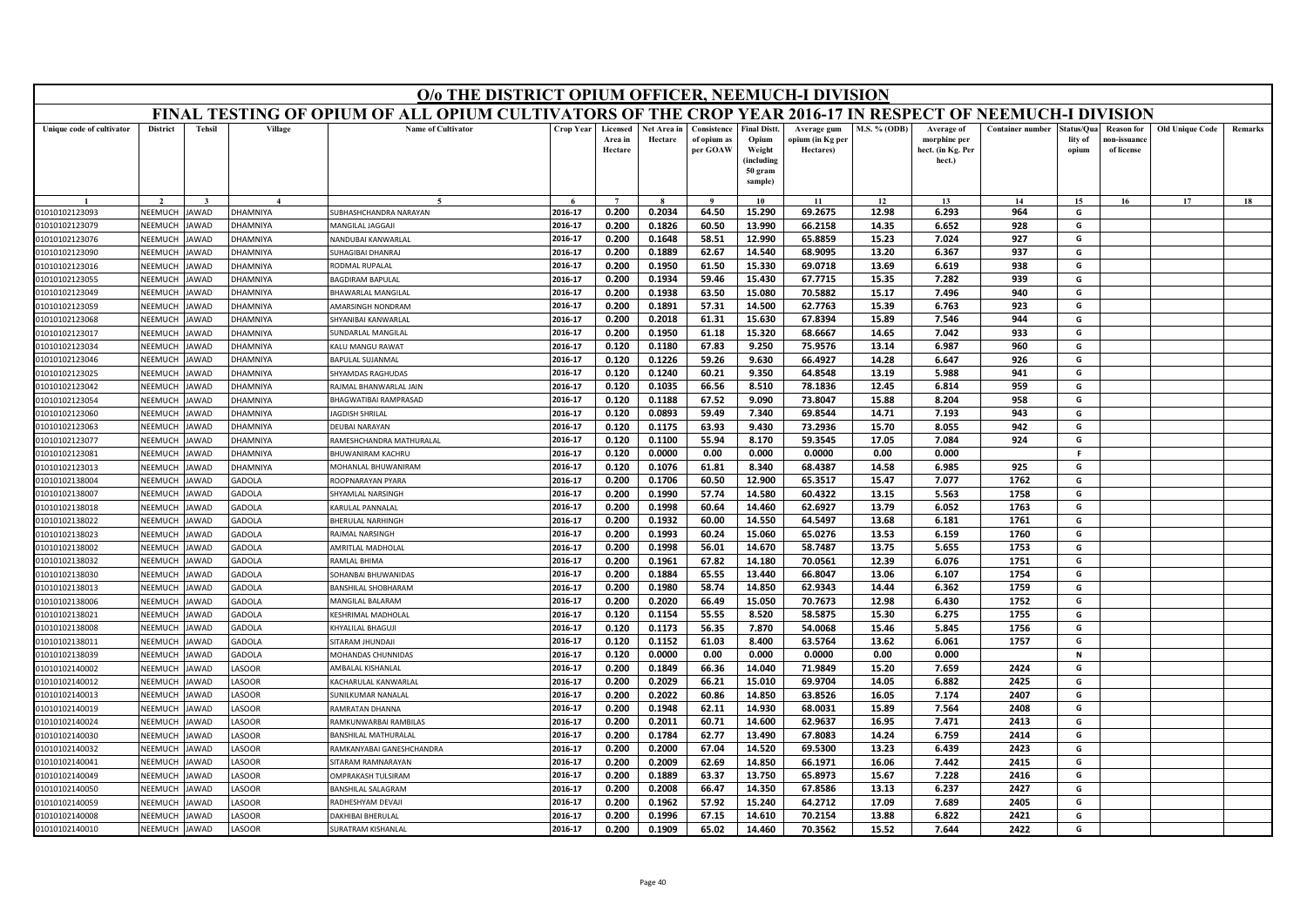|                                  | O/o THE DISTRICT OPIUM OFFICER, NEEMUCH-I DIVISION<br>FINAL TESTING OF OPIUM OF ALL OPIUM CULTIVATORS OF THE CROP YEAR 2016-17 IN RESPECT OF NEEMUCH-I DIVISION |                            |                                |                                               |                    |                                |                        |                                        |                                                                 |                                              |                |                                                           |                         |                                |                                                |                        |         |
|----------------------------------|-----------------------------------------------------------------------------------------------------------------------------------------------------------------|----------------------------|--------------------------------|-----------------------------------------------|--------------------|--------------------------------|------------------------|----------------------------------------|-----------------------------------------------------------------|----------------------------------------------|----------------|-----------------------------------------------------------|-------------------------|--------------------------------|------------------------------------------------|------------------------|---------|
|                                  |                                                                                                                                                                 |                            |                                |                                               |                    |                                |                        |                                        |                                                                 |                                              |                |                                                           |                         |                                |                                                |                        |         |
| Unique code of cultivator        | <b>District</b>                                                                                                                                                 | <b>Tehsil</b>              | Village                        | <b>Name of Cultivator</b>                     | <b>Crop Year</b>   | Licensed<br>Area in<br>Hectare | Net Area in<br>Hectare | Consistence<br>of opium as<br>per GOAW | <b>Final Distt.</b><br>Opium<br>Weight<br>(including<br>50 gram | Average gum<br>opium (in Kg per<br>Hectares) | M.S. % (ODB)   | Average of<br>morphine per<br>hect. (in Kg. Per<br>hect.) | <b>Container number</b> | Status/Qua<br>lity of<br>opium | <b>Reason</b> for<br>ıon-issuanc<br>of license | <b>Old Unique Code</b> | Remarks |
|                                  |                                                                                                                                                                 |                            |                                |                                               |                    |                                |                        |                                        | sample)                                                         |                                              |                |                                                           |                         |                                |                                                |                        |         |
|                                  |                                                                                                                                                                 |                            |                                |                                               | $\epsilon$         | $\overline{7}$                 |                        | $\mathbf{o}$                           | 10                                                              | 11                                           | 12             | 13                                                        | 14                      | 15                             | 16                                             | 17                     | 18      |
| 01010102123093                   | NEEMUCH                                                                                                                                                         | <b>AWAD</b>                | <b>HAMNIYA</b>                 | SUBHASHCHANDRA NARAYAN                        | 2016-17            | 0.200                          | 0.2034                 | 64.50                                  | 15.290                                                          | 69.2675                                      | 12.98          | 6.293                                                     | 964                     | G                              |                                                |                        |         |
| 01010102123079                   | NEEMUCH                                                                                                                                                         | JAWAD                      | HAMNIYA                        | <b>MANGILAL JAGGAJI</b>                       | 2016-17            | 0.200                          | 0.1826                 | 60.50                                  | 13.990                                                          | 66.2158                                      | 14.35          | 6.652                                                     | 928                     | G                              |                                                |                        |         |
| 01010102123076                   | NEEMUCH                                                                                                                                                         | <b>AWAD</b>                | HAMNIYA                        | <b>JANDUBAI KANWARLAL</b>                     | 2016-17            | 0.200                          | 0.1648                 | 58.51                                  | 12.990                                                          | 65.8859                                      | 15.23          | 7.024                                                     | 927                     | G                              |                                                |                        |         |
| 01010102123090                   | NEEMUCH                                                                                                                                                         | <b>AWAD</b>                | HAMNIYA                        | <b>JUHAGIBAI DHANRAJ</b>                      | 2016-17            | 0.200                          | 0.1889                 | 62.67                                  | 14.540                                                          | 68.9095                                      | 13.20          | 6.367                                                     | 937                     | G                              |                                                |                        |         |
| 01010102123016                   | NEEMUCH                                                                                                                                                         | <b>AWAD</b>                | HAMNIYA                        | <b>RODMAL RUPALAL</b>                         | 2016-17<br>2016-17 | 0.200                          | 0.1950                 | 61.50<br>59.46                         | 15.330<br>15.430                                                | 69.0718<br>67.7715                           | 13.69          | 6.619<br>7.282                                            | 938<br>939              | G<br>G                         |                                                |                        |         |
| 01010102123055                   | NEEMUCH<br>NEEMUCH                                                                                                                                              | <b>AWAD</b>                | HAMNIYA                        | AGDIRAM BAPULAL                               | 2016-17            | 0.200<br>0.200                 | 0.1934                 |                                        |                                                                 |                                              | 15.35          | 7.496                                                     | 940                     | G                              |                                                |                        |         |
| 01010102123049                   |                                                                                                                                                                 | <b>AWAD</b>                | <b>HAMNIYA</b>                 | <b>BHAWARLAL MANGILAL</b>                     | 2016-17            | 0.200                          | 0.1938<br>0.1891       | 63.50<br>57.31                         | 15.080<br>14.500                                                | 70.5882<br>62.7763                           | 15.17<br>15.39 | 6.763                                                     | 923                     | G                              |                                                |                        |         |
| 01010102123059<br>01010102123068 | NEEMUCH<br>NEEMUCH                                                                                                                                              | <b>AWAD</b><br>AWAD        | <b>HAMNIYA</b><br>HAMNIYA      | <b>MARSINGH NONDRAM</b><br>HYANIBAI KANWARLAL | 2016-17            | 0.200                          | 0.2018                 | 61.31                                  | 15.630                                                          | 67.8394                                      | 15.89          | 7.546                                                     | 944                     | G                              |                                                |                        |         |
| 01010102123017                   | NEEMUCH                                                                                                                                                         | <b>AWAD</b>                | <b>HAMNIYA</b>                 | <b>JUNDARLAL MANGILAL</b>                     | 2016-17            | 0.200                          | 0.1950                 | 61.18                                  | 15.320                                                          | 68.6667                                      | 14.65          | 7.042                                                     | 933                     | G                              |                                                |                        |         |
| 01010102123034                   | NEEMUCH                                                                                                                                                         | AWAD                       | <b>HAMNIYA</b>                 | <b>ALU MANGU RAWAT</b>                        | 2016-17            | 0.120                          | 0.1180                 | 67.83                                  | 9.250                                                           | 75.9576                                      | 13.14          | 6.987                                                     | 960                     | G                              |                                                |                        |         |
| 01010102123046                   | NEEMUCH                                                                                                                                                         | AWAD                       | <b>HAMNIYA</b>                 | <b>BAPULAL SUJANMAL</b>                       | 2016-17            | 0.120                          | 0.1226                 | 59.26                                  | 9.630                                                           | 66.4927                                      | 14.28          | 6.647                                                     | 926                     | G                              |                                                |                        |         |
| 01010102123025                   | NEEMUCH                                                                                                                                                         | <b>AWAD</b>                | <b>HAMNIYA</b>                 | SHYAMDAS RAGHUDAS                             | 2016-17            | 0.120                          | 0.1240                 | 60.21                                  | 9.350                                                           | 64.8548                                      | 13.19          | 5.988                                                     | 941                     | G                              |                                                |                        |         |
| 01010102123042                   | NEEMUCH                                                                                                                                                         | <b>AWAD</b>                | <b>HAMNIYA</b>                 | AJMAL BHANWARLAL JAIN                         | 2016-17            | 0.120                          | 0.1035                 | 66.56                                  | 8.510                                                           | 78.1836                                      | 12.45          | 6.814                                                     | 959                     | G                              |                                                |                        |         |
| 01010102123054                   | NEEMUCH                                                                                                                                                         | AWAD                       | HAMNIYA                        | HAGWATIBAI RAMPRASAD                          | 2016-17            | 0.120                          | 0.1188                 | 67.52                                  | 9.090                                                           | 73.8047                                      | 15.88          | 8.204                                                     | 958                     | G                              |                                                |                        |         |
| 01010102123060                   | NEEMUCH                                                                                                                                                         | <b>AWAD</b>                | <b>HAMNIYA</b>                 | <b>AGDISH SHRILAL</b>                         | 2016-17            | 0.120                          | 0.0893                 | 59.49                                  | 7.340                                                           | 69.8544                                      | 14.71          | 7.193                                                     | 943                     | G                              |                                                |                        |         |
| 01010102123063                   | NEEMUCH                                                                                                                                                         | <b>AWAD</b>                | <b>HAMNIYA</b>                 | <b>DEUBAI NARAYAN</b>                         | 2016-17            | 0.120                          | 0.1175                 | 63.93                                  | 9.430                                                           | 73.2936                                      | 15.70          | 8.055                                                     | 942                     | G                              |                                                |                        |         |
| 01010102123077                   | NEEMUCH                                                                                                                                                         | <b>AWAD</b>                | HAMNIYA                        | RAMESHCHANDRA MATHURALAL                      | 2016-17            | 0.120                          | 0.1100                 | 55.94                                  | 8.170                                                           | 59.3545                                      | 17.05          | 7.084                                                     | 924                     | G                              |                                                |                        |         |
| 01010102123081                   | NEEMUCH                                                                                                                                                         | <b>AWAD</b>                | <b>HAMNIYA</b>                 | HUWANIRAM KACHRU                              | 2016-17            | 0.120                          | 0.0000                 | 0.00                                   | 0.000                                                           | 0.0000                                       | 0.00           | 0.000                                                     |                         | F.                             |                                                |                        |         |
| 01010102123013                   | NEEMUCH                                                                                                                                                         | <b>JAWAD</b>               | <b>HAMNIYA</b>                 | MOHANLAL BHUWANIRAM                           | 2016-17            | 0.120                          | 0.1076                 | 61.81                                  | 8.340                                                           | 68.4387                                      | 14.58          | 6.985                                                     | 925                     | G                              |                                                |                        |         |
| 01010102138004                   | NEEMUCH                                                                                                                                                         | AWAD                       | GADOLA                         | ROOPNARAYAN PYARA                             | 2016-17            | 0.200                          | 0.1706                 | 60.50                                  | 12.900                                                          | 65.3517                                      | 15.47          | 7.077                                                     | 1762                    | G                              |                                                |                        |         |
| 01010102138007                   | NEEMUCH                                                                                                                                                         | <b>AWAD</b>                | GADOLA                         | <b>HYAMLAL NARSINGH</b>                       | 2016-17            | 0.200                          | 0.1990                 | 57.74                                  | 14.580                                                          | 60.4322                                      | 13.15          | 5.563                                                     | 1758                    | G                              |                                                |                        |         |
| 01010102138018                   | NEEMUCH                                                                                                                                                         | AWAD                       | <b>GADOLA</b>                  | <b>CARULAL PANNALAL</b>                       | 2016-17            | 0.200                          | 0.1998                 | 60.64                                  | 14.460                                                          | 62.6927                                      | 13.79          | 6.052                                                     | 1763                    | G                              |                                                |                        |         |
| 01010102138022                   | NEEMUCH                                                                                                                                                         | AWAD                       | <b>GADOLA</b>                  | HERULAL NARHINGH                              | 2016-17            | 0.200                          | 0.1932                 | 60.00                                  | 14.550                                                          | 64.5497                                      | 13.68          | 6.181                                                     | 1761                    | G                              |                                                |                        |         |
| 01010102138023                   | NEEMUCH                                                                                                                                                         | AWAD                       | <b>GADOLA</b>                  | AJMAL NARSINGH                                | 2016-17            | 0.200                          | 0.1993                 | 60.24                                  | 15.060                                                          | 65.0276                                      | 13.53          | 6.159                                                     | 1760                    | G                              |                                                |                        |         |
| 01010102138002                   | NEEMUCH                                                                                                                                                         | <b>AWAD</b>                | <b>GADOLA</b>                  | AMRITLAL MADHOLAL                             | 2016-17            | 0.200                          | 0.1998                 | 56.01                                  | 14.670                                                          | 58.7487                                      | 13.75          | 5.655                                                     | 1753                    | G                              |                                                |                        |         |
| 01010102138032                   | NEEMUCH                                                                                                                                                         | <b>AWAD</b>                | GADOLA                         | RAMLAL BHIMA                                  | 2016-17            | 0.200                          | 0.1961                 | 67.82                                  | 14.180                                                          | 70.0561                                      | 12.39          | 6.076                                                     | 1751                    | G                              |                                                |                        |         |
| 01010102138030                   | NEEMUCH                                                                                                                                                         | AWAD                       | GADOLA                         | OHANBAI BHUWANIDAS                            | 2016-17            | 0.200                          | 0.1884                 | 65.55                                  | 13.440                                                          | 66.8047                                      | 13.06          | 6.107                                                     | 1754                    | G                              |                                                |                        |         |
| 01010102138013                   | NEEMUCH<br><b>NEEMUCH</b>                                                                                                                                       | <b>AWAD</b><br><b>AWAD</b> | <b>GADOLA</b>                  | ANSHILAL SHOBHARAM                            | 2016-17            | 0.200                          | 0.1980                 | 58.74                                  | 14.850                                                          | 62.9343                                      | 14.44          | 6.362                                                     | 1759                    | G                              |                                                |                        |         |
| 01010102138006<br>01010102138021 | NEEMUCH                                                                                                                                                         | AWAD                       | <b>GADOLA</b><br><b>GADOLA</b> | MANGILAL BALARAM<br><b>(ESHRIMAL MADHOLAL</b> | 2016-17<br>2016-17 | 0.200<br>0.120                 | 0.2020<br>0.1154       | 66.49<br>55.55                         | 15.050<br>8.520                                                 | 70.7673<br>58.5875                           | 12.98<br>15.30 | 6.430<br>6.275                                            | 1752<br>1755            | G<br>G                         |                                                |                        |         |
| 01010102138008                   | NEEMUCH                                                                                                                                                         | AWAD                       | <b>GADOLA</b>                  | <b>HYALILAL BHAGUJ</b>                        | 2016-17            | 0.120                          | 0.1173                 | 56.35                                  | 7.870                                                           | 54.0068                                      | 15.46          | 5.845                                                     | 1756                    | G                              |                                                |                        |         |
| 01010102138011                   | NEEMUCH                                                                                                                                                         | <b>AWAD</b>                | <b>GADOLA</b>                  | SITARAM JHUNDAJI                              | 2016-17            | 0.120                          | 0.1152                 | 61.03                                  | 8.400                                                           | 63.5764                                      | 13.62          | 6.061                                                     | 1757                    | G                              |                                                |                        |         |
| 01010102138039                   | NEEMUCH                                                                                                                                                         | <b>AWAD</b>                | GADOLA                         | <b>MOHANDAS CHUNNIDAS</b>                     | 2016-17            | 0.120                          | 0.0000                 | 0.00                                   | 0.000                                                           | 0.0000                                       | 0.00           | 0.000                                                     |                         | N                              |                                                |                        |         |
| 01010102140002                   | NEEMUCH                                                                                                                                                         | AWAD                       | <b>ASOOR</b>                   | <b>MBALAL KISHANLAL</b>                       | 2016-17            | 0.200                          | 0.1849                 | 66.36                                  | 14.040                                                          | 71.9849                                      | 15.20          | 7.659                                                     | 2424                    | G                              |                                                |                        |         |
| 01010102140012                   | NEEMUCH                                                                                                                                                         | <b>AWAD</b>                | <b>ASOOR</b>                   | ACHARULAL KANWARLAL                           | 2016-17            | 0.200                          | 0.2029                 | 66.21                                  | 15.010                                                          | 69.9704                                      | 14.05          | 6.882                                                     | 2425                    | G                              |                                                |                        |         |
| 01010102140013                   | NEEMUCH                                                                                                                                                         | <b>JAWAD</b>               | <b>ASOOR</b>                   | UNILKUMAR NANALAL                             | 2016-17            | 0.200                          | 0.2022                 | 60.86                                  | 14.850                                                          | 63.8526                                      | 16.05          | 7.174                                                     | 2407                    | G                              |                                                |                        |         |
| 01010102140019                   | NEEMUCH                                                                                                                                                         | <b>AWAD</b>                | <b>ASOOR</b>                   | AMRATAN DHANNA                                | 2016-17            | 0.200                          | 0.1948                 | 62.11                                  | 14.930                                                          | 68.0031                                      | 15.89          | 7.564                                                     | 2408                    | G                              |                                                |                        |         |
| 01010102140024                   | NEEMUCH                                                                                                                                                         | <b>AWAD</b>                | <b>ASOOR</b>                   | RAMKUNWARBAI RAMBILAS                         | 2016-17            | 0.200                          | 0.2011                 | 60.71                                  | 14.600                                                          | 62.9637                                      | 16.95          | 7.471                                                     | 2413                    | G                              |                                                |                        |         |
| 01010102140030                   | NEEMUCH                                                                                                                                                         | <b>JAWAD</b>               | <b>ASOOR</b>                   | RANSHII AL MATHLIRALAI                        | 2016-17            | 0.200                          | 0.1784                 | 62.77                                  | 13.490                                                          | 67.8083                                      | 14.24          | 6.759                                                     | 2414                    | G                              |                                                |                        |         |
| 01010102140032                   | NEEMUCH                                                                                                                                                         | AWAD                       | ASOOR                          | RAMKANYABAI GANESHCHANDRA                     | 2016-17            | 0.200                          | 0.2000                 | 67.04                                  | 14.520                                                          | 69.5300                                      | 13.23          | 6.439                                                     | 2423                    | G                              |                                                |                        |         |
| 01010102140041                   | NEEMUCH                                                                                                                                                         | <b>JAWAD</b>               | <b>ASOOR</b>                   | <b>ITARAM RAMNARAYAN</b>                      | 2016-17            | 0.200                          | 0.2009                 | 62.69                                  | 14.850                                                          | 66.1971                                      | 16.06          | 7.442                                                     | 2415                    | G                              |                                                |                        |         |
| 01010102140049                   | NEEMUCH                                                                                                                                                         | <b>JAWAD</b>               | <b>ASOOR</b>                   | <b>MPRAKASH TULSIRAM</b>                      | 2016-17            | 0.200                          | 0.1889                 | 63.37                                  | 13.750                                                          | 65.8973                                      | 15.67          | 7.228                                                     | 2416                    | G                              |                                                |                        |         |
| 01010102140050                   | NEEMUCH                                                                                                                                                         | AWAD                       | <b>ASOOR</b>                   | ANSHILAL SALAGRAM                             | 2016-17            | 0.200                          | 0.2008                 | 66.47                                  | 14.350                                                          | 67.8586                                      | 13.13          | 6.237                                                     | 2427                    | G                              |                                                |                        |         |
| 01010102140059                   | NEEMUCH                                                                                                                                                         | <b>AWAD</b>                | <b>ASOOR</b>                   | ADHESHYAM DEVAJI                              | 2016-17            | 0.200                          | 0.1962                 | 57.92                                  | 15.240                                                          | 64.2712                                      | 17.09          | 7.689                                                     | 2405                    | G                              |                                                |                        |         |
| 01010102140008                   | NEEMUCH                                                                                                                                                         | <b>JAWAD</b>               | <b>ASOOR</b>                   | <b>DAKHIBAI BHERULAL</b>                      | 2016-17            | 0.200                          | 0.1996                 | 67.15                                  | 14.610                                                          | 70.2154                                      | 13.88          | 6.822                                                     | 2421                    | G                              |                                                |                        |         |
| 01010102140010                   | <b>NEEMUCH</b>                                                                                                                                                  | <b>JAWAD</b>               | ASOOR                          | <b>SURATRAM KISHANLAL</b>                     | 2016-17            | 0.200                          | 0.1909                 | 65.02                                  | 14.460                                                          | 70.3562                                      | 15.52          | 7.644                                                     | 2422                    | G                              |                                                |                        |         |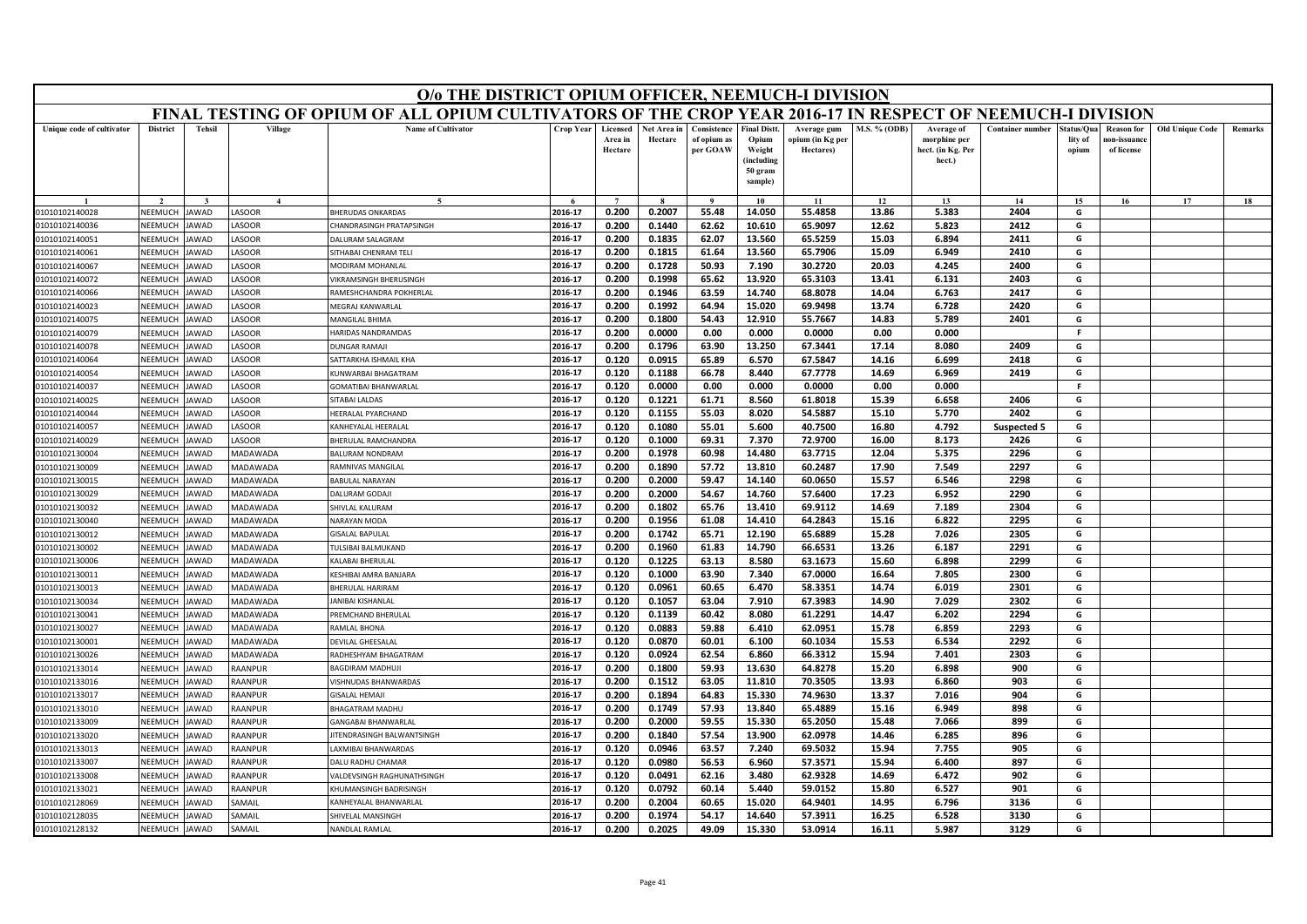|                                  | O/o THE DISTRICT OPIUM OFFICER, NEEMUCH-I DIVISION<br>FINAL TESTING OF OPIUM OF ALL OPIUM CULTIVATORS OF THE CROP YEAR 2016-17 IN RESPECT OF NEEMUCH-I DIVISION |               |                              |                                                    |                    |                                |                        |                                        |                                                                           |                                              |                |                                                           |                         |                               |                                                |                        |         |
|----------------------------------|-----------------------------------------------------------------------------------------------------------------------------------------------------------------|---------------|------------------------------|----------------------------------------------------|--------------------|--------------------------------|------------------------|----------------------------------------|---------------------------------------------------------------------------|----------------------------------------------|----------------|-----------------------------------------------------------|-------------------------|-------------------------------|------------------------------------------------|------------------------|---------|
|                                  |                                                                                                                                                                 |               |                              |                                                    |                    |                                |                        |                                        |                                                                           |                                              |                |                                                           |                         |                               |                                                |                        |         |
| Unique code of cultivator        | <b>District</b>                                                                                                                                                 | <b>Tehsil</b> | Village                      | <b>Name of Cultivator</b>                          | Crop Year          | Licensed<br>Area in<br>Hectare | Net Area in<br>Hectare | Consistence<br>of opium as<br>per GOAW | <b>Final Distt</b><br>Opium<br>Weight<br>(including<br>50 gram<br>sample) | Average gum<br>opium (in Kg per<br>Hectares) | M.S. % (ODB)   | Average of<br>morphine per<br>hect. (in Kg. Per<br>hect.) | <b>Container number</b> | tatus/Qua<br>lity of<br>opium | <b>Reason</b> for<br>10n-issuanc<br>of license | <b>Old Unique Code</b> | Remarks |
|                                  |                                                                                                                                                                 |               | $\mathbf{4}$                 |                                                    |                    |                                |                        |                                        | 10                                                                        | 11                                           | 12             | 13                                                        | 14                      | 15                            | 16                                             | 17                     | 18      |
| 01010102140028                   | NEEMUCH                                                                                                                                                         | JAWAD         | <b>ASOOR</b>                 | <b>BHERUDAS ONKARDAS</b>                           | 2016-17            | 0.200                          | 0.2007                 | 55.48                                  | 14.050                                                                    | 55.4858                                      | 13.86          | 5.383                                                     | 2404                    | G                             |                                                |                        |         |
| 01010102140036                   | NEEMUCH                                                                                                                                                         | AWAD          | <b>ASOOR</b>                 | HANDRASINGH PRATAPSINGH                            | 2016-17            | 0.200                          | 0.1440                 | 62.62                                  | 10.610                                                                    | 65.9097                                      | 12.62          | 5.823                                                     | 2412                    | G                             |                                                |                        |         |
| 01010102140051                   | NEEMUCH                                                                                                                                                         | <b>AWAD</b>   | <b>ASOOR</b>                 | <b>DALURAM SALAGRAM</b>                            | 2016-17            | 0.200                          | 0.1835                 | 62.07                                  | 13.560                                                                    | 65.5259                                      | 15.03          | 6.894                                                     | 2411                    | G                             |                                                |                        |         |
| 01010102140061                   | <b>NEEMUCH</b>                                                                                                                                                  | <b>AWAD</b>   | <b>ASOOR</b>                 | SITHABAI CHENRAM TELI                              | 2016-17            | 0.200                          | 0.1815                 | 61.64                                  | 13.560                                                                    | 65.7906                                      | 15.09          | 6.949                                                     | 2410                    | G                             |                                                |                        |         |
| 01010102140067                   | NEEMUCH                                                                                                                                                         | AWAD          | <b>ASOOR</b>                 | MODIRAM MOHANLAI                                   | 2016-17            | 0.200                          | 0.1728                 | 50.93                                  | 7.190                                                                     | 30.2720                                      | 20.03          | 4.245                                                     | 2400                    | G                             |                                                |                        |         |
| 01010102140072                   | NEEMUCH                                                                                                                                                         | AWAD          | <b>ASOOR</b>                 | <b>IKRAMSINGH BHERUSINGH</b>                       | 2016-17            | 0.200                          | 0.1998                 | 65.62                                  | 13.920                                                                    | 65.3103                                      | 13.41          | 6.131                                                     | 2403                    | G                             |                                                |                        |         |
| 01010102140066                   | NFFMUCH                                                                                                                                                         | AWAD          | <b>ASOOR</b>                 | RAMESHCHANDRA POKHERLAL                            | 2016-17            | 0.200                          | 0.1946                 | 63.59                                  | 14.740                                                                    | 68.8078                                      | 14.04          | 6.763                                                     | 2417                    | G                             |                                                |                        |         |
| 01010102140023                   | NEEMUCH                                                                                                                                                         | AWAD          | <b>ASOOR</b>                 | MEGRAJ KANWARLAL                                   | 2016-17            | 0.200                          | 0.1992                 | 64.94                                  | 15.020                                                                    | 69.9498                                      | 13.74          | 6.728                                                     | 2420                    | G                             |                                                |                        |         |
| 01010102140075                   | NEEMUCH                                                                                                                                                         | AWAD          | <b>ASOOR</b>                 | <b>MANGILAL BHIMA</b>                              | 2016-17            | 0.200                          | 0.1800                 | 54.43                                  | 12.910                                                                    | 55.7667                                      | 14.83          | 5.789                                                     | 2401                    | G                             |                                                |                        |         |
| 01010102140079                   | NEEMUCH                                                                                                                                                         | <b>AWAD</b>   | LASOOR                       | HARIDAS NANDRAMDAS                                 | 2016-17            | 0.200                          | 0.0000                 | 0.00                                   | 0.000                                                                     | 0.0000                                       | 0.00           | 0.000                                                     |                         | F.                            |                                                |                        |         |
| 01010102140078                   | NEEMUCH                                                                                                                                                         | AWAD          | <b>ASOOR</b>                 | <b>JUNGAR RAMAII</b>                               | 2016-17            | 0.200                          | 0.1796                 | 63.90                                  | 13.250                                                                    | 67.3441                                      | 17.14          | 8.080                                                     | 2409                    | G                             |                                                |                        |         |
| 01010102140064                   | NEEMUCH                                                                                                                                                         | AWAD          | <b>ASOOR</b>                 | <b>SATTARKHA ISHMAIL KHA</b>                       | 2016-17            | 0.120                          | 0.0915                 | 65.89                                  | 6.570                                                                     | 67.5847                                      | 14.16          | 6.699                                                     | 2418                    | G                             |                                                |                        |         |
| 01010102140054                   | NEEMUCH<br>NEEMUCH                                                                                                                                              | <b>AWAD</b>   | LASOOR                       | KUNWARBAI BHAGATRAM                                | 2016-17            | 0.120                          | 0.1188                 | 66.78                                  | 8.440                                                                     | 67.7778                                      | 14.69          | 6.969                                                     | 2419                    | G<br>F                        |                                                |                        |         |
| 01010102140037                   | NEEMUCH                                                                                                                                                         | <b>AWAD</b>   | <b>ASOOR</b>                 | GOMATIBAI BHANWARLAL                               | 2016-17<br>2016-17 | 0.120                          | 0.0000<br>0.1221       | 0.00                                   | 0.000                                                                     | 0.0000                                       | 0.00           | 0.000                                                     | 2406                    | G                             |                                                |                        |         |
| 01010102140025                   | NEEMUCH                                                                                                                                                         | AWAD<br>AWAD  | <b>ASOOR</b><br><b>ASOOR</b> | <b>SITABAI LALDAS</b><br><b>IEERALAL PYARCHAND</b> | 2016-17            | 0.120<br>0.120                 | 0.1155                 | 61.71<br>55.03                         | 8.560<br>8.020                                                            | 61.8018<br>54.5887                           | 15.39<br>15.10 | 6.658<br>5.770                                            | 2402                    | G                             |                                                |                        |         |
| 01010102140044<br>01010102140057 | NFFMUCH                                                                                                                                                         | <b>AWAD</b>   | <b>ASOOR</b>                 | KANHEYALAL HEERALAL                                | 2016-17            | 0.120                          | 0.1080                 | 55.01                                  | 5.600                                                                     | 40.7500                                      | 16.80          | 4.792                                                     | Suspected 5             | G                             |                                                |                        |         |
| 01010102140029                   | NEEMUCH                                                                                                                                                         | <b>AWAD</b>   | <b>ASOOR</b>                 | <b>BHERULAL RAMCHANDRA</b>                         | 2016-17            | 0.120                          | 0.1000                 | 69.31                                  | 7.370                                                                     | 72.9700                                      | 16.00          | 8.173                                                     | 2426                    | G                             |                                                |                        |         |
| 01010102130004                   | NEEMUCH                                                                                                                                                         | AWAD          | MADAWADA                     | <b>BALURAM NONDRAM</b>                             | 2016-17            | 0.200                          | 0.1978                 | 60.98                                  | 14.480                                                                    | 63.7715                                      | 12.04          | 5.375                                                     | 2296                    | G                             |                                                |                        |         |
| 01010102130009                   | NEEMUCH                                                                                                                                                         | <b>AWAD</b>   | <b>MADAWADA</b>              | RAMNIVAS MANGILAL                                  | 2016-17            | 0.200                          | 0.1890                 | 57.72                                  | 13.810                                                                    | 60.2487                                      | 17.90          | 7.549                                                     | 2297                    | G                             |                                                |                        |         |
| 01010102130015                   | NEEMUCH                                                                                                                                                         | AWAD          | <b>AADAWADA</b>              | <b>BABULAL NARAYAN</b>                             | 2016-17            | 0.200                          | 0.2000                 | 59.47                                  | 14.140                                                                    | 60.0650                                      | 15.57          | 6.546                                                     | 2298                    | G                             |                                                |                        |         |
| 01010102130029                   | NEEMUCH                                                                                                                                                         | AWAD          | MADAWADA                     | <b>DALURAM GODAJI</b>                              | 2016-17            | 0.200                          | 0.2000                 | 54.67                                  | 14.760                                                                    | 57.6400                                      | 17.23          | 6.952                                                     | 2290                    | G                             |                                                |                        |         |
| 01010102130032                   | NEEMUCH                                                                                                                                                         | AWAD          | MADAWADA                     | HIVLAL KALURAM                                     | 2016-17            | 0.200                          | 0.1802                 | 65.76                                  | 13.410                                                                    | 69.9112                                      | 14.69          | 7.189                                                     | 2304                    | G                             |                                                |                        |         |
| 01010102130040                   | NEEMUCH                                                                                                                                                         | AWAD          | MADAWADA                     | NARAYAN MODA                                       | 2016-17            | 0.200                          | 0.1956                 | 61.08                                  | 14.410                                                                    | 64.2843                                      | 15.16          | 6.822                                                     | 2295                    | G                             |                                                |                        |         |
| 01010102130012                   | NEEMUCH                                                                                                                                                         | AWAD          | MADAWADA                     | <b>GISALAL BAPULAL</b>                             | 2016-17            | 0.200                          | 0.1742                 | 65.71                                  | 12.190                                                                    | 65.6889                                      | 15.28          | 7.026                                                     | 2305                    | G                             |                                                |                        |         |
| 01010102130002                   | NEEMUCH                                                                                                                                                         | AWAD          | MADAWADA                     | ULSIBAI BALMUKAND                                  | 2016-17            | 0.200                          | 0.1960                 | 61.83                                  | 14.790                                                                    | 66.6531                                      | 13.26          | 6.187                                                     | 2291                    | G                             |                                                |                        |         |
| 01010102130006                   | NEEMUCH                                                                                                                                                         | AWAD          | MADAWADA                     | <b>CALABAI BHERULAL</b>                            | 2016-17            | 0.120                          | 0.1225                 | 63.13                                  | 8.580                                                                     | 63.1673                                      | 15.60          | 6.898                                                     | 2299                    | G                             |                                                |                        |         |
| 01010102130011                   | NEEMUCH                                                                                                                                                         | AWAD          | MADAWADA                     | <b>KESHIBAI AMRA BANJARA</b>                       | 2016-17            | 0.120                          | 0.1000                 | 63.90                                  | 7.340                                                                     | 67.0000                                      | 16.64          | 7.805                                                     | 2300                    | G                             |                                                |                        |         |
| 01010102130013                   | NEEMUCH                                                                                                                                                         | AWAD          | <b>MADAWADA</b>              | <b>BHERULAL HARIRAM</b>                            | 2016-17            | 0.120                          | 0.0961                 | 60.65                                  | 6.470                                                                     | 58.3351                                      | 14.74          | 6.019                                                     | 2301                    | G                             |                                                |                        |         |
| 01010102130034                   | NEEMUCK                                                                                                                                                         | <b>AWAD</b>   | MADAWADA                     | ANIBAI KISHANLAL                                   | 2016-17            | 0.120                          | 0.1057                 | 63.04                                  | 7.910                                                                     | 67.3983                                      | 14.90          | 7.029                                                     | 2302                    | G                             |                                                |                        |         |
| 01010102130041                   | NEEMUCH                                                                                                                                                         | AWAD          | MADAWADA                     | REMCHAND BHERULAL                                  | 2016-17            | 0.120                          | 0.1139                 | 60.42                                  | 8.080                                                                     | 61.2291                                      | 14.47          | 6.202                                                     | 2294                    | G                             |                                                |                        |         |
| 01010102130027                   | NEEMUCH                                                                                                                                                         | AWAD          | MADAWADA                     | <b>RAMLAL BHONA</b>                                | 2016-17            | 0.120                          | 0.0883                 | 59.88                                  | 6.410                                                                     | 62.0951                                      | 15.78          | 6.859                                                     | 2293                    | G                             |                                                |                        |         |
| 01010102130001                   | NEEMUCH                                                                                                                                                         | <b>AWAD</b>   | MADAWADA                     | DEVILAL GHEESALAL                                  | 2016-17            | 0.120                          | 0.0870                 | 60.01                                  | 6.100                                                                     | 60.1034                                      | 15.53          | 6.534                                                     | 2292                    | G                             |                                                |                        |         |
| 01010102130026                   | NEEMUCH                                                                                                                                                         | AWAD          | MADAWADA                     | RADHESHYAM BHAGATRAM                               | 2016-17            | 0.120                          | 0.0924                 | 62.54                                  | 6.860                                                                     | 66.3312                                      | 15.94          | 7.401                                                     | 2303                    | G                             |                                                |                        |         |
| 01010102133014                   | NEEMUCI                                                                                                                                                         | AWAD          | RAANPUR                      | <b>AGDIRAM MADHUJI</b>                             | 2016-17            | 0.200                          | 0.1800                 | 59.93                                  | 13.630                                                                    | 64.8278                                      | 15.20          | 6.898                                                     | 900                     | G                             |                                                |                        |         |
| 01010102133016                   | NEEMUCH                                                                                                                                                         | AWAD          | RAANPUR                      | /ISHNUDAS BHANWARDAS                               | 2016-17            | 0.200                          | 0.1512                 | 63.05                                  | 11.810                                                                    | 70.3505                                      | 13.93          | 6.860                                                     | 903                     | G                             |                                                |                        |         |
| 01010102133017                   | NEEMUCH                                                                                                                                                         | AWAD          | RAANPUR                      | <b>GISALAL HEMAJI</b>                              | 2016-17            | 0.200                          | 0.1894                 | 64.83                                  | 15.330                                                                    | 74.9630                                      | 13.37          | 7.016                                                     | 904                     | G                             |                                                |                        |         |
| 01010102133010                   | <b>NEEMUCH</b>                                                                                                                                                  | AWAD          | RAANPUR                      | <b>HAGATRAM MADHU</b>                              | 2016-17            | 0.200                          | 0.1749                 | 57.93                                  | 13.840                                                                    | 65.4889                                      | 15.16          | 6.949                                                     | 898                     | G                             |                                                |                        |         |
| 01010102133009                   | NEEMUCH                                                                                                                                                         | <b>AWAD</b>   | RAANPUR                      | <b>GANGARAI BHANWARLA</b>                          | 2016-17            | 0.200                          | 0.2000                 | 59.55                                  | 15.330                                                                    | 65.2050                                      | 15.48          | 7.066                                                     | 899                     | G                             |                                                |                        |         |
| 01010102133020                   | NEEMUCH                                                                                                                                                         | AWAD          | RAANPUR                      | ITENDRASINGH BALWANTSINGH                          | 2016-17            | 0.200                          | 0.1840                 | 57.54                                  | 13.900                                                                    | 62.0978                                      | 14.46          | 6.285                                                     | 896                     | G                             |                                                |                        |         |
| 01010102133013                   | <b>NEEMUCH</b>                                                                                                                                                  | AWAD          | RAANPUR                      | AXMIBAI BHANWARDAS                                 | 2016-17            | 0.120                          | 0.0946                 | 63.57                                  | 7.240                                                                     | 69.5032                                      | 15.94          | 7.755                                                     | 905                     | G                             |                                                |                        |         |
| 01010102133007                   | <b>NFFMUCH</b>                                                                                                                                                  | AWAD          | RAANPUR                      | DALU RADHU CHAMAR                                  | 2016-17            | 0.120                          | 0.0980                 | 56.53                                  | 6.960                                                                     | 57.3571                                      | 15.94          | 6.400                                                     | 897                     | G                             |                                                |                        |         |
| 01010102133008                   | NEEMUCH                                                                                                                                                         | <b>AWAD</b>   | RAANPUR                      | ALDEVSINGH RAGHUNATHSINGH                          | 2016-17            | 0.120                          | 0.0491                 | 62.16                                  | 3.480                                                                     | 62.9328                                      | 14.69          | 6.472                                                     | 902                     | G                             |                                                |                        |         |
| 01010102133021                   | NEEMUCI                                                                                                                                                         | AWAD          | RAANPUR                      | HUMANSINGH BADRISINGH                              | 2016-17            | 0.120                          | 0.0792                 | 60.14                                  | 5.440                                                                     | 59.0152                                      | 15.80          | 6.527                                                     | 901                     | G                             |                                                |                        |         |
| 01010102128069                   | NEEMUCH                                                                                                                                                         | AWAD          | <b>SAMAIL</b>                | (ANHEYALAL BHANWARLAL                              | 2016-17            | 0.200                          | 0.2004                 | 60.65                                  | 15.020                                                                    | 64.9401                                      | 14.95          | 6.796                                                     | 3136                    | G                             |                                                |                        |         |
| 01010102128035                   | NEEMUCH                                                                                                                                                         | JAWAD         | <b>SAMAIL</b>                | HIVELAL MANSINGH                                   | 2016-17            | 0.200                          | 0.1974                 | 54.17                                  | 14.640                                                                    | 57.3911                                      | 16.25          | 6.528                                                     | 3130                    | G                             |                                                |                        |         |
| 01010102128132                   | NEEMUCH                                                                                                                                                         | AWAD          | SAMAII                       | NANDLAL RAMLAL                                     | 2016-17            | 0.200                          | 0.2025                 | 49.09                                  | 15.330                                                                    | 53.0914                                      | 16.11          | 5.987                                                     | 3129                    | G                             |                                                |                        |         |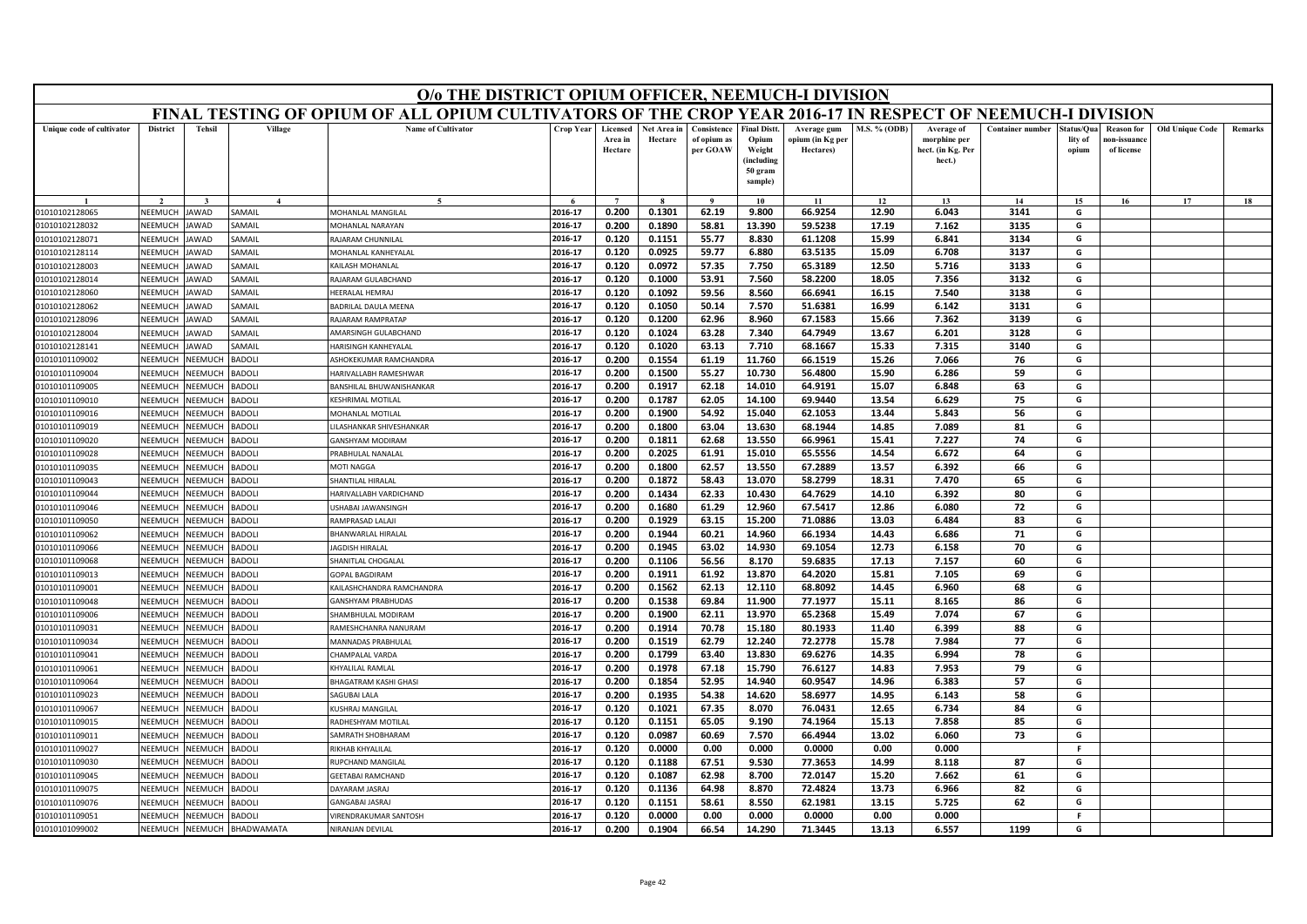|                                  | O/o THE DISTRICT OPIUM OFFICER, NEEMUCH-I DIVISION<br>FINAL TESTING OF OPIUM OF ALL OPIUM CULTIVATORS OF THE CROP YEAR 2016-17 IN RESPECT OF NEEMUCH-I DIVISION |                                 |                        |                                               |                    |                                |                        |                                        |                                                                            |                                              |                     |                                                           |                         |                               |                                                |                        |                |
|----------------------------------|-----------------------------------------------------------------------------------------------------------------------------------------------------------------|---------------------------------|------------------------|-----------------------------------------------|--------------------|--------------------------------|------------------------|----------------------------------------|----------------------------------------------------------------------------|----------------------------------------------|---------------------|-----------------------------------------------------------|-------------------------|-------------------------------|------------------------------------------------|------------------------|----------------|
|                                  |                                                                                                                                                                 |                                 |                        |                                               |                    |                                |                        |                                        |                                                                            |                                              |                     |                                                           |                         |                               |                                                |                        |                |
| Unique code of cultivator        | <b>District</b>                                                                                                                                                 | <b>Tehsil</b>                   | Village                | <b>Name of Cultivator</b>                     | Crop Year          | Licensed<br>Area in<br>Hectare | Net Area in<br>Hectare | Consistence<br>of opium as<br>per GOAW | <b>Final Distt.</b><br>Opium<br>Weight<br>(including<br>50 gram<br>sample) | Average gum<br>opium (in Kg per<br>Hectares) | <b>M.S. % (ODB)</b> | Average of<br>morphine per<br>hect. (in Kg. Per<br>hect.) | <b>Container number</b> | tatus/Qua<br>lity of<br>opium | <b>Reason</b> for<br>10n-issuanc<br>of license | <b>Old Unique Code</b> | <b>Remarks</b> |
|                                  |                                                                                                                                                                 |                                 |                        | $\sim$                                        |                    | $\overline{7}$                 |                        | $\bf{Q}$                               | 10                                                                         | 11                                           | 12                  | 13                                                        | 14                      | 15                            | 16                                             | 17                     | 18             |
| 01010102128065                   | NEEMUCH                                                                                                                                                         | AWAD                            | SAMAIL                 | MOHANLAL MANGILAL                             | 2016-17            | 0.200                          | 0.1301                 | 62.19                                  | 9.800                                                                      | 66.9254                                      | 12.90               | 6.043                                                     | 3141                    | G                             |                                                |                        |                |
| 01010102128032                   | NEEMUCH                                                                                                                                                         | <b>AWAD</b>                     | AMAIL                  | <b>JOHANLAL NARAYAN</b>                       | 2016-17            | 0.200                          | 0.1890                 | 58.81                                  | 13.390                                                                     | 59.5238                                      | 17.19               | 7.162                                                     | 3135                    | G                             |                                                |                        |                |
| 01010102128071                   | NEEMUCH                                                                                                                                                         | <b>AWAD</b>                     | <b>SAMAIL</b>          | <b>RAJARAM CHUNNILAL</b>                      | 2016-17            | 0.120                          | 0.1151                 | 55.77                                  | 8.830                                                                      | 61.1208                                      | 15.99               | 6.841                                                     | 3134                    | G                             |                                                |                        |                |
| 01010102128114                   | NEEMUCH                                                                                                                                                         | AWAD                            | AMAIL                  | MOHANLAL KANHEYALAL                           | 2016-17            | 0.120                          | 0.0925                 | 59.77                                  | 6.880                                                                      | 63.5135                                      | 15.09               | 6.708                                                     | 3137                    | G                             |                                                |                        |                |
| 01010102128003                   | NEEMUCH                                                                                                                                                         | <b>AWAD</b>                     | AMAII                  | <b>CAILASH MOHANLAL</b>                       | 2016-17            | 0.120                          | 0.0972                 | 57.35                                  | 7.750                                                                      | 65.3189                                      | 12.50               | 5.716                                                     | 3133                    | G                             |                                                |                        |                |
| 01010102128014                   | NEEMUCH                                                                                                                                                         | <b>AWAD</b>                     | <b>SAMAIL</b>          | AJARAM GULABCHAND                             | 2016-17            | 0.120                          | 0.1000                 | 53.91                                  | 7.560                                                                      | 58.2200                                      | 18.05               | 7.356                                                     | 3132                    | G                             |                                                |                        |                |
| 01010102128060                   | NEEMUCH                                                                                                                                                         | AWAD                            | <b>AMAIL</b>           | HEERALAL HEMRAJ                               | 2016-17            | 0.120                          | 0.1092                 | 59.56                                  | 8.560                                                                      | 66.6941                                      | 16.15               | 7.540                                                     | 3138                    | G                             |                                                |                        |                |
| 01010102128062                   | NEEMUCH                                                                                                                                                         | AWAD                            | AMAIL                  | ADRILAL DAULA MEENA                           | 2016-17            | 0.120                          | 0.1050                 | 50.14                                  | 7.570                                                                      | 51.6381                                      | 16.99               | 6.142                                                     | 3131                    | G                             |                                                |                        |                |
| 01010102128096                   | NEEMUCH                                                                                                                                                         | <b>AWAD</b>                     | <b>SAMAIL</b>          | RAJARAM RAMPRATAP                             | 2016-17            | 0.120                          | 0.1200                 | 62.96                                  | 8.960                                                                      | 67.1583                                      | 15.66               | 7.362                                                     | 3139                    | G                             |                                                |                        |                |
| 01010102128004                   | <b>NEEMUCH</b>                                                                                                                                                  | <b>AWAD</b>                     | <b>AMAIL</b>           | AMARSINGH GULABCHAND                          | 2016-17            | 0.120                          | 0.1024                 | 63.28                                  | 7.340                                                                      | 64.7949                                      | 13.67               | 6.201                                                     | 3128                    | G                             |                                                |                        |                |
| 01010102128141                   | NEEMUCH                                                                                                                                                         | AWAD                            | AMAIL                  | <b>IARISINGH KANHEYALAI</b>                   | 2016-17            | 0.120                          | 0.1020                 | 63.13                                  | 7.710                                                                      | 68.1667                                      | 15.33               | 7.315                                                     | 3140                    | G                             |                                                |                        |                |
| 01010101109002                   | NEEMUCH                                                                                                                                                         | NEEMUC                          | <b>BADOLI</b>          | <b>SHOKEKUMAR RAMCHANDRA</b>                  | 2016-17            | 0.200                          | 0.1554                 | 61.19                                  | 11.760                                                                     | 66.1519                                      | 15.26               | 7.066                                                     | 76                      | G                             |                                                |                        |                |
| 01010101109004                   | <b>NEEMUCH</b>                                                                                                                                                  | VEEMUCI                         | <b>BADOLI</b>          | HARIVALLABH RAMESHWAR                         | 2016-17            | 0.200                          | 0.1500                 | 55.27                                  | 10.730                                                                     | 56.4800                                      | 15.90               | 6.286                                                     | 59                      | G                             |                                                |                        |                |
| 01010101109005                   | NEEMUCH                                                                                                                                                         | VEEMUCI                         | <b>BADOLI</b>          | <b>BANSHILAL BHUWANISHANKAR</b>               | 2016-17            | 0.200                          | 0.1917                 | 62.18                                  | 14.010                                                                     | 64.9191                                      | 15.07               | 6.848                                                     | 63                      | G                             |                                                |                        |                |
| 01010101109010                   | NEEMUCH                                                                                                                                                         | <b>NEEMUCH</b>                  | ADOLI                  | <b>ESHRIMAL MOTILAL</b>                       | 2016-17            | 0.200                          | 0.1787                 | 62.05                                  | 14.100                                                                     | 69.9440                                      | 13.54               | 6.629                                                     | 75                      | G                             |                                                |                        |                |
| 01010101109016                   | NEEMUCH                                                                                                                                                         | VEEMUCI                         | <b>BADOLI</b>          | MOHANLAL MOTILAL                              | 2016-17            | 0.200                          | 0.1900                 | 54.92                                  | 15.040                                                                     | 62.1053                                      | 13.44               | 5.843                                                     | 56                      | G                             |                                                |                        |                |
| 01010101109019                   | NEEMUCH                                                                                                                                                         | VEEMUCH                         | <b>BADOLI</b>          | ILASHANKAR SHIVESHANKAR                       | 2016-17            | 0.200                          | 0.1800                 | 63.04                                  | 13.630                                                                     | 68.1944                                      | 14.85               | 7.089                                                     | 81                      | G                             |                                                |                        |                |
| 01010101109020                   | NEEMUCH                                                                                                                                                         | <b>JEEMUCI</b>                  | ADOLI                  | <b>ANSHYAM MODIRAM</b>                        | 2016-17            | 0.200                          | 0.1811                 | 62.68                                  | 13.550                                                                     | 66.9961                                      | 15.41               | 7.227                                                     | 74                      | G                             |                                                |                        |                |
| 01010101109028                   | NEEMUCH                                                                                                                                                         | VEEMUCI                         | <b>BADOLI</b>          | RABHULAL NANALAL                              | 2016-17            | 0.200                          | 0.2025                 | 61.91                                  | 15.010                                                                     | 65.5556                                      | 14.54               | 6.672                                                     | 64                      | G                             |                                                |                        |                |
| 01010101109035                   | NEEMUCH                                                                                                                                                         | <b>JEEMUCH</b>                  | ADOLI                  | MOTI NAGGA                                    | 2016-17            | 0.200                          | 0.1800                 | 62.57                                  | 13.550                                                                     | 67.2889                                      | 13.57               | 6.392                                                     | 66                      | G                             |                                                |                        |                |
| 01010101109043                   | NEEMUCH                                                                                                                                                         | <b>JEEMUCH</b>                  | ADOLI                  | HANTILAL HIRALAL                              | 2016-17            | 0.200                          | 0.1872                 | 58.43                                  | 13.070                                                                     | 58.2799                                      | 18.31               | 7.470                                                     | 65                      | G                             |                                                |                        |                |
| 01010101109044                   | NFFMUCH                                                                                                                                                         | <b>JEEMUCH</b>                  | ADOLI                  | <b>HARIVALLABH VARDICHAND</b>                 | 2016-17            | 0.200                          | 0.1434                 | 62.33                                  | 10.430                                                                     | 64.7629                                      | 14.10               | 6.392                                                     | 80                      | G                             |                                                |                        |                |
| 01010101109046                   | NEEMUCH                                                                                                                                                         | <b>NEEMUCH</b>                  | <b>BADOLI</b>          | ISHABAL JAWANSINGH                            | 2016-17            | 0.200                          | 0.1680                 | 61.29                                  | 12.960                                                                     | 67.5417                                      | 12.86               | 6.080                                                     | 72                      | G                             |                                                |                        |                |
| 01010101109050                   | NEEMUCH                                                                                                                                                         | <b>JEEMUC</b>                   | ADOLI                  | <b>RAMPRASAD LALAJ</b>                        | 2016-17            | 0.200                          | 0.1929                 | 63.15                                  | 15.200                                                                     | 71.0886                                      | 13.03               | 6.484                                                     | 83                      | G                             |                                                |                        |                |
| 01010101109062                   | NEEMUCH                                                                                                                                                         | <b>JEEMUCI</b>                  | <b>BADOLI</b>          | BHANWARLAL HIRALAL                            | 2016-17            | 0.200                          | 0.1944                 | 60.21                                  | 14.960                                                                     | 66.1934                                      | 14.43               | 6.686                                                     | 71                      | G                             |                                                |                        |                |
| 01010101109066                   | NEEMUCH                                                                                                                                                         | <b>JEEMUCH</b>                  | <b>BADOLI</b>          | <b>AGDISH HIRALAL</b>                         | 2016-17            | 0.200                          | 0.1945                 | 63.02                                  | 14.930                                                                     | 69.1054                                      | 12.73               | 6.158                                                     | 70                      | G                             |                                                |                        |                |
| 01010101109068                   | NEEMUCH                                                                                                                                                         | <b>JEEMUC</b>                   | ADOLI                  | HANITLAL CHOGALAI                             | 2016-17            | 0.200                          | 0.1106                 | 56.56                                  | 8.170                                                                      | 59.6835                                      | 17.13               | 7.157                                                     | 60                      | G                             |                                                |                        |                |
| 01010101109013                   | <b>NEEMUCH</b>                                                                                                                                                  | VEEMUCI                         | <b>BADOLI</b>          | <b>GOPAL BAGDIRAM</b>                         | 2016-17<br>2016-17 | 0.200                          | 0.1911                 | 61.92                                  | 13.870                                                                     | 64.2020<br>68.8092                           | 15.81               | 7.105                                                     | 69                      | G<br>G                        |                                                |                        |                |
| 01010101109001                   | NEEMUCH                                                                                                                                                         | <b>JEEMUCH</b>                  | <b>BADOLI</b>          | KAILASHCHANDRA RAMCHANDRA                     |                    | 0.200<br>0.200                 | 0.1562<br>0.1538       | 62.13<br>69.84                         | 12.110                                                                     |                                              | 14.45<br>15.11      | 6.960                                                     | 68<br>86                |                               |                                                |                        |                |
| 01010101109048<br>01010101109006 | NEEMUCH<br>NEEMUCH                                                                                                                                              | <b>JEEMUC</b><br><b>NEEMUCH</b> | ADOLI<br><b>BADOLI</b> | <b>ANSHYAM PRABHUDAS</b><br>HAMBHULAL MODIRAM | 2016-17<br>2016-17 | 0.200                          | 0.1900                 | 62.11                                  | 11.900<br>13.970                                                           | 77.1977<br>65.2368                           | 15.49               | 8.165<br>7.074                                            | 67                      | G<br>G                        |                                                |                        |                |
| 01010101109031                   | NFFMUCH                                                                                                                                                         | <b>JEEMUCH</b>                  | <b>HOQA</b>            | RAMESHCHANRA NANURAM                          | 2016-17            | 0.200                          | 0.1914                 | 70.78                                  | 15.180                                                                     | 80.1933                                      | 11.40               | 6.399                                                     | 88                      | G                             |                                                |                        |                |
| 01010101109034                   | NEEMUCH                                                                                                                                                         | <b>JEEMUCI</b>                  | <b>BADOLI</b>          | MANNADAS PRABHULA                             | 2016-17            | 0.200                          | 0.1519                 | 62.79                                  | 12.240                                                                     | 72.2778                                      | 15.78               | 7.984                                                     | 77                      | G                             |                                                |                        |                |
| 01010101109041                   | NEEMUCH                                                                                                                                                         | <b>JEEMUCH</b>                  | ADOLI                  | HAMPALAL VARDA                                | 2016-17            | 0.200                          | 0.1799                 | 63.40                                  | 13.830                                                                     | 69.6276                                      | 14.35               | 6.994                                                     | 78                      | G                             |                                                |                        |                |
| 01010101109061                   | NEEMUCH                                                                                                                                                         | <b>JEEMUCH</b>                  | <b>BADOLI</b>          | <b>CHYALILAL RAMLAL</b>                       | 2016-17            | 0.200                          | 0.1978                 | 67.18                                  | 15.790                                                                     | 76.6127                                      | 14.83               | 7.953                                                     | 79                      | G                             |                                                |                        |                |
| 01010101109064                   | NEEMUCH                                                                                                                                                         | VEEMUCI                         | <b>BADOLI</b>          | <b>BHAGATRAM KASHI GHASI</b>                  | 2016-17            | 0.200                          | 0.1854                 | 52.95                                  | 14.940                                                                     | 60.9547                                      | 14.96               | 6.383                                                     | 57                      | G                             |                                                |                        |                |
| 01010101109023                   | NEEMUCH                                                                                                                                                         | <b>JEEMUCH</b>                  | ADOLI                  | AGUBAI LALA                                   | 2016-17            | 0.200                          | 0.1935                 | 54.38                                  | 14.620                                                                     | 58.6977                                      | 14.95               | 6.143                                                     | 58                      | G                             |                                                |                        |                |
| 01010101109067                   | NEEMUCH                                                                                                                                                         | <b>JEEMUCH</b>                  | <b>BADOLI</b>          | USHRAJ MANGILAL                               | 2016-17            | 0.120                          | 0.1021                 | 67.35                                  | 8.070                                                                      | 76.0431                                      | 12.65               | 6.734                                                     | 84                      | G                             |                                                |                        |                |
| 01010101109015                   | NEEMUCH                                                                                                                                                         | NEEMUC                          | ADOLI                  | RADHESHYAM MOTILAL                            | 2016-17            | 0.120                          | 0.1151                 | 65.05                                  | 9.190                                                                      | 74.1964                                      | 15.13               | 7.858                                                     | 85                      | G                             |                                                |                        |                |
| 01010101109011                   | NEEMUCH                                                                                                                                                         | <b>NEEMUCH</b>                  | ADOLI                  | AMRATH SHOBHARAM                              | 2016-17            | 0.120                          | 0.0987                 | 60.69                                  | 7.570                                                                      | 66.4944                                      | 13.02               | 6.060                                                     | 73                      | G                             |                                                |                        |                |
| 01010101109027                   | NEEMUCH                                                                                                                                                         | <b>JEEMUCH</b>                  | <b>BADOLI</b>          | <b>IKHAB KHYALILAL</b>                        | 2016-17            | 0.120                          | 0.0000                 | 0.00                                   | 0.000                                                                      | 0.0000                                       | 0.00                | 0.000                                                     |                         | F.                            |                                                |                        |                |
| 01010101109030                   | NEEMUCH                                                                                                                                                         | VEEMUCI                         | <b>BADOLI</b>          | <b>RUPCHAND MANGILAL</b>                      | 2016-17            | 0.120                          | 0.1188                 | 67.51                                  | 9.530                                                                      | 77.3653                                      | 14.99               | 8.118                                                     | 87                      | G                             |                                                |                        |                |
| 01010101109045                   | NEEMUCH                                                                                                                                                         | <b>JEEMUCH</b>                  | ADOLI                  | <b>GEETABAI RAMCHAND</b>                      | 2016-17            | 0.120                          | 0.1087                 | 62.98                                  | 8.700                                                                      | 72.0147                                      | 15.20               | 7.662                                                     | 61                      | G                             |                                                |                        |                |
| 01010101109075                   | NEEMUCH                                                                                                                                                         | VEEMUCH                         | ADOLI                  | AYARAM JASRAJ                                 | 2016-17            | 0.120                          | 0.1136                 | 64.98                                  | 8.870                                                                      | 72.4824                                      | 13.73               | 6.966                                                     | 82                      | G                             |                                                |                        |                |
| 01010101109076                   | NEEMUCH                                                                                                                                                         | <b>NEEMUC</b>                   | <b>BADOLI</b>          | GANGABAI JASRAJ                               | 2016-17            | 0.120                          | 0.1151                 | 58.61                                  | 8.550                                                                      | 62.1981                                      | 13.15               | 5.725                                                     | 62                      | G                             |                                                |                        |                |
| 01010101109051                   | NEEMUCH                                                                                                                                                         | NEEMUCH                         | <b>BADOLI</b>          | <b>IRENDRAKUMAR SANTOSH</b>                   | 2016-17            | 0.120                          | 0.0000                 | 0.00                                   | 0.000                                                                      | 0.0000                                       | 0.00                | 0.000                                                     |                         | F.                            |                                                |                        |                |
| 01010101099002                   | NEEMUCH                                                                                                                                                         | NEEMUCH                         | BHADWAMATA             | NIRANJAN DEVILAL                              | 2016-17            | 0.200                          | 0.1904                 | 66.54                                  | 14.290                                                                     | 71.3445                                      | 13.13               | 6.557                                                     | 1199                    | G                             |                                                |                        |                |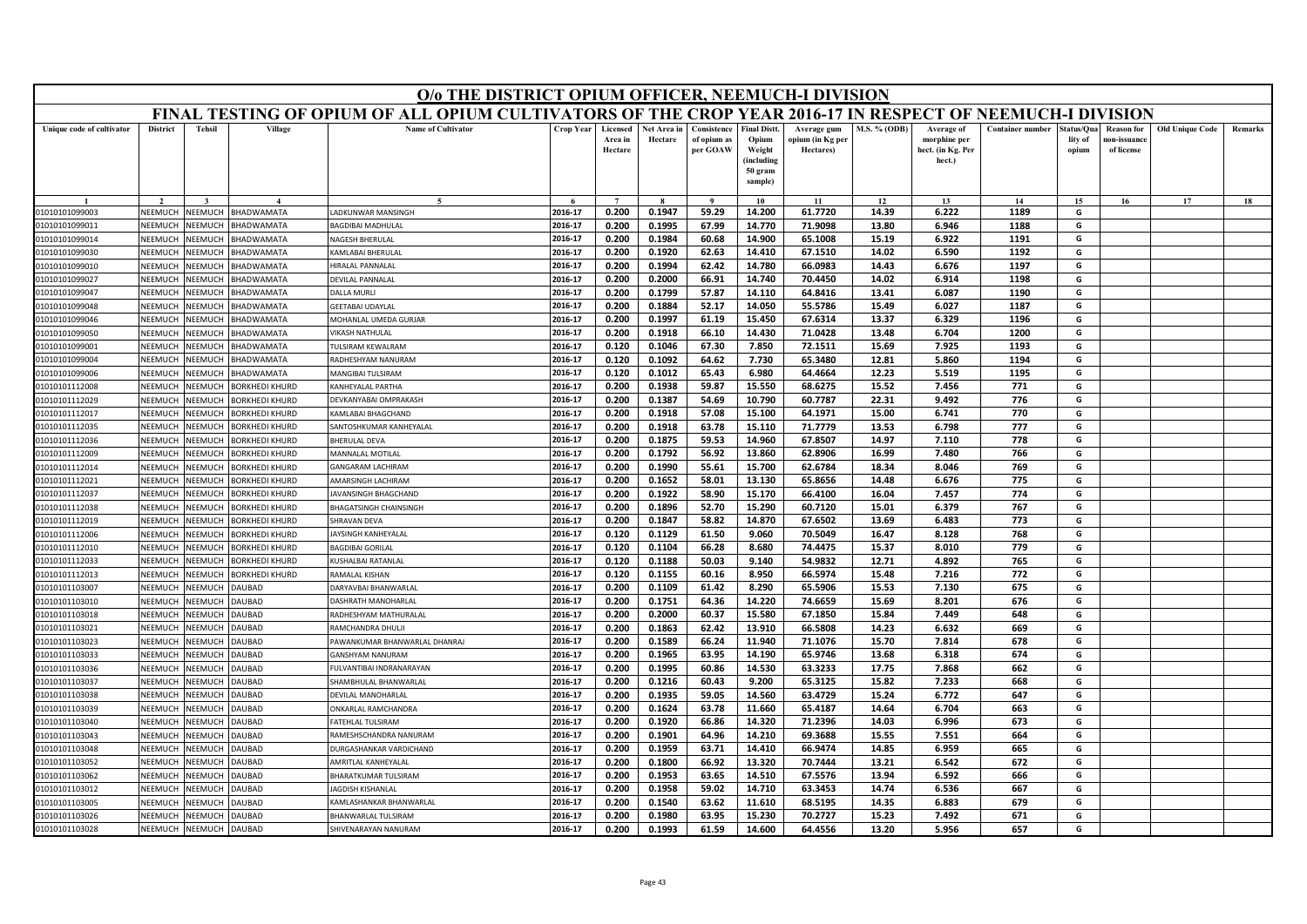| FINAL TESTING OF OPIUM OF ALL OPIUM CULTIVATORS OF THE CROP YEAR 2016-17 IN RESPECT OF NEEMUCH-I DIVISION<br><b>Name of Cultivator</b><br><b>District</b><br><b>Tehsil</b><br>Village<br>Crop Year<br>Consistence<br><b>Final Distt</b><br>M.S. % (ODB)<br><b>Container number</b><br><b>Old Unique Code</b><br>Unique code of cultivator<br>Licensed<br>Net Area in<br>Average gum<br>Average of<br>tatus/Qua<br><b>Reason</b> for<br>Remarks<br>Area in<br>Hectare<br>of opium as<br>Opium<br>opium (in Kg per<br>morphine per<br>lity of<br>10n-issuanc<br>per GOAW<br>Hectare<br>Weight<br>Hectares)<br>hect. (in Kg. Per<br>of license<br>opium<br>(including<br>hect.)<br>50 gram<br>sample)<br>15<br>17<br>18<br>10<br>11<br>12<br>13<br>14<br>16<br>2016-17<br>0.200<br>0.1947<br>59.29<br>14.200<br>61.7720<br>14.39<br>6.222<br>1189<br>G<br>NEEMUCH<br>BHADWAMATA<br>ADKUNWAR MANSINGH<br>01010101099003<br>NEEMUCH<br>2016-17<br>0.200<br>0.1995<br>67.99<br>14.770<br>71.9098<br>13.80<br>6.946<br>1188<br>G<br>01010101099011<br>NEEMUCH<br><b>JEEMUCH</b><br><b>HADWAMATA</b><br><b>AGDIBAI MADHULAL</b><br>2016-17<br>1191<br>G<br>NEEMUCH<br><b>NEEMUCH</b><br><b>BHADWAMATA</b><br><b>JAGESH BHERULAL</b><br>0.200<br>0.1984<br>60.68<br>14.900<br>65.1008<br>15.19<br>6.922<br>01010101099014<br><b>NEEMUCH</b><br>KAMLABAI BHERULAL<br>2016-17<br>0.200<br>0.1920<br>62.63<br>14.410<br>67.1510<br>14.02<br>6.590<br>1192<br>G<br>01010101099030<br><b>NEEMUCH</b><br>BHADWAMATA<br>2016-17<br>0.1994<br>62.42<br>66.0983<br>1197<br>G<br><b>IIRALAL PANNALAL</b><br>0.200<br>14.780<br>14.43<br>6.676<br>01010101099010<br>NEEMUCH<br><b>JEEMUCH</b><br><b>BHADWAMATA</b><br>70.4450<br>14.02<br>1198<br>2016-17<br>0.200<br>0.2000<br>66.91<br>14.740<br>6.914<br>G<br>NEEMUCH<br><b>JEEMUCH</b><br><b>BHADWAMATA</b><br><b>DEVILAL PANNALAL</b><br>01010101099027<br>57.87<br>64.8416<br>1190<br>NFFMUCH<br><b>JEEMUCH</b><br>BHADWAMATA<br>2016-17<br>0.200<br>0.1799<br>14.110<br>13.41<br>6.087<br>G<br>01010101099047<br>DALLA MURLI<br>0.1884<br>52.17<br>55.5786<br>1187<br>2016-17<br>0.200<br>14.050<br>15.49<br>6.027<br>G<br>NEEMUCH<br><b>JEEMUCH</b><br><b>BHADWAMATA</b><br>01010101099048<br><b>GEETABAI UDAYLAI</b><br>2016-17<br>0.200<br>0.1997<br>15.450<br>67.6314<br>13.37<br>6.329<br>1196<br>G<br>NEEMUCI<br>61.19<br>01010101099046<br><b>JEEMUC</b><br><b>BHADWAMATA</b><br><b>MOHANLAL UMEDA GURJAR</b><br>2016-17<br>0.200<br>0.1918<br>66.10<br>14.430<br>71.0428<br>13.48<br>6.704<br>1200<br>G<br>01010101099050<br>NEEMUCH<br><b>NEEMUCH</b><br>BHADWAMATA<br><b>/IKASH NATHULAL</b><br>2016-17<br>0.120<br>0.1046<br>67.30<br>7.850<br>72.1511<br>15.69<br>7.925<br>1193<br>G<br><b>IEEMUCH</b><br>BHADWAMATA<br>01010101099001<br>NEEMUCI<br>ULSIRAM KEWALRAM<br>2016-17<br>0.120<br>0.1092<br>64.62<br>7.730<br>65.3480<br>12.81<br>5.860<br>1194<br>G<br>NEEMUCH<br>01010101099004<br><b>JEEMUCI</b><br><b>BHADWAMATA</b><br><b>RADHESHYAM NANURAM</b><br><b>NEEMUCH</b><br>VEEMUCH<br>0.120<br>0.1012<br>65.43<br>6.980<br>64.4664<br>12.23<br>5.519<br>1195<br>01010101099006<br>BHADWAMATA<br>MANGIBAI TULSIRAM<br>2016-17<br>G<br>68.6275<br>15.52<br>771<br>NEEMUCH<br><b>JEEMUCH</b><br><b>BORKHEDI KHURD</b><br>2016-17<br>0.200<br>0.1938<br>59.87<br>15.550<br>7.456<br>G<br>01010101112008<br><b>CANHEYALAL PARTHA</b><br>60.7787<br>776<br>NEEMUCH<br><b>JEEMUCI</b><br>2016-17<br>0.200<br>0.1387<br>54.69<br>10.790<br>22.31<br>9.492<br>G<br>01010101112029<br><b>BORKHEDI KHURD</b><br>DEVKANYABAI OMPRAKASH<br>NEEMUCH<br><b>JEEMUCH</b><br>2016-17<br>0.200<br>0.1918<br>57.08<br>15.100<br>64.1971<br>15.00<br>6.741<br>770<br>G<br>01010101112017<br><b>BORKHEDI KHURD</b><br><b>KAMLABAI BHAGCHAND</b><br>01010101112035<br>NFFMUCH<br><b>JEEMUCH</b><br>2016-17<br>0.1918<br>15.110<br>71.7779<br>13.53<br>6.798<br>777<br>G<br><b>BORKHEDI KHURD</b><br>SANTOSHKUMAR KANHEYALAL<br>0.200<br>63.78<br>67.8507<br>778<br>01010101112036<br>NEEMUCH<br>2016-17<br>0.200<br>0.1875<br>59.53<br>14.960<br>14.97<br>7.110<br>G<br>VEEMUCI<br><b>BORKHEDI KHURD</b><br><b>BHERULAL DEVA</b><br>766<br>G<br>2016-17<br>0.200<br>0.1792<br>56.92<br>13.860<br>62.8906<br>16.99<br>7.480<br>01010101112009<br>NEEMUCH<br><b>JEEMUCH</b><br><b>BORKHEDI KHURD</b><br>MANNALAL MOTILAL<br>GANGARAM LACHIRAM<br>2016-17<br>0.200<br>0.1990<br>55.61<br>15.700<br>62.6784<br>18.34<br>8.046<br>769<br>G<br>01010101112014<br>NEEMUCH<br><b>NEEMUCH</b><br>BORKHEDI KHURD<br>65.8656<br>775<br>G<br>2016-17<br>0.200<br>0.1652<br>58.01<br>13.130<br>14.48<br>6.676<br>NEEMUCH<br>AMARSINGH LACHIRAM<br>01010101112021<br><b>JEEMUCH</b><br><b>ORKHEDI KHURD</b><br>NEEMUCH<br>2016-17<br>0.200<br>0.1922<br>58.90<br>15.170<br>66.4100<br>16.04<br>7.457<br>774<br>G<br>01010101112037<br><b>JEEMUCH</b><br><b>BORKHEDI KHURD</b><br>AVANSINGH BHAGCHAND<br>2016-17<br>60.7120<br>G<br>NEEMUCH<br><b>JEEMUCH</b><br>BHAGATSINGH CHAINSINGH<br>0.200<br>0.1896<br>52.70<br>15.290<br>15.01<br>6.379<br>767<br>01010101112038<br><b>BORKHEDI KHURD</b><br>2016-17<br>0.200<br>0.1847<br>58.82<br>14.870<br>67.6502<br>13.69<br>6.483<br>773<br>G<br>NEEMUCI<br>01010101112019<br><b>JEEMUCI</b><br><b>BORKHEDI KHURD</b><br><b>HRAVAN DEVA</b><br>768<br>2016-17<br>0.120<br>0.1129<br>61.50<br>9.060<br>70.5049<br>16.47<br>8.128<br>G<br>01010101112006<br>NEEMUCH<br><b>JEEMUCH</b><br><b>BORKHEDI KHURD</b><br>AYSINGH KANHEYALAL<br>2016-17<br>0.120<br>0.1104<br>66.28<br>8.680<br>74.4475<br>8.010<br>779<br>G<br>01010101112010<br>NEEMUCH<br><b>JEEMUCH</b><br>BORKHEDI KHURD<br>15.37<br>BAGDIBAI GORILAL<br>2016-17<br>0.120<br>0.1188<br>50.03<br>9.140<br>54.9832<br>12.71<br>4.892<br>765<br>G<br>01010101112033<br>NEEMUCI<br>VEEMUCI<br>BORKHEDI KHURD<br>(USHALBAI RATANLAI<br>772<br>2016-17<br>0.120<br>0.1155<br>60.16<br>8.950<br>66.5974<br>15.48<br>7.216<br>G<br>01010101112013<br>NEEMUCH<br><b>JEEMUCH</b><br><b>BORKHEDI KHURD</b><br><b>RAMALAL KISHAN</b><br>65.5906<br><b>JEEMUCH</b><br>2016-17<br>0.200<br>0.1109<br>61.42<br>8.290<br>15.53<br>7.130<br>675<br>G<br>01010101103007<br>NEEMUCH<br><b>AUBAD</b><br><b>DARYAVBAI BHANWARLAL</b><br>NEEMUCK<br>VEEMUCI<br>0.200<br>0.1751<br>64.36<br>14.220<br>74.6659<br>15.69<br>8.201<br>676<br>G<br>01010101103010<br><b>AUBAD</b><br>2016-17<br>DASHRATH MANOHARLAI<br>0.2000<br>60.37<br>67.1850<br>01010101103018<br>NEEMUCH<br><b>NEEMUCH</b><br>AUBAD<br>RADHESHYAM MATHURALAL<br>2016-17<br>0.200<br>15.580<br>15.84<br>7.449<br>648<br>G<br>NEEMUCH<br><b>JEEMUCH</b><br><b>AUBAD</b><br>2016-17<br>0.1863<br>62.42<br>13.910<br>66.5808<br>14.23<br>6.632<br>669<br>G<br>01010101103021<br><b>RAMCHANDRA DHULJI</b><br>0.200<br>NEEMUCH<br>VEEMUCI<br>AUBAD<br>2016-17<br>0.200<br>0.1589<br>66.24<br>11.940<br>71.1076<br>15.70<br>7.814<br>678<br>G<br>01010101103023<br>PAWANKUMAR BHANWARLAL DHANRAJ<br>NEEMUCH<br><b>NEEMUCH</b><br><b>AUBAD</b><br>2016-17<br>0.200<br>0.1965<br>63.95<br>14.190<br>65.9746<br>13.68<br>6.318<br>674<br>G<br>01010101103033<br>GANSHYAM NANURAM<br>662<br>G<br>01010101103036<br>VEEMUCI<br><b>JEEMUCH</b><br><b>AUBAD</b><br>ULVANTIBAI INDRANARAYAN<br>2016-17<br>0.200<br>0.1995<br>60.86<br>14.530<br>63.3233<br>17.75<br>7.868<br>NEEMUCH<br><b>JEEMUCH</b><br>AUBAD<br>2016-17<br>0.200<br>0.1216<br>60.43<br>9.200<br>65.3125<br>15.82<br>7.233<br>668<br>G<br>01010101103037<br>SHAMBHULAL BHANWARLAL<br>2016-17<br>0.1935<br>59.05<br>63.4729<br>647<br>G<br>0.200<br>14.560<br>15.24<br>6.772<br>01010101103038<br><b>NEEMUCH</b><br><b>JEEMUCH</b><br>AUBAD<br>DEVILAL MANOHARLAL<br>663<br>G<br><b>NEEMUCH</b><br><b>JEEMUCH</b><br>INKARLAL RAMCHANDRA<br>2016-17<br>0.200<br>0.1624<br>63.78<br>11.660<br>65.4187<br>14.64<br>6.704<br>01010101103039<br><b>AUBAD</b><br>2016-17<br>71.2396<br>NEEMUCH<br>VEEMUCH<br>AUBAD<br>0.200<br>0.1920<br>66.86<br>14.320<br>14.03<br>6.996<br>673<br>G<br>01010101103040<br>ATFHLAL TULSIRAM<br>0.1901<br>664<br>G<br>2016-17<br>0.200<br>64.96<br>14.210<br>69.3688<br>15.55<br>7.551<br>NEEMUCH<br>VEEMUCH<br><b>AUBAD</b><br>RAMESHSCHANDRA NANURAM<br>01010101103043<br>2016-17<br>0.200<br>0.1959<br>665<br>G<br>01010101103048<br>VEEMUCI<br><b><i>IEEMUCH</i></b><br><b>AUBAD</b><br><b>DURGASHANKAR VARDICHAND</b><br>63.71<br>14.410<br>66.9474<br>14.85<br>6.959<br>2016-17<br>0.1800<br>66.92<br>13.320<br>70.7444<br>13.21<br>6.542<br>672<br>G<br><b>NFFMUCH</b><br><b>JEEMUCI</b><br>AUBAD<br>0.200<br>01010101103052<br>AMRITLAL KANHEYALAL<br>2016-17<br>0.1953<br>63.65<br>67.5576<br>13.94<br>6.592<br>666<br><b>AUBAD</b><br>0.200<br>14.510<br>G<br>01010101103062<br>NEEMUCH<br><b>NEEMUCH</b><br><b>BHARATKUMAR TULSIRAM</b><br>0.200<br>0.1958<br>59.02<br>63.3453<br>667<br>G<br>2016-17<br>14.710<br>14.74<br>6.536<br>01010101103012<br>VEEMUCI<br><b>JEEMUCI</b><br>AUBAD<br><b>AGDISH KISHANLAL</b><br>2016-17<br>0.200<br>0.1540<br>63.62<br>11.610<br>68.5195<br>14.35<br>6.883<br>679<br>G<br>01010101103005<br>NEEMUCH<br><b>JEEMUCI</b><br>AUBAD<br><b>AMLASHANKAR BHANWARLAL</b><br>2016-17<br>0.200<br>0.1980<br>63.95<br>15.230<br>70.2727<br>15.23<br>7.492<br>671<br>G<br>NEEMUCH<br>VEEMUCH<br><b>AUBAD</b><br>01010101103026<br><b>BHANWARLAL TULSIRAM</b><br>0.200<br>0.1993<br>64.4556<br>2016-17<br>61.59<br>14.600<br>13.20<br>5.956<br>657<br>G<br>NEEMUCH<br>NEEMUCH<br><b>AUBAD</b><br>01010101103028<br>HIVENARAYAN NANURAM | O/o THE DISTRICT OPIUM OFFICER, NEEMUCH-I DIVISION |  |  |  |  |  |  |  |  |  |  |  |  |  |  |
|----------------------------------------------------------------------------------------------------------------------------------------------------------------------------------------------------------------------------------------------------------------------------------------------------------------------------------------------------------------------------------------------------------------------------------------------------------------------------------------------------------------------------------------------------------------------------------------------------------------------------------------------------------------------------------------------------------------------------------------------------------------------------------------------------------------------------------------------------------------------------------------------------------------------------------------------------------------------------------------------------------------------------------------------------------------------------------------------------------------------------------------------------------------------------------------------------------------------------------------------------------------------------------------------------------------------------------------------------------------------------------------------------------------------------------------------------------------------------------------------------------------------------------------------------------------------------------------------------------------------------------------------------------------------------------------------------------------------------------------------------------------------------------------------------------------------------------------------------------------------------------------------------------------------------------------------------------------------------------------------------------------------------------------------------------------------------------------------------------------------------------------------------------------------------------------------------------------------------------------------------------------------------------------------------------------------------------------------------------------------------------------------------------------------------------------------------------------------------------------------------------------------------------------------------------------------------------------------------------------------------------------------------------------------------------------------------------------------------------------------------------------------------------------------------------------------------------------------------------------------------------------------------------------------------------------------------------------------------------------------------------------------------------------------------------------------------------------------------------------------------------------------------------------------------------------------------------------------------------------------------------------------------------------------------------------------------------------------------------------------------------------------------------------------------------------------------------------------------------------------------------------------------------------------------------------------------------------------------------------------------------------------------------------------------------------------------------------------------------------------------------------------------------------------------------------------------------------------------------------------------------------------------------------------------------------------------------------------------------------------------------------------------------------------------------------------------------------------------------------------------------------------------------------------------------------------------------------------------------------------------------------------------------------------------------------------------------------------------------------------------------------------------------------------------------------------------------------------------------------------------------------------------------------------------------------------------------------------------------------------------------------------------------------------------------------------------------------------------------------------------------------------------------------------------------------------------------------------------------------------------------------------------------------------------------------------------------------------------------------------------------------------------------------------------------------------------------------------------------------------------------------------------------------------------------------------------------------------------------------------------------------------------------------------------------------------------------------------------------------------------------------------------------------------------------------------------------------------------------------------------------------------------------------------------------------------------------------------------------------------------------------------------------------------------------------------------------------------------------------------------------------------------------------------------------------------------------------------------------------------------------------------------------------------------------------------------------------------------------------------------------------------------------------------------------------------------------------------------------------------------------------------------------------------------------------------------------------------------------------------------------------------------------------------------------------------------------------------------------------------------------------------------------------------------------------------------------------------------------------------------------------------------------------------------------------------------------------------------------------------------------------------------------------------------------------------------------------------------------------------------------------------------------------------------------------------------------------------------------------------------------------------------------------------------------------------------------------------------------------------------------------------------------------------------------------------------------------------------------------------------------------------------------------------------------------------------------------------------------------------------------------------------------------------------------------------------------------------------------------------------------------------------------------------------------------------------------------------------------------------------------------------------------------------------------------------------------------------------------------------------------------------------------------------------------------------------------------------------------------------------------------------------------------------------------------------------------------------------------------------------------------------------------------------------------------------------------------------------------------------------------------------------------------------------------------------------------------------------------------------------------------------------------------------------------------------------------------------------------------------------------------------------------------------------------------------------------------------------------------------------------------------------------------------------------------------------------------------------------------------------------------------------------------------------------------------------------------------------------------------------------------------------------------------------------------------------------------------------------------------------------------------------------------------------------------------------------------------------------------------------------------------------------------------------------------------------------------------------------------------------------------------------------------------------------------------------------------------------------------------------------------------------------------------------------------------------------------------------------------------------------------------------------------------------------------------------------------------------------------------------------------------------------------------------------------------------------------------------------------------------------------------------------|----------------------------------------------------|--|--|--|--|--|--|--|--|--|--|--|--|--|--|
|                                                                                                                                                                                                                                                                                                                                                                                                                                                                                                                                                                                                                                                                                                                                                                                                                                                                                                                                                                                                                                                                                                                                                                                                                                                                                                                                                                                                                                                                                                                                                                                                                                                                                                                                                                                                                                                                                                                                                                                                                                                                                                                                                                                                                                                                                                                                                                                                                                                                                                                                                                                                                                                                                                                                                                                                                                                                                                                                                                                                                                                                                                                                                                                                                                                                                                                                                                                                                                                                                                                                                                                                                                                                                                                                                                                                                                                                                                                                                                                                                                                                                                                                                                                                                                                                                                                                                                                                                                                                                                                                                                                                                                                                                                                                                                                                                                                                                                                                                                                                                                                                                                                                                                                                                                                                                                                                                                                                                                                                                                                                                                                                                                                                                                                                                                                                                                                                                                                                                                                                                                                                                                                                                                                                                                                                                                                                                                                                                                                                                                                                                                                                                                                                                                                                                                                                                                                                                                                                                                                                                                                                                                                                                                                                                                                                                                                                                                                                                                                                                                                                                                                                                                                                                                                                                                                                                                                                                                                                                                                                                                                                                                                                                                                                                                                                                                                                                                                                                                                                                                                                                                                                                                                                                                                                                                                                                                                                                                                                                                                                                                                                                                                                                                                                                                                                                                                                                                                                                                                                                                                                  |                                                    |  |  |  |  |  |  |  |  |  |  |  |  |  |  |
|                                                                                                                                                                                                                                                                                                                                                                                                                                                                                                                                                                                                                                                                                                                                                                                                                                                                                                                                                                                                                                                                                                                                                                                                                                                                                                                                                                                                                                                                                                                                                                                                                                                                                                                                                                                                                                                                                                                                                                                                                                                                                                                                                                                                                                                                                                                                                                                                                                                                                                                                                                                                                                                                                                                                                                                                                                                                                                                                                                                                                                                                                                                                                                                                                                                                                                                                                                                                                                                                                                                                                                                                                                                                                                                                                                                                                                                                                                                                                                                                                                                                                                                                                                                                                                                                                                                                                                                                                                                                                                                                                                                                                                                                                                                                                                                                                                                                                                                                                                                                                                                                                                                                                                                                                                                                                                                                                                                                                                                                                                                                                                                                                                                                                                                                                                                                                                                                                                                                                                                                                                                                                                                                                                                                                                                                                                                                                                                                                                                                                                                                                                                                                                                                                                                                                                                                                                                                                                                                                                                                                                                                                                                                                                                                                                                                                                                                                                                                                                                                                                                                                                                                                                                                                                                                                                                                                                                                                                                                                                                                                                                                                                                                                                                                                                                                                                                                                                                                                                                                                                                                                                                                                                                                                                                                                                                                                                                                                                                                                                                                                                                                                                                                                                                                                                                                                                                                                                                                                                                                                                                                  |                                                    |  |  |  |  |  |  |  |  |  |  |  |  |  |  |
|                                                                                                                                                                                                                                                                                                                                                                                                                                                                                                                                                                                                                                                                                                                                                                                                                                                                                                                                                                                                                                                                                                                                                                                                                                                                                                                                                                                                                                                                                                                                                                                                                                                                                                                                                                                                                                                                                                                                                                                                                                                                                                                                                                                                                                                                                                                                                                                                                                                                                                                                                                                                                                                                                                                                                                                                                                                                                                                                                                                                                                                                                                                                                                                                                                                                                                                                                                                                                                                                                                                                                                                                                                                                                                                                                                                                                                                                                                                                                                                                                                                                                                                                                                                                                                                                                                                                                                                                                                                                                                                                                                                                                                                                                                                                                                                                                                                                                                                                                                                                                                                                                                                                                                                                                                                                                                                                                                                                                                                                                                                                                                                                                                                                                                                                                                                                                                                                                                                                                                                                                                                                                                                                                                                                                                                                                                                                                                                                                                                                                                                                                                                                                                                                                                                                                                                                                                                                                                                                                                                                                                                                                                                                                                                                                                                                                                                                                                                                                                                                                                                                                                                                                                                                                                                                                                                                                                                                                                                                                                                                                                                                                                                                                                                                                                                                                                                                                                                                                                                                                                                                                                                                                                                                                                                                                                                                                                                                                                                                                                                                                                                                                                                                                                                                                                                                                                                                                                                                                                                                                                                                  |                                                    |  |  |  |  |  |  |  |  |  |  |  |  |  |  |
|                                                                                                                                                                                                                                                                                                                                                                                                                                                                                                                                                                                                                                                                                                                                                                                                                                                                                                                                                                                                                                                                                                                                                                                                                                                                                                                                                                                                                                                                                                                                                                                                                                                                                                                                                                                                                                                                                                                                                                                                                                                                                                                                                                                                                                                                                                                                                                                                                                                                                                                                                                                                                                                                                                                                                                                                                                                                                                                                                                                                                                                                                                                                                                                                                                                                                                                                                                                                                                                                                                                                                                                                                                                                                                                                                                                                                                                                                                                                                                                                                                                                                                                                                                                                                                                                                                                                                                                                                                                                                                                                                                                                                                                                                                                                                                                                                                                                                                                                                                                                                                                                                                                                                                                                                                                                                                                                                                                                                                                                                                                                                                                                                                                                                                                                                                                                                                                                                                                                                                                                                                                                                                                                                                                                                                                                                                                                                                                                                                                                                                                                                                                                                                                                                                                                                                                                                                                                                                                                                                                                                                                                                                                                                                                                                                                                                                                                                                                                                                                                                                                                                                                                                                                                                                                                                                                                                                                                                                                                                                                                                                                                                                                                                                                                                                                                                                                                                                                                                                                                                                                                                                                                                                                                                                                                                                                                                                                                                                                                                                                                                                                                                                                                                                                                                                                                                                                                                                                                                                                                                                                                  |                                                    |  |  |  |  |  |  |  |  |  |  |  |  |  |  |
|                                                                                                                                                                                                                                                                                                                                                                                                                                                                                                                                                                                                                                                                                                                                                                                                                                                                                                                                                                                                                                                                                                                                                                                                                                                                                                                                                                                                                                                                                                                                                                                                                                                                                                                                                                                                                                                                                                                                                                                                                                                                                                                                                                                                                                                                                                                                                                                                                                                                                                                                                                                                                                                                                                                                                                                                                                                                                                                                                                                                                                                                                                                                                                                                                                                                                                                                                                                                                                                                                                                                                                                                                                                                                                                                                                                                                                                                                                                                                                                                                                                                                                                                                                                                                                                                                                                                                                                                                                                                                                                                                                                                                                                                                                                                                                                                                                                                                                                                                                                                                                                                                                                                                                                                                                                                                                                                                                                                                                                                                                                                                                                                                                                                                                                                                                                                                                                                                                                                                                                                                                                                                                                                                                                                                                                                                                                                                                                                                                                                                                                                                                                                                                                                                                                                                                                                                                                                                                                                                                                                                                                                                                                                                                                                                                                                                                                                                                                                                                                                                                                                                                                                                                                                                                                                                                                                                                                                                                                                                                                                                                                                                                                                                                                                                                                                                                                                                                                                                                                                                                                                                                                                                                                                                                                                                                                                                                                                                                                                                                                                                                                                                                                                                                                                                                                                                                                                                                                                                                                                                                                                  |                                                    |  |  |  |  |  |  |  |  |  |  |  |  |  |  |
|                                                                                                                                                                                                                                                                                                                                                                                                                                                                                                                                                                                                                                                                                                                                                                                                                                                                                                                                                                                                                                                                                                                                                                                                                                                                                                                                                                                                                                                                                                                                                                                                                                                                                                                                                                                                                                                                                                                                                                                                                                                                                                                                                                                                                                                                                                                                                                                                                                                                                                                                                                                                                                                                                                                                                                                                                                                                                                                                                                                                                                                                                                                                                                                                                                                                                                                                                                                                                                                                                                                                                                                                                                                                                                                                                                                                                                                                                                                                                                                                                                                                                                                                                                                                                                                                                                                                                                                                                                                                                                                                                                                                                                                                                                                                                                                                                                                                                                                                                                                                                                                                                                                                                                                                                                                                                                                                                                                                                                                                                                                                                                                                                                                                                                                                                                                                                                                                                                                                                                                                                                                                                                                                                                                                                                                                                                                                                                                                                                                                                                                                                                                                                                                                                                                                                                                                                                                                                                                                                                                                                                                                                                                                                                                                                                                                                                                                                                                                                                                                                                                                                                                                                                                                                                                                                                                                                                                                                                                                                                                                                                                                                                                                                                                                                                                                                                                                                                                                                                                                                                                                                                                                                                                                                                                                                                                                                                                                                                                                                                                                                                                                                                                                                                                                                                                                                                                                                                                                                                                                                                                                  |                                                    |  |  |  |  |  |  |  |  |  |  |  |  |  |  |
|                                                                                                                                                                                                                                                                                                                                                                                                                                                                                                                                                                                                                                                                                                                                                                                                                                                                                                                                                                                                                                                                                                                                                                                                                                                                                                                                                                                                                                                                                                                                                                                                                                                                                                                                                                                                                                                                                                                                                                                                                                                                                                                                                                                                                                                                                                                                                                                                                                                                                                                                                                                                                                                                                                                                                                                                                                                                                                                                                                                                                                                                                                                                                                                                                                                                                                                                                                                                                                                                                                                                                                                                                                                                                                                                                                                                                                                                                                                                                                                                                                                                                                                                                                                                                                                                                                                                                                                                                                                                                                                                                                                                                                                                                                                                                                                                                                                                                                                                                                                                                                                                                                                                                                                                                                                                                                                                                                                                                                                                                                                                                                                                                                                                                                                                                                                                                                                                                                                                                                                                                                                                                                                                                                                                                                                                                                                                                                                                                                                                                                                                                                                                                                                                                                                                                                                                                                                                                                                                                                                                                                                                                                                                                                                                                                                                                                                                                                                                                                                                                                                                                                                                                                                                                                                                                                                                                                                                                                                                                                                                                                                                                                                                                                                                                                                                                                                                                                                                                                                                                                                                                                                                                                                                                                                                                                                                                                                                                                                                                                                                                                                                                                                                                                                                                                                                                                                                                                                                                                                                                                                                  |                                                    |  |  |  |  |  |  |  |  |  |  |  |  |  |  |
|                                                                                                                                                                                                                                                                                                                                                                                                                                                                                                                                                                                                                                                                                                                                                                                                                                                                                                                                                                                                                                                                                                                                                                                                                                                                                                                                                                                                                                                                                                                                                                                                                                                                                                                                                                                                                                                                                                                                                                                                                                                                                                                                                                                                                                                                                                                                                                                                                                                                                                                                                                                                                                                                                                                                                                                                                                                                                                                                                                                                                                                                                                                                                                                                                                                                                                                                                                                                                                                                                                                                                                                                                                                                                                                                                                                                                                                                                                                                                                                                                                                                                                                                                                                                                                                                                                                                                                                                                                                                                                                                                                                                                                                                                                                                                                                                                                                                                                                                                                                                                                                                                                                                                                                                                                                                                                                                                                                                                                                                                                                                                                                                                                                                                                                                                                                                                                                                                                                                                                                                                                                                                                                                                                                                                                                                                                                                                                                                                                                                                                                                                                                                                                                                                                                                                                                                                                                                                                                                                                                                                                                                                                                                                                                                                                                                                                                                                                                                                                                                                                                                                                                                                                                                                                                                                                                                                                                                                                                                                                                                                                                                                                                                                                                                                                                                                                                                                                                                                                                                                                                                                                                                                                                                                                                                                                                                                                                                                                                                                                                                                                                                                                                                                                                                                                                                                                                                                                                                                                                                                                                                  |                                                    |  |  |  |  |  |  |  |  |  |  |  |  |  |  |
|                                                                                                                                                                                                                                                                                                                                                                                                                                                                                                                                                                                                                                                                                                                                                                                                                                                                                                                                                                                                                                                                                                                                                                                                                                                                                                                                                                                                                                                                                                                                                                                                                                                                                                                                                                                                                                                                                                                                                                                                                                                                                                                                                                                                                                                                                                                                                                                                                                                                                                                                                                                                                                                                                                                                                                                                                                                                                                                                                                                                                                                                                                                                                                                                                                                                                                                                                                                                                                                                                                                                                                                                                                                                                                                                                                                                                                                                                                                                                                                                                                                                                                                                                                                                                                                                                                                                                                                                                                                                                                                                                                                                                                                                                                                                                                                                                                                                                                                                                                                                                                                                                                                                                                                                                                                                                                                                                                                                                                                                                                                                                                                                                                                                                                                                                                                                                                                                                                                                                                                                                                                                                                                                                                                                                                                                                                                                                                                                                                                                                                                                                                                                                                                                                                                                                                                                                                                                                                                                                                                                                                                                                                                                                                                                                                                                                                                                                                                                                                                                                                                                                                                                                                                                                                                                                                                                                                                                                                                                                                                                                                                                                                                                                                                                                                                                                                                                                                                                                                                                                                                                                                                                                                                                                                                                                                                                                                                                                                                                                                                                                                                                                                                                                                                                                                                                                                                                                                                                                                                                                                                                  |                                                    |  |  |  |  |  |  |  |  |  |  |  |  |  |  |
|                                                                                                                                                                                                                                                                                                                                                                                                                                                                                                                                                                                                                                                                                                                                                                                                                                                                                                                                                                                                                                                                                                                                                                                                                                                                                                                                                                                                                                                                                                                                                                                                                                                                                                                                                                                                                                                                                                                                                                                                                                                                                                                                                                                                                                                                                                                                                                                                                                                                                                                                                                                                                                                                                                                                                                                                                                                                                                                                                                                                                                                                                                                                                                                                                                                                                                                                                                                                                                                                                                                                                                                                                                                                                                                                                                                                                                                                                                                                                                                                                                                                                                                                                                                                                                                                                                                                                                                                                                                                                                                                                                                                                                                                                                                                                                                                                                                                                                                                                                                                                                                                                                                                                                                                                                                                                                                                                                                                                                                                                                                                                                                                                                                                                                                                                                                                                                                                                                                                                                                                                                                                                                                                                                                                                                                                                                                                                                                                                                                                                                                                                                                                                                                                                                                                                                                                                                                                                                                                                                                                                                                                                                                                                                                                                                                                                                                                                                                                                                                                                                                                                                                                                                                                                                                                                                                                                                                                                                                                                                                                                                                                                                                                                                                                                                                                                                                                                                                                                                                                                                                                                                                                                                                                                                                                                                                                                                                                                                                                                                                                                                                                                                                                                                                                                                                                                                                                                                                                                                                                                                                                  |                                                    |  |  |  |  |  |  |  |  |  |  |  |  |  |  |
|                                                                                                                                                                                                                                                                                                                                                                                                                                                                                                                                                                                                                                                                                                                                                                                                                                                                                                                                                                                                                                                                                                                                                                                                                                                                                                                                                                                                                                                                                                                                                                                                                                                                                                                                                                                                                                                                                                                                                                                                                                                                                                                                                                                                                                                                                                                                                                                                                                                                                                                                                                                                                                                                                                                                                                                                                                                                                                                                                                                                                                                                                                                                                                                                                                                                                                                                                                                                                                                                                                                                                                                                                                                                                                                                                                                                                                                                                                                                                                                                                                                                                                                                                                                                                                                                                                                                                                                                                                                                                                                                                                                                                                                                                                                                                                                                                                                                                                                                                                                                                                                                                                                                                                                                                                                                                                                                                                                                                                                                                                                                                                                                                                                                                                                                                                                                                                                                                                                                                                                                                                                                                                                                                                                                                                                                                                                                                                                                                                                                                                                                                                                                                                                                                                                                                                                                                                                                                                                                                                                                                                                                                                                                                                                                                                                                                                                                                                                                                                                                                                                                                                                                                                                                                                                                                                                                                                                                                                                                                                                                                                                                                                                                                                                                                                                                                                                                                                                                                                                                                                                                                                                                                                                                                                                                                                                                                                                                                                                                                                                                                                                                                                                                                                                                                                                                                                                                                                                                                                                                                                                                  |                                                    |  |  |  |  |  |  |  |  |  |  |  |  |  |  |
|                                                                                                                                                                                                                                                                                                                                                                                                                                                                                                                                                                                                                                                                                                                                                                                                                                                                                                                                                                                                                                                                                                                                                                                                                                                                                                                                                                                                                                                                                                                                                                                                                                                                                                                                                                                                                                                                                                                                                                                                                                                                                                                                                                                                                                                                                                                                                                                                                                                                                                                                                                                                                                                                                                                                                                                                                                                                                                                                                                                                                                                                                                                                                                                                                                                                                                                                                                                                                                                                                                                                                                                                                                                                                                                                                                                                                                                                                                                                                                                                                                                                                                                                                                                                                                                                                                                                                                                                                                                                                                                                                                                                                                                                                                                                                                                                                                                                                                                                                                                                                                                                                                                                                                                                                                                                                                                                                                                                                                                                                                                                                                                                                                                                                                                                                                                                                                                                                                                                                                                                                                                                                                                                                                                                                                                                                                                                                                                                                                                                                                                                                                                                                                                                                                                                                                                                                                                                                                                                                                                                                                                                                                                                                                                                                                                                                                                                                                                                                                                                                                                                                                                                                                                                                                                                                                                                                                                                                                                                                                                                                                                                                                                                                                                                                                                                                                                                                                                                                                                                                                                                                                                                                                                                                                                                                                                                                                                                                                                                                                                                                                                                                                                                                                                                                                                                                                                                                                                                                                                                                                                                  |                                                    |  |  |  |  |  |  |  |  |  |  |  |  |  |  |
|                                                                                                                                                                                                                                                                                                                                                                                                                                                                                                                                                                                                                                                                                                                                                                                                                                                                                                                                                                                                                                                                                                                                                                                                                                                                                                                                                                                                                                                                                                                                                                                                                                                                                                                                                                                                                                                                                                                                                                                                                                                                                                                                                                                                                                                                                                                                                                                                                                                                                                                                                                                                                                                                                                                                                                                                                                                                                                                                                                                                                                                                                                                                                                                                                                                                                                                                                                                                                                                                                                                                                                                                                                                                                                                                                                                                                                                                                                                                                                                                                                                                                                                                                                                                                                                                                                                                                                                                                                                                                                                                                                                                                                                                                                                                                                                                                                                                                                                                                                                                                                                                                                                                                                                                                                                                                                                                                                                                                                                                                                                                                                                                                                                                                                                                                                                                                                                                                                                                                                                                                                                                                                                                                                                                                                                                                                                                                                                                                                                                                                                                                                                                                                                                                                                                                                                                                                                                                                                                                                                                                                                                                                                                                                                                                                                                                                                                                                                                                                                                                                                                                                                                                                                                                                                                                                                                                                                                                                                                                                                                                                                                                                                                                                                                                                                                                                                                                                                                                                                                                                                                                                                                                                                                                                                                                                                                                                                                                                                                                                                                                                                                                                                                                                                                                                                                                                                                                                                                                                                                                                                                  |                                                    |  |  |  |  |  |  |  |  |  |  |  |  |  |  |
|                                                                                                                                                                                                                                                                                                                                                                                                                                                                                                                                                                                                                                                                                                                                                                                                                                                                                                                                                                                                                                                                                                                                                                                                                                                                                                                                                                                                                                                                                                                                                                                                                                                                                                                                                                                                                                                                                                                                                                                                                                                                                                                                                                                                                                                                                                                                                                                                                                                                                                                                                                                                                                                                                                                                                                                                                                                                                                                                                                                                                                                                                                                                                                                                                                                                                                                                                                                                                                                                                                                                                                                                                                                                                                                                                                                                                                                                                                                                                                                                                                                                                                                                                                                                                                                                                                                                                                                                                                                                                                                                                                                                                                                                                                                                                                                                                                                                                                                                                                                                                                                                                                                                                                                                                                                                                                                                                                                                                                                                                                                                                                                                                                                                                                                                                                                                                                                                                                                                                                                                                                                                                                                                                                                                                                                                                                                                                                                                                                                                                                                                                                                                                                                                                                                                                                                                                                                                                                                                                                                                                                                                                                                                                                                                                                                                                                                                                                                                                                                                                                                                                                                                                                                                                                                                                                                                                                                                                                                                                                                                                                                                                                                                                                                                                                                                                                                                                                                                                                                                                                                                                                                                                                                                                                                                                                                                                                                                                                                                                                                                                                                                                                                                                                                                                                                                                                                                                                                                                                                                                                                                  |                                                    |  |  |  |  |  |  |  |  |  |  |  |  |  |  |
|                                                                                                                                                                                                                                                                                                                                                                                                                                                                                                                                                                                                                                                                                                                                                                                                                                                                                                                                                                                                                                                                                                                                                                                                                                                                                                                                                                                                                                                                                                                                                                                                                                                                                                                                                                                                                                                                                                                                                                                                                                                                                                                                                                                                                                                                                                                                                                                                                                                                                                                                                                                                                                                                                                                                                                                                                                                                                                                                                                                                                                                                                                                                                                                                                                                                                                                                                                                                                                                                                                                                                                                                                                                                                                                                                                                                                                                                                                                                                                                                                                                                                                                                                                                                                                                                                                                                                                                                                                                                                                                                                                                                                                                                                                                                                                                                                                                                                                                                                                                                                                                                                                                                                                                                                                                                                                                                                                                                                                                                                                                                                                                                                                                                                                                                                                                                                                                                                                                                                                                                                                                                                                                                                                                                                                                                                                                                                                                                                                                                                                                                                                                                                                                                                                                                                                                                                                                                                                                                                                                                                                                                                                                                                                                                                                                                                                                                                                                                                                                                                                                                                                                                                                                                                                                                                                                                                                                                                                                                                                                                                                                                                                                                                                                                                                                                                                                                                                                                                                                                                                                                                                                                                                                                                                                                                                                                                                                                                                                                                                                                                                                                                                                                                                                                                                                                                                                                                                                                                                                                                                                                  |                                                    |  |  |  |  |  |  |  |  |  |  |  |  |  |  |
|                                                                                                                                                                                                                                                                                                                                                                                                                                                                                                                                                                                                                                                                                                                                                                                                                                                                                                                                                                                                                                                                                                                                                                                                                                                                                                                                                                                                                                                                                                                                                                                                                                                                                                                                                                                                                                                                                                                                                                                                                                                                                                                                                                                                                                                                                                                                                                                                                                                                                                                                                                                                                                                                                                                                                                                                                                                                                                                                                                                                                                                                                                                                                                                                                                                                                                                                                                                                                                                                                                                                                                                                                                                                                                                                                                                                                                                                                                                                                                                                                                                                                                                                                                                                                                                                                                                                                                                                                                                                                                                                                                                                                                                                                                                                                                                                                                                                                                                                                                                                                                                                                                                                                                                                                                                                                                                                                                                                                                                                                                                                                                                                                                                                                                                                                                                                                                                                                                                                                                                                                                                                                                                                                                                                                                                                                                                                                                                                                                                                                                                                                                                                                                                                                                                                                                                                                                                                                                                                                                                                                                                                                                                                                                                                                                                                                                                                                                                                                                                                                                                                                                                                                                                                                                                                                                                                                                                                                                                                                                                                                                                                                                                                                                                                                                                                                                                                                                                                                                                                                                                                                                                                                                                                                                                                                                                                                                                                                                                                                                                                                                                                                                                                                                                                                                                                                                                                                                                                                                                                                                                                  |                                                    |  |  |  |  |  |  |  |  |  |  |  |  |  |  |
|                                                                                                                                                                                                                                                                                                                                                                                                                                                                                                                                                                                                                                                                                                                                                                                                                                                                                                                                                                                                                                                                                                                                                                                                                                                                                                                                                                                                                                                                                                                                                                                                                                                                                                                                                                                                                                                                                                                                                                                                                                                                                                                                                                                                                                                                                                                                                                                                                                                                                                                                                                                                                                                                                                                                                                                                                                                                                                                                                                                                                                                                                                                                                                                                                                                                                                                                                                                                                                                                                                                                                                                                                                                                                                                                                                                                                                                                                                                                                                                                                                                                                                                                                                                                                                                                                                                                                                                                                                                                                                                                                                                                                                                                                                                                                                                                                                                                                                                                                                                                                                                                                                                                                                                                                                                                                                                                                                                                                                                                                                                                                                                                                                                                                                                                                                                                                                                                                                                                                                                                                                                                                                                                                                                                                                                                                                                                                                                                                                                                                                                                                                                                                                                                                                                                                                                                                                                                                                                                                                                                                                                                                                                                                                                                                                                                                                                                                                                                                                                                                                                                                                                                                                                                                                                                                                                                                                                                                                                                                                                                                                                                                                                                                                                                                                                                                                                                                                                                                                                                                                                                                                                                                                                                                                                                                                                                                                                                                                                                                                                                                                                                                                                                                                                                                                                                                                                                                                                                                                                                                                                                  |                                                    |  |  |  |  |  |  |  |  |  |  |  |  |  |  |
|                                                                                                                                                                                                                                                                                                                                                                                                                                                                                                                                                                                                                                                                                                                                                                                                                                                                                                                                                                                                                                                                                                                                                                                                                                                                                                                                                                                                                                                                                                                                                                                                                                                                                                                                                                                                                                                                                                                                                                                                                                                                                                                                                                                                                                                                                                                                                                                                                                                                                                                                                                                                                                                                                                                                                                                                                                                                                                                                                                                                                                                                                                                                                                                                                                                                                                                                                                                                                                                                                                                                                                                                                                                                                                                                                                                                                                                                                                                                                                                                                                                                                                                                                                                                                                                                                                                                                                                                                                                                                                                                                                                                                                                                                                                                                                                                                                                                                                                                                                                                                                                                                                                                                                                                                                                                                                                                                                                                                                                                                                                                                                                                                                                                                                                                                                                                                                                                                                                                                                                                                                                                                                                                                                                                                                                                                                                                                                                                                                                                                                                                                                                                                                                                                                                                                                                                                                                                                                                                                                                                                                                                                                                                                                                                                                                                                                                                                                                                                                                                                                                                                                                                                                                                                                                                                                                                                                                                                                                                                                                                                                                                                                                                                                                                                                                                                                                                                                                                                                                                                                                                                                                                                                                                                                                                                                                                                                                                                                                                                                                                                                                                                                                                                                                                                                                                                                                                                                                                                                                                                                                                  |                                                    |  |  |  |  |  |  |  |  |  |  |  |  |  |  |
|                                                                                                                                                                                                                                                                                                                                                                                                                                                                                                                                                                                                                                                                                                                                                                                                                                                                                                                                                                                                                                                                                                                                                                                                                                                                                                                                                                                                                                                                                                                                                                                                                                                                                                                                                                                                                                                                                                                                                                                                                                                                                                                                                                                                                                                                                                                                                                                                                                                                                                                                                                                                                                                                                                                                                                                                                                                                                                                                                                                                                                                                                                                                                                                                                                                                                                                                                                                                                                                                                                                                                                                                                                                                                                                                                                                                                                                                                                                                                                                                                                                                                                                                                                                                                                                                                                                                                                                                                                                                                                                                                                                                                                                                                                                                                                                                                                                                                                                                                                                                                                                                                                                                                                                                                                                                                                                                                                                                                                                                                                                                                                                                                                                                                                                                                                                                                                                                                                                                                                                                                                                                                                                                                                                                                                                                                                                                                                                                                                                                                                                                                                                                                                                                                                                                                                                                                                                                                                                                                                                                                                                                                                                                                                                                                                                                                                                                                                                                                                                                                                                                                                                                                                                                                                                                                                                                                                                                                                                                                                                                                                                                                                                                                                                                                                                                                                                                                                                                                                                                                                                                                                                                                                                                                                                                                                                                                                                                                                                                                                                                                                                                                                                                                                                                                                                                                                                                                                                                                                                                                                                                  |                                                    |  |  |  |  |  |  |  |  |  |  |  |  |  |  |
|                                                                                                                                                                                                                                                                                                                                                                                                                                                                                                                                                                                                                                                                                                                                                                                                                                                                                                                                                                                                                                                                                                                                                                                                                                                                                                                                                                                                                                                                                                                                                                                                                                                                                                                                                                                                                                                                                                                                                                                                                                                                                                                                                                                                                                                                                                                                                                                                                                                                                                                                                                                                                                                                                                                                                                                                                                                                                                                                                                                                                                                                                                                                                                                                                                                                                                                                                                                                                                                                                                                                                                                                                                                                                                                                                                                                                                                                                                                                                                                                                                                                                                                                                                                                                                                                                                                                                                                                                                                                                                                                                                                                                                                                                                                                                                                                                                                                                                                                                                                                                                                                                                                                                                                                                                                                                                                                                                                                                                                                                                                                                                                                                                                                                                                                                                                                                                                                                                                                                                                                                                                                                                                                                                                                                                                                                                                                                                                                                                                                                                                                                                                                                                                                                                                                                                                                                                                                                                                                                                                                                                                                                                                                                                                                                                                                                                                                                                                                                                                                                                                                                                                                                                                                                                                                                                                                                                                                                                                                                                                                                                                                                                                                                                                                                                                                                                                                                                                                                                                                                                                                                                                                                                                                                                                                                                                                                                                                                                                                                                                                                                                                                                                                                                                                                                                                                                                                                                                                                                                                                                                                  |                                                    |  |  |  |  |  |  |  |  |  |  |  |  |  |  |
|                                                                                                                                                                                                                                                                                                                                                                                                                                                                                                                                                                                                                                                                                                                                                                                                                                                                                                                                                                                                                                                                                                                                                                                                                                                                                                                                                                                                                                                                                                                                                                                                                                                                                                                                                                                                                                                                                                                                                                                                                                                                                                                                                                                                                                                                                                                                                                                                                                                                                                                                                                                                                                                                                                                                                                                                                                                                                                                                                                                                                                                                                                                                                                                                                                                                                                                                                                                                                                                                                                                                                                                                                                                                                                                                                                                                                                                                                                                                                                                                                                                                                                                                                                                                                                                                                                                                                                                                                                                                                                                                                                                                                                                                                                                                                                                                                                                                                                                                                                                                                                                                                                                                                                                                                                                                                                                                                                                                                                                                                                                                                                                                                                                                                                                                                                                                                                                                                                                                                                                                                                                                                                                                                                                                                                                                                                                                                                                                                                                                                                                                                                                                                                                                                                                                                                                                                                                                                                                                                                                                                                                                                                                                                                                                                                                                                                                                                                                                                                                                                                                                                                                                                                                                                                                                                                                                                                                                                                                                                                                                                                                                                                                                                                                                                                                                                                                                                                                                                                                                                                                                                                                                                                                                                                                                                                                                                                                                                                                                                                                                                                                                                                                                                                                                                                                                                                                                                                                                                                                                                                                                  |                                                    |  |  |  |  |  |  |  |  |  |  |  |  |  |  |
|                                                                                                                                                                                                                                                                                                                                                                                                                                                                                                                                                                                                                                                                                                                                                                                                                                                                                                                                                                                                                                                                                                                                                                                                                                                                                                                                                                                                                                                                                                                                                                                                                                                                                                                                                                                                                                                                                                                                                                                                                                                                                                                                                                                                                                                                                                                                                                                                                                                                                                                                                                                                                                                                                                                                                                                                                                                                                                                                                                                                                                                                                                                                                                                                                                                                                                                                                                                                                                                                                                                                                                                                                                                                                                                                                                                                                                                                                                                                                                                                                                                                                                                                                                                                                                                                                                                                                                                                                                                                                                                                                                                                                                                                                                                                                                                                                                                                                                                                                                                                                                                                                                                                                                                                                                                                                                                                                                                                                                                                                                                                                                                                                                                                                                                                                                                                                                                                                                                                                                                                                                                                                                                                                                                                                                                                                                                                                                                                                                                                                                                                                                                                                                                                                                                                                                                                                                                                                                                                                                                                                                                                                                                                                                                                                                                                                                                                                                                                                                                                                                                                                                                                                                                                                                                                                                                                                                                                                                                                                                                                                                                                                                                                                                                                                                                                                                                                                                                                                                                                                                                                                                                                                                                                                                                                                                                                                                                                                                                                                                                                                                                                                                                                                                                                                                                                                                                                                                                                                                                                                                                                  |                                                    |  |  |  |  |  |  |  |  |  |  |  |  |  |  |
|                                                                                                                                                                                                                                                                                                                                                                                                                                                                                                                                                                                                                                                                                                                                                                                                                                                                                                                                                                                                                                                                                                                                                                                                                                                                                                                                                                                                                                                                                                                                                                                                                                                                                                                                                                                                                                                                                                                                                                                                                                                                                                                                                                                                                                                                                                                                                                                                                                                                                                                                                                                                                                                                                                                                                                                                                                                                                                                                                                                                                                                                                                                                                                                                                                                                                                                                                                                                                                                                                                                                                                                                                                                                                                                                                                                                                                                                                                                                                                                                                                                                                                                                                                                                                                                                                                                                                                                                                                                                                                                                                                                                                                                                                                                                                                                                                                                                                                                                                                                                                                                                                                                                                                                                                                                                                                                                                                                                                                                                                                                                                                                                                                                                                                                                                                                                                                                                                                                                                                                                                                                                                                                                                                                                                                                                                                                                                                                                                                                                                                                                                                                                                                                                                                                                                                                                                                                                                                                                                                                                                                                                                                                                                                                                                                                                                                                                                                                                                                                                                                                                                                                                                                                                                                                                                                                                                                                                                                                                                                                                                                                                                                                                                                                                                                                                                                                                                                                                                                                                                                                                                                                                                                                                                                                                                                                                                                                                                                                                                                                                                                                                                                                                                                                                                                                                                                                                                                                                                                                                                                                                  |                                                    |  |  |  |  |  |  |  |  |  |  |  |  |  |  |
|                                                                                                                                                                                                                                                                                                                                                                                                                                                                                                                                                                                                                                                                                                                                                                                                                                                                                                                                                                                                                                                                                                                                                                                                                                                                                                                                                                                                                                                                                                                                                                                                                                                                                                                                                                                                                                                                                                                                                                                                                                                                                                                                                                                                                                                                                                                                                                                                                                                                                                                                                                                                                                                                                                                                                                                                                                                                                                                                                                                                                                                                                                                                                                                                                                                                                                                                                                                                                                                                                                                                                                                                                                                                                                                                                                                                                                                                                                                                                                                                                                                                                                                                                                                                                                                                                                                                                                                                                                                                                                                                                                                                                                                                                                                                                                                                                                                                                                                                                                                                                                                                                                                                                                                                                                                                                                                                                                                                                                                                                                                                                                                                                                                                                                                                                                                                                                                                                                                                                                                                                                                                                                                                                                                                                                                                                                                                                                                                                                                                                                                                                                                                                                                                                                                                                                                                                                                                                                                                                                                                                                                                                                                                                                                                                                                                                                                                                                                                                                                                                                                                                                                                                                                                                                                                                                                                                                                                                                                                                                                                                                                                                                                                                                                                                                                                                                                                                                                                                                                                                                                                                                                                                                                                                                                                                                                                                                                                                                                                                                                                                                                                                                                                                                                                                                                                                                                                                                                                                                                                                                                                  |                                                    |  |  |  |  |  |  |  |  |  |  |  |  |  |  |
|                                                                                                                                                                                                                                                                                                                                                                                                                                                                                                                                                                                                                                                                                                                                                                                                                                                                                                                                                                                                                                                                                                                                                                                                                                                                                                                                                                                                                                                                                                                                                                                                                                                                                                                                                                                                                                                                                                                                                                                                                                                                                                                                                                                                                                                                                                                                                                                                                                                                                                                                                                                                                                                                                                                                                                                                                                                                                                                                                                                                                                                                                                                                                                                                                                                                                                                                                                                                                                                                                                                                                                                                                                                                                                                                                                                                                                                                                                                                                                                                                                                                                                                                                                                                                                                                                                                                                                                                                                                                                                                                                                                                                                                                                                                                                                                                                                                                                                                                                                                                                                                                                                                                                                                                                                                                                                                                                                                                                                                                                                                                                                                                                                                                                                                                                                                                                                                                                                                                                                                                                                                                                                                                                                                                                                                                                                                                                                                                                                                                                                                                                                                                                                                                                                                                                                                                                                                                                                                                                                                                                                                                                                                                                                                                                                                                                                                                                                                                                                                                                                                                                                                                                                                                                                                                                                                                                                                                                                                                                                                                                                                                                                                                                                                                                                                                                                                                                                                                                                                                                                                                                                                                                                                                                                                                                                                                                                                                                                                                                                                                                                                                                                                                                                                                                                                                                                                                                                                                                                                                                                                                  |                                                    |  |  |  |  |  |  |  |  |  |  |  |  |  |  |
|                                                                                                                                                                                                                                                                                                                                                                                                                                                                                                                                                                                                                                                                                                                                                                                                                                                                                                                                                                                                                                                                                                                                                                                                                                                                                                                                                                                                                                                                                                                                                                                                                                                                                                                                                                                                                                                                                                                                                                                                                                                                                                                                                                                                                                                                                                                                                                                                                                                                                                                                                                                                                                                                                                                                                                                                                                                                                                                                                                                                                                                                                                                                                                                                                                                                                                                                                                                                                                                                                                                                                                                                                                                                                                                                                                                                                                                                                                                                                                                                                                                                                                                                                                                                                                                                                                                                                                                                                                                                                                                                                                                                                                                                                                                                                                                                                                                                                                                                                                                                                                                                                                                                                                                                                                                                                                                                                                                                                                                                                                                                                                                                                                                                                                                                                                                                                                                                                                                                                                                                                                                                                                                                                                                                                                                                                                                                                                                                                                                                                                                                                                                                                                                                                                                                                                                                                                                                                                                                                                                                                                                                                                                                                                                                                                                                                                                                                                                                                                                                                                                                                                                                                                                                                                                                                                                                                                                                                                                                                                                                                                                                                                                                                                                                                                                                                                                                                                                                                                                                                                                                                                                                                                                                                                                                                                                                                                                                                                                                                                                                                                                                                                                                                                                                                                                                                                                                                                                                                                                                                                                                  |                                                    |  |  |  |  |  |  |  |  |  |  |  |  |  |  |
|                                                                                                                                                                                                                                                                                                                                                                                                                                                                                                                                                                                                                                                                                                                                                                                                                                                                                                                                                                                                                                                                                                                                                                                                                                                                                                                                                                                                                                                                                                                                                                                                                                                                                                                                                                                                                                                                                                                                                                                                                                                                                                                                                                                                                                                                                                                                                                                                                                                                                                                                                                                                                                                                                                                                                                                                                                                                                                                                                                                                                                                                                                                                                                                                                                                                                                                                                                                                                                                                                                                                                                                                                                                                                                                                                                                                                                                                                                                                                                                                                                                                                                                                                                                                                                                                                                                                                                                                                                                                                                                                                                                                                                                                                                                                                                                                                                                                                                                                                                                                                                                                                                                                                                                                                                                                                                                                                                                                                                                                                                                                                                                                                                                                                                                                                                                                                                                                                                                                                                                                                                                                                                                                                                                                                                                                                                                                                                                                                                                                                                                                                                                                                                                                                                                                                                                                                                                                                                                                                                                                                                                                                                                                                                                                                                                                                                                                                                                                                                                                                                                                                                                                                                                                                                                                                                                                                                                                                                                                                                                                                                                                                                                                                                                                                                                                                                                                                                                                                                                                                                                                                                                                                                                                                                                                                                                                                                                                                                                                                                                                                                                                                                                                                                                                                                                                                                                                                                                                                                                                                                                                  |                                                    |  |  |  |  |  |  |  |  |  |  |  |  |  |  |
|                                                                                                                                                                                                                                                                                                                                                                                                                                                                                                                                                                                                                                                                                                                                                                                                                                                                                                                                                                                                                                                                                                                                                                                                                                                                                                                                                                                                                                                                                                                                                                                                                                                                                                                                                                                                                                                                                                                                                                                                                                                                                                                                                                                                                                                                                                                                                                                                                                                                                                                                                                                                                                                                                                                                                                                                                                                                                                                                                                                                                                                                                                                                                                                                                                                                                                                                                                                                                                                                                                                                                                                                                                                                                                                                                                                                                                                                                                                                                                                                                                                                                                                                                                                                                                                                                                                                                                                                                                                                                                                                                                                                                                                                                                                                                                                                                                                                                                                                                                                                                                                                                                                                                                                                                                                                                                                                                                                                                                                                                                                                                                                                                                                                                                                                                                                                                                                                                                                                                                                                                                                                                                                                                                                                                                                                                                                                                                                                                                                                                                                                                                                                                                                                                                                                                                                                                                                                                                                                                                                                                                                                                                                                                                                                                                                                                                                                                                                                                                                                                                                                                                                                                                                                                                                                                                                                                                                                                                                                                                                                                                                                                                                                                                                                                                                                                                                                                                                                                                                                                                                                                                                                                                                                                                                                                                                                                                                                                                                                                                                                                                                                                                                                                                                                                                                                                                                                                                                                                                                                                                                                  |                                                    |  |  |  |  |  |  |  |  |  |  |  |  |  |  |
|                                                                                                                                                                                                                                                                                                                                                                                                                                                                                                                                                                                                                                                                                                                                                                                                                                                                                                                                                                                                                                                                                                                                                                                                                                                                                                                                                                                                                                                                                                                                                                                                                                                                                                                                                                                                                                                                                                                                                                                                                                                                                                                                                                                                                                                                                                                                                                                                                                                                                                                                                                                                                                                                                                                                                                                                                                                                                                                                                                                                                                                                                                                                                                                                                                                                                                                                                                                                                                                                                                                                                                                                                                                                                                                                                                                                                                                                                                                                                                                                                                                                                                                                                                                                                                                                                                                                                                                                                                                                                                                                                                                                                                                                                                                                                                                                                                                                                                                                                                                                                                                                                                                                                                                                                                                                                                                                                                                                                                                                                                                                                                                                                                                                                                                                                                                                                                                                                                                                                                                                                                                                                                                                                                                                                                                                                                                                                                                                                                                                                                                                                                                                                                                                                                                                                                                                                                                                                                                                                                                                                                                                                                                                                                                                                                                                                                                                                                                                                                                                                                                                                                                                                                                                                                                                                                                                                                                                                                                                                                                                                                                                                                                                                                                                                                                                                                                                                                                                                                                                                                                                                                                                                                                                                                                                                                                                                                                                                                                                                                                                                                                                                                                                                                                                                                                                                                                                                                                                                                                                                                                                  |                                                    |  |  |  |  |  |  |  |  |  |  |  |  |  |  |
|                                                                                                                                                                                                                                                                                                                                                                                                                                                                                                                                                                                                                                                                                                                                                                                                                                                                                                                                                                                                                                                                                                                                                                                                                                                                                                                                                                                                                                                                                                                                                                                                                                                                                                                                                                                                                                                                                                                                                                                                                                                                                                                                                                                                                                                                                                                                                                                                                                                                                                                                                                                                                                                                                                                                                                                                                                                                                                                                                                                                                                                                                                                                                                                                                                                                                                                                                                                                                                                                                                                                                                                                                                                                                                                                                                                                                                                                                                                                                                                                                                                                                                                                                                                                                                                                                                                                                                                                                                                                                                                                                                                                                                                                                                                                                                                                                                                                                                                                                                                                                                                                                                                                                                                                                                                                                                                                                                                                                                                                                                                                                                                                                                                                                                                                                                                                                                                                                                                                                                                                                                                                                                                                                                                                                                                                                                                                                                                                                                                                                                                                                                                                                                                                                                                                                                                                                                                                                                                                                                                                                                                                                                                                                                                                                                                                                                                                                                                                                                                                                                                                                                                                                                                                                                                                                                                                                                                                                                                                                                                                                                                                                                                                                                                                                                                                                                                                                                                                                                                                                                                                                                                                                                                                                                                                                                                                                                                                                                                                                                                                                                                                                                                                                                                                                                                                                                                                                                                                                                                                                                                                  |                                                    |  |  |  |  |  |  |  |  |  |  |  |  |  |  |
|                                                                                                                                                                                                                                                                                                                                                                                                                                                                                                                                                                                                                                                                                                                                                                                                                                                                                                                                                                                                                                                                                                                                                                                                                                                                                                                                                                                                                                                                                                                                                                                                                                                                                                                                                                                                                                                                                                                                                                                                                                                                                                                                                                                                                                                                                                                                                                                                                                                                                                                                                                                                                                                                                                                                                                                                                                                                                                                                                                                                                                                                                                                                                                                                                                                                                                                                                                                                                                                                                                                                                                                                                                                                                                                                                                                                                                                                                                                                                                                                                                                                                                                                                                                                                                                                                                                                                                                                                                                                                                                                                                                                                                                                                                                                                                                                                                                                                                                                                                                                                                                                                                                                                                                                                                                                                                                                                                                                                                                                                                                                                                                                                                                                                                                                                                                                                                                                                                                                                                                                                                                                                                                                                                                                                                                                                                                                                                                                                                                                                                                                                                                                                                                                                                                                                                                                                                                                                                                                                                                                                                                                                                                                                                                                                                                                                                                                                                                                                                                                                                                                                                                                                                                                                                                                                                                                                                                                                                                                                                                                                                                                                                                                                                                                                                                                                                                                                                                                                                                                                                                                                                                                                                                                                                                                                                                                                                                                                                                                                                                                                                                                                                                                                                                                                                                                                                                                                                                                                                                                                                                                  |                                                    |  |  |  |  |  |  |  |  |  |  |  |  |  |  |
|                                                                                                                                                                                                                                                                                                                                                                                                                                                                                                                                                                                                                                                                                                                                                                                                                                                                                                                                                                                                                                                                                                                                                                                                                                                                                                                                                                                                                                                                                                                                                                                                                                                                                                                                                                                                                                                                                                                                                                                                                                                                                                                                                                                                                                                                                                                                                                                                                                                                                                                                                                                                                                                                                                                                                                                                                                                                                                                                                                                                                                                                                                                                                                                                                                                                                                                                                                                                                                                                                                                                                                                                                                                                                                                                                                                                                                                                                                                                                                                                                                                                                                                                                                                                                                                                                                                                                                                                                                                                                                                                                                                                                                                                                                                                                                                                                                                                                                                                                                                                                                                                                                                                                                                                                                                                                                                                                                                                                                                                                                                                                                                                                                                                                                                                                                                                                                                                                                                                                                                                                                                                                                                                                                                                                                                                                                                                                                                                                                                                                                                                                                                                                                                                                                                                                                                                                                                                                                                                                                                                                                                                                                                                                                                                                                                                                                                                                                                                                                                                                                                                                                                                                                                                                                                                                                                                                                                                                                                                                                                                                                                                                                                                                                                                                                                                                                                                                                                                                                                                                                                                                                                                                                                                                                                                                                                                                                                                                                                                                                                                                                                                                                                                                                                                                                                                                                                                                                                                                                                                                                                                  |                                                    |  |  |  |  |  |  |  |  |  |  |  |  |  |  |
|                                                                                                                                                                                                                                                                                                                                                                                                                                                                                                                                                                                                                                                                                                                                                                                                                                                                                                                                                                                                                                                                                                                                                                                                                                                                                                                                                                                                                                                                                                                                                                                                                                                                                                                                                                                                                                                                                                                                                                                                                                                                                                                                                                                                                                                                                                                                                                                                                                                                                                                                                                                                                                                                                                                                                                                                                                                                                                                                                                                                                                                                                                                                                                                                                                                                                                                                                                                                                                                                                                                                                                                                                                                                                                                                                                                                                                                                                                                                                                                                                                                                                                                                                                                                                                                                                                                                                                                                                                                                                                                                                                                                                                                                                                                                                                                                                                                                                                                                                                                                                                                                                                                                                                                                                                                                                                                                                                                                                                                                                                                                                                                                                                                                                                                                                                                                                                                                                                                                                                                                                                                                                                                                                                                                                                                                                                                                                                                                                                                                                                                                                                                                                                                                                                                                                                                                                                                                                                                                                                                                                                                                                                                                                                                                                                                                                                                                                                                                                                                                                                                                                                                                                                                                                                                                                                                                                                                                                                                                                                                                                                                                                                                                                                                                                                                                                                                                                                                                                                                                                                                                                                                                                                                                                                                                                                                                                                                                                                                                                                                                                                                                                                                                                                                                                                                                                                                                                                                                                                                                                                                                  |                                                    |  |  |  |  |  |  |  |  |  |  |  |  |  |  |
|                                                                                                                                                                                                                                                                                                                                                                                                                                                                                                                                                                                                                                                                                                                                                                                                                                                                                                                                                                                                                                                                                                                                                                                                                                                                                                                                                                                                                                                                                                                                                                                                                                                                                                                                                                                                                                                                                                                                                                                                                                                                                                                                                                                                                                                                                                                                                                                                                                                                                                                                                                                                                                                                                                                                                                                                                                                                                                                                                                                                                                                                                                                                                                                                                                                                                                                                                                                                                                                                                                                                                                                                                                                                                                                                                                                                                                                                                                                                                                                                                                                                                                                                                                                                                                                                                                                                                                                                                                                                                                                                                                                                                                                                                                                                                                                                                                                                                                                                                                                                                                                                                                                                                                                                                                                                                                                                                                                                                                                                                                                                                                                                                                                                                                                                                                                                                                                                                                                                                                                                                                                                                                                                                                                                                                                                                                                                                                                                                                                                                                                                                                                                                                                                                                                                                                                                                                                                                                                                                                                                                                                                                                                                                                                                                                                                                                                                                                                                                                                                                                                                                                                                                                                                                                                                                                                                                                                                                                                                                                                                                                                                                                                                                                                                                                                                                                                                                                                                                                                                                                                                                                                                                                                                                                                                                                                                                                                                                                                                                                                                                                                                                                                                                                                                                                                                                                                                                                                                                                                                                                                                  |                                                    |  |  |  |  |  |  |  |  |  |  |  |  |  |  |
|                                                                                                                                                                                                                                                                                                                                                                                                                                                                                                                                                                                                                                                                                                                                                                                                                                                                                                                                                                                                                                                                                                                                                                                                                                                                                                                                                                                                                                                                                                                                                                                                                                                                                                                                                                                                                                                                                                                                                                                                                                                                                                                                                                                                                                                                                                                                                                                                                                                                                                                                                                                                                                                                                                                                                                                                                                                                                                                                                                                                                                                                                                                                                                                                                                                                                                                                                                                                                                                                                                                                                                                                                                                                                                                                                                                                                                                                                                                                                                                                                                                                                                                                                                                                                                                                                                                                                                                                                                                                                                                                                                                                                                                                                                                                                                                                                                                                                                                                                                                                                                                                                                                                                                                                                                                                                                                                                                                                                                                                                                                                                                                                                                                                                                                                                                                                                                                                                                                                                                                                                                                                                                                                                                                                                                                                                                                                                                                                                                                                                                                                                                                                                                                                                                                                                                                                                                                                                                                                                                                                                                                                                                                                                                                                                                                                                                                                                                                                                                                                                                                                                                                                                                                                                                                                                                                                                                                                                                                                                                                                                                                                                                                                                                                                                                                                                                                                                                                                                                                                                                                                                                                                                                                                                                                                                                                                                                                                                                                                                                                                                                                                                                                                                                                                                                                                                                                                                                                                                                                                                                                                  |                                                    |  |  |  |  |  |  |  |  |  |  |  |  |  |  |
|                                                                                                                                                                                                                                                                                                                                                                                                                                                                                                                                                                                                                                                                                                                                                                                                                                                                                                                                                                                                                                                                                                                                                                                                                                                                                                                                                                                                                                                                                                                                                                                                                                                                                                                                                                                                                                                                                                                                                                                                                                                                                                                                                                                                                                                                                                                                                                                                                                                                                                                                                                                                                                                                                                                                                                                                                                                                                                                                                                                                                                                                                                                                                                                                                                                                                                                                                                                                                                                                                                                                                                                                                                                                                                                                                                                                                                                                                                                                                                                                                                                                                                                                                                                                                                                                                                                                                                                                                                                                                                                                                                                                                                                                                                                                                                                                                                                                                                                                                                                                                                                                                                                                                                                                                                                                                                                                                                                                                                                                                                                                                                                                                                                                                                                                                                                                                                                                                                                                                                                                                                                                                                                                                                                                                                                                                                                                                                                                                                                                                                                                                                                                                                                                                                                                                                                                                                                                                                                                                                                                                                                                                                                                                                                                                                                                                                                                                                                                                                                                                                                                                                                                                                                                                                                                                                                                                                                                                                                                                                                                                                                                                                                                                                                                                                                                                                                                                                                                                                                                                                                                                                                                                                                                                                                                                                                                                                                                                                                                                                                                                                                                                                                                                                                                                                                                                                                                                                                                                                                                                                                                  |                                                    |  |  |  |  |  |  |  |  |  |  |  |  |  |  |
|                                                                                                                                                                                                                                                                                                                                                                                                                                                                                                                                                                                                                                                                                                                                                                                                                                                                                                                                                                                                                                                                                                                                                                                                                                                                                                                                                                                                                                                                                                                                                                                                                                                                                                                                                                                                                                                                                                                                                                                                                                                                                                                                                                                                                                                                                                                                                                                                                                                                                                                                                                                                                                                                                                                                                                                                                                                                                                                                                                                                                                                                                                                                                                                                                                                                                                                                                                                                                                                                                                                                                                                                                                                                                                                                                                                                                                                                                                                                                                                                                                                                                                                                                                                                                                                                                                                                                                                                                                                                                                                                                                                                                                                                                                                                                                                                                                                                                                                                                                                                                                                                                                                                                                                                                                                                                                                                                                                                                                                                                                                                                                                                                                                                                                                                                                                                                                                                                                                                                                                                                                                                                                                                                                                                                                                                                                                                                                                                                                                                                                                                                                                                                                                                                                                                                                                                                                                                                                                                                                                                                                                                                                                                                                                                                                                                                                                                                                                                                                                                                                                                                                                                                                                                                                                                                                                                                                                                                                                                                                                                                                                                                                                                                                                                                                                                                                                                                                                                                                                                                                                                                                                                                                                                                                                                                                                                                                                                                                                                                                                                                                                                                                                                                                                                                                                                                                                                                                                                                                                                                                                                  |                                                    |  |  |  |  |  |  |  |  |  |  |  |  |  |  |
|                                                                                                                                                                                                                                                                                                                                                                                                                                                                                                                                                                                                                                                                                                                                                                                                                                                                                                                                                                                                                                                                                                                                                                                                                                                                                                                                                                                                                                                                                                                                                                                                                                                                                                                                                                                                                                                                                                                                                                                                                                                                                                                                                                                                                                                                                                                                                                                                                                                                                                                                                                                                                                                                                                                                                                                                                                                                                                                                                                                                                                                                                                                                                                                                                                                                                                                                                                                                                                                                                                                                                                                                                                                                                                                                                                                                                                                                                                                                                                                                                                                                                                                                                                                                                                                                                                                                                                                                                                                                                                                                                                                                                                                                                                                                                                                                                                                                                                                                                                                                                                                                                                                                                                                                                                                                                                                                                                                                                                                                                                                                                                                                                                                                                                                                                                                                                                                                                                                                                                                                                                                                                                                                                                                                                                                                                                                                                                                                                                                                                                                                                                                                                                                                                                                                                                                                                                                                                                                                                                                                                                                                                                                                                                                                                                                                                                                                                                                                                                                                                                                                                                                                                                                                                                                                                                                                                                                                                                                                                                                                                                                                                                                                                                                                                                                                                                                                                                                                                                                                                                                                                                                                                                                                                                                                                                                                                                                                                                                                                                                                                                                                                                                                                                                                                                                                                                                                                                                                                                                                                                                                  |                                                    |  |  |  |  |  |  |  |  |  |  |  |  |  |  |
|                                                                                                                                                                                                                                                                                                                                                                                                                                                                                                                                                                                                                                                                                                                                                                                                                                                                                                                                                                                                                                                                                                                                                                                                                                                                                                                                                                                                                                                                                                                                                                                                                                                                                                                                                                                                                                                                                                                                                                                                                                                                                                                                                                                                                                                                                                                                                                                                                                                                                                                                                                                                                                                                                                                                                                                                                                                                                                                                                                                                                                                                                                                                                                                                                                                                                                                                                                                                                                                                                                                                                                                                                                                                                                                                                                                                                                                                                                                                                                                                                                                                                                                                                                                                                                                                                                                                                                                                                                                                                                                                                                                                                                                                                                                                                                                                                                                                                                                                                                                                                                                                                                                                                                                                                                                                                                                                                                                                                                                                                                                                                                                                                                                                                                                                                                                                                                                                                                                                                                                                                                                                                                                                                                                                                                                                                                                                                                                                                                                                                                                                                                                                                                                                                                                                                                                                                                                                                                                                                                                                                                                                                                                                                                                                                                                                                                                                                                                                                                                                                                                                                                                                                                                                                                                                                                                                                                                                                                                                                                                                                                                                                                                                                                                                                                                                                                                                                                                                                                                                                                                                                                                                                                                                                                                                                                                                                                                                                                                                                                                                                                                                                                                                                                                                                                                                                                                                                                                                                                                                                                                                  |                                                    |  |  |  |  |  |  |  |  |  |  |  |  |  |  |
|                                                                                                                                                                                                                                                                                                                                                                                                                                                                                                                                                                                                                                                                                                                                                                                                                                                                                                                                                                                                                                                                                                                                                                                                                                                                                                                                                                                                                                                                                                                                                                                                                                                                                                                                                                                                                                                                                                                                                                                                                                                                                                                                                                                                                                                                                                                                                                                                                                                                                                                                                                                                                                                                                                                                                                                                                                                                                                                                                                                                                                                                                                                                                                                                                                                                                                                                                                                                                                                                                                                                                                                                                                                                                                                                                                                                                                                                                                                                                                                                                                                                                                                                                                                                                                                                                                                                                                                                                                                                                                                                                                                                                                                                                                                                                                                                                                                                                                                                                                                                                                                                                                                                                                                                                                                                                                                                                                                                                                                                                                                                                                                                                                                                                                                                                                                                                                                                                                                                                                                                                                                                                                                                                                                                                                                                                                                                                                                                                                                                                                                                                                                                                                                                                                                                                                                                                                                                                                                                                                                                                                                                                                                                                                                                                                                                                                                                                                                                                                                                                                                                                                                                                                                                                                                                                                                                                                                                                                                                                                                                                                                                                                                                                                                                                                                                                                                                                                                                                                                                                                                                                                                                                                                                                                                                                                                                                                                                                                                                                                                                                                                                                                                                                                                                                                                                                                                                                                                                                                                                                                                                  |                                                    |  |  |  |  |  |  |  |  |  |  |  |  |  |  |
|                                                                                                                                                                                                                                                                                                                                                                                                                                                                                                                                                                                                                                                                                                                                                                                                                                                                                                                                                                                                                                                                                                                                                                                                                                                                                                                                                                                                                                                                                                                                                                                                                                                                                                                                                                                                                                                                                                                                                                                                                                                                                                                                                                                                                                                                                                                                                                                                                                                                                                                                                                                                                                                                                                                                                                                                                                                                                                                                                                                                                                                                                                                                                                                                                                                                                                                                                                                                                                                                                                                                                                                                                                                                                                                                                                                                                                                                                                                                                                                                                                                                                                                                                                                                                                                                                                                                                                                                                                                                                                                                                                                                                                                                                                                                                                                                                                                                                                                                                                                                                                                                                                                                                                                                                                                                                                                                                                                                                                                                                                                                                                                                                                                                                                                                                                                                                                                                                                                                                                                                                                                                                                                                                                                                                                                                                                                                                                                                                                                                                                                                                                                                                                                                                                                                                                                                                                                                                                                                                                                                                                                                                                                                                                                                                                                                                                                                                                                                                                                                                                                                                                                                                                                                                                                                                                                                                                                                                                                                                                                                                                                                                                                                                                                                                                                                                                                                                                                                                                                                                                                                                                                                                                                                                                                                                                                                                                                                                                                                                                                                                                                                                                                                                                                                                                                                                                                                                                                                                                                                                                                                  |                                                    |  |  |  |  |  |  |  |  |  |  |  |  |  |  |
|                                                                                                                                                                                                                                                                                                                                                                                                                                                                                                                                                                                                                                                                                                                                                                                                                                                                                                                                                                                                                                                                                                                                                                                                                                                                                                                                                                                                                                                                                                                                                                                                                                                                                                                                                                                                                                                                                                                                                                                                                                                                                                                                                                                                                                                                                                                                                                                                                                                                                                                                                                                                                                                                                                                                                                                                                                                                                                                                                                                                                                                                                                                                                                                                                                                                                                                                                                                                                                                                                                                                                                                                                                                                                                                                                                                                                                                                                                                                                                                                                                                                                                                                                                                                                                                                                                                                                                                                                                                                                                                                                                                                                                                                                                                                                                                                                                                                                                                                                                                                                                                                                                                                                                                                                                                                                                                                                                                                                                                                                                                                                                                                                                                                                                                                                                                                                                                                                                                                                                                                                                                                                                                                                                                                                                                                                                                                                                                                                                                                                                                                                                                                                                                                                                                                                                                                                                                                                                                                                                                                                                                                                                                                                                                                                                                                                                                                                                                                                                                                                                                                                                                                                                                                                                                                                                                                                                                                                                                                                                                                                                                                                                                                                                                                                                                                                                                                                                                                                                                                                                                                                                                                                                                                                                                                                                                                                                                                                                                                                                                                                                                                                                                                                                                                                                                                                                                                                                                                                                                                                                                                  |                                                    |  |  |  |  |  |  |  |  |  |  |  |  |  |  |
|                                                                                                                                                                                                                                                                                                                                                                                                                                                                                                                                                                                                                                                                                                                                                                                                                                                                                                                                                                                                                                                                                                                                                                                                                                                                                                                                                                                                                                                                                                                                                                                                                                                                                                                                                                                                                                                                                                                                                                                                                                                                                                                                                                                                                                                                                                                                                                                                                                                                                                                                                                                                                                                                                                                                                                                                                                                                                                                                                                                                                                                                                                                                                                                                                                                                                                                                                                                                                                                                                                                                                                                                                                                                                                                                                                                                                                                                                                                                                                                                                                                                                                                                                                                                                                                                                                                                                                                                                                                                                                                                                                                                                                                                                                                                                                                                                                                                                                                                                                                                                                                                                                                                                                                                                                                                                                                                                                                                                                                                                                                                                                                                                                                                                                                                                                                                                                                                                                                                                                                                                                                                                                                                                                                                                                                                                                                                                                                                                                                                                                                                                                                                                                                                                                                                                                                                                                                                                                                                                                                                                                                                                                                                                                                                                                                                                                                                                                                                                                                                                                                                                                                                                                                                                                                                                                                                                                                                                                                                                                                                                                                                                                                                                                                                                                                                                                                                                                                                                                                                                                                                                                                                                                                                                                                                                                                                                                                                                                                                                                                                                                                                                                                                                                                                                                                                                                                                                                                                                                                                                                                                  |                                                    |  |  |  |  |  |  |  |  |  |  |  |  |  |  |
|                                                                                                                                                                                                                                                                                                                                                                                                                                                                                                                                                                                                                                                                                                                                                                                                                                                                                                                                                                                                                                                                                                                                                                                                                                                                                                                                                                                                                                                                                                                                                                                                                                                                                                                                                                                                                                                                                                                                                                                                                                                                                                                                                                                                                                                                                                                                                                                                                                                                                                                                                                                                                                                                                                                                                                                                                                                                                                                                                                                                                                                                                                                                                                                                                                                                                                                                                                                                                                                                                                                                                                                                                                                                                                                                                                                                                                                                                                                                                                                                                                                                                                                                                                                                                                                                                                                                                                                                                                                                                                                                                                                                                                                                                                                                                                                                                                                                                                                                                                                                                                                                                                                                                                                                                                                                                                                                                                                                                                                                                                                                                                                                                                                                                                                                                                                                                                                                                                                                                                                                                                                                                                                                                                                                                                                                                                                                                                                                                                                                                                                                                                                                                                                                                                                                                                                                                                                                                                                                                                                                                                                                                                                                                                                                                                                                                                                                                                                                                                                                                                                                                                                                                                                                                                                                                                                                                                                                                                                                                                                                                                                                                                                                                                                                                                                                                                                                                                                                                                                                                                                                                                                                                                                                                                                                                                                                                                                                                                                                                                                                                                                                                                                                                                                                                                                                                                                                                                                                                                                                                                                                  |                                                    |  |  |  |  |  |  |  |  |  |  |  |  |  |  |
|                                                                                                                                                                                                                                                                                                                                                                                                                                                                                                                                                                                                                                                                                                                                                                                                                                                                                                                                                                                                                                                                                                                                                                                                                                                                                                                                                                                                                                                                                                                                                                                                                                                                                                                                                                                                                                                                                                                                                                                                                                                                                                                                                                                                                                                                                                                                                                                                                                                                                                                                                                                                                                                                                                                                                                                                                                                                                                                                                                                                                                                                                                                                                                                                                                                                                                                                                                                                                                                                                                                                                                                                                                                                                                                                                                                                                                                                                                                                                                                                                                                                                                                                                                                                                                                                                                                                                                                                                                                                                                                                                                                                                                                                                                                                                                                                                                                                                                                                                                                                                                                                                                                                                                                                                                                                                                                                                                                                                                                                                                                                                                                                                                                                                                                                                                                                                                                                                                                                                                                                                                                                                                                                                                                                                                                                                                                                                                                                                                                                                                                                                                                                                                                                                                                                                                                                                                                                                                                                                                                                                                                                                                                                                                                                                                                                                                                                                                                                                                                                                                                                                                                                                                                                                                                                                                                                                                                                                                                                                                                                                                                                                                                                                                                                                                                                                                                                                                                                                                                                                                                                                                                                                                                                                                                                                                                                                                                                                                                                                                                                                                                                                                                                                                                                                                                                                                                                                                                                                                                                                                                                  |                                                    |  |  |  |  |  |  |  |  |  |  |  |  |  |  |
|                                                                                                                                                                                                                                                                                                                                                                                                                                                                                                                                                                                                                                                                                                                                                                                                                                                                                                                                                                                                                                                                                                                                                                                                                                                                                                                                                                                                                                                                                                                                                                                                                                                                                                                                                                                                                                                                                                                                                                                                                                                                                                                                                                                                                                                                                                                                                                                                                                                                                                                                                                                                                                                                                                                                                                                                                                                                                                                                                                                                                                                                                                                                                                                                                                                                                                                                                                                                                                                                                                                                                                                                                                                                                                                                                                                                                                                                                                                                                                                                                                                                                                                                                                                                                                                                                                                                                                                                                                                                                                                                                                                                                                                                                                                                                                                                                                                                                                                                                                                                                                                                                                                                                                                                                                                                                                                                                                                                                                                                                                                                                                                                                                                                                                                                                                                                                                                                                                                                                                                                                                                                                                                                                                                                                                                                                                                                                                                                                                                                                                                                                                                                                                                                                                                                                                                                                                                                                                                                                                                                                                                                                                                                                                                                                                                                                                                                                                                                                                                                                                                                                                                                                                                                                                                                                                                                                                                                                                                                                                                                                                                                                                                                                                                                                                                                                                                                                                                                                                                                                                                                                                                                                                                                                                                                                                                                                                                                                                                                                                                                                                                                                                                                                                                                                                                                                                                                                                                                                                                                                                                                  |                                                    |  |  |  |  |  |  |  |  |  |  |  |  |  |  |
|                                                                                                                                                                                                                                                                                                                                                                                                                                                                                                                                                                                                                                                                                                                                                                                                                                                                                                                                                                                                                                                                                                                                                                                                                                                                                                                                                                                                                                                                                                                                                                                                                                                                                                                                                                                                                                                                                                                                                                                                                                                                                                                                                                                                                                                                                                                                                                                                                                                                                                                                                                                                                                                                                                                                                                                                                                                                                                                                                                                                                                                                                                                                                                                                                                                                                                                                                                                                                                                                                                                                                                                                                                                                                                                                                                                                                                                                                                                                                                                                                                                                                                                                                                                                                                                                                                                                                                                                                                                                                                                                                                                                                                                                                                                                                                                                                                                                                                                                                                                                                                                                                                                                                                                                                                                                                                                                                                                                                                                                                                                                                                                                                                                                                                                                                                                                                                                                                                                                                                                                                                                                                                                                                                                                                                                                                                                                                                                                                                                                                                                                                                                                                                                                                                                                                                                                                                                                                                                                                                                                                                                                                                                                                                                                                                                                                                                                                                                                                                                                                                                                                                                                                                                                                                                                                                                                                                                                                                                                                                                                                                                                                                                                                                                                                                                                                                                                                                                                                                                                                                                                                                                                                                                                                                                                                                                                                                                                                                                                                                                                                                                                                                                                                                                                                                                                                                                                                                                                                                                                                                                                  |                                                    |  |  |  |  |  |  |  |  |  |  |  |  |  |  |
|                                                                                                                                                                                                                                                                                                                                                                                                                                                                                                                                                                                                                                                                                                                                                                                                                                                                                                                                                                                                                                                                                                                                                                                                                                                                                                                                                                                                                                                                                                                                                                                                                                                                                                                                                                                                                                                                                                                                                                                                                                                                                                                                                                                                                                                                                                                                                                                                                                                                                                                                                                                                                                                                                                                                                                                                                                                                                                                                                                                                                                                                                                                                                                                                                                                                                                                                                                                                                                                                                                                                                                                                                                                                                                                                                                                                                                                                                                                                                                                                                                                                                                                                                                                                                                                                                                                                                                                                                                                                                                                                                                                                                                                                                                                                                                                                                                                                                                                                                                                                                                                                                                                                                                                                                                                                                                                                                                                                                                                                                                                                                                                                                                                                                                                                                                                                                                                                                                                                                                                                                                                                                                                                                                                                                                                                                                                                                                                                                                                                                                                                                                                                                                                                                                                                                                                                                                                                                                                                                                                                                                                                                                                                                                                                                                                                                                                                                                                                                                                                                                                                                                                                                                                                                                                                                                                                                                                                                                                                                                                                                                                                                                                                                                                                                                                                                                                                                                                                                                                                                                                                                                                                                                                                                                                                                                                                                                                                                                                                                                                                                                                                                                                                                                                                                                                                                                                                                                                                                                                                                                                                  |                                                    |  |  |  |  |  |  |  |  |  |  |  |  |  |  |
|                                                                                                                                                                                                                                                                                                                                                                                                                                                                                                                                                                                                                                                                                                                                                                                                                                                                                                                                                                                                                                                                                                                                                                                                                                                                                                                                                                                                                                                                                                                                                                                                                                                                                                                                                                                                                                                                                                                                                                                                                                                                                                                                                                                                                                                                                                                                                                                                                                                                                                                                                                                                                                                                                                                                                                                                                                                                                                                                                                                                                                                                                                                                                                                                                                                                                                                                                                                                                                                                                                                                                                                                                                                                                                                                                                                                                                                                                                                                                                                                                                                                                                                                                                                                                                                                                                                                                                                                                                                                                                                                                                                                                                                                                                                                                                                                                                                                                                                                                                                                                                                                                                                                                                                                                                                                                                                                                                                                                                                                                                                                                                                                                                                                                                                                                                                                                                                                                                                                                                                                                                                                                                                                                                                                                                                                                                                                                                                                                                                                                                                                                                                                                                                                                                                                                                                                                                                                                                                                                                                                                                                                                                                                                                                                                                                                                                                                                                                                                                                                                                                                                                                                                                                                                                                                                                                                                                                                                                                                                                                                                                                                                                                                                                                                                                                                                                                                                                                                                                                                                                                                                                                                                                                                                                                                                                                                                                                                                                                                                                                                                                                                                                                                                                                                                                                                                                                                                                                                                                                                                                                                  |                                                    |  |  |  |  |  |  |  |  |  |  |  |  |  |  |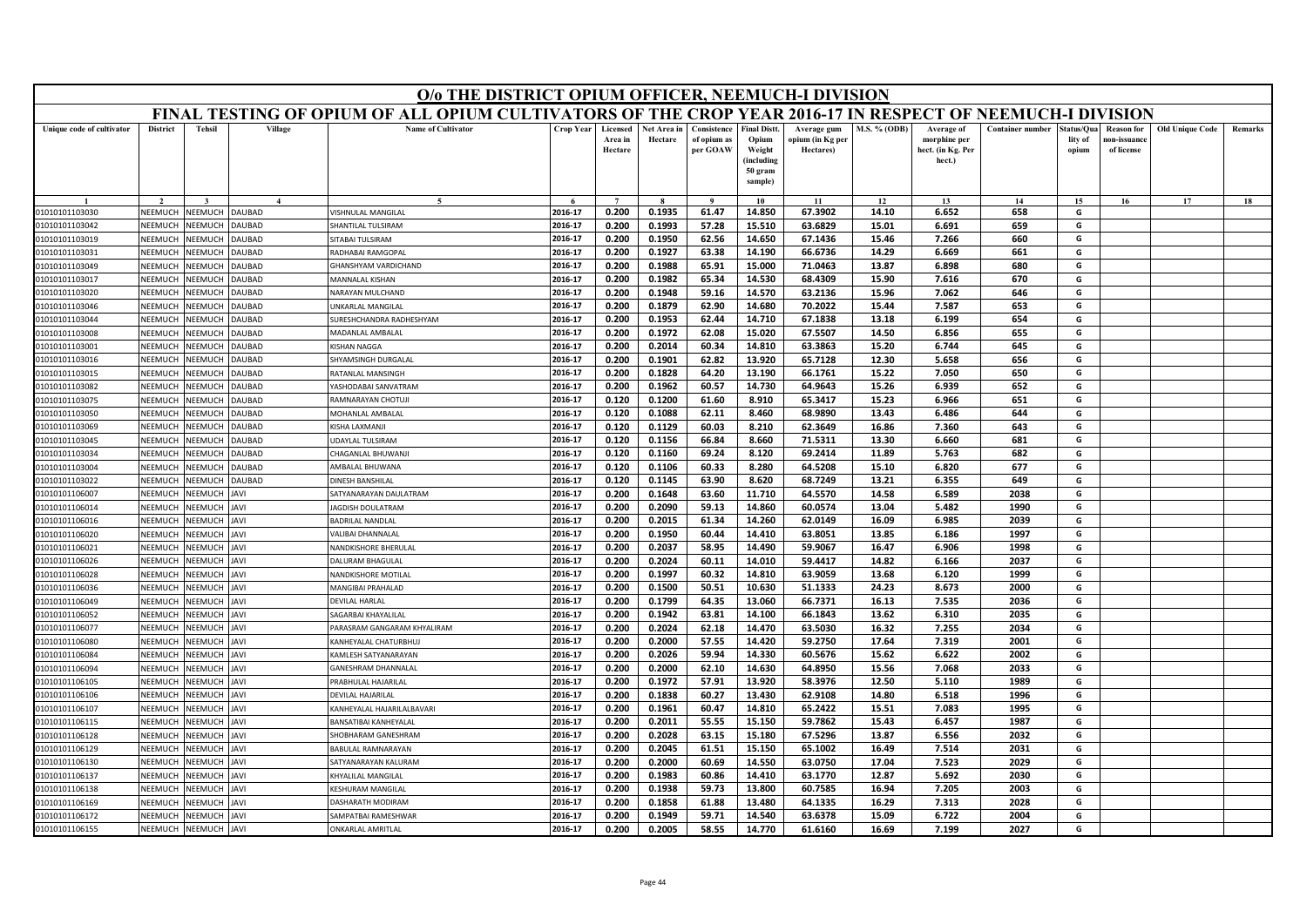|                                  | O/o THE DISTRICT OPIUM OFFICER, NEEMUCH-I DIVISION<br>FINAL TESTING OF OPIUM OF ALL OPIUM CULTIVATORS OF THE CROP YEAR 2016-17 IN RESPECT OF NEEMUCH-I DIVISION |                                  |                    |                                       |                    |                                |                        |                                        |                                                                            |                                              |                     |                                                           |                         |                                |                                                |                        |         |
|----------------------------------|-----------------------------------------------------------------------------------------------------------------------------------------------------------------|----------------------------------|--------------------|---------------------------------------|--------------------|--------------------------------|------------------------|----------------------------------------|----------------------------------------------------------------------------|----------------------------------------------|---------------------|-----------------------------------------------------------|-------------------------|--------------------------------|------------------------------------------------|------------------------|---------|
|                                  |                                                                                                                                                                 |                                  |                    |                                       |                    |                                |                        |                                        |                                                                            |                                              |                     |                                                           |                         |                                |                                                |                        |         |
| Unique code of cultivator        | <b>District</b>                                                                                                                                                 | <b>Tehsil</b>                    | Village            | <b>Name of Cultivator</b>             | Crop Year          | Licensed<br>Area in<br>Hectare | Net Area in<br>Hectare | Consistence<br>of opium as<br>per GOAW | <b>Final Distt.</b><br>Opium<br>Weight<br>(including<br>50 gram<br>sample) | Average gum<br>opium (in Kg per<br>Hectares) | <b>M.S. % (ODB)</b> | Average of<br>morphine per<br>hect. (in Kg. Per<br>hect.) | <b>Container number</b> | itatus/Qua<br>lity of<br>opium | <b>Reason for</b><br>10n-issuanc<br>of license | <b>Old Unique Code</b> | Remarks |
|                                  |                                                                                                                                                                 |                                  | $\overline{A}$     | $\tilde{\phantom{a}}$                 |                    | $\overline{ }$                 |                        | $\alpha$                               | 10                                                                         | 11                                           | 12                  | 13                                                        | 14                      | 15                             |                                                | 17                     |         |
| 01010101103030                   | NEEMUCH                                                                                                                                                         | NEEMUCH                          | <b>AUBAD</b>       | /ISHNULAL MANGILAL                    | 2016-17            | 0.200                          | 0.1935                 | 61.47                                  | 14.850                                                                     | 67.3902                                      | 14.10               | 6.652                                                     | 658                     | G                              | 16                                             |                        | 18      |
| 01010101103042                   | NEEMUCH                                                                                                                                                         | <b>NEEMUCH</b>                   | AUBAD              | HANTILAL TULSIRAM                     | 2016-17            | 0.200                          | 0.1993                 | 57.28                                  | 15.510                                                                     | 63.6829                                      | 15.01               | 6.691                                                     | 659                     | G                              |                                                |                        |         |
| 01010101103019                   | NEEMUCH                                                                                                                                                         | <b>NEEMUCH</b>                   | AUBAD              | <b>ITABAI TULSIRAM</b>                | 2016-17            | 0.200                          | 0.1950                 | 62.56                                  | 14.650                                                                     | 67.1436                                      | 15.46               | 7.266                                                     | 660                     | G                              |                                                |                        |         |
| 01010101103031                   | NEEMUCH                                                                                                                                                         | NEEMUCH                          | AUBAD              | RADHABAI RAMGOPAL                     | 2016-17            | 0.200                          | 0.1927                 | 63.38                                  | 14.190                                                                     | 66.6736                                      | 14.29               | 6.669                                                     | 661                     | G                              |                                                |                        |         |
| 01010101103049                   | NEEMUCH                                                                                                                                                         | VEEMUCI                          | AUBAD              | HANSHYAM VARDICHAND                   | 2016-17            | 0.200                          | 0.1988                 | 65.91                                  | 15.000                                                                     | 71.0463                                      | 13.87               | 6.898                                                     | 680                     | G                              |                                                |                        |         |
| 01010101103017                   | NEEMUCH                                                                                                                                                         | <b>NEEMUCH</b>                   | <b>AUBAD</b>       | MANNALAL KISHAN                       | 2016-17            | 0.200                          | 0.1982                 | 65.34                                  | 14.530                                                                     | 68.4309                                      | 15.90               | 7.616                                                     | 670                     | G                              |                                                |                        |         |
| 01010101103020                   | NEEMUCH                                                                                                                                                         | VEEMUCI                          | AUBAD              | NARAYAN MULCHAND                      | 2016-17            | 0.200                          | 0.1948                 | 59.16                                  | 14.570                                                                     | 63.2136                                      | 15.96               | 7.062                                                     | 646                     | G                              |                                                |                        |         |
| 01010101103046                   | NEEMUCH                                                                                                                                                         | <b>JEEMUCH</b>                   | AUBAD              | <b>INKARLAL MANGILAL</b>              | 2016-17            | 0.200                          | 0.1879                 | 62.90                                  | 14.680                                                                     | 70.2022                                      | 15.44               | 7.587                                                     | 653                     | G                              |                                                |                        |         |
| 01010101103044                   | NEEMUCH                                                                                                                                                         | <b>NEEMUCH</b>                   | AUBAD              | URESHCHANDRA RADHESHYAM               | 2016-17            | 0.200                          | 0.1953                 | 62.44                                  | 14.710                                                                     | 67.1838                                      | 13.18               | 6.199                                                     | 654                     | G                              |                                                |                        |         |
| 01010101103008                   | <b>NFFMUCH</b>                                                                                                                                                  | VEEMUCI                          | AUBAD              | MADANLAL AMBALAL                      | 2016-17            | 0.200                          | 0.1972                 | 62.08                                  | 15.020                                                                     | 67.5507                                      | 14.50               | 6.856                                                     | 655                     | G                              |                                                |                        |         |
| 01010101103001                   | NEEMUCH                                                                                                                                                         | <b>JEEMUCH</b>                   | AUBAD              | <b>ISHAN NAGGA</b>                    | 2016-17            | 0.200                          | 0.2014                 | 60.34                                  | 14.810                                                                     | 63.3863                                      | 15.20               | 6.744                                                     | 645                     | G                              |                                                |                        |         |
| 01010101103016                   | NEEMUCH                                                                                                                                                         | <b>JEEMUCI</b>                   | AUBAD              | HYAMSINGH DURGALAL                    | 2016-17            | 0.200                          | 0.1901                 | 62.82                                  | 13.920                                                                     | 65.7128                                      | 12.30               | 5.658                                                     | 656                     | G                              |                                                |                        |         |
| 01010101103015                   | NFFMUCH                                                                                                                                                         | VEEMUCI                          | <b>AUBAD</b>       | RATANI AI MANSINGH                    | 2016-17            | 0.200                          | 0.1828                 | 64.20                                  | 13.190                                                                     | 66.1761                                      | 15.22               | 7.050                                                     | 650                     | G                              |                                                |                        |         |
| 01010101103082                   | NEEMUCH                                                                                                                                                         | <b>JEEMUCH</b>                   | AUBAD              | ASHODABAI SANVATRAM                   | 2016-17            | 0.200                          | 0.1962                 | 60.57                                  | 14.730                                                                     | 64.9643                                      | 15.26               | 6.939                                                     | 652                     | G                              |                                                |                        |         |
| 01010101103075                   | NEEMUCH                                                                                                                                                         | VEEMUCI                          | AUBAD              | <b>RAMNARAYAN CHOTUJI</b>             | 2016-17            | 0.120                          | 0.1200                 | 61.60                                  | 8.910                                                                      | 65.3417                                      | 15.23               | 6.966                                                     | 651                     | G                              |                                                |                        |         |
| 01010101103050                   | NEEMUCH                                                                                                                                                         | VEEMUCI                          | <b>AUBAD</b>       | MOHANLAL AMBALAL                      | 2016-17            | 0.120                          | 0.1088                 | 62.11                                  | 8.460                                                                      | 68.9890                                      | 13.43               | 6.486                                                     | 644                     | G                              |                                                |                        |         |
| 01010101103069                   | NEEMUCH                                                                                                                                                         | <b>NEEMUCH</b>                   | <b>AUBAD</b>       | <b>ISHA LAXMANI</b>                   | 2016-17            | 0.120                          | 0.1129                 | 60.03                                  | 8.210                                                                      | 62.3649                                      | 16.86               | 7.360                                                     | 643                     | G                              |                                                |                        |         |
| 01010101103045                   | NEEMUCH                                                                                                                                                         | <b>JEEMUCH</b>                   | AUBAD              | <b>JDAYLAL TULSIRAM</b>               | 2016-17            | 0.120                          | 0.1156                 | 66.84                                  | 8.660                                                                      | 71.5311                                      | 13.30               | 6.660                                                     | 681                     | G                              |                                                |                        |         |
| 01010101103034                   | NFFMUCH                                                                                                                                                         | <b>JEEMUCH</b>                   | AUBAD              | HAGANLAL BHUWANJI                     | 2016-17            | 0.120                          | 0.1160                 | 69.24                                  | 8.120                                                                      | 69.2414                                      | 11.89               | 5.763                                                     | 682                     | G                              |                                                |                        |         |
| 01010101103004                   | NEEMUCH                                                                                                                                                         | <b>NEEMUCH</b>                   | <b>AUBAD</b>       | AMBALAL BHUWANA                       | 2016-17            | 0.120                          | 0.1106                 | 60.33                                  | 8.280                                                                      | 64.5208                                      | 15.10               | 6.820                                                     | 677                     | G                              |                                                |                        |         |
| 01010101103022                   | NEEMUCH                                                                                                                                                         | <b>JEEMUCH</b>                   | AUBAD              | <b>INESH BANSHILAL</b>                | 2016-17            | 0.120                          | 0.1145                 | 63.90                                  | 8.620                                                                      | 68.7249                                      | 13.21               | 6.355                                                     | 649                     | G                              |                                                |                        |         |
| 01010101106007                   | NEEMUCH                                                                                                                                                         | <b>JEEMUCH</b>                   | AVI                | ATYANARAYAN DAULATRAM                 | 2016-17            | 0.200                          | 0.1648                 | 63.60                                  | 11.710                                                                     | 64.5570                                      | 14.58               | 6.589                                                     | 2038                    | G                              |                                                |                        |         |
| 01010101106014                   | NEEMUCH                                                                                                                                                         | <b>JEEMUCH</b>                   | AVI                | <b>AGDISH DOULATRAM</b>               | 2016-17            | 0.200                          | 0.2090                 | 59.13                                  | 14.860                                                                     | 60.0574                                      | 13.04               | 5.482                                                     | 1990                    | G                              |                                                |                        |         |
| 01010101106016                   | NEEMUCH                                                                                                                                                         | <b>JEEMUCH</b>                   | AVI                | BADRILAL NANDLAI                      | 2016-17            | 0.200                          | 0.2015                 | 61.34                                  | 14.260                                                                     | 62.0149                                      | 16.09               | 6.985                                                     | 2039                    | G                              |                                                |                        |         |
| 01010101106020                   | NEEMUCH                                                                                                                                                         | <b>JEEMUCH</b>                   | AVI                | ALIBAI DHANNALAL                      | 2016-17            | 0.200                          | 0.1950                 | 60.44                                  | 14.410                                                                     | 63.8051                                      | 13.85               | 6.186                                                     | 1997                    | G                              |                                                |                        |         |
| 01010101106021                   | NFFMUCH                                                                                                                                                         | <b>JEEMUCH</b>                   | <b>IVAI</b>        | NANDKISHORE BHERULAL                  | 2016-17            | 0.200                          | 0.2037                 | 58.95                                  | 14.490                                                                     | 59.9067                                      | 16.47               | 6.906                                                     | 1998                    | G                              |                                                |                        |         |
| 01010101106026                   | NEEMUCH                                                                                                                                                         | <b>NEEMUCH</b>                   | AVI                | ALURAM BHAGULAI                       | 2016-17            | 0.200                          | 0.2024                 | 60.11                                  | 14.010                                                                     | 59.4417                                      | 14.82               | 6.166                                                     | 2037                    | G                              |                                                |                        |         |
| 01010101106028                   | NEEMUCH                                                                                                                                                         | <b>JEEMUCH</b>                   | AVI                | <b>JANDKISHORE MOTILAL</b>            | 2016-17            | 0.200                          | 0.1997                 | 60.32                                  | 14.810                                                                     | 63.9059                                      | 13.68               | 6.120                                                     | 1999                    | G                              |                                                |                        |         |
| 01010101106036                   | NEEMUCH                                                                                                                                                         | <b>JEEMUCH</b>                   | <b>IVAI</b>        | MANGIBAI PRAHALAD                     | 2016-17            | 0.200                          | 0.1500                 | 50.51                                  | 10.630                                                                     | 51.1333                                      | 24.23               | 8.673                                                     | 2000                    | G                              |                                                |                        |         |
| 01010101106049                   | NEEMUCH                                                                                                                                                         | VEEMUCH                          | <b>AVI</b>         | DEVILAL HARLAL                        | 2016-17            | 0.200                          | 0.1799                 | 64.35                                  | 13.060                                                                     | 66.7371                                      | 16.13               | 7.535                                                     | 2036                    | G                              |                                                |                        |         |
| 01010101106052                   | NEEMUCH                                                                                                                                                         | <b>JEEMUCH</b>                   | AVI                | <b>AGARBAI KHAYALILAL</b>             | 2016-17            | 0.200                          | 0.1942                 | 63.81                                  | 14.100                                                                     | 66.1843                                      | 13.62               | 6.310                                                     | 2035                    | G                              |                                                |                        |         |
| 01010101106077                   | NEEMUCH                                                                                                                                                         | <b>NEEMUCH</b>                   | <b>IVAI</b>        | ARASRAM GANGARAM KHYALIRAM            | 2016-17            | 0.200                          | 0.2024                 | 62.18                                  | 14.470                                                                     | 63.5030                                      | 16.32               | 7.255                                                     | 2034                    | G                              |                                                |                        |         |
| 01010101106080                   | NEEMUCH                                                                                                                                                         | VEEMUCH                          | <b>JAVI</b>        | KANHEYALAL CHATURBHU.                 | 2016-17            | 0.200                          | 0.2000                 | 57.55                                  | 14.420                                                                     | 59.2750                                      | 17.64               | 7.319                                                     | 2001                    | G                              |                                                |                        |         |
| 01010101106084                   | NEEMUCH                                                                                                                                                         | <b>NEEMUCH</b>                   | IAVI               | AMLESH SATYANARAYAN                   | 2016-17            | 0.200                          | 0.2026                 | 59.94                                  | 14.330                                                                     | 60.5676                                      | 15.62               | 6.622                                                     | 2002                    | G                              |                                                |                        |         |
| 01010101106094                   | <b>NEEMUCH</b>                                                                                                                                                  | <b>JEEMUCH</b>                   | AVI                | ANESHRAM DHANNALAI                    | 2016-17            | 0.200                          | 0.2000                 | 62.10                                  | 14.630                                                                     | 64.8950                                      | 15.56               | 7.068                                                     | 2033                    | G                              |                                                |                        |         |
| 01010101106105                   | <b>NFFMUCH</b>                                                                                                                                                  | VEEMUCH                          | <b>AVI</b>         | PRABHULAL HAJARILAL                   | 2016-17            | 0.200                          | 0.1972                 | 57.91                                  | 13.920                                                                     | 58.3976                                      | 12.50               | 5.110                                                     | 1989                    | G                              |                                                |                        |         |
| 01010101106106                   | NEEMUCH                                                                                                                                                         | <b>JEEMUCH</b>                   | AVI                | <b>DEVILAL HAJARILAL</b>              | 2016-17            | 0.200                          | 0.1838                 | 60.27                                  | 13.430                                                                     | 62.9108                                      | 14.80               | 6.518                                                     | 1996                    | G                              |                                                |                        |         |
| 01010101106107                   | NEEMUCH                                                                                                                                                         | <b>JEEMUCH</b>                   | AVI                | ANHEYALAL HAJARILALBAVARI             | 2016-17            | 0.200                          | 0.1961                 | 60.47                                  | 14.810                                                                     | 65.2422                                      | 15.51               | 7.083                                                     | 1995                    | G                              |                                                |                        |         |
| 01010101106115                   | NEEMUCH                                                                                                                                                         | <b>NEEMUCH</b>                   | <b>AVI</b>         | <b>BANSATIBAI KANHEYALA</b> I         | 2016-17            | 0.200                          | 0.2011                 | 55.55                                  | 15.150                                                                     | 59.7862                                      | 15.43               | 6.457                                                     | 1987                    | G                              |                                                |                        |         |
| 01010101106128                   | NEEMUCH                                                                                                                                                         | <b>NEEMUCH</b>                   | AVI                | HOBHARAM GANESHRAM                    | 2016-17            | 0.200                          | 0.2028                 | 63.15                                  | 15.180                                                                     | 67.5296                                      | 13.87               | 6.556                                                     | 2032                    | G                              |                                                |                        |         |
| 01010101106129                   | <b>NEEMUCH</b><br><b>NFFMUCH</b>                                                                                                                                | <b>JEEMUCH</b>                   | AVI                | ABULAL RAMNARAYAN                     | 2016-17<br>2016-17 | 0.200                          | 0.2045<br>0.2000       | 61.51<br>60.69                         | 15.150<br>14.550                                                           | 65.1002<br>63.0750                           | 16.49<br>17.04      | 7.514<br>7.523                                            | 2031<br>2029            | G<br>G                         |                                                |                        |         |
| 01010101106130                   | NEEMUCH                                                                                                                                                         | VEEMUCH                          | <b>IVAI</b><br>AVI | ATYANARAYAN KALURAM                   | 2016-17            | 0.200<br>0.200                 | 0.1983                 | 60.86                                  | 14.410                                                                     | 63.1770                                      | 12.87               | 5.692                                                     | 2030                    | G                              |                                                |                        |         |
| 01010101106137<br>01010101106138 | VEEMUCH                                                                                                                                                         | <b>NEEMUCH</b><br><b>JEEMUCI</b> | AVI                | HYALILAL MANGILAL<br>ESHURAM MANGILAL | 2016-17            | 0.200                          | 0.1938                 | 59.73                                  | 13.800                                                                     | 60.7585                                      | 16.94               | 7.205                                                     | 2003                    | G                              |                                                |                        |         |
| 01010101106169                   | NEEMUCH                                                                                                                                                         | <b>JEEMUCH</b>                   | AVI                | ASHARATH MODIRAM                      | 2016-17            | 0.200                          | 0.1858                 | 61.88                                  | 13.480                                                                     | 64.1335                                      | 16.29               | 7.313                                                     | 2028                    | G                              |                                                |                        |         |
| 01010101106172                   | NEEMUCH                                                                                                                                                         | NEEMUCH                          | AVI                | AMPATBAI RAMESHWAR                    | 2016-17            | 0.200                          | 0.1949                 | 59.71                                  | 14.540                                                                     | 63.6378                                      | 15.09               | 6.722                                                     | 2004                    | G                              |                                                |                        |         |
| 01010101106155                   | NEEMUCH                                                                                                                                                         | NEEMUCH                          | <b>AVI</b>         | <b><i>NKARLAL AMRITLAL</i></b>        | 2016-17            | 0.200                          | 0.2005                 | 58.55                                  | 14.770                                                                     | 61.6160                                      | 16.69               | 7.199                                                     | 2027                    | G                              |                                                |                        |         |
|                                  |                                                                                                                                                                 |                                  |                    |                                       |                    |                                |                        |                                        |                                                                            |                                              |                     |                                                           |                         |                                |                                                |                        |         |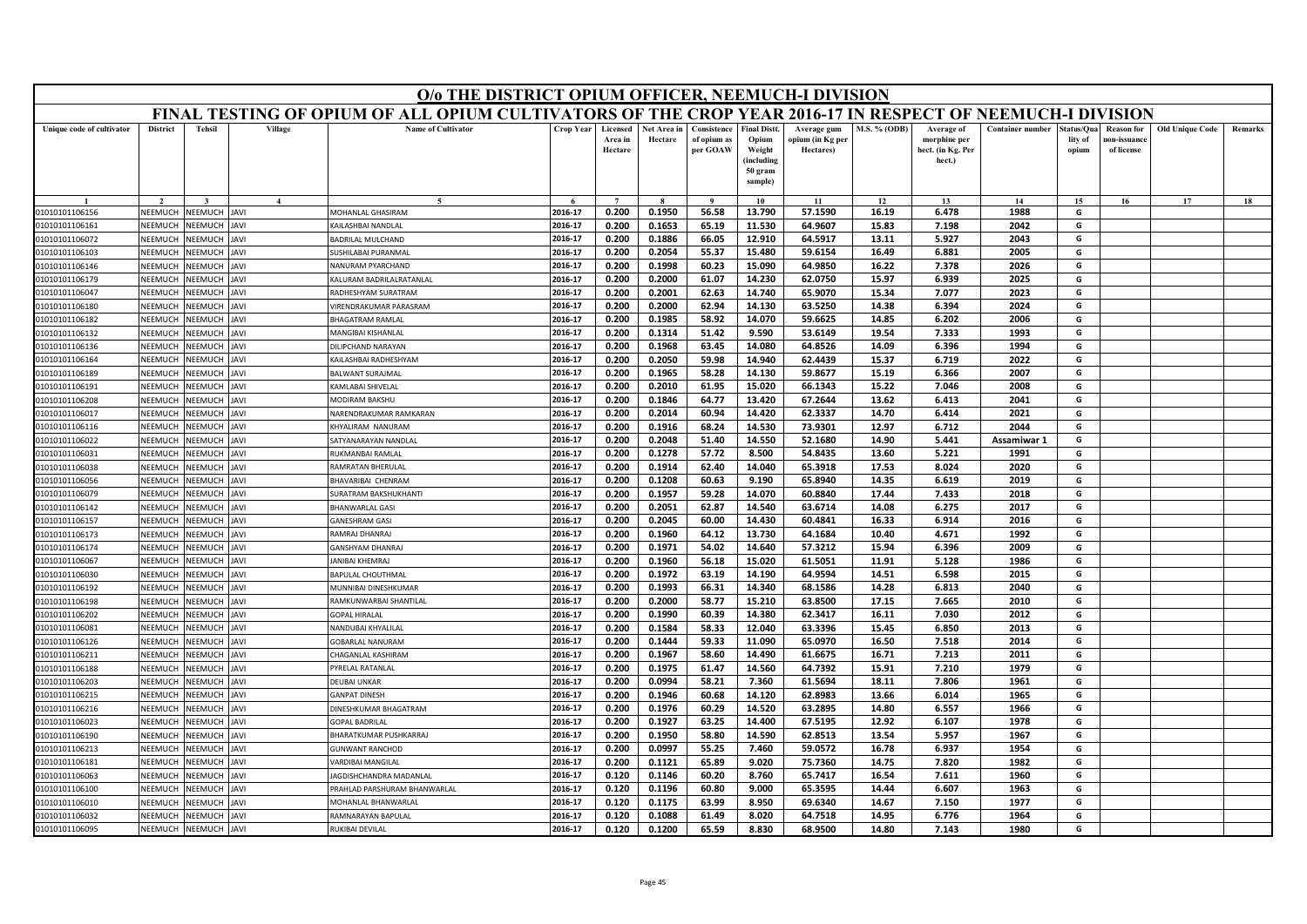|                           | O/o THE DISTRICT OPIUM OFFICER, NEEMUCH-I DIVISION<br>FINAL TESTING OF OPIUM OF ALL OPIUM CULTIVATORS OF THE CROP YEAR 2016-17 IN RESPECT OF NEEMUCH-I DIVISION |                       |                  |                                |           |                                |                        |                                        |                                                                            |                                              |                     |                                                           |                         |                                |                                                |                        |         |
|---------------------------|-----------------------------------------------------------------------------------------------------------------------------------------------------------------|-----------------------|------------------|--------------------------------|-----------|--------------------------------|------------------------|----------------------------------------|----------------------------------------------------------------------------|----------------------------------------------|---------------------|-----------------------------------------------------------|-------------------------|--------------------------------|------------------------------------------------|------------------------|---------|
|                           |                                                                                                                                                                 |                       |                  |                                |           |                                |                        |                                        |                                                                            |                                              |                     |                                                           |                         |                                |                                                |                        |         |
| Unique code of cultivator | <b>District</b>                                                                                                                                                 | <b>Tehsil</b>         | Village          | <b>Name of Cultivator</b>      | Crop Year | Licensed<br>Area in<br>Hectare | Net Area in<br>Hectare | Consistence<br>of opium as<br>per GOAW | <b>Final Distt.</b><br>Opium<br>Weight<br>(including<br>50 gram<br>sample) | Average gum<br>opium (in Kg per<br>Hectares) | <b>M.S. % (ODB)</b> | Average of<br>morphine per<br>hect. (in Kg. Per<br>hect.) | <b>Container number</b> | itatus/Qua<br>lity of<br>opium | <b>Reason for</b><br>10n-issuanc<br>of license | <b>Old Unique Code</b> | Remarks |
|                           |                                                                                                                                                                 |                       | $\boldsymbol{A}$ | $\tilde{\phantom{a}}$          |           | $\overline{ }$                 |                        | $\mathbf{o}$                           | 10                                                                         | 11                                           | 12                  | 13                                                        | 14                      | 15                             | 16                                             | 17                     | 18      |
| 01010101106156            | NEEMUCH                                                                                                                                                         | NEEMUCH               | <b>IVAI</b>      | MOHANLAL GHASIRAM              | 2016-17   | 0.200                          | 0.1950                 | 56.58                                  | 13.790                                                                     | 57.1590                                      | 16.19               | 6.478                                                     | 1988                    | G                              |                                                |                        |         |
| 01010101106161            | NEEMUCH                                                                                                                                                         | <b>NEEMUCH</b>        | JAVI             | AILASHBAI NANDLAL              | 2016-17   | 0.200                          | 0.1653                 | 65.19                                  | 11.530                                                                     | 64.9607                                      | 15.83               | 7.198                                                     | 2042                    | G                              |                                                |                        |         |
| 01010101106072            | NFFMUCH                                                                                                                                                         | <b>NEEMUCH</b>        | <b>AVI</b>       | ADRILAL MULCHAND               | 2016-17   | 0.200                          | 0.1886                 | 66.05                                  | 12.910                                                                     | 64.5917                                      | 13.11               | 5.927                                                     | 2043                    | G                              |                                                |                        |         |
| 01010101106103            | <b>NEEMUCH</b>                                                                                                                                                  | NEEMUCH               | AVI              | SUSHILABAI PURANMAL            | 2016-17   | 0.200                          | 0.2054                 | 55.37                                  | 15.480                                                                     | 59.6154                                      | 16.49               | 6.881                                                     | 2005                    | G                              |                                                |                        |         |
| 01010101106146            | NEEMUCH                                                                                                                                                         | <b>NEEMUCH</b>        | <b>IVAL</b>      | <b>VANURAM PYARCHAND</b>       | 2016-17   | 0.200                          | 0.1998                 | 60.23                                  | 15.090                                                                     | 64.9850                                      | 16.22               | 7.378                                                     | 2026                    | G                              |                                                |                        |         |
| 01010101106179            | NEEMUCH                                                                                                                                                         | <b>NEEMUCH</b>        | AVI              | <b>ALURAM BADRILALRATANLAL</b> | 2016-17   | 0.200                          | 0.2000                 | 61.07                                  | 14.230                                                                     | 62.0750                                      | 15.97               | 6.939                                                     | 2025                    | G                              |                                                |                        |         |
| 01010101106047            | NEEMUCH                                                                                                                                                         | <b>NEEMUCH</b>        | <b>AVI</b>       | RADHESHYAM SURATRAM            | 2016-17   | 0.200                          | 0.2001                 | 62.63                                  | 14.740                                                                     | 65.9070                                      | 15.34               | 7.077                                                     | 2023                    | G                              |                                                |                        |         |
| 01010101106180            | NEEMUCH                                                                                                                                                         | <b><i>NEEMUCH</i></b> | <b>IVAL</b>      | <b>IRENDRAKUMAR PARASRAM</b>   | 2016-17   | 0.200                          | 0.2000                 | 62.94                                  | 14.130                                                                     | 63.5250                                      | 14.38               | 6.394                                                     | 2024                    | G                              |                                                |                        |         |
| 01010101106182            | NEEMUCH                                                                                                                                                         | <b>NEEMUCH</b>        | AVI              | <b>HAGATRAM RAMLAL</b>         | 2016-17   | 0.200                          | 0.1985                 | 58.92                                  | 14.070                                                                     | 59.6625                                      | 14.85               | 6.202                                                     | 2006                    | G                              |                                                |                        |         |
| 01010101106132            | <b>NFFMUCH</b>                                                                                                                                                  | NEEMUCH               | <b>IVAI</b>      | MANGIBAI KISHANLAL             | 2016-17   | 0.200                          | 0.1314                 | 51.42                                  | 9.590                                                                      | 53.6149                                      | 19.54               | 7.333                                                     | 1993                    | G                              |                                                |                        |         |
| 01010101106136            | NEEMUCH                                                                                                                                                         | <b>JEEMUCH</b>        | <b>IVAL</b>      | <b>DILIPCHAND NARAYAN</b>      | 2016-17   | 0.200                          | 0.1968                 | 63.45                                  | 14.080                                                                     | 64.8526                                      | 14.09               | 6.396                                                     | 1994                    | G                              |                                                |                        |         |
| 01010101106164            | NEEMUCH                                                                                                                                                         | <b>JEEMUCH</b>        | AVI              | AILASHBAI RADHESHYAM           | 2016-17   | 0.200                          | 0.2050                 | 59.98                                  | 14.940                                                                     | 62.4439                                      | 15.37               | 6.719                                                     | 2022                    | G                              |                                                |                        |         |
| 01010101106189            | NFFMUCH                                                                                                                                                         | <b>NEEMUCH</b>        | <b>IVAI</b>      | BALWANT SURAJMAL               | 2016-17   | 0.200                          | 0.1965                 | 58.28                                  | 14.130                                                                     | 59.8677                                      | 15.19               | 6.366                                                     | 2007                    | G                              |                                                |                        |         |
| 01010101106191            | NEEMUCH                                                                                                                                                         | <b>NEEMUCH</b>        | <b>JAVI</b>      | AMLABAI SHIVELAL               | 2016-17   | 0.200                          | 0.2010                 | 61.95                                  | 15.020                                                                     | 66.1343                                      | 15.22               | 7.046                                                     | 2008                    | G                              |                                                |                        |         |
| 01010101106208            | NEEMUCH                                                                                                                                                         | <b>NEEMUCH</b>        | <b>AVI</b>       | <b>MODIRAM BAKSHU</b>          | 2016-17   | 0.200                          | 0.1846                 | 64.77                                  | 13.420                                                                     | 67.2644                                      | 13.62               | 6.413                                                     | 2041                    | G                              |                                                |                        |         |
| 01010101106017            | NEEMUCH                                                                                                                                                         | NEEMUCH               | <b>IVAI</b>      | NARENDRAKUMAR RAMKARAN         | 2016-17   | 0.200                          | 0.2014                 | 60.94                                  | 14.420                                                                     | 62.3337                                      | 14.70               | 6.414                                                     | 2021                    | G                              |                                                |                        |         |
| 01010101106116            | NEEMUCH                                                                                                                                                         | <b>NEEMUCH</b>        | <b>IVAL</b>      | HYALIRAM NANURAM               | 2016-17   | 0.200                          | 0.1916                 | 68.24                                  | 14.530                                                                     | 73.9301                                      | 12.97               | 6.712                                                     | 2044                    | G                              |                                                |                        |         |
| 01010101106022            | NEEMUCH                                                                                                                                                         | <b>JEEMUCH</b>        | AVI              | ATYANARAYAN NANDLAI            | 2016-17   | 0.200                          | 0.2048                 | 51.40                                  | 14.550                                                                     | 52.1680                                      | 14.90               | 5.441                                                     | Assamiwar 1             | G                              |                                                |                        |         |
| 01010101106031            | NFFMUCH                                                                                                                                                         | <b>JEEMUCH</b>        | AVI              | UKMANBAI RAMLAL                | 2016-17   | 0.200                          | 0.1278                 | 57.72                                  | 8.500                                                                      | 54.8435                                      | 13.60               | 5.221                                                     | 1991                    | G                              |                                                |                        |         |
| 01010101106038            | NEEMUCH                                                                                                                                                         | <b>NEEMUCH</b>        | <b>IVAL</b>      | <b>RAMRATAN BHERULAL</b>       | 2016-17   | 0.200                          | 0.1914                 | 62.40                                  | 14.040                                                                     | 65.3918                                      | 17.53               | 8.024                                                     | 2020                    | G                              |                                                |                        |         |
| 01010101106056            | NEEMUCH                                                                                                                                                         | <b>JEEMUCH</b>        | AVI              | HAVARIBAI CHENRAM              | 2016-17   | 0.200                          | 0.1208                 | 60.63                                  | 9.190                                                                      | 65.8940                                      | 14.35               | 6.619                                                     | 2019                    | G                              |                                                |                        |         |
| 01010101106079            | NEEMUCH                                                                                                                                                         | <b>JEEMUCH</b>        | AVI              | URATRAM BAKSHUKHANTI           | 2016-17   | 0.200                          | 0.1957                 | 59.28                                  | 14.070                                                                     | 60.8840                                      | 17.44               | 7.433                                                     | 2018                    | G                              |                                                |                        |         |
| 01010101106142            | NEEMUCH                                                                                                                                                         | <b>JEEMUCH</b>        | <b>IVAI</b>      | <b>BHANWARLAL GASI</b>         | 2016-17   | 0.200                          | 0.2051                 | 62.87                                  | 14.540                                                                     | 63.6714                                      | 14.08               | 6.275                                                     | 2017                    | G                              |                                                |                        |         |
| 01010101106157            | NEEMUCH                                                                                                                                                         | <b>JEEMUCH</b>        | AVI              | <b>SANESHRAM GASI</b>          | 2016-17   | 0.200                          | 0.2045                 | 60.00                                  | 14.430                                                                     | 60.4841                                      | 16.33               | 6.914                                                     | 2016                    | G                              |                                                |                        |         |
| 01010101106173            | NEEMUCH                                                                                                                                                         | <b>JEEMUCH</b>        | AVI              | <b>RAMRAJ DHANRAJ</b>          | 2016-17   | 0.200                          | 0.1960                 | 64.12                                  | 13.730                                                                     | 64.1684                                      | 10.40               | 4.671                                                     | 1992                    | G                              |                                                |                        |         |
| 01010101106174            | NFFMUCH                                                                                                                                                         | <b>JEEMUCH</b>        | <b>IVAI</b>      | <b>ANSHYAM DHANRAJ</b>         | 2016-17   | 0.200                          | 0.1971                 | 54.02                                  | 14.640                                                                     | 57.3212                                      | 15.94               | 6.396                                                     | 2009                    | G                              |                                                |                        |         |
| 01010101106067            | NEEMUCH                                                                                                                                                         | <b>JEEMUCH</b>        | AVI              | ANIBAI KHEMRAJ                 | 2016-17   | 0.200                          | 0.1960                 | 56.18                                  | 15.020                                                                     | 61.5051                                      | 11.91               | 5.128                                                     | 1986                    | G                              |                                                |                        |         |
| 01010101106030            | NEEMUCH                                                                                                                                                         | <b>JEEMUCH</b>        | AVI              | APULAL CHOUTHMAL               | 2016-17   | 0.200                          | 0.1972                 | 63.19                                  | 14.190                                                                     | 64.9594                                      | 14.51               | 6.598                                                     | 2015                    | G                              |                                                |                        |         |
| 01010101106192            | NEEMUCH                                                                                                                                                         | <b>JEEMUCH</b>        | <b>IVAI</b>      | MUNNIBAI DINESHKUMAR           | 2016-17   | 0.200                          | 0.1993                 | 66.31                                  | 14.340                                                                     | 68.1586                                      | 14.28               | 6.813                                                     | 2040                    | G                              |                                                |                        |         |
| 01010101106198            | NEEMUCH                                                                                                                                                         | VEEMUCH               | <b>AVI</b>       | RAMKUNWARBAI SHANTILAL         | 2016-17   | 0.200                          | 0.2000                 | 58.77                                  | 15.210                                                                     | 63.8500                                      | 17.15               | 7.665                                                     | 2010                    | G                              |                                                |                        |         |
| 01010101106202            | NEEMUCH                                                                                                                                                         | <b>JEEMUCH</b>        | AVI              | <b>GOPAL HIRALAL</b>           | 2016-17   | 0.200                          | 0.1990                 | 60.39                                  | 14.380                                                                     | 62.3417                                      | 16.11               | 7.030                                                     | 2012                    | G                              |                                                |                        |         |
| 01010101106081            | NEEMUCH                                                                                                                                                         | <b>NEEMUCH</b>        | <b>IVAI</b>      | VANDUBAI KHYALILAL             | 2016-17   | 0.200                          | 0.1584                 | 58.33                                  | 12.040                                                                     | 63.3396                                      | 15.45               | 6.850                                                     | 2013                    | G                              |                                                |                        |         |
| 01010101106126            | NEEMUCH                                                                                                                                                         | VEEMUCH               | <b>JAVI</b>      | GOBARLAL NANURAM               | 2016-17   | 0.200                          | 0.1444                 | 59.33                                  | 11.090                                                                     | 65.0970                                      | 16.50               | 7.518                                                     | 2014                    | G                              |                                                |                        |         |
| 01010101106211            | NEEMUCH                                                                                                                                                         | <b>NEEMUCH</b>        | AVI              | HAGANLAL KASHIRAM              | 2016-17   | 0.200                          | 0.1967                 | 58.60                                  | 14.490                                                                     | 61.6675                                      | 16.71               | 7.213                                                     | 2011                    | G                              |                                                |                        |         |
| 01010101106188            | NEEMUCH                                                                                                                                                         | <b>JEEMUCH</b>        | AVI              | YRELAL RATANLAL                | 2016-17   | 0.200                          | 0.1975                 | 61.47                                  | 14.560                                                                     | 64.7392                                      | 15.91               | 7.210                                                     | 1979                    | G                              |                                                |                        |         |
| 01010101106203            | <b>NFFMUCH</b>                                                                                                                                                  | VEEMUCH               | <b>IVAI</b>      | <b>DEUBAI UNKAR</b>            | 2016-17   | 0.200                          | 0.0994                 | 58.21                                  | 7.360                                                                      | 61.5694                                      | 18.11               | 7.806                                                     | 1961                    | G                              |                                                |                        |         |
| 01010101106215            | NEEMUCH                                                                                                                                                         | <b>JEEMUCH</b>        | AVI              | <b>ANPAT DINESH</b>            | 2016-17   | 0.200                          | 0.1946                 | 60.68                                  | 14.120                                                                     | 62.8983                                      | 13.66               | 6.014                                                     | 1965                    | G                              |                                                |                        |         |
| 01010101106216            | NEEMUCH                                                                                                                                                         | <b>JEEMUCH</b>        | AVI              | <b>INESHKUMAR BHAGATRAM</b>    | 2016-17   | 0.200                          | 0.1976                 | 60.29                                  | 14.520                                                                     | 63.2895                                      | 14.80               | 6.557                                                     | 1966                    | G                              |                                                |                        |         |
| 01010101106023            | NEEMUCH                                                                                                                                                         | <b>NEEMUCH</b>        | AVI              | OPAL BADRILAI                  | 2016-17   | 0.200                          | 0.1927                 | 63.25                                  | 14.400                                                                     | 67.5195                                      | 12.92               | 6.107                                                     | 1978                    | G                              |                                                |                        |         |
| 01010101106190            | NEEMUCH                                                                                                                                                         | <b>NEEMUCH</b>        | AVI              | HARATKUMAR PUSHKARRAJ          | 2016-17   | 0.200                          | 0.1950                 | 58.80                                  | 14.590                                                                     | 62.8513                                      | 13.54               | 5.957                                                     | 1967                    | G                              |                                                |                        |         |
| 01010101106213            | VEEMUCH                                                                                                                                                         | <b>JEEMUCH</b>        | AVI              | <b>UNWANT RANCHOD</b>          | 2016-17   | 0.200                          | 0.0997                 | 55.25                                  | 7.460                                                                      | 59.0572                                      | 16.78               | 6.937                                                     | 1954                    | G                              |                                                |                        |         |
| 01010101106181            | <b>NFFMUCH</b>                                                                                                                                                  | <b>JEEMUCH</b>        | <b>AVI</b>       | <b>ARDIBAI MANGILAL</b>        | 2016-17   | 0.200                          | 0.1121                 | 65.89                                  | 9.020                                                                      | 75.7360                                      | 14.75               | 7.820                                                     | 1982                    | G                              |                                                |                        |         |
| 01010101106063            | NEEMUCH                                                                                                                                                         | <b>NEEMUCH</b>        | AVI              | AGDISHCHANDRA MADANLAL         | 2016-17   | 0.120                          | 0.1146                 | 60.20                                  | 8.760                                                                      | 65.7417                                      | 16.54               | 7.611                                                     | 1960                    | G                              |                                                |                        |         |
| 01010101106100            | VEEMUCH                                                                                                                                                         | <b>JEEMUCI</b>        | AVI              | RAHLAD PARSHURAM BHANWARLAL    | 2016-17   | 0.120                          | 0.1196                 | 60.80                                  | 9.000                                                                      | 65.3595                                      | 14.44               | 6.607                                                     | 1963                    | G                              |                                                |                        |         |
| 01010101106010            | NEEMUCH                                                                                                                                                         | <b>JEEMUCI</b>        | AVI              | <b>MOHANLAL BHANWARLAL</b>     | 2016-17   | 0.120                          | 0.1175                 | 63.99                                  | 8.950                                                                      | 69.6340                                      | 14.67               | 7.150                                                     | 1977                    | G                              |                                                |                        |         |
| 01010101106032            | NEEMUCH                                                                                                                                                         | NEEMUCH               | AVI              | RAMNARAYAN BAPULAL             | 2016-17   | 0.120                          | 0.1088                 | 61.49                                  | 8.020                                                                      | 64.7518                                      | 14.95               | 6.776                                                     | 1964                    | G                              |                                                |                        |         |
| 01010101106095            | NEEMUCH                                                                                                                                                         | NEEMUCH               | <b>AVI</b>       | <b>NUKIBAI DEVILAL</b>         | 2016-17   | 0.120                          | 0.1200                 | 65.59                                  | 8.830                                                                      | 68.9500                                      | 14.80               | 7.143                                                     | 1980                    | G                              |                                                |                        |         |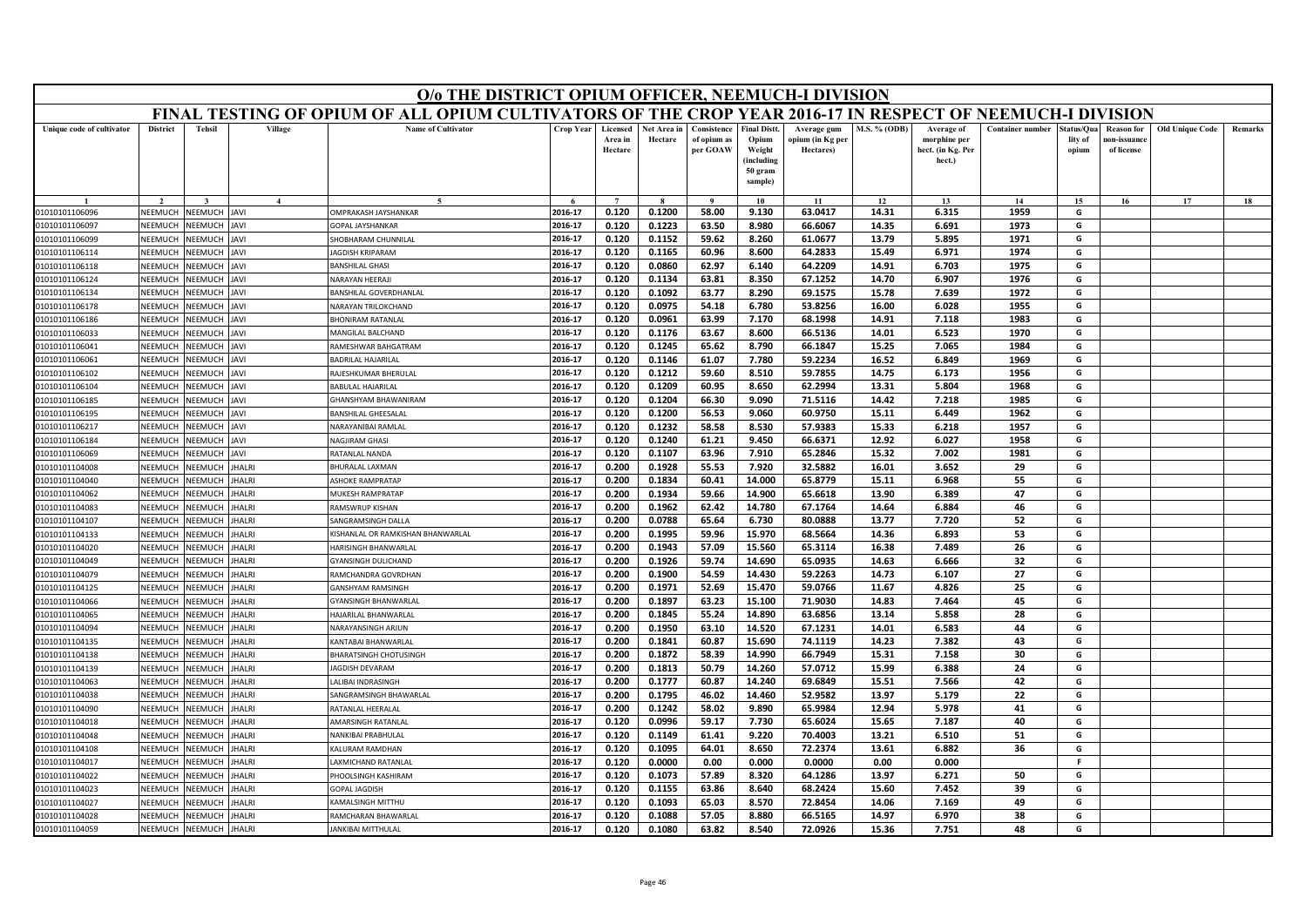|                           | O/o THE DISTRICT OPIUM OFFICER, NEEMUCH-I DIVISION<br>FINAL TESTING OF OPIUM OF ALL OPIUM CULTIVATORS OF THE CROP YEAR 2016-17 IN RESPECT OF NEEMUCH-I DIVISION |                |                        |                                   |           |                                |                        |                                        |                                                                            |                                              |                     |                                                           |                         |                                |                                                |                        |                |
|---------------------------|-----------------------------------------------------------------------------------------------------------------------------------------------------------------|----------------|------------------------|-----------------------------------|-----------|--------------------------------|------------------------|----------------------------------------|----------------------------------------------------------------------------|----------------------------------------------|---------------------|-----------------------------------------------------------|-------------------------|--------------------------------|------------------------------------------------|------------------------|----------------|
|                           |                                                                                                                                                                 |                |                        |                                   |           |                                |                        |                                        |                                                                            |                                              |                     |                                                           |                         |                                |                                                |                        |                |
| Unique code of cultivator | <b>District</b>                                                                                                                                                 | <b>Tehsil</b>  | Village                | <b>Name of Cultivator</b>         | Crop Year | Licensed<br>Area in<br>Hectare | Net Area in<br>Hectare | Consistence<br>of opium as<br>per GOAW | <b>Final Distt.</b><br>Opium<br>Weight<br>(including<br>50 gram<br>sample) | Average gum<br>opium (in Kg per<br>Hectares) | <b>M.S. % (ODB)</b> | Average of<br>morphine per<br>hect. (in Kg. Per<br>hect.) | <b>Container number</b> | itatus/Qua<br>lity of<br>opium | <b>Reason</b> for<br>10n-issuanc<br>of license | <b>Old Unique Code</b> | <b>Remarks</b> |
|                           |                                                                                                                                                                 |                | $\boldsymbol{\Lambda}$ |                                   |           | $\overline{7}$                 |                        | $\bf{Q}$                               | 10                                                                         | 11                                           | 12                  | 13                                                        | 14                      | 15                             | 16                                             | 17                     | 18             |
| 01010101106096            | NEEMUCH                                                                                                                                                         | <b>NEEMUCH</b> | AVI                    | <b>MPRAKASH JAYSHANKAR</b>        | 2016-17   | 0.120                          | 0.1200                 | 58.00                                  | 9.130                                                                      | 63.0417                                      | 14.31               | 6.315                                                     | 1959                    | G                              |                                                |                        |                |
| 01010101106097            | NEEMUCH                                                                                                                                                         | <b>NEEMUCH</b> | <b>IVAL</b>            | <b>OPAL JAYSHANKAR</b>            | 2016-17   | 0.120                          | 0.1223                 | 63.50                                  | 8.980                                                                      | 66.6067                                      | 14.35               | 6.691                                                     | 1973                    | G                              |                                                |                        |                |
| 01010101106099            | NEEMUCH                                                                                                                                                         | <b>NEEMUCH</b> | AVI                    | <b>HOBHARAM CHUNNILAL</b>         | 2016-17   | 0.120                          | 0.1152                 | 59.62                                  | 8.260                                                                      | 61.0677                                      | 13.79               | 5.895                                                     | 1971                    | G                              |                                                |                        |                |
| 01010101106114            | NEEMUCH                                                                                                                                                         | <b>NEEMUCH</b> | AVI                    | <b>AGDISH KRIPARAM</b>            | 2016-17   | 0.120                          | 0.1165                 | 60.96                                  | 8.600                                                                      | 64.2833                                      | 15.49               | 6.971                                                     | 1974                    | G                              |                                                |                        |                |
| 01010101106118            | NEEMUCH                                                                                                                                                         | <b>NEEMUCH</b> | <b>JAVI</b>            | <b>ANSHILAL GHASI</b>             | 2016-17   | 0.120                          | 0.0860                 | 62.97                                  | 6.140                                                                      | 64.2209                                      | 14.91               | 6.703                                                     | 1975                    | G                              |                                                |                        |                |
| 01010101106124            | NEEMUCH                                                                                                                                                         | <b>NEEMUCH</b> | <b>IVAI</b>            | <b>VARAYAN HEERAJI</b>            | 2016-17   | 0.120                          | 0.1134                 | 63.81                                  | 8.350                                                                      | 67.1252                                      | 14.70               | 6.907                                                     | 1976                    | G                              |                                                |                        |                |
| 01010101106134            | NEEMUCH                                                                                                                                                         | VEEMUCH        | <b>AVI</b>             | ANSHILAL GOVERDHANLAL             | 2016-17   | 0.120                          | 0.1092                 | 63.77                                  | 8.290                                                                      | 69.1575                                      | 15.78               | 7.639                                                     | 1972                    | G                              |                                                |                        |                |
| 01010101106178            | NEEMUCH                                                                                                                                                         | <b>JEEMUCH</b> | <b>IVAL</b>            | JARAYAN TRILOKCHAND               | 2016-17   | 0.120                          | 0.0975                 | 54.18                                  | 6.780                                                                      | 53.8256                                      | 16.00               | 6.028                                                     | 1955                    | G                              |                                                |                        |                |
| 01010101106186            | NEEMUCH                                                                                                                                                         | <b>NEEMUCH</b> | AVI                    | <b>HONIRAM RATANLAL</b>           | 2016-17   | 0.120                          | 0.0961                 | 63.99                                  | 7.170                                                                      | 68.1998                                      | 14.91               | 7.118                                                     | 1983                    | G                              |                                                |                        |                |
| 01010101106033            | <b>NEEMUCH</b>                                                                                                                                                  | <b>NEEMUCH</b> | <b>IVAI</b>            | MANGILAL BALCHAND                 | 2016-17   | 0.120                          | 0.1176                 | 63.67                                  | 8.600                                                                      | 66.5136                                      | 14.01               | 6.523                                                     | 1970                    | G                              |                                                |                        |                |
| 01010101106041            | NEEMUCH                                                                                                                                                         | <b>JEEMUCH</b> | <b>IVAL</b>            | AMESHWAR BAHGATRAM                | 2016-17   | 0.120                          | 0.1245                 | 65.62                                  | 8.790                                                                      | 66.1847                                      | 15.25               | 7.065                                                     | 1984                    | G                              |                                                |                        |                |
| 01010101106061            | NEEMUCH                                                                                                                                                         | <b>NEEMUCH</b> | AVI                    | ADRILAL HAJARILAL                 | 2016-17   | 0.120                          | 0.1146                 | 61.07                                  | 7.780                                                                      | 59.2234                                      | 16.52               | 6.849                                                     | 1969                    | G                              |                                                |                        |                |
| 01010101106102            | NEEMUCH                                                                                                                                                         | NEEMUCH        | <b>IVAL</b>            | RAJESHKUMAR BHERULAL              | 2016-17   | 0.120                          | 0.1212                 | 59.60                                  | 8.510                                                                      | 59.7855                                      | 14.75               | 6.173                                                     | 1956                    | G                              |                                                |                        |                |
| 01010101106104            | NEEMUCH                                                                                                                                                         | <b>NEEMUCH</b> | <b>JAVI</b>            | ABULAL HAJARILAL                  | 2016-17   | 0.120                          | 0.1209                 | 60.95                                  | 8.650                                                                      | 62.2994                                      | 13.31               | 5.804                                                     | 1968                    | G                              |                                                |                        |                |
| 01010101106185            | NEEMUCH                                                                                                                                                         | <b>NEEMUCH</b> | <b>IVAI</b>            | HANSHYAM BHAWANIRAM               | 2016-17   | 0.120                          | 0.1204                 | 66.30                                  | 9.090                                                                      | 71.5116                                      | 14.42               | 7.218                                                     | 1985                    | G                              |                                                |                        |                |
| 01010101106195            | NEEMUCH                                                                                                                                                         | <b>NEEMUCH</b> | <b>IVAI</b>            | BANSHILAL GHEESALAL               | 2016-17   | 0.120                          | 0.1200                 | 56.53                                  | 9.060                                                                      | 60.9750                                      | 15.11               | 6.449                                                     | 1962                    | G                              |                                                |                        |                |
| 01010101106217            | NEEMUCH                                                                                                                                                         | VEEMUCH        | <b>IVAL</b>            | VARAYANIRAI RAMLAL                | 2016-17   | 0.120                          | 0.1232                 | 58.58                                  | 8.530                                                                      | 57.9383                                      | 15.33               | 6.218                                                     | 1957                    | G                              |                                                |                        |                |
| 01010101106184            | NEEMUCH                                                                                                                                                         | <b>JEEMUCH</b> | AVI                    | <b>JAGJIRAM GHASI</b>             | 2016-17   | 0.120                          | 0.1240                 | 61.21                                  | 9.450                                                                      | 66.6371                                      | 12.92               | 6.027                                                     | 1958                    | G                              |                                                |                        |                |
| 01010101106069            | NEEMUCH                                                                                                                                                         | VEEMUCH        | AVI                    | RATANLAL NANDA                    | 2016-17   | 0.120                          | 0.1107                 | 63.96                                  | 7.910                                                                      | 65.2846                                      | 15.32               | 7.002                                                     | 1981                    | G                              |                                                |                        |                |
| 01010101104008            | NEEMUCH                                                                                                                                                         | <b>JEEMUCH</b> | HALRI                  | HURALAL LAXMAN                    | 2016-17   | 0.200                          | 0.1928                 | 55.53                                  | 7.920                                                                      | 32.5882                                      | 16.01               | 3.652                                                     | 29                      | G                              |                                                |                        |                |
| 01010101104040            | NEEMUCH                                                                                                                                                         | <b>JEEMUCH</b> | HALRI                  | SHOKE RAMPRATAP                   | 2016-17   | 0.200                          | 0.1834                 | 60.41                                  | 14.000                                                                     | 65.8779                                      | 15.11               | 6.968                                                     | 55                      | G                              |                                                |                        |                |
| 01010101104062            | NFFMUCH                                                                                                                                                         | <b>JEEMUCH</b> | HALRI                  | <b>MUKESH RAMPRATAP</b>           | 2016-17   | 0.200                          | 0.1934                 | 59.66                                  | 14.900                                                                     | 65.6618                                      | 13.90               | 6.389                                                     | 47                      | G                              |                                                |                        |                |
| 01010101104083            | NEEMUCH                                                                                                                                                         | <b>NEEMUCH</b> | HALRI                  | <b>RAMSWRUP KISHAN</b>            | 2016-17   | 0.200                          | 0.1962                 | 62.42                                  | 14.780                                                                     | 67.1764                                      | 14.64               | 6.884                                                     | 46                      | G                              |                                                |                        |                |
| 01010101104107            | NEEMUCH                                                                                                                                                         | <b>JEEMUCH</b> | HALRI                  | ANGRAMSINGH DALLA                 | 2016-17   | 0.200                          | 0.0788                 | 65.64                                  | 6.730                                                                      | 80.0888                                      | 13.77               | 7.720                                                     | 52                      | G                              |                                                |                        |                |
| 01010101104133            | NEEMUCH                                                                                                                                                         | <b>JEEMUCH</b> | <b>HALRI</b>           | KISHANLAL OR RAMKISHAN BHANWARLAL | 2016-17   | 0.200                          | 0.1995                 | 59.96                                  | 15.970                                                                     | 68.5664                                      | 14.36               | 6.893                                                     | 53                      | G                              |                                                |                        |                |
| 01010101104020            | NEEMUCH                                                                                                                                                         | <b>JEEMUCH</b> | HALRI                  | <b>IARISINGH BHANWARLAI</b>       | 2016-17   | 0.200                          | 0.1943                 | 57.09                                  | 15.560                                                                     | 65.3114                                      | 16.38               | 7.489                                                     | 26                      | G                              |                                                |                        |                |
| 01010101104049            | NEEMUCH                                                                                                                                                         | <b>JEEMUCI</b> | HALRI                  | YANSINGH DULICHAND                | 2016-17   | 0.200                          | 0.1926                 | 59.74                                  | 14.690                                                                     | 65.0935                                      | 14.63               | 6.666                                                     | 32                      | G                              |                                                |                        |                |
| 01010101104079            | NEEMUCH                                                                                                                                                         | VEEMUCH        | <b>HALRI</b>           | RAMCHANDRA GOVRDHAN               | 2016-17   | 0.200                          | 0.1900                 | 54.59                                  | 14.430                                                                     | 59.2263                                      | 14.73               | 6.107                                                     | 27                      | G                              |                                                |                        |                |
| 01010101104125            | NEEMUCH                                                                                                                                                         | <b>JEEMUCH</b> | HALRI                  | <b>GANSHYAM RAMSINGH</b>          | 2016-17   | 0.200                          | 0.1971                 | 52.69                                  | 15.470                                                                     | 59.0766                                      | 11.67               | 4.826                                                     | 25                      | G                              |                                                |                        |                |
| 01010101104066            | NEEMUCH                                                                                                                                                         | <b>JEEMUCH</b> | HALRI                  | YANSINGH BHANWARLAI               | 2016-17   | 0.200                          | 0.1897                 | 63.23                                  | 15.100                                                                     | 71.9030                                      | 14.83               | 7.464                                                     | 45                      | G                              |                                                |                        |                |
| 01010101104065            | NEEMUCH                                                                                                                                                         | <b>NEEMUCH</b> | <b>HALRI</b>           | <b>HAJARILAL BHANWARLAL</b>       | 2016-17   | 0.200                          | 0.1845                 | 55.24                                  | 14.890                                                                     | 63.6856                                      | 13.14               | 5.858                                                     | 28                      | G                              |                                                |                        |                |
| 01010101104094            | NFFMUCH                                                                                                                                                         | <b>JEEMUCH</b> | HALRI                  | NARAYANSINGH ARJUN                | 2016-17   | 0.200                          | 0.1950                 | 63.10                                  | 14.520                                                                     | 67.1231                                      | 14.01               | 6.583                                                     | 44                      | G                              |                                                |                        |                |
| 01010101104135            | NEEMUCH                                                                                                                                                         | <b>JEEMUCH</b> | HALRI                  | <b>CANTABAI BHANWARLA</b>         | 2016-17   | 0.200                          | 0.1841                 | 60.87                                  | 15.690                                                                     | 74.1119                                      | 14.23               | 7.382                                                     | 43                      | G                              |                                                |                        |                |
| 01010101104138            | NEEMUCH                                                                                                                                                         | <b>JEEMUCH</b> | HALRI                  | HARATSINGH CHOTUSINGH             | 2016-17   | 0.200                          | 0.1872                 | 58.39                                  | 14.990                                                                     | 66.7949                                      | 15.31               | 7.158                                                     | 30                      | G                              |                                                |                        |                |
| 01010101104139            | NEEMUCH                                                                                                                                                         | <b>JEEMUCH</b> | <b>HALRI</b>           | <b>AGDISH DEVARAM</b>             | 2016-17   | 0.200                          | 0.1813                 | 50.79                                  | 14.260                                                                     | 57.0712                                      | 15.99               | 6.388                                                     | 24                      | G                              |                                                |                        |                |
| 01010101104063            | NEEMUCH                                                                                                                                                         | VEEMUCH        | HALRI                  | ALIBAI INDRASINGH                 | 2016-17   | 0.200                          | 0.1777                 | 60.87                                  | 14.240                                                                     | 69.6849                                      | 15.51               | 7.566                                                     | 42                      | G                              |                                                |                        |                |
| 01010101104038            | NEEMUCH                                                                                                                                                         | <b>JEEMUCH</b> | HALRI                  | <b>SANGRAMSINGH BHAWARLAL</b>     | 2016-17   | 0.200                          | 0.1795                 | 46.02                                  | 14.460                                                                     | 52.9582                                      | 13.97               | 5.179                                                     | 22                      | G                              |                                                |                        |                |
| 01010101104090            | NEEMUCH                                                                                                                                                         | <b>JEEMUCH</b> | HALRI                  | ATANLAL HEERALAL                  | 2016-17   | 0.200                          | 0.1242                 | 58.02                                  | 9.890                                                                      | 65.9984                                      | 12.94               | 5.978                                                     | 41                      | G                              |                                                |                        |                |
| 01010101104018            | <b>NEEMUCH</b>                                                                                                                                                  | NEEMUCH        | HALRI                  | AMARSINGH RATANLAI                | 2016-17   | 0.120                          | 0.0996                 | 59.17                                  | 7.730                                                                      | 65.6024                                      | 15.65               | 7.187                                                     | 40                      | G                              |                                                |                        |                |
| 01010101104048            | NEEMUCH                                                                                                                                                         | <b>JEEMUCH</b> | HALRI                  | VANKIBAI PRABHULAL                | 2016-17   | 0.120                          | 0.1149                 | 61.41                                  | 9.220                                                                      | 70.4003                                      | 13.21               | 6.510                                                     | 51                      | G                              |                                                |                        |                |
| 01010101104108            | NEEMUCH                                                                                                                                                         | <b>JEEMUCH</b> | HALRI                  | ALURAM RAMDHAN                    | 2016-17   | 0.120                          | 0.1095                 | 64.01                                  | 8.650                                                                      | 72.2374                                      | 13.61               | 6.882                                                     | 36                      | G                              |                                                |                        |                |
| 01010101104017            | NEEMUCH                                                                                                                                                         | VEEMUCH        | HALRI                  | AXMICHAND RATANLAI                | 2016-17   | 0.120                          | 0.0000                 | 0.00                                   | 0.000                                                                      | 0.0000                                       | 0.00                | 0.000                                                     |                         | F.                             |                                                |                        |                |
| 01010101104022            | NEEMUCH                                                                                                                                                         | <b>JEEMUCH</b> | HALRI                  | HOOLSINGH KASHIRAM                | 2016-17   | 0.120                          | 0.1073                 | 57.89                                  | 8.320                                                                      | 64.1286                                      | 13.97               | 6.271                                                     | 50                      | G                              |                                                |                        |                |
| 01010101104023            | NEEMUCH                                                                                                                                                         | <b>NEEMUCH</b> | HALRI                  | <b>OPAL JAGDISH</b>               | 2016-17   | 0.120                          | 0.1155                 | 63.86                                  | 8.640                                                                      | 68.2424                                      | 15.60               | 7.452                                                     | 39                      | G                              |                                                |                        |                |
| 01010101104027            | NEEMUCH                                                                                                                                                         | VEEMUCI        | HALRI                  | KAMALSINGH MITTHU                 | 2016-17   | 0.120                          | 0.1093                 | 65.03                                  | 8.570                                                                      | 72.8454                                      | 14.06               | 7.169                                                     | 49                      | G                              |                                                |                        |                |
| 01010101104028            | NEEMUCH                                                                                                                                                         | NEEMUCH        | HALRI                  | RAMCHARAN BHAWARLAL               | 2016-17   | 0.120                          | 0.1088                 | 57.05                                  | 8.880                                                                      | 66.5165                                      | 14.97               | 6.970                                                     | 38                      | G                              |                                                |                        |                |
| 01010101104059            | NEEMUCH                                                                                                                                                         | NEEMUCH        | <b>HALRI</b>           | <b>JANKIBAI MITTHULAL</b>         | 2016-17   | 0.120                          | 0.1080                 | 63.82                                  | 8.540                                                                      | 72.0926                                      | 15.36               | 7.751                                                     | 48                      | G                              |                                                |                        |                |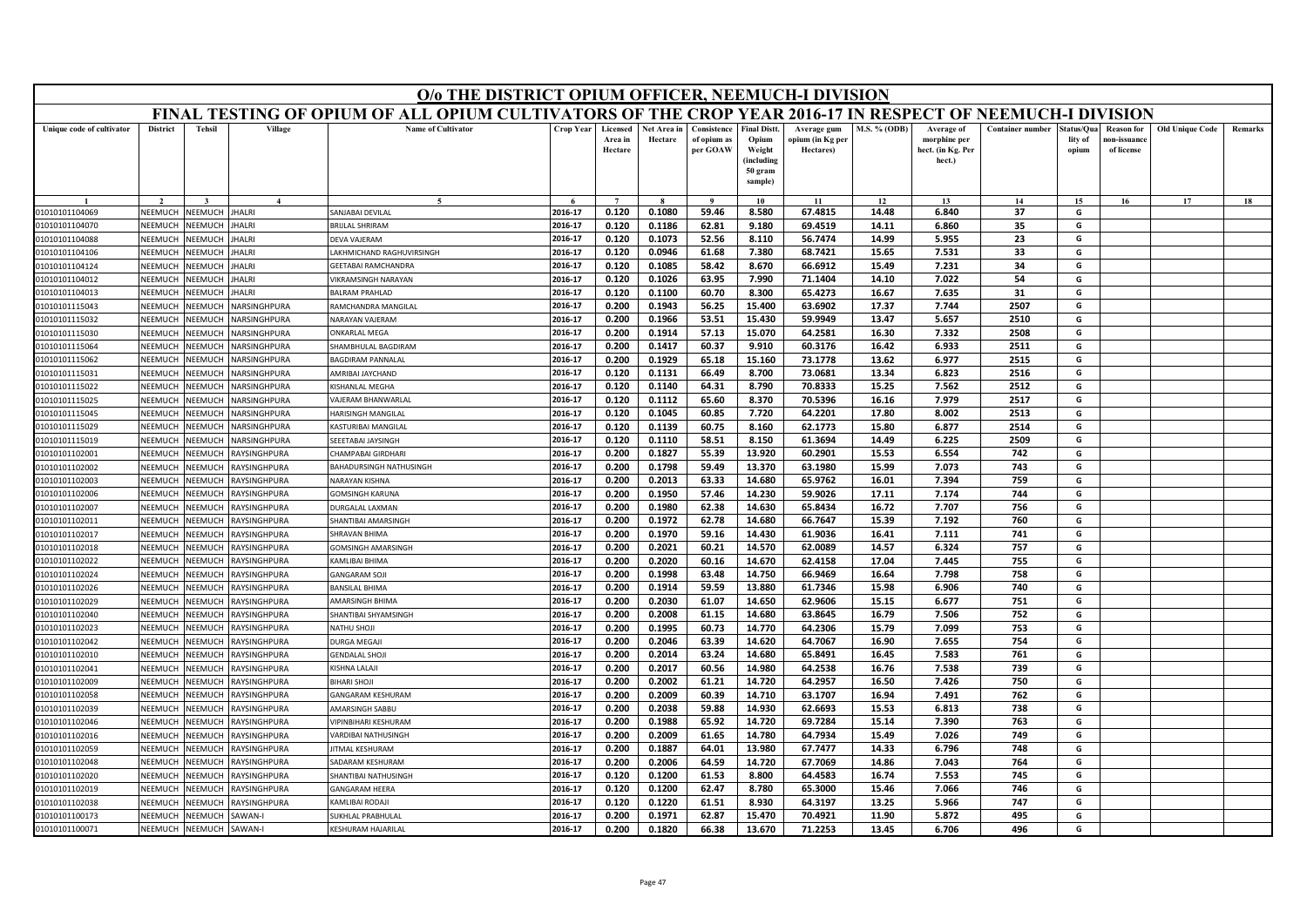|                           | O/o THE DISTRICT OPIUM OFFICER, NEEMUCH-I DIVISION<br>FINAL TESTING OF OPIUM OF ALL OPIUM CULTIVATORS OF THE CROP YEAR 2016-17 IN RESPECT OF NEEMUCH-I DIVISION |                |                        |                                |           |                                |                        |                                        |                                                                            |                                              |                     |                                                           |                         |                                |                                                |                        |         |
|---------------------------|-----------------------------------------------------------------------------------------------------------------------------------------------------------------|----------------|------------------------|--------------------------------|-----------|--------------------------------|------------------------|----------------------------------------|----------------------------------------------------------------------------|----------------------------------------------|---------------------|-----------------------------------------------------------|-------------------------|--------------------------------|------------------------------------------------|------------------------|---------|
|                           |                                                                                                                                                                 |                |                        |                                |           |                                |                        |                                        |                                                                            |                                              |                     |                                                           |                         |                                |                                                |                        |         |
| Unique code of cultivator | <b>District</b>                                                                                                                                                 | <b>Tehsil</b>  | Village                | <b>Name of Cultivator</b>      | Crop Year | Licensed<br>Area in<br>Hectare | Net Area in<br>Hectare | Consistence<br>of opium as<br>per GOAW | <b>Final Distt.</b><br>Opium<br>Weight<br>(including<br>50 gram<br>sample) | Average gum<br>opium (in Kg per<br>Hectares) | <b>M.S. % (ODB)</b> | Average of<br>morphine per<br>hect. (in Kg. Per<br>hect.) | <b>Container number</b> | itatus/Qua<br>lity of<br>opium | <b>Reason for</b><br>10n-issuanc<br>of license | <b>Old Unique Code</b> | Remarks |
|                           |                                                                                                                                                                 |                | $\boldsymbol{\Lambda}$ | $\sim$                         |           | $\overline{ }$                 |                        | $\mathbf{o}$                           | 10                                                                         | 11                                           | 12                  | 13                                                        | 14                      | 15                             | 16                                             | 17                     | 18      |
| 01010101104069            | NEEMUCH                                                                                                                                                         | NEEMUCH        | <b>HALRI</b>           | SANJABAI DEVILAL               | 2016-17   | 0.120                          | 0.1080                 | 59.46                                  | 8.580                                                                      | 67.4815                                      | 14.48               | 6.840                                                     | 37                      | G                              |                                                |                        |         |
| 01010101104070            | NEEMUCH                                                                                                                                                         | <b>NEEMUCH</b> | HALRI                  | <b>BRIJLAL SHRIRAM</b>         | 2016-17   | 0.120                          | 0.1186                 | 62.81                                  | 9.180                                                                      | 69.4519                                      | 14.11               | 6.860                                                     | 35                      | G                              |                                                |                        |         |
| 01010101104088            | NEEMUCH                                                                                                                                                         | <b>NEEMUCH</b> | HALRI                  | <b>EVA VAJERAM</b>             | 2016-17   | 0.120                          | 0.1073                 | 52.56                                  | 8.110                                                                      | 56.7474                                      | 14.99               | 5.955                                                     | 23                      | G                              |                                                |                        |         |
| 01010101104106            | NEEMUCH                                                                                                                                                         | <b>NEEMUCH</b> | HALRI                  | AKHMICHAND RAGHUVIRSINGH       | 2016-17   | 0.120                          | 0.0946                 | 61.68                                  | 7.380                                                                      | 68.7421                                      | 15.65               | 7.531                                                     | 33                      | G                              |                                                |                        |         |
| 01010101104124            | NEEMUCH                                                                                                                                                         | <b>NEEMUCH</b> | HALRI                  | <b>GEETABAI RAMCHANDRA</b>     | 2016-17   | 0.120                          | 0.1085                 | 58.42                                  | 8.670                                                                      | 66.6912                                      | 15.49               | 7.231                                                     | 34                      | G                              |                                                |                        |         |
| 01010101104012            | NEEMUCH                                                                                                                                                         | <b>NEEMUCH</b> | HALRI                  | <b>IKRAMSINGH NARAYAN</b>      | 2016-17   | 0.120                          | 0.1026                 | 63.95                                  | 7.990                                                                      | 71.1404                                      | 14.10               | 7.022                                                     | 54                      | G                              |                                                |                        |         |
| 01010101104013            | NEEMUCH                                                                                                                                                         | VEEMUCI        | HALRI                  | <b>BALRAM PRAHLAD</b>          | 2016-17   | 0.120                          | 0.1100                 | 60.70                                  | 8.300                                                                      | 65.4273                                      | 16.67               | 7.635                                                     | 31                      | G                              |                                                |                        |         |
| 01010101115043            | NEEMUCH                                                                                                                                                         | <b>JEEMUCH</b> | IARSINGHPURA           | <b>AMCHANDRA MANGILAL</b>      | 2016-17   | 0.200                          | 0.1943                 | 56.25                                  | 15.400                                                                     | 63.6902                                      | 17.37               | 7.744                                                     | 2507                    | G                              |                                                |                        |         |
| 01010101115032            | NEEMUCH                                                                                                                                                         | NEEMUCH        | <b>JARSINGHPURA</b>    | <b>VARAYAN VAJERAM</b>         | 2016-17   | 0.200                          | 0.1966                 | 53.51                                  | 15.430                                                                     | 59.9949                                      | 13.47               | 5.657                                                     | 2510                    | G                              |                                                |                        |         |
| 01010101115030            | <b>NFFMUCH</b>                                                                                                                                                  | VEEMUCI        | <b>JARSINGHPURA</b>    | <b><i>NKARLAL MEGA</i></b>     | 2016-17   | 0.200                          | 0.1914                 | 57.13                                  | 15.070                                                                     | 64.2581                                      | 16.30               | 7.332                                                     | 2508                    | G                              |                                                |                        |         |
| 01010101115064            | NEEMUCH                                                                                                                                                         | <b>JEEMUCH</b> | IARSINGHPURA           | HAMBHULAL BAGDIRAM             | 2016-17   | 0.200                          | 0.1417                 | 60.37                                  | 9.910                                                                      | 60.3176                                      | 16.42               | 6.933                                                     | 2511                    | G                              |                                                |                        |         |
| 01010101115062            | NEEMUCH                                                                                                                                                         | <b>JEEMUCI</b> | <b>JARSINGHPURA</b>    | <b>AGDIRAM PANNALAI</b>        | 2016-17   | 0.200                          | 0.1929                 | 65.18                                  | 15.160                                                                     | 73.1778                                      | 13.62               | 6.977                                                     | 2515                    | G                              |                                                |                        |         |
| 01010101115031            | NFFMUCH                                                                                                                                                         | <b>JEEMUCH</b> | <b>JARSINGHPURA</b>    | AMRIBAI JAYCHAND               | 2016-17   | 0.120                          | 0.1131                 | 66.49                                  | 8.700                                                                      | 73.0681                                      | 13.34               | 6.823                                                     | 2516                    | G                              |                                                |                        |         |
| 01010101115022            | NEEMUCH                                                                                                                                                         | <b>JEEMUCH</b> | <b>JARSINGHPURA</b>    | ISHANLAL MEGHA                 | 2016-17   | 0.120                          | 0.1140                 | 64.31                                  | 8.790                                                                      | 70.8333                                      | 15.25               | 7.562                                                     | 2512                    | G                              |                                                |                        |         |
| 01010101115025            | NEEMUCH                                                                                                                                                         | <b>JEEMUC</b>  | <b>JARSINGHPURA</b>    | AJERAM BHANWARLAL              | 2016-17   | 0.120                          | 0.1112                 | 65.60                                  | 8.370                                                                      | 70.5396                                      | 16.16               | 7.979                                                     | 2517                    | G                              |                                                |                        |         |
| 01010101115045            | NEEMUCH                                                                                                                                                         | VEEMUCI        | <b>JARSINGHPURA</b>    | <b>HARISINGH MANGILAI</b>      | 2016-17   | 0.120                          | 0.1045                 | 60.85                                  | 7.720                                                                      | 64.2201                                      | 17.80               | 8.002                                                     | 2513                    | G                              |                                                |                        |         |
| 01010101115029            | NEEMUCH                                                                                                                                                         | <b>JEEMUCH</b> | <b>JARSINGHPURA</b>    | <b>ASTURIBAI MANGILAL</b>      | 2016-17   | 0.120                          | 0.1139                 | 60.75                                  | 8.160                                                                      | 62.1773                                      | 15.80               | 6.877                                                     | 2514                    | G                              |                                                |                        |         |
| 01010101115019            | NEEMUCH                                                                                                                                                         | <b>JEEMUCI</b> | IARSINGHPURA           | EEETABAI JAYSINGH              | 2016-17   | 0.120                          | 0.1110                 | 58.51                                  | 8.150                                                                      | 61.3694                                      | 14.49               | 6.225                                                     | 2509                    | G                              |                                                |                        |         |
| 01010101102001            | NFFMUCH                                                                                                                                                         | <b>JEEMUCH</b> | RAYSINGHPURA           | <b>HAMPABAI GIRDHARI</b>       | 2016-17   | 0.200                          | 0.1827                 | 55.39                                  | 13.920                                                                     | 60.2901                                      | 15.53               | 6.554                                                     | 742                     | G                              |                                                |                        |         |
| 01010101102002            | NEEMUCH                                                                                                                                                         | <b>NEEMUCH</b> | RAYSINGHPURA           | <b>BAHADURSINGH NATHUSINGH</b> | 2016-17   | 0.200                          | 0.1798                 | 59.49                                  | 13.370                                                                     | 63.1980                                      | 15.99               | 7.073                                                     | 743                     | G                              |                                                |                        |         |
| 01010101102003            | NEEMUCH                                                                                                                                                         | <b>JEEMUCH</b> | AYSINGHPURA            | <b>VARAYAN KISHNA</b>          | 2016-17   | 0.200                          | 0.2013                 | 63.33                                  | 14.680                                                                     | 65.9762                                      | 16.01               | 7.394                                                     | 759                     | G                              |                                                |                        |         |
| 01010101102006            | NEEMUCH                                                                                                                                                         | <b>JEEMUCH</b> | RAYSINGHPURA           | <b>GOMSINGH KARUNA</b>         | 2016-17   | 0.200                          | 0.1950                 | 57.46                                  | 14.230                                                                     | 59.9026                                      | 17.11               | 7.174                                                     | 744                     | G                              |                                                |                        |         |
| 01010101102007            | NEEMUCH                                                                                                                                                         | <b>JEEMUCH</b> | RAYSINGHPURA           | <b>DURGALAL LAXMAN</b>         | 2016-17   | 0.200                          | 0.1980                 | 62.38                                  | 14.630                                                                     | 65.8434                                      | 16.72               | 7.707                                                     | 756                     | G                              |                                                |                        |         |
| 01010101102011            | NEEMUCH                                                                                                                                                         | <b>JEEMUCI</b> | <b>AYSINGHPURA</b>     | HANTIBAI AMARSINGH             | 2016-17   | 0.200                          | 0.1972                 | 62.78                                  | 14.680                                                                     | 66.7647                                      | 15.39               | 7.192                                                     | 760                     | G                              |                                                |                        |         |
| 01010101102017            | NEEMUCH                                                                                                                                                         | <b>JEEMUCH</b> | RAYSINGHPURA           | <b>HRAVAN BHIMA</b>            | 2016-17   | 0.200                          | 0.1970                 | 59.16                                  | 14.430                                                                     | 61.9036                                      | 16.41               | 7.111                                                     | 741                     | G                              |                                                |                        |         |
| 01010101102018            | NFFMUCH                                                                                                                                                         | <b>JEEMUCH</b> | RAYSINGHPURA           | <b>OMSINGH AMARSINGH</b>       | 2016-17   | 0.200                          | 0.2021                 | 60.21                                  | 14.570                                                                     | 62.0089                                      | 14.57               | 6.324                                                     | 757                     | G                              |                                                |                        |         |
| 01010101102022            | NEEMUCH                                                                                                                                                         | <b>JEEMUCI</b> | RAYSINGHPURA           | AMLIBAI BHIMA                  | 2016-17   | 0.200                          | 0.2020                 | 60.16                                  | 14.670                                                                     | 62.4158                                      | 17.04               | 7.445                                                     | 755                     | G                              |                                                |                        |         |
| 01010101102024            | NEEMUCH                                                                                                                                                         | <b>JEEMUCH</b> | RAYSINGHPURA           | <b>ANGARAM SOJ</b>             | 2016-17   | 0.200                          | 0.1998                 | 63.48                                  | 14.750                                                                     | 66.9469                                      | 16.64               | 7.798                                                     | 758                     | G                              |                                                |                        |         |
| 01010101102026            | NEEMUCH                                                                                                                                                         | <b>JEEMUCH</b> | RAYSINGHPURA           | BANSILAL BHIMA                 | 2016-17   | 0.200                          | 0.1914                 | 59.59                                  | 13.880                                                                     | 61.7346                                      | 15.98               | 6.906                                                     | 740                     | G                              |                                                |                        |         |
| 01010101102029            | NEEMUCH                                                                                                                                                         | <b>NEEMUC</b>  | RAYSINGHPURA           | <b>MARSINGH BHIMA</b>          | 2016-17   | 0.200                          | 0.2030                 | 61.07                                  | 14.650                                                                     | 62.9606                                      | 15.15               | 6.677                                                     | 751                     | G                              |                                                |                        |         |
| 01010101102040            | NEEMUCH                                                                                                                                                         | <b>JEEMUCH</b> | <b>AYSINGHPURA</b>     | HANTIBAI SHYAMSINGH            | 2016-17   | 0.200                          | 0.2008                 | 61.15                                  | 14.680                                                                     | 63.8645                                      | 16.79               | 7.506                                                     | 752                     | G                              |                                                |                        |         |
| 01010101102023            | NEEMUCH                                                                                                                                                         | <b>JEEMUCH</b> | RAYSINGHPURA           | <b>ILOHZ UHTAV</b>             | 2016-17   | 0.200                          | 0.1995                 | 60.73                                  | 14.770                                                                     | 64.2306                                      | 15.79               | 7.099                                                     | 753                     | G                              |                                                |                        |         |
| 01010101102042            | <b>NEEMUCH</b>                                                                                                                                                  | VEEMUCI        | RAYSINGHPURA           | <b>DURGA MEGAJ</b>             | 2016-17   | 0.200                          | 0.2046                 | 63.39                                  | 14.620                                                                     | 64.7067                                      | 16.90               | 7.655                                                     | 754                     | G                              |                                                |                        |         |
| 01010101102010            | NEEMUCH                                                                                                                                                         | <b>NEEMUCH</b> | RAYSINGHPURA           | <b>ENDALAL SHOJ</b>            | 2016-17   | 0.200                          | 0.2014                 | 63.24                                  | 14.680                                                                     | 65.8491                                      | 16.45               | 7.583                                                     | 761                     | G                              |                                                |                        |         |
| 01010101102041            | NEEMUCH                                                                                                                                                         | <b>JEEMUCH</b> | <b>AYSINGHPURA</b>     | ISHNA LALAJI                   | 2016-17   | 0.200                          | 0.2017                 | 60.56                                  | 14.980                                                                     | 64.2538                                      | 16.76               | 7.538                                                     | 739                     | G                              |                                                |                        |         |
| 01010101102009            | <b>NFFMUCH</b>                                                                                                                                                  | <b>JEEMUCH</b> | RAYSINGHPURA           | <b>BIHARI SHOJI</b>            | 2016-17   | 0.200                          | 0.2002                 | 61.21                                  | 14.720                                                                     | 64.2957                                      | 16.50               | 7.426                                                     | 750                     | G                              |                                                |                        |         |
| 01010101102058            | NEEMUCH                                                                                                                                                         | <b>JEEMUCH</b> | <b>AYSINGHPURA</b>     | <b>GANGARAM KESHURAM</b>       | 2016-17   | 0.200                          | 0.2009                 | 60.39                                  | 14.710                                                                     | 63.1707                                      | 16.94               | 7.491                                                     | 762                     | G                              |                                                |                        |         |
| 01010101102039            | NEEMUCH                                                                                                                                                         | <b>JEEMUCH</b> | RAYSINGHPURA           | <b>MARSINGH SABBU</b>          | 2016-17   | 0.200                          | 0.2038                 | 59.88                                  | 14.930                                                                     | 62.6693                                      | 15.53               | 6.813                                                     | 738                     | G                              |                                                |                        |         |
| 01010101102046            | NEEMUCH                                                                                                                                                         | <b>NEEMUCH</b> | RAYSINGHPURA           | <b>IPINBIHARI KESHURAN</b>     | 2016-17   | 0.200                          | 0.1988                 | 65.92                                  | 14.720                                                                     | 69.7284                                      | 15.14               | 7.390                                                     | 763                     | G                              |                                                |                        |         |
| 01010101102016            | NEEMUCH                                                                                                                                                         | <b>JEEMUCH</b> | <b>AYSINGHPURA</b>     | ARDIBAI NATHUSINGH             | 2016-17   | 0.200                          | 0.2009                 | 61.65                                  | 14.780                                                                     | 64.7934                                      | 15.49               | 7.026                                                     | 749                     | G                              |                                                |                        |         |
| 01010101102059            | VEEMUCH                                                                                                                                                         | <b>IEEMUCH</b> | <b>AYSINGHPURA</b>     | <b>TMAL KESHURAM</b>           | 2016-17   | 0.200                          | 0.1887                 | 64.01                                  | 13.980                                                                     | 67.7477                                      | 14.33               | 6.796                                                     | 748                     | G                              |                                                |                        |         |
| 01010101102048            | <b>NFFMUCH</b>                                                                                                                                                  | <b>JEEMUC</b>  | <b>AYSINGHPURA</b>     | <b>ADARAM KESHURAM</b>         | 2016-17   | 0.200                          | 0.2006                 | 64.59                                  | 14.720                                                                     | 67.7069                                      | 14.86               | 7.043                                                     | 764                     | G                              |                                                |                        |         |
| 01010101102020            | NEEMUCH                                                                                                                                                         | <b>NEEMUCH</b> | RAYSINGHPURA           | HANTIBAI NATHUSINGH            | 2016-17   | 0.120                          | 0.1200                 | 61.53                                  | 8.800                                                                      | 64.4583                                      | 16.74               | 7.553                                                     | 745                     | G                              |                                                |                        |         |
| 01010101102019            | NEEMUCH                                                                                                                                                         | <b>JEEMUC</b>  | <b>AYSINGHPURA</b>     | <b>ANGARAM HEERA</b>           | 2016-17   | 0.120                          | 0.1200                 | 62.47                                  | 8.780                                                                      | 65.3000                                      | 15.46               | 7.066                                                     | 746                     | G                              |                                                |                        |         |
| 01010101102038            | NEEMUCH                                                                                                                                                         | <b>JEEMUCI</b> | <b>AYSINGHPURA</b>     | AMLIBAI RODAI                  | 2016-17   | 0.120                          | 0.1220                 | 61.51                                  | 8.930                                                                      | 64.3197                                      | 13.25               | 5.966                                                     | 747                     | G                              |                                                |                        |         |
| 01010101100173            | NEEMUCH                                                                                                                                                         | NEEMUCH        | AWAN-I                 | UKHLAL PRABHULAL               | 2016-17   | 0.200                          | 0.1971                 | 62.87                                  | 15.470                                                                     | 70.4921                                      | 11.90               | 5.872                                                     | 495                     | G                              |                                                |                        |         |
| 01010101100071            | NEEMUCH                                                                                                                                                         | NEEMUCH        | AWAN-I                 | KESHURAM HAJARILAL             | 2016-17   | 0.200                          | 0.1820                 | 66.38                                  | 13.670                                                                     | 71.2253                                      | 13.45               | 6.706                                                     | 496                     | G                              |                                                |                        |         |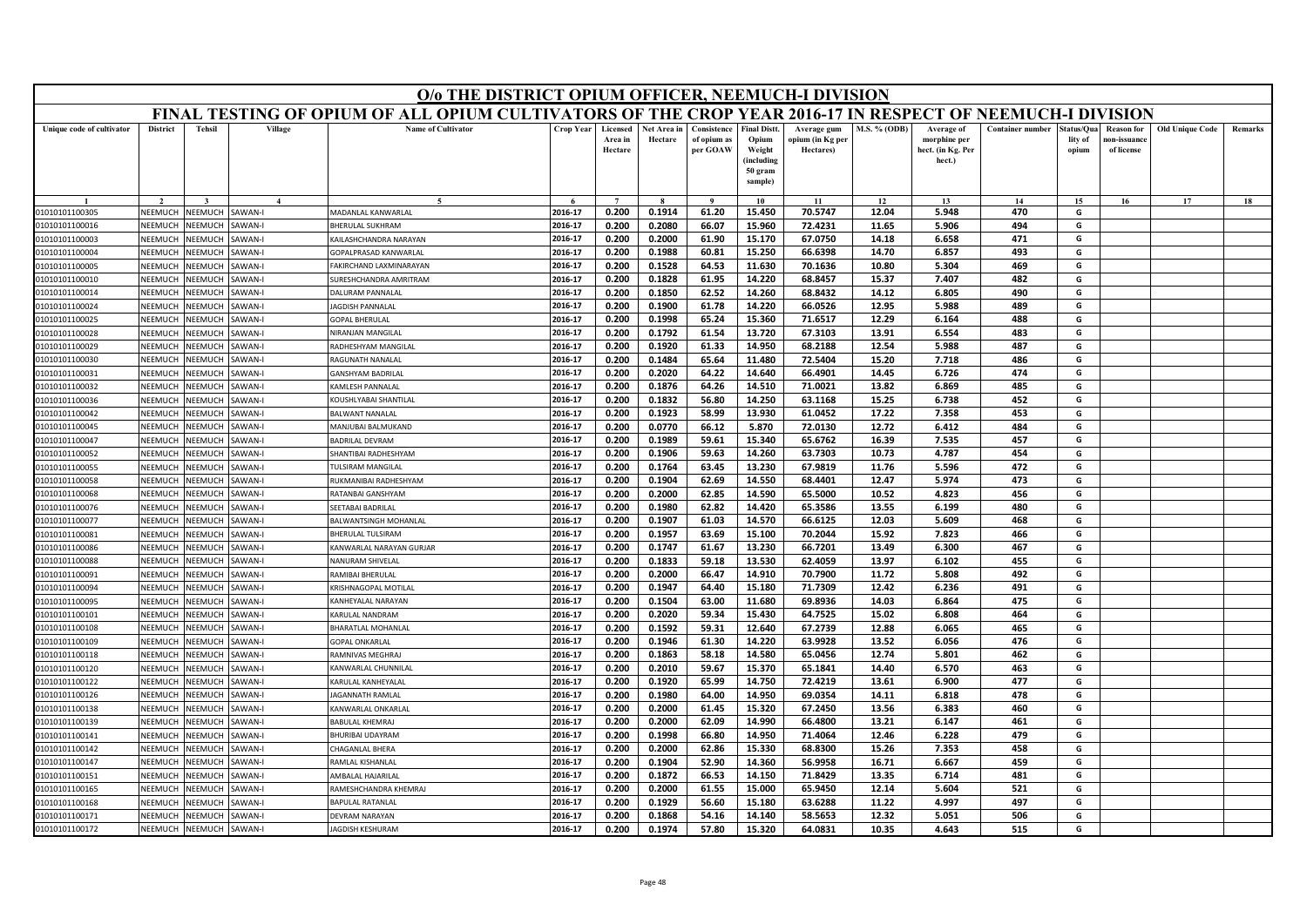|                                  | O/o THE DISTRICT OPIUM OFFICER, NEEMUCH-I DIVISION<br>FINAL TESTING OF OPIUM OF ALL OPIUM CULTIVATORS OF THE CROP YEAR 2016-17 IN RESPECT OF NEEMUCH-I DIVISION |                           |                         |                                                   |                    |                                |                        |                                        |                                                      |                                              |                |                                                           |                         |                                |                                                |                        |         |
|----------------------------------|-----------------------------------------------------------------------------------------------------------------------------------------------------------------|---------------------------|-------------------------|---------------------------------------------------|--------------------|--------------------------------|------------------------|----------------------------------------|------------------------------------------------------|----------------------------------------------|----------------|-----------------------------------------------------------|-------------------------|--------------------------------|------------------------------------------------|------------------------|---------|
|                                  |                                                                                                                                                                 |                           |                         |                                                   |                    |                                |                        |                                        |                                                      |                                              |                |                                                           |                         |                                |                                                |                        |         |
| Unique code of cultivator        | <b>District</b>                                                                                                                                                 | <b>Tehsil</b>             | Village                 | <b>Name of Cultivator</b>                         | <b>Crop Year</b>   | Licensed<br>Area in<br>Hectare | Net Area in<br>Hectare | Consistence<br>of opium as<br>per GOAW | <b>Final Distt.</b><br>Opium<br>Weight<br>(including | Average gum<br>opium (in Kg per<br>Hectares) | M.S. % (ODB)   | Average of<br>morphine per<br>hect. (in Kg. Per<br>hect.) | <b>Container number</b> | Status/Ou:<br>lity of<br>opium | <b>Reason</b> for<br>ıon-issuanc<br>of license | <b>Old Unique Code</b> | Remarks |
|                                  |                                                                                                                                                                 |                           |                         |                                                   |                    |                                |                        |                                        | 50 gram<br>sample)                                   |                                              |                |                                                           |                         |                                |                                                |                        |         |
|                                  |                                                                                                                                                                 |                           |                         | $\epsilon$                                        |                    | $\overline{7}$                 |                        | $\mathbf{o}$                           | 10                                                   | 11                                           | 12             | 13                                                        | 14                      | 15                             | 16                                             | 17                     | 18      |
| 01010101100305                   | NEEMUCH                                                                                                                                                         | NEEMUCH                   | AWAN-I                  | MADANLAL KANWARLAL                                | 2016-17            | 0.200                          | 0.1914                 | 61.20                                  | 15.450                                               | 70.5747                                      | 12.04          | 5.948                                                     | 470                     | G                              |                                                |                        |         |
| 01010101100016                   | NFFMUCH                                                                                                                                                         | NEEMUCH                   | AWAN-I                  | <b>HERULAL SUKHRAM</b>                            | 2016-17            | 0.200                          | 0.2080                 | 66.07                                  | 15.960                                               | 72.4231                                      | 11.65          | 5.906                                                     | 494                     | G                              |                                                |                        |         |
| 01010101100003                   | NEEMUCH                                                                                                                                                         | <b>NEEMUCH</b>            | AWAN-I                  | AILASHCHANDRA NARAYAN                             | 2016-17            | 0.200                          | 0.2000                 | 61.90                                  | 15.170                                               | 67.0750                                      | 14.18          | 6.658                                                     | 471                     | G                              |                                                |                        |         |
| 01010101100004                   | NEEMUCH                                                                                                                                                         | NEEMUCH                   | AWAN-I                  | GOPALPRASAD KANWARLAL                             | 2016-17            | 0.200                          | 0.1988                 | 60.81                                  | 15.250                                               | 66.6398                                      | 14.70          | 6.857                                                     | 493                     | G                              |                                                |                        |         |
| 01010101100005                   | NEEMUCH                                                                                                                                                         | <b>NEEMUCH</b>            | AWAN-I                  | AKIRCHAND LAXMINARAYAN                            | 2016-17<br>2016-17 | 0.200<br>0.200                 | 0.1528                 | 64.53<br>61.95                         | 11.630<br>14.220                                     | 70.1636<br>68.8457                           | 10.80<br>15.37 | 5.304<br>7.407                                            | 469<br>482              | G<br>G                         |                                                |                        |         |
| 01010101100010                   | NEEMUCH                                                                                                                                                         | <b>NEEMUCH</b>            | AWAN-I                  | <b>SURESHCHANDRA AMRITRAM</b>                     | 2016-17            | 0.200                          | 0.1828<br>0.1850       | 62.52                                  | 14.260                                               | 68.8432                                      | 14.12          | 6.805                                                     | 490                     | G                              |                                                |                        |         |
| 01010101100014                   | NEEMUCH<br>NEEMUCH                                                                                                                                              | NEEMUCI<br><b>NEEMUCH</b> | AWAN-I<br><b>AWAN-I</b> | <b>DALURAM PANNALAL</b><br><b>AGDISH PANNALAI</b> | 2016-17            | 0.200                          | 0.1900                 | 61.78                                  | 14.220                                               | 66.0526                                      | 12.95          | 5.988                                                     | 489                     | G                              |                                                |                        |         |
| 01010101100024<br>01010101100025 | NEEMUCH                                                                                                                                                         | <b>NEEMUCH</b>            | AWAN-I                  | <b>OPAL BHERULAL</b>                              | 2016-17            | 0.200                          | 0.1998                 | 65.24                                  | 15.360                                               | 71.6517                                      | 12.29          | 6.164                                                     | 488                     | G                              |                                                |                        |         |
| 01010101100028                   | NEEMUCH                                                                                                                                                         | NEEMUCH                   | AWAN-I                  | NIRANJAN MANGILAL                                 | 2016-17            | 0.200                          | 0.1792                 | 61.54                                  | 13.720                                               | 67.3103                                      | 13.91          | 6.554                                                     | 483                     | G                              |                                                |                        |         |
| 01010101100029                   | NEEMUCH                                                                                                                                                         | <b>NEEMUCH</b>            | AWAN-I                  | RADHESHYAM MANGILAL                               | 2016-17            | 0.200                          | 0.1920                 | 61.33                                  | 14.950                                               | 68.2188                                      | 12.54          | 5.988                                                     | 487                     | G                              |                                                |                        |         |
| 01010101100030                   | NEEMUCH                                                                                                                                                         | VEEMUCI                   | AWAN-I                  | AGUNATH NANALAL                                   | 2016-17            | 0.200                          | 0.1484                 | 65.64                                  | 11.480                                               | 72.5404                                      | 15.20          | 7.718                                                     | 486                     | G                              |                                                |                        |         |
| 01010101100031                   | NFFMUCH                                                                                                                                                         | <b>NEEMUCH</b>            | AWAN-I                  | <b>ANSHYAM BADRILAL</b>                           | 2016-17            | 0.200                          | 0.2020                 | 64.22                                  | 14.640                                               | 66.4901                                      | 14.45          | 6.726                                                     | 474                     | G                              |                                                |                        |         |
| 01010101100032                   | NEEMUCH                                                                                                                                                         | <b>NEEMUCH</b>            | AWAN-I                  | AMLESH PANNALAL                                   | 2016-17            | 0.200                          | 0.1876                 | 64.26                                  | 14.510                                               | 71.0021                                      | 13.82          | 6.869                                                     | 485                     | G                              |                                                |                        |         |
| 01010101100036                   | NEEMUCH                                                                                                                                                         | VEEMUCI                   | AWAN-I                  | <b>COUSHLYABAI SHANTILAL</b>                      | 2016-17            | 0.200                          | 0.1832                 | 56.80                                  | 14.250                                               | 63.1168                                      | 15.25          | 6.738                                                     | 452                     | G                              |                                                |                        |         |
| 01010101100042                   | NEEMUCH                                                                                                                                                         | VEEMUCH                   | AWAN-I                  | <b>BALWANT NANALAI</b>                            | 2016-17            | 0.200                          | 0.1923                 | 58.99                                  | 13.930                                               | 61.0452                                      | 17.22          | 7.358                                                     | 453                     | G                              |                                                |                        |         |
| 01010101100045                   | NEEMUCH                                                                                                                                                         | <b>NEEMUCH</b>            | AWAN-I                  | MANJURAI BALMUKAND                                | 2016-17            | 0.200                          | 0.0770                 | 66.12                                  | 5.870                                                | 72.0130                                      | 12.72          | 6.412                                                     | 484                     | G                              |                                                |                        |         |
| 01010101100047                   | NEEMUCH                                                                                                                                                         | <b>NEEMUCH</b>            | AWAN-I                  | <b>BADRILAL DEVRAM</b>                            | 2016-17            | 0.200                          | 0.1989                 | 59.61                                  | 15.340                                               | 65.6762                                      | 16.39          | 7.535                                                     | 457                     | G                              |                                                |                        |         |
| 01010101100052                   | NFFMUCH                                                                                                                                                         | <b>JEEMUCH</b>            | AWAN-I                  | <b>HANTIBAI RADHESHYAM</b>                        | 2016-17            | 0.200                          | 0.1906                 | 59.63                                  | 14.260                                               | 63.7303                                      | 10.73          | 4.787                                                     | 454                     | G                              |                                                |                        |         |
| 01010101100055                   | NEEMUCH                                                                                                                                                         | NEEMUCH                   | AWAN-I                  | ULSIRAM MANGILAL                                  | 2016-17            | 0.200                          | 0.1764                 | 63.45                                  | 13.230                                               | 67.9819                                      | 11.76          | 5.596                                                     | 472                     | G                              |                                                |                        |         |
| 01010101100058                   | NEEMUCH                                                                                                                                                         | <b>JEEMUCH</b>            | AWAN-I                  | <b>NUKMANIBAI RADHESHYAM</b>                      | 2016-17            | 0.200                          | 0.1904                 | 62.69                                  | 14.550                                               | 68.4401                                      | 12.47          | 5.974                                                     | 473                     | G                              |                                                |                        |         |
| 01010101100068                   | NEEMUCH                                                                                                                                                         | <b>JEEMUCH</b>            | AWAN-I                  | RATANBAI GANSHYAM                                 | 2016-17            | 0.200                          | 0.2000                 | 62.85                                  | 14.590                                               | 65.5000                                      | 10.52          | 4.823                                                     | 456                     | G                              |                                                |                        |         |
| 01010101100076                   | NEEMUCH                                                                                                                                                         | <b>NEEMUCH</b>            | AWAN-I                  | <b>SEETABAI BADRILAL</b>                          | 2016-17            | 0.200                          | 0.1980                 | 62.82                                  | 14.420                                               | 65.3586                                      | 13.55          | 6.199                                                     | 480                     | G                              |                                                |                        |         |
| 01010101100077                   | NEEMUCH                                                                                                                                                         | <b>NEEMUCH</b>            | AWAN-I                  | BALWANTSINGH MOHANLAL                             | 2016-17            | 0.200                          | 0.1907                 | 61.03                                  | 14.570                                               | 66.6125                                      | 12.03          | 5.609                                                     | 468                     | G                              |                                                |                        |         |
| 01010101100081                   | NEEMUCH                                                                                                                                                         | VEEMUCH                   | AWAN-I                  | HERULAL TULSIRAM                                  | 2016-17            | 0.200                          | 0.1957                 | 63.69                                  | 15.100                                               | 70.2044                                      | 15.92          | 7.823                                                     | 466                     | G                              |                                                |                        |         |
| 01010101100086                   | NFFMUCH                                                                                                                                                         | NEEMUCH                   | AWAN-I                  | KANWARLAL NARAYAN GURJAR                          | 2016-17            | 0.200                          | 0.1747                 | 61.67                                  | 13.230                                               | 66.7201                                      | 13.49          | 6.300                                                     | 467                     | G                              |                                                |                        |         |
| 01010101100088                   | NEEMUCH                                                                                                                                                         | VEEMUCI                   | AWAN-I                  | <b>VANURAM SHIVELAI</b>                           | 2016-17            | 0.200                          | 0.1833                 | 59.18                                  | 13.530                                               | 62.4059                                      | 13.97          | 6.102                                                     | 455                     | G                              |                                                |                        |         |
| 01010101100091                   | NEEMUCH                                                                                                                                                         | <b>NEEMUCH</b>            | AWAN-I                  | RAMIBAI BHERULAL                                  | 2016-17            | 0.200                          | 0.2000                 | 66.47                                  | 14.910                                               | 70.7900                                      | 11.72          | 5.808                                                     | 492                     | G                              |                                                |                        |         |
| 01010101100094                   | NEEMUCH                                                                                                                                                         | <b>NEEMUCH</b>            | AWAN-I                  | KRISHNAGOPAL MOTILAL                              | 2016-17            | 0.200                          | 0.1947                 | 64.40                                  | 15.180                                               | 71.7309                                      | 12.42          | 6.236                                                     | 491                     | G                              |                                                |                        |         |
| 01010101100095                   | NEEMUCH                                                                                                                                                         | VEEMUCI                   | AWAN-I                  | <b>CANHEYALAL NARAYAN</b>                         | 2016-17            | 0.200                          | 0.1504                 | 63.00                                  | 11.680                                               | 69.8936                                      | 14.03          | 6.864                                                     | 475                     | G                              |                                                |                        |         |
| 01010101100101                   | NEEMUCH                                                                                                                                                         | <b>NEEMUCH</b>            | AWAN-I                  | <b>CARULAL NANDRAM</b>                            | 2016-17            | 0.200                          | 0.2020                 | 59.34                                  | 15.430                                               | 64.7525                                      | 15.02          | 6.808                                                     | 464                     | G                              |                                                |                        |         |
| 01010101100108                   | NEEMUCH                                                                                                                                                         | <b>NEEMUCH</b>            | AWAN-I                  | HARATLAL MOHANLAL                                 | 2016-17            | 0.200                          | 0.1592                 | 59.31                                  | 12.640                                               | 67.2739                                      | 12.88          | 6.065                                                     | 465                     | G                              |                                                |                        |         |
| 01010101100109                   | <b>NEEMUCH</b>                                                                                                                                                  | VEEMUCI                   | AWAN-I                  | <b>GOPAL ONKARLAI</b>                             | 2016-17            | 0.200                          | 0.1946                 | 61.30                                  | 14.220                                               | 63.9928                                      | 13.52          | 6.056                                                     | 476                     | G                              |                                                |                        |         |
| 01010101100118                   | NEEMUCH                                                                                                                                                         | <b>NEEMUCH</b>            | AWAN-I                  | <b>RAMNIVAS MEGHRAJ</b>                           | 2016-17            | 0.200                          | 0.1863                 | 58.18                                  | 14.580                                               | 65.0456                                      | 12.74          | 5.801                                                     | 462                     | G                              |                                                |                        |         |
| 01010101100120                   | NEEMUCH                                                                                                                                                         | VEEMUCI                   | AWAN-I                  | ANWARLAL CHUNNILAI                                | 2016-17            | 0.200                          | 0.2010                 | 59.67                                  | 15.370                                               | 65.1841                                      | 14.40          | 6.570                                                     | 463                     | G                              |                                                |                        |         |
| 01010101100122                   | <b>NFFMUCH</b>                                                                                                                                                  | VEEMUCH                   | AWAN-I                  | KARULAL KANHEYALAL                                | 2016-17            | 0.200                          | 0.1920                 | 65.99                                  | 14.750                                               | 72.4219                                      | 13.61          | 6.900                                                     | 477                     | G                              |                                                |                        |         |
| 01010101100126                   | NEEMUCH                                                                                                                                                         | <b>JEEMUCH</b>            | <b>AWAN-I</b>           | <b>AGANNATH RAMLAL</b>                            | 2016-17            | 0.200                          | 0.1980                 | 64.00                                  | 14.950                                               | 69.0354                                      | 14.11          | 6.818                                                     | 478                     | G                              |                                                |                        |         |
| 01010101100138                   | NEEMUCH                                                                                                                                                         | <b>NEEMUCH</b>            | AWAN-I                  | ANWARLAL ONKARLAL                                 | 2016-17            | 0.200                          | 0.2000                 | 61.45                                  | 15.320                                               | 67.2450                                      | 13.56          | 6.383                                                     | 460                     | G                              |                                                |                        |         |
| 01010101100139                   | NEEMUCH                                                                                                                                                         | NEEMUCH                   | AWAN-I                  | <b>BABULAL KHEMRAJ</b>                            | 2016-17            | 0.200                          | 0.2000                 | 62.09                                  | 14.990                                               | 66.4800                                      | 13.21          | 6.147                                                     | 461                     | G                              |                                                |                        |         |
| 01010101100141                   | NEEMUCH                                                                                                                                                         | NEEMUCH                   | <b>AWAN-I</b>           | HURIBAI UDAYRAM                                   | 2016-17            | 0.200                          | 0.1998                 | 66.80                                  | 14.950                                               | 71.4064                                      | 12.46          | 6.228                                                     | 479                     | G                              |                                                |                        |         |
| 01010101100142                   | NEEMUCH                                                                                                                                                         | <b>JEEMUCH</b>            | AWAN-I                  | HAGANLAL BHERA                                    | 2016-17            | 0.200                          | 0.2000                 | 62.86                                  | 15.330                                               | 68.8300                                      | 15.26          | 7.353                                                     | 458                     | G                              |                                                |                        |         |
| 01010101100147                   | <b>NFFMUCH</b>                                                                                                                                                  | VEEMUCI                   | AWAN-I                  | <b>RAMLAL KISHANLA</b> I                          | 2016-17            | 0.200                          | 0.1904                 | 52.90                                  | 14.360                                               | 56.9958                                      | 16.71          | 6.667                                                     | 459                     | G                              |                                                |                        |         |
| 01010101100151                   | NEEMUCH                                                                                                                                                         | NEEMUCH                   | AWAN-I                  | <b>MBALAL HAJARILAL</b>                           | 2016-17            | 0.200                          | 0.1872                 | 66.53                                  | 14.150                                               | 71.8429                                      | 13.35          | 6.714                                                     | 481                     | G                              |                                                |                        |         |
| 01010101100165                   | NEEMUCH                                                                                                                                                         | <b>JEEMUC</b>             | AWAN-I                  | AMESHCHANDRA KHEMRAJ                              | 2016-17            | 0.200                          | 0.2000                 | 61.55                                  | 15.000                                               | 65.9450                                      | 12.14          | 5.604                                                     | 521                     | G                              |                                                |                        |         |
| 01010101100168                   | NEEMUCH                                                                                                                                                         | VEEMUCI                   | AWAN-I                  | <b>BAPULAL RATANLA</b>                            | 2016-17            | 0.200                          | 0.1929                 | 56.60                                  | 15.180                                               | 63.6288                                      | 11.22          | 4.997                                                     | 497                     | G                              |                                                |                        |         |
| 01010101100171                   | NEEMUCH                                                                                                                                                         | NEEMUCH                   | AWAN-I                  | <b>DEVRAM NARAYAN</b>                             | 2016-17            | 0.200                          | 0.1868                 | 54.16                                  | 14.140                                               | 58.5653                                      | 12.32          | 5.051                                                     | 506                     | G                              |                                                |                        |         |
| 01010101100172                   | NEEMUCH                                                                                                                                                         | NEEMUCH                   | AWAN-I                  | <b>AGDISH KESHURAN</b>                            | 2016-17            | 0.200                          | 0.1974                 | 57.80                                  | 15.320                                               | 64.0831                                      | 10.35          | 4.643                                                     | 515                     | G                              |                                                |                        |         |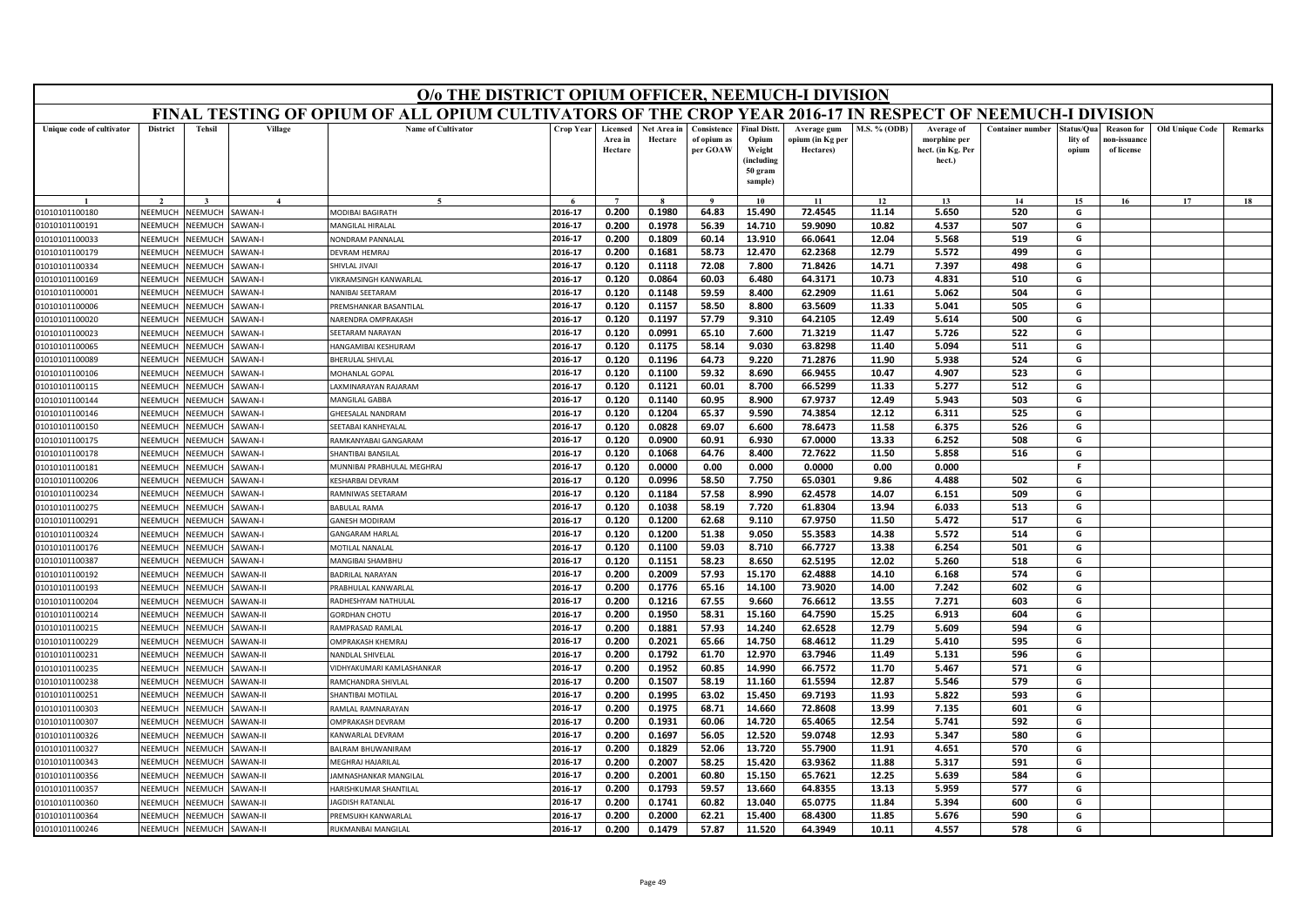| FINAL TESTING OF OPIUM OF ALL OPIUM CULTIVATORS OF THE CROP YEAR 2016-17 IN RESPECT OF NEEMUCH-I DIVISION<br><b>Name of Cultivator</b><br><b>District</b><br><b>Tehsil</b><br>Village<br>Crop Year<br><b>Final Distt.</b><br><b>M.S. % (ODB)</b><br><b>Container number</b><br>Old Unique Code<br>Unique code of cultivator<br>Licensed<br>Net Area in<br>Consistence<br>Average of<br>tatus/Qua<br><b>Reason for</b><br>Remarks<br>Average gum<br>Area in<br>Hectare<br>of opium as<br>Opium<br>ppium (in Kg per<br>morphine per<br>lity of<br>10n-issuanc<br>Hectare<br>per GOAW<br>Weight<br>Hectares)<br>hect. (in Kg. Per<br>of license<br>opium<br>(including<br>hect.)<br>50 gram<br>sample)<br>15<br>17<br>$\bf{Q}$<br>10<br>11<br>12<br>13<br>14<br>16<br>18<br>2016-17<br>0.200<br>0.1980<br>64.83<br>15.490<br>72.4545<br>5.650<br>520<br>G<br>NEEMUCH<br>NEEMUCH<br>SAWAN-I<br>MODIBAI BAGIRATH<br>11.14<br>01010101100180<br>2016-17<br>0.200<br>0.1978<br>56.39<br>14.710<br>59.9090<br>10.82<br>4.537<br>507<br>G<br>01010101100191<br>NEEMUCH<br><b>NEEMUCH</b><br>AWAN-I<br><b>MANGILAL HIRALAL</b><br>NEEMUCH<br>NEEMUCH<br><b>JONDRAM PANNALAL</b><br>2016-17<br>0.200<br>0.1809<br>60.14<br>13.910<br>66.0641<br>12.04<br>5.568<br>519<br>G<br>01010101100033<br>AWAN-I<br><b>NEEMUCH</b><br>VEEMUCH<br><b>SAWAN-I</b><br><b>DEVRAM HEMRAJ</b><br>2016-17<br>0.200<br>0.1681<br>58.73<br>12.470<br>62.2368<br>12.79<br>5.572<br>499<br>G<br>01010101100179<br>2016-17<br>0.120<br>0.1118<br>72.08<br>7.800<br>71.8426<br>14.71<br>7.397<br>498<br>G<br>NEEMUCH<br><b>NEEMUCH</b><br>AWAN-I<br>01010101100334<br>SHIVLAL JIVAJI<br>60.03<br>6.480<br>64.3171<br>510<br>2016-17<br>0.120<br>0.0864<br>10.73<br>4.831<br>G<br>01010101100169<br>NEEMUCH<br><b>NEEMUCH</b><br>AWAN-I<br><b>IKRAMSINGH KANWARLAL</b><br>0.120<br>0.1148<br>59.59<br>8.400<br>62.2909<br>504<br>NEEMUCH<br>VEEMUCH<br><b>AWAN-I</b><br>2016-17<br>11.61<br>5.062<br>G<br>01010101100001<br>NANIBAI SEETARAM<br>2016-17<br>0.120<br>0.1157<br>58.50<br>8.800<br>63.5609<br>11.33<br>505<br>G<br>5.041<br>NEEMUCH<br><b>NEEMUCH</b><br>AWAN-I<br>01010101100006<br>REMSHANKAR BASANTILAL<br>2016-17<br>9.310<br>64.2105<br>5.614<br>500<br>0.120<br>0.1197<br>57.79<br>12.49<br>G<br>01010101100020<br>NEEMUCH<br><b>NEEMUCH</b><br>AWAN-I<br><b>VARENDRA OMPRAKASH</b><br>2016-17<br>0.120<br>0.0991<br>65.10<br>7.600<br>71.3219<br>11.47<br>5.726<br>522<br>G<br>01010101100023<br>NEEMUCH<br><b>NEEMUCH</b><br><b>SAWAN-I</b><br>SEETARAM NARAYAN<br>2016-17<br>0.120<br>0.1175<br>58.14<br>9.030<br>63.8298<br>11.40<br>5.094<br>511<br>G<br><b>NEEMUCH</b><br>AWAN-I<br>01010101100065<br>NEEMUCH<br><b>HANGAMIBAI KESHURAM</b><br>2016-17<br>0.120<br>0.1196<br>64.73<br>9.220<br>71.2876<br>11.90<br>5.938<br>524<br>NEEMUCH<br>G<br>01010101100089<br><b>JEEMUCH</b><br>AWAN-I<br>HERULAL SHIVLAL<br>NEEMUCH<br><b>JEEMUCH</b><br>AWAN-I<br>0.120<br>0.1100<br>59.32<br>8.690<br>66.9455<br>523<br>G<br>01010101100106<br><b>MOHANLAL GOPAL</b><br>2016-17<br>10.47<br>4.907<br><b>JEEMUCH</b><br>0.120<br>0.1121<br>66.5299<br>512<br>G<br>01010101100115<br>NEEMUCH<br>AWAN-I<br>2016-17<br>60.01<br>8.700<br>11.33<br>5.277<br>AXMINARAYAN RAJARAM<br>NEEMUCH<br>503<br>01010101100144<br><b>JEEMUCI</b><br>AWAN-I<br>2016-17<br>0.120<br>0.1140<br>60.95<br>8.900<br>67.9737<br>12.49<br>5.943<br>G<br><b>MANGILAL GABBA</b><br>NEEMUCH<br><b>JEEMUCH</b><br>AWAN-I<br>2016-17<br>0.120<br>0.1204<br>65.37<br>9.590<br>74.3854<br>12.12<br>6.311<br>525<br>G<br>01010101100146<br>HEESALAL NANDRAM<br>NFFMUCH<br><b>JEEMUCH</b><br>AWAN-I<br>2016-17<br>0.120<br>0.0828<br>69.07<br>78.6473<br>11.58<br>6.375<br>526<br>G<br>01010101100150<br><b>SEETABAI KANHEYALAL</b><br>6.600<br>NEEMUCH<br><b>JEEMUC</b><br>AWAN-I<br>2016-17<br>0.120<br>0.0900<br>60.91<br>6.930<br>67.0000<br>13.33<br>6.252<br>508<br>G<br>01010101100175<br><b>RAMKANYABAI GANGARAM</b><br>NEEMUCH<br>NEEMUCH<br>2016-17<br>0.120<br>0.1068<br>64.76<br>8.400<br>72.7622<br>11.50<br>5.858<br>516<br>G<br>01010101100178<br>AWAN-I<br>HANTIBAI BANSILAL<br><b>MUNNIBAI PRABHULAL MEGHRAJ</b><br>2016-17<br>0.120<br>0.0000<br>0.00<br>0.000<br>0.0000<br>0.00<br>0.000<br>F.<br>01010101100181<br>NEEMUCH<br><b>NEEMUCH</b><br>AWAN-I<br>0.120<br>58.50<br>7.750<br>4.488<br>502<br>NEEMUCH<br>2016-17<br>0.0996<br>65.0301<br>9.86<br>G<br><b>JEEMUCI</b><br>AWAN-I<br>KESHARBAI DEVRAM<br>01010101100206<br>NEEMUCH<br><b>JEEMUCH</b><br>AMNIWAS SEETARAM<br>2016-17<br>0.120<br>0.1184<br>57.58<br>8.990<br>62.4578<br>14.07<br>6.151<br>509<br>G<br>01010101100234<br>AWAN-I<br>2016-17<br>58.19<br>61.8304<br>G<br><b>JEEMUCH</b><br>AWAN-I<br><b>BABULAL RAMA</b><br>0.120<br>0.1038<br>7.720<br>13.94<br>6.033<br>513<br>01010101100275<br>NEEMUCH<br>2016-17<br>0.120<br>0.1200<br>62.68<br>9.110<br>67.9750<br>11.50<br>5.472<br>517<br>G<br>NEEMUCH<br><b>JEEMUCI</b><br>GANESH MODIRAM<br>01010101100291<br>AWAN-I<br>2016-17<br>0.120<br>0.1200<br>51.38<br>9.050<br>55.3583<br>5.572<br>514<br>G<br>NEEMUCH<br><b>NEEMUCH</b><br>AWAN-I<br>14.38<br>01010101100324<br>GANGARAM HARLAL<br>2016-17<br>0.120<br>0.1100<br>59.03<br>8.710<br>66.7727<br>13.38<br>6.254<br>501<br>G<br>01010101100176<br>NEEMUCH<br><b>JEEMUCH</b><br>AWAN-I<br>MOTILAL NANALAL<br>2016-17<br>0.120<br>0.1151<br>58.23<br>8.650<br>62.5195<br>12.02<br>5.260<br>518<br>G<br>NEEMUCH<br><b>JEEMUCI</b><br>AWAN-I<br>01010101100387<br>MANGIBAI SHAMBHU<br>57.93<br>62.4888<br>2016-17<br>0.200<br>0.2009<br>15.170<br>14.10<br>6.168<br>574<br>G<br>01010101100192<br>NEEMUCH<br><b>JEEMUCH</b><br><b>AWAN-II</b><br><b>BADRILAL NARAYAN</b><br>65.16<br><b>JEEMUCH</b><br>AWAN-II<br>2016-17<br>0.200<br>0.1776<br>14.100<br>73.9020<br>14.00<br>7.242<br>602<br>G<br>01010101100193<br>NEEMUCH<br>RABHULAL KANWARLAL<br><b>NEEMUCH</b><br>VEEMUCI<br>AWAN-II<br>2016-17<br>0.200<br>0.1216<br>67.55<br>9.660<br>76.6612<br>13.55<br>7.271<br>603<br>G<br>01010101100204<br>RADHESHYAM NATHULAL<br>NEEMUCH<br><b>JEEMUCH</b><br><b>AWAN-II</b><br>2016-17<br>0.200<br>0.1950<br>58.31<br>15.160<br>64.7590<br>604<br>G<br>01010101100214<br><b>GORDHAN CHOTU</b><br>15.25<br>6.913<br>01010101100215<br>NEEMUCH<br><b>NEEMUCH</b><br>AWAN-II<br>2016-17<br>0.200<br>0.1881<br>57.93<br>14.240<br>62.6528<br>12.79<br>5.609<br>594<br>G<br><b>AMPRASAD RAMLAL</b><br><b>NEEMUCH</b><br>VEEMUCH<br>AWAN-II<br>2016-17<br>0.200<br>0.2021<br>65.66<br>14.750<br>68.4612<br>11.29<br>5.410<br>595<br>G<br>01010101100229<br><b>IMPRAKASH KHEMRA</b><br>12.970<br>596<br>NEEMUCH<br><b>NEEMUCH</b><br><b>AWAN-II</b><br>2016-17<br>0.200<br>0.1792<br>61.70<br>63.7946<br>11.49<br>G<br>01010101100231<br>NANDLAL SHIVELAL<br>5.131<br>01010101100235<br>NEEMUCH<br><b>NEEMUCH</b><br>AWAN-II<br>IDHYAKUMARI KAMLASHANKAR<br>2016-17<br>0.200<br>0.1952<br>60.85<br>14.990<br>66.7572<br>11.70<br>5.467<br>571<br>G<br>61.5594<br>NEEMUCH<br><b>JEEMUCH</b><br><b>AWAN-II</b><br>2016-17<br>0.200<br>0.1507<br>58.19<br>11.160<br>12.87<br>5.546<br>579<br>G<br>01010101100238<br>RAMCHANDRA SHIVLAL<br>2016-17<br>0.1995<br>63.02<br>15.450<br>69.7193<br>11.93<br>5.822<br>593<br>NEEMUCH<br>0.200<br>G<br>01010101100251<br><b>JEEMUCH</b><br>AWAN-II<br>HANTIBAI MOTILAL<br>72.8608<br>G<br>NEEMUCH<br><b>JEEMUCH</b><br>AMLAL RAMNARAYAN<br>2016-17<br>0.200<br>0.1975<br>68.71<br>14.660<br>13.99<br>7.135<br>601<br>01010101100303<br>AWAN-II<br>2016-17<br>12.54<br>592<br>G<br>NEEMUCH<br>VEEMUCH<br>AWAN-II<br><b>MPRAKASH DEVRAM</b><br>0.200<br>0.1931<br>60.06<br>14.720<br>65.4065<br>5.741<br>01010101100307<br>2016-17<br>12.520<br>12.93<br>580<br>0.200<br>0.1697<br>56.05<br>59.0748<br>5.347<br>G<br>NEEMUCH<br><b>NEEMUCH</b><br><b>AWAN-II</b><br><b>CANWARLAL DEVRAM</b><br>01010101100326<br>2016-17<br>0.200<br>0.1829<br>52.06<br>13.720<br>55.7900<br>570<br>G<br>NEEMUCH<br><b>JEEMUCH</b><br>AWAN-II<br>ALRAM BHUWANIRAM<br>11.91<br>4.651<br>01010101100327<br>2016-17<br>0.200<br>0.2007<br>58.25<br>15.420<br>63.9362<br>11.88<br>5.317<br>591<br>G<br><b>NFFMUCH</b><br>VEEMUCI<br>AWAN-II<br>01010101100343<br>MFGHRAI HAIARILAI<br>2016-17<br>0.2001<br>60.80<br>15.150<br>65.7621<br>12.25<br>5.639<br>584<br>G<br>0.200<br>NEEMUCH<br><b>NEEMUCH</b><br><b>AWAN-II</b><br>01010101100356<br>AMNASHANKAR MANGILAL<br>0.200<br>59.57<br>13.660<br>64.8355<br>5.959<br>577<br>2016-17<br>0.1793<br>13.13<br>G<br>01010101100357<br>NEEMUCH<br><b>JEEMUCI</b><br>AWAN-II<br><b>ARISHKUMAR SHANTILAL</b><br>2016-17<br>0.200<br>0.1741<br>60.82<br>13.040<br>65.0775<br>11.84<br>5.394<br>600<br>G<br>01010101100360<br>NEEMUCH<br><b>JEEMUCI</b><br>AWAN-II<br><b>AGDISH RATANLA</b><br>2016-17<br>0.200<br>0.2000<br>62.21<br>15.400<br>68.4300<br>11.85<br>5.676<br>590<br>G<br>NEEMUCH<br>NEEMUCH<br>AWAN-II<br>01010101100364<br>REMSUKH KANWARLAI<br>0.200<br>0.1479<br>57.87<br>11.520<br>4.557<br>2016-17<br>64.3949<br>10.11<br>578<br>G<br>NEEMUCH<br>NEEMUCH<br>AWAN-II<br>01010101100246<br><b>NUKMANBAI MANGILAL</b> | O/o THE DISTRICT OPIUM OFFICER, NEEMUCH-I DIVISION |  |  |  |  |  |  |  |  |  |  |  |  |  |  |  |  |
|------------------------------------------------------------------------------------------------------------------------------------------------------------------------------------------------------------------------------------------------------------------------------------------------------------------------------------------------------------------------------------------------------------------------------------------------------------------------------------------------------------------------------------------------------------------------------------------------------------------------------------------------------------------------------------------------------------------------------------------------------------------------------------------------------------------------------------------------------------------------------------------------------------------------------------------------------------------------------------------------------------------------------------------------------------------------------------------------------------------------------------------------------------------------------------------------------------------------------------------------------------------------------------------------------------------------------------------------------------------------------------------------------------------------------------------------------------------------------------------------------------------------------------------------------------------------------------------------------------------------------------------------------------------------------------------------------------------------------------------------------------------------------------------------------------------------------------------------------------------------------------------------------------------------------------------------------------------------------------------------------------------------------------------------------------------------------------------------------------------------------------------------------------------------------------------------------------------------------------------------------------------------------------------------------------------------------------------------------------------------------------------------------------------------------------------------------------------------------------------------------------------------------------------------------------------------------------------------------------------------------------------------------------------------------------------------------------------------------------------------------------------------------------------------------------------------------------------------------------------------------------------------------------------------------------------------------------------------------------------------------------------------------------------------------------------------------------------------------------------------------------------------------------------------------------------------------------------------------------------------------------------------------------------------------------------------------------------------------------------------------------------------------------------------------------------------------------------------------------------------------------------------------------------------------------------------------------------------------------------------------------------------------------------------------------------------------------------------------------------------------------------------------------------------------------------------------------------------------------------------------------------------------------------------------------------------------------------------------------------------------------------------------------------------------------------------------------------------------------------------------------------------------------------------------------------------------------------------------------------------------------------------------------------------------------------------------------------------------------------------------------------------------------------------------------------------------------------------------------------------------------------------------------------------------------------------------------------------------------------------------------------------------------------------------------------------------------------------------------------------------------------------------------------------------------------------------------------------------------------------------------------------------------------------------------------------------------------------------------------------------------------------------------------------------------------------------------------------------------------------------------------------------------------------------------------------------------------------------------------------------------------------------------------------------------------------------------------------------------------------------------------------------------------------------------------------------------------------------------------------------------------------------------------------------------------------------------------------------------------------------------------------------------------------------------------------------------------------------------------------------------------------------------------------------------------------------------------------------------------------------------------------------------------------------------------------------------------------------------------------------------------------------------------------------------------------------------------------------------------------------------------------------------------------------------------------------------------------------------------------------------------------------------------------------------------------------------------------------------------------------------------------------------------------------------------------------------------------------------------------------------------------------------------------------------------------------------------------------------------------------------------------------------------------------------------------------------------------------------------------------------------------------------------------------------------------------------------------------------------------------------------------------------------------------------------------------------------------------------------------------------------------------------------------------------------------------------------------------------------------------------------------------------------------------------------------------------------------------------------------------------------------------------------------------------------------------------------------------------------------------------------------------------------------------------------------------------------------------------------------------------------------------------------------------------------------------------------------------------------------------------------------------------------------------------------------------------------------------------------------------------------------------------------------------------------------------------------------------------------------------------------------------------------------------------------------------------------------------------------------------------------------------------------------------------------------------------------------------------------------------------------------------------------------------------------------------------------------------------------------------------------------------------------------------------------------------------------------------------------------------------------------------------------------------------------------------------------------------------------------------------------------------------------------------------------------------------------------------------------------------------------------------------------------------------------------------------------------------------------------------------------------------------------------------------------------------------------------------------------------------------------------------------------------------------------------------------------------------------------------------------------------------------------------------------------------------------------------------------------------------------------|----------------------------------------------------|--|--|--|--|--|--|--|--|--|--|--|--|--|--|--|--|
|                                                                                                                                                                                                                                                                                                                                                                                                                                                                                                                                                                                                                                                                                                                                                                                                                                                                                                                                                                                                                                                                                                                                                                                                                                                                                                                                                                                                                                                                                                                                                                                                                                                                                                                                                                                                                                                                                                                                                                                                                                                                                                                                                                                                                                                                                                                                                                                                                                                                                                                                                                                                                                                                                                                                                                                                                                                                                                                                                                                                                                                                                                                                                                                                                                                                                                                                                                                                                                                                                                                                                                                                                                                                                                                                                                                                                                                                                                                                                                                                                                                                                                                                                                                                                                                                                                                                                                                                                                                                                                                                                                                                                                                                                                                                                                                                                                                                                                                                                                                                                                                                                                                                                                                                                                                                                                                                                                                                                                                                                                                                                                                                                                                                                                                                                                                                                                                                                                                                                                                                                                                                                                                                                                                                                                                                                                                                                                                                                                                                                                                                                                                                                                                                                                                                                                                                                                                                                                                                                                                                                                                                                                                                                                                                                                                                                                                                                                                                                                                                                                                                                                                                                                                                                                                                                                                                                                                                                                                                                                                                                                                                                                                                                                                                                                                                                                                                                                                                                                                                                                                                                                                                                                                                                                                                                                                                                                                                                                                                                                                                                                                                                                                                          |                                                    |  |  |  |  |  |  |  |  |  |  |  |  |  |  |  |  |
|                                                                                                                                                                                                                                                                                                                                                                                                                                                                                                                                                                                                                                                                                                                                                                                                                                                                                                                                                                                                                                                                                                                                                                                                                                                                                                                                                                                                                                                                                                                                                                                                                                                                                                                                                                                                                                                                                                                                                                                                                                                                                                                                                                                                                                                                                                                                                                                                                                                                                                                                                                                                                                                                                                                                                                                                                                                                                                                                                                                                                                                                                                                                                                                                                                                                                                                                                                                                                                                                                                                                                                                                                                                                                                                                                                                                                                                                                                                                                                                                                                                                                                                                                                                                                                                                                                                                                                                                                                                                                                                                                                                                                                                                                                                                                                                                                                                                                                                                                                                                                                                                                                                                                                                                                                                                                                                                                                                                                                                                                                                                                                                                                                                                                                                                                                                                                                                                                                                                                                                                                                                                                                                                                                                                                                                                                                                                                                                                                                                                                                                                                                                                                                                                                                                                                                                                                                                                                                                                                                                                                                                                                                                                                                                                                                                                                                                                                                                                                                                                                                                                                                                                                                                                                                                                                                                                                                                                                                                                                                                                                                                                                                                                                                                                                                                                                                                                                                                                                                                                                                                                                                                                                                                                                                                                                                                                                                                                                                                                                                                                                                                                                                                                          |                                                    |  |  |  |  |  |  |  |  |  |  |  |  |  |  |  |  |
|                                                                                                                                                                                                                                                                                                                                                                                                                                                                                                                                                                                                                                                                                                                                                                                                                                                                                                                                                                                                                                                                                                                                                                                                                                                                                                                                                                                                                                                                                                                                                                                                                                                                                                                                                                                                                                                                                                                                                                                                                                                                                                                                                                                                                                                                                                                                                                                                                                                                                                                                                                                                                                                                                                                                                                                                                                                                                                                                                                                                                                                                                                                                                                                                                                                                                                                                                                                                                                                                                                                                                                                                                                                                                                                                                                                                                                                                                                                                                                                                                                                                                                                                                                                                                                                                                                                                                                                                                                                                                                                                                                                                                                                                                                                                                                                                                                                                                                                                                                                                                                                                                                                                                                                                                                                                                                                                                                                                                                                                                                                                                                                                                                                                                                                                                                                                                                                                                                                                                                                                                                                                                                                                                                                                                                                                                                                                                                                                                                                                                                                                                                                                                                                                                                                                                                                                                                                                                                                                                                                                                                                                                                                                                                                                                                                                                                                                                                                                                                                                                                                                                                                                                                                                                                                                                                                                                                                                                                                                                                                                                                                                                                                                                                                                                                                                                                                                                                                                                                                                                                                                                                                                                                                                                                                                                                                                                                                                                                                                                                                                                                                                                                                                          |                                                    |  |  |  |  |  |  |  |  |  |  |  |  |  |  |  |  |
|                                                                                                                                                                                                                                                                                                                                                                                                                                                                                                                                                                                                                                                                                                                                                                                                                                                                                                                                                                                                                                                                                                                                                                                                                                                                                                                                                                                                                                                                                                                                                                                                                                                                                                                                                                                                                                                                                                                                                                                                                                                                                                                                                                                                                                                                                                                                                                                                                                                                                                                                                                                                                                                                                                                                                                                                                                                                                                                                                                                                                                                                                                                                                                                                                                                                                                                                                                                                                                                                                                                                                                                                                                                                                                                                                                                                                                                                                                                                                                                                                                                                                                                                                                                                                                                                                                                                                                                                                                                                                                                                                                                                                                                                                                                                                                                                                                                                                                                                                                                                                                                                                                                                                                                                                                                                                                                                                                                                                                                                                                                                                                                                                                                                                                                                                                                                                                                                                                                                                                                                                                                                                                                                                                                                                                                                                                                                                                                                                                                                                                                                                                                                                                                                                                                                                                                                                                                                                                                                                                                                                                                                                                                                                                                                                                                                                                                                                                                                                                                                                                                                                                                                                                                                                                                                                                                                                                                                                                                                                                                                                                                                                                                                                                                                                                                                                                                                                                                                                                                                                                                                                                                                                                                                                                                                                                                                                                                                                                                                                                                                                                                                                                                                          |                                                    |  |  |  |  |  |  |  |  |  |  |  |  |  |  |  |  |
|                                                                                                                                                                                                                                                                                                                                                                                                                                                                                                                                                                                                                                                                                                                                                                                                                                                                                                                                                                                                                                                                                                                                                                                                                                                                                                                                                                                                                                                                                                                                                                                                                                                                                                                                                                                                                                                                                                                                                                                                                                                                                                                                                                                                                                                                                                                                                                                                                                                                                                                                                                                                                                                                                                                                                                                                                                                                                                                                                                                                                                                                                                                                                                                                                                                                                                                                                                                                                                                                                                                                                                                                                                                                                                                                                                                                                                                                                                                                                                                                                                                                                                                                                                                                                                                                                                                                                                                                                                                                                                                                                                                                                                                                                                                                                                                                                                                                                                                                                                                                                                                                                                                                                                                                                                                                                                                                                                                                                                                                                                                                                                                                                                                                                                                                                                                                                                                                                                                                                                                                                                                                                                                                                                                                                                                                                                                                                                                                                                                                                                                                                                                                                                                                                                                                                                                                                                                                                                                                                                                                                                                                                                                                                                                                                                                                                                                                                                                                                                                                                                                                                                                                                                                                                                                                                                                                                                                                                                                                                                                                                                                                                                                                                                                                                                                                                                                                                                                                                                                                                                                                                                                                                                                                                                                                                                                                                                                                                                                                                                                                                                                                                                                                          |                                                    |  |  |  |  |  |  |  |  |  |  |  |  |  |  |  |  |
|                                                                                                                                                                                                                                                                                                                                                                                                                                                                                                                                                                                                                                                                                                                                                                                                                                                                                                                                                                                                                                                                                                                                                                                                                                                                                                                                                                                                                                                                                                                                                                                                                                                                                                                                                                                                                                                                                                                                                                                                                                                                                                                                                                                                                                                                                                                                                                                                                                                                                                                                                                                                                                                                                                                                                                                                                                                                                                                                                                                                                                                                                                                                                                                                                                                                                                                                                                                                                                                                                                                                                                                                                                                                                                                                                                                                                                                                                                                                                                                                                                                                                                                                                                                                                                                                                                                                                                                                                                                                                                                                                                                                                                                                                                                                                                                                                                                                                                                                                                                                                                                                                                                                                                                                                                                                                                                                                                                                                                                                                                                                                                                                                                                                                                                                                                                                                                                                                                                                                                                                                                                                                                                                                                                                                                                                                                                                                                                                                                                                                                                                                                                                                                                                                                                                                                                                                                                                                                                                                                                                                                                                                                                                                                                                                                                                                                                                                                                                                                                                                                                                                                                                                                                                                                                                                                                                                                                                                                                                                                                                                                                                                                                                                                                                                                                                                                                                                                                                                                                                                                                                                                                                                                                                                                                                                                                                                                                                                                                                                                                                                                                                                                                                          |                                                    |  |  |  |  |  |  |  |  |  |  |  |  |  |  |  |  |
|                                                                                                                                                                                                                                                                                                                                                                                                                                                                                                                                                                                                                                                                                                                                                                                                                                                                                                                                                                                                                                                                                                                                                                                                                                                                                                                                                                                                                                                                                                                                                                                                                                                                                                                                                                                                                                                                                                                                                                                                                                                                                                                                                                                                                                                                                                                                                                                                                                                                                                                                                                                                                                                                                                                                                                                                                                                                                                                                                                                                                                                                                                                                                                                                                                                                                                                                                                                                                                                                                                                                                                                                                                                                                                                                                                                                                                                                                                                                                                                                                                                                                                                                                                                                                                                                                                                                                                                                                                                                                                                                                                                                                                                                                                                                                                                                                                                                                                                                                                                                                                                                                                                                                                                                                                                                                                                                                                                                                                                                                                                                                                                                                                                                                                                                                                                                                                                                                                                                                                                                                                                                                                                                                                                                                                                                                                                                                                                                                                                                                                                                                                                                                                                                                                                                                                                                                                                                                                                                                                                                                                                                                                                                                                                                                                                                                                                                                                                                                                                                                                                                                                                                                                                                                                                                                                                                                                                                                                                                                                                                                                                                                                                                                                                                                                                                                                                                                                                                                                                                                                                                                                                                                                                                                                                                                                                                                                                                                                                                                                                                                                                                                                                                          |                                                    |  |  |  |  |  |  |  |  |  |  |  |  |  |  |  |  |
|                                                                                                                                                                                                                                                                                                                                                                                                                                                                                                                                                                                                                                                                                                                                                                                                                                                                                                                                                                                                                                                                                                                                                                                                                                                                                                                                                                                                                                                                                                                                                                                                                                                                                                                                                                                                                                                                                                                                                                                                                                                                                                                                                                                                                                                                                                                                                                                                                                                                                                                                                                                                                                                                                                                                                                                                                                                                                                                                                                                                                                                                                                                                                                                                                                                                                                                                                                                                                                                                                                                                                                                                                                                                                                                                                                                                                                                                                                                                                                                                                                                                                                                                                                                                                                                                                                                                                                                                                                                                                                                                                                                                                                                                                                                                                                                                                                                                                                                                                                                                                                                                                                                                                                                                                                                                                                                                                                                                                                                                                                                                                                                                                                                                                                                                                                                                                                                                                                                                                                                                                                                                                                                                                                                                                                                                                                                                                                                                                                                                                                                                                                                                                                                                                                                                                                                                                                                                                                                                                                                                                                                                                                                                                                                                                                                                                                                                                                                                                                                                                                                                                                                                                                                                                                                                                                                                                                                                                                                                                                                                                                                                                                                                                                                                                                                                                                                                                                                                                                                                                                                                                                                                                                                                                                                                                                                                                                                                                                                                                                                                                                                                                                                                          |                                                    |  |  |  |  |  |  |  |  |  |  |  |  |  |  |  |  |
|                                                                                                                                                                                                                                                                                                                                                                                                                                                                                                                                                                                                                                                                                                                                                                                                                                                                                                                                                                                                                                                                                                                                                                                                                                                                                                                                                                                                                                                                                                                                                                                                                                                                                                                                                                                                                                                                                                                                                                                                                                                                                                                                                                                                                                                                                                                                                                                                                                                                                                                                                                                                                                                                                                                                                                                                                                                                                                                                                                                                                                                                                                                                                                                                                                                                                                                                                                                                                                                                                                                                                                                                                                                                                                                                                                                                                                                                                                                                                                                                                                                                                                                                                                                                                                                                                                                                                                                                                                                                                                                                                                                                                                                                                                                                                                                                                                                                                                                                                                                                                                                                                                                                                                                                                                                                                                                                                                                                                                                                                                                                                                                                                                                                                                                                                                                                                                                                                                                                                                                                                                                                                                                                                                                                                                                                                                                                                                                                                                                                                                                                                                                                                                                                                                                                                                                                                                                                                                                                                                                                                                                                                                                                                                                                                                                                                                                                                                                                                                                                                                                                                                                                                                                                                                                                                                                                                                                                                                                                                                                                                                                                                                                                                                                                                                                                                                                                                                                                                                                                                                                                                                                                                                                                                                                                                                                                                                                                                                                                                                                                                                                                                                                                          |                                                    |  |  |  |  |  |  |  |  |  |  |  |  |  |  |  |  |
|                                                                                                                                                                                                                                                                                                                                                                                                                                                                                                                                                                                                                                                                                                                                                                                                                                                                                                                                                                                                                                                                                                                                                                                                                                                                                                                                                                                                                                                                                                                                                                                                                                                                                                                                                                                                                                                                                                                                                                                                                                                                                                                                                                                                                                                                                                                                                                                                                                                                                                                                                                                                                                                                                                                                                                                                                                                                                                                                                                                                                                                                                                                                                                                                                                                                                                                                                                                                                                                                                                                                                                                                                                                                                                                                                                                                                                                                                                                                                                                                                                                                                                                                                                                                                                                                                                                                                                                                                                                                                                                                                                                                                                                                                                                                                                                                                                                                                                                                                                                                                                                                                                                                                                                                                                                                                                                                                                                                                                                                                                                                                                                                                                                                                                                                                                                                                                                                                                                                                                                                                                                                                                                                                                                                                                                                                                                                                                                                                                                                                                                                                                                                                                                                                                                                                                                                                                                                                                                                                                                                                                                                                                                                                                                                                                                                                                                                                                                                                                                                                                                                                                                                                                                                                                                                                                                                                                                                                                                                                                                                                                                                                                                                                                                                                                                                                                                                                                                                                                                                                                                                                                                                                                                                                                                                                                                                                                                                                                                                                                                                                                                                                                                                          |                                                    |  |  |  |  |  |  |  |  |  |  |  |  |  |  |  |  |
|                                                                                                                                                                                                                                                                                                                                                                                                                                                                                                                                                                                                                                                                                                                                                                                                                                                                                                                                                                                                                                                                                                                                                                                                                                                                                                                                                                                                                                                                                                                                                                                                                                                                                                                                                                                                                                                                                                                                                                                                                                                                                                                                                                                                                                                                                                                                                                                                                                                                                                                                                                                                                                                                                                                                                                                                                                                                                                                                                                                                                                                                                                                                                                                                                                                                                                                                                                                                                                                                                                                                                                                                                                                                                                                                                                                                                                                                                                                                                                                                                                                                                                                                                                                                                                                                                                                                                                                                                                                                                                                                                                                                                                                                                                                                                                                                                                                                                                                                                                                                                                                                                                                                                                                                                                                                                                                                                                                                                                                                                                                                                                                                                                                                                                                                                                                                                                                                                                                                                                                                                                                                                                                                                                                                                                                                                                                                                                                                                                                                                                                                                                                                                                                                                                                                                                                                                                                                                                                                                                                                                                                                                                                                                                                                                                                                                                                                                                                                                                                                                                                                                                                                                                                                                                                                                                                                                                                                                                                                                                                                                                                                                                                                                                                                                                                                                                                                                                                                                                                                                                                                                                                                                                                                                                                                                                                                                                                                                                                                                                                                                                                                                                                                          |                                                    |  |  |  |  |  |  |  |  |  |  |  |  |  |  |  |  |
|                                                                                                                                                                                                                                                                                                                                                                                                                                                                                                                                                                                                                                                                                                                                                                                                                                                                                                                                                                                                                                                                                                                                                                                                                                                                                                                                                                                                                                                                                                                                                                                                                                                                                                                                                                                                                                                                                                                                                                                                                                                                                                                                                                                                                                                                                                                                                                                                                                                                                                                                                                                                                                                                                                                                                                                                                                                                                                                                                                                                                                                                                                                                                                                                                                                                                                                                                                                                                                                                                                                                                                                                                                                                                                                                                                                                                                                                                                                                                                                                                                                                                                                                                                                                                                                                                                                                                                                                                                                                                                                                                                                                                                                                                                                                                                                                                                                                                                                                                                                                                                                                                                                                                                                                                                                                                                                                                                                                                                                                                                                                                                                                                                                                                                                                                                                                                                                                                                                                                                                                                                                                                                                                                                                                                                                                                                                                                                                                                                                                                                                                                                                                                                                                                                                                                                                                                                                                                                                                                                                                                                                                                                                                                                                                                                                                                                                                                                                                                                                                                                                                                                                                                                                                                                                                                                                                                                                                                                                                                                                                                                                                                                                                                                                                                                                                                                                                                                                                                                                                                                                                                                                                                                                                                                                                                                                                                                                                                                                                                                                                                                                                                                                                          |                                                    |  |  |  |  |  |  |  |  |  |  |  |  |  |  |  |  |
|                                                                                                                                                                                                                                                                                                                                                                                                                                                                                                                                                                                                                                                                                                                                                                                                                                                                                                                                                                                                                                                                                                                                                                                                                                                                                                                                                                                                                                                                                                                                                                                                                                                                                                                                                                                                                                                                                                                                                                                                                                                                                                                                                                                                                                                                                                                                                                                                                                                                                                                                                                                                                                                                                                                                                                                                                                                                                                                                                                                                                                                                                                                                                                                                                                                                                                                                                                                                                                                                                                                                                                                                                                                                                                                                                                                                                                                                                                                                                                                                                                                                                                                                                                                                                                                                                                                                                                                                                                                                                                                                                                                                                                                                                                                                                                                                                                                                                                                                                                                                                                                                                                                                                                                                                                                                                                                                                                                                                                                                                                                                                                                                                                                                                                                                                                                                                                                                                                                                                                                                                                                                                                                                                                                                                                                                                                                                                                                                                                                                                                                                                                                                                                                                                                                                                                                                                                                                                                                                                                                                                                                                                                                                                                                                                                                                                                                                                                                                                                                                                                                                                                                                                                                                                                                                                                                                                                                                                                                                                                                                                                                                                                                                                                                                                                                                                                                                                                                                                                                                                                                                                                                                                                                                                                                                                                                                                                                                                                                                                                                                                                                                                                                                          |                                                    |  |  |  |  |  |  |  |  |  |  |  |  |  |  |  |  |
|                                                                                                                                                                                                                                                                                                                                                                                                                                                                                                                                                                                                                                                                                                                                                                                                                                                                                                                                                                                                                                                                                                                                                                                                                                                                                                                                                                                                                                                                                                                                                                                                                                                                                                                                                                                                                                                                                                                                                                                                                                                                                                                                                                                                                                                                                                                                                                                                                                                                                                                                                                                                                                                                                                                                                                                                                                                                                                                                                                                                                                                                                                                                                                                                                                                                                                                                                                                                                                                                                                                                                                                                                                                                                                                                                                                                                                                                                                                                                                                                                                                                                                                                                                                                                                                                                                                                                                                                                                                                                                                                                                                                                                                                                                                                                                                                                                                                                                                                                                                                                                                                                                                                                                                                                                                                                                                                                                                                                                                                                                                                                                                                                                                                                                                                                                                                                                                                                                                                                                                                                                                                                                                                                                                                                                                                                                                                                                                                                                                                                                                                                                                                                                                                                                                                                                                                                                                                                                                                                                                                                                                                                                                                                                                                                                                                                                                                                                                                                                                                                                                                                                                                                                                                                                                                                                                                                                                                                                                                                                                                                                                                                                                                                                                                                                                                                                                                                                                                                                                                                                                                                                                                                                                                                                                                                                                                                                                                                                                                                                                                                                                                                                                                          |                                                    |  |  |  |  |  |  |  |  |  |  |  |  |  |  |  |  |
|                                                                                                                                                                                                                                                                                                                                                                                                                                                                                                                                                                                                                                                                                                                                                                                                                                                                                                                                                                                                                                                                                                                                                                                                                                                                                                                                                                                                                                                                                                                                                                                                                                                                                                                                                                                                                                                                                                                                                                                                                                                                                                                                                                                                                                                                                                                                                                                                                                                                                                                                                                                                                                                                                                                                                                                                                                                                                                                                                                                                                                                                                                                                                                                                                                                                                                                                                                                                                                                                                                                                                                                                                                                                                                                                                                                                                                                                                                                                                                                                                                                                                                                                                                                                                                                                                                                                                                                                                                                                                                                                                                                                                                                                                                                                                                                                                                                                                                                                                                                                                                                                                                                                                                                                                                                                                                                                                                                                                                                                                                                                                                                                                                                                                                                                                                                                                                                                                                                                                                                                                                                                                                                                                                                                                                                                                                                                                                                                                                                                                                                                                                                                                                                                                                                                                                                                                                                                                                                                                                                                                                                                                                                                                                                                                                                                                                                                                                                                                                                                                                                                                                                                                                                                                                                                                                                                                                                                                                                                                                                                                                                                                                                                                                                                                                                                                                                                                                                                                                                                                                                                                                                                                                                                                                                                                                                                                                                                                                                                                                                                                                                                                                                                          |                                                    |  |  |  |  |  |  |  |  |  |  |  |  |  |  |  |  |
|                                                                                                                                                                                                                                                                                                                                                                                                                                                                                                                                                                                                                                                                                                                                                                                                                                                                                                                                                                                                                                                                                                                                                                                                                                                                                                                                                                                                                                                                                                                                                                                                                                                                                                                                                                                                                                                                                                                                                                                                                                                                                                                                                                                                                                                                                                                                                                                                                                                                                                                                                                                                                                                                                                                                                                                                                                                                                                                                                                                                                                                                                                                                                                                                                                                                                                                                                                                                                                                                                                                                                                                                                                                                                                                                                                                                                                                                                                                                                                                                                                                                                                                                                                                                                                                                                                                                                                                                                                                                                                                                                                                                                                                                                                                                                                                                                                                                                                                                                                                                                                                                                                                                                                                                                                                                                                                                                                                                                                                                                                                                                                                                                                                                                                                                                                                                                                                                                                                                                                                                                                                                                                                                                                                                                                                                                                                                                                                                                                                                                                                                                                                                                                                                                                                                                                                                                                                                                                                                                                                                                                                                                                                                                                                                                                                                                                                                                                                                                                                                                                                                                                                                                                                                                                                                                                                                                                                                                                                                                                                                                                                                                                                                                                                                                                                                                                                                                                                                                                                                                                                                                                                                                                                                                                                                                                                                                                                                                                                                                                                                                                                                                                                                          |                                                    |  |  |  |  |  |  |  |  |  |  |  |  |  |  |  |  |
|                                                                                                                                                                                                                                                                                                                                                                                                                                                                                                                                                                                                                                                                                                                                                                                                                                                                                                                                                                                                                                                                                                                                                                                                                                                                                                                                                                                                                                                                                                                                                                                                                                                                                                                                                                                                                                                                                                                                                                                                                                                                                                                                                                                                                                                                                                                                                                                                                                                                                                                                                                                                                                                                                                                                                                                                                                                                                                                                                                                                                                                                                                                                                                                                                                                                                                                                                                                                                                                                                                                                                                                                                                                                                                                                                                                                                                                                                                                                                                                                                                                                                                                                                                                                                                                                                                                                                                                                                                                                                                                                                                                                                                                                                                                                                                                                                                                                                                                                                                                                                                                                                                                                                                                                                                                                                                                                                                                                                                                                                                                                                                                                                                                                                                                                                                                                                                                                                                                                                                                                                                                                                                                                                                                                                                                                                                                                                                                                                                                                                                                                                                                                                                                                                                                                                                                                                                                                                                                                                                                                                                                                                                                                                                                                                                                                                                                                                                                                                                                                                                                                                                                                                                                                                                                                                                                                                                                                                                                                                                                                                                                                                                                                                                                                                                                                                                                                                                                                                                                                                                                                                                                                                                                                                                                                                                                                                                                                                                                                                                                                                                                                                                                                          |                                                    |  |  |  |  |  |  |  |  |  |  |  |  |  |  |  |  |
|                                                                                                                                                                                                                                                                                                                                                                                                                                                                                                                                                                                                                                                                                                                                                                                                                                                                                                                                                                                                                                                                                                                                                                                                                                                                                                                                                                                                                                                                                                                                                                                                                                                                                                                                                                                                                                                                                                                                                                                                                                                                                                                                                                                                                                                                                                                                                                                                                                                                                                                                                                                                                                                                                                                                                                                                                                                                                                                                                                                                                                                                                                                                                                                                                                                                                                                                                                                                                                                                                                                                                                                                                                                                                                                                                                                                                                                                                                                                                                                                                                                                                                                                                                                                                                                                                                                                                                                                                                                                                                                                                                                                                                                                                                                                                                                                                                                                                                                                                                                                                                                                                                                                                                                                                                                                                                                                                                                                                                                                                                                                                                                                                                                                                                                                                                                                                                                                                                                                                                                                                                                                                                                                                                                                                                                                                                                                                                                                                                                                                                                                                                                                                                                                                                                                                                                                                                                                                                                                                                                                                                                                                                                                                                                                                                                                                                                                                                                                                                                                                                                                                                                                                                                                                                                                                                                                                                                                                                                                                                                                                                                                                                                                                                                                                                                                                                                                                                                                                                                                                                                                                                                                                                                                                                                                                                                                                                                                                                                                                                                                                                                                                                                                          |                                                    |  |  |  |  |  |  |  |  |  |  |  |  |  |  |  |  |
|                                                                                                                                                                                                                                                                                                                                                                                                                                                                                                                                                                                                                                                                                                                                                                                                                                                                                                                                                                                                                                                                                                                                                                                                                                                                                                                                                                                                                                                                                                                                                                                                                                                                                                                                                                                                                                                                                                                                                                                                                                                                                                                                                                                                                                                                                                                                                                                                                                                                                                                                                                                                                                                                                                                                                                                                                                                                                                                                                                                                                                                                                                                                                                                                                                                                                                                                                                                                                                                                                                                                                                                                                                                                                                                                                                                                                                                                                                                                                                                                                                                                                                                                                                                                                                                                                                                                                                                                                                                                                                                                                                                                                                                                                                                                                                                                                                                                                                                                                                                                                                                                                                                                                                                                                                                                                                                                                                                                                                                                                                                                                                                                                                                                                                                                                                                                                                                                                                                                                                                                                                                                                                                                                                                                                                                                                                                                                                                                                                                                                                                                                                                                                                                                                                                                                                                                                                                                                                                                                                                                                                                                                                                                                                                                                                                                                                                                                                                                                                                                                                                                                                                                                                                                                                                                                                                                                                                                                                                                                                                                                                                                                                                                                                                                                                                                                                                                                                                                                                                                                                                                                                                                                                                                                                                                                                                                                                                                                                                                                                                                                                                                                                                                          |                                                    |  |  |  |  |  |  |  |  |  |  |  |  |  |  |  |  |
|                                                                                                                                                                                                                                                                                                                                                                                                                                                                                                                                                                                                                                                                                                                                                                                                                                                                                                                                                                                                                                                                                                                                                                                                                                                                                                                                                                                                                                                                                                                                                                                                                                                                                                                                                                                                                                                                                                                                                                                                                                                                                                                                                                                                                                                                                                                                                                                                                                                                                                                                                                                                                                                                                                                                                                                                                                                                                                                                                                                                                                                                                                                                                                                                                                                                                                                                                                                                                                                                                                                                                                                                                                                                                                                                                                                                                                                                                                                                                                                                                                                                                                                                                                                                                                                                                                                                                                                                                                                                                                                                                                                                                                                                                                                                                                                                                                                                                                                                                                                                                                                                                                                                                                                                                                                                                                                                                                                                                                                                                                                                                                                                                                                                                                                                                                                                                                                                                                                                                                                                                                                                                                                                                                                                                                                                                                                                                                                                                                                                                                                                                                                                                                                                                                                                                                                                                                                                                                                                                                                                                                                                                                                                                                                                                                                                                                                                                                                                                                                                                                                                                                                                                                                                                                                                                                                                                                                                                                                                                                                                                                                                                                                                                                                                                                                                                                                                                                                                                                                                                                                                                                                                                                                                                                                                                                                                                                                                                                                                                                                                                                                                                                                                          |                                                    |  |  |  |  |  |  |  |  |  |  |  |  |  |  |  |  |
|                                                                                                                                                                                                                                                                                                                                                                                                                                                                                                                                                                                                                                                                                                                                                                                                                                                                                                                                                                                                                                                                                                                                                                                                                                                                                                                                                                                                                                                                                                                                                                                                                                                                                                                                                                                                                                                                                                                                                                                                                                                                                                                                                                                                                                                                                                                                                                                                                                                                                                                                                                                                                                                                                                                                                                                                                                                                                                                                                                                                                                                                                                                                                                                                                                                                                                                                                                                                                                                                                                                                                                                                                                                                                                                                                                                                                                                                                                                                                                                                                                                                                                                                                                                                                                                                                                                                                                                                                                                                                                                                                                                                                                                                                                                                                                                                                                                                                                                                                                                                                                                                                                                                                                                                                                                                                                                                                                                                                                                                                                                                                                                                                                                                                                                                                                                                                                                                                                                                                                                                                                                                                                                                                                                                                                                                                                                                                                                                                                                                                                                                                                                                                                                                                                                                                                                                                                                                                                                                                                                                                                                                                                                                                                                                                                                                                                                                                                                                                                                                                                                                                                                                                                                                                                                                                                                                                                                                                                                                                                                                                                                                                                                                                                                                                                                                                                                                                                                                                                                                                                                                                                                                                                                                                                                                                                                                                                                                                                                                                                                                                                                                                                                                          |                                                    |  |  |  |  |  |  |  |  |  |  |  |  |  |  |  |  |
|                                                                                                                                                                                                                                                                                                                                                                                                                                                                                                                                                                                                                                                                                                                                                                                                                                                                                                                                                                                                                                                                                                                                                                                                                                                                                                                                                                                                                                                                                                                                                                                                                                                                                                                                                                                                                                                                                                                                                                                                                                                                                                                                                                                                                                                                                                                                                                                                                                                                                                                                                                                                                                                                                                                                                                                                                                                                                                                                                                                                                                                                                                                                                                                                                                                                                                                                                                                                                                                                                                                                                                                                                                                                                                                                                                                                                                                                                                                                                                                                                                                                                                                                                                                                                                                                                                                                                                                                                                                                                                                                                                                                                                                                                                                                                                                                                                                                                                                                                                                                                                                                                                                                                                                                                                                                                                                                                                                                                                                                                                                                                                                                                                                                                                                                                                                                                                                                                                                                                                                                                                                                                                                                                                                                                                                                                                                                                                                                                                                                                                                                                                                                                                                                                                                                                                                                                                                                                                                                                                                                                                                                                                                                                                                                                                                                                                                                                                                                                                                                                                                                                                                                                                                                                                                                                                                                                                                                                                                                                                                                                                                                                                                                                                                                                                                                                                                                                                                                                                                                                                                                                                                                                                                                                                                                                                                                                                                                                                                                                                                                                                                                                                                                          |                                                    |  |  |  |  |  |  |  |  |  |  |  |  |  |  |  |  |
|                                                                                                                                                                                                                                                                                                                                                                                                                                                                                                                                                                                                                                                                                                                                                                                                                                                                                                                                                                                                                                                                                                                                                                                                                                                                                                                                                                                                                                                                                                                                                                                                                                                                                                                                                                                                                                                                                                                                                                                                                                                                                                                                                                                                                                                                                                                                                                                                                                                                                                                                                                                                                                                                                                                                                                                                                                                                                                                                                                                                                                                                                                                                                                                                                                                                                                                                                                                                                                                                                                                                                                                                                                                                                                                                                                                                                                                                                                                                                                                                                                                                                                                                                                                                                                                                                                                                                                                                                                                                                                                                                                                                                                                                                                                                                                                                                                                                                                                                                                                                                                                                                                                                                                                                                                                                                                                                                                                                                                                                                                                                                                                                                                                                                                                                                                                                                                                                                                                                                                                                                                                                                                                                                                                                                                                                                                                                                                                                                                                                                                                                                                                                                                                                                                                                                                                                                                                                                                                                                                                                                                                                                                                                                                                                                                                                                                                                                                                                                                                                                                                                                                                                                                                                                                                                                                                                                                                                                                                                                                                                                                                                                                                                                                                                                                                                                                                                                                                                                                                                                                                                                                                                                                                                                                                                                                                                                                                                                                                                                                                                                                                                                                                                          |                                                    |  |  |  |  |  |  |  |  |  |  |  |  |  |  |  |  |
|                                                                                                                                                                                                                                                                                                                                                                                                                                                                                                                                                                                                                                                                                                                                                                                                                                                                                                                                                                                                                                                                                                                                                                                                                                                                                                                                                                                                                                                                                                                                                                                                                                                                                                                                                                                                                                                                                                                                                                                                                                                                                                                                                                                                                                                                                                                                                                                                                                                                                                                                                                                                                                                                                                                                                                                                                                                                                                                                                                                                                                                                                                                                                                                                                                                                                                                                                                                                                                                                                                                                                                                                                                                                                                                                                                                                                                                                                                                                                                                                                                                                                                                                                                                                                                                                                                                                                                                                                                                                                                                                                                                                                                                                                                                                                                                                                                                                                                                                                                                                                                                                                                                                                                                                                                                                                                                                                                                                                                                                                                                                                                                                                                                                                                                                                                                                                                                                                                                                                                                                                                                                                                                                                                                                                                                                                                                                                                                                                                                                                                                                                                                                                                                                                                                                                                                                                                                                                                                                                                                                                                                                                                                                                                                                                                                                                                                                                                                                                                                                                                                                                                                                                                                                                                                                                                                                                                                                                                                                                                                                                                                                                                                                                                                                                                                                                                                                                                                                                                                                                                                                                                                                                                                                                                                                                                                                                                                                                                                                                                                                                                                                                                                                          |                                                    |  |  |  |  |  |  |  |  |  |  |  |  |  |  |  |  |
|                                                                                                                                                                                                                                                                                                                                                                                                                                                                                                                                                                                                                                                                                                                                                                                                                                                                                                                                                                                                                                                                                                                                                                                                                                                                                                                                                                                                                                                                                                                                                                                                                                                                                                                                                                                                                                                                                                                                                                                                                                                                                                                                                                                                                                                                                                                                                                                                                                                                                                                                                                                                                                                                                                                                                                                                                                                                                                                                                                                                                                                                                                                                                                                                                                                                                                                                                                                                                                                                                                                                                                                                                                                                                                                                                                                                                                                                                                                                                                                                                                                                                                                                                                                                                                                                                                                                                                                                                                                                                                                                                                                                                                                                                                                                                                                                                                                                                                                                                                                                                                                                                                                                                                                                                                                                                                                                                                                                                                                                                                                                                                                                                                                                                                                                                                                                                                                                                                                                                                                                                                                                                                                                                                                                                                                                                                                                                                                                                                                                                                                                                                                                                                                                                                                                                                                                                                                                                                                                                                                                                                                                                                                                                                                                                                                                                                                                                                                                                                                                                                                                                                                                                                                                                                                                                                                                                                                                                                                                                                                                                                                                                                                                                                                                                                                                                                                                                                                                                                                                                                                                                                                                                                                                                                                                                                                                                                                                                                                                                                                                                                                                                                                                          |                                                    |  |  |  |  |  |  |  |  |  |  |  |  |  |  |  |  |
|                                                                                                                                                                                                                                                                                                                                                                                                                                                                                                                                                                                                                                                                                                                                                                                                                                                                                                                                                                                                                                                                                                                                                                                                                                                                                                                                                                                                                                                                                                                                                                                                                                                                                                                                                                                                                                                                                                                                                                                                                                                                                                                                                                                                                                                                                                                                                                                                                                                                                                                                                                                                                                                                                                                                                                                                                                                                                                                                                                                                                                                                                                                                                                                                                                                                                                                                                                                                                                                                                                                                                                                                                                                                                                                                                                                                                                                                                                                                                                                                                                                                                                                                                                                                                                                                                                                                                                                                                                                                                                                                                                                                                                                                                                                                                                                                                                                                                                                                                                                                                                                                                                                                                                                                                                                                                                                                                                                                                                                                                                                                                                                                                                                                                                                                                                                                                                                                                                                                                                                                                                                                                                                                                                                                                                                                                                                                                                                                                                                                                                                                                                                                                                                                                                                                                                                                                                                                                                                                                                                                                                                                                                                                                                                                                                                                                                                                                                                                                                                                                                                                                                                                                                                                                                                                                                                                                                                                                                                                                                                                                                                                                                                                                                                                                                                                                                                                                                                                                                                                                                                                                                                                                                                                                                                                                                                                                                                                                                                                                                                                                                                                                                                                          |                                                    |  |  |  |  |  |  |  |  |  |  |  |  |  |  |  |  |
|                                                                                                                                                                                                                                                                                                                                                                                                                                                                                                                                                                                                                                                                                                                                                                                                                                                                                                                                                                                                                                                                                                                                                                                                                                                                                                                                                                                                                                                                                                                                                                                                                                                                                                                                                                                                                                                                                                                                                                                                                                                                                                                                                                                                                                                                                                                                                                                                                                                                                                                                                                                                                                                                                                                                                                                                                                                                                                                                                                                                                                                                                                                                                                                                                                                                                                                                                                                                                                                                                                                                                                                                                                                                                                                                                                                                                                                                                                                                                                                                                                                                                                                                                                                                                                                                                                                                                                                                                                                                                                                                                                                                                                                                                                                                                                                                                                                                                                                                                                                                                                                                                                                                                                                                                                                                                                                                                                                                                                                                                                                                                                                                                                                                                                                                                                                                                                                                                                                                                                                                                                                                                                                                                                                                                                                                                                                                                                                                                                                                                                                                                                                                                                                                                                                                                                                                                                                                                                                                                                                                                                                                                                                                                                                                                                                                                                                                                                                                                                                                                                                                                                                                                                                                                                                                                                                                                                                                                                                                                                                                                                                                                                                                                                                                                                                                                                                                                                                                                                                                                                                                                                                                                                                                                                                                                                                                                                                                                                                                                                                                                                                                                                                                          |                                                    |  |  |  |  |  |  |  |  |  |  |  |  |  |  |  |  |
|                                                                                                                                                                                                                                                                                                                                                                                                                                                                                                                                                                                                                                                                                                                                                                                                                                                                                                                                                                                                                                                                                                                                                                                                                                                                                                                                                                                                                                                                                                                                                                                                                                                                                                                                                                                                                                                                                                                                                                                                                                                                                                                                                                                                                                                                                                                                                                                                                                                                                                                                                                                                                                                                                                                                                                                                                                                                                                                                                                                                                                                                                                                                                                                                                                                                                                                                                                                                                                                                                                                                                                                                                                                                                                                                                                                                                                                                                                                                                                                                                                                                                                                                                                                                                                                                                                                                                                                                                                                                                                                                                                                                                                                                                                                                                                                                                                                                                                                                                                                                                                                                                                                                                                                                                                                                                                                                                                                                                                                                                                                                                                                                                                                                                                                                                                                                                                                                                                                                                                                                                                                                                                                                                                                                                                                                                                                                                                                                                                                                                                                                                                                                                                                                                                                                                                                                                                                                                                                                                                                                                                                                                                                                                                                                                                                                                                                                                                                                                                                                                                                                                                                                                                                                                                                                                                                                                                                                                                                                                                                                                                                                                                                                                                                                                                                                                                                                                                                                                                                                                                                                                                                                                                                                                                                                                                                                                                                                                                                                                                                                                                                                                                                                          |                                                    |  |  |  |  |  |  |  |  |  |  |  |  |  |  |  |  |
|                                                                                                                                                                                                                                                                                                                                                                                                                                                                                                                                                                                                                                                                                                                                                                                                                                                                                                                                                                                                                                                                                                                                                                                                                                                                                                                                                                                                                                                                                                                                                                                                                                                                                                                                                                                                                                                                                                                                                                                                                                                                                                                                                                                                                                                                                                                                                                                                                                                                                                                                                                                                                                                                                                                                                                                                                                                                                                                                                                                                                                                                                                                                                                                                                                                                                                                                                                                                                                                                                                                                                                                                                                                                                                                                                                                                                                                                                                                                                                                                                                                                                                                                                                                                                                                                                                                                                                                                                                                                                                                                                                                                                                                                                                                                                                                                                                                                                                                                                                                                                                                                                                                                                                                                                                                                                                                                                                                                                                                                                                                                                                                                                                                                                                                                                                                                                                                                                                                                                                                                                                                                                                                                                                                                                                                                                                                                                                                                                                                                                                                                                                                                                                                                                                                                                                                                                                                                                                                                                                                                                                                                                                                                                                                                                                                                                                                                                                                                                                                                                                                                                                                                                                                                                                                                                                                                                                                                                                                                                                                                                                                                                                                                                                                                                                                                                                                                                                                                                                                                                                                                                                                                                                                                                                                                                                                                                                                                                                                                                                                                                                                                                                                                          |                                                    |  |  |  |  |  |  |  |  |  |  |  |  |  |  |  |  |
|                                                                                                                                                                                                                                                                                                                                                                                                                                                                                                                                                                                                                                                                                                                                                                                                                                                                                                                                                                                                                                                                                                                                                                                                                                                                                                                                                                                                                                                                                                                                                                                                                                                                                                                                                                                                                                                                                                                                                                                                                                                                                                                                                                                                                                                                                                                                                                                                                                                                                                                                                                                                                                                                                                                                                                                                                                                                                                                                                                                                                                                                                                                                                                                                                                                                                                                                                                                                                                                                                                                                                                                                                                                                                                                                                                                                                                                                                                                                                                                                                                                                                                                                                                                                                                                                                                                                                                                                                                                                                                                                                                                                                                                                                                                                                                                                                                                                                                                                                                                                                                                                                                                                                                                                                                                                                                                                                                                                                                                                                                                                                                                                                                                                                                                                                                                                                                                                                                                                                                                                                                                                                                                                                                                                                                                                                                                                                                                                                                                                                                                                                                                                                                                                                                                                                                                                                                                                                                                                                                                                                                                                                                                                                                                                                                                                                                                                                                                                                                                                                                                                                                                                                                                                                                                                                                                                                                                                                                                                                                                                                                                                                                                                                                                                                                                                                                                                                                                                                                                                                                                                                                                                                                                                                                                                                                                                                                                                                                                                                                                                                                                                                                                                          |                                                    |  |  |  |  |  |  |  |  |  |  |  |  |  |  |  |  |
|                                                                                                                                                                                                                                                                                                                                                                                                                                                                                                                                                                                                                                                                                                                                                                                                                                                                                                                                                                                                                                                                                                                                                                                                                                                                                                                                                                                                                                                                                                                                                                                                                                                                                                                                                                                                                                                                                                                                                                                                                                                                                                                                                                                                                                                                                                                                                                                                                                                                                                                                                                                                                                                                                                                                                                                                                                                                                                                                                                                                                                                                                                                                                                                                                                                                                                                                                                                                                                                                                                                                                                                                                                                                                                                                                                                                                                                                                                                                                                                                                                                                                                                                                                                                                                                                                                                                                                                                                                                                                                                                                                                                                                                                                                                                                                                                                                                                                                                                                                                                                                                                                                                                                                                                                                                                                                                                                                                                                                                                                                                                                                                                                                                                                                                                                                                                                                                                                                                                                                                                                                                                                                                                                                                                                                                                                                                                                                                                                                                                                                                                                                                                                                                                                                                                                                                                                                                                                                                                                                                                                                                                                                                                                                                                                                                                                                                                                                                                                                                                                                                                                                                                                                                                                                                                                                                                                                                                                                                                                                                                                                                                                                                                                                                                                                                                                                                                                                                                                                                                                                                                                                                                                                                                                                                                                                                                                                                                                                                                                                                                                                                                                                                                          |                                                    |  |  |  |  |  |  |  |  |  |  |  |  |  |  |  |  |
|                                                                                                                                                                                                                                                                                                                                                                                                                                                                                                                                                                                                                                                                                                                                                                                                                                                                                                                                                                                                                                                                                                                                                                                                                                                                                                                                                                                                                                                                                                                                                                                                                                                                                                                                                                                                                                                                                                                                                                                                                                                                                                                                                                                                                                                                                                                                                                                                                                                                                                                                                                                                                                                                                                                                                                                                                                                                                                                                                                                                                                                                                                                                                                                                                                                                                                                                                                                                                                                                                                                                                                                                                                                                                                                                                                                                                                                                                                                                                                                                                                                                                                                                                                                                                                                                                                                                                                                                                                                                                                                                                                                                                                                                                                                                                                                                                                                                                                                                                                                                                                                                                                                                                                                                                                                                                                                                                                                                                                                                                                                                                                                                                                                                                                                                                                                                                                                                                                                                                                                                                                                                                                                                                                                                                                                                                                                                                                                                                                                                                                                                                                                                                                                                                                                                                                                                                                                                                                                                                                                                                                                                                                                                                                                                                                                                                                                                                                                                                                                                                                                                                                                                                                                                                                                                                                                                                                                                                                                                                                                                                                                                                                                                                                                                                                                                                                                                                                                                                                                                                                                                                                                                                                                                                                                                                                                                                                                                                                                                                                                                                                                                                                                                          |                                                    |  |  |  |  |  |  |  |  |  |  |  |  |  |  |  |  |
|                                                                                                                                                                                                                                                                                                                                                                                                                                                                                                                                                                                                                                                                                                                                                                                                                                                                                                                                                                                                                                                                                                                                                                                                                                                                                                                                                                                                                                                                                                                                                                                                                                                                                                                                                                                                                                                                                                                                                                                                                                                                                                                                                                                                                                                                                                                                                                                                                                                                                                                                                                                                                                                                                                                                                                                                                                                                                                                                                                                                                                                                                                                                                                                                                                                                                                                                                                                                                                                                                                                                                                                                                                                                                                                                                                                                                                                                                                                                                                                                                                                                                                                                                                                                                                                                                                                                                                                                                                                                                                                                                                                                                                                                                                                                                                                                                                                                                                                                                                                                                                                                                                                                                                                                                                                                                                                                                                                                                                                                                                                                                                                                                                                                                                                                                                                                                                                                                                                                                                                                                                                                                                                                                                                                                                                                                                                                                                                                                                                                                                                                                                                                                                                                                                                                                                                                                                                                                                                                                                                                                                                                                                                                                                                                                                                                                                                                                                                                                                                                                                                                                                                                                                                                                                                                                                                                                                                                                                                                                                                                                                                                                                                                                                                                                                                                                                                                                                                                                                                                                                                                                                                                                                                                                                                                                                                                                                                                                                                                                                                                                                                                                                                                          |                                                    |  |  |  |  |  |  |  |  |  |  |  |  |  |  |  |  |
|                                                                                                                                                                                                                                                                                                                                                                                                                                                                                                                                                                                                                                                                                                                                                                                                                                                                                                                                                                                                                                                                                                                                                                                                                                                                                                                                                                                                                                                                                                                                                                                                                                                                                                                                                                                                                                                                                                                                                                                                                                                                                                                                                                                                                                                                                                                                                                                                                                                                                                                                                                                                                                                                                                                                                                                                                                                                                                                                                                                                                                                                                                                                                                                                                                                                                                                                                                                                                                                                                                                                                                                                                                                                                                                                                                                                                                                                                                                                                                                                                                                                                                                                                                                                                                                                                                                                                                                                                                                                                                                                                                                                                                                                                                                                                                                                                                                                                                                                                                                                                                                                                                                                                                                                                                                                                                                                                                                                                                                                                                                                                                                                                                                                                                                                                                                                                                                                                                                                                                                                                                                                                                                                                                                                                                                                                                                                                                                                                                                                                                                                                                                                                                                                                                                                                                                                                                                                                                                                                                                                                                                                                                                                                                                                                                                                                                                                                                                                                                                                                                                                                                                                                                                                                                                                                                                                                                                                                                                                                                                                                                                                                                                                                                                                                                                                                                                                                                                                                                                                                                                                                                                                                                                                                                                                                                                                                                                                                                                                                                                                                                                                                                                                          |                                                    |  |  |  |  |  |  |  |  |  |  |  |  |  |  |  |  |
|                                                                                                                                                                                                                                                                                                                                                                                                                                                                                                                                                                                                                                                                                                                                                                                                                                                                                                                                                                                                                                                                                                                                                                                                                                                                                                                                                                                                                                                                                                                                                                                                                                                                                                                                                                                                                                                                                                                                                                                                                                                                                                                                                                                                                                                                                                                                                                                                                                                                                                                                                                                                                                                                                                                                                                                                                                                                                                                                                                                                                                                                                                                                                                                                                                                                                                                                                                                                                                                                                                                                                                                                                                                                                                                                                                                                                                                                                                                                                                                                                                                                                                                                                                                                                                                                                                                                                                                                                                                                                                                                                                                                                                                                                                                                                                                                                                                                                                                                                                                                                                                                                                                                                                                                                                                                                                                                                                                                                                                                                                                                                                                                                                                                                                                                                                                                                                                                                                                                                                                                                                                                                                                                                                                                                                                                                                                                                                                                                                                                                                                                                                                                                                                                                                                                                                                                                                                                                                                                                                                                                                                                                                                                                                                                                                                                                                                                                                                                                                                                                                                                                                                                                                                                                                                                                                                                                                                                                                                                                                                                                                                                                                                                                                                                                                                                                                                                                                                                                                                                                                                                                                                                                                                                                                                                                                                                                                                                                                                                                                                                                                                                                                                                          |                                                    |  |  |  |  |  |  |  |  |  |  |  |  |  |  |  |  |
|                                                                                                                                                                                                                                                                                                                                                                                                                                                                                                                                                                                                                                                                                                                                                                                                                                                                                                                                                                                                                                                                                                                                                                                                                                                                                                                                                                                                                                                                                                                                                                                                                                                                                                                                                                                                                                                                                                                                                                                                                                                                                                                                                                                                                                                                                                                                                                                                                                                                                                                                                                                                                                                                                                                                                                                                                                                                                                                                                                                                                                                                                                                                                                                                                                                                                                                                                                                                                                                                                                                                                                                                                                                                                                                                                                                                                                                                                                                                                                                                                                                                                                                                                                                                                                                                                                                                                                                                                                                                                                                                                                                                                                                                                                                                                                                                                                                                                                                                                                                                                                                                                                                                                                                                                                                                                                                                                                                                                                                                                                                                                                                                                                                                                                                                                                                                                                                                                                                                                                                                                                                                                                                                                                                                                                                                                                                                                                                                                                                                                                                                                                                                                                                                                                                                                                                                                                                                                                                                                                                                                                                                                                                                                                                                                                                                                                                                                                                                                                                                                                                                                                                                                                                                                                                                                                                                                                                                                                                                                                                                                                                                                                                                                                                                                                                                                                                                                                                                                                                                                                                                                                                                                                                                                                                                                                                                                                                                                                                                                                                                                                                                                                                                          |                                                    |  |  |  |  |  |  |  |  |  |  |  |  |  |  |  |  |
|                                                                                                                                                                                                                                                                                                                                                                                                                                                                                                                                                                                                                                                                                                                                                                                                                                                                                                                                                                                                                                                                                                                                                                                                                                                                                                                                                                                                                                                                                                                                                                                                                                                                                                                                                                                                                                                                                                                                                                                                                                                                                                                                                                                                                                                                                                                                                                                                                                                                                                                                                                                                                                                                                                                                                                                                                                                                                                                                                                                                                                                                                                                                                                                                                                                                                                                                                                                                                                                                                                                                                                                                                                                                                                                                                                                                                                                                                                                                                                                                                                                                                                                                                                                                                                                                                                                                                                                                                                                                                                                                                                                                                                                                                                                                                                                                                                                                                                                                                                                                                                                                                                                                                                                                                                                                                                                                                                                                                                                                                                                                                                                                                                                                                                                                                                                                                                                                                                                                                                                                                                                                                                                                                                                                                                                                                                                                                                                                                                                                                                                                                                                                                                                                                                                                                                                                                                                                                                                                                                                                                                                                                                                                                                                                                                                                                                                                                                                                                                                                                                                                                                                                                                                                                                                                                                                                                                                                                                                                                                                                                                                                                                                                                                                                                                                                                                                                                                                                                                                                                                                                                                                                                                                                                                                                                                                                                                                                                                                                                                                                                                                                                                                                          |                                                    |  |  |  |  |  |  |  |  |  |  |  |  |  |  |  |  |
|                                                                                                                                                                                                                                                                                                                                                                                                                                                                                                                                                                                                                                                                                                                                                                                                                                                                                                                                                                                                                                                                                                                                                                                                                                                                                                                                                                                                                                                                                                                                                                                                                                                                                                                                                                                                                                                                                                                                                                                                                                                                                                                                                                                                                                                                                                                                                                                                                                                                                                                                                                                                                                                                                                                                                                                                                                                                                                                                                                                                                                                                                                                                                                                                                                                                                                                                                                                                                                                                                                                                                                                                                                                                                                                                                                                                                                                                                                                                                                                                                                                                                                                                                                                                                                                                                                                                                                                                                                                                                                                                                                                                                                                                                                                                                                                                                                                                                                                                                                                                                                                                                                                                                                                                                                                                                                                                                                                                                                                                                                                                                                                                                                                                                                                                                                                                                                                                                                                                                                                                                                                                                                                                                                                                                                                                                                                                                                                                                                                                                                                                                                                                                                                                                                                                                                                                                                                                                                                                                                                                                                                                                                                                                                                                                                                                                                                                                                                                                                                                                                                                                                                                                                                                                                                                                                                                                                                                                                                                                                                                                                                                                                                                                                                                                                                                                                                                                                                                                                                                                                                                                                                                                                                                                                                                                                                                                                                                                                                                                                                                                                                                                                                                          |                                                    |  |  |  |  |  |  |  |  |  |  |  |  |  |  |  |  |
|                                                                                                                                                                                                                                                                                                                                                                                                                                                                                                                                                                                                                                                                                                                                                                                                                                                                                                                                                                                                                                                                                                                                                                                                                                                                                                                                                                                                                                                                                                                                                                                                                                                                                                                                                                                                                                                                                                                                                                                                                                                                                                                                                                                                                                                                                                                                                                                                                                                                                                                                                                                                                                                                                                                                                                                                                                                                                                                                                                                                                                                                                                                                                                                                                                                                                                                                                                                                                                                                                                                                                                                                                                                                                                                                                                                                                                                                                                                                                                                                                                                                                                                                                                                                                                                                                                                                                                                                                                                                                                                                                                                                                                                                                                                                                                                                                                                                                                                                                                                                                                                                                                                                                                                                                                                                                                                                                                                                                                                                                                                                                                                                                                                                                                                                                                                                                                                                                                                                                                                                                                                                                                                                                                                                                                                                                                                                                                                                                                                                                                                                                                                                                                                                                                                                                                                                                                                                                                                                                                                                                                                                                                                                                                                                                                                                                                                                                                                                                                                                                                                                                                                                                                                                                                                                                                                                                                                                                                                                                                                                                                                                                                                                                                                                                                                                                                                                                                                                                                                                                                                                                                                                                                                                                                                                                                                                                                                                                                                                                                                                                                                                                                                                          |                                                    |  |  |  |  |  |  |  |  |  |  |  |  |  |  |  |  |
|                                                                                                                                                                                                                                                                                                                                                                                                                                                                                                                                                                                                                                                                                                                                                                                                                                                                                                                                                                                                                                                                                                                                                                                                                                                                                                                                                                                                                                                                                                                                                                                                                                                                                                                                                                                                                                                                                                                                                                                                                                                                                                                                                                                                                                                                                                                                                                                                                                                                                                                                                                                                                                                                                                                                                                                                                                                                                                                                                                                                                                                                                                                                                                                                                                                                                                                                                                                                                                                                                                                                                                                                                                                                                                                                                                                                                                                                                                                                                                                                                                                                                                                                                                                                                                                                                                                                                                                                                                                                                                                                                                                                                                                                                                                                                                                                                                                                                                                                                                                                                                                                                                                                                                                                                                                                                                                                                                                                                                                                                                                                                                                                                                                                                                                                                                                                                                                                                                                                                                                                                                                                                                                                                                                                                                                                                                                                                                                                                                                                                                                                                                                                                                                                                                                                                                                                                                                                                                                                                                                                                                                                                                                                                                                                                                                                                                                                                                                                                                                                                                                                                                                                                                                                                                                                                                                                                                                                                                                                                                                                                                                                                                                                                                                                                                                                                                                                                                                                                                                                                                                                                                                                                                                                                                                                                                                                                                                                                                                                                                                                                                                                                                                                          |                                                    |  |  |  |  |  |  |  |  |  |  |  |  |  |  |  |  |
|                                                                                                                                                                                                                                                                                                                                                                                                                                                                                                                                                                                                                                                                                                                                                                                                                                                                                                                                                                                                                                                                                                                                                                                                                                                                                                                                                                                                                                                                                                                                                                                                                                                                                                                                                                                                                                                                                                                                                                                                                                                                                                                                                                                                                                                                                                                                                                                                                                                                                                                                                                                                                                                                                                                                                                                                                                                                                                                                                                                                                                                                                                                                                                                                                                                                                                                                                                                                                                                                                                                                                                                                                                                                                                                                                                                                                                                                                                                                                                                                                                                                                                                                                                                                                                                                                                                                                                                                                                                                                                                                                                                                                                                                                                                                                                                                                                                                                                                                                                                                                                                                                                                                                                                                                                                                                                                                                                                                                                                                                                                                                                                                                                                                                                                                                                                                                                                                                                                                                                                                                                                                                                                                                                                                                                                                                                                                                                                                                                                                                                                                                                                                                                                                                                                                                                                                                                                                                                                                                                                                                                                                                                                                                                                                                                                                                                                                                                                                                                                                                                                                                                                                                                                                                                                                                                                                                                                                                                                                                                                                                                                                                                                                                                                                                                                                                                                                                                                                                                                                                                                                                                                                                                                                                                                                                                                                                                                                                                                                                                                                                                                                                                                                          |                                                    |  |  |  |  |  |  |  |  |  |  |  |  |  |  |  |  |
|                                                                                                                                                                                                                                                                                                                                                                                                                                                                                                                                                                                                                                                                                                                                                                                                                                                                                                                                                                                                                                                                                                                                                                                                                                                                                                                                                                                                                                                                                                                                                                                                                                                                                                                                                                                                                                                                                                                                                                                                                                                                                                                                                                                                                                                                                                                                                                                                                                                                                                                                                                                                                                                                                                                                                                                                                                                                                                                                                                                                                                                                                                                                                                                                                                                                                                                                                                                                                                                                                                                                                                                                                                                                                                                                                                                                                                                                                                                                                                                                                                                                                                                                                                                                                                                                                                                                                                                                                                                                                                                                                                                                                                                                                                                                                                                                                                                                                                                                                                                                                                                                                                                                                                                                                                                                                                                                                                                                                                                                                                                                                                                                                                                                                                                                                                                                                                                                                                                                                                                                                                                                                                                                                                                                                                                                                                                                                                                                                                                                                                                                                                                                                                                                                                                                                                                                                                                                                                                                                                                                                                                                                                                                                                                                                                                                                                                                                                                                                                                                                                                                                                                                                                                                                                                                                                                                                                                                                                                                                                                                                                                                                                                                                                                                                                                                                                                                                                                                                                                                                                                                                                                                                                                                                                                                                                                                                                                                                                                                                                                                                                                                                                                                          |                                                    |  |  |  |  |  |  |  |  |  |  |  |  |  |  |  |  |
|                                                                                                                                                                                                                                                                                                                                                                                                                                                                                                                                                                                                                                                                                                                                                                                                                                                                                                                                                                                                                                                                                                                                                                                                                                                                                                                                                                                                                                                                                                                                                                                                                                                                                                                                                                                                                                                                                                                                                                                                                                                                                                                                                                                                                                                                                                                                                                                                                                                                                                                                                                                                                                                                                                                                                                                                                                                                                                                                                                                                                                                                                                                                                                                                                                                                                                                                                                                                                                                                                                                                                                                                                                                                                                                                                                                                                                                                                                                                                                                                                                                                                                                                                                                                                                                                                                                                                                                                                                                                                                                                                                                                                                                                                                                                                                                                                                                                                                                                                                                                                                                                                                                                                                                                                                                                                                                                                                                                                                                                                                                                                                                                                                                                                                                                                                                                                                                                                                                                                                                                                                                                                                                                                                                                                                                                                                                                                                                                                                                                                                                                                                                                                                                                                                                                                                                                                                                                                                                                                                                                                                                                                                                                                                                                                                                                                                                                                                                                                                                                                                                                                                                                                                                                                                                                                                                                                                                                                                                                                                                                                                                                                                                                                                                                                                                                                                                                                                                                                                                                                                                                                                                                                                                                                                                                                                                                                                                                                                                                                                                                                                                                                                                                          |                                                    |  |  |  |  |  |  |  |  |  |  |  |  |  |  |  |  |
|                                                                                                                                                                                                                                                                                                                                                                                                                                                                                                                                                                                                                                                                                                                                                                                                                                                                                                                                                                                                                                                                                                                                                                                                                                                                                                                                                                                                                                                                                                                                                                                                                                                                                                                                                                                                                                                                                                                                                                                                                                                                                                                                                                                                                                                                                                                                                                                                                                                                                                                                                                                                                                                                                                                                                                                                                                                                                                                                                                                                                                                                                                                                                                                                                                                                                                                                                                                                                                                                                                                                                                                                                                                                                                                                                                                                                                                                                                                                                                                                                                                                                                                                                                                                                                                                                                                                                                                                                                                                                                                                                                                                                                                                                                                                                                                                                                                                                                                                                                                                                                                                                                                                                                                                                                                                                                                                                                                                                                                                                                                                                                                                                                                                                                                                                                                                                                                                                                                                                                                                                                                                                                                                                                                                                                                                                                                                                                                                                                                                                                                                                                                                                                                                                                                                                                                                                                                                                                                                                                                                                                                                                                                                                                                                                                                                                                                                                                                                                                                                                                                                                                                                                                                                                                                                                                                                                                                                                                                                                                                                                                                                                                                                                                                                                                                                                                                                                                                                                                                                                                                                                                                                                                                                                                                                                                                                                                                                                                                                                                                                                                                                                                                                          |                                                    |  |  |  |  |  |  |  |  |  |  |  |  |  |  |  |  |
|                                                                                                                                                                                                                                                                                                                                                                                                                                                                                                                                                                                                                                                                                                                                                                                                                                                                                                                                                                                                                                                                                                                                                                                                                                                                                                                                                                                                                                                                                                                                                                                                                                                                                                                                                                                                                                                                                                                                                                                                                                                                                                                                                                                                                                                                                                                                                                                                                                                                                                                                                                                                                                                                                                                                                                                                                                                                                                                                                                                                                                                                                                                                                                                                                                                                                                                                                                                                                                                                                                                                                                                                                                                                                                                                                                                                                                                                                                                                                                                                                                                                                                                                                                                                                                                                                                                                                                                                                                                                                                                                                                                                                                                                                                                                                                                                                                                                                                                                                                                                                                                                                                                                                                                                                                                                                                                                                                                                                                                                                                                                                                                                                                                                                                                                                                                                                                                                                                                                                                                                                                                                                                                                                                                                                                                                                                                                                                                                                                                                                                                                                                                                                                                                                                                                                                                                                                                                                                                                                                                                                                                                                                                                                                                                                                                                                                                                                                                                                                                                                                                                                                                                                                                                                                                                                                                                                                                                                                                                                                                                                                                                                                                                                                                                                                                                                                                                                                                                                                                                                                                                                                                                                                                                                                                                                                                                                                                                                                                                                                                                                                                                                                                                          |                                                    |  |  |  |  |  |  |  |  |  |  |  |  |  |  |  |  |
|                                                                                                                                                                                                                                                                                                                                                                                                                                                                                                                                                                                                                                                                                                                                                                                                                                                                                                                                                                                                                                                                                                                                                                                                                                                                                                                                                                                                                                                                                                                                                                                                                                                                                                                                                                                                                                                                                                                                                                                                                                                                                                                                                                                                                                                                                                                                                                                                                                                                                                                                                                                                                                                                                                                                                                                                                                                                                                                                                                                                                                                                                                                                                                                                                                                                                                                                                                                                                                                                                                                                                                                                                                                                                                                                                                                                                                                                                                                                                                                                                                                                                                                                                                                                                                                                                                                                                                                                                                                                                                                                                                                                                                                                                                                                                                                                                                                                                                                                                                                                                                                                                                                                                                                                                                                                                                                                                                                                                                                                                                                                                                                                                                                                                                                                                                                                                                                                                                                                                                                                                                                                                                                                                                                                                                                                                                                                                                                                                                                                                                                                                                                                                                                                                                                                                                                                                                                                                                                                                                                                                                                                                                                                                                                                                                                                                                                                                                                                                                                                                                                                                                                                                                                                                                                                                                                                                                                                                                                                                                                                                                                                                                                                                                                                                                                                                                                                                                                                                                                                                                                                                                                                                                                                                                                                                                                                                                                                                                                                                                                                                                                                                                                                          |                                                    |  |  |  |  |  |  |  |  |  |  |  |  |  |  |  |  |
|                                                                                                                                                                                                                                                                                                                                                                                                                                                                                                                                                                                                                                                                                                                                                                                                                                                                                                                                                                                                                                                                                                                                                                                                                                                                                                                                                                                                                                                                                                                                                                                                                                                                                                                                                                                                                                                                                                                                                                                                                                                                                                                                                                                                                                                                                                                                                                                                                                                                                                                                                                                                                                                                                                                                                                                                                                                                                                                                                                                                                                                                                                                                                                                                                                                                                                                                                                                                                                                                                                                                                                                                                                                                                                                                                                                                                                                                                                                                                                                                                                                                                                                                                                                                                                                                                                                                                                                                                                                                                                                                                                                                                                                                                                                                                                                                                                                                                                                                                                                                                                                                                                                                                                                                                                                                                                                                                                                                                                                                                                                                                                                                                                                                                                                                                                                                                                                                                                                                                                                                                                                                                                                                                                                                                                                                                                                                                                                                                                                                                                                                                                                                                                                                                                                                                                                                                                                                                                                                                                                                                                                                                                                                                                                                                                                                                                                                                                                                                                                                                                                                                                                                                                                                                                                                                                                                                                                                                                                                                                                                                                                                                                                                                                                                                                                                                                                                                                                                                                                                                                                                                                                                                                                                                                                                                                                                                                                                                                                                                                                                                                                                                                                                          |                                                    |  |  |  |  |  |  |  |  |  |  |  |  |  |  |  |  |
|                                                                                                                                                                                                                                                                                                                                                                                                                                                                                                                                                                                                                                                                                                                                                                                                                                                                                                                                                                                                                                                                                                                                                                                                                                                                                                                                                                                                                                                                                                                                                                                                                                                                                                                                                                                                                                                                                                                                                                                                                                                                                                                                                                                                                                                                                                                                                                                                                                                                                                                                                                                                                                                                                                                                                                                                                                                                                                                                                                                                                                                                                                                                                                                                                                                                                                                                                                                                                                                                                                                                                                                                                                                                                                                                                                                                                                                                                                                                                                                                                                                                                                                                                                                                                                                                                                                                                                                                                                                                                                                                                                                                                                                                                                                                                                                                                                                                                                                                                                                                                                                                                                                                                                                                                                                                                                                                                                                                                                                                                                                                                                                                                                                                                                                                                                                                                                                                                                                                                                                                                                                                                                                                                                                                                                                                                                                                                                                                                                                                                                                                                                                                                                                                                                                                                                                                                                                                                                                                                                                                                                                                                                                                                                                                                                                                                                                                                                                                                                                                                                                                                                                                                                                                                                                                                                                                                                                                                                                                                                                                                                                                                                                                                                                                                                                                                                                                                                                                                                                                                                                                                                                                                                                                                                                                                                                                                                                                                                                                                                                                                                                                                                                                          |                                                    |  |  |  |  |  |  |  |  |  |  |  |  |  |  |  |  |
|                                                                                                                                                                                                                                                                                                                                                                                                                                                                                                                                                                                                                                                                                                                                                                                                                                                                                                                                                                                                                                                                                                                                                                                                                                                                                                                                                                                                                                                                                                                                                                                                                                                                                                                                                                                                                                                                                                                                                                                                                                                                                                                                                                                                                                                                                                                                                                                                                                                                                                                                                                                                                                                                                                                                                                                                                                                                                                                                                                                                                                                                                                                                                                                                                                                                                                                                                                                                                                                                                                                                                                                                                                                                                                                                                                                                                                                                                                                                                                                                                                                                                                                                                                                                                                                                                                                                                                                                                                                                                                                                                                                                                                                                                                                                                                                                                                                                                                                                                                                                                                                                                                                                                                                                                                                                                                                                                                                                                                                                                                                                                                                                                                                                                                                                                                                                                                                                                                                                                                                                                                                                                                                                                                                                                                                                                                                                                                                                                                                                                                                                                                                                                                                                                                                                                                                                                                                                                                                                                                                                                                                                                                                                                                                                                                                                                                                                                                                                                                                                                                                                                                                                                                                                                                                                                                                                                                                                                                                                                                                                                                                                                                                                                                                                                                                                                                                                                                                                                                                                                                                                                                                                                                                                                                                                                                                                                                                                                                                                                                                                                                                                                                                                          |                                                    |  |  |  |  |  |  |  |  |  |  |  |  |  |  |  |  |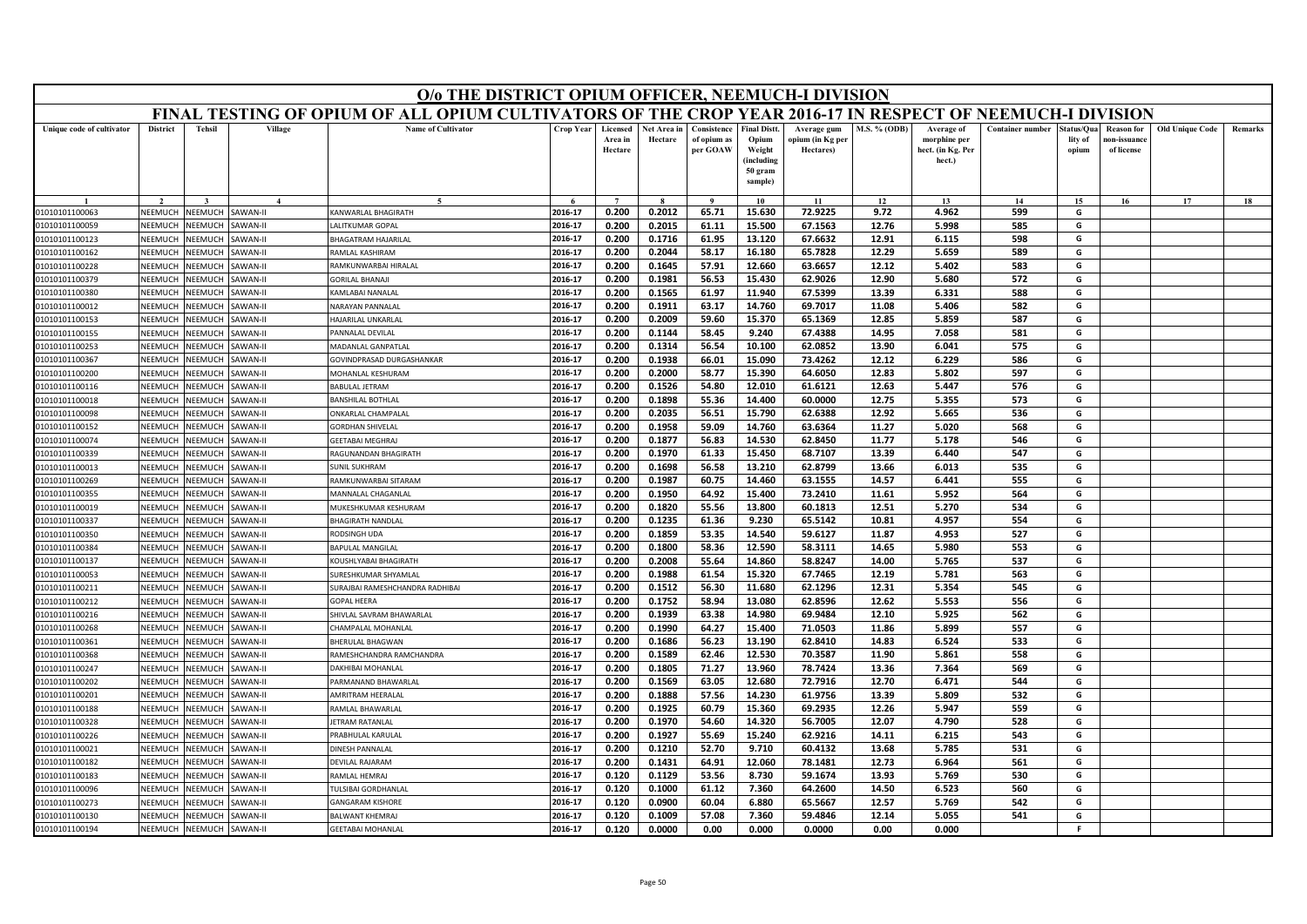|                                  | O/o THE DISTRICT OPIUM OFFICER, NEEMUCH-I DIVISION<br>FINAL TESTING OF OPIUM OF ALL OPIUM CULTIVATORS OF THE CROP YEAR 2016-17 IN RESPECT OF NEEMUCH-I DIVISION                                                                                                                                                                                                                                                                                                           |                                 |                           |                                              |                    |                                |                        |                                        |                                                                 |                                              |                |                                                           |                         |                                |                                                |                        |         |
|----------------------------------|---------------------------------------------------------------------------------------------------------------------------------------------------------------------------------------------------------------------------------------------------------------------------------------------------------------------------------------------------------------------------------------------------------------------------------------------------------------------------|---------------------------------|---------------------------|----------------------------------------------|--------------------|--------------------------------|------------------------|----------------------------------------|-----------------------------------------------------------------|----------------------------------------------|----------------|-----------------------------------------------------------|-------------------------|--------------------------------|------------------------------------------------|------------------------|---------|
|                                  |                                                                                                                                                                                                                                                                                                                                                                                                                                                                           |                                 |                           |                                              |                    |                                |                        |                                        |                                                                 |                                              |                |                                                           |                         |                                |                                                |                        |         |
| Unique code of cultivator        | <b>District</b>                                                                                                                                                                                                                                                                                                                                                                                                                                                           | <b>Tehsil</b>                   | Village                   | <b>Name of Cultivator</b>                    | Crop Year          | Licensed<br>Area in<br>Hectare | Net Area in<br>Hectare | Consistence<br>of opium as<br>per GOAW | <b>Final Distt.</b><br>Opium<br>Weight<br>(including<br>50 gram | Average gum<br>opium (in Kg per<br>Hectares) | M.S. % (ODB)   | Average of<br>morphine per<br>hect. (in Kg. Per<br>hect.) | <b>Container number</b> | itatus/Qua<br>lity of<br>opium | <b>Reason for</b><br>10n-issuanc<br>of license | <b>Old Unique Code</b> | Remarks |
|                                  |                                                                                                                                                                                                                                                                                                                                                                                                                                                                           |                                 |                           |                                              |                    |                                |                        |                                        | sample)                                                         |                                              |                |                                                           |                         |                                |                                                |                        |         |
|                                  |                                                                                                                                                                                                                                                                                                                                                                                                                                                                           |                                 |                           |                                              |                    | $\overline{ }$                 |                        | $\mathbf{o}$                           | 10                                                              | 11                                           | 12             | 13                                                        | 14                      | 15                             | 16                                             | 17                     | 18      |
| 01010101100063                   | 0.200<br>0.2012<br>72.9225<br>2016-17<br>65.71<br>15.630<br>9.72<br>4.962<br>599<br>NEEMUCH<br>NEEMUCH<br><b>SAWAN-II</b><br>KANWARLAL BHAGIRATH<br>G<br><b>NEEMUCH</b><br>ALITKUMAR GOPAL<br>2016-17<br>0.200<br>0.2015<br>61.11<br>15.500<br>67.1563<br>12.76<br>5.998<br>585<br>G<br>NEEMUCH<br>AWAN-II<br>2016-17<br>0.1716<br>61.95<br>13.120<br>67.6632<br>12.91<br>6.115<br>598<br>G<br>NFFMUCH<br><b>NEEMUCH</b><br>AWAN-II<br><b>HAGATRAM HAJARILAL</b><br>0.200 |                                 |                           |                                              |                    |                                |                        |                                        |                                                                 |                                              |                |                                                           |                         |                                |                                                |                        |         |
| 01010101100059                   |                                                                                                                                                                                                                                                                                                                                                                                                                                                                           |                                 |                           |                                              |                    |                                |                        |                                        |                                                                 |                                              |                |                                                           |                         |                                |                                                |                        |         |
| 01010101100123                   | 2016-17<br>0.200<br>0.2044<br>58.17<br>16.180<br>65.7828<br>12.29<br>5.659<br>589<br>NEEMUCH<br>RAMLAL KASHIRAM<br>G<br>NEEMUCH<br>AWAN-II                                                                                                                                                                                                                                                                                                                                |                                 |                           |                                              |                    |                                |                        |                                        |                                                                 |                                              |                |                                                           |                         |                                |                                                |                        |         |
| 01010101100162                   | 2016-17<br>0.1645<br>57.91<br>12.660<br>63.6657<br>12.12<br>583<br>G<br>NEEMUCH<br><b>NEEMUCH</b><br>AWAN-II<br>AMKUNWARBAI HIRALAL<br>0.200<br>5.402                                                                                                                                                                                                                                                                                                                     |                                 |                           |                                              |                    |                                |                        |                                        |                                                                 |                                              |                |                                                           |                         |                                |                                                |                        |         |
| 01010101100228                   | <b>GORILAL BHANAJI</b><br>2016-17<br>0.200<br>0.1981<br>56.53<br>15.430<br>62.9026<br>12.90<br>5.680<br>572<br>G<br>NEEMUCH<br><b>NEEMUCH</b><br><b>AWAN-II</b>                                                                                                                                                                                                                                                                                                           |                                 |                           |                                              |                    |                                |                        |                                        |                                                                 |                                              |                |                                                           |                         |                                |                                                |                        |         |
|                                  | 01010101100379<br>2016-17<br>0.200<br>0.1565<br>61.97<br>11.940<br>67.5399<br>13.39<br>6.331<br>588<br>G<br>NEEMUCH<br><b>NEEMUCH</b><br>AWAN-II<br>01010101100380<br><b>CAMLABAI NANALAI</b>                                                                                                                                                                                                                                                                             |                                 |                           |                                              |                    |                                |                        |                                        |                                                                 |                                              |                |                                                           |                         |                                |                                                |                        |         |
|                                  |                                                                                                                                                                                                                                                                                                                                                                                                                                                                           |                                 |                           |                                              |                    |                                |                        |                                        |                                                                 |                                              |                |                                                           |                         |                                |                                                |                        |         |
| 01010101100012                   | NEEMUCH                                                                                                                                                                                                                                                                                                                                                                                                                                                                   | <b>JEEMUCH</b>                  | AWAN-II                   | <b>VARAYAN PANNALAL</b>                      | 2016-17<br>2016-17 | 0.200<br>0.200                 | 0.1911                 | 63.17<br>59.60                         | 14.760<br>15.370                                                | 69.7017<br>65.1369                           | 11.08<br>12.85 | 5.406<br>5.859                                            | 582<br>587              | G                              |                                                |                        |         |
| 01010101100153                   | NEEMUCH<br><b>NFFMUCH</b>                                                                                                                                                                                                                                                                                                                                                                                                                                                 | <b>NEEMUCH</b><br>VEEMUCH       | AWAN-II<br><b>AWAN-II</b> | <b>JAJARILAL UNKARLAL</b>                    | 2016-17            | 0.200                          | 0.2009<br>0.1144       | 58.45                                  | 9.240                                                           | 67.4388                                      | 14.95          | 7.058                                                     | 581                     | G<br>G                         |                                                |                        |         |
| 01010101100155<br>01010101100253 | NEEMUCH                                                                                                                                                                                                                                                                                                                                                                                                                                                                   | <b>JEEMUCH</b>                  | AWAN-II                   | ANNALAL DEVILAL<br><b>MADANLAL GANPATLAL</b> | 2016-17            | 0.200                          | 0.1314                 | 56.54                                  | 10.100                                                          | 62.0852                                      | 13.90          | 6.041                                                     | 575                     | G                              |                                                |                        |         |
| 01010101100367                   | NEEMUCH                                                                                                                                                                                                                                                                                                                                                                                                                                                                   | <b>JEEMUCH</b>                  | AWAN-II                   | <b>GOVINDPRASAD DURGASHANKAR</b>             | 2016-17            | 0.200                          | 0.1938                 | 66.01                                  | 15.090                                                          | 73.4262                                      | 12.12          | 6.229                                                     | 586                     | G                              |                                                |                        |         |
| 01010101100200                   | NFFMUCH                                                                                                                                                                                                                                                                                                                                                                                                                                                                   | <b>NEEMUCH</b>                  | <b>SAWAN-II</b>           | MOHANLAL KESHURAM                            | 2016-17            | 0.200                          | 0.2000                 | 58.77                                  | 15.390                                                          | 64.6050                                      | 12.83          | 5.802                                                     | 597                     | G                              |                                                |                        |         |
| 01010101100116                   | NEEMUCH                                                                                                                                                                                                                                                                                                                                                                                                                                                                   | <b>JEEMUCH</b>                  | AWAN-II                   | <b>BABULAL JETRAM</b>                        | 2016-17            | 0.200                          | 0.1526                 | 54.80                                  | 12.010                                                          | 61.6121                                      | 12.63          | 5.447                                                     | 576                     | G                              |                                                |                        |         |
| 01010101100018                   | NEEMUCH                                                                                                                                                                                                                                                                                                                                                                                                                                                                   | VEEMUCI                         | AWAN-II                   | ANSHILAL BOTHLAI                             | 2016-17            | 0.200                          | 0.1898                 | 55.36                                  | 14.400                                                          | 60.0000                                      | 12.75          | 5.355                                                     | 573                     | G                              |                                                |                        |         |
| 01010101100098                   | NEEMUCH                                                                                                                                                                                                                                                                                                                                                                                                                                                                   | VEEMUCH                         | <b>AWAN-II</b>            | <b><i>NKARLAL CHAMPALAL</i></b>              | 2016-17            | 0.200                          | 0.2035                 | 56.51                                  | 15.790                                                          | 62.6388                                      | 12.92          | 5.665                                                     | 536                     | G                              |                                                |                        |         |
| 01010101100152                   | NEEMUCH                                                                                                                                                                                                                                                                                                                                                                                                                                                                   | <b>NEEMUCH</b>                  | <b>AWAN-II</b>            | <b>GORDHAN SHIVELAL</b>                      | 2016-17            | 0.200                          | 0.1958                 | 59.09                                  | 14.760                                                          | 63.6364                                      | 11.27          | 5.020                                                     | 568                     | G                              |                                                |                        |         |
| 01010101100074                   | NEEMUCH                                                                                                                                                                                                                                                                                                                                                                                                                                                                   | <b>JEEMUCH</b>                  | AWAN-II                   | <b>GEETABAI MEGHRAJ</b>                      | 2016-17            | 0.200                          | 0.1877                 | 56.83                                  | 14.530                                                          | 62.8450                                      | 11.77          | 5.178                                                     | 546                     | G                              |                                                |                        |         |
| 01010101100339                   | NFFMUCH                                                                                                                                                                                                                                                                                                                                                                                                                                                                   | <b>JEEMUCH</b>                  | AWAN-II                   | <b>AGUNANDAN BHAGIRATH</b>                   | 2016-17            | 0.200                          | 0.1970                 | 61.33                                  | 15.450                                                          | 68.7107                                      | 13.39          | 6.440                                                     | 547                     | G                              |                                                |                        |         |
| 01010101100013                   | NEEMUCH                                                                                                                                                                                                                                                                                                                                                                                                                                                                   | <b>NEEMUCH</b>                  | AWAN-II                   | <b>JUNIL SUKHRAM</b>                         | 2016-17            | 0.200                          | 0.1698                 | 56.58                                  | 13.210                                                          | 62.8799                                      | 13.66          | 6.013                                                     | 535                     | G                              |                                                |                        |         |
| 01010101100269                   | NEEMUCH                                                                                                                                                                                                                                                                                                                                                                                                                                                                   | <b>JEEMUCH</b>                  | AWAN-II                   | RAMKUNWARBAI SITARAM                         | 2016-17            | 0.200                          | 0.1987                 | 60.75                                  | 14.460                                                          | 63.1555                                      | 14.57          | 6.441                                                     | 555                     | G                              |                                                |                        |         |
| 01010101100355                   | NEEMUCH                                                                                                                                                                                                                                                                                                                                                                                                                                                                   | <b>JEEMUCH</b>                  | AWAN-II                   | <b>MANNALAL CHAGANLAL</b>                    | 2016-17            | 0.200                          | 0.1950                 | 64.92                                  | 15.400                                                          | 73.2410                                      | 11.61          | 5.952                                                     | 564                     | G                              |                                                |                        |         |
| 01010101100019                   | NEEMUCH                                                                                                                                                                                                                                                                                                                                                                                                                                                                   | <b>JEEMUCH</b>                  | <b>AWAN-II</b>            | MUKESHKUMAR KESHURAM                         | 2016-17            | 0.200                          | 0.1820                 | 55.56                                  | 13.800                                                          | 60.1813                                      | 12.51          | 5.270                                                     | 534                     | G                              |                                                |                        |         |
| 01010101100337                   | NEEMUCH                                                                                                                                                                                                                                                                                                                                                                                                                                                                   | <b>JEEMUCH</b>                  | AWAN-II                   | <b>BHAGIRATH NANDLAL</b>                     | 2016-17            | 0.200                          | 0.1235                 | 61.36                                  | 9.230                                                           | 65.5142                                      | 10.81          | 4.957                                                     | 554                     | G                              |                                                |                        |         |
| 01010101100350                   | NEEMUCH                                                                                                                                                                                                                                                                                                                                                                                                                                                                   | <b>JEEMUCH</b>                  | AWAN-II                   | <b>RODSINGH UDA</b>                          | 2016-17            | 0.200                          | 0.1859                 | 53.35                                  | 14.540                                                          | 59.6127                                      | 11.87          | 4.953                                                     | 527                     | G                              |                                                |                        |         |
| 01010101100384                   | NFFMUCH                                                                                                                                                                                                                                                                                                                                                                                                                                                                   | <b>JEEMUCH</b>                  | AWAN-II                   | BAPULAL MANGILAL                             | 2016-17            | 0.200                          | 0.1800                 | 58.36                                  | 12.590                                                          | 58.3111                                      | 14.65          | 5.980                                                     | 553                     | G                              |                                                |                        |         |
| 01010101100137                   | NEEMUCH                                                                                                                                                                                                                                                                                                                                                                                                                                                                   | VEEMUCI                         | AWAN-II                   | <b>COUSHLYABAI BHAGIRATH</b>                 | 2016-17            | 0.200                          | 0.2008                 | 55.64                                  | 14.860                                                          | 58.8247                                      | 14.00          | 5.765                                                     | 537                     | G                              |                                                |                        |         |
| 01010101100053                   | NEEMUCH                                                                                                                                                                                                                                                                                                                                                                                                                                                                   | <b>JEEMUCH</b>                  | <b>AWAN-II</b>            | URESHKUMAR SHYAMLAL                          | 2016-17            | 0.200                          | 0.1988                 | 61.54                                  | 15.320                                                          | 67.7465                                      | 12.19          | 5.781                                                     | 563                     | G                              |                                                |                        |         |
| 01010101100211                   | NEEMUCH                                                                                                                                                                                                                                                                                                                                                                                                                                                                   | <b>JEEMUCH</b>                  | AWAN-II                   | <b>JURAJBAI RAMESHCHANDRA RADHIBAI</b>       | 2016-17            | 0.200                          | 0.1512                 | 56.30                                  | 11.680                                                          | 62.1296                                      | 12.31          | 5.354                                                     | 545                     | G                              |                                                |                        |         |
| 01010101100212                   | NEEMUCH                                                                                                                                                                                                                                                                                                                                                                                                                                                                   | VEEMUCI                         | <b>AWAN-II</b>            | <b>GOPAL HEERA</b>                           | 2016-17            | 0.200                          | 0.1752                 | 58.94                                  | 13.080                                                          | 62.8596                                      | 12.62          | 5.553                                                     | 556                     | G                              |                                                |                        |         |
| 01010101100216                   | NEEMUCH                                                                                                                                                                                                                                                                                                                                                                                                                                                                   | <b>JEEMUCH</b>                  | <b>AWAN-II</b>            | HIVLAL SAVRAM BHAWARLAL                      | 2016-17            | 0.200                          | 0.1939                 | 63.38                                  | 14.980                                                          | 69.9484                                      | 12.10          | 5.925                                                     | 562                     | G                              |                                                |                        |         |
| 01010101100268                   | NEEMUCH                                                                                                                                                                                                                                                                                                                                                                                                                                                                   | <b>NEEMUCH</b>                  | AWAN-II                   | HAMPALAL MOHANLAL                            | 2016-17            | 0.200                          | 0.1990                 | 64.27                                  | 15.400                                                          | 71.0503                                      | 11.86          | 5.899                                                     | 557                     | G                              |                                                |                        |         |
| 01010101100361                   | <b>NEEMUCH</b>                                                                                                                                                                                                                                                                                                                                                                                                                                                            | VEEMUCI                         | AWAN-II                   | <b>BHERULAL BHAGWAN</b>                      | 2016-17            | 0.200                          | 0.1686                 | 56.23                                  | 13.190                                                          | 62.8410                                      | 14.83          | 6.524                                                     | 533                     | G                              |                                                |                        |         |
| 01010101100368                   | NEEMUCH                                                                                                                                                                                                                                                                                                                                                                                                                                                                   | <b>NEEMUCH</b>                  | <b>AWAN-II</b>            | AMESHCHANDRA RAMCHANDRA                      | 2016-17            | 0.200                          | 0.1589                 | 62.46                                  | 12.530                                                          | 70.3587                                      | 11.90          | 5.861                                                     | 558                     | G                              |                                                |                        |         |
| 01010101100247                   | NEEMUCH                                                                                                                                                                                                                                                                                                                                                                                                                                                                   | <b>JEEMUCH</b>                  | AWAN-II                   | AKHIBAI MOHANLAL                             | 2016-17            | 0.200                          | 0.1805                 | 71.27                                  | 13.960                                                          | 78.7424                                      | 13.36          | 7.364                                                     | 569                     | G                              |                                                |                        |         |
| 01010101100202                   | <b>NFFMUCH</b>                                                                                                                                                                                                                                                                                                                                                                                                                                                            | VEEMUCH                         | AWAN-II                   | ARMANAND BHAWARLAL                           | 2016-17            | 0.200                          | 0.1569                 | 63.05                                  | 12.680                                                          | 72.7916                                      | 12.70          | 6.471                                                     | 544                     | G                              |                                                |                        |         |
| 01010101100201                   | NEEMUCH                                                                                                                                                                                                                                                                                                                                                                                                                                                                   | <b>JEEMUCH</b>                  | AWAN-II                   | <b>MRITRAM HEERALAL</b>                      | 2016-17            | 0.200                          | 0.1888                 | 57.56                                  | 14.230                                                          | 61.9756                                      | 13.39          | 5.809                                                     | 532                     | G                              |                                                |                        |         |
| 01010101100188                   | NEEMUCH                                                                                                                                                                                                                                                                                                                                                                                                                                                                   | <b>JEEMUCH</b>                  | AWAN-II                   | AMLAL BHAWARLAL                              | 2016-17            | 0.200                          | 0.1925                 | 60.79                                  | 15.360                                                          | 69.2935                                      | 12.26          | 5.947                                                     | 559                     | G                              |                                                |                        |         |
| 01010101100328                   | NEEMUCH                                                                                                                                                                                                                                                                                                                                                                                                                                                                   | <b>NEEMUCH</b>                  | AWAN-II                   | <b>FTRAM RATANLAL</b>                        | 2016-17            | 0.200                          | 0.1970                 | 54.60                                  | 14.320                                                          | 56.7005                                      | 12.07          | 4.790                                                     | 528                     | G                              |                                                |                        |         |
| 01010101100226                   | NEEMUCH                                                                                                                                                                                                                                                                                                                                                                                                                                                                   | NEEMUCH                         | <b>AWAN-II</b>            | RABHULAL KARULAL                             | 2016-17            | 0.200                          | 0.1927                 | 55.69                                  | 15.240                                                          | 62.9216                                      | 14.11          | 6.215                                                     | 543                     | G                              |                                                |                        |         |
| 01010101100021                   | VEEMUCH                                                                                                                                                                                                                                                                                                                                                                                                                                                                   | <b>JEEMUCH</b>                  | AWAN-II                   | <b>INESH PANNALAL</b>                        | 2016-17<br>2016-17 | 0.200                          | 0.1210                 | 52.70<br>64.91                         | 9.710                                                           | 60.4132                                      | 13.68          | 5.785                                                     | 531                     | G<br>G                         |                                                |                        |         |
| 01010101100182                   | <b>NFFMUCH</b>                                                                                                                                                                                                                                                                                                                                                                                                                                                            | VEEMUCH                         | AWAN-II                   | <b>DEVILAL RAJARAM</b>                       | 2016-17            | 0.200<br>0.120                 | 0.1431<br>0.1129       |                                        | 12.060                                                          | 78.1481                                      | 12.73<br>13.93 | 6.964                                                     | 561<br>530              |                                |                                                |                        |         |
| 01010101100183                   | NEEMUCH<br>VEEMUCH                                                                                                                                                                                                                                                                                                                                                                                                                                                        | <b>NEEMUCH</b><br><b>JEEMUC</b> | <b>AWAN-II</b><br>AWAN-II | AMLAL HEMRAJ                                 | 2016-17            | 0.120                          | 0.1000                 | 53.56<br>61.12                         | 8.730<br>7.360                                                  | 59.1674<br>64.2600                           | 14.50          | 5.769<br>6.523                                            | 560                     | G<br>G                         |                                                |                        |         |
| 01010101100096<br>01010101100273 | NEEMUCH                                                                                                                                                                                                                                                                                                                                                                                                                                                                   | <b>JEEMUCI</b>                  | AWAN-II                   | ULSIBAI GORDHANLAL<br><b>ANGARAM KISHORE</b> | 2016-17            | 0.120                          | 0.0900                 | 60.04                                  | 6.880                                                           | 65.5667                                      | 12.57          | 5.769                                                     | 542                     | G                              |                                                |                        |         |
| 01010101100130                   | NEEMUCH                                                                                                                                                                                                                                                                                                                                                                                                                                                                   | NEEMUCH                         | <b>AWAN-II</b>            | <b>BALWANT KHEMRAJ</b>                       | 2016-17            | 0.120                          | 0.1009                 | 57.08                                  | 7.360                                                           | 59.4846                                      | 12.14          | 5.055                                                     | 541                     | G                              |                                                |                        |         |
| 01010101100194                   | NEEMUCH                                                                                                                                                                                                                                                                                                                                                                                                                                                                   | NEEMUCH                         | AWAN-II                   | <b>GEETABAI MOHANLAL</b>                     | 2016-17            | 0.120                          | 0.0000                 | 0.00                                   | 0.000                                                           | 0.0000                                       | 0.00           | 0.000                                                     |                         | F.                             |                                                |                        |         |
|                                  |                                                                                                                                                                                                                                                                                                                                                                                                                                                                           |                                 |                           |                                              |                    |                                |                        |                                        |                                                                 |                                              |                |                                                           |                         |                                |                                                |                        |         |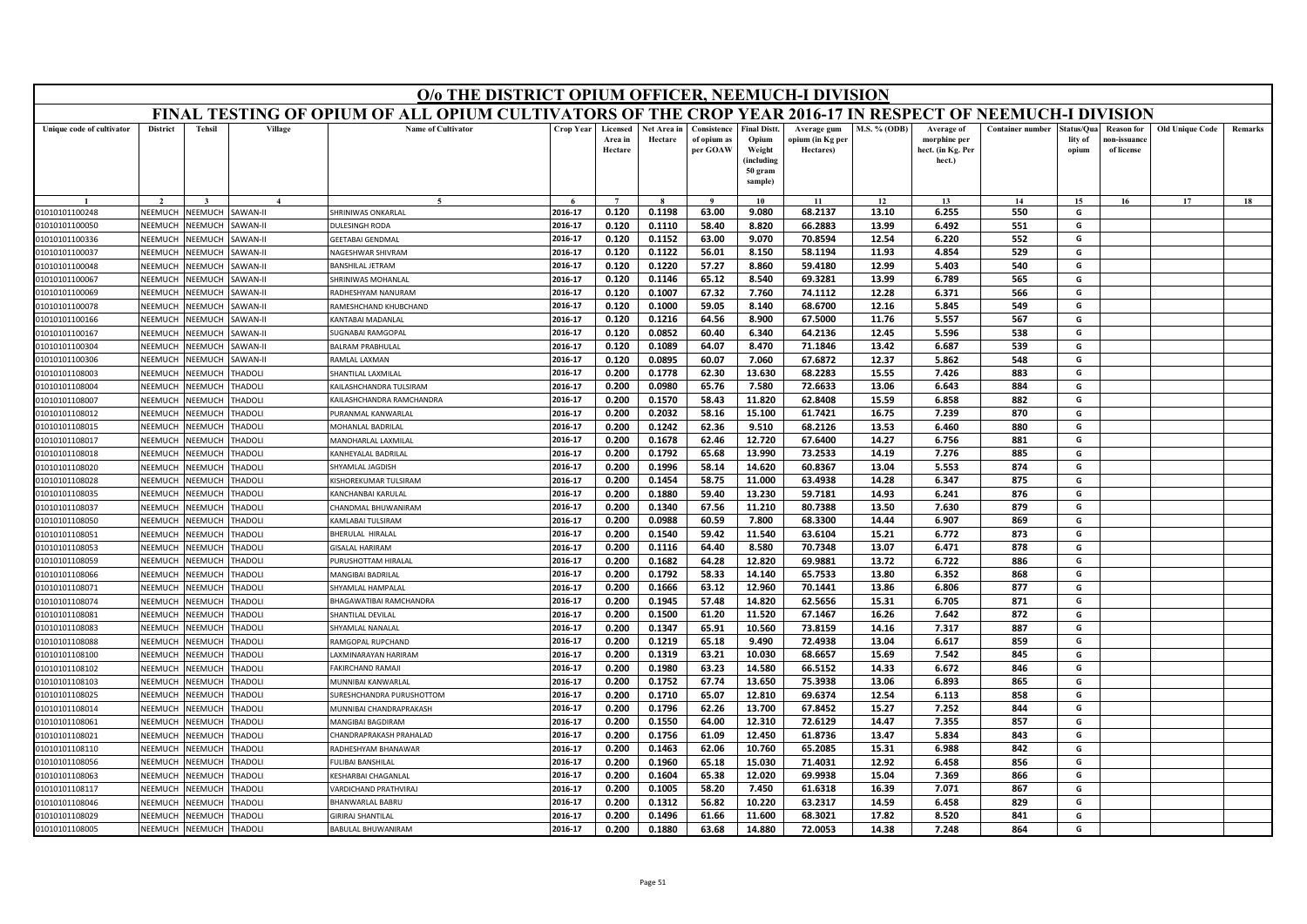|                                  | O/o THE DISTRICT OPIUM OFFICER, NEEMUCH-I DIVISION<br>FINAL TESTING OF OPIUM OF ALL OPIUM CULTIVATORS OF THE CROP YEAR 2016-17 IN RESPECT OF NEEMUCH-I DIVISION                                                                                                                                             |                                  |                                 |                                                  |                    |                                |                        |                                        |                                                                            |                                              |                     |                                                           |                         |                               |                                                |                        |         |
|----------------------------------|-------------------------------------------------------------------------------------------------------------------------------------------------------------------------------------------------------------------------------------------------------------------------------------------------------------|----------------------------------|---------------------------------|--------------------------------------------------|--------------------|--------------------------------|------------------------|----------------------------------------|----------------------------------------------------------------------------|----------------------------------------------|---------------------|-----------------------------------------------------------|-------------------------|-------------------------------|------------------------------------------------|------------------------|---------|
|                                  |                                                                                                                                                                                                                                                                                                             |                                  |                                 |                                                  |                    |                                |                        |                                        |                                                                            |                                              |                     |                                                           |                         |                               |                                                |                        |         |
| Unique code of cultivator        | <b>District</b>                                                                                                                                                                                                                                                                                             | <b>Tehsil</b>                    | Village                         | <b>Name of Cultivator</b>                        | Crop Year          | Licensed<br>Area in<br>Hectare | Net Area in<br>Hectare | Consistence<br>of opium as<br>per GOAW | <b>Final Distt.</b><br>Opium<br>Weight<br>(including<br>50 gram<br>sample) | Average gum<br>ppium (in Kg per<br>Hectares) | <b>M.S. % (ODB)</b> | Average of<br>morphine per<br>hect. (in Kg. Per<br>hect.) | <b>Container number</b> | tatus/Qua<br>lity of<br>opium | <b>Reason for</b><br>10n-issuanc<br>of license | <b>Old Unique Code</b> | Remarks |
|                                  |                                                                                                                                                                                                                                                                                                             |                                  |                                 |                                                  |                    |                                |                        | $\bf{Q}$                               | 10                                                                         | 11                                           | 12                  | 13                                                        | 14                      | 15                            | 16                                             | 17                     | 18      |
| 01010101100248                   | NEEMUCH                                                                                                                                                                                                                                                                                                     | NEEMUCH                          | SAWAN-II                        | <b>HRINIWAS ONKARLAL</b>                         | 2016-17            | 0.120                          | 0.1198                 | 63.00                                  | 9.080                                                                      | 68.2137                                      | 13.10               | 6.255                                                     | 550                     | G                             |                                                |                        |         |
| 01010101100050                   | 66.2883<br>2016-17<br>0.120<br>0.1110<br>58.40<br>8.820<br>13.99<br>6.492<br>551<br>G<br>NEEMUCH<br><b>NEEMUCH</b><br>AWAN-II<br><b>DULESINGH RODA</b><br>552<br>NEEMUCH<br>NEEMUCH<br><b>GEETABAI GENDMAL</b><br>2016-17<br>0.120<br>0.1152<br>63.00<br>9.070<br>70.8594<br>12.54<br>6.220<br>G<br>AWAN-II |                                  |                                 |                                                  |                    |                                |                        |                                        |                                                                            |                                              |                     |                                                           |                         |                               |                                                |                        |         |
| 01010101100336                   | <b>NEEMUCH</b><br>VEEMUCH<br><b>AWAN-II</b><br>NAGESHWAR SHIVRAM<br>2016-17<br>0.120<br>0.1122<br>56.01<br>8.150<br>58.1194<br>11.93<br>4.854<br>529<br>G                                                                                                                                                   |                                  |                                 |                                                  |                    |                                |                        |                                        |                                                                            |                                              |                     |                                                           |                         |                               |                                                |                        |         |
| 01010101100037                   | 2016-17<br>0.120<br>0.1220<br>57.27<br>8.860<br>59.4180<br>12.99<br>5.403<br>540<br>G<br>NEEMUCH<br><b>NEEMUCH</b><br>AWAN-II<br>BANSHILAL JETRAM                                                                                                                                                           |                                  |                                 |                                                  |                    |                                |                        |                                        |                                                                            |                                              |                     |                                                           |                         |                               |                                                |                        |         |
| 01010101100048                   | 65.12<br>8.540<br>69.3281<br>13.99<br>565<br>2016-17<br>0.120<br>0.1146<br>6.789<br>NEEMUCH<br><b>NEEMUCH</b><br><b>AWAN-II</b><br><b>HRINIWAS MOHANLAL</b><br>G                                                                                                                                            |                                  |                                 |                                                  |                    |                                |                        |                                        |                                                                            |                                              |                     |                                                           |                         |                               |                                                |                        |         |
| 01010101100067                   | 0.1007<br>67.32<br>7.760<br>74.1112<br>566<br>NEEMUCH<br>VEEMUCH<br><b>AWAN-II</b><br>2016-17<br>0.120<br>12.28<br>6.371<br>G<br>RADHESHYAM NANURAM                                                                                                                                                         |                                  |                                 |                                                  |                    |                                |                        |                                        |                                                                            |                                              |                     |                                                           |                         |                               |                                                |                        |         |
| 01010101100069                   |                                                                                                                                                                                                                                                                                                             |                                  |                                 |                                                  |                    |                                |                        |                                        |                                                                            |                                              |                     |                                                           |                         |                               |                                                |                        |         |
| 01010101100078                   | NEEMUCH                                                                                                                                                                                                                                                                                                     | <b>NEEMUCH</b>                   | <b>AWAN-II</b>                  | AMESHCHAND KHUBCHAND                             | 2016-17            | 0.120                          | 0.1000                 | 59.05                                  | 8.140                                                                      | 68.6700                                      | 12.16               | 5.845                                                     | 549                     | G                             |                                                |                        |         |
| 01010101100166                   | NEEMUCH                                                                                                                                                                                                                                                                                                     | <b>NEEMUCH</b>                   | <b>AWAN-II</b>                  | <b>CANTABAI MADANLAI</b>                         | 2016-17            | 0.120                          | 0.1216                 | 64.56                                  | 8.900                                                                      | 67.5000                                      | 11.76               | 5.557                                                     | 567                     | G                             |                                                |                        |         |
| 01010101100167                   | NEEMUCH                                                                                                                                                                                                                                                                                                     | <b>NEEMUCH</b>                   | <b>SAWAN-II</b>                 | <b>JUGNABAI RAMGOPAL</b>                         | 2016-17            | 0.120                          | 0.0852                 | 60.40                                  | 6.340                                                                      | 64.2136                                      | 12.45               | 5.596                                                     | 538                     | G                             |                                                |                        |         |
| 01010101100304                   | NEEMUCH                                                                                                                                                                                                                                                                                                     | <b>NEEMUCH</b>                   | <b>AWAN-II</b>                  | <b>BALRAM PRABHULAL</b>                          | 2016-17            | 0.120                          | 0.1089                 | 64.07                                  | 8.470                                                                      | 71.1846                                      | 13.42               | 6.687                                                     | 539                     | G                             |                                                |                        |         |
| 01010101100306                   | NEEMUCH                                                                                                                                                                                                                                                                                                     | <b>JEEMUCH</b>                   | <b>AWAN-II</b>                  | AMLAL LAXMAN                                     | 2016-17            | 0.120                          | 0.0895                 | 60.07                                  | 7.060                                                                      | 67.6872                                      | 12.37               | 5.862                                                     | 548                     | G                             |                                                |                        |         |
| 01010101108003                   | NEEMUCH                                                                                                                                                                                                                                                                                                     | <b>JEEMUCH</b>                   | <b>HADOLI</b>                   | HANTILAL LAXMILAL                                | 2016-17            | 0.200                          | 0.1778                 | 62.30                                  | 13.630                                                                     | 68.2283                                      | 15.55               | 7.426                                                     | 883                     | G                             |                                                |                        |         |
| 01010101108004                   | NEEMUCH                                                                                                                                                                                                                                                                                                     | <b>JEEMUCH</b>                   | <b>HADOLI</b>                   | (AILASHCHANDRA TULSIRAM                          | 2016-17            | 0.200                          | 0.0980                 | 65.76                                  | 7.580                                                                      | 72.6633                                      | 13.06               | 6.643                                                     | 884                     | G                             |                                                |                        |         |
| 01010101108007                   | NEEMUCH                                                                                                                                                                                                                                                                                                     | <b>JEEMUCI</b>                   | <b>HADOLI</b>                   | AILASHCHANDRA RAMCHANDRA                         | 2016-17            | 0.200                          | 0.1570                 | 58.43                                  | 11.820                                                                     | 62.8408                                      | 15.59               | 6.858                                                     | 882                     | G                             |                                                |                        |         |
| 01010101108012                   | NEEMUCH                                                                                                                                                                                                                                                                                                     | <b>JEEMUCH</b>                   | <b>HADOLI</b>                   | URANMAL KANWARLAL                                | 2016-17            | 0.200                          | 0.2032                 | 58.16                                  | 15.100                                                                     | 61.7421                                      | 16.75               | 7.239                                                     | 870                     | G                             |                                                |                        |         |
| 01010101108015                   | NFFMUCH                                                                                                                                                                                                                                                                                                     | NEEMUCH                          | <b>THADOLI</b>                  | MOHANLAL BADRILAL                                | 2016-17            | 0.200                          | 0.1242                 | 62.36                                  | 9.510                                                                      | 68.2126                                      | 13.53               | 6.460                                                     | 880                     | G                             |                                                |                        |         |
| 01010101108017                   | NEEMUCH                                                                                                                                                                                                                                                                                                     | <b>JEEMUC</b>                    | <b>HADOLI</b>                   | MANOHARLAL LAXMILA                               | 2016-17            | 0.200                          | 0.1678                 | 62.46                                  | 12.720                                                                     | 67.6400                                      | 14.27               | 6.756                                                     | 881                     | G                             |                                                |                        |         |
| 01010101108018                   | NEEMUCH                                                                                                                                                                                                                                                                                                     | NEEMUCH                          | <b>HADOLI</b>                   | <b>CANHEYALAL BADRILAL</b>                       | 2016-17            | 0.200                          | 0.1792                 | 65.68                                  | 13.990                                                                     | 73.2533                                      | 14.19               | 7.276                                                     | 885                     | G                             |                                                |                        |         |
| 01010101108020                   | NEEMUCH                                                                                                                                                                                                                                                                                                     | <b>NEEMUCH</b>                   | <b>HADOLI</b>                   | HYAMLAL JAGDISH                                  | 2016-17            | 0.200                          | 0.1996                 | 58.14                                  | 14.620                                                                     | 60.8367                                      | 13.04               | 5.553                                                     | 874                     | G                             |                                                |                        |         |
| 01010101108028                   | NEEMUCH                                                                                                                                                                                                                                                                                                     | <b>JEEMUCI</b>                   | HADOLI                          | (ISHOREKUMAR TULSIRAM                            | 2016-17            | 0.200                          | 0.1454                 | 58.75                                  | 11.000                                                                     | 63.4938                                      | 14.28               | 6.347                                                     | 875                     | G                             |                                                |                        |         |
| 01010101108035                   | NEEMUCH                                                                                                                                                                                                                                                                                                     | VEEMUCH                          | <b>HADOLI</b>                   | <b>CANCHANBAI KARULAI</b><br>HANDMAL BHUWANIRAM  | 2016-17<br>2016-17 | 0.200                          | 0.1880                 | 59.40                                  | 13.230<br>11.210                                                           | 59.7181<br>80.7388                           | 14.93               | 6.241<br>7.630                                            | 876                     | G<br>G                        |                                                |                        |         |
| 01010101108037                   | NEEMUCH                                                                                                                                                                                                                                                                                                     | <b>JEEMUCH</b>                   | <b>HADOLI</b>                   | KAMLABAI TULSIRAM                                | 2016-17            | 0.200<br>0.200                 | 0.1340<br>0.0988       | 67.56<br>60.59                         | 7.800                                                                      | 68.3300                                      | 13.50<br>14.44      | 6.907                                                     | 879<br>869              | G                             |                                                |                        |         |
| 01010101108050                   | NEEMUCH<br>NEEMUCH                                                                                                                                                                                                                                                                                          | <b>JEEMUC</b>                    | <b>HADOLI</b>                   |                                                  | 2016-17            | 0.200                          | 0.1540                 | 59.42                                  | 11.540                                                                     | 63.6104                                      | 15.21               | 6.772                                                     | 873                     | G                             |                                                |                        |         |
| 01010101108051<br>01010101108053 | NEEMUCH                                                                                                                                                                                                                                                                                                     | <b>NEEMUCH</b><br><b>JEEMUCH</b> | <b>HADOLI</b><br><b>THADOLI</b> | <b>BHERULAL HIRALAL</b><br><b>ISALAL HARIRAM</b> | 2016-17            | 0.200                          | 0.1116                 | 64.40                                  | 8.580                                                                      | 70.7348                                      | 13.07               | 6.471                                                     | 878                     | G                             |                                                |                        |         |
|                                  | NEEMUCH                                                                                                                                                                                                                                                                                                     | <b>JEEMUCI</b>                   | <b>HADOLI</b>                   |                                                  | 2016-17            | 0.200                          | 0.1682                 | 64.28                                  | 12.820                                                                     | 69.9881                                      | 13.72               | 6.722                                                     | 886                     | G                             |                                                |                        |         |
| 01010101108059<br>01010101108066 | NEEMUCH                                                                                                                                                                                                                                                                                                     | <b>JEEMUCH</b>                   | <b>HADOLI</b>                   | URUSHOTTAM HIRALAI<br><b>MANGIBAI BADRILAL</b>   | 2016-17            | 0.200                          | 0.1792                 | 58.33                                  | 14.140                                                                     | 65.7533                                      | 13.80               | 6.352                                                     | 868                     | G                             |                                                |                        |         |
| 01010101108071                   | NEEMUCH                                                                                                                                                                                                                                                                                                     | <b>JEEMUCH</b>                   | <b>THADOLI</b>                  | <b>HYAMLAL HAMPALAL</b>                          | 2016-17            | 0.200                          | 0.1666                 | 63.12                                  | 12.960                                                                     | 70.1441                                      | 13.86               | 6.806                                                     | 877                     | G                             |                                                |                        |         |
| 01010101108074                   | <b>NEEMUCH</b>                                                                                                                                                                                                                                                                                              | VEEMUCI                          | <b>HADOLI</b>                   | <b>BHAGAWATIBAI RAMCHANDRA</b>                   | 2016-17            | 0.200                          | 0.1945                 | 57.48                                  | 14.820                                                                     | 62.5656                                      | 15.31               | 6.705                                                     | 871                     | G                             |                                                |                        |         |
| 01010101108081                   | NEEMUCH                                                                                                                                                                                                                                                                                                     | <b>JEEMUCH</b>                   | <b>HADOLI</b>                   | HANTILAL DEVILAL                                 | 2016-17            | 0.200                          | 0.1500                 | 61.20                                  | 11.520                                                                     | 67.1467                                      | 16.26               | 7.642                                                     | 872                     | G                             |                                                |                        |         |
| 01010101108083                   | NEEMUCH                                                                                                                                                                                                                                                                                                     | NEEMUCH                          | <b>THADOLI</b>                  | <b>HYAMLAL NANALAL</b>                           | 2016-17            | 0.200                          | 0.1347                 | 65.91                                  | 10.560                                                                     | 73.8159                                      | 14.16               | 7.317                                                     | 887                     | G                             |                                                |                        |         |
| 01010101108088                   | NEEMUCH                                                                                                                                                                                                                                                                                                     | VEEMUCI                          | <b>HADOLI</b>                   | RAMGOPAL RUPCHAND                                | 2016-17            | 0.200                          | 0.1219                 | 65.18                                  | 9.490                                                                      | 72.4938                                      | 13.04               | 6.617                                                     | 859                     | G                             |                                                |                        |         |
| 01010101108100                   | NEEMUCH                                                                                                                                                                                                                                                                                                     | <b>NEEMUCH</b>                   | <b>HADOLI</b>                   | AXMINARAYAN HARIRAM                              | 2016-17            | 0.200                          | 0.1319                 | 63.21                                  | 10.030                                                                     | 68.6657                                      | 15.69               | 7.542                                                     | 845                     | G                             |                                                |                        |         |
| 01010101108102                   | NEEMUCH                                                                                                                                                                                                                                                                                                     | <b>NEEMUCH</b>                   | <b>THADOLI</b>                  | AKIRCHAND RAMAJI                                 | 2016-17            | 0.200                          | 0.1980                 | 63.23                                  | 14.580                                                                     | 66.5152                                      | 14.33               | 6.672                                                     | 846                     | G                             |                                                |                        |         |
| 01010101108103                   | NEEMUCH                                                                                                                                                                                                                                                                                                     | <b>JEEMUCH</b>                   | <b>HADOLI</b>                   | MUNNIBAI KANWARLAL                               | 2016-17            | 0.200                          | 0.1752                 | 67.74                                  | 13.650                                                                     | 75.3938                                      | 13.06               | 6.893                                                     | 865                     | G                             |                                                |                        |         |
| 01010101108025                   | NEEMUCH                                                                                                                                                                                                                                                                                                     | <b>JEEMUCH</b>                   | HADOLI                          | URESHCHANDRA PURUSHOTTOM                         | 2016-17            | 0.200                          | 0.1710                 | 65.07                                  | 12.810                                                                     | 69.6374                                      | 12.54               | 6.113                                                     | 858                     | G                             |                                                |                        |         |
| 01010101108014                   | NEEMUCH                                                                                                                                                                                                                                                                                                     | <b>JEEMUCH</b>                   | <b>HADOLI</b>                   | <b>JUNNIBAI CHANDRAPRAKASH</b>                   | 2016-17            | 0.200                          | 0.1796                 | 62.26                                  | 13.700                                                                     | 67.8452                                      | 15.27               | 7.252                                                     | 844                     | G                             |                                                |                        |         |
| 01010101108061                   | NEEMUCH                                                                                                                                                                                                                                                                                                     | VEEMUCH                          | <b>HADOLI</b>                   | MANGIRAI RAGDIRAM                                | 2016-17            | 0.200                          | 0.1550                 | 64.00                                  | 12.310                                                                     | 72.6129                                      | 14.47               | 7.355                                                     | 857                     | G                             |                                                |                        |         |
| 01010101108021                   | NEEMUCH                                                                                                                                                                                                                                                                                                     | <b>NEEMUCH</b>                   | <b>HADOLI</b>                   | HANDRAPRAKASH PRAHALAD                           | 2016-17            | 0.200                          | 0.1756                 | 61.09                                  | 12.450                                                                     | 61.8736                                      | 13.47               | 5.834                                                     | 843                     | G                             |                                                |                        |         |
| 01010101108110                   | NEEMUCH                                                                                                                                                                                                                                                                                                     | <b>JEEMUCH</b>                   | <b>HADOLI</b>                   | RADHESHYAM BHANAWAR                              | 2016-17            | 0.200                          | 0.1463                 | 62.06                                  | 10.760                                                                     | 65.2085                                      | 15.31               | 6.988                                                     | 842                     | G                             |                                                |                        |         |
| 01010101108056                   | <b>NFFMUCH</b>                                                                                                                                                                                                                                                                                              | VEEMUCI                          | <b>HADOLI</b>                   | ULIBAI BANSHILAI                                 | 2016-17            | 0.200                          | 0.1960                 | 65.18                                  | 15.030                                                                     | 71.4031                                      | 12.92               | 6.458                                                     | 856                     | G                             |                                                |                        |         |
| 01010101108063                   | NEEMUCH                                                                                                                                                                                                                                                                                                     | <b>NEEMUCH</b>                   | <b>HADOLI</b>                   | ESHARBAI CHAGANLAL                               | 2016-17            | 0.200                          | 0.1604                 | 65.38                                  | 12.020                                                                     | 69.9938                                      | 15.04               | 7.369                                                     | 866                     | G                             |                                                |                        |         |
| 01010101108117                   | NEEMUCH                                                                                                                                                                                                                                                                                                     | <b>JEEMUC</b>                    | <b>HADOLI</b>                   | ARDICHAND PRATHVIRAJ                             | 2016-17            | 0.200                          | 0.1005                 | 58.20                                  | 7.450                                                                      | 61.6318                                      | 16.39               | 7.071                                                     | 867                     | G                             |                                                |                        |         |
| 01010101108046                   | NEEMUCH                                                                                                                                                                                                                                                                                                     | <b>JEEMUCI</b>                   | <b>HADOL</b>                    | HANWARLAL BABRI.                                 | 2016-17            | 0.200                          | 0.1312                 | 56.82                                  | 10.220                                                                     | 63.2317                                      | 14.59               | 6.458                                                     | 829                     | G                             |                                                |                        |         |
| 01010101108029                   | NEEMUCH                                                                                                                                                                                                                                                                                                     | NEEMUCH                          | <b>HADOLI</b>                   | <b>SIRIRAJ SHANTILAL</b>                         | 2016-17            | 0.200                          | 0.1496                 | 61.66                                  | 11.600                                                                     | 68.3021                                      | 17.82               | 8.520                                                     | 841                     | G                             |                                                |                        |         |
| 01010101108005                   | NEEMUCH                                                                                                                                                                                                                                                                                                     | NEEMUCH                          | <b>HADOLI</b>                   | BABULAL BHUWANIRAM                               | 2016-17            | 0.200                          | 0.1880                 | 63.68                                  | 14.880                                                                     | 72.0053                                      | 14.38               | 7.248                                                     | 864                     | G                             |                                                |                        |         |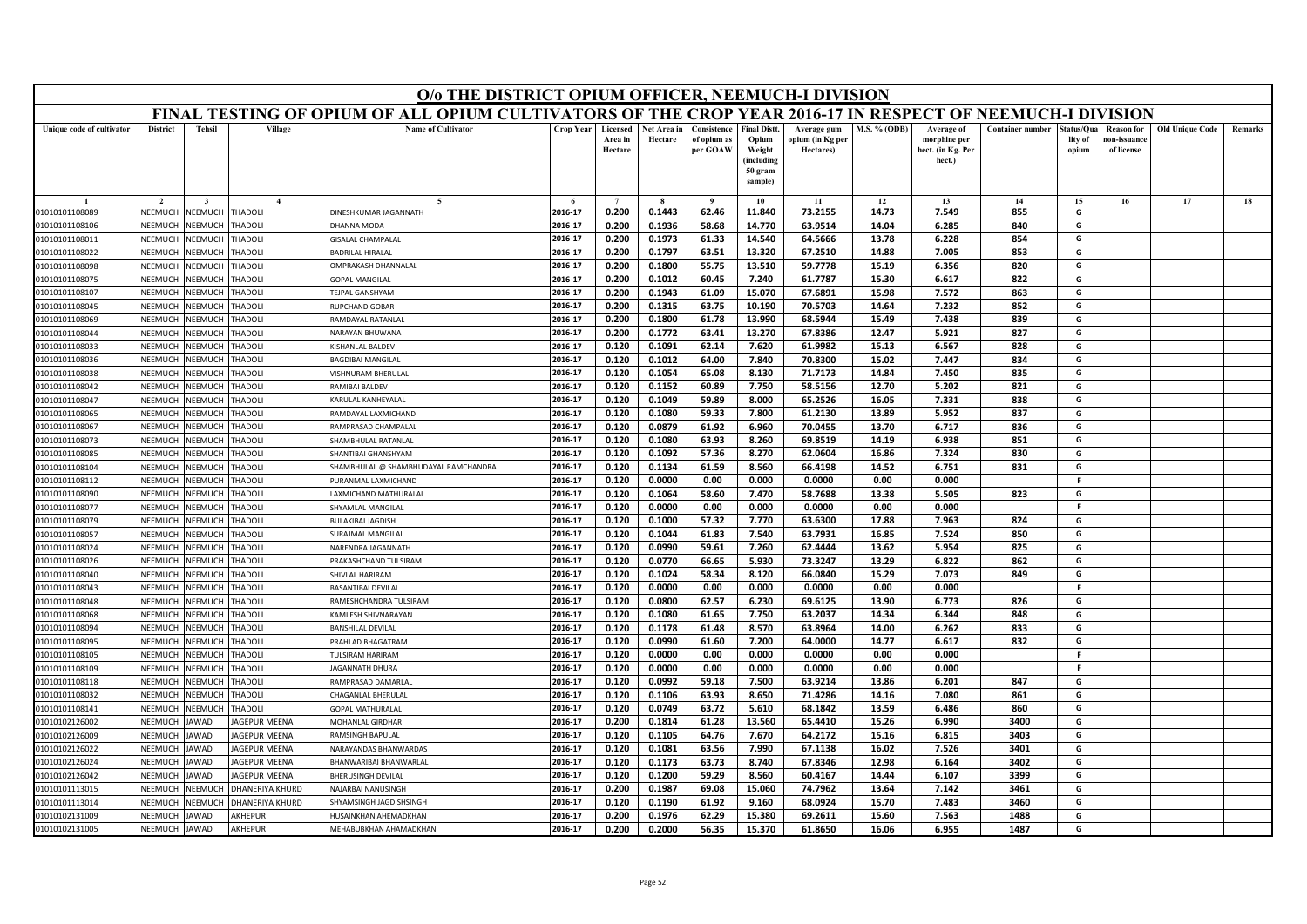|                                  | O/o THE DISTRICT OPIUM OFFICER, NEEMUCH-I DIVISION<br>FINAL TESTING OF OPIUM OF ALL OPIUM CULTIVATORS OF THE CROP YEAR 2016-17 IN RESPECT OF NEEMUCH-I DIVISION                                                                                                                                                         |                           |                                 |                                             |                    |                                |                        |                                        |                                                                            |                                              |                     |                                                           |                         |                               |                                                |                        |         |
|----------------------------------|-------------------------------------------------------------------------------------------------------------------------------------------------------------------------------------------------------------------------------------------------------------------------------------------------------------------------|---------------------------|---------------------------------|---------------------------------------------|--------------------|--------------------------------|------------------------|----------------------------------------|----------------------------------------------------------------------------|----------------------------------------------|---------------------|-----------------------------------------------------------|-------------------------|-------------------------------|------------------------------------------------|------------------------|---------|
|                                  |                                                                                                                                                                                                                                                                                                                         |                           |                                 |                                             |                    |                                |                        |                                        |                                                                            |                                              |                     |                                                           |                         |                               |                                                |                        |         |
| Unique code of cultivator        | <b>District</b>                                                                                                                                                                                                                                                                                                         | <b>Tehsil</b>             | Village                         | <b>Name of Cultivator</b>                   | Crop Year          | Licensed<br>Area in<br>Hectare | Net Area in<br>Hectare | Consistence<br>of opium as<br>per GOAW | <b>Final Distt.</b><br>Opium<br>Weight<br>(including<br>50 gram<br>sample) | Average gum<br>ppium (in Kg per<br>Hectares) | <b>M.S. % (ODB)</b> | Average of<br>morphine per<br>hect. (in Kg. Per<br>hect.) | <b>Container number</b> | tatus/Qua<br>lity of<br>opium | <b>Reason for</b><br>10n-issuanc<br>of license | <b>Old Unique Code</b> | Remarks |
|                                  |                                                                                                                                                                                                                                                                                                                         |                           |                                 |                                             |                    |                                |                        | $\bf{Q}$                               | 10                                                                         | 11                                           | 12                  | 13                                                        | 14                      | 15                            | 16                                             | 17                     | 18      |
| 01010101108089                   | NEEMUCH                                                                                                                                                                                                                                                                                                                 | NEEMUCH                   | <b>THADOLI</b>                  | <b>DINESHKUMAR JAGANNATH</b>                | 2016-17            | 0.200                          | 0.1443                 | 62.46                                  | 11.840                                                                     | 73.2155                                      | 14.73               | 7.549                                                     | 855                     | G                             |                                                |                        |         |
| 01010101108106                   | 63.9514<br>840<br>2016-17<br>0.200<br>0.1936<br>58.68<br>14.770<br>14.04<br>6.285<br>G<br>NEEMUCH<br><b>NEEMUCH</b><br><b>HADOLI</b><br><b>HANNA MODA</b><br>854<br>NEEMUCH<br>NEEMUCH<br><b>THADOLI</b><br><b>SISALAL CHAMPALAL</b><br>2016-17<br>0.200<br>0.1973<br>61.33<br>14.540<br>64.5666<br>13.78<br>6.228<br>G |                           |                                 |                                             |                    |                                |                        |                                        |                                                                            |                                              |                     |                                                           |                         |                               |                                                |                        |         |
| 01010101108011                   |                                                                                                                                                                                                                                                                                                                         |                           |                                 |                                             |                    |                                |                        |                                        |                                                                            |                                              |                     |                                                           |                         |                               |                                                |                        |         |
| 01010101108022                   | <b>NEEMUCH</b><br>VEEMUCH<br><b>HADOLI</b><br>BADRILAL HIRALAL<br>2016-17<br>0.200<br>0.1797<br>63.51<br>13.320<br>67.2510<br>14.88<br>7.005<br>853<br>G                                                                                                                                                                |                           |                                 |                                             |                    |                                |                        |                                        |                                                                            |                                              |                     |                                                           |                         |                               |                                                |                        |         |
| 01010101108098                   | 2016-17<br>0.200<br>0.1800<br>55.75<br>13.510<br>59.7778<br>15.19<br>6.356<br>820<br>G<br>NEEMUCH<br><b>NEEMUCH</b><br><b>HADOLI</b><br>MPRAKASH DHANNALAL<br>G                                                                                                                                                         |                           |                                 |                                             |                    |                                |                        |                                        |                                                                            |                                              |                     |                                                           |                         |                               |                                                |                        |         |
| 01010101108075                   | 61.7787<br>15.30<br>6.617<br>822<br>2016-17<br>0.200<br>0.1012<br>60.45<br>7.240<br>NEEMUCH<br><b>NEEMUCH</b><br><b>HADOLI</b><br><b>GOPAL MANGILAL</b><br>0.1943<br>61.09<br>15.070<br>67.6891<br>7.572<br>863<br>NEEMUCH<br>VEEMUCH<br><b>HADOLI</b><br>2016-17<br>0.200<br>15.98<br>G<br>TEJPAL GANSHYAM             |                           |                                 |                                             |                    |                                |                        |                                        |                                                                            |                                              |                     |                                                           |                         |                               |                                                |                        |         |
| 01010101108107                   |                                                                                                                                                                                                                                                                                                                         |                           |                                 |                                             |                    |                                |                        |                                        |                                                                            |                                              |                     |                                                           |                         |                               |                                                |                        |         |
| 01010101108045                   | NEEMUCH                                                                                                                                                                                                                                                                                                                 | <b>NEEMUCH</b>            | <b>HADOLI</b>                   | <b>IUPCHAND GOBAR</b>                       | 2016-17            | 0.200                          | 0.1315                 | 63.75                                  | 10.190                                                                     | 70.5703                                      | 14.64               | 7.232                                                     | 852                     | G                             |                                                |                        |         |
| 01010101108069                   | NEEMUCH                                                                                                                                                                                                                                                                                                                 | <b>NEEMUCH</b>            | <b>HADOLI</b>                   | AMDAYAL RATANLAI                            | 2016-17            | 0.200                          | 0.1800                 | 61.78                                  | 13.990                                                                     | 68.5944                                      | 15.49               | 7.438                                                     | 839                     | G                             |                                                |                        |         |
| 01010101108044                   | NEEMUCH                                                                                                                                                                                                                                                                                                                 | <b>NEEMUCH</b>            | <b>THADOLI</b>                  | NARAYAN BHUWANA                             | 2016-17            | 0.200                          | 0.1772                 | 63.41                                  | 13.270                                                                     | 67.8386                                      | 12.47               | 5.921                                                     | 827                     | G                             |                                                |                        |         |
| 01010101108033                   | NEEMUCH                                                                                                                                                                                                                                                                                                                 | <b>NEEMUCH</b>            | <b>HADOLI</b>                   | ISHANLAL BALDEV                             | 2016-17            | 0.120                          | 0.1091                 | 62.14                                  | 7.620                                                                      | 61.9982                                      | 15.13               | 6.567                                                     | 828                     | G                             |                                                |                        |         |
| 01010101108036                   | NEEMUCH                                                                                                                                                                                                                                                                                                                 | <b>JEEMUCI</b>            | <b>HADOLI</b>                   | AGDIBAI MANGILAL                            | 2016-17            | 0.120                          | 0.1012                 | 64.00                                  | 7.840                                                                      | 70.8300                                      | 15.02               | 7.447                                                     | 834                     | G                             |                                                |                        |         |
| 01010101108038                   | NEEMUCH                                                                                                                                                                                                                                                                                                                 | <b>JEEMUCH</b>            | <b>THADOLI</b>                  | <b>ISHNURAM BHERULAL</b>                    | 2016-17            | 0.120                          | 0.1054                 | 65.08                                  | 8.130                                                                      | 71.7173                                      | 14.84               | 7.450                                                     | 835                     | G                             |                                                |                        |         |
| 01010101108042                   | NEEMUCH                                                                                                                                                                                                                                                                                                                 | <b>JEEMUCH</b>            | <b>HADOLI</b>                   | <b>AMIBAI BALDEV</b>                        | 2016-17            | 0.120                          | 0.1152                 | 60.89                                  | 7.750                                                                      | 58.5156                                      | 12.70               | 5.202                                                     | 821                     | G                             |                                                |                        |         |
| 01010101108047                   | NEEMUCH                                                                                                                                                                                                                                                                                                                 | <b>JEEMUC</b>             | <b>HADOLI</b>                   | <b>CARULAL KANHEYALAL</b>                   | 2016-17            | 0.120                          | 0.1049                 | 59.89                                  | 8.000                                                                      | 65.2526                                      | 16.05               | 7.331                                                     | 838                     | G                             |                                                |                        |         |
| 01010101108065                   | NEEMUCH                                                                                                                                                                                                                                                                                                                 | <b>JEEMUCH</b>            | <b>HADOLI</b>                   | RAMDAYAL LAXMICHAND                         | 2016-17            | 0.120                          | 0.1080                 | 59.33                                  | 7.800                                                                      | 61.2130                                      | 13.89               | 5.952                                                     | 837                     | G                             |                                                |                        |         |
| 01010101108067                   | NFFMUCH                                                                                                                                                                                                                                                                                                                 | NEEMUCH                   | <b>HADOLI</b>                   | RAMPRASAD CHAMPALAL                         | 2016-17            | 0.120                          | 0.0879                 | 61.92                                  | 6.960                                                                      | 70.0455                                      | 13.70               | 6.717                                                     | 836                     | G                             |                                                |                        |         |
| 01010101108073                   | NEEMUCH                                                                                                                                                                                                                                                                                                                 | <b>JEEMUC</b>             | <b>HADOLI</b>                   | HAMBHULAL RATANLA                           | 2016-17            | 0.120                          | 0.1080                 | 63.93                                  | 8.260                                                                      | 69.8519                                      | 14.19               | 6.938                                                     | 851                     | G                             |                                                |                        |         |
| 01010101108085                   | NEEMUCH                                                                                                                                                                                                                                                                                                                 | NEEMUCH                   | <b>HADOLI</b>                   | HANTIBAI GHANSHYAM                          | 2016-17            | 0.120                          | 0.1092                 | 57.36                                  | 8.270                                                                      | 62.0604                                      | 16.86               | 7.324                                                     | 830                     | G                             |                                                |                        |         |
| 01010101108104                   | NEEMUCH                                                                                                                                                                                                                                                                                                                 | <b>NEEMUCH</b>            | <b>HADOLI</b>                   | HAMBHULAL @ SHAMBHUDAYAL RAMCHANDRA         | 2016-17            | 0.120                          | 0.1134                 | 61.59                                  | 8.560                                                                      | 66.4198                                      | 14.52               | 6.751                                                     | 831                     | G                             |                                                |                        |         |
| 01010101108112                   | NEEMUCH                                                                                                                                                                                                                                                                                                                 | <b>JEEMUCI</b>            | HADOLI                          | URANMAL LAXMICHAND                          | 2016-17            | 0.120                          | 0.0000                 | 0.00                                   | 0.000                                                                      | 0.0000                                       | 0.00                | 0.000                                                     |                         | <b>F</b>                      |                                                |                        |         |
| 01010101108090                   | NEEMUCH                                                                                                                                                                                                                                                                                                                 | VEEMUCH                   | <b>HADOLI</b>                   | AXMICHAND MATHURALAL                        | 2016-17            | 0.120                          | 0.1064                 | 58.60                                  | 7.470                                                                      | 58.7688                                      | 13.38               | 5.505                                                     | 823                     | G                             |                                                |                        |         |
| 01010101108077                   | NEEMUCH                                                                                                                                                                                                                                                                                                                 | <b>JEEMUCH</b>            | <b>HADOLI</b>                   | <b>HYAMLAL MANGILAL</b>                     | 2016-17            | 0.120                          | 0.0000                 | 0.00                                   | 0.000                                                                      | 0.0000                                       | 0.00                | 0.000                                                     |                         | -F                            |                                                |                        |         |
| 01010101108079                   | NEEMUCH                                                                                                                                                                                                                                                                                                                 | <b>JEEMUC</b>             | <b>HADOLI</b>                   | <b>BULAKIBAI JAGDISH</b>                    | 2016-17            | 0.120                          | 0.1000                 | 57.32                                  | 7.770                                                                      | 63.6300                                      | 17.88               | 7.963                                                     | 824                     | G                             |                                                |                        |         |
| 01010101108057                   | NEEMUCH                                                                                                                                                                                                                                                                                                                 | <b>NEEMUCH</b>            | <b>HADOLI</b>                   | URAJMAL MANGILAL                            | 2016-17            | 0.120                          | 0.1044                 | 61.83                                  | 7.540                                                                      | 63.7931                                      | 16.85               | 7.524                                                     | 850                     | G                             |                                                |                        |         |
| 01010101108024                   | NEEMUCH                                                                                                                                                                                                                                                                                                                 | <b>JEEMUCH</b>            | <b>THADOLI</b>                  | NARENDRA JAGANNATH                          | 2016-17            | 0.120                          | 0.0990                 | 59.61                                  | 7.260                                                                      | 62.4444                                      | 13.62               | 5.954                                                     | 825                     | G                             |                                                |                        |         |
| 01010101108026                   | NEEMUCH                                                                                                                                                                                                                                                                                                                 | <b>JEEMUCI</b>            | <b>HADOLI</b>                   | PRAKASHCHAND TULSIRAM                       | 2016-17            | 0.120                          | 0.0770                 | 66.65                                  | 5.930                                                                      | 73.3247                                      | 13.29               | 6.822                                                     | 862                     | G                             |                                                |                        |         |
| 01010101108040                   | NEEMUCH                                                                                                                                                                                                                                                                                                                 | <b>JEEMUCH</b>            | <b>HADOLI</b>                   | HIVLAL HARIRAM                              | 2016-17            | 0.120                          | 0.1024                 | 58.34                                  | 8.120                                                                      | 66.0840                                      | 15.29               | 7.073                                                     | 849                     | G<br>F.                       |                                                |                        |         |
| 01010101108043                   | NEEMUCH<br><b>NEEMUCH</b>                                                                                                                                                                                                                                                                                               | <b>NEEMUCH</b>            | <b>THADOLI</b>                  | <b>BASANTIBAI DEVILAL</b>                   | 2016-17            | 0.120                          | 0.0000                 | 0.00                                   | 0.000                                                                      | 0.0000                                       | 0.00                | 0.000                                                     |                         |                               |                                                |                        |         |
| 01010101108048                   |                                                                                                                                                                                                                                                                                                                         | VEEMUCI                   | <b>HADOLI</b>                   | RAMESHCHANDRA TULSIRAM                      | 2016-17            | 0.120                          | 0.0800                 | 62.57                                  | 6.230                                                                      | 69.6125                                      | 13.90               | 6.773                                                     | 826                     | G                             |                                                |                        |         |
| 01010101108068<br>01010101108094 | NEEMUCH<br>NEEMUCH                                                                                                                                                                                                                                                                                                      | <b>JEEMUCH</b><br>NEEMUCH | <b>HADOLI</b><br><b>THADOLI</b> | AMLESH SHIVNARAYAN<br>ANSHILAL DEVILAL      | 2016-17<br>2016-17 | 0.120<br>0.120                 | 0.1080<br>0.1178       | 61.65<br>61.48                         | 7.750<br>8.570                                                             | 63.2037<br>63.8964                           | 14.34<br>14.00      | 6.344<br>6.262                                            | 848<br>833              | G<br>G                        |                                                |                        |         |
| 01010101108095                   | NEEMUCH                                                                                                                                                                                                                                                                                                                 | VEEMUCI                   | <b>HADOLI</b>                   |                                             | 2016-17            | 0.120                          | 0.0990                 | 61.60                                  | 7.200                                                                      | 64.0000                                      | 14.77               | 6.617                                                     | 832                     | G                             |                                                |                        |         |
| 01010101108105                   | NEEMUCH                                                                                                                                                                                                                                                                                                                 | <b>NEEMUCH</b>            | <b>HADOLI</b>                   | <b>PRAHLAD BHAGATRAM</b><br>ULSIRAM HARIRAM | 2016-17            | 0.120                          | 0.0000                 | 0.00                                   | 0.000                                                                      | 0.0000                                       | 0.00                | 0.000                                                     |                         | F.                            |                                                |                        |         |
| 01010101108109                   | NEEMUCH                                                                                                                                                                                                                                                                                                                 | <b>NEEMUCH</b>            | <b>THADOLI</b>                  | <b>AGANNATH DHURA</b>                       | 2016-17            | 0.120                          | 0.0000                 | 0.00                                   | 0.000                                                                      | 0.0000                                       | 0.00                | 0.000                                                     |                         | F.                            |                                                |                        |         |
| 01010101108118                   | NEEMUCH                                                                                                                                                                                                                                                                                                                 | <b>JEEMUCI</b>            | <b>HADOLI</b>                   | RAMPRASAD DAMARLAI                          | 2016-17            | 0.120                          | 0.0992                 | 59.18                                  | 7.500                                                                      | 63.9214                                      | 13.86               | 6.201                                                     | 847                     | G                             |                                                |                        |         |
| 01010101108032                   | NEEMUCH                                                                                                                                                                                                                                                                                                                 | <b>JEEMUCH</b>            | HADOLI                          | HAGANLAL BHERULAL                           | 2016-17            | 0.120                          | 0.1106                 | 63.93                                  | 8.650                                                                      | 71.4286                                      | 14.16               | 7.080                                                     | 861                     | G                             |                                                |                        |         |
| 01010101108141                   | NEEMUCH                                                                                                                                                                                                                                                                                                                 | <b>JEEMUCH</b>            | <b>HADOLI</b>                   | <b>GOPAL MATHURALAL</b>                     | 2016-17            | 0.120                          | 0.0749                 | 63.72                                  | 5.610                                                                      | 68.1842                                      | 13.59               | 6.486                                                     | 860                     | G                             |                                                |                        |         |
| 01010102126002                   | NEEMUCH                                                                                                                                                                                                                                                                                                                 | AWAD                      | AGEPUR MEENA                    | MOHANLAL GIRDHAR                            | 2016-17            | 0.200                          | 0.1814                 | 61.28                                  | 13.560                                                                     | 65.4410                                      | 15.26               | 6.990                                                     | 3400                    | G                             |                                                |                        |         |
| 01010102126009                   | NEEMUCH                                                                                                                                                                                                                                                                                                                 | AWAD                      | AGEPUR MEENA                    | <b>RAMSINGH BAPULAL</b>                     | 2016-17            | 0.120                          | 0.1105                 | 64.76                                  | 7.670                                                                      | 64.2172                                      | 15.16               | 6.815                                                     | 3403                    | G                             |                                                |                        |         |
| 01010102126022                   | NEEMUCH                                                                                                                                                                                                                                                                                                                 | <b>AWAD</b>               | AGEPUR MEENA                    | <b>IARAYANDAS BHANWARDAS</b>                | 2016-17            | 0.120                          | 0.1081                 | 63.56                                  | 7.990                                                                      | 67.1138                                      | 16.02               | 7.526                                                     | 3401                    | G                             |                                                |                        |         |
| 01010102126024                   | <b>NFFMUCH</b>                                                                                                                                                                                                                                                                                                          | AWAD                      | AGEPUR MEENA                    | BHANWARIBAI BHANWARLAL                      | 2016-17            | 0.120                          | 0.1173                 | 63.73                                  | 8.740                                                                      | 67.8346                                      | 12.98               | 6.164                                                     | 3402                    | G                             |                                                |                        |         |
| 01010102126042                   | NEEMUCH                                                                                                                                                                                                                                                                                                                 | AWAD                      | <b>AGEPUR MEENA</b>             | <b>HERUSINGH DEVILAL</b>                    | 2016-17            | 0.120                          | 0.1200                 | 59.29                                  | 8.560                                                                      | 60.4167                                      | 14.44               | 6.107                                                     | 3399                    | G                             |                                                |                        |         |
| 01010101113015                   | NEEMUCH                                                                                                                                                                                                                                                                                                                 | <b>JEEMUC</b>             | <b>HANERIYA KHURD</b>           | <b>AJARBAI NANUSINGH</b>                    | 2016-17            | 0.200                          | 0.1987                 | 69.08                                  | 15.060                                                                     | 74.7962                                      | 13.64               | 7.142                                                     | 3461                    | G                             |                                                |                        |         |
| 01010101113014                   | NEEMUCH                                                                                                                                                                                                                                                                                                                 | <b>JEEMUC</b>             | HANERIYA KHURD                  | <b>HYAMSINGH JAGDISHSINGH</b>               | 2016-17            | 0.120                          | 0.1190                 | 61.92                                  | 9.160                                                                      | 68.0924                                      | 15.70               | 7.483                                                     | 3460                    | G                             |                                                |                        |         |
| 01010102131009                   | NEEMUCH                                                                                                                                                                                                                                                                                                                 | JAWAD                     | AKHEPUR                         | IUSAINKHAN AHEMADKHAN                       | 2016-17            | 0.200                          | 0.1976                 | 62.29                                  | 15.380                                                                     | 69.2611                                      | 15.60               | 7.563                                                     | 1488                    | G                             |                                                |                        |         |
| 01010102131005                   | NEEMUCH                                                                                                                                                                                                                                                                                                                 | AWAD                      | AKHEPUR                         | MEHABUBKHAN AHAMADKHAN                      | 2016-17            | 0.200                          | 0.2000                 | 56.35                                  | 15.370                                                                     | 61.8650                                      | 16.06               | 6.955                                                     | 1487                    | G                             |                                                |                        |         |
|                                  |                                                                                                                                                                                                                                                                                                                         |                           |                                 |                                             |                    |                                |                        |                                        |                                                                            |                                              |                     |                                                           |                         |                               |                                                |                        |         |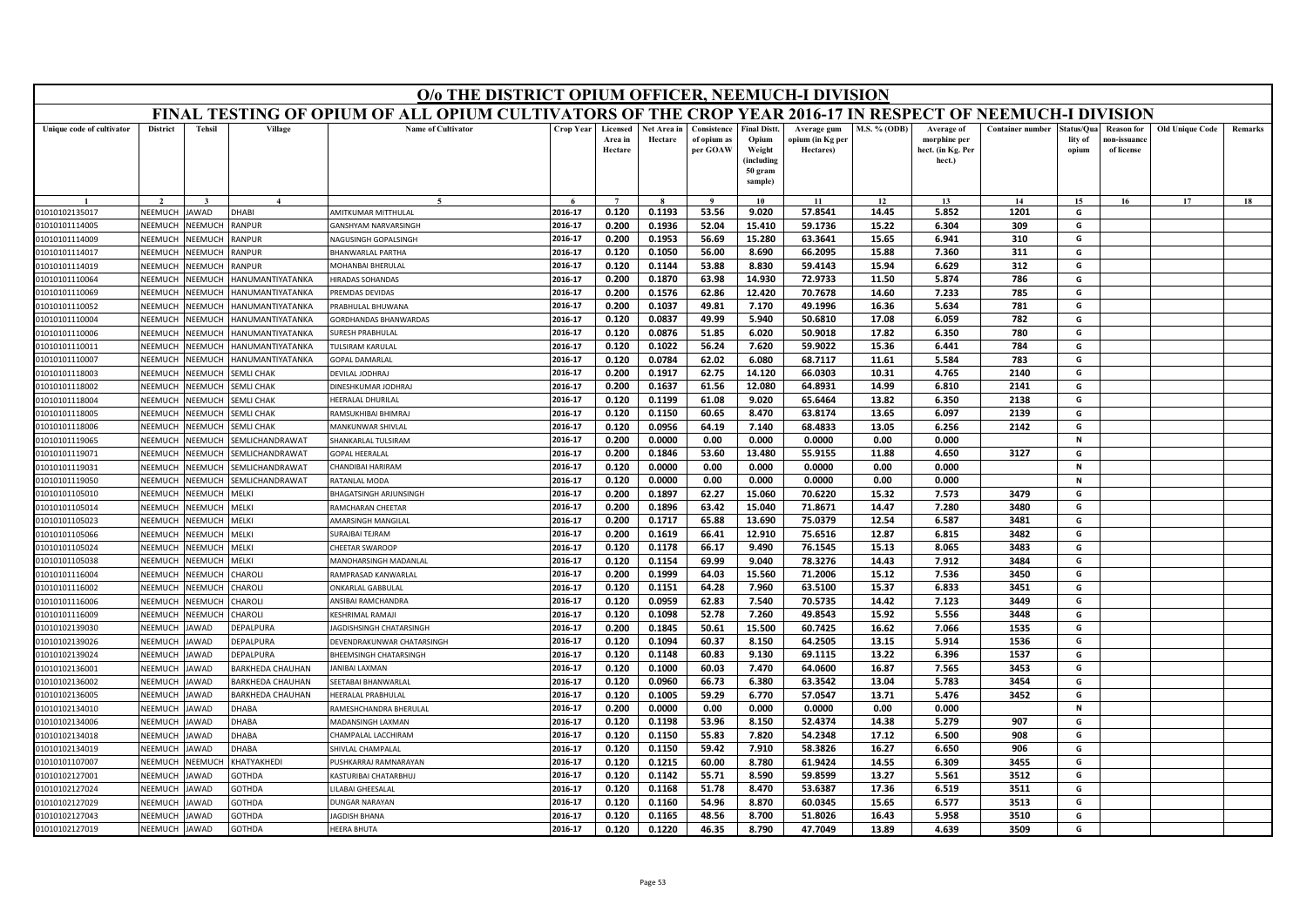|                                                                                                                                                                                      | O/o THE DISTRICT OPIUM OFFICER, NEEMUCH-I DIVISION<br>FINAL TESTING OF OPIUM OF ALL OPIUM CULTIVATORS OF THE CROP YEAR 2016-17 IN RESPECT OF NEEMUCH-I DIVISION                                                                                                                                                      |                                  |                                 |                                                      |                    |                                |                        |                                        |                                                                            |                                              |                     |                                                           |                         |                               |                                                |                        |         |
|--------------------------------------------------------------------------------------------------------------------------------------------------------------------------------------|----------------------------------------------------------------------------------------------------------------------------------------------------------------------------------------------------------------------------------------------------------------------------------------------------------------------|----------------------------------|---------------------------------|------------------------------------------------------|--------------------|--------------------------------|------------------------|----------------------------------------|----------------------------------------------------------------------------|----------------------------------------------|---------------------|-----------------------------------------------------------|-------------------------|-------------------------------|------------------------------------------------|------------------------|---------|
|                                                                                                                                                                                      |                                                                                                                                                                                                                                                                                                                      |                                  |                                 |                                                      |                    |                                |                        |                                        |                                                                            |                                              |                     |                                                           |                         |                               |                                                |                        |         |
| Unique code of cultivator                                                                                                                                                            | <b>District</b>                                                                                                                                                                                                                                                                                                      | <b>Tehsil</b>                    | Village                         | <b>Name of Cultivator</b>                            | Crop Year          | Licensed<br>Area in<br>Hectare | Net Area in<br>Hectare | Consistence<br>of opium as<br>per GOAW | <b>Final Distt.</b><br>Opium<br>Weight<br>(including<br>50 gram<br>sample) | Average gum<br>ppium (in Kg per<br>Hectares) | <b>M.S. % (ODB)</b> | Average of<br>morphine per<br>hect. (in Kg. Per<br>hect.) | <b>Container number</b> | tatus/Qua<br>lity of<br>opium | <b>Reason for</b><br>10n-issuanc<br>of license | <b>Old Unique Code</b> | Remarks |
|                                                                                                                                                                                      |                                                                                                                                                                                                                                                                                                                      |                                  |                                 |                                                      |                    |                                |                        | $\bf{Q}$                               | 10                                                                         | 11                                           | 12                  | 13                                                        | 14                      | 15                            | 16                                             | 17                     | 18      |
| 01010102135017                                                                                                                                                                       | NEEMUCH                                                                                                                                                                                                                                                                                                              | JAWAD                            | <b>IAAHC</b>                    | AMITKUMAR MITTHULAL                                  | 2016-17            | 0.120                          | 0.1193                 | 53.56                                  | 9.020                                                                      | 57.8541                                      | 14.45               | 5.852                                                     | 1201                    | G                             |                                                |                        |         |
| 01010101114005                                                                                                                                                                       | 2016-17<br>0.200<br>0.1936<br>52.04<br>15.410<br>59.1736<br>15.22<br>6.304<br>309<br>G<br>NEEMUCH<br><b>JEEMUCH</b><br>RANPUR<br><b>ANSHYAM NARVARSINGH</b><br>NEEMUCH<br>NEEMUCH<br>RANPUR<br>2016-17<br>0.200<br>0.1953<br>56.69<br>15.280<br>63.3641<br>15.65<br>6.941<br>310<br>G<br><b>IAGUSINGH GOPALSINGH</b> |                                  |                                 |                                                      |                    |                                |                        |                                        |                                                                            |                                              |                     |                                                           |                         |                               |                                                |                        |         |
| 01010101114009                                                                                                                                                                       | <b>NEEMUCH</b><br>RANPUR<br>2016-17<br>7.360<br>311<br>G                                                                                                                                                                                                                                                             |                                  |                                 |                                                      |                    |                                |                        |                                        |                                                                            |                                              |                     |                                                           |                         |                               |                                                |                        |         |
| 01010101114017                                                                                                                                                                       | VEEMUCI<br><b>BHANWARLAL PARTHA</b><br>0.120<br>0.1050<br>56.00<br>8.690<br>66.2095<br>15.88                                                                                                                                                                                                                         |                                  |                                 |                                                      |                    |                                |                        |                                        |                                                                            |                                              |                     |                                                           |                         |                               |                                                |                        |         |
| 01010101114019                                                                                                                                                                       | 2016-17<br>0.120<br>0.1144<br>53.88<br>8.830<br>59.4143<br>15.94<br>6.629<br>312<br>G<br>NEEMUCH<br><b>NEEMUCH</b><br><b>MOHANBAI BHERULAL</b><br><b>ANPUR</b>                                                                                                                                                       |                                  |                                 |                                                      |                    |                                |                        |                                        |                                                                            |                                              |                     |                                                           |                         |                               |                                                |                        |         |
| 63.98<br>72.9733<br>11.50<br>786<br>2016-17<br>0.200<br>0.1870<br>14.930<br>5.874<br>G<br>01010101110064<br>NEEMUCH<br><b>NEEMUCH</b><br>IANUMANTIYATANKA<br><b>IIRADAS SOHANDAS</b> |                                                                                                                                                                                                                                                                                                                      |                                  |                                 |                                                      |                    |                                |                        |                                        |                                                                            |                                              |                     |                                                           |                         |                               |                                                |                        |         |
| 01010101110069                                                                                                                                                                       | NEEMUCH                                                                                                                                                                                                                                                                                                              | VEEMUCI                          | <b>IANUMANTIYATANKA</b>         | <b>PREMDAS DEVIDAS</b>                               | 2016-17            | 0.200                          | 0.1576                 | 62.86                                  | 12,420                                                                     | 70.7678                                      | 14.60               | 7.233                                                     | 785                     | G                             |                                                |                        |         |
| 01010101110052                                                                                                                                                                       | NEEMUCH                                                                                                                                                                                                                                                                                                              | VEEMUCI                          | IANUMANTIYATANKA                | RABHULAL BHUWANA                                     | 2016-17            | 0.200                          | 0.1037                 | 49.81                                  | 7.170                                                                      | 49.1996                                      | 16.36               | 5.634                                                     | 781                     | G                             |                                                |                        |         |
| 01010101110004                                                                                                                                                                       | NEEMUCH                                                                                                                                                                                                                                                                                                              | VEEMUCI                          | IANUMANTIYATANKA                | <b>GORDHANDAS BHANWARDAS</b>                         | 2016-17            | 0.120                          | 0.0837                 | 49.99                                  | 5.940                                                                      | 50.6810                                      | 17.08               | 6.059                                                     | 782                     | G                             |                                                |                        |         |
| 01010101110006                                                                                                                                                                       | NEEMUCH                                                                                                                                                                                                                                                                                                              | VEEMUCI                          | <b>IANUMANTIYATANKA</b>         | URESH PRABHULAL                                      | 2016-17            | 0.120                          | 0.0876                 | 51.85                                  | 6.020                                                                      | 50.9018                                      | 17.82               | 6.350                                                     | 780                     | G                             |                                                |                        |         |
| 01010101110011                                                                                                                                                                       | NEEMUCH                                                                                                                                                                                                                                                                                                              | <b>NEEMUCH</b>                   | IANUMANTIYATANKA                | ULSIRAM KARULAL                                      | 2016-17            | 0.120                          | 0.1022                 | 56.24                                  | 7.620                                                                      | 59.9022                                      | 15.36               | 6.441                                                     | 784                     | G                             |                                                |                        |         |
| 01010101110007                                                                                                                                                                       | NEEMUCH                                                                                                                                                                                                                                                                                                              | <b>JEEMUCH</b>                   | <b>IANUMANTIYATANKA</b>         | <b>OPAL DAMARLAL</b>                                 | 2016-17            | 0.120                          | 0.0784                 | 62.02                                  | 6.080                                                                      | 68.7117                                      | 11.61               | 5.584                                                     | 783                     | G                             |                                                |                        |         |
| 01010101118003                                                                                                                                                                       | NEEMUCH                                                                                                                                                                                                                                                                                                              | <b>JEEMUCH</b>                   | <b>EMLI CHAK</b>                | <b>DEVILAL JODHRAJ</b>                               | 2016-17            | 0.200                          | 0.1917                 | 62.75                                  | 14.120                                                                     | 66.0303                                      | 10.31               | 4.765                                                     | 2140                    | G                             |                                                |                        |         |
| 01010101118002                                                                                                                                                                       | NEEMUCH                                                                                                                                                                                                                                                                                                              | <b>JEEMUCH</b>                   | <b>SEMLI CHAK</b>               | INESHKUMAR JODHRAJ                                   | 2016-17            | 0.200                          | 0.1637                 | 61.56                                  | 12.080                                                                     | 64.8931                                      | 14.99               | 6.810                                                     | 2141                    | G                             |                                                |                        |         |
| 01010101118004                                                                                                                                                                       | NEEMUCH                                                                                                                                                                                                                                                                                                              | <b>JEEMUCH</b>                   | <b>EMLI CHAK</b>                | <b>IEERALAL DHURILAI</b>                             | 2016-17            | 0.120                          | 0.1199                 | 61.08                                  | 9.020                                                                      | 65.6464                                      | 13.82               | 6.350                                                     | 2138                    | G                             |                                                |                        |         |
| 01010101118005                                                                                                                                                                       | NEEMUCH                                                                                                                                                                                                                                                                                                              | <b>JEEMUCH</b>                   | <b>SEMLI CHAK</b>               | AMSUKHIBAI BHIMRAJ                                   | 2016-17            | 0.120                          | 0.1150                 | 60.65                                  | 8.470                                                                      | 63.8174                                      | 13.65               | 6.097                                                     | 2139                    | G                             |                                                |                        |         |
| 01010101118006                                                                                                                                                                       | NFFMUCH                                                                                                                                                                                                                                                                                                              | <b>JEEMUCH</b>                   | <b>SEMLI CHAK</b>               | MANKUNWAR SHIVLAL                                    | 2016-17            | 0.120                          | 0.0956                 | 64.19                                  | 7.140                                                                      | 68.4833                                      | 13.05               | 6.256                                                     | 2142                    | G                             |                                                |                        |         |
| 01010101119065                                                                                                                                                                       | NEEMUCH                                                                                                                                                                                                                                                                                                              | <b>JEEMUCI</b>                   | SEMLICHANDRAWAT                 | HANKARLAL TULSIRAM                                   | 2016-17            | 0.200                          | 0.0000                 | 0.00                                   | 0.000                                                                      | 0.0000                                       | 0.00                | 0.000                                                     |                         | N                             |                                                |                        |         |
| 01010101119071                                                                                                                                                                       | NEEMUCH                                                                                                                                                                                                                                                                                                              | <b>NEEMUCH</b>                   | <b>SEMLICHANDRAWAT</b>          | <b>GOPAL HEERALAL</b>                                | 2016-17            | 0.200                          | 0.1846                 | 53.60                                  | 13.480                                                                     | 55.9155                                      | 11.88               | 4.650                                                     | 3127                    | G                             |                                                |                        |         |
| 01010101119031                                                                                                                                                                       | NEEMUCH                                                                                                                                                                                                                                                                                                              | <b>NEEMUCH</b>                   | SEMLICHANDRAWAT                 | HANDIBAI HARIRAM                                     | 2016-17            | 0.120                          | 0.0000                 | 0.00                                   | 0.000                                                                      | 0.0000                                       | 0.00                | 0.000                                                     |                         | $\mathbf N$                   |                                                |                        |         |
| 01010101119050                                                                                                                                                                       | NEEMUCH                                                                                                                                                                                                                                                                                                              | <b>JEEMUCH</b>                   | EMLICHANDRAWAT                  | RATANLAL MODA                                        | 2016-17            | 0.120                          | 0.0000                 | 0.00                                   | 0.000                                                                      | 0.0000                                       | 0.00                | 0.000                                                     |                         | N                             |                                                |                        |         |
| 01010101105010                                                                                                                                                                       | NEEMUCH                                                                                                                                                                                                                                                                                                              | NEEMUCH                          | MELKI                           | <b>BHAGATSINGH ARJUNSINGH</b>                        | 2016-17            | 0.200                          | 0.1897                 | 62.27                                  | 15.060                                                                     | 70.6220                                      | 15.32               | 7.573                                                     | 3479                    | G                             |                                                |                        |         |
| 01010101105014                                                                                                                                                                       | NEEMUCH                                                                                                                                                                                                                                                                                                              | <b>JEEMUCH</b>                   | MELKI                           | <b>RAMCHARAN CHEETAR</b>                             | 2016-17            | 0.200                          | 0.1896                 | 63.42                                  | 15.040                                                                     | 71.8671                                      | 14.47               | 7.280                                                     | 3480                    | G                             |                                                |                        |         |
| 01010101105023                                                                                                                                                                       | NEEMUCH                                                                                                                                                                                                                                                                                                              | <b>JEEMUCH</b>                   | MELKI                           | AMARSINGH MANGILAL                                   | 2016-17            | 0.200                          | 0.1717                 | 65.88                                  | 13.690                                                                     | 75.0379                                      | 12.54               | 6.587                                                     | 3481                    | G                             |                                                |                        |         |
| 01010101105066                                                                                                                                                                       | NEEMUCH                                                                                                                                                                                                                                                                                                              | <b>NEEMUCH</b>                   | MELKI                           | URAJBAI TEJRAM                                       | 2016-17            | 0.200                          | 0.1619                 | 66.41                                  | 12.910                                                                     | 75.6516                                      | 12.87               | 6.815                                                     | 3482                    | G                             |                                                |                        |         |
| 01010101105024                                                                                                                                                                       | NEEMUCH                                                                                                                                                                                                                                                                                                              | <b>JEEMUCH</b>                   | MELKI                           | <b>HEETAR SWAROOP</b>                                | 2016-17<br>2016-17 | 0.120<br>0.120                 | 0.1178<br>0.1154       | 66.17<br>69.99                         | 9.490<br>9.040                                                             | 76.1545                                      | 15.13<br>14.43      | 8.065<br>7.912                                            | 3483<br>3484            | G<br>G                        |                                                |                        |         |
| 01010101105038                                                                                                                                                                       | NEEMUCH                                                                                                                                                                                                                                                                                                              | <b>JEEMUCI</b>                   | MELKI                           | MANOHARSINGH MADANLAI                                |                    |                                |                        |                                        |                                                                            | 78.3276<br>71.2006                           |                     |                                                           |                         |                               |                                                |                        |         |
| 01010101116004<br>01010101116002                                                                                                                                                     | NEEMUCH<br>NEEMUCH                                                                                                                                                                                                                                                                                                   | <b>JEEMUCH</b><br><b>JEEMUCH</b> | <b>HAROLI</b><br><b>CHAROLI</b> | <b>RAMPRASAD KANWARLAL</b>                           | 2016-17<br>2016-17 | 0.200<br>0.120                 | 0.1999<br>0.1151       | 64.03<br>64.28                         | 15.560<br>7.960                                                            | 63.5100                                      | 15.12<br>15.37      | 7.536<br>6.833                                            | 3450<br>3451            | G<br>G                        |                                                |                        |         |
| 01010101116006                                                                                                                                                                       | <b>NEEMUCH</b>                                                                                                                                                                                                                                                                                                       | VEEMUC                           | <b>HAROL</b>                    | <b><i>NKARLAL GABBULAL</i></b><br>ANSIBAI RAMCHANDRA | 2016-17            | 0.120                          | 0.0959                 | 62.83                                  | 7.540                                                                      | 70.5735                                      | 14.42               | 7.123                                                     | 3449                    | G                             |                                                |                        |         |
| 01010101116009                                                                                                                                                                       | NEEMUCH                                                                                                                                                                                                                                                                                                              | <b>JEEMUCI</b>                   | <b>HAROLI</b>                   | ESHRIMAL RAMAJI                                      | 2016-17            | 0.120                          | 0.1098                 | 52.78                                  | 7.260                                                                      | 49.8543                                      | 15.92               | 5.556                                                     | 3448                    | G                             |                                                |                        |         |
| 01010102139030                                                                                                                                                                       | NEEMUCH                                                                                                                                                                                                                                                                                                              | AWAD                             | DEPALPURA                       | <b>AGDISHSINGH CHATARSINGH</b>                       | 2016-17            | 0.200                          | 0.1845                 | 50.61                                  | 15.500                                                                     | 60.7425                                      | 16.62               | 7.066                                                     | 1535                    | G                             |                                                |                        |         |
| 01010102139026                                                                                                                                                                       | <b>NEEMUCH</b>                                                                                                                                                                                                                                                                                                       | AWAD                             | DEPALPURA                       | DEVENDRAKUNWAR CHATARSINGH                           | 2016-17            | 0.120                          | 0.1094                 | 60.37                                  | 8.150                                                                      | 64.2505                                      | 13.15               | 5.914                                                     | 1536                    | G                             |                                                |                        |         |
| 01010102139024                                                                                                                                                                       | NEEMUCH                                                                                                                                                                                                                                                                                                              | AWAD                             | <b>DEPALPURA</b>                | HEEMSINGH CHATARSINGH                                | 2016-17            | 0.120                          | 0.1148                 | 60.83                                  | 9.130                                                                      | 69.1115                                      | 13.22               | 6.396                                                     | 1537                    | G                             |                                                |                        |         |
| 01010102136001                                                                                                                                                                       | NEEMUCH                                                                                                                                                                                                                                                                                                              | AWAD                             | <b>BARKHEDA CHAUHAN</b>         | ANIBAI LAXMAN                                        | 2016-17            | 0.120                          | 0.1000                 | 60.03                                  | 7.470                                                                      | 64.0600                                      | 16.87               | 7.565                                                     | 3453                    | G                             |                                                |                        |         |
| 01010102136002                                                                                                                                                                       | NEEMUCH                                                                                                                                                                                                                                                                                                              | <b>AWAD</b>                      | <b>BARKHEDA CHAUHAN</b>         | <b>SEETABAI BHANWARLAL</b>                           | 2016-17            | 0.120                          | 0.0960                 | 66.73                                  | 6.380                                                                      | 63.3542                                      | 13.04               | 5.783                                                     | 3454                    | G                             |                                                |                        |         |
| 01010102136005                                                                                                                                                                       | NEEMUCH                                                                                                                                                                                                                                                                                                              | AWAD                             | <b>BARKHEDA CHAUHAN</b>         | <b>IFFRALAL PRABHULAL</b>                            | 2016-17            | 0.120                          | 0.1005                 | 59.29                                  | 6.770                                                                      | 57.0547                                      | 13.71               | 5.476                                                     | 3452                    | G                             |                                                |                        |         |
| 01010102134010                                                                                                                                                                       | NEEMUCH                                                                                                                                                                                                                                                                                                              | <b>AWAD</b>                      | <b>HABA</b>                     | AMESHCHANDRA BHERULAL                                | 2016-17            | 0.200                          | 0.0000                 | 0.00                                   | 0.000                                                                      | 0.0000                                       | 0.00                | 0.000                                                     |                         | $\mathbf N$                   |                                                |                        |         |
| 01010102134006                                                                                                                                                                       | NEEMUCH                                                                                                                                                                                                                                                                                                              | <b>AWAD</b>                      | <b>HABA</b>                     | MADANSINGH LAXMAN                                    | 2016-17            | 0.120                          | 0.1198                 | 53.96                                  | 8.150                                                                      | 52.4374                                      | 14.38               | 5.279                                                     | 907                     | G                             |                                                |                        |         |
| 01010102134018                                                                                                                                                                       | NEEMUCH                                                                                                                                                                                                                                                                                                              | AWAD                             | <b>HABA</b>                     | HAMPALAL LACCHIRAM                                   | 2016-17            | 0.120                          | 0.1150                 | 55.83                                  | 7.820                                                                      | 54.2348                                      | 17.12               | 6.500                                                     | 908                     | G                             |                                                |                        |         |
| 01010102134019                                                                                                                                                                       | NEEMUCH                                                                                                                                                                                                                                                                                                              | <b>AWAD</b>                      | HABA                            | HIVLAL CHAMPALAL                                     | 2016-17            | 0.120                          | 0.1150                 | 59.42                                  | 7.910                                                                      | 58.3826                                      | 16.27               | 6.650                                                     | 906                     | G                             |                                                |                        |         |
| 01010101107007                                                                                                                                                                       | <b>NFFMUCH</b>                                                                                                                                                                                                                                                                                                       | VEEMUC                           | <b>KHATYAKHEDI</b>              | USHKARRAJ RAMNARAYAN                                 | 2016-17            | 0.120                          | 0.1215                 | 60.00                                  | 8.780                                                                      | 61.9424                                      | 14.55               | 6.309                                                     | 3455                    | G                             |                                                |                        |         |
| 01010102127001                                                                                                                                                                       | NEEMUCH                                                                                                                                                                                                                                                                                                              | <b>AWAD</b>                      | <b>SOTHDA</b>                   | (ASTURIBAI CHATARBHUJ                                | 2016-17            | 0.120                          | 0.1142                 | 55.71                                  | 8.590                                                                      | 59.8599                                      | 13.27               | 5.561                                                     | 3512                    | G                             |                                                |                        |         |
| 01010102127024                                                                                                                                                                       | NEEMUCH                                                                                                                                                                                                                                                                                                              | <b>AWAD</b>                      | <b>OTHDA</b>                    | <b>ILABAI GHEESALAL</b>                              | 2016-17            | 0.120                          | 0.1168                 | 51.78                                  | 8.470                                                                      | 53.6387                                      | 17.36               | 6.519                                                     | 3511                    | G                             |                                                |                        |         |
| 01010102127029                                                                                                                                                                       | NEEMUCH                                                                                                                                                                                                                                                                                                              | AWAD                             | <b>GOTHDA</b>                   | <b>UNGAR NARAYAN</b>                                 | 2016-17            | 0.120                          | 0.1160                 | 54.96                                  | 8.870                                                                      | 60.0345                                      | 15.65               | 6.577                                                     | 3513                    | G                             |                                                |                        |         |
| 01010102127043                                                                                                                                                                       | NEEMUCH                                                                                                                                                                                                                                                                                                              | JAWAD                            | <b>GOTHDA</b>                   | <b>AGDISH BHANA</b>                                  | 2016-17            | 0.120                          | 0.1165                 | 48.56                                  | 8.700                                                                      | 51.8026                                      | 16.43               | 5.958                                                     | 3510                    | G                             |                                                |                        |         |
| 01010102127019                                                                                                                                                                       | NEEMUCH                                                                                                                                                                                                                                                                                                              | <b>AWAD</b>                      | <b>GOTHDA</b>                   | <b>IEERA BHUTA</b>                                   | 2016-17            | 0.120                          | 0.1220                 | 46.35                                  | 8.790                                                                      | 47.7049                                      | 13.89               | 4.639                                                     | 3509                    | G                             |                                                |                        |         |
|                                                                                                                                                                                      |                                                                                                                                                                                                                                                                                                                      |                                  |                                 |                                                      |                    |                                |                        |                                        |                                                                            |                                              |                     |                                                           |                         |                               |                                                |                        |         |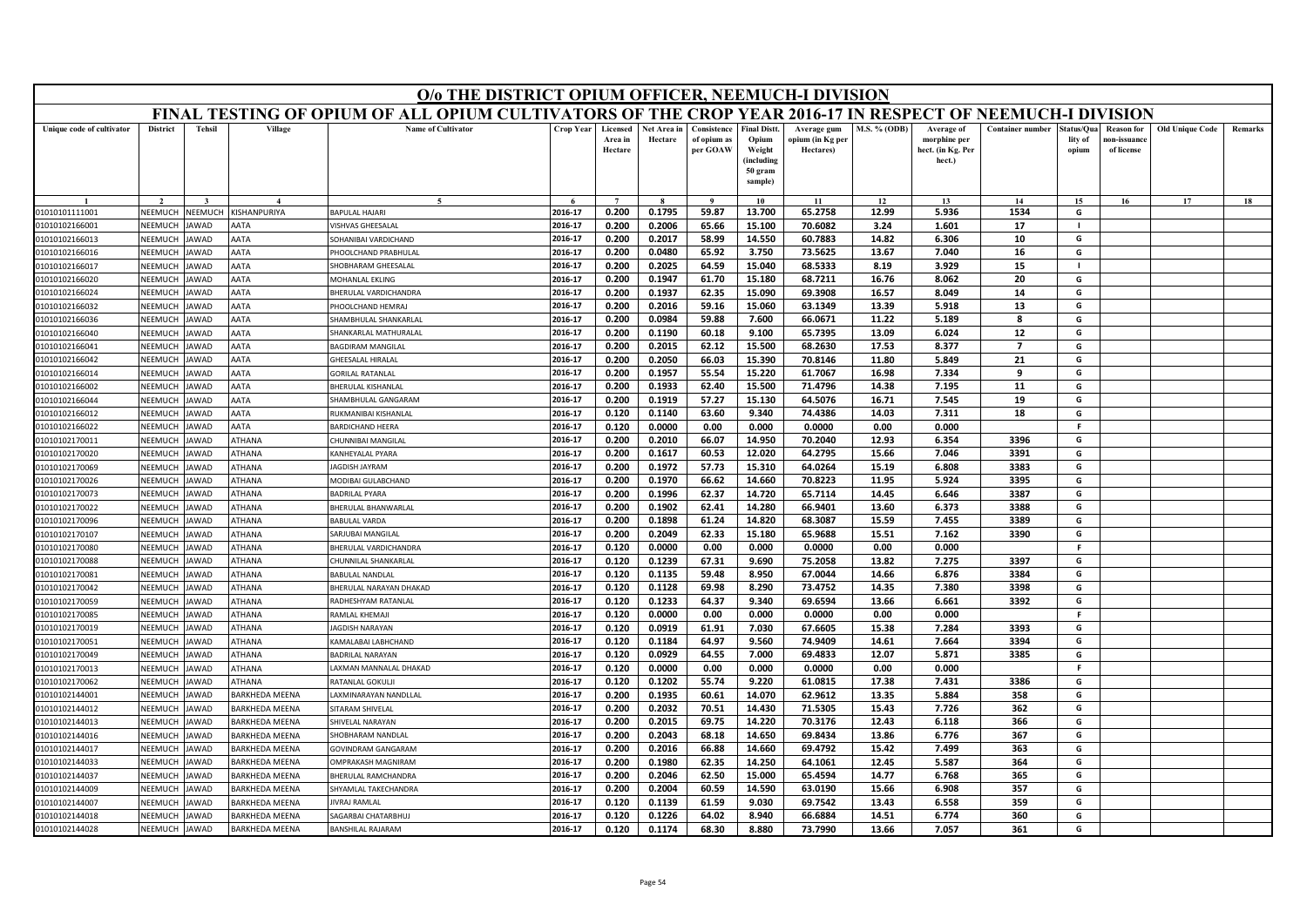|                                  | O/o THE DISTRICT OPIUM OFFICER, NEEMUCH-I DIVISION<br>FINAL TESTING OF OPIUM OF ALL OPIUM CULTIVATORS OF THE CROP YEAR 2016-17 IN RESPECT OF NEEMUCH-I DIVISION |                      |                       |                                               |                    |                                |                        |                                        |                                                                            |                                              |                     |                                                           |                         |                                |                                                |                        |         |
|----------------------------------|-----------------------------------------------------------------------------------------------------------------------------------------------------------------|----------------------|-----------------------|-----------------------------------------------|--------------------|--------------------------------|------------------------|----------------------------------------|----------------------------------------------------------------------------|----------------------------------------------|---------------------|-----------------------------------------------------------|-------------------------|--------------------------------|------------------------------------------------|------------------------|---------|
|                                  |                                                                                                                                                                 |                      |                       |                                               |                    |                                |                        |                                        |                                                                            |                                              |                     |                                                           |                         |                                |                                                |                        |         |
| Unique code of cultivator        | <b>District</b>                                                                                                                                                 | <b>Tehsil</b>        | Village               | <b>Name of Cultivator</b>                     | <b>Crop Year</b>   | Licensed<br>Area in<br>Hectare | Net Area in<br>Hectare | Consistence<br>of opium as<br>per GOAW | <b>Final Distt.</b><br>Opium<br>Weight<br>(including<br>50 gram<br>sample) | Average gum<br>opium (in Kg per<br>Hectares) | <b>M.S. % (ODB)</b> | Average of<br>morphine per<br>hect. (in Kg. Per<br>hect.) | <b>Container number</b> | Status/Qua<br>lity of<br>opium | <b>Reason for</b><br>10n-issuanc<br>of license | <b>Old Unique Code</b> | Remarks |
|                                  |                                                                                                                                                                 |                      |                       | $\sim$                                        |                    | $\overline{7}$                 |                        | $\mathbf{o}$                           | 10                                                                         | 11                                           | 12                  | 13                                                        | 14                      | 15                             | 16                                             | 17                     | 18      |
| 01010101111001                   | NEEMUCH                                                                                                                                                         | NEEMUCH              | KISHANPURIYA          | <b>BAPULAL HAJARI</b>                         | 2016-17            | 0.200                          | 0.1795                 | 59.87                                  | 13.700                                                                     | 65.2758                                      | 12.99               | 5.936                                                     | 1534                    | G                              |                                                |                        |         |
| 01010102166001                   | NEEMUCH                                                                                                                                                         | JAWAD                | AATA                  | VISHVAS GHFFSALAI                             | 2016-17            | 0.200                          | 0.2006                 | 65.66                                  | 15.100                                                                     | 70.6082                                      | 3.24                | 1.601                                                     | 17                      | $\blacksquare$                 |                                                |                        |         |
| 01010102166013                   | VEEMUCH                                                                                                                                                         | <b>AWAD</b>          | AATA                  | SOHANIBAI VARDICHAND                          | 2016-17            | 0.200                          | 0.2017                 | 58.99                                  | 14.550                                                                     | 60.7883                                      | 14.82               | 6.306                                                     | 10                      | G                              |                                                |                        |         |
| 01010102166016                   | NEEMUCH                                                                                                                                                         | <b>JAWAD</b>         | AATA                  | PHOOLCHAND PRABHULAL                          | 2016-17            | 0.200                          | 0.0480                 | 65.92                                  | 3.750                                                                      | 73.5625                                      | 13.67               | 7.040                                                     | 16                      | G                              |                                                |                        |         |
| 01010102166017                   | NEEMUCH                                                                                                                                                         | <b>JAWAD</b>         | AATA                  | <b>SHOBHARAM GHEESALAL</b>                    | 2016-17            | 0.200                          | 0.2025                 | 64.59                                  | 15.040                                                                     | 68.5333                                      | 8.19                | 3.929                                                     | 15                      | $\mathbf{I}$                   |                                                |                        |         |
| 01010102166020                   | NEEMUCH                                                                                                                                                         | <b>AWAD</b>          | <b>AATA</b>           | MOHANLAL EKLING                               | 2016-17            | 0.200                          | 0.1947                 | 61.70                                  | 15.180                                                                     | 68.7211                                      | 16.76               | 8.062                                                     | 20                      | G                              |                                                |                        |         |
| 01010102166024                   | NEEMUCI                                                                                                                                                         | <b>JAWAD</b>         | AATA                  | BHERULAL VARDICHANDRA                         | 2016-17            | 0.200                          | 0.1937                 | 62.35                                  | 15.090                                                                     | 69.3908                                      | 16.57               | 8.049                                                     | 14                      | G                              |                                                |                        |         |
| 01010102166032                   | NEEMUCH                                                                                                                                                         | <b>JAWAD</b>         | AATA                  | PHOOLCHAND HEMRAI                             | 2016-17            | 0.200                          | 0.2016                 | 59.16                                  | 15.060                                                                     | 63.1349                                      | 13.39               | 5.918                                                     | 13                      | G                              |                                                |                        |         |
| 01010102166036                   | NEEMUCH                                                                                                                                                         | <b>JAWAD</b>         | AATA                  | SHAMBHULAL SHANKARLAL                         | 2016-17            | 0.200                          | 0.0984                 | 59.88                                  | 7.600                                                                      | 66.0671                                      | 11.22               | 5.189                                                     | 8                       | G                              |                                                |                        |         |
| 01010102166040                   | NEEMUCH                                                                                                                                                         | <b>JAWAD</b>         | AATA                  | SHANKARLAL MATHURALAL                         | 2016-17            | 0.200                          | 0.1190                 | 60.18                                  | 9.100                                                                      | 65.7395                                      | 13.09               | 6.024                                                     | 12                      | G                              |                                                |                        |         |
| 01010102166041                   | NEEMUCH                                                                                                                                                         | <b>IAWAD</b>         | AATA                  | <b>BAGDIRAM MANGILAL</b>                      | 2016-17            | 0.200                          | 0.2015                 | 62.12                                  | 15.500                                                                     | 68.2630                                      | 17.53               | 8.377                                                     | 7                       | G                              |                                                |                        |         |
| 01010102166042                   | NEEMUCH                                                                                                                                                         | AWAD                 | AATA                  | GHEESALAL HIRALAI                             | 2016-17            | 0.200                          | 0.2050                 | 66.03                                  | 15.390                                                                     | 70.8146                                      | 11.80               | 5.849                                                     | 21                      | G                              |                                                |                        |         |
| 01010102166014                   | NFFMUCH                                                                                                                                                         | <b>JAWAD</b>         | AATA                  | <b>GORILAL RATANLAL</b>                       | 2016-17            | 0.200                          | 0.1957                 | 55.54                                  | 15.220                                                                     | 61.7067                                      | 16.98               | 7.334                                                     | 9                       | G                              |                                                |                        |         |
| 01010102166002                   | NEEMUCH                                                                                                                                                         | <b>JAWAD</b>         | AATA                  | BHERULAL KISHANLAL                            | 2016-17            | 0.200                          | 0.1933                 | 62.40                                  | 15.500                                                                     | 71.4796                                      | 14.38               | 7.195                                                     | 11                      | G                              |                                                |                        |         |
| 01010102166044                   | NEEMUCH<br>NEEMUCH                                                                                                                                              | AWAD<br><b>JAWAD</b> | AATA<br>AATA          | SHAMBHULAL GANGARAM<br>RUKMANIBAI KISHANLAI   | 2016-17            | 0.200                          | 0.1919                 | 57.27                                  | 15.130                                                                     | 64.5076<br>74.4386                           | 16.71               | 7.545                                                     | 19                      | G                              |                                                |                        |         |
| 01010102166012<br>01010102166022 | NEEMUCH                                                                                                                                                         | <b>JAWAD</b>         | AATA                  |                                               | 2016-17<br>2016-17 | 0.120                          | 0.1140<br>0.0000       | 63.60<br>0.00                          | 9.340<br>0.000                                                             |                                              | 14.03<br>0.00       | 7.311<br>0.000                                            | 18                      | G<br>-F                        |                                                |                        |         |
|                                  | NEEMUCH                                                                                                                                                         | AWAD                 | ATHANA                | <b>BARDICHAND HEERA</b><br>CHUNNIBAI MANGILAL | 2016-17            | 0.120<br>0.200                 | 0.2010                 | 66.07                                  | 14.950                                                                     | 0.0000<br>70.2040                            | 12.93               | 6.354                                                     | 3396                    | G                              |                                                |                        |         |
| 01010102170011                   | NFFMUCH                                                                                                                                                         | <b>JAWAD</b>         | <b>ATHANA</b>         | KANHEYALAL PYARA                              | 2016-17            | 0.200                          | 0.1617                 | 60.53                                  | 12.020                                                                     | 64.2795                                      | 15.66               | 7.046                                                     | 3391                    | G                              |                                                |                        |         |
| 01010102170020<br>01010102170069 | NEEMUCH                                                                                                                                                         | JAWAD                | ATHANA                | JAGDISH JAYRAM                                | 2016-17            | 0.200                          | 0.1972                 | 57.73                                  | 15.310                                                                     | 64.0264                                      | 15.19               | 6.808                                                     | 3383                    | G                              |                                                |                        |         |
| 01010102170026                   | VEEMUCH                                                                                                                                                         | AWAD                 | <b>THANA</b>          | MODIBAI GULABCHAND                            | 2016-17            | 0.200                          | 0.1970                 | 66.62                                  | 14.660                                                                     | 70.8223                                      | 11.95               | 5.924                                                     | 3395                    | G                              |                                                |                        |         |
| 01010102170073                   | NEEMUCH                                                                                                                                                         | <b>JAWAD</b>         | ATHANA                | <b>BADRILAL PYARA</b>                         | 2016-17            | 0.200                          | 0.1996                 | 62.37                                  | 14.720                                                                     | 65.7114                                      | 14.45               | 6.646                                                     | 3387                    | G                              |                                                |                        |         |
| 01010102170022                   | NEEMUCH                                                                                                                                                         | <b>JAWAD</b>         | ATHANA                | <b>BHERULAL BHANWARLAL</b>                    | 2016-17            | 0.200                          | 0.1902                 | 62.41                                  | 14.280                                                                     | 66.9401                                      | 13.60               | 6.373                                                     | 3388                    | G                              |                                                |                        |         |
| 01010102170096                   | NEEMUCH                                                                                                                                                         | AWAD                 | ATHANA                | <b>BABULAL VARDA</b>                          | 2016-17            | 0.200                          | 0.1898                 | 61.24                                  | 14.820                                                                     | 68.3087                                      | 15.59               | 7.455                                                     | 3389                    | G                              |                                                |                        |         |
| 01010102170107                   | NEEMUCH                                                                                                                                                         | <b>JAWAD</b>         | ATHANA                | SARJUBAI MANGILAL                             | 2016-17            | 0.200                          | 0.2049                 | 62.33                                  | 15.180                                                                     | 65.9688                                      | 15.51               | 7.162                                                     | 3390                    | G                              |                                                |                        |         |
| 01010102170080                   | NEEMUCH                                                                                                                                                         | <b>JAWAD</b>         | ATHANA                | BHERULAL VARDICHANDRA                         | 2016-17            | 0.120                          | 0.0000                 | 0.00                                   | 0.000                                                                      | 0.0000                                       | 0.00                | 0.000                                                     |                         | -F                             |                                                |                        |         |
| 01010102170088                   | NEEMUCH                                                                                                                                                         | <b>JAWAD</b>         | <b>THANA</b>          | CHUNNILAL SHANKARLAI                          | 2016-17            | 0.120                          | 0.1239                 | 67.31                                  | 9.690                                                                      | 75.2058                                      | 13.82               | 7.275                                                     | 3397                    | G                              |                                                |                        |         |
| 01010102170081                   | NEEMUCH                                                                                                                                                         | AWAD                 | ATHANA                | <b>BABULAL NANDLAL</b>                        | 2016-17            | 0.120                          | 0.1135                 | 59.48                                  | 8.950                                                                      | 67.0044                                      | 14.66               | 6.876                                                     | 3384                    | G                              |                                                |                        |         |
| 01010102170042                   | NEEMUCH                                                                                                                                                         | <b>JAWAD</b>         | <b>ATHANA</b>         | BHERULAL NARAYAN DHAKAD                       | 2016-17            | 0.120                          | 0.1128                 | 69.98                                  | 8.290                                                                      | 73.4752                                      | 14.35               | 7.380                                                     | 3398                    | G                              |                                                |                        |         |
| 01010102170059                   | NEEMUCH                                                                                                                                                         | <b>JAWAD</b>         | ATHANA                | RADHESHYAM RATANLAI                           | 2016-17            | 0.120                          | 0.1233                 | 64.37                                  | 9.340                                                                      | 69.6594                                      | 13.66               | 6.661                                                     | 3392                    | G                              |                                                |                        |         |
| 01010102170085                   | NEEMUCH                                                                                                                                                         | AWAD                 | ATHANA                | RAMLAL KHEMAJI                                | 2016-17            | 0.120                          | 0.0000                 | 0.00                                   | 0.000                                                                      | 0.0000                                       | 0.00                | 0.000                                                     |                         | F.                             |                                                |                        |         |
| 01010102170019                   | NEEMUCH                                                                                                                                                         | <b>JAWAD</b>         | ATHANA                | <b>AGDISH NARAYAN</b>                         | 2016-17            | 0.120                          | 0.0919                 | 61.91                                  | 7.030                                                                      | 67.6605                                      | 15.38               | 7.284                                                     | 3393                    | G                              |                                                |                        |         |
| 01010102170051                   | NEEMUCH                                                                                                                                                         | <b>JAWAD</b>         | ATHANA                | KAMALABAI LABHCHAND                           | 2016-17            | 0.120                          | 0.1184                 | 64.97                                  | 9.560                                                                      | 74.9409                                      | 14.61               | 7.664                                                     | 3394                    | G                              |                                                |                        |         |
| 01010102170049                   | NEEMUCH                                                                                                                                                         | <b>IAWAD</b>         | ATHANA                | <b>BADRILAL NARAYAN</b>                       | 2016-17            | 0.120                          | 0.0929                 | 64.55                                  | 7.000                                                                      | 69.4833                                      | 12.07               | 5.871                                                     | 3385                    | G                              |                                                |                        |         |
| 01010102170013                   | VEEMUCI                                                                                                                                                         | AWAD                 | ATHANA                | AXMAN MANNALAL DHAKAD                         | 2016-17            | 0.120                          | 0.0000                 | 0.00                                   | 0.000                                                                      | 0.0000                                       | 0.00                | 0.000                                                     |                         | F.                             |                                                |                        |         |
| 01010102170062                   | <b>NFFMUCH</b>                                                                                                                                                  | <b>JAWAD</b>         | ATHANA                | RATANLAL GOKULJ                               | 2016-17            | 0.120                          | 0.1202                 | 55.74                                  | 9.220                                                                      | 61.0815                                      | 17.38               | 7.431                                                     | 3386                    | G                              |                                                |                        |         |
| 01010102144001                   | NEEMUCH                                                                                                                                                         | AWAD                 | <b>BARKHEDA MEENA</b> | AXMINARAYAN NANDLLAL                          | 2016-17            | 0.200                          | 0.1935                 | 60.61                                  | 14.070                                                                     | 62.9612                                      | 13.35               | 5.884                                                     | 358                     | G                              |                                                |                        |         |
| 01010102144012                   | VEEMUCH                                                                                                                                                         | AWAD                 | <b>BARKHEDA MEENA</b> | SITARAM SHIVELAL                              | 2016-17            | 0.200                          | 0.2032                 | 70.51                                  | 14.430                                                                     | 71.5305                                      | 15.43               | 7.726                                                     | 362                     | G                              |                                                |                        |         |
| 01010102144013                   | NEEMUCH                                                                                                                                                         | <b>JAWAD</b>         | BARKHEDA MEENA        | SHIVFLAL NARAYAN                              | 2016-17            | 0.200                          | 0.2015                 | 69.75                                  | 14.220                                                                     | 70.3176                                      | 12.43               | 6.118                                                     | 366                     | G                              |                                                |                        |         |
| 01010102144016                   | NEEMUCH                                                                                                                                                         | AWAD                 | <b>BARKHEDA MEENA</b> | HOBHARAM NANDLAL                              | 2016-17            | 0.200                          | 0.2043                 | 68.18                                  | 14.650                                                                     | 69.8434                                      | 13.86               | 6.776                                                     | 367                     | G                              |                                                |                        |         |
| 01010102144017                   | VEEMUCI                                                                                                                                                         | AWAD                 | <b>BARKHEDA MEENA</b> | <b>GOVINDRAM GANGARAM</b>                     | 2016-17            | 0.200                          | 0.2016                 | 66.88                                  | 14.660                                                                     | 69.4792                                      | 15.42               | 7.499                                                     | 363                     | G                              |                                                |                        |         |
| 01010102144033                   | <b>NFFMUCH</b>                                                                                                                                                  | <b>JAWAD</b>         | <b>BARKHEDA MEENA</b> | <b>OMPRAKASH MAGNIRAM</b>                     | 2016-17            | 0.200                          | 0.1980                 | 62.35                                  | 14.250                                                                     | 64.1061                                      | 12.45               | 5.587                                                     | 364                     | G                              |                                                |                        |         |
| 01010102144037                   | NEEMUCH                                                                                                                                                         | <b>IAWAD</b>         | BARKHEDA MEENA        | BHERULAL RAMCHANDRA                           | 2016-17            | 0.200                          | 0.2046                 | 62.50                                  | 15.000                                                                     | 65.4594                                      | 14.77               | 6.768                                                     | 365                     | G                              |                                                |                        |         |
| 01010102144009                   | VEEMUCI                                                                                                                                                         | AWAD                 | <b>BARKHEDA MEENA</b> | <b>SHYAMLAL TAKECHANDRA</b>                   | 2016-17            | 0.200                          | 0.2004                 | 60.59                                  | 14.590                                                                     | 63.0190                                      | 15.66               | 6.908                                                     | 357                     | G                              |                                                |                        |         |
| 01010102144007                   | NEEMUCH                                                                                                                                                         | <b>JAWAD</b>         | BARKHEDA MEENA        | <b>IIVRAI RAMLAI</b>                          | 2016-17            | 0.120                          | 0.1139                 | 61.59                                  | 9.030                                                                      | 69.7542                                      | 13.43               | 6.558                                                     | 359                     | G                              |                                                |                        |         |
| 01010102144018                   | NEEMUCH                                                                                                                                                         | JAWAD                | BARKHEDA MEENA        | <b>SAGARBAI CHATARBHUJ</b>                    | 2016-17            | 0.120                          | 0.1226                 | 64.02                                  | 8.940                                                                      | 66.6884                                      | 14.51               | 6.774                                                     | 360                     | G                              |                                                |                        |         |
| 01010102144028                   | NEEMUCH                                                                                                                                                         | JAWAD                | BARKHEDA MEENA        | <b>BANSHILAL RAJARAM</b>                      | 2016-17            | 0.120                          | 0.1174                 | 68.30                                  | 8.880                                                                      | 73.7990                                      | 13.66               | 7.057                                                     | 361                     | G                              |                                                |                        |         |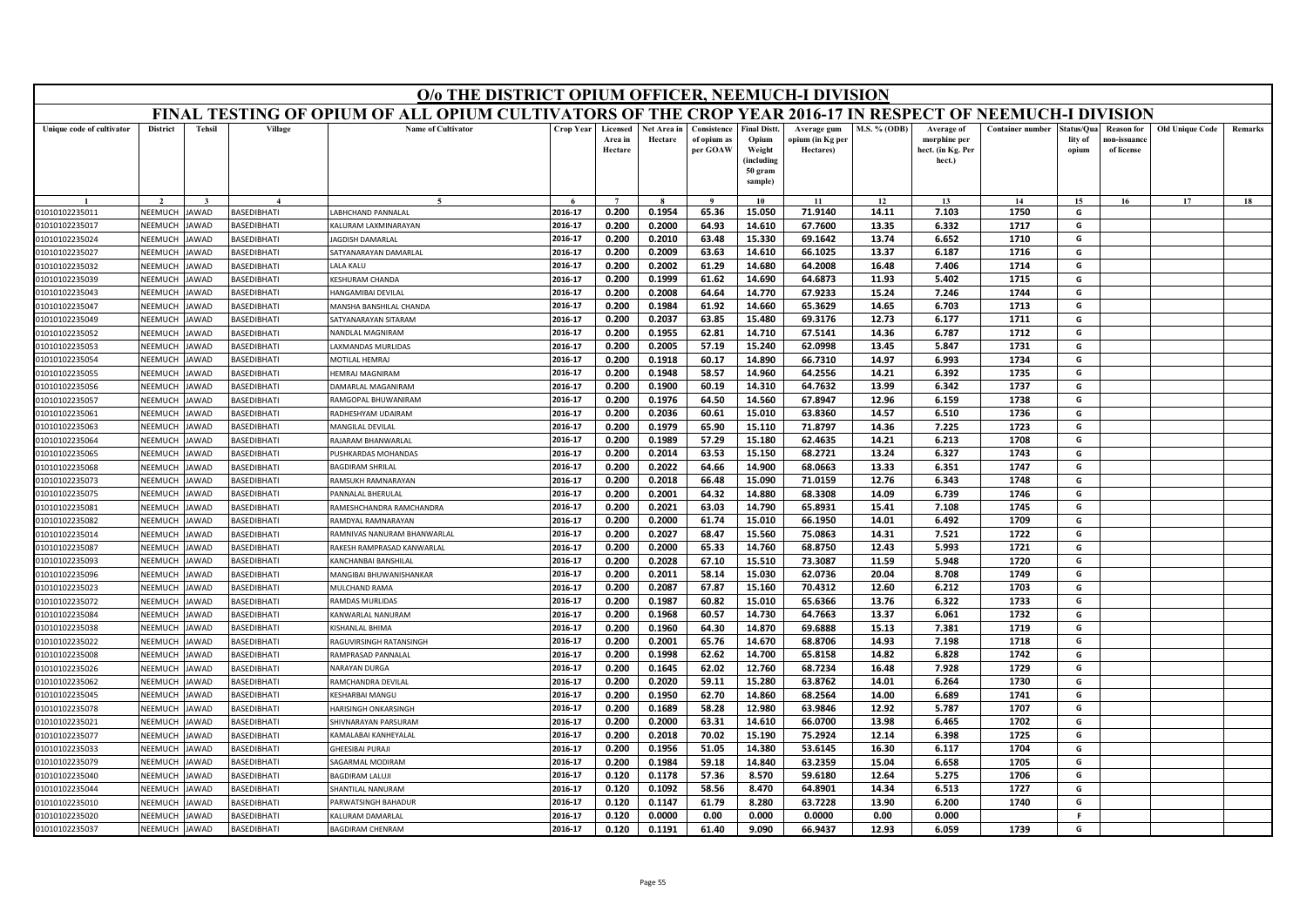| FINAL TESTING OF OPIUM OF ALL OPIUM CULTIVATORS OF THE CROP YEAR 2016-17 IN RESPECT OF NEEMUCH-I DIVISION<br><b>Name of Cultivator</b><br><b>District</b><br><b>Tehsil</b><br>Village<br>Crop Year<br><b>Final Distt.</b><br>M.S. % (ODB)<br><b>Container number</b><br>Old Unique Code<br>Unique code of cultivator<br>Licensed<br>Net Area in<br>Consistence<br>Average of<br>tatus/Qua<br><b>Reason for</b><br>Average gum<br>Area in<br>Hectare<br>of opium as<br>Opium<br>ppium (in Kg per<br>morphine per<br>lity of<br>10n-issuanc<br>Hectare<br>per GOAW<br>Weight<br>Hectares)<br>hect. (in Kg. Per<br>of license<br>opium<br>(including<br>hect.)<br>50 gram<br>sample)<br>14<br>15<br>17<br>$\bf{Q}$<br>10<br>11<br>12<br>13<br>16<br>2016-17<br>0.200<br>0.1954<br>65.36<br>15.050<br>71.9140<br>14.11<br>7.103<br>1750<br>G<br>NEEMUCH<br><b>BASEDIBHATI</b><br>ABHCHAND PANNALAL<br>01010102235011<br>JAWAD<br>2016-17<br>0.200<br>0.2000<br>64.93<br>14.610<br>67.7600<br>13.35<br>6.332<br>1717<br>G<br>01010102235017<br>NEEMUCH<br>AWAD<br><b>ASEDIBHATI</b><br>ALURAM LAXMINARAYAN<br>NEEMUCH<br>2016-17<br>0.200<br>0.2010<br>63.48<br>15.330<br>69.1642<br>13.74<br>6.652<br>1710<br>G<br>01010102235024<br><b>AWAD</b><br><b>BASEDIBHATI</b><br><b>AGDISH DAMARLAL</b><br><b>NEEMUCH</b><br>AWAD<br>BASEDIBHATI<br><b>ATYANARAYAN DAMARLAL</b><br>2016-17<br>0.200<br>0.2009<br>63.63<br>14.610<br>66.1025<br>13.37<br>6.187<br>1716<br>G<br>01010102235027<br>64.2008<br>2016-17<br>0.200<br>0.2002<br>61.29<br>14.680<br>16.48<br>7.406<br>1714<br>G<br>NEEMUCH<br>01010102235032<br>AWAD<br><b>BASEDIBHATI</b><br>ALA KALU<br>61.62<br>64.6873<br>11.93<br>5.402<br>1715<br>2016-17<br>0.200<br>0.1999<br>14.690<br>G<br>01010102235039<br>NEEMUCH<br>AWAD<br><b>BASEDIBHATI</b><br>KESHURAM CHANDA<br>0.2008<br>64.64<br>14.770<br>67.9233<br>7.246<br>1744<br>01010102235043<br>NEEMUCH<br><b>AWAD</b><br>BASEDIBHATI<br>2016-17<br>0.200<br>15.24<br>G<br>HANGAMIBAI DEVILAL<br>2016-17<br>0.200<br>0.1984<br>61.92<br>14.660<br>65.3629<br>14.65<br>6.703<br>1713<br>G<br>01010102235047<br>NEEMUCH<br><b>BASEDIBHATI</b><br><b>AWAD</b><br><b>MANSHA BANSHILAL CHANDA</b><br>2016-17<br>63.85<br>15.480<br>69.3176<br>12.73<br>1711<br>NEEMUCH<br>0.200<br>0.2037<br>6.177<br>G<br>01010102235049<br><b>AWAD</b><br><b>BASEDIBHATI</b><br>ATYANARAYAN SITARAM<br>2016-17<br>0.200<br>0.1955<br>62.81<br>14.710<br>67.5141<br>14.36<br>6.787<br>1712<br>G<br>01010102235052<br>NEEMUCH<br><b>AWAD</b><br>BASEDIBHATI<br>NANDLAL MAGNIRAM<br>2016-17<br>0.200<br>0.2005<br>57.19<br>15.240<br>62.0998<br>13.45<br>5.847<br>1731<br>G<br>NEEMUCH<br>01010102235053<br>AWAD<br><b>BASEDIBHATI</b><br>AXMANDAS MURLIDAS<br>2016-17<br>0.200<br>0.1918<br>60.17<br>14.890<br>66.7310<br>14.97<br>6.993<br>1734<br>NEEMUCH<br>G<br>01010102235054<br>AWAD<br><b>BASEDIBHATI</b><br><b><i>AOTILAL HEMRAJ</i></b><br>NEEMUCH<br>0.200<br>0.1948<br>58.57<br>14.960<br>64.2556<br>1735<br>G<br>01010102235055<br>AWAD<br><b>BASEDIBHATI</b><br><b>HEMRAJ MAGNIRAM</b><br>2016-17<br>14.21<br>6.392<br>60.19<br>64.7632<br>6.342<br>G<br>01010102235056<br>NEEMUCH<br>AWAD<br>BASEDIBHATI<br>2016-17<br>0.200<br>0.1900<br>14.310<br>13.99<br>1737<br>AMARLAL MAGANIRAM<br>NEEMUCH<br>1738<br>01010102235057<br><b>BASEDIBHATI</b><br>2016-17<br>0.200<br>0.1976<br>64.50<br>14.560<br>67.8947<br>12.96<br>6.159<br>G<br>AWAD<br>AMGOPAL BHUWANIRAM<br>NEEMUCH<br>AWAD<br><b>BASEDIBHATI</b><br>2016-17<br>0.200<br>0.2036<br>60.61<br>15.010<br>63.8360<br>14.57<br>6.510<br>1736<br>G<br>01010102235061<br>RADHESHYAM UDAIRAM<br>01010102235063<br>NEEMUCH<br><b>AWAD</b><br>BASEDIBHATI<br>2016-17<br>0.200<br>0.1979<br>65.90<br>15.110<br>71.8797<br>14.36<br>7.225<br>1723<br>G<br>MANGILAL DEVILAL<br>NEEMUCH<br>2016-17<br>0.200<br>0.1989<br>57.29<br>15.180<br>62.4635<br>14.21<br>6.213<br>1708<br>G<br>01010102235064<br>AWAD<br><b>BASEDIBHATI</b><br><b>RAJARAM BHANWARLA</b><br>NEEMUCH<br>2016-17<br>0.200<br>0.2014<br>63.53<br>15.150<br>68.2721<br>13.24<br>6.327<br>1743<br>G<br>01010102235065<br><b>AWAD</b><br><b>BASEDIBHATI</b><br>USHKARDAS MOHANDAS<br><b>BAGDIRAM SHRILAL</b><br>2016-17<br>0.200<br>0.2022<br>64.66<br>14.900<br>68.0663<br>13.33<br>6.351<br>1747<br>G<br>01010102235068<br>NEEMUCH<br>AWAD<br><b>BASEDIBHATI</b><br>0.2018<br>66.48<br>12.76<br>1748<br>NEEMUCH<br>2016-17<br>0.200<br>15.090<br>71.0159<br>6.343<br>G<br><b>BASEDIBHATI</b><br>RAMSUKH RAMNARAYAN<br>01010102235073<br>AWAD<br>NEEMUCH<br>2016-17<br>0.200<br>0.2001<br>64.32<br>14.880<br>68.3308<br>14.09<br>6.739<br>1746<br>G<br>01010102235075<br>AWAD<br><b>BASEDIBHATI</b><br>ANNALAL BHERULAL<br>2016-17<br>65.8931<br>1745<br>G<br>RAMESHCHANDRA RAMCHANDRA<br>0.200<br>0.2021<br>63.03<br>14.790<br>15.41<br>7.108<br>01010102235081<br>NEEMUCH<br>AWAD<br><b>BASEDIBHATI</b><br>2016-17<br>0.200<br>0.2000<br>61.74<br>15.010<br>66.1950<br>14.01<br>6.492<br>1709<br>G<br>NEEMUCH<br>01010102235082<br>AWAD<br><b>BASEDIBHATI</b><br><b>RAMDYAL RAMNARAYAN</b><br>2016-17<br>0.200<br>0.2027<br>68.47<br>15.560<br>75.0863<br>7.521<br>1722<br>G<br>NEEMUCH<br>AWAD<br><b>BASEDIBHATI</b><br>14.31<br>01010102235014<br>RAMNIVAS NANURAM BHANWARLAL<br>2016-17<br>0.200<br>0.2000<br>65.33<br>14.760<br>68.8750<br>12.43<br>5.993<br>1721<br>G<br>01010102235087<br>NEEMUCH<br><b>AWAD</b><br><b>BASEDIBHATI</b><br>RAKESH RAMPRASAD KANWARLAL<br>2016-17<br>0.200<br>0.2028<br>67.10<br>15.510<br>73.3087<br>11.59<br>5.948<br>1720<br>G<br><b>NEEMUCH</b><br><b>BASEDIBHATI</b><br>01010102235093<br>AWAD<br>KANCHANBAI BANSHILA<br>58.14<br>2016-17<br>0.200<br>0.2011<br>15.030<br>62.0736<br>20.04<br>8.708<br>1749<br>G<br>01010102235096<br>NEEMUCH<br>AWAD<br><b>BASEDIBHATI</b><br><b>MANGIBAI BHUWANISHANKAR</b><br>NEEMUCH<br>2016-17<br>0.200<br>0.2087<br>67.87<br>15.160<br>70.4312<br>12.60<br>6.212<br>1703<br>G<br>01010102235023<br>AWAD<br><b>BASEDIBHATI</b><br>MULCHAND RAMA<br><b>NEEMUCH</b><br>2016-17<br>0.200<br>0.1987<br>60.82<br>15.010<br>65.6366<br>13.76<br>6.322<br>1733<br>G<br>01010102235072<br>AWAD<br>BASEDIBHATI<br>RAMDAS MURLIDAS<br>NEEMUCH<br><b>BASEDIBHATI</b><br>2016-17<br>60.57<br>1732<br>G<br>01010102235084<br>AWAD<br>ANWARLAL NANURAM<br>0.200<br>0.1968<br>14.730<br>64.7663<br>13.37<br>6.061<br>01010102235038<br>NEEMUCH<br>AWAD<br><b>BASEDIBHATI</b><br>2016-17<br>0.200<br>0.1960<br>64.30<br>14.870<br>69.6888<br>15.13<br>7.381<br>1719<br>G<br><b>ISHANLAL BHIMA</b><br>NEEMUCH<br>AWAD<br>2016-17<br>0.200<br>0.2001<br>65.76<br>14.670<br>68.8706<br>14.93<br>7.198<br>1718<br>G<br>01010102235022<br>BASEDIBHATI<br>RAGUVIRSINGH RATANSINGH<br>62.62<br>NEEMUCH<br><b>BASEDIBHATI</b><br>2016-17<br>0.200<br>0.1998<br>14.700<br>65.8158<br>14.82<br>6.828<br>1742<br>G<br>01010102235008<br>AWAD<br>RAMPRASAD PANNALAL<br>01010102235026<br>NEEMUCH<br>AWAD<br><b>BASEDIBHATI</b><br><b>JARAYAN DURGA</b><br>2016-17<br>0.200<br>0.1645<br>62.02<br>12.760<br>68.7234<br>16.48<br>7.928<br>1729<br>G<br>01010102235062<br>NEEMUCH<br><b>AWAD</b><br><b>BASEDIBHATI</b><br>2016-17<br>0.200<br>0.2020<br>59.11<br>15.280<br>63.8762<br>14.01<br>6.264<br>1730<br>G<br>RAMCHANDRA DEVILAL<br>68.2564<br>2016-17<br>0.1950<br>62.70<br>14.860<br>6.689<br>1741<br>NEEMUCH<br>ESHARBAI MANGU<br>0.200<br>14.00<br>G<br>01010102235045<br>AWAD<br><b>BASEDIBHATI</b><br>G<br>NEEMUCH<br><b>ARISINGH ONKARSINGH</b><br>2016-17<br>0.200<br>0.1689<br>58.28<br>12.980<br>63.9846<br>12.92<br>5.787<br>1707<br>01010102235078<br><b>AWAD</b><br><b>ASEDIBHATI</b><br>2016-17<br>1702<br>G<br>NEEMUCH<br>0.200<br>0.2000<br>63.31<br>14.610<br>66.0700<br>13.98<br>6.465<br>01010102235021<br>AWAD<br><b>BASEDIBHATI</b><br><b>HIVNARAYAN PARSURAM</b><br>2016-17<br>75.2924<br>0.200<br>0.2018<br>70.02<br>15.190<br>12.14<br>6.398<br>1725<br>G<br>NEEMUCH<br><b>BASEDIBHATI</b><br>AMALABAI KANHEYALAL<br>01010102235077<br>AWAD<br>2016-17<br>0.200<br>0.1956<br>51.05<br>14.380<br>53.6145<br>1704<br>G<br>NEEMUCH<br><b>AWAD</b><br>ASEDIBHATI<br><b>HEESIBAI PURAJI</b><br>16.30<br>6.117<br>01010102235033<br>2016-17<br>0.200<br>0.1984<br>59.18<br>14.840<br>63.2359<br>15.04<br>6.658<br>1705<br>G<br><b>NFFMUCH</b><br>AWAD<br><b>BASEDIBHAT</b><br>01010102235079<br>AGARMAL MODIRAM<br>2016-17<br>0.120<br>0.1178<br>57.36<br>8.570<br>59.6180<br>12.64<br>5.275<br>1706<br>G<br>NEEMUCH<br><b>BASEDIBHATI</b><br>01010102235040<br><b>AWAD</b><br><b>AGDIRAM LALUJI</b><br>0.120<br>58.56<br>8.470<br>64.8901<br>6.513<br>1727<br>NEEMUCH<br>2016-17<br>0.1092<br>14.34<br>G<br>01010102235044<br><b>AWAD</b><br><b>BASEDIBHATI</b><br>HANTILAL NANURAM<br>2016-17<br>0.120<br>0.1147<br>61.79<br>8.280<br>63.7228<br>13.90<br>6.200<br>1740<br>G<br>01010102235010<br>NEEMUCH<br>AWAD<br><b>BASEDIBHAT</b><br>ARWATSINGH BAHADUR<br>2016-17<br>0.120<br>0.0000<br>0.00<br>0.000<br>0.0000<br>0.00<br>0.000<br>F.<br>01010102235020<br>NEEMUCH<br><b>BASEDIBHATI</b><br>JAWAD<br><b>ALURAM DAMARLAL</b> | O/o THE DISTRICT OPIUM OFFICER, NEEMUCH-I DIVISION |  |  |  |         |       |        |       |       |         |       |       |      |   |  |         |
|---------------------------------------------------------------------------------------------------------------------------------------------------------------------------------------------------------------------------------------------------------------------------------------------------------------------------------------------------------------------------------------------------------------------------------------------------------------------------------------------------------------------------------------------------------------------------------------------------------------------------------------------------------------------------------------------------------------------------------------------------------------------------------------------------------------------------------------------------------------------------------------------------------------------------------------------------------------------------------------------------------------------------------------------------------------------------------------------------------------------------------------------------------------------------------------------------------------------------------------------------------------------------------------------------------------------------------------------------------------------------------------------------------------------------------------------------------------------------------------------------------------------------------------------------------------------------------------------------------------------------------------------------------------------------------------------------------------------------------------------------------------------------------------------------------------------------------------------------------------------------------------------------------------------------------------------------------------------------------------------------------------------------------------------------------------------------------------------------------------------------------------------------------------------------------------------------------------------------------------------------------------------------------------------------------------------------------------------------------------------------------------------------------------------------------------------------------------------------------------------------------------------------------------------------------------------------------------------------------------------------------------------------------------------------------------------------------------------------------------------------------------------------------------------------------------------------------------------------------------------------------------------------------------------------------------------------------------------------------------------------------------------------------------------------------------------------------------------------------------------------------------------------------------------------------------------------------------------------------------------------------------------------------------------------------------------------------------------------------------------------------------------------------------------------------------------------------------------------------------------------------------------------------------------------------------------------------------------------------------------------------------------------------------------------------------------------------------------------------------------------------------------------------------------------------------------------------------------------------------------------------------------------------------------------------------------------------------------------------------------------------------------------------------------------------------------------------------------------------------------------------------------------------------------------------------------------------------------------------------------------------------------------------------------------------------------------------------------------------------------------------------------------------------------------------------------------------------------------------------------------------------------------------------------------------------------------------------------------------------------------------------------------------------------------------------------------------------------------------------------------------------------------------------------------------------------------------------------------------------------------------------------------------------------------------------------------------------------------------------------------------------------------------------------------------------------------------------------------------------------------------------------------------------------------------------------------------------------------------------------------------------------------------------------------------------------------------------------------------------------------------------------------------------------------------------------------------------------------------------------------------------------------------------------------------------------------------------------------------------------------------------------------------------------------------------------------------------------------------------------------------------------------------------------------------------------------------------------------------------------------------------------------------------------------------------------------------------------------------------------------------------------------------------------------------------------------------------------------------------------------------------------------------------------------------------------------------------------------------------------------------------------------------------------------------------------------------------------------------------------------------------------------------------------------------------------------------------------------------------------------------------------------------------------------------------------------------------------------------------------------------------------------------------------------------------------------------------------------------------------------------------------------------------------------------------------------------------------------------------------------------------------------------------------------------------------------------------------------------------------------------------------------------------------------------------------------------------------------------------------------------------------------------------------------------------------------------------------------------------------------------------------------------------------------------------------------------------------------------------------------------------------------------------------------------------------------------------------------------------------------------------------------------------------------------------------------------------------------------------------------------------------------------------------------------------------------------------------------------------------------------------------------------------------------------------------------------------------------------------------------------------------------------------------------------------------------------------------------------------------------------------------------------------------------------------------------------------------------------------------------------------------------------------------------------------------------------------------------------------------------------------------------------------------------------------------------------------------------------------------------------------------------------------------------------------------------------------------------------------------------------------------------------------------------------------------------------------------------------------------------------------------------------------------------------------------------------------------------------------------------------------------------------------------------------------------------------------------------------------------------------------------------------------------------------------------------------------------------------------------------------------------------------------------------------------------------------------------------------------------------------|----------------------------------------------------|--|--|--|---------|-------|--------|-------|-------|---------|-------|-------|------|---|--|---------|
|                                                                                                                                                                                                                                                                                                                                                                                                                                                                                                                                                                                                                                                                                                                                                                                                                                                                                                                                                                                                                                                                                                                                                                                                                                                                                                                                                                                                                                                                                                                                                                                                                                                                                                                                                                                                                                                                                                                                                                                                                                                                                                                                                                                                                                                                                                                                                                                                                                                                                                                                                                                                                                                                                                                                                                                                                                                                                                                                                                                                                                                                                                                                                                                                                                                                                                                                                                                                                                                                                                                                                                                                                                                                                                                                                                                                                                                                                                                                                                                                                                                                                                                                                                                                                                                                                                                                                                                                                                                                                                                                                                                                                                                                                                                                                                                                                                                                                                                                                                                                                                                                                                                                                                                                                                                                                                                                                                                                                                                                                                                                                                                                                                                                                                                                                                                                                                                                                                                                                                                                                                                                                                                                                                                                                                                                                                                                                                                                                                                                                                                                                                                                                                                                                                                                                                                                                                                                                                                                                                                                                                                                                                                                                                                                                                                                                                                                                                                                                                                                                                                                                                                                                                                                                                                                                                                                                                                                                                                                                                                                                                                                                                                                                                                                                                                                                                                                                                                                                                                                                                                                                                                                                                                                                                                                                                                                                                                                                                                                                                                                                                                                                                                                 |                                                    |  |  |  |         |       |        |       |       |         |       |       |      |   |  |         |
|                                                                                                                                                                                                                                                                                                                                                                                                                                                                                                                                                                                                                                                                                                                                                                                                                                                                                                                                                                                                                                                                                                                                                                                                                                                                                                                                                                                                                                                                                                                                                                                                                                                                                                                                                                                                                                                                                                                                                                                                                                                                                                                                                                                                                                                                                                                                                                                                                                                                                                                                                                                                                                                                                                                                                                                                                                                                                                                                                                                                                                                                                                                                                                                                                                                                                                                                                                                                                                                                                                                                                                                                                                                                                                                                                                                                                                                                                                                                                                                                                                                                                                                                                                                                                                                                                                                                                                                                                                                                                                                                                                                                                                                                                                                                                                                                                                                                                                                                                                                                                                                                                                                                                                                                                                                                                                                                                                                                                                                                                                                                                                                                                                                                                                                                                                                                                                                                                                                                                                                                                                                                                                                                                                                                                                                                                                                                                                                                                                                                                                                                                                                                                                                                                                                                                                                                                                                                                                                                                                                                                                                                                                                                                                                                                                                                                                                                                                                                                                                                                                                                                                                                                                                                                                                                                                                                                                                                                                                                                                                                                                                                                                                                                                                                                                                                                                                                                                                                                                                                                                                                                                                                                                                                                                                                                                                                                                                                                                                                                                                                                                                                                                                                 |                                                    |  |  |  |         |       |        |       |       |         |       |       |      |   |  | Remarks |
|                                                                                                                                                                                                                                                                                                                                                                                                                                                                                                                                                                                                                                                                                                                                                                                                                                                                                                                                                                                                                                                                                                                                                                                                                                                                                                                                                                                                                                                                                                                                                                                                                                                                                                                                                                                                                                                                                                                                                                                                                                                                                                                                                                                                                                                                                                                                                                                                                                                                                                                                                                                                                                                                                                                                                                                                                                                                                                                                                                                                                                                                                                                                                                                                                                                                                                                                                                                                                                                                                                                                                                                                                                                                                                                                                                                                                                                                                                                                                                                                                                                                                                                                                                                                                                                                                                                                                                                                                                                                                                                                                                                                                                                                                                                                                                                                                                                                                                                                                                                                                                                                                                                                                                                                                                                                                                                                                                                                                                                                                                                                                                                                                                                                                                                                                                                                                                                                                                                                                                                                                                                                                                                                                                                                                                                                                                                                                                                                                                                                                                                                                                                                                                                                                                                                                                                                                                                                                                                                                                                                                                                                                                                                                                                                                                                                                                                                                                                                                                                                                                                                                                                                                                                                                                                                                                                                                                                                                                                                                                                                                                                                                                                                                                                                                                                                                                                                                                                                                                                                                                                                                                                                                                                                                                                                                                                                                                                                                                                                                                                                                                                                                                                                 |                                                    |  |  |  |         |       |        |       |       |         |       |       |      |   |  | 18      |
|                                                                                                                                                                                                                                                                                                                                                                                                                                                                                                                                                                                                                                                                                                                                                                                                                                                                                                                                                                                                                                                                                                                                                                                                                                                                                                                                                                                                                                                                                                                                                                                                                                                                                                                                                                                                                                                                                                                                                                                                                                                                                                                                                                                                                                                                                                                                                                                                                                                                                                                                                                                                                                                                                                                                                                                                                                                                                                                                                                                                                                                                                                                                                                                                                                                                                                                                                                                                                                                                                                                                                                                                                                                                                                                                                                                                                                                                                                                                                                                                                                                                                                                                                                                                                                                                                                                                                                                                                                                                                                                                                                                                                                                                                                                                                                                                                                                                                                                                                                                                                                                                                                                                                                                                                                                                                                                                                                                                                                                                                                                                                                                                                                                                                                                                                                                                                                                                                                                                                                                                                                                                                                                                                                                                                                                                                                                                                                                                                                                                                                                                                                                                                                                                                                                                                                                                                                                                                                                                                                                                                                                                                                                                                                                                                                                                                                                                                                                                                                                                                                                                                                                                                                                                                                                                                                                                                                                                                                                                                                                                                                                                                                                                                                                                                                                                                                                                                                                                                                                                                                                                                                                                                                                                                                                                                                                                                                                                                                                                                                                                                                                                                                                                 |                                                    |  |  |  |         |       |        |       |       |         |       |       |      |   |  |         |
|                                                                                                                                                                                                                                                                                                                                                                                                                                                                                                                                                                                                                                                                                                                                                                                                                                                                                                                                                                                                                                                                                                                                                                                                                                                                                                                                                                                                                                                                                                                                                                                                                                                                                                                                                                                                                                                                                                                                                                                                                                                                                                                                                                                                                                                                                                                                                                                                                                                                                                                                                                                                                                                                                                                                                                                                                                                                                                                                                                                                                                                                                                                                                                                                                                                                                                                                                                                                                                                                                                                                                                                                                                                                                                                                                                                                                                                                                                                                                                                                                                                                                                                                                                                                                                                                                                                                                                                                                                                                                                                                                                                                                                                                                                                                                                                                                                                                                                                                                                                                                                                                                                                                                                                                                                                                                                                                                                                                                                                                                                                                                                                                                                                                                                                                                                                                                                                                                                                                                                                                                                                                                                                                                                                                                                                                                                                                                                                                                                                                                                                                                                                                                                                                                                                                                                                                                                                                                                                                                                                                                                                                                                                                                                                                                                                                                                                                                                                                                                                                                                                                                                                                                                                                                                                                                                                                                                                                                                                                                                                                                                                                                                                                                                                                                                                                                                                                                                                                                                                                                                                                                                                                                                                                                                                                                                                                                                                                                                                                                                                                                                                                                                                                 |                                                    |  |  |  |         |       |        |       |       |         |       |       |      |   |  |         |
|                                                                                                                                                                                                                                                                                                                                                                                                                                                                                                                                                                                                                                                                                                                                                                                                                                                                                                                                                                                                                                                                                                                                                                                                                                                                                                                                                                                                                                                                                                                                                                                                                                                                                                                                                                                                                                                                                                                                                                                                                                                                                                                                                                                                                                                                                                                                                                                                                                                                                                                                                                                                                                                                                                                                                                                                                                                                                                                                                                                                                                                                                                                                                                                                                                                                                                                                                                                                                                                                                                                                                                                                                                                                                                                                                                                                                                                                                                                                                                                                                                                                                                                                                                                                                                                                                                                                                                                                                                                                                                                                                                                                                                                                                                                                                                                                                                                                                                                                                                                                                                                                                                                                                                                                                                                                                                                                                                                                                                                                                                                                                                                                                                                                                                                                                                                                                                                                                                                                                                                                                                                                                                                                                                                                                                                                                                                                                                                                                                                                                                                                                                                                                                                                                                                                                                                                                                                                                                                                                                                                                                                                                                                                                                                                                                                                                                                                                                                                                                                                                                                                                                                                                                                                                                                                                                                                                                                                                                                                                                                                                                                                                                                                                                                                                                                                                                                                                                                                                                                                                                                                                                                                                                                                                                                                                                                                                                                                                                                                                                                                                                                                                                                                 |                                                    |  |  |  |         |       |        |       |       |         |       |       |      |   |  |         |
|                                                                                                                                                                                                                                                                                                                                                                                                                                                                                                                                                                                                                                                                                                                                                                                                                                                                                                                                                                                                                                                                                                                                                                                                                                                                                                                                                                                                                                                                                                                                                                                                                                                                                                                                                                                                                                                                                                                                                                                                                                                                                                                                                                                                                                                                                                                                                                                                                                                                                                                                                                                                                                                                                                                                                                                                                                                                                                                                                                                                                                                                                                                                                                                                                                                                                                                                                                                                                                                                                                                                                                                                                                                                                                                                                                                                                                                                                                                                                                                                                                                                                                                                                                                                                                                                                                                                                                                                                                                                                                                                                                                                                                                                                                                                                                                                                                                                                                                                                                                                                                                                                                                                                                                                                                                                                                                                                                                                                                                                                                                                                                                                                                                                                                                                                                                                                                                                                                                                                                                                                                                                                                                                                                                                                                                                                                                                                                                                                                                                                                                                                                                                                                                                                                                                                                                                                                                                                                                                                                                                                                                                                                                                                                                                                                                                                                                                                                                                                                                                                                                                                                                                                                                                                                                                                                                                                                                                                                                                                                                                                                                                                                                                                                                                                                                                                                                                                                                                                                                                                                                                                                                                                                                                                                                                                                                                                                                                                                                                                                                                                                                                                                                                 |                                                    |  |  |  |         |       |        |       |       |         |       |       |      |   |  |         |
|                                                                                                                                                                                                                                                                                                                                                                                                                                                                                                                                                                                                                                                                                                                                                                                                                                                                                                                                                                                                                                                                                                                                                                                                                                                                                                                                                                                                                                                                                                                                                                                                                                                                                                                                                                                                                                                                                                                                                                                                                                                                                                                                                                                                                                                                                                                                                                                                                                                                                                                                                                                                                                                                                                                                                                                                                                                                                                                                                                                                                                                                                                                                                                                                                                                                                                                                                                                                                                                                                                                                                                                                                                                                                                                                                                                                                                                                                                                                                                                                                                                                                                                                                                                                                                                                                                                                                                                                                                                                                                                                                                                                                                                                                                                                                                                                                                                                                                                                                                                                                                                                                                                                                                                                                                                                                                                                                                                                                                                                                                                                                                                                                                                                                                                                                                                                                                                                                                                                                                                                                                                                                                                                                                                                                                                                                                                                                                                                                                                                                                                                                                                                                                                                                                                                                                                                                                                                                                                                                                                                                                                                                                                                                                                                                                                                                                                                                                                                                                                                                                                                                                                                                                                                                                                                                                                                                                                                                                                                                                                                                                                                                                                                                                                                                                                                                                                                                                                                                                                                                                                                                                                                                                                                                                                                                                                                                                                                                                                                                                                                                                                                                                                                 |                                                    |  |  |  |         |       |        |       |       |         |       |       |      |   |  |         |
|                                                                                                                                                                                                                                                                                                                                                                                                                                                                                                                                                                                                                                                                                                                                                                                                                                                                                                                                                                                                                                                                                                                                                                                                                                                                                                                                                                                                                                                                                                                                                                                                                                                                                                                                                                                                                                                                                                                                                                                                                                                                                                                                                                                                                                                                                                                                                                                                                                                                                                                                                                                                                                                                                                                                                                                                                                                                                                                                                                                                                                                                                                                                                                                                                                                                                                                                                                                                                                                                                                                                                                                                                                                                                                                                                                                                                                                                                                                                                                                                                                                                                                                                                                                                                                                                                                                                                                                                                                                                                                                                                                                                                                                                                                                                                                                                                                                                                                                                                                                                                                                                                                                                                                                                                                                                                                                                                                                                                                                                                                                                                                                                                                                                                                                                                                                                                                                                                                                                                                                                                                                                                                                                                                                                                                                                                                                                                                                                                                                                                                                                                                                                                                                                                                                                                                                                                                                                                                                                                                                                                                                                                                                                                                                                                                                                                                                                                                                                                                                                                                                                                                                                                                                                                                                                                                                                                                                                                                                                                                                                                                                                                                                                                                                                                                                                                                                                                                                                                                                                                                                                                                                                                                                                                                                                                                                                                                                                                                                                                                                                                                                                                                                                 |                                                    |  |  |  |         |       |        |       |       |         |       |       |      |   |  |         |
|                                                                                                                                                                                                                                                                                                                                                                                                                                                                                                                                                                                                                                                                                                                                                                                                                                                                                                                                                                                                                                                                                                                                                                                                                                                                                                                                                                                                                                                                                                                                                                                                                                                                                                                                                                                                                                                                                                                                                                                                                                                                                                                                                                                                                                                                                                                                                                                                                                                                                                                                                                                                                                                                                                                                                                                                                                                                                                                                                                                                                                                                                                                                                                                                                                                                                                                                                                                                                                                                                                                                                                                                                                                                                                                                                                                                                                                                                                                                                                                                                                                                                                                                                                                                                                                                                                                                                                                                                                                                                                                                                                                                                                                                                                                                                                                                                                                                                                                                                                                                                                                                                                                                                                                                                                                                                                                                                                                                                                                                                                                                                                                                                                                                                                                                                                                                                                                                                                                                                                                                                                                                                                                                                                                                                                                                                                                                                                                                                                                                                                                                                                                                                                                                                                                                                                                                                                                                                                                                                                                                                                                                                                                                                                                                                                                                                                                                                                                                                                                                                                                                                                                                                                                                                                                                                                                                                                                                                                                                                                                                                                                                                                                                                                                                                                                                                                                                                                                                                                                                                                                                                                                                                                                                                                                                                                                                                                                                                                                                                                                                                                                                                                                                 |                                                    |  |  |  |         |       |        |       |       |         |       |       |      |   |  |         |
|                                                                                                                                                                                                                                                                                                                                                                                                                                                                                                                                                                                                                                                                                                                                                                                                                                                                                                                                                                                                                                                                                                                                                                                                                                                                                                                                                                                                                                                                                                                                                                                                                                                                                                                                                                                                                                                                                                                                                                                                                                                                                                                                                                                                                                                                                                                                                                                                                                                                                                                                                                                                                                                                                                                                                                                                                                                                                                                                                                                                                                                                                                                                                                                                                                                                                                                                                                                                                                                                                                                                                                                                                                                                                                                                                                                                                                                                                                                                                                                                                                                                                                                                                                                                                                                                                                                                                                                                                                                                                                                                                                                                                                                                                                                                                                                                                                                                                                                                                                                                                                                                                                                                                                                                                                                                                                                                                                                                                                                                                                                                                                                                                                                                                                                                                                                                                                                                                                                                                                                                                                                                                                                                                                                                                                                                                                                                                                                                                                                                                                                                                                                                                                                                                                                                                                                                                                                                                                                                                                                                                                                                                                                                                                                                                                                                                                                                                                                                                                                                                                                                                                                                                                                                                                                                                                                                                                                                                                                                                                                                                                                                                                                                                                                                                                                                                                                                                                                                                                                                                                                                                                                                                                                                                                                                                                                                                                                                                                                                                                                                                                                                                                                                 |                                                    |  |  |  |         |       |        |       |       |         |       |       |      |   |  |         |
|                                                                                                                                                                                                                                                                                                                                                                                                                                                                                                                                                                                                                                                                                                                                                                                                                                                                                                                                                                                                                                                                                                                                                                                                                                                                                                                                                                                                                                                                                                                                                                                                                                                                                                                                                                                                                                                                                                                                                                                                                                                                                                                                                                                                                                                                                                                                                                                                                                                                                                                                                                                                                                                                                                                                                                                                                                                                                                                                                                                                                                                                                                                                                                                                                                                                                                                                                                                                                                                                                                                                                                                                                                                                                                                                                                                                                                                                                                                                                                                                                                                                                                                                                                                                                                                                                                                                                                                                                                                                                                                                                                                                                                                                                                                                                                                                                                                                                                                                                                                                                                                                                                                                                                                                                                                                                                                                                                                                                                                                                                                                                                                                                                                                                                                                                                                                                                                                                                                                                                                                                                                                                                                                                                                                                                                                                                                                                                                                                                                                                                                                                                                                                                                                                                                                                                                                                                                                                                                                                                                                                                                                                                                                                                                                                                                                                                                                                                                                                                                                                                                                                                                                                                                                                                                                                                                                                                                                                                                                                                                                                                                                                                                                                                                                                                                                                                                                                                                                                                                                                                                                                                                                                                                                                                                                                                                                                                                                                                                                                                                                                                                                                                                                 |                                                    |  |  |  |         |       |        |       |       |         |       |       |      |   |  |         |
|                                                                                                                                                                                                                                                                                                                                                                                                                                                                                                                                                                                                                                                                                                                                                                                                                                                                                                                                                                                                                                                                                                                                                                                                                                                                                                                                                                                                                                                                                                                                                                                                                                                                                                                                                                                                                                                                                                                                                                                                                                                                                                                                                                                                                                                                                                                                                                                                                                                                                                                                                                                                                                                                                                                                                                                                                                                                                                                                                                                                                                                                                                                                                                                                                                                                                                                                                                                                                                                                                                                                                                                                                                                                                                                                                                                                                                                                                                                                                                                                                                                                                                                                                                                                                                                                                                                                                                                                                                                                                                                                                                                                                                                                                                                                                                                                                                                                                                                                                                                                                                                                                                                                                                                                                                                                                                                                                                                                                                                                                                                                                                                                                                                                                                                                                                                                                                                                                                                                                                                                                                                                                                                                                                                                                                                                                                                                                                                                                                                                                                                                                                                                                                                                                                                                                                                                                                                                                                                                                                                                                                                                                                                                                                                                                                                                                                                                                                                                                                                                                                                                                                                                                                                                                                                                                                                                                                                                                                                                                                                                                                                                                                                                                                                                                                                                                                                                                                                                                                                                                                                                                                                                                                                                                                                                                                                                                                                                                                                                                                                                                                                                                                                                 |                                                    |  |  |  |         |       |        |       |       |         |       |       |      |   |  |         |
|                                                                                                                                                                                                                                                                                                                                                                                                                                                                                                                                                                                                                                                                                                                                                                                                                                                                                                                                                                                                                                                                                                                                                                                                                                                                                                                                                                                                                                                                                                                                                                                                                                                                                                                                                                                                                                                                                                                                                                                                                                                                                                                                                                                                                                                                                                                                                                                                                                                                                                                                                                                                                                                                                                                                                                                                                                                                                                                                                                                                                                                                                                                                                                                                                                                                                                                                                                                                                                                                                                                                                                                                                                                                                                                                                                                                                                                                                                                                                                                                                                                                                                                                                                                                                                                                                                                                                                                                                                                                                                                                                                                                                                                                                                                                                                                                                                                                                                                                                                                                                                                                                                                                                                                                                                                                                                                                                                                                                                                                                                                                                                                                                                                                                                                                                                                                                                                                                                                                                                                                                                                                                                                                                                                                                                                                                                                                                                                                                                                                                                                                                                                                                                                                                                                                                                                                                                                                                                                                                                                                                                                                                                                                                                                                                                                                                                                                                                                                                                                                                                                                                                                                                                                                                                                                                                                                                                                                                                                                                                                                                                                                                                                                                                                                                                                                                                                                                                                                                                                                                                                                                                                                                                                                                                                                                                                                                                                                                                                                                                                                                                                                                                                                 |                                                    |  |  |  |         |       |        |       |       |         |       |       |      |   |  |         |
|                                                                                                                                                                                                                                                                                                                                                                                                                                                                                                                                                                                                                                                                                                                                                                                                                                                                                                                                                                                                                                                                                                                                                                                                                                                                                                                                                                                                                                                                                                                                                                                                                                                                                                                                                                                                                                                                                                                                                                                                                                                                                                                                                                                                                                                                                                                                                                                                                                                                                                                                                                                                                                                                                                                                                                                                                                                                                                                                                                                                                                                                                                                                                                                                                                                                                                                                                                                                                                                                                                                                                                                                                                                                                                                                                                                                                                                                                                                                                                                                                                                                                                                                                                                                                                                                                                                                                                                                                                                                                                                                                                                                                                                                                                                                                                                                                                                                                                                                                                                                                                                                                                                                                                                                                                                                                                                                                                                                                                                                                                                                                                                                                                                                                                                                                                                                                                                                                                                                                                                                                                                                                                                                                                                                                                                                                                                                                                                                                                                                                                                                                                                                                                                                                                                                                                                                                                                                                                                                                                                                                                                                                                                                                                                                                                                                                                                                                                                                                                                                                                                                                                                                                                                                                                                                                                                                                                                                                                                                                                                                                                                                                                                                                                                                                                                                                                                                                                                                                                                                                                                                                                                                                                                                                                                                                                                                                                                                                                                                                                                                                                                                                                                                 |                                                    |  |  |  |         |       |        |       |       |         |       |       |      |   |  |         |
|                                                                                                                                                                                                                                                                                                                                                                                                                                                                                                                                                                                                                                                                                                                                                                                                                                                                                                                                                                                                                                                                                                                                                                                                                                                                                                                                                                                                                                                                                                                                                                                                                                                                                                                                                                                                                                                                                                                                                                                                                                                                                                                                                                                                                                                                                                                                                                                                                                                                                                                                                                                                                                                                                                                                                                                                                                                                                                                                                                                                                                                                                                                                                                                                                                                                                                                                                                                                                                                                                                                                                                                                                                                                                                                                                                                                                                                                                                                                                                                                                                                                                                                                                                                                                                                                                                                                                                                                                                                                                                                                                                                                                                                                                                                                                                                                                                                                                                                                                                                                                                                                                                                                                                                                                                                                                                                                                                                                                                                                                                                                                                                                                                                                                                                                                                                                                                                                                                                                                                                                                                                                                                                                                                                                                                                                                                                                                                                                                                                                                                                                                                                                                                                                                                                                                                                                                                                                                                                                                                                                                                                                                                                                                                                                                                                                                                                                                                                                                                                                                                                                                                                                                                                                                                                                                                                                                                                                                                                                                                                                                                                                                                                                                                                                                                                                                                                                                                                                                                                                                                                                                                                                                                                                                                                                                                                                                                                                                                                                                                                                                                                                                                                                 |                                                    |  |  |  |         |       |        |       |       |         |       |       |      |   |  |         |
|                                                                                                                                                                                                                                                                                                                                                                                                                                                                                                                                                                                                                                                                                                                                                                                                                                                                                                                                                                                                                                                                                                                                                                                                                                                                                                                                                                                                                                                                                                                                                                                                                                                                                                                                                                                                                                                                                                                                                                                                                                                                                                                                                                                                                                                                                                                                                                                                                                                                                                                                                                                                                                                                                                                                                                                                                                                                                                                                                                                                                                                                                                                                                                                                                                                                                                                                                                                                                                                                                                                                                                                                                                                                                                                                                                                                                                                                                                                                                                                                                                                                                                                                                                                                                                                                                                                                                                                                                                                                                                                                                                                                                                                                                                                                                                                                                                                                                                                                                                                                                                                                                                                                                                                                                                                                                                                                                                                                                                                                                                                                                                                                                                                                                                                                                                                                                                                                                                                                                                                                                                                                                                                                                                                                                                                                                                                                                                                                                                                                                                                                                                                                                                                                                                                                                                                                                                                                                                                                                                                                                                                                                                                                                                                                                                                                                                                                                                                                                                                                                                                                                                                                                                                                                                                                                                                                                                                                                                                                                                                                                                                                                                                                                                                                                                                                                                                                                                                                                                                                                                                                                                                                                                                                                                                                                                                                                                                                                                                                                                                                                                                                                                                                 |                                                    |  |  |  |         |       |        |       |       |         |       |       |      |   |  |         |
|                                                                                                                                                                                                                                                                                                                                                                                                                                                                                                                                                                                                                                                                                                                                                                                                                                                                                                                                                                                                                                                                                                                                                                                                                                                                                                                                                                                                                                                                                                                                                                                                                                                                                                                                                                                                                                                                                                                                                                                                                                                                                                                                                                                                                                                                                                                                                                                                                                                                                                                                                                                                                                                                                                                                                                                                                                                                                                                                                                                                                                                                                                                                                                                                                                                                                                                                                                                                                                                                                                                                                                                                                                                                                                                                                                                                                                                                                                                                                                                                                                                                                                                                                                                                                                                                                                                                                                                                                                                                                                                                                                                                                                                                                                                                                                                                                                                                                                                                                                                                                                                                                                                                                                                                                                                                                                                                                                                                                                                                                                                                                                                                                                                                                                                                                                                                                                                                                                                                                                                                                                                                                                                                                                                                                                                                                                                                                                                                                                                                                                                                                                                                                                                                                                                                                                                                                                                                                                                                                                                                                                                                                                                                                                                                                                                                                                                                                                                                                                                                                                                                                                                                                                                                                                                                                                                                                                                                                                                                                                                                                                                                                                                                                                                                                                                                                                                                                                                                                                                                                                                                                                                                                                                                                                                                                                                                                                                                                                                                                                                                                                                                                                                                 |                                                    |  |  |  |         |       |        |       |       |         |       |       |      |   |  |         |
|                                                                                                                                                                                                                                                                                                                                                                                                                                                                                                                                                                                                                                                                                                                                                                                                                                                                                                                                                                                                                                                                                                                                                                                                                                                                                                                                                                                                                                                                                                                                                                                                                                                                                                                                                                                                                                                                                                                                                                                                                                                                                                                                                                                                                                                                                                                                                                                                                                                                                                                                                                                                                                                                                                                                                                                                                                                                                                                                                                                                                                                                                                                                                                                                                                                                                                                                                                                                                                                                                                                                                                                                                                                                                                                                                                                                                                                                                                                                                                                                                                                                                                                                                                                                                                                                                                                                                                                                                                                                                                                                                                                                                                                                                                                                                                                                                                                                                                                                                                                                                                                                                                                                                                                                                                                                                                                                                                                                                                                                                                                                                                                                                                                                                                                                                                                                                                                                                                                                                                                                                                                                                                                                                                                                                                                                                                                                                                                                                                                                                                                                                                                                                                                                                                                                                                                                                                                                                                                                                                                                                                                                                                                                                                                                                                                                                                                                                                                                                                                                                                                                                                                                                                                                                                                                                                                                                                                                                                                                                                                                                                                                                                                                                                                                                                                                                                                                                                                                                                                                                                                                                                                                                                                                                                                                                                                                                                                                                                                                                                                                                                                                                                                                 |                                                    |  |  |  |         |       |        |       |       |         |       |       |      |   |  |         |
|                                                                                                                                                                                                                                                                                                                                                                                                                                                                                                                                                                                                                                                                                                                                                                                                                                                                                                                                                                                                                                                                                                                                                                                                                                                                                                                                                                                                                                                                                                                                                                                                                                                                                                                                                                                                                                                                                                                                                                                                                                                                                                                                                                                                                                                                                                                                                                                                                                                                                                                                                                                                                                                                                                                                                                                                                                                                                                                                                                                                                                                                                                                                                                                                                                                                                                                                                                                                                                                                                                                                                                                                                                                                                                                                                                                                                                                                                                                                                                                                                                                                                                                                                                                                                                                                                                                                                                                                                                                                                                                                                                                                                                                                                                                                                                                                                                                                                                                                                                                                                                                                                                                                                                                                                                                                                                                                                                                                                                                                                                                                                                                                                                                                                                                                                                                                                                                                                                                                                                                                                                                                                                                                                                                                                                                                                                                                                                                                                                                                                                                                                                                                                                                                                                                                                                                                                                                                                                                                                                                                                                                                                                                                                                                                                                                                                                                                                                                                                                                                                                                                                                                                                                                                                                                                                                                                                                                                                                                                                                                                                                                                                                                                                                                                                                                                                                                                                                                                                                                                                                                                                                                                                                                                                                                                                                                                                                                                                                                                                                                                                                                                                                                                 |                                                    |  |  |  |         |       |        |       |       |         |       |       |      |   |  |         |
|                                                                                                                                                                                                                                                                                                                                                                                                                                                                                                                                                                                                                                                                                                                                                                                                                                                                                                                                                                                                                                                                                                                                                                                                                                                                                                                                                                                                                                                                                                                                                                                                                                                                                                                                                                                                                                                                                                                                                                                                                                                                                                                                                                                                                                                                                                                                                                                                                                                                                                                                                                                                                                                                                                                                                                                                                                                                                                                                                                                                                                                                                                                                                                                                                                                                                                                                                                                                                                                                                                                                                                                                                                                                                                                                                                                                                                                                                                                                                                                                                                                                                                                                                                                                                                                                                                                                                                                                                                                                                                                                                                                                                                                                                                                                                                                                                                                                                                                                                                                                                                                                                                                                                                                                                                                                                                                                                                                                                                                                                                                                                                                                                                                                                                                                                                                                                                                                                                                                                                                                                                                                                                                                                                                                                                                                                                                                                                                                                                                                                                                                                                                                                                                                                                                                                                                                                                                                                                                                                                                                                                                                                                                                                                                                                                                                                                                                                                                                                                                                                                                                                                                                                                                                                                                                                                                                                                                                                                                                                                                                                                                                                                                                                                                                                                                                                                                                                                                                                                                                                                                                                                                                                                                                                                                                                                                                                                                                                                                                                                                                                                                                                                                                 |                                                    |  |  |  |         |       |        |       |       |         |       |       |      |   |  |         |
|                                                                                                                                                                                                                                                                                                                                                                                                                                                                                                                                                                                                                                                                                                                                                                                                                                                                                                                                                                                                                                                                                                                                                                                                                                                                                                                                                                                                                                                                                                                                                                                                                                                                                                                                                                                                                                                                                                                                                                                                                                                                                                                                                                                                                                                                                                                                                                                                                                                                                                                                                                                                                                                                                                                                                                                                                                                                                                                                                                                                                                                                                                                                                                                                                                                                                                                                                                                                                                                                                                                                                                                                                                                                                                                                                                                                                                                                                                                                                                                                                                                                                                                                                                                                                                                                                                                                                                                                                                                                                                                                                                                                                                                                                                                                                                                                                                                                                                                                                                                                                                                                                                                                                                                                                                                                                                                                                                                                                                                                                                                                                                                                                                                                                                                                                                                                                                                                                                                                                                                                                                                                                                                                                                                                                                                                                                                                                                                                                                                                                                                                                                                                                                                                                                                                                                                                                                                                                                                                                                                                                                                                                                                                                                                                                                                                                                                                                                                                                                                                                                                                                                                                                                                                                                                                                                                                                                                                                                                                                                                                                                                                                                                                                                                                                                                                                                                                                                                                                                                                                                                                                                                                                                                                                                                                                                                                                                                                                                                                                                                                                                                                                                                                 |                                                    |  |  |  |         |       |        |       |       |         |       |       |      |   |  |         |
|                                                                                                                                                                                                                                                                                                                                                                                                                                                                                                                                                                                                                                                                                                                                                                                                                                                                                                                                                                                                                                                                                                                                                                                                                                                                                                                                                                                                                                                                                                                                                                                                                                                                                                                                                                                                                                                                                                                                                                                                                                                                                                                                                                                                                                                                                                                                                                                                                                                                                                                                                                                                                                                                                                                                                                                                                                                                                                                                                                                                                                                                                                                                                                                                                                                                                                                                                                                                                                                                                                                                                                                                                                                                                                                                                                                                                                                                                                                                                                                                                                                                                                                                                                                                                                                                                                                                                                                                                                                                                                                                                                                                                                                                                                                                                                                                                                                                                                                                                                                                                                                                                                                                                                                                                                                                                                                                                                                                                                                                                                                                                                                                                                                                                                                                                                                                                                                                                                                                                                                                                                                                                                                                                                                                                                                                                                                                                                                                                                                                                                                                                                                                                                                                                                                                                                                                                                                                                                                                                                                                                                                                                                                                                                                                                                                                                                                                                                                                                                                                                                                                                                                                                                                                                                                                                                                                                                                                                                                                                                                                                                                                                                                                                                                                                                                                                                                                                                                                                                                                                                                                                                                                                                                                                                                                                                                                                                                                                                                                                                                                                                                                                                                                 |                                                    |  |  |  |         |       |        |       |       |         |       |       |      |   |  |         |
|                                                                                                                                                                                                                                                                                                                                                                                                                                                                                                                                                                                                                                                                                                                                                                                                                                                                                                                                                                                                                                                                                                                                                                                                                                                                                                                                                                                                                                                                                                                                                                                                                                                                                                                                                                                                                                                                                                                                                                                                                                                                                                                                                                                                                                                                                                                                                                                                                                                                                                                                                                                                                                                                                                                                                                                                                                                                                                                                                                                                                                                                                                                                                                                                                                                                                                                                                                                                                                                                                                                                                                                                                                                                                                                                                                                                                                                                                                                                                                                                                                                                                                                                                                                                                                                                                                                                                                                                                                                                                                                                                                                                                                                                                                                                                                                                                                                                                                                                                                                                                                                                                                                                                                                                                                                                                                                                                                                                                                                                                                                                                                                                                                                                                                                                                                                                                                                                                                                                                                                                                                                                                                                                                                                                                                                                                                                                                                                                                                                                                                                                                                                                                                                                                                                                                                                                                                                                                                                                                                                                                                                                                                                                                                                                                                                                                                                                                                                                                                                                                                                                                                                                                                                                                                                                                                                                                                                                                                                                                                                                                                                                                                                                                                                                                                                                                                                                                                                                                                                                                                                                                                                                                                                                                                                                                                                                                                                                                                                                                                                                                                                                                                                                 |                                                    |  |  |  |         |       |        |       |       |         |       |       |      |   |  |         |
|                                                                                                                                                                                                                                                                                                                                                                                                                                                                                                                                                                                                                                                                                                                                                                                                                                                                                                                                                                                                                                                                                                                                                                                                                                                                                                                                                                                                                                                                                                                                                                                                                                                                                                                                                                                                                                                                                                                                                                                                                                                                                                                                                                                                                                                                                                                                                                                                                                                                                                                                                                                                                                                                                                                                                                                                                                                                                                                                                                                                                                                                                                                                                                                                                                                                                                                                                                                                                                                                                                                                                                                                                                                                                                                                                                                                                                                                                                                                                                                                                                                                                                                                                                                                                                                                                                                                                                                                                                                                                                                                                                                                                                                                                                                                                                                                                                                                                                                                                                                                                                                                                                                                                                                                                                                                                                                                                                                                                                                                                                                                                                                                                                                                                                                                                                                                                                                                                                                                                                                                                                                                                                                                                                                                                                                                                                                                                                                                                                                                                                                                                                                                                                                                                                                                                                                                                                                                                                                                                                                                                                                                                                                                                                                                                                                                                                                                                                                                                                                                                                                                                                                                                                                                                                                                                                                                                                                                                                                                                                                                                                                                                                                                                                                                                                                                                                                                                                                                                                                                                                                                                                                                                                                                                                                                                                                                                                                                                                                                                                                                                                                                                                                                 |                                                    |  |  |  |         |       |        |       |       |         |       |       |      |   |  |         |
|                                                                                                                                                                                                                                                                                                                                                                                                                                                                                                                                                                                                                                                                                                                                                                                                                                                                                                                                                                                                                                                                                                                                                                                                                                                                                                                                                                                                                                                                                                                                                                                                                                                                                                                                                                                                                                                                                                                                                                                                                                                                                                                                                                                                                                                                                                                                                                                                                                                                                                                                                                                                                                                                                                                                                                                                                                                                                                                                                                                                                                                                                                                                                                                                                                                                                                                                                                                                                                                                                                                                                                                                                                                                                                                                                                                                                                                                                                                                                                                                                                                                                                                                                                                                                                                                                                                                                                                                                                                                                                                                                                                                                                                                                                                                                                                                                                                                                                                                                                                                                                                                                                                                                                                                                                                                                                                                                                                                                                                                                                                                                                                                                                                                                                                                                                                                                                                                                                                                                                                                                                                                                                                                                                                                                                                                                                                                                                                                                                                                                                                                                                                                                                                                                                                                                                                                                                                                                                                                                                                                                                                                                                                                                                                                                                                                                                                                                                                                                                                                                                                                                                                                                                                                                                                                                                                                                                                                                                                                                                                                                                                                                                                                                                                                                                                                                                                                                                                                                                                                                                                                                                                                                                                                                                                                                                                                                                                                                                                                                                                                                                                                                                                                 |                                                    |  |  |  |         |       |        |       |       |         |       |       |      |   |  |         |
|                                                                                                                                                                                                                                                                                                                                                                                                                                                                                                                                                                                                                                                                                                                                                                                                                                                                                                                                                                                                                                                                                                                                                                                                                                                                                                                                                                                                                                                                                                                                                                                                                                                                                                                                                                                                                                                                                                                                                                                                                                                                                                                                                                                                                                                                                                                                                                                                                                                                                                                                                                                                                                                                                                                                                                                                                                                                                                                                                                                                                                                                                                                                                                                                                                                                                                                                                                                                                                                                                                                                                                                                                                                                                                                                                                                                                                                                                                                                                                                                                                                                                                                                                                                                                                                                                                                                                                                                                                                                                                                                                                                                                                                                                                                                                                                                                                                                                                                                                                                                                                                                                                                                                                                                                                                                                                                                                                                                                                                                                                                                                                                                                                                                                                                                                                                                                                                                                                                                                                                                                                                                                                                                                                                                                                                                                                                                                                                                                                                                                                                                                                                                                                                                                                                                                                                                                                                                                                                                                                                                                                                                                                                                                                                                                                                                                                                                                                                                                                                                                                                                                                                                                                                                                                                                                                                                                                                                                                                                                                                                                                                                                                                                                                                                                                                                                                                                                                                                                                                                                                                                                                                                                                                                                                                                                                                                                                                                                                                                                                                                                                                                                                                                 |                                                    |  |  |  |         |       |        |       |       |         |       |       |      |   |  |         |
|                                                                                                                                                                                                                                                                                                                                                                                                                                                                                                                                                                                                                                                                                                                                                                                                                                                                                                                                                                                                                                                                                                                                                                                                                                                                                                                                                                                                                                                                                                                                                                                                                                                                                                                                                                                                                                                                                                                                                                                                                                                                                                                                                                                                                                                                                                                                                                                                                                                                                                                                                                                                                                                                                                                                                                                                                                                                                                                                                                                                                                                                                                                                                                                                                                                                                                                                                                                                                                                                                                                                                                                                                                                                                                                                                                                                                                                                                                                                                                                                                                                                                                                                                                                                                                                                                                                                                                                                                                                                                                                                                                                                                                                                                                                                                                                                                                                                                                                                                                                                                                                                                                                                                                                                                                                                                                                                                                                                                                                                                                                                                                                                                                                                                                                                                                                                                                                                                                                                                                                                                                                                                                                                                                                                                                                                                                                                                                                                                                                                                                                                                                                                                                                                                                                                                                                                                                                                                                                                                                                                                                                                                                                                                                                                                                                                                                                                                                                                                                                                                                                                                                                                                                                                                                                                                                                                                                                                                                                                                                                                                                                                                                                                                                                                                                                                                                                                                                                                                                                                                                                                                                                                                                                                                                                                                                                                                                                                                                                                                                                                                                                                                                                                 |                                                    |  |  |  |         |       |        |       |       |         |       |       |      |   |  |         |
|                                                                                                                                                                                                                                                                                                                                                                                                                                                                                                                                                                                                                                                                                                                                                                                                                                                                                                                                                                                                                                                                                                                                                                                                                                                                                                                                                                                                                                                                                                                                                                                                                                                                                                                                                                                                                                                                                                                                                                                                                                                                                                                                                                                                                                                                                                                                                                                                                                                                                                                                                                                                                                                                                                                                                                                                                                                                                                                                                                                                                                                                                                                                                                                                                                                                                                                                                                                                                                                                                                                                                                                                                                                                                                                                                                                                                                                                                                                                                                                                                                                                                                                                                                                                                                                                                                                                                                                                                                                                                                                                                                                                                                                                                                                                                                                                                                                                                                                                                                                                                                                                                                                                                                                                                                                                                                                                                                                                                                                                                                                                                                                                                                                                                                                                                                                                                                                                                                                                                                                                                                                                                                                                                                                                                                                                                                                                                                                                                                                                                                                                                                                                                                                                                                                                                                                                                                                                                                                                                                                                                                                                                                                                                                                                                                                                                                                                                                                                                                                                                                                                                                                                                                                                                                                                                                                                                                                                                                                                                                                                                                                                                                                                                                                                                                                                                                                                                                                                                                                                                                                                                                                                                                                                                                                                                                                                                                                                                                                                                                                                                                                                                                                                 |                                                    |  |  |  |         |       |        |       |       |         |       |       |      |   |  |         |
|                                                                                                                                                                                                                                                                                                                                                                                                                                                                                                                                                                                                                                                                                                                                                                                                                                                                                                                                                                                                                                                                                                                                                                                                                                                                                                                                                                                                                                                                                                                                                                                                                                                                                                                                                                                                                                                                                                                                                                                                                                                                                                                                                                                                                                                                                                                                                                                                                                                                                                                                                                                                                                                                                                                                                                                                                                                                                                                                                                                                                                                                                                                                                                                                                                                                                                                                                                                                                                                                                                                                                                                                                                                                                                                                                                                                                                                                                                                                                                                                                                                                                                                                                                                                                                                                                                                                                                                                                                                                                                                                                                                                                                                                                                                                                                                                                                                                                                                                                                                                                                                                                                                                                                                                                                                                                                                                                                                                                                                                                                                                                                                                                                                                                                                                                                                                                                                                                                                                                                                                                                                                                                                                                                                                                                                                                                                                                                                                                                                                                                                                                                                                                                                                                                                                                                                                                                                                                                                                                                                                                                                                                                                                                                                                                                                                                                                                                                                                                                                                                                                                                                                                                                                                                                                                                                                                                                                                                                                                                                                                                                                                                                                                                                                                                                                                                                                                                                                                                                                                                                                                                                                                                                                                                                                                                                                                                                                                                                                                                                                                                                                                                                                                 |                                                    |  |  |  |         |       |        |       |       |         |       |       |      |   |  |         |
|                                                                                                                                                                                                                                                                                                                                                                                                                                                                                                                                                                                                                                                                                                                                                                                                                                                                                                                                                                                                                                                                                                                                                                                                                                                                                                                                                                                                                                                                                                                                                                                                                                                                                                                                                                                                                                                                                                                                                                                                                                                                                                                                                                                                                                                                                                                                                                                                                                                                                                                                                                                                                                                                                                                                                                                                                                                                                                                                                                                                                                                                                                                                                                                                                                                                                                                                                                                                                                                                                                                                                                                                                                                                                                                                                                                                                                                                                                                                                                                                                                                                                                                                                                                                                                                                                                                                                                                                                                                                                                                                                                                                                                                                                                                                                                                                                                                                                                                                                                                                                                                                                                                                                                                                                                                                                                                                                                                                                                                                                                                                                                                                                                                                                                                                                                                                                                                                                                                                                                                                                                                                                                                                                                                                                                                                                                                                                                                                                                                                                                                                                                                                                                                                                                                                                                                                                                                                                                                                                                                                                                                                                                                                                                                                                                                                                                                                                                                                                                                                                                                                                                                                                                                                                                                                                                                                                                                                                                                                                                                                                                                                                                                                                                                                                                                                                                                                                                                                                                                                                                                                                                                                                                                                                                                                                                                                                                                                                                                                                                                                                                                                                                                                 |                                                    |  |  |  |         |       |        |       |       |         |       |       |      |   |  |         |
|                                                                                                                                                                                                                                                                                                                                                                                                                                                                                                                                                                                                                                                                                                                                                                                                                                                                                                                                                                                                                                                                                                                                                                                                                                                                                                                                                                                                                                                                                                                                                                                                                                                                                                                                                                                                                                                                                                                                                                                                                                                                                                                                                                                                                                                                                                                                                                                                                                                                                                                                                                                                                                                                                                                                                                                                                                                                                                                                                                                                                                                                                                                                                                                                                                                                                                                                                                                                                                                                                                                                                                                                                                                                                                                                                                                                                                                                                                                                                                                                                                                                                                                                                                                                                                                                                                                                                                                                                                                                                                                                                                                                                                                                                                                                                                                                                                                                                                                                                                                                                                                                                                                                                                                                                                                                                                                                                                                                                                                                                                                                                                                                                                                                                                                                                                                                                                                                                                                                                                                                                                                                                                                                                                                                                                                                                                                                                                                                                                                                                                                                                                                                                                                                                                                                                                                                                                                                                                                                                                                                                                                                                                                                                                                                                                                                                                                                                                                                                                                                                                                                                                                                                                                                                                                                                                                                                                                                                                                                                                                                                                                                                                                                                                                                                                                                                                                                                                                                                                                                                                                                                                                                                                                                                                                                                                                                                                                                                                                                                                                                                                                                                                                                 |                                                    |  |  |  |         |       |        |       |       |         |       |       |      |   |  |         |
|                                                                                                                                                                                                                                                                                                                                                                                                                                                                                                                                                                                                                                                                                                                                                                                                                                                                                                                                                                                                                                                                                                                                                                                                                                                                                                                                                                                                                                                                                                                                                                                                                                                                                                                                                                                                                                                                                                                                                                                                                                                                                                                                                                                                                                                                                                                                                                                                                                                                                                                                                                                                                                                                                                                                                                                                                                                                                                                                                                                                                                                                                                                                                                                                                                                                                                                                                                                                                                                                                                                                                                                                                                                                                                                                                                                                                                                                                                                                                                                                                                                                                                                                                                                                                                                                                                                                                                                                                                                                                                                                                                                                                                                                                                                                                                                                                                                                                                                                                                                                                                                                                                                                                                                                                                                                                                                                                                                                                                                                                                                                                                                                                                                                                                                                                                                                                                                                                                                                                                                                                                                                                                                                                                                                                                                                                                                                                                                                                                                                                                                                                                                                                                                                                                                                                                                                                                                                                                                                                                                                                                                                                                                                                                                                                                                                                                                                                                                                                                                                                                                                                                                                                                                                                                                                                                                                                                                                                                                                                                                                                                                                                                                                                                                                                                                                                                                                                                                                                                                                                                                                                                                                                                                                                                                                                                                                                                                                                                                                                                                                                                                                                                                                 |                                                    |  |  |  |         |       |        |       |       |         |       |       |      |   |  |         |
|                                                                                                                                                                                                                                                                                                                                                                                                                                                                                                                                                                                                                                                                                                                                                                                                                                                                                                                                                                                                                                                                                                                                                                                                                                                                                                                                                                                                                                                                                                                                                                                                                                                                                                                                                                                                                                                                                                                                                                                                                                                                                                                                                                                                                                                                                                                                                                                                                                                                                                                                                                                                                                                                                                                                                                                                                                                                                                                                                                                                                                                                                                                                                                                                                                                                                                                                                                                                                                                                                                                                                                                                                                                                                                                                                                                                                                                                                                                                                                                                                                                                                                                                                                                                                                                                                                                                                                                                                                                                                                                                                                                                                                                                                                                                                                                                                                                                                                                                                                                                                                                                                                                                                                                                                                                                                                                                                                                                                                                                                                                                                                                                                                                                                                                                                                                                                                                                                                                                                                                                                                                                                                                                                                                                                                                                                                                                                                                                                                                                                                                                                                                                                                                                                                                                                                                                                                                                                                                                                                                                                                                                                                                                                                                                                                                                                                                                                                                                                                                                                                                                                                                                                                                                                                                                                                                                                                                                                                                                                                                                                                                                                                                                                                                                                                                                                                                                                                                                                                                                                                                                                                                                                                                                                                                                                                                                                                                                                                                                                                                                                                                                                                                                 |                                                    |  |  |  |         |       |        |       |       |         |       |       |      |   |  |         |
|                                                                                                                                                                                                                                                                                                                                                                                                                                                                                                                                                                                                                                                                                                                                                                                                                                                                                                                                                                                                                                                                                                                                                                                                                                                                                                                                                                                                                                                                                                                                                                                                                                                                                                                                                                                                                                                                                                                                                                                                                                                                                                                                                                                                                                                                                                                                                                                                                                                                                                                                                                                                                                                                                                                                                                                                                                                                                                                                                                                                                                                                                                                                                                                                                                                                                                                                                                                                                                                                                                                                                                                                                                                                                                                                                                                                                                                                                                                                                                                                                                                                                                                                                                                                                                                                                                                                                                                                                                                                                                                                                                                                                                                                                                                                                                                                                                                                                                                                                                                                                                                                                                                                                                                                                                                                                                                                                                                                                                                                                                                                                                                                                                                                                                                                                                                                                                                                                                                                                                                                                                                                                                                                                                                                                                                                                                                                                                                                                                                                                                                                                                                                                                                                                                                                                                                                                                                                                                                                                                                                                                                                                                                                                                                                                                                                                                                                                                                                                                                                                                                                                                                                                                                                                                                                                                                                                                                                                                                                                                                                                                                                                                                                                                                                                                                                                                                                                                                                                                                                                                                                                                                                                                                                                                                                                                                                                                                                                                                                                                                                                                                                                                                                 |                                                    |  |  |  |         |       |        |       |       |         |       |       |      |   |  |         |
|                                                                                                                                                                                                                                                                                                                                                                                                                                                                                                                                                                                                                                                                                                                                                                                                                                                                                                                                                                                                                                                                                                                                                                                                                                                                                                                                                                                                                                                                                                                                                                                                                                                                                                                                                                                                                                                                                                                                                                                                                                                                                                                                                                                                                                                                                                                                                                                                                                                                                                                                                                                                                                                                                                                                                                                                                                                                                                                                                                                                                                                                                                                                                                                                                                                                                                                                                                                                                                                                                                                                                                                                                                                                                                                                                                                                                                                                                                                                                                                                                                                                                                                                                                                                                                                                                                                                                                                                                                                                                                                                                                                                                                                                                                                                                                                                                                                                                                                                                                                                                                                                                                                                                                                                                                                                                                                                                                                                                                                                                                                                                                                                                                                                                                                                                                                                                                                                                                                                                                                                                                                                                                                                                                                                                                                                                                                                                                                                                                                                                                                                                                                                                                                                                                                                                                                                                                                                                                                                                                                                                                                                                                                                                                                                                                                                                                                                                                                                                                                                                                                                                                                                                                                                                                                                                                                                                                                                                                                                                                                                                                                                                                                                                                                                                                                                                                                                                                                                                                                                                                                                                                                                                                                                                                                                                                                                                                                                                                                                                                                                                                                                                                                                 |                                                    |  |  |  |         |       |        |       |       |         |       |       |      |   |  |         |
|                                                                                                                                                                                                                                                                                                                                                                                                                                                                                                                                                                                                                                                                                                                                                                                                                                                                                                                                                                                                                                                                                                                                                                                                                                                                                                                                                                                                                                                                                                                                                                                                                                                                                                                                                                                                                                                                                                                                                                                                                                                                                                                                                                                                                                                                                                                                                                                                                                                                                                                                                                                                                                                                                                                                                                                                                                                                                                                                                                                                                                                                                                                                                                                                                                                                                                                                                                                                                                                                                                                                                                                                                                                                                                                                                                                                                                                                                                                                                                                                                                                                                                                                                                                                                                                                                                                                                                                                                                                                                                                                                                                                                                                                                                                                                                                                                                                                                                                                                                                                                                                                                                                                                                                                                                                                                                                                                                                                                                                                                                                                                                                                                                                                                                                                                                                                                                                                                                                                                                                                                                                                                                                                                                                                                                                                                                                                                                                                                                                                                                                                                                                                                                                                                                                                                                                                                                                                                                                                                                                                                                                                                                                                                                                                                                                                                                                                                                                                                                                                                                                                                                                                                                                                                                                                                                                                                                                                                                                                                                                                                                                                                                                                                                                                                                                                                                                                                                                                                                                                                                                                                                                                                                                                                                                                                                                                                                                                                                                                                                                                                                                                                                                                 |                                                    |  |  |  |         |       |        |       |       |         |       |       |      |   |  |         |
|                                                                                                                                                                                                                                                                                                                                                                                                                                                                                                                                                                                                                                                                                                                                                                                                                                                                                                                                                                                                                                                                                                                                                                                                                                                                                                                                                                                                                                                                                                                                                                                                                                                                                                                                                                                                                                                                                                                                                                                                                                                                                                                                                                                                                                                                                                                                                                                                                                                                                                                                                                                                                                                                                                                                                                                                                                                                                                                                                                                                                                                                                                                                                                                                                                                                                                                                                                                                                                                                                                                                                                                                                                                                                                                                                                                                                                                                                                                                                                                                                                                                                                                                                                                                                                                                                                                                                                                                                                                                                                                                                                                                                                                                                                                                                                                                                                                                                                                                                                                                                                                                                                                                                                                                                                                                                                                                                                                                                                                                                                                                                                                                                                                                                                                                                                                                                                                                                                                                                                                                                                                                                                                                                                                                                                                                                                                                                                                                                                                                                                                                                                                                                                                                                                                                                                                                                                                                                                                                                                                                                                                                                                                                                                                                                                                                                                                                                                                                                                                                                                                                                                                                                                                                                                                                                                                                                                                                                                                                                                                                                                                                                                                                                                                                                                                                                                                                                                                                                                                                                                                                                                                                                                                                                                                                                                                                                                                                                                                                                                                                                                                                                                                                 |                                                    |  |  |  |         |       |        |       |       |         |       |       |      |   |  |         |
|                                                                                                                                                                                                                                                                                                                                                                                                                                                                                                                                                                                                                                                                                                                                                                                                                                                                                                                                                                                                                                                                                                                                                                                                                                                                                                                                                                                                                                                                                                                                                                                                                                                                                                                                                                                                                                                                                                                                                                                                                                                                                                                                                                                                                                                                                                                                                                                                                                                                                                                                                                                                                                                                                                                                                                                                                                                                                                                                                                                                                                                                                                                                                                                                                                                                                                                                                                                                                                                                                                                                                                                                                                                                                                                                                                                                                                                                                                                                                                                                                                                                                                                                                                                                                                                                                                                                                                                                                                                                                                                                                                                                                                                                                                                                                                                                                                                                                                                                                                                                                                                                                                                                                                                                                                                                                                                                                                                                                                                                                                                                                                                                                                                                                                                                                                                                                                                                                                                                                                                                                                                                                                                                                                                                                                                                                                                                                                                                                                                                                                                                                                                                                                                                                                                                                                                                                                                                                                                                                                                                                                                                                                                                                                                                                                                                                                                                                                                                                                                                                                                                                                                                                                                                                                                                                                                                                                                                                                                                                                                                                                                                                                                                                                                                                                                                                                                                                                                                                                                                                                                                                                                                                                                                                                                                                                                                                                                                                                                                                                                                                                                                                                                                 |                                                    |  |  |  |         |       |        |       |       |         |       |       |      |   |  |         |
|                                                                                                                                                                                                                                                                                                                                                                                                                                                                                                                                                                                                                                                                                                                                                                                                                                                                                                                                                                                                                                                                                                                                                                                                                                                                                                                                                                                                                                                                                                                                                                                                                                                                                                                                                                                                                                                                                                                                                                                                                                                                                                                                                                                                                                                                                                                                                                                                                                                                                                                                                                                                                                                                                                                                                                                                                                                                                                                                                                                                                                                                                                                                                                                                                                                                                                                                                                                                                                                                                                                                                                                                                                                                                                                                                                                                                                                                                                                                                                                                                                                                                                                                                                                                                                                                                                                                                                                                                                                                                                                                                                                                                                                                                                                                                                                                                                                                                                                                                                                                                                                                                                                                                                                                                                                                                                                                                                                                                                                                                                                                                                                                                                                                                                                                                                                                                                                                                                                                                                                                                                                                                                                                                                                                                                                                                                                                                                                                                                                                                                                                                                                                                                                                                                                                                                                                                                                                                                                                                                                                                                                                                                                                                                                                                                                                                                                                                                                                                                                                                                                                                                                                                                                                                                                                                                                                                                                                                                                                                                                                                                                                                                                                                                                                                                                                                                                                                                                                                                                                                                                                                                                                                                                                                                                                                                                                                                                                                                                                                                                                                                                                                                                                 |                                                    |  |  |  |         |       |        |       |       |         |       |       |      |   |  |         |
|                                                                                                                                                                                                                                                                                                                                                                                                                                                                                                                                                                                                                                                                                                                                                                                                                                                                                                                                                                                                                                                                                                                                                                                                                                                                                                                                                                                                                                                                                                                                                                                                                                                                                                                                                                                                                                                                                                                                                                                                                                                                                                                                                                                                                                                                                                                                                                                                                                                                                                                                                                                                                                                                                                                                                                                                                                                                                                                                                                                                                                                                                                                                                                                                                                                                                                                                                                                                                                                                                                                                                                                                                                                                                                                                                                                                                                                                                                                                                                                                                                                                                                                                                                                                                                                                                                                                                                                                                                                                                                                                                                                                                                                                                                                                                                                                                                                                                                                                                                                                                                                                                                                                                                                                                                                                                                                                                                                                                                                                                                                                                                                                                                                                                                                                                                                                                                                                                                                                                                                                                                                                                                                                                                                                                                                                                                                                                                                                                                                                                                                                                                                                                                                                                                                                                                                                                                                                                                                                                                                                                                                                                                                                                                                                                                                                                                                                                                                                                                                                                                                                                                                                                                                                                                                                                                                                                                                                                                                                                                                                                                                                                                                                                                                                                                                                                                                                                                                                                                                                                                                                                                                                                                                                                                                                                                                                                                                                                                                                                                                                                                                                                                                                 |                                                    |  |  |  |         |       |        |       |       |         |       |       |      |   |  |         |
|                                                                                                                                                                                                                                                                                                                                                                                                                                                                                                                                                                                                                                                                                                                                                                                                                                                                                                                                                                                                                                                                                                                                                                                                                                                                                                                                                                                                                                                                                                                                                                                                                                                                                                                                                                                                                                                                                                                                                                                                                                                                                                                                                                                                                                                                                                                                                                                                                                                                                                                                                                                                                                                                                                                                                                                                                                                                                                                                                                                                                                                                                                                                                                                                                                                                                                                                                                                                                                                                                                                                                                                                                                                                                                                                                                                                                                                                                                                                                                                                                                                                                                                                                                                                                                                                                                                                                                                                                                                                                                                                                                                                                                                                                                                                                                                                                                                                                                                                                                                                                                                                                                                                                                                                                                                                                                                                                                                                                                                                                                                                                                                                                                                                                                                                                                                                                                                                                                                                                                                                                                                                                                                                                                                                                                                                                                                                                                                                                                                                                                                                                                                                                                                                                                                                                                                                                                                                                                                                                                                                                                                                                                                                                                                                                                                                                                                                                                                                                                                                                                                                                                                                                                                                                                                                                                                                                                                                                                                                                                                                                                                                                                                                                                                                                                                                                                                                                                                                                                                                                                                                                                                                                                                                                                                                                                                                                                                                                                                                                                                                                                                                                                                                 |                                                    |  |  |  |         |       |        |       |       |         |       |       |      |   |  |         |
|                                                                                                                                                                                                                                                                                                                                                                                                                                                                                                                                                                                                                                                                                                                                                                                                                                                                                                                                                                                                                                                                                                                                                                                                                                                                                                                                                                                                                                                                                                                                                                                                                                                                                                                                                                                                                                                                                                                                                                                                                                                                                                                                                                                                                                                                                                                                                                                                                                                                                                                                                                                                                                                                                                                                                                                                                                                                                                                                                                                                                                                                                                                                                                                                                                                                                                                                                                                                                                                                                                                                                                                                                                                                                                                                                                                                                                                                                                                                                                                                                                                                                                                                                                                                                                                                                                                                                                                                                                                                                                                                                                                                                                                                                                                                                                                                                                                                                                                                                                                                                                                                                                                                                                                                                                                                                                                                                                                                                                                                                                                                                                                                                                                                                                                                                                                                                                                                                                                                                                                                                                                                                                                                                                                                                                                                                                                                                                                                                                                                                                                                                                                                                                                                                                                                                                                                                                                                                                                                                                                                                                                                                                                                                                                                                                                                                                                                                                                                                                                                                                                                                                                                                                                                                                                                                                                                                                                                                                                                                                                                                                                                                                                                                                                                                                                                                                                                                                                                                                                                                                                                                                                                                                                                                                                                                                                                                                                                                                                                                                                                                                                                                                                                 |                                                    |  |  |  |         |       |        |       |       |         |       |       |      |   |  |         |
|                                                                                                                                                                                                                                                                                                                                                                                                                                                                                                                                                                                                                                                                                                                                                                                                                                                                                                                                                                                                                                                                                                                                                                                                                                                                                                                                                                                                                                                                                                                                                                                                                                                                                                                                                                                                                                                                                                                                                                                                                                                                                                                                                                                                                                                                                                                                                                                                                                                                                                                                                                                                                                                                                                                                                                                                                                                                                                                                                                                                                                                                                                                                                                                                                                                                                                                                                                                                                                                                                                                                                                                                                                                                                                                                                                                                                                                                                                                                                                                                                                                                                                                                                                                                                                                                                                                                                                                                                                                                                                                                                                                                                                                                                                                                                                                                                                                                                                                                                                                                                                                                                                                                                                                                                                                                                                                                                                                                                                                                                                                                                                                                                                                                                                                                                                                                                                                                                                                                                                                                                                                                                                                                                                                                                                                                                                                                                                                                                                                                                                                                                                                                                                                                                                                                                                                                                                                                                                                                                                                                                                                                                                                                                                                                                                                                                                                                                                                                                                                                                                                                                                                                                                                                                                                                                                                                                                                                                                                                                                                                                                                                                                                                                                                                                                                                                                                                                                                                                                                                                                                                                                                                                                                                                                                                                                                                                                                                                                                                                                                                                                                                                                                                 |                                                    |  |  |  |         |       |        |       |       |         |       |       |      |   |  |         |
|                                                                                                                                                                                                                                                                                                                                                                                                                                                                                                                                                                                                                                                                                                                                                                                                                                                                                                                                                                                                                                                                                                                                                                                                                                                                                                                                                                                                                                                                                                                                                                                                                                                                                                                                                                                                                                                                                                                                                                                                                                                                                                                                                                                                                                                                                                                                                                                                                                                                                                                                                                                                                                                                                                                                                                                                                                                                                                                                                                                                                                                                                                                                                                                                                                                                                                                                                                                                                                                                                                                                                                                                                                                                                                                                                                                                                                                                                                                                                                                                                                                                                                                                                                                                                                                                                                                                                                                                                                                                                                                                                                                                                                                                                                                                                                                                                                                                                                                                                                                                                                                                                                                                                                                                                                                                                                                                                                                                                                                                                                                                                                                                                                                                                                                                                                                                                                                                                                                                                                                                                                                                                                                                                                                                                                                                                                                                                                                                                                                                                                                                                                                                                                                                                                                                                                                                                                                                                                                                                                                                                                                                                                                                                                                                                                                                                                                                                                                                                                                                                                                                                                                                                                                                                                                                                                                                                                                                                                                                                                                                                                                                                                                                                                                                                                                                                                                                                                                                                                                                                                                                                                                                                                                                                                                                                                                                                                                                                                                                                                                                                                                                                                                                 |                                                    |  |  |  |         |       |        |       |       |         |       |       |      |   |  |         |
|                                                                                                                                                                                                                                                                                                                                                                                                                                                                                                                                                                                                                                                                                                                                                                                                                                                                                                                                                                                                                                                                                                                                                                                                                                                                                                                                                                                                                                                                                                                                                                                                                                                                                                                                                                                                                                                                                                                                                                                                                                                                                                                                                                                                                                                                                                                                                                                                                                                                                                                                                                                                                                                                                                                                                                                                                                                                                                                                                                                                                                                                                                                                                                                                                                                                                                                                                                                                                                                                                                                                                                                                                                                                                                                                                                                                                                                                                                                                                                                                                                                                                                                                                                                                                                                                                                                                                                                                                                                                                                                                                                                                                                                                                                                                                                                                                                                                                                                                                                                                                                                                                                                                                                                                                                                                                                                                                                                                                                                                                                                                                                                                                                                                                                                                                                                                                                                                                                                                                                                                                                                                                                                                                                                                                                                                                                                                                                                                                                                                                                                                                                                                                                                                                                                                                                                                                                                                                                                                                                                                                                                                                                                                                                                                                                                                                                                                                                                                                                                                                                                                                                                                                                                                                                                                                                                                                                                                                                                                                                                                                                                                                                                                                                                                                                                                                                                                                                                                                                                                                                                                                                                                                                                                                                                                                                                                                                                                                                                                                                                                                                                                                                                                 |                                                    |  |  |  |         |       |        |       |       |         |       |       |      |   |  |         |
|                                                                                                                                                                                                                                                                                                                                                                                                                                                                                                                                                                                                                                                                                                                                                                                                                                                                                                                                                                                                                                                                                                                                                                                                                                                                                                                                                                                                                                                                                                                                                                                                                                                                                                                                                                                                                                                                                                                                                                                                                                                                                                                                                                                                                                                                                                                                                                                                                                                                                                                                                                                                                                                                                                                                                                                                                                                                                                                                                                                                                                                                                                                                                                                                                                                                                                                                                                                                                                                                                                                                                                                                                                                                                                                                                                                                                                                                                                                                                                                                                                                                                                                                                                                                                                                                                                                                                                                                                                                                                                                                                                                                                                                                                                                                                                                                                                                                                                                                                                                                                                                                                                                                                                                                                                                                                                                                                                                                                                                                                                                                                                                                                                                                                                                                                                                                                                                                                                                                                                                                                                                                                                                                                                                                                                                                                                                                                                                                                                                                                                                                                                                                                                                                                                                                                                                                                                                                                                                                                                                                                                                                                                                                                                                                                                                                                                                                                                                                                                                                                                                                                                                                                                                                                                                                                                                                                                                                                                                                                                                                                                                                                                                                                                                                                                                                                                                                                                                                                                                                                                                                                                                                                                                                                                                                                                                                                                                                                                                                                                                                                                                                                                                                 |                                                    |  |  |  |         |       |        |       |       |         |       |       |      |   |  |         |
|                                                                                                                                                                                                                                                                                                                                                                                                                                                                                                                                                                                                                                                                                                                                                                                                                                                                                                                                                                                                                                                                                                                                                                                                                                                                                                                                                                                                                                                                                                                                                                                                                                                                                                                                                                                                                                                                                                                                                                                                                                                                                                                                                                                                                                                                                                                                                                                                                                                                                                                                                                                                                                                                                                                                                                                                                                                                                                                                                                                                                                                                                                                                                                                                                                                                                                                                                                                                                                                                                                                                                                                                                                                                                                                                                                                                                                                                                                                                                                                                                                                                                                                                                                                                                                                                                                                                                                                                                                                                                                                                                                                                                                                                                                                                                                                                                                                                                                                                                                                                                                                                                                                                                                                                                                                                                                                                                                                                                                                                                                                                                                                                                                                                                                                                                                                                                                                                                                                                                                                                                                                                                                                                                                                                                                                                                                                                                                                                                                                                                                                                                                                                                                                                                                                                                                                                                                                                                                                                                                                                                                                                                                                                                                                                                                                                                                                                                                                                                                                                                                                                                                                                                                                                                                                                                                                                                                                                                                                                                                                                                                                                                                                                                                                                                                                                                                                                                                                                                                                                                                                                                                                                                                                                                                                                                                                                                                                                                                                                                                                                                                                                                                                                 |                                                    |  |  |  |         |       |        |       |       |         |       |       |      |   |  |         |
|                                                                                                                                                                                                                                                                                                                                                                                                                                                                                                                                                                                                                                                                                                                                                                                                                                                                                                                                                                                                                                                                                                                                                                                                                                                                                                                                                                                                                                                                                                                                                                                                                                                                                                                                                                                                                                                                                                                                                                                                                                                                                                                                                                                                                                                                                                                                                                                                                                                                                                                                                                                                                                                                                                                                                                                                                                                                                                                                                                                                                                                                                                                                                                                                                                                                                                                                                                                                                                                                                                                                                                                                                                                                                                                                                                                                                                                                                                                                                                                                                                                                                                                                                                                                                                                                                                                                                                                                                                                                                                                                                                                                                                                                                                                                                                                                                                                                                                                                                                                                                                                                                                                                                                                                                                                                                                                                                                                                                                                                                                                                                                                                                                                                                                                                                                                                                                                                                                                                                                                                                                                                                                                                                                                                                                                                                                                                                                                                                                                                                                                                                                                                                                                                                                                                                                                                                                                                                                                                                                                                                                                                                                                                                                                                                                                                                                                                                                                                                                                                                                                                                                                                                                                                                                                                                                                                                                                                                                                                                                                                                                                                                                                                                                                                                                                                                                                                                                                                                                                                                                                                                                                                                                                                                                                                                                                                                                                                                                                                                                                                                                                                                                                                 |                                                    |  |  |  |         |       |        |       |       |         |       |       |      |   |  |         |
| NEEMUCH<br>AWAD<br><b>BASEDIBHATI</b><br>01010102235037<br>BAGDIRAM CHENRAM                                                                                                                                                                                                                                                                                                                                                                                                                                                                                                                                                                                                                                                                                                                                                                                                                                                                                                                                                                                                                                                                                                                                                                                                                                                                                                                                                                                                                                                                                                                                                                                                                                                                                                                                                                                                                                                                                                                                                                                                                                                                                                                                                                                                                                                                                                                                                                                                                                                                                                                                                                                                                                                                                                                                                                                                                                                                                                                                                                                                                                                                                                                                                                                                                                                                                                                                                                                                                                                                                                                                                                                                                                                                                                                                                                                                                                                                                                                                                                                                                                                                                                                                                                                                                                                                                                                                                                                                                                                                                                                                                                                                                                                                                                                                                                                                                                                                                                                                                                                                                                                                                                                                                                                                                                                                                                                                                                                                                                                                                                                                                                                                                                                                                                                                                                                                                                                                                                                                                                                                                                                                                                                                                                                                                                                                                                                                                                                                                                                                                                                                                                                                                                                                                                                                                                                                                                                                                                                                                                                                                                                                                                                                                                                                                                                                                                                                                                                                                                                                                                                                                                                                                                                                                                                                                                                                                                                                                                                                                                                                                                                                                                                                                                                                                                                                                                                                                                                                                                                                                                                                                                                                                                                                                                                                                                                                                                                                                                                                                                                                                                                     |                                                    |  |  |  | 2016-17 | 0.120 | 0.1191 | 61.40 | 9.090 | 66.9437 | 12.93 | 6.059 | 1739 | G |  |         |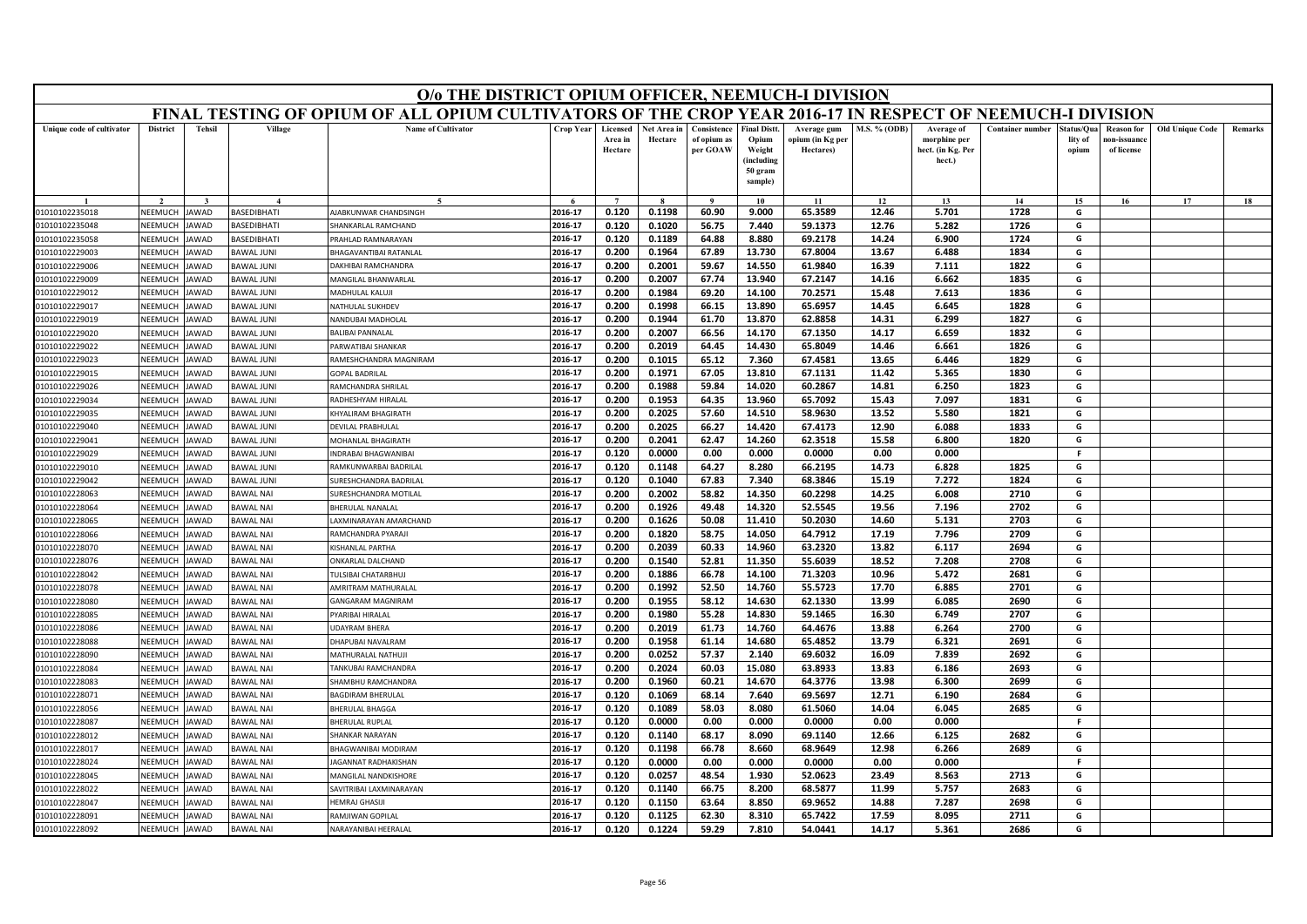| FINAL TESTING OF OPIUM OF ALL OPIUM CULTIVATORS OF THE CROP YEAR 2016-17 IN RESPECT OF NEEMUCH-I DIVISION<br><b>Name of Cultivator</b><br><b>District</b><br><b>Tehsil</b><br>Village<br>Crop Year<br>Consistence<br><b>Final Distt</b><br>M.S. % (ODB)<br><b>Container number</b><br><b>Old Unique Code</b><br>Unique code of cultivator<br>Licensed<br>Net Area in<br>Average gum<br>Average of<br>tatus/Qua<br><b>Reason</b> for<br><b>Remarks</b><br>Area in<br>Hectare<br>of opium as<br>Opium<br>opium (in Kg per<br>morphine per<br>lity of<br>10n-issuanc<br>per GOAW<br>Hectare<br>Weight<br>Hectares)<br>hect. (in Kg. Per<br>of license<br>opium<br>(including<br>hect.)<br>50 gram<br>sample)<br>14<br>15<br>17<br>18<br>10<br>11<br>12<br>13<br>16<br>2016-17<br>0.120<br>0.1198<br>60.90<br>9.000<br>65.3589<br>12.46<br>5.701<br>1728<br>G<br>NEEMUCH<br>BASEDIBHATI<br>AJABKUNWAR CHANDSINGH<br>01010102235018<br>JAWAD<br>2016-17<br>0.120<br>0.1020<br>56.75<br>59.1373<br>12.76<br>5.282<br>1726<br>G<br>01010102235048<br>NEEMUCH<br>AWAD<br><b>ASEDIBHATI</b><br>HANKARLAL RAMCHAND<br>7.440<br>2016-17<br>1724<br>G<br>NEEMUCH<br>0.120<br>0.1189<br>64.88<br>8.880<br>69.2178<br>14.24<br>6.900<br>01010102235058<br><b>AWAD</b><br><b>BASEDIBHATI</b><br><b>RAHLAD RAMNARAYAN</b><br><b>NEEMUCH</b><br>BHAGAVANTIBAI RATANLAL<br>2016-17<br>0.200<br>0.1964<br>67.89<br>13.730<br>67.8004<br>13.67<br>6.488<br>1834<br>G<br>01010102229003<br><b>AWAD</b><br><b>BAWAL JUNI</b><br>1822<br>2016-17<br>0.200<br>0.2001<br>59.67<br>14.550<br>61.9840<br>16.39<br>7.111<br>G<br><b>DAKHIBAI RAMCHANDRA</b><br>01010102229006<br>NEEMUCH<br>AWAD<br>BAWAL JUNI<br>67.74<br>67.2147<br>6.662<br>1835<br>2016-17<br>0.200<br>0.2007<br>13.940<br>14.16<br>G<br>NEEMUCH<br>AWAD<br><b>BAWAL JUNI</b><br>MANGILAL BHANWARLAL<br>01010102229009<br>0.1984<br>69.20<br>70.2571<br>1836<br>NFFMUCH<br><b>AWAD</b><br><b>BAWAL JUNI</b><br>2016-17<br>0.200<br>14.100<br>15.48<br>7.613<br>G<br>01010102229012<br>MADHULAL KALUJI<br>0.1998<br>65.6957<br>1828<br>2016-17<br>0.200<br>66.15<br>13.890<br>14.45<br>6.645<br>G<br>NEEMUCH<br>01010102229017<br>AWAD<br>BAWAL JUNI<br>NATHULAL SUKHDEV<br>1827<br>2016-17<br>0.200<br>0.1944<br>13.870<br>62.8858<br>14.31<br>6.299<br>G<br>NEEMUCH<br>61.70<br>01010102229019<br>AWAD<br>BAWAL JUNI<br><b>JANDUBAI MADHOLAL</b><br>2016-17<br>0.200<br>0.2007<br>66.56<br>14.170<br>67.1350<br>14.17<br>6.659<br>1832<br>G<br>01010102229020<br>NEEMUCH<br><b>AWAD</b><br>BAWAL JUNI<br>BALIBAI PANNALAL<br>2016-17<br>0.200<br>0.2019<br>64.45<br>14.430<br>65.8049<br>14.46<br>6.661<br>1826<br>G<br>01010102229022<br>NEEMUCH<br>AWAD<br>BAWAL JUNI<br>ARWATIBAI SHANKAR<br>2016-17<br>0.200<br>0.1015<br>65.12<br>7.360<br>67.4581<br>13.65<br>1829<br>G<br>NEEMUCH<br>6.446<br>01010102229023<br>AWAD<br>BAWAL JUNI<br>RAMESHCHANDRA MAGNIRAM<br><b>NEEMUCH</b><br><b>AWAD</b><br><b>BAWAL JUNI</b><br>0.200<br>0.1971<br>67.05<br>13.810<br>67.1131<br>11.42<br>5.365<br>1830<br>01010102229015<br><b>GOPAL BADRILAL</b><br>2016-17<br>G<br>0.1988<br>60.2867<br>14.81<br>6.250<br>1823<br>01010102229026<br>NEEMUCH<br><b>AWAD</b><br>BAWAL JUNI<br>RAMCHANDRA SHRILAL<br>2016-17<br>0.200<br>59.84<br>14.020<br>G<br>1831<br>NEEMUCH<br>2016-17<br>0.200<br>0.1953<br>64.35<br>13.960<br>65.7092<br>15.43<br>7.097<br>G<br>01010102229034<br><b>AWAD</b><br>BAWAL JUNI<br>RADHESHYAM HIRALAL<br>NEEMUCH<br>AWAD<br>BAWAL JUNI<br>2016-17<br>0.200<br>0.2025<br>57.60<br>14.510<br>58.9630<br>13.52<br>5.580<br>1821<br>G<br>01010102229035<br>KHYALIRAM BHAGIRATH<br>01010102229040<br>NFFMUCH<br><b>AWAD</b><br><b>BAWAL JUNI</b><br>2016-17<br>0.2025<br>66.27<br>14.420<br>67.4173<br>12.90<br>6.088<br>1833<br>G<br>DEVILAL PRABHULAL<br>0.200<br>62.3518<br>01010102229041<br>NEEMUCH<br>2016-17<br>0.200<br>0.2041<br>62.47<br>15.58<br>6.800<br>1820<br>G<br><b>AWAD</b><br><b>BAWAL JUNI</b><br>14.260<br>MOHANLAL BHAGIRATH<br>2016-17<br>0.120<br>0.0000<br>0.00<br>0.000<br>0.0000<br>0.00<br>0.000<br>F.<br>01010102229029<br>NEEMUCH<br>AWAD<br>BAWAL JUNI<br>NDRABAI BHAGWANIBAI<br>RAMKUNWARBAI BADRILAL<br>2016-17<br>0.120<br>0.1148<br>64.27<br>8.280<br>66.2195<br>14.73<br>6.828<br>1825<br>G<br>01010102229010<br>NEEMUCH<br><b>AWAD</b><br>BAWAL JUNI<br>0.120<br>68.3846<br>7.272<br>G<br>2016-17<br>0.1040<br>67.83<br>7.340<br>15.19<br>1824<br>NEEMUCH<br>01010102229042<br>AWAD<br><b>BAWAL JUNI</b><br>SURESHCHANDRA BADRILAI<br>NEEMUCH<br><b>BAWAL NAI</b><br>2016-17<br>0.200<br>0.2002<br>58.82<br>14.350<br>60.2298<br>14.25<br>6.008<br>2710<br>G<br>01010102228063<br><b>AWAD</b><br><b>JURESHCHANDRA MOTILAL</b><br>2016-17<br>52.5545<br>01010102228064<br>NEEMUCH<br><b>BAWAL NAI</b><br>BHERULAL NANALAL<br>0.200<br>0.1926<br>49.48<br>14.320<br>19.56<br>7.196<br>2702<br>G<br><b>AWAD</b><br>2016-17<br>0.200<br>0.1626<br>50.08<br>11.410<br>50.2030<br>14.60<br>5.131<br>2703<br>G<br>NEEMUCH<br>01010102228065<br>AWAD<br><b>BAWAL NAI</b><br>AXMINARAYAN AMARCHAND<br>2016-17<br>0.200<br>0.1820<br>58.75<br>14.050<br>64.7912<br>17.19<br>7.796<br>2709<br>G<br>01010102228066<br>NEEMUCH<br>AWAD<br><b>BAWAL NAI</b><br>RAMCHANDRA PYARAJI<br>2016-17<br>0.2039<br>60.33<br>14.960<br>63.2320<br>13.82<br>6.117<br>2694<br>G<br>01010102228070<br>NEEMUCH<br>AWAD<br><b>BAWAL NAI</b><br>0.200<br>KISHANI AI PARTHA<br>2016-17<br>0.200<br>0.1540<br>52.81<br>11.350<br>55.6039<br>18.52<br>7.208<br>2708<br>G<br>01010102228076<br>NEEMUCH<br><b>BAWAL NAI</b><br>AWAD<br>ONKARLAL DALCHAND<br>2681<br>2016-17<br>0.200<br>0.1886<br>66.78<br>14.100<br>71.3203<br>10.96<br>5.472<br>G<br>01010102228042<br>NEEMUCH<br>AWAD<br><b>BAWAL NAI</b><br>ULSIBAI CHATARBHUJ<br>52.50<br>55.5723<br>2016-17<br>0.200<br>0.1992<br>14.760<br>17.70<br>6.885<br>2701<br>G<br>01010102228078<br>NEEMUCH<br>AWAD<br><b>BAWAL NAI</b><br>AMRITRAM MATHURALAI<br>NEEMUCI<br>0.200<br>0.1955<br>58.12<br>14.630<br>62.1330<br>13.99<br>6.085<br>2690<br>G<br>01010102228080<br>AWAD<br><b>BAWAL NAI</b><br>GANGARAM MAGNIRAM<br>2016-17<br>0.1980<br>55.28<br>01010102228085<br>NEEMUCH<br>AWAD<br>BAWAL NAI<br>YARIBAI HIRALAL<br>2016-17<br>0.200<br>14.830<br>59.1465<br>16.30<br>6.749<br>2707<br>G<br>NEEMUCH<br>AWAD<br><b>BAWAL NAI</b><br>2016-17<br>0.2019<br>61.73<br>14.760<br>64.4676<br>13.88<br>6.264<br>2700<br>G<br>01010102228086<br><b>JDAYRAM BHERA</b><br>0.200<br><b>NEEMUCH</b><br><b>AWAD</b><br><b>BAWAL NAI</b><br>2016-17<br>0.200<br>0.1958<br>61.14<br>14.680<br>65.4852<br>13.79<br>6.321<br>2691<br>G<br>01010102228088<br>DHAPUBAI NAVALRAM<br>NEEMUCH<br><b>BAWAL NAI</b><br>2016-17<br>0.200<br>0.0252<br>57.37<br>2.140<br>69.6032<br>16.09<br>7.839<br>2692<br>G<br>01010102228090<br>AWAD<br>MATHURALAL NATHUJI<br>G<br>01010102228084<br>VEEMUCI<br>AWAD<br><b>BAWAL NAI</b><br>ANKUBAI RAMCHANDRA<br>2016-17<br>0.200<br>0.2024<br>60.03<br>15.080<br>63.8933<br>13.83<br>6.186<br>2693<br>01010102228083<br>NEEMUCH<br>AWAD<br><b>BAWAL NAI</b><br>2016-17<br>0.200<br>0.1960<br>60.21<br>14.670<br>64.3776<br>13.98<br>6.300<br>2699<br>G<br><b>HAMBHU RAMCHANDRA</b><br>2016-17<br>68.14<br>7.640<br>69.5697<br>12.71<br>2684<br>G<br>0.120<br>0.1069<br>6.190<br>01010102228071<br><b>NEEMUCH</b><br>AWAD<br><b>BAWAL NAI</b><br><b>BAGDIRAM BHERULAL</b><br>G<br><b>NEEMUCH</b><br><b>HERULAL BHAGGA</b><br>2016-17<br>0.120<br>0.1089<br>58.03<br>8.080<br>61.5060<br>14.04<br>6.045<br>2685<br>01010102228056<br>AWAD<br><b>BAWAL NAI</b><br>2016-17<br>NEEMUCH<br><b>BHERULAL RUPLAL</b><br>0.120<br>0.0000<br>0.00<br>0.000<br>0.0000<br>0.00<br>0.000<br>F.<br>01010102228087<br>AWAD<br><b>BAWAL NAI</b><br>6.125<br>2016-17<br>0.120<br>0.1140<br>68.17<br>8.090<br>69.1140<br>12.66<br>2682<br>G<br>NEEMUCH<br><b>BAWAL NAI</b><br>HANKAR NARAYAN<br>01010102228012<br>AWAD<br>2016-17<br>0.120<br>0.1198<br>68.9649<br>G<br>01010102228017<br><b>NEEMUCH</b><br>AWAD<br><b>BAWAL NAI</b><br><b>HAGWANIBAI MODIRAM</b><br>66.78<br>8.660<br>12.98<br>6.266<br>2689<br>2016-17<br>0.120<br>0.0000<br>0.0000<br>0.00<br>0.000<br><b>NFFMUCH</b><br>AWAD<br><b>BAWAL NAI</b><br>0.00<br>0.000<br>-F<br>01010102228024<br>AGANNAT RADHAKISHAN<br>2016-17<br>0.120<br>0.0257<br>48.54<br>1.930<br>52.0623<br>23.49<br>8.563<br>2713<br>G<br>01010102228045<br>NEEMUCH<br><b>BAWAL NAI</b><br>AWAD<br>MANGILAL NANDKISHORE<br>0.120<br>0.1140<br>68.5877<br>5.757<br>2683<br>G<br>2016-17<br>66.75<br>8.200<br>11.99<br>01010102228022<br>NEEMUCI<br>AWAD<br><b>BAWAL NAI</b><br>AVITRIBAI LAXMINARAYAN<br>2016-17<br>0.120<br>0.1150<br>63.64<br>8.850<br>69.9652<br>14.88<br>7.287<br>2698<br>G<br>01010102228047<br>NEEMUCH<br>AWAD<br><b>BAWAL NAI</b><br>HEMRAJ GHASIJI<br>2016-17<br>0.120<br>0.1125<br>62.30<br>8.310<br>65.7422<br>17.59<br>8.095<br>2711<br>G<br>01010102228091<br>NEEMUCH<br><b>BAWAL NAI</b><br>JAWAD<br>RAMJIWAN GOPILAL<br>0.120<br>0.1224<br>7.810<br>2016-17<br>59.29<br>54.0441<br>14.17<br>5.361<br>2686<br>G<br>NEEMUCH<br><b>AWAD</b><br>01010102228092<br><b>BAWAL NAI</b><br>NARAYANIBAI HEERALAL | O/o THE DISTRICT OPIUM OFFICER, NEEMUCH-I DIVISION |  |  |  |  |  |  |  |  |  |  |  |  |  |  |  |
|------------------------------------------------------------------------------------------------------------------------------------------------------------------------------------------------------------------------------------------------------------------------------------------------------------------------------------------------------------------------------------------------------------------------------------------------------------------------------------------------------------------------------------------------------------------------------------------------------------------------------------------------------------------------------------------------------------------------------------------------------------------------------------------------------------------------------------------------------------------------------------------------------------------------------------------------------------------------------------------------------------------------------------------------------------------------------------------------------------------------------------------------------------------------------------------------------------------------------------------------------------------------------------------------------------------------------------------------------------------------------------------------------------------------------------------------------------------------------------------------------------------------------------------------------------------------------------------------------------------------------------------------------------------------------------------------------------------------------------------------------------------------------------------------------------------------------------------------------------------------------------------------------------------------------------------------------------------------------------------------------------------------------------------------------------------------------------------------------------------------------------------------------------------------------------------------------------------------------------------------------------------------------------------------------------------------------------------------------------------------------------------------------------------------------------------------------------------------------------------------------------------------------------------------------------------------------------------------------------------------------------------------------------------------------------------------------------------------------------------------------------------------------------------------------------------------------------------------------------------------------------------------------------------------------------------------------------------------------------------------------------------------------------------------------------------------------------------------------------------------------------------------------------------------------------------------------------------------------------------------------------------------------------------------------------------------------------------------------------------------------------------------------------------------------------------------------------------------------------------------------------------------------------------------------------------------------------------------------------------------------------------------------------------------------------------------------------------------------------------------------------------------------------------------------------------------------------------------------------------------------------------------------------------------------------------------------------------------------------------------------------------------------------------------------------------------------------------------------------------------------------------------------------------------------------------------------------------------------------------------------------------------------------------------------------------------------------------------------------------------------------------------------------------------------------------------------------------------------------------------------------------------------------------------------------------------------------------------------------------------------------------------------------------------------------------------------------------------------------------------------------------------------------------------------------------------------------------------------------------------------------------------------------------------------------------------------------------------------------------------------------------------------------------------------------------------------------------------------------------------------------------------------------------------------------------------------------------------------------------------------------------------------------------------------------------------------------------------------------------------------------------------------------------------------------------------------------------------------------------------------------------------------------------------------------------------------------------------------------------------------------------------------------------------------------------------------------------------------------------------------------------------------------------------------------------------------------------------------------------------------------------------------------------------------------------------------------------------------------------------------------------------------------------------------------------------------------------------------------------------------------------------------------------------------------------------------------------------------------------------------------------------------------------------------------------------------------------------------------------------------------------------------------------------------------------------------------------------------------------------------------------------------------------------------------------------------------------------------------------------------------------------------------------------------------------------------------------------------------------------------------------------------------------------------------------------------------------------------------------------------------------------------------------------------------------------------------------------------------------------------------------------------------------------------------------------------------------------------------------------------------------------------------------------------------------------------------------------------------------------------------------------------------------------------------------------------------------------------------------------------------------------------------------------------------------------------------------------------------------------------------------------------------------------------------------------------------------------------------------------------------------------------------------------------------------------------------------------------------------------------------------------------------------------------------------------------------------------------------------------------------------------------------------------------------------------------------------------------------------------------------------------------------------------------------------------------------------------------------------------------------------------------------------------------------------------------------------------------------------------------------------------------------------------------------------------------------------------------------------------------------------------------------------------------------------------------------------------------------------------------------------------------------------------------------------------------------------------------------------------------------------------------------------------------------------------------------------------------------------------------------------------------------------------------------------------------------------------------------------------------------------------------------------------------------------------------------------------------------------------------------------------------------------------------------------------------------------------------------------------------------------------------------------------------------------|----------------------------------------------------|--|--|--|--|--|--|--|--|--|--|--|--|--|--|--|
|                                                                                                                                                                                                                                                                                                                                                                                                                                                                                                                                                                                                                                                                                                                                                                                                                                                                                                                                                                                                                                                                                                                                                                                                                                                                                                                                                                                                                                                                                                                                                                                                                                                                                                                                                                                                                                                                                                                                                                                                                                                                                                                                                                                                                                                                                                                                                                                                                                                                                                                                                                                                                                                                                                                                                                                                                                                                                                                                                                                                                                                                                                                                                                                                                                                                                                                                                                                                                                                                                                                                                                                                                                                                                                                                                                                                                                                                                                                                                                                                                                                                                                                                                                                                                                                                                                                                                                                                                                                                                                                                                                                                                                                                                                                                                                                                                                                                                                                                                                                                                                                                                                                                                                                                                                                                                                                                                                                                                                                                                                                                                                                                                                                                                                                                                                                                                                                                                                                                                                                                                                                                                                                                                                                                                                                                                                                                                                                                                                                                                                                                                                                                                                                                                                                                                                                                                                                                                                                                                                                                                                                                                                                                                                                                                                                                                                                                                                                                                                                                                                                                                                                                                                                                                                                                                                                                                                                                                                                                                                                                                                                                                                                                                                                                                                                                                                                                                                                                                                                                                                                                                                                                                                                                                                                                                                                                                                                                                                                                                                                                                                                                                                                                                                                          |                                                    |  |  |  |  |  |  |  |  |  |  |  |  |  |  |  |
|                                                                                                                                                                                                                                                                                                                                                                                                                                                                                                                                                                                                                                                                                                                                                                                                                                                                                                                                                                                                                                                                                                                                                                                                                                                                                                                                                                                                                                                                                                                                                                                                                                                                                                                                                                                                                                                                                                                                                                                                                                                                                                                                                                                                                                                                                                                                                                                                                                                                                                                                                                                                                                                                                                                                                                                                                                                                                                                                                                                                                                                                                                                                                                                                                                                                                                                                                                                                                                                                                                                                                                                                                                                                                                                                                                                                                                                                                                                                                                                                                                                                                                                                                                                                                                                                                                                                                                                                                                                                                                                                                                                                                                                                                                                                                                                                                                                                                                                                                                                                                                                                                                                                                                                                                                                                                                                                                                                                                                                                                                                                                                                                                                                                                                                                                                                                                                                                                                                                                                                                                                                                                                                                                                                                                                                                                                                                                                                                                                                                                                                                                                                                                                                                                                                                                                                                                                                                                                                                                                                                                                                                                                                                                                                                                                                                                                                                                                                                                                                                                                                                                                                                                                                                                                                                                                                                                                                                                                                                                                                                                                                                                                                                                                                                                                                                                                                                                                                                                                                                                                                                                                                                                                                                                                                                                                                                                                                                                                                                                                                                                                                                                                                                                                                          |                                                    |  |  |  |  |  |  |  |  |  |  |  |  |  |  |  |
|                                                                                                                                                                                                                                                                                                                                                                                                                                                                                                                                                                                                                                                                                                                                                                                                                                                                                                                                                                                                                                                                                                                                                                                                                                                                                                                                                                                                                                                                                                                                                                                                                                                                                                                                                                                                                                                                                                                                                                                                                                                                                                                                                                                                                                                                                                                                                                                                                                                                                                                                                                                                                                                                                                                                                                                                                                                                                                                                                                                                                                                                                                                                                                                                                                                                                                                                                                                                                                                                                                                                                                                                                                                                                                                                                                                                                                                                                                                                                                                                                                                                                                                                                                                                                                                                                                                                                                                                                                                                                                                                                                                                                                                                                                                                                                                                                                                                                                                                                                                                                                                                                                                                                                                                                                                                                                                                                                                                                                                                                                                                                                                                                                                                                                                                                                                                                                                                                                                                                                                                                                                                                                                                                                                                                                                                                                                                                                                                                                                                                                                                                                                                                                                                                                                                                                                                                                                                                                                                                                                                                                                                                                                                                                                                                                                                                                                                                                                                                                                                                                                                                                                                                                                                                                                                                                                                                                                                                                                                                                                                                                                                                                                                                                                                                                                                                                                                                                                                                                                                                                                                                                                                                                                                                                                                                                                                                                                                                                                                                                                                                                                                                                                                                                                          |                                                    |  |  |  |  |  |  |  |  |  |  |  |  |  |  |  |
|                                                                                                                                                                                                                                                                                                                                                                                                                                                                                                                                                                                                                                                                                                                                                                                                                                                                                                                                                                                                                                                                                                                                                                                                                                                                                                                                                                                                                                                                                                                                                                                                                                                                                                                                                                                                                                                                                                                                                                                                                                                                                                                                                                                                                                                                                                                                                                                                                                                                                                                                                                                                                                                                                                                                                                                                                                                                                                                                                                                                                                                                                                                                                                                                                                                                                                                                                                                                                                                                                                                                                                                                                                                                                                                                                                                                                                                                                                                                                                                                                                                                                                                                                                                                                                                                                                                                                                                                                                                                                                                                                                                                                                                                                                                                                                                                                                                                                                                                                                                                                                                                                                                                                                                                                                                                                                                                                                                                                                                                                                                                                                                                                                                                                                                                                                                                                                                                                                                                                                                                                                                                                                                                                                                                                                                                                                                                                                                                                                                                                                                                                                                                                                                                                                                                                                                                                                                                                                                                                                                                                                                                                                                                                                                                                                                                                                                                                                                                                                                                                                                                                                                                                                                                                                                                                                                                                                                                                                                                                                                                                                                                                                                                                                                                                                                                                                                                                                                                                                                                                                                                                                                                                                                                                                                                                                                                                                                                                                                                                                                                                                                                                                                                                                                          |                                                    |  |  |  |  |  |  |  |  |  |  |  |  |  |  |  |
|                                                                                                                                                                                                                                                                                                                                                                                                                                                                                                                                                                                                                                                                                                                                                                                                                                                                                                                                                                                                                                                                                                                                                                                                                                                                                                                                                                                                                                                                                                                                                                                                                                                                                                                                                                                                                                                                                                                                                                                                                                                                                                                                                                                                                                                                                                                                                                                                                                                                                                                                                                                                                                                                                                                                                                                                                                                                                                                                                                                                                                                                                                                                                                                                                                                                                                                                                                                                                                                                                                                                                                                                                                                                                                                                                                                                                                                                                                                                                                                                                                                                                                                                                                                                                                                                                                                                                                                                                                                                                                                                                                                                                                                                                                                                                                                                                                                                                                                                                                                                                                                                                                                                                                                                                                                                                                                                                                                                                                                                                                                                                                                                                                                                                                                                                                                                                                                                                                                                                                                                                                                                                                                                                                                                                                                                                                                                                                                                                                                                                                                                                                                                                                                                                                                                                                                                                                                                                                                                                                                                                                                                                                                                                                                                                                                                                                                                                                                                                                                                                                                                                                                                                                                                                                                                                                                                                                                                                                                                                                                                                                                                                                                                                                                                                                                                                                                                                                                                                                                                                                                                                                                                                                                                                                                                                                                                                                                                                                                                                                                                                                                                                                                                                                                          |                                                    |  |  |  |  |  |  |  |  |  |  |  |  |  |  |  |
|                                                                                                                                                                                                                                                                                                                                                                                                                                                                                                                                                                                                                                                                                                                                                                                                                                                                                                                                                                                                                                                                                                                                                                                                                                                                                                                                                                                                                                                                                                                                                                                                                                                                                                                                                                                                                                                                                                                                                                                                                                                                                                                                                                                                                                                                                                                                                                                                                                                                                                                                                                                                                                                                                                                                                                                                                                                                                                                                                                                                                                                                                                                                                                                                                                                                                                                                                                                                                                                                                                                                                                                                                                                                                                                                                                                                                                                                                                                                                                                                                                                                                                                                                                                                                                                                                                                                                                                                                                                                                                                                                                                                                                                                                                                                                                                                                                                                                                                                                                                                                                                                                                                                                                                                                                                                                                                                                                                                                                                                                                                                                                                                                                                                                                                                                                                                                                                                                                                                                                                                                                                                                                                                                                                                                                                                                                                                                                                                                                                                                                                                                                                                                                                                                                                                                                                                                                                                                                                                                                                                                                                                                                                                                                                                                                                                                                                                                                                                                                                                                                                                                                                                                                                                                                                                                                                                                                                                                                                                                                                                                                                                                                                                                                                                                                                                                                                                                                                                                                                                                                                                                                                                                                                                                                                                                                                                                                                                                                                                                                                                                                                                                                                                                                                          |                                                    |  |  |  |  |  |  |  |  |  |  |  |  |  |  |  |
|                                                                                                                                                                                                                                                                                                                                                                                                                                                                                                                                                                                                                                                                                                                                                                                                                                                                                                                                                                                                                                                                                                                                                                                                                                                                                                                                                                                                                                                                                                                                                                                                                                                                                                                                                                                                                                                                                                                                                                                                                                                                                                                                                                                                                                                                                                                                                                                                                                                                                                                                                                                                                                                                                                                                                                                                                                                                                                                                                                                                                                                                                                                                                                                                                                                                                                                                                                                                                                                                                                                                                                                                                                                                                                                                                                                                                                                                                                                                                                                                                                                                                                                                                                                                                                                                                                                                                                                                                                                                                                                                                                                                                                                                                                                                                                                                                                                                                                                                                                                                                                                                                                                                                                                                                                                                                                                                                                                                                                                                                                                                                                                                                                                                                                                                                                                                                                                                                                                                                                                                                                                                                                                                                                                                                                                                                                                                                                                                                                                                                                                                                                                                                                                                                                                                                                                                                                                                                                                                                                                                                                                                                                                                                                                                                                                                                                                                                                                                                                                                                                                                                                                                                                                                                                                                                                                                                                                                                                                                                                                                                                                                                                                                                                                                                                                                                                                                                                                                                                                                                                                                                                                                                                                                                                                                                                                                                                                                                                                                                                                                                                                                                                                                                                                          |                                                    |  |  |  |  |  |  |  |  |  |  |  |  |  |  |  |
|                                                                                                                                                                                                                                                                                                                                                                                                                                                                                                                                                                                                                                                                                                                                                                                                                                                                                                                                                                                                                                                                                                                                                                                                                                                                                                                                                                                                                                                                                                                                                                                                                                                                                                                                                                                                                                                                                                                                                                                                                                                                                                                                                                                                                                                                                                                                                                                                                                                                                                                                                                                                                                                                                                                                                                                                                                                                                                                                                                                                                                                                                                                                                                                                                                                                                                                                                                                                                                                                                                                                                                                                                                                                                                                                                                                                                                                                                                                                                                                                                                                                                                                                                                                                                                                                                                                                                                                                                                                                                                                                                                                                                                                                                                                                                                                                                                                                                                                                                                                                                                                                                                                                                                                                                                                                                                                                                                                                                                                                                                                                                                                                                                                                                                                                                                                                                                                                                                                                                                                                                                                                                                                                                                                                                                                                                                                                                                                                                                                                                                                                                                                                                                                                                                                                                                                                                                                                                                                                                                                                                                                                                                                                                                                                                                                                                                                                                                                                                                                                                                                                                                                                                                                                                                                                                                                                                                                                                                                                                                                                                                                                                                                                                                                                                                                                                                                                                                                                                                                                                                                                                                                                                                                                                                                                                                                                                                                                                                                                                                                                                                                                                                                                                                                          |                                                    |  |  |  |  |  |  |  |  |  |  |  |  |  |  |  |
|                                                                                                                                                                                                                                                                                                                                                                                                                                                                                                                                                                                                                                                                                                                                                                                                                                                                                                                                                                                                                                                                                                                                                                                                                                                                                                                                                                                                                                                                                                                                                                                                                                                                                                                                                                                                                                                                                                                                                                                                                                                                                                                                                                                                                                                                                                                                                                                                                                                                                                                                                                                                                                                                                                                                                                                                                                                                                                                                                                                                                                                                                                                                                                                                                                                                                                                                                                                                                                                                                                                                                                                                                                                                                                                                                                                                                                                                                                                                                                                                                                                                                                                                                                                                                                                                                                                                                                                                                                                                                                                                                                                                                                                                                                                                                                                                                                                                                                                                                                                                                                                                                                                                                                                                                                                                                                                                                                                                                                                                                                                                                                                                                                                                                                                                                                                                                                                                                                                                                                                                                                                                                                                                                                                                                                                                                                                                                                                                                                                                                                                                                                                                                                                                                                                                                                                                                                                                                                                                                                                                                                                                                                                                                                                                                                                                                                                                                                                                                                                                                                                                                                                                                                                                                                                                                                                                                                                                                                                                                                                                                                                                                                                                                                                                                                                                                                                                                                                                                                                                                                                                                                                                                                                                                                                                                                                                                                                                                                                                                                                                                                                                                                                                                                                          |                                                    |  |  |  |  |  |  |  |  |  |  |  |  |  |  |  |
|                                                                                                                                                                                                                                                                                                                                                                                                                                                                                                                                                                                                                                                                                                                                                                                                                                                                                                                                                                                                                                                                                                                                                                                                                                                                                                                                                                                                                                                                                                                                                                                                                                                                                                                                                                                                                                                                                                                                                                                                                                                                                                                                                                                                                                                                                                                                                                                                                                                                                                                                                                                                                                                                                                                                                                                                                                                                                                                                                                                                                                                                                                                                                                                                                                                                                                                                                                                                                                                                                                                                                                                                                                                                                                                                                                                                                                                                                                                                                                                                                                                                                                                                                                                                                                                                                                                                                                                                                                                                                                                                                                                                                                                                                                                                                                                                                                                                                                                                                                                                                                                                                                                                                                                                                                                                                                                                                                                                                                                                                                                                                                                                                                                                                                                                                                                                                                                                                                                                                                                                                                                                                                                                                                                                                                                                                                                                                                                                                                                                                                                                                                                                                                                                                                                                                                                                                                                                                                                                                                                                                                                                                                                                                                                                                                                                                                                                                                                                                                                                                                                                                                                                                                                                                                                                                                                                                                                                                                                                                                                                                                                                                                                                                                                                                                                                                                                                                                                                                                                                                                                                                                                                                                                                                                                                                                                                                                                                                                                                                                                                                                                                                                                                                                                          |                                                    |  |  |  |  |  |  |  |  |  |  |  |  |  |  |  |
|                                                                                                                                                                                                                                                                                                                                                                                                                                                                                                                                                                                                                                                                                                                                                                                                                                                                                                                                                                                                                                                                                                                                                                                                                                                                                                                                                                                                                                                                                                                                                                                                                                                                                                                                                                                                                                                                                                                                                                                                                                                                                                                                                                                                                                                                                                                                                                                                                                                                                                                                                                                                                                                                                                                                                                                                                                                                                                                                                                                                                                                                                                                                                                                                                                                                                                                                                                                                                                                                                                                                                                                                                                                                                                                                                                                                                                                                                                                                                                                                                                                                                                                                                                                                                                                                                                                                                                                                                                                                                                                                                                                                                                                                                                                                                                                                                                                                                                                                                                                                                                                                                                                                                                                                                                                                                                                                                                                                                                                                                                                                                                                                                                                                                                                                                                                                                                                                                                                                                                                                                                                                                                                                                                                                                                                                                                                                                                                                                                                                                                                                                                                                                                                                                                                                                                                                                                                                                                                                                                                                                                                                                                                                                                                                                                                                                                                                                                                                                                                                                                                                                                                                                                                                                                                                                                                                                                                                                                                                                                                                                                                                                                                                                                                                                                                                                                                                                                                                                                                                                                                                                                                                                                                                                                                                                                                                                                                                                                                                                                                                                                                                                                                                                                                          |                                                    |  |  |  |  |  |  |  |  |  |  |  |  |  |  |  |
|                                                                                                                                                                                                                                                                                                                                                                                                                                                                                                                                                                                                                                                                                                                                                                                                                                                                                                                                                                                                                                                                                                                                                                                                                                                                                                                                                                                                                                                                                                                                                                                                                                                                                                                                                                                                                                                                                                                                                                                                                                                                                                                                                                                                                                                                                                                                                                                                                                                                                                                                                                                                                                                                                                                                                                                                                                                                                                                                                                                                                                                                                                                                                                                                                                                                                                                                                                                                                                                                                                                                                                                                                                                                                                                                                                                                                                                                                                                                                                                                                                                                                                                                                                                                                                                                                                                                                                                                                                                                                                                                                                                                                                                                                                                                                                                                                                                                                                                                                                                                                                                                                                                                                                                                                                                                                                                                                                                                                                                                                                                                                                                                                                                                                                                                                                                                                                                                                                                                                                                                                                                                                                                                                                                                                                                                                                                                                                                                                                                                                                                                                                                                                                                                                                                                                                                                                                                                                                                                                                                                                                                                                                                                                                                                                                                                                                                                                                                                                                                                                                                                                                                                                                                                                                                                                                                                                                                                                                                                                                                                                                                                                                                                                                                                                                                                                                                                                                                                                                                                                                                                                                                                                                                                                                                                                                                                                                                                                                                                                                                                                                                                                                                                                                                          |                                                    |  |  |  |  |  |  |  |  |  |  |  |  |  |  |  |
|                                                                                                                                                                                                                                                                                                                                                                                                                                                                                                                                                                                                                                                                                                                                                                                                                                                                                                                                                                                                                                                                                                                                                                                                                                                                                                                                                                                                                                                                                                                                                                                                                                                                                                                                                                                                                                                                                                                                                                                                                                                                                                                                                                                                                                                                                                                                                                                                                                                                                                                                                                                                                                                                                                                                                                                                                                                                                                                                                                                                                                                                                                                                                                                                                                                                                                                                                                                                                                                                                                                                                                                                                                                                                                                                                                                                                                                                                                                                                                                                                                                                                                                                                                                                                                                                                                                                                                                                                                                                                                                                                                                                                                                                                                                                                                                                                                                                                                                                                                                                                                                                                                                                                                                                                                                                                                                                                                                                                                                                                                                                                                                                                                                                                                                                                                                                                                                                                                                                                                                                                                                                                                                                                                                                                                                                                                                                                                                                                                                                                                                                                                                                                                                                                                                                                                                                                                                                                                                                                                                                                                                                                                                                                                                                                                                                                                                                                                                                                                                                                                                                                                                                                                                                                                                                                                                                                                                                                                                                                                                                                                                                                                                                                                                                                                                                                                                                                                                                                                                                                                                                                                                                                                                                                                                                                                                                                                                                                                                                                                                                                                                                                                                                                                                          |                                                    |  |  |  |  |  |  |  |  |  |  |  |  |  |  |  |
|                                                                                                                                                                                                                                                                                                                                                                                                                                                                                                                                                                                                                                                                                                                                                                                                                                                                                                                                                                                                                                                                                                                                                                                                                                                                                                                                                                                                                                                                                                                                                                                                                                                                                                                                                                                                                                                                                                                                                                                                                                                                                                                                                                                                                                                                                                                                                                                                                                                                                                                                                                                                                                                                                                                                                                                                                                                                                                                                                                                                                                                                                                                                                                                                                                                                                                                                                                                                                                                                                                                                                                                                                                                                                                                                                                                                                                                                                                                                                                                                                                                                                                                                                                                                                                                                                                                                                                                                                                                                                                                                                                                                                                                                                                                                                                                                                                                                                                                                                                                                                                                                                                                                                                                                                                                                                                                                                                                                                                                                                                                                                                                                                                                                                                                                                                                                                                                                                                                                                                                                                                                                                                                                                                                                                                                                                                                                                                                                                                                                                                                                                                                                                                                                                                                                                                                                                                                                                                                                                                                                                                                                                                                                                                                                                                                                                                                                                                                                                                                                                                                                                                                                                                                                                                                                                                                                                                                                                                                                                                                                                                                                                                                                                                                                                                                                                                                                                                                                                                                                                                                                                                                                                                                                                                                                                                                                                                                                                                                                                                                                                                                                                                                                                                                          |                                                    |  |  |  |  |  |  |  |  |  |  |  |  |  |  |  |
|                                                                                                                                                                                                                                                                                                                                                                                                                                                                                                                                                                                                                                                                                                                                                                                                                                                                                                                                                                                                                                                                                                                                                                                                                                                                                                                                                                                                                                                                                                                                                                                                                                                                                                                                                                                                                                                                                                                                                                                                                                                                                                                                                                                                                                                                                                                                                                                                                                                                                                                                                                                                                                                                                                                                                                                                                                                                                                                                                                                                                                                                                                                                                                                                                                                                                                                                                                                                                                                                                                                                                                                                                                                                                                                                                                                                                                                                                                                                                                                                                                                                                                                                                                                                                                                                                                                                                                                                                                                                                                                                                                                                                                                                                                                                                                                                                                                                                                                                                                                                                                                                                                                                                                                                                                                                                                                                                                                                                                                                                                                                                                                                                                                                                                                                                                                                                                                                                                                                                                                                                                                                                                                                                                                                                                                                                                                                                                                                                                                                                                                                                                                                                                                                                                                                                                                                                                                                                                                                                                                                                                                                                                                                                                                                                                                                                                                                                                                                                                                                                                                                                                                                                                                                                                                                                                                                                                                                                                                                                                                                                                                                                                                                                                                                                                                                                                                                                                                                                                                                                                                                                                                                                                                                                                                                                                                                                                                                                                                                                                                                                                                                                                                                                                                          |                                                    |  |  |  |  |  |  |  |  |  |  |  |  |  |  |  |
|                                                                                                                                                                                                                                                                                                                                                                                                                                                                                                                                                                                                                                                                                                                                                                                                                                                                                                                                                                                                                                                                                                                                                                                                                                                                                                                                                                                                                                                                                                                                                                                                                                                                                                                                                                                                                                                                                                                                                                                                                                                                                                                                                                                                                                                                                                                                                                                                                                                                                                                                                                                                                                                                                                                                                                                                                                                                                                                                                                                                                                                                                                                                                                                                                                                                                                                                                                                                                                                                                                                                                                                                                                                                                                                                                                                                                                                                                                                                                                                                                                                                                                                                                                                                                                                                                                                                                                                                                                                                                                                                                                                                                                                                                                                                                                                                                                                                                                                                                                                                                                                                                                                                                                                                                                                                                                                                                                                                                                                                                                                                                                                                                                                                                                                                                                                                                                                                                                                                                                                                                                                                                                                                                                                                                                                                                                                                                                                                                                                                                                                                                                                                                                                                                                                                                                                                                                                                                                                                                                                                                                                                                                                                                                                                                                                                                                                                                                                                                                                                                                                                                                                                                                                                                                                                                                                                                                                                                                                                                                                                                                                                                                                                                                                                                                                                                                                                                                                                                                                                                                                                                                                                                                                                                                                                                                                                                                                                                                                                                                                                                                                                                                                                                                                          |                                                    |  |  |  |  |  |  |  |  |  |  |  |  |  |  |  |
|                                                                                                                                                                                                                                                                                                                                                                                                                                                                                                                                                                                                                                                                                                                                                                                                                                                                                                                                                                                                                                                                                                                                                                                                                                                                                                                                                                                                                                                                                                                                                                                                                                                                                                                                                                                                                                                                                                                                                                                                                                                                                                                                                                                                                                                                                                                                                                                                                                                                                                                                                                                                                                                                                                                                                                                                                                                                                                                                                                                                                                                                                                                                                                                                                                                                                                                                                                                                                                                                                                                                                                                                                                                                                                                                                                                                                                                                                                                                                                                                                                                                                                                                                                                                                                                                                                                                                                                                                                                                                                                                                                                                                                                                                                                                                                                                                                                                                                                                                                                                                                                                                                                                                                                                                                                                                                                                                                                                                                                                                                                                                                                                                                                                                                                                                                                                                                                                                                                                                                                                                                                                                                                                                                                                                                                                                                                                                                                                                                                                                                                                                                                                                                                                                                                                                                                                                                                                                                                                                                                                                                                                                                                                                                                                                                                                                                                                                                                                                                                                                                                                                                                                                                                                                                                                                                                                                                                                                                                                                                                                                                                                                                                                                                                                                                                                                                                                                                                                                                                                                                                                                                                                                                                                                                                                                                                                                                                                                                                                                                                                                                                                                                                                                                                          |                                                    |  |  |  |  |  |  |  |  |  |  |  |  |  |  |  |
|                                                                                                                                                                                                                                                                                                                                                                                                                                                                                                                                                                                                                                                                                                                                                                                                                                                                                                                                                                                                                                                                                                                                                                                                                                                                                                                                                                                                                                                                                                                                                                                                                                                                                                                                                                                                                                                                                                                                                                                                                                                                                                                                                                                                                                                                                                                                                                                                                                                                                                                                                                                                                                                                                                                                                                                                                                                                                                                                                                                                                                                                                                                                                                                                                                                                                                                                                                                                                                                                                                                                                                                                                                                                                                                                                                                                                                                                                                                                                                                                                                                                                                                                                                                                                                                                                                                                                                                                                                                                                                                                                                                                                                                                                                                                                                                                                                                                                                                                                                                                                                                                                                                                                                                                                                                                                                                                                                                                                                                                                                                                                                                                                                                                                                                                                                                                                                                                                                                                                                                                                                                                                                                                                                                                                                                                                                                                                                                                                                                                                                                                                                                                                                                                                                                                                                                                                                                                                                                                                                                                                                                                                                                                                                                                                                                                                                                                                                                                                                                                                                                                                                                                                                                                                                                                                                                                                                                                                                                                                                                                                                                                                                                                                                                                                                                                                                                                                                                                                                                                                                                                                                                                                                                                                                                                                                                                                                                                                                                                                                                                                                                                                                                                                                                          |                                                    |  |  |  |  |  |  |  |  |  |  |  |  |  |  |  |
|                                                                                                                                                                                                                                                                                                                                                                                                                                                                                                                                                                                                                                                                                                                                                                                                                                                                                                                                                                                                                                                                                                                                                                                                                                                                                                                                                                                                                                                                                                                                                                                                                                                                                                                                                                                                                                                                                                                                                                                                                                                                                                                                                                                                                                                                                                                                                                                                                                                                                                                                                                                                                                                                                                                                                                                                                                                                                                                                                                                                                                                                                                                                                                                                                                                                                                                                                                                                                                                                                                                                                                                                                                                                                                                                                                                                                                                                                                                                                                                                                                                                                                                                                                                                                                                                                                                                                                                                                                                                                                                                                                                                                                                                                                                                                                                                                                                                                                                                                                                                                                                                                                                                                                                                                                                                                                                                                                                                                                                                                                                                                                                                                                                                                                                                                                                                                                                                                                                                                                                                                                                                                                                                                                                                                                                                                                                                                                                                                                                                                                                                                                                                                                                                                                                                                                                                                                                                                                                                                                                                                                                                                                                                                                                                                                                                                                                                                                                                                                                                                                                                                                                                                                                                                                                                                                                                                                                                                                                                                                                                                                                                                                                                                                                                                                                                                                                                                                                                                                                                                                                                                                                                                                                                                                                                                                                                                                                                                                                                                                                                                                                                                                                                                                                          |                                                    |  |  |  |  |  |  |  |  |  |  |  |  |  |  |  |
|                                                                                                                                                                                                                                                                                                                                                                                                                                                                                                                                                                                                                                                                                                                                                                                                                                                                                                                                                                                                                                                                                                                                                                                                                                                                                                                                                                                                                                                                                                                                                                                                                                                                                                                                                                                                                                                                                                                                                                                                                                                                                                                                                                                                                                                                                                                                                                                                                                                                                                                                                                                                                                                                                                                                                                                                                                                                                                                                                                                                                                                                                                                                                                                                                                                                                                                                                                                                                                                                                                                                                                                                                                                                                                                                                                                                                                                                                                                                                                                                                                                                                                                                                                                                                                                                                                                                                                                                                                                                                                                                                                                                                                                                                                                                                                                                                                                                                                                                                                                                                                                                                                                                                                                                                                                                                                                                                                                                                                                                                                                                                                                                                                                                                                                                                                                                                                                                                                                                                                                                                                                                                                                                                                                                                                                                                                                                                                                                                                                                                                                                                                                                                                                                                                                                                                                                                                                                                                                                                                                                                                                                                                                                                                                                                                                                                                                                                                                                                                                                                                                                                                                                                                                                                                                                                                                                                                                                                                                                                                                                                                                                                                                                                                                                                                                                                                                                                                                                                                                                                                                                                                                                                                                                                                                                                                                                                                                                                                                                                                                                                                                                                                                                                                                          |                                                    |  |  |  |  |  |  |  |  |  |  |  |  |  |  |  |
|                                                                                                                                                                                                                                                                                                                                                                                                                                                                                                                                                                                                                                                                                                                                                                                                                                                                                                                                                                                                                                                                                                                                                                                                                                                                                                                                                                                                                                                                                                                                                                                                                                                                                                                                                                                                                                                                                                                                                                                                                                                                                                                                                                                                                                                                                                                                                                                                                                                                                                                                                                                                                                                                                                                                                                                                                                                                                                                                                                                                                                                                                                                                                                                                                                                                                                                                                                                                                                                                                                                                                                                                                                                                                                                                                                                                                                                                                                                                                                                                                                                                                                                                                                                                                                                                                                                                                                                                                                                                                                                                                                                                                                                                                                                                                                                                                                                                                                                                                                                                                                                                                                                                                                                                                                                                                                                                                                                                                                                                                                                                                                                                                                                                                                                                                                                                                                                                                                                                                                                                                                                                                                                                                                                                                                                                                                                                                                                                                                                                                                                                                                                                                                                                                                                                                                                                                                                                                                                                                                                                                                                                                                                                                                                                                                                                                                                                                                                                                                                                                                                                                                                                                                                                                                                                                                                                                                                                                                                                                                                                                                                                                                                                                                                                                                                                                                                                                                                                                                                                                                                                                                                                                                                                                                                                                                                                                                                                                                                                                                                                                                                                                                                                                                                          |                                                    |  |  |  |  |  |  |  |  |  |  |  |  |  |  |  |
|                                                                                                                                                                                                                                                                                                                                                                                                                                                                                                                                                                                                                                                                                                                                                                                                                                                                                                                                                                                                                                                                                                                                                                                                                                                                                                                                                                                                                                                                                                                                                                                                                                                                                                                                                                                                                                                                                                                                                                                                                                                                                                                                                                                                                                                                                                                                                                                                                                                                                                                                                                                                                                                                                                                                                                                                                                                                                                                                                                                                                                                                                                                                                                                                                                                                                                                                                                                                                                                                                                                                                                                                                                                                                                                                                                                                                                                                                                                                                                                                                                                                                                                                                                                                                                                                                                                                                                                                                                                                                                                                                                                                                                                                                                                                                                                                                                                                                                                                                                                                                                                                                                                                                                                                                                                                                                                                                                                                                                                                                                                                                                                                                                                                                                                                                                                                                                                                                                                                                                                                                                                                                                                                                                                                                                                                                                                                                                                                                                                                                                                                                                                                                                                                                                                                                                                                                                                                                                                                                                                                                                                                                                                                                                                                                                                                                                                                                                                                                                                                                                                                                                                                                                                                                                                                                                                                                                                                                                                                                                                                                                                                                                                                                                                                                                                                                                                                                                                                                                                                                                                                                                                                                                                                                                                                                                                                                                                                                                                                                                                                                                                                                                                                                                                          |                                                    |  |  |  |  |  |  |  |  |  |  |  |  |  |  |  |
|                                                                                                                                                                                                                                                                                                                                                                                                                                                                                                                                                                                                                                                                                                                                                                                                                                                                                                                                                                                                                                                                                                                                                                                                                                                                                                                                                                                                                                                                                                                                                                                                                                                                                                                                                                                                                                                                                                                                                                                                                                                                                                                                                                                                                                                                                                                                                                                                                                                                                                                                                                                                                                                                                                                                                                                                                                                                                                                                                                                                                                                                                                                                                                                                                                                                                                                                                                                                                                                                                                                                                                                                                                                                                                                                                                                                                                                                                                                                                                                                                                                                                                                                                                                                                                                                                                                                                                                                                                                                                                                                                                                                                                                                                                                                                                                                                                                                                                                                                                                                                                                                                                                                                                                                                                                                                                                                                                                                                                                                                                                                                                                                                                                                                                                                                                                                                                                                                                                                                                                                                                                                                                                                                                                                                                                                                                                                                                                                                                                                                                                                                                                                                                                                                                                                                                                                                                                                                                                                                                                                                                                                                                                                                                                                                                                                                                                                                                                                                                                                                                                                                                                                                                                                                                                                                                                                                                                                                                                                                                                                                                                                                                                                                                                                                                                                                                                                                                                                                                                                                                                                                                                                                                                                                                                                                                                                                                                                                                                                                                                                                                                                                                                                                                                          |                                                    |  |  |  |  |  |  |  |  |  |  |  |  |  |  |  |
|                                                                                                                                                                                                                                                                                                                                                                                                                                                                                                                                                                                                                                                                                                                                                                                                                                                                                                                                                                                                                                                                                                                                                                                                                                                                                                                                                                                                                                                                                                                                                                                                                                                                                                                                                                                                                                                                                                                                                                                                                                                                                                                                                                                                                                                                                                                                                                                                                                                                                                                                                                                                                                                                                                                                                                                                                                                                                                                                                                                                                                                                                                                                                                                                                                                                                                                                                                                                                                                                                                                                                                                                                                                                                                                                                                                                                                                                                                                                                                                                                                                                                                                                                                                                                                                                                                                                                                                                                                                                                                                                                                                                                                                                                                                                                                                                                                                                                                                                                                                                                                                                                                                                                                                                                                                                                                                                                                                                                                                                                                                                                                                                                                                                                                                                                                                                                                                                                                                                                                                                                                                                                                                                                                                                                                                                                                                                                                                                                                                                                                                                                                                                                                                                                                                                                                                                                                                                                                                                                                                                                                                                                                                                                                                                                                                                                                                                                                                                                                                                                                                                                                                                                                                                                                                                                                                                                                                                                                                                                                                                                                                                                                                                                                                                                                                                                                                                                                                                                                                                                                                                                                                                                                                                                                                                                                                                                                                                                                                                                                                                                                                                                                                                                                                          |                                                    |  |  |  |  |  |  |  |  |  |  |  |  |  |  |  |
|                                                                                                                                                                                                                                                                                                                                                                                                                                                                                                                                                                                                                                                                                                                                                                                                                                                                                                                                                                                                                                                                                                                                                                                                                                                                                                                                                                                                                                                                                                                                                                                                                                                                                                                                                                                                                                                                                                                                                                                                                                                                                                                                                                                                                                                                                                                                                                                                                                                                                                                                                                                                                                                                                                                                                                                                                                                                                                                                                                                                                                                                                                                                                                                                                                                                                                                                                                                                                                                                                                                                                                                                                                                                                                                                                                                                                                                                                                                                                                                                                                                                                                                                                                                                                                                                                                                                                                                                                                                                                                                                                                                                                                                                                                                                                                                                                                                                                                                                                                                                                                                                                                                                                                                                                                                                                                                                                                                                                                                                                                                                                                                                                                                                                                                                                                                                                                                                                                                                                                                                                                                                                                                                                                                                                                                                                                                                                                                                                                                                                                                                                                                                                                                                                                                                                                                                                                                                                                                                                                                                                                                                                                                                                                                                                                                                                                                                                                                                                                                                                                                                                                                                                                                                                                                                                                                                                                                                                                                                                                                                                                                                                                                                                                                                                                                                                                                                                                                                                                                                                                                                                                                                                                                                                                                                                                                                                                                                                                                                                                                                                                                                                                                                                                                          |                                                    |  |  |  |  |  |  |  |  |  |  |  |  |  |  |  |
|                                                                                                                                                                                                                                                                                                                                                                                                                                                                                                                                                                                                                                                                                                                                                                                                                                                                                                                                                                                                                                                                                                                                                                                                                                                                                                                                                                                                                                                                                                                                                                                                                                                                                                                                                                                                                                                                                                                                                                                                                                                                                                                                                                                                                                                                                                                                                                                                                                                                                                                                                                                                                                                                                                                                                                                                                                                                                                                                                                                                                                                                                                                                                                                                                                                                                                                                                                                                                                                                                                                                                                                                                                                                                                                                                                                                                                                                                                                                                                                                                                                                                                                                                                                                                                                                                                                                                                                                                                                                                                                                                                                                                                                                                                                                                                                                                                                                                                                                                                                                                                                                                                                                                                                                                                                                                                                                                                                                                                                                                                                                                                                                                                                                                                                                                                                                                                                                                                                                                                                                                                                                                                                                                                                                                                                                                                                                                                                                                                                                                                                                                                                                                                                                                                                                                                                                                                                                                                                                                                                                                                                                                                                                                                                                                                                                                                                                                                                                                                                                                                                                                                                                                                                                                                                                                                                                                                                                                                                                                                                                                                                                                                                                                                                                                                                                                                                                                                                                                                                                                                                                                                                                                                                                                                                                                                                                                                                                                                                                                                                                                                                                                                                                                                                          |                                                    |  |  |  |  |  |  |  |  |  |  |  |  |  |  |  |
|                                                                                                                                                                                                                                                                                                                                                                                                                                                                                                                                                                                                                                                                                                                                                                                                                                                                                                                                                                                                                                                                                                                                                                                                                                                                                                                                                                                                                                                                                                                                                                                                                                                                                                                                                                                                                                                                                                                                                                                                                                                                                                                                                                                                                                                                                                                                                                                                                                                                                                                                                                                                                                                                                                                                                                                                                                                                                                                                                                                                                                                                                                                                                                                                                                                                                                                                                                                                                                                                                                                                                                                                                                                                                                                                                                                                                                                                                                                                                                                                                                                                                                                                                                                                                                                                                                                                                                                                                                                                                                                                                                                                                                                                                                                                                                                                                                                                                                                                                                                                                                                                                                                                                                                                                                                                                                                                                                                                                                                                                                                                                                                                                                                                                                                                                                                                                                                                                                                                                                                                                                                                                                                                                                                                                                                                                                                                                                                                                                                                                                                                                                                                                                                                                                                                                                                                                                                                                                                                                                                                                                                                                                                                                                                                                                                                                                                                                                                                                                                                                                                                                                                                                                                                                                                                                                                                                                                                                                                                                                                                                                                                                                                                                                                                                                                                                                                                                                                                                                                                                                                                                                                                                                                                                                                                                                                                                                                                                                                                                                                                                                                                                                                                                                                          |                                                    |  |  |  |  |  |  |  |  |  |  |  |  |  |  |  |
|                                                                                                                                                                                                                                                                                                                                                                                                                                                                                                                                                                                                                                                                                                                                                                                                                                                                                                                                                                                                                                                                                                                                                                                                                                                                                                                                                                                                                                                                                                                                                                                                                                                                                                                                                                                                                                                                                                                                                                                                                                                                                                                                                                                                                                                                                                                                                                                                                                                                                                                                                                                                                                                                                                                                                                                                                                                                                                                                                                                                                                                                                                                                                                                                                                                                                                                                                                                                                                                                                                                                                                                                                                                                                                                                                                                                                                                                                                                                                                                                                                                                                                                                                                                                                                                                                                                                                                                                                                                                                                                                                                                                                                                                                                                                                                                                                                                                                                                                                                                                                                                                                                                                                                                                                                                                                                                                                                                                                                                                                                                                                                                                                                                                                                                                                                                                                                                                                                                                                                                                                                                                                                                                                                                                                                                                                                                                                                                                                                                                                                                                                                                                                                                                                                                                                                                                                                                                                                                                                                                                                                                                                                                                                                                                                                                                                                                                                                                                                                                                                                                                                                                                                                                                                                                                                                                                                                                                                                                                                                                                                                                                                                                                                                                                                                                                                                                                                                                                                                                                                                                                                                                                                                                                                                                                                                                                                                                                                                                                                                                                                                                                                                                                                                                          |                                                    |  |  |  |  |  |  |  |  |  |  |  |  |  |  |  |
|                                                                                                                                                                                                                                                                                                                                                                                                                                                                                                                                                                                                                                                                                                                                                                                                                                                                                                                                                                                                                                                                                                                                                                                                                                                                                                                                                                                                                                                                                                                                                                                                                                                                                                                                                                                                                                                                                                                                                                                                                                                                                                                                                                                                                                                                                                                                                                                                                                                                                                                                                                                                                                                                                                                                                                                                                                                                                                                                                                                                                                                                                                                                                                                                                                                                                                                                                                                                                                                                                                                                                                                                                                                                                                                                                                                                                                                                                                                                                                                                                                                                                                                                                                                                                                                                                                                                                                                                                                                                                                                                                                                                                                                                                                                                                                                                                                                                                                                                                                                                                                                                                                                                                                                                                                                                                                                                                                                                                                                                                                                                                                                                                                                                                                                                                                                                                                                                                                                                                                                                                                                                                                                                                                                                                                                                                                                                                                                                                                                                                                                                                                                                                                                                                                                                                                                                                                                                                                                                                                                                                                                                                                                                                                                                                                                                                                                                                                                                                                                                                                                                                                                                                                                                                                                                                                                                                                                                                                                                                                                                                                                                                                                                                                                                                                                                                                                                                                                                                                                                                                                                                                                                                                                                                                                                                                                                                                                                                                                                                                                                                                                                                                                                                                                          |                                                    |  |  |  |  |  |  |  |  |  |  |  |  |  |  |  |
|                                                                                                                                                                                                                                                                                                                                                                                                                                                                                                                                                                                                                                                                                                                                                                                                                                                                                                                                                                                                                                                                                                                                                                                                                                                                                                                                                                                                                                                                                                                                                                                                                                                                                                                                                                                                                                                                                                                                                                                                                                                                                                                                                                                                                                                                                                                                                                                                                                                                                                                                                                                                                                                                                                                                                                                                                                                                                                                                                                                                                                                                                                                                                                                                                                                                                                                                                                                                                                                                                                                                                                                                                                                                                                                                                                                                                                                                                                                                                                                                                                                                                                                                                                                                                                                                                                                                                                                                                                                                                                                                                                                                                                                                                                                                                                                                                                                                                                                                                                                                                                                                                                                                                                                                                                                                                                                                                                                                                                                                                                                                                                                                                                                                                                                                                                                                                                                                                                                                                                                                                                                                                                                                                                                                                                                                                                                                                                                                                                                                                                                                                                                                                                                                                                                                                                                                                                                                                                                                                                                                                                                                                                                                                                                                                                                                                                                                                                                                                                                                                                                                                                                                                                                                                                                                                                                                                                                                                                                                                                                                                                                                                                                                                                                                                                                                                                                                                                                                                                                                                                                                                                                                                                                                                                                                                                                                                                                                                                                                                                                                                                                                                                                                                                                          |                                                    |  |  |  |  |  |  |  |  |  |  |  |  |  |  |  |
|                                                                                                                                                                                                                                                                                                                                                                                                                                                                                                                                                                                                                                                                                                                                                                                                                                                                                                                                                                                                                                                                                                                                                                                                                                                                                                                                                                                                                                                                                                                                                                                                                                                                                                                                                                                                                                                                                                                                                                                                                                                                                                                                                                                                                                                                                                                                                                                                                                                                                                                                                                                                                                                                                                                                                                                                                                                                                                                                                                                                                                                                                                                                                                                                                                                                                                                                                                                                                                                                                                                                                                                                                                                                                                                                                                                                                                                                                                                                                                                                                                                                                                                                                                                                                                                                                                                                                                                                                                                                                                                                                                                                                                                                                                                                                                                                                                                                                                                                                                                                                                                                                                                                                                                                                                                                                                                                                                                                                                                                                                                                                                                                                                                                                                                                                                                                                                                                                                                                                                                                                                                                                                                                                                                                                                                                                                                                                                                                                                                                                                                                                                                                                                                                                                                                                                                                                                                                                                                                                                                                                                                                                                                                                                                                                                                                                                                                                                                                                                                                                                                                                                                                                                                                                                                                                                                                                                                                                                                                                                                                                                                                                                                                                                                                                                                                                                                                                                                                                                                                                                                                                                                                                                                                                                                                                                                                                                                                                                                                                                                                                                                                                                                                                                                          |                                                    |  |  |  |  |  |  |  |  |  |  |  |  |  |  |  |
|                                                                                                                                                                                                                                                                                                                                                                                                                                                                                                                                                                                                                                                                                                                                                                                                                                                                                                                                                                                                                                                                                                                                                                                                                                                                                                                                                                                                                                                                                                                                                                                                                                                                                                                                                                                                                                                                                                                                                                                                                                                                                                                                                                                                                                                                                                                                                                                                                                                                                                                                                                                                                                                                                                                                                                                                                                                                                                                                                                                                                                                                                                                                                                                                                                                                                                                                                                                                                                                                                                                                                                                                                                                                                                                                                                                                                                                                                                                                                                                                                                                                                                                                                                                                                                                                                                                                                                                                                                                                                                                                                                                                                                                                                                                                                                                                                                                                                                                                                                                                                                                                                                                                                                                                                                                                                                                                                                                                                                                                                                                                                                                                                                                                                                                                                                                                                                                                                                                                                                                                                                                                                                                                                                                                                                                                                                                                                                                                                                                                                                                                                                                                                                                                                                                                                                                                                                                                                                                                                                                                                                                                                                                                                                                                                                                                                                                                                                                                                                                                                                                                                                                                                                                                                                                                                                                                                                                                                                                                                                                                                                                                                                                                                                                                                                                                                                                                                                                                                                                                                                                                                                                                                                                                                                                                                                                                                                                                                                                                                                                                                                                                                                                                                                                          |                                                    |  |  |  |  |  |  |  |  |  |  |  |  |  |  |  |
|                                                                                                                                                                                                                                                                                                                                                                                                                                                                                                                                                                                                                                                                                                                                                                                                                                                                                                                                                                                                                                                                                                                                                                                                                                                                                                                                                                                                                                                                                                                                                                                                                                                                                                                                                                                                                                                                                                                                                                                                                                                                                                                                                                                                                                                                                                                                                                                                                                                                                                                                                                                                                                                                                                                                                                                                                                                                                                                                                                                                                                                                                                                                                                                                                                                                                                                                                                                                                                                                                                                                                                                                                                                                                                                                                                                                                                                                                                                                                                                                                                                                                                                                                                                                                                                                                                                                                                                                                                                                                                                                                                                                                                                                                                                                                                                                                                                                                                                                                                                                                                                                                                                                                                                                                                                                                                                                                                                                                                                                                                                                                                                                                                                                                                                                                                                                                                                                                                                                                                                                                                                                                                                                                                                                                                                                                                                                                                                                                                                                                                                                                                                                                                                                                                                                                                                                                                                                                                                                                                                                                                                                                                                                                                                                                                                                                                                                                                                                                                                                                                                                                                                                                                                                                                                                                                                                                                                                                                                                                                                                                                                                                                                                                                                                                                                                                                                                                                                                                                                                                                                                                                                                                                                                                                                                                                                                                                                                                                                                                                                                                                                                                                                                                                                          |                                                    |  |  |  |  |  |  |  |  |  |  |  |  |  |  |  |
|                                                                                                                                                                                                                                                                                                                                                                                                                                                                                                                                                                                                                                                                                                                                                                                                                                                                                                                                                                                                                                                                                                                                                                                                                                                                                                                                                                                                                                                                                                                                                                                                                                                                                                                                                                                                                                                                                                                                                                                                                                                                                                                                                                                                                                                                                                                                                                                                                                                                                                                                                                                                                                                                                                                                                                                                                                                                                                                                                                                                                                                                                                                                                                                                                                                                                                                                                                                                                                                                                                                                                                                                                                                                                                                                                                                                                                                                                                                                                                                                                                                                                                                                                                                                                                                                                                                                                                                                                                                                                                                                                                                                                                                                                                                                                                                                                                                                                                                                                                                                                                                                                                                                                                                                                                                                                                                                                                                                                                                                                                                                                                                                                                                                                                                                                                                                                                                                                                                                                                                                                                                                                                                                                                                                                                                                                                                                                                                                                                                                                                                                                                                                                                                                                                                                                                                                                                                                                                                                                                                                                                                                                                                                                                                                                                                                                                                                                                                                                                                                                                                                                                                                                                                                                                                                                                                                                                                                                                                                                                                                                                                                                                                                                                                                                                                                                                                                                                                                                                                                                                                                                                                                                                                                                                                                                                                                                                                                                                                                                                                                                                                                                                                                                                                          |                                                    |  |  |  |  |  |  |  |  |  |  |  |  |  |  |  |
|                                                                                                                                                                                                                                                                                                                                                                                                                                                                                                                                                                                                                                                                                                                                                                                                                                                                                                                                                                                                                                                                                                                                                                                                                                                                                                                                                                                                                                                                                                                                                                                                                                                                                                                                                                                                                                                                                                                                                                                                                                                                                                                                                                                                                                                                                                                                                                                                                                                                                                                                                                                                                                                                                                                                                                                                                                                                                                                                                                                                                                                                                                                                                                                                                                                                                                                                                                                                                                                                                                                                                                                                                                                                                                                                                                                                                                                                                                                                                                                                                                                                                                                                                                                                                                                                                                                                                                                                                                                                                                                                                                                                                                                                                                                                                                                                                                                                                                                                                                                                                                                                                                                                                                                                                                                                                                                                                                                                                                                                                                                                                                                                                                                                                                                                                                                                                                                                                                                                                                                                                                                                                                                                                                                                                                                                                                                                                                                                                                                                                                                                                                                                                                                                                                                                                                                                                                                                                                                                                                                                                                                                                                                                                                                                                                                                                                                                                                                                                                                                                                                                                                                                                                                                                                                                                                                                                                                                                                                                                                                                                                                                                                                                                                                                                                                                                                                                                                                                                                                                                                                                                                                                                                                                                                                                                                                                                                                                                                                                                                                                                                                                                                                                                                                          |                                                    |  |  |  |  |  |  |  |  |  |  |  |  |  |  |  |
|                                                                                                                                                                                                                                                                                                                                                                                                                                                                                                                                                                                                                                                                                                                                                                                                                                                                                                                                                                                                                                                                                                                                                                                                                                                                                                                                                                                                                                                                                                                                                                                                                                                                                                                                                                                                                                                                                                                                                                                                                                                                                                                                                                                                                                                                                                                                                                                                                                                                                                                                                                                                                                                                                                                                                                                                                                                                                                                                                                                                                                                                                                                                                                                                                                                                                                                                                                                                                                                                                                                                                                                                                                                                                                                                                                                                                                                                                                                                                                                                                                                                                                                                                                                                                                                                                                                                                                                                                                                                                                                                                                                                                                                                                                                                                                                                                                                                                                                                                                                                                                                                                                                                                                                                                                                                                                                                                                                                                                                                                                                                                                                                                                                                                                                                                                                                                                                                                                                                                                                                                                                                                                                                                                                                                                                                                                                                                                                                                                                                                                                                                                                                                                                                                                                                                                                                                                                                                                                                                                                                                                                                                                                                                                                                                                                                                                                                                                                                                                                                                                                                                                                                                                                                                                                                                                                                                                                                                                                                                                                                                                                                                                                                                                                                                                                                                                                                                                                                                                                                                                                                                                                                                                                                                                                                                                                                                                                                                                                                                                                                                                                                                                                                                                                          |                                                    |  |  |  |  |  |  |  |  |  |  |  |  |  |  |  |
|                                                                                                                                                                                                                                                                                                                                                                                                                                                                                                                                                                                                                                                                                                                                                                                                                                                                                                                                                                                                                                                                                                                                                                                                                                                                                                                                                                                                                                                                                                                                                                                                                                                                                                                                                                                                                                                                                                                                                                                                                                                                                                                                                                                                                                                                                                                                                                                                                                                                                                                                                                                                                                                                                                                                                                                                                                                                                                                                                                                                                                                                                                                                                                                                                                                                                                                                                                                                                                                                                                                                                                                                                                                                                                                                                                                                                                                                                                                                                                                                                                                                                                                                                                                                                                                                                                                                                                                                                                                                                                                                                                                                                                                                                                                                                                                                                                                                                                                                                                                                                                                                                                                                                                                                                                                                                                                                                                                                                                                                                                                                                                                                                                                                                                                                                                                                                                                                                                                                                                                                                                                                                                                                                                                                                                                                                                                                                                                                                                                                                                                                                                                                                                                                                                                                                                                                                                                                                                                                                                                                                                                                                                                                                                                                                                                                                                                                                                                                                                                                                                                                                                                                                                                                                                                                                                                                                                                                                                                                                                                                                                                                                                                                                                                                                                                                                                                                                                                                                                                                                                                                                                                                                                                                                                                                                                                                                                                                                                                                                                                                                                                                                                                                                                                          |                                                    |  |  |  |  |  |  |  |  |  |  |  |  |  |  |  |
|                                                                                                                                                                                                                                                                                                                                                                                                                                                                                                                                                                                                                                                                                                                                                                                                                                                                                                                                                                                                                                                                                                                                                                                                                                                                                                                                                                                                                                                                                                                                                                                                                                                                                                                                                                                                                                                                                                                                                                                                                                                                                                                                                                                                                                                                                                                                                                                                                                                                                                                                                                                                                                                                                                                                                                                                                                                                                                                                                                                                                                                                                                                                                                                                                                                                                                                                                                                                                                                                                                                                                                                                                                                                                                                                                                                                                                                                                                                                                                                                                                                                                                                                                                                                                                                                                                                                                                                                                                                                                                                                                                                                                                                                                                                                                                                                                                                                                                                                                                                                                                                                                                                                                                                                                                                                                                                                                                                                                                                                                                                                                                                                                                                                                                                                                                                                                                                                                                                                                                                                                                                                                                                                                                                                                                                                                                                                                                                                                                                                                                                                                                                                                                                                                                                                                                                                                                                                                                                                                                                                                                                                                                                                                                                                                                                                                                                                                                                                                                                                                                                                                                                                                                                                                                                                                                                                                                                                                                                                                                                                                                                                                                                                                                                                                                                                                                                                                                                                                                                                                                                                                                                                                                                                                                                                                                                                                                                                                                                                                                                                                                                                                                                                                                                          |                                                    |  |  |  |  |  |  |  |  |  |  |  |  |  |  |  |
|                                                                                                                                                                                                                                                                                                                                                                                                                                                                                                                                                                                                                                                                                                                                                                                                                                                                                                                                                                                                                                                                                                                                                                                                                                                                                                                                                                                                                                                                                                                                                                                                                                                                                                                                                                                                                                                                                                                                                                                                                                                                                                                                                                                                                                                                                                                                                                                                                                                                                                                                                                                                                                                                                                                                                                                                                                                                                                                                                                                                                                                                                                                                                                                                                                                                                                                                                                                                                                                                                                                                                                                                                                                                                                                                                                                                                                                                                                                                                                                                                                                                                                                                                                                                                                                                                                                                                                                                                                                                                                                                                                                                                                                                                                                                                                                                                                                                                                                                                                                                                                                                                                                                                                                                                                                                                                                                                                                                                                                                                                                                                                                                                                                                                                                                                                                                                                                                                                                                                                                                                                                                                                                                                                                                                                                                                                                                                                                                                                                                                                                                                                                                                                                                                                                                                                                                                                                                                                                                                                                                                                                                                                                                                                                                                                                                                                                                                                                                                                                                                                                                                                                                                                                                                                                                                                                                                                                                                                                                                                                                                                                                                                                                                                                                                                                                                                                                                                                                                                                                                                                                                                                                                                                                                                                                                                                                                                                                                                                                                                                                                                                                                                                                                                                          |                                                    |  |  |  |  |  |  |  |  |  |  |  |  |  |  |  |
|                                                                                                                                                                                                                                                                                                                                                                                                                                                                                                                                                                                                                                                                                                                                                                                                                                                                                                                                                                                                                                                                                                                                                                                                                                                                                                                                                                                                                                                                                                                                                                                                                                                                                                                                                                                                                                                                                                                                                                                                                                                                                                                                                                                                                                                                                                                                                                                                                                                                                                                                                                                                                                                                                                                                                                                                                                                                                                                                                                                                                                                                                                                                                                                                                                                                                                                                                                                                                                                                                                                                                                                                                                                                                                                                                                                                                                                                                                                                                                                                                                                                                                                                                                                                                                                                                                                                                                                                                                                                                                                                                                                                                                                                                                                                                                                                                                                                                                                                                                                                                                                                                                                                                                                                                                                                                                                                                                                                                                                                                                                                                                                                                                                                                                                                                                                                                                                                                                                                                                                                                                                                                                                                                                                                                                                                                                                                                                                                                                                                                                                                                                                                                                                                                                                                                                                                                                                                                                                                                                                                                                                                                                                                                                                                                                                                                                                                                                                                                                                                                                                                                                                                                                                                                                                                                                                                                                                                                                                                                                                                                                                                                                                                                                                                                                                                                                                                                                                                                                                                                                                                                                                                                                                                                                                                                                                                                                                                                                                                                                                                                                                                                                                                                                                          |                                                    |  |  |  |  |  |  |  |  |  |  |  |  |  |  |  |
|                                                                                                                                                                                                                                                                                                                                                                                                                                                                                                                                                                                                                                                                                                                                                                                                                                                                                                                                                                                                                                                                                                                                                                                                                                                                                                                                                                                                                                                                                                                                                                                                                                                                                                                                                                                                                                                                                                                                                                                                                                                                                                                                                                                                                                                                                                                                                                                                                                                                                                                                                                                                                                                                                                                                                                                                                                                                                                                                                                                                                                                                                                                                                                                                                                                                                                                                                                                                                                                                                                                                                                                                                                                                                                                                                                                                                                                                                                                                                                                                                                                                                                                                                                                                                                                                                                                                                                                                                                                                                                                                                                                                                                                                                                                                                                                                                                                                                                                                                                                                                                                                                                                                                                                                                                                                                                                                                                                                                                                                                                                                                                                                                                                                                                                                                                                                                                                                                                                                                                                                                                                                                                                                                                                                                                                                                                                                                                                                                                                                                                                                                                                                                                                                                                                                                                                                                                                                                                                                                                                                                                                                                                                                                                                                                                                                                                                                                                                                                                                                                                                                                                                                                                                                                                                                                                                                                                                                                                                                                                                                                                                                                                                                                                                                                                                                                                                                                                                                                                                                                                                                                                                                                                                                                                                                                                                                                                                                                                                                                                                                                                                                                                                                                                                          |                                                    |  |  |  |  |  |  |  |  |  |  |  |  |  |  |  |
|                                                                                                                                                                                                                                                                                                                                                                                                                                                                                                                                                                                                                                                                                                                                                                                                                                                                                                                                                                                                                                                                                                                                                                                                                                                                                                                                                                                                                                                                                                                                                                                                                                                                                                                                                                                                                                                                                                                                                                                                                                                                                                                                                                                                                                                                                                                                                                                                                                                                                                                                                                                                                                                                                                                                                                                                                                                                                                                                                                                                                                                                                                                                                                                                                                                                                                                                                                                                                                                                                                                                                                                                                                                                                                                                                                                                                                                                                                                                                                                                                                                                                                                                                                                                                                                                                                                                                                                                                                                                                                                                                                                                                                                                                                                                                                                                                                                                                                                                                                                                                                                                                                                                                                                                                                                                                                                                                                                                                                                                                                                                                                                                                                                                                                                                                                                                                                                                                                                                                                                                                                                                                                                                                                                                                                                                                                                                                                                                                                                                                                                                                                                                                                                                                                                                                                                                                                                                                                                                                                                                                                                                                                                                                                                                                                                                                                                                                                                                                                                                                                                                                                                                                                                                                                                                                                                                                                                                                                                                                                                                                                                                                                                                                                                                                                                                                                                                                                                                                                                                                                                                                                                                                                                                                                                                                                                                                                                                                                                                                                                                                                                                                                                                                                                          |                                                    |  |  |  |  |  |  |  |  |  |  |  |  |  |  |  |
|                                                                                                                                                                                                                                                                                                                                                                                                                                                                                                                                                                                                                                                                                                                                                                                                                                                                                                                                                                                                                                                                                                                                                                                                                                                                                                                                                                                                                                                                                                                                                                                                                                                                                                                                                                                                                                                                                                                                                                                                                                                                                                                                                                                                                                                                                                                                                                                                                                                                                                                                                                                                                                                                                                                                                                                                                                                                                                                                                                                                                                                                                                                                                                                                                                                                                                                                                                                                                                                                                                                                                                                                                                                                                                                                                                                                                                                                                                                                                                                                                                                                                                                                                                                                                                                                                                                                                                                                                                                                                                                                                                                                                                                                                                                                                                                                                                                                                                                                                                                                                                                                                                                                                                                                                                                                                                                                                                                                                                                                                                                                                                                                                                                                                                                                                                                                                                                                                                                                                                                                                                                                                                                                                                                                                                                                                                                                                                                                                                                                                                                                                                                                                                                                                                                                                                                                                                                                                                                                                                                                                                                                                                                                                                                                                                                                                                                                                                                                                                                                                                                                                                                                                                                                                                                                                                                                                                                                                                                                                                                                                                                                                                                                                                                                                                                                                                                                                                                                                                                                                                                                                                                                                                                                                                                                                                                                                                                                                                                                                                                                                                                                                                                                                                                          |                                                    |  |  |  |  |  |  |  |  |  |  |  |  |  |  |  |
|                                                                                                                                                                                                                                                                                                                                                                                                                                                                                                                                                                                                                                                                                                                                                                                                                                                                                                                                                                                                                                                                                                                                                                                                                                                                                                                                                                                                                                                                                                                                                                                                                                                                                                                                                                                                                                                                                                                                                                                                                                                                                                                                                                                                                                                                                                                                                                                                                                                                                                                                                                                                                                                                                                                                                                                                                                                                                                                                                                                                                                                                                                                                                                                                                                                                                                                                                                                                                                                                                                                                                                                                                                                                                                                                                                                                                                                                                                                                                                                                                                                                                                                                                                                                                                                                                                                                                                                                                                                                                                                                                                                                                                                                                                                                                                                                                                                                                                                                                                                                                                                                                                                                                                                                                                                                                                                                                                                                                                                                                                                                                                                                                                                                                                                                                                                                                                                                                                                                                                                                                                                                                                                                                                                                                                                                                                                                                                                                                                                                                                                                                                                                                                                                                                                                                                                                                                                                                                                                                                                                                                                                                                                                                                                                                                                                                                                                                                                                                                                                                                                                                                                                                                                                                                                                                                                                                                                                                                                                                                                                                                                                                                                                                                                                                                                                                                                                                                                                                                                                                                                                                                                                                                                                                                                                                                                                                                                                                                                                                                                                                                                                                                                                                                                          |                                                    |  |  |  |  |  |  |  |  |  |  |  |  |  |  |  |
|                                                                                                                                                                                                                                                                                                                                                                                                                                                                                                                                                                                                                                                                                                                                                                                                                                                                                                                                                                                                                                                                                                                                                                                                                                                                                                                                                                                                                                                                                                                                                                                                                                                                                                                                                                                                                                                                                                                                                                                                                                                                                                                                                                                                                                                                                                                                                                                                                                                                                                                                                                                                                                                                                                                                                                                                                                                                                                                                                                                                                                                                                                                                                                                                                                                                                                                                                                                                                                                                                                                                                                                                                                                                                                                                                                                                                                                                                                                                                                                                                                                                                                                                                                                                                                                                                                                                                                                                                                                                                                                                                                                                                                                                                                                                                                                                                                                                                                                                                                                                                                                                                                                                                                                                                                                                                                                                                                                                                                                                                                                                                                                                                                                                                                                                                                                                                                                                                                                                                                                                                                                                                                                                                                                                                                                                                                                                                                                                                                                                                                                                                                                                                                                                                                                                                                                                                                                                                                                                                                                                                                                                                                                                                                                                                                                                                                                                                                                                                                                                                                                                                                                                                                                                                                                                                                                                                                                                                                                                                                                                                                                                                                                                                                                                                                                                                                                                                                                                                                                                                                                                                                                                                                                                                                                                                                                                                                                                                                                                                                                                                                                                                                                                                                                          |                                                    |  |  |  |  |  |  |  |  |  |  |  |  |  |  |  |
|                                                                                                                                                                                                                                                                                                                                                                                                                                                                                                                                                                                                                                                                                                                                                                                                                                                                                                                                                                                                                                                                                                                                                                                                                                                                                                                                                                                                                                                                                                                                                                                                                                                                                                                                                                                                                                                                                                                                                                                                                                                                                                                                                                                                                                                                                                                                                                                                                                                                                                                                                                                                                                                                                                                                                                                                                                                                                                                                                                                                                                                                                                                                                                                                                                                                                                                                                                                                                                                                                                                                                                                                                                                                                                                                                                                                                                                                                                                                                                                                                                                                                                                                                                                                                                                                                                                                                                                                                                                                                                                                                                                                                                                                                                                                                                                                                                                                                                                                                                                                                                                                                                                                                                                                                                                                                                                                                                                                                                                                                                                                                                                                                                                                                                                                                                                                                                                                                                                                                                                                                                                                                                                                                                                                                                                                                                                                                                                                                                                                                                                                                                                                                                                                                                                                                                                                                                                                                                                                                                                                                                                                                                                                                                                                                                                                                                                                                                                                                                                                                                                                                                                                                                                                                                                                                                                                                                                                                                                                                                                                                                                                                                                                                                                                                                                                                                                                                                                                                                                                                                                                                                                                                                                                                                                                                                                                                                                                                                                                                                                                                                                                                                                                                                                          |                                                    |  |  |  |  |  |  |  |  |  |  |  |  |  |  |  |
|                                                                                                                                                                                                                                                                                                                                                                                                                                                                                                                                                                                                                                                                                                                                                                                                                                                                                                                                                                                                                                                                                                                                                                                                                                                                                                                                                                                                                                                                                                                                                                                                                                                                                                                                                                                                                                                                                                                                                                                                                                                                                                                                                                                                                                                                                                                                                                                                                                                                                                                                                                                                                                                                                                                                                                                                                                                                                                                                                                                                                                                                                                                                                                                                                                                                                                                                                                                                                                                                                                                                                                                                                                                                                                                                                                                                                                                                                                                                                                                                                                                                                                                                                                                                                                                                                                                                                                                                                                                                                                                                                                                                                                                                                                                                                                                                                                                                                                                                                                                                                                                                                                                                                                                                                                                                                                                                                                                                                                                                                                                                                                                                                                                                                                                                                                                                                                                                                                                                                                                                                                                                                                                                                                                                                                                                                                                                                                                                                                                                                                                                                                                                                                                                                                                                                                                                                                                                                                                                                                                                                                                                                                                                                                                                                                                                                                                                                                                                                                                                                                                                                                                                                                                                                                                                                                                                                                                                                                                                                                                                                                                                                                                                                                                                                                                                                                                                                                                                                                                                                                                                                                                                                                                                                                                                                                                                                                                                                                                                                                                                                                                                                                                                                                                          |                                                    |  |  |  |  |  |  |  |  |  |  |  |  |  |  |  |
|                                                                                                                                                                                                                                                                                                                                                                                                                                                                                                                                                                                                                                                                                                                                                                                                                                                                                                                                                                                                                                                                                                                                                                                                                                                                                                                                                                                                                                                                                                                                                                                                                                                                                                                                                                                                                                                                                                                                                                                                                                                                                                                                                                                                                                                                                                                                                                                                                                                                                                                                                                                                                                                                                                                                                                                                                                                                                                                                                                                                                                                                                                                                                                                                                                                                                                                                                                                                                                                                                                                                                                                                                                                                                                                                                                                                                                                                                                                                                                                                                                                                                                                                                                                                                                                                                                                                                                                                                                                                                                                                                                                                                                                                                                                                                                                                                                                                                                                                                                                                                                                                                                                                                                                                                                                                                                                                                                                                                                                                                                                                                                                                                                                                                                                                                                                                                                                                                                                                                                                                                                                                                                                                                                                                                                                                                                                                                                                                                                                                                                                                                                                                                                                                                                                                                                                                                                                                                                                                                                                                                                                                                                                                                                                                                                                                                                                                                                                                                                                                                                                                                                                                                                                                                                                                                                                                                                                                                                                                                                                                                                                                                                                                                                                                                                                                                                                                                                                                                                                                                                                                                                                                                                                                                                                                                                                                                                                                                                                                                                                                                                                                                                                                                                                          |                                                    |  |  |  |  |  |  |  |  |  |  |  |  |  |  |  |
|                                                                                                                                                                                                                                                                                                                                                                                                                                                                                                                                                                                                                                                                                                                                                                                                                                                                                                                                                                                                                                                                                                                                                                                                                                                                                                                                                                                                                                                                                                                                                                                                                                                                                                                                                                                                                                                                                                                                                                                                                                                                                                                                                                                                                                                                                                                                                                                                                                                                                                                                                                                                                                                                                                                                                                                                                                                                                                                                                                                                                                                                                                                                                                                                                                                                                                                                                                                                                                                                                                                                                                                                                                                                                                                                                                                                                                                                                                                                                                                                                                                                                                                                                                                                                                                                                                                                                                                                                                                                                                                                                                                                                                                                                                                                                                                                                                                                                                                                                                                                                                                                                                                                                                                                                                                                                                                                                                                                                                                                                                                                                                                                                                                                                                                                                                                                                                                                                                                                                                                                                                                                                                                                                                                                                                                                                                                                                                                                                                                                                                                                                                                                                                                                                                                                                                                                                                                                                                                                                                                                                                                                                                                                                                                                                                                                                                                                                                                                                                                                                                                                                                                                                                                                                                                                                                                                                                                                                                                                                                                                                                                                                                                                                                                                                                                                                                                                                                                                                                                                                                                                                                                                                                                                                                                                                                                                                                                                                                                                                                                                                                                                                                                                                                                          |                                                    |  |  |  |  |  |  |  |  |  |  |  |  |  |  |  |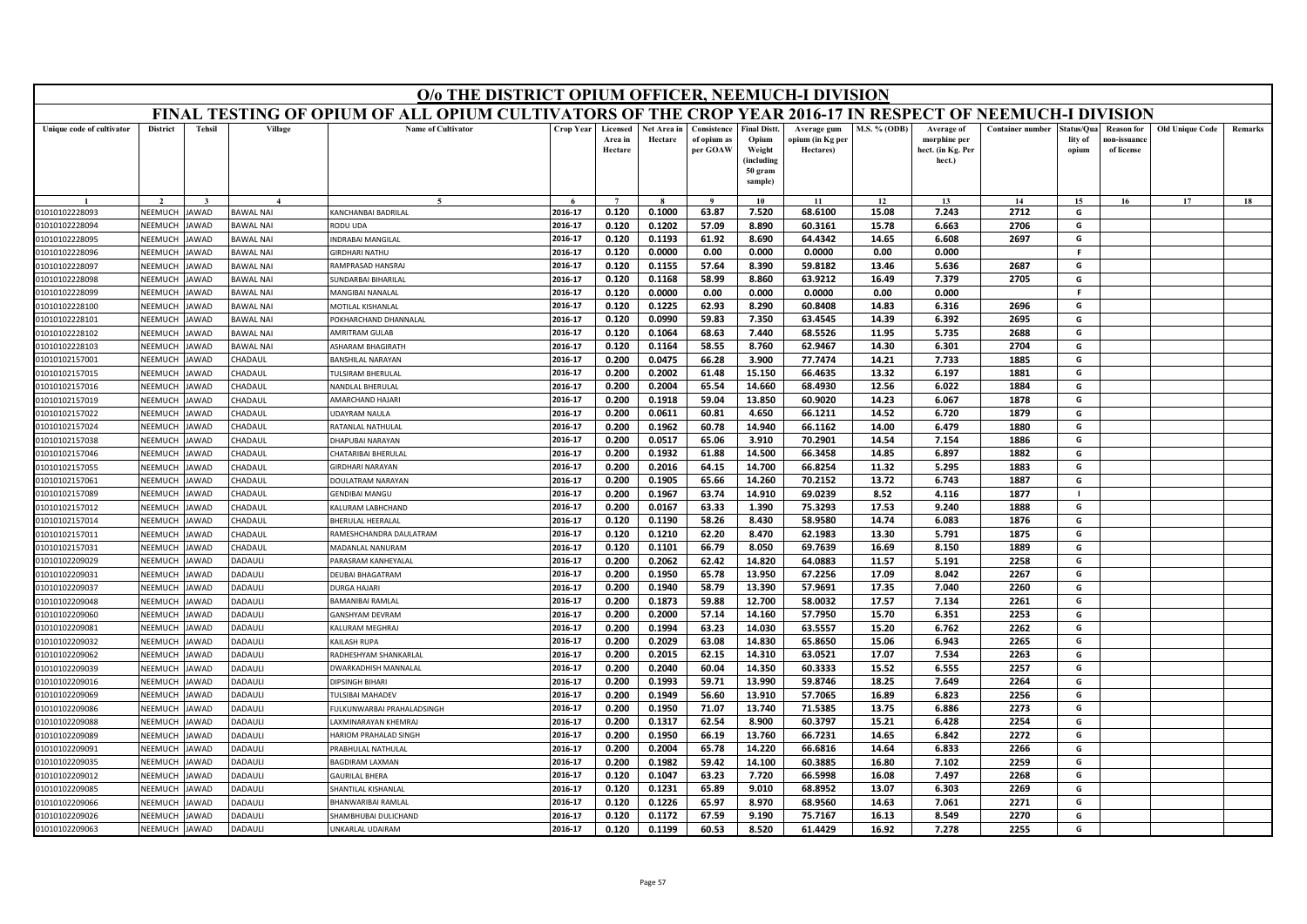|                                  | O/o THE DISTRICT OPIUM OFFICER, NEEMUCH-I DIVISION<br>FINAL TESTING OF OPIUM OF ALL OPIUM CULTIVATORS OF THE CROP YEAR 2016-17 IN RESPECT OF NEEMUCH-I DIVISION                                                                                                                                                     |                     |                                |                                                    |                    |                                |                        |                                        |                                                                            |                                              |                |                                                           |                         |                               |                                                |                        |         |
|----------------------------------|---------------------------------------------------------------------------------------------------------------------------------------------------------------------------------------------------------------------------------------------------------------------------------------------------------------------|---------------------|--------------------------------|----------------------------------------------------|--------------------|--------------------------------|------------------------|----------------------------------------|----------------------------------------------------------------------------|----------------------------------------------|----------------|-----------------------------------------------------------|-------------------------|-------------------------------|------------------------------------------------|------------------------|---------|
|                                  |                                                                                                                                                                                                                                                                                                                     |                     |                                |                                                    |                    |                                |                        |                                        |                                                                            |                                              |                |                                                           |                         |                               |                                                |                        |         |
| Unique code of cultivator        | <b>District</b>                                                                                                                                                                                                                                                                                                     | <b>Tehsil</b>       | Village                        | Name of Cultivator                                 | Crop Year          | Licensed<br>Area in<br>Hectare | Net Area in<br>Hectare | Consistence<br>of opium as<br>per GOAW | <b>Final Distt.</b><br>Opium<br>Weight<br>(including<br>50 gram<br>sample) | Average gum<br>opium (in Kg per<br>Hectares) | M.S. % (ODB)   | Average of<br>morphine per<br>hect. (in Kg. Per<br>hect.) | <b>Container number</b> | Status/Qu<br>lity of<br>opium | <b>Reason</b> for<br>10n-issuanc<br>of license | <b>Old Unique Code</b> | Remarks |
|                                  |                                                                                                                                                                                                                                                                                                                     |                     |                                |                                                    |                    |                                |                        | $\mathbf{Q}$                           | 10                                                                         | 11                                           | 12             | 13                                                        | 14                      | 15                            | 16                                             | 17                     | 18      |
| 01010102228093                   | NEEMUCH                                                                                                                                                                                                                                                                                                             | JAWAD               | <b>BAWAL NAI</b>               | KANCHANBAI BADRILAL                                | 2016-17            | 0.120                          | 0.1000                 | 63.87                                  | 7.520                                                                      | 68.6100                                      | 15.08          | 7.243                                                     | 2712                    | G                             |                                                |                        |         |
| 01010102228094                   | 8.890<br>2016-17<br>0.120<br>0.1202<br>57.09<br>60.3161<br>6.663<br>2706<br>G<br>NEEMUCH<br><b>AWAD</b><br><b>BAWAL NAI</b><br>ODU UDA<br>15.78<br>NEEMUCH<br><b>IDRABAI MANGILAL</b><br>2016-17<br>0.120<br>0.1193<br>61.92<br>8.690<br>64.4342<br>14.65<br>6.608<br>2697<br>G<br><b>JAWAD</b><br><b>BAWAL NAI</b> |                     |                                |                                                    |                    |                                |                        |                                        |                                                                            |                                              |                |                                                           |                         |                               |                                                |                        |         |
| 01010102228095                   |                                                                                                                                                                                                                                                                                                                     |                     |                                |                                                    |                    |                                |                        |                                        |                                                                            |                                              |                |                                                           |                         |                               |                                                |                        |         |
| 01010102228096                   | NEEMUCH<br>AWAD<br><b>SIRDHARI NATHU</b><br>2016-17<br>0.120<br>0.0000<br>0.00<br>0.000<br>0.0000<br>0.00<br>0.000<br>F.<br><b>BAWAL NAI</b>                                                                                                                                                                        |                     |                                |                                                    |                    |                                |                        |                                        |                                                                            |                                              |                |                                                           |                         |                               |                                                |                        |         |
| 01010102228097                   | NEEMUCH                                                                                                                                                                                                                                                                                                             | AWAD                | <b>BAWAL NAI</b>               | RAMPRASAD HANSRAJ                                  | 2016-17            | 0.120                          | 0.1155                 | 57.64                                  | 8.390                                                                      | 59.8182                                      | 13.46          | 5.636                                                     | 2687                    | G                             |                                                |                        |         |
| 01010102228098                   | NEEMUCH                                                                                                                                                                                                                                                                                                             | AWAD                | <b>BAWAL NAI</b>               | UNDARBAI BIHARILAL                                 | 2016-17            | 0.120                          | 0.1168                 | 58.99                                  | 8.860                                                                      | 63.9212                                      | 16.49          | 7.379                                                     | 2705                    | G                             |                                                |                        |         |
| 01010102228099                   | NEEMUCH                                                                                                                                                                                                                                                                                                             | <b>JAWAD</b>        | <b>BAWAL NAI</b>               | MANGIBAI NANALAL                                   | 2016-17            | 0.120                          | 0.0000                 | 0.00                                   | 0.000                                                                      | 0.0000                                       | 0.00           | 0.000                                                     |                         | F.                            |                                                |                        |         |
| 01010102228100                   | NEEMUCH                                                                                                                                                                                                                                                                                                             | <b>AWAD</b>         | <b>BAWAL NAI</b>               | <b>MOTILAL KISHANLAI</b>                           | 2016-17            | 0.120                          | 0.1225                 | 62.93                                  | 8.290                                                                      | 60.8408                                      | 14.83          | 6.316                                                     | 2696                    | G                             |                                                |                        |         |
| 01010102228101                   | NEEMUCH                                                                                                                                                                                                                                                                                                             | <b>AWAD</b>         | <b>BAWAL NAI</b>               | OKHARCHAND DHANNALAL                               | 2016-17            | 0.120                          | 0.0990                 | 59.83                                  | 7.350                                                                      | 63.4545                                      | 14.39          | 6.392                                                     | 2695                    | G                             |                                                |                        |         |
| 01010102228102                   | <b>NEEMUCH</b>                                                                                                                                                                                                                                                                                                      | <b>JAWAD</b>        | <b>BAWAL NAI</b>               | AMRITRAM GULAB                                     | 2016-17            | 0.120                          | 0.1064                 | 68.63                                  | 7.440                                                                      | 68.5526                                      | 11.95          | 5.735                                                     | 2688                    | G                             |                                                |                        |         |
| 01010102228103                   | NEEMUCH                                                                                                                                                                                                                                                                                                             | JAWAD               | <b>BAWAL NAI</b>               | SHARAM BHAGIRATH                                   | 2016-17            | 0.120                          | 0.1164                 | 58.55                                  | 8.760                                                                      | 62.9467                                      | 14.30          | 6.301                                                     | 2704                    | G                             |                                                |                        |         |
| 01010102157001                   | NEEMUCH                                                                                                                                                                                                                                                                                                             | <b>AWAD</b>         | <b>HADAUL</b>                  | ANSHILAL NARAYAN                                   | 2016-17            | 0.200                          | 0.0475                 | 66.28                                  | 3.900                                                                      | 77.7474                                      | 14.21          | 7.733                                                     | 1885                    | G                             |                                                |                        |         |
| 01010102157015                   | NEEMUCH                                                                                                                                                                                                                                                                                                             | <b>AWAD</b>         | CHADAUL                        | ULSIRAM BHERULAL                                   | 2016-17            | 0.200                          | 0.2002                 | 61.48                                  | 15.150                                                                     | 66.4635                                      | 13.32          | 6.197                                                     | 1881                    | G                             |                                                |                        |         |
| 01010102157016                   | NEEMUCH                                                                                                                                                                                                                                                                                                             | <b>AWAD</b>         | <b>HADAUL</b>                  | VANDLAL BHERULAL                                   | 2016-17            | 0.200                          | 0.2004                 | 65.54                                  | 14.660                                                                     | 68.4930                                      | 12.56          | 6.022                                                     | 1884                    | G                             |                                                |                        |         |
| 01010102157019                   | NEEMUCH                                                                                                                                                                                                                                                                                                             | AWAD                | <b>HADAUL</b>                  | <b>MARCHAND HAJARI</b>                             | 2016-17            | 0.200                          | 0.1918                 | 59.04                                  | 13.850                                                                     | 60.9020                                      | 14.23          | 6.067                                                     | 1878                    | G                             |                                                |                        |         |
| 01010102157022                   | NEEMUCH                                                                                                                                                                                                                                                                                                             | <b>AWAD</b>         | <b>HADAUL</b>                  | <b>JDAYRAM NAULA</b>                               | 2016-17            | 0.200                          | 0.0611                 | 60.81                                  | 4.650                                                                      | 66.1211                                      | 14.52          | 6.720                                                     | 1879                    | G                             |                                                |                        |         |
| 01010102157024                   | NEEMUCH                                                                                                                                                                                                                                                                                                             | <b>AWAD</b>         | <b>HADAUL</b>                  | <b>RATANLAL NATHULAL</b>                           | 2016-17            | 0.200                          | 0.1962                 | 60.78                                  | 14.940                                                                     | 66.1162                                      | 14.00          | 6.479                                                     | 1880                    | G                             |                                                |                        |         |
| 01010102157038                   | NEEMUCH                                                                                                                                                                                                                                                                                                             | AWAD                | <b>HADAUL</b>                  | <b>HAPUBAI NARAYAN</b>                             | 2016-17            | 0.200                          | 0.0517                 | 65.06                                  | 3.910                                                                      | 70.2901                                      | 14.54          | 7.154                                                     | 1886                    | G                             |                                                |                        |         |
| 01010102157046                   | <b>NEEMUCH</b>                                                                                                                                                                                                                                                                                                      | <b>AWAD</b>         | <b>HADAUL</b>                  | HATARIBAI BHERULAL                                 | 2016-17            | 0.200                          | 0.1932                 | 61.88                                  | 14.500                                                                     | 66.3458                                      | 14.85          | 6.897                                                     | 1882                    | G                             |                                                |                        |         |
| 01010102157055                   | NEEMUCH                                                                                                                                                                                                                                                                                                             | <b>JAWAD</b>        | <b>HADAUL</b>                  | <b>IRDHARI NARAYAN</b>                             | 2016-17            | 0.200                          | 0.2016                 | 64.15                                  | 14.700                                                                     | 66.8254                                      | 11.32          | 5.295                                                     | 1883                    | G                             |                                                |                        |         |
| 01010102157061                   | NEEMUCH                                                                                                                                                                                                                                                                                                             | AWAD                | <b>HADAUL</b>                  | DOULATRAM NARAYAN                                  | 2016-17            | 0.200                          | 0.1905                 | 65.66                                  | 14.260                                                                     | 70.2152                                      | 13.72          | 6.743                                                     | 1887                    | G                             |                                                |                        |         |
| 01010102157089                   | NEEMUCH                                                                                                                                                                                                                                                                                                             | <b>AWAD</b>         | <b>HADAUL</b>                  | <b>GENDIBAI MANGU</b>                              | 2016-17            | 0.200                          | 0.1967                 | 63.74                                  | 14.910                                                                     | 69.0239                                      | 8.52           | 4.116                                                     | 1877                    | $\blacksquare$                |                                                |                        |         |
| 01010102157012                   | NEEMUCH                                                                                                                                                                                                                                                                                                             | <b>AWAD</b>         | <b>HADAUL</b>                  | ALURAM LABHCHAND                                   | 2016-17            | 0.200                          | 0.0167                 | 63.33                                  | 1.390                                                                      | 75.3293                                      | 17.53          | 9.240                                                     | 1888                    | G                             |                                                |                        |         |
| 01010102157014                   | NEEMUCH                                                                                                                                                                                                                                                                                                             | AWAD                | <b>HADAUL</b>                  | <b>BHERULAL HEERALAI</b>                           | 2016-17            | 0.120                          | 0.1190                 | 58.26                                  | 8.430                                                                      | 58.9580                                      | 14.74          | 6.083                                                     | 1876                    | G                             |                                                |                        |         |
| 01010102157011                   | NEEMUCH                                                                                                                                                                                                                                                                                                             | <b>AWAD</b>         | <b>HADAUL</b>                  | RAMESHCHANDRA DAULATRAM                            | 2016-17            | 0.120                          | 0.1210                 | 62.20                                  | 8.470                                                                      | 62.1983                                      | 13.30          | 5.791                                                     | 1875                    | G                             |                                                |                        |         |
| 01010102157031                   | NEEMUCH                                                                                                                                                                                                                                                                                                             | <b>AWAD</b>         | <b>HADAUL</b>                  | MADANLAL NANURAM                                   | 2016-17            | 0.120                          | 0.1101                 | 66.79                                  | 8.050                                                                      | 69.7639                                      | 16.69          | 8.150                                                     | 1889                    | G                             |                                                |                        |         |
| 01010102209029                   | NEEMUCH                                                                                                                                                                                                                                                                                                             | AWAD                | ADAULI                         | ARASRAM KANHEYALAI                                 | 2016-17            | 0.200                          | 0.2062                 | 62.42                                  | 14.820                                                                     | 64.0883                                      | 11.57          | 5.191                                                     | 2258                    | G                             |                                                |                        |         |
| 01010102209031                   | NEEMUCH                                                                                                                                                                                                                                                                                                             | <b>AWAD</b>         | <b>ADAULI</b>                  | <b>DEUBAI BHAGATRAM</b>                            | 2016-17            | 0.200                          | 0.1950                 | 65.78                                  | 13.950                                                                     | 67.2256                                      | 17.09          | 8.042                                                     | 2267                    | G                             |                                                |                        |         |
| 01010102209037                   | NEEMUCH                                                                                                                                                                                                                                                                                                             | AWAD                | <b>ADAULI</b>                  | <b>DURGA HAJARI</b>                                | 2016-17            | 0.200                          | 0.1940                 | 58.79                                  | 13.390                                                                     | 57.9691                                      | 17.35          | 7.040                                                     | 2260                    | G                             |                                                |                        |         |
| 01010102209048                   | NEEMUCH                                                                                                                                                                                                                                                                                                             | <b>AWAD</b>         | <b>ADAULI</b>                  | <b>BAMANIBAI RAMLAI</b>                            | 2016-17            | 0.200                          | 0.1873                 | 59.88                                  | 12.700                                                                     | 58.0032                                      | 17.57          | 7.134                                                     | 2261                    | G                             |                                                |                        |         |
| 01010102209060                   | NEEMUCH                                                                                                                                                                                                                                                                                                             | AWAD                | <b>ADAULI</b>                  | <b>GANSHYAM DEVRAM</b>                             | 2016-17            | 0.200                          | 0.2000                 | 57.14                                  | 14.160                                                                     | 57.7950                                      | 15.70          | 6.351                                                     | 2253                    | G                             |                                                |                        |         |
| 01010102209081                   | NEEMUCH                                                                                                                                                                                                                                                                                                             | <b>AWAD</b>         | <b>ADAULI</b>                  | ALURAM MEGHRAJ                                     | 2016-17            | 0.200                          | 0.1994                 | 63.23                                  | 14.030                                                                     | 63.5557                                      | 15.20          | 6.762                                                     | 2262                    | G                             |                                                |                        |         |
| 01010102209032                   | <b>NEEMUCH</b>                                                                                                                                                                                                                                                                                                      | <b>JAWAD</b>        | <b>ADAULI</b>                  | KAILASH RUPA                                       | 2016-17            | 0.200                          | 0.2029                 | 63.08                                  | 14.830                                                                     | 65.8650                                      | 15.06          | 6.943                                                     | 2265                    | G                             |                                                |                        |         |
| 01010102209062                   | NEEMUCH                                                                                                                                                                                                                                                                                                             | JAWAD               | <b>ADAULI</b>                  | RADHESHYAM SHANKARLAL                              | 2016-17            | 0.200                          | 0.2015                 | 62.15                                  | 14.310                                                                     | 63.0521                                      | 17.07          | 7.534                                                     | 2263                    | G                             |                                                |                        |         |
| 01010102209039                   | NEEMUCH                                                                                                                                                                                                                                                                                                             | AWAD                | <b>ADAULI</b>                  | WARKADHISH MANNALAL                                | 2016-17            | 0.200                          | 0.2040                 | 60.04                                  | 14.350                                                                     | 60.3333                                      | 15.52          | 6.555                                                     | 2257                    | G                             |                                                |                        |         |
| 01010102209016                   | NEEMUCH                                                                                                                                                                                                                                                                                                             | <b>AWAD</b>         | <b>ADAULI</b>                  | <b>DIPSINGH BIHARI</b>                             | 2016-17            | 0.200                          | 0.1993                 | 59.71                                  | 13.990                                                                     | 59.8746                                      | 18.25          | 7.649                                                     | 2264                    | G                             |                                                |                        |         |
| 01010102209069                   | NEEMUCH                                                                                                                                                                                                                                                                                                             | AWAD                | <b>ADAULI</b>                  | <b>ULSIBAI MAHADEV</b>                             | 2016-17            | 0.200                          | 0.1949                 | 56.60                                  | 13.910<br>13.740                                                           | 57.7065                                      | 16.89          | 6.823                                                     | 2256<br>2273            | G<br>G                        |                                                |                        |         |
| 01010102209086                   | NEEMUCH                                                                                                                                                                                                                                                                                                             | AWAD                | <b>ADAULI</b>                  | ULKUNWARBAI PRAHALADSINGH                          | 2016-17            | 0.200                          | 0.1950                 | 71.07                                  |                                                                            | 71.5385                                      | 13.75          | 6.886                                                     |                         | G                             |                                                |                        |         |
| 01010102209088                   | NEEMUCH                                                                                                                                                                                                                                                                                                             | <b>AWAD</b>         | <b>ADAULI</b>                  | AXMINARAYAN KHEMRA<br><b>HARIOM PRAHALAD SINGH</b> | 2016-17<br>2016-17 | 0.200<br>0.200                 | 0.1317<br>0.1950       | 62.54<br>66.19                         | 8.900<br>13.760                                                            | 60.3797<br>66.7231                           | 15.21<br>14.65 | 6.428<br>6.842                                            | 2254<br>2272            | G                             |                                                |                        |         |
| 01010102209089                   | NEEMUCH                                                                                                                                                                                                                                                                                                             | AWAD                | <b>ADAULI</b>                  |                                                    |                    |                                |                        |                                        |                                                                            |                                              |                |                                                           |                         | G                             |                                                |                        |         |
| 01010102209091                   | NEEMUCH<br>NFFMUCH                                                                                                                                                                                                                                                                                                  | AWAD                | <b>ADAULI</b>                  | RABHULAL NATHULAL                                  | 2016-17<br>2016-17 | 0.200<br>0.200                 | 0.2004<br>0.1982       | 65.78<br>59.42                         | 14.220<br>14.100                                                           | 66.6816<br>60.3885                           | 14.64<br>16.80 | 6.833<br>7.102                                            | 2266<br>2259            | G                             |                                                |                        |         |
| 01010102209035<br>01010102209012 | NEEMUCH                                                                                                                                                                                                                                                                                                             | AWAD<br><b>AWAD</b> | <b>ADAULI</b><br><b>ADAULI</b> | BAGDIRAM LAXMAN                                    | 2016-17            | 0.120                          | 0.1047                 | 63.23                                  | 7.720                                                                      | 66.5998                                      | 16.08          | 7.497                                                     | 2268                    | G                             |                                                |                        |         |
| 01010102209085                   | NEEMUCH                                                                                                                                                                                                                                                                                                             | AWAD                | <b>ADAULI</b>                  | <b>AURILAL BHERA</b><br>HANTILAL KISHANLAL         | 2016-17            | 0.120                          | 0.1231                 | 65.89                                  | 9.010                                                                      | 68.8952                                      | 13.07          | 6.303                                                     | 2269                    | G                             |                                                |                        |         |
| 01010102209066                   | NEEMUCH                                                                                                                                                                                                                                                                                                             | <b>AWAD</b>         | <b>ADAULI</b>                  | <b>BHANWARIBAI RAMLAI</b>                          | 2016-17            | 0.120                          | 0.1226                 | 65.97                                  | 8.970                                                                      | 68.9560                                      | 14.63          | 7.061                                                     | 2271                    | G                             |                                                |                        |         |
| 01010102209026                   | NEEMUCH                                                                                                                                                                                                                                                                                                             | JAWAD               | <b>ADAULI</b>                  | HAMBHUBAI DULICHAND                                | 2016-17            | 0.120                          | 0.1172                 | 67.59                                  | 9.190                                                                      | 75.7167                                      | 16.13          | 8.549                                                     | 2270                    | G                             |                                                |                        |         |
| 01010102209063                   | NEEMUCH                                                                                                                                                                                                                                                                                                             | <b>JAWAD</b>        | <b>ADAULI</b>                  | <b>JNKARLAL UDAIRAM</b>                            | 2016-17            | 0.120                          | 0.1199                 | 60.53                                  | 8.520                                                                      | 61.4429                                      | 16.92          | 7.278                                                     | 2255                    | G                             |                                                |                        |         |
|                                  |                                                                                                                                                                                                                                                                                                                     |                     |                                |                                                    |                    |                                |                        |                                        |                                                                            |                                              |                |                                                           |                         |                               |                                                |                        |         |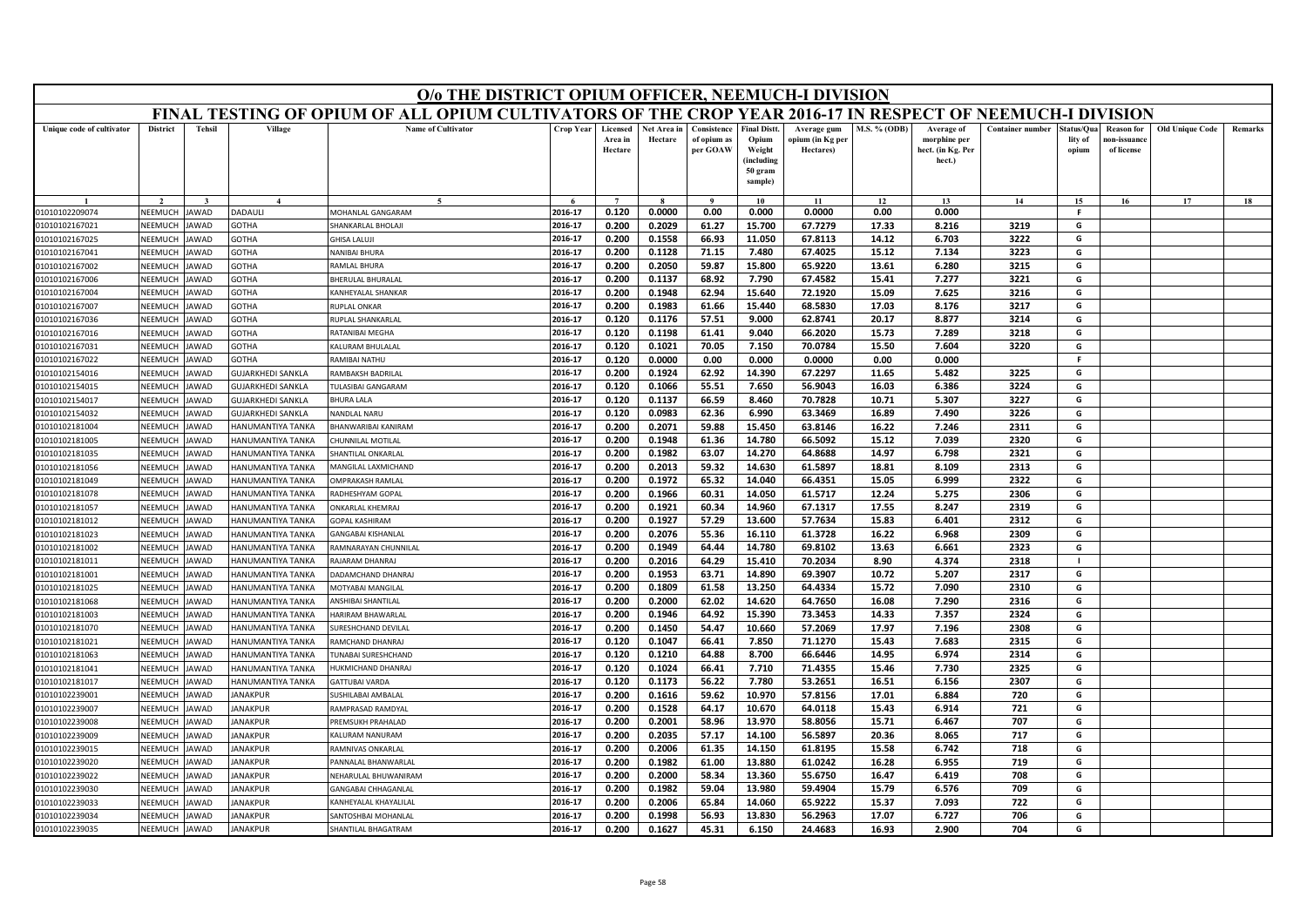|                                  | O/o THE DISTRICT OPIUM OFFICER, NEEMUCH-I DIVISION<br>FINAL TESTING OF OPIUM OF ALL OPIUM CULTIVATORS OF THE CROP YEAR 2016-17 IN RESPECT OF NEEMUCH-I DIVISION                                                                                                                                     |                     |                                               |                                                         |                    |                                |                        |                                        |                                                                            |                                              |                     |                                                           |                         |                                |                                                |                        |         |
|----------------------------------|-----------------------------------------------------------------------------------------------------------------------------------------------------------------------------------------------------------------------------------------------------------------------------------------------------|---------------------|-----------------------------------------------|---------------------------------------------------------|--------------------|--------------------------------|------------------------|----------------------------------------|----------------------------------------------------------------------------|----------------------------------------------|---------------------|-----------------------------------------------------------|-------------------------|--------------------------------|------------------------------------------------|------------------------|---------|
|                                  |                                                                                                                                                                                                                                                                                                     |                     |                                               |                                                         |                    |                                |                        |                                        |                                                                            |                                              |                     |                                                           |                         |                                |                                                |                        |         |
| Unique code of cultivator        | <b>District</b>                                                                                                                                                                                                                                                                                     | <b>Tehsil</b>       | Village                                       | <b>Name of Cultivator</b>                               | Crop Year          | Licensed<br>Area in<br>Hectare | Net Area in<br>Hectare | Consistence<br>of opium as<br>per GOAW | <b>Final Distt.</b><br>Opium<br>Weight<br>(including<br>50 gram<br>sample) | Average gum<br>opium (in Kg per<br>Hectares) | <b>M.S. % (ODB)</b> | Average of<br>morphine per<br>hect. (in Kg. Per<br>hect.) | <b>Container number</b> | itatus/Qua<br>lity of<br>opium | <b>Reason for</b><br>10n-issuanc<br>of license | <b>Old Unique Code</b> | Remarks |
|                                  |                                                                                                                                                                                                                                                                                                     |                     | $\boldsymbol{\Lambda}$                        |                                                         |                    | $\overline{ }$                 |                        | $\alpha$                               | 10                                                                         | 11                                           | 12                  | 13                                                        | 14                      | 15                             | 16                                             | 17                     | 18      |
| 01010102209074                   | NEEMUCH                                                                                                                                                                                                                                                                                             | AWAD                | <b>ADAULI</b>                                 | MOHANLAL GANGARAM                                       | 2016-17            | 0.120                          | 0.0000                 | 0.00                                   | 0.000                                                                      | 0.0000                                       | 0.00                | 0.000                                                     |                         | <b>F</b>                       |                                                |                        |         |
| 01010102167021                   | HANKARLAL BHOLAJI<br>2016-17<br>0.200<br>0.2029<br>61.27<br>15.700<br>67.7279<br>17.33<br>8.216<br>3219<br>G<br>NEEMUCH<br>AWAD<br><b>GOTHA</b><br>2016-17<br>0.1558<br>66.93<br>11.050<br>67.8113<br>14.12<br>3222<br>G<br>NEEMUCH<br>AWAD<br><b>GOTHA</b><br><b>HISA LALUJI</b><br>0.200<br>6.703 |                     |                                               |                                                         |                    |                                |                        |                                        |                                                                            |                                              |                     |                                                           |                         |                                |                                                |                        |         |
| 01010102167025                   |                                                                                                                                                                                                                                                                                                     |                     |                                               |                                                         |                    |                                |                        |                                        |                                                                            |                                              |                     |                                                           |                         |                                |                                                |                        |         |
| 01010102167041                   | 0.200<br>0.1128<br>71.15<br>7.480<br>67.4025<br>15.12<br>7.134<br>3223<br><b>NEEMUCH</b><br><b>GOTHA</b><br><b>NANIBAI BHURA</b><br>2016-17<br>G<br>AWAD                                                                                                                                            |                     |                                               |                                                         |                    |                                |                        |                                        |                                                                            |                                              |                     |                                                           |                         |                                |                                                |                        |         |
| 01010102167002                   | 2016-17<br>59.87<br>15.800<br>65.9220<br>13.61<br>6.280<br>3215<br>G<br>NEEMUCH<br>AWAD<br><b>GOTHA</b><br>AMLAL BHURA<br>0.200<br>0.2050                                                                                                                                                           |                     |                                               |                                                         |                    |                                |                        |                                        |                                                                            |                                              |                     |                                                           |                         |                                |                                                |                        |         |
| 01010102167006                   | NEEMUCH                                                                                                                                                                                                                                                                                             | <b>AWAD</b>         | <b>GOTHA</b>                                  | <b>BHERULAL BHURALAL</b>                                | 2016-17            | 0.200                          | 0.1137                 | 68.92                                  | 7.790                                                                      | 67.4582                                      | 15.41               | 7.277                                                     | 3221                    | G                              |                                                |                        |         |
| 01010102167004                   | NEEMUCH                                                                                                                                                                                                                                                                                             | AWAD                | <b>GOTHA</b>                                  | KANHEYALAL SHANKAR                                      | 2016-17            | 0.200                          | 0.1948                 | 62.94                                  | 15.640                                                                     | 72.1920                                      | 15.09               | 7.625                                                     | 3216                    | G                              |                                                |                        |         |
| 01010102167007                   | NEEMUCH                                                                                                                                                                                                                                                                                             | <b>AWAD</b>         | <b>GOTHA</b>                                  | <b>RUPLAL ONKAR</b>                                     | 2016-17            | 0.200                          | 0.1983                 | 61.66                                  | 15.440                                                                     | 68.5830                                      | 17.03               | 8.176                                                     | 3217                    | G                              |                                                |                        |         |
| 01010102167036                   | NEEMUCH                                                                                                                                                                                                                                                                                             | <b>AWAD</b>         | <b>GOTHA</b>                                  | <b>NUPLAL SHANKARLAL</b>                                | 2016-17            | 0.120                          | 0.1176                 | 57.51                                  | 9.000                                                                      | 62.8741                                      | 20.17               | 8.877                                                     | 3214                    | G                              |                                                |                        |         |
| 01010102167016                   | NEEMUCH                                                                                                                                                                                                                                                                                             | <b>AWAD</b>         | <b>GOTHA</b>                                  | RATANIBAI MEGHA                                         | 2016-17            | 0.120                          | 0.1198                 | 61.41                                  | 9.040                                                                      | 66.2020                                      | 15.73               | 7.289                                                     | 3218                    | G                              |                                                |                        |         |
| 01010102167031                   | NEEMUCH                                                                                                                                                                                                                                                                                             | AWAD                | <b>GOTHA</b>                                  | ALURAM BHULALAL                                         | 2016-17            | 0.120                          | 0.1021                 | 70.05                                  | 7.150                                                                      | 70.0784                                      | 15.50               | 7.604                                                     | 3220                    | G                              |                                                |                        |         |
| 01010102167022                   | NEEMUCH                                                                                                                                                                                                                                                                                             | AWAD                | <b>SOTHA</b>                                  | AMIBAI NATHU                                            | 2016-17            | 0.120                          | 0.0000                 | 0.00                                   | 0.000                                                                      | 0.0000                                       | 0.00                | 0.000                                                     |                         | F                              |                                                |                        |         |
| 01010102154016                   | NEEMUCH                                                                                                                                                                                                                                                                                             | AWAD                | <b>GUJARKHEDI SANKLA</b>                      | <b>AMBAKSH BADRILAL</b>                                 | 2016-17            | 0.200                          | 0.1924                 | 62.92                                  | 14.390                                                                     | 67.2297                                      | 11.65               | 5.482                                                     | 3225                    | G                              |                                                |                        |         |
| 01010102154015                   | <b>NEEMUCH</b>                                                                                                                                                                                                                                                                                      | AWAD                | <b>GUJARKHEDI SANKLA</b>                      | ULASIBAI GANGARAM                                       | 2016-17            | 0.120                          | 0.1066                 | 55.51                                  | 7.650                                                                      | 56.9043                                      | 16.03               | 6.386                                                     | 3224                    | G                              |                                                |                        |         |
| 01010102154017                   | NEEMUCH                                                                                                                                                                                                                                                                                             | AWAD                | <b>GUJARKHEDI SANKLA</b>                      | HURA LALA                                               | 2016-17            | 0.120                          | 0.1137                 | 66.59                                  | 8.460                                                                      | 70.7828                                      | 10.71               | 5.307                                                     | 3227                    | G                              |                                                |                        |         |
| 01010102154032                   | NEEMUCH                                                                                                                                                                                                                                                                                             | <b>AWAD</b>         | <b>GUJARKHEDI SANKLA</b>                      | NANDLAL NARU                                            | 2016-17            | 0.120                          | 0.0983                 | 62.36                                  | 6.990                                                                      | 63.3469                                      | 16.89               | 7.490                                                     | 3226                    | G                              |                                                |                        |         |
| 01010102181004                   | NEEMUCH                                                                                                                                                                                                                                                                                             | AWAD                | IANUMANTIYA TANKA                             | HANWARIBAI KANIRAM                                      | 2016-17            | 0.200                          | 0.2071                 | 59.88                                  | 15.450                                                                     | 63.8146                                      | 16.22               | 7.246                                                     | 2311                    | G                              |                                                |                        |         |
| 01010102181005                   | NEEMUCH                                                                                                                                                                                                                                                                                             | AWAD                | IANUMANTIYA TANKA                             | HUNNILAL MOTILAL                                        | 2016-17            | 0.200                          | 0.1948                 | 61.36                                  | 14.780                                                                     | 66.5092                                      | 15.12               | 7.039                                                     | 2320                    | G                              |                                                |                        |         |
| 01010102181035                   | NEEMUCH                                                                                                                                                                                                                                                                                             | AWAD                | <b>IANUMANTIYA TANKA</b>                      | <b>HANTILAL ONKARLAI</b>                                | 2016-17            | 0.200                          | 0.1982                 | 63.07                                  | 14.270                                                                     | 64.8688                                      | 14.97               | 6.798                                                     | 2321                    | G                              |                                                |                        |         |
| 01010102181056                   | NEEMUCH                                                                                                                                                                                                                                                                                             | AWAD                | <b>IANUMANTIYA TANKA</b>                      | <b>MANGILAL LAXMICHAND</b>                              | 2016-17            | 0.200                          | 0.2013                 | 59.32                                  | 14.630                                                                     | 61.5897                                      | 18.81               | 8.109                                                     | 2313                    | G                              |                                                |                        |         |
| 01010102181049                   | NEEMUCH                                                                                                                                                                                                                                                                                             | <b>AWAD</b>         | <b>ANUMANTIYA TANKA</b>                       | <b>MPRAKASH RAMLAI</b>                                  | 2016-17            | 0.200                          | 0.1972                 | 65.32                                  | 14.040                                                                     | 66.4351                                      | 15.05               | 6.999                                                     | 2322                    | G                              |                                                |                        |         |
| 01010102181078                   | NEEMUCH                                                                                                                                                                                                                                                                                             | <b>AWAD</b>         | <b>IANUMANTIYA TANKA</b>                      | ADHESHYAM GOPAL                                         | 2016-17            | 0.200                          | 0.1966                 | 60.31                                  | 14.050                                                                     | 61.5717                                      | 12.24               | 5.275                                                     | 2306                    | G                              |                                                |                        |         |
| 01010102181057                   | NEEMUCH                                                                                                                                                                                                                                                                                             | AWAD                | IANUMANTIYA TANKA                             | <b>INKARLAL KHFMRAI</b><br><b>OPAL KASHIRAN</b>         | 2016-17            | 0.200                          | 0.1921                 | 60.34                                  | 14.960<br>13.600                                                           | 67.1317<br>57.7634                           | 17.55               | 8.247                                                     | 2319<br>2312            | G<br>G                         |                                                |                        |         |
| 01010102181012                   | NEEMUCH<br>NEEMUCH                                                                                                                                                                                                                                                                                  | AWAD<br><b>AWAD</b> | IANUMANTIYA TANKA                             |                                                         | 2016-17<br>2016-17 | 0.200<br>0.200                 | 0.1927<br>0.2076       | 57.29<br>55.36                         | 16.110                                                                     | 61.3728                                      | 15.83<br>16.22      | 6.401<br>6.968                                            | 2309                    | G                              |                                                |                        |         |
| 01010102181023<br>01010102181002 | NFFMUCH                                                                                                                                                                                                                                                                                             | <b>AWAD</b>         | IANUMANTIYA TANKA<br><b>JANUMANTIYA TANKA</b> | <b>GANGABAI KISHANLAL</b><br><b>AMNARAYAN CHUNNILAL</b> | 2016-17            | 0.200                          | 0.1949                 | 64.44                                  | 14.780                                                                     | 69.8102                                      | 13.63               | 6.661                                                     | 2323                    | G                              |                                                |                        |         |
| 01010102181011                   | NEEMUCH                                                                                                                                                                                                                                                                                             | AWAD                | IANUMANTIYA TANKA                             | AJARAM DHANRA                                           | 2016-17            | 0.200                          | 0.2016                 | 64.29                                  | 15.410                                                                     | 70.2034                                      | 8.90                | 4.374                                                     | 2318                    | $\blacksquare$                 |                                                |                        |         |
| 01010102181001                   | NEEMUCH                                                                                                                                                                                                                                                                                             | AWAD                | <b>IANUMANTIYA TANKA</b>                      | ADAMCHAND DHANRAJ                                       | 2016-17            | 0.200                          | 0.1953                 | 63.71                                  | 14.890                                                                     | 69.3907                                      | 10.72               | 5.207                                                     | 2317                    | G                              |                                                |                        |         |
| 01010102181025                   | NEEMUCH                                                                                                                                                                                                                                                                                             | AWAD                | <b>IANUMANTIYA TANKA</b>                      | <b>MOTYABAI MANGILAI</b>                                | 2016-17            | 0.200                          | 0.1809                 | 61.58                                  | 13.250                                                                     | 64.4334                                      | 15.72               | 7.090                                                     | 2310                    | G                              |                                                |                        |         |
| 01010102181068                   | NEEMUCH                                                                                                                                                                                                                                                                                             | AWAD                | IANUMANTIYA TANKA                             | NSHIBAI SHANTILAL                                       | 2016-17            | 0.200                          | 0.2000                 | 62.02                                  | 14.620                                                                     | 64.7650                                      | 16.08               | 7.290                                                     | 2316                    | G                              |                                                |                        |         |
| 01010102181003                   | NEEMUCH                                                                                                                                                                                                                                                                                             | AWAD                | <b>IANUMANTIYA TANKA</b>                      | <b>IARIRAM BHAWARLAI</b>                                | 2016-17            | 0.200                          | 0.1946                 | 64.92                                  | 15.390                                                                     | 73.3453                                      | 14.33               | 7.357                                                     | 2324                    | G                              |                                                |                        |         |
| 01010102181070                   | NEEMUCH                                                                                                                                                                                                                                                                                             | AWAD                | <b>JANUMANTIYA TANKA</b>                      | <b>URESHCHAND DEVILAL</b>                               | 2016-17            | 0.200                          | 0.1450                 | 54.47                                  | 10.660                                                                     | 57.2069                                      | 17.97               | 7.196                                                     | 2308                    | G                              |                                                |                        |         |
| 01010102181021                   | <b>NEEMUCH</b>                                                                                                                                                                                                                                                                                      | AWAD                | <b>IANUMANTIYA TANKA</b>                      | AMCHAND DHANRA                                          | 2016-17            | 0.120                          | 0.1047                 | 66.41                                  | 7.850                                                                      | 71.1270                                      | 15.43               | 7.683                                                     | 2315                    | G                              |                                                |                        |         |
| 01010102181063                   | NEEMUCH                                                                                                                                                                                                                                                                                             | AWAD                | IANUMANTIYA TANKA                             | UNABAI SURESHCHAND                                      | 2016-17            | 0.120                          | 0.1210                 | 64.88                                  | 8.700                                                                      | 66.6446                                      | 14.95               | 6.974                                                     | 2314                    | G                              |                                                |                        |         |
| 01010102181041                   | NEEMUCH                                                                                                                                                                                                                                                                                             | <b>AWAD</b>         | <b>IANUMANTIYA TANKA</b>                      | IUKMICHAND DHANRAJ                                      | 2016-17            | 0.120                          | 0.1024                 | 66.41                                  | 7.710                                                                      | 71.4355                                      | 15.46               | 7.730                                                     | 2325                    | G                              |                                                |                        |         |
| 01010102181017                   | <b>NFFMUCH</b>                                                                                                                                                                                                                                                                                      | <b>AWAD</b>         | <b>HANUMANTIYA TANKA</b>                      | <b>SATTUBAI VARDA</b>                                   | 2016-17            | 0.120                          | 0.1173                 | 56.22                                  | 7.780                                                                      | 53.2651                                      | 16.51               | 6.156                                                     | 2307                    | G                              |                                                |                        |         |
| 01010102239001                   | NEEMUCH                                                                                                                                                                                                                                                                                             | AWAD                | ANAKPUR                                       | USHILABAI AMBALAL                                       | 2016-17            | 0.200                          | 0.1616                 | 59.62                                  | 10.970                                                                     | 57.8156                                      | 17.01               | 6.884                                                     | 720                     | G                              |                                                |                        |         |
| 01010102239007                   | NEEMUCH                                                                                                                                                                                                                                                                                             | <b>AWAD</b>         | ANAKPUR                                       | AMPRASAD RAMDYAL                                        | 2016-17            | 0.200                          | 0.1528                 | 64.17                                  | 10.670                                                                     | 64.0118                                      | 15.43               | 6.914                                                     | 721                     | G                              |                                                |                        |         |
| 01010102239008                   | NEEMUCH                                                                                                                                                                                                                                                                                             | AWAD                | ANAKPUR                                       | <b>REMSUKH PRAHALAD</b>                                 | 2016-17            | 0.200                          | 0.2001                 | 58.96                                  | 13.970                                                                     | 58.8056                                      | 15.71               | 6.467                                                     | 707                     | G                              |                                                |                        |         |
| 01010102239009                   | NEEMUCH                                                                                                                                                                                                                                                                                             | AWAD                | ANAKPUR                                       | ALURAM NANURAM                                          | 2016-17            | 0.200                          | 0.2035                 | 57.17                                  | 14.100                                                                     | 56.5897                                      | 20.36               | 8.065                                                     | 717                     | G                              |                                                |                        |         |
| 01010102239015                   | <b>NEEMUCH</b>                                                                                                                                                                                                                                                                                      | <b>AWAD</b>         | ANAKPUR                                       | AMNIVAS ONKARLAL                                        | 2016-17            | 0.200                          | 0.2006                 | 61.35                                  | 14.150                                                                     | 61.8195                                      | 15.58               | 6.742                                                     | 718                     | G                              |                                                |                        |         |
| 01010102239020                   | <b>NFFMUCH</b>                                                                                                                                                                                                                                                                                      | <b>AWAD</b>         | ANAKPUR                                       | ANNALAL BHANWARLAI                                      | 2016-17            | 0.200                          | 0.1982                 | 61.00                                  | 13.880                                                                     | 61.0242                                      | 16.28               | 6.955                                                     | 719                     | G                              |                                                |                        |         |
| 01010102239022                   | NEEMUCH                                                                                                                                                                                                                                                                                             | AWAD                | ANAKPUR                                       | <b>VEHARULAL BHUWANIRAM</b>                             | 2016-17            | 0.200                          | 0.2000                 | 58.34                                  | 13.360                                                                     | 55.6750                                      | 16.47               | 6.419                                                     | 708                     | G                              |                                                |                        |         |
| 01010102239030                   | <b>NEEMUCH</b>                                                                                                                                                                                                                                                                                      | <b>AWAD</b>         | ANAKPUR                                       | ANGABAI CHHAGANLAL                                      | 2016-17            | 0.200                          | 0.1982                 | 59.04                                  | 13.980                                                                     | 59.4904                                      | 15.79               | 6.576                                                     | 709                     | G                              |                                                |                        |         |
| 01010102239033                   | NEEMUCH                                                                                                                                                                                                                                                                                             | AWAD                | ANAKPUR                                       | (ANHEYALAL KHAYALILA)                                   | 2016-17            | 0.200                          | 0.2006                 | 65.84                                  | 14.060                                                                     | 65.9222                                      | 15.37               | 7.093                                                     | 722                     | G                              |                                                |                        |         |
| 01010102239034                   | NEEMUCH                                                                                                                                                                                                                                                                                             | JAWAD               | ANAKPUR                                       | <b>SANTOSHBAI MOHANLAL</b>                              | 2016-17            | 0.200                          | 0.1998                 | 56.93                                  | 13.830                                                                     | 56.2963                                      | 17.07               | 6.727                                                     | 706                     | G                              |                                                |                        |         |
| 01010102239035                   | NEEMUCH                                                                                                                                                                                                                                                                                             | JAWAD               | ANAKPUR                                       | <b>HANTILAL BHAGATRAM</b>                               | 2016-17            | 0.200                          | 0.1627                 | 45.31                                  | 6.150                                                                      | 24.4683                                      | 16.93               | 2.900                                                     | 704                     | G                              |                                                |                        |         |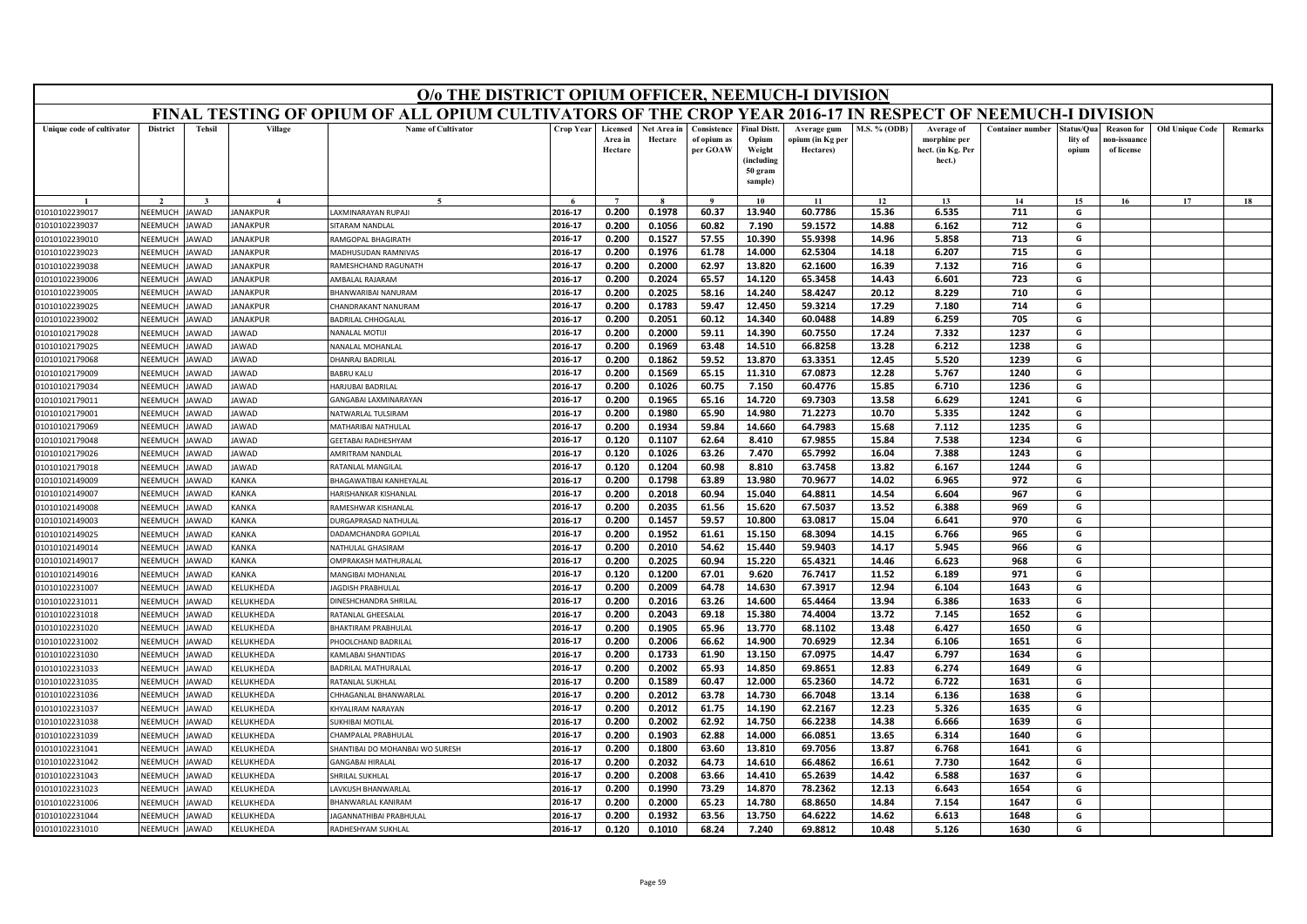|                                  | O/o THE DISTRICT OPIUM OFFICER, NEEMUCH-I DIVISION<br>FINAL TESTING OF OPIUM OF ALL OPIUM CULTIVATORS OF THE CROP YEAR 2016-17 IN RESPECT OF NEEMUCH-I DIVISION |                      |                       |                                           |                    |                                |                        |                                        |                                                                            |                                              |                     |                                                           |                         |                                |                                                |                        |         |
|----------------------------------|-----------------------------------------------------------------------------------------------------------------------------------------------------------------|----------------------|-----------------------|-------------------------------------------|--------------------|--------------------------------|------------------------|----------------------------------------|----------------------------------------------------------------------------|----------------------------------------------|---------------------|-----------------------------------------------------------|-------------------------|--------------------------------|------------------------------------------------|------------------------|---------|
|                                  |                                                                                                                                                                 |                      |                       |                                           |                    |                                |                        |                                        |                                                                            |                                              |                     |                                                           |                         |                                |                                                |                        |         |
| Unique code of cultivator        | <b>District</b>                                                                                                                                                 | <b>Tehsil</b>        | Village               | <b>Name of Cultivator</b>                 | <b>Crop Year</b>   | Licensed<br>Area in<br>Hectare | Net Area in<br>Hectare | Consistence<br>of opium as<br>per GOAW | <b>Final Distt.</b><br>Opium<br>Weight<br>(including<br>50 gram<br>sample) | Average gum<br>opium (in Kg per<br>Hectares) | <b>M.S. % (ODB)</b> | Average of<br>morphine per<br>hect. (in Kg. Per<br>hect.) | <b>Container number</b> | Status/Qua<br>lity of<br>opium | <b>Reason for</b><br>10n-issuanc<br>of license | <b>Old Unique Code</b> | Remarks |
|                                  |                                                                                                                                                                 |                      | $\overline{4}$        | $\tilde{\phantom{a}}$                     |                    | $\overline{7}$                 |                        | $\alpha$                               | 10                                                                         | 11                                           | 12                  | 13                                                        | 14                      | 15                             | 16                                             | 17                     | 18      |
| 01010102239017                   | NEEMUCH                                                                                                                                                         | JAWAD                | <b>JANAKPUR</b>       | LAXMINARAYAN RUPAJI                       | 2016-17            | 0.200                          | 0.1978                 | 60.37                                  | 13.940                                                                     | 60.7786                                      | 15.36               | 6.535                                                     | 711                     | G                              |                                                |                        |         |
| 01010102239037                   | NEEMUCH                                                                                                                                                         | JAWAD                | ANAKPUR               | SITARAM NANDLAI                           | 2016-17            | 0.200                          | 0.1056                 | 60.82                                  | 7.190                                                                      | 59.1572                                      | 14.88               | 6.162                                                     | 712                     | G                              |                                                |                        |         |
| 01010102239010                   | VEEMUCH                                                                                                                                                         | <b>JAWAD</b>         | ANAKPUR               | RAMGOPAL BHAGIRATH                        | 2016-17            | 0.200                          | 0.1527                 | 57.55                                  | 10.390                                                                     | 55.9398                                      | 14.96               | 5.858                                                     | 713                     | G                              |                                                |                        |         |
| 01010102239023                   | NEEMUCH                                                                                                                                                         | <b>JAWAD</b>         | <b>JANAKPUR</b>       | MADHUSUDAN RAMNIVAS                       | 2016-17            | 0.200                          | 0.1976                 | 61.78                                  | 14.000                                                                     | 62.5304                                      | 14.18               | 6.207                                                     | 715                     | G                              |                                                |                        |         |
| 01010102239038                   | NEEMUCH                                                                                                                                                         | <b>JAWAD</b>         | ANAKPUR               | RAMESHCHAND RAGUNATH                      | 2016-17            | 0.200                          | 0.2000                 | 62.97                                  | 13.820                                                                     | 62.1600                                      | 16.39               | 7.132                                                     | 716                     | G                              |                                                |                        |         |
| 01010102239006                   | NEEMUCH                                                                                                                                                         | <b>JAWAD</b>         | <b>JANAKPUR</b>       | AMBALAL RAJARAM                           | 2016-17            | 0.200                          | 0.2024                 | 65.57                                  | 14.120                                                                     | 65.3458                                      | 14.43               | 6.601                                                     | 723                     | G                              |                                                |                        |         |
| 01010102239005                   | NEEMUCI                                                                                                                                                         | <b>JAWAD</b>         | <b>JANAKPUR</b>       | BHANWARIBAI NANURAM                       | 2016-17            | 0.200                          | 0.2025                 | 58.16                                  | 14.240                                                                     | 58.4247                                      | 20.12               | 8.229                                                     | 710                     | G                              |                                                |                        |         |
| 01010102239025                   | NEEMUCH                                                                                                                                                         | <b>JAWAD</b>         | <b>JANAKPUR</b>       | CHANDRAKANT NANURAM                       | 2016-17            | 0.200                          | 0.1783                 | 59.47                                  | 12.450                                                                     | 59.3214                                      | 17.29               | 7.180                                                     | 714                     | G                              |                                                |                        |         |
| 01010102239002                   | NEEMUCH                                                                                                                                                         | <b>JAWAD</b>         | ANAKPUR               | <b>BADRILAL CHHOGALAL</b>                 | 2016-17            | 0.200                          | 0.2051                 | 60.12                                  | 14.340                                                                     | 60.0488                                      | 14.89               | 6.259                                                     | 705                     | G                              |                                                |                        |         |
| 01010102179028                   | NEEMUCH                                                                                                                                                         | <b>JAWAD</b>         | <b>JAWAD</b>          | NANALAL MOTIJ                             | 2016-17            | 0.200                          | 0.2000                 | 59.11                                  | 14.390                                                                     | 60.7550                                      | 17.24               | 7.332                                                     | 1237                    | G                              |                                                |                        |         |
| 01010102179025                   | NEEMUCH                                                                                                                                                         | <b>IAWAD</b>         | <b>JAWAD</b>          | NANALAL MOHANLAL                          | 2016-17            | 0.200                          | 0.1969                 | 63.48                                  | 14.510                                                                     | 66.8258                                      | 13.28               | 6.212                                                     | 1238                    | G                              |                                                |                        |         |
| 01010102179068                   | NEEMUCH                                                                                                                                                         | <b>JAWAD</b>         | AWAD                  | DHANRAJ BADRILAL                          | 2016-17            | 0.200                          | 0.1862                 | 59.52                                  | 13.870                                                                     | 63.3351                                      | 12.45               | 5.520                                                     | 1239                    | G                              |                                                |                        |         |
| 01010102179009                   | NFFMUCH                                                                                                                                                         | <b>JAWAD</b>         | JAWAD                 | <b>BABRU KALU</b>                         | 2016-17            | 0.200                          | 0.1569                 | 65.15                                  | 11.310                                                                     | 67.0873                                      | 12.28               | 5.767                                                     | 1240                    | G                              |                                                |                        |         |
| 01010102179034                   | NEEMUCH                                                                                                                                                         | <b>JAWAD</b>         | <b>JAWAD</b>          | HARJUBAI BADRILAL                         | 2016-17            | 0.200                          | 0.1026                 | 60.75                                  | 7.150                                                                      | 60.4776                                      | 15.85               | 6.710                                                     | 1236                    | G                              |                                                |                        |         |
| 01010102179011                   | NEEMUCH                                                                                                                                                         | <b>JAWAD</b>         | <b>JAWAD</b>          | GANGABAI LAXMINARAYAN                     | 2016-17            | 0.200                          | 0.1965                 | 65.16                                  | 14.720                                                                     | 69.7303                                      | 13.58               | 6.629                                                     | 1241                    | G                              |                                                |                        |         |
| 01010102179001                   | NEEMUCH                                                                                                                                                         | <b>JAWAD</b>         | <b>JAWAD</b>          | NATWARLAL TULSIRAM                        | 2016-17            | 0.200                          | 0.1980                 | 65.90                                  | 14.980                                                                     | 71.2273                                      | 10.70               | 5.335                                                     | 1242                    | G                              |                                                |                        |         |
| 01010102179069                   | NEEMUCH                                                                                                                                                         | <b>JAWAD</b>         | JAWAD                 | MATHARIBAI NATHULAL                       | 2016-17            | 0.200                          | 0.1934                 | 59.84                                  | 14.660                                                                     | 64.7983                                      | 15.68               | 7.112                                                     | 1235                    | G                              |                                                |                        |         |
| 01010102179048                   | NEEMUCH                                                                                                                                                         | <b>JAWAD</b>         | <b>JAWAD</b>          | GEETABAI RADHESHYAM                       | 2016-17            | 0.120                          | 0.1107                 | 62.64                                  | 8.410                                                                      | 67.9855                                      | 15.84               | 7.538                                                     | 1234                    | G                              |                                                |                        |         |
| 01010102179026                   | NFFMUCH                                                                                                                                                         | <b>JAWAD</b>         | JAWAD                 | AMRITRAM NANDLAL                          | 2016-17            | 0.120                          | 0.1026                 | 63.26                                  | 7.470                                                                      | 65.7992                                      | 16.04               | 7.388                                                     | 1243                    | G                              |                                                |                        |         |
| 01010102179018                   | NEEMUCH                                                                                                                                                         | JAWAD                | <b>JAWAD</b>          | RATANLAL MANGILAL                         | 2016-17            | 0.120                          | 0.1204                 | 60.98                                  | 8.810                                                                      | 63.7458                                      | 13.82               | 6.167                                                     | 1244                    | G                              |                                                |                        |         |
| 01010102149009                   | VEEMUCH                                                                                                                                                         | AWAD                 | <b>CANKA</b>          | BHAGAWATIBAI KANHEYALAI                   | 2016-17            | 0.200                          | 0.1798                 | 63.89                                  | 13.980                                                                     | 70.9677                                      | 14.02               | 6.965                                                     | 972                     | G                              |                                                |                        |         |
| 01010102149007                   | NEEMUCH                                                                                                                                                         | <b>JAWAD</b>         | <b>KANKA</b>          | HARISHANKAR KISHANLAL                     | 2016-17            | 0.200                          | 0.2018                 | 60.94                                  | 15.040                                                                     | 64.8811                                      | 14.54               | 6.604                                                     | 967                     | G                              |                                                |                        |         |
| 01010102149008                   | NEEMUCH                                                                                                                                                         | <b>JAWAD</b>         | <b>KANKA</b>          | RAMESHWAR KISHANLAL                       | 2016-17            | 0.200                          | 0.2035<br>0.1457       | 61.56                                  | 15.620                                                                     | 67.5037                                      | 13.52<br>15.04      | 6.388                                                     | 969<br>970              | G                              |                                                |                        |         |
| 01010102149003                   | NEEMUCH<br>NEEMUCH                                                                                                                                              | AWAD<br><b>JAWAD</b> | KANKA<br><b>KANKA</b> | DURGAPRASAD NATHULAI                      | 2016-17<br>2016-17 | 0.200<br>0.200                 | 0.1952                 | 59.57<br>61.61                         | 10.800<br>15.150                                                           | 63.0817<br>68.3094                           | 14.15               | 6.641<br>6.766                                            | 965                     | G<br>G                         |                                                |                        |         |
| 01010102149025<br>01010102149014 | NEEMUCH                                                                                                                                                         | <b>AWAD</b>          | <b>KANKA</b>          | DADAMCHANDRA GOPILAL<br>NATHULAL GHASIRAM | 2016-17            | 0.200                          | 0.2010                 | 54.62                                  | 15.440                                                                     | 59.9403                                      | 14.17               | 5.945                                                     | 966                     | G                              |                                                |                        |         |
| 01010102149017                   | NEEMUCH                                                                                                                                                         | <b>JAWAD</b>         | KANKA                 | OMPRAKASH MATHURALAL                      | 2016-17            | 0.200                          | 0.2025                 | 60.94                                  | 15.220                                                                     | 65.4321                                      | 14.46               | 6.623                                                     | 968                     | G                              |                                                |                        |         |
| 01010102149016                   | NEEMUCH                                                                                                                                                         | <b>JAWAD</b>         | KANKA                 | MANGIBAI MOHANLAL                         | 2016-17            | 0.120                          | 0.1200                 | 67.01                                  | 9.620                                                                      | 76.7417                                      | 11.52               | 6.189                                                     | 971                     | G                              |                                                |                        |         |
| 01010102231007                   | NEEMUCH                                                                                                                                                         | <b>JAWAD</b>         | KELUKHEDA             | <b>AGDISH PRABHULAL</b>                   | 2016-17            | 0.200                          | 0.2009                 | 64.78                                  | 14.630                                                                     | 67.3917                                      | 12.94               | 6.104                                                     | 1643                    | G                              |                                                |                        |         |
| 01010102231011                   | NEEMUCH                                                                                                                                                         | <b>JAWAD</b>         | <b>KELUKHEDA</b>      | DINESHCHANDRA SHRILAL                     | 2016-17            | 0.200                          | 0.2016                 | 63.26                                  | 14.600                                                                     | 65.4464                                      | 13.94               | 6.386                                                     | 1633                    | G                              |                                                |                        |         |
| 01010102231018                   | NEEMUCH                                                                                                                                                         | <b>AWAD</b>          | KELUKHEDA             | RATANLAL GHEESALAL                        | 2016-17            | 0.200                          | 0.2043                 | 69.18                                  | 15.380                                                                     | 74.4004                                      | 13.72               | 7.145                                                     | 1652                    | G                              |                                                |                        |         |
| 01010102231020                   | NEEMUCH                                                                                                                                                         | <b>JAWAD</b>         | KELUKHEDA             | <b>BHAKTIRAM PRABHULAL</b>                | 2016-17            | 0.200                          | 0.1905                 | 65.96                                  | 13.770                                                                     | 68.1102                                      | 13.48               | 6.427                                                     | 1650                    | G                              |                                                |                        |         |
| 01010102231002                   | NEEMUCH                                                                                                                                                         | <b>JAWAD</b>         | KELUKHEDA             | PHOOLCHAND BADRILAI                       | 2016-17            | 0.200                          | 0.2006                 | 66.62                                  | 14.900                                                                     | 70.6929                                      | 12.34               | 6.106                                                     | 1651                    | G                              |                                                |                        |         |
| 01010102231030                   | NEEMUCH                                                                                                                                                         | <b>IAWAD</b>         | KELUKHEDA             | <b>KAMLABAI SHANTIDAS</b>                 | 2016-17            | 0.200                          | 0.1733                 | 61.90                                  | 13.150                                                                     | 67.0975                                      | 14.47               | 6.797                                                     | 1634                    | G                              |                                                |                        |         |
| 01010102231033                   | VEEMUCI                                                                                                                                                         | AWAD                 | KELUKHEDA             | BADRILAL MATHURALAL                       | 2016-17            | 0.200                          | 0.2002                 | 65.93                                  | 14.850                                                                     | 69.8651                                      | 12.83               | 6.274                                                     | 1649                    | G                              |                                                |                        |         |
| 01010102231035                   | <b>NFFMUCH</b>                                                                                                                                                  | <b>JAWAD</b>         | KELUKHEDA             | RATANLAL SUKHLAL                          | 2016-17            | 0.200                          | 0.1589                 | 60.47                                  | 12.000                                                                     | 65.2360                                      | 14.72               | 6.722                                                     | 1631                    | G                              |                                                |                        |         |
| 01010102231036                   | NEEMUCH                                                                                                                                                         | AWAD                 | KELUKHEDA             | HHAGANLAL BHANWARLAL                      | 2016-17            | 0.200                          | 0.2012                 | 63.78                                  | 14.730                                                                     | 66.7048                                      | 13.14               | 6.136                                                     | 1638                    | G                              |                                                |                        |         |
| 01010102231037                   | VEEMUCH                                                                                                                                                         | AWAD                 | <b>CELUKHEDA</b>      | KHYALIRAM NARAYAN                         | 2016-17            | 0.200                          | 0.2012                 | 61.75                                  | 14.190                                                                     | 62.2167                                      | 12.23               | 5.326                                                     | 1635                    | G                              |                                                |                        |         |
| 01010102231038                   | NEEMUCH                                                                                                                                                         | <b>JAWAD</b>         | KELUKHEDA             | SUKHIBAI MOTILAI                          | 2016-17            | 0.200                          | 0.2002                 | 62.92                                  | 14.750                                                                     | 66.2238                                      | 14.38               | 6.666                                                     | 1639                    | G                              |                                                |                        |         |
| 01010102231039                   | NEEMUCH                                                                                                                                                         | <b>IAWAD</b>         | KELUKHEDA             | HAMPALAL PRABHULAL                        | 2016-17            | 0.200                          | 0.1903                 | 62.88                                  | 14.000                                                                     | 66.0851                                      | 13.65               | 6.314                                                     | 1640                    | G                              |                                                |                        |         |
| 01010102231041                   | VEEMUCI                                                                                                                                                         | AWAD                 | <b>CELUKHEDA</b>      | SHANTIBAI DO MOHANBAI WO SURESH           | 2016-17            | 0.200                          | 0.1800                 | 63.60                                  | 13.810                                                                     | 69.7056                                      | 13.87               | 6.768                                                     | 1641                    | G                              |                                                |                        |         |
| 01010102231042                   | <b>NFFMUCH</b>                                                                                                                                                  | <b>JAWAD</b>         | KELUKHEDA             | <b>GANGABAI HIRALAL</b>                   | 2016-17            | 0.200                          | 0.2032                 | 64.73                                  | 14.610                                                                     | 66.4862                                      | 16.61               | 7.730                                                     | 1642                    | G                              |                                                |                        |         |
| 01010102231043                   | NEEMUCH                                                                                                                                                         | <b>IAWAD</b>         | KELUKHEDA             | <b>HRILAL SUKHLAL</b>                     | 2016-17            | 0.200                          | 0.2008                 | 63.66                                  | 14.410                                                                     | 65.2639                                      | 14.42               | 6.588                                                     | 1637                    | G                              |                                                |                        |         |
| 01010102231023                   | VEEMUCI                                                                                                                                                         | AWAD                 | KELUKHEDA             | AVKUSH BHANWARLAL                         | 2016-17            | 0.200                          | 0.1990                 | 73.29                                  | 14.870                                                                     | 78.2362                                      | 12.13               | 6.643                                                     | 1654                    | G                              |                                                |                        |         |
| 01010102231006                   | NEEMUCH                                                                                                                                                         | <b>JAWAD</b>         | KELUKHEDA             | <b>BHANWARLAL KANIRAM</b>                 | 2016-17            | 0.200                          | 0.2000                 | 65.23                                  | 14.780                                                                     | 68.8650                                      | 14.84               | 7.154                                                     | 1647                    | G                              |                                                |                        |         |
| 01010102231044                   | NEEMUCH                                                                                                                                                         | <b>JAWAD</b>         | KELUKHEDA             | AGANNATHIBAI PRABHULAL                    | 2016-17            | 0.200                          | 0.1932                 | 63.56                                  | 13.750                                                                     | 64.6222                                      | 14.62               | 6.613                                                     | 1648                    | G                              |                                                |                        |         |
| 01010102231010                   | NEEMUCH                                                                                                                                                         | <b>JAWAD</b>         | <b>KELUKHEDA</b>      | RADHESHYAM SUKHLAL                        | 2016-17            | 0.120                          | 0.1010                 | 68.24                                  | 7.240                                                                      | 69.8812                                      | 10.48               | 5.126                                                     | 1630                    | G                              |                                                |                        |         |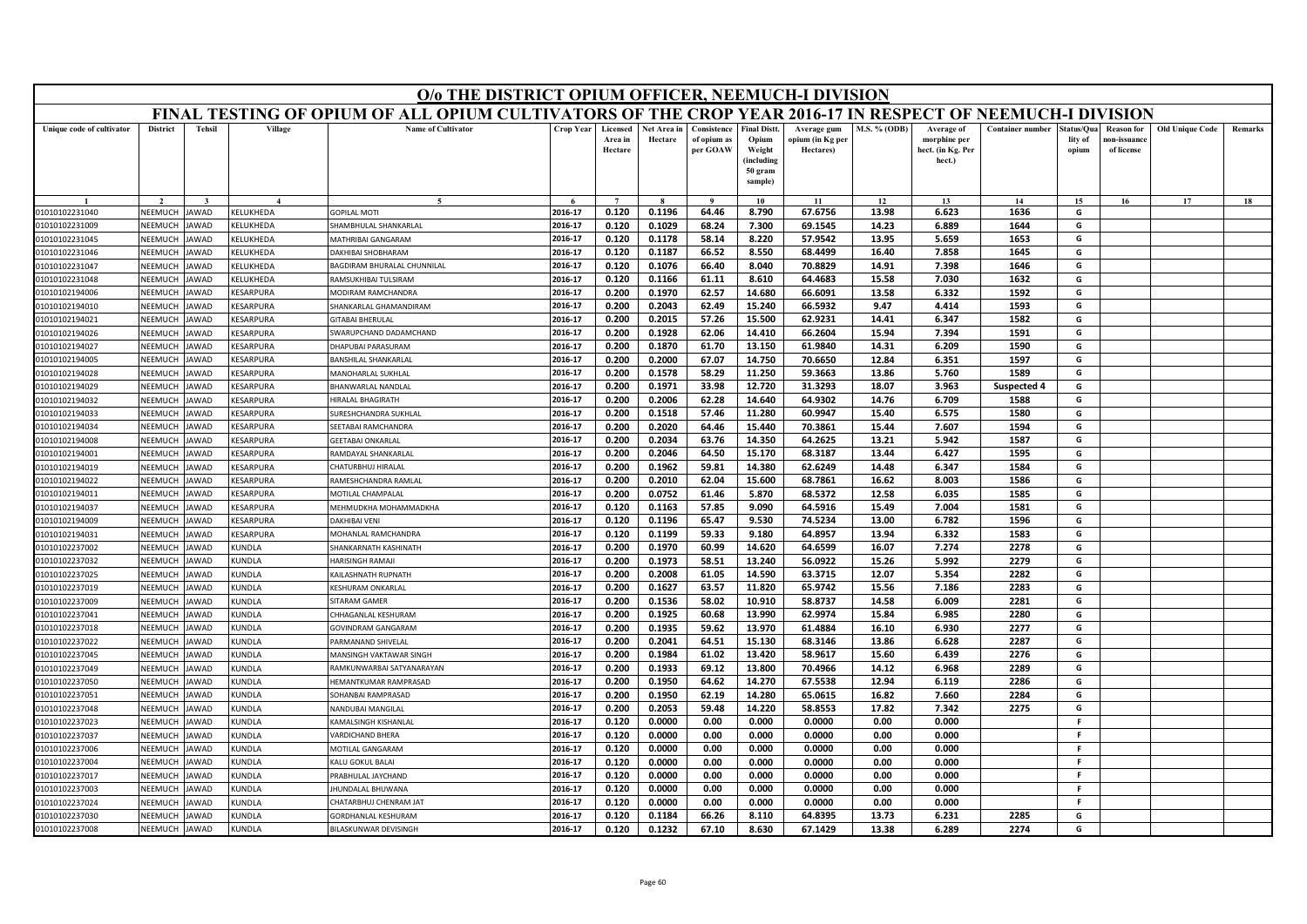|                           | O/o THE DISTRICT OPIUM OFFICER, NEEMUCH-I DIVISION<br>FINAL TESTING OF OPIUM OF ALL OPIUM CULTIVATORS OF THE CROP YEAR 2016-17 IN RESPECT OF NEEMUCH-I DIVISION                                                                                                                                                    |               |                         |                                   |                  |                                |                        |                                        |                                                                           |                                              |              |                                                           |                         |                                |                                                |                        |         |
|---------------------------|--------------------------------------------------------------------------------------------------------------------------------------------------------------------------------------------------------------------------------------------------------------------------------------------------------------------|---------------|-------------------------|-----------------------------------|------------------|--------------------------------|------------------------|----------------------------------------|---------------------------------------------------------------------------|----------------------------------------------|--------------|-----------------------------------------------------------|-------------------------|--------------------------------|------------------------------------------------|------------------------|---------|
|                           |                                                                                                                                                                                                                                                                                                                    |               |                         |                                   |                  |                                |                        |                                        |                                                                           |                                              |              |                                                           |                         |                                |                                                |                        |         |
| Unique code of cultivator | <b>District</b>                                                                                                                                                                                                                                                                                                    | <b>Tehsil</b> | Village                 | <b>Name of Cultivator</b>         | <b>Crop Year</b> | Licensed<br>Area in<br>Hectare | Net Area in<br>Hectare | Consistence<br>of opium as<br>per GOAW | <b>Final Distt</b><br>Opium<br>Weight<br>(including<br>50 gram<br>sample) | Average gum<br>opium (in Kg per<br>Hectares) | M.S. % (ODB) | Average of<br>morphine per<br>hect. (in Kg. Per<br>hect.) | <b>Container number</b> | štatus/Oua<br>lity of<br>opium | <b>Reason for</b><br>ıon-issuanc<br>of license | <b>Old Unique Code</b> | Remarks |
|                           |                                                                                                                                                                                                                                                                                                                    |               |                         | $\tilde{\phantom{a}}$             |                  | $\overline{7}$                 |                        |                                        | 10                                                                        | 11                                           | 12           | 13                                                        | 14                      | 15                             | 16                                             | 17                     | 18      |
| 01010102231040            | NEEMUCH                                                                                                                                                                                                                                                                                                            | AWAD          | <b>CELUKHEDA</b>        | GOPILAL MOTI                      | 2016-17          | 0.120                          | 0.1196                 | 64.46                                  | 8.790                                                                     | 67.6756                                      | 13.98        | 6.623                                                     | 1636                    | G                              |                                                |                        |         |
| 01010102231009            | HAMBHULAL SHANKARLAL<br>2016-17<br>0.120<br>0.1029<br>68.24<br>7.300<br>69.1545<br>14.23<br>6.889<br>1644<br>G<br>NEEMUCH<br>AWAD<br><b>CELUKHEDA</b><br>2016-17<br>0.120<br>0.1178<br>58.14<br>8.220<br>57.9542<br>13.95<br>5.659<br>1653<br>G<br>NEEMUCH<br><b>AWAD</b><br><b>ELUKHEDA</b><br>MATHRIBAI GANGARAM |               |                         |                                   |                  |                                |                        |                                        |                                                                           |                                              |              |                                                           |                         |                                |                                                |                        |         |
| 01010102231045            |                                                                                                                                                                                                                                                                                                                    |               |                         |                                   |                  |                                |                        |                                        |                                                                           |                                              |              |                                                           |                         |                                |                                                |                        |         |
| 01010102231046            | NEEMUCH                                                                                                                                                                                                                                                                                                            | <b>AWAD</b>   | KELUKHEDA               | DAKHIBAI SHOBHARAM                | 2016-17          | 0.120                          | 0.1187                 | 66.52                                  | 8.550                                                                     | 68.4499                                      | 16.40        | 7.858                                                     | 1645                    | G                              |                                                |                        |         |
| 01010102231047            | NEEMUCH                                                                                                                                                                                                                                                                                                            | AWAD          | <b>CELUKHEDA</b>        | <b>AGDIRAM BHURALAL CHUNNILAL</b> | 2016-17          | 0.120                          | 0.1076                 | 66.40                                  | 8.040                                                                     | 70.8829                                      | 14.91        | 7.398                                                     | 1646                    | G                              |                                                |                        |         |
| 01010102231048            | NEEMUCH                                                                                                                                                                                                                                                                                                            | <b>AWAD</b>   | KELUKHEDA               | RAMSUKHIBAI TULSIRAM              | 2016-17          | 0.120                          | 0.1166                 | 61.11                                  | 8.610                                                                     | 64.4683                                      | 15.58        | 7.030                                                     | 1632                    | G                              |                                                |                        |         |
| 01010102194006            | NEEMUCI                                                                                                                                                                                                                                                                                                            | <b>AWAD</b>   | KESARPURA               | MODIRAM RAMCHANDRA                | 2016-17          | 0.200                          | 0.1970                 | 62.57                                  | 14.680                                                                    | 66.6091                                      | 13.58        | 6.332                                                     | 1592                    | G                              |                                                |                        |         |
| 01010102194010            | NEEMUCH                                                                                                                                                                                                                                                                                                            | <b>AWAD</b>   | <b><i>CESARPURA</i></b> | HANKARLAL GHAMANDIRAM             | 2016-17          | 0.200                          | 0.2043                 | 62.49                                  | 15.240                                                                    | 66.5932                                      | 9.47         | 4.414                                                     | 1593                    | G                              |                                                |                        |         |
| 01010102194021            | NEEMUCH                                                                                                                                                                                                                                                                                                            | AWAD          | <b>CESARPURA</b>        | <b>GITABAI BHERULAL</b>           | 2016-17          | 0.200                          | 0.2015                 | 57.26                                  | 15.500                                                                    | 62.9231                                      | 14.41        | 6.347                                                     | 1582                    | G                              |                                                |                        |         |
| 01010102194026            | NEEMUCH                                                                                                                                                                                                                                                                                                            | <b>AWAD</b>   | KESARPURA               | SWARUPCHAND DADAMCHAND            | 2016-17          | 0.200                          | 0.1928                 | 62.06                                  | 14.410                                                                    | 66.2604                                      | 15.94        | 7.394                                                     | 1591                    | G                              |                                                |                        |         |
| 01010102194027            | NEEMUCH                                                                                                                                                                                                                                                                                                            | AWAD          | <b>CESARPURA</b>        | HAPUBAI PARASURAM                 | 2016-17          | 0.200                          | 0.1870                 | 61.70                                  | 13.150                                                                    | 61.9840                                      | 14.31        | 6.209                                                     | 1590                    | G                              |                                                |                        |         |
| 01010102194005            | NEEMUCH                                                                                                                                                                                                                                                                                                            | AWAD          | <b>ESARPURA</b>         | <b>BANSHILAL SHANKARLAI</b>       | 2016-17          | 0.200                          | 0.2000                 | 67.07                                  | 14.750                                                                    | 70.6650                                      | 12.84        | 6.351                                                     | 1597                    | G                              |                                                |                        |         |
| 01010102194028            | NFFMUCH                                                                                                                                                                                                                                                                                                            | <b>AWAD</b>   | KESARPURA               | MANOHARLAL SUKHLAL                | 2016-17          | 0.200                          | 0.1578                 | 58.29                                  | 11.250                                                                    | 59.3663                                      | 13.86        | 5.760                                                     | 1589                    | G                              |                                                |                        |         |
| 01010102194029            | NEEMUCI                                                                                                                                                                                                                                                                                                            | AWAD          | <b><i>CESARPURA</i></b> | <b>HANWARLAL NANDLAL</b>          | 2016-17          | 0.200                          | 0.1971                 | 33.98                                  | 12.720                                                                    | 31.3293                                      | 18.07        | 3.963                                                     | <b>Suspected 4</b>      | G                              |                                                |                        |         |
| 01010102194032            | NEEMUCH                                                                                                                                                                                                                                                                                                            | AWAD          | <b>CESARPURA</b>        | <b>IIRALAL BHAGIRATH</b>          | 2016-17          | 0.200                          | 0.2006                 | 62.28                                  | 14.640                                                                    | 64.9302                                      | 14.76        | 6.709                                                     | 1588                    | G                              |                                                |                        |         |
| 01010102194033            | NEEMUCH                                                                                                                                                                                                                                                                                                            | <b>AWAD</b>   | KESARPURA               | URESHCHANDRA SUKHLAI              | 2016-17          | 0.200                          | 0.1518                 | 57.46                                  | 11.280                                                                    | 60.9947                                      | 15.40        | 6.575                                                     | 1580                    | G                              |                                                |                        |         |
| 01010102194034            | NEEMUCH                                                                                                                                                                                                                                                                                                            | <b>AWAD</b>   | KESARPURA               | <b>SEETABAI RAMCHANDRA</b>        | 2016-17          | 0.200                          | 0.2020                 | 64.46                                  | 15.440                                                                    | 70.3861                                      | 15.44        | 7.607                                                     | 1594                    | G                              |                                                |                        |         |
| 01010102194008            | NEEMUCH                                                                                                                                                                                                                                                                                                            | AWAD          | <b><i>CESARPURA</i></b> | <b>GEETABAI ONKARLAI</b>          | 2016-17          | 0.200                          | 0.2034                 | 63.76                                  | 14.350                                                                    | 64.2625                                      | 13.21        | 5.942                                                     | 1587                    | G                              |                                                |                        |         |
| 01010102194001            | NFFMUCH                                                                                                                                                                                                                                                                                                            | AWAD          | KESARPURA               | RAMDAYAL SHANKARLAL               | 2016-17          | 0.200                          | 0.2046                 | 64.50                                  | 15.170                                                                    | 68.3187                                      | 13.44        | 6.427                                                     | 1595                    | G                              |                                                |                        |         |
| 01010102194019            | NEEMUCH                                                                                                                                                                                                                                                                                                            | <b>AWAD</b>   | <b>CESARPURA</b>        | HATURBHUJ HIRALAI                 | 2016-17          | 0.200                          | 0.1962                 | 59.81                                  | 14.380                                                                    | 62.6249                                      | 14.48        | 6.347                                                     | 1584                    | G                              |                                                |                        |         |
| 01010102194022            | NEEMUCH                                                                                                                                                                                                                                                                                                            | AWAD          | <b>ESARPURA</b>         | RAMESHCHANDRA RAMLAL              | 2016-17          | 0.200                          | 0.2010                 | 62.04                                  | 15.600                                                                    | 68.7861                                      | 16.62        | 8.003                                                     | 1586                    | G                              |                                                |                        |         |
| 01010102194011            | NEEMUCH                                                                                                                                                                                                                                                                                                            | AWAD          | <b>CESARPURA</b>        | <b>MOTILAL CHAMPALAL</b>          | 2016-17          | 0.200                          | 0.0752                 | 61.46                                  | 5.870                                                                     | 68.5372                                      | 12.58        | 6.035                                                     | 1585                    | G                              |                                                |                        |         |
| 01010102194037            | NFFMUCH                                                                                                                                                                                                                                                                                                            | AWAD          | <b><i>CESARPURA</i></b> | МЕНМИДКНА МОНАММАДКНА             | 2016-17          | 0.120                          | 0.1163                 | 57.85                                  | 9.090                                                                     | 64.5916                                      | 15.49        | 7.004                                                     | 1581                    | G                              |                                                |                        |         |
| 01010102194009            | NEEMUCH                                                                                                                                                                                                                                                                                                            | AWAD          | <b><i>CESARPURA</i></b> | <b>DAKHIBAI VENI</b>              | 2016-17          | 0.120                          | 0.1196                 | 65.47                                  | 9.530                                                                     | 74.5234                                      | 13.00        | 6.782                                                     | 1596                    | G                              |                                                |                        |         |
| 01010102194031            | NEEMUCH                                                                                                                                                                                                                                                                                                            | AWAD          | KESARPURA               | MOHANLAL RAMCHANDRA               | 2016-17          | 0.120                          | 0.1199                 | 59.33                                  | 9.180                                                                     | 64.8957                                      | 13.94        | 6.332                                                     | 1583                    | G                              |                                                |                        |         |
| 01010102237002            | NEEMUCH                                                                                                                                                                                                                                                                                                            | <b>AWAD</b>   | KUNDLA                  | HANKARNATH KASHINATH              | 2016-17          | 0.200                          | 0.1970                 | 60.99                                  | 14.620                                                                    | 64.6599                                      | 16.07        | 7.274                                                     | 2278                    | G                              |                                                |                        |         |
| 01010102237032            | NEEMUCH                                                                                                                                                                                                                                                                                                            | AWAD          | <b>CUNDLA</b>           | <b>JARISINGH RAMAJ</b>            | 2016-17          | 0.200                          | 0.1973                 | 58.51                                  | 13.240                                                                    | 56.0922                                      | 15.26        | 5.992                                                     | 2279                    | G                              |                                                |                        |         |
| 01010102237025            | NEEMUCH                                                                                                                                                                                                                                                                                                            | AWAD          | KUNDLA                  | <b>CAILASHNATH RUPNATH</b>        | 2016-17          | 0.200                          | 0.2008                 | 61.05                                  | 14.590                                                                    | 63.3715                                      | 12.07        | 5.354                                                     | 2282                    | G                              |                                                |                        |         |
| 01010102237019            | NEEMUCH                                                                                                                                                                                                                                                                                                            | AWAD          | KUNDLA                  | KESHURAM ONKARLAL                 | 2016-17          | 0.200                          | 0.1627                 | 63.57                                  | 11.820                                                                    | 65.9742                                      | 15.56        | 7.186                                                     | 2283                    | G                              |                                                |                        |         |
| 01010102237009            | NEEMUCH                                                                                                                                                                                                                                                                                                            | AWAD          | <b>CUNDLA</b>           | SITARAM GAMER                     | 2016-17          | 0.200                          | 0.1536                 | 58.02                                  | 10.910                                                                    | 58.8737                                      | 14.58        | 6.009                                                     | 2281                    | G                              |                                                |                        |         |
| 01010102237041            | NEEMUCH                                                                                                                                                                                                                                                                                                            | AWAD          | <b>CUNDLA</b>           | HHAGANLAL KESHURAM                | 2016-17          | 0.200                          | 0.1925                 | 60.68                                  | 13.990                                                                    | 62.9974                                      | 15.84        | 6.985                                                     | 2280                    | G                              |                                                |                        |         |
| 01010102237018            | NEEMUCH                                                                                                                                                                                                                                                                                                            | AWAD          | <b>CUNDLA</b>           | <b>GOVINDRAM GANGARAM</b>         | 2016-17          | 0.200                          | 0.1935                 | 59.62                                  | 13.970                                                                    | 61.4884                                      | 16.10        | 6.930                                                     | 2277                    | G                              |                                                |                        |         |
| 01010102237022            | NEEMUCI                                                                                                                                                                                                                                                                                                            | AWAD          | KUNDLA                  | PARMANAND SHIVELAL                | 2016-17          | 0.200                          | 0.2041                 | 64.51                                  | 15.130                                                                    | 68.3146                                      | 13.86        | 6.628                                                     | 2287                    | G                              |                                                |                        |         |
| 01010102237045            | NEEMUCH                                                                                                                                                                                                                                                                                                            | AWAD          | <b>(UNDLA</b>           | MANSINGH VAKTAWAR SINGH           | 2016-17          | 0.200                          | 0.1984                 | 61.02                                  | 13.420                                                                    | 58.9617                                      | 15.60        | 6.439                                                     | 2276                    | G                              |                                                |                        |         |
| 01010102237049            | VEEMUCI                                                                                                                                                                                                                                                                                                            | AWAD          | <b>CUNDLA</b>           | AMKUNWARBAI SATYANARAYAN          | 2016-17          | 0.200                          | 0.1933                 | 69.12                                  | 13.800                                                                    | 70.4966                                      | 14.12        | 6.968                                                     | 2289                    | G                              |                                                |                        |         |
| 01010102237050            | <b>NFFMUCH</b>                                                                                                                                                                                                                                                                                                     | <b>AWAD</b>   | KUNDLA                  | HEMANTKUMAR RAMPRASAD             | 2016-17          | 0.200                          | 0.1950                 | 64.62                                  | 14.270                                                                    | 67.5538                                      | 12.94        | 6.119                                                     | 2286                    | G                              |                                                |                        |         |
| 01010102237051            | <b>NEEMUCH</b>                                                                                                                                                                                                                                                                                                     | AWAD          | <b>CUNDLA</b>           | OHANBAI RAMPRASAD                 | 2016-17          | 0.200                          | 0.1950                 | 62.19                                  | 14.280                                                                    | 65.0615                                      | 16.82        | 7.660                                                     | 2284                    | G                              |                                                |                        |         |
| 01010102237048            | <b>NEEMUCH</b>                                                                                                                                                                                                                                                                                                     | AWAD          | <b>CUNDLA</b>           | <b>JANDUBAI MANGILAL</b>          | 2016-17          | 0.200                          | 0.2053                 | 59.48                                  | 14.220                                                                    | 58.8553                                      | 17.82        | 7.342                                                     | 2275                    | G                              |                                                |                        |         |
| 01010102237023            | NEEMUCH                                                                                                                                                                                                                                                                                                            | AWAD          | <b>CUNDLA</b>           | <b>CAMALSINGH KISHANLAI</b>       | 2016-17          | 0.120                          | 0.0000                 | 0.00                                   | 0.000                                                                     | 0.0000                                       | 0.00         | 0.000                                                     |                         | F.                             |                                                |                        |         |
| 01010102237037            | NEEMUCH                                                                                                                                                                                                                                                                                                            | AWAD          | <b>CUNDLA</b>           | <b>/ARDICHAND BHERA</b>           | 2016-17          | 0.120                          | 0.0000                 | 0.00                                   | 0.000                                                                     | 0.0000                                       | 0.00         | 0.000                                                     |                         | Е                              |                                                |                        |         |
| 01010102237006            | VEEMUCH                                                                                                                                                                                                                                                                                                            | AWAD          | <b>(UNDLA</b>           | <b>MOTILAL GANGARAM</b>           | 2016-17          | 0.120                          | 0.0000                 | 0.00                                   | 0.000                                                                     | 0.0000                                       | 0.00         | 0.000                                                     |                         | Е                              |                                                |                        |         |
| 01010102237004            | <b>NFFMUCH</b>                                                                                                                                                                                                                                                                                                     | <b>AWAD</b>   | KUNDLA                  | KALU GOKUL BALAI                  | 2016-17          | 0.120                          | 0.0000                 | 0.00                                   | 0.000                                                                     | 0.0000                                       | 0.00         | 0.000                                                     |                         | F                              |                                                |                        |         |
| 01010102237017            | NEEMUCH                                                                                                                                                                                                                                                                                                            | AWAD          | <b>CUNDLA</b>           | RABHULAL JAYCHAND                 | 2016-17          | 0.120                          | 0.0000                 | 0.00                                   | 0.000                                                                     | 0.0000                                       | 0.00         | 0.000                                                     |                         | Е                              |                                                |                        |         |
| 01010102237003            | VEEMUCI                                                                                                                                                                                                                                                                                                            | AWAD          | <b>UNDLA</b>            | HUNDALAL BHUWANA                  | 2016-17          | 0.120                          | 0.0000                 | 0.00                                   | 0.000                                                                     | 0.0000                                       | 0.00         | 0.000                                                     |                         | F                              |                                                |                        |         |
| 01010102237024            | NEEMUCH                                                                                                                                                                                                                                                                                                            | AWAD          | <b>CUNDLA</b>           | HATARBHUI CHFNRAM JAT             | 2016-17          | 0.120                          | 0.0000                 | 0.00                                   | 0.000                                                                     | 0.0000                                       | 0.00         | 0.000                                                     |                         | F.                             |                                                |                        |         |
| 01010102237030            | NEEMUCH                                                                                                                                                                                                                                                                                                            | JAWAD         | <b>CUNDLA</b>           | GORDHANLAL KESHURAM               | 2016-17          | 0.120                          | 0.1184                 | 66.26                                  | 8.110                                                                     | 64.8395                                      | 13.73        | 6.231                                                     | 2285                    | G                              |                                                |                        |         |
| 01010102237008            | NEEMUCH                                                                                                                                                                                                                                                                                                            | <b>JAWAD</b>  | KUNDLA                  | BILASKUNWAR DEVISINGH             | 2016-17          | 0.120                          | 0.1232                 | 67.10                                  | 8.630                                                                     | 67.1429                                      | 13.38        | 6.289                                                     | 2274                    | G                              |                                                |                        |         |
|                           |                                                                                                                                                                                                                                                                                                                    |               |                         |                                   |                  |                                |                        |                                        |                                                                           |                                              |              |                                                           |                         |                                |                                                |                        |         |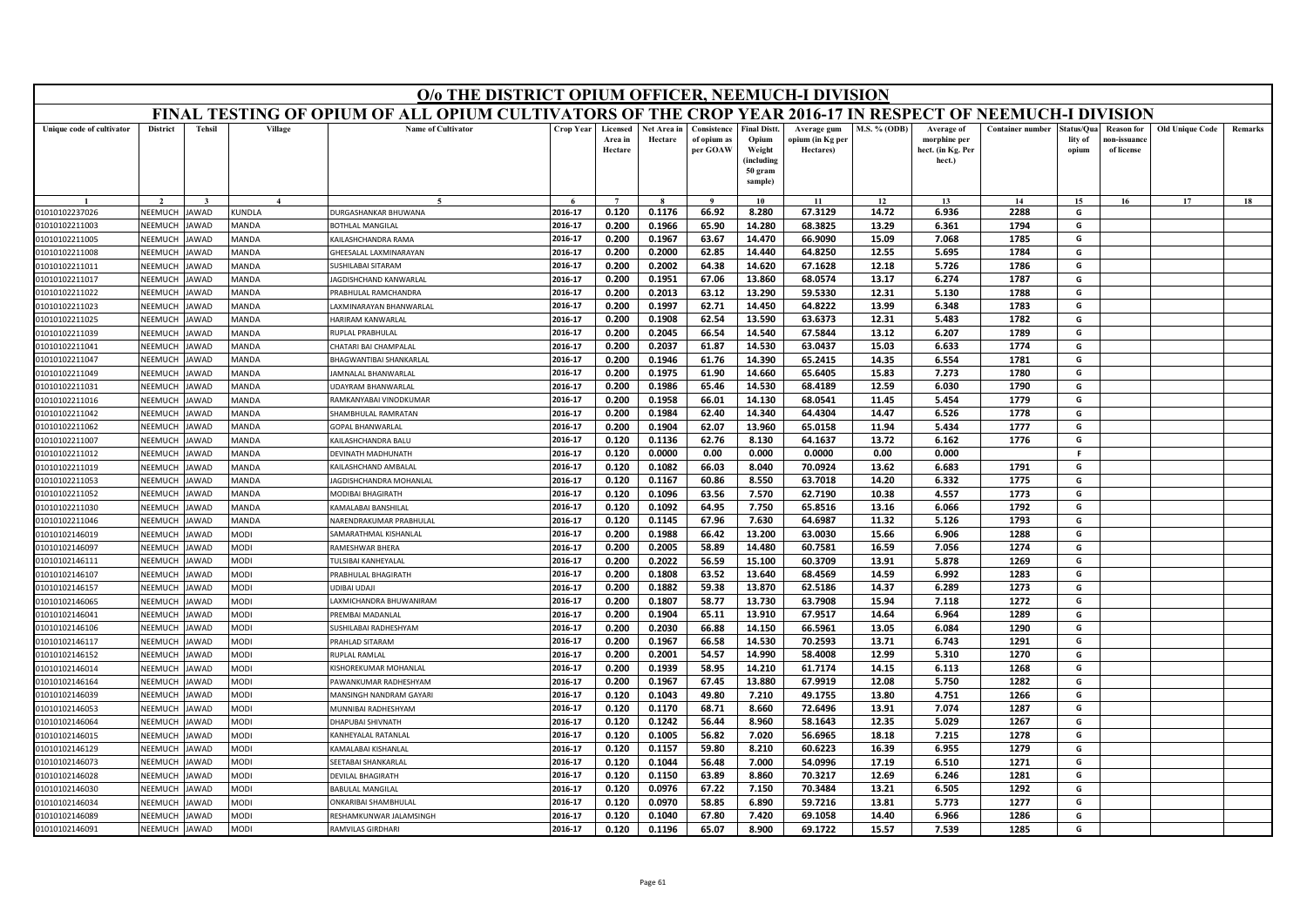|                                  |                    |                      |                            | O/o THE DISTRICT OPIUM OFFICER, NEEMUCH-I DIVISION                                                        |                    |                                |                        |                                        |                                                                            |                                              |                     |                                                           |                         |                                |                                                |                        |         |
|----------------------------------|--------------------|----------------------|----------------------------|-----------------------------------------------------------------------------------------------------------|--------------------|--------------------------------|------------------------|----------------------------------------|----------------------------------------------------------------------------|----------------------------------------------|---------------------|-----------------------------------------------------------|-------------------------|--------------------------------|------------------------------------------------|------------------------|---------|
|                                  |                    |                      |                            | FINAL TESTING OF OPIUM OF ALL OPIUM CULTIVATORS OF THE CROP YEAR 2016-17 IN RESPECT OF NEEMUCH-I DIVISION |                    |                                |                        |                                        |                                                                            |                                              |                     |                                                           |                         |                                |                                                |                        |         |
| Unique code of cultivator        | <b>District</b>    | <b>Tehsil</b>        | Village                    | <b>Name of Cultivator</b>                                                                                 | <b>Crop Year</b>   | Licensed<br>Area in<br>Hectare | Net Area in<br>Hectare | Consistence<br>of opium as<br>per GOAW | <b>Final Distt.</b><br>Opium<br>Weight<br>(including<br>50 gram<br>sample) | Average gum<br>opium (in Kg per<br>Hectares) | <b>M.S. % (ODB)</b> | Average of<br>morphine per<br>hect. (in Kg. Per<br>hect.) | <b>Container number</b> | Status/Qua<br>lity of<br>opium | <b>Reason for</b><br>10n-issuanc<br>of license | <b>Old Unique Code</b> | Remarks |
|                                  |                    |                      | $\mathbf{4}$               |                                                                                                           |                    | $\overline{7}$                 |                        | $\alpha$                               | 10                                                                         | 11                                           | 12                  | 13                                                        | 14                      | 15                             | 16                                             | 17                     | 18      |
| 01010102237026                   | NEEMUCH            | JAWAD                | KUNDLA                     | DURGASHANKAR BHUWANA                                                                                      | 2016-17            | 0.120                          | 0.1176                 | 66.92                                  | 8.280                                                                      | 67.3129                                      | 14.72               | 6.936                                                     | 2288                    | G                              |                                                |                        |         |
| 01010102211003                   | NEEMUCH            | JAWAD                | MANDA                      | <b>BOTHLAL MANGILAI</b>                                                                                   | 2016-17            | 0.200                          | 0.1966                 | 65.90                                  | 14.280                                                                     | 68.3825                                      | 13.29               | 6.361                                                     | 1794                    | G                              |                                                |                        |         |
| 01010102211005                   | VEEMUCH            | <b>JAWAD</b>         | MANDA                      | KAILASHCHANDRA RAMA                                                                                       | 2016-17            | 0.200                          | 0.1967                 | 63.67                                  | 14.470                                                                     | 66.9090                                      | 15.09               | 7.068                                                     | 1785                    | G                              |                                                |                        |         |
| 01010102211008                   | NEEMUCH            | <b>JAWAD</b>         | MANDA                      | GHEESALAL LAXMINARAYAN                                                                                    | 2016-17            | 0.200                          | 0.2000                 | 62.85                                  | 14.440                                                                     | 64.8250                                      | 12.55               | 5.695                                                     | 1784                    | G                              |                                                |                        |         |
| 01010102211011                   | NEEMUCH            | <b>JAWAD</b>         | MANDA                      | SUSHILABAI SITARAM                                                                                        | 2016-17            | 0.200                          | 0.2002                 | 64.38                                  | 14.620                                                                     | 67.1628                                      | 12.18               | 5.726                                                     | 1786                    | G                              |                                                |                        |         |
| 01010102211017                   | NEEMUCH            | <b>JAWAD</b>         | <b>MANDA</b>               | JAGDISHCHAND KANWARLAL                                                                                    | 2016-17            | 0.200                          | 0.1951                 | 67.06                                  | 13.860                                                                     | 68.0574                                      | 13.17               | 6.274                                                     | 1787                    | G                              |                                                |                        |         |
| 01010102211022                   | NEEMUCI            | <b>JAWAD</b>         | MANDA                      | PRABHULAL RAMCHANDRA                                                                                      | 2016-17            | 0.200                          | 0.2013                 | 63.12                                  | 13.290                                                                     | 59.5330                                      | 12.31               | 5.130                                                     | 1788                    | G                              |                                                |                        |         |
| 01010102211023                   | NEEMUCH            | <b>JAWAD</b>         | MANDA                      | AXMINARAYAN BHANWARLAL                                                                                    | 2016-17            | 0.200                          | 0.1997                 | 62.71                                  | 14.450                                                                     | 64.8222                                      | 13.99               | 6.348                                                     | 1783                    | G                              |                                                |                        |         |
| 01010102211025                   | NEEMUCH            | <b>JAWAD</b>         | MANDA                      | HARIRAM KANWARLAL                                                                                         | 2016-17            | 0.200                          | 0.1908                 | 62.54                                  | 13.590                                                                     | 63.6373                                      | 12.31               | 5.483                                                     | 1782                    | G                              |                                                |                        |         |
| 01010102211039                   | NEEMUCH            | <b>JAWAD</b>         | <b>MANDA</b>               | RUPLAL PRABHULAL                                                                                          | 2016-17            | 0.200                          | 0.2045                 | 66.54                                  | 14.540                                                                     | 67.5844                                      | 13.12               | 6.207                                                     | 1789                    | G                              |                                                |                        |         |
| 01010102211041                   | NEEMUCH            | <b>IAWAD</b>         | MANDA                      | HATARI BAI CHAMPALAL                                                                                      | 2016-17            | 0.200                          | 0.2037                 | 61.87                                  | 14.530                                                                     | 63.0437                                      | 15.03               | 6.633                                                     | 1774                    | G                              |                                                |                        |         |
| 01010102211047                   | NEEMUCH            | AWAD                 | MANDA                      | BHAGWANTIBAI SHANKARLAL                                                                                   | 2016-17            | 0.200                          | 0.1946                 | 61.76                                  | 14.390                                                                     | 65.2415                                      | 14.35               | 6.554                                                     | 1781                    | G                              |                                                |                        |         |
| 01010102211049                   | NEFMUCH            | <b>JAWAD</b>         | MANDA                      | JAMNALAL BHANWARLAL                                                                                       | 2016-17            | 0.200                          | 0.1975                 | 61.90                                  | 14.660                                                                     | 65.6405                                      | 15.83               | 7.273                                                     | 1780                    | G                              |                                                |                        |         |
| 01010102211031                   | NEEMUCH            | <b>JAWAD</b>         | MANDA                      | JDAYRAM BHANWARLAL                                                                                        | 2016-17            | 0.200                          | 0.1986                 | 65.46                                  | 14.530                                                                     | 68.4189                                      | 12.59               | 6.030                                                     | 1790                    | G                              |                                                |                        |         |
| 01010102211016                   | NEEMUCH            | <b>JAWAD</b>         | MANDA                      | RAMKANYABAI VINODKUMAR                                                                                    | 2016-17            | 0.200                          | 0.1958                 | 66.01                                  | 14.130                                                                     | 68.0541                                      | 11.45               | 5.454                                                     | 1779                    | G                              |                                                |                        |         |
| 01010102211042                   | NEEMUCH            | <b>JAWAD</b>         | <b>MANDA</b>               | SHAMBHULAL RAMRATAN                                                                                       | 2016-17            | 0.200                          | 0.1984                 | 62.40                                  | 14.340                                                                     | 64.4304                                      | 14.47               | 6.526                                                     | 1778                    | G                              |                                                |                        |         |
| 01010102211062                   | NEEMUCH            | <b>JAWAD</b>         | <b>MANDA</b>               | <b>GOPAL BHANWARLAL</b>                                                                                   | 2016-17            | 0.200                          | 0.1904                 | 62.07                                  | 13.960                                                                     | 65.0158                                      | 11.94               | 5.434                                                     | 1777                    | G                              |                                                |                        |         |
| 01010102211007                   | NEEMUCH            | AWAD                 | MANDA                      | KAILASHCHANDRA BALU                                                                                       | 2016-17            | 0.120                          | 0.1136                 | 62.76                                  | 8.130                                                                      | 64.1637                                      | 13.72               | 6.162                                                     | 1776                    | G                              |                                                |                        |         |
| 01010102211012                   | NFFMUCH            | <b>JAWAD</b>         | MANDA                      | DEVINATH MADHUNATH                                                                                        | 2016-17            | 0.120                          | 0.0000                 | 0.00                                   | 0.000                                                                      | 0.0000                                       | 0.00                | 0.000                                                     |                         | F.                             |                                                |                        |         |
| 01010102211019                   | NEEMUCH            | JAWAD                | MANDA                      | KAILASHCHAND AMBALAI                                                                                      | 2016-17            | 0.120                          | 0.1082                 | 66.03                                  | 8.040                                                                      | 70.0924                                      | 13.62               | 6.683                                                     | 1791                    | G                              |                                                |                        |         |
| 01010102211053                   | VEEMUCH            | AWAD                 | MANDA                      | JAGDISHCHANDRA MOHANLAI                                                                                   | 2016-17            | 0.120                          | 0.1167                 | 60.86                                  | 8.550                                                                      | 63.7018                                      | 14.20               | 6.332                                                     | 1775                    | G                              |                                                |                        |         |
| 01010102211052                   | NEEMUCH            | <b>JAWAD</b>         | <b>MANDA</b>               | MODIBAI BHAGIRATH                                                                                         | 2016-17            | 0.120                          | 0.1096                 | 63.56                                  | 7.570                                                                      | 62.7190                                      | 10.38               | 4.557                                                     | 1773                    | G                              |                                                |                        |         |
| 01010102211030                   | NEEMUCH            | <b>JAWAD</b>         | <b>MANDA</b>               | KAMALABAI BANSHILAL                                                                                       | 2016-17            | 0.120                          | 0.1092                 | 64.95                                  | 7.750                                                                      | 65.8516                                      | 13.16               | 6.066                                                     | 1792                    | G                              |                                                |                        |         |
| 01010102211046                   | NEEMUCH            | AWAD                 | MANDA                      | NARENDRAKUMAR PRABHULAL                                                                                   | 2016-17            | 0.120                          | 0.1145                 | 67.96                                  | 7.630                                                                      | 64.6987                                      | 11.32               | 5.126                                                     | 1793                    | G                              |                                                |                        |         |
| 01010102146019                   | NEEMUCH            | <b>JAWAD</b>         | <b>MODI</b>                | SAMARATHMAL KISHANLAL                                                                                     | 2016-17            | 0.200                          | 0.1988                 | 66.42                                  | 13.200                                                                     | 63.0030                                      | 15.66               | 6.906                                                     | 1288                    | G                              |                                                |                        |         |
| 01010102146097                   | NEFMUCH            | <b>AWAD</b>          | <b>MODI</b>                | RAMESHWAR BHERA                                                                                           | 2016-17            | 0.200                          | 0.2005                 | 58.89                                  | 14.480                                                                     | 60.7581                                      | 16.59               | 7.056                                                     | 1274                    | G                              |                                                |                        |         |
| 01010102146111                   | NEEMUCI            | <b>JAWAD</b>         | <b>MODI</b>                | TULSIBAI KANHEYALAL                                                                                       | 2016-17            | 0.200                          | 0.2022                 | 56.59                                  | 15.100                                                                     | 60.3709                                      | 13.91               | 5.878                                                     | 1269                    | G                              |                                                |                        |         |
| 01010102146107                   | NEEMUCH            | AWAD                 | <b>MODI</b>                | PRABHULAL BHAGIRATH                                                                                       | 2016-17            | 0.200                          | 0.1808                 | 63.52                                  | 13.640                                                                     | 68.4569                                      | 14.59               | 6.992                                                     | 1283                    | G                              |                                                |                        |         |
| 01010102146157                   | NEEMUCH            | <b>JAWAD</b>         | <b>MODI</b>                | JDIBAI UDAII                                                                                              | 2016-17            | 0.200                          | 0.1882                 | 59.38                                  | 13.870                                                                     | 62.5186                                      | 14.37               | 6.289                                                     | 1273                    | G                              |                                                |                        |         |
| 01010102146065                   | NEEMUCH            | <b>JAWAD</b>         | <b>MODI</b>                | AXMICHANDRA BHUWANIRAM                                                                                    | 2016-17            | 0.200                          | 0.1807                 | 58.77                                  | 13.730                                                                     | 63.7908                                      | 15.94               | 7.118                                                     | 1272                    | G                              |                                                |                        |         |
| 01010102146041<br>01010102146106 | NEEMUCH<br>NEEMUCH | AWAD<br><b>JAWAD</b> | <b>MODI</b><br><b>MODI</b> | PREMBAI MADANLAL<br>SUSHILABAI RADHESHYAM                                                                 | 2016-17<br>2016-17 | 0.200<br>0.200                 | 0.1904<br>0.2030       | 65.11<br>66.88                         | 13.910<br>14.150                                                           | 67.9517<br>66.5961                           | 14.64<br>13.05      | 6.964<br>6.084                                            | 1289<br>1290            | G<br>G                         |                                                |                        |         |
| 01010102146117                   | NEEMUCI            | <b>JAWAD</b>         | <b>MODI</b>                | PRAHLAD SITARAM                                                                                           | 2016-17            | 0.200                          | 0.1967                 | 66.58                                  | 14.530                                                                     | 70.2593                                      | 13.71               | 6.743                                                     | 1291                    | G                              |                                                |                        |         |
| 01010102146152                   | NEEMUCH            | <b>IAWAD</b>         | <b>MODI</b>                | RUPLAL RAMLAL                                                                                             | 2016-17            | 0.200                          | 0.2001                 | 54.57                                  | 14.990                                                                     | 58.4008                                      |                     | 5.310                                                     | 1270                    | G                              |                                                |                        |         |
| 01010102146014                   | VEEMUCI            | AWAD                 | MODI                       | KISHOREKUMAR MOHANLAL                                                                                     | 2016-17            | 0.200                          | 0.1939                 | 58.95                                  | 14.210                                                                     | 61.7174                                      | 12.99<br>14.15      | 6.113                                                     | 1268                    | G                              |                                                |                        |         |
| 01010102146164                   | <b>NFFMUCH</b>     | <b>JAWAD</b>         | <b>MODI</b>                | PAWANKUMAR RADHESHYAM                                                                                     | 2016-17            | 0.200                          | 0.1967                 | 67.45                                  | 13.880                                                                     | 67.9919                                      | 12.08               | 5.750                                                     | 1282                    | G                              |                                                |                        |         |
| 01010102146039                   | NEEMUCH            | AWAD                 | <b>MODI</b>                | MANSINGH NANDRAM GAYARI                                                                                   | 2016-17            | 0.120                          | 0.1043                 | 49.80                                  | 7.210                                                                      | 49.1755                                      | 13.80               | 4.751                                                     | 1266                    | G                              |                                                |                        |         |
| 01010102146053                   | VEEMUCH            | AWAD                 | <b>MODI</b>                | MUNNIBAI RADHESHYAM                                                                                       | 2016-17            | 0.120                          | 0.1170                 | 68.71                                  | 8.660                                                                      | 72.6496                                      | 13.91               | 7.074                                                     | 1287                    | G                              |                                                |                        |         |
| 01010102146064                   | NEEMUCH            | AWAD                 | <b>MODI</b>                | <b>DHAPURAL SHIVNATH</b>                                                                                  | 2016-17            | 0.120                          | 0.1242                 | 56.44                                  | 8.960                                                                      | 58.1643                                      | 12.35               | 5.029                                                     | 1267                    | G                              |                                                |                        |         |
| 01010102146015                   | NEEMUCH            | AWAD                 | <b>MODI</b>                | KANHEYALAL RATANLAL                                                                                       | 2016-17            | 0.120                          | 0.1005                 | 56.82                                  | 7.020                                                                      | 56.6965                                      | 18.18               | 7.215                                                     | 1278                    | G                              |                                                |                        |         |
| 01010102146129                   | VEEMUCI            | AWAD                 | <b>MODI</b>                | KAMALABAI KISHANLAL                                                                                       | 2016-17            | 0.120                          | 0.1157                 | 59.80                                  | 8.210                                                                      | 60.6223                                      | 16.39               | 6.955                                                     | 1279                    | G                              |                                                |                        |         |
| 01010102146073                   | <b>NFFMUCH</b>     | <b>JAWAD</b>         | <b>MODI</b>                | SEETABAI SHANKARLAL                                                                                       | 2016-17            | 0.120                          | 0.1044                 | 56.48                                  | 7.000                                                                      | 54.0996                                      | 17.19               | 6.510                                                     | 1271                    | G                              |                                                |                        |         |
| 01010102146028                   | NEEMUCH            | <b>IAWAD</b>         | <b>MODI</b>                | DEVILAL BHAGIRATH                                                                                         | 2016-17            | 0.120                          | 0.1150                 | 63.89                                  | 8.860                                                                      | 70.3217                                      | 12.69               | 6.246                                                     | 1281                    | G                              |                                                |                        |         |
| 01010102146030                   | VEEMUC             | AWAD                 | <b>MODI</b>                | <b>BABULAL MANGILAL</b>                                                                                   | 2016-17            | 0.120                          | 0.0976                 | 67.22                                  | 7.150                                                                      | 70.3484                                      | 13.21               | 6.505                                                     | 1292                    | G                              |                                                |                        |         |
| 01010102146034                   | NEEMUCH            | AWAD                 | <b>MODI</b>                | ONKARIBAI SHAMBHULAI                                                                                      | 2016-17            | 0.120                          | 0.0970                 | 58.85                                  | 6.890                                                                      | 59.7216                                      | 13.81               | 5.773                                                     | 1277                    | G                              |                                                |                        |         |
| 01010102146089                   | NEEMUCH            | JAWAD                | <b>MODI</b>                | RESHAMKUNWAR JALAMSINGH                                                                                   | 2016-17            | 0.120                          | 0.1040                 | 67.80                                  | 7.420                                                                      | 69.1058                                      | 14.40               | 6.966                                                     | 1286                    | G                              |                                                |                        |         |
| 01010102146091                   | NEEMUCH            | JAWAD                | <b>MODI</b>                | RAMVILAS GIRDHARI                                                                                         | 2016-17            | 0.120                          | 0.1196                 | 65.07                                  | 8.900                                                                      | 69.1722                                      | 15.57               | 7.539                                                     | 1285                    | G                              |                                                |                        |         |
|                                  |                    |                      |                            |                                                                                                           |                    |                                |                        |                                        |                                                                            |                                              |                     |                                                           |                         |                                |                                                |                        |         |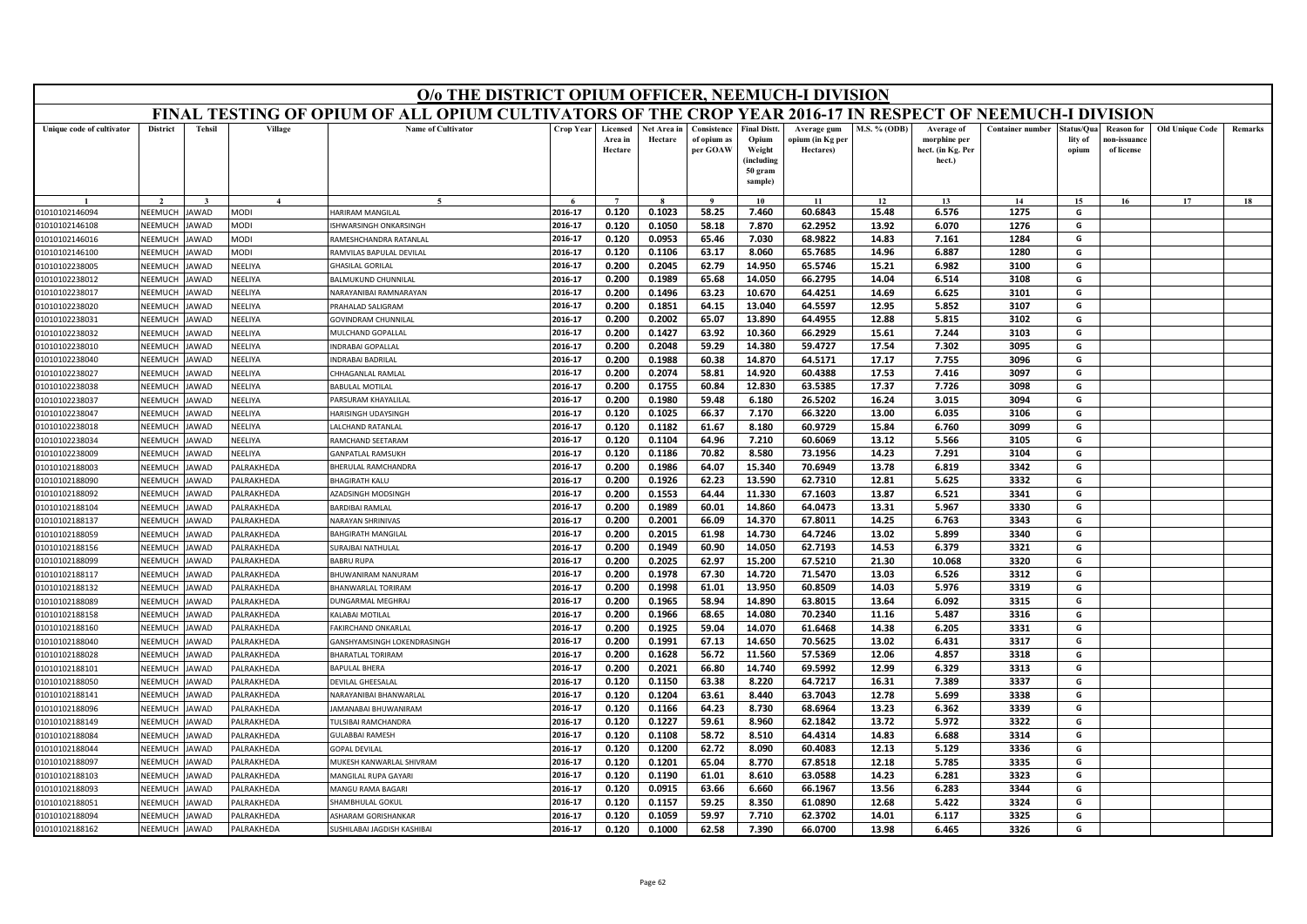|                                  | O/o THE DISTRICT OPIUM OFFICER, NEEMUCH-I DIVISION<br>FINAL TESTING OF OPIUM OF ALL OPIUM CULTIVATORS OF THE CROP YEAR 2016-17 IN RESPECT OF NEEMUCH-I DIVISION |              |                                      |                                              |                    |                                |                        |                                        |                                                                            |                                              |                |                                                           |                         |                                |                                                |                        |         |
|----------------------------------|-----------------------------------------------------------------------------------------------------------------------------------------------------------------|--------------|--------------------------------------|----------------------------------------------|--------------------|--------------------------------|------------------------|----------------------------------------|----------------------------------------------------------------------------|----------------------------------------------|----------------|-----------------------------------------------------------|-------------------------|--------------------------------|------------------------------------------------|------------------------|---------|
|                                  |                                                                                                                                                                 |              |                                      |                                              |                    |                                |                        |                                        |                                                                            |                                              |                |                                                           |                         |                                |                                                |                        |         |
| Unique code of cultivator        | <b>District</b>                                                                                                                                                 | Tehsil       | Village                              | <b>Name of Cultivator</b>                    | Crop Year          | Licensed<br>Area in<br>Hectare | Net Area in<br>Hectare | Consistence<br>of opium as<br>per GOAW | <b>Final Distt.</b><br>Opium<br>Weight<br>(including<br>50 gram<br>sample) | Average gum<br>opium (in Kg per<br>Hectares) | M.S. % (ODB)   | Average of<br>morphine per<br>hect. (in Kg. Per<br>hect.) | <b>Container number</b> | status/Qua<br>lity of<br>opium | <b>Reason for</b><br>ıon-issuanc<br>of license | <b>Old Unique Code</b> | Remarks |
|                                  |                                                                                                                                                                 |              | $\mathbf{A}$                         | $\tilde{\phantom{a}}$                        |                    | $\overline{ }$                 |                        |                                        | 10                                                                         | 11                                           | 12             | 13                                                        | 14                      | 15                             | 16                                             | 17                     | 18      |
| 01010102146094                   | NEEMUCH                                                                                                                                                         | <b>AWAD</b>  | MODI                                 | HARIRAM MANGILAL                             | 2016-17            | 0.120                          | 0.1023                 | 58.25                                  | 7.460                                                                      | 60.6843                                      | 15.48          | 6.576                                                     | 1275                    | G                              |                                                |                        |         |
| 01010102146108                   | NEEMUCH                                                                                                                                                         | <b>AWAD</b>  | MODI                                 | SHWARSINGH ONKARSINGH                        | 2016-17            | 0.120                          | 0.1050                 | 58.18                                  | 7.870                                                                      | 62.2952                                      | 13.92          | 6.070                                                     | 1276                    | G                              |                                                |                        |         |
| 01010102146016                   | NEEMUCH                                                                                                                                                         | AWAD         | <b>NODI</b>                          | RAMESHCHANDRA RATANLAI                       | 2016-17            | 0.120                          | 0.0953                 | 65.46                                  | 7.030                                                                      | 68.9822                                      | 14.83          | 7.161                                                     | 1284                    | G                              |                                                |                        |         |
| 01010102146100                   | NEEMUCI                                                                                                                                                         | AWAD         | MODI                                 | RAMVILAS BAPULAL DEVILAL                     | 2016-17            | 0.120                          | 0.1106                 | 63.17                                  | 8.060                                                                      | 65.7685                                      | 14.96          | 6.887                                                     | 1280                    | G                              |                                                |                        |         |
| 01010102238005                   | NEEMUCH                                                                                                                                                         | AWAD         | VEELIYA                              | <b>HASILAL GORILAL</b>                       | 2016-17            | 0.200                          | 0.2045                 | 62.79                                  | 14.950                                                                     | 65.5746                                      | 15.21          | 6.982                                                     | 3100                    | G                              |                                                |                        |         |
| 01010102238012                   | NEEMUCH                                                                                                                                                         | <b>AWAD</b>  | VEELIYA                              | BALMUKUND CHUNNILAL                          | 2016-17            | 0.200                          | 0.1989                 | 65.68                                  | 14.050                                                                     | 66.2795                                      | 14.04          | 6.514                                                     | 3108                    | G                              |                                                |                        |         |
| 01010102238017                   | NEEMUCI                                                                                                                                                         | AWAD         | NEELIYA                              | NARAYANIRAI RAMNARAYAN                       | 2016-17            | 0.200                          | 0.1496                 | 63.23                                  | 10.670                                                                     | 64.4251                                      | 14.69          | 6.625                                                     | 3101                    | G                              |                                                |                        |         |
| 01010102238020                   | NEEMUCH                                                                                                                                                         | AWAD         | NEELIYA                              | RAHALAD SALIGRAM                             | 2016-17            | 0.200                          | 0.1851                 | 64.15                                  | 13.040                                                                     | 64.5597                                      | 12.95          | 5.852                                                     | 3107                    | G                              |                                                |                        |         |
| 01010102238031                   | NEEMUCH                                                                                                                                                         | AWAD         | VEELIYA                              | <b>GOVINDRAM CHUNNILAL</b>                   | 2016-17            | 0.200                          | 0.2002                 | 65.07                                  | 13.890                                                                     | 64.4955                                      | 12.88          | 5.815                                                     | 3102                    | G                              |                                                |                        |         |
| 01010102238032                   | <b>NFFMUCH</b>                                                                                                                                                  | <b>AWAD</b>  | NEELIYA                              | MULCHAND GOPALLAL                            | 2016-17            | 0.200                          | 0.1427                 | 63.92                                  | 10.360                                                                     | 66.2929                                      | 15.61          | 7.244                                                     | 3103                    | G                              |                                                |                        |         |
| 01010102238010                   | NEEMUCH                                                                                                                                                         | AWAD         | VEELIYA                              | NDRABAI GOPALLAL                             | 2016-17            | 0.200                          | 0.2048                 | 59.29                                  | 14.380                                                                     | 59.4727                                      | 17.54          | 7.302                                                     | 3095                    | G                              |                                                |                        |         |
| 01010102238040                   | NEEMUCH                                                                                                                                                         | AWAD         | VEELIYA                              | NDRABAI BADRILAL                             | 2016-17            | 0.200                          | 0.1988                 | 60.38                                  | 14.870                                                                     | 64.5171                                      | 17.17          | 7.755                                                     | 3096                    | G                              |                                                |                        |         |
| 01010102238027                   | NEEMUCH                                                                                                                                                         | AWAD         | VEELIYA                              | HHAGANLAL RAMLAL                             | 2016-17            | 0.200                          | 0.2074                 | 58.81                                  | 14.920                                                                     | 60.4388                                      | 17.53          | 7.416                                                     | 3097                    | G                              |                                                |                        |         |
| 01010102238038                   | NEEMUCH                                                                                                                                                         | AWAD         | VEELIYA                              | <b>BABULAL MOTILAL</b>                       | 2016-17            | 0.200                          | 0.1755                 | 60.84                                  | 12.830                                                                     | 63.5385                                      | 17.37          | 7.726                                                     | 3098                    | G                              |                                                |                        |         |
| 01010102238037                   | NEEMUCI                                                                                                                                                         | AWAD         | VEELIYA                              | ARSURAM KHAYALILAL                           | 2016-17            | 0.200                          | 0.1980                 | 59.48                                  | 6.180                                                                      | 26.5202                                      | 16.24          | 3.015                                                     | 3094                    | G                              |                                                |                        |         |
| 01010102238047                   | NEEMUCH                                                                                                                                                         | AWAD         | VEELIYA                              | <b>HARISINGH UDAYSINGH</b>                   | 2016-17            | 0.120                          | 0.1025                 | 66.37                                  | 7.170                                                                      | 66.3220                                      | 13.00          | 6.035                                                     | 3106                    | G                              |                                                |                        |         |
| 01010102238018                   | NEEMUCH                                                                                                                                                         | AWAD         | VEELIYA                              | <b>ALCHAND RATANLAL</b>                      | 2016-17            | 0.120                          | 0.1182                 | 61.67                                  | 8.180                                                                      | 60.9729                                      | 15.84          | 6.760                                                     | 3099                    | G                              |                                                |                        |         |
| 01010102238034                   | NEEMUCH                                                                                                                                                         | AWAD         | VEELIYA                              | RAMCHAND SEETARAM                            | 2016-17            | 0.120                          | 0.1104                 | 64.96                                  | 7.210                                                                      | 60.6069                                      | 13.12          | 5.566                                                     | 3105                    | G                              |                                                |                        |         |
| 01010102238009                   | NEEMUCH                                                                                                                                                         | AWAD         | VEELIYA                              | GANPATLAL RAMSUKH                            | 2016-17            | 0.120                          | 0.1186                 | 70.82                                  | 8.580                                                                      | 73.1956                                      | 14.23          | 7.291                                                     | 3104                    | G                              |                                                |                        |         |
| 01010102188003                   | NEEMUCH                                                                                                                                                         | <b>AWAD</b>  | <b>ALRAKHEDA</b>                     | <b>HERULAL RAMCHANDRA</b>                    | 2016-17            | 0.200                          | 0.1986                 | 64.07                                  | 15.340                                                                     | 70.6949                                      | 13.78          | 6.819                                                     | 3342                    | G                              |                                                |                        |         |
| 01010102188090                   | NEEMUCI                                                                                                                                                         | AWAD         | <b>ALRAKHEDA</b>                     | <b>BHAGIRATH KALU</b>                        | 2016-17            | 0.200                          | 0.1926                 | 62.23                                  | 13.590                                                                     | 62.7310                                      | 12.81          | 5.625                                                     | 3332                    | G                              |                                                |                        |         |
| 01010102188092                   | NEEMUCH                                                                                                                                                         | AWAD         | ALRAKHEDA                            | <b>AZADSINGH MODSINGH</b>                    | 2016-17<br>2016-17 | 0.200                          | 0.1553                 | 64.44                                  | 11.330                                                                     | 67.1603<br>64.0473                           | 13.87          | 6.521                                                     | 3341<br>3330            | G<br>G                         |                                                |                        |         |
| 01010102188104                   | NEEMUCH                                                                                                                                                         | AWAD         | <b>ALRAKHEDA</b>                     | <b>ARDIBAI RAMLAL</b>                        |                    | 0.200                          | 0.1989                 | 60.01                                  | 14.860                                                                     |                                              | 13.31          | 5.967                                                     |                         | G                              |                                                |                        |         |
| 01010102188137                   | NEEMUCH                                                                                                                                                         | AWAD         | <b>ALRAKHEDA</b>                     | NARAYAN SHRINIVAS                            | 2016-17<br>2016-17 | 0.200<br>0.200                 | 0.2001                 | 66.09                                  | 14.370                                                                     | 67.8011                                      | 14.25          | 6.763                                                     | 3343<br>3340            | G                              |                                                |                        |         |
| 01010102188059<br>01010102188156 | NEEMUCH<br>NEEMUCH                                                                                                                                              | AWAD<br>AWAD | <b>ALRAKHEDA</b><br><b>ALRAKHEDA</b> | <b>AHGIRATH MANGILAL</b><br>URAJBAI NATHULAL | 2016-17            | 0.200                          | 0.2015<br>0.1949       | 61.98<br>60.90                         | 14.730<br>14.050                                                           | 64.7246<br>62.7193                           | 13.02<br>14.53 | 5.899<br>6.379                                            | 3321                    | G                              |                                                |                        |         |
| 01010102188099                   | NEEMUCI                                                                                                                                                         | AWAD         | PALRAKHEDA                           | <b>BABRU RUPA</b>                            | 2016-17            | 0.200                          | 0.2025                 | 62.97                                  | 15.200                                                                     | 67.5210                                      | 21.30          | 10.068                                                    | 3320                    | G                              |                                                |                        |         |
| 01010102188117                   | NEEMUCH                                                                                                                                                         | AWAD         | <b>ALRAKHEDA</b>                     | <b>HUWANIRAM NANURAM</b>                     | 2016-17            | 0.200                          | 0.1978                 | 67.30                                  | 14.720                                                                     | 71.5470                                      | 13.03          | 6.526                                                     | 3312                    | G                              |                                                |                        |         |
| 01010102188132                   | VEEMUCH                                                                                                                                                         | AWAD         | <b>ALRAKHEDA</b>                     | <b>HANWARLAL TORIRAM</b>                     | 2016-17            | 0.200                          | 0.1998                 | 61.01                                  | 13.950                                                                     | 60.8509                                      | 14.03          | 5.976                                                     | 3319                    | G                              |                                                |                        |         |
| 01010102188089                   | NEEMUCH                                                                                                                                                         | AWAD         | PALRAKHEDA                           | DUNGARMAL MEGHRAJ                            | 2016-17            | 0.200                          | 0.1965                 | 58.94                                  | 14.890                                                                     | 63.8015                                      | 13.64          | 6.092                                                     | 3315                    | G                              |                                                |                        |         |
| 01010102188158                   | NEEMUCH                                                                                                                                                         | AWAD         | <b>ALRAKHEDA</b>                     | <b>ALABAI MOTILAL</b>                        | 2016-17            | 0.200                          | 0.1966                 | 68.65                                  | 14.080                                                                     | 70.2340                                      | 11.16          | 5.487                                                     | 3316                    | G                              |                                                |                        |         |
| 01010102188160                   | VEEMUCI                                                                                                                                                         | AWAD         | <b>ALRAKHEDA</b>                     | AKIRCHAND ONKARLAL                           | 2016-17            | 0.200                          | 0.1925                 | 59.04                                  | 14.070                                                                     | 61.6468                                      | 14.38          | 6.205                                                     | 3331                    | G                              |                                                |                        |         |
| 01010102188040                   | NEEMUCI                                                                                                                                                         | <b>AWAD</b>  | PALRAKHEDA                           | GANSHYAMSINGH LOKENDRASINGH                  | 2016-17            | 0.200                          | 0.1991                 | 67.13                                  | 14.650                                                                     | 70.5625                                      | 13.02          | 6.431                                                     | 3317                    | G                              |                                                |                        |         |
| 01010102188028                   | NEEMUCH                                                                                                                                                         | AWAD         | <b>ALRAKHEDA</b>                     | <b>HARATLAL TORIRAM</b>                      | 2016-17            | 0.200                          | 0.1628                 | 56.72                                  | 11.560                                                                     | 57.5369                                      | 12.06          | 4.857                                                     | 3318                    | G                              |                                                |                        |         |
| 01010102188101                   | NEEMUCH                                                                                                                                                         | AWAD         | <b>ALRAKHEDA</b>                     | <b>BAPULAL BHERA</b>                         | 2016-17            | 0.200                          | 0.2021                 | 66.80                                  | 14.740                                                                     | 69.5992                                      | 12.99          | 6.329                                                     | 3313                    | G                              |                                                |                        |         |
| 01010102188050                   | NEEMUCI                                                                                                                                                         | <b>AWAD</b>  | PALRAKHEDA                           | DEVILAL GHEESALAL                            | 2016-17            | 0.120                          | 0.1150                 | 63.38                                  | 8.220                                                                      | 64.7217                                      | 16.31          | 7.389                                                     | 3337                    | G                              |                                                |                        |         |
| 01010102188141                   | NEEMUCH                                                                                                                                                         | <b>AWAD</b>  | <b>ALRAKHEDA</b>                     | NARAYANIBAI BHANWARLAL                       | 2016-17            | 0.120                          | 0.1204                 | 63.61                                  | 8.440                                                                      | 63.7043                                      | 12.78          | 5.699                                                     | 3338                    | G                              |                                                |                        |         |
| 01010102188096                   | NEEMUCH                                                                                                                                                         | AWAD         | <b>ALRAKHEDA</b>                     | AMANABAI BHUWANIRAM                          | 2016-17            | 0.120                          | 0.1166                 | 64.23                                  | 8.730                                                                      | 68.6964                                      | 13.23          | 6.362                                                     | 3339                    | G                              |                                                |                        |         |
| 01010102188149                   | NEEMUCH                                                                                                                                                         | AWAD         | PALRAKHEDA                           | ULSIBAI RAMCHANDRA                           | 2016-17            | 0.120                          | 0.1227                 | 59.61                                  | 8.960                                                                      | 62.1842                                      | 13.72          | 5.972                                                     | 3322                    | G                              |                                                |                        |         |
| 01010102188084                   | NEEMUCH                                                                                                                                                         | AWAD         | <b>ALRAKHEDA</b>                     | GULABBAI RAMESH                              | 2016-17            | 0.120                          | 0.1108                 | 58.72                                  | 8.510                                                                      | 64.4314                                      | 14.83          | 6.688                                                     | 3314                    | G                              |                                                |                        |         |
| 01010102188044                   | NEEMUCH                                                                                                                                                         | AWAD         | <b>ALRAKHEDA</b>                     | GOPAL DEVILAL                                | 2016-17            | 0.120                          | 0.1200                 | 62.72                                  | 8.090                                                                      | 60.4083                                      | 12.13          | 5.129                                                     | 3336                    | G                              |                                                |                        |         |
| 01010102188097                   | NEEMUCH                                                                                                                                                         | <b>AWAD</b>  | PALRAKHEDA                           | MUKESH KANWARLAL SHIVRAM                     | 2016-17            | 0.120                          | 0.1201                 | 65.04                                  | 8.770                                                                      | 67.8518                                      | 12.18          | 5.785                                                     | 3335                    | G                              |                                                |                        |         |
| 01010102188103                   | NEEMUCH                                                                                                                                                         | <b>JAWAD</b> | PALRAKHEDA                           | MANGILAL RUPA GAYARI                         | 2016-17            | 0.120                          | 0.1190                 | 61.01                                  | 8.610                                                                      | 63.0588                                      | 14.23          | 6.281                                                     | 3323                    | G                              |                                                |                        |         |
| 01010102188093                   | NEEMUCI                                                                                                                                                         | AWAD         | <b>ALRAKHEDA</b>                     | MANGU RAMA BAGARI                            | 2016-17            | 0.120                          | 0.0915                 | 63.66                                  | 6.660                                                                      | 66.1967                                      | 13.56          | 6.283                                                     | 3344                    | G                              |                                                |                        |         |
| 01010102188051                   | NEEMUCH                                                                                                                                                         | AWAD         | <b>ALRAKHEDA</b>                     | HAMBHULAL GOKUL                              | 2016-17            | 0.120                          | 0.1157                 | 59.25                                  | 8.350                                                                      | 61.0890                                      | 12.68          | 5.422                                                     | 3324                    | G                              |                                                |                        |         |
| 01010102188094                   | NEEMUCH                                                                                                                                                         | <b>AWAD</b>  | <b>ALRAKHEDA</b>                     | ASHARAM GORISHANKAR                          | 2016-17            | 0.120                          | 0.1059                 | 59.97                                  | 7.710                                                                      | 62.3702                                      | 14.01          | 6.117                                                     | 3325                    | G                              |                                                |                        |         |
| 01010102188162                   | <b>NEEMUCH</b>                                                                                                                                                  | <b>JAWAD</b> | PALRAKHEDA                           | SUSHILABAI JAGDISH KASHIBAI                  | 2016-17            | 0.120                          | 0.1000                 | 62.58                                  | 7.390                                                                      | 66.0700                                      | 13.98          | 6.465                                                     | 3326                    | G                              |                                                |                        |         |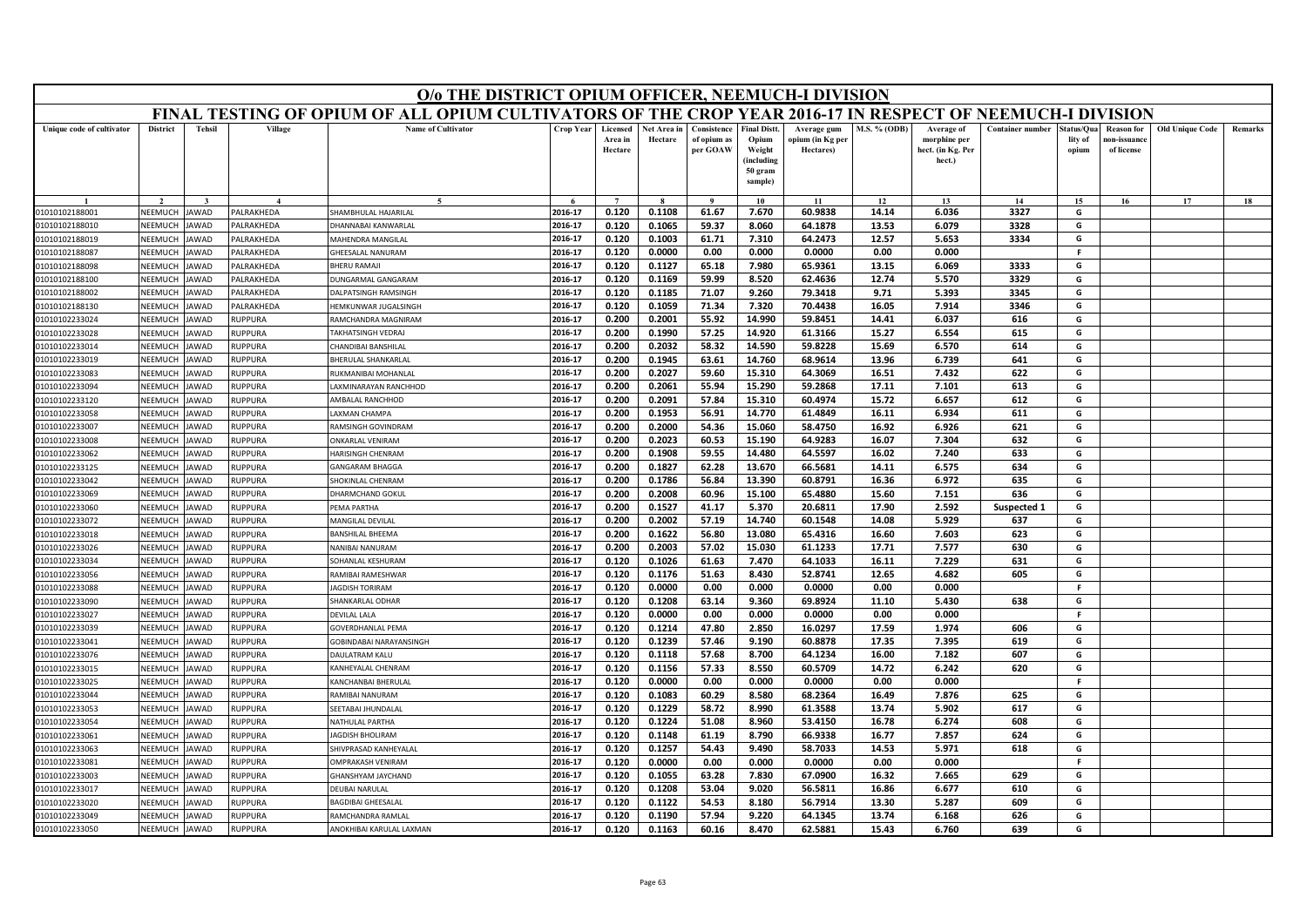|                           | O/o THE DISTRICT OPIUM OFFICER, NEEMUCH-I DIVISION<br>FINAL TESTING OF OPIUM OF ALL OPIUM CULTIVATORS OF THE CROP YEAR 2016-17 IN RESPECT OF NEEMUCH-I DIVISION |               |                  |                                |           |                                |                        |                                        |                                                                            |                                              |                     |                                                           |                         |                                |                                                |                        |         |
|---------------------------|-----------------------------------------------------------------------------------------------------------------------------------------------------------------|---------------|------------------|--------------------------------|-----------|--------------------------------|------------------------|----------------------------------------|----------------------------------------------------------------------------|----------------------------------------------|---------------------|-----------------------------------------------------------|-------------------------|--------------------------------|------------------------------------------------|------------------------|---------|
|                           |                                                                                                                                                                 |               |                  |                                |           |                                |                        |                                        |                                                                            |                                              |                     |                                                           |                         |                                |                                                |                        |         |
| Unique code of cultivator | <b>District</b>                                                                                                                                                 | <b>Tehsil</b> | Village          | <b>Name of Cultivator</b>      | Crop Year | Licensed<br>Area in<br>Hectare | Net Area in<br>Hectare | Consistence<br>of opium as<br>per GOAW | <b>Final Distt.</b><br>Opium<br>Weight<br>(including<br>50 gram<br>sample) | Average gum<br>opium (in Kg per<br>Hectares) | <b>M.S. % (ODB)</b> | Average of<br>morphine per<br>hect. (in Kg. Per<br>hect.) | <b>Container number</b> | itatus/Qua<br>lity of<br>opium | <b>Reason for</b><br>10n-issuanc<br>of license | <b>Old Unique Code</b> | Remarks |
|                           |                                                                                                                                                                 |               |                  |                                |           | $\overline{ }$                 |                        | $\alpha$                               | 10                                                                         | 11                                           | 12                  | 13                                                        | 14                      | 15                             | 16                                             | 17                     | 18      |
| 01010102188001            | NEEMUCH                                                                                                                                                         | <b>AWAD</b>   | <b>ALRAKHEDA</b> | HAMBHULAL HAJARILAL            | 2016-17   | 0.120                          | 0.1108                 | 61.67                                  | 7.670                                                                      | 60.9838                                      | 14.14               | 6.036                                                     | 3327                    | G                              |                                                |                        |         |
| 01010102188010            | NEEMUCH                                                                                                                                                         | JAWAD         | <b>ALRAKHEDA</b> | HANNABAI KANWARLAL             | 2016-17   | 0.120                          | 0.1065                 | 59.37                                  | 8.060                                                                      | 64.1878                                      | 13.53               | 6.079                                                     | 3328                    | G                              |                                                |                        |         |
| 01010102188019            | NEEMUCH                                                                                                                                                         | <b>AWAD</b>   | <b>ALRAKHEDA</b> | <b><i>AHENDRA MANGILAL</i></b> | 2016-17   | 0.120                          | 0.1003                 | 61.71                                  | 7.310                                                                      | 64.2473                                      | 12.57               | 5.653                                                     | 3334                    | G                              |                                                |                        |         |
| 01010102188087            | <b>NEEMUCH</b>                                                                                                                                                  | <b>AWAD</b>   | <b>ALRAKHEDA</b> | HEESALAL NANURAM               | 2016-17   | 0.120                          | 0.0000                 | 0.00                                   | 0.000                                                                      | 0.0000                                       | 0.00                | 0.000                                                     |                         | F.                             |                                                |                        |         |
| 01010102188098            | NEEMUCH                                                                                                                                                         | <b>AWAD</b>   | <b>ALRAKHEDA</b> | <b>HERU RAMAJI</b>             | 2016-17   | 0.120                          | 0.1127                 | 65.18                                  | 7.980                                                                      | 65.9361                                      | 13.15               | 6.069                                                     | 3333                    | G                              |                                                |                        |         |
| 01010102188100            | NEEMUCH                                                                                                                                                         | <b>AWAD</b>   | <b>ALRAKHEDA</b> | UNGARMAL GANGARAM              | 2016-17   | 0.120                          | 0.1169                 | 59.99                                  | 8.520                                                                      | 62.4636                                      | 12.74               | 5.570                                                     | 3329                    | G                              |                                                |                        |         |
| 01010102188002            | NEEMUCH                                                                                                                                                         | AWAD          | PALRAKHEDA       | <b>DALPATSINGH RAMSINGH</b>    | 2016-17   | 0.120                          | 0.1185                 | 71.07                                  | 9.260                                                                      | 79.3418                                      | 9.71                | 5.393                                                     | 3345                    | G                              |                                                |                        |         |
| 01010102188130            | NEEMUCH                                                                                                                                                         | <b>AWAD</b>   | <b>ALRAKHEDA</b> | <b>IFMKUNWAR IUGALSINGE</b>    | 2016-17   | 0.120                          | 0.1059                 | 71.34                                  | 7.320                                                                      | 70.4438                                      | 16.05               | 7.914                                                     | 3346                    | G                              |                                                |                        |         |
| 01010102233024            | NEEMUCH                                                                                                                                                         | <b>AWAD</b>   | <b>NUPPURA</b>   | <b>AMCHANDRA MAGNIRAM</b>      | 2016-17   | 0.200                          | 0.2001                 | 55.92                                  | 14.990                                                                     | 59.8451                                      | 14.41               | 6.037                                                     | 616                     | G                              |                                                |                        |         |
| 01010102233028            | <b>NEEMUCH</b>                                                                                                                                                  | <b>AWAD</b>   | RUPPURA          | AKHATSINGH VEDRAJ              | 2016-17   | 0.200                          | 0.1990                 | 57.25                                  | 14.920                                                                     | 61.3166                                      | 15.27               | 6.554                                                     | 615                     | G                              |                                                |                        |         |
| 01010102233014            | NEEMUCH                                                                                                                                                         | AWAD          | RUPPURA          | HANDIBAI BANSHILAL             | 2016-17   | 0.200                          | 0.2032                 | 58.32                                  | 14.590                                                                     | 59.8228                                      | 15.69               | 6.570                                                     | 614                     | G                              |                                                |                        |         |
| 01010102233019            | NEEMUCH                                                                                                                                                         | AWAD          | <b>NUPPURA</b>   | HERULAL SHANKARLAL             | 2016-17   | 0.200                          | 0.1945                 | 63.61                                  | 14.760                                                                     | 68.9614                                      | 13.96               | 6.739                                                     | 641                     | G                              |                                                |                        |         |
| 01010102233083            | NEEMUCH                                                                                                                                                         | AWAD          | RUPPURA          | RUKMANIBAI MOHANLAL            | 2016-17   | 0.200                          | 0.2027                 | 59.60                                  | 15.310                                                                     | 64.3069                                      | 16.51               | 7.432                                                     | 622                     | G                              |                                                |                        |         |
| 01010102233094            | NEEMUCH                                                                                                                                                         | AWAD          | RUPPURA          | AXMINARAYAN RANCHHOD           | 2016-17   | 0.200                          | 0.2061                 | 55.94                                  | 15.290                                                                     | 59.2868                                      | 17.11               | 7.101                                                     | 613                     | G                              |                                                |                        |         |
| 01010102233120            | NEEMUCH                                                                                                                                                         | AWAD          | RUPPURA          | AMBALAL RANCHHOD               | 2016-17   | 0.200                          | 0.2091                 | 57.84                                  | 15.310                                                                     | 60.4974                                      | 15.72               | 6.657                                                     | 612                     | G                              |                                                |                        |         |
| 01010102233058            | NEEMUCH                                                                                                                                                         | <b>AWAD</b>   | RUPPURA          | <b>AXMAN CHAMPA</b>            | 2016-17   | 0.200                          | 0.1953                 | 56.91                                  | 14.770                                                                     | 61.4849                                      | 16.11               | 6.934                                                     | 611                     | G                              |                                                |                        |         |
| 01010102233007            | NEEMUCH                                                                                                                                                         | AWAD          | RUPPURA          | RAMSINGH GOVINDRAM             | 2016-17   | 0.200                          | 0.2000                 | 54.36                                  | 15.060                                                                     | 58.4750                                      | 16.92               | 6.926                                                     | 621                     | G                              |                                                |                        |         |
| 01010102233008            | NEEMUCH                                                                                                                                                         | AWAD          | RUPPURA          | <b><i>NKARLAL VENIRAM</i></b>  | 2016-17   | 0.200                          | 0.2023                 | 60.53                                  | 15.190                                                                     | 64.9283                                      | 16.07               | 7.304                                                     | 632                     | G                              |                                                |                        |         |
| 01010102233062            | NEEMUCH                                                                                                                                                         | AWAD          | RUPPURA          | <b>IARISINGH CHENRAM</b>       | 2016-17   | 0.200                          | 0.1908                 | 59.55                                  | 14.480                                                                     | 64.5597                                      | 16.02               | 7.240                                                     | 633                     | G                              |                                                |                        |         |
| 01010102233125            | NEEMUCH                                                                                                                                                         | AWAD          | <b>RUPPURA</b>   | <b>ANGARAM BHAGGA</b>          | 2016-17   | 0.200                          | 0.1827                 | 62.28                                  | 13.670                                                                     | 66.5681                                      | 14.11               | 6.575                                                     | 634                     | G                              |                                                |                        |         |
| 01010102233042            | NEEMUCH                                                                                                                                                         | <b>AWAD</b>   | <b>NUPPURA</b>   | HOKINLAL CHENRAM               | 2016-17   | 0.200                          | 0.1786                 | 56.84                                  | 13.390                                                                     | 60.8791                                      | 16.36               | 6.972                                                     | 635                     | G                              |                                                |                        |         |
| 01010102233069            | NEEMUCH                                                                                                                                                         | <b>AWAD</b>   | <b>RUPPURA</b>   | HARMCHAND GOKUL                | 2016-17   | 0.200                          | 0.2008                 | 60.96                                  | 15.100                                                                     | 65.4880                                      | 15.60               | 7.151                                                     | 636                     | G                              |                                                |                        |         |
| 01010102233060            | NEEMUCH                                                                                                                                                         | AWAD          | <b>NUPPURA</b>   | <b>EMA PARTHA</b>              | 2016-17   | 0.200                          | 0.1527                 | 41.17                                  | 5.370                                                                      | 20.6811                                      | 17.90               | 2.592                                                     | Suspected 1             | G                              |                                                |                        |         |
| 01010102233072            | NEEMUCH                                                                                                                                                         | AWAD          | RUPPURA          | MANGILAL DEVILAL               | 2016-17   | 0.200                          | 0.2002                 | 57.19                                  | 14.740                                                                     | 60.1548                                      | 14.08               | 5.929                                                     | 637                     | G                              |                                                |                        |         |
| 01010102233018            | NEEMUCH                                                                                                                                                         | <b>AWAD</b>   | <b>RUPPURA</b>   | <b>BANSHILAL BHEEMA</b>        | 2016-17   | 0.200                          | 0.1622                 | 56.80                                  | 13.080                                                                     | 65.4316                                      | 16.60               | 7.603                                                     | 623                     | G                              |                                                |                        |         |
| 01010102233026            | NFFMUCH                                                                                                                                                         | <b>AWAD</b>   | <b>RUPPURA</b>   | NANIBAI NANURAM                | 2016-17   | 0.200                          | 0.2003                 | 57.02                                  | 15.030                                                                     | 61.1233                                      | 17.71               | 7.577                                                     | 630                     | G                              |                                                |                        |         |
| 01010102233034            | NEEMUCH                                                                                                                                                         | AWAD          | RUPPURA          | OHANLAL KESHURAM               | 2016-17   | 0.120                          | 0.1026                 | 61.63                                  | 7.470                                                                      | 64.1033                                      | 16.11               | 7.229                                                     | 631                     | G                              |                                                |                        |         |
| 01010102233056            | NEEMUCH                                                                                                                                                         | AWAD          | RUPPURA          | RAMIBAI RAMESHWAR              | 2016-17   | 0.120                          | 0.1176                 | 51.63                                  | 8.430                                                                      | 52.8741                                      | 12.65               | 4.682                                                     | 605                     | G                              |                                                |                        |         |
| 01010102233088            | NEEMUCH                                                                                                                                                         | AWAD          | RUPPURA          | <b>AGDISH TORIRAM</b>          | 2016-17   | 0.120                          | 0.0000                 | 0.00                                   | 0.000                                                                      | 0.0000                                       | 0.00                | 0.000                                                     |                         | -F                             |                                                |                        |         |
| 01010102233090            | NEEMUCH                                                                                                                                                         | AWAD          | RUPPURA          | HANKARLAL ODHAR                | 2016-17   | 0.120                          | 0.1208                 | 63.14                                  | 9.360                                                                      | 69.8924                                      | 11.10               | 5.430                                                     | 638                     | G                              |                                                |                        |         |
| 01010102233027            | NEEMUCH                                                                                                                                                         | AWAD          | RUPPURA          | <b>DEVILAL LALA</b>            | 2016-17   | 0.120                          | 0.0000                 | 0.00                                   | 0.000                                                                      | 0.0000                                       | 0.00                | 0.000                                                     |                         | F.                             |                                                |                        |         |
| 01010102233039            | NEEMUCH                                                                                                                                                         | AWAD          | RUPPURA          | <b>GOVERDHANLAL PEMA</b>       | 2016-17   | 0.120                          | 0.1214                 | 47.80                                  | 2.850                                                                      | 16.0297                                      | 17.59               | 1.974                                                     | 606                     | G                              |                                                |                        |         |
| 01010102233041            | <b>NEEMUCH</b>                                                                                                                                                  | AWAD          | RUPPURA          | GOBINDABAI NARAYANSINGH        | 2016-17   | 0.120                          | 0.1239                 | 57.46                                  | 9.190                                                                      | 60.8878                                      | 17.35               | 7.395                                                     | 619                     | G                              |                                                |                        |         |
| 01010102233076            | NEEMUCH                                                                                                                                                         | AWAD          | RUPPURA          | <b>DAULATRAM KALU</b>          | 2016-17   | 0.120                          | 0.1118                 | 57.68                                  | 8.700                                                                      | 64.1234                                      | 16.00               | 7.182                                                     | 607                     | G                              |                                                |                        |         |
| 01010102233015            | NEEMUCH                                                                                                                                                         | <b>AWAD</b>   | <b>NUPPURA</b>   | ANHEYALAL CHENRAM              | 2016-17   | 0.120                          | 0.1156                 | 57.33                                  | 8.550                                                                      | 60.5709                                      | 14.72               | 6.242                                                     | 620                     | G                              |                                                |                        |         |
| 01010102233025            | <b>NFFMUCH</b>                                                                                                                                                  | <b>AWAD</b>   | RUPPURA          | KANCHANBAI BHERULAI            | 2016-17   | 0.120                          | 0.0000                 | 0.00                                   | 0.000                                                                      | 0.0000                                       | 0.00                | 0.000                                                     |                         | F.                             |                                                |                        |         |
| 01010102233044            | NEEMUCH                                                                                                                                                         | AWAD          | <b>NUPPURA</b>   | <b>AMIBAI NANURAM</b>          | 2016-17   | 0.120                          | 0.1083                 | 60.29                                  | 8.580                                                                      | 68.2364                                      | 16.49               | 7.876                                                     | 625                     | G                              |                                                |                        |         |
| 01010102233053            | NEEMUCH                                                                                                                                                         | <b>AWAD</b>   | <b>NUPPURA</b>   | EETABAI JHUNDALAL              | 2016-17   | 0.120                          | 0.1229                 | 58.72                                  | 8.990                                                                      | 61.3588                                      | 13.74               | 5.902                                                     | 617                     | G                              |                                                |                        |         |
| 01010102233054            | NEEMUCH                                                                                                                                                         | AWAD          | RUPPURA          | <b>JATHULAL PARTHA</b>         | 2016-17   | 0.120                          | 0.1224                 | 51.08                                  | 8.960                                                                      | 53.4150                                      | 16.78               | 6.274                                                     | 608                     | G                              |                                                |                        |         |
| 01010102233061            | NEEMUCH                                                                                                                                                         | AWAD          | <b>NUPPURA</b>   | <b>AGDISH BHOLIRAM</b>         | 2016-17   | 0.120                          | 0.1148                 | 61.19                                  | 8.790                                                                      | 66.9338                                      | 16.77               | 7.857                                                     | 624                     | G                              |                                                |                        |         |
| 01010102233063            | <b>NEEMUCH</b>                                                                                                                                                  | <b>AWAD</b>   | <b>NUPPURA</b>   | HIVPRASAD KANHEYALAL           | 2016-17   | 0.120                          | 0.1257                 | 54.43                                  | 9.490                                                                      | 58.7033                                      | 14.53               | 5.971                                                     | 618                     | G                              |                                                |                        |         |
| 01010102233081            | <b>NFFMUCH</b>                                                                                                                                                  | <b>AWAD</b>   | RUPPURA          | <b>IMPRAKASH VENIRAM</b>       | 2016-17   | 0.120                          | 0.0000                 | 0.00                                   | 0.000                                                                      | 0.0000                                       | 0.00                | 0.000                                                     |                         | -F                             |                                                |                        |         |
| 01010102233003            | NEEMUCH                                                                                                                                                         | AWAD          | RUPPURA          | HANSHYAM JAYCHAND              | 2016-17   | 0.120                          | 0.1055                 | 63.28                                  | 7.830                                                                      | 67.0900                                      | 16.32               | 7.665                                                     | 629                     | G                              |                                                |                        |         |
| 01010102233017            | NEEMUCH                                                                                                                                                         | <b>AWAD</b>   | <b>NUPPURA</b>   | EUBAI NARULAL                  | 2016-17   | 0.120                          | 0.1208                 | 53.04                                  | 9.020                                                                      | 56.5811                                      | 16.86               | 6.677                                                     | 610                     | G                              |                                                |                        |         |
| 01010102233020            | NEEMUCH                                                                                                                                                         | AWAD          | <b>NUPPURA</b>   | <b>BAGDIBAI GHEESALAL</b>      | 2016-17   | 0.120                          | 0.1122                 | 54.53                                  | 8.180                                                                      | 56.7914                                      | 13.30               | 5.287                                                     | 609                     | G                              |                                                |                        |         |
| 01010102233049            | NEEMUCH                                                                                                                                                         | JAWAD         | RUPPURA          | RAMCHANDRA RAMLAL              | 2016-17   | 0.120                          | 0.1190                 | 57.94                                  | 9.220                                                                      | 64.1345                                      | 13.74               | 6.168                                                     | 626                     | G                              |                                                |                        |         |
| 01010102233050            | NEEMUCH                                                                                                                                                         | JAWAD         | RUPPURA          | ANOKHIBAI KARULAL LAXMAN       | 2016-17   | 0.120                          | 0.1163                 | 60.16                                  | 8.470                                                                      | 62.5881                                      | 15.43               | 6.760                                                     | 639                     | G                              |                                                |                        |         |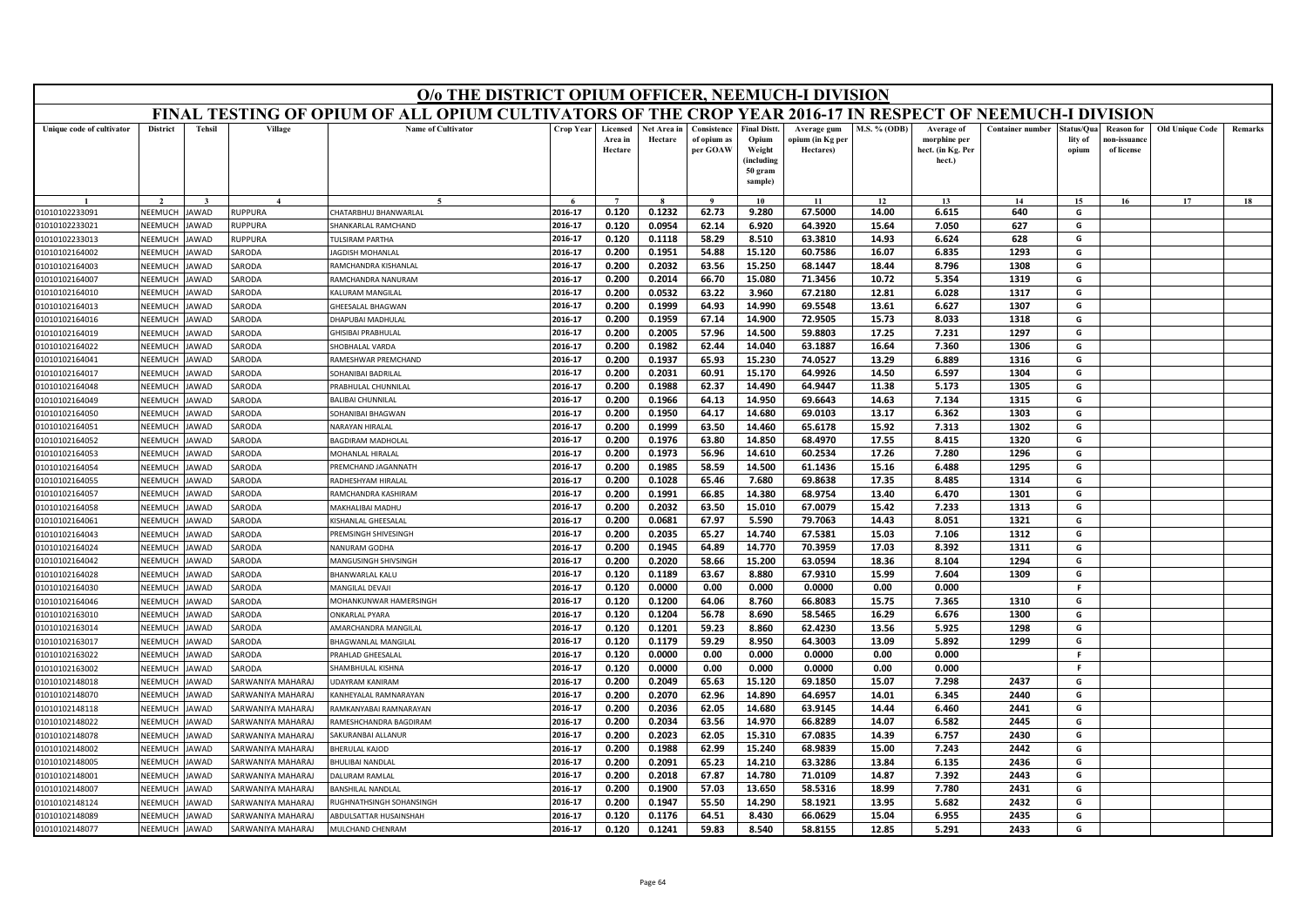|                           | O/o THE DISTRICT OPIUM OFFICER, NEEMUCH-I DIVISION<br>FINAL TESTING OF OPIUM OF ALL OPIUM CULTIVATORS OF THE CROP YEAR 2016-17 IN RESPECT OF NEEMUCH-I DIVISION |               |                          |                               |           |                                |                        |                                        |                                                                            |                                              |                     |                                                           |                         |                               |                                                |                        |                |
|---------------------------|-----------------------------------------------------------------------------------------------------------------------------------------------------------------|---------------|--------------------------|-------------------------------|-----------|--------------------------------|------------------------|----------------------------------------|----------------------------------------------------------------------------|----------------------------------------------|---------------------|-----------------------------------------------------------|-------------------------|-------------------------------|------------------------------------------------|------------------------|----------------|
|                           |                                                                                                                                                                 |               |                          |                               |           |                                |                        |                                        |                                                                            |                                              |                     |                                                           |                         |                               |                                                |                        |                |
| Unique code of cultivator | <b>District</b>                                                                                                                                                 | <b>Tehsil</b> | Village                  | <b>Name of Cultivator</b>     | Crop Year | Licensed<br>Area in<br>Hectare | Net Area in<br>Hectare | Consistence<br>of opium as<br>per GOAW | <b>Final Distt.</b><br>Opium<br>Weight<br>(including<br>50 gram<br>sample) | Average gum<br>opium (in Kg per<br>Hectares) | <b>M.S. % (ODB)</b> | Average of<br>morphine per<br>hect. (in Kg. Per<br>hect.) | <b>Container number</b> | tatus/Qua<br>lity of<br>opium | <b>Reason</b> for<br>10n-issuanc<br>of license | <b>Old Unique Code</b> | <b>Remarks</b> |
|                           |                                                                                                                                                                 |               |                          |                               |           | $\overline{7}$                 |                        | $\bf{Q}$                               | 10                                                                         | 11                                           | 12                  | 13                                                        | 14                      | 15                            | 16                                             | 17                     | 18             |
| 01010102233091            | NEEMUCH                                                                                                                                                         | AWAD          | RUPPURA                  | HATARBHUJ BHANWARLAI          | 2016-17   | 0.120                          | 0.1232                 | 62.73                                  | 9.280                                                                      | 67.5000                                      | 14.00               | 6.615                                                     | 640                     | G                             |                                                |                        |                |
| 01010102233021            | NEEMUCH                                                                                                                                                         | <b>AWAD</b>   | <b>NUPPURA</b>           | HANKARLAL RAMCHAND            | 2016-17   | 0.120                          | 0.0954                 | 62.14                                  | 6.920                                                                      | 64.3920                                      | 15.64               | 7.050                                                     | 627                     | G                             |                                                |                        |                |
| 01010102233013            | NEEMUCH                                                                                                                                                         | <b>AWAD</b>   | <b>NUPPURA</b>           | <b>ULSIRAM PARTHA</b>         | 2016-17   | 0.120                          | 0.1118                 | 58.29                                  | 8.510                                                                      | 63.3810                                      | 14.93               | 6.624                                                     | 628                     | G                             |                                                |                        |                |
| 01010102164002            | NEEMUCH                                                                                                                                                         | AWAD          | SARODA                   | <b>AGDISH MOHANLAI</b>        | 2016-17   | 0.200                          | 0.1951                 | 54.88                                  | 15.120                                                                     | 60.7586                                      | 16.07               | 6.835                                                     | 1293                    | G                             |                                                |                        |                |
| 01010102164003            | NEEMUCH                                                                                                                                                         | <b>AWAD</b>   | ARODA                    | AMCHANDRA KISHANLAL           | 2016-17   | 0.200                          | 0.2032                 | 63.56                                  | 15.250                                                                     | 68.1447                                      | 18.44               | 8.796                                                     | 1308                    | G                             |                                                |                        |                |
| 01010102164007            | NEEMUCH                                                                                                                                                         | <b>AWAD</b>   | SARODA                   | RAMCHANDRA NANURAM            | 2016-17   | 0.200                          | 0.2014                 | 66.70                                  | 15.080                                                                     | 71.3456                                      | 10.72               | 5.354                                                     | 1319                    | G                             |                                                |                        |                |
| 01010102164010            | NEEMUCH                                                                                                                                                         | AWAD          | SARODA                   | (ALURAM MANGILAL              | 2016-17   | 0.200                          | 0.0532                 | 63.22                                  | 3.960                                                                      | 67.2180                                      | 12.81               | 6.028                                                     | 1317                    | G                             |                                                |                        |                |
| 01010102164013            | NEEMUCH                                                                                                                                                         | AWAD          | SARODA                   | HEESALAL BHAGWAN              | 2016-17   | 0.200                          | 0.1999                 | 64.93                                  | 14.990                                                                     | 69.5548                                      | 13.61               | 6.627                                                     | 1307                    | G                             |                                                |                        |                |
| 01010102164016            | NEEMUCH                                                                                                                                                         | <b>AWAD</b>   | <b>SARODA</b>            | HAPUBAI MADHULAL              | 2016-17   | 0.200                          | 0.1959                 | 67.14                                  | 14.900                                                                     | 72.9505                                      | 15.73               | 8.033                                                     | 1318                    | G                             |                                                |                        |                |
| 01010102164019            | <b>NEEMUCH</b>                                                                                                                                                  | <b>AWAD</b>   | SARODA                   | HISIBAI PRABHULAL             | 2016-17   | 0.200                          | 0.2005                 | 57.96                                  | 14.500                                                                     | 59.8803                                      | 17.25               | 7.231                                                     | 1297                    | G                             |                                                |                        |                |
| 01010102164022            | NEEMUCH                                                                                                                                                         | AWAD          | SARODA                   | HOBHALAL VARDA                | 2016-17   | 0.200                          | 0.1982                 | 62.44                                  | 14.040                                                                     | 63.1887                                      | 16.64               | 7.360                                                     | 1306                    | G                             |                                                |                        |                |
| 01010102164041            | NEEMUCH                                                                                                                                                         | AWAD          | <b>SARODA</b>            | RAMESHWAR PREMCHAND           | 2016-17   | 0.200                          | 0.1937                 | 65.93                                  | 15.230                                                                     | 74.0527                                      | 13.29               | 6.889                                                     | 1316                    | G                             |                                                |                        |                |
| 01010102164017            | <b>NEEMUCH</b>                                                                                                                                                  | <b>JAWAD</b>  | SARODA                   | SOHANIBAI BADRILAL            | 2016-17   | 0.200                          | 0.2031                 | 60.91                                  | 15.170                                                                     | 64.9926                                      | 14.50               | 6.597                                                     | 1304                    | G                             |                                                |                        |                |
| 01010102164048            | NEEMUCH                                                                                                                                                         | <b>AWAD</b>   | SARODA                   | RABHULAL CHUNNILAL            | 2016-17   | 0.200                          | 0.1988                 | 62.37                                  | 14.490                                                                     | 64.9447                                      | 11.38               | 5.173                                                     | 1305                    | G                             |                                                |                        |                |
| 01010102164049            | NEEMUCH                                                                                                                                                         | <b>AWAD</b>   | SARODA                   | ALIBAI CHUNNILAL              | 2016-17   | 0.200                          | 0.1966                 | 64.13                                  | 14.950                                                                     | 69.6643                                      | 14.63               | 7.134                                                     | 1315                    | G                             |                                                |                        |                |
| 01010102164050            | NEEMUCH                                                                                                                                                         | <b>AWAD</b>   | SARODA                   | SOHANIBAI BHAGWAN             | 2016-17   | 0.200                          | 0.1950                 | 64.17                                  | 14.680                                                                     | 69.0103                                      | 13.17               | 6.362                                                     | 1303                    | G                             |                                                |                        |                |
| 01010102164051            | NEEMUCH                                                                                                                                                         | AWAD          | <b>SARODA</b>            | <b>JARAYAN HIRALAL</b>        | 2016-17   | 0.200                          | 0.1999                 | 63.50                                  | 14.460                                                                     | 65.6178                                      | 15.92               | 7.313                                                     | 1302                    | G                             |                                                |                        |                |
| 01010102164052            | NEEMUCH                                                                                                                                                         | AWAD          | <b>SARODA</b>            | <b>AGDIRAM MADHOLAL</b>       | 2016-17   | 0.200                          | 0.1976                 | 63.80                                  | 14.850                                                                     | 68.4970                                      | 17.55               | 8.415                                                     | 1320                    | G                             |                                                |                        |                |
| 01010102164053            | NEEMUCH                                                                                                                                                         | AWAD          | SARODA                   | MOHANLAL HIRALAL              | 2016-17   | 0.200                          | 0.1973                 | 56.96                                  | 14.610                                                                     | 60.2534                                      | 17.26               | 7.280                                                     | 1296                    | G                             |                                                |                        |                |
| 01010102164054            | NEEMUCH                                                                                                                                                         | AWAD          | ARODA                    | REMCHAND JAGANNATH            | 2016-17   | 0.200                          | 0.1985                 | 58.59                                  | 14.500                                                                     | 61.1436                                      | 15.16               | 6.488                                                     | 1295                    | G                             |                                                |                        |                |
| 01010102164055            | NEEMUCH                                                                                                                                                         | AWAD          | ARODA                    | ADHESHYAM HIRALAL             | 2016-17   | 0.200                          | 0.1028                 | 65.46                                  | 7.680                                                                      | 69.8638                                      | 17.35               | 8.485                                                     | 1314                    | G                             |                                                |                        |                |
| 01010102164057            | NEEMUCH                                                                                                                                                         | AWAD          | SARODA                   | RAMCHANDRA KASHIRAM           | 2016-17   | 0.200                          | 0.1991                 | 66.85                                  | 14.380                                                                     | 68.9754                                      | 13.40               | 6.470                                                     | 1301                    | G                             |                                                |                        |                |
| 01010102164058            | NEEMUCH                                                                                                                                                         | AWAD          | SARODA                   | MAKHALIBAI MADHU              | 2016-17   | 0.200                          | 0.2032                 | 63.50                                  | 15.010                                                                     | 67.0079                                      | 15.42               | 7.233                                                     | 1313                    | G                             |                                                |                        |                |
| 01010102164061            | NEEMUCH                                                                                                                                                         | AWAD          | <b>SARODA</b>            | (ISHANLAL GHEESALAI           | 2016-17   | 0.200                          | 0.0681                 | 67.97                                  | 5.590                                                                      | 79.7063                                      | 14.43               | 8.051                                                     | 1321                    | G                             |                                                |                        |                |
| 01010102164043            | NEEMUCH                                                                                                                                                         | AWAD          | <b>SARODA</b>            | PREMSINGH SHIVESINGH          | 2016-17   | 0.200                          | 0.2035                 | 65.27                                  | 14.740                                                                     | 67.5381                                      | 15.03               | 7.106                                                     | 1312                    | G                             |                                                |                        |                |
| 01010102164024            | NEEMUCH                                                                                                                                                         | AWAD          | SARODA                   | <b>VANURAM GODHA</b>          | 2016-17   | 0.200                          | 0.1945                 | 64.89                                  | 14.770                                                                     | 70.3959                                      | 17.03               | 8.392                                                     | 1311                    | G                             |                                                |                        |                |
| 01010102164042            | NEEMUCH                                                                                                                                                         | AWAD          | ARODA                    | <b>AANGUSINGH SHIVSINGH</b>   | 2016-17   | 0.200                          | 0.2020                 | 58.66                                  | 15.200                                                                     | 63.0594                                      | 18.36               | 8.104                                                     | 1294                    | G                             |                                                |                        |                |
| 01010102164028            | NEEMUCH                                                                                                                                                         | <b>AWAD</b>   | <b>SARODA</b>            | <b>BHANWARLAL KALU</b>        | 2016-17   | 0.120                          | 0.1189                 | 63.67                                  | 8.880                                                                      | 67.9310                                      | 15.99               | 7.604                                                     | 1309                    | G                             |                                                |                        |                |
| 01010102164030            | NEEMUCH                                                                                                                                                         | <b>AWAD</b>   | <b>SARODA</b>            | MANGILAL DEVAJI               | 2016-17   | 0.120                          | 0.0000                 | 0.00                                   | 0.000                                                                      | 0.0000                                       | 0.00                | 0.000                                                     |                         | -F                            |                                                |                        |                |
| 01010102164046            | NEEMUCH                                                                                                                                                         | AWAD          | ARODA                    | <b>MOHANKUNWAR HAMERSINGH</b> | 2016-17   | 0.120                          | 0.1200                 | 64.06                                  | 8.760                                                                      | 66.8083                                      | 15.75               | 7.365                                                     | 1310                    | G                             |                                                |                        |                |
| 01010102163010            | NEEMUCH                                                                                                                                                         | AWAD          | SARODA                   | <b><i>NKARLAL PYARA</i></b>   | 2016-17   | 0.120                          | 0.1204                 | 56.78                                  | 8.690                                                                      | 58.5465                                      | 16.29               | 6.676                                                     | 1300                    | G                             |                                                |                        |                |
| 01010102163014            | NFFMUCH                                                                                                                                                         | <b>AWAD</b>   | <b>SARODA</b>            | AMARCHANDRA MANGILAL          | 2016-17   | 0.120                          | 0.1201                 | 59.23                                  | 8.860                                                                      | 62.4230                                      | 13.56               | 5.925                                                     | 1298                    | G                             |                                                |                        |                |
| 01010102163017            | NEEMUCH                                                                                                                                                         | AWAD          | ARODA                    | HAGWANLAL MANGILAI            | 2016-17   | 0.120                          | 0.1179                 | 59.29                                  | 8.950                                                                      | 64.3003                                      | 13.09               | 5.892                                                     | 1299                    | G                             |                                                |                        |                |
| 01010102163022            | NEEMUCH                                                                                                                                                         | AWAD          | ARODA                    | <b>RAHLAD GHEESALAL</b>       | 2016-17   | 0.120                          | 0.0000                 | 0.00                                   | 0.000                                                                      | 0.0000                                       | 0.00                | 0.000                                                     |                         | F.                            |                                                |                        |                |
| 01010102163002            | NEEMUCH                                                                                                                                                         | AWAD          | <b>SARODA</b>            | HAMBHULAL KISHNA              | 2016-17   | 0.120                          | 0.0000                 | 0.00                                   | 0.000                                                                      | 0.0000                                       | 0.00                | 0.000                                                     |                         | F.                            |                                                |                        |                |
| 01010102148018            | NEEMUCH                                                                                                                                                         | AWAD          | <b>SARWANIYA MAHARAJ</b> | <b>JDAYRAM KANIRAM</b>        | 2016-17   | 0.200                          | 0.2049                 | 65.63                                  | 15.120                                                                     | 69.1850                                      | 15.07               | 7.298                                                     | 2437                    | G                             |                                                |                        |                |
| 01010102148070            | NEEMUCH                                                                                                                                                         | AWAD          | ARWANIYA MAHARAJ         | ANHEYALAL RAMNARAYAN          | 2016-17   | 0.200                          | 0.2070                 | 62.96                                  | 14.890                                                                     | 64.6957                                      | 14.01               | 6.345                                                     | 2440                    | G                             |                                                |                        |                |
| 01010102148118            | NEEMUCH                                                                                                                                                         | AWAD          | <b>ARWANIYA MAHARAJ</b>  | <b>AMKANYABAI RAMNARAYAN</b>  | 2016-17   | 0.200                          | 0.2036                 | 62.05                                  | 14.680                                                                     | 63.9145                                      | 14.44               | 6.460                                                     | 2441                    | G                             |                                                |                        |                |
| 01010102148022            | NEEMUCH                                                                                                                                                         | AWAD          | ARWANIYA MAHARAJ         | AMESHCHANDRA BAGDIRAM         | 2016-17   | 0.200                          | 0.2034                 | 63.56                                  | 14.970                                                                     | 66.8289                                      | 14.07               | 6.582                                                     | 2445                    | G                             |                                                |                        |                |
| 01010102148078            | NEEMUCH                                                                                                                                                         | AWAD          | <b>SARWANIYA MAHARAJ</b> | AKURANBAI ALLANUR             | 2016-17   | 0.200                          | 0.2023                 | 62.05                                  | 15.310                                                                     | 67.0835                                      | 14.39               | 6.757                                                     | 2430                    | G                             |                                                |                        |                |
| 01010102148002            | NEEMUCH                                                                                                                                                         | AWAD          | <b>SARWANIYA MAHARAJ</b> | <b>HERULAL KAJOD</b>          | 2016-17   | 0.200                          | 0.1988                 | 62.99                                  | 15.240                                                                     | 68.9839                                      | 15.00               | 7.243                                                     | 2442                    | G                             |                                                |                        |                |
| 01010102148005            | NEEMUCH                                                                                                                                                         | AWAD          | SARWANIYA MAHARAJ        | <b>HULIBAI NANDLAI</b>        | 2016-17   | 0.200                          | 0.2091                 | 65.23                                  | 14.210                                                                     | 63.3286                                      | 13.84               | 6.135                                                     | 2436                    | G                             |                                                |                        |                |
| 01010102148001            | NEEMUCH                                                                                                                                                         | AWAD          | <b>SARWANIYA MAHARAJ</b> | ALURAM RAMLAL                 | 2016-17   | 0.200                          | 0.2018                 | 67.87                                  | 14.780                                                                     | 71.0109                                      | 14.87               | 7.392                                                     | 2443                    | G                             |                                                |                        |                |
| 01010102148007            | NEEMUCH                                                                                                                                                         | AWAD          | <b>SARWANIYA MAHARAJ</b> | ANSHILAL NANDLAL              | 2016-17   | 0.200                          | 0.1900                 | 57.03                                  | 13.650                                                                     | 58.5316                                      | 18.99               | 7.780                                                     | 2431                    | G                             |                                                |                        |                |
| 01010102148124            | NEEMUCH                                                                                                                                                         | AWAD          | <b>SARWANIYA MAHARAJ</b> | UGHNATHSINGH SOHANSINGH       | 2016-17   | 0.200                          | 0.1947                 | 55.50                                  | 14.290                                                                     | 58.1921                                      | 13.95               | 5.682                                                     | 2432                    | G                             |                                                |                        |                |
| 01010102148089            | NEEMUCH                                                                                                                                                         | AWAD          | SARWANIYA MAHARAJ        | BDULSATTAR HUSAINSHAH         | 2016-17   | 0.120                          | 0.1176                 | 64.51                                  | 8.430                                                                      | 66.0629                                      | 15.04               | 6.955                                                     | 2435                    | G                             |                                                |                        |                |
| 01010102148077            | NEEMUCH                                                                                                                                                         | <b>JAWAD</b>  | SARWANIYA MAHARAJ        | MULCHAND CHENRAM              | 2016-17   | 0.120                          | 0.1241                 | 59.83                                  | 8.540                                                                      | 58.8155                                      | 12.85               | 5.291                                                     | 2433                    | G                             |                                                |                        |                |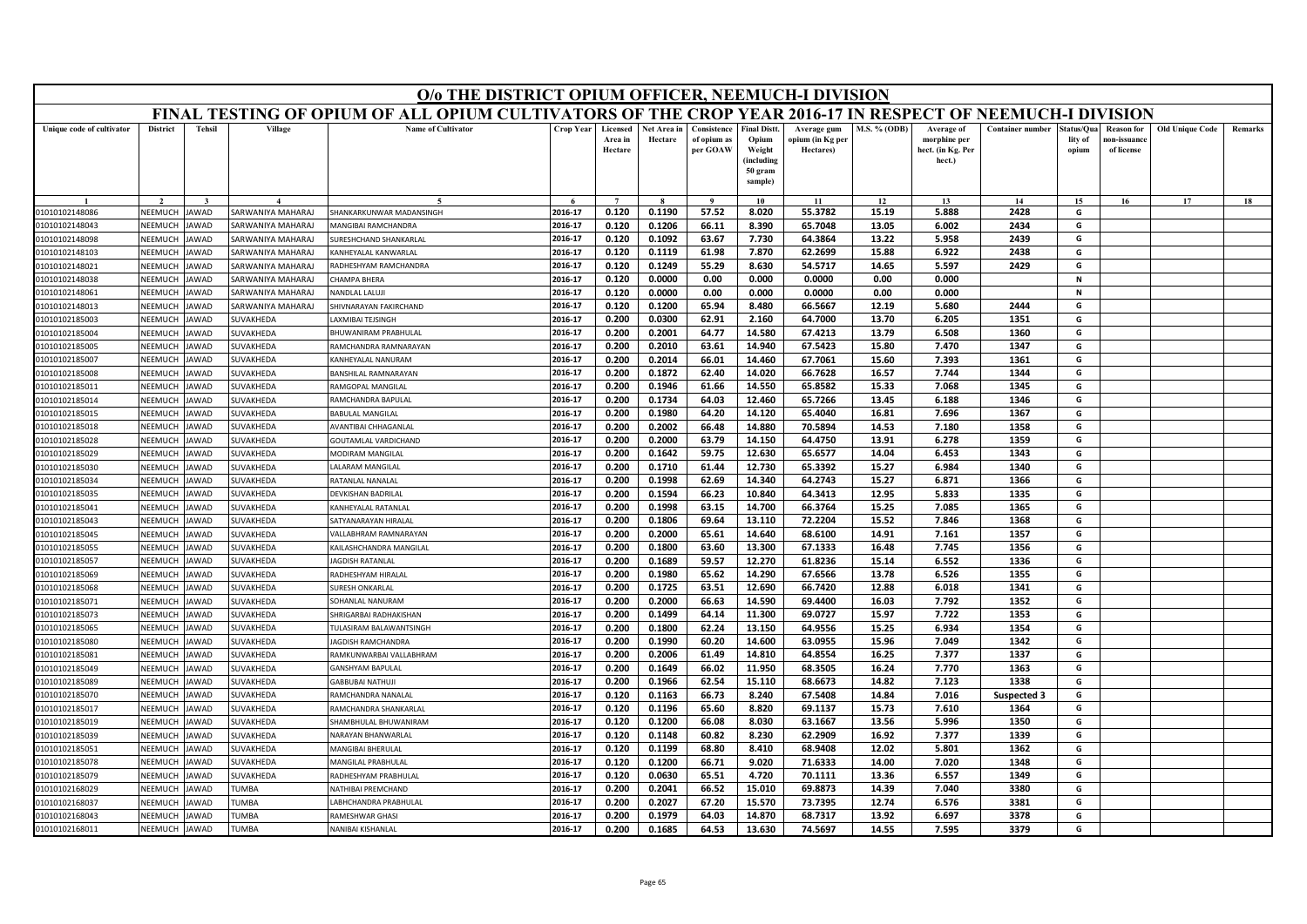| FINAL TESTING OF OPIUM OF ALL OPIUM CULTIVATORS OF THE CROP YEAR 2016-17 IN RESPECT OF NEEMUCH-I DIVISION<br><b>Name of Cultivator</b><br><b>District</b><br><b>Tehsil</b><br>Village<br>Crop Year<br>Consistence<br><b>Final Distt</b><br>M.S. % (ODB)<br><b>Container number</b><br><b>Old Unique Code</b><br>Unique code of cultivator<br>Licensed<br>Net Area in<br>Average gum<br>Average of<br>tatus/Qua<br><b>Reason</b> for<br>Area in<br>Hectare<br>of opium as<br>Opium<br>opium (in Kg per<br>morphine per<br>lity of<br>10n-issuanc<br>Hectare<br>per GOAW<br>Weight<br>Hectares)<br>hect. (in Kg. Per<br>of license<br>opium<br>(including<br>hect.)<br>50 gram<br>sample)<br>15<br>17<br>18<br>10<br>11<br>12<br>13<br>14<br>16<br>2016-17<br>0.120<br>0.1190<br>57.52<br>8.020<br>55.3782<br>15.19<br>5.888<br>2428<br>G<br>NEEMUCH<br>SARWANIYA MAHARAJ<br>SHANKARKI INWAR MADANSINGH<br>01010102148086<br>JAWAD<br>2016-17<br>0.120<br>0.1206<br>66.11<br>8.390<br>65.7048<br>13.05<br>6.002<br>2434<br>G<br>01010102148043<br>NEEMUCH<br>AWAD<br>ARWANIYA MAHARAJ<br><b>MANGIBAI RAMCHANDRA</b><br>2016-17<br>2439<br>G<br>NEEMUCH<br>0.120<br>0.1092<br>63.67<br>7.730<br>64.3864<br>13.22<br>5.958<br>01010102148098<br><b>AWAD</b><br><b>SARWANIYA MAHARAJ</b><br>URESHCHAND SHANKARLAL<br><b>NEEMUCH</b><br>2016-17<br>0.120<br>0.1119<br>61.98<br>7.870<br>62.2699<br>15.88<br>6.922<br>2438<br>G<br>01010102148103<br><b>AWAD</b><br>SARWANIYA MAHARAJ<br><b>CANHEYALAL KANWARLAL</b><br>2016-17<br>0.120<br>0.1249<br>55.29<br>8.630<br>54.5717<br>14.65<br>5.597<br>2429<br>G<br>01010102148021<br>NEEMUCH<br>AWAD<br>SARWANIYA MAHARAJ<br><b>RADHESHYAM RAMCHANDRA</b><br>2016-17<br>0.120<br>0.0000<br>0.00<br>0.000<br>0.0000<br>0.00<br>0.000<br>$\mathbf N$<br>NEEMUCH<br>AWAD<br>ARWANIYA MAHARAJ<br><b>HAMPA BHERA</b><br>01010102148038<br>0.0000<br>0.00<br>0.0000<br>NFFMUCH<br>AWAD<br>SARWANIYA MAHARAJ<br>2016-17<br>0.120<br>0.000<br>0.00<br>0.000<br>$\mathbf N$<br>01010102148061<br>NANDLAL LALUJI<br>0.120<br>65.94<br>66.5667<br>2444<br>2016-17<br>0.1200<br>8.480<br>12.19<br>5.680<br>G<br>NEEMUCH<br>SARWANIYA MAHARAJ<br>01010102148013<br>AWAD<br>HIVNARAYAN FAKIRCHAND<br>2016-17<br>0.200<br>0.0300<br>62.91<br>2.160<br>64.7000<br>13.70<br>6.205<br>1351<br>G<br>NEEMUCH<br>01010102185003<br>AWAD<br>SUVAKHEDA<br>AXMIBAI TEJSINGH<br>2016-17<br>0.200<br>0.2001<br>64.77<br>14.580<br>67.4213<br>13.79<br>6.508<br>1360<br>G<br>01010102185004<br>NEEMUCH<br><b>AWAD</b><br>SUVAKHEDA<br>BHUWANIRAM PRABHULAL<br>2016-17<br>0.200<br>0.2010<br>63.61<br>14.940<br>67.5423<br>15.80<br>7.470<br>1347<br>G<br>01010102185005<br>NEEMUCH<br>AWAD<br>SUVAKHEDA<br>RAMCHANDRA RAMNARAYAN<br>2016-17<br>0.200<br>0.2014<br>67.7061<br>15.60<br>7.393<br>1361<br>G<br>NEEMUCH<br>66.01<br>14.460<br>01010102185007<br>AWAD<br>SUVAKHEDA<br><b>ANHEYALAL NANURAM</b><br><b>NEEMUCH</b><br><b>AWAD</b><br>0.200<br>0.1872<br>62.40<br>14.020<br>66.7628<br>16.57<br>7.744<br>1344<br>01010102185008<br>SUVAKHEDA<br>BANSHILAL RAMNARAYAN<br>2016-17<br>G<br>65.8582<br>15.33<br>1345<br>01010102185011<br>NEEMUCH<br><b>AWAD</b><br>SUVAKHEDA<br>2016-17<br>0.200<br>0.1946<br>61.66<br>14.550<br>7.068<br>G<br>RAMGOPAL MANGILAL<br>NEEMUCH<br>2016-17<br>0.200<br>0.1734<br>64.03<br>12.460<br>65.7266<br>13.45<br>6.188<br>1346<br>G<br>01010102185014<br><b>AWAD</b><br>SUVAKHEDA<br>RAMCHANDRA BAPULAI<br>NEEMUCH<br>AWAD<br>SUVAKHEDA<br>2016-17<br>0.200<br>0.1980<br>64.20<br>14.120<br>65.4040<br>16.81<br>7.696<br>1367<br>G<br>01010102185015<br><b>BABULAL MANGILAL</b><br>01010102185018<br>NFFMUCH<br><b>AWAD</b><br>SUVAKHEDA<br>2016-17<br>0.2002<br>66.48<br>14.880<br>70.5894<br>14.53<br>7.180<br>1358<br>G<br>AVANTIBAI CHHAGANLAL<br>0.200<br>01010102185028<br>NEEMUCH<br>2016-17<br>0.200<br>0.2000<br>63.79<br>64.4750<br>13.91<br>6.278<br>1359<br>G<br><b>AWAD</b><br>SUVAKHEDA<br>14.150<br><b>GOUTAMLAL VARDICHAND</b><br>2016-17<br>0.200<br>0.1642<br>59.75<br>12.630<br>65.6577<br>14.04<br>6.453<br>1343<br>G<br>01010102185029<br>NEEMUCH<br>AWAD<br><b>SUVAKHEDA</b><br><b>MODIRAM MANGILAL</b><br><b>ALARAM MANGILAL</b><br>2016-17<br>0.200<br>0.1710<br>61.44<br>12.730<br>65.3392<br>15.27<br>6.984<br>1340<br>G<br>01010102185030<br>NEEMUCH<br>SUVAKHEDA<br>AWAD<br>62.69<br>64.2743<br>15.27<br>1366<br>G<br>2016-17<br>0.200<br>0.1998<br>14.340<br>6.871<br>NEEMUCH<br>RATANLAL NANALAL<br>01010102185034<br>AWAD<br>SUVAKHEDA<br>NEEMUCH<br>2016-17<br>0.200<br>0.1594<br>66.23<br>10.840<br>64.3413<br>12.95<br>5.833<br>1335<br>G<br>01010102185035<br>AWAD<br><b>SUVAKHEDA</b><br>DEVKISHAN BADRILAL<br>2016-17<br>66.3764<br>1365<br>NEEMUCH<br><b>CANHEYALAL RATANLAL</b><br>0.200<br>0.1998<br>63.15<br>14.700<br>15.25<br>7.085<br>G<br>01010102185041<br><b>AWAD</b><br><b>SUVAKHEDA</b><br>2016-17<br>0.200<br>0.1806<br>69.64<br>13.110<br>72.2204<br>15.52<br>7.846<br>1368<br>G<br>NEEMUCH<br>01010102185043<br>AWAD<br>SUVAKHEDA<br>SATYANARAYAN HIRALAI<br>68.6100<br>2016-17<br>0.200<br>0.2000<br>65.61<br>14.640<br>14.91<br>7.161<br>1357<br>G<br>01010102185045<br>NEEMUCH<br>AWAD<br>SUVAKHEDA<br>ALLABHRAM RAMNARAYAN<br>2016-17<br>0.1800<br>63.60<br>13.300<br>67.1333<br>16.48<br>7.745<br>1356<br>G<br>01010102185055<br>NEEMUCH<br>AWAD<br>SUVAKHEDA<br>0.200<br>(AILASHCHANDRA MANGILAL<br>2016-17<br>0.200<br>0.1689<br>59.57<br>12.270<br>61.8236<br>15.14<br>6.552<br>1336<br>G<br>01010102185057<br>NEEMUCH<br>AWAD<br>SUVAKHEDA<br><b>AGDISH RATANLAI</b><br>1355<br>2016-17<br>0.200<br>0.1980<br>65.62<br>14.290<br>67.6566<br>13.78<br>6.526<br>G<br>01010102185069<br>NEEMUCH<br>AWAD<br>SUVAKHEDA<br>RADHESHYAM HIRALAL<br>12.690<br>2016-17<br>0.200<br>0.1725<br>63.51<br>66.7420<br>12.88<br>6.018<br>1341<br>G<br>01010102185068<br>NEEMUCH<br>AWAD<br>SUVAKHEDA<br>URESH ONKARLAL<br>NEEMUCI<br>0.200<br>0.2000<br>66.63<br>14.590<br>69.4400<br>16.03<br>7.792<br>1352<br>G<br>01010102185071<br><b>AWAD</b><br>SUVAKHEDA<br>2016-17<br>SOHANLAL NANURAM<br>1353<br>01010102185073<br>NEEMUCH<br>AWAD<br>SUVAKHEDA<br>HRIGARBAI RADHAKISHAN<br>2016-17<br>0.200<br>0.1499<br>64.14<br>11.300<br>69.0727<br>15.97<br>7.722<br>G<br>NEEMUCH<br>AWAD<br>2016-17<br>0.1800<br>62.24<br>13.150<br>64.9556<br>15.25<br>6.934<br>1354<br>G<br>01010102185065<br><b>SUVAKHEDA</b><br>ULASIRAM BALAWANTSINGH<br>0.200<br>NEEMUCH<br><b>AWAD</b><br>2016-17<br>0.200<br>0.1990<br>60.20<br>14.600<br>63.0955<br>15.96<br>7.049<br>1342<br>G<br>01010102185080<br>SUVAKHEDA<br><b>AGDISH RAMCHANDRA</b><br>64.8554<br>1337<br>NEEMUCH<br>SUVAKHEDA<br>2016-17<br>0.200<br>0.2006<br>61.49<br>14.810<br>16.25<br>7.377<br>01010102185081<br>AWAD<br>RAMKUNWARBAI VALLABHRAM<br>G<br>1363<br>G<br>01010102185049<br>VEEMUCH<br>AWAD<br><b>SUVAKHEDA</b><br>2016-17<br>0.200<br>0.1649<br>66.02<br>11.950<br>68.3505<br>16.24<br>7.770<br><b>GANSHYAM BAPULAL</b><br>01010102185089<br>NEEMUCH<br>AWAD<br>SUVAKHEDA<br>2016-17<br>0.200<br>0.1966<br>62.54<br>15.110<br>68.6673<br>14.82<br>7.123<br>1338<br>G<br>GABBUBAI NATHUJ<br>2016-17<br>0.1163<br>66.73<br>67.5408<br>0.120<br>8.240<br>14.84<br>7.016<br>G<br>01010102185070<br><b>NEEMUCH</b><br>AWAD<br>SUVAKHEDA<br>RAMCHANDRA NANALAL<br>Suspected 3<br>G<br><b>NEEMUCH</b><br><b>AMCHANDRA SHANKARLAL</b><br>2016-17<br>0.120<br>0.1196<br>65.60<br>8.820<br>69.1137<br>15.73<br>7.610<br>1364<br>01010102185017<br>AWAD<br><b>UVAKHEDA</b><br>13.56<br>5.996<br>NEEMUCH<br>HAMBHULAL BHUWANIRAM<br>2016-17<br>0.120<br>0.1200<br>66.08<br>8.030<br>63.1667<br>1350<br>G<br>01010102185019<br><b>AWAD</b><br><b>SUVAKHEDA</b><br>60.82<br>62.2909<br>16.92<br>7.377<br>1339<br>2016-17<br>0.120<br>0.1148<br>8.230<br>G<br>NEEMUCH<br><b>SUVAKHEDA</b><br>NARAYAN BHANWARLAL<br>01010102185039<br>AWAD<br>2016-17<br>0.120<br>0.1199<br>68.9408<br>12.02<br>5.801<br>1362<br>G<br>01010102185051<br><b>NEEMUCH</b><br>AWAD<br><b>MANGIBAI BHERULAL</b><br>68.80<br>8.410<br>UVAKHEDA<br>2016-17<br>0.120<br>0.1200<br>9.020<br>71.6333<br>14.00<br>7.020<br>1348<br>G<br><b>NFFMUCH</b><br>AWAD<br>SUVAKHEDA<br>66.71<br>01010102185078<br>MANGILAL PRABHULAL<br>2016-17<br>0.120<br>0.0630<br>65.51<br>4.720<br>70.1111<br>13.36<br>6.557<br>1349<br>G<br>01010102185079<br>NEEMUCH<br>SUVAKHEDA<br>AWAD<br>RADHESHYAM PRABHULAL<br>0.200<br>0.2041<br>66.52<br>15.010<br>69.8873<br>3380<br>G<br>2016-17<br>14.39<br>7.040<br>01010102168029<br>VEEMUCI<br>AWAD<br><b>TUMBA</b><br><b>ATHIBAI PREMCHAND</b><br>2016-17<br>0.200<br>0.2027<br>67.20<br>15.570<br>73.7395<br>12.74<br>6.576<br>3381<br>G<br>01010102168037<br>NEEMUCH<br>AWAD<br><b>TUMBA</b><br>ABHCHANDRA PRABHULAL<br>2016-17<br>0.200<br>0.1979<br>64.03<br>14.870<br>68.7317<br>13.92<br>6.697<br>3378<br>G<br>NEEMUCH<br><b>TUMBA</b><br>01010102168043<br>JAWAD<br>RAMESHWAR GHASI<br>0.200<br>0.1685<br>13.630<br>74.5697<br>14.55<br>2016-17<br>64.53<br>7.595<br>3379<br>G<br>NEEMUCH<br><b>AWAD</b><br>01010102168011<br><b>TUMBA</b><br>NANIBAI KISHANLAL |  |  | O/o THE DISTRICT OPIUM OFFICER, NEEMUCH-I DIVISION |  |  |  |  |  |  |         |
|-------------------------------------------------------------------------------------------------------------------------------------------------------------------------------------------------------------------------------------------------------------------------------------------------------------------------------------------------------------------------------------------------------------------------------------------------------------------------------------------------------------------------------------------------------------------------------------------------------------------------------------------------------------------------------------------------------------------------------------------------------------------------------------------------------------------------------------------------------------------------------------------------------------------------------------------------------------------------------------------------------------------------------------------------------------------------------------------------------------------------------------------------------------------------------------------------------------------------------------------------------------------------------------------------------------------------------------------------------------------------------------------------------------------------------------------------------------------------------------------------------------------------------------------------------------------------------------------------------------------------------------------------------------------------------------------------------------------------------------------------------------------------------------------------------------------------------------------------------------------------------------------------------------------------------------------------------------------------------------------------------------------------------------------------------------------------------------------------------------------------------------------------------------------------------------------------------------------------------------------------------------------------------------------------------------------------------------------------------------------------------------------------------------------------------------------------------------------------------------------------------------------------------------------------------------------------------------------------------------------------------------------------------------------------------------------------------------------------------------------------------------------------------------------------------------------------------------------------------------------------------------------------------------------------------------------------------------------------------------------------------------------------------------------------------------------------------------------------------------------------------------------------------------------------------------------------------------------------------------------------------------------------------------------------------------------------------------------------------------------------------------------------------------------------------------------------------------------------------------------------------------------------------------------------------------------------------------------------------------------------------------------------------------------------------------------------------------------------------------------------------------------------------------------------------------------------------------------------------------------------------------------------------------------------------------------------------------------------------------------------------------------------------------------------------------------------------------------------------------------------------------------------------------------------------------------------------------------------------------------------------------------------------------------------------------------------------------------------------------------------------------------------------------------------------------------------------------------------------------------------------------------------------------------------------------------------------------------------------------------------------------------------------------------------------------------------------------------------------------------------------------------------------------------------------------------------------------------------------------------------------------------------------------------------------------------------------------------------------------------------------------------------------------------------------------------------------------------------------------------------------------------------------------------------------------------------------------------------------------------------------------------------------------------------------------------------------------------------------------------------------------------------------------------------------------------------------------------------------------------------------------------------------------------------------------------------------------------------------------------------------------------------------------------------------------------------------------------------------------------------------------------------------------------------------------------------------------------------------------------------------------------------------------------------------------------------------------------------------------------------------------------------------------------------------------------------------------------------------------------------------------------------------------------------------------------------------------------------------------------------------------------------------------------------------------------------------------------------------------------------------------------------------------------------------------------------------------------------------------------------------------------------------------------------------------------------------------------------------------------------------------------------------------------------------------------------------------------------------------------------------------------------------------------------------------------------------------------------------------------------------------------------------------------------------------------------------------------------------------------------------------------------------------------------------------------------------------------------------------------------------------------------------------------------------------------------------------------------------------------------------------------------------------------------------------------------------------------------------------------------------------------------------------------------------------------------------------------------------------------------------------------------------------------------------------------------------------------------------------------------------------------------------------------------------------------------------------------------------------------------------------------------------------------------------------------------------------------------------------------------------------------------------------------------------------------------------------------------------------------------------------------------------------------------------------------------------------------------------------------------------------------------------------------------------------------------------------------------------------------------------------------------------------------------------------------------------------------------------------------------------------------------------------------------------------------------------------------------------------------------------------------------------------------------------------------------------------------------------------------------------------------------------------------------------------------------------------------------------------------------------------------------------------------------------------------------------------------------------------------------------------------------------------------------------------------------------------------------------------------------------------------------------------------------------------------------------------------------------------------------------|--|--|----------------------------------------------------|--|--|--|--|--|--|---------|
|                                                                                                                                                                                                                                                                                                                                                                                                                                                                                                                                                                                                                                                                                                                                                                                                                                                                                                                                                                                                                                                                                                                                                                                                                                                                                                                                                                                                                                                                                                                                                                                                                                                                                                                                                                                                                                                                                                                                                                                                                                                                                                                                                                                                                                                                                                                                                                                                                                                                                                                                                                                                                                                                                                                                                                                                                                                                                                                                                                                                                                                                                                                                                                                                                                                                                                                                                                                                                                                                                                                                                                                                                                                                                                                                                                                                                                                                                                                                                                                                                                                                                                                                                                                                                                                                                                                                                                                                                                                                                                                                                                                                                                                                                                                                                                                                                                                                                                                                                                                                                                                                                                                                                                                                                                                                                                                                                                                                                                                                                                                                                                                                                                                                                                                                                                                                                                                                                                                                                                                                                                                                                                                                                                                                                                                                                                                                                                                                                                                                                                                                                                                                                                                                                                                                                                                                                                                                                                                                                                                                                                                                                                                                                                                                                                                                                                                                                                                                                                                                                                                                                                                                                                                                                                                                                                                                                                                                                                                                                                                                                                                                                                                                                                                                                                                                                                                                                                                                                                                                                                                                                                                                                                                                                                                                                                                                                                                                                                                                                                                                                                                                                                                               |  |  |                                                    |  |  |  |  |  |  |         |
|                                                                                                                                                                                                                                                                                                                                                                                                                                                                                                                                                                                                                                                                                                                                                                                                                                                                                                                                                                                                                                                                                                                                                                                                                                                                                                                                                                                                                                                                                                                                                                                                                                                                                                                                                                                                                                                                                                                                                                                                                                                                                                                                                                                                                                                                                                                                                                                                                                                                                                                                                                                                                                                                                                                                                                                                                                                                                                                                                                                                                                                                                                                                                                                                                                                                                                                                                                                                                                                                                                                                                                                                                                                                                                                                                                                                                                                                                                                                                                                                                                                                                                                                                                                                                                                                                                                                                                                                                                                                                                                                                                                                                                                                                                                                                                                                                                                                                                                                                                                                                                                                                                                                                                                                                                                                                                                                                                                                                                                                                                                                                                                                                                                                                                                                                                                                                                                                                                                                                                                                                                                                                                                                                                                                                                                                                                                                                                                                                                                                                                                                                                                                                                                                                                                                                                                                                                                                                                                                                                                                                                                                                                                                                                                                                                                                                                                                                                                                                                                                                                                                                                                                                                                                                                                                                                                                                                                                                                                                                                                                                                                                                                                                                                                                                                                                                                                                                                                                                                                                                                                                                                                                                                                                                                                                                                                                                                                                                                                                                                                                                                                                                                                               |  |  |                                                    |  |  |  |  |  |  | Remarks |
|                                                                                                                                                                                                                                                                                                                                                                                                                                                                                                                                                                                                                                                                                                                                                                                                                                                                                                                                                                                                                                                                                                                                                                                                                                                                                                                                                                                                                                                                                                                                                                                                                                                                                                                                                                                                                                                                                                                                                                                                                                                                                                                                                                                                                                                                                                                                                                                                                                                                                                                                                                                                                                                                                                                                                                                                                                                                                                                                                                                                                                                                                                                                                                                                                                                                                                                                                                                                                                                                                                                                                                                                                                                                                                                                                                                                                                                                                                                                                                                                                                                                                                                                                                                                                                                                                                                                                                                                                                                                                                                                                                                                                                                                                                                                                                                                                                                                                                                                                                                                                                                                                                                                                                                                                                                                                                                                                                                                                                                                                                                                                                                                                                                                                                                                                                                                                                                                                                                                                                                                                                                                                                                                                                                                                                                                                                                                                                                                                                                                                                                                                                                                                                                                                                                                                                                                                                                                                                                                                                                                                                                                                                                                                                                                                                                                                                                                                                                                                                                                                                                                                                                                                                                                                                                                                                                                                                                                                                                                                                                                                                                                                                                                                                                                                                                                                                                                                                                                                                                                                                                                                                                                                                                                                                                                                                                                                                                                                                                                                                                                                                                                                                                               |  |  |                                                    |  |  |  |  |  |  |         |
|                                                                                                                                                                                                                                                                                                                                                                                                                                                                                                                                                                                                                                                                                                                                                                                                                                                                                                                                                                                                                                                                                                                                                                                                                                                                                                                                                                                                                                                                                                                                                                                                                                                                                                                                                                                                                                                                                                                                                                                                                                                                                                                                                                                                                                                                                                                                                                                                                                                                                                                                                                                                                                                                                                                                                                                                                                                                                                                                                                                                                                                                                                                                                                                                                                                                                                                                                                                                                                                                                                                                                                                                                                                                                                                                                                                                                                                                                                                                                                                                                                                                                                                                                                                                                                                                                                                                                                                                                                                                                                                                                                                                                                                                                                                                                                                                                                                                                                                                                                                                                                                                                                                                                                                                                                                                                                                                                                                                                                                                                                                                                                                                                                                                                                                                                                                                                                                                                                                                                                                                                                                                                                                                                                                                                                                                                                                                                                                                                                                                                                                                                                                                                                                                                                                                                                                                                                                                                                                                                                                                                                                                                                                                                                                                                                                                                                                                                                                                                                                                                                                                                                                                                                                                                                                                                                                                                                                                                                                                                                                                                                                                                                                                                                                                                                                                                                                                                                                                                                                                                                                                                                                                                                                                                                                                                                                                                                                                                                                                                                                                                                                                                                                               |  |  |                                                    |  |  |  |  |  |  |         |
|                                                                                                                                                                                                                                                                                                                                                                                                                                                                                                                                                                                                                                                                                                                                                                                                                                                                                                                                                                                                                                                                                                                                                                                                                                                                                                                                                                                                                                                                                                                                                                                                                                                                                                                                                                                                                                                                                                                                                                                                                                                                                                                                                                                                                                                                                                                                                                                                                                                                                                                                                                                                                                                                                                                                                                                                                                                                                                                                                                                                                                                                                                                                                                                                                                                                                                                                                                                                                                                                                                                                                                                                                                                                                                                                                                                                                                                                                                                                                                                                                                                                                                                                                                                                                                                                                                                                                                                                                                                                                                                                                                                                                                                                                                                                                                                                                                                                                                                                                                                                                                                                                                                                                                                                                                                                                                                                                                                                                                                                                                                                                                                                                                                                                                                                                                                                                                                                                                                                                                                                                                                                                                                                                                                                                                                                                                                                                                                                                                                                                                                                                                                                                                                                                                                                                                                                                                                                                                                                                                                                                                                                                                                                                                                                                                                                                                                                                                                                                                                                                                                                                                                                                                                                                                                                                                                                                                                                                                                                                                                                                                                                                                                                                                                                                                                                                                                                                                                                                                                                                                                                                                                                                                                                                                                                                                                                                                                                                                                                                                                                                                                                                                                               |  |  |                                                    |  |  |  |  |  |  |         |
|                                                                                                                                                                                                                                                                                                                                                                                                                                                                                                                                                                                                                                                                                                                                                                                                                                                                                                                                                                                                                                                                                                                                                                                                                                                                                                                                                                                                                                                                                                                                                                                                                                                                                                                                                                                                                                                                                                                                                                                                                                                                                                                                                                                                                                                                                                                                                                                                                                                                                                                                                                                                                                                                                                                                                                                                                                                                                                                                                                                                                                                                                                                                                                                                                                                                                                                                                                                                                                                                                                                                                                                                                                                                                                                                                                                                                                                                                                                                                                                                                                                                                                                                                                                                                                                                                                                                                                                                                                                                                                                                                                                                                                                                                                                                                                                                                                                                                                                                                                                                                                                                                                                                                                                                                                                                                                                                                                                                                                                                                                                                                                                                                                                                                                                                                                                                                                                                                                                                                                                                                                                                                                                                                                                                                                                                                                                                                                                                                                                                                                                                                                                                                                                                                                                                                                                                                                                                                                                                                                                                                                                                                                                                                                                                                                                                                                                                                                                                                                                                                                                                                                                                                                                                                                                                                                                                                                                                                                                                                                                                                                                                                                                                                                                                                                                                                                                                                                                                                                                                                                                                                                                                                                                                                                                                                                                                                                                                                                                                                                                                                                                                                                                               |  |  |                                                    |  |  |  |  |  |  |         |
|                                                                                                                                                                                                                                                                                                                                                                                                                                                                                                                                                                                                                                                                                                                                                                                                                                                                                                                                                                                                                                                                                                                                                                                                                                                                                                                                                                                                                                                                                                                                                                                                                                                                                                                                                                                                                                                                                                                                                                                                                                                                                                                                                                                                                                                                                                                                                                                                                                                                                                                                                                                                                                                                                                                                                                                                                                                                                                                                                                                                                                                                                                                                                                                                                                                                                                                                                                                                                                                                                                                                                                                                                                                                                                                                                                                                                                                                                                                                                                                                                                                                                                                                                                                                                                                                                                                                                                                                                                                                                                                                                                                                                                                                                                                                                                                                                                                                                                                                                                                                                                                                                                                                                                                                                                                                                                                                                                                                                                                                                                                                                                                                                                                                                                                                                                                                                                                                                                                                                                                                                                                                                                                                                                                                                                                                                                                                                                                                                                                                                                                                                                                                                                                                                                                                                                                                                                                                                                                                                                                                                                                                                                                                                                                                                                                                                                                                                                                                                                                                                                                                                                                                                                                                                                                                                                                                                                                                                                                                                                                                                                                                                                                                                                                                                                                                                                                                                                                                                                                                                                                                                                                                                                                                                                                                                                                                                                                                                                                                                                                                                                                                                                                               |  |  |                                                    |  |  |  |  |  |  |         |
|                                                                                                                                                                                                                                                                                                                                                                                                                                                                                                                                                                                                                                                                                                                                                                                                                                                                                                                                                                                                                                                                                                                                                                                                                                                                                                                                                                                                                                                                                                                                                                                                                                                                                                                                                                                                                                                                                                                                                                                                                                                                                                                                                                                                                                                                                                                                                                                                                                                                                                                                                                                                                                                                                                                                                                                                                                                                                                                                                                                                                                                                                                                                                                                                                                                                                                                                                                                                                                                                                                                                                                                                                                                                                                                                                                                                                                                                                                                                                                                                                                                                                                                                                                                                                                                                                                                                                                                                                                                                                                                                                                                                                                                                                                                                                                                                                                                                                                                                                                                                                                                                                                                                                                                                                                                                                                                                                                                                                                                                                                                                                                                                                                                                                                                                                                                                                                                                                                                                                                                                                                                                                                                                                                                                                                                                                                                                                                                                                                                                                                                                                                                                                                                                                                                                                                                                                                                                                                                                                                                                                                                                                                                                                                                                                                                                                                                                                                                                                                                                                                                                                                                                                                                                                                                                                                                                                                                                                                                                                                                                                                                                                                                                                                                                                                                                                                                                                                                                                                                                                                                                                                                                                                                                                                                                                                                                                                                                                                                                                                                                                                                                                                                               |  |  |                                                    |  |  |  |  |  |  |         |
|                                                                                                                                                                                                                                                                                                                                                                                                                                                                                                                                                                                                                                                                                                                                                                                                                                                                                                                                                                                                                                                                                                                                                                                                                                                                                                                                                                                                                                                                                                                                                                                                                                                                                                                                                                                                                                                                                                                                                                                                                                                                                                                                                                                                                                                                                                                                                                                                                                                                                                                                                                                                                                                                                                                                                                                                                                                                                                                                                                                                                                                                                                                                                                                                                                                                                                                                                                                                                                                                                                                                                                                                                                                                                                                                                                                                                                                                                                                                                                                                                                                                                                                                                                                                                                                                                                                                                                                                                                                                                                                                                                                                                                                                                                                                                                                                                                                                                                                                                                                                                                                                                                                                                                                                                                                                                                                                                                                                                                                                                                                                                                                                                                                                                                                                                                                                                                                                                                                                                                                                                                                                                                                                                                                                                                                                                                                                                                                                                                                                                                                                                                                                                                                                                                                                                                                                                                                                                                                                                                                                                                                                                                                                                                                                                                                                                                                                                                                                                                                                                                                                                                                                                                                                                                                                                                                                                                                                                                                                                                                                                                                                                                                                                                                                                                                                                                                                                                                                                                                                                                                                                                                                                                                                                                                                                                                                                                                                                                                                                                                                                                                                                                                               |  |  |                                                    |  |  |  |  |  |  |         |
|                                                                                                                                                                                                                                                                                                                                                                                                                                                                                                                                                                                                                                                                                                                                                                                                                                                                                                                                                                                                                                                                                                                                                                                                                                                                                                                                                                                                                                                                                                                                                                                                                                                                                                                                                                                                                                                                                                                                                                                                                                                                                                                                                                                                                                                                                                                                                                                                                                                                                                                                                                                                                                                                                                                                                                                                                                                                                                                                                                                                                                                                                                                                                                                                                                                                                                                                                                                                                                                                                                                                                                                                                                                                                                                                                                                                                                                                                                                                                                                                                                                                                                                                                                                                                                                                                                                                                                                                                                                                                                                                                                                                                                                                                                                                                                                                                                                                                                                                                                                                                                                                                                                                                                                                                                                                                                                                                                                                                                                                                                                                                                                                                                                                                                                                                                                                                                                                                                                                                                                                                                                                                                                                                                                                                                                                                                                                                                                                                                                                                                                                                                                                                                                                                                                                                                                                                                                                                                                                                                                                                                                                                                                                                                                                                                                                                                                                                                                                                                                                                                                                                                                                                                                                                                                                                                                                                                                                                                                                                                                                                                                                                                                                                                                                                                                                                                                                                                                                                                                                                                                                                                                                                                                                                                                                                                                                                                                                                                                                                                                                                                                                                                                               |  |  |                                                    |  |  |  |  |  |  |         |
|                                                                                                                                                                                                                                                                                                                                                                                                                                                                                                                                                                                                                                                                                                                                                                                                                                                                                                                                                                                                                                                                                                                                                                                                                                                                                                                                                                                                                                                                                                                                                                                                                                                                                                                                                                                                                                                                                                                                                                                                                                                                                                                                                                                                                                                                                                                                                                                                                                                                                                                                                                                                                                                                                                                                                                                                                                                                                                                                                                                                                                                                                                                                                                                                                                                                                                                                                                                                                                                                                                                                                                                                                                                                                                                                                                                                                                                                                                                                                                                                                                                                                                                                                                                                                                                                                                                                                                                                                                                                                                                                                                                                                                                                                                                                                                                                                                                                                                                                                                                                                                                                                                                                                                                                                                                                                                                                                                                                                                                                                                                                                                                                                                                                                                                                                                                                                                                                                                                                                                                                                                                                                                                                                                                                                                                                                                                                                                                                                                                                                                                                                                                                                                                                                                                                                                                                                                                                                                                                                                                                                                                                                                                                                                                                                                                                                                                                                                                                                                                                                                                                                                                                                                                                                                                                                                                                                                                                                                                                                                                                                                                                                                                                                                                                                                                                                                                                                                                                                                                                                                                                                                                                                                                                                                                                                                                                                                                                                                                                                                                                                                                                                                                               |  |  |                                                    |  |  |  |  |  |  |         |
|                                                                                                                                                                                                                                                                                                                                                                                                                                                                                                                                                                                                                                                                                                                                                                                                                                                                                                                                                                                                                                                                                                                                                                                                                                                                                                                                                                                                                                                                                                                                                                                                                                                                                                                                                                                                                                                                                                                                                                                                                                                                                                                                                                                                                                                                                                                                                                                                                                                                                                                                                                                                                                                                                                                                                                                                                                                                                                                                                                                                                                                                                                                                                                                                                                                                                                                                                                                                                                                                                                                                                                                                                                                                                                                                                                                                                                                                                                                                                                                                                                                                                                                                                                                                                                                                                                                                                                                                                                                                                                                                                                                                                                                                                                                                                                                                                                                                                                                                                                                                                                                                                                                                                                                                                                                                                                                                                                                                                                                                                                                                                                                                                                                                                                                                                                                                                                                                                                                                                                                                                                                                                                                                                                                                                                                                                                                                                                                                                                                                                                                                                                                                                                                                                                                                                                                                                                                                                                                                                                                                                                                                                                                                                                                                                                                                                                                                                                                                                                                                                                                                                                                                                                                                                                                                                                                                                                                                                                                                                                                                                                                                                                                                                                                                                                                                                                                                                                                                                                                                                                                                                                                                                                                                                                                                                                                                                                                                                                                                                                                                                                                                                                                               |  |  |                                                    |  |  |  |  |  |  |         |
|                                                                                                                                                                                                                                                                                                                                                                                                                                                                                                                                                                                                                                                                                                                                                                                                                                                                                                                                                                                                                                                                                                                                                                                                                                                                                                                                                                                                                                                                                                                                                                                                                                                                                                                                                                                                                                                                                                                                                                                                                                                                                                                                                                                                                                                                                                                                                                                                                                                                                                                                                                                                                                                                                                                                                                                                                                                                                                                                                                                                                                                                                                                                                                                                                                                                                                                                                                                                                                                                                                                                                                                                                                                                                                                                                                                                                                                                                                                                                                                                                                                                                                                                                                                                                                                                                                                                                                                                                                                                                                                                                                                                                                                                                                                                                                                                                                                                                                                                                                                                                                                                                                                                                                                                                                                                                                                                                                                                                                                                                                                                                                                                                                                                                                                                                                                                                                                                                                                                                                                                                                                                                                                                                                                                                                                                                                                                                                                                                                                                                                                                                                                                                                                                                                                                                                                                                                                                                                                                                                                                                                                                                                                                                                                                                                                                                                                                                                                                                                                                                                                                                                                                                                                                                                                                                                                                                                                                                                                                                                                                                                                                                                                                                                                                                                                                                                                                                                                                                                                                                                                                                                                                                                                                                                                                                                                                                                                                                                                                                                                                                                                                                                                               |  |  |                                                    |  |  |  |  |  |  |         |
|                                                                                                                                                                                                                                                                                                                                                                                                                                                                                                                                                                                                                                                                                                                                                                                                                                                                                                                                                                                                                                                                                                                                                                                                                                                                                                                                                                                                                                                                                                                                                                                                                                                                                                                                                                                                                                                                                                                                                                                                                                                                                                                                                                                                                                                                                                                                                                                                                                                                                                                                                                                                                                                                                                                                                                                                                                                                                                                                                                                                                                                                                                                                                                                                                                                                                                                                                                                                                                                                                                                                                                                                                                                                                                                                                                                                                                                                                                                                                                                                                                                                                                                                                                                                                                                                                                                                                                                                                                                                                                                                                                                                                                                                                                                                                                                                                                                                                                                                                                                                                                                                                                                                                                                                                                                                                                                                                                                                                                                                                                                                                                                                                                                                                                                                                                                                                                                                                                                                                                                                                                                                                                                                                                                                                                                                                                                                                                                                                                                                                                                                                                                                                                                                                                                                                                                                                                                                                                                                                                                                                                                                                                                                                                                                                                                                                                                                                                                                                                                                                                                                                                                                                                                                                                                                                                                                                                                                                                                                                                                                                                                                                                                                                                                                                                                                                                                                                                                                                                                                                                                                                                                                                                                                                                                                                                                                                                                                                                                                                                                                                                                                                                                               |  |  |                                                    |  |  |  |  |  |  |         |
|                                                                                                                                                                                                                                                                                                                                                                                                                                                                                                                                                                                                                                                                                                                                                                                                                                                                                                                                                                                                                                                                                                                                                                                                                                                                                                                                                                                                                                                                                                                                                                                                                                                                                                                                                                                                                                                                                                                                                                                                                                                                                                                                                                                                                                                                                                                                                                                                                                                                                                                                                                                                                                                                                                                                                                                                                                                                                                                                                                                                                                                                                                                                                                                                                                                                                                                                                                                                                                                                                                                                                                                                                                                                                                                                                                                                                                                                                                                                                                                                                                                                                                                                                                                                                                                                                                                                                                                                                                                                                                                                                                                                                                                                                                                                                                                                                                                                                                                                                                                                                                                                                                                                                                                                                                                                                                                                                                                                                                                                                                                                                                                                                                                                                                                                                                                                                                                                                                                                                                                                                                                                                                                                                                                                                                                                                                                                                                                                                                                                                                                                                                                                                                                                                                                                                                                                                                                                                                                                                                                                                                                                                                                                                                                                                                                                                                                                                                                                                                                                                                                                                                                                                                                                                                                                                                                                                                                                                                                                                                                                                                                                                                                                                                                                                                                                                                                                                                                                                                                                                                                                                                                                                                                                                                                                                                                                                                                                                                                                                                                                                                                                                                                               |  |  |                                                    |  |  |  |  |  |  |         |
|                                                                                                                                                                                                                                                                                                                                                                                                                                                                                                                                                                                                                                                                                                                                                                                                                                                                                                                                                                                                                                                                                                                                                                                                                                                                                                                                                                                                                                                                                                                                                                                                                                                                                                                                                                                                                                                                                                                                                                                                                                                                                                                                                                                                                                                                                                                                                                                                                                                                                                                                                                                                                                                                                                                                                                                                                                                                                                                                                                                                                                                                                                                                                                                                                                                                                                                                                                                                                                                                                                                                                                                                                                                                                                                                                                                                                                                                                                                                                                                                                                                                                                                                                                                                                                                                                                                                                                                                                                                                                                                                                                                                                                                                                                                                                                                                                                                                                                                                                                                                                                                                                                                                                                                                                                                                                                                                                                                                                                                                                                                                                                                                                                                                                                                                                                                                                                                                                                                                                                                                                                                                                                                                                                                                                                                                                                                                                                                                                                                                                                                                                                                                                                                                                                                                                                                                                                                                                                                                                                                                                                                                                                                                                                                                                                                                                                                                                                                                                                                                                                                                                                                                                                                                                                                                                                                                                                                                                                                                                                                                                                                                                                                                                                                                                                                                                                                                                                                                                                                                                                                                                                                                                                                                                                                                                                                                                                                                                                                                                                                                                                                                                                                               |  |  |                                                    |  |  |  |  |  |  |         |
|                                                                                                                                                                                                                                                                                                                                                                                                                                                                                                                                                                                                                                                                                                                                                                                                                                                                                                                                                                                                                                                                                                                                                                                                                                                                                                                                                                                                                                                                                                                                                                                                                                                                                                                                                                                                                                                                                                                                                                                                                                                                                                                                                                                                                                                                                                                                                                                                                                                                                                                                                                                                                                                                                                                                                                                                                                                                                                                                                                                                                                                                                                                                                                                                                                                                                                                                                                                                                                                                                                                                                                                                                                                                                                                                                                                                                                                                                                                                                                                                                                                                                                                                                                                                                                                                                                                                                                                                                                                                                                                                                                                                                                                                                                                                                                                                                                                                                                                                                                                                                                                                                                                                                                                                                                                                                                                                                                                                                                                                                                                                                                                                                                                                                                                                                                                                                                                                                                                                                                                                                                                                                                                                                                                                                                                                                                                                                                                                                                                                                                                                                                                                                                                                                                                                                                                                                                                                                                                                                                                                                                                                                                                                                                                                                                                                                                                                                                                                                                                                                                                                                                                                                                                                                                                                                                                                                                                                                                                                                                                                                                                                                                                                                                                                                                                                                                                                                                                                                                                                                                                                                                                                                                                                                                                                                                                                                                                                                                                                                                                                                                                                                                                               |  |  |                                                    |  |  |  |  |  |  |         |
|                                                                                                                                                                                                                                                                                                                                                                                                                                                                                                                                                                                                                                                                                                                                                                                                                                                                                                                                                                                                                                                                                                                                                                                                                                                                                                                                                                                                                                                                                                                                                                                                                                                                                                                                                                                                                                                                                                                                                                                                                                                                                                                                                                                                                                                                                                                                                                                                                                                                                                                                                                                                                                                                                                                                                                                                                                                                                                                                                                                                                                                                                                                                                                                                                                                                                                                                                                                                                                                                                                                                                                                                                                                                                                                                                                                                                                                                                                                                                                                                                                                                                                                                                                                                                                                                                                                                                                                                                                                                                                                                                                                                                                                                                                                                                                                                                                                                                                                                                                                                                                                                                                                                                                                                                                                                                                                                                                                                                                                                                                                                                                                                                                                                                                                                                                                                                                                                                                                                                                                                                                                                                                                                                                                                                                                                                                                                                                                                                                                                                                                                                                                                                                                                                                                                                                                                                                                                                                                                                                                                                                                                                                                                                                                                                                                                                                                                                                                                                                                                                                                                                                                                                                                                                                                                                                                                                                                                                                                                                                                                                                                                                                                                                                                                                                                                                                                                                                                                                                                                                                                                                                                                                                                                                                                                                                                                                                                                                                                                                                                                                                                                                                                               |  |  |                                                    |  |  |  |  |  |  |         |
|                                                                                                                                                                                                                                                                                                                                                                                                                                                                                                                                                                                                                                                                                                                                                                                                                                                                                                                                                                                                                                                                                                                                                                                                                                                                                                                                                                                                                                                                                                                                                                                                                                                                                                                                                                                                                                                                                                                                                                                                                                                                                                                                                                                                                                                                                                                                                                                                                                                                                                                                                                                                                                                                                                                                                                                                                                                                                                                                                                                                                                                                                                                                                                                                                                                                                                                                                                                                                                                                                                                                                                                                                                                                                                                                                                                                                                                                                                                                                                                                                                                                                                                                                                                                                                                                                                                                                                                                                                                                                                                                                                                                                                                                                                                                                                                                                                                                                                                                                                                                                                                                                                                                                                                                                                                                                                                                                                                                                                                                                                                                                                                                                                                                                                                                                                                                                                                                                                                                                                                                                                                                                                                                                                                                                                                                                                                                                                                                                                                                                                                                                                                                                                                                                                                                                                                                                                                                                                                                                                                                                                                                                                                                                                                                                                                                                                                                                                                                                                                                                                                                                                                                                                                                                                                                                                                                                                                                                                                                                                                                                                                                                                                                                                                                                                                                                                                                                                                                                                                                                                                                                                                                                                                                                                                                                                                                                                                                                                                                                                                                                                                                                                                               |  |  |                                                    |  |  |  |  |  |  |         |
|                                                                                                                                                                                                                                                                                                                                                                                                                                                                                                                                                                                                                                                                                                                                                                                                                                                                                                                                                                                                                                                                                                                                                                                                                                                                                                                                                                                                                                                                                                                                                                                                                                                                                                                                                                                                                                                                                                                                                                                                                                                                                                                                                                                                                                                                                                                                                                                                                                                                                                                                                                                                                                                                                                                                                                                                                                                                                                                                                                                                                                                                                                                                                                                                                                                                                                                                                                                                                                                                                                                                                                                                                                                                                                                                                                                                                                                                                                                                                                                                                                                                                                                                                                                                                                                                                                                                                                                                                                                                                                                                                                                                                                                                                                                                                                                                                                                                                                                                                                                                                                                                                                                                                                                                                                                                                                                                                                                                                                                                                                                                                                                                                                                                                                                                                                                                                                                                                                                                                                                                                                                                                                                                                                                                                                                                                                                                                                                                                                                                                                                                                                                                                                                                                                                                                                                                                                                                                                                                                                                                                                                                                                                                                                                                                                                                                                                                                                                                                                                                                                                                                                                                                                                                                                                                                                                                                                                                                                                                                                                                                                                                                                                                                                                                                                                                                                                                                                                                                                                                                                                                                                                                                                                                                                                                                                                                                                                                                                                                                                                                                                                                                                                               |  |  |                                                    |  |  |  |  |  |  |         |
|                                                                                                                                                                                                                                                                                                                                                                                                                                                                                                                                                                                                                                                                                                                                                                                                                                                                                                                                                                                                                                                                                                                                                                                                                                                                                                                                                                                                                                                                                                                                                                                                                                                                                                                                                                                                                                                                                                                                                                                                                                                                                                                                                                                                                                                                                                                                                                                                                                                                                                                                                                                                                                                                                                                                                                                                                                                                                                                                                                                                                                                                                                                                                                                                                                                                                                                                                                                                                                                                                                                                                                                                                                                                                                                                                                                                                                                                                                                                                                                                                                                                                                                                                                                                                                                                                                                                                                                                                                                                                                                                                                                                                                                                                                                                                                                                                                                                                                                                                                                                                                                                                                                                                                                                                                                                                                                                                                                                                                                                                                                                                                                                                                                                                                                                                                                                                                                                                                                                                                                                                                                                                                                                                                                                                                                                                                                                                                                                                                                                                                                                                                                                                                                                                                                                                                                                                                                                                                                                                                                                                                                                                                                                                                                                                                                                                                                                                                                                                                                                                                                                                                                                                                                                                                                                                                                                                                                                                                                                                                                                                                                                                                                                                                                                                                                                                                                                                                                                                                                                                                                                                                                                                                                                                                                                                                                                                                                                                                                                                                                                                                                                                                                               |  |  |                                                    |  |  |  |  |  |  |         |
|                                                                                                                                                                                                                                                                                                                                                                                                                                                                                                                                                                                                                                                                                                                                                                                                                                                                                                                                                                                                                                                                                                                                                                                                                                                                                                                                                                                                                                                                                                                                                                                                                                                                                                                                                                                                                                                                                                                                                                                                                                                                                                                                                                                                                                                                                                                                                                                                                                                                                                                                                                                                                                                                                                                                                                                                                                                                                                                                                                                                                                                                                                                                                                                                                                                                                                                                                                                                                                                                                                                                                                                                                                                                                                                                                                                                                                                                                                                                                                                                                                                                                                                                                                                                                                                                                                                                                                                                                                                                                                                                                                                                                                                                                                                                                                                                                                                                                                                                                                                                                                                                                                                                                                                                                                                                                                                                                                                                                                                                                                                                                                                                                                                                                                                                                                                                                                                                                                                                                                                                                                                                                                                                                                                                                                                                                                                                                                                                                                                                                                                                                                                                                                                                                                                                                                                                                                                                                                                                                                                                                                                                                                                                                                                                                                                                                                                                                                                                                                                                                                                                                                                                                                                                                                                                                                                                                                                                                                                                                                                                                                                                                                                                                                                                                                                                                                                                                                                                                                                                                                                                                                                                                                                                                                                                                                                                                                                                                                                                                                                                                                                                                                                               |  |  |                                                    |  |  |  |  |  |  |         |
|                                                                                                                                                                                                                                                                                                                                                                                                                                                                                                                                                                                                                                                                                                                                                                                                                                                                                                                                                                                                                                                                                                                                                                                                                                                                                                                                                                                                                                                                                                                                                                                                                                                                                                                                                                                                                                                                                                                                                                                                                                                                                                                                                                                                                                                                                                                                                                                                                                                                                                                                                                                                                                                                                                                                                                                                                                                                                                                                                                                                                                                                                                                                                                                                                                                                                                                                                                                                                                                                                                                                                                                                                                                                                                                                                                                                                                                                                                                                                                                                                                                                                                                                                                                                                                                                                                                                                                                                                                                                                                                                                                                                                                                                                                                                                                                                                                                                                                                                                                                                                                                                                                                                                                                                                                                                                                                                                                                                                                                                                                                                                                                                                                                                                                                                                                                                                                                                                                                                                                                                                                                                                                                                                                                                                                                                                                                                                                                                                                                                                                                                                                                                                                                                                                                                                                                                                                                                                                                                                                                                                                                                                                                                                                                                                                                                                                                                                                                                                                                                                                                                                                                                                                                                                                                                                                                                                                                                                                                                                                                                                                                                                                                                                                                                                                                                                                                                                                                                                                                                                                                                                                                                                                                                                                                                                                                                                                                                                                                                                                                                                                                                                                                               |  |  |                                                    |  |  |  |  |  |  |         |
|                                                                                                                                                                                                                                                                                                                                                                                                                                                                                                                                                                                                                                                                                                                                                                                                                                                                                                                                                                                                                                                                                                                                                                                                                                                                                                                                                                                                                                                                                                                                                                                                                                                                                                                                                                                                                                                                                                                                                                                                                                                                                                                                                                                                                                                                                                                                                                                                                                                                                                                                                                                                                                                                                                                                                                                                                                                                                                                                                                                                                                                                                                                                                                                                                                                                                                                                                                                                                                                                                                                                                                                                                                                                                                                                                                                                                                                                                                                                                                                                                                                                                                                                                                                                                                                                                                                                                                                                                                                                                                                                                                                                                                                                                                                                                                                                                                                                                                                                                                                                                                                                                                                                                                                                                                                                                                                                                                                                                                                                                                                                                                                                                                                                                                                                                                                                                                                                                                                                                                                                                                                                                                                                                                                                                                                                                                                                                                                                                                                                                                                                                                                                                                                                                                                                                                                                                                                                                                                                                                                                                                                                                                                                                                                                                                                                                                                                                                                                                                                                                                                                                                                                                                                                                                                                                                                                                                                                                                                                                                                                                                                                                                                                                                                                                                                                                                                                                                                                                                                                                                                                                                                                                                                                                                                                                                                                                                                                                                                                                                                                                                                                                                                               |  |  |                                                    |  |  |  |  |  |  |         |
|                                                                                                                                                                                                                                                                                                                                                                                                                                                                                                                                                                                                                                                                                                                                                                                                                                                                                                                                                                                                                                                                                                                                                                                                                                                                                                                                                                                                                                                                                                                                                                                                                                                                                                                                                                                                                                                                                                                                                                                                                                                                                                                                                                                                                                                                                                                                                                                                                                                                                                                                                                                                                                                                                                                                                                                                                                                                                                                                                                                                                                                                                                                                                                                                                                                                                                                                                                                                                                                                                                                                                                                                                                                                                                                                                                                                                                                                                                                                                                                                                                                                                                                                                                                                                                                                                                                                                                                                                                                                                                                                                                                                                                                                                                                                                                                                                                                                                                                                                                                                                                                                                                                                                                                                                                                                                                                                                                                                                                                                                                                                                                                                                                                                                                                                                                                                                                                                                                                                                                                                                                                                                                                                                                                                                                                                                                                                                                                                                                                                                                                                                                                                                                                                                                                                                                                                                                                                                                                                                                                                                                                                                                                                                                                                                                                                                                                                                                                                                                                                                                                                                                                                                                                                                                                                                                                                                                                                                                                                                                                                                                                                                                                                                                                                                                                                                                                                                                                                                                                                                                                                                                                                                                                                                                                                                                                                                                                                                                                                                                                                                                                                                                                               |  |  |                                                    |  |  |  |  |  |  |         |
|                                                                                                                                                                                                                                                                                                                                                                                                                                                                                                                                                                                                                                                                                                                                                                                                                                                                                                                                                                                                                                                                                                                                                                                                                                                                                                                                                                                                                                                                                                                                                                                                                                                                                                                                                                                                                                                                                                                                                                                                                                                                                                                                                                                                                                                                                                                                                                                                                                                                                                                                                                                                                                                                                                                                                                                                                                                                                                                                                                                                                                                                                                                                                                                                                                                                                                                                                                                                                                                                                                                                                                                                                                                                                                                                                                                                                                                                                                                                                                                                                                                                                                                                                                                                                                                                                                                                                                                                                                                                                                                                                                                                                                                                                                                                                                                                                                                                                                                                                                                                                                                                                                                                                                                                                                                                                                                                                                                                                                                                                                                                                                                                                                                                                                                                                                                                                                                                                                                                                                                                                                                                                                                                                                                                                                                                                                                                                                                                                                                                                                                                                                                                                                                                                                                                                                                                                                                                                                                                                                                                                                                                                                                                                                                                                                                                                                                                                                                                                                                                                                                                                                                                                                                                                                                                                                                                                                                                                                                                                                                                                                                                                                                                                                                                                                                                                                                                                                                                                                                                                                                                                                                                                                                                                                                                                                                                                                                                                                                                                                                                                                                                                                                               |  |  |                                                    |  |  |  |  |  |  |         |
|                                                                                                                                                                                                                                                                                                                                                                                                                                                                                                                                                                                                                                                                                                                                                                                                                                                                                                                                                                                                                                                                                                                                                                                                                                                                                                                                                                                                                                                                                                                                                                                                                                                                                                                                                                                                                                                                                                                                                                                                                                                                                                                                                                                                                                                                                                                                                                                                                                                                                                                                                                                                                                                                                                                                                                                                                                                                                                                                                                                                                                                                                                                                                                                                                                                                                                                                                                                                                                                                                                                                                                                                                                                                                                                                                                                                                                                                                                                                                                                                                                                                                                                                                                                                                                                                                                                                                                                                                                                                                                                                                                                                                                                                                                                                                                                                                                                                                                                                                                                                                                                                                                                                                                                                                                                                                                                                                                                                                                                                                                                                                                                                                                                                                                                                                                                                                                                                                                                                                                                                                                                                                                                                                                                                                                                                                                                                                                                                                                                                                                                                                                                                                                                                                                                                                                                                                                                                                                                                                                                                                                                                                                                                                                                                                                                                                                                                                                                                                                                                                                                                                                                                                                                                                                                                                                                                                                                                                                                                                                                                                                                                                                                                                                                                                                                                                                                                                                                                                                                                                                                                                                                                                                                                                                                                                                                                                                                                                                                                                                                                                                                                                                                               |  |  |                                                    |  |  |  |  |  |  |         |
|                                                                                                                                                                                                                                                                                                                                                                                                                                                                                                                                                                                                                                                                                                                                                                                                                                                                                                                                                                                                                                                                                                                                                                                                                                                                                                                                                                                                                                                                                                                                                                                                                                                                                                                                                                                                                                                                                                                                                                                                                                                                                                                                                                                                                                                                                                                                                                                                                                                                                                                                                                                                                                                                                                                                                                                                                                                                                                                                                                                                                                                                                                                                                                                                                                                                                                                                                                                                                                                                                                                                                                                                                                                                                                                                                                                                                                                                                                                                                                                                                                                                                                                                                                                                                                                                                                                                                                                                                                                                                                                                                                                                                                                                                                                                                                                                                                                                                                                                                                                                                                                                                                                                                                                                                                                                                                                                                                                                                                                                                                                                                                                                                                                                                                                                                                                                                                                                                                                                                                                                                                                                                                                                                                                                                                                                                                                                                                                                                                                                                                                                                                                                                                                                                                                                                                                                                                                                                                                                                                                                                                                                                                                                                                                                                                                                                                                                                                                                                                                                                                                                                                                                                                                                                                                                                                                                                                                                                                                                                                                                                                                                                                                                                                                                                                                                                                                                                                                                                                                                                                                                                                                                                                                                                                                                                                                                                                                                                                                                                                                                                                                                                                                               |  |  |                                                    |  |  |  |  |  |  |         |
|                                                                                                                                                                                                                                                                                                                                                                                                                                                                                                                                                                                                                                                                                                                                                                                                                                                                                                                                                                                                                                                                                                                                                                                                                                                                                                                                                                                                                                                                                                                                                                                                                                                                                                                                                                                                                                                                                                                                                                                                                                                                                                                                                                                                                                                                                                                                                                                                                                                                                                                                                                                                                                                                                                                                                                                                                                                                                                                                                                                                                                                                                                                                                                                                                                                                                                                                                                                                                                                                                                                                                                                                                                                                                                                                                                                                                                                                                                                                                                                                                                                                                                                                                                                                                                                                                                                                                                                                                                                                                                                                                                                                                                                                                                                                                                                                                                                                                                                                                                                                                                                                                                                                                                                                                                                                                                                                                                                                                                                                                                                                                                                                                                                                                                                                                                                                                                                                                                                                                                                                                                                                                                                                                                                                                                                                                                                                                                                                                                                                                                                                                                                                                                                                                                                                                                                                                                                                                                                                                                                                                                                                                                                                                                                                                                                                                                                                                                                                                                                                                                                                                                                                                                                                                                                                                                                                                                                                                                                                                                                                                                                                                                                                                                                                                                                                                                                                                                                                                                                                                                                                                                                                                                                                                                                                                                                                                                                                                                                                                                                                                                                                                                                               |  |  |                                                    |  |  |  |  |  |  |         |
|                                                                                                                                                                                                                                                                                                                                                                                                                                                                                                                                                                                                                                                                                                                                                                                                                                                                                                                                                                                                                                                                                                                                                                                                                                                                                                                                                                                                                                                                                                                                                                                                                                                                                                                                                                                                                                                                                                                                                                                                                                                                                                                                                                                                                                                                                                                                                                                                                                                                                                                                                                                                                                                                                                                                                                                                                                                                                                                                                                                                                                                                                                                                                                                                                                                                                                                                                                                                                                                                                                                                                                                                                                                                                                                                                                                                                                                                                                                                                                                                                                                                                                                                                                                                                                                                                                                                                                                                                                                                                                                                                                                                                                                                                                                                                                                                                                                                                                                                                                                                                                                                                                                                                                                                                                                                                                                                                                                                                                                                                                                                                                                                                                                                                                                                                                                                                                                                                                                                                                                                                                                                                                                                                                                                                                                                                                                                                                                                                                                                                                                                                                                                                                                                                                                                                                                                                                                                                                                                                                                                                                                                                                                                                                                                                                                                                                                                                                                                                                                                                                                                                                                                                                                                                                                                                                                                                                                                                                                                                                                                                                                                                                                                                                                                                                                                                                                                                                                                                                                                                                                                                                                                                                                                                                                                                                                                                                                                                                                                                                                                                                                                                                                               |  |  |                                                    |  |  |  |  |  |  |         |
|                                                                                                                                                                                                                                                                                                                                                                                                                                                                                                                                                                                                                                                                                                                                                                                                                                                                                                                                                                                                                                                                                                                                                                                                                                                                                                                                                                                                                                                                                                                                                                                                                                                                                                                                                                                                                                                                                                                                                                                                                                                                                                                                                                                                                                                                                                                                                                                                                                                                                                                                                                                                                                                                                                                                                                                                                                                                                                                                                                                                                                                                                                                                                                                                                                                                                                                                                                                                                                                                                                                                                                                                                                                                                                                                                                                                                                                                                                                                                                                                                                                                                                                                                                                                                                                                                                                                                                                                                                                                                                                                                                                                                                                                                                                                                                                                                                                                                                                                                                                                                                                                                                                                                                                                                                                                                                                                                                                                                                                                                                                                                                                                                                                                                                                                                                                                                                                                                                                                                                                                                                                                                                                                                                                                                                                                                                                                                                                                                                                                                                                                                                                                                                                                                                                                                                                                                                                                                                                                                                                                                                                                                                                                                                                                                                                                                                                                                                                                                                                                                                                                                                                                                                                                                                                                                                                                                                                                                                                                                                                                                                                                                                                                                                                                                                                                                                                                                                                                                                                                                                                                                                                                                                                                                                                                                                                                                                                                                                                                                                                                                                                                                                                               |  |  |                                                    |  |  |  |  |  |  |         |
|                                                                                                                                                                                                                                                                                                                                                                                                                                                                                                                                                                                                                                                                                                                                                                                                                                                                                                                                                                                                                                                                                                                                                                                                                                                                                                                                                                                                                                                                                                                                                                                                                                                                                                                                                                                                                                                                                                                                                                                                                                                                                                                                                                                                                                                                                                                                                                                                                                                                                                                                                                                                                                                                                                                                                                                                                                                                                                                                                                                                                                                                                                                                                                                                                                                                                                                                                                                                                                                                                                                                                                                                                                                                                                                                                                                                                                                                                                                                                                                                                                                                                                                                                                                                                                                                                                                                                                                                                                                                                                                                                                                                                                                                                                                                                                                                                                                                                                                                                                                                                                                                                                                                                                                                                                                                                                                                                                                                                                                                                                                                                                                                                                                                                                                                                                                                                                                                                                                                                                                                                                                                                                                                                                                                                                                                                                                                                                                                                                                                                                                                                                                                                                                                                                                                                                                                                                                                                                                                                                                                                                                                                                                                                                                                                                                                                                                                                                                                                                                                                                                                                                                                                                                                                                                                                                                                                                                                                                                                                                                                                                                                                                                                                                                                                                                                                                                                                                                                                                                                                                                                                                                                                                                                                                                                                                                                                                                                                                                                                                                                                                                                                                                               |  |  |                                                    |  |  |  |  |  |  |         |
|                                                                                                                                                                                                                                                                                                                                                                                                                                                                                                                                                                                                                                                                                                                                                                                                                                                                                                                                                                                                                                                                                                                                                                                                                                                                                                                                                                                                                                                                                                                                                                                                                                                                                                                                                                                                                                                                                                                                                                                                                                                                                                                                                                                                                                                                                                                                                                                                                                                                                                                                                                                                                                                                                                                                                                                                                                                                                                                                                                                                                                                                                                                                                                                                                                                                                                                                                                                                                                                                                                                                                                                                                                                                                                                                                                                                                                                                                                                                                                                                                                                                                                                                                                                                                                                                                                                                                                                                                                                                                                                                                                                                                                                                                                                                                                                                                                                                                                                                                                                                                                                                                                                                                                                                                                                                                                                                                                                                                                                                                                                                                                                                                                                                                                                                                                                                                                                                                                                                                                                                                                                                                                                                                                                                                                                                                                                                                                                                                                                                                                                                                                                                                                                                                                                                                                                                                                                                                                                                                                                                                                                                                                                                                                                                                                                                                                                                                                                                                                                                                                                                                                                                                                                                                                                                                                                                                                                                                                                                                                                                                                                                                                                                                                                                                                                                                                                                                                                                                                                                                                                                                                                                                                                                                                                                                                                                                                                                                                                                                                                                                                                                                                                               |  |  |                                                    |  |  |  |  |  |  |         |
|                                                                                                                                                                                                                                                                                                                                                                                                                                                                                                                                                                                                                                                                                                                                                                                                                                                                                                                                                                                                                                                                                                                                                                                                                                                                                                                                                                                                                                                                                                                                                                                                                                                                                                                                                                                                                                                                                                                                                                                                                                                                                                                                                                                                                                                                                                                                                                                                                                                                                                                                                                                                                                                                                                                                                                                                                                                                                                                                                                                                                                                                                                                                                                                                                                                                                                                                                                                                                                                                                                                                                                                                                                                                                                                                                                                                                                                                                                                                                                                                                                                                                                                                                                                                                                                                                                                                                                                                                                                                                                                                                                                                                                                                                                                                                                                                                                                                                                                                                                                                                                                                                                                                                                                                                                                                                                                                                                                                                                                                                                                                                                                                                                                                                                                                                                                                                                                                                                                                                                                                                                                                                                                                                                                                                                                                                                                                                                                                                                                                                                                                                                                                                                                                                                                                                                                                                                                                                                                                                                                                                                                                                                                                                                                                                                                                                                                                                                                                                                                                                                                                                                                                                                                                                                                                                                                                                                                                                                                                                                                                                                                                                                                                                                                                                                                                                                                                                                                                                                                                                                                                                                                                                                                                                                                                                                                                                                                                                                                                                                                                                                                                                                                               |  |  |                                                    |  |  |  |  |  |  |         |
|                                                                                                                                                                                                                                                                                                                                                                                                                                                                                                                                                                                                                                                                                                                                                                                                                                                                                                                                                                                                                                                                                                                                                                                                                                                                                                                                                                                                                                                                                                                                                                                                                                                                                                                                                                                                                                                                                                                                                                                                                                                                                                                                                                                                                                                                                                                                                                                                                                                                                                                                                                                                                                                                                                                                                                                                                                                                                                                                                                                                                                                                                                                                                                                                                                                                                                                                                                                                                                                                                                                                                                                                                                                                                                                                                                                                                                                                                                                                                                                                                                                                                                                                                                                                                                                                                                                                                                                                                                                                                                                                                                                                                                                                                                                                                                                                                                                                                                                                                                                                                                                                                                                                                                                                                                                                                                                                                                                                                                                                                                                                                                                                                                                                                                                                                                                                                                                                                                                                                                                                                                                                                                                                                                                                                                                                                                                                                                                                                                                                                                                                                                                                                                                                                                                                                                                                                                                                                                                                                                                                                                                                                                                                                                                                                                                                                                                                                                                                                                                                                                                                                                                                                                                                                                                                                                                                                                                                                                                                                                                                                                                                                                                                                                                                                                                                                                                                                                                                                                                                                                                                                                                                                                                                                                                                                                                                                                                                                                                                                                                                                                                                                                                               |  |  |                                                    |  |  |  |  |  |  |         |
|                                                                                                                                                                                                                                                                                                                                                                                                                                                                                                                                                                                                                                                                                                                                                                                                                                                                                                                                                                                                                                                                                                                                                                                                                                                                                                                                                                                                                                                                                                                                                                                                                                                                                                                                                                                                                                                                                                                                                                                                                                                                                                                                                                                                                                                                                                                                                                                                                                                                                                                                                                                                                                                                                                                                                                                                                                                                                                                                                                                                                                                                                                                                                                                                                                                                                                                                                                                                                                                                                                                                                                                                                                                                                                                                                                                                                                                                                                                                                                                                                                                                                                                                                                                                                                                                                                                                                                                                                                                                                                                                                                                                                                                                                                                                                                                                                                                                                                                                                                                                                                                                                                                                                                                                                                                                                                                                                                                                                                                                                                                                                                                                                                                                                                                                                                                                                                                                                                                                                                                                                                                                                                                                                                                                                                                                                                                                                                                                                                                                                                                                                                                                                                                                                                                                                                                                                                                                                                                                                                                                                                                                                                                                                                                                                                                                                                                                                                                                                                                                                                                                                                                                                                                                                                                                                                                                                                                                                                                                                                                                                                                                                                                                                                                                                                                                                                                                                                                                                                                                                                                                                                                                                                                                                                                                                                                                                                                                                                                                                                                                                                                                                                                               |  |  |                                                    |  |  |  |  |  |  |         |
|                                                                                                                                                                                                                                                                                                                                                                                                                                                                                                                                                                                                                                                                                                                                                                                                                                                                                                                                                                                                                                                                                                                                                                                                                                                                                                                                                                                                                                                                                                                                                                                                                                                                                                                                                                                                                                                                                                                                                                                                                                                                                                                                                                                                                                                                                                                                                                                                                                                                                                                                                                                                                                                                                                                                                                                                                                                                                                                                                                                                                                                                                                                                                                                                                                                                                                                                                                                                                                                                                                                                                                                                                                                                                                                                                                                                                                                                                                                                                                                                                                                                                                                                                                                                                                                                                                                                                                                                                                                                                                                                                                                                                                                                                                                                                                                                                                                                                                                                                                                                                                                                                                                                                                                                                                                                                                                                                                                                                                                                                                                                                                                                                                                                                                                                                                                                                                                                                                                                                                                                                                                                                                                                                                                                                                                                                                                                                                                                                                                                                                                                                                                                                                                                                                                                                                                                                                                                                                                                                                                                                                                                                                                                                                                                                                                                                                                                                                                                                                                                                                                                                                                                                                                                                                                                                                                                                                                                                                                                                                                                                                                                                                                                                                                                                                                                                                                                                                                                                                                                                                                                                                                                                                                                                                                                                                                                                                                                                                                                                                                                                                                                                                                               |  |  |                                                    |  |  |  |  |  |  |         |
|                                                                                                                                                                                                                                                                                                                                                                                                                                                                                                                                                                                                                                                                                                                                                                                                                                                                                                                                                                                                                                                                                                                                                                                                                                                                                                                                                                                                                                                                                                                                                                                                                                                                                                                                                                                                                                                                                                                                                                                                                                                                                                                                                                                                                                                                                                                                                                                                                                                                                                                                                                                                                                                                                                                                                                                                                                                                                                                                                                                                                                                                                                                                                                                                                                                                                                                                                                                                                                                                                                                                                                                                                                                                                                                                                                                                                                                                                                                                                                                                                                                                                                                                                                                                                                                                                                                                                                                                                                                                                                                                                                                                                                                                                                                                                                                                                                                                                                                                                                                                                                                                                                                                                                                                                                                                                                                                                                                                                                                                                                                                                                                                                                                                                                                                                                                                                                                                                                                                                                                                                                                                                                                                                                                                                                                                                                                                                                                                                                                                                                                                                                                                                                                                                                                                                                                                                                                                                                                                                                                                                                                                                                                                                                                                                                                                                                                                                                                                                                                                                                                                                                                                                                                                                                                                                                                                                                                                                                                                                                                                                                                                                                                                                                                                                                                                                                                                                                                                                                                                                                                                                                                                                                                                                                                                                                                                                                                                                                                                                                                                                                                                                                                               |  |  |                                                    |  |  |  |  |  |  |         |
|                                                                                                                                                                                                                                                                                                                                                                                                                                                                                                                                                                                                                                                                                                                                                                                                                                                                                                                                                                                                                                                                                                                                                                                                                                                                                                                                                                                                                                                                                                                                                                                                                                                                                                                                                                                                                                                                                                                                                                                                                                                                                                                                                                                                                                                                                                                                                                                                                                                                                                                                                                                                                                                                                                                                                                                                                                                                                                                                                                                                                                                                                                                                                                                                                                                                                                                                                                                                                                                                                                                                                                                                                                                                                                                                                                                                                                                                                                                                                                                                                                                                                                                                                                                                                                                                                                                                                                                                                                                                                                                                                                                                                                                                                                                                                                                                                                                                                                                                                                                                                                                                                                                                                                                                                                                                                                                                                                                                                                                                                                                                                                                                                                                                                                                                                                                                                                                                                                                                                                                                                                                                                                                                                                                                                                                                                                                                                                                                                                                                                                                                                                                                                                                                                                                                                                                                                                                                                                                                                                                                                                                                                                                                                                                                                                                                                                                                                                                                                                                                                                                                                                                                                                                                                                                                                                                                                                                                                                                                                                                                                                                                                                                                                                                                                                                                                                                                                                                                                                                                                                                                                                                                                                                                                                                                                                                                                                                                                                                                                                                                                                                                                                                               |  |  |                                                    |  |  |  |  |  |  |         |
|                                                                                                                                                                                                                                                                                                                                                                                                                                                                                                                                                                                                                                                                                                                                                                                                                                                                                                                                                                                                                                                                                                                                                                                                                                                                                                                                                                                                                                                                                                                                                                                                                                                                                                                                                                                                                                                                                                                                                                                                                                                                                                                                                                                                                                                                                                                                                                                                                                                                                                                                                                                                                                                                                                                                                                                                                                                                                                                                                                                                                                                                                                                                                                                                                                                                                                                                                                                                                                                                                                                                                                                                                                                                                                                                                                                                                                                                                                                                                                                                                                                                                                                                                                                                                                                                                                                                                                                                                                                                                                                                                                                                                                                                                                                                                                                                                                                                                                                                                                                                                                                                                                                                                                                                                                                                                                                                                                                                                                                                                                                                                                                                                                                                                                                                                                                                                                                                                                                                                                                                                                                                                                                                                                                                                                                                                                                                                                                                                                                                                                                                                                                                                                                                                                                                                                                                                                                                                                                                                                                                                                                                                                                                                                                                                                                                                                                                                                                                                                                                                                                                                                                                                                                                                                                                                                                                                                                                                                                                                                                                                                                                                                                                                                                                                                                                                                                                                                                                                                                                                                                                                                                                                                                                                                                                                                                                                                                                                                                                                                                                                                                                                                                               |  |  |                                                    |  |  |  |  |  |  |         |
|                                                                                                                                                                                                                                                                                                                                                                                                                                                                                                                                                                                                                                                                                                                                                                                                                                                                                                                                                                                                                                                                                                                                                                                                                                                                                                                                                                                                                                                                                                                                                                                                                                                                                                                                                                                                                                                                                                                                                                                                                                                                                                                                                                                                                                                                                                                                                                                                                                                                                                                                                                                                                                                                                                                                                                                                                                                                                                                                                                                                                                                                                                                                                                                                                                                                                                                                                                                                                                                                                                                                                                                                                                                                                                                                                                                                                                                                                                                                                                                                                                                                                                                                                                                                                                                                                                                                                                                                                                                                                                                                                                                                                                                                                                                                                                                                                                                                                                                                                                                                                                                                                                                                                                                                                                                                                                                                                                                                                                                                                                                                                                                                                                                                                                                                                                                                                                                                                                                                                                                                                                                                                                                                                                                                                                                                                                                                                                                                                                                                                                                                                                                                                                                                                                                                                                                                                                                                                                                                                                                                                                                                                                                                                                                                                                                                                                                                                                                                                                                                                                                                                                                                                                                                                                                                                                                                                                                                                                                                                                                                                                                                                                                                                                                                                                                                                                                                                                                                                                                                                                                                                                                                                                                                                                                                                                                                                                                                                                                                                                                                                                                                                                                               |  |  |                                                    |  |  |  |  |  |  |         |
|                                                                                                                                                                                                                                                                                                                                                                                                                                                                                                                                                                                                                                                                                                                                                                                                                                                                                                                                                                                                                                                                                                                                                                                                                                                                                                                                                                                                                                                                                                                                                                                                                                                                                                                                                                                                                                                                                                                                                                                                                                                                                                                                                                                                                                                                                                                                                                                                                                                                                                                                                                                                                                                                                                                                                                                                                                                                                                                                                                                                                                                                                                                                                                                                                                                                                                                                                                                                                                                                                                                                                                                                                                                                                                                                                                                                                                                                                                                                                                                                                                                                                                                                                                                                                                                                                                                                                                                                                                                                                                                                                                                                                                                                                                                                                                                                                                                                                                                                                                                                                                                                                                                                                                                                                                                                                                                                                                                                                                                                                                                                                                                                                                                                                                                                                                                                                                                                                                                                                                                                                                                                                                                                                                                                                                                                                                                                                                                                                                                                                                                                                                                                                                                                                                                                                                                                                                                                                                                                                                                                                                                                                                                                                                                                                                                                                                                                                                                                                                                                                                                                                                                                                                                                                                                                                                                                                                                                                                                                                                                                                                                                                                                                                                                                                                                                                                                                                                                                                                                                                                                                                                                                                                                                                                                                                                                                                                                                                                                                                                                                                                                                                                                               |  |  |                                                    |  |  |  |  |  |  |         |
|                                                                                                                                                                                                                                                                                                                                                                                                                                                                                                                                                                                                                                                                                                                                                                                                                                                                                                                                                                                                                                                                                                                                                                                                                                                                                                                                                                                                                                                                                                                                                                                                                                                                                                                                                                                                                                                                                                                                                                                                                                                                                                                                                                                                                                                                                                                                                                                                                                                                                                                                                                                                                                                                                                                                                                                                                                                                                                                                                                                                                                                                                                                                                                                                                                                                                                                                                                                                                                                                                                                                                                                                                                                                                                                                                                                                                                                                                                                                                                                                                                                                                                                                                                                                                                                                                                                                                                                                                                                                                                                                                                                                                                                                                                                                                                                                                                                                                                                                                                                                                                                                                                                                                                                                                                                                                                                                                                                                                                                                                                                                                                                                                                                                                                                                                                                                                                                                                                                                                                                                                                                                                                                                                                                                                                                                                                                                                                                                                                                                                                                                                                                                                                                                                                                                                                                                                                                                                                                                                                                                                                                                                                                                                                                                                                                                                                                                                                                                                                                                                                                                                                                                                                                                                                                                                                                                                                                                                                                                                                                                                                                                                                                                                                                                                                                                                                                                                                                                                                                                                                                                                                                                                                                                                                                                                                                                                                                                                                                                                                                                                                                                                                                               |  |  |                                                    |  |  |  |  |  |  |         |
|                                                                                                                                                                                                                                                                                                                                                                                                                                                                                                                                                                                                                                                                                                                                                                                                                                                                                                                                                                                                                                                                                                                                                                                                                                                                                                                                                                                                                                                                                                                                                                                                                                                                                                                                                                                                                                                                                                                                                                                                                                                                                                                                                                                                                                                                                                                                                                                                                                                                                                                                                                                                                                                                                                                                                                                                                                                                                                                                                                                                                                                                                                                                                                                                                                                                                                                                                                                                                                                                                                                                                                                                                                                                                                                                                                                                                                                                                                                                                                                                                                                                                                                                                                                                                                                                                                                                                                                                                                                                                                                                                                                                                                                                                                                                                                                                                                                                                                                                                                                                                                                                                                                                                                                                                                                                                                                                                                                                                                                                                                                                                                                                                                                                                                                                                                                                                                                                                                                                                                                                                                                                                                                                                                                                                                                                                                                                                                                                                                                                                                                                                                                                                                                                                                                                                                                                                                                                                                                                                                                                                                                                                                                                                                                                                                                                                                                                                                                                                                                                                                                                                                                                                                                                                                                                                                                                                                                                                                                                                                                                                                                                                                                                                                                                                                                                                                                                                                                                                                                                                                                                                                                                                                                                                                                                                                                                                                                                                                                                                                                                                                                                                                                               |  |  |                                                    |  |  |  |  |  |  |         |
|                                                                                                                                                                                                                                                                                                                                                                                                                                                                                                                                                                                                                                                                                                                                                                                                                                                                                                                                                                                                                                                                                                                                                                                                                                                                                                                                                                                                                                                                                                                                                                                                                                                                                                                                                                                                                                                                                                                                                                                                                                                                                                                                                                                                                                                                                                                                                                                                                                                                                                                                                                                                                                                                                                                                                                                                                                                                                                                                                                                                                                                                                                                                                                                                                                                                                                                                                                                                                                                                                                                                                                                                                                                                                                                                                                                                                                                                                                                                                                                                                                                                                                                                                                                                                                                                                                                                                                                                                                                                                                                                                                                                                                                                                                                                                                                                                                                                                                                                                                                                                                                                                                                                                                                                                                                                                                                                                                                                                                                                                                                                                                                                                                                                                                                                                                                                                                                                                                                                                                                                                                                                                                                                                                                                                                                                                                                                                                                                                                                                                                                                                                                                                                                                                                                                                                                                                                                                                                                                                                                                                                                                                                                                                                                                                                                                                                                                                                                                                                                                                                                                                                                                                                                                                                                                                                                                                                                                                                                                                                                                                                                                                                                                                                                                                                                                                                                                                                                                                                                                                                                                                                                                                                                                                                                                                                                                                                                                                                                                                                                                                                                                                                                               |  |  |                                                    |  |  |  |  |  |  |         |
|                                                                                                                                                                                                                                                                                                                                                                                                                                                                                                                                                                                                                                                                                                                                                                                                                                                                                                                                                                                                                                                                                                                                                                                                                                                                                                                                                                                                                                                                                                                                                                                                                                                                                                                                                                                                                                                                                                                                                                                                                                                                                                                                                                                                                                                                                                                                                                                                                                                                                                                                                                                                                                                                                                                                                                                                                                                                                                                                                                                                                                                                                                                                                                                                                                                                                                                                                                                                                                                                                                                                                                                                                                                                                                                                                                                                                                                                                                                                                                                                                                                                                                                                                                                                                                                                                                                                                                                                                                                                                                                                                                                                                                                                                                                                                                                                                                                                                                                                                                                                                                                                                                                                                                                                                                                                                                                                                                                                                                                                                                                                                                                                                                                                                                                                                                                                                                                                                                                                                                                                                                                                                                                                                                                                                                                                                                                                                                                                                                                                                                                                                                                                                                                                                                                                                                                                                                                                                                                                                                                                                                                                                                                                                                                                                                                                                                                                                                                                                                                                                                                                                                                                                                                                                                                                                                                                                                                                                                                                                                                                                                                                                                                                                                                                                                                                                                                                                                                                                                                                                                                                                                                                                                                                                                                                                                                                                                                                                                                                                                                                                                                                                                                               |  |  |                                                    |  |  |  |  |  |  |         |
|                                                                                                                                                                                                                                                                                                                                                                                                                                                                                                                                                                                                                                                                                                                                                                                                                                                                                                                                                                                                                                                                                                                                                                                                                                                                                                                                                                                                                                                                                                                                                                                                                                                                                                                                                                                                                                                                                                                                                                                                                                                                                                                                                                                                                                                                                                                                                                                                                                                                                                                                                                                                                                                                                                                                                                                                                                                                                                                                                                                                                                                                                                                                                                                                                                                                                                                                                                                                                                                                                                                                                                                                                                                                                                                                                                                                                                                                                                                                                                                                                                                                                                                                                                                                                                                                                                                                                                                                                                                                                                                                                                                                                                                                                                                                                                                                                                                                                                                                                                                                                                                                                                                                                                                                                                                                                                                                                                                                                                                                                                                                                                                                                                                                                                                                                                                                                                                                                                                                                                                                                                                                                                                                                                                                                                                                                                                                                                                                                                                                                                                                                                                                                                                                                                                                                                                                                                                                                                                                                                                                                                                                                                                                                                                                                                                                                                                                                                                                                                                                                                                                                                                                                                                                                                                                                                                                                                                                                                                                                                                                                                                                                                                                                                                                                                                                                                                                                                                                                                                                                                                                                                                                                                                                                                                                                                                                                                                                                                                                                                                                                                                                                                                               |  |  |                                                    |  |  |  |  |  |  |         |
|                                                                                                                                                                                                                                                                                                                                                                                                                                                                                                                                                                                                                                                                                                                                                                                                                                                                                                                                                                                                                                                                                                                                                                                                                                                                                                                                                                                                                                                                                                                                                                                                                                                                                                                                                                                                                                                                                                                                                                                                                                                                                                                                                                                                                                                                                                                                                                                                                                                                                                                                                                                                                                                                                                                                                                                                                                                                                                                                                                                                                                                                                                                                                                                                                                                                                                                                                                                                                                                                                                                                                                                                                                                                                                                                                                                                                                                                                                                                                                                                                                                                                                                                                                                                                                                                                                                                                                                                                                                                                                                                                                                                                                                                                                                                                                                                                                                                                                                                                                                                                                                                                                                                                                                                                                                                                                                                                                                                                                                                                                                                                                                                                                                                                                                                                                                                                                                                                                                                                                                                                                                                                                                                                                                                                                                                                                                                                                                                                                                                                                                                                                                                                                                                                                                                                                                                                                                                                                                                                                                                                                                                                                                                                                                                                                                                                                                                                                                                                                                                                                                                                                                                                                                                                                                                                                                                                                                                                                                                                                                                                                                                                                                                                                                                                                                                                                                                                                                                                                                                                                                                                                                                                                                                                                                                                                                                                                                                                                                                                                                                                                                                                                                               |  |  |                                                    |  |  |  |  |  |  |         |
|                                                                                                                                                                                                                                                                                                                                                                                                                                                                                                                                                                                                                                                                                                                                                                                                                                                                                                                                                                                                                                                                                                                                                                                                                                                                                                                                                                                                                                                                                                                                                                                                                                                                                                                                                                                                                                                                                                                                                                                                                                                                                                                                                                                                                                                                                                                                                                                                                                                                                                                                                                                                                                                                                                                                                                                                                                                                                                                                                                                                                                                                                                                                                                                                                                                                                                                                                                                                                                                                                                                                                                                                                                                                                                                                                                                                                                                                                                                                                                                                                                                                                                                                                                                                                                                                                                                                                                                                                                                                                                                                                                                                                                                                                                                                                                                                                                                                                                                                                                                                                                                                                                                                                                                                                                                                                                                                                                                                                                                                                                                                                                                                                                                                                                                                                                                                                                                                                                                                                                                                                                                                                                                                                                                                                                                                                                                                                                                                                                                                                                                                                                                                                                                                                                                                                                                                                                                                                                                                                                                                                                                                                                                                                                                                                                                                                                                                                                                                                                                                                                                                                                                                                                                                                                                                                                                                                                                                                                                                                                                                                                                                                                                                                                                                                                                                                                                                                                                                                                                                                                                                                                                                                                                                                                                                                                                                                                                                                                                                                                                                                                                                                                                               |  |  |                                                    |  |  |  |  |  |  |         |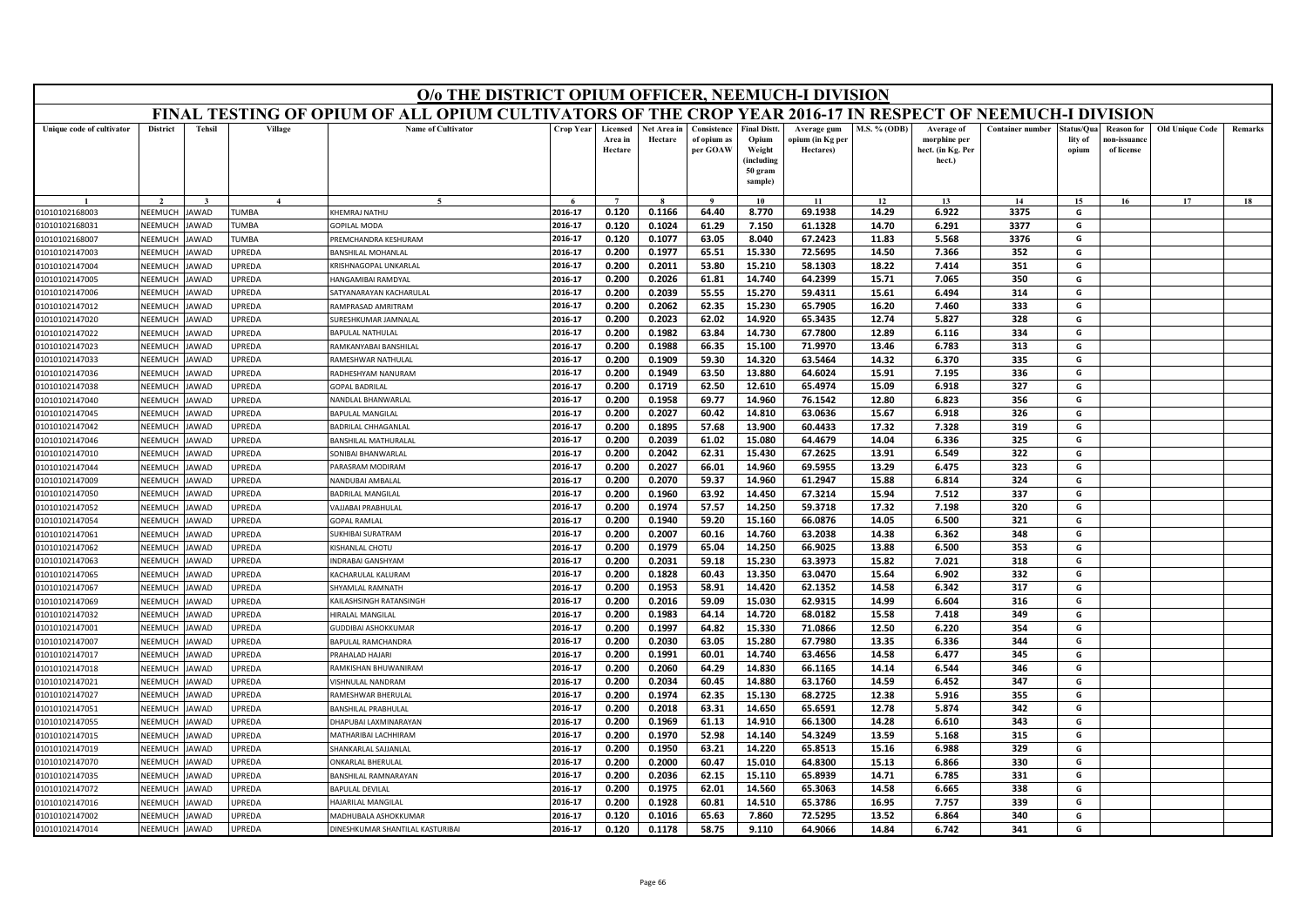| FINAL TESTING OF OPIUM OF ALL OPIUM CULTIVATORS OF THE CROP YEAR 2016-17 IN RESPECT OF NEEMUCH-I DIVISION<br><b>Name of Cultivator</b><br><b>District</b><br><b>Tehsil</b><br>Village<br>Crop Year<br>Consistence<br><b>Final Distt</b><br>M.S. % (ODB)<br><b>Container number</b><br><b>Old Unique Code</b><br>Unique code of cultivator<br>Licensed<br>Net Area in<br>Average gum<br>Average of<br>tatus/Qua<br><b>Reason</b> for<br>Remarks<br>Area in<br>Hectare<br>of opium as<br>Opium<br>opium (in Kg per<br>morphine per<br>lity of<br>10n-issuanc<br>Hectare<br>per GOAW<br>Weight<br>Hectares)<br>hect. (in Kg. Per<br>of license<br>opium<br>(including<br>hect.)<br>50 gram<br>sample)<br>14<br>15<br>17<br>18<br>$\mathbf{4}$<br>10<br>11<br>12<br>13<br>16<br>2016-17<br>0.120<br>0.1166<br>64.40<br>8.770<br>69.1938<br>14.29<br>6.922<br>3375<br>G<br>NEEMUCH<br>TUMBA<br>KHEMRAJ NATHU<br>01010102168003<br>JAWAD<br>61.1328<br>2016-17<br>0.120<br>0.1024<br>61.29<br>7.150<br>6.291<br>3377<br>G<br>01010102168031<br>NEEMUCH<br>AWAD<br><b>TUMBA</b><br><b>GOPILAL MODA</b><br>14.70<br>2016-17<br>63.05<br>11.83<br>5.568<br>G<br>NEEMUCH<br><b>TUMBA</b><br>0.120<br>0.1077<br>8.040<br>67.2423<br>3376<br>01010102168007<br><b>AWAD</b><br>REMCHANDRA KESHURAM<br><b>NEEMUCH</b><br>JPREDA<br>2016-17<br>0.200<br>0.1977<br>65.51<br>15.330<br>72.5695<br>14.50<br>7.366<br>352<br>G<br>01010102147003<br>AWAD<br>BANSHILAL MOHANLAI<br>2016-17<br>0.200<br>0.2011<br>53.80<br>15.210<br>58.1303<br>18.22<br>351<br>G<br>7.414<br>01010102147004<br>NEEMUCH<br>AWAD<br><b>JPREDA</b><br>(RISHNAGOPAL UNKARLAL<br>64.2399<br>15.71<br>350<br>2016-17<br>0.200<br>0.2026<br>61.81<br>14.740<br>7.065<br>G<br>NEEMUCH<br>AWAD<br><b>JPREDA</b><br><b>HANGAMIBAI RAMDYAL</b><br>01010102147005<br>0.2039<br>55.55<br>59.4311<br>314<br>NFFMUCH<br>AWAD<br>JPREDA<br>2016-17<br>0.200<br>15.270<br>15.61<br>6.494<br>G<br>01010102147006<br>SATYANARAYAN KACHARULAL<br>0.2062<br>62.35<br>65.7905<br>333<br>2016-17<br>0.200<br>15.230<br>16.20<br>7.460<br>G<br>NEEMUCH<br><b>JPREDA</b><br>01010102147012<br>AWAD<br>RAMPRASAD AMRITRAM<br>2016-17<br>0.200<br>0.2023<br>62.02<br>14.920<br>65.3435<br>12.74<br>5.827<br>328<br>G<br>NEEMUCH<br>01010102147020<br>AWAD<br><b>JPREDA</b><br>URESHKUMAR JAMNALAL<br>2016-17<br>0.200<br>0.1982<br>63.84<br>14.730<br>67.7800<br>12.89<br>6.116<br>334<br>G<br>01010102147022<br>NEEMUCH<br><b>AWAD</b><br><b>JPREDA</b><br>BAPULAL NATHULAL<br>2016-17<br>0.200<br>0.1988<br>66.35<br>15.100<br>71.9970<br>13.46<br>6.783<br>313<br>G<br><b>JPREDA</b><br>01010102147023<br>NEEMUCH<br>AWAD<br>RAMKANYABAI BANSHILAL<br>2016-17<br>0.200<br>0.1909<br>59.30<br>14.320<br>63.5464<br>14.32<br>6.370<br>335<br>G<br>NEEMUCH<br>01010102147033<br>AWAD<br><b>JPREDA</b><br><b>RAMESHWAR NATHULA</b><br><b>NEEMUCH</b><br><b>AWAD</b><br>0.200<br>0.1949<br>63.50<br>13.880<br>64.6024<br>15.91<br>336<br>01010102147036<br><b>JPREDA</b><br>RADHESHYAM NANURAM<br>2016-17<br>7.195<br>G<br>0.1719<br>62.50<br>12.610<br>65.4974<br>327<br>01010102147038<br>NEEMUCH<br><b>AWAD</b><br><b>JPREDA</b><br>2016-17<br>0.200<br>15.09<br>6.918<br>G<br>GOPAL BADRILAL<br>76.1542<br>NEEMUCH<br><b>JPREDA</b><br>2016-17<br>0.200<br>0.1958<br>69.77<br>14.960<br>12.80<br>6.823<br>356<br>G<br>01010102147040<br>AWAD<br>NANDLAL BHANWARLAL<br>NEEMUCH<br>AWAD<br>JPREDA<br>2016-17<br>0.200<br>0.2027<br>60.42<br>14.810<br>63.0636<br>15.67<br>6.918<br>326<br>G<br>01010102147045<br>BAPULAL MANGILAL<br>01010102147042<br>NFFMUCH<br><b>AWAD</b><br><b>JPRFDA</b><br>2016-17<br>0.1895<br>57.68<br>13.900<br>60.4433<br>17.32<br>7.328<br>319<br>G<br>BADRILAL CHHAGANLAL<br>0.200<br>01010102147046<br>NEEMUCH<br><b>JPREDA</b><br>2016-17<br>0.200<br>0.2039<br>61.02<br>15.080<br>64.4679<br>14.04<br>6.336<br>325<br>G<br>AWAD<br><b>BANSHILAL MATHURALAI</b><br>322<br>G<br>2016-17<br>0.200<br>0.2042<br>62.31<br>15.430<br>67.2625<br>13.91<br>6.549<br>01010102147010<br>NEEMUCH<br>AWAD<br><b>JPREDA</b><br><b>SONIBAI BHANWARLAL</b><br>ARASRAM MODIRAM<br>2016-17<br>0.200<br>0.2027<br>66.01<br>14.960<br>69.5955<br>13.29<br>6.475<br>323<br>G<br>01010102147044<br>NEEMUCH<br><b>AWAD</b><br><b>JPREDA</b><br>61.2947<br>324<br>G<br>2016-17<br>0.200<br>0.2070<br>59.37<br>14.960<br>15.88<br>6.814<br>NEEMUCH<br>NANDUBAI AMBALAL<br>01010102147009<br>AWAD<br><b>JPREDA</b><br>337<br>NEEMUCH<br><b>BADRILAL MANGILAL</b><br>2016-17<br>0.200<br>0.1960<br>63.92<br>14.450<br>67.3214<br>15.94<br>7.512<br>G<br>01010102147050<br>AWAD<br><b>JPREDA</b><br>2016-17<br>59.3718<br>NEEMUCH<br><b>AJJABAI PRABHULAL</b><br>0.200<br>0.1974<br>57.57<br>14.250<br>17.32<br>7.198<br>320<br>G<br>01010102147052<br>AWAD<br><b>IPREDA</b><br>2016-17<br>0.200<br>0.1940<br>59.20<br>15.160<br>66.0876<br>14.05<br>6.500<br>321<br>G<br>NEEMUCH<br><b>JPREDA</b><br>01010102147054<br>AWAD<br>GOPAL RAMLAI<br>348<br>2016-17<br>0.200<br>0.2007<br>60.16<br>14.760<br>63.2038<br>14.38<br>6.362<br>G<br>01010102147061<br>NEEMUCH<br>AWAD<br>JPREDA<br>SUKHIBAI SURATRAM<br>2016-17<br>0.1979<br>65.04<br>14.250<br>66.9025<br>13.88<br>6.500<br>353<br>G<br>01010102147062<br>NEEMUCH<br>AWAD<br><b>JPREDA</b><br>0.200<br>KISHANLAL CHOTU<br>2016-17<br>0.200<br>0.2031<br>59.18<br>15.230<br>63.3973<br>15.82<br>7.021<br>318<br>G<br>01010102147063<br>NEEMUCH<br><b>JPREDA</b><br>AWAD<br>NDRABAI GANSHYAM<br>332<br>2016-17<br>0.200<br>0.1828<br>60.43<br>13.350<br>63.0470<br>15.64<br>6.902<br>G<br>01010102147065<br>NEEMUCH<br>AWAD<br><b>JPREDA</b><br><b>ACHARULAL KALURAM</b><br>58.91<br>62.1352<br>317<br>2016-17<br>0.200<br>0.1953<br>14.420<br>14.58<br>6.342<br>G<br>01010102147067<br>NEEMUCH<br>AWAD<br><b>JPREDA</b><br><b>HYAMLAL RAMNATH</b><br>NEEMUCK<br>0.200<br>0.2016<br>59.09<br>15.030<br>62.9315<br>14.99<br>6.604<br>316<br>G<br>01010102147069<br>AWAD<br>JPREDA<br>2016-17<br>KAILASHSINGH RATANSINGH<br>0.1983<br>01010102147032<br>NEEMUCH<br>AWAD<br><b>JPREDA</b><br><b>IIRALAL MANGILAI</b><br>2016-17<br>0.200<br>64.14<br>14.720<br>68.0182<br>15.58<br>7.418<br>349<br>G<br>NEEMUCH<br>AWAD<br>2016-17<br>0.1997<br>64.82<br>15.330<br>71.0866<br>12.50<br>6.220<br>354<br>G<br>01010102147001<br><b>JPREDA</b><br><b>SUDDIBAI ASHOKKUMAR</b><br>0.200<br>NEEMUCH<br><b>AWAD</b><br><b>JPREDA</b><br>2016-17<br>0.200<br>0.2030<br>63.05<br>15.280<br>67.7980<br>13.35<br>6.336<br>344<br>G<br>01010102147007<br>BAPULAL RAMCHANDRA<br>NEEMUCH<br><b>JPREDA</b><br>2016-17<br>0.200<br>0.1991<br>60.01<br>14.740<br>63.4656<br>14.58<br>345<br>01010102147017<br>AWAD<br>RAHALAD HAJARI<br>6.477<br>G<br>346<br>G<br>01010102147018<br>NEEMUCH<br>AWAD<br><b>JPREDA</b><br>2016-17<br>0.200<br>0.2060<br>64.29<br>14.830<br>66.1165<br>14.14<br>6.544<br><b>RAMKISHAN BHUWANIRAM</b><br>347<br>01010102147021<br>NEEMUCH<br>AWAD<br><b>JPREDA</b><br>2016-17<br>0.200<br>0.2034<br>60.45<br>14.880<br>63.1760<br>14.59<br>6.452<br>G<br>/ISHNULAL NANDRAM<br>2016-17<br>0.1974<br>62.35<br>68.2725<br>12.38<br>355<br>G<br>0.200<br>15.130<br>5.916<br>01010102147027<br>NEEMUCH<br>AWAD<br><b>PREDA</b><br>RAMESHWAR BHERULAI<br>342<br>G<br><b>NEEMUCH</b><br><b>ANSHILAL PRABHULAL</b><br>2016-17<br>0.200<br>0.2018<br>63.31<br>14.650<br>65.6591<br>12.78<br>5.874<br>01010102147051<br>AWAD<br><b>PREDA</b><br>2016-17<br>343<br>NEEMUCH<br><b>JPREDA</b><br>HAPUBAI LAXMINARAYAN<br>0.200<br>0.1969<br>61.13<br>14.910<br>66.1300<br>14.28<br>6.610<br>G<br>01010102147055<br>AWAD<br>52.98<br>54.3249<br>13.59<br>315<br>G<br>2016-17<br>0.200<br>0.1970<br>14.140<br>5.168<br>NEEMUCH<br><b>JPREDA</b><br>MATHARIBAI LACHHIRAM<br>01010102147015<br>AWAD<br>2016-17<br>0.200<br>0.1950<br>14.220<br>65.8513<br>329<br>G<br>01010102147019<br><b>NEEMUCH</b><br>AWAD<br><b>JPREDA</b><br>HANKARLAL SAJJANLAL<br>63.21<br>15.16<br>6.988<br>2016-17<br>0.2000<br>60.47<br>64.8300<br>15.13<br>6.866<br>330<br>G<br><b>NFFMUCH</b><br>AWAD<br><b>JPRFDA</b><br>0.200<br>15.010<br>01010102147070<br><b>ONKARLAL BHERULAL</b><br>2016-17<br>0.2036<br>62.15<br>65.8939<br>14.71<br>6.785<br>331<br><b>JPREDA</b><br>0.200<br>15.110<br>G<br>01010102147035<br>NEEMUCH<br>AWAD<br><b>BANSHILAL RAMNARAYAN</b><br>0.200<br>0.1975<br>62.01<br>14.560<br>65.3063<br>14.58<br>338<br>G<br>2016-17<br>6.665<br>01010102147072<br>VEEMUCI<br>AWAD<br><b>JPREDA</b><br><b>APULAL DEVILAL</b><br>339<br>2016-17<br>0.200<br>0.1928<br>60.81<br>14.510<br>65.3786<br>16.95<br>7.757<br>G<br>01010102147016<br>NEEMUCH<br>AWAD<br><b>JPREDA</b><br><b>HAJARILAL MANGILAL</b><br>2016-17<br>0.120<br>0.1016<br>65.63<br>7.860<br>72.5295<br>13.52<br>6.864<br>340<br>G<br>01010102147002<br>NEEMUCH<br><b>JAWAD</b><br><b>JPREDA</b><br>MADHUBALA ASHOKKUMAR<br>0.120<br>0.1178<br>58.75<br>2016-17<br>9.110<br>64.9066<br>14.84<br>6.742<br>341<br>G<br>NEEMUCH<br><b>AWAD</b><br><b>JPREDA</b><br>01010102147014<br>DINESHKUMAR SHANTILAL KASTURIBAI |  |  | O/o THE DISTRICT OPIUM OFFICER, NEEMUCH-I DIVISION |  |  |  |  |  |  |  |
|----------------------------------------------------------------------------------------------------------------------------------------------------------------------------------------------------------------------------------------------------------------------------------------------------------------------------------------------------------------------------------------------------------------------------------------------------------------------------------------------------------------------------------------------------------------------------------------------------------------------------------------------------------------------------------------------------------------------------------------------------------------------------------------------------------------------------------------------------------------------------------------------------------------------------------------------------------------------------------------------------------------------------------------------------------------------------------------------------------------------------------------------------------------------------------------------------------------------------------------------------------------------------------------------------------------------------------------------------------------------------------------------------------------------------------------------------------------------------------------------------------------------------------------------------------------------------------------------------------------------------------------------------------------------------------------------------------------------------------------------------------------------------------------------------------------------------------------------------------------------------------------------------------------------------------------------------------------------------------------------------------------------------------------------------------------------------------------------------------------------------------------------------------------------------------------------------------------------------------------------------------------------------------------------------------------------------------------------------------------------------------------------------------------------------------------------------------------------------------------------------------------------------------------------------------------------------------------------------------------------------------------------------------------------------------------------------------------------------------------------------------------------------------------------------------------------------------------------------------------------------------------------------------------------------------------------------------------------------------------------------------------------------------------------------------------------------------------------------------------------------------------------------------------------------------------------------------------------------------------------------------------------------------------------------------------------------------------------------------------------------------------------------------------------------------------------------------------------------------------------------------------------------------------------------------------------------------------------------------------------------------------------------------------------------------------------------------------------------------------------------------------------------------------------------------------------------------------------------------------------------------------------------------------------------------------------------------------------------------------------------------------------------------------------------------------------------------------------------------------------------------------------------------------------------------------------------------------------------------------------------------------------------------------------------------------------------------------------------------------------------------------------------------------------------------------------------------------------------------------------------------------------------------------------------------------------------------------------------------------------------------------------------------------------------------------------------------------------------------------------------------------------------------------------------------------------------------------------------------------------------------------------------------------------------------------------------------------------------------------------------------------------------------------------------------------------------------------------------------------------------------------------------------------------------------------------------------------------------------------------------------------------------------------------------------------------------------------------------------------------------------------------------------------------------------------------------------------------------------------------------------------------------------------------------------------------------------------------------------------------------------------------------------------------------------------------------------------------------------------------------------------------------------------------------------------------------------------------------------------------------------------------------------------------------------------------------------------------------------------------------------------------------------------------------------------------------------------------------------------------------------------------------------------------------------------------------------------------------------------------------------------------------------------------------------------------------------------------------------------------------------------------------------------------------------------------------------------------------------------------------------------------------------------------------------------------------------------------------------------------------------------------------------------------------------------------------------------------------------------------------------------------------------------------------------------------------------------------------------------------------------------------------------------------------------------------------------------------------------------------------------------------------------------------------------------------------------------------------------------------------------------------------------------------------------------------------------------------------------------------------------------------------------------------------------------------------------------------------------------------------------------------------------------------------------------------------------------------------------------------------------------------------------------------------------------------------------------------------------------------------------------------------------------------------------------------------------------------------------------------------------------------------------------------------------------------------------------------------------------------------------------------------------------------------------------------------------------------------------------------------------------------------------------------------------------------------------------------------------------------------------------------------------------------------------------------------------------------------------------------------------------------------------------------------------------------------------------------------------------------------------------------------------------------------------------------------------------------------------------------------------------------------------------------------------------------------------------------------------------------------------------------------------------------------------------------------------------------------------------------------------------------------------------------------------------------------------------------------------------------------------------------------------------------------------------------------------------------------------------------------------------------------------------------------------------------|--|--|----------------------------------------------------|--|--|--|--|--|--|--|
|                                                                                                                                                                                                                                                                                                                                                                                                                                                                                                                                                                                                                                                                                                                                                                                                                                                                                                                                                                                                                                                                                                                                                                                                                                                                                                                                                                                                                                                                                                                                                                                                                                                                                                                                                                                                                                                                                                                                                                                                                                                                                                                                                                                                                                                                                                                                                                                                                                                                                                                                                                                                                                                                                                                                                                                                                                                                                                                                                                                                                                                                                                                                                                                                                                                                                                                                                                                                                                                                                                                                                                                                                                                                                                                                                                                                                                                                                                                                                                                                                                                                                                                                                                                                                                                                                                                                                                                                                                                                                                                                                                                                                                                                                                                                                                                                                                                                                                                                                                                                                                                                                                                                                                                                                                                                                                                                                                                                                                                                                                                                                                                                                                                                                                                                                                                                                                                                                                                                                                                                                                                                                                                                                                                                                                                                                                                                                                                                                                                                                                                                                                                                                                                                                                                                                                                                                                                                                                                                                                                                                                                                                                                                                                                                                                                                                                                                                                                                                                                                                                                                                                                                                                                                                                                                                                                                                                                                                                                                                                                                                                                                                                                                                                                                                                                                                                                                                                                                                                                                                                                                                                                                                                                                                                                                                                                                                                                                                                                                                                                                                                                                      |  |  |                                                    |  |  |  |  |  |  |  |
|                                                                                                                                                                                                                                                                                                                                                                                                                                                                                                                                                                                                                                                                                                                                                                                                                                                                                                                                                                                                                                                                                                                                                                                                                                                                                                                                                                                                                                                                                                                                                                                                                                                                                                                                                                                                                                                                                                                                                                                                                                                                                                                                                                                                                                                                                                                                                                                                                                                                                                                                                                                                                                                                                                                                                                                                                                                                                                                                                                                                                                                                                                                                                                                                                                                                                                                                                                                                                                                                                                                                                                                                                                                                                                                                                                                                                                                                                                                                                                                                                                                                                                                                                                                                                                                                                                                                                                                                                                                                                                                                                                                                                                                                                                                                                                                                                                                                                                                                                                                                                                                                                                                                                                                                                                                                                                                                                                                                                                                                                                                                                                                                                                                                                                                                                                                                                                                                                                                                                                                                                                                                                                                                                                                                                                                                                                                                                                                                                                                                                                                                                                                                                                                                                                                                                                                                                                                                                                                                                                                                                                                                                                                                                                                                                                                                                                                                                                                                                                                                                                                                                                                                                                                                                                                                                                                                                                                                                                                                                                                                                                                                                                                                                                                                                                                                                                                                                                                                                                                                                                                                                                                                                                                                                                                                                                                                                                                                                                                                                                                                                                                                      |  |  |                                                    |  |  |  |  |  |  |  |
|                                                                                                                                                                                                                                                                                                                                                                                                                                                                                                                                                                                                                                                                                                                                                                                                                                                                                                                                                                                                                                                                                                                                                                                                                                                                                                                                                                                                                                                                                                                                                                                                                                                                                                                                                                                                                                                                                                                                                                                                                                                                                                                                                                                                                                                                                                                                                                                                                                                                                                                                                                                                                                                                                                                                                                                                                                                                                                                                                                                                                                                                                                                                                                                                                                                                                                                                                                                                                                                                                                                                                                                                                                                                                                                                                                                                                                                                                                                                                                                                                                                                                                                                                                                                                                                                                                                                                                                                                                                                                                                                                                                                                                                                                                                                                                                                                                                                                                                                                                                                                                                                                                                                                                                                                                                                                                                                                                                                                                                                                                                                                                                                                                                                                                                                                                                                                                                                                                                                                                                                                                                                                                                                                                                                                                                                                                                                                                                                                                                                                                                                                                                                                                                                                                                                                                                                                                                                                                                                                                                                                                                                                                                                                                                                                                                                                                                                                                                                                                                                                                                                                                                                                                                                                                                                                                                                                                                                                                                                                                                                                                                                                                                                                                                                                                                                                                                                                                                                                                                                                                                                                                                                                                                                                                                                                                                                                                                                                                                                                                                                                                                                      |  |  |                                                    |  |  |  |  |  |  |  |
|                                                                                                                                                                                                                                                                                                                                                                                                                                                                                                                                                                                                                                                                                                                                                                                                                                                                                                                                                                                                                                                                                                                                                                                                                                                                                                                                                                                                                                                                                                                                                                                                                                                                                                                                                                                                                                                                                                                                                                                                                                                                                                                                                                                                                                                                                                                                                                                                                                                                                                                                                                                                                                                                                                                                                                                                                                                                                                                                                                                                                                                                                                                                                                                                                                                                                                                                                                                                                                                                                                                                                                                                                                                                                                                                                                                                                                                                                                                                                                                                                                                                                                                                                                                                                                                                                                                                                                                                                                                                                                                                                                                                                                                                                                                                                                                                                                                                                                                                                                                                                                                                                                                                                                                                                                                                                                                                                                                                                                                                                                                                                                                                                                                                                                                                                                                                                                                                                                                                                                                                                                                                                                                                                                                                                                                                                                                                                                                                                                                                                                                                                                                                                                                                                                                                                                                                                                                                                                                                                                                                                                                                                                                                                                                                                                                                                                                                                                                                                                                                                                                                                                                                                                                                                                                                                                                                                                                                                                                                                                                                                                                                                                                                                                                                                                                                                                                                                                                                                                                                                                                                                                                                                                                                                                                                                                                                                                                                                                                                                                                                                                                                      |  |  |                                                    |  |  |  |  |  |  |  |
|                                                                                                                                                                                                                                                                                                                                                                                                                                                                                                                                                                                                                                                                                                                                                                                                                                                                                                                                                                                                                                                                                                                                                                                                                                                                                                                                                                                                                                                                                                                                                                                                                                                                                                                                                                                                                                                                                                                                                                                                                                                                                                                                                                                                                                                                                                                                                                                                                                                                                                                                                                                                                                                                                                                                                                                                                                                                                                                                                                                                                                                                                                                                                                                                                                                                                                                                                                                                                                                                                                                                                                                                                                                                                                                                                                                                                                                                                                                                                                                                                                                                                                                                                                                                                                                                                                                                                                                                                                                                                                                                                                                                                                                                                                                                                                                                                                                                                                                                                                                                                                                                                                                                                                                                                                                                                                                                                                                                                                                                                                                                                                                                                                                                                                                                                                                                                                                                                                                                                                                                                                                                                                                                                                                                                                                                                                                                                                                                                                                                                                                                                                                                                                                                                                                                                                                                                                                                                                                                                                                                                                                                                                                                                                                                                                                                                                                                                                                                                                                                                                                                                                                                                                                                                                                                                                                                                                                                                                                                                                                                                                                                                                                                                                                                                                                                                                                                                                                                                                                                                                                                                                                                                                                                                                                                                                                                                                                                                                                                                                                                                                                                      |  |  |                                                    |  |  |  |  |  |  |  |
|                                                                                                                                                                                                                                                                                                                                                                                                                                                                                                                                                                                                                                                                                                                                                                                                                                                                                                                                                                                                                                                                                                                                                                                                                                                                                                                                                                                                                                                                                                                                                                                                                                                                                                                                                                                                                                                                                                                                                                                                                                                                                                                                                                                                                                                                                                                                                                                                                                                                                                                                                                                                                                                                                                                                                                                                                                                                                                                                                                                                                                                                                                                                                                                                                                                                                                                                                                                                                                                                                                                                                                                                                                                                                                                                                                                                                                                                                                                                                                                                                                                                                                                                                                                                                                                                                                                                                                                                                                                                                                                                                                                                                                                                                                                                                                                                                                                                                                                                                                                                                                                                                                                                                                                                                                                                                                                                                                                                                                                                                                                                                                                                                                                                                                                                                                                                                                                                                                                                                                                                                                                                                                                                                                                                                                                                                                                                                                                                                                                                                                                                                                                                                                                                                                                                                                                                                                                                                                                                                                                                                                                                                                                                                                                                                                                                                                                                                                                                                                                                                                                                                                                                                                                                                                                                                                                                                                                                                                                                                                                                                                                                                                                                                                                                                                                                                                                                                                                                                                                                                                                                                                                                                                                                                                                                                                                                                                                                                                                                                                                                                                                                      |  |  |                                                    |  |  |  |  |  |  |  |
|                                                                                                                                                                                                                                                                                                                                                                                                                                                                                                                                                                                                                                                                                                                                                                                                                                                                                                                                                                                                                                                                                                                                                                                                                                                                                                                                                                                                                                                                                                                                                                                                                                                                                                                                                                                                                                                                                                                                                                                                                                                                                                                                                                                                                                                                                                                                                                                                                                                                                                                                                                                                                                                                                                                                                                                                                                                                                                                                                                                                                                                                                                                                                                                                                                                                                                                                                                                                                                                                                                                                                                                                                                                                                                                                                                                                                                                                                                                                                                                                                                                                                                                                                                                                                                                                                                                                                                                                                                                                                                                                                                                                                                                                                                                                                                                                                                                                                                                                                                                                                                                                                                                                                                                                                                                                                                                                                                                                                                                                                                                                                                                                                                                                                                                                                                                                                                                                                                                                                                                                                                                                                                                                                                                                                                                                                                                                                                                                                                                                                                                                                                                                                                                                                                                                                                                                                                                                                                                                                                                                                                                                                                                                                                                                                                                                                                                                                                                                                                                                                                                                                                                                                                                                                                                                                                                                                                                                                                                                                                                                                                                                                                                                                                                                                                                                                                                                                                                                                                                                                                                                                                                                                                                                                                                                                                                                                                                                                                                                                                                                                                                                      |  |  |                                                    |  |  |  |  |  |  |  |
|                                                                                                                                                                                                                                                                                                                                                                                                                                                                                                                                                                                                                                                                                                                                                                                                                                                                                                                                                                                                                                                                                                                                                                                                                                                                                                                                                                                                                                                                                                                                                                                                                                                                                                                                                                                                                                                                                                                                                                                                                                                                                                                                                                                                                                                                                                                                                                                                                                                                                                                                                                                                                                                                                                                                                                                                                                                                                                                                                                                                                                                                                                                                                                                                                                                                                                                                                                                                                                                                                                                                                                                                                                                                                                                                                                                                                                                                                                                                                                                                                                                                                                                                                                                                                                                                                                                                                                                                                                                                                                                                                                                                                                                                                                                                                                                                                                                                                                                                                                                                                                                                                                                                                                                                                                                                                                                                                                                                                                                                                                                                                                                                                                                                                                                                                                                                                                                                                                                                                                                                                                                                                                                                                                                                                                                                                                                                                                                                                                                                                                                                                                                                                                                                                                                                                                                                                                                                                                                                                                                                                                                                                                                                                                                                                                                                                                                                                                                                                                                                                                                                                                                                                                                                                                                                                                                                                                                                                                                                                                                                                                                                                                                                                                                                                                                                                                                                                                                                                                                                                                                                                                                                                                                                                                                                                                                                                                                                                                                                                                                                                                                                      |  |  |                                                    |  |  |  |  |  |  |  |
|                                                                                                                                                                                                                                                                                                                                                                                                                                                                                                                                                                                                                                                                                                                                                                                                                                                                                                                                                                                                                                                                                                                                                                                                                                                                                                                                                                                                                                                                                                                                                                                                                                                                                                                                                                                                                                                                                                                                                                                                                                                                                                                                                                                                                                                                                                                                                                                                                                                                                                                                                                                                                                                                                                                                                                                                                                                                                                                                                                                                                                                                                                                                                                                                                                                                                                                                                                                                                                                                                                                                                                                                                                                                                                                                                                                                                                                                                                                                                                                                                                                                                                                                                                                                                                                                                                                                                                                                                                                                                                                                                                                                                                                                                                                                                                                                                                                                                                                                                                                                                                                                                                                                                                                                                                                                                                                                                                                                                                                                                                                                                                                                                                                                                                                                                                                                                                                                                                                                                                                                                                                                                                                                                                                                                                                                                                                                                                                                                                                                                                                                                                                                                                                                                                                                                                                                                                                                                                                                                                                                                                                                                                                                                                                                                                                                                                                                                                                                                                                                                                                                                                                                                                                                                                                                                                                                                                                                                                                                                                                                                                                                                                                                                                                                                                                                                                                                                                                                                                                                                                                                                                                                                                                                                                                                                                                                                                                                                                                                                                                                                                                                      |  |  |                                                    |  |  |  |  |  |  |  |
|                                                                                                                                                                                                                                                                                                                                                                                                                                                                                                                                                                                                                                                                                                                                                                                                                                                                                                                                                                                                                                                                                                                                                                                                                                                                                                                                                                                                                                                                                                                                                                                                                                                                                                                                                                                                                                                                                                                                                                                                                                                                                                                                                                                                                                                                                                                                                                                                                                                                                                                                                                                                                                                                                                                                                                                                                                                                                                                                                                                                                                                                                                                                                                                                                                                                                                                                                                                                                                                                                                                                                                                                                                                                                                                                                                                                                                                                                                                                                                                                                                                                                                                                                                                                                                                                                                                                                                                                                                                                                                                                                                                                                                                                                                                                                                                                                                                                                                                                                                                                                                                                                                                                                                                                                                                                                                                                                                                                                                                                                                                                                                                                                                                                                                                                                                                                                                                                                                                                                                                                                                                                                                                                                                                                                                                                                                                                                                                                                                                                                                                                                                                                                                                                                                                                                                                                                                                                                                                                                                                                                                                                                                                                                                                                                                                                                                                                                                                                                                                                                                                                                                                                                                                                                                                                                                                                                                                                                                                                                                                                                                                                                                                                                                                                                                                                                                                                                                                                                                                                                                                                                                                                                                                                                                                                                                                                                                                                                                                                                                                                                                                                      |  |  |                                                    |  |  |  |  |  |  |  |
|                                                                                                                                                                                                                                                                                                                                                                                                                                                                                                                                                                                                                                                                                                                                                                                                                                                                                                                                                                                                                                                                                                                                                                                                                                                                                                                                                                                                                                                                                                                                                                                                                                                                                                                                                                                                                                                                                                                                                                                                                                                                                                                                                                                                                                                                                                                                                                                                                                                                                                                                                                                                                                                                                                                                                                                                                                                                                                                                                                                                                                                                                                                                                                                                                                                                                                                                                                                                                                                                                                                                                                                                                                                                                                                                                                                                                                                                                                                                                                                                                                                                                                                                                                                                                                                                                                                                                                                                                                                                                                                                                                                                                                                                                                                                                                                                                                                                                                                                                                                                                                                                                                                                                                                                                                                                                                                                                                                                                                                                                                                                                                                                                                                                                                                                                                                                                                                                                                                                                                                                                                                                                                                                                                                                                                                                                                                                                                                                                                                                                                                                                                                                                                                                                                                                                                                                                                                                                                                                                                                                                                                                                                                                                                                                                                                                                                                                                                                                                                                                                                                                                                                                                                                                                                                                                                                                                                                                                                                                                                                                                                                                                                                                                                                                                                                                                                                                                                                                                                                                                                                                                                                                                                                                                                                                                                                                                                                                                                                                                                                                                                                                      |  |  |                                                    |  |  |  |  |  |  |  |
|                                                                                                                                                                                                                                                                                                                                                                                                                                                                                                                                                                                                                                                                                                                                                                                                                                                                                                                                                                                                                                                                                                                                                                                                                                                                                                                                                                                                                                                                                                                                                                                                                                                                                                                                                                                                                                                                                                                                                                                                                                                                                                                                                                                                                                                                                                                                                                                                                                                                                                                                                                                                                                                                                                                                                                                                                                                                                                                                                                                                                                                                                                                                                                                                                                                                                                                                                                                                                                                                                                                                                                                                                                                                                                                                                                                                                                                                                                                                                                                                                                                                                                                                                                                                                                                                                                                                                                                                                                                                                                                                                                                                                                                                                                                                                                                                                                                                                                                                                                                                                                                                                                                                                                                                                                                                                                                                                                                                                                                                                                                                                                                                                                                                                                                                                                                                                                                                                                                                                                                                                                                                                                                                                                                                                                                                                                                                                                                                                                                                                                                                                                                                                                                                                                                                                                                                                                                                                                                                                                                                                                                                                                                                                                                                                                                                                                                                                                                                                                                                                                                                                                                                                                                                                                                                                                                                                                                                                                                                                                                                                                                                                                                                                                                                                                                                                                                                                                                                                                                                                                                                                                                                                                                                                                                                                                                                                                                                                                                                                                                                                                                                      |  |  |                                                    |  |  |  |  |  |  |  |
|                                                                                                                                                                                                                                                                                                                                                                                                                                                                                                                                                                                                                                                                                                                                                                                                                                                                                                                                                                                                                                                                                                                                                                                                                                                                                                                                                                                                                                                                                                                                                                                                                                                                                                                                                                                                                                                                                                                                                                                                                                                                                                                                                                                                                                                                                                                                                                                                                                                                                                                                                                                                                                                                                                                                                                                                                                                                                                                                                                                                                                                                                                                                                                                                                                                                                                                                                                                                                                                                                                                                                                                                                                                                                                                                                                                                                                                                                                                                                                                                                                                                                                                                                                                                                                                                                                                                                                                                                                                                                                                                                                                                                                                                                                                                                                                                                                                                                                                                                                                                                                                                                                                                                                                                                                                                                                                                                                                                                                                                                                                                                                                                                                                                                                                                                                                                                                                                                                                                                                                                                                                                                                                                                                                                                                                                                                                                                                                                                                                                                                                                                                                                                                                                                                                                                                                                                                                                                                                                                                                                                                                                                                                                                                                                                                                                                                                                                                                                                                                                                                                                                                                                                                                                                                                                                                                                                                                                                                                                                                                                                                                                                                                                                                                                                                                                                                                                                                                                                                                                                                                                                                                                                                                                                                                                                                                                                                                                                                                                                                                                                                                                      |  |  |                                                    |  |  |  |  |  |  |  |
|                                                                                                                                                                                                                                                                                                                                                                                                                                                                                                                                                                                                                                                                                                                                                                                                                                                                                                                                                                                                                                                                                                                                                                                                                                                                                                                                                                                                                                                                                                                                                                                                                                                                                                                                                                                                                                                                                                                                                                                                                                                                                                                                                                                                                                                                                                                                                                                                                                                                                                                                                                                                                                                                                                                                                                                                                                                                                                                                                                                                                                                                                                                                                                                                                                                                                                                                                                                                                                                                                                                                                                                                                                                                                                                                                                                                                                                                                                                                                                                                                                                                                                                                                                                                                                                                                                                                                                                                                                                                                                                                                                                                                                                                                                                                                                                                                                                                                                                                                                                                                                                                                                                                                                                                                                                                                                                                                                                                                                                                                                                                                                                                                                                                                                                                                                                                                                                                                                                                                                                                                                                                                                                                                                                                                                                                                                                                                                                                                                                                                                                                                                                                                                                                                                                                                                                                                                                                                                                                                                                                                                                                                                                                                                                                                                                                                                                                                                                                                                                                                                                                                                                                                                                                                                                                                                                                                                                                                                                                                                                                                                                                                                                                                                                                                                                                                                                                                                                                                                                                                                                                                                                                                                                                                                                                                                                                                                                                                                                                                                                                                                                                      |  |  |                                                    |  |  |  |  |  |  |  |
|                                                                                                                                                                                                                                                                                                                                                                                                                                                                                                                                                                                                                                                                                                                                                                                                                                                                                                                                                                                                                                                                                                                                                                                                                                                                                                                                                                                                                                                                                                                                                                                                                                                                                                                                                                                                                                                                                                                                                                                                                                                                                                                                                                                                                                                                                                                                                                                                                                                                                                                                                                                                                                                                                                                                                                                                                                                                                                                                                                                                                                                                                                                                                                                                                                                                                                                                                                                                                                                                                                                                                                                                                                                                                                                                                                                                                                                                                                                                                                                                                                                                                                                                                                                                                                                                                                                                                                                                                                                                                                                                                                                                                                                                                                                                                                                                                                                                                                                                                                                                                                                                                                                                                                                                                                                                                                                                                                                                                                                                                                                                                                                                                                                                                                                                                                                                                                                                                                                                                                                                                                                                                                                                                                                                                                                                                                                                                                                                                                                                                                                                                                                                                                                                                                                                                                                                                                                                                                                                                                                                                                                                                                                                                                                                                                                                                                                                                                                                                                                                                                                                                                                                                                                                                                                                                                                                                                                                                                                                                                                                                                                                                                                                                                                                                                                                                                                                                                                                                                                                                                                                                                                                                                                                                                                                                                                                                                                                                                                                                                                                                                                                      |  |  |                                                    |  |  |  |  |  |  |  |
|                                                                                                                                                                                                                                                                                                                                                                                                                                                                                                                                                                                                                                                                                                                                                                                                                                                                                                                                                                                                                                                                                                                                                                                                                                                                                                                                                                                                                                                                                                                                                                                                                                                                                                                                                                                                                                                                                                                                                                                                                                                                                                                                                                                                                                                                                                                                                                                                                                                                                                                                                                                                                                                                                                                                                                                                                                                                                                                                                                                                                                                                                                                                                                                                                                                                                                                                                                                                                                                                                                                                                                                                                                                                                                                                                                                                                                                                                                                                                                                                                                                                                                                                                                                                                                                                                                                                                                                                                                                                                                                                                                                                                                                                                                                                                                                                                                                                                                                                                                                                                                                                                                                                                                                                                                                                                                                                                                                                                                                                                                                                                                                                                                                                                                                                                                                                                                                                                                                                                                                                                                                                                                                                                                                                                                                                                                                                                                                                                                                                                                                                                                                                                                                                                                                                                                                                                                                                                                                                                                                                                                                                                                                                                                                                                                                                                                                                                                                                                                                                                                                                                                                                                                                                                                                                                                                                                                                                                                                                                                                                                                                                                                                                                                                                                                                                                                                                                                                                                                                                                                                                                                                                                                                                                                                                                                                                                                                                                                                                                                                                                                                                      |  |  |                                                    |  |  |  |  |  |  |  |
|                                                                                                                                                                                                                                                                                                                                                                                                                                                                                                                                                                                                                                                                                                                                                                                                                                                                                                                                                                                                                                                                                                                                                                                                                                                                                                                                                                                                                                                                                                                                                                                                                                                                                                                                                                                                                                                                                                                                                                                                                                                                                                                                                                                                                                                                                                                                                                                                                                                                                                                                                                                                                                                                                                                                                                                                                                                                                                                                                                                                                                                                                                                                                                                                                                                                                                                                                                                                                                                                                                                                                                                                                                                                                                                                                                                                                                                                                                                                                                                                                                                                                                                                                                                                                                                                                                                                                                                                                                                                                                                                                                                                                                                                                                                                                                                                                                                                                                                                                                                                                                                                                                                                                                                                                                                                                                                                                                                                                                                                                                                                                                                                                                                                                                                                                                                                                                                                                                                                                                                                                                                                                                                                                                                                                                                                                                                                                                                                                                                                                                                                                                                                                                                                                                                                                                                                                                                                                                                                                                                                                                                                                                                                                                                                                                                                                                                                                                                                                                                                                                                                                                                                                                                                                                                                                                                                                                                                                                                                                                                                                                                                                                                                                                                                                                                                                                                                                                                                                                                                                                                                                                                                                                                                                                                                                                                                                                                                                                                                                                                                                                                                      |  |  |                                                    |  |  |  |  |  |  |  |
|                                                                                                                                                                                                                                                                                                                                                                                                                                                                                                                                                                                                                                                                                                                                                                                                                                                                                                                                                                                                                                                                                                                                                                                                                                                                                                                                                                                                                                                                                                                                                                                                                                                                                                                                                                                                                                                                                                                                                                                                                                                                                                                                                                                                                                                                                                                                                                                                                                                                                                                                                                                                                                                                                                                                                                                                                                                                                                                                                                                                                                                                                                                                                                                                                                                                                                                                                                                                                                                                                                                                                                                                                                                                                                                                                                                                                                                                                                                                                                                                                                                                                                                                                                                                                                                                                                                                                                                                                                                                                                                                                                                                                                                                                                                                                                                                                                                                                                                                                                                                                                                                                                                                                                                                                                                                                                                                                                                                                                                                                                                                                                                                                                                                                                                                                                                                                                                                                                                                                                                                                                                                                                                                                                                                                                                                                                                                                                                                                                                                                                                                                                                                                                                                                                                                                                                                                                                                                                                                                                                                                                                                                                                                                                                                                                                                                                                                                                                                                                                                                                                                                                                                                                                                                                                                                                                                                                                                                                                                                                                                                                                                                                                                                                                                                                                                                                                                                                                                                                                                                                                                                                                                                                                                                                                                                                                                                                                                                                                                                                                                                                                                      |  |  |                                                    |  |  |  |  |  |  |  |
|                                                                                                                                                                                                                                                                                                                                                                                                                                                                                                                                                                                                                                                                                                                                                                                                                                                                                                                                                                                                                                                                                                                                                                                                                                                                                                                                                                                                                                                                                                                                                                                                                                                                                                                                                                                                                                                                                                                                                                                                                                                                                                                                                                                                                                                                                                                                                                                                                                                                                                                                                                                                                                                                                                                                                                                                                                                                                                                                                                                                                                                                                                                                                                                                                                                                                                                                                                                                                                                                                                                                                                                                                                                                                                                                                                                                                                                                                                                                                                                                                                                                                                                                                                                                                                                                                                                                                                                                                                                                                                                                                                                                                                                                                                                                                                                                                                                                                                                                                                                                                                                                                                                                                                                                                                                                                                                                                                                                                                                                                                                                                                                                                                                                                                                                                                                                                                                                                                                                                                                                                                                                                                                                                                                                                                                                                                                                                                                                                                                                                                                                                                                                                                                                                                                                                                                                                                                                                                                                                                                                                                                                                                                                                                                                                                                                                                                                                                                                                                                                                                                                                                                                                                                                                                                                                                                                                                                                                                                                                                                                                                                                                                                                                                                                                                                                                                                                                                                                                                                                                                                                                                                                                                                                                                                                                                                                                                                                                                                                                                                                                                                                      |  |  |                                                    |  |  |  |  |  |  |  |
|                                                                                                                                                                                                                                                                                                                                                                                                                                                                                                                                                                                                                                                                                                                                                                                                                                                                                                                                                                                                                                                                                                                                                                                                                                                                                                                                                                                                                                                                                                                                                                                                                                                                                                                                                                                                                                                                                                                                                                                                                                                                                                                                                                                                                                                                                                                                                                                                                                                                                                                                                                                                                                                                                                                                                                                                                                                                                                                                                                                                                                                                                                                                                                                                                                                                                                                                                                                                                                                                                                                                                                                                                                                                                                                                                                                                                                                                                                                                                                                                                                                                                                                                                                                                                                                                                                                                                                                                                                                                                                                                                                                                                                                                                                                                                                                                                                                                                                                                                                                                                                                                                                                                                                                                                                                                                                                                                                                                                                                                                                                                                                                                                                                                                                                                                                                                                                                                                                                                                                                                                                                                                                                                                                                                                                                                                                                                                                                                                                                                                                                                                                                                                                                                                                                                                                                                                                                                                                                                                                                                                                                                                                                                                                                                                                                                                                                                                                                                                                                                                                                                                                                                                                                                                                                                                                                                                                                                                                                                                                                                                                                                                                                                                                                                                                                                                                                                                                                                                                                                                                                                                                                                                                                                                                                                                                                                                                                                                                                                                                                                                                                                      |  |  |                                                    |  |  |  |  |  |  |  |
|                                                                                                                                                                                                                                                                                                                                                                                                                                                                                                                                                                                                                                                                                                                                                                                                                                                                                                                                                                                                                                                                                                                                                                                                                                                                                                                                                                                                                                                                                                                                                                                                                                                                                                                                                                                                                                                                                                                                                                                                                                                                                                                                                                                                                                                                                                                                                                                                                                                                                                                                                                                                                                                                                                                                                                                                                                                                                                                                                                                                                                                                                                                                                                                                                                                                                                                                                                                                                                                                                                                                                                                                                                                                                                                                                                                                                                                                                                                                                                                                                                                                                                                                                                                                                                                                                                                                                                                                                                                                                                                                                                                                                                                                                                                                                                                                                                                                                                                                                                                                                                                                                                                                                                                                                                                                                                                                                                                                                                                                                                                                                                                                                                                                                                                                                                                                                                                                                                                                                                                                                                                                                                                                                                                                                                                                                                                                                                                                                                                                                                                                                                                                                                                                                                                                                                                                                                                                                                                                                                                                                                                                                                                                                                                                                                                                                                                                                                                                                                                                                                                                                                                                                                                                                                                                                                                                                                                                                                                                                                                                                                                                                                                                                                                                                                                                                                                                                                                                                                                                                                                                                                                                                                                                                                                                                                                                                                                                                                                                                                                                                                                                      |  |  |                                                    |  |  |  |  |  |  |  |
|                                                                                                                                                                                                                                                                                                                                                                                                                                                                                                                                                                                                                                                                                                                                                                                                                                                                                                                                                                                                                                                                                                                                                                                                                                                                                                                                                                                                                                                                                                                                                                                                                                                                                                                                                                                                                                                                                                                                                                                                                                                                                                                                                                                                                                                                                                                                                                                                                                                                                                                                                                                                                                                                                                                                                                                                                                                                                                                                                                                                                                                                                                                                                                                                                                                                                                                                                                                                                                                                                                                                                                                                                                                                                                                                                                                                                                                                                                                                                                                                                                                                                                                                                                                                                                                                                                                                                                                                                                                                                                                                                                                                                                                                                                                                                                                                                                                                                                                                                                                                                                                                                                                                                                                                                                                                                                                                                                                                                                                                                                                                                                                                                                                                                                                                                                                                                                                                                                                                                                                                                                                                                                                                                                                                                                                                                                                                                                                                                                                                                                                                                                                                                                                                                                                                                                                                                                                                                                                                                                                                                                                                                                                                                                                                                                                                                                                                                                                                                                                                                                                                                                                                                                                                                                                                                                                                                                                                                                                                                                                                                                                                                                                                                                                                                                                                                                                                                                                                                                                                                                                                                                                                                                                                                                                                                                                                                                                                                                                                                                                                                                                                      |  |  |                                                    |  |  |  |  |  |  |  |
|                                                                                                                                                                                                                                                                                                                                                                                                                                                                                                                                                                                                                                                                                                                                                                                                                                                                                                                                                                                                                                                                                                                                                                                                                                                                                                                                                                                                                                                                                                                                                                                                                                                                                                                                                                                                                                                                                                                                                                                                                                                                                                                                                                                                                                                                                                                                                                                                                                                                                                                                                                                                                                                                                                                                                                                                                                                                                                                                                                                                                                                                                                                                                                                                                                                                                                                                                                                                                                                                                                                                                                                                                                                                                                                                                                                                                                                                                                                                                                                                                                                                                                                                                                                                                                                                                                                                                                                                                                                                                                                                                                                                                                                                                                                                                                                                                                                                                                                                                                                                                                                                                                                                                                                                                                                                                                                                                                                                                                                                                                                                                                                                                                                                                                                                                                                                                                                                                                                                                                                                                                                                                                                                                                                                                                                                                                                                                                                                                                                                                                                                                                                                                                                                                                                                                                                                                                                                                                                                                                                                                                                                                                                                                                                                                                                                                                                                                                                                                                                                                                                                                                                                                                                                                                                                                                                                                                                                                                                                                                                                                                                                                                                                                                                                                                                                                                                                                                                                                                                                                                                                                                                                                                                                                                                                                                                                                                                                                                                                                                                                                                                                      |  |  |                                                    |  |  |  |  |  |  |  |
|                                                                                                                                                                                                                                                                                                                                                                                                                                                                                                                                                                                                                                                                                                                                                                                                                                                                                                                                                                                                                                                                                                                                                                                                                                                                                                                                                                                                                                                                                                                                                                                                                                                                                                                                                                                                                                                                                                                                                                                                                                                                                                                                                                                                                                                                                                                                                                                                                                                                                                                                                                                                                                                                                                                                                                                                                                                                                                                                                                                                                                                                                                                                                                                                                                                                                                                                                                                                                                                                                                                                                                                                                                                                                                                                                                                                                                                                                                                                                                                                                                                                                                                                                                                                                                                                                                                                                                                                                                                                                                                                                                                                                                                                                                                                                                                                                                                                                                                                                                                                                                                                                                                                                                                                                                                                                                                                                                                                                                                                                                                                                                                                                                                                                                                                                                                                                                                                                                                                                                                                                                                                                                                                                                                                                                                                                                                                                                                                                                                                                                                                                                                                                                                                                                                                                                                                                                                                                                                                                                                                                                                                                                                                                                                                                                                                                                                                                                                                                                                                                                                                                                                                                                                                                                                                                                                                                                                                                                                                                                                                                                                                                                                                                                                                                                                                                                                                                                                                                                                                                                                                                                                                                                                                                                                                                                                                                                                                                                                                                                                                                                                                      |  |  |                                                    |  |  |  |  |  |  |  |
|                                                                                                                                                                                                                                                                                                                                                                                                                                                                                                                                                                                                                                                                                                                                                                                                                                                                                                                                                                                                                                                                                                                                                                                                                                                                                                                                                                                                                                                                                                                                                                                                                                                                                                                                                                                                                                                                                                                                                                                                                                                                                                                                                                                                                                                                                                                                                                                                                                                                                                                                                                                                                                                                                                                                                                                                                                                                                                                                                                                                                                                                                                                                                                                                                                                                                                                                                                                                                                                                                                                                                                                                                                                                                                                                                                                                                                                                                                                                                                                                                                                                                                                                                                                                                                                                                                                                                                                                                                                                                                                                                                                                                                                                                                                                                                                                                                                                                                                                                                                                                                                                                                                                                                                                                                                                                                                                                                                                                                                                                                                                                                                                                                                                                                                                                                                                                                                                                                                                                                                                                                                                                                                                                                                                                                                                                                                                                                                                                                                                                                                                                                                                                                                                                                                                                                                                                                                                                                                                                                                                                                                                                                                                                                                                                                                                                                                                                                                                                                                                                                                                                                                                                                                                                                                                                                                                                                                                                                                                                                                                                                                                                                                                                                                                                                                                                                                                                                                                                                                                                                                                                                                                                                                                                                                                                                                                                                                                                                                                                                                                                                                                      |  |  |                                                    |  |  |  |  |  |  |  |
|                                                                                                                                                                                                                                                                                                                                                                                                                                                                                                                                                                                                                                                                                                                                                                                                                                                                                                                                                                                                                                                                                                                                                                                                                                                                                                                                                                                                                                                                                                                                                                                                                                                                                                                                                                                                                                                                                                                                                                                                                                                                                                                                                                                                                                                                                                                                                                                                                                                                                                                                                                                                                                                                                                                                                                                                                                                                                                                                                                                                                                                                                                                                                                                                                                                                                                                                                                                                                                                                                                                                                                                                                                                                                                                                                                                                                                                                                                                                                                                                                                                                                                                                                                                                                                                                                                                                                                                                                                                                                                                                                                                                                                                                                                                                                                                                                                                                                                                                                                                                                                                                                                                                                                                                                                                                                                                                                                                                                                                                                                                                                                                                                                                                                                                                                                                                                                                                                                                                                                                                                                                                                                                                                                                                                                                                                                                                                                                                                                                                                                                                                                                                                                                                                                                                                                                                                                                                                                                                                                                                                                                                                                                                                                                                                                                                                                                                                                                                                                                                                                                                                                                                                                                                                                                                                                                                                                                                                                                                                                                                                                                                                                                                                                                                                                                                                                                                                                                                                                                                                                                                                                                                                                                                                                                                                                                                                                                                                                                                                                                                                                                                      |  |  |                                                    |  |  |  |  |  |  |  |
|                                                                                                                                                                                                                                                                                                                                                                                                                                                                                                                                                                                                                                                                                                                                                                                                                                                                                                                                                                                                                                                                                                                                                                                                                                                                                                                                                                                                                                                                                                                                                                                                                                                                                                                                                                                                                                                                                                                                                                                                                                                                                                                                                                                                                                                                                                                                                                                                                                                                                                                                                                                                                                                                                                                                                                                                                                                                                                                                                                                                                                                                                                                                                                                                                                                                                                                                                                                                                                                                                                                                                                                                                                                                                                                                                                                                                                                                                                                                                                                                                                                                                                                                                                                                                                                                                                                                                                                                                                                                                                                                                                                                                                                                                                                                                                                                                                                                                                                                                                                                                                                                                                                                                                                                                                                                                                                                                                                                                                                                                                                                                                                                                                                                                                                                                                                                                                                                                                                                                                                                                                                                                                                                                                                                                                                                                                                                                                                                                                                                                                                                                                                                                                                                                                                                                                                                                                                                                                                                                                                                                                                                                                                                                                                                                                                                                                                                                                                                                                                                                                                                                                                                                                                                                                                                                                                                                                                                                                                                                                                                                                                                                                                                                                                                                                                                                                                                                                                                                                                                                                                                                                                                                                                                                                                                                                                                                                                                                                                                                                                                                                                                      |  |  |                                                    |  |  |  |  |  |  |  |
|                                                                                                                                                                                                                                                                                                                                                                                                                                                                                                                                                                                                                                                                                                                                                                                                                                                                                                                                                                                                                                                                                                                                                                                                                                                                                                                                                                                                                                                                                                                                                                                                                                                                                                                                                                                                                                                                                                                                                                                                                                                                                                                                                                                                                                                                                                                                                                                                                                                                                                                                                                                                                                                                                                                                                                                                                                                                                                                                                                                                                                                                                                                                                                                                                                                                                                                                                                                                                                                                                                                                                                                                                                                                                                                                                                                                                                                                                                                                                                                                                                                                                                                                                                                                                                                                                                                                                                                                                                                                                                                                                                                                                                                                                                                                                                                                                                                                                                                                                                                                                                                                                                                                                                                                                                                                                                                                                                                                                                                                                                                                                                                                                                                                                                                                                                                                                                                                                                                                                                                                                                                                                                                                                                                                                                                                                                                                                                                                                                                                                                                                                                                                                                                                                                                                                                                                                                                                                                                                                                                                                                                                                                                                                                                                                                                                                                                                                                                                                                                                                                                                                                                                                                                                                                                                                                                                                                                                                                                                                                                                                                                                                                                                                                                                                                                                                                                                                                                                                                                                                                                                                                                                                                                                                                                                                                                                                                                                                                                                                                                                                                                                      |  |  |                                                    |  |  |  |  |  |  |  |
|                                                                                                                                                                                                                                                                                                                                                                                                                                                                                                                                                                                                                                                                                                                                                                                                                                                                                                                                                                                                                                                                                                                                                                                                                                                                                                                                                                                                                                                                                                                                                                                                                                                                                                                                                                                                                                                                                                                                                                                                                                                                                                                                                                                                                                                                                                                                                                                                                                                                                                                                                                                                                                                                                                                                                                                                                                                                                                                                                                                                                                                                                                                                                                                                                                                                                                                                                                                                                                                                                                                                                                                                                                                                                                                                                                                                                                                                                                                                                                                                                                                                                                                                                                                                                                                                                                                                                                                                                                                                                                                                                                                                                                                                                                                                                                                                                                                                                                                                                                                                                                                                                                                                                                                                                                                                                                                                                                                                                                                                                                                                                                                                                                                                                                                                                                                                                                                                                                                                                                                                                                                                                                                                                                                                                                                                                                                                                                                                                                                                                                                                                                                                                                                                                                                                                                                                                                                                                                                                                                                                                                                                                                                                                                                                                                                                                                                                                                                                                                                                                                                                                                                                                                                                                                                                                                                                                                                                                                                                                                                                                                                                                                                                                                                                                                                                                                                                                                                                                                                                                                                                                                                                                                                                                                                                                                                                                                                                                                                                                                                                                                                                      |  |  |                                                    |  |  |  |  |  |  |  |
|                                                                                                                                                                                                                                                                                                                                                                                                                                                                                                                                                                                                                                                                                                                                                                                                                                                                                                                                                                                                                                                                                                                                                                                                                                                                                                                                                                                                                                                                                                                                                                                                                                                                                                                                                                                                                                                                                                                                                                                                                                                                                                                                                                                                                                                                                                                                                                                                                                                                                                                                                                                                                                                                                                                                                                                                                                                                                                                                                                                                                                                                                                                                                                                                                                                                                                                                                                                                                                                                                                                                                                                                                                                                                                                                                                                                                                                                                                                                                                                                                                                                                                                                                                                                                                                                                                                                                                                                                                                                                                                                                                                                                                                                                                                                                                                                                                                                                                                                                                                                                                                                                                                                                                                                                                                                                                                                                                                                                                                                                                                                                                                                                                                                                                                                                                                                                                                                                                                                                                                                                                                                                                                                                                                                                                                                                                                                                                                                                                                                                                                                                                                                                                                                                                                                                                                                                                                                                                                                                                                                                                                                                                                                                                                                                                                                                                                                                                                                                                                                                                                                                                                                                                                                                                                                                                                                                                                                                                                                                                                                                                                                                                                                                                                                                                                                                                                                                                                                                                                                                                                                                                                                                                                                                                                                                                                                                                                                                                                                                                                                                                                                      |  |  |                                                    |  |  |  |  |  |  |  |
|                                                                                                                                                                                                                                                                                                                                                                                                                                                                                                                                                                                                                                                                                                                                                                                                                                                                                                                                                                                                                                                                                                                                                                                                                                                                                                                                                                                                                                                                                                                                                                                                                                                                                                                                                                                                                                                                                                                                                                                                                                                                                                                                                                                                                                                                                                                                                                                                                                                                                                                                                                                                                                                                                                                                                                                                                                                                                                                                                                                                                                                                                                                                                                                                                                                                                                                                                                                                                                                                                                                                                                                                                                                                                                                                                                                                                                                                                                                                                                                                                                                                                                                                                                                                                                                                                                                                                                                                                                                                                                                                                                                                                                                                                                                                                                                                                                                                                                                                                                                                                                                                                                                                                                                                                                                                                                                                                                                                                                                                                                                                                                                                                                                                                                                                                                                                                                                                                                                                                                                                                                                                                                                                                                                                                                                                                                                                                                                                                                                                                                                                                                                                                                                                                                                                                                                                                                                                                                                                                                                                                                                                                                                                                                                                                                                                                                                                                                                                                                                                                                                                                                                                                                                                                                                                                                                                                                                                                                                                                                                                                                                                                                                                                                                                                                                                                                                                                                                                                                                                                                                                                                                                                                                                                                                                                                                                                                                                                                                                                                                                                                                                      |  |  |                                                    |  |  |  |  |  |  |  |
|                                                                                                                                                                                                                                                                                                                                                                                                                                                                                                                                                                                                                                                                                                                                                                                                                                                                                                                                                                                                                                                                                                                                                                                                                                                                                                                                                                                                                                                                                                                                                                                                                                                                                                                                                                                                                                                                                                                                                                                                                                                                                                                                                                                                                                                                                                                                                                                                                                                                                                                                                                                                                                                                                                                                                                                                                                                                                                                                                                                                                                                                                                                                                                                                                                                                                                                                                                                                                                                                                                                                                                                                                                                                                                                                                                                                                                                                                                                                                                                                                                                                                                                                                                                                                                                                                                                                                                                                                                                                                                                                                                                                                                                                                                                                                                                                                                                                                                                                                                                                                                                                                                                                                                                                                                                                                                                                                                                                                                                                                                                                                                                                                                                                                                                                                                                                                                                                                                                                                                                                                                                                                                                                                                                                                                                                                                                                                                                                                                                                                                                                                                                                                                                                                                                                                                                                                                                                                                                                                                                                                                                                                                                                                                                                                                                                                                                                                                                                                                                                                                                                                                                                                                                                                                                                                                                                                                                                                                                                                                                                                                                                                                                                                                                                                                                                                                                                                                                                                                                                                                                                                                                                                                                                                                                                                                                                                                                                                                                                                                                                                                                                      |  |  |                                                    |  |  |  |  |  |  |  |
|                                                                                                                                                                                                                                                                                                                                                                                                                                                                                                                                                                                                                                                                                                                                                                                                                                                                                                                                                                                                                                                                                                                                                                                                                                                                                                                                                                                                                                                                                                                                                                                                                                                                                                                                                                                                                                                                                                                                                                                                                                                                                                                                                                                                                                                                                                                                                                                                                                                                                                                                                                                                                                                                                                                                                                                                                                                                                                                                                                                                                                                                                                                                                                                                                                                                                                                                                                                                                                                                                                                                                                                                                                                                                                                                                                                                                                                                                                                                                                                                                                                                                                                                                                                                                                                                                                                                                                                                                                                                                                                                                                                                                                                                                                                                                                                                                                                                                                                                                                                                                                                                                                                                                                                                                                                                                                                                                                                                                                                                                                                                                                                                                                                                                                                                                                                                                                                                                                                                                                                                                                                                                                                                                                                                                                                                                                                                                                                                                                                                                                                                                                                                                                                                                                                                                                                                                                                                                                                                                                                                                                                                                                                                                                                                                                                                                                                                                                                                                                                                                                                                                                                                                                                                                                                                                                                                                                                                                                                                                                                                                                                                                                                                                                                                                                                                                                                                                                                                                                                                                                                                                                                                                                                                                                                                                                                                                                                                                                                                                                                                                                                                      |  |  |                                                    |  |  |  |  |  |  |  |
|                                                                                                                                                                                                                                                                                                                                                                                                                                                                                                                                                                                                                                                                                                                                                                                                                                                                                                                                                                                                                                                                                                                                                                                                                                                                                                                                                                                                                                                                                                                                                                                                                                                                                                                                                                                                                                                                                                                                                                                                                                                                                                                                                                                                                                                                                                                                                                                                                                                                                                                                                                                                                                                                                                                                                                                                                                                                                                                                                                                                                                                                                                                                                                                                                                                                                                                                                                                                                                                                                                                                                                                                                                                                                                                                                                                                                                                                                                                                                                                                                                                                                                                                                                                                                                                                                                                                                                                                                                                                                                                                                                                                                                                                                                                                                                                                                                                                                                                                                                                                                                                                                                                                                                                                                                                                                                                                                                                                                                                                                                                                                                                                                                                                                                                                                                                                                                                                                                                                                                                                                                                                                                                                                                                                                                                                                                                                                                                                                                                                                                                                                                                                                                                                                                                                                                                                                                                                                                                                                                                                                                                                                                                                                                                                                                                                                                                                                                                                                                                                                                                                                                                                                                                                                                                                                                                                                                                                                                                                                                                                                                                                                                                                                                                                                                                                                                                                                                                                                                                                                                                                                                                                                                                                                                                                                                                                                                                                                                                                                                                                                                                                      |  |  |                                                    |  |  |  |  |  |  |  |
|                                                                                                                                                                                                                                                                                                                                                                                                                                                                                                                                                                                                                                                                                                                                                                                                                                                                                                                                                                                                                                                                                                                                                                                                                                                                                                                                                                                                                                                                                                                                                                                                                                                                                                                                                                                                                                                                                                                                                                                                                                                                                                                                                                                                                                                                                                                                                                                                                                                                                                                                                                                                                                                                                                                                                                                                                                                                                                                                                                                                                                                                                                                                                                                                                                                                                                                                                                                                                                                                                                                                                                                                                                                                                                                                                                                                                                                                                                                                                                                                                                                                                                                                                                                                                                                                                                                                                                                                                                                                                                                                                                                                                                                                                                                                                                                                                                                                                                                                                                                                                                                                                                                                                                                                                                                                                                                                                                                                                                                                                                                                                                                                                                                                                                                                                                                                                                                                                                                                                                                                                                                                                                                                                                                                                                                                                                                                                                                                                                                                                                                                                                                                                                                                                                                                                                                                                                                                                                                                                                                                                                                                                                                                                                                                                                                                                                                                                                                                                                                                                                                                                                                                                                                                                                                                                                                                                                                                                                                                                                                                                                                                                                                                                                                                                                                                                                                                                                                                                                                                                                                                                                                                                                                                                                                                                                                                                                                                                                                                                                                                                                                                      |  |  |                                                    |  |  |  |  |  |  |  |
|                                                                                                                                                                                                                                                                                                                                                                                                                                                                                                                                                                                                                                                                                                                                                                                                                                                                                                                                                                                                                                                                                                                                                                                                                                                                                                                                                                                                                                                                                                                                                                                                                                                                                                                                                                                                                                                                                                                                                                                                                                                                                                                                                                                                                                                                                                                                                                                                                                                                                                                                                                                                                                                                                                                                                                                                                                                                                                                                                                                                                                                                                                                                                                                                                                                                                                                                                                                                                                                                                                                                                                                                                                                                                                                                                                                                                                                                                                                                                                                                                                                                                                                                                                                                                                                                                                                                                                                                                                                                                                                                                                                                                                                                                                                                                                                                                                                                                                                                                                                                                                                                                                                                                                                                                                                                                                                                                                                                                                                                                                                                                                                                                                                                                                                                                                                                                                                                                                                                                                                                                                                                                                                                                                                                                                                                                                                                                                                                                                                                                                                                                                                                                                                                                                                                                                                                                                                                                                                                                                                                                                                                                                                                                                                                                                                                                                                                                                                                                                                                                                                                                                                                                                                                                                                                                                                                                                                                                                                                                                                                                                                                                                                                                                                                                                                                                                                                                                                                                                                                                                                                                                                                                                                                                                                                                                                                                                                                                                                                                                                                                                                                      |  |  |                                                    |  |  |  |  |  |  |  |
|                                                                                                                                                                                                                                                                                                                                                                                                                                                                                                                                                                                                                                                                                                                                                                                                                                                                                                                                                                                                                                                                                                                                                                                                                                                                                                                                                                                                                                                                                                                                                                                                                                                                                                                                                                                                                                                                                                                                                                                                                                                                                                                                                                                                                                                                                                                                                                                                                                                                                                                                                                                                                                                                                                                                                                                                                                                                                                                                                                                                                                                                                                                                                                                                                                                                                                                                                                                                                                                                                                                                                                                                                                                                                                                                                                                                                                                                                                                                                                                                                                                                                                                                                                                                                                                                                                                                                                                                                                                                                                                                                                                                                                                                                                                                                                                                                                                                                                                                                                                                                                                                                                                                                                                                                                                                                                                                                                                                                                                                                                                                                                                                                                                                                                                                                                                                                                                                                                                                                                                                                                                                                                                                                                                                                                                                                                                                                                                                                                                                                                                                                                                                                                                                                                                                                                                                                                                                                                                                                                                                                                                                                                                                                                                                                                                                                                                                                                                                                                                                                                                                                                                                                                                                                                                                                                                                                                                                                                                                                                                                                                                                                                                                                                                                                                                                                                                                                                                                                                                                                                                                                                                                                                                                                                                                                                                                                                                                                                                                                                                                                                                                      |  |  |                                                    |  |  |  |  |  |  |  |
|                                                                                                                                                                                                                                                                                                                                                                                                                                                                                                                                                                                                                                                                                                                                                                                                                                                                                                                                                                                                                                                                                                                                                                                                                                                                                                                                                                                                                                                                                                                                                                                                                                                                                                                                                                                                                                                                                                                                                                                                                                                                                                                                                                                                                                                                                                                                                                                                                                                                                                                                                                                                                                                                                                                                                                                                                                                                                                                                                                                                                                                                                                                                                                                                                                                                                                                                                                                                                                                                                                                                                                                                                                                                                                                                                                                                                                                                                                                                                                                                                                                                                                                                                                                                                                                                                                                                                                                                                                                                                                                                                                                                                                                                                                                                                                                                                                                                                                                                                                                                                                                                                                                                                                                                                                                                                                                                                                                                                                                                                                                                                                                                                                                                                                                                                                                                                                                                                                                                                                                                                                                                                                                                                                                                                                                                                                                                                                                                                                                                                                                                                                                                                                                                                                                                                                                                                                                                                                                                                                                                                                                                                                                                                                                                                                                                                                                                                                                                                                                                                                                                                                                                                                                                                                                                                                                                                                                                                                                                                                                                                                                                                                                                                                                                                                                                                                                                                                                                                                                                                                                                                                                                                                                                                                                                                                                                                                                                                                                                                                                                                                                                      |  |  |                                                    |  |  |  |  |  |  |  |
|                                                                                                                                                                                                                                                                                                                                                                                                                                                                                                                                                                                                                                                                                                                                                                                                                                                                                                                                                                                                                                                                                                                                                                                                                                                                                                                                                                                                                                                                                                                                                                                                                                                                                                                                                                                                                                                                                                                                                                                                                                                                                                                                                                                                                                                                                                                                                                                                                                                                                                                                                                                                                                                                                                                                                                                                                                                                                                                                                                                                                                                                                                                                                                                                                                                                                                                                                                                                                                                                                                                                                                                                                                                                                                                                                                                                                                                                                                                                                                                                                                                                                                                                                                                                                                                                                                                                                                                                                                                                                                                                                                                                                                                                                                                                                                                                                                                                                                                                                                                                                                                                                                                                                                                                                                                                                                                                                                                                                                                                                                                                                                                                                                                                                                                                                                                                                                                                                                                                                                                                                                                                                                                                                                                                                                                                                                                                                                                                                                                                                                                                                                                                                                                                                                                                                                                                                                                                                                                                                                                                                                                                                                                                                                                                                                                                                                                                                                                                                                                                                                                                                                                                                                                                                                                                                                                                                                                                                                                                                                                                                                                                                                                                                                                                                                                                                                                                                                                                                                                                                                                                                                                                                                                                                                                                                                                                                                                                                                                                                                                                                                                                      |  |  |                                                    |  |  |  |  |  |  |  |
|                                                                                                                                                                                                                                                                                                                                                                                                                                                                                                                                                                                                                                                                                                                                                                                                                                                                                                                                                                                                                                                                                                                                                                                                                                                                                                                                                                                                                                                                                                                                                                                                                                                                                                                                                                                                                                                                                                                                                                                                                                                                                                                                                                                                                                                                                                                                                                                                                                                                                                                                                                                                                                                                                                                                                                                                                                                                                                                                                                                                                                                                                                                                                                                                                                                                                                                                                                                                                                                                                                                                                                                                                                                                                                                                                                                                                                                                                                                                                                                                                                                                                                                                                                                                                                                                                                                                                                                                                                                                                                                                                                                                                                                                                                                                                                                                                                                                                                                                                                                                                                                                                                                                                                                                                                                                                                                                                                                                                                                                                                                                                                                                                                                                                                                                                                                                                                                                                                                                                                                                                                                                                                                                                                                                                                                                                                                                                                                                                                                                                                                                                                                                                                                                                                                                                                                                                                                                                                                                                                                                                                                                                                                                                                                                                                                                                                                                                                                                                                                                                                                                                                                                                                                                                                                                                                                                                                                                                                                                                                                                                                                                                                                                                                                                                                                                                                                                                                                                                                                                                                                                                                                                                                                                                                                                                                                                                                                                                                                                                                                                                                                                      |  |  |                                                    |  |  |  |  |  |  |  |
|                                                                                                                                                                                                                                                                                                                                                                                                                                                                                                                                                                                                                                                                                                                                                                                                                                                                                                                                                                                                                                                                                                                                                                                                                                                                                                                                                                                                                                                                                                                                                                                                                                                                                                                                                                                                                                                                                                                                                                                                                                                                                                                                                                                                                                                                                                                                                                                                                                                                                                                                                                                                                                                                                                                                                                                                                                                                                                                                                                                                                                                                                                                                                                                                                                                                                                                                                                                                                                                                                                                                                                                                                                                                                                                                                                                                                                                                                                                                                                                                                                                                                                                                                                                                                                                                                                                                                                                                                                                                                                                                                                                                                                                                                                                                                                                                                                                                                                                                                                                                                                                                                                                                                                                                                                                                                                                                                                                                                                                                                                                                                                                                                                                                                                                                                                                                                                                                                                                                                                                                                                                                                                                                                                                                                                                                                                                                                                                                                                                                                                                                                                                                                                                                                                                                                                                                                                                                                                                                                                                                                                                                                                                                                                                                                                                                                                                                                                                                                                                                                                                                                                                                                                                                                                                                                                                                                                                                                                                                                                                                                                                                                                                                                                                                                                                                                                                                                                                                                                                                                                                                                                                                                                                                                                                                                                                                                                                                                                                                                                                                                                                                      |  |  |                                                    |  |  |  |  |  |  |  |
|                                                                                                                                                                                                                                                                                                                                                                                                                                                                                                                                                                                                                                                                                                                                                                                                                                                                                                                                                                                                                                                                                                                                                                                                                                                                                                                                                                                                                                                                                                                                                                                                                                                                                                                                                                                                                                                                                                                                                                                                                                                                                                                                                                                                                                                                                                                                                                                                                                                                                                                                                                                                                                                                                                                                                                                                                                                                                                                                                                                                                                                                                                                                                                                                                                                                                                                                                                                                                                                                                                                                                                                                                                                                                                                                                                                                                                                                                                                                                                                                                                                                                                                                                                                                                                                                                                                                                                                                                                                                                                                                                                                                                                                                                                                                                                                                                                                                                                                                                                                                                                                                                                                                                                                                                                                                                                                                                                                                                                                                                                                                                                                                                                                                                                                                                                                                                                                                                                                                                                                                                                                                                                                                                                                                                                                                                                                                                                                                                                                                                                                                                                                                                                                                                                                                                                                                                                                                                                                                                                                                                                                                                                                                                                                                                                                                                                                                                                                                                                                                                                                                                                                                                                                                                                                                                                                                                                                                                                                                                                                                                                                                                                                                                                                                                                                                                                                                                                                                                                                                                                                                                                                                                                                                                                                                                                                                                                                                                                                                                                                                                                                                      |  |  |                                                    |  |  |  |  |  |  |  |
|                                                                                                                                                                                                                                                                                                                                                                                                                                                                                                                                                                                                                                                                                                                                                                                                                                                                                                                                                                                                                                                                                                                                                                                                                                                                                                                                                                                                                                                                                                                                                                                                                                                                                                                                                                                                                                                                                                                                                                                                                                                                                                                                                                                                                                                                                                                                                                                                                                                                                                                                                                                                                                                                                                                                                                                                                                                                                                                                                                                                                                                                                                                                                                                                                                                                                                                                                                                                                                                                                                                                                                                                                                                                                                                                                                                                                                                                                                                                                                                                                                                                                                                                                                                                                                                                                                                                                                                                                                                                                                                                                                                                                                                                                                                                                                                                                                                                                                                                                                                                                                                                                                                                                                                                                                                                                                                                                                                                                                                                                                                                                                                                                                                                                                                                                                                                                                                                                                                                                                                                                                                                                                                                                                                                                                                                                                                                                                                                                                                                                                                                                                                                                                                                                                                                                                                                                                                                                                                                                                                                                                                                                                                                                                                                                                                                                                                                                                                                                                                                                                                                                                                                                                                                                                                                                                                                                                                                                                                                                                                                                                                                                                                                                                                                                                                                                                                                                                                                                                                                                                                                                                                                                                                                                                                                                                                                                                                                                                                                                                                                                                                                      |  |  |                                                    |  |  |  |  |  |  |  |
|                                                                                                                                                                                                                                                                                                                                                                                                                                                                                                                                                                                                                                                                                                                                                                                                                                                                                                                                                                                                                                                                                                                                                                                                                                                                                                                                                                                                                                                                                                                                                                                                                                                                                                                                                                                                                                                                                                                                                                                                                                                                                                                                                                                                                                                                                                                                                                                                                                                                                                                                                                                                                                                                                                                                                                                                                                                                                                                                                                                                                                                                                                                                                                                                                                                                                                                                                                                                                                                                                                                                                                                                                                                                                                                                                                                                                                                                                                                                                                                                                                                                                                                                                                                                                                                                                                                                                                                                                                                                                                                                                                                                                                                                                                                                                                                                                                                                                                                                                                                                                                                                                                                                                                                                                                                                                                                                                                                                                                                                                                                                                                                                                                                                                                                                                                                                                                                                                                                                                                                                                                                                                                                                                                                                                                                                                                                                                                                                                                                                                                                                                                                                                                                                                                                                                                                                                                                                                                                                                                                                                                                                                                                                                                                                                                                                                                                                                                                                                                                                                                                                                                                                                                                                                                                                                                                                                                                                                                                                                                                                                                                                                                                                                                                                                                                                                                                                                                                                                                                                                                                                                                                                                                                                                                                                                                                                                                                                                                                                                                                                                                                                      |  |  |                                                    |  |  |  |  |  |  |  |
|                                                                                                                                                                                                                                                                                                                                                                                                                                                                                                                                                                                                                                                                                                                                                                                                                                                                                                                                                                                                                                                                                                                                                                                                                                                                                                                                                                                                                                                                                                                                                                                                                                                                                                                                                                                                                                                                                                                                                                                                                                                                                                                                                                                                                                                                                                                                                                                                                                                                                                                                                                                                                                                                                                                                                                                                                                                                                                                                                                                                                                                                                                                                                                                                                                                                                                                                                                                                                                                                                                                                                                                                                                                                                                                                                                                                                                                                                                                                                                                                                                                                                                                                                                                                                                                                                                                                                                                                                                                                                                                                                                                                                                                                                                                                                                                                                                                                                                                                                                                                                                                                                                                                                                                                                                                                                                                                                                                                                                                                                                                                                                                                                                                                                                                                                                                                                                                                                                                                                                                                                                                                                                                                                                                                                                                                                                                                                                                                                                                                                                                                                                                                                                                                                                                                                                                                                                                                                                                                                                                                                                                                                                                                                                                                                                                                                                                                                                                                                                                                                                                                                                                                                                                                                                                                                                                                                                                                                                                                                                                                                                                                                                                                                                                                                                                                                                                                                                                                                                                                                                                                                                                                                                                                                                                                                                                                                                                                                                                                                                                                                                                                      |  |  |                                                    |  |  |  |  |  |  |  |
|                                                                                                                                                                                                                                                                                                                                                                                                                                                                                                                                                                                                                                                                                                                                                                                                                                                                                                                                                                                                                                                                                                                                                                                                                                                                                                                                                                                                                                                                                                                                                                                                                                                                                                                                                                                                                                                                                                                                                                                                                                                                                                                                                                                                                                                                                                                                                                                                                                                                                                                                                                                                                                                                                                                                                                                                                                                                                                                                                                                                                                                                                                                                                                                                                                                                                                                                                                                                                                                                                                                                                                                                                                                                                                                                                                                                                                                                                                                                                                                                                                                                                                                                                                                                                                                                                                                                                                                                                                                                                                                                                                                                                                                                                                                                                                                                                                                                                                                                                                                                                                                                                                                                                                                                                                                                                                                                                                                                                                                                                                                                                                                                                                                                                                                                                                                                                                                                                                                                                                                                                                                                                                                                                                                                                                                                                                                                                                                                                                                                                                                                                                                                                                                                                                                                                                                                                                                                                                                                                                                                                                                                                                                                                                                                                                                                                                                                                                                                                                                                                                                                                                                                                                                                                                                                                                                                                                                                                                                                                                                                                                                                                                                                                                                                                                                                                                                                                                                                                                                                                                                                                                                                                                                                                                                                                                                                                                                                                                                                                                                                                                                                      |  |  |                                                    |  |  |  |  |  |  |  |
|                                                                                                                                                                                                                                                                                                                                                                                                                                                                                                                                                                                                                                                                                                                                                                                                                                                                                                                                                                                                                                                                                                                                                                                                                                                                                                                                                                                                                                                                                                                                                                                                                                                                                                                                                                                                                                                                                                                                                                                                                                                                                                                                                                                                                                                                                                                                                                                                                                                                                                                                                                                                                                                                                                                                                                                                                                                                                                                                                                                                                                                                                                                                                                                                                                                                                                                                                                                                                                                                                                                                                                                                                                                                                                                                                                                                                                                                                                                                                                                                                                                                                                                                                                                                                                                                                                                                                                                                                                                                                                                                                                                                                                                                                                                                                                                                                                                                                                                                                                                                                                                                                                                                                                                                                                                                                                                                                                                                                                                                                                                                                                                                                                                                                                                                                                                                                                                                                                                                                                                                                                                                                                                                                                                                                                                                                                                                                                                                                                                                                                                                                                                                                                                                                                                                                                                                                                                                                                                                                                                                                                                                                                                                                                                                                                                                                                                                                                                                                                                                                                                                                                                                                                                                                                                                                                                                                                                                                                                                                                                                                                                                                                                                                                                                                                                                                                                                                                                                                                                                                                                                                                                                                                                                                                                                                                                                                                                                                                                                                                                                                                                                      |  |  |                                                    |  |  |  |  |  |  |  |
|                                                                                                                                                                                                                                                                                                                                                                                                                                                                                                                                                                                                                                                                                                                                                                                                                                                                                                                                                                                                                                                                                                                                                                                                                                                                                                                                                                                                                                                                                                                                                                                                                                                                                                                                                                                                                                                                                                                                                                                                                                                                                                                                                                                                                                                                                                                                                                                                                                                                                                                                                                                                                                                                                                                                                                                                                                                                                                                                                                                                                                                                                                                                                                                                                                                                                                                                                                                                                                                                                                                                                                                                                                                                                                                                                                                                                                                                                                                                                                                                                                                                                                                                                                                                                                                                                                                                                                                                                                                                                                                                                                                                                                                                                                                                                                                                                                                                                                                                                                                                                                                                                                                                                                                                                                                                                                                                                                                                                                                                                                                                                                                                                                                                                                                                                                                                                                                                                                                                                                                                                                                                                                                                                                                                                                                                                                                                                                                                                                                                                                                                                                                                                                                                                                                                                                                                                                                                                                                                                                                                                                                                                                                                                                                                                                                                                                                                                                                                                                                                                                                                                                                                                                                                                                                                                                                                                                                                                                                                                                                                                                                                                                                                                                                                                                                                                                                                                                                                                                                                                                                                                                                                                                                                                                                                                                                                                                                                                                                                                                                                                                                                      |  |  |                                                    |  |  |  |  |  |  |  |
|                                                                                                                                                                                                                                                                                                                                                                                                                                                                                                                                                                                                                                                                                                                                                                                                                                                                                                                                                                                                                                                                                                                                                                                                                                                                                                                                                                                                                                                                                                                                                                                                                                                                                                                                                                                                                                                                                                                                                                                                                                                                                                                                                                                                                                                                                                                                                                                                                                                                                                                                                                                                                                                                                                                                                                                                                                                                                                                                                                                                                                                                                                                                                                                                                                                                                                                                                                                                                                                                                                                                                                                                                                                                                                                                                                                                                                                                                                                                                                                                                                                                                                                                                                                                                                                                                                                                                                                                                                                                                                                                                                                                                                                                                                                                                                                                                                                                                                                                                                                                                                                                                                                                                                                                                                                                                                                                                                                                                                                                                                                                                                                                                                                                                                                                                                                                                                                                                                                                                                                                                                                                                                                                                                                                                                                                                                                                                                                                                                                                                                                                                                                                                                                                                                                                                                                                                                                                                                                                                                                                                                                                                                                                                                                                                                                                                                                                                                                                                                                                                                                                                                                                                                                                                                                                                                                                                                                                                                                                                                                                                                                                                                                                                                                                                                                                                                                                                                                                                                                                                                                                                                                                                                                                                                                                                                                                                                                                                                                                                                                                                                                                      |  |  |                                                    |  |  |  |  |  |  |  |
|                                                                                                                                                                                                                                                                                                                                                                                                                                                                                                                                                                                                                                                                                                                                                                                                                                                                                                                                                                                                                                                                                                                                                                                                                                                                                                                                                                                                                                                                                                                                                                                                                                                                                                                                                                                                                                                                                                                                                                                                                                                                                                                                                                                                                                                                                                                                                                                                                                                                                                                                                                                                                                                                                                                                                                                                                                                                                                                                                                                                                                                                                                                                                                                                                                                                                                                                                                                                                                                                                                                                                                                                                                                                                                                                                                                                                                                                                                                                                                                                                                                                                                                                                                                                                                                                                                                                                                                                                                                                                                                                                                                                                                                                                                                                                                                                                                                                                                                                                                                                                                                                                                                                                                                                                                                                                                                                                                                                                                                                                                                                                                                                                                                                                                                                                                                                                                                                                                                                                                                                                                                                                                                                                                                                                                                                                                                                                                                                                                                                                                                                                                                                                                                                                                                                                                                                                                                                                                                                                                                                                                                                                                                                                                                                                                                                                                                                                                                                                                                                                                                                                                                                                                                                                                                                                                                                                                                                                                                                                                                                                                                                                                                                                                                                                                                                                                                                                                                                                                                                                                                                                                                                                                                                                                                                                                                                                                                                                                                                                                                                                                                                      |  |  |                                                    |  |  |  |  |  |  |  |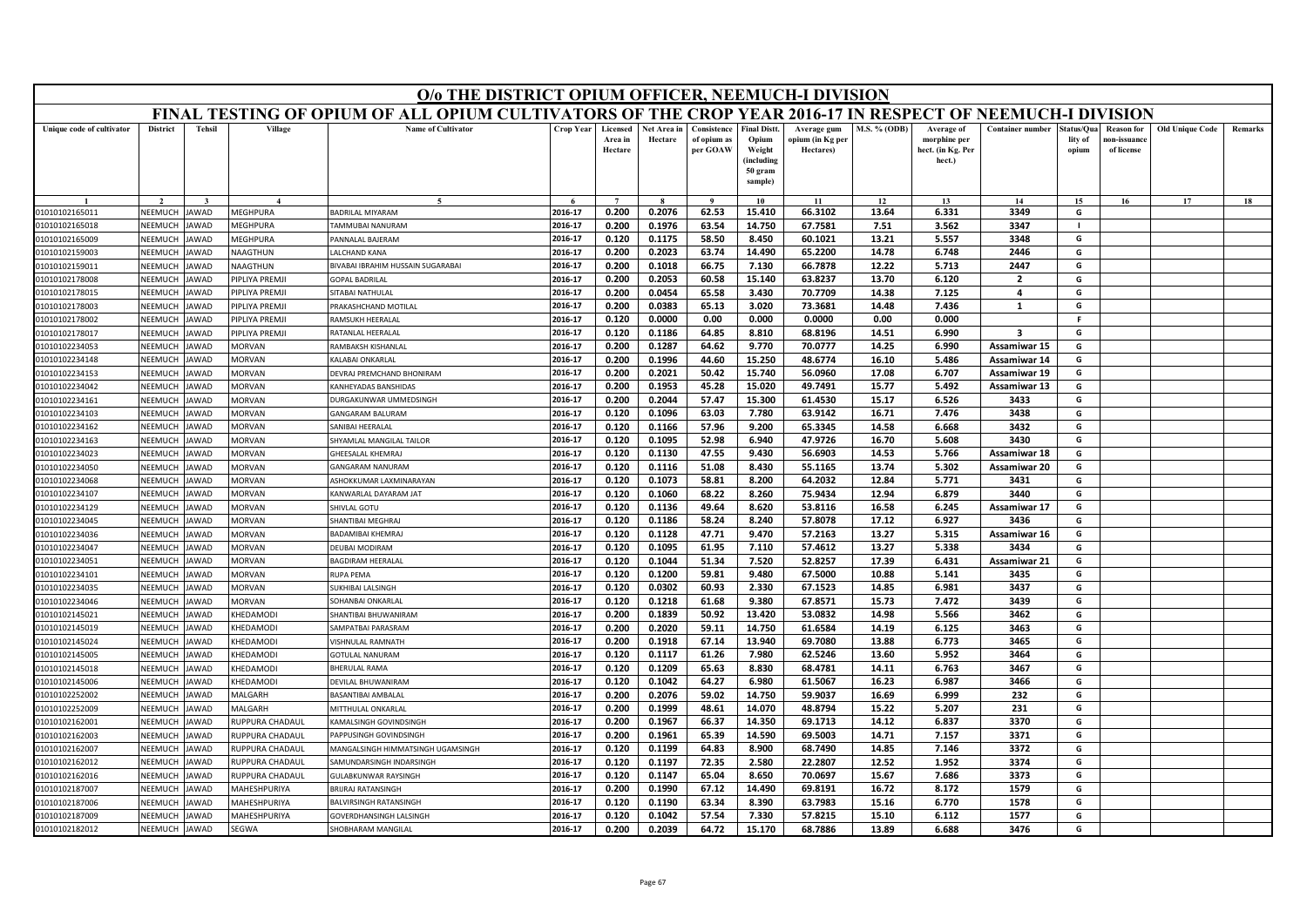|                                  | O/o THE DISTRICT OPIUM OFFICER, NEEMUCH-I DIVISION<br>FINAL TESTING OF OPIUM OF ALL OPIUM CULTIVATORS OF THE CROP YEAR 2016-17 IN RESPECT OF NEEMUCH-I DIVISION |                     |                                |                                             |                    |                                |                        |                                        |                                                                            |                                              |                |                                                           |                              |                                |                                                |                        |         |
|----------------------------------|-----------------------------------------------------------------------------------------------------------------------------------------------------------------|---------------------|--------------------------------|---------------------------------------------|--------------------|--------------------------------|------------------------|----------------------------------------|----------------------------------------------------------------------------|----------------------------------------------|----------------|-----------------------------------------------------------|------------------------------|--------------------------------|------------------------------------------------|------------------------|---------|
|                                  |                                                                                                                                                                 |                     |                                |                                             |                    |                                |                        |                                        |                                                                            |                                              |                |                                                           |                              |                                |                                                |                        |         |
| Unique code of cultivator        | <b>District</b>                                                                                                                                                 | <b>Tehsil</b>       | Village                        | <b>Name of Cultivator</b>                   | Crop Year          | Licensed<br>Area in<br>Hectare | Net Area in<br>Hectare | Consistence<br>of opium as<br>per GOAW | <b>Final Distt.</b><br>Opium<br>Weight<br>(including<br>50 gram<br>sample) | Average gum<br>opium (in Kg per<br>Hectares) | M.S. % (ODB)   | Average of<br>morphine per<br>hect. (in Kg. Per<br>hect.) | <b>Container number</b>      | itatus/Qua<br>lity of<br>opium | <b>Reason for</b><br>10n-issuanc<br>of license | <b>Old Unique Code</b> | Remarks |
|                                  |                                                                                                                                                                 |                     |                                | $\tilde{\phantom{a}}$                       |                    | $\overline{ }$                 |                        | $\mathbf{o}$                           | 10                                                                         | 11                                           | 12             | 13                                                        | 14                           | 15                             | 16                                             | 17                     | 18      |
| 01010102165011                   | NEEMUCH                                                                                                                                                         | <b>AWAD</b>         | <b>MEGHPURA</b>                | BADRILAL MIYARAM                            | 2016-17            | 0.200                          | 0.2076                 | 62.53                                  | 15.410                                                                     | 66.3102                                      | 13.64          | 6.331                                                     | 3349                         | G                              |                                                |                        |         |
| 01010102165018                   | NEEMUCH                                                                                                                                                         | <b>AWAD</b>         | MEGHPURA                       | AMMUBAI NANURAM                             | 2016-17            | 0.200                          | 0.1976                 | 63.54                                  | 14.750                                                                     | 67.7581                                      | 7.51           | 3.562                                                     | 3347                         | $\blacksquare$                 |                                                |                        |         |
| 01010102165009                   | NEEMUCH                                                                                                                                                         | AWAD                | <b>MEGHPURA</b>                | <b>ANNALAL BAJERAM</b>                      | 2016-17            | 0.120                          | 0.1175                 | 58.50                                  | 8.450                                                                      | 60.1021                                      | 13.21          | 5.557                                                     | 3348                         | G                              |                                                |                        |         |
| 01010102159003                   | <b>NEEMUCH</b>                                                                                                                                                  | AWAD                | VAAGTHUN                       | ALCHAND KANA                                | 2016-17            | 0.200                          | 0.2023                 | 63.74                                  | 14.490                                                                     | 65.2200                                      | 14.78          | 6.748                                                     | 2446                         | G                              |                                                |                        |         |
| 01010102159011                   | NEEMUCH                                                                                                                                                         | AWAD                | <b>VAAGTHUN</b>                | <b>BIVABAI IBRAHIM HUSSAIN SUGARABAI</b>    | 2016-17            | 0.200                          | 0.1018                 | 66.75                                  | 7.130                                                                      | 66.7878                                      | 12.22          | 5.713                                                     | 2447                         | G                              |                                                |                        |         |
| 01010102178008                   | NEEMUCH                                                                                                                                                         | <b>AWAD</b>         | <b>PIPLIYA PREMJI</b>          | <b>GOPAL BADRILAL</b>                       | 2016-17            | 0.200                          | 0.2053                 | 60.58                                  | 15.140                                                                     | 63.8237                                      | 13.70          | 6.120                                                     | $\overline{2}$               | G                              |                                                |                        |         |
| 01010102178015                   | NEEMUCH                                                                                                                                                         | AWAD                | <b>PIPLIYA PREMJI</b>          | SITABAI NATHULAL                            | 2016-17            | 0.200                          | 0.0454                 | 65.58                                  | 3.430                                                                      | 70.7709                                      | 14.38          | 7.125                                                     | 4                            | G                              |                                                |                        |         |
| 01010102178003                   | NEEMUCH                                                                                                                                                         | <b>AWAD</b>         | <b>PIPLIYA PREMJI</b>          | RAKASHCHAND MOTILAL                         | 2016-17            | 0.200                          | 0.0383                 | 65.13                                  | 3.020                                                                      | 73.3681                                      | 14.48          | 7.436                                                     | 1                            | G                              |                                                |                        |         |
| 01010102178002                   | NEEMUCH                                                                                                                                                         | <b>AWAD</b>         | <b>PIPLIYA PREMJI</b>          | RAMSUKH HEERALAI                            | 2016-17            | 0.120                          | 0.0000                 | 0.00                                   | 0.000                                                                      | 0.0000                                       | 0.00           | 0.000                                                     |                              | F                              |                                                |                        |         |
| 01010102178017                   | <b>NEEMUCH</b>                                                                                                                                                  | <b>AWAD</b>         | PIPLIYA PREMJI                 | RATANLAL HEERALAL                           | 2016-17            | 0.120                          | 0.1186                 | 64.85                                  | 8.810                                                                      | 68.8196                                      | 14.51          | 6.990                                                     | $\overline{\mathbf{3}}$      | G                              |                                                |                        |         |
| 01010102234053                   | NEEMUCH                                                                                                                                                         | AWAD                | <b>MORVAN</b>                  | AMBAKSH KISHANLAL                           | 2016-17            | 0.200                          | 0.1287                 | 64.62                                  | 9.770                                                                      | 70.0777                                      | 14.25          | 6.990                                                     | Assamiwar 15                 | G                              |                                                |                        |         |
| 01010102234148                   | NEEMUCH                                                                                                                                                         | AWAD                | MORVAN                         | ALABAI ONKARLAI                             | 2016-17            | 0.200                          | 0.1996                 | 44.60                                  | 15.250                                                                     | 48.6774                                      | 16.10          | 5.486                                                     | Assamiwar 14                 | G                              |                                                |                        |         |
| 01010102234153                   | NEEMUCH                                                                                                                                                         | AWAD                | <b>MORVAN</b>                  | DEVRAJ PREMCHAND BHONIRAM                   | 2016-17            | 0.200                          | 0.2021                 | 50.42                                  | 15.740                                                                     | 56.0960                                      | 17.08          | 6.707                                                     | Assamiwar 19                 | G                              |                                                |                        |         |
| 01010102234042                   | <b>NEEMUCH</b>                                                                                                                                                  | AWAD                | <b>MORVAN</b>                  | ANHEYADAS BANSHIDAS                         | 2016-17            | 0.200                          | 0.1953                 | 45.28                                  | 15.020                                                                     | 49.7491                                      | 15.77          | 5.492                                                     | Assamiwar 13                 | G                              |                                                |                        |         |
| 01010102234161                   | NEEMUCH                                                                                                                                                         | AWAD<br><b>AWAD</b> | <b>MORVAN</b>                  | URGAKUNWAR UMMEDSINGH                       | 2016-17            | 0.200                          | 0.2044                 | 57.47                                  | 15.300                                                                     | 61.4530                                      | 15.17          | 6.526                                                     | 3433                         | G                              |                                                |                        |         |
| 01010102234103<br>01010102234162 | NEEMUCH<br>NEEMUCH                                                                                                                                              | AWAD                | <b>MORVAN</b><br><b>MORVAN</b> | GANGARAM BALURAM<br><b>ANIBAI HEFRALAL</b>  | 2016-17<br>2016-17 | 0.120<br>0.120                 | 0.1096                 | 63.03                                  | 7.780                                                                      | 63.9142<br>65.3345                           | 16.71          | 7.476                                                     | 3438                         | G<br>G                         |                                                |                        |         |
|                                  | NEEMUCH                                                                                                                                                         |                     | <b>MORVAN</b>                  |                                             | 2016-17            |                                | 0.1166                 | 57.96                                  | 9.200                                                                      |                                              | 14.58          | 6.668                                                     | 3432<br>3430                 |                                |                                                |                        |         |
| 01010102234163                   |                                                                                                                                                                 | AWAD                |                                | HYAMLAL MANGILAL TAILOR<br>HEESALAL KHEMRAJ | 2016-17            | 0.120<br>0.120                 | 0.1095<br>0.1130       | 52.98<br>47.55                         | 6.940<br>9.430                                                             | 47.9726<br>56.6903                           | 16.70<br>14.53 | 5.608                                                     |                              | G<br>G                         |                                                |                        |         |
| 01010102234023<br>01010102234050 | NEEMUCH<br>NEEMUCH                                                                                                                                              | AWAD<br>AWAD        | <b>MORVAN</b><br>MORVAN        | GANGARAM NANURAM                            | 2016-17            | 0.120                          | 0.1116                 | 51.08                                  | 8.430                                                                      | 55.1165                                      | 13.74          | 5.766<br>5.302                                            | Assamiwar 18<br>Assamiwar 20 | G                              |                                                |                        |         |
| 01010102234068                   | NEEMUCH                                                                                                                                                         | <b>AWAD</b>         | <b>AORVAN</b>                  | <b>ISHOKKUMAR LAXMINARAYAN</b>              | 2016-17            | 0.120                          | 0.1073                 | 58.81                                  | 8.200                                                                      | 64.2032                                      | 12.84          | 5.771                                                     | 3431                         | G                              |                                                |                        |         |
| 01010102234107                   | NEEMUCH                                                                                                                                                         | <b>AWAD</b>         | <b>MORVAN</b>                  | <b>CANWARLAL DAYARAM JAT</b>                | 2016-17            | 0.120                          | 0.1060                 | 68.22                                  | 8.260                                                                      | 75.9434                                      | 12.94          | 6.879                                                     | 3440                         | G                              |                                                |                        |         |
| 01010102234129                   | NEEMUCH                                                                                                                                                         | AWAD                | <b>MORVAN</b>                  | HIVLAL GOTU                                 | 2016-17            | 0.120                          | 0.1136                 | 49.64                                  | 8.620                                                                      | 53.8116                                      | 16.58          | 6.245                                                     | Assamiwar 17                 | G                              |                                                |                        |         |
| 01010102234045                   | NEEMUCH                                                                                                                                                         | AWAD                | <b>MORVAN</b>                  | HANTIBAI MEGHRAJ                            | 2016-17            | 0.120                          | 0.1186                 | 58.24                                  | 8.240                                                                      | 57.8078                                      | 17.12          | 6.927                                                     | 3436                         | G                              |                                                |                        |         |
| 01010102234036                   | NEEMUCH                                                                                                                                                         | <b>AWAD</b>         | <b>MORVAN</b>                  | ADAMIBAI KHEMRAJ                            | 2016-17            | 0.120                          | 0.1128                 | 47.71                                  | 9.470                                                                      | 57.2163                                      | 13.27          | 5.315                                                     | Assamiwar 16                 | G                              |                                                |                        |         |
| 01010102234047                   | NFFMUCH                                                                                                                                                         | <b>AWAD</b>         | <b>MORVAN</b>                  | DELIRAL MODIRAM                             | 2016-17            | 0.120                          | 0.1095                 | 61.95                                  | 7.110                                                                      | 57.4612                                      | 13.27          | 5.338                                                     | 3434                         | G                              |                                                |                        |         |
| 01010102234051                   | NEEMUCH                                                                                                                                                         | AWAD                | <b>MORVAN</b>                  | <b>BAGDIRAM HEERALAL</b>                    | 2016-17            | 0.120                          | 0.1044                 | 51.34                                  | 7.520                                                                      | 52.8257                                      | 17.39          | 6.431                                                     | Assamiwar 21                 | G                              |                                                |                        |         |
| 01010102234101                   | NEEMUCH                                                                                                                                                         | AWAD                | <b>MORVAN</b>                  | <b>NUPA PEMA</b>                            | 2016-17            | 0.120                          | 0.1200                 | 59.81                                  | 9.480                                                                      | 67.5000                                      | 10.88          | 5.141                                                     | 3435                         | G                              |                                                |                        |         |
| 01010102234035                   | NEEMUCH                                                                                                                                                         | AWAD                | <b>MORVAN</b>                  | <b>JUKHIBAI LALSINGH</b>                    | 2016-17            | 0.120                          | 0.0302                 | 60.93                                  | 2.330                                                                      | 67.1523                                      | 14.85          | 6.981                                                     | 3437                         | G                              |                                                |                        |         |
| 01010102234046                   | NEEMUCH                                                                                                                                                         | AWAD                | <b>MORVAN</b>                  | <b>SOHANBAI ONKARLAL</b>                    | 2016-17            | 0.120                          | 0.1218                 | 61.68                                  | 9.380                                                                      | 67.8571                                      | 15.73          | 7.472                                                     | 3439                         | G                              |                                                |                        |         |
| 01010102145021                   | NEEMUCH                                                                                                                                                         | AWAD                | <b>HEDAMODI</b>                | HANTIBAI BHUWANIRAM                         | 2016-17            | 0.200                          | 0.1839                 | 50.92                                  | 13.420                                                                     | 53.0832                                      | 14.98          | 5.566                                                     | 3462                         | G                              |                                                |                        |         |
| 01010102145019                   | NEEMUCH                                                                                                                                                         | AWAD                | <b>HEDAMODI</b>                | AMPATBAI PARASRAM                           | 2016-17            | 0.200                          | 0.2020                 | 59.11                                  | 14.750                                                                     | 61.6584                                      | 14.19          | 6.125                                                     | 3463                         | G                              |                                                |                        |         |
| 01010102145024                   | <b>NEEMUCH</b>                                                                                                                                                  | AWAD                | <b>KHEDAMODI</b>               | <b>/ISHNULAL RAMNATH</b>                    | 2016-17            | 0.200                          | 0.1918                 | 67.14                                  | 13.940                                                                     | 69.7080                                      | 13.88          | 6.773                                                     | 3465                         | G                              |                                                |                        |         |
| 01010102145005                   | NEEMUCH                                                                                                                                                         | AWAD                | <b>CHEDAMODI</b>               | <b>GOTULAL NANURAM</b>                      | 2016-17            | 0.120                          | 0.1117                 | 61.26                                  | 7.980                                                                      | 62.5246                                      | 13.60          | 5.952                                                     | 3464                         | G                              |                                                |                        |         |
| 01010102145018                   | NEEMUCH                                                                                                                                                         | <b>AWAD</b>         | <b>HEDAMODI</b>                | <b>HERULAL RAMA</b>                         | 2016-17            | 0.120                          | 0.1209                 | 65.63                                  | 8.830                                                                      | 68.4781                                      | 14.11          | 6.763                                                     | 3467                         | G                              |                                                |                        |         |
| 01010102145006                   | <b>NFFMUCH</b>                                                                                                                                                  | <b>AWAD</b>         | <b>CHEDAMODI</b>               | DEVILAL BHUWANIRAM                          | 2016-17            | 0.120                          | 0.1042                 | 64.27                                  | 6.980                                                                      | 61.5067                                      | 16.23          | 6.987                                                     | 3466                         | G                              |                                                |                        |         |
| 01010102252002                   | NEEMUCH                                                                                                                                                         | AWAD                | <b>ALGARH</b>                  | <b>BASANTIBAI AMBALAL</b>                   | 2016-17            | 0.200                          | 0.2076                 | 59.02                                  | 14.750                                                                     | 59.9037                                      | 16.69          | 6.999                                                     | 232                          | G                              |                                                |                        |         |
| 01010102252009                   | NEEMUCH                                                                                                                                                         | <b>AWAD</b>         | <b>ALGARH</b>                  | <b><i>AITTHULAL ONKARLAL</i></b>            | 2016-17            | 0.200                          | 0.1999                 | 48.61                                  | 14.070                                                                     | 48.8794                                      | 15.22          | 5.207                                                     | 231                          | G                              |                                                |                        |         |
| 01010102162001                   | NEEMUCH                                                                                                                                                         | AWAD                | RUPPURA CHADAUL                | AMALSINGH GOVINDSINGH                       | 2016-17            | 0.200                          | 0.1967                 | 66.37                                  | 14.350                                                                     | 69.1713                                      | 14.12          | 6.837                                                     | 3370                         | G                              |                                                |                        |         |
| 01010102162003                   | NEEMUCH                                                                                                                                                         | AWAD                | <b>RUPPURA CHADAUL</b>         | APPUSINGH GOVINDSINGH                       | 2016-17            | 0.200                          | 0.1961                 | 65.39                                  | 14.590                                                                     | 69.5003                                      | 14.71          | 7.157                                                     | 3371                         | G                              |                                                |                        |         |
| 01010102162007                   | VEEMUCH                                                                                                                                                         | <b>AWAD</b>         | <b>NUPPURA CHADAUL</b>         | AANGALSINGH HIMMATSINGH UGAMSINGH           | 2016-17            | 0.120                          | 0.1199                 | 64.83                                  | 8.900                                                                      | 68.7490                                      | 14.85          | 7.146                                                     | 3372                         | G                              |                                                |                        |         |
| 01010102162012                   | <b>NFFMUCH</b>                                                                                                                                                  | <b>AWAD</b>         | RUPPURA CHADAUI                | <b>SAMUNDARSINGH INDARSINGH</b>             | 2016-17            | 0.120                          | 0.1197                 | 72.35                                  | 2.580                                                                      | 22.2807                                      | 12.52          | 1.952                                                     | 3374                         | G                              |                                                |                        |         |
| 01010102162016                   | NEEMUCH                                                                                                                                                         | <b>AWAD</b>         | RUPPURA CHADAUL                | <b>JULABKUNWAR RAYSINGH</b>                 | 2016-17            | 0.120                          | 0.1147                 | 65.04                                  | 8.650                                                                      | 70.0697                                      | 15.67          | 7.686                                                     | 3373                         | G                              |                                                |                        |         |
| 01010102187007                   | NEEMUCH                                                                                                                                                         | <b>AWAD</b>         | <b>AAHESHPURIYA</b>            | RIJRAJ RATANSINGH                           | 2016-17            | 0.200                          | 0.1990                 | 67.12                                  | 14.490                                                                     | 69.8191                                      | 16.72          | 8.172                                                     | 1579                         | G                              |                                                |                        |         |
| 01010102187006                   | NEEMUCH                                                                                                                                                         | AWAD                | <b>MAHESHPURIYA</b>            | <b>BALVIRSINGH RATANSINGH</b>               | 2016-17            | 0.120                          | 0.1190                 | 63.34                                  | 8.390                                                                      | 63.7983                                      | 15.16          | 6.770                                                     | 1578                         | G                              |                                                |                        |         |
| 01010102187009                   | NEEMUCH                                                                                                                                                         | JAWAD               | <b>MAHESHPURIYA</b>            | <b>GOVERDHANSINGH LALSINGH</b>              | 2016-17            | 0.120                          | 0.1042                 | 57.54                                  | 7.330                                                                      | 57.8215                                      | 15.10          | 6.112                                                     | 1577                         | G                              |                                                |                        |         |
| 01010102182012                   | NEEMUCH                                                                                                                                                         | <b>JAWAD</b>        | SEGWA                          | <b>HOBHARAM MANGILAI</b>                    | 2016-17            | 0.200                          | 0.2039                 | 64.72                                  | 15.170                                                                     | 68.7886                                      | 13.89          | 6.688                                                     | 3476                         | G                              |                                                |                        |         |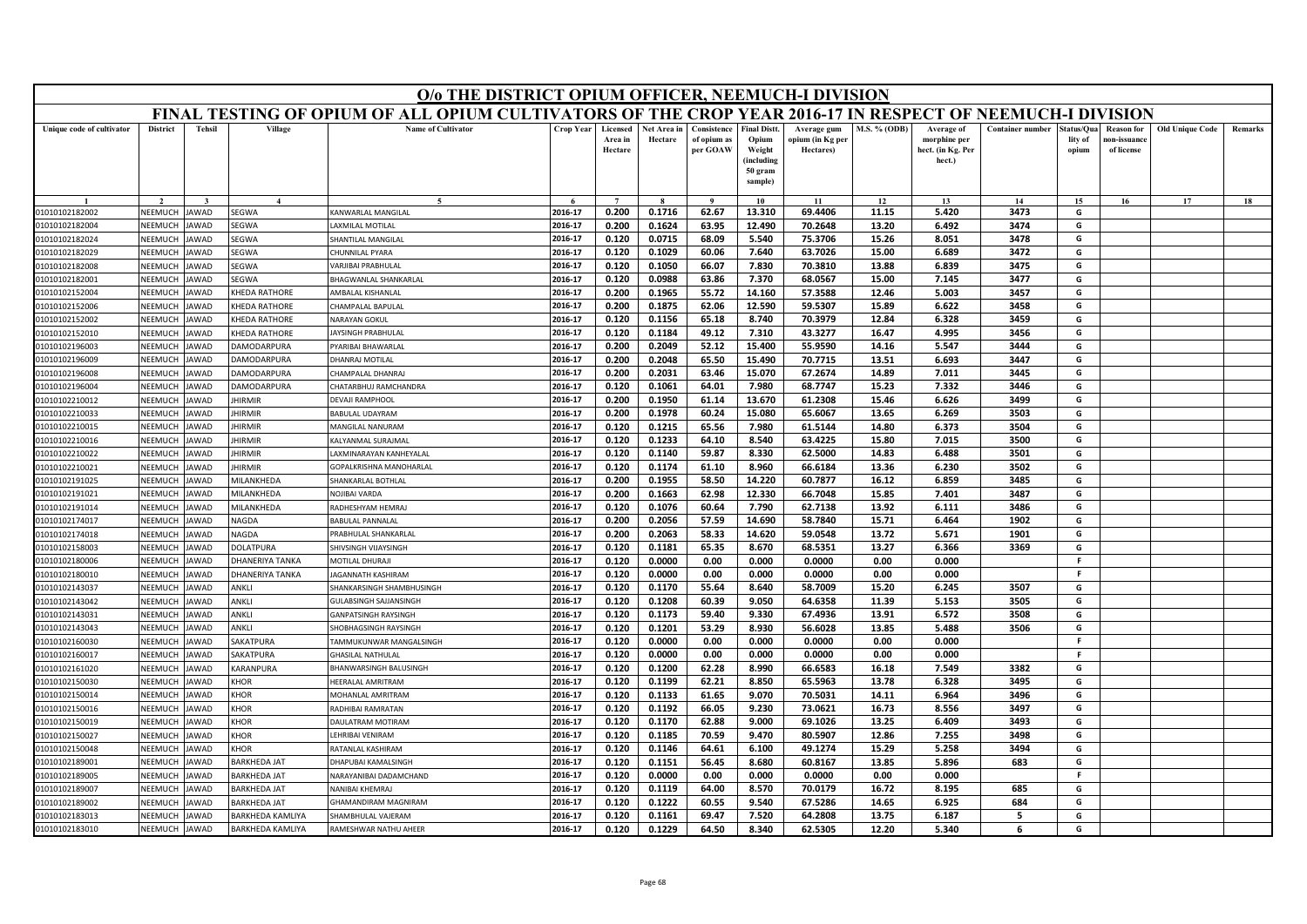|                                  | O/o THE DISTRICT OPIUM OFFICER, NEEMUCH-I DIVISION<br>FINAL TESTING OF OPIUM OF ALL OPIUM CULTIVATORS OF THE CROP YEAR 2016-17 IN RESPECT OF NEEMUCH-I DIVISION |               |                        |                                                    |                    |                                |                        |                                        |                                                                           |                                              |               |                                                           |                         |                                |                                                |                        |                |
|----------------------------------|-----------------------------------------------------------------------------------------------------------------------------------------------------------------|---------------|------------------------|----------------------------------------------------|--------------------|--------------------------------|------------------------|----------------------------------------|---------------------------------------------------------------------------|----------------------------------------------|---------------|-----------------------------------------------------------|-------------------------|--------------------------------|------------------------------------------------|------------------------|----------------|
|                                  |                                                                                                                                                                 |               |                        |                                                    |                    |                                |                        |                                        |                                                                           |                                              |               |                                                           |                         |                                |                                                |                        |                |
| Unique code of cultivator        | <b>District</b>                                                                                                                                                 | <b>Tehsil</b> | Village                | <b>Name of Cultivator</b>                          | <b>Crop Year</b>   | Licensed<br>Area in<br>Hectare | Net Area in<br>Hectare | Consistence<br>of opium as<br>per GOAW | <b>Final Distt</b><br>Opium<br>Weight<br>(including<br>50 gram<br>sample) | Average gum<br>opium (in Kg per<br>Hectares) | M.S. % (ODB)  | Average of<br>morphine per<br>hect. (in Kg. Per<br>hect.) | <b>Container number</b> | status/Qua<br>lity of<br>opium | <b>Reason</b> for<br>ıon-issuanc<br>of license | <b>Old Unique Code</b> | <b>Remarks</b> |
|                                  |                                                                                                                                                                 |               |                        |                                                    |                    | $\overline{ }$                 |                        |                                        | 10                                                                        | 11                                           | 12            | 13                                                        | 14                      | 15                             | 16                                             | 17                     | 18             |
| 01010102182002                   | NEEMUCH                                                                                                                                                         | AWAD          | SEGWA                  | KANWARLAL MANGILAL                                 | 2016-17            | 0.200                          | 0.1716                 | 62.67                                  | 13.310                                                                    | 69.4406                                      | 11.15         | 5.420                                                     | 3473                    | G                              |                                                |                        |                |
| 01010102182004                   | NEEMUCH                                                                                                                                                         | <b>AWAD</b>   | <b>EGWA</b>            | <b>AXMILAL MOTILAL</b>                             | 2016-17            | 0.200                          | 0.1624                 | 63.95                                  | 12.490                                                                    | 70.2648                                      | 13.20         | 6.492                                                     | 3474                    | G                              |                                                |                        |                |
| 01010102182024                   | NEEMUCH                                                                                                                                                         | <b>AWAD</b>   | SEGWA                  | HANTILAL MANGILAL                                  | 2016-17            | 0.120                          | 0.0715                 | 68.09                                  | 5.540                                                                     | 75.3706                                      | 15.26         | 8.051                                                     | 3478                    | G                              |                                                |                        |                |
| 01010102182029                   | NEEMUCI                                                                                                                                                         | AWAD          | SEGWA                  | HUNNILAL PYARA                                     | 2016-17            | 0.120                          | 0.1029                 | 60.06                                  | 7.640                                                                     | 63.7026                                      | 15.00         | 6.689                                                     | 3472                    | G                              |                                                |                        |                |
| 01010102182008                   | NEEMUCH                                                                                                                                                         | AWAD          | SEGWA                  | <b>ARJIBAI PRABHULAL</b>                           | 2016-17            | 0.120                          | 0.1050                 | 66.07                                  | 7.830                                                                     | 70.3810                                      | 13.88         | 6.839                                                     | 3475                    | G                              |                                                |                        |                |
| 01010102182001                   | NEEMUCH                                                                                                                                                         | <b>AWAD</b>   | SEGWA                  | BHAGWANLAL SHANKARLAL                              | 2016-17            | 0.120                          | 0.0988                 | 63.86                                  | 7.370                                                                     | 68.0567                                      | 15.00         | 7.145                                                     | 3477                    | G                              |                                                |                        |                |
| 01010102152004                   | NEEMUCI                                                                                                                                                         | AWAD          | KHEDA RATHORE          | <b><i>AMBALAL KISHANLAL</i></b>                    | 2016-17            | 0.200                          | 0.1965                 | 55.72                                  | 14.160                                                                    | 57.3588                                      | 12.46         | 5.003                                                     | 3457                    | G                              |                                                |                        |                |
| 01010102152006                   | NEEMUCH                                                                                                                                                         | AWAD          | <b>CHEDA RATHORE</b>   | HAMPALAL BAPULAL                                   | 2016-17            | 0.200                          | 0.1875                 | 62.06                                  | 12.590                                                                    | 59.5307                                      | 15.89         | 6.622                                                     | 3458                    | G                              |                                                |                        |                |
| 01010102152002                   | NEEMUCH                                                                                                                                                         | <b>AWAD</b>   | <b>CHEDA RATHORE</b>   | NARAYAN GOKUL                                      | 2016-17            | 0.120                          | 0.1156                 | 65.18                                  | 8.740                                                                     | 70.3979                                      | 12.84         | 6.328                                                     | 3459                    | G                              |                                                |                        |                |
| 01010102152010                   | NEEMUCI                                                                                                                                                         | AWAD          | KHEDA RATHORE          | <b>AYSINGH PRABHULAI</b>                           | 2016-17            | 0.120                          | 0.1184                 | 49.12                                  | 7.310                                                                     | 43.3277                                      | 16.47         | 4.995                                                     | 3456                    | G                              |                                                |                        |                |
| 01010102196003                   | NEEMUCH                                                                                                                                                         | AWAD          | <b>AMODARPURA</b>      | YARIBAI BHAWARLAI                                  | 2016-17            | 0.200                          | 0.2049                 | 52.12                                  | 15.400                                                                    | 55.9590                                      | 14.16         | 5.547                                                     | 3444                    | G                              |                                                |                        |                |
| 01010102196009                   | NEEMUCH                                                                                                                                                         | AWAD          | <b>AMODARPURA</b>      | HANRAJ MOTILAL                                     | 2016-17            | 0.200                          | 0.2048                 | 65.50                                  | 15.490                                                                    | 70.7715                                      | 13.51         | 6.693                                                     | 3447                    | G                              |                                                |                        |                |
| 01010102196008                   | NFFMUCH                                                                                                                                                         | <b>AWAD</b>   | <b>JAMODARPURA</b>     | HAMPALAL DHANRAJ                                   | 2016-17            | 0.200                          | 0.2031                 | 63.46                                  | 15.070                                                                    | 67.2674                                      | 14.89         | 7.011                                                     | 3445                    | G                              |                                                |                        |                |
| 01010102196004                   | NEEMUCH                                                                                                                                                         | AWAD          | <b>DAMODARPURA</b>     | HATARBHUJ RAMCHANDRA                               | 2016-17            | 0.120                          | 0.1061                 | 64.01                                  | 7.980                                                                     | 68.7747                                      | 15.23         | 7.332                                                     | 3446                    | G                              |                                                |                        |                |
| 01010102210012                   | NEEMUCH                                                                                                                                                         | AWAD          | <b>HIRMIR</b>          | <b>DEVAJI RAMPHOOL</b>                             | 2016-17            | 0.200                          | 0.1950                 | 61.14                                  | 13.670                                                                    | 61.2308                                      | 15.46         | 6.626                                                     | 3499                    | G                              |                                                |                        |                |
| 01010102210033                   | NEEMUCH                                                                                                                                                         | AWAD          | <b>HIRMIR</b>          | BABULAL UDAYRAM                                    | 2016-17            | 0.200                          | 0.1978                 | 60.24                                  | 15.080                                                                    | 65.6067                                      | 13.65         | 6.269                                                     | 3503                    | G                              |                                                |                        |                |
| 01010102210015                   | NEEMUCI                                                                                                                                                         | AWAD          | <b>HIRMIR</b>          | MANGILAL NANURAM                                   | 2016-17            | 0.120                          | 0.1215                 | 65.56                                  | 7.980                                                                     | 61.5144                                      | 14.80         | 6.373                                                     | 3504                    | G                              |                                                |                        |                |
| 01010102210016                   | NEEMUCH                                                                                                                                                         | AWAD          | <b>HIRMIR</b>          | ALYANMAL SURAJMAL                                  | 2016-17            | 0.120                          | 0.1233                 | 64.10                                  | 8.540                                                                     | 63.4225                                      | 15.80         | 7.015                                                     | 3500                    | G                              |                                                |                        |                |
| 01010102210022                   | <b>NEEMUCH</b>                                                                                                                                                  | <b>AWAD</b>   | <b>HIRMIR</b>          | AXMINARAYAN KANHEYALAL                             | 2016-17            | 0.120                          | 0.1140                 | 59.87                                  | 8.330                                                                     | 62.5000                                      | 14.83         | 6.488                                                     | 3501                    | G                              |                                                |                        |                |
| 01010102210021                   | NEEMUCH                                                                                                                                                         | AWAD          | <b>HIRMIR</b>          | GOPALKRISHNA MANOHARLAL                            | 2016-17            | 0.120                          | 0.1174                 | 61.10                                  | 8.960                                                                     | 66.6184                                      | 13.36         | 6.230                                                     | 3502                    | G                              |                                                |                        |                |
| 01010102191025                   | NEEMUCH                                                                                                                                                         | AWAD          | VILANKHEDA             | HANKARLAL BOTHLAL                                  | 2016-17            | 0.200                          | 0.1955                 | 58.50                                  | 14.220                                                                    | 60.7877                                      | 16.12         | 6.859                                                     | 3485                    | G                              |                                                |                        |                |
| 01010102191021                   | NFFMUCH                                                                                                                                                         | AWAD          | MILANKHEDA             | NOJIBAI VARDA                                      | 2016-17            | 0.200                          | 0.1663                 | 62.98                                  | 12.330                                                                    | 66.7048                                      | 15.85         | 7.401                                                     | 3487                    | G                              |                                                |                        |                |
| 01010102191014                   | NEEMUCH                                                                                                                                                         | AWAD          | MILANKHEDA             | RADHESHYAM HEMRAJ                                  | 2016-17            | 0.120                          | 0.1076                 | 60.64                                  | 7.790                                                                     | 62.7138                                      | 13.92         | 6.111                                                     | 3486                    | G                              |                                                |                        |                |
| 01010102174017                   | NEEMUCH                                                                                                                                                         | <b>AWAD</b>   | VAGDA                  | <b>BABULAL PANNALAI</b>                            | 2016-17            | 0.200                          | 0.2056                 | 57.59                                  | 14.690                                                                    | 58.7840                                      | 15.71         | 6.464                                                     | 1902                    | G                              |                                                |                        |                |
| 01010102174018                   | NEEMUCH                                                                                                                                                         | <b>AWAD</b>   | <b>VAGDA</b>           | PRABHULAL SHANKARLAL                               | 2016-17            | 0.200                          | 0.2063                 | 58.33                                  | 14.620                                                                    | 59.0548                                      | 13.72         | 5.671                                                     | 1901                    | G                              |                                                |                        |                |
| 01010102158003                   | NEEMUCH                                                                                                                                                         | <b>AWAD</b>   | <b>OLATPURA</b>        | HIVSINGH VIJAYSINGH                                | 2016-17            | 0.120                          | 0.1181                 | 65.35                                  | 8.670                                                                     | 68.5351                                      | 13.27         | 6.366                                                     | 3369                    | G                              |                                                |                        |                |
| 01010102180006                   | NEEMUCH                                                                                                                                                         | AWAD          | <b>DHANERIYA TANKA</b> | <b>MOTILAL DHURAJ</b>                              | 2016-17            | 0.120                          | 0.0000                 | 0.00                                   | 0.000                                                                     | 0.0000                                       | 0.00          | 0.000                                                     |                         | Е                              |                                                |                        |                |
| 01010102180010                   | NEEMUCH                                                                                                                                                         | AWAD          | DHANERIYA TANKA        | <b>AGANNATH KASHIRAM</b>                           | 2016-17            | 0.120                          | 0.0000                 | 0.00                                   | 0.000                                                                     | 0.0000                                       | 0.00          | 0.000                                                     |                         | F.                             |                                                |                        |                |
| 01010102143037                   | NEEMUCH                                                                                                                                                         | <b>AWAD</b>   | ANKLI                  | HANKARSINGH SHAMBHUSINGH                           | 2016-17            | 0.120                          | 0.1170                 | 55.64                                  | 8.640                                                                     | 58.7009                                      | 15.20         | 6.245                                                     | 3507                    | G                              |                                                |                        |                |
| 01010102143042                   | NEEMUCH                                                                                                                                                         | AWAD          | ANKLI                  | <b>GULABSINGH SAJJANSINGH</b>                      | 2016-17            | 0.120                          | 0.1208                 | 60.39                                  | 9.050                                                                     | 64.6358                                      | 11.39         | 5.153                                                     | 3505                    | G                              |                                                |                        |                |
| 01010102143031                   | NEEMUCH<br>NFFMUCH                                                                                                                                              | AWAD<br>AWAD  | ANKLI<br>ANKLI         | <b>GANPATSINGH RAYSINGH</b>                        | 2016-17            | 0.120                          | 0.1173                 | 59.40                                  | 9.330                                                                     | 67.4936                                      | 13.91         | 6.572                                                     | 3508                    | G                              |                                                |                        |                |
| 01010102143043                   | NEEMUCI                                                                                                                                                         |               | SAKATPURA              | HOBHAGSINGH RAYSINGH                               | 2016-17<br>2016-17 | 0.120<br>0.120                 | 0.1201<br>0.0000       | 53.29<br>0.00                          | 8.930<br>0.000                                                            | 56.6028<br>0.0000                            | 13.85<br>0.00 | 5.488<br>0.000                                            | 3506                    | G<br><b>F</b>                  |                                                |                        |                |
| 01010102160030<br>01010102160017 | NEEMUCH                                                                                                                                                         | AWAD<br>AWAD  | SAKATPURA              | AMMUKUNWAR MANGALSINGH                             | 2016-17            | 0.120                          | 0.0000                 | 0.00                                   | 0.000                                                                     | 0.0000                                       | 0.00          | 0.000                                                     |                         | F.                             |                                                |                        |                |
| 01010102161020                   | NEEMUCH                                                                                                                                                         | AWAD          | KARANPURA              | <b>SHASILAL NATHULAL</b><br>BHANWARSINGH BALUSINGH | 2016-17            | 0.120                          | 0.1200                 | 62.28                                  | 8.990                                                                     | 66.6583                                      | 16.18         | 7.549                                                     | 3382                    | G                              |                                                |                        |                |
| 01010102150030                   | NEEMUCI                                                                                                                                                         | AWAD          | KHOR                   |                                                    | 2016-17            | 0.120                          | 0.1199                 | 62.21                                  | 8.850                                                                     | 65.5963                                      | 13.78         | 6.328                                                     | 3495                    | G                              |                                                |                        |                |
|                                  | NEEMUCH                                                                                                                                                         | <b>AWAD</b>   | KHOR                   | HEERALAL AMRITRAM<br>MOHANLAL AMRITRAM             | 2016-17            | 0.120                          | 0.1133                 | 61.65                                  | 9.070                                                                     | 70.5031                                      | 14.11         | 6.964                                                     | 3496                    | G                              |                                                |                        |                |
| 01010102150014<br>01010102150016 | NEEMUCH                                                                                                                                                         | AWAD          | KHOR                   | ADHIBAI RAMRATAN                                   | 2016-17            | 0.120                          | 0.1192                 | 66.05                                  | 9.230                                                                     | 73.0621                                      | 16.73         | 8.556                                                     | 3497                    | G                              |                                                |                        |                |
| 01010102150019                   | NEEMUCI                                                                                                                                                         | <b>AWAD</b>   | KHOR                   | DAULATRAM MOTIRAM                                  | 2016-17            | 0.120                          | 0.1170                 | 62.88                                  | 9.000                                                                     | 69.1026                                      | 13.25         | 6.409                                                     | 3493                    | G                              |                                                |                        |                |
| 01010102150027                   | NEEMUCH                                                                                                                                                         | AWAD          | KHOR                   | EHRIBAI VENIRAM                                    | 2016-17            | 0.120                          | 0.1185                 | 70.59                                  | 9.470                                                                     | 80.5907                                      | 12.86         | 7.255                                                     | 3498                    | G                              |                                                |                        |                |
| 01010102150048                   | NEEMUCH                                                                                                                                                         | AWAD          | <b>CHOR</b>            | <b>ATANLAL KASHIRAM</b>                            | 2016-17            | 0.120                          | 0.1146                 | 64.61                                  | 6.100                                                                     | 49.1274                                      | 15.29         | 5.258                                                     | 3494                    | G                              |                                                |                        |                |
| 01010102189001                   | NEEMUCI                                                                                                                                                         | AWAD          | BARKHEDA JAT           | <b>DHAPUBAI KAMALSINGH</b>                         | 2016-17            | 0.120                          | 0.1151                 | 56.45                                  | 8.680                                                                     | 60.8167                                      | 13.85         | 5.896                                                     | 683                     | G                              |                                                |                        |                |
| 01010102189005                   | NEEMUCH                                                                                                                                                         | AWAD          | BARKHEDA JAT           | VARAYANIBAI DADAMCHAND                             | 2016-17            | 0.120                          | 0.0000                 | 0.00                                   | 0.000                                                                     | 0.0000                                       | 0.00          | 0.000                                                     |                         | F.                             |                                                |                        |                |
| 01010102189007                   | NEEMUCH                                                                                                                                                         | AWAD          | <b>BARKHEDA JAT</b>    | <b>VANIBAI KHEMRAJ</b>                             | 2016-17            | 0.120                          | 0.1119                 | 64.00                                  | 8.570                                                                     | 70.0179                                      | 16.72         | 8.195                                                     | 685                     | G                              |                                                |                        |                |
| 01010102189002                   | NEEMUCI                                                                                                                                                         | <b>AWAD</b>   | BARKHEDA JAT           | <b>HAMANDIRAM MAGNIRAM</b>                         | 2016-17            | 0.120                          | 0.1222                 | 60.55                                  | 9.540                                                                     | 67.5286                                      | 14.65         | 6.925                                                     | 684                     | G                              |                                                |                        |                |
| 01010102183013                   | NEEMUCH                                                                                                                                                         | AWAD          | BARKHEDA KAMLIYA       | HAMBHULAL VAJERAM                                  | 2016-17            | 0.120                          | 0.1161                 | 69.47                                  | 7.520                                                                     | 64.2808                                      | 13.75         | 6.187                                                     | 5                       | G                              |                                                |                        |                |
| 01010102183010                   | NEEMUCH                                                                                                                                                         | <b>JAWAD</b>  | BARKHEDA KAMLIYA       | RAMESHWAR NATHU AHEER                              | 2016-17            | 0.120                          | 0.1229                 | 64.50                                  | 8.340                                                                     | 62.5305                                      | 12.20         | 5.340                                                     | -6                      | G                              |                                                |                        |                |
|                                  |                                                                                                                                                                 |               |                        |                                                    |                    |                                |                        |                                        |                                                                           |                                              |               |                                                           |                         |                                |                                                |                        |                |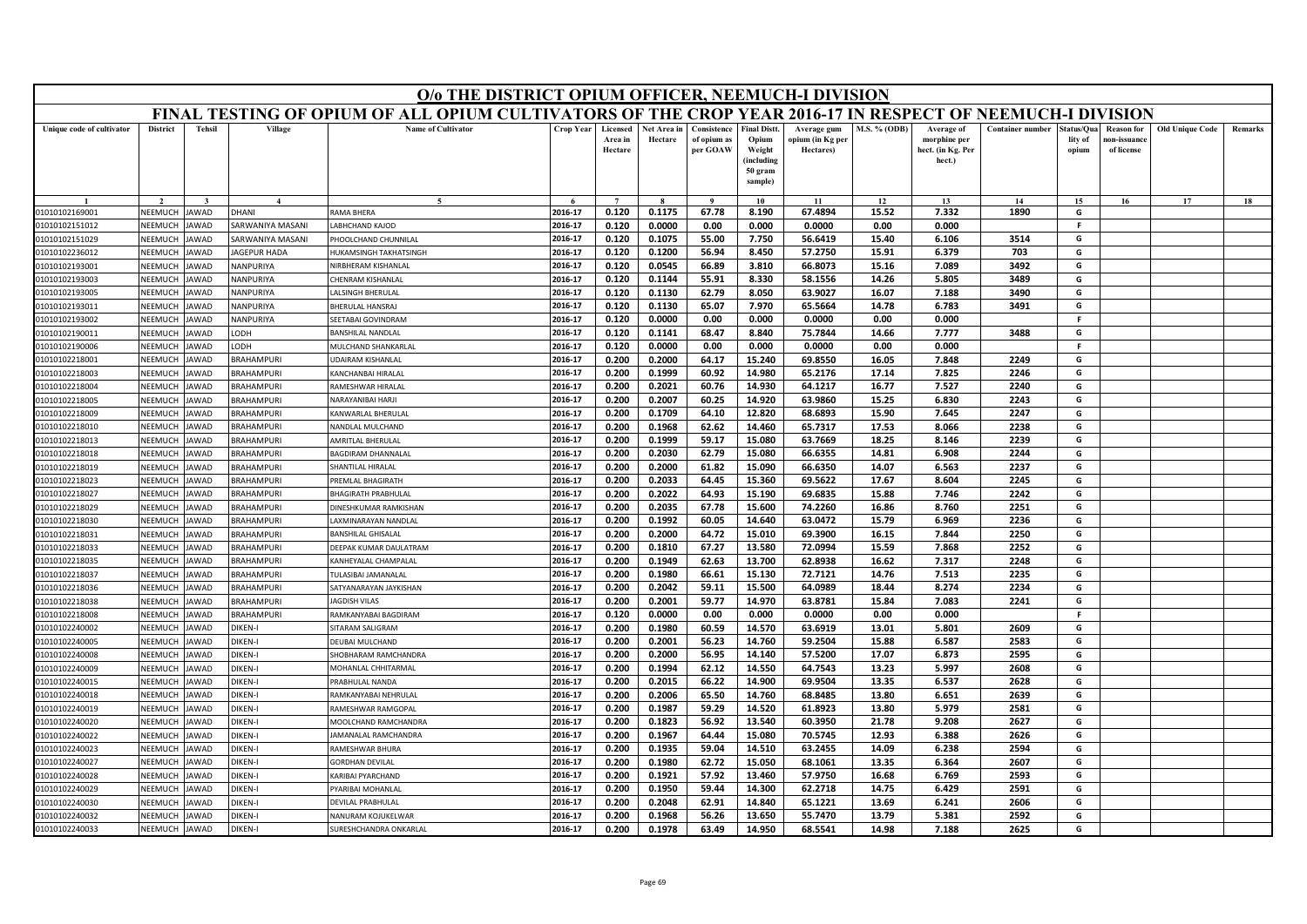|                                  | O/o THE DISTRICT OPIUM OFFICER, NEEMUCH-I DIVISION<br>FINAL TESTING OF OPIUM OF ALL OPIUM CULTIVATORS OF THE CROP YEAR 2016-17 IN RESPECT OF NEEMUCH-I DIVISION |                             |                                        |                                       |                    |                                |                        |                                        |                                                      |                                              |                |                                                           |                         |                                |                                                |                        |         |
|----------------------------------|-----------------------------------------------------------------------------------------------------------------------------------------------------------------|-----------------------------|----------------------------------------|---------------------------------------|--------------------|--------------------------------|------------------------|----------------------------------------|------------------------------------------------------|----------------------------------------------|----------------|-----------------------------------------------------------|-------------------------|--------------------------------|------------------------------------------------|------------------------|---------|
|                                  |                                                                                                                                                                 |                             |                                        |                                       |                    |                                |                        |                                        |                                                      |                                              |                |                                                           |                         |                                |                                                |                        |         |
| Unique code of cultivator        | <b>District</b>                                                                                                                                                 | <b>Tehsil</b>               | Village                                | <b>Name of Cultivator</b>             | <b>Crop Year</b>   | Licensed<br>Area in<br>Hectare | Net Area in<br>Hectare | Consistence<br>of opium as<br>per GOAW | <b>Final Distt.</b><br>Opium<br>Weight<br>(including | Average gum<br>opium (in Kg per<br>Hectares) | M.S. % (ODB)   | Average of<br>morphine per<br>hect. (in Kg. Per<br>hect.) | <b>Container number</b> | Status/Ou:<br>lity of<br>opium | <b>Reason</b> for<br>ıon-issuanc<br>of license | <b>Old Unique Code</b> | Remarks |
|                                  |                                                                                                                                                                 |                             |                                        |                                       |                    |                                |                        |                                        | 50 gram<br>sample)                                   |                                              |                |                                                           |                         |                                |                                                |                        |         |
|                                  |                                                                                                                                                                 |                             |                                        | $\sim$                                |                    | $\overline{7}$                 |                        | $\mathbf{o}$                           | 10                                                   | 11                                           | 12             | 13                                                        | 14                      | 15                             | 16                                             | 17                     | 18      |
| 01010102169001                   | NEEMUCH                                                                                                                                                         | AWAD                        | <b>HANI</b>                            | RAMA BHERA                            | 2016-17            | 0.120                          | 0.1175                 | 67.78                                  | 8.190                                                | 67.4894                                      | 15.52          | 7.332                                                     | 1890                    | G                              |                                                |                        |         |
| 01010102151012                   | NEEMUCH                                                                                                                                                         | JAWAD                       | ARWANIYA MASANI                        | ABHCHAND KAIOD                        | 2016-17            | 0.120                          | 0.0000                 | 0.00                                   | 0.000                                                | 0.0000                                       | 0.00           | 0.000                                                     |                         | -F                             |                                                |                        |         |
| 01010102151029                   | NEEMUCH                                                                                                                                                         | AWAD                        | ARWANIYA MASANI                        | HOOLCHAND CHUNNILAL                   | 2016-17            | 0.120                          | 0.1075                 | 55.00                                  | 7.750                                                | 56.6419                                      | 15.40          | 6.106                                                     | 3514                    | G                              |                                                |                        |         |
| 01010102236012                   | NEEMUCH                                                                                                                                                         | AWAD                        | <b>AGEPUR HADA</b>                     | <b>IUKAMSINGH TAKHATSINGH</b>         | 2016-17            | 0.120                          | 0.1200                 | 56.94                                  | 8.450                                                | 57.2750                                      | 15.91          | 6.379                                                     | 703                     | G                              |                                                |                        |         |
| 01010102193001                   | NEEMUCH                                                                                                                                                         | <b>AWAD</b>                 | <b>JANPURIYA</b>                       | <b>IIRBHERAM KISHANLAL</b>            | 2016-17            | 0.120                          | 0.0545                 | 66.89                                  | 3.810                                                | 66.8073                                      | 15.16          | 7.089                                                     | 3492                    | G                              |                                                |                        |         |
| 01010102193003                   | NEEMUCH                                                                                                                                                         | <b>AWAD</b>                 | <b>JANPURIYA</b>                       | HENRAM KISHANLAL                      | 2016-17            | 0.120                          | 0.1144                 | 55.91                                  | 8.330                                                | 58.1556                                      | 14.26          | 5.805                                                     | 3489                    | G                              |                                                |                        |         |
| 01010102193005                   | NEEMUCH                                                                                                                                                         | <b>AWAD</b>                 | <b>NANPURIYA</b>                       | ALSINGH BHERULAL                      | 2016-17            | 0.120                          | 0.1130                 | 62.79                                  | 8.050                                                | 63.9027                                      | 16.07          | 7.188                                                     | 3490                    | G                              |                                                |                        |         |
| 01010102193011                   | NEEMUCH                                                                                                                                                         | <b>AWAD</b>                 | <b>JANPURIYA</b>                       | <b>HERULAL HANSRAI</b>                | 2016-17            | 0.120                          | 0.1130                 | 65.07                                  | 7.970                                                | 65.5664                                      | 14.78          | 6.783                                                     | 3491                    | G                              |                                                |                        |         |
| 01010102193002                   | NEEMUCH                                                                                                                                                         | <b>AWAD</b>                 | <b>JANPURIYA</b>                       | <b>EETABAI GOVINDRAM</b>              | 2016-17            | 0.120                          | 0.0000                 | 0.00                                   | 0.000                                                | 0.0000                                       | 0.00           | 0.000                                                     |                         | -F                             |                                                |                        |         |
| 01010102190011                   | NEEMUCH                                                                                                                                                         | <b>AWAD</b>                 | HOO.                                   | BANSHILAL NANDLAL                     | 2016-17            | 0.120                          | 0.1141                 | 68.47                                  | 8.840                                                | 75.7844                                      | 14.66          | 7.777                                                     | 3488                    | G                              |                                                |                        |         |
| 01010102190006                   | NEEMUCH                                                                                                                                                         | AWAD                        | ODH.                                   | <b>MULCHAND SHANKARLAI</b>            | 2016-17            | 0.120                          | 0.0000                 | 0.00                                   | 0.000                                                | 0.0000                                       | 0.00           | 0.000                                                     |                         | -F                             |                                                |                        |         |
| 01010102218001                   | NEEMUCH                                                                                                                                                         | AWAD                        | <b>BRAHAMPURI</b>                      | DAIRAM KISHANLAL                      | 2016-17            | 0.200                          | 0.2000                 | 64.17                                  | 15.240                                               | 69.8550                                      | 16.05          | 7.848                                                     | 2249                    | G                              |                                                |                        |         |
| 01010102218003                   | NEEMUCH                                                                                                                                                         | <b>AWAD</b>                 | BRAHAMPURI                             | <b>CANCHANRALHIRALAI</b>              | 2016-17            | 0.200                          | 0.1999                 | 60.92                                  | 14.980                                               | 65.2176                                      | 17.14          | 7.825                                                     | 2246                    | G                              |                                                |                        |         |
| 01010102218004                   | <b>NEEMUCH</b>                                                                                                                                                  | <b>AWAD</b>                 | <b>BRAHAMPURI</b>                      | AMESHWAR HIRALAI                      | 2016-17            | 0.200                          | 0.2021                 | 60.76                                  | 14.930                                               | 64.1217                                      | 16.77          | 7.527                                                     | 2240                    | G                              |                                                |                        |         |
| 01010102218005                   | NEEMUCH<br>NEEMUCH                                                                                                                                              | <b>AWAD</b><br><b>JAWAD</b> | <b>BRAHAMPURI</b><br><b>BRAHAMPURI</b> | <b>JARAYANIBAI HARJI</b>              | 2016-17            | 0.200                          | 0.2007                 | 60.25                                  | 14.920<br>12.820                                     | 63.9860                                      | 15.25          | 6.830                                                     | 2243<br>2247            | G<br>G                         |                                                |                        |         |
| 01010102218009<br>01010102218010 | NEEMUCH                                                                                                                                                         | <b>JAWAD</b>                | <b>BRAHAMPURI</b>                      | <b>CANWARLAL BHERULAL</b>             | 2016-17            | 0.200                          | 0.1709                 | 64.10                                  |                                                      | 68.6893<br>65.7317                           | 15.90          | 7.645                                                     | 2238                    | G                              |                                                |                        |         |
|                                  | NEEMUCH                                                                                                                                                         | <b>AWAD</b>                 | <b>BRAHAMPURI</b>                      | VANDLAL MULCHAND<br>AMRITLAL BHERULAL | 2016-17<br>2016-17 | 0.200<br>0.200                 | 0.1968<br>0.1999       | 62.62<br>59.17                         | 14.460<br>15.080                                     | 63.7669                                      | 17.53<br>18.25 | 8.066                                                     | 2239                    | G                              |                                                |                        |         |
| 01010102218013                   | NEEMUCH                                                                                                                                                         | <b>AWAD</b>                 | <b>BRAHAMPURI</b>                      | <b>AGDIRAM DHANNALAL</b>              | 2016-17            | 0.200                          | 0.2030                 | 62.79                                  | 15.080                                               | 66.6355                                      | 14.81          | 8.146<br>6.908                                            | 2244                    | G                              |                                                |                        |         |
| 01010102218018<br>01010102218019 | NEEMUCH                                                                                                                                                         | <b>JAWAD</b>                | <b>BRAHAMPURI</b>                      | HANTILAL HIRALAL                      | 2016-17            | 0.200                          | 0.2000                 | 61.82                                  | 15.090                                               | 66.6350                                      | 14.07          | 6.563                                                     | 2237                    | G                              |                                                |                        |         |
| 01010102218023                   | NEEMUCH                                                                                                                                                         | <b>AWAD</b>                 | <b>BRAHAMPURI</b>                      | REMLAL BHAGIRATH                      | 2016-17            | 0.200                          | 0.2033                 | 64.45                                  | 15.360                                               | 69.5622                                      | 17.67          | 8.604                                                     | 2245                    | G                              |                                                |                        |         |
| 01010102218027                   | NEEMUCH                                                                                                                                                         | <b>AWAD</b>                 | <b>BRAHAMPURI</b>                      | HAGIRATH PRABHULAL                    | 2016-17            | 0.200                          | 0.2022                 | 64.93                                  | 15.190                                               | 69.6835                                      | 15.88          | 7.746                                                     | 2242                    | G                              |                                                |                        |         |
| 01010102218029                   | NEEMUCH                                                                                                                                                         | <b>AWAD</b>                 | <b>BRAHAMPURI</b>                      | <b>INESHKUMAR RAMKISHAN</b>           | 2016-17            | 0.200                          | 0.2035                 | 67.78                                  | 15.600                                               | 74.2260                                      | 16.86          | 8.760                                                     | 2251                    | G                              |                                                |                        |         |
| 01010102218030                   | NEEMUCH                                                                                                                                                         | <b>AWAD</b>                 | <b>BRAHAMPURI</b>                      | AXMINARAYAN NANDLAL                   | 2016-17            | 0.200                          | 0.1992                 | 60.05                                  | 14.640                                               | 63.0472                                      | 15.79          | 6.969                                                     | 2236                    | G                              |                                                |                        |         |
| 01010102218031                   | NEEMUCH                                                                                                                                                         | <b>AWAD</b>                 | <b>BRAHAMPURI</b>                      | <b>BANSHILAL GHISALAL</b>             | 2016-17            | 0.200                          | 0.2000                 | 64.72                                  | 15.010                                               | 69.3900                                      | 16.15          | 7.844                                                     | 2250                    | G                              |                                                |                        |         |
| 01010102218033                   | NEEMUCH                                                                                                                                                         | <b>AWAD</b>                 | <b>BRAHAMPURI</b>                      | DEEPAK KUMAR DAULATRAM                | 2016-17            | 0.200                          | 0.1810                 | 67.27                                  | 13.580                                               | 72.0994                                      | 15.59          | 7.868                                                     | 2252                    | G                              |                                                |                        |         |
| 01010102218035                   | NEEMUCH                                                                                                                                                         | AWAD                        | <b>BRAHAMPURI</b>                      | <b>CANHEYALAL CHAMPALA</b>            | 2016-17            | 0.200                          | 0.1949                 | 62.63                                  | 13.700                                               | 62.8938                                      | 16.62          | 7.317                                                     | 2248                    | G                              |                                                |                        |         |
| 01010102218037                   | NEEMUCH                                                                                                                                                         | <b>AWAD</b>                 | <b>BRAHAMPURI</b>                      | ULASIBAI JAMANALAL                    | 2016-17            | 0.200                          | 0.1980                 | 66.61                                  | 15.130                                               | 72.7121                                      | 14.76          | 7.513                                                     | 2235                    | G                              |                                                |                        |         |
| 01010102218036                   | NEEMUCH                                                                                                                                                         | <b>AWAD</b>                 | <b>BRAHAMPURI</b>                      | <b>ATYANARAYAN JAYKISHAN</b>          | 2016-17            | 0.200                          | 0.2042                 | 59.11                                  | 15.500                                               | 64.0989                                      | 18.44          | 8.274                                                     | 2234                    | G                              |                                                |                        |         |
| 01010102218038                   | NEEMUCH                                                                                                                                                         | AWAD                        | <b>BRAHAMPURI</b>                      | <b>AGDISH VILAS</b>                   | 2016-17            | 0.200                          | 0.2001                 | 59.77                                  | 14.970                                               | 63.8781                                      | 15.84          | 7.083                                                     | 2241                    | G                              |                                                |                        |         |
| 01010102218008                   | NEEMUCH                                                                                                                                                         | <b>AWAD</b>                 | <b>BRAHAMPURI</b>                      | <b>RAMKANYABAI BAGDIRAM</b>           | 2016-17            | 0.120                          | 0.0000                 | 0.00                                   | 0.000                                                | 0.0000                                       | 0.00           | 0.000                                                     |                         | F.                             |                                                |                        |         |
| 01010102240002                   | NEEMUCH                                                                                                                                                         | <b>AWAD</b>                 | <b>IKEN-I</b>                          | <b>SITARAM SALIGRAM</b>               | 2016-17            | 0.200                          | 0.1980                 | 60.59                                  | 14.570                                               | 63.6919                                      | 13.01          | 5.801                                                     | 2609                    | G                              |                                                |                        |         |
| 01010102240005                   | <b>NEEMUCH</b>                                                                                                                                                  | <b>AWAD</b>                 | <b>JIKEN-I</b>                         | DEUBAI MULCHAND                       | 2016-17            | 0.200                          | 0.2001                 | 56.23                                  | 14.760                                               | 59.2504                                      | 15.88          | 6.587                                                     | 2583                    | G                              |                                                |                        |         |
| 01010102240008                   | NEEMUCH                                                                                                                                                         | AWAD                        | <b>IKEN-I</b>                          | HOBHARAM RAMCHANDRA                   | 2016-17            | 0.200                          | 0.2000                 | 56.95                                  | 14.140                                               | 57.5200                                      | 17.07          | 6.873                                                     | 2595                    | G                              |                                                |                        |         |
| 01010102240009                   | NEEMUCH                                                                                                                                                         | AWAD                        | <b>IKEN-I</b>                          | <b><i>AOHANLAL CHHITARMAL</i></b>     | 2016-17            | 0.200                          | 0.1994                 | 62.12                                  | 14.550                                               | 64.7543                                      | 13.23          | 5.997                                                     | 2608                    | G                              |                                                |                        |         |
| 01010102240015                   | <b>NFFMUCH</b>                                                                                                                                                  | <b>AWAD</b>                 | <b>IKEN-I</b>                          | RABHULAL NANDA                        | 2016-17            | 0.200                          | 0.2015                 | 66.22                                  | 14.900                                               | 69.9504                                      | 13.35          | 6.537                                                     | 2628                    | G                              |                                                |                        |         |
| 01010102240018                   | NEEMUCH                                                                                                                                                         | AWAD                        | <b>IKEN-I</b>                          | AMKANYABAI NEHRULAL                   | 2016-17            | 0.200                          | 0.2006                 | 65.50                                  | 14.760                                               | 68.8485                                      | 13.80          | 6.651                                                     | 2639                    | G                              |                                                |                        |         |
| 01010102240019                   | NEEMUCH                                                                                                                                                         | AWAD                        | <b>IKEN-I</b>                          | AMESHWAR RAMGOPAL                     | 2016-17            | 0.200                          | 0.1987                 | 59.29                                  | 14.520                                               | 61.8923                                      | 13.80          | 5.979                                                     | 2581                    | G                              |                                                |                        |         |
| 01010102240020                   | NEEMUCH                                                                                                                                                         | <b>AWAD</b>                 | <b>IKEN-I</b>                          | MOOLCHAND RAMCHANDRA                  | 2016-17            | 0.200                          | 0.1823                 | 56.92                                  | 13.540                                               | 60.3950                                      | 21.78          | 9.208                                                     | 2627                    | G                              |                                                |                        |         |
| 01010102240022                   | NEEMUCH                                                                                                                                                         | AWAD                        | <b>IKEN-I</b>                          | AMANALAL RAMCHANDRA                   | 2016-17            | 0.200                          | 0.1967                 | 64.44                                  | 15.080                                               | 70.5745                                      | 12.93          | 6.388                                                     | 2626                    | G                              |                                                |                        |         |
| 01010102240023                   | NEEMUCH                                                                                                                                                         | AWAD                        | <b>IKEN-I</b>                          | AMESHWAR BHURA                        | 2016-17            | 0.200                          | 0.1935                 | 59.04                                  | 14.510                                               | 63.2455                                      | 14.09          | 6.238                                                     | 2594                    | G                              |                                                |                        |         |
| 01010102240027                   | <b>NFFMUCH</b>                                                                                                                                                  | <b>AWAD</b>                 | <b>IKEN-I</b>                          | <b>GORDHAN DEVILAL</b>                | 2016-17            | 0.200                          | 0.1980                 | 62.72                                  | 15.050                                               | 68.1061                                      | 13.35          | 6.364                                                     | 2607                    | G                              |                                                |                        |         |
| 01010102240028                   | NEEMUCH                                                                                                                                                         | <b>AWAD</b>                 | <b>IKEN-I</b>                          | ARIBAI PYARCHAND                      | 2016-17            | 0.200                          | 0.1921                 | 57.92                                  | 13.460                                               | 57.9750                                      | 16.68          | 6.769                                                     | 2593                    | G                              |                                                |                        |         |
| 01010102240029                   | NEEMUCH                                                                                                                                                         | <b>AWAD</b>                 | <b>IKEN-I</b>                          | YARIBAI MOHANLAL                      | 2016-17            | 0.200                          | 0.1950                 | 59.44                                  | 14.300                                               | 62.2718                                      | 14.75          | 6.429                                                     | 2591                    | G                              |                                                |                        |         |
| 01010102240030                   | NEEMUCH                                                                                                                                                         | <b>AWAD</b>                 | <b>IKEN-I</b>                          | <b>DEVILAL PRABHULAI</b>              | 2016-17            | 0.200                          | 0.2048                 | 62.91                                  | 14.840                                               | 65.1221                                      | 13.69          | 6.241                                                     | 2606                    | G                              |                                                |                        |         |
| 01010102240032                   | NEEMUCH                                                                                                                                                         | JAWAD                       | <b>IKEN-I</b>                          | VANURAM KOJUKELWAR                    | 2016-17            | 0.200                          | 0.1968                 | 56.26                                  | 13.650                                               | 55.7470                                      | 13.79          | 5.381                                                     | 2592                    | G                              |                                                |                        |         |
| 01010102240033                   | NEEMUCH                                                                                                                                                         | JAWAD                       | <b>IKEN-I</b>                          | SURESHCHANDRA ONKARLAL                | 2016-17            | 0.200                          | 0.1978                 | 63.49                                  | 14.950                                               | 68.5541                                      | 14.98          | 7.188                                                     | 2625                    | G                              |                                                |                        |         |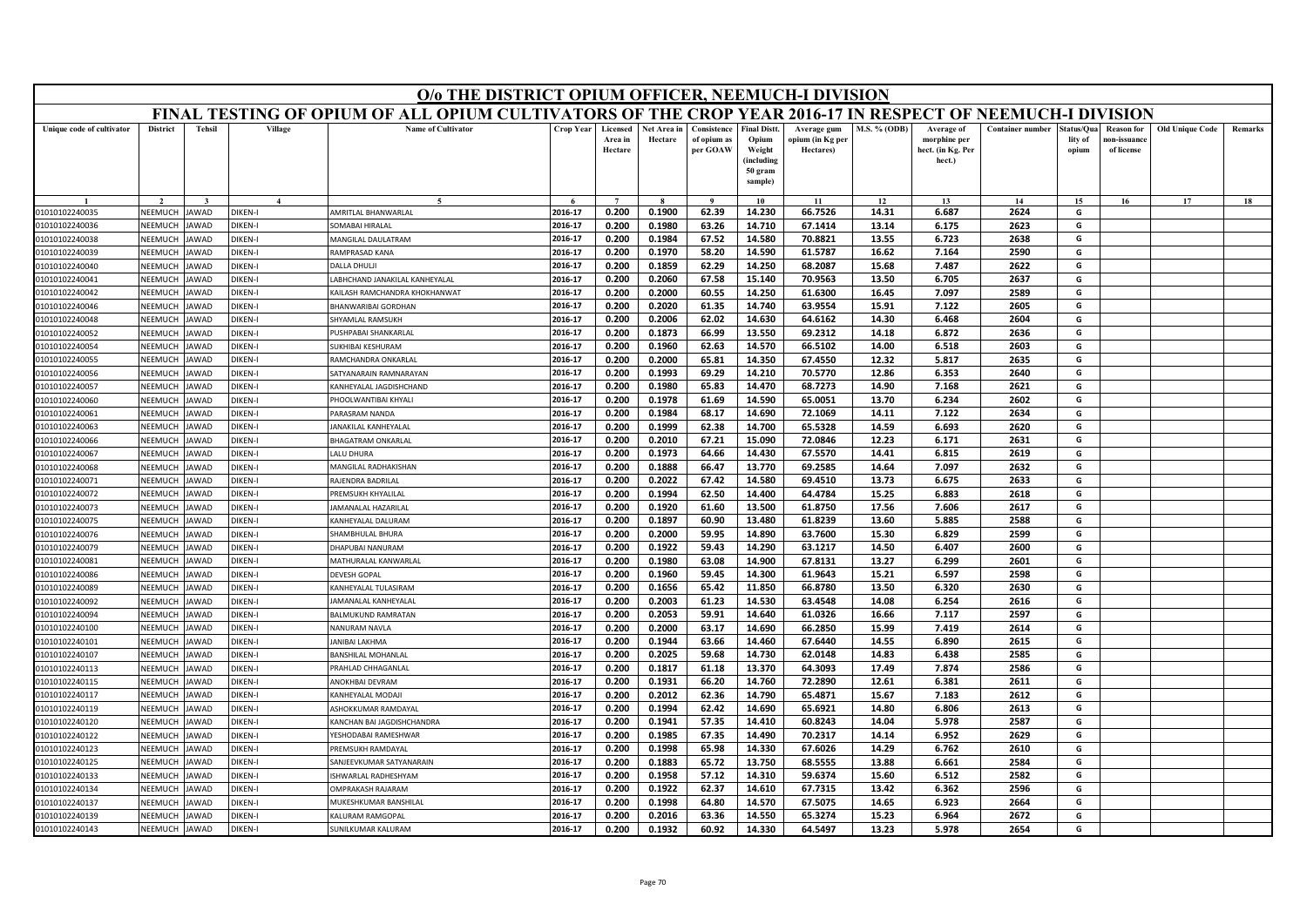|                                  |                    |                      |                           | O/o THE DISTRICT OPIUM OFFICER, NEEMUCH-I DIVISION                                                        |                    |                                |                        |                                        |                                                                            |                                              |                     |                                                           |                         |                                |                                                |                        |         |
|----------------------------------|--------------------|----------------------|---------------------------|-----------------------------------------------------------------------------------------------------------|--------------------|--------------------------------|------------------------|----------------------------------------|----------------------------------------------------------------------------|----------------------------------------------|---------------------|-----------------------------------------------------------|-------------------------|--------------------------------|------------------------------------------------|------------------------|---------|
|                                  |                    |                      |                           | FINAL TESTING OF OPIUM OF ALL OPIUM CULTIVATORS OF THE CROP YEAR 2016-17 IN RESPECT OF NEEMUCH-I DIVISION |                    |                                |                        |                                        |                                                                            |                                              |                     |                                                           |                         |                                |                                                |                        |         |
| Unique code of cultivator        | <b>District</b>    | <b>Tehsil</b>        | Village                   | <b>Name of Cultivator</b>                                                                                 | <b>Crop Year</b>   | Licensed<br>Area in<br>Hectare | Net Area in<br>Hectare | Consistence<br>of opium as<br>per GOAW | <b>Final Distt.</b><br>Opium<br>Weight<br>(including<br>50 gram<br>sample) | Average gum<br>opium (in Kg per<br>Hectares) | <b>M.S. % (ODB)</b> | Average of<br>morphine per<br>hect. (in Kg. Per<br>hect.) | <b>Container number</b> | Status/Qua<br>lity of<br>opium | <b>Reason for</b><br>10n-issuanc<br>of license | <b>Old Unique Code</b> | Remarks |
|                                  |                    |                      | $\mathbf{A}$              | $\tilde{\phantom{a}}$                                                                                     |                    | $\overline{7}$                 |                        |                                        | 10                                                                         | 11                                           | 12                  | 13                                                        | 14                      | 15                             | 16                                             | 17                     | 18      |
| 01010102240035                   | NEEMUCH            | <b>AWAD</b>          | DIKEN-I                   | AMRITLAL BHANWARLAL                                                                                       | 2016-17            | 0.200                          | 0.1900                 | 62.39                                  | 14.230                                                                     | 66.7526                                      | 14.31               | 6.687                                                     | 2624                    | G                              |                                                |                        |         |
| 01010102240036                   | NEEMUCH            | <b>IAWAD</b>         | DIKEN-I                   | SOMABAI HIRALAL                                                                                           | 2016-17            | 0.200                          | 0.1980                 | 63.26                                  | 14.710                                                                     | 67.1414                                      | 13.14               | 6.175                                                     | 2623                    | G                              |                                                |                        |         |
| 01010102240038                   | VEEMUCH            | <b>JAWAD</b>         | DIKEN-I                   | <b>MANGILAL DAULATRAM</b>                                                                                 | 2016-17            | 0.200                          | 0.1984                 | 67.52                                  | 14.580                                                                     | 70.8821                                      | 13.55               | 6.723                                                     | 2638                    | G                              |                                                |                        |         |
| 01010102240039                   | NEEMUCH            | <b>JAWAD</b>         | DIKEN-I                   | RAMPRASAD KANA                                                                                            | 2016-17            | 0.200                          | 0.1970                 | 58.20                                  | 14.590                                                                     | 61.5787                                      | 16.62               | 7.164                                                     | 2590                    | G                              |                                                |                        |         |
| 01010102240040                   | NEEMUCH            | <b>JAWAD</b>         | DIKEN-I                   | DALLA DHULJI                                                                                              | 2016-17            | 0.200                          | 0.1859                 | 62.29                                  | 14.250                                                                     | 68.2087                                      | 15.68               | 7.487                                                     | 2622                    | G                              |                                                |                        |         |
| 01010102240041                   | NEEMUCH            | <b>JAWAD</b>         | <b>DIKEN-I</b>            | LABHCHAND JANAKILAL KANHEYALAL                                                                            | 2016-17            | 0.200                          | 0.2060                 | 67.58                                  | 15.140                                                                     | 70.9563                                      | 13.50               | 6.705                                                     | 2637                    | G                              |                                                |                        |         |
| 01010102240042                   | NEEMUCI            | <b>JAWAD</b>         | DIKEN-I                   | KAILASH RAMCHANDRA KHOKHANWAT                                                                             | 2016-17            | 0.200                          | 0.2000                 | 60.55                                  | 14.250                                                                     | 61.6300                                      | 16.45               | 7.097                                                     | 2589                    | G                              |                                                |                        |         |
| 01010102240046                   | NEEMUCH            | <b>JAWAD</b>         | <b>DIKEN-I</b>            | BHANWARIBAI GORDHAN                                                                                       | 2016-17            | 0.200                          | 0.2020                 | 61.35                                  | 14.740                                                                     | 63.9554                                      | 15.91               | 7.122                                                     | 2605                    | G                              |                                                |                        |         |
| 01010102240048                   | NEEMUCH            | <b>JAWAD</b>         | <b>DIKEN-I</b>            | SHYAMLAL RAMSUKH                                                                                          | 2016-17            | 0.200                          | 0.2006                 | 62.02                                  | 14.630                                                                     | 64.6162                                      | 14.30               | 6.468                                                     | 2604                    | G                              |                                                |                        |         |
| 01010102240052                   | NEEMUCH            | <b>JAWAD</b>         | DIKEN-I                   | PUSHPABAI SHANKARLAL                                                                                      | 2016-17            | 0.200                          | 0.1873                 | 66.99                                  | 13.550                                                                     | 69.2312                                      | 14.18               | 6.872                                                     | 2636                    | G                              |                                                |                        |         |
| 01010102240054                   | NEEMUCH            | <b>IAWAD</b>         | <b>DIKEN-I</b>            | SUKHIBAI KESHURAM                                                                                         | 2016-17            | 0.200                          | 0.1960                 | 62.63                                  | 14.570                                                                     | 66.5102                                      | 14.00               | 6.518                                                     | 2603                    | G                              |                                                |                        |         |
| 01010102240055                   | NEEMUCH            | AWAD                 | DIKEN-I                   | RAMCHANDRA ONKARLAL                                                                                       | 2016-17            | 0.200                          | 0.2000                 | 65.81                                  | 14.350                                                                     | 67.4550                                      | 12.32               | 5.817                                                     | 2635                    | G                              |                                                |                        |         |
| 01010102240056                   | NFFMUCH            | <b>JAWAD</b>         | DIKEN-I                   | SATYANARAIN RAMNARAYAN                                                                                    | 2016-17            | 0.200                          | 0.1993                 | 69.29                                  | 14.210                                                                     | 70.5770                                      | 12.86               | 6.353                                                     | 2640                    | G                              |                                                |                        |         |
| 01010102240057                   | NEEMUCH            | <b>JAWAD</b>         | DIKEN-I                   | KANHEYALAL JAGDISHCHAND                                                                                   | 2016-17            | 0.200                          | 0.1980                 | 65.83                                  | 14.470                                                                     | 68.7273                                      | 14.90               | 7.168                                                     | 2621                    | G                              |                                                |                        |         |
| 01010102240060                   | NEEMUCH            | <b>JAWAD</b>         | <b>DIKEN-I</b>            | PHOOLWANTIBAI KHYALI                                                                                      | 2016-17            | 0.200                          | 0.1978                 | 61.69                                  | 14.590                                                                     | 65.0051                                      | 13.70               | 6.234                                                     | 2602                    | G                              |                                                |                        |         |
| 01010102240061                   | NEEMUCH            | <b>JAWAD</b>         | <b>DIKEN-I</b>            | PARASRAM NANDA                                                                                            | 2016-17            | 0.200                          | 0.1984                 | 68.17                                  | 14.690                                                                     | 72.1069                                      | 14.11               | 7.122                                                     | 2634                    | G                              |                                                |                        |         |
| 01010102240063                   | NEEMUCH            | <b>JAWAD</b>         | <b>DIKEN-I</b>            | <b>ANAKILAL KANHEYALAL</b>                                                                                | 2016-17            | 0.200                          | 0.1999                 | 62.38                                  | 14.700                                                                     | 65.5328                                      | 14.59               | 6.693                                                     | 2620                    | G                              |                                                |                        |         |
| 01010102240066                   | NEEMUCH            | AWAD                 | DIKEN-I                   | <b>BHAGATRAM ONKARLAL</b>                                                                                 | 2016-17            | 0.200                          | 0.2010                 | 67.21                                  | 15.090                                                                     | 72.0846                                      | 12.23               | 6.171                                                     | 2631                    | G                              |                                                |                        |         |
| 01010102240067                   | NFFMUCH            | <b>JAWAD</b>         | DIKFN-I                   | LALU DHURA                                                                                                | 2016-17            | 0.200                          | 0.1973                 | 64.66                                  | 14.430                                                                     | 67.5570                                      | 14.41               | 6.815                                                     | 2619                    | G                              |                                                |                        |         |
| 01010102240068                   | NEEMUCH            | JAWAD                | <b>DIKEN-I</b>            | MANGILAL RADHAKISHAN                                                                                      | 2016-17            | 0.200                          | 0.1888                 | 66.47                                  | 13.770                                                                     | 69.2585                                      | 14.64               | 7.097                                                     | 2632                    | G                              |                                                |                        |         |
| 01010102240071                   | VEEMUCH            | AWAD                 | <b>DIKEN-I</b>            | RAJENDRA BADRILAI                                                                                         | 2016-17            | 0.200                          | 0.2022                 | 67.42                                  | 14.580                                                                     | 69.4510                                      | 13.73               | 6.675                                                     | 2633                    | G                              |                                                |                        |         |
| 01010102240072                   | NEEMUCH            | <b>JAWAD</b>         | <b>DIKEN-I</b>            | PREMSUKH KHYALILAL<br><b>AMANALAL HAZARILAL</b>                                                           | 2016-17<br>2016-17 | 0.200                          | 0.1994                 | 62.50                                  | 14.400                                                                     | 64.4784                                      | 15.25               | 6.883                                                     | 2618                    | G<br>G                         |                                                |                        |         |
| 01010102240073                   | NEEMUCH            | <b>JAWAD</b>         | <b>DIKEN-I</b>            |                                                                                                           | 2016-17            | 0.200<br>0.200                 | 0.1920<br>0.1897       | 61.60<br>60.90                         | 13.500<br>13.480                                                           | 61.8750<br>61.8239                           | 17.56<br>13.60      | 7.606<br>5.885                                            | 2617<br>2588            | G                              |                                                |                        |         |
| 01010102240075<br>01010102240076 | NEEMUCH<br>NEEMUCH | AWAD<br><b>JAWAD</b> | <b>DIKEN-I</b><br>DIKEN-I | KANHEYALAL DALURAM<br>SHAMBHULAL BHURA                                                                    | 2016-17            | 0.200                          | 0.2000                 | 59.95                                  | 14.890                                                                     | 63.7600                                      | 15.30               | 6.829                                                     | 2599                    | G                              |                                                |                        |         |
| 01010102240079                   | NEEMUCH            | <b>AWAD</b>          | DIKFN-I                   | DHAPUBAI NANURAM                                                                                          | 2016-17            | 0.200                          | 0.1922                 | 59.43                                  | 14.290                                                                     | 63.1217                                      | 14.50               | 6.407                                                     | 2600                    | G                              |                                                |                        |         |
| 01010102240081                   | NEEMUCI            | <b>JAWAD</b>         | DIKEN-I                   | MATHURALAL KANWARLAI                                                                                      | 2016-17            | 0.200                          | 0.1980                 | 63.08                                  | 14.900                                                                     | 67.8131                                      | 13.27               | 6.299                                                     | 2601                    | G                              |                                                |                        |         |
| 01010102240086                   | NEEMUCH            | AWAD                 | DIKEN-I                   | <b>DEVESH GOPAL</b>                                                                                       | 2016-17            | 0.200                          | 0.1960                 | 59.45                                  | 14.300                                                                     | 61.9643                                      | 15.21               | 6.597                                                     | 2598                    | G                              |                                                |                        |         |
| 01010102240089                   | NEEMUCH            | <b>JAWAD</b>         | <b>DIKEN-I</b>            | KANHEYALAL TULASIRAM                                                                                      | 2016-17            | 0.200                          | 0.1656                 | 65.42                                  | 11.850                                                                     | 66.8780                                      | 13.50               | 6.320                                                     | 2630                    | G                              |                                                |                        |         |
| 01010102240092                   | NEEMUCH            | <b>JAWAD</b>         | DIKEN-I                   | JAMANALAL KANHEYALAL                                                                                      | 2016-17            | 0.200                          | 0.2003                 | 61.23                                  | 14.530                                                                     | 63.4548                                      | 14.08               | 6.254                                                     | 2616                    | G                              |                                                |                        |         |
| 01010102240094                   | NEEMUCH            | AWAD                 | DIKEN-I                   | <b>BALMUKUND RAMRATAN</b>                                                                                 | 2016-17            | 0.200                          | 0.2053                 | 59.91                                  | 14.640                                                                     | 61.0326                                      | 16.66               | 7.117                                                     | 2597                    | G                              |                                                |                        |         |
| 01010102240100                   | NEEMUCH            | <b>JAWAD</b>         | <b>DIKEN-I</b>            | NANURAM NAVLA                                                                                             | 2016-17            | 0.200                          | 0.2000                 | 63.17                                  | 14.690                                                                     | 66.2850                                      | 15.99               | 7.419                                                     | 2614                    | G                              |                                                |                        |         |
| 01010102240101                   | NEEMUCI            | <b>JAWAD</b>         | DIKEN-I                   | JANIBAI LAKHMA                                                                                            | 2016-17            | 0.200                          | 0.1944                 | 63.66                                  | 14.460                                                                     | 67.6440                                      | 14.55               | 6.890                                                     | 2615                    | G                              |                                                |                        |         |
| 01010102240107                   | NEEMUCH            | <b>IAWAD</b>         | DIKEN-I                   | BANSHILAL MOHANLAL                                                                                        | 2016-17            | 0.200                          | 0.2025                 | 59.68                                  | 14.730                                                                     | 62.0148                                      | 14.83               | 6.438                                                     | 2585                    | G                              |                                                |                        |         |
| 01010102240113                   | VEEMUCI            | AWAD                 | <b>DIKEN-I</b>            | <b>PRAHLAD CHHAGANLAL</b>                                                                                 | 2016-17            | 0.200                          | 0.1817                 | 61.18                                  | 13.370                                                                     | 64.3093                                      | 17.49               | 7.874                                                     | 2586                    | G                              |                                                |                        |         |
| 01010102240115                   | <b>NFFMUCH</b>     | <b>JAWAD</b>         | DIKFN-                    | ANOKHBAI DEVRAM                                                                                           | 2016-17            | 0.200                          | 0.1931                 | 66.20                                  | 14.760                                                                     | 72.2890                                      | 12.61               | 6.381                                                     | 2611                    | G                              |                                                |                        |         |
| 01010102240117                   | NEEMUCH            | AWAD                 | DIKEN-I                   | <b>KANHEYALAL MODAJI</b>                                                                                  | 2016-17            | 0.200                          | 0.2012                 | 62.36                                  | 14.790                                                                     | 65.4871                                      | 15.67               | 7.183                                                     | 2612                    | G                              |                                                |                        |         |
| 01010102240119                   | VEEMUCH            | AWAD                 | <b>DIKEN-I</b>            | <b>ASHOKKUMAR RAMDAYAL</b>                                                                                | 2016-17            | 0.200                          | 0.1994                 | 62.42                                  | 14.690                                                                     | 65.6921                                      | 14.80               | 6.806                                                     | 2613                    | G                              |                                                |                        |         |
| 01010102240120                   | NEEMUCH            | <b>JAWAD</b>         | <b>DIKEN-I</b>            | KANCHAN BALIAGDISHCHANDRA                                                                                 | 2016-17            | 0.200                          | 0.1941                 | 57.35                                  | 14.410                                                                     | 60.8243                                      | 14.04               | 5.978                                                     | 2587                    | G                              |                                                |                        |         |
| 01010102240122                   | NEEMUCH            | <b>IAWAD</b>         | DIKEN-I                   | YESHODABAI RAMESHWAR                                                                                      | 2016-17            | 0.200                          | 0.1985                 | 67.35                                  | 14.490                                                                     | 70.2317                                      | 14.14               | 6.952                                                     | 2629                    | G                              |                                                |                        |         |
| 01010102240123                   | VEEMUCI            | AWAD                 | DIKEN-I                   | <b>PREMSUKH RAMDAYAL</b>                                                                                  | 2016-17            | 0.200                          | 0.1998                 | 65.98                                  | 14.330                                                                     | 67.6026                                      | 14.29               | 6.762                                                     | 2610                    | G                              |                                                |                        |         |
| 01010102240125                   | <b>NFFMUCH</b>     | <b>JAWAD</b>         | DIKFN-                    | SANJEEVKUMAR SATYANARAIN                                                                                  | 2016-17            | 0.200                          | 0.1883                 | 65.72                                  | 13.750                                                                     | 68.5555                                      | 13.88               | 6.661                                                     | 2584                    | G                              |                                                |                        |         |
| 01010102240133                   | NEEMUCH            | <b>IAWAD</b>         | DIKEN-I                   | SHWARLAL RADHESHYAM                                                                                       | 2016-17            | 0.200                          | 0.1958                 | 57.12                                  | 14.310                                                                     | 59.6374                                      | 15.60               | 6.512                                                     | 2582                    | G                              |                                                |                        |         |
| 01010102240134                   | VEEMUCI            | AWAD                 | <b>DIKEN-I</b>            | OMPRAKASH RAJARAM                                                                                         | 2016-17            | 0.200                          | 0.1922                 | 62.37                                  | 14.610                                                                     | 67.7315                                      | 13.42               | 6.362                                                     | 2596                    | G                              |                                                |                        |         |
| 01010102240137                   | NEEMUCH            | <b>JAWAD</b>         | <b>DIKEN-I</b>            | MUKESHKUMAR BANSHILAI                                                                                     | 2016-17            | 0.200                          | 0.1998                 | 64.80                                  | 14.570                                                                     | 67.5075                                      | 14.65               | 6.923                                                     | 2664                    | G                              |                                                |                        |         |
| 01010102240139                   | NEEMUCH            | <b>JAWAD</b>         | DIKEN-I                   | KALURAM RAMGOPAL                                                                                          | 2016-17            | 0.200                          | 0.2016                 | 63.36                                  | 14.550                                                                     | 65.3274                                      | 15.23               | 6.964                                                     | 2672                    | G                              |                                                |                        |         |
| 01010102240143                   | NEEMUCH            | <b>JAWAD</b>         | DIKEN-I                   | SUNILKUMAR KALURAM                                                                                        | 2016-17            | 0.200                          | 0.1932                 | 60.92                                  | 14.330                                                                     | 64.5497                                      | 13.23               | 5.978                                                     | 2654                    | G                              |                                                |                        |         |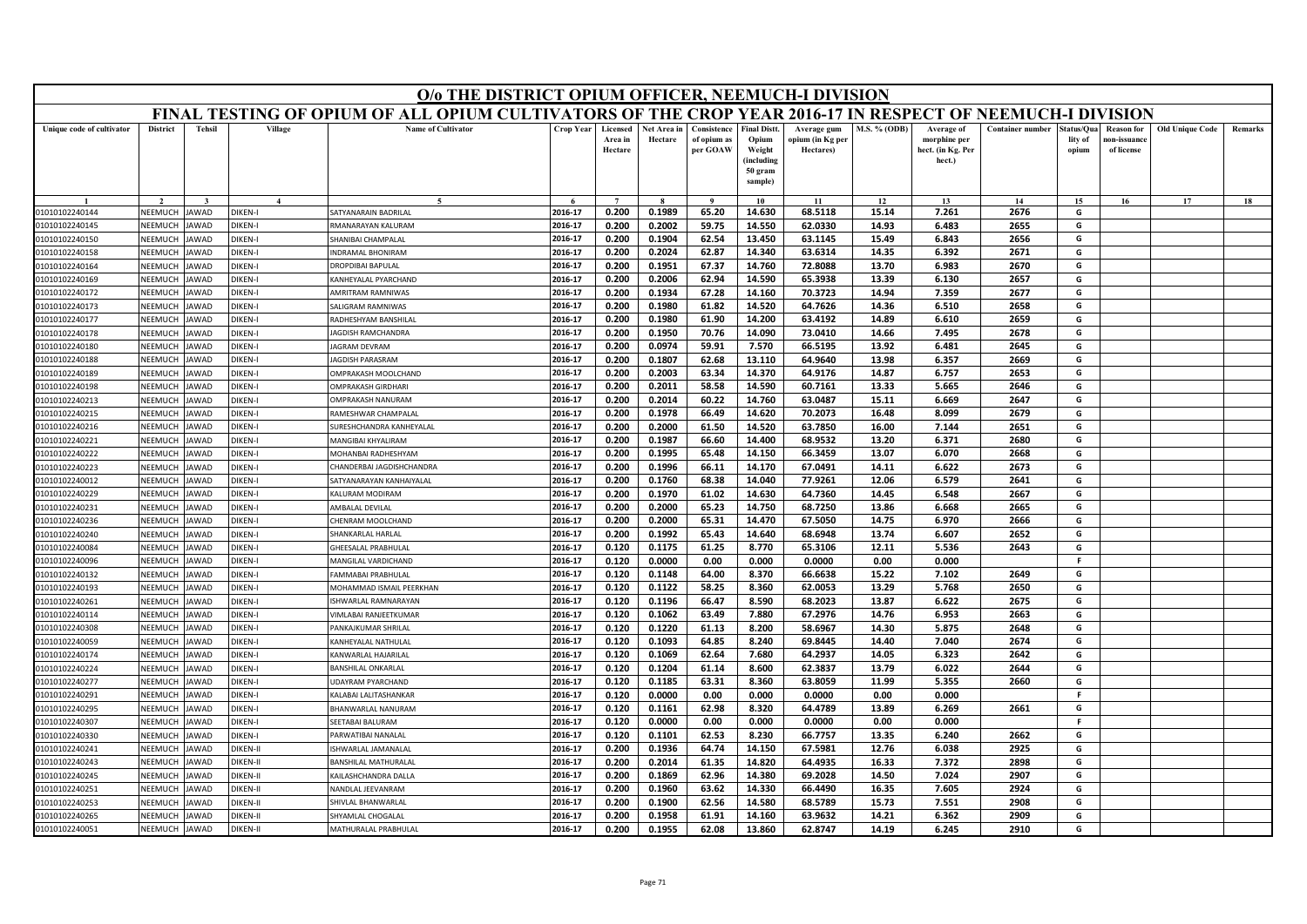|                           |                 |               |                 | O/o THE DISTRICT OPIUM OFFICER, NEEMUCH-I DIVISION                                                        |                  |                                |                        |                                        |                                                                            |                                              |                     |                                                           |                         |                                |                                                |                        |         |
|---------------------------|-----------------|---------------|-----------------|-----------------------------------------------------------------------------------------------------------|------------------|--------------------------------|------------------------|----------------------------------------|----------------------------------------------------------------------------|----------------------------------------------|---------------------|-----------------------------------------------------------|-------------------------|--------------------------------|------------------------------------------------|------------------------|---------|
|                           |                 |               |                 | FINAL TESTING OF OPIUM OF ALL OPIUM CULTIVATORS OF THE CROP YEAR 2016-17 IN RESPECT OF NEEMUCH-I DIVISION |                  |                                |                        |                                        |                                                                            |                                              |                     |                                                           |                         |                                |                                                |                        |         |
| Unique code of cultivator | <b>District</b> | <b>Tehsil</b> | Village         | <b>Name of Cultivator</b>                                                                                 | <b>Crop Year</b> | Licensed<br>Area in<br>Hectare | Net Area in<br>Hectare | Consistence<br>of opium as<br>per GOAW | <b>Final Distt.</b><br>Opium<br>Weight<br>(including<br>50 gram<br>sample) | Average gum<br>opium (in Kg per<br>Hectares) | <b>M.S. % (ODB)</b> | Average of<br>morphine per<br>hect. (in Kg. Per<br>hect.) | <b>Container number</b> | Status/Qua<br>lity of<br>opium | <b>Reason for</b><br>10n-issuanc<br>of license | <b>Old Unique Code</b> | Remarks |
|                           |                 |               | $\mathbf{A}$    | $\tilde{\phantom{a}}$                                                                                     |                  | $\overline{ }$                 |                        | $\alpha$                               | 10                                                                         | 11                                           | 12                  | 13                                                        | 14                      | 15                             | 16                                             | 17                     | 18      |
| 01010102240144            | NEEMUCH         | JAWAD         | DIKEN-I         | SATYANARAIN BADRILAL                                                                                      | 2016-17          | 0.200                          | 0.1989                 | 65.20                                  | 14.630                                                                     | 68.5118                                      | 15.14               | 7.261                                                     | 2676                    | G                              |                                                |                        |         |
| 01010102240145            | NEEMUCH         | JAWAD         | DIKEN-I         | RMANARAYAN KALURAM                                                                                        | 2016-17          | 0.200                          | 0.2002                 | 59.75                                  | 14.550                                                                     | 62.0330                                      | 14.93               | 6.483                                                     | 2655                    | G                              |                                                |                        |         |
| 01010102240150            | VEEMUCH         | <b>JAWAD</b>  | DIKEN-I         | <b>SHANIBAI CHAMPALAL</b>                                                                                 | 2016-17          | 0.200                          | 0.1904                 | 62.54                                  | 13.450                                                                     | 63.1145                                      | 15.49               | 6.843                                                     | 2656                    | G                              |                                                |                        |         |
| 01010102240158            | NEEMUCH         | <b>JAWAD</b>  | DIKEN-I         | <b>INDRAMAL BHONIRAM</b>                                                                                  | 2016-17          | 0.200                          | 0.2024                 | 62.87                                  | 14.340                                                                     | 63.6314                                      | 14.35               | 6.392                                                     | 2671                    | G                              |                                                |                        |         |
| 01010102240164            | NEEMUCH         | <b>JAWAD</b>  | DIKEN-I         | DROPDIBAI BAPULAL                                                                                         | 2016-17          | 0.200                          | 0.1951                 | 67.37                                  | 14.760                                                                     | 72.8088                                      | 13.70               | 6.983                                                     | 2670                    | G                              |                                                |                        |         |
| 01010102240169            | NEEMUCH         | <b>JAWAD</b>  | <b>DIKEN-I</b>  | KANHEYALAL PYARCHAND                                                                                      | 2016-17          | 0.200                          | 0.2006                 | 62.94                                  | 14.590                                                                     | 65.3938                                      | 13.39               | 6.130                                                     | 2657                    | G                              |                                                |                        |         |
| 01010102240172            | NEEMUCI         | <b>JAWAD</b>  | DIKEN-I         | AMRITRAM RAMNIWAS                                                                                         | 2016-17          | 0.200                          | 0.1934                 | 67.28                                  | 14.160                                                                     | 70.3723                                      | 14.94               | 7.359                                                     | 2677                    | G                              |                                                |                        |         |
| 01010102240173            | NEEMUCH         | <b>JAWAD</b>  | <b>DIKEN-I</b>  | SALIGRAM RAMNIWAS                                                                                         | 2016-17          | 0.200                          | 0.1980                 | 61.82                                  | 14.520                                                                     | 64.7626                                      | 14.36               | 6.510                                                     | 2658                    | G                              |                                                |                        |         |
| 01010102240177            | NEEMUCH         | <b>JAWAD</b>  | <b>DIKEN-I</b>  | RADHESHYAM BANSHILAI                                                                                      | 2016-17          | 0.200                          | 0.1980                 | 61.90                                  | 14.200                                                                     | 63.4192                                      | 14.89               | 6.610                                                     | 2659                    | G                              |                                                |                        |         |
| 01010102240178            | NEEMUCH         | <b>JAWAD</b>  | DIKEN-I         | JAGDISH RAMCHANDRA                                                                                        | 2016-17          | 0.200                          | 0.1950                 | 70.76                                  | 14.090                                                                     | 73.0410                                      | 14.66               | 7.495                                                     | 2678                    | G                              |                                                |                        |         |
| 01010102240180            | NEEMUCH         | <b>IAWAD</b>  | <b>DIKEN-I</b>  | <b>AGRAM DEVRAM</b>                                                                                       | 2016-17          | 0.200                          | 0.0974                 | 59.91                                  | 7.570                                                                      | 66.5195                                      | 13.92               | 6.481                                                     | 2645                    | G                              |                                                |                        |         |
| 01010102240188            | NEEMUCH         | <b>JAWAD</b>  | DIKEN-I         | <b>AGDISH PARASRAM</b>                                                                                    | 2016-17          | 0.200                          | 0.1807                 | 62.68                                  | 13.110                                                                     | 64.9640                                      | 13.98               | 6.357                                                     | 2669                    | G                              |                                                |                        |         |
| 01010102240189            | NFFMUCH         | <b>JAWAD</b>  | DIKEN-I         | OMPRAKASH MOOLCHAND                                                                                       | 2016-17          | 0.200                          | 0.2003                 | 63.34                                  | 14.370                                                                     | 64.9176                                      | 14.87               | 6.757                                                     | 2653                    | G                              |                                                |                        |         |
| 01010102240198            | NEEMUCH         | <b>JAWAD</b>  | DIKEN-I         | <b>OMPRAKASH GIRDHARI</b>                                                                                 | 2016-17          | 0.200                          | 0.2011                 | 58.58                                  | 14.590                                                                     | 60.7161                                      | 13.33               | 5.665                                                     | 2646                    | G                              |                                                |                        |         |
| 01010102240213            | NEEMUCH         | <b>JAWAD</b>  | <b>DIKEN-I</b>  | OMPRAKASH NANURAM                                                                                         | 2016-17          | 0.200                          | 0.2014                 | 60.22                                  | 14.760                                                                     | 63.0487                                      | 15.11               | 6.669                                                     | 2647                    | G                              |                                                |                        |         |
| 01010102240215            | NEEMUCH         | <b>JAWAD</b>  | <b>DIKEN-I</b>  | RAMESHWAR CHAMPALAL                                                                                       | 2016-17          | 0.200                          | 0.1978                 | 66.49                                  | 14.620                                                                     | 70.2073                                      | 16.48               | 8.099                                                     | 2679                    | G                              |                                                |                        |         |
| 01010102240216            | NEEMUCH         | <b>JAWAD</b>  | <b>DIKEN-I</b>  | SURESHCHANDRA KANHEYALAL                                                                                  | 2016-17          | 0.200                          | 0.2000                 | 61.50                                  | 14.520                                                                     | 63.7850                                      | 16.00               | 7.144                                                     | 2651                    | G                              |                                                |                        |         |
| 01010102240221            | NEEMUCH         | AWAD          | <b>DIKEN-I</b>  | MANGIBAI KHYALIRAM                                                                                        | 2016-17          | 0.200                          | 0.1987                 | 66.60                                  | 14.400                                                                     | 68.9532                                      | 13.20               | 6.371                                                     | 2680                    | G                              |                                                |                        |         |
| 01010102240222            | NFFMUCH         | <b>JAWAD</b>  | DIKFN-I         | MOHANBAI RADHESHYAM                                                                                       | 2016-17          | 0.200                          | 0.1995                 | 65.48                                  | 14.150                                                                     | 66.3459                                      | 13.07               | 6.070                                                     | 2668                    | G                              |                                                |                        |         |
| 01010102240223            | NEEMUCH         | JAWAD         | <b>DIKEN-I</b>  | CHANDERBAI JAGDISHCHANDRA                                                                                 | 2016-17          | 0.200                          | 0.1996                 | 66.11                                  | 14.170                                                                     | 67.0491                                      | 14.11               | 6.622                                                     | 2673                    | G                              |                                                |                        |         |
| 01010102240012            | VEEMUCH         | AWAD          | DIKEN-          | SATYANARAYAN KANHAIYALAI                                                                                  | 2016-17          | 0.200                          | 0.1760                 | 68.38                                  | 14.040                                                                     | 77.9261                                      | 12.06               | 6.579                                                     | 2641                    | G                              |                                                |                        |         |
| 01010102240229            | NEEMUCH         | <b>JAWAD</b>  | <b>DIKEN-I</b>  | KALURAM MODIRAM                                                                                           | 2016-17          | 0.200                          | 0.1970                 | 61.02                                  | 14.630                                                                     | 64.7360                                      | 14.45               | 6.548                                                     | 2667                    | G                              |                                                |                        |         |
| 01010102240231            | NEEMUCH         | <b>JAWAD</b>  | <b>DIKEN-I</b>  | AMBALAL DEVILAL                                                                                           | 2016-17          | 0.200                          | 0.2000                 | 65.23                                  | 14.750                                                                     | 68.7250                                      | 13.86               | 6.668                                                     | 2665                    | G                              |                                                |                        |         |
| 01010102240236            | NEEMUCH         | AWAD          | <b>DIKEN-I</b>  | CHENRAM MOOLCHAND                                                                                         | 2016-17          | 0.200                          | 0.2000                 | 65.31                                  | 14.470                                                                     | 67.5050                                      | 14.75               | 6.970                                                     | 2666                    | G                              |                                                |                        |         |
| 01010102240240            | NEEMUCH         | <b>JAWAD</b>  | DIKEN-I         | SHANKARLAL HARLAL                                                                                         | 2016-17          | 0.200                          | 0.1992                 | 65.43                                  | 14.640                                                                     | 68.6948                                      | 13.74               | 6.607                                                     | 2652                    | G                              |                                                |                        |         |
| 01010102240084            | NEEMUCH         | <b>AWAD</b>   | <b>DIKEN-I</b>  | GHEESALAL PRABHULAL                                                                                       | 2016-17          | 0.120                          | 0.1175                 | 61.25                                  | 8.770                                                                      | 65.3106                                      | 12.11               | 5.536                                                     | 2643                    | G                              |                                                |                        |         |
| 01010102240096            | NEEMUCH         | <b>JAWAD</b>  | DIKEN-          | MANGILAL VARDICHAND                                                                                       | 2016-17          | 0.120                          | 0.0000                 | 0.00                                   | 0.000                                                                      | 0.0000                                       | 0.00                | 0.000                                                     |                         | F.                             |                                                |                        |         |
| 01010102240132            | NEEMUCH         | AWAD          | DIKEN-I         | <b>FAMMABAI PRABHULAL</b>                                                                                 | 2016-17          | 0.120                          | 0.1148                 | 64.00                                  | 8.370                                                                      | 66.6638                                      | 15.22               | 7.102                                                     | 2649                    | G                              |                                                |                        |         |
| 01010102240193            | NEEMUCH         | <b>JAWAD</b>  | <b>DIKEN-I</b>  | MOHAMMAD ISMAIL PFFRKHAN                                                                                  | 2016-17          | 0.120                          | 0.1122                 | 58.25                                  | 8.360                                                                      | 62.0053                                      | 13.29               | 5.768                                                     | 2650                    | G                              |                                                |                        |         |
| 01010102240261            | NEEMUCH         | <b>JAWAD</b>  | DIKEN-I         | ISHWARLAL RAMNARAYAN                                                                                      | 2016-17          | 0.120                          | 0.1196                 | 66.47                                  | 8.590                                                                      | 68.2023                                      | 13.87               | 6.622                                                     | 2675                    | G                              |                                                |                        |         |
| 01010102240114            | NEEMUCH         | AWAD          | DIKEN-I         | VIMLABAI RANJEETKUMAR                                                                                     | 2016-17          | 0.120                          | 0.1062                 | 63.49                                  | 7.880                                                                      | 67.2976                                      | 14.76               | 6.953                                                     | 2663                    | G                              |                                                |                        |         |
| 01010102240308            | NEEMUCH         | <b>JAWAD</b>  | <b>DIKEN-I</b>  | PANKAJKUMAR SHRILAL                                                                                       | 2016-17          | 0.120                          | 0.1220                 | 61.13                                  | 8.200                                                                      | 58.6967                                      | 14.30               | 5.875                                                     | 2648                    | G                              |                                                |                        |         |
| 01010102240059            | NEEMUCH         | <b>JAWAD</b>  | <b>DIKEN-I</b>  | KANHEYALAL NATHULAL                                                                                       | 2016-17          | 0.120                          | 0.1093                 | 64.85                                  | 8.240                                                                      | 69.8445                                      | 14.40               | 7.040                                                     | 2674                    | G                              |                                                |                        |         |
| 01010102240174            | NEEMUCH         | <b>IAWAD</b>  | DIKEN-I         | KANWARLAL HAJARILAL                                                                                       | 2016-17          | 0.120                          | 0.1069                 | 62.64                                  | 7.680                                                                      | 64.2937                                      | 14.05               | 6.323                                                     | 2642                    | G                              |                                                |                        |         |
| 01010102240224            | VEEMUCI         | AWAD          | <b>DIKEN-I</b>  | BANSHILAL ONKARLAL                                                                                        | 2016-17          | 0.120                          | 0.1204                 | 61.14                                  | 8.600                                                                      | 62.3837                                      | 13.79               | 6.022                                                     | 2644                    | G                              |                                                |                        |         |
| 01010102240277            | <b>NFFMUCH</b>  | <b>JAWAD</b>  | DIKFN-          | <b>JDAYRAM PYARCHAND</b>                                                                                  | 2016-17          | 0.120                          | 0.1185                 | 63.31                                  | 8.360                                                                      | 63.8059                                      | 11.99               | 5.355                                                     | 2660                    | G                              |                                                |                        |         |
| 01010102240291            | NEEMUCH         | AWAD          | DIKEN-I         | KALABAI LALITASHANKAR                                                                                     | 2016-17          | 0.120                          | 0.0000                 | 0.00                                   | 0.000                                                                      | 0.0000                                       | 0.00                | 0.000                                                     |                         | F.                             |                                                |                        |         |
| 01010102240295            | VEEMUCH         | AWAD          | <b>DIKEN-I</b>  | BHANWARLAL NANURAM                                                                                        | 2016-17          | 0.120                          | 0.1161                 | 62.98                                  | 8.320                                                                      | 64.4789                                      | 13.89               | 6.269                                                     | 2661                    | G                              |                                                |                        |         |
| 01010102240307            | NEEMUCH         | <b>JAWAD</b>  | <b>DIKEN-I</b>  | SFFTABAI BALURAM                                                                                          | 2016-17          | 0.120                          | 0.0000                 | 0.00                                   | 0.000                                                                      | 0.0000                                       | 0.00                | 0.000                                                     |                         | F.                             |                                                |                        |         |
| 01010102240330            | NEEMUCH         | <b>IAWAD</b>  | DIKEN-I         | PARWATIBAI NANALAL                                                                                        | 2016-17          | 0.120                          | 0.1101                 | 62.53                                  | 8.230                                                                      | 66.7757                                      | 13.35               | 6.240                                                     | 2662                    | G                              |                                                |                        |         |
| 01010102240241            | VEEMUCI         | AWAD          | <b>DIKEN-II</b> | SHWARLAL JAMANALAL                                                                                        | 2016-17          | 0.200                          | 0.1936                 | 64.74                                  | 14.150                                                                     | 67.5981                                      | 12.76               | 6.038                                                     | 2925                    | G                              |                                                |                        |         |
| 01010102240243            | <b>NFFMUCH</b>  | <b>JAWAD</b>  | DIKEN-II        | <b>BANSHILAL MATHURALAI</b>                                                                               | 2016-17          | 0.200                          | 0.2014                 | 61.35                                  | 14.820                                                                     | 64.4935                                      | 16.33               | 7.372                                                     | 2898                    | G                              |                                                |                        |         |
| 01010102240245            | NEEMUCH         | <b>IAWAD</b>  | DIKEN-II        | KAILASHCHANDRA DALLA                                                                                      | 2016-17          | 0.200                          | 0.1869                 | 62.96                                  | 14.380                                                                     | 69.2028                                      | 14.50               | 7.024                                                     | 2907                    | G                              |                                                |                        |         |
| 01010102240251            | VEEMUCI         | AWAD          | DIKEN-II        | <b>NANDLAL JEEVANRAM</b>                                                                                  | 2016-17          | 0.200                          | 0.1960                 | 63.62                                  | 14.330                                                                     | 66.4490                                      | 16.35               | 7.605                                                     | 2924                    | G                              |                                                |                        |         |
| 01010102240253            | NEEMUCH         | <b>JAWAD</b>  | DIKEN-II        | SHIVLAL BHANWARLAL                                                                                        | 2016-17          | 0.200                          | 0.1900                 | 62.56                                  | 14.580                                                                     | 68.5789                                      | 15.73               | 7.551                                                     | 2908                    | G                              |                                                |                        |         |
| 01010102240265            | NEEMUCH         | <b>JAWAD</b>  | DIKEN-II        | SHYAMLAL CHOGALAL                                                                                         | 2016-17          | 0.200                          | 0.1958                 | 61.91                                  | 14.160                                                                     | 63.9632                                      | 14.21               | 6.362                                                     | 2909                    | G                              |                                                |                        |         |
| 01010102240051            | NEEMUCH         | <b>JAWAD</b>  | DIKEN-II        | MATHURALAL PRABHULAL                                                                                      | 2016-17          | 0.200                          | 0.1955                 | 62.08                                  | 13.860                                                                     | 62.8747                                      | 14.19               | 6.245                                                     | 2910                    | G                              |                                                |                        |         |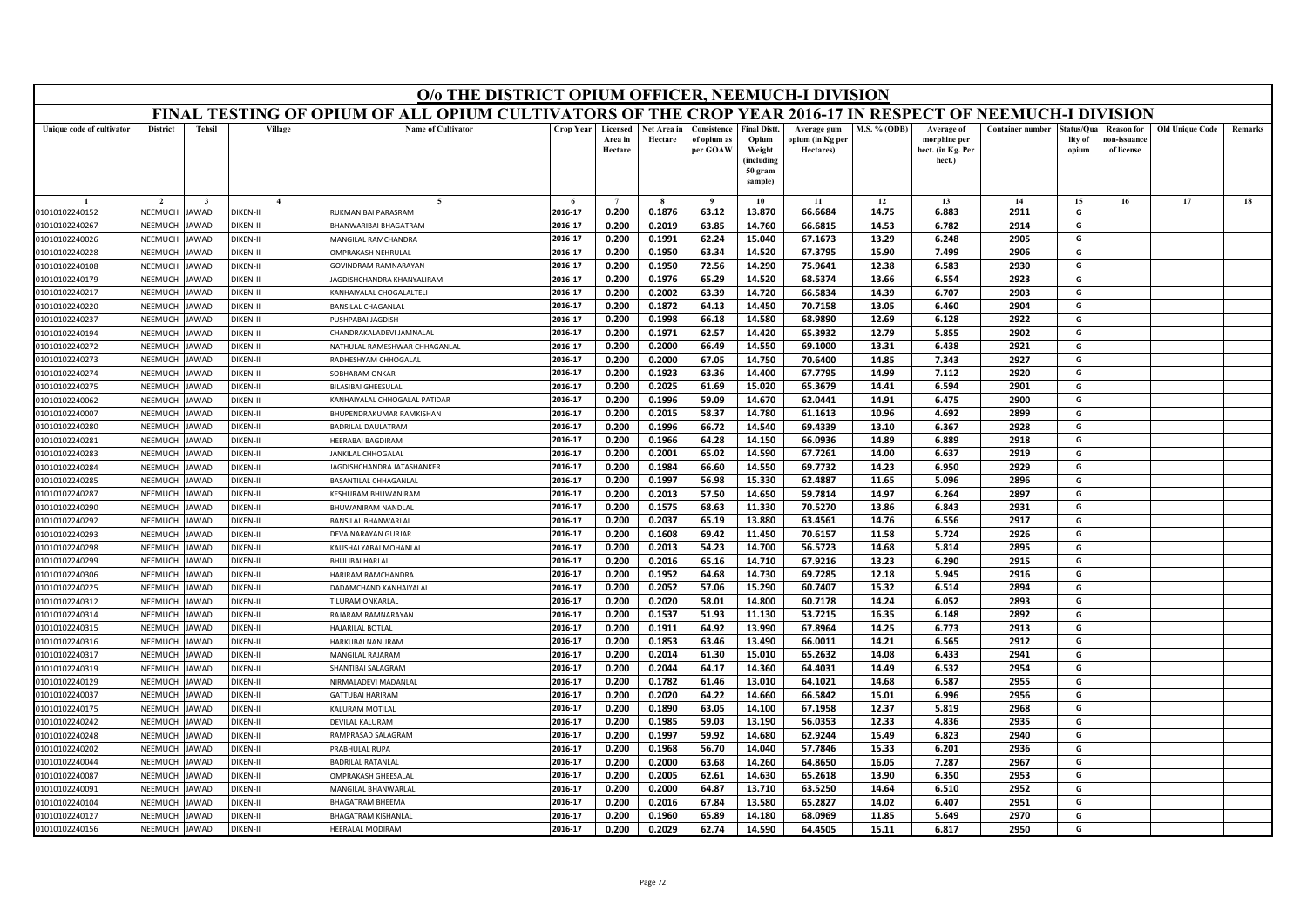|                                  |                    |                              |                      | O/o THE DISTRICT OPIUM OFFICER, NEEMUCH-I DIVISION                                                        |                    |                                |                        |                                        |                                                                            |                                              |                     |                                                           |                         |                                |                                                |                        |         |
|----------------------------------|--------------------|------------------------------|----------------------|-----------------------------------------------------------------------------------------------------------|--------------------|--------------------------------|------------------------|----------------------------------------|----------------------------------------------------------------------------|----------------------------------------------|---------------------|-----------------------------------------------------------|-------------------------|--------------------------------|------------------------------------------------|------------------------|---------|
|                                  |                    |                              |                      | FINAL TESTING OF OPIUM OF ALL OPIUM CULTIVATORS OF THE CROP YEAR 2016-17 IN RESPECT OF NEEMUCH-I DIVISION |                    |                                |                        |                                        |                                                                            |                                              |                     |                                                           |                         |                                |                                                |                        |         |
| Unique code of cultivator        | <b>District</b>    | <b>Tehsil</b>                | Village              | <b>Name of Cultivator</b>                                                                                 | <b>Crop Year</b>   | Licensed<br>Area in<br>Hectare | Net Area in<br>Hectare | Consistence<br>of opium as<br>per GOAW | <b>Final Distt.</b><br>Opium<br>Weight<br>(including<br>50 gram<br>sample) | Average gum<br>opium (in Kg per<br>Hectares) | <b>M.S. % (ODB)</b> | Average of<br>morphine per<br>hect. (in Kg. Per<br>hect.) | <b>Container number</b> | Status/Qua<br>lity of<br>opium | <b>Reason for</b><br>10n-issuanc<br>of license | <b>Old Unique Code</b> | Remarks |
|                                  |                    |                              | $\mathbf{A}$         |                                                                                                           |                    | $\overline{7}$                 |                        | $\mathbf{o}$                           | 10                                                                         | 11                                           | 12                  | 13                                                        | 14                      | 15                             | 16                                             | 17                     | 18      |
| 01010102240152                   | NEEMUCH            | JAWAD                        | DIKEN-II             | RUKMANIBAI PARASRAM                                                                                       | 2016-17            | 0.200                          | 0.1876                 | 63.12                                  | 13.870                                                                     | 66.6684                                      | 14.75               | 6.883                                                     | 2911                    | G                              |                                                |                        |         |
| 01010102240267                   | NEEMUCH            | <b>IAWAD</b>                 | DIKEN-II             | BHANWARIBAI BHAGATRAM                                                                                     | 2016-17            | 0.200                          | 0.2019                 | 63.85                                  | 14.760                                                                     | 66.6815                                      | 14.53               | 6.782                                                     | 2914                    | G                              |                                                |                        |         |
| 01010102240026                   | VEEMUCH            | <b>JAWAD</b>                 | DIKEN-II             | MANGILAL RAMCHANDRA                                                                                       | 2016-17            | 0.200                          | 0.1991                 | 62.24                                  | 15.040                                                                     | 67.1673                                      | 13.29               | 6.248                                                     | 2905                    | G                              |                                                |                        |         |
| 01010102240228                   | NEEMUCH            | <b>JAWAD</b>                 | DIKEN-II             | OMPRAKASH NEHRULAL                                                                                        | 2016-17            | 0.200                          | 0.1950                 | 63.34                                  | 14.520                                                                     | 67.3795                                      | 15.90               | 7.499                                                     | 2906                    | G                              |                                                |                        |         |
| 01010102240108                   | NEEMUCH            | <b>JAWAD</b>                 | DIKEN-II             | GOVINDRAM RAMNARAYAN                                                                                      | 2016-17            | 0.200                          | 0.1950                 | 72.56                                  | 14.290                                                                     | 75.9641                                      | 12.38               | 6.583                                                     | 2930                    | G                              |                                                |                        |         |
| 01010102240179                   | NEEMUCH            | <b>JAWAD</b>                 | DIKEN-II             | JAGDISHCHANDRA KHANYALIRAM                                                                                | 2016-17            | 0.200                          | 0.1976                 | 65.29                                  | 14.520                                                                     | 68.5374                                      | 13.66               | 6.554                                                     | 2923                    | G                              |                                                |                        |         |
| 01010102240217                   | NEEMUCI            | <b>JAWAD</b>                 | DIKEN-II             | KANHAIYALAL CHOGALALTEL                                                                                   | 2016-17            | 0.200                          | 0.2002                 | 63.39                                  | 14.720                                                                     | 66.5834                                      | 14.39               | 6.707                                                     | 2903                    | G                              |                                                |                        |         |
| 01010102240220                   | NEEMUCH            | <b>JAWAD</b>                 | <b>DIKEN-II</b>      | <b>BANSILAL CHAGANLAI</b>                                                                                 | 2016-17            | 0.200                          | 0.1872                 | 64.13                                  | 14.450                                                                     | 70.7158                                      | 13.05               | 6.460                                                     | 2904                    | G                              |                                                |                        |         |
| 01010102240237                   | NEEMUCH            | <b>JAWAD</b>                 | DIKEN-II             | PUSHPABAI JAGDISH                                                                                         | 2016-17            | 0.200                          | 0.1998                 | 66.18                                  | 14.580                                                                     | 68.9890                                      | 12.69               | 6.128                                                     | 2922                    | G                              |                                                |                        |         |
| 01010102240194                   | NEEMUCH            | <b>JAWAD</b>                 | DIKEN-II             | CHANDRAKALADEVI JAMNALAL                                                                                  | 2016-17            | 0.200                          | 0.1971                 | 62.57                                  | 14.420                                                                     | 65.3932                                      | 12.79               | 5.855                                                     | 2902                    | G                              |                                                |                        |         |
| 01010102240272                   | NEEMUCH            | <b>IAWAD</b>                 | DIKEN-II             | NATHULAL RAMESHWAR CHHAGANLAL                                                                             | 2016-17            | 0.200                          | 0.2000                 | 66.49                                  | 14.550                                                                     | 69.1000                                      | 13.31               | 6.438                                                     | 2921                    | G                              |                                                |                        |         |
| 01010102240273                   | NEEMUCH            | AWAD                         | DIKEN-II             | RADHESHYAM CHHOGALAL                                                                                      | 2016-17            | 0.200                          | 0.2000                 | 67.05                                  | 14.750                                                                     | 70.6400                                      | 14.85               | 7.343                                                     | 2927                    | G                              |                                                |                        |         |
| 01010102240274                   | NEFMUCH            | <b>JAWAD</b>                 | DIKEN-II             | SOBHARAM ONKAR                                                                                            | 2016-17            | 0.200                          | 0.1923                 | 63.36                                  | 14.400                                                                     | 67.7795                                      | 14.99               | 7.112                                                     | 2920                    | G                              |                                                |                        |         |
| 01010102240275                   | NEEMUCH<br>NEEMUCH | <b>JAWAD</b>                 | DIKEN-II<br>DIKEN-II | BILASIBAI GHEESULAL                                                                                       | 2016-17            | 0.200                          | 0.2025                 | 61.69                                  | 15.020                                                                     | 65.3679                                      | 14.41               | 6.594                                                     | 2901                    | G<br>G                         |                                                |                        |         |
| 01010102240062<br>01010102240007 | NEEMUCH            | <b>JAWAD</b><br><b>JAWAD</b> | <b>DIKEN-II</b>      | KANHAIYALAL CHHOGALAL PATIDAR<br>BHUPENDRAKUMAR RAMKISHAN                                                 | 2016-17<br>2016-17 | 0.200<br>0.200                 | 0.1996                 | 59.09<br>58.37                         | 14.670<br>14.780                                                           | 62.0441                                      | 14.91<br>10.96      | 6.475<br>4.692                                            | 2900<br>2899            | G                              |                                                |                        |         |
| 01010102240280                   | NEEMUCH            | <b>JAWAD</b>                 | <b>DIKEN-II</b>      | BADRILAL DAULATRAM                                                                                        | 2016-17            | 0.200                          | 0.2015<br>0.1996       | 66.72                                  | 14.540                                                                     | 61.1613<br>69.4339                           | 13.10               | 6.367                                                     | 2928                    | G                              |                                                |                        |         |
| 01010102240281                   | NEEMUCH            | AWAD                         | DIKEN-II             | HEERABAI BAGDIRAM                                                                                         | 2016-17            | 0.200                          | 0.1966                 | 64.28                                  | 14.150                                                                     | 66.0936                                      | 14.89               | 6.889                                                     | 2918                    | G                              |                                                |                        |         |
| 01010102240283                   | NEFMUCH            | <b>JAWAD</b>                 | DIKEN-II             | JANKILAL CHHOGALAL                                                                                        | 2016-17            | 0.200                          | 0.2001                 | 65.02                                  | 14.590                                                                     | 67.7261                                      | 14.00               | 6.637                                                     | 2919                    | G                              |                                                |                        |         |
| 01010102240284                   | NEEMUCH            | JAWAD                        | DIKEN-II             | JAGDISHCHANDRA JATASHANKER                                                                                | 2016-17            | 0.200                          | 0.1984                 | 66.60                                  | 14.550                                                                     | 69.7732                                      | 14.23               | 6.950                                                     | 2929                    | G                              |                                                |                        |         |
| 01010102240285                   | VEEMUCH            | AWAD                         | DIKEN-II             | BASANTILAL CHHAGANLAL                                                                                     | 2016-17            | 0.200                          | 0.1997                 | 56.98                                  | 15.330                                                                     | 62.4887                                      | 11.65               | 5.096                                                     | 2896                    | G                              |                                                |                        |         |
| 01010102240287                   | NEEMUCH            | <b>JAWAD</b>                 | DIKEN-II             | KESHURAM BHUWANIRAM                                                                                       | 2016-17            | 0.200                          | 0.2013                 | 57.50                                  | 14.650                                                                     | 59.7814                                      | 14.97               | 6.264                                                     | 2897                    | G                              |                                                |                        |         |
| 01010102240290                   | NEEMUCH            | <b>JAWAD</b>                 | DIKEN-II             | <b>BHUWANIRAM NANDLAL</b>                                                                                 | 2016-17            | 0.200                          | 0.1575                 | 68.63                                  | 11.330                                                                     | 70.5270                                      | 13.86               | 6.843                                                     | 2931                    | G                              |                                                |                        |         |
| 01010102240292                   | NEEMUCH            | AWAD                         | DIKEN-II             | <b>BANSILAL BHANWARLAL</b>                                                                                | 2016-17            | 0.200                          | 0.2037                 | 65.19                                  | 13.880                                                                     | 63.4561                                      | 14.76               | 6.556                                                     | 2917                    | G                              |                                                |                        |         |
| 01010102240293                   | NEEMUCH            | <b>JAWAD</b>                 | DIKEN-II             | DEVA NARAYAN GURJAR                                                                                       | 2016-17            | 0.200                          | 0.1608                 | 69.42                                  | 11.450                                                                     | 70.6157                                      | 11.58               | 5.724                                                     | 2926                    | G                              |                                                |                        |         |
| 01010102240298                   | NEEMUCH            | <b>JAWAD</b>                 | DIKFN-II             | KAUSHALYABAI MOHANLAL                                                                                     | 2016-17            | 0.200                          | 0.2013                 | 54.23                                  | 14.700                                                                     | 56.5723                                      | 14.68               | 5.814                                                     | 2895                    | G                              |                                                |                        |         |
| 01010102240299                   | NEEMUCI            | <b>JAWAD</b>                 | DIKEN-II             | <b>BHULIBAI HARLAI</b>                                                                                    | 2016-17            | 0.200                          | 0.2016                 | 65.16                                  | 14.710                                                                     | 67.9216                                      | 13.23               | 6.290                                                     | 2915                    | G                              |                                                |                        |         |
| 01010102240306                   | NEEMUCH            | AWAD                         | DIKEN-II             | HARIRAM RAMCHANDRA                                                                                        | 2016-17            | 0.200                          | 0.1952                 | 64.68                                  | 14.730                                                                     | 69.7285                                      | 12.18               | 5.945                                                     | 2916                    | G                              |                                                |                        |         |
| 01010102240225                   | NEEMUCH            | <b>JAWAD</b>                 | <b>DIKEN-II</b>      | DADAMCHAND KANHAIYALAL                                                                                    | 2016-17            | 0.200                          | 0.2052                 | 57.06                                  | 15.290                                                                     | 60.7407                                      | 15.32               | 6.514                                                     | 2894                    | G                              |                                                |                        |         |
| 01010102240312                   | NEEMUCH            | <b>JAWAD</b>                 | DIKEN-II             | TILURAM ONKARLAI                                                                                          | 2016-17            | 0.200                          | 0.2020                 | 58.01                                  | 14.800                                                                     | 60.7178                                      | 14.24               | 6.052                                                     | 2893                    | G                              |                                                |                        |         |
| 01010102240314                   | NEEMUCH            | AWAD                         | DIKEN-II             | RAJARAM RAMNARAYAN                                                                                        | 2016-17            | 0.200                          | 0.1537                 | 51.93                                  | 11.130                                                                     | 53.7215                                      | 16.35               | 6.148                                                     | 2892                    | G                              |                                                |                        |         |
| 01010102240315                   | NEEMUCH            | <b>JAWAD</b>                 | <b>DIKEN-II</b>      | HAJARILAL BOTLAL                                                                                          | 2016-17            | 0.200                          | 0.1911                 | 64.92                                  | 13.990                                                                     | 67.8964                                      | 14.25               | 6.773                                                     | 2913                    | G                              |                                                |                        |         |
| 01010102240316                   | NEEMUCI            | <b>JAWAD</b>                 | <b>DIKEN-II</b>      | HARKUBAI NANURAM                                                                                          | 2016-17            | 0.200                          | 0.1853                 | 63.46                                  | 13.490                                                                     | 66.0011                                      | 14.21               | 6.565                                                     | 2912                    | G                              |                                                |                        |         |
| 01010102240317                   | NEEMUCH            | <b>IAWAD</b>                 | DIKEN-II             | MANGILAL RAJARAM                                                                                          | 2016-17            | 0.200                          | 0.2014                 | 61.30                                  | 15.010                                                                     | 65.2632                                      | 14.08               | 6.433                                                     | 2941                    | G                              |                                                |                        |         |
| 01010102240319                   | VEEMUCI            | AWAD                         | DIKEN-II             | <b>SHANTIBAI SALAGRAM</b>                                                                                 | 2016-17            | 0.200                          | 0.2044                 | 64.17                                  | 14.360                                                                     | 64.4031                                      | 14.49               | 6.532                                                     | 2954                    | G                              |                                                |                        |         |
| 01010102240129                   | <b>NFFMUCH</b>     | <b>JAWAD</b>                 | DIKEN-II             | NIRMALADEVI MADANLAL                                                                                      | 2016-17            | 0.200                          | 0.1782                 | 61.46                                  | 13.010                                                                     | 64.1021                                      | 14.68               | 6.587                                                     | 2955                    | G                              |                                                |                        |         |
| 01010102240037                   | NEEMUCH            | AWAD                         | DIKEN-II             | GATTUBAI HARIRAM                                                                                          | 2016-17            | 0.200                          | 0.2020                 | 64.22                                  | 14.660                                                                     | 66.5842                                      | 15.01               | 6.996                                                     | 2956                    | G                              |                                                |                        |         |
| 01010102240175                   | VEEMUCH            | AWAD                         | DIKEN-II             | <b>KALURAM MOTILAL</b>                                                                                    | 2016-17            | 0.200                          | 0.1890                 | 63.05                                  | 14.100                                                                     | 67.1958                                      | 12.37               | 5.819                                                     | 2968                    | G                              |                                                |                        |         |
| 01010102240242                   | NEEMUCH            | <b>JAWAD</b>                 | DIKEN-II             | DEVILAL KALURAM                                                                                           | 2016-17            | 0.200                          | 0.1985                 | 59.03                                  | 13.190                                                                     | 56.0353                                      | 12.33               | 4.836                                                     | 2935                    | G                              |                                                |                        |         |
| 01010102240248                   | NEEMUCH            | AWAD                         | DIKEN-II             | RAMPRASAD SALAGRAM                                                                                        | 2016-17            | 0.200                          | 0.1997                 | 59.92                                  | 14.680                                                                     | 62.9244                                      | 15.49               | 6.823                                                     | 2940                    | G                              |                                                |                        |         |
| 01010102240202                   | VEEMUCI            | AWAD                         | <b>DIKEN-II</b>      | PRABHULAL RUPA                                                                                            | 2016-17            | 0.200                          | 0.1968                 | 56.70                                  | 14.040                                                                     | 57.7846                                      | 15.33               | 6.201                                                     | 2936                    | G                              |                                                |                        |         |
| 01010102240044                   | <b>NFFMUCH</b>     | <b>JAWAD</b>                 | DIKEN-II             | <b>BADRILAL RATANLAL</b>                                                                                  | 2016-17            | 0.200                          | 0.2000                 | 63.68                                  | 14.260                                                                     | 64.8650                                      | 16.05               | 7.287                                                     | 2967                    | G                              |                                                |                        |         |
| 01010102240087                   | NEEMUCH            | <b>IAWAD</b>                 | DIKEN-II             | <b>OMPRAKASH GHEESALAL</b>                                                                                | 2016-17            | 0.200                          | 0.2005                 | 62.61                                  | 14.630                                                                     | 65.2618                                      | 13.90               | 6.350                                                     | 2953                    | G                              |                                                |                        |         |
| 01010102240091                   | VEEMUCI            | AWAD                         | DIKEN-II             | MANGILAL BHANWARLAL                                                                                       | 2016-17            | 0.200                          | 0.2000                 | 64.87                                  | 13.710                                                                     | 63.5250                                      | 14.64               | 6.510                                                     | 2952                    | G                              |                                                |                        |         |
| 01010102240104                   | NEEMUCH            | <b>JAWAD</b>                 | DIKEN-II             | <b>BHAGATRAM BHFFMA</b>                                                                                   | 2016-17            | 0.200                          | 0.2016                 | 67.84                                  | 13.580                                                                     | 65.2827                                      | 14.02               | 6.407                                                     | 2951                    | G                              |                                                |                        |         |
| 01010102240127                   | NEEMUCH            | JAWAD                        | DIKEN-II             | BHAGATRAM KISHANLAI                                                                                       | 2016-17            | 0.200                          | 0.1960                 | 65.89                                  | 14.180                                                                     | 68.0969                                      | 11.85               | 5.649                                                     | 2970                    | G                              |                                                |                        |         |
| 01010102240156                   | NEEMUCH            | <b>JAWAD</b>                 | DIKEN-II             | HEERALAL MODIRAM                                                                                          | 2016-17            | 0.200                          | 0.2029                 | 62.74                                  | 14.590                                                                     | 64.4505                                      | 15.11               | 6.817                                                     | 2950                    | G                              |                                                |                        |         |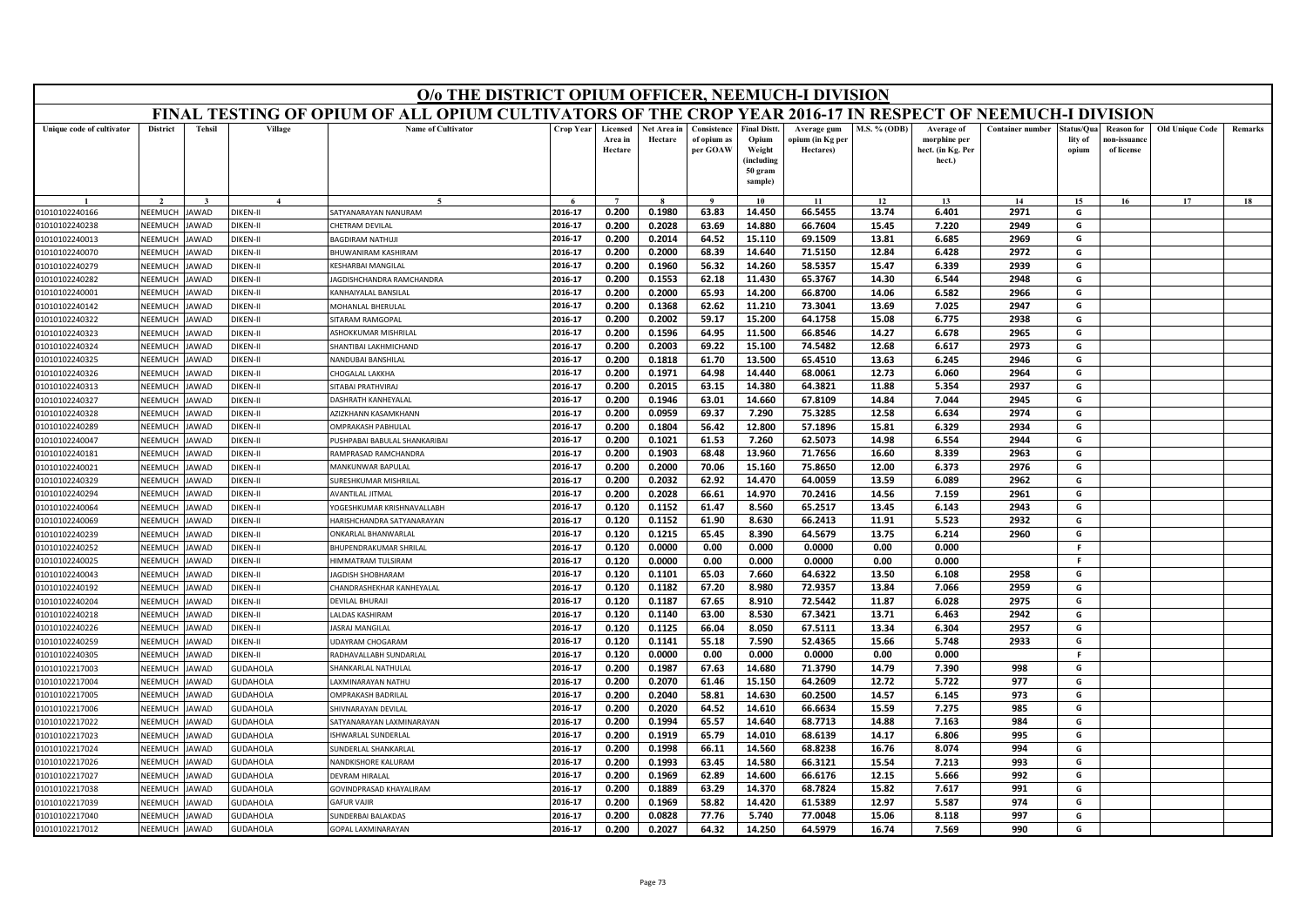|                           | O/o THE DISTRICT OPIUM OFFICER, NEEMUCH-I DIVISION<br>FINAL TESTING OF OPIUM OF ALL OPIUM CULTIVATORS OF THE CROP YEAR 2016-17 IN RESPECT OF NEEMUCH-I DIVISION |               |                 |                                |                  |                                |                        |                                        |                                                                            |                                              |                     |                                                           |                         |                                |                                                |                        |         |
|---------------------------|-----------------------------------------------------------------------------------------------------------------------------------------------------------------|---------------|-----------------|--------------------------------|------------------|--------------------------------|------------------------|----------------------------------------|----------------------------------------------------------------------------|----------------------------------------------|---------------------|-----------------------------------------------------------|-------------------------|--------------------------------|------------------------------------------------|------------------------|---------|
|                           |                                                                                                                                                                 |               |                 |                                |                  |                                |                        |                                        |                                                                            |                                              |                     |                                                           |                         |                                |                                                |                        |         |
| Unique code of cultivator | <b>District</b>                                                                                                                                                 | <b>Tehsil</b> | Village         | <b>Name of Cultivator</b>      | <b>Crop Year</b> | Licensed<br>Area in<br>Hectare | Net Area in<br>Hectare | Consistence<br>of opium as<br>per GOAW | <b>Final Distt.</b><br>Opium<br>Weight<br>(including<br>50 gram<br>sample) | Average gum<br>opium (in Kg per<br>Hectares) | <b>M.S. % (ODB)</b> | Average of<br>morphine per<br>hect. (in Kg. Per<br>hect.) | <b>Container number</b> | Status/Qua<br>lity of<br>opium | <b>Reason for</b><br>10n-issuanc<br>of license | <b>Old Unique Code</b> | Remarks |
|                           |                                                                                                                                                                 |               | $\mathbf{A}$    |                                |                  | $\overline{7}$                 |                        | $\alpha$                               | 10                                                                         | 11                                           | 12                  | 13                                                        | 14                      | 15                             | 16                                             | 17                     | 18      |
| 01010102240166            | NEEMUCH                                                                                                                                                         | JAWAD         | DIKEN-II        | SATYANARAYAN NANURAM           | 2016-17          | 0.200                          | 0.1980                 | 63.83                                  | 14.450                                                                     | 66.5455                                      | 13.74               | 6.401                                                     | 2971                    | G                              |                                                |                        |         |
| 01010102240238            | NEEMUCH                                                                                                                                                         | JAWAD         | DIKEN-II        | CHETRAM DEVILAI                | 2016-17          | 0.200                          | 0.2028                 | 63.69                                  | 14.880                                                                     | 66.7604                                      | 15.45               | 7.220                                                     | 2949                    | G                              |                                                |                        |         |
| 01010102240013            | VEEMUCH                                                                                                                                                         | <b>JAWAD</b>  | DIKEN-II        | <b>BAGDIRAM NATHUJI</b>        | 2016-17          | 0.200                          | 0.2014                 | 64.52                                  | 15.110                                                                     | 69.1509                                      | 13.81               | 6.685                                                     | 2969                    | G                              |                                                |                        |         |
| 01010102240070            | NEEMUCH                                                                                                                                                         | <b>JAWAD</b>  | DIKEN-II        | BHUWANIRAM KASHIRAM            | 2016-17          | 0.200                          | 0.2000                 | 68.39                                  | 14.640                                                                     | 71.5150                                      | 12.84               | 6.428                                                     | 2972                    | G                              |                                                |                        |         |
| 01010102240279            | NEEMUCH                                                                                                                                                         | <b>JAWAD</b>  | DIKEN-II        | <b>KESHARBAI MANGILAL</b>      | 2016-17          | 0.200                          | 0.1960                 | 56.32                                  | 14.260                                                                     | 58.5357                                      | 15.47               | 6.339                                                     | 2939                    | G                              |                                                |                        |         |
| 01010102240282            | NEEMUCH                                                                                                                                                         | <b>JAWAD</b>  | <b>DIKEN-II</b> | JAGDISHCHANDRA RAMCHANDRA      | 2016-17          | 0.200                          | 0.1553                 | 62.18                                  | 11.430                                                                     | 65.3767                                      | 14.30               | 6.544                                                     | 2948                    | G                              |                                                |                        |         |
| 01010102240001            | NEEMUCI                                                                                                                                                         | <b>JAWAD</b>  | DIKEN-II        | KANHAIYALAL BANSILAL           | 2016-17          | 0.200                          | 0.2000                 | 65.93                                  | 14.200                                                                     | 66.8700                                      | 14.06               | 6.582                                                     | 2966                    | G                              |                                                |                        |         |
| 01010102240142            | NEEMUCH                                                                                                                                                         | <b>JAWAD</b>  | <b>DIKEN-II</b> | MOHANLAL BHERULAL              | 2016-17          | 0.200                          | 0.1368                 | 62.62                                  | 11.210                                                                     | 73.3041                                      | 13.69               | 7.025                                                     | 2947                    | G                              |                                                |                        |         |
| 01010102240322            | NEEMUCH                                                                                                                                                         | <b>JAWAD</b>  | <b>DIKEN-II</b> | SITARAM RAMGOPAL               | 2016-17          | 0.200                          | 0.2002                 | 59.17                                  | 15.200                                                                     | 64.1758                                      | 15.08               | 6.775                                                     | 2938                    | G                              |                                                |                        |         |
| 01010102240323            | NEEMUCH                                                                                                                                                         | <b>JAWAD</b>  | DIKEN-II        | ASHOKKUMAR MISHRILAL           | 2016-17          | 0.200                          | 0.1596                 | 64.95                                  | 11.500                                                                     | 66.8546                                      | 14.27               | 6.678                                                     | 2965                    | G                              |                                                |                        |         |
| 01010102240324            | NEEMUCH                                                                                                                                                         | <b>IAWAD</b>  | DIKEN-II        | SHANTIBAI LAKHMICHAND          | 2016-17          | 0.200                          | 0.2003                 | 69.22                                  | 15.100                                                                     | 74.5482                                      | 12.68               | 6.617                                                     | 2973                    | G                              |                                                |                        |         |
| 01010102240325            | NEEMUCH                                                                                                                                                         | <b>JAWAD</b>  | DIKEN-II        | <b>NANDUBAI BANSHILAL</b>      | 2016-17          | 0.200                          | 0.1818                 | 61.70                                  | 13.500                                                                     | 65.4510                                      | 13.63               | 6.245                                                     | 2946                    | G                              |                                                |                        |         |
| 01010102240326            | NEFMUCH                                                                                                                                                         | <b>JAWAD</b>  | DIKEN-II        | CHOGALAL LAKKHA                | 2016-17          | 0.200                          | 0.1971                 | 64.98                                  | 14.440                                                                     | 68.0061                                      | 12.73               | 6.060                                                     | 2964                    | G                              |                                                |                        |         |
| 01010102240313            | NEEMUCH                                                                                                                                                         | <b>JAWAD</b>  | DIKEN-II        | <b>SITABAI PRATHVIRAI</b>      | 2016-17          | 0.200                          | 0.2015                 | 63.15                                  | 14.380                                                                     | 64.3821                                      | 11.88               | 5.354                                                     | 2937                    | G                              |                                                |                        |         |
| 01010102240327            | NEEMUCH                                                                                                                                                         | <b>JAWAD</b>  | <b>DIKEN-II</b> | DASHRATH KANHEYALAL            | 2016-17          | 0.200                          | 0.1946                 | 63.01                                  | 14.660                                                                     | 67.8109                                      | 14.84               | 7.044                                                     | 2945                    | G                              |                                                |                        |         |
| 01010102240328            | NEEMUCH                                                                                                                                                         | <b>JAWAD</b>  | <b>DIKEN-II</b> | AZIZKHANN KASAMKHANN           | 2016-17          | 0.200                          | 0.0959                 | 69.37                                  | 7.290                                                                      | 75.3285                                      | 12.58               | 6.634                                                     | 2974                    | G                              |                                                |                        |         |
| 01010102240289            | NEEMUCH                                                                                                                                                         | <b>JAWAD</b>  | <b>DIKEN-II</b> | OMPRAKASH PABHULAL             | 2016-17          | 0.200                          | 0.1804                 | 56.42                                  | 12.800                                                                     | 57.1896                                      | 15.81               | 6.329                                                     | 2934                    | G                              |                                                |                        |         |
| 01010102240047            | NEEMUCH                                                                                                                                                         | AWAD          | DIKEN-II        | PUSHPABAI BABULAL SHANKARIBAI  | 2016-17          | 0.200                          | 0.1021                 | 61.53                                  | 7.260                                                                      | 62.5073                                      | 14.98               | 6.554                                                     | 2944                    | G                              |                                                |                        |         |
| 01010102240181            | NEFMUCH                                                                                                                                                         | <b>JAWAD</b>  | DIKEN-II        | RAMPRASAD RAMCHANDRA           | 2016-17          | 0.200                          | 0.1903                 | 68.48                                  | 13.960                                                                     | 71.7656                                      | 16.60               | 8.339                                                     | 2963                    | G                              |                                                |                        |         |
| 01010102240021            | NEEMUCH                                                                                                                                                         | JAWAD         | <b>DIKEN-II</b> | MANKUNWAR BAPULAL              | 2016-17          | 0.200                          | 0.2000                 | 70.06                                  | 15.160                                                                     | 75.8650                                      | 12.00               | 6.373                                                     | 2976                    | G                              |                                                |                        |         |
| 01010102240329            | VEEMUCH                                                                                                                                                         | AWAD          | <b>DIKEN-II</b> | SURESHKUMAR MISHRILAL          | 2016-17          | 0.200                          | 0.2032                 | 62.92                                  | 14.470                                                                     | 64.0059                                      | 13.59               | 6.089                                                     | 2962                    | G                              |                                                |                        |         |
| 01010102240294            | NEEMUCH                                                                                                                                                         | <b>JAWAD</b>  | <b>DIKEN-II</b> | <b>AVANTILAL JITMAL</b>        | 2016-17          | 0.200                          | 0.2028                 | 66.61                                  | 14.970                                                                     | 70.2416                                      | 14.56               | 7.159                                                     | 2961                    | G                              |                                                |                        |         |
| 01010102240064            | NEEMUCH                                                                                                                                                         | <b>JAWAD</b>  | <b>DIKEN-II</b> | YOGESHKUMAR KRISHNAVALLABH     | 2016-17          | 0.120                          | 0.1152                 | 61.47                                  | 8.560                                                                      | 65.2517                                      | 13.45               | 6.143                                                     | 2943                    | G                              |                                                |                        |         |
| 01010102240069            | NEEMUCH                                                                                                                                                         | AWAD          | DIKEN-II        | HARISHCHANDRA SATYANARAYAN     | 2016-17          | 0.120                          | 0.1152                 | 61.90                                  | 8.630                                                                      | 66.2413                                      | 11.91               | 5.523                                                     | 2932                    | G                              |                                                |                        |         |
| 01010102240239            | NEEMUCH                                                                                                                                                         | <b>JAWAD</b>  | DIKEN-II        | ONKARLAL BHANWARLAL            | 2016-17          | 0.120                          | 0.1215                 | 65.45                                  | 8.390                                                                      | 64.5679                                      | 13.75               | 6.214                                                     | 2960                    | G                              |                                                |                        |         |
| 01010102240252            | NEEMUCH                                                                                                                                                         | <b>JAWAD</b>  | DIKFN-II        | <b>BHUPENDRAKUMAR SHRILAL</b>  | 2016-17          | 0.120                          | 0.0000                 | 0.00                                   | 0.000                                                                      | 0.0000                                       | 0.00                | 0.000                                                     |                         | -F                             |                                                |                        |         |
| 01010102240025            | NEEMUCI                                                                                                                                                         | <b>JAWAD</b>  | DIKEN-II        | HIMMATRAM TULSIRAM             | 2016-17          | 0.120                          | 0.0000                 | 0.00                                   | 0.000                                                                      | 0.0000                                       | 0.00                | 0.000                                                     |                         | F.                             |                                                |                        |         |
| 01010102240043            | NEEMUCH                                                                                                                                                         | AWAD          | DIKEN-II        | <b>AGDISH SHOBHARAM</b>        | 2016-17          | 0.120                          | 0.1101                 | 65.03                                  | 7.660                                                                      | 64.6322                                      | 13.50               | 6.108                                                     | 2958                    | G                              |                                                |                        |         |
| 01010102240192            | NEEMUCH                                                                                                                                                         | <b>JAWAD</b>  | <b>DIKEN-II</b> | CHANDRASHEKHAR KANHEYALAL      | 2016-17          | 0.120                          | 0.1182                 | 67.20                                  | 8.980                                                                      | 72.9357                                      | 13.84               | 7.066                                                     | 2959                    | G                              |                                                |                        |         |
| 01010102240204            | NEEMUCH                                                                                                                                                         | <b>JAWAD</b>  | DIKEN-II        | <b>DEVILAL BHURAJ</b>          | 2016-17          | 0.120                          | 0.1187                 | 67.65                                  | 8.910                                                                      | 72.5442                                      | 11.87               | 6.028                                                     | 2975                    | G                              |                                                |                        |         |
| 01010102240218            | NEEMUCH                                                                                                                                                         | AWAD          | DIKEN-II        | <b>ALDAS KASHIRAM</b>          | 2016-17          | 0.120                          | 0.1140                 | 63.00                                  | 8.530                                                                      | 67.3421                                      | 13.71               | 6.463                                                     | 2942                    | G                              |                                                |                        |         |
| 01010102240226            | NEEMUCH                                                                                                                                                         | <b>JAWAD</b>  | <b>DIKEN-II</b> | ASRAJ MANGILAL                 | 2016-17          | 0.120                          | 0.1125                 | 66.04                                  | 8.050                                                                      | 67.5111                                      | 13.34               | 6.304                                                     | 2957                    | G                              |                                                |                        |         |
| 01010102240259            | NEEMUCI                                                                                                                                                         | <b>JAWAD</b>  | DIKEN-II        | <b>UDAYRAM CHOGARAM</b>        | 2016-17          | 0.120                          | 0.1141                 | 55.18                                  | 7.590                                                                      | 52.4365                                      | 15.66               | 5.748                                                     | 2933                    | G                              |                                                |                        |         |
| 01010102240305            | NEEMUCH                                                                                                                                                         | <b>IAWAD</b>  | DIKEN-II        | RADHAVALLABH SUNDARLAL         | 2016-17          | 0.120                          | 0.0000                 | 0.00                                   | 0.000                                                                      | 0.0000                                       | 0.00                | 0.000                                                     |                         | F.                             |                                                |                        |         |
| 01010102217003            | VEEMUCI                                                                                                                                                         | AWAD          | GUDAHOLA        | HANKARLAL NATHULAL             | 2016-17          | 0.200                          | 0.1987                 | 67.63                                  | 14.680                                                                     | 71.3790                                      | 14.79               | 7.390                                                     | 998                     | G                              |                                                |                        |         |
| 01010102217004            | <b>NFFMUCH</b>                                                                                                                                                  | <b>JAWAD</b>  | <b>GUDAHOLA</b> | AXMINARAYAN NATHU              | 2016-17          | 0.200                          | 0.2070                 | 61.46                                  | 15.150                                                                     | 64.2609                                      | 12.72               | 5.722                                                     | 977                     | G                              |                                                |                        |         |
| 01010102217005            | NEEMUCH                                                                                                                                                         | AWAD          | GUDAHOLA        | <b>DMPRAKASH BADRILAL</b>      | 2016-17          | 0.200                          | 0.2040                 | 58.81                                  | 14.630                                                                     | 60.2500                                      | 14.57               | 6.145                                                     | 973                     | G                              |                                                |                        |         |
| 01010102217006            | VEEMUCH                                                                                                                                                         | AWAD          | GUDAHOLA        | HIVNARAYAN DEVILAL             | 2016-17          | 0.200                          | 0.2020                 | 64.52                                  | 14.610                                                                     | 66.6634                                      | 15.59               | 7.275                                                     | 985                     | G                              |                                                |                        |         |
| 01010102217022            | NEEMUCH                                                                                                                                                         | <b>JAWAD</b>  | GUDAHOLA        | SATYANARAYAN LAXMINARAYAN      | 2016-17          | 0.200                          | 0.1994                 | 65.57                                  | 14.640                                                                     | 68.7713                                      | 14.88               | 7.163                                                     | 984                     | G                              |                                                |                        |         |
| 01010102217023            | NEEMUCH                                                                                                                                                         | <b>IAWAD</b>  | GUDAHOLA        | SHWARLAL SUNDERLAL             | 2016-17          | 0.200                          | 0.1919                 | 65.79                                  | 14.010                                                                     | 68.6139                                      | 14.17               | 6.806                                                     | 995                     | G                              |                                                |                        |         |
| 01010102217024            | VEEMUCI                                                                                                                                                         | AWAD          | GUDAHOLA        | SUNDERLAL SHANKARLAI           | 2016-17          | 0.200                          | 0.1998                 | 66.11                                  | 14.560                                                                     | 68.8238                                      | 16.76               | 8.074                                                     | 994                     | G                              |                                                |                        |         |
| 01010102217026            | <b>NFFMUCH</b>                                                                                                                                                  | <b>JAWAD</b>  | <b>GUDAHOLA</b> | NANDKISHORF KALURAM            | 2016-17          | 0.200                          | 0.1993                 | 63.45                                  | 14.580                                                                     | 66.3121                                      | 15.54               | 7.213                                                     | 993                     | G                              |                                                |                        |         |
| 01010102217027            | NEEMUCH                                                                                                                                                         | <b>IAWAD</b>  | GUDAHOLA        | DEVRAM HIRALAL                 | 2016-17          | 0.200                          | 0.1969                 | 62.89                                  | 14.600                                                                     | 66.6176                                      | 12.15               | 5.666                                                     | 992                     | G                              |                                                |                        |         |
| 01010102217038            | VEEMUCI                                                                                                                                                         | AWAD          | GUDAHOLA        | <b>GOVINDPRASAD KHAYALIRAM</b> | 2016-17          | 0.200                          | 0.1889                 | 63.29                                  | 14.370                                                                     | 68.7824                                      | 15.82               | 7.617                                                     | 991                     | G                              |                                                |                        |         |
| 01010102217039            | NEEMUCH                                                                                                                                                         | <b>JAWAD</b>  | GUDAHOLA        | GAFUR VAIIF                    | 2016-17          | 0.200                          | 0.1969                 | 58.82                                  | 14.420                                                                     | 61.5389                                      | 12.97               | 5.587                                                     | 974                     | G                              |                                                |                        |         |
| 01010102217040            | NEEMUCH                                                                                                                                                         | <b>JAWAD</b>  | GUDAHOLA        | SUNDERBAI BALAKDAS             | 2016-17          | 0.200                          | 0.0828                 | 77.76                                  | 5.740                                                                      | 77.0048                                      | 15.06               | 8.118                                                     | 997                     | G                              |                                                |                        |         |
| 01010102217012            | NEEMUCH                                                                                                                                                         | JAWAD         | <b>GUDAHOLA</b> | GOPAL LAXMINARAYAN             | 2016-17          | 0.200                          | 0.2027                 | 64.32                                  | 14.250                                                                     | 64.5979                                      | 16.74               | 7.569                                                     | 990                     | G                              |                                                |                        |         |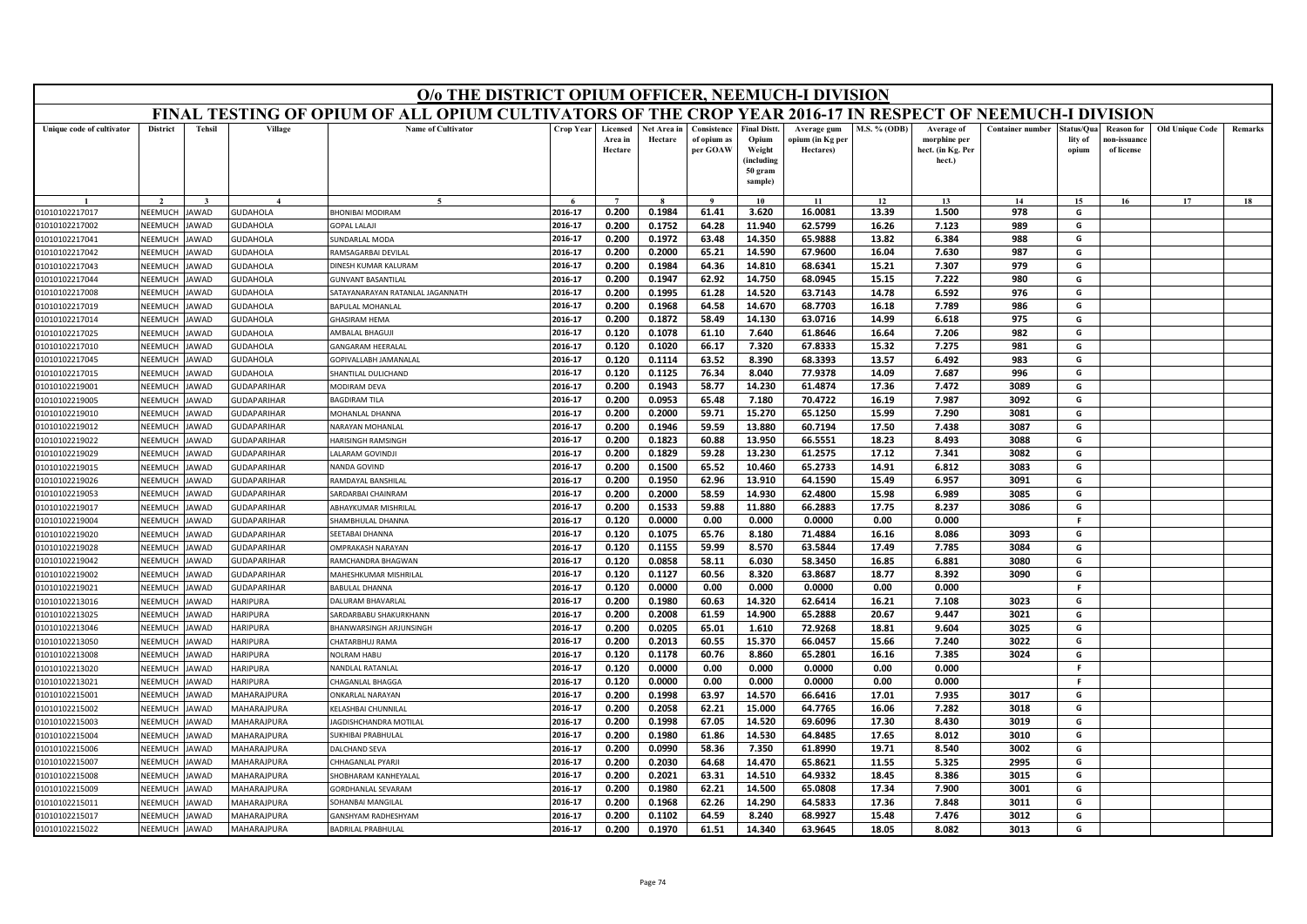|                           | O/o THE DISTRICT OPIUM OFFICER, NEEMUCH-I DIVISION<br>FINAL TESTING OF OPIUM OF ALL OPIUM CULTIVATORS OF THE CROP YEAR 2016-17 IN RESPECT OF NEEMUCH-I DIVISION |               |                    |                                        |           |                                |                        |                                        |                                                                            |                                              |                     |                                                           |                         |                                |                                                |                        |         |
|---------------------------|-----------------------------------------------------------------------------------------------------------------------------------------------------------------|---------------|--------------------|----------------------------------------|-----------|--------------------------------|------------------------|----------------------------------------|----------------------------------------------------------------------------|----------------------------------------------|---------------------|-----------------------------------------------------------|-------------------------|--------------------------------|------------------------------------------------|------------------------|---------|
|                           |                                                                                                                                                                 |               |                    |                                        |           |                                |                        |                                        |                                                                            |                                              |                     |                                                           |                         |                                |                                                |                        |         |
| Unique code of cultivator | <b>District</b>                                                                                                                                                 | <b>Tehsil</b> | Village            | <b>Name of Cultivator</b>              | Crop Year | Licensed<br>Area in<br>Hectare | Net Area in<br>Hectare | Consistence<br>of opium as<br>per GOAW | <b>Final Distt.</b><br>Opium<br>Weight<br>(including<br>50 gram<br>sample) | Average gum<br>opium (in Kg per<br>Hectares) | <b>M.S. % (ODB)</b> | Average of<br>morphine per<br>hect. (in Kg. Per<br>hect.) | <b>Container number</b> | itatus/Qua<br>lity of<br>opium | <b>Reason for</b><br>10n-issuanc<br>of license | <b>Old Unique Code</b> | Remarks |
|                           |                                                                                                                                                                 |               |                    | $\tilde{\phantom{a}}$                  |           | $\overline{ }$                 |                        | $\alpha$                               | 10                                                                         | 11                                           | 12                  | 13                                                        | 14                      | 15                             | 16                                             | 17                     | 18      |
| 01010102217017            | NEEMUCH                                                                                                                                                         | AWAD          | <b>SUDAHOLA</b>    | HONIBAI MODIRAM                        | 2016-17   | 0.200                          | 0.1984                 | 61.41                                  | 3.620                                                                      | 16.0081                                      | 13.39               | 1.500                                                     | 978                     | G                              |                                                |                        |         |
| 01010102217002            | NEEMUCH                                                                                                                                                         | <b>AWAD</b>   | <b>SUDAHOLA</b>    | OPAL LALAI                             | 2016-17   | 0.200                          | 0.1752                 | 64.28                                  | 11.940                                                                     | 62.5799                                      | 16.26               | 7.123                                                     | 989                     | G                              |                                                |                        |         |
| 01010102217041            | NEEMUCH                                                                                                                                                         | AWAD          | <b>SUDAHOLA</b>    | UNDARLAL MODA                          | 2016-17   | 0.200                          | 0.1972                 | 63.48                                  | 14.350                                                                     | 65.9888                                      | 13.82               | 6.384                                                     | 988                     | G                              |                                                |                        |         |
| 01010102217042            | NEEMUCH                                                                                                                                                         | <b>AWAD</b>   | <b>SUDAHOLA</b>    | RAMSAGARBAI DEVILAL                    | 2016-17   | 0.200                          | 0.2000                 | 65.21                                  | 14.590                                                                     | 67.9600                                      | 16.04               | 7.630                                                     | 987                     | G                              |                                                |                        |         |
| 01010102217043            | NEEMUCH                                                                                                                                                         | <b>AWAD</b>   | <b>SUDAHOLA</b>    | <b>INESH KUMAR KALURAM</b>             | 2016-17   | 0.200                          | 0.1984                 | 64.36                                  | 14.810                                                                     | 68.6341                                      | 15.21               | 7.307                                                     | 979                     | G                              |                                                |                        |         |
| 01010102217044            | NEEMUCH                                                                                                                                                         | <b>AWAD</b>   | <b>GUDAHOLA</b>    | <b>JUNVANT BASANTILAL</b>              | 2016-17   | 0.200                          | 0.1947                 | 62.92                                  | 14.750                                                                     | 68.0945                                      | 15.15               | 7.222                                                     | 980                     | G                              |                                                |                        |         |
| 01010102217008            | NEEMUCH                                                                                                                                                         | <b>AWAD</b>   | <b>SUDAHOLA</b>    | <b>ATAYANARAYAN RATANLAL JAGANNATH</b> | 2016-17   | 0.200                          | 0.1995                 | 61.28                                  | 14.520                                                                     | 63.7143                                      | 14.78               | 6.592                                                     | 976                     | G                              |                                                |                        |         |
| 01010102217019            | NEEMUCH                                                                                                                                                         | <b>AWAD</b>   | <b>SUDAHOLA</b>    | APULAL MOHANLAI                        | 2016-17   | 0.200                          | 0.1968                 | 64.58                                  | 14.670                                                                     | 68.7703                                      | 16.18               | 7.789                                                     | 986                     | G                              |                                                |                        |         |
| 01010102217014            | NEEMUCH                                                                                                                                                         | <b>AWAD</b>   | <b>SUDAHOLA</b>    | <b>HASIRAM HEMA</b>                    | 2016-17   | 0.200                          | 0.1872                 | 58.49                                  | 14.130                                                                     | 63.0716                                      | 14.99               | 6.618                                                     | 975                     | G                              |                                                |                        |         |
| 01010102217025            | NEEMUCH                                                                                                                                                         | <b>AWAD</b>   | <b>GUDAHOLA</b>    | AMBALAL BHAGUJI                        | 2016-17   | 0.120                          | 0.1078                 | 61.10                                  | 7.640                                                                      | 61.8646                                      | 16.64               | 7.206                                                     | 982                     | G                              |                                                |                        |         |
| 01010102217010            | NEEMUCH                                                                                                                                                         | AWAD          | <b>SUDAHOLA</b>    | <b>ANGARAM HEERALAI</b>                | 2016-17   | 0.120                          | 0.1020                 | 66.17                                  | 7.320                                                                      | 67.8333                                      | 15.32               | 7.275                                                     | 981                     | G                              |                                                |                        |         |
| 01010102217045            | NEEMUCH                                                                                                                                                         | AWAD          | <b>SUDAHOLA</b>    | <b>GOPIVALLABH JAMANALAL</b>           | 2016-17   | 0.120                          | 0.1114                 | 63.52                                  | 8.390                                                                      | 68.3393                                      | 13.57               | 6.492                                                     | 983                     | G                              |                                                |                        |         |
| 01010102217015            | NEEMUCH                                                                                                                                                         | <b>AWAD</b>   | <b>GUDAHOLA</b>    | HANTILAL DULICHAND                     | 2016-17   | 0.120                          | 0.1125                 | 76.34                                  | 8.040                                                                      | 77.9378                                      | 14.09               | 7.687                                                     | 996                     | G                              |                                                |                        |         |
| 01010102219001            | <b>NEEMUCH</b>                                                                                                                                                  | AWAD          | <b>SUDAPARIHAR</b> | <b>MODIRAM DEVA</b>                    | 2016-17   | 0.200                          | 0.1943                 | 58.77                                  | 14.230                                                                     | 61.4874                                      | 17.36               | 7.472                                                     | 3089                    | G                              |                                                |                        |         |
| 01010102219005            | NEEMUCH                                                                                                                                                         | AWAD          | <b>GUDAPARIHAR</b> | <b>AGDIRAM TILA</b>                    | 2016-17   | 0.200                          | 0.0953                 | 65.48                                  | 7.180                                                                      | 70.4722                                      | 16.19               | 7.987                                                     | 3092                    | G                              |                                                |                        |         |
| 01010102219010            | NEEMUCH                                                                                                                                                         | <b>AWAD</b>   | <b>GUDAPARIHAR</b> | MOHANLAL DHANNA                        | 2016-17   | 0.200                          | 0.2000                 | 59.71                                  | 15.270                                                                     | 65.1250                                      | 15.99               | 7.290                                                     | 3081                    | G                              |                                                |                        |         |
| 01010102219012            | NEEMUCH                                                                                                                                                         | <b>AWAD</b>   | <b>GUDAPARIHAR</b> | <b>VARAYAN MOHANLAL</b>                | 2016-17   | 0.200                          | 0.1946                 | 59.59                                  | 13.880                                                                     | 60.7194                                      | 17.50               | 7.438                                                     | 3087                    | G                              |                                                |                        |         |
| 01010102219022            | NEEMUCH                                                                                                                                                         | AWAD          | <b>GUDAPARIHAR</b> | <b>IARISINGH RAMSINGH</b>              | 2016-17   | 0.200                          | 0.1823                 | 60.88                                  | 13.950                                                                     | 66.5551                                      | 18.23               | 8.493                                                     | 3088                    | G                              |                                                |                        |         |
| 01010102219029            | NEEMUCH                                                                                                                                                         | AWAD          | <b>GUDAPARIHAR</b> | ALARAM GOVINDJI                        | 2016-17   | 0.200                          | 0.1829                 | 59.28                                  | 13.230                                                                     | 61.2575                                      | 17.12               | 7.341                                                     | 3082                    | G                              |                                                |                        |         |
| 01010102219015            | NEEMUCH                                                                                                                                                         | AWAD          | <b>SUDAPARIHAR</b> | NANDA GOVIND                           | 2016-17   | 0.200                          | 0.1500                 | 65.52                                  | 10.460                                                                     | 65.2733                                      | 14.91               | 6.812                                                     | 3083                    | G                              |                                                |                        |         |
| 01010102219026            | NEEMUCH                                                                                                                                                         | <b>AWAD</b>   | <b>SUDAPARIHAR</b> | AMDAYAL BANSHILAI                      | 2016-17   | 0.200                          | 0.1950                 | 62.96                                  | 13.910                                                                     | 64.1590                                      | 15.49               | 6.957                                                     | 3091                    | G                              |                                                |                        |         |
| 01010102219053            | NEEMUCH                                                                                                                                                         | AWAD          | <b>SUDAPARIHAR</b> | ARDARBAI CHAINRAM                      | 2016-17   | 0.200                          | 0.2000                 | 58.59                                  | 14.930                                                                     | 62.4800                                      | 15.98               | 6.989                                                     | 3085                    | G                              |                                                |                        |         |
| 01010102219017            | NEEMUCH                                                                                                                                                         | <b>AWAD</b>   | <b>SUDAPARIHAR</b> | ABHAYKUMAR MISHRILAL                   | 2016-17   | 0.200                          | 0.1533                 | 59.88                                  | 11.880                                                                     | 66.2883                                      | 17.75               | 8.237                                                     | 3086                    | G                              |                                                |                        |         |
| 01010102219004            | NEEMUCH                                                                                                                                                         | AWAD          | <b>SUDAPARIHAR</b> | HAMBHULAL DHANNA                       | 2016-17   | 0.120                          | 0.0000                 | 0.00                                   | 0.000                                                                      | 0.0000                                       | 0.00                | 0.000                                                     |                         | <b>F</b>                       |                                                |                        |         |
| 01010102219020            | NEEMUCH                                                                                                                                                         | <b>AWAD</b>   | <b>JUDAPARIHAR</b> | <b>SEETABAI DHANNA</b>                 | 2016-17   | 0.120                          | 0.1075                 | 65.76                                  | 8.180                                                                      | 71.4884                                      | 16.16               | 8.086                                                     | 3093                    | G                              |                                                |                        |         |
| 01010102219028            | NFFMUCH                                                                                                                                                         | <b>AWAD</b>   | <b>GUDAPARIHAR</b> | <b>IMPRAKASH NARAYAN</b>               | 2016-17   | 0.120                          | 0.1155                 | 59.99                                  | 8.570                                                                      | 63.5844                                      | 17.49               | 7.785                                                     | 3084                    | G                              |                                                |                        |         |
| 01010102219042            | NEEMUCH                                                                                                                                                         | AWAD          | <b>SUDAPARIHAR</b> | AMCHANDRA BHAGWAN                      | 2016-17   | 0.120                          | 0.0858                 | 58.11                                  | 6.030                                                                      | 58.3450                                      | 16.85               | 6.881                                                     | 3080                    | G                              |                                                |                        |         |
| 01010102219002            | NEEMUCH                                                                                                                                                         | AWAD          | <b>GUDAPARIHAR</b> | <b>MAHESHKUMAR MISHRILAL</b>           | 2016-17   | 0.120                          | 0.1127                 | 60.56                                  | 8.320                                                                      | 63.8687                                      | 18.77               | 8.392                                                     | 3090                    | G                              |                                                |                        |         |
| 01010102219021            | NEEMUCH                                                                                                                                                         | AWAD          | <b>GUDAPARIHAR</b> | BABULAL DHANNA                         | 2016-17   | 0.120                          | 0.0000                 | 0.00                                   | 0.000                                                                      | 0.0000                                       | 0.00                | 0.000                                                     |                         | -F                             |                                                |                        |         |
| 01010102213016            | NEEMUCH                                                                                                                                                         | AWAD          | <b>HARIPURA</b>    | ALURAM BHAVARLAI                       | 2016-17   | 0.200                          | 0.1980                 | 60.63                                  | 14.320                                                                     | 62.6414                                      | 16.21               | 7.108                                                     | 3023                    | G                              |                                                |                        |         |
| 01010102213025            | NEEMUCH                                                                                                                                                         | AWAD          | <b>HARIPURA</b>    | ARDARBABU SHAKURKHANN                  | 2016-17   | 0.200                          | 0.2008                 | 61.59                                  | 14.900                                                                     | 65.2888                                      | 20.67               | 9.447                                                     | 3021                    | G                              |                                                |                        |         |
| 01010102213046            | NEEMUCH                                                                                                                                                         | AWAD          | <b>HARIPURA</b>    | HANWARSINGH ARJUNSINGH                 | 2016-17   | 0.200                          | 0.0205                 | 65.01                                  | 1.610                                                                      | 72.9268                                      | 18.81               | 9.604                                                     | 3025                    | G                              |                                                |                        |         |
| 01010102213050            | <b>NEEMUCH</b>                                                                                                                                                  | <b>AWAD</b>   | <b>HARIPURA</b>    | HATARBHUJ RAMA                         | 2016-17   | 0.200                          | 0.2013                 | 60.55                                  | 15.370                                                                     | 66.0457                                      | 15.66               | 7.240                                                     | 3022                    | G                              |                                                |                        |         |
| 01010102213008            | NEEMUCH                                                                                                                                                         | AWAD          | <b>HARIPURA</b>    | <b>VOLRAM HABU</b>                     | 2016-17   | 0.120                          | 0.1178                 | 60.76                                  | 8.860                                                                      | 65.2801                                      | 16.16               | 7.385                                                     | 3024                    | G                              |                                                |                        |         |
| 01010102213020            | NEEMUCH                                                                                                                                                         | AWAD          | <b>IARIPURA</b>    | <b>JANDLAL RATANLAL</b>                | 2016-17   | 0.120                          | 0.0000                 | 0.00                                   | 0.000                                                                      | 0.0000                                       | 0.00                | 0.000                                                     |                         | F.                             |                                                |                        |         |
| 01010102213021            | <b>NFFMUCH</b>                                                                                                                                                  | <b>AWAD</b>   | <b>HARIPURA</b>    | HAGANLAL BHAGGA                        | 2016-17   | 0.120                          | 0.0000                 | 0.00                                   | 0.000                                                                      | 0.0000                                       | 0.00                | 0.000                                                     |                         | F.                             |                                                |                        |         |
| 01010102215001            | NEEMUCH                                                                                                                                                         | AWAD          | <b>MAHARAJPURA</b> | <b>INKARLAL NARAYAN</b>                | 2016-17   | 0.200                          | 0.1998                 | 63.97                                  | 14.570                                                                     | 66.6416                                      | 17.01               | 7.935                                                     | 3017                    | G                              |                                                |                        |         |
| 01010102215002            | NEEMUCH                                                                                                                                                         | <b>AWAD</b>   | <b>AHARAJPURA</b>  | ELASHBAI CHUNNILAL                     | 2016-17   | 0.200                          | 0.2058                 | 62.21                                  | 15.000                                                                     | 64.7765                                      | 16.06               | 7.282                                                     | 3018                    | G                              |                                                |                        |         |
| 01010102215003            | NEEMUCH                                                                                                                                                         | <b>AWAD</b>   | <b>MAHARAJPURA</b> | <b>AGDISHCHANDRA MOTILAL</b>           | 2016-17   | 0.200                          | 0.1998                 | 67.05                                  | 14.520                                                                     | 69.6096                                      | 17.30               | 8.430                                                     | 3019                    | G                              |                                                |                        |         |
| 01010102215004            | NEEMUCH                                                                                                                                                         | AWAD          | <b>MAHARAJPURA</b> | UKHIBAI PRABHULAL                      | 2016-17   | 0.200                          | 0.1980                 | 61.86                                  | 14.530                                                                     | 64.8485                                      | 17.65               | 8.012                                                     | 3010                    | G                              |                                                |                        |         |
| 01010102215006            | <b>NEEMUCH</b>                                                                                                                                                  | <b>AWAD</b>   | <b>AAHARAJPURA</b> | <b>ALCHAND SEVA</b>                    | 2016-17   | 0.200                          | 0.0990                 | 58.36                                  | 7.350                                                                      | 61.8990                                      | 19.71               | 8.540                                                     | 3002                    | G                              |                                                |                        |         |
| 01010102215007            | <b>NFFMUCH</b>                                                                                                                                                  | <b>AWAD</b>   | <b>MAHARAJPURA</b> | HHAGANLAL PYARJI                       | 2016-17   | 0.200                          | 0.2030                 | 64.68                                  | 14.470                                                                     | 65.8621                                      | 11.55               | 5.325                                                     | 2995                    | G                              |                                                |                        |         |
| 01010102215008            | NEEMUCH                                                                                                                                                         | <b>AWAD</b>   | <b>MAHARAJPURA</b> | HOBHARAM KANHEYALAL                    | 2016-17   | 0.200                          | 0.2021                 | 63.31                                  | 14.510                                                                     | 64.9332                                      | 18.45               | 8.386                                                     | 3015                    | G                              |                                                |                        |         |
| 01010102215009            | NEEMUCH                                                                                                                                                         | <b>AWAD</b>   | <b>AAHARAJPURA</b> | <b>GORDHANLAL SEVARAM</b>              | 2016-17   | 0.200                          | 0.1980                 | 62.21                                  | 14.500                                                                     | 65.0808                                      | 17.34               | 7.900                                                     | 3001                    | G                              |                                                |                        |         |
| 01010102215011            | NEEMUCH                                                                                                                                                         | AWAD          | <b>MAHARAJPURA</b> | OHANBAI MANGILAI                       | 2016-17   | 0.200                          | 0.1968                 | 62.26                                  | 14.290                                                                     | 64.5833                                      | 17.36               | 7.848                                                     | 3011                    | G                              |                                                |                        |         |
| 01010102215017            | NEEMUCH                                                                                                                                                         | JAWAD         | <b>MAHARAJPURA</b> | <b>GANSHYAM RADHESHYAM</b>             | 2016-17   | 0.200                          | 0.1102                 | 64.59                                  | 8.240                                                                      | 68.9927                                      | 15.48               | 7.476                                                     | 3012                    | G                              |                                                |                        |         |
| 01010102215022            | NEEMUCH                                                                                                                                                         | JAWAD         | MAHARAJPURA        | BADRILAL PRABHULAI                     | 2016-17   | 0.200                          | 0.1970                 | 61.51                                  | 14.340                                                                     | 63.9645                                      | 18.05               | 8.082                                                     | 3013                    | G                              |                                                |                        |         |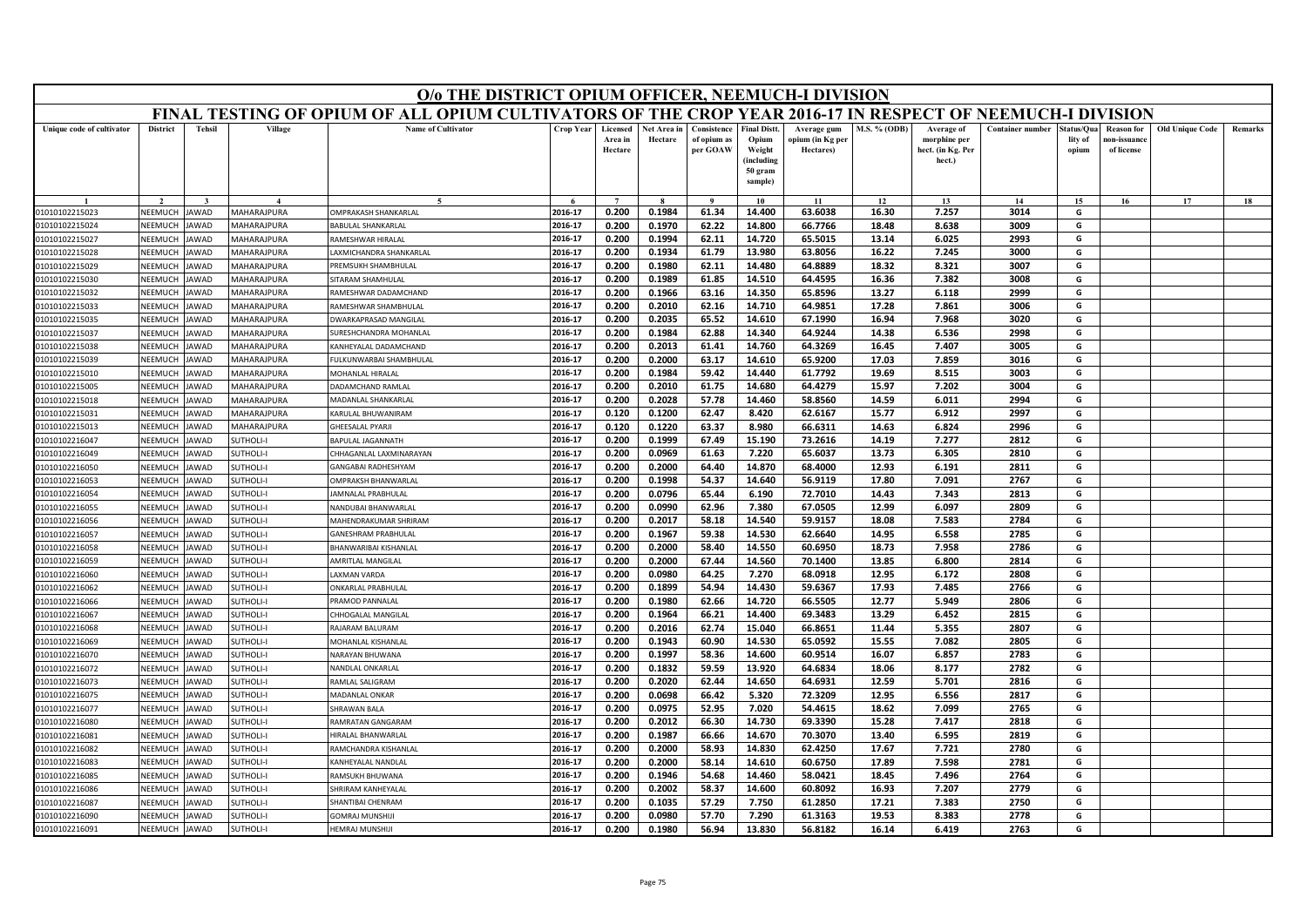| O/o THE DISTRICT OPIUM OFFICER, NEEMUCH-I DIVISION<br>FINAL TESTING OF OPIUM OF ALL OPIUM CULTIVATORS OF THE CROP YEAR 2016-17 IN RESPECT OF NEEMUCH-I DIVISION |                    |                      |                            |                                          |                    |                                |                        |                                        |                                                                            |                                              |                |                                                           |                         |                                |                                                |                        |         |
|-----------------------------------------------------------------------------------------------------------------------------------------------------------------|--------------------|----------------------|----------------------------|------------------------------------------|--------------------|--------------------------------|------------------------|----------------------------------------|----------------------------------------------------------------------------|----------------------------------------------|----------------|-----------------------------------------------------------|-------------------------|--------------------------------|------------------------------------------------|------------------------|---------|
|                                                                                                                                                                 |                    |                      |                            |                                          |                    |                                |                        |                                        |                                                                            |                                              |                |                                                           |                         |                                |                                                |                        |         |
| Unique code of cultivator                                                                                                                                       | <b>District</b>    | Tehsil               | Village                    | <b>Name of Cultivator</b>                | Crop Year          | Licensed<br>Area in<br>Hectare | Net Area in<br>Hectare | Consistence<br>of opium as<br>per GOAW | <b>Final Distt.</b><br>Opium<br>Weight<br>(including<br>50 gram<br>sample) | Average gum<br>opium (in Kg per<br>Hectares) | M.S. % (ODB)   | Average of<br>morphine per<br>hect. (in Kg. Per<br>hect.) | <b>Container number</b> | status/Qua<br>lity of<br>opium | <b>Reason for</b><br>10n-issuanc<br>of license | <b>Old Unique Code</b> | Remarks |
|                                                                                                                                                                 |                    |                      | $\boldsymbol{\Lambda}$     | $\tilde{\phantom{a}}$                    | $\epsilon$         | $\overline{7}$                 |                        | $\alpha$                               | 10                                                                         | 11                                           | 12             | 13                                                        | 14                      | 15                             | 16                                             | 17                     | 18      |
| 01010102215023                                                                                                                                                  | NEEMUCH            | <b>JAWAD</b>         | MAHARAJPURA                | OMPRAKASH SHANKARLAL                     | 2016-17            | 0.200                          | 0.1984                 | 61.34                                  | 14.400                                                                     | 63.6038                                      | 16.30          | 7.257                                                     | 3014                    | G                              |                                                |                        |         |
| 01010102215024                                                                                                                                                  | NEEMUCH            | <b>IAWAD</b>         | MAHARAJPURA                | BABULAL SHANKARLAL                       | 2016-17            | 0.200                          | 0.1970                 | 62.22                                  | 14.800                                                                     | 66.7766                                      | 18.48          | 8.638                                                     | 3009                    | G                              |                                                |                        |         |
| 01010102215027                                                                                                                                                  | VEEMUCH            | <b>JAWAD</b>         | <b>MAHARAJPURA</b>         | RAMESHWAR HIRALAL                        | 2016-17            | 0.200                          | 0.1994                 | 62.11                                  | 14.720                                                                     | 65.5015                                      | 13.14          | 6.025                                                     | 2993                    | G                              |                                                |                        |         |
| 01010102215028                                                                                                                                                  | NEEMUCH            | <b>JAWAD</b>         | MAHARAJPURA                | AXMICHANDRA SHANKARLAL                   | 2016-17            | 0.200                          | 0.1934                 | 61.79                                  | 13.980                                                                     | 63.8056                                      | 16.22          | 7.245                                                     | 3000                    | G                              |                                                |                        |         |
| 01010102215029                                                                                                                                                  | NEEMUCH            | <b>JAWAD</b>         | MAHARAJPURA                | PREMSUKH SHAMBHULAI                      | 2016-17            | 0.200                          | 0.1980                 | 62.11                                  | 14.480                                                                     | 64.8889                                      | 18.32          | 8.321                                                     | 3007                    | G                              |                                                |                        |         |
| 01010102215030                                                                                                                                                  | NEEMUCH            | <b>JAWAD</b>         | MAHARAJPURA                | SITARAM SHAMHULAL                        | 2016-17            | 0.200                          | 0.1989                 | 61.85                                  | 14.510                                                                     | 64.4595                                      | 16.36          | 7.382                                                     | 3008                    | G                              |                                                |                        |         |
| 01010102215032                                                                                                                                                  | NEEMUCI            | <b>JAWAD</b>         | MAHARAJPURA                | RAMESHWAR DADAMCHAND                     | 2016-17            | 0.200                          | 0.1966                 | 63.16                                  | 14.350                                                                     | 65.8596                                      | 13.27          | 6.118                                                     | 2999                    | G                              |                                                |                        |         |
| 01010102215033                                                                                                                                                  | NEEMUCH            | <b>IAWAD</b>         | MAHARAJPURA                | RAMESHWAR SHAMBHULAL                     | 2016-17            | 0.200                          | 0.2010                 | 62.16                                  | 14.710                                                                     | 64.9851                                      | 17.28          | 7.861                                                     | 3006                    | G                              |                                                |                        |         |
| 01010102215035                                                                                                                                                  | NEEMUCH            | AWAD                 | <b>MAHARAJPURA</b>         | <b>OWARKAPRASAD MANGILAL</b>             | 2016-17            | 0.200                          | 0.2035                 | 65.52                                  | 14.610                                                                     | 67.1990                                      | 16.94          | 7.968                                                     | 3020                    | G                              |                                                |                        |         |
| 01010102215037                                                                                                                                                  | NEEMUCH            | <b>JAWAD</b>         | MAHARAJPURA                | SURESHCHANDRA MOHANLAI                   | 2016-17            | 0.200                          | 0.1984                 | 62.88                                  | 14.340                                                                     | 64.9244                                      | 14.38          | 6.536                                                     | 2998                    | G                              |                                                |                        |         |
| 01010102215038                                                                                                                                                  | NEEMUCH            | <b>IAWAD</b>         | MAHARAJPURA                | <b>KANHEYALAL DADAMCHAND</b>             | 2016-17            | 0.200                          | 0.2013                 | 61.41                                  | 14.760                                                                     | 64.3269                                      | 16.45          | 7.407                                                     | 3005                    | G                              |                                                |                        |         |
| 01010102215039                                                                                                                                                  | NEEMUCH            | AWAD                 | MAHARAJPURA                | FULKUNWARBAI SHAMBHULAL                  | 2016-17            | 0.200                          | 0.2000                 | 63.17                                  | 14.610                                                                     | 65.9200                                      | 17.03          | 7.859                                                     | 3016                    | G                              |                                                |                        |         |
| 01010102215010                                                                                                                                                  | NEEMUCH            | <b>JAWAD</b>         | MAHARAJPURA                | MOHANLAL HIRALAL                         | 2016-17            | 0.200                          | 0.1984                 | 59.42                                  | 14.440                                                                     | 61.7792                                      | 19.69          | 8.515                                                     | 3003                    | G                              |                                                |                        |         |
| 01010102215005                                                                                                                                                  | NEEMUCH<br>NEEMUCH | <b>JAWAD</b><br>AWAD | MAHARAJPURA<br>MAHARAJPURA | DADAMCHAND RAMLAL<br>MADANLAL SHANKARLAL | 2016-17<br>2016-17 | 0.200<br>0.200                 | 0.2010<br>0.2028       | 61.75<br>57.78                         | 14.680<br>14.460                                                           | 64.4279<br>58.8560                           | 15.97          | 7.202                                                     | 3004<br>2994            | G<br>G                         |                                                |                        |         |
| 01010102215018<br>01010102215031                                                                                                                                | NEEMUCH            | <b>JAWAD</b>         | MAHARAJPURA                | KARULAL BHUWANIRAM                       | 2016-17            | 0.120                          | 0.1200                 | 62.47                                  | 8.420                                                                      | 62.6167                                      | 14.59<br>15.77 | 6.011<br>6.912                                            | 2997                    | G                              |                                                |                        |         |
| 01010102215013                                                                                                                                                  | NEEMUCH            | <b>JAWAD</b>         | MAHARAJPURA                | GHEESALAL PYARJI                         | 2016-17            | 0.120                          | 0.1220                 | 63.37                                  | 8.980                                                                      | 66.6311                                      | 14.63          | 6.824                                                     | 2996                    | G                              |                                                |                        |         |
| 01010102216047                                                                                                                                                  | NEEMUCH            | <b>JAWAD</b>         | <b>SUTHOLI-I</b>           | BAPULAL JAGANNATH                        | 2016-17            | 0.200                          | 0.1999                 | 67.49                                  | 15.190                                                                     | 73.2616                                      | 14.19          | 7.277                                                     | 2812                    | G                              |                                                |                        |         |
| 01010102216049                                                                                                                                                  | NEEMUCH            | <b>JAWAD</b>         | <b>SUTHOLI-I</b>           | CHHAGANLAL LAXMINARAYAN                  | 2016-17            | 0.200                          | 0.0969                 | 61.63                                  | 7.220                                                                      | 65.6037                                      | 13.73          | 6.305                                                     | 2810                    | G                              |                                                |                        |         |
| 01010102216050                                                                                                                                                  | NEEMUCH            | <b>JAWAD</b>         | SUTHOLI-I                  | <b>GANGABAI RADHESHYAM</b>               | 2016-17            | 0.200                          | 0.2000                 | 64.40                                  | 14.870                                                                     | 68.4000                                      | 12.93          | 6.191                                                     | 2811                    | G                              |                                                |                        |         |
| 01010102216053                                                                                                                                                  | NEEMUCH            | AWAD                 | <b>SUTHOLI-I</b>           | OMPRAKSH BHANWARLAL                      | 2016-17            | 0.200                          | 0.1998                 | 54.37                                  | 14.640                                                                     | 56.9119                                      | 17.80          | 7.091                                                     | 2767                    | G                              |                                                |                        |         |
| 01010102216054                                                                                                                                                  | NEEMUCH            | <b>IAWAD</b>         | SUTHOLI-I                  | AMNALAL PRABHULAL                        | 2016-17            | 0.200                          | 0.0796                 | 65.44                                  | 6.190                                                                      | 72.7010                                      | 14.43          | 7.343                                                     | 2813                    | G                              |                                                |                        |         |
| 01010102216055                                                                                                                                                  | NEEMUCH            | <b>AWAD</b>          | <b>SUTHOLI-I</b>           | NANDUBAI BHANWARLAL                      | 2016-17            | 0.200                          | 0.0990                 | 62.96                                  | 7.380                                                                      | 67.0505                                      | 12.99          | 6.097                                                     | 2809                    | G                              |                                                |                        |         |
| 01010102216056                                                                                                                                                  | NEEMUCH            | <b>JAWAD</b>         | SUTHOLI-I                  | MAHENDRAKUMAR SHRIRAM                    | 2016-17            | 0.200                          | 0.2017                 | 58.18                                  | 14.540                                                                     | 59.9157                                      | 18.08          | 7.583                                                     | 2784                    | G                              |                                                |                        |         |
| 01010102216057                                                                                                                                                  | NEEMUCH            | AWAD                 | SUTHOLI-I                  | GANESHRAM PRABHULAL                      | 2016-17            | 0.200                          | 0.1967                 | 59.38                                  | 14.530                                                                     | 62.6640                                      | 14.95          | 6.558                                                     | 2785                    | G                              |                                                |                        |         |
| 01010102216058                                                                                                                                                  | NEEMUCH            | <b>JAWAD</b>         | SUTHOLI-I                  | BHANWARIBAI KISHANLAL                    | 2016-17            | 0.200                          | 0.2000                 | 58.40                                  | 14.550                                                                     | 60.6950                                      | 18.73          | 7.958                                                     | 2786                    | G                              |                                                |                        |         |
| 01010102216059                                                                                                                                                  | NEEMUCH            | <b>JAWAD</b>         | <b>SUTHOLI-I</b>           | AMRITLAL MANGILAL                        | 2016-17            | 0.200                          | 0.2000                 | 67.44                                  | 14.560                                                                     | 70.1400                                      | 13.85          | 6.800                                                     | 2814                    | G                              |                                                |                        |         |
| 01010102216060                                                                                                                                                  | NEEMUCH            | <b>IAWAD</b>         | <b>SUTHOLI-I</b>           | AXMAN VARDA                              | 2016-17            | 0.200                          | 0.0980                 | 64.25                                  | 7.270                                                                      | 68.0918                                      | 12.95          | 6.172                                                     | 2808                    | G                              |                                                |                        |         |
| 01010102216062                                                                                                                                                  | NEEMUCH            | <b>JAWAD</b>         | <b>SUTHOLI-I</b>           | <b>ONKARLAL PRABHULAL</b>                | 2016-17            | 0.200                          | 0.1899                 | 54.94                                  | 14.430                                                                     | 59.6367                                      | 17.93          | 7.485                                                     | 2766                    | G                              |                                                |                        |         |
| 01010102216066                                                                                                                                                  | NEEMUCH            | <b>JAWAD</b>         | SUTHOLI-I                  | PRAMOD PANNALAL                          | 2016-17            | 0.200                          | 0.1980                 | 62.66                                  | 14.720                                                                     | 66.5505                                      | 12.77          | 5.949                                                     | 2806                    | G                              |                                                |                        |         |
| 01010102216067                                                                                                                                                  | NEEMUCH            | <b>IAWAD</b>         | SUTHOLI-I                  | HHOGALAL MANGILAL                        | 2016-17            | 0.200                          | 0.1964                 | 66.21                                  | 14.400                                                                     | 69.3483                                      | 13.29          | 6.452                                                     | 2815                    | G                              |                                                |                        |         |
| 01010102216068                                                                                                                                                  | VEEMUCI            | AWAD                 | <b>SUTHOLI-I</b>           | RAJARAM BALURAM                          | 2016-17            | 0.200                          | 0.2016                 | 62.74                                  | 15.040                                                                     | 66.8651                                      | 11.44          | 5.355                                                     | 2807                    | G                              |                                                |                        |         |
| 01010102216069                                                                                                                                                  | NEEMUCH            | <b>JAWAD</b>         | <b>SUTHOLI-I</b>           | MOHANLAL KISHANLAI                       | 2016-17            | 0.200                          | 0.1943                 | 60.90                                  | 14.530                                                                     | 65.0592                                      | 15.55          | 7.082                                                     | 2805                    | G                              |                                                |                        |         |
| 01010102216070                                                                                                                                                  | NEEMUCH            | <b>IAWAD</b>         | SUTHOLI-I                  | NARAYAN BHUWANA                          | 2016-17            | 0.200                          | 0.1997                 | 58.36                                  | 14.600                                                                     | 60.9514                                      | 16.07          | 6.857                                                     | 2783                    | G                              |                                                |                        |         |
| 01010102216072                                                                                                                                                  | NEEMUCI            | AWAD                 | <b>SUTHOLI-I</b>           | NANDLAL ONKARLAI                         | 2016-17            | 0.200                          | 0.1832                 | 59.59                                  | 13.920                                                                     | 64.6834                                      | 18.06          | 8.177                                                     | 2782                    | G                              |                                                |                        |         |
| 01010102216073                                                                                                                                                  | NEEMUCH            | <b>JAWAD</b>         | SUTHOLI-I                  | RAMLAL SALIGRAM                          | 2016-17            | 0.200                          | 0.2020                 | 62.44                                  | 14.650                                                                     | 64.6931                                      | 12.59          | 5.701                                                     | 2816                    | G                              |                                                |                        |         |
| 01010102216075                                                                                                                                                  | NEEMUCH            | <b>AWAD</b>          | SUTHOLI-I                  | MADANLAL ONKAR                           | 2016-17            | 0.200                          | 0.0698                 | 66.42                                  | 5.320                                                                      | 72.3209                                      | 12.95          | 6.556                                                     | 2817                    | G                              |                                                |                        |         |
| 01010102216077                                                                                                                                                  | NEEMUCH            | AWAD                 | SUTHOLI-I                  | <b>HRAWAN BALA</b>                       | 2016-17            | 0.200                          | 0.0975                 | 52.95                                  | 7.020                                                                      | 54.4615                                      | 18.62          | 7.099                                                     | 2765                    | G                              |                                                |                        |         |
| 01010102216080                                                                                                                                                  | NEEMUCH            | <b>JAWAD</b>         | SUTHOLI-I                  | RAMRATAN GANGARAM                        | 2016-17            | 0.200                          | 0.2012                 | 66.30                                  | 14.730                                                                     | 69.3390                                      | 15.28          | 7.417                                                     | 2818                    | G                              |                                                |                        |         |
| 01010102216081                                                                                                                                                  | NEEMUCH            | JAWAD                | SUTHOLI-I                  | HIRAI AI RHANWARI AI                     | 2016-17            | 0.200                          | 0.1987                 | 66.66                                  | 14.670                                                                     | 70.3070                                      | 13.40          | 6.595                                                     | 2819                    | G                              |                                                |                        |         |
| 01010102216082                                                                                                                                                  | NEEMUCH            | <b>JAWAD</b>         | <b>SUTHOLI-I</b>           | RAMCHANDRA KISHANLAL                     | 2016-17            | 0.200                          | 0.2000                 | 58.93                                  | 14.830                                                                     | 62.4250                                      | 17.67          | 7.721                                                     | 2780                    | G                              |                                                |                        |         |
| 01010102216083                                                                                                                                                  | NEEMUCH            | <b>JAWAD</b>         | SUTHOLI-I                  | KANHEYALAL NANDLAI                       | 2016-17            | 0.200                          | 0.2000                 | 58.14                                  | 14.610                                                                     | 60.6750                                      | 17.89          | 7.598                                                     | 2781                    | G                              |                                                |                        |         |
| 01010102216085                                                                                                                                                  | NEEMUCH            | <b>JAWAD</b>         | SUTHOLI-I                  | RAMSUKH BHUWANA                          | 2016-17            | 0.200                          | 0.1946                 | 54.68                                  | 14.460                                                                     | 58.0421                                      | 18.45          | 7.496                                                     | 2764                    | G                              |                                                |                        |         |
| 01010102216086                                                                                                                                                  | NEEMUCI            | AWAD                 | SUTHOLI-I                  | HRIRAM KANHEYALAL                        | 2016-17            | 0.200                          | 0.2002                 | 58.37                                  | 14.600                                                                     | 60.8092                                      | 16.93          | 7.207                                                     | 2779                    | G                              |                                                |                        |         |
| 01010102216087                                                                                                                                                  | NEEMUCH            | <b>JAWAD</b>         | <b>SUTHOLI-I</b>           | SHANTIBAI CHENRAM                        | 2016-17            | 0.200                          | 0.1035                 | 57.29                                  | 7.750                                                                      | 61.2850                                      | 17.21          | 7.383                                                     | 2750                    | G                              |                                                |                        |         |
| 01010102216090                                                                                                                                                  | NEEMUCH            | <b>JAWAD</b>         | <b>SUTHOLI-I</b>           | GOMRAJ MUNSHIJI                          | 2016-17            | 0.200                          | 0.0980                 | 57.70                                  | 7.290                                                                      | 61.3163                                      | 19.53          | 8.383                                                     | 2778                    | G                              |                                                |                        |         |
| 01010102216091                                                                                                                                                  | NEEMUCH            | <b>JAWAD</b>         | SUTHOLI-I                  | <b>HEMRAJ MUNSHIJI</b>                   | 2016-17            | 0.200                          | 0.1980                 | 56.94                                  | 13.830                                                                     | 56.8182                                      | 16.14          | 6.419                                                     | 2763                    | G                              |                                                |                        |         |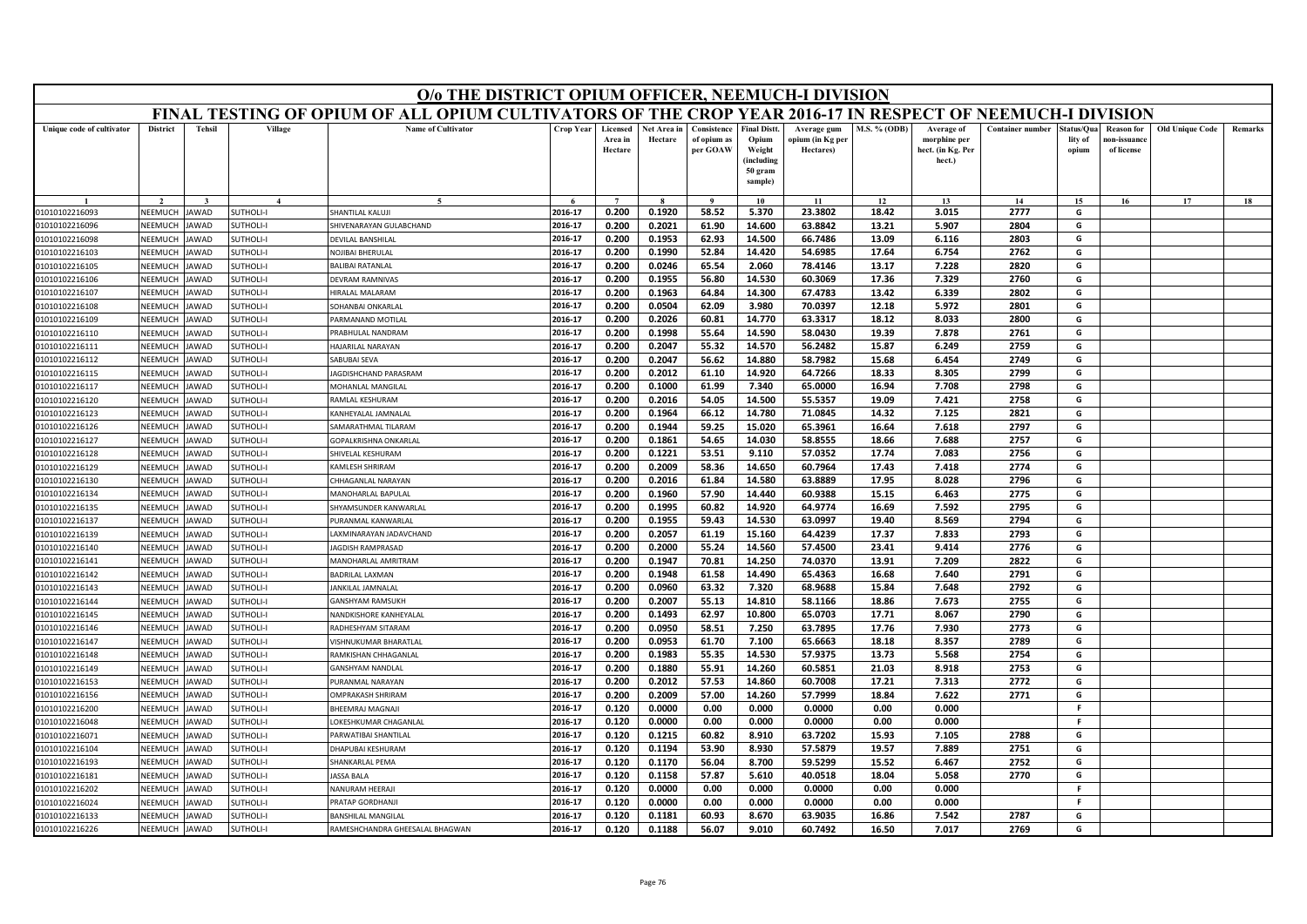| O/o THE DISTRICT OPIUM OFFICER, NEEMUCH-I DIVISION<br>FINAL TESTING OF OPIUM OF ALL OPIUM CULTIVATORS OF THE CROP YEAR 2016-17 IN RESPECT OF NEEMUCH-I DIVISION |                           |                     |                              |                                                    |                    |                                |                        |                                        |                                                                           |                                              |               |                                                           |                         |                                |                                                |                        |         |
|-----------------------------------------------------------------------------------------------------------------------------------------------------------------|---------------------------|---------------------|------------------------------|----------------------------------------------------|--------------------|--------------------------------|------------------------|----------------------------------------|---------------------------------------------------------------------------|----------------------------------------------|---------------|-----------------------------------------------------------|-------------------------|--------------------------------|------------------------------------------------|------------------------|---------|
|                                                                                                                                                                 |                           |                     |                              |                                                    |                    |                                |                        |                                        |                                                                           |                                              |               |                                                           |                         |                                |                                                |                        |         |
| Unique code of cultivator                                                                                                                                       | <b>District</b>           | <b>Tehsil</b>       | Village                      | <b>Name of Cultivator</b>                          | <b>Crop Year</b>   | Licensed<br>Area in<br>Hectare | Net Area in<br>Hectare | Consistence<br>of opium as<br>per GOAW | <b>Final Distt</b><br>Opium<br>Weight<br>(including<br>50 gram<br>sample) | Average gum<br>opium (in Kg per<br>Hectares) | M.S. % (ODB)  | Average of<br>morphine per<br>hect. (in Kg. Per<br>hect.) | <b>Container number</b> | štatus/Oua<br>lity of<br>opium | <b>Reason for</b><br>ıon-issuanc<br>of license | <b>Old Unique Code</b> | Remarks |
|                                                                                                                                                                 |                           |                     | $\overline{A}$               | $\tilde{\phantom{a}}$                              |                    | $\overline{7}$                 |                        | $\alpha$                               | 10                                                                        | 11                                           | 12            | 13                                                        | 14                      | 15                             | 16                                             | 17                     | 18      |
| 01010102216093                                                                                                                                                  | NEEMUCH                   | AWAD                | <b>SUTHOLI-I</b>             | <b>HANTILAL KALUJI</b>                             | 2016-17            | 0.200                          | 0.1920                 | 58.52                                  | 5.370                                                                     | 23.3802                                      | 18.42         | 3.015                                                     | 2777                    | G                              |                                                |                        |         |
| 01010102216096                                                                                                                                                  | NEEMUCH                   | AWAD                | <b>SUTHOLI-I</b>             | HIVENARAYAN GULABCHAND                             | 2016-17            | 0.200                          | 0.2021                 | 61.90                                  | 14.600                                                                    | 63.8842                                      | 13.21         | 5.907                                                     | 2804                    | G                              |                                                |                        |         |
| 01010102216098                                                                                                                                                  | NEEMUCH                   | <b>AWAD</b>         | <b>SUTHOLI-I</b>             | <b>DEVILAL BANSHILA</b>                            | 2016-17            | 0.200                          | 0.1953                 | 62.93                                  | 14.500                                                                    | 66.7486                                      | 13.09         | 6.116                                                     | 2803                    | G                              |                                                |                        |         |
| 01010102216103                                                                                                                                                  | NEEMUCI                   | <b>AWAD</b>         | <b>SUTHOLI-I</b>             | NOJIBAI BHERULAL                                   | 2016-17            | 0.200                          | 0.1990                 | 52.84                                  | 14.420                                                                    | 54.6985                                      | 17.64         | 6.754                                                     | 2762                    | G                              |                                                |                        |         |
| 01010102216105                                                                                                                                                  | NEEMUCH                   | AWAD                | <b>SUTHOLI-I</b>             | <b>BALIBAI RATANLAL</b>                            | 2016-17            | 0.200                          | 0.0246                 | 65.54                                  | 2.060                                                                     | 78.4146                                      | 13.17         | 7.228                                                     | 2820                    | G                              |                                                |                        |         |
| 01010102216106                                                                                                                                                  | NEEMUCH                   | <b>AWAD</b>         | <b>SUTHOLI-I</b>             | <b>DEVRAM RAMNIVAS</b>                             | 2016-17            | 0.200                          | 0.1955                 | 56.80                                  | 14.530                                                                    | 60.3069                                      | 17.36         | 7.329                                                     | 2760                    | G                              |                                                |                        |         |
| 01010102216107                                                                                                                                                  | NEEMUCI                   | <b>AWAD</b>         | SUTHOLI-I                    | <b>HRALAL MALARAM</b>                              | 2016-17            | 0.200                          | 0.1963                 | 64.84                                  | 14.300                                                                    | 67.4783                                      | 13.42         | 6.339                                                     | 2802                    | G                              |                                                |                        |         |
| 01010102216108                                                                                                                                                  | NEEMUCH                   | <b>AWAD</b>         | <b>SUTHOLI-I</b>             | <b>OHANBAI ONKARLAL</b>                            | 2016-17            | 0.200                          | 0.0504                 | 62.09                                  | 3.980                                                                     | 70.0397                                      | 12.18         | 5.972                                                     | 2801                    | G                              |                                                |                        |         |
| 01010102216109                                                                                                                                                  | NEEMUCH                   | <b>AWAD</b>         | UTHOLI-I                     | ARMANAND MOTILAL                                   | 2016-17            | 0.200                          | 0.2026                 | 60.81                                  | 14.770                                                                    | 63.3317                                      | 18.12         | 8.033                                                     | 2800                    | G                              |                                                |                        |         |
| 01010102216110                                                                                                                                                  | NEEMUCH                   | <b>AWAD</b>         | SUTHOLI-I                    | PRABHULAL NANDRAM                                  | 2016-17            | 0.200                          | 0.1998                 | 55.64                                  | 14.590                                                                    | 58.0430                                      | 19.39         | 7.878                                                     | 2761                    | G                              |                                                |                        |         |
| 01010102216111                                                                                                                                                  | NEEMUCH                   | AWAD                | <b>SUTHOLI-I</b>             | <b>HAJARILAL NARAYAN</b>                           | 2016-17            | 0.200                          | 0.2047                 | 55.32                                  | 14.570                                                                    | 56.2482                                      | 15.87         | 6.249                                                     | 2759                    | G                              |                                                |                        |         |
| 01010102216112                                                                                                                                                  | NEEMUCH                   | AWAD                | <b>SUTHOLI-I</b>             | <b>ABUBAI SEVA</b>                                 | 2016-17            | 0.200                          | 0.2047                 | 56.62                                  | 14.880                                                                    | 58.7982                                      | 15.68         | 6.454                                                     | 2749                    | G                              |                                                |                        |         |
| 01010102216115                                                                                                                                                  | NFFMUCH                   | AWAD                | SUTHOLI-I                    | AGDISHCHAND PARASRAM                               | 2016-17            | 0.200                          | 0.2012                 | 61.10                                  | 14.920                                                                    | 64.7266                                      | 18.33         | 8.305                                                     | 2799                    | G                              |                                                |                        |         |
| 01010102216117                                                                                                                                                  | NEEMUCI                   | AWAD                | SUTHOLI-I                    | MOHANLAL MANGILAL                                  | 2016-17            | 0.200                          | 0.1000                 | 61.99                                  | 7.340                                                                     | 65.0000                                      | 16.94         | 7.708                                                     | 2798                    | G                              |                                                |                        |         |
| 01010102216120                                                                                                                                                  | NEEMUCH                   | AWAD                | <b>SUTHOLI-I</b>             | AMLAL KESHURAM                                     | 2016-17            | 0.200                          | 0.2016                 | 54.05                                  | 14.500                                                                    | 55.5357                                      | 19.09         | 7.421                                                     | 2758                    | G                              |                                                |                        |         |
| 01010102216123                                                                                                                                                  | NEEMUCH                   | <b>AWAD</b>         | SUTHOLI-I                    | KANHEYALAL JAMNALAL                                | 2016-17            | 0.200                          | 0.1964                 | 66.12                                  | 14.780                                                                    | 71.0845                                      | 14.32         | 7.125                                                     | 2821                    | G                              |                                                |                        |         |
| 01010102216126                                                                                                                                                  | NEEMUCH                   | AWAD                | <b>SUTHOLI-I</b>             | <b>AMARATHMAL TILARAM</b>                          | 2016-17            | 0.200                          | 0.1944                 | 59.25                                  | 15.020                                                                    | 65.3961                                      | 16.64         | 7.618                                                     | 2797                    | G                              |                                                |                        |         |
| 01010102216127                                                                                                                                                  | NEEMUCH                   | AWAD                | <b>SUTHOLI-I</b>             | GOPALKRISHNA ONKARLAI                              | 2016-17            | 0.200                          | 0.1861                 | 54.65                                  | 14.030                                                                    | 58.8555                                      | 18.66         | 7.688                                                     | 2757                    | G                              |                                                |                        |         |
| 01010102216128                                                                                                                                                  | NFFMUCH                   | AWAD                | <b>SUTHOLI-I</b>             | <b>HIVELAL KESHURAM</b>                            | 2016-17            | 0.200                          | 0.1221                 | 53.51                                  | 9.110                                                                     | 57.0352                                      | 17.74         | 7.083                                                     | 2756                    | G                              |                                                |                        |         |
| 01010102216129                                                                                                                                                  | NEEMUCH                   | <b>AWAD</b>         | <b>FIJOHTU</b>               | <b>CAMLESH SHRIRAM</b>                             | 2016-17            | 0.200                          | 0.2009                 | 58.36                                  | 14.650                                                                    | 60.7964                                      | 17.43         | 7.418                                                     | 2774                    | G                              |                                                |                        |         |
| 01010102216130                                                                                                                                                  | NEEMUCH                   | AWAD                | UTHOLI-I                     | HHAGANLAL NARAYAN                                  | 2016-17            | 0.200                          | 0.2016                 | 61.84                                  | 14.580                                                                    | 63.8889                                      | 17.95         | 8.028                                                     | 2796                    | G                              |                                                |                        |         |
| 01010102216134                                                                                                                                                  | NEEMUCH                   | AWAD                | UTHOLI-I                     | MANOHARLAL BAPULAL                                 | 2016-17            | 0.200                          | 0.1960                 | 57.90                                  | 14.440                                                                    | 60.9388                                      | 15.15         | 6.463                                                     | 2775                    | G                              |                                                |                        |         |
| 01010102216135                                                                                                                                                  | NFFMUCH                   | AWAD                | <b>SUTHOLI-I</b>             | <b>HYAMSUNDER KANWARLAL</b>                        | 2016-17            | 0.200                          | 0.1995                 | 60.82                                  | 14.920                                                                    | 64.9774                                      | 16.69         | 7.592                                                     | 2795                    | G                              |                                                |                        |         |
| 01010102216137                                                                                                                                                  | NEEMUCH                   | AWAD                | <b>SUTHOLI-I</b>             | URANMAL KANWARLA                                   | 2016-17            | 0.200                          | 0.1955                 | 59.43                                  | 14.530                                                                    | 63.0997                                      | 19.40         | 8.569                                                     | 2794                    | G                              |                                                |                        |         |
| 01010102216139                                                                                                                                                  | NEEMUCH                   | AWAD                | <b>SUTHOLI-I</b>             | AXMINARAYAN JADAVCHAND                             | 2016-17            | 0.200                          | 0.2057                 | 61.19                                  | 15.160                                                                    | 64.4239                                      | 17.37         | 7.833                                                     | 2793                    | G                              |                                                |                        |         |
| 01010102216140                                                                                                                                                  | NFFMUCH                   | <b>AWAD</b>         | <b>SUTHOLI-I</b>             | <b>AGDISH RAMPRASAD</b>                            | 2016-17            | 0.200                          | 0.2000                 | 55.24                                  | 14.560                                                                    | 57.4500                                      | 23.41         | 9.414                                                     | 2776                    | G                              |                                                |                        |         |
| 01010102216141                                                                                                                                                  | NEEMUCH                   | AWAD                | SUTHOLI-I                    | MANOHARLAL AMRITRAM                                | 2016-17            | 0.200                          | 0.1947                 | 70.81                                  | 14.250                                                                    | 74.0370                                      | 13.91         | 7.209                                                     | 2822                    | G                              |                                                |                        |         |
| 01010102216142                                                                                                                                                  | NEEMUCH                   | AWAD                | SUTHOLI-I                    | <b>BADRILAL LAXMAN</b>                             | 2016-17            | 0.200                          | 0.1948                 | 61.58                                  | 14.490                                                                    | 65.4363                                      | 16.68         | 7.640                                                     | 2791                    | G                              |                                                |                        |         |
| 01010102216143                                                                                                                                                  | NEEMUCH                   | AWAD                | <b>SUTHOLI-I</b>             | ANKILAL JAMNALAL                                   | 2016-17            | 0.200                          | 0.0960                 | 63.32                                  | 7.320                                                                     | 68.9688                                      | 15.84         | 7.648                                                     | 2792                    | G                              |                                                |                        |         |
| 01010102216144                                                                                                                                                  | NEEMUCI                   | AWAD                | SUTHOLI-I                    | <b>GANSHYAM RAMSUKF</b>                            | 2016-17            | 0.200                          | 0.2007                 | 55.13                                  | 14.810                                                                    | 58.1166                                      | 18.86         | 7.673                                                     | 2755                    | G                              |                                                |                        |         |
| 01010102216145                                                                                                                                                  | NEEMUCH                   | AWAD                | <b>SUTHOLI-I</b>             | <b>VANDKISHORF KANHFYALAI</b>                      | 2016-17            | 0.200                          | 0.1493                 | 62.97                                  | 10.800                                                                    | 65.0703                                      | 17.71         | 8.067                                                     | 2790                    | G                              |                                                |                        |         |
| 01010102216146                                                                                                                                                  | NEEMUCH                   | AWAD                | <b>FIOLITIO</b>              | <b>RADHESHYAM SITARAM</b>                          | 2016-17            | 0.200                          | 0.0950                 | 58.51                                  | 7.250                                                                     | 63.7895                                      | 17.76         | 7.930                                                     | 2773                    | G                              |                                                |                        |         |
| 01010102216147                                                                                                                                                  | NEEMUCI                   | AWAD                | SUTHOLI-I                    | VISHNUKUMAR BHARATLAL                              | 2016-17            | 0.200                          | 0.0953                 | 61.70                                  | 7.100                                                                     | 65.6663                                      | 18.18         | 8.357                                                     | 2789                    | G                              |                                                |                        |         |
| 01010102216148                                                                                                                                                  | NEEMUCH                   | AWAD                | <b>SUTHOLI-I</b>             | RAMKISHAN CHHAGANLAL                               | 2016-17            | 0.200                          | 0.1983                 | 55.35                                  | 14.530                                                                    | 57.9375                                      | 13.73         | 5.568                                                     | 2754                    | G                              |                                                |                        |         |
| 01010102216149                                                                                                                                                  | VEEMUCH<br><b>NFFMUCH</b> | AWAD<br><b>AWAD</b> | UTHOLI-I                     | <b>GANSHYAM NANDLAL</b>                            | 2016-17            | 0.200                          | 0.1880                 | 55.91                                  | 14.260                                                                    | 60.5851                                      | 21.03         | 8.918                                                     | 2753                    | G<br>G                         |                                                |                        |         |
| 01010102216153                                                                                                                                                  |                           |                     | SUTHOLI-I                    | URANMAL NARAYAN                                    | 2016-17            | 0.200                          | 0.2012                 | 57.53<br>57.00                         | 14.860                                                                    | 60.7008                                      | 17.21         | 7.313                                                     | 2772                    | G                              |                                                |                        |         |
| 01010102216156                                                                                                                                                  | NEEMUCH                   | AWAD                | UTHOLI-I                     | <b>DMPRAKASH SHRIRAM</b><br><b>HEEMRAJ MAGNAJI</b> | 2016-17<br>2016-17 | 0.200<br>0.120                 | 0.2009<br>0.0000       | 0.00                                   | 14.260<br>0.000                                                           | 57.7999<br>0.0000                            | 18.84<br>0.00 | 7.622<br>0.000                                            | 2771                    | F                              |                                                |                        |         |
| 01010102216200                                                                                                                                                  | <b>NEEMUCH</b>            | AWAD                | UTHOLI-I                     | OKESHKUMAR CHAGANLAI                               | 2016-17            |                                |                        | 0.00                                   |                                                                           |                                              | 0.00          | 0.000                                                     |                         | F.                             |                                                |                        |         |
| 01010102216048                                                                                                                                                  | NEEMUCH                   | AWAD                | <b>SUTHOLI-I</b>             | ARWATIBAI SHANTILAL                                | 2016-17            | 0.120<br>0.120                 | 0.0000<br>0.1215       | 60.82                                  | 0.000<br>8.910                                                            | 0.0000<br>63.7202                            | 15.93         | 7.105                                                     | 2788                    | G                              |                                                |                        |         |
| 01010102216071                                                                                                                                                  | NEEMUCH<br>VEEMUCH        | AWAD<br>AWAD        | <b>SUTHOLI-I</b><br>UTHOLI-I | HAPUBAI KESHURAM                                   | 2016-17            | 0.120                          | 0.1194                 | 53.90                                  | 8.930                                                                     | 57.5879                                      | 19.57         | 7.889                                                     | 2751                    | G                              |                                                |                        |         |
| 01010102216104                                                                                                                                                  | <b>NFFMUCH</b>            | <b>AWAD</b>         | <b>SUTHOLI-I</b>             | <b>HANKARLAL PEMA</b>                              | 2016-17            | 0.120                          | 0.1170                 | 56.04                                  | 8.700                                                                     | 59.5299                                      | 15.52         | 6.467                                                     | 2752                    | G                              |                                                |                        |         |
| 01010102216193<br>01010102216181                                                                                                                                | NEEMUCH                   | AWAD                | <b>SUTHOLI-I</b>             | ASSA BALA                                          | 2016-17            | 0.120                          | 0.1158                 | 57.87                                  | 5.610                                                                     | 40.0518                                      | 18.04         | 5.058                                                     | 2770                    | G                              |                                                |                        |         |
| 01010102216202                                                                                                                                                  | VEEMUCI                   | AWAD                | <b>SUTHOLI-I</b>             | <b>JANURAM HEERAJI</b>                             | 2016-17            | 0.120                          | 0.0000                 | 0.00                                   | 0.000                                                                     | 0.0000                                       | 0.00          | 0.000                                                     |                         | F                              |                                                |                        |         |
| 01010102216024                                                                                                                                                  | NEEMUCH                   | AWAD                | <b>SUTHOLI-I</b>             | <b>RATAP GORDHANJI</b>                             | 2016-17            | 0.120                          | 0.0000                 | 0.00                                   | 0.000                                                                     | 0.0000                                       | 0.00          | 0.000                                                     |                         | F.                             |                                                |                        |         |
| 01010102216133                                                                                                                                                  | NEEMUCH                   | JAWAD               | SUTHOLI-I                    | BANSHILAL MANGILAL                                 | 2016-17            | 0.120                          | 0.1181                 | 60.93                                  | 8.670                                                                     | 63.9035                                      | 16.86         | 7.542                                                     | 2787                    | G                              |                                                |                        |         |
| 01010102216226                                                                                                                                                  | NEEMUCH                   | <b>JAWAD</b>        | <b>SUTHOLI-I</b>             | RAMESHCHANDRA GHEESALAL BHAGWAN                    | 2016-17            | 0.120                          | 0.1188                 | 56.07                                  | 9.010                                                                     | 60.7492                                      | 16.50         | 7.017                                                     | 2769                    | G                              |                                                |                        |         |
|                                                                                                                                                                 |                           |                     |                              |                                                    |                    |                                |                        |                                        |                                                                           |                                              |               |                                                           |                         |                                |                                                |                        |         |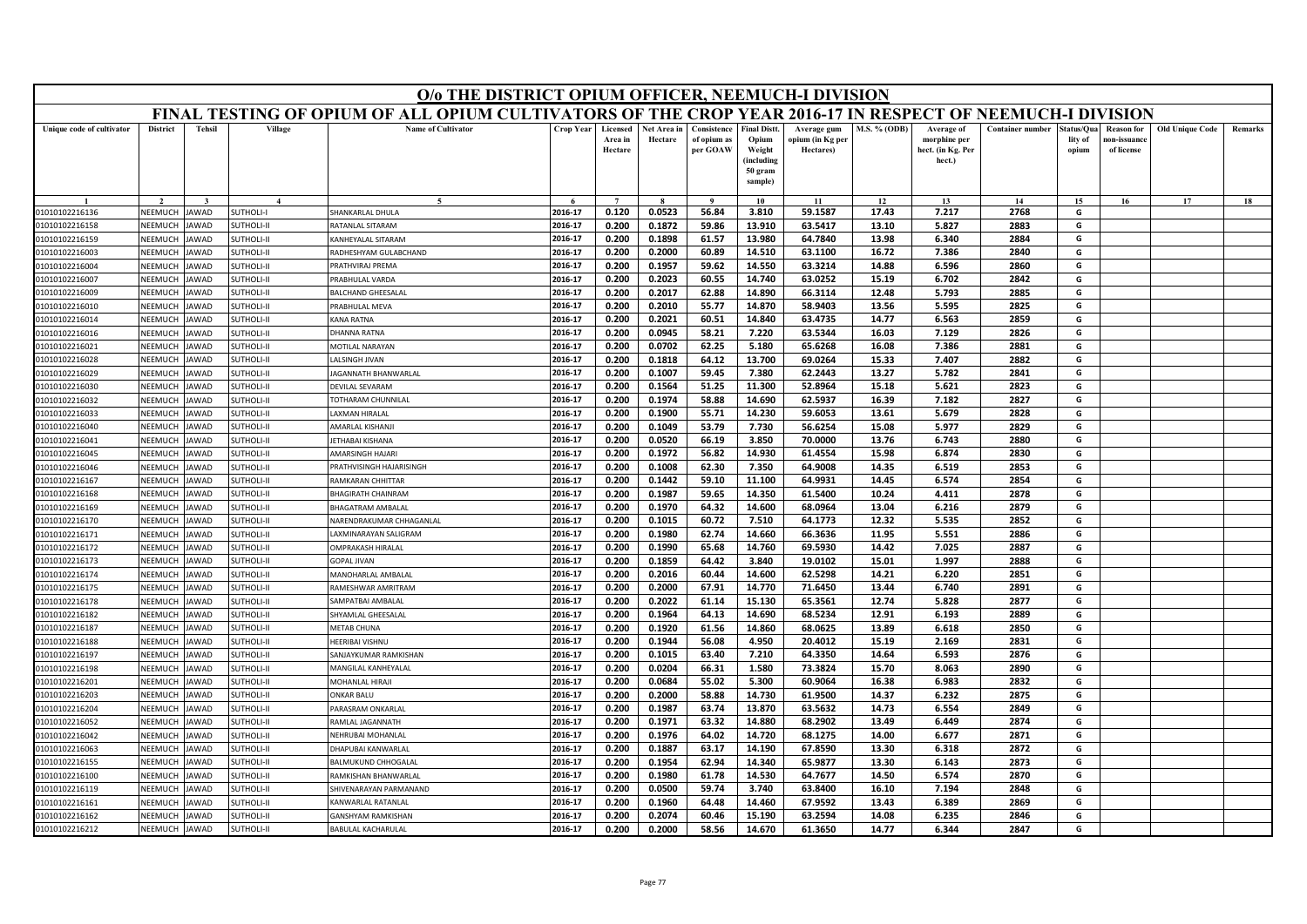| O/o THE DISTRICT OPIUM OFFICER, NEEMUCH-I DIVISION<br>FINAL TESTING OF OPIUM OF ALL OPIUM CULTIVATORS OF THE CROP YEAR 2016-17 IN RESPECT OF NEEMUCH-I DIVISION |                    |               |                         |                                                |                    |                                |                        |                                        |                                                                           |                                              |                |                                                           |                         |                                |                                                |                        |         |
|-----------------------------------------------------------------------------------------------------------------------------------------------------------------|--------------------|---------------|-------------------------|------------------------------------------------|--------------------|--------------------------------|------------------------|----------------------------------------|---------------------------------------------------------------------------|----------------------------------------------|----------------|-----------------------------------------------------------|-------------------------|--------------------------------|------------------------------------------------|------------------------|---------|
|                                                                                                                                                                 |                    |               |                         |                                                |                    |                                |                        |                                        |                                                                           |                                              |                |                                                           |                         |                                |                                                |                        |         |
| Unique code of cultivator                                                                                                                                       | <b>District</b>    | <b>Tehsil</b> | Village                 | <b>Name of Cultivator</b>                      | Crop Year          | Licensed<br>Area in<br>Hectare | Net Area in<br>Hectare | Consistence<br>of opium as<br>per GOAW | <b>Final Distt</b><br>Opium<br>Weight<br>(including<br>50 gram<br>sample) | Average gum<br>opium (in Kg per<br>Hectares) | M.S. % (ODB)   | Average of<br>morphine per<br>hect. (in Kg. Per<br>hect.) | <b>Container number</b> | status/Qua<br>lity of<br>opium | <b>Reason</b> for<br>ıon-issuanc<br>of license | <b>Old Unique Code</b> | Remarks |
|                                                                                                                                                                 |                    |               | $\boldsymbol{\Lambda}$  | $\sim$                                         |                    | $\overline{7}$                 |                        |                                        | 10                                                                        | 11                                           | 12             | 13                                                        | 14                      | 15                             | 16                                             | 17                     | 18      |
| 01010102216136                                                                                                                                                  | NEEMUCH            | <b>AWAD</b>   | <b>SUTHOLI-I</b>        | <b>HANKARLAL DHULA</b>                         | 2016-17            | 0.120                          | 0.0523                 | 56.84                                  | 3.810                                                                     | 59.1587                                      | 17.43          | 7.217                                                     | 2768                    | G                              |                                                |                        |         |
| 01010102216158                                                                                                                                                  | NEEMUCH            | <b>AWAD</b>   | <b>SUTHOLI-II</b>       | <b>ATANLAL SITARAM</b>                         | 2016-17            | 0.200                          | 0.1872                 | 59.86                                  | 13.910                                                                    | 63.5417                                      | 13.10          | 5.827                                                     | 2883                    | G                              |                                                |                        |         |
| 01010102216159                                                                                                                                                  | NEEMUCH            | AWAD          | <b>SUTHOLI-II</b>       | <b>CANHEYALAL SITARAM</b>                      | 2016-17            | 0.200                          | 0.1898                 | 61.57                                  | 13.980                                                                    | 64.7840                                      | 13.98          | 6.340                                                     | 2884                    | G                              |                                                |                        |         |
| 01010102216003                                                                                                                                                  | <b>NEEMUCH</b>     | <b>AWAD</b>   | SUTHOLI-II              | RADHESHYAM GULABCHAND                          | 2016-17            | 0.200                          | 0.2000                 | 60.89                                  | 14.510                                                                    | 63.1100                                      | 16.72          | 7.386                                                     | 2840                    | G                              |                                                |                        |         |
| 01010102216004                                                                                                                                                  | NEEMUCH            | AWAD          | <b>SUTHOLI-II</b>       | <b>RATHVIRAJ PREMA</b>                         | 2016-17            | 0.200                          | 0.1957                 | 59.62                                  | 14.550                                                                    | 63.3214                                      | 14.88          | 6.596                                                     | 2860                    | G                              |                                                |                        |         |
| 01010102216007                                                                                                                                                  | NEEMUCH            | <b>AWAD</b>   | <b>SUTHOLI-II</b>       | PRABHULAL VARDA                                | 2016-17            | 0.200                          | 0.2023                 | 60.55                                  | 14.740                                                                    | 63.0252                                      | 15.19          | 6.702                                                     | 2842                    | G                              |                                                |                        |         |
| 01010102216009                                                                                                                                                  | NEEMUCI            | AWAD          | SUTHOLI-II              | BALCHAND GHEESALAL                             | 2016-17            | 0.200                          | 0.2017                 | 62.88                                  | 14.890                                                                    | 66.3114                                      | 12.48          | 5.793                                                     | 2885                    | G                              |                                                |                        |         |
| 01010102216010                                                                                                                                                  | NEEMUCH            | <b>AWAD</b>   | <b>SUTHOLI-II</b>       | RABHULAL MEVA                                  | 2016-17            | 0.200                          | 0.2010                 | 55.77                                  | 14.870                                                                    | 58.9403                                      | 13.56          | 5.595                                                     | 2825                    | G                              |                                                |                        |         |
| 01010102216014                                                                                                                                                  | NEEMUCH            | AWAD          | <b>SUTHOLI-II</b>       | <b>ANA RATNA</b>                               | 2016-17            | 0.200                          | 0.2021                 | 60.51                                  | 14.840                                                                    | 63.4735                                      | 14.77          | 6.563                                                     | 2859                    | G                              |                                                |                        |         |
| 01010102216016                                                                                                                                                  | <b>NFFMUCH</b>     | <b>AWAD</b>   | <b>SUTHOLI-II</b>       | DHANNA RATNA                                   | 2016-17            | 0.200                          | 0.0945                 | 58.21                                  | 7.220                                                                     | 63.5344                                      | 16.03          | 7.129                                                     | 2826                    | G                              |                                                |                        |         |
| 01010102216021                                                                                                                                                  | NEEMUCH            | <b>AWAD</b>   | <b>SUTHOLI-II</b>       | MOTILAL NARAYAN                                | 2016-17            | 0.200                          | 0.0702                 | 62.25                                  | 5.180                                                                     | 65.6268                                      | 16.08          | 7.386                                                     | 2881                    | G                              |                                                |                        |         |
| 01010102216028                                                                                                                                                  | NEEMUCH            | AWAD          | <b>SUTHOLI-II</b>       | <b>ALSINGH JIVAN</b>                           | 2016-17            | 0.200                          | 0.1818                 | 64.12                                  | 13.700                                                                    | 69.0264                                      | 15.33          | 7.407                                                     | 2882                    | G                              |                                                |                        |         |
| 01010102216029                                                                                                                                                  | NEEMUCH            | AWAD          | <b>SUTHOLI-II</b>       | <b>AGANNATH BHANWARLAL</b>                     | 2016-17            | 0.200                          | 0.1007                 | 59.45                                  | 7.380                                                                     | 62.2443                                      | 13.27          | 5.782                                                     | 2841                    | G                              |                                                |                        |         |
| 01010102216030                                                                                                                                                  | NEEMUCH            | AWAD          | SUTHOLI-II              | DEVILAL SEVARAM                                | 2016-17            | 0.200                          | 0.1564                 | 51.25                                  | 11.300                                                                    | 52.8964                                      | 15.18          | 5.621                                                     | 2823                    | G                              |                                                |                        |         |
| 01010102216032                                                                                                                                                  | NEEMUCH            | AWAD          | <b>SUTHOLI-II</b>       | OTHARAM CHUNNILAL                              | 2016-17            | 0.200                          | 0.1974                 | 58.88                                  | 14.690                                                                    | 62.5937                                      | 16.39          | 7.182                                                     | 2827                    | G                              |                                                |                        |         |
| 01010102216033                                                                                                                                                  | NEEMUCH            | AWAD          | SUTHOLI-II              | <b>AXMAN HIRALAL</b>                           | 2016-17            | 0.200                          | 0.1900                 | 55.71                                  | 14.230                                                                    | 59.6053                                      | 13.61          | 5.679                                                     | 2828                    | G                              |                                                |                        |         |
| 01010102216040                                                                                                                                                  | NEEMUCH            | AWAD          | SUTHOLI-II              | AMARLAL KISHANJI                               | 2016-17            | 0.200                          | 0.1049                 | 53.79                                  | 7.730                                                                     | 56.6254                                      | 15.08          | 5.977                                                     | 2829                    | G                              |                                                |                        |         |
| 01010102216041                                                                                                                                                  | NEEMUCI            | AWAD          | <b>SUTHOLI-II</b>       | ETHABAI KISHANA                                | 2016-17            | 0.200                          | 0.0520                 | 66.19                                  | 3.850                                                                     | 70.0000                                      | 13.76          | 6.743                                                     | 2880                    | G                              |                                                |                        |         |
| 01010102216045                                                                                                                                                  | NEEMUCH            | AWAD          | <b>SUTHOLI-II</b>       | <b>MARSINGH HAJARI</b>                         | 2016-17            | 0.200                          | 0.1972                 | 56.82                                  | 14.930                                                                    | 61.4554                                      | 15.98          | 6.874                                                     | 2830                    | G                              |                                                |                        |         |
| 01010102216046                                                                                                                                                  | NEEMUCH            | <b>AWAD</b>   | <b>SUTHOLI-II</b>       | RATHVISINGH HAJARISINGH                        | 2016-17            | 0.200                          | 0.1008                 | 62.30                                  | 7.350                                                                     | 64.9008                                      | 14.35          | 6.519                                                     | 2853                    | G                              |                                                |                        |         |
| 01010102216167                                                                                                                                                  | NEEMUCH            | AWAD          | UTHOLI-II               | RAMKARAN CHHITTAF                              | 2016-17            | 0.200                          | 0.1442                 | 59.10                                  | 11.100                                                                    | 64.9931                                      | 14.45          | 6.574                                                     | 2854                    | G                              |                                                |                        |         |
| 01010102216168                                                                                                                                                  | NEEMUCH            | AWAD          | UTHOLI-II               | <b>HAGIRATH CHAINRAM</b>                       | 2016-17            | 0.200                          | 0.1987                 | 59.65                                  | 14.350                                                                    | 61.5400                                      | 10.24          | 4.411                                                     | 2878                    | G                              |                                                |                        |         |
| 01010102216169                                                                                                                                                  | NEEMUCH            | AWAD          | <b>SUTHOLI-II</b>       | <b>BHAGATRAM AMBALAL</b>                       | 2016-17            | 0.200                          | 0.1970                 | 64.32                                  | 14.600                                                                    | 68.0964                                      | 13.04          | 6.216                                                     | 2879                    | G                              |                                                |                        |         |
| 01010102216170                                                                                                                                                  | NEEMUCI            | AWAD          | <b>SUTHOLI-II</b>       | NARENDRAKUMAR CHHAGANLAL                       | 2016-17            | 0.200                          | 0.1015                 | 60.72                                  | 7.510                                                                     | 64.1773                                      | 12.32          | 5.535                                                     | 2852                    | G                              |                                                |                        |         |
| 01010102216171                                                                                                                                                  | NEEMUCH            | AWAD          | <b>SUTHOLI-II</b>       | AXMINARAYAN SALIGRAM                           | 2016-17            | 0.200                          | 0.1980                 | 62.74                                  | 14.660                                                                    | 66.3636                                      | 11.95          | 5.551                                                     | 2886                    | G                              |                                                |                        |         |
| 01010102216172                                                                                                                                                  | NEEMUCH            | AWAD          | <b>SUTHOLI-II</b>       | <b>DMPRAKASH HIRALAL</b>                       | 2016-17            | 0.200                          | 0.1990                 | 65.68                                  | 14.760                                                                    | 69.5930                                      | 14.42          | 7.025                                                     | 2887                    | G                              |                                                |                        |         |
| 01010102216173                                                                                                                                                  | NEEMUCI            | AWAD          | <b>SUTHOLI-II</b>       | <b>GOPAL JIVAN</b>                             | 2016-17            | 0.200                          | 0.1859                 | 64.42                                  | 3.840                                                                     | 19.0102                                      | 15.01          | 1.997                                                     | 2888                    | G                              |                                                |                        |         |
| 01010102216174<br>01010102216175                                                                                                                                | NEEMUCH<br>VEEMUCH | AWAD<br>AWAD  | SUTHOLI-II<br>UTHOLI-II | MANOHARLAL AMBALAL<br><b>AMESHWAR AMRITRAM</b> | 2016-17<br>2016-17 | 0.200<br>0.200                 | 0.2016<br>0.2000       | 60.44<br>67.91                         | 14.600<br>14.770                                                          | 62.5298<br>71.6450                           | 14.21<br>13.44 | 6.220<br>6.740                                            | 2851<br>2891            | G<br>G                         |                                                |                        |         |
|                                                                                                                                                                 | NEEMUCH            | <b>AWAD</b>   | <b>SUTHOLI-II</b>       | <b>AMPATBAI AMBALAI</b>                        | 2016-17            | 0.200                          | 0.2022                 | 61.14                                  | 15.130                                                                    | 65.3561                                      | 12.74          | 5.828                                                     | 2877                    | G                              |                                                |                        |         |
| 01010102216178<br>01010102216182                                                                                                                                | NEEMUCH            | AWAD          | SUTHOLI-II              | HYAMLAL GHEESALAL                              | 2016-17            | 0.200                          | 0.1964                 | 64.13                                  | 14.690                                                                    | 68.5234                                      | 12.91          | 6.193                                                     | 2889                    | G                              |                                                |                        |         |
| 01010102216187                                                                                                                                                  | VEEMUCI            | AWAD          | UTHOLI-II               | <b>METAB CHUNA</b>                             | 2016-17            | 0.200                          | 0.1920                 | 61.56                                  | 14.860                                                                    | 68.0625                                      | 13.89          | 6.618                                                     | 2850                    | G                              |                                                |                        |         |
| 01010102216188                                                                                                                                                  | NEEMUCH            | AWAD          | SUTHOLI-II              | HEERIBAI VISHNU                                | 2016-17            | 0.200                          | 0.1944                 | 56.08                                  | 4.950                                                                     | 20.4012                                      | 15.19          | 2.169                                                     | 2831                    | G                              |                                                |                        |         |
| 01010102216197                                                                                                                                                  | NEEMUCH            | <b>AWAD</b>   | <b>SUTHOLI-II</b>       | SANJAYKUMAR RAMKISHAN                          | 2016-17            | 0.200                          | 0.1015                 | 63.40                                  | 7.210                                                                     | 64.3350                                      | 14.64          | 6.593                                                     | 2876                    | G                              |                                                |                        |         |
| 01010102216198                                                                                                                                                  | NEEMUCH            | AWAD          | <b>SUTHOLI-II</b>       | MANGILAL KANHEYALAL                            | 2016-17            | 0.200                          | 0.0204                 | 66.31                                  | 1.580                                                                     | 73.3824                                      | 15.70          | 8.063                                                     | 2890                    | G                              |                                                |                        |         |
| 01010102216201                                                                                                                                                  | NEEMUCH            | <b>AWAD</b>   | <b>SUTHOLI-II</b>       | MOHANLAL HIRAJI                                | 2016-17            | 0.200                          | 0.0684                 | 55.02                                  | 5.300                                                                     | 60.9064                                      | 16.38          | 6.983                                                     | 2832                    | G                              |                                                |                        |         |
| 01010102216203                                                                                                                                                  | NEEMUCH            | <b>AWAD</b>   | SUTHOLI-II              | <b>ONKAR BALU</b>                              | 2016-17            | 0.200                          | 0.2000                 | 58.88                                  | 14.730                                                                    | 61.9500                                      | 14.37          | 6.232                                                     | 2875                    | G                              |                                                |                        |         |
| 01010102216204                                                                                                                                                  | NEEMUCH            | AWAD          | <b>SUTHOLI-II</b>       | ARASRAM ONKARLAL                               | 2016-17            | 0.200                          | 0.1987                 | 63.74                                  | 13.870                                                                    | 63.5632                                      | 14.73          | 6.554                                                     | 2849                    | G                              |                                                |                        |         |
| 01010102216052                                                                                                                                                  | NEEMUCH            | AWAD          | <b>SUTHOLI-II</b>       | <b>RAMLAL JAGANNATH</b>                        | 2016-17            | 0.200                          | 0.1971                 | 63.32                                  | 14.880                                                                    | 68.2902                                      | 13.49          | 6.449                                                     | 2874                    | G                              |                                                |                        |         |
| 01010102216042                                                                                                                                                  | NEEMUCH            | <b>AWAD</b>   | <b>SUTHOLI-II</b>       | NEHRUBAI MOHANLAL                              | 2016-17            | 0.200                          | 0.1976                 | 64.02                                  | 14.720                                                                    | 68.1275                                      | 14.00          | 6.677                                                     | 2871                    | G                              |                                                |                        |         |
| 01010102216063                                                                                                                                                  | NEEMUCH            | AWAD          | <b>SUTHOLI-II</b>       | <b>DHAPUBAI KANWARLAL</b>                      | 2016-17            | 0.200                          | 0.1887                 | 63.17                                  | 14.190                                                                    | 67.8590                                      | 13.30          | 6.318                                                     | 2872                    | G                              |                                                |                        |         |
| 01010102216155                                                                                                                                                  | NEEMUCH            | <b>AWAD</b>   | <b>SUTHOLI-II</b>       | <b>ALMUKUND CHHOGALAL</b>                      | 2016-17            | 0.200                          | 0.1954                 | 62.94                                  | 14.340                                                                    | 65.9877                                      | 13.30          | 6.143                                                     | 2873                    | G                              |                                                |                        |         |
| 01010102216100                                                                                                                                                  | NEEMUCH            | <b>JAWAD</b>  | SUTHOLI-II              | <b>RAMKISHAN BHANWARLAI</b>                    | 2016-17            | 0.200                          | 0.1980                 | 61.78                                  | 14.530                                                                    | 64.7677                                      | 14.50          | 6.574                                                     | 2870                    | G                              |                                                |                        |         |
| 01010102216119                                                                                                                                                  | NEEMUCI            | AWAD          | <b>SUTHOLI-II</b>       | HIVENARAYAN PARMANAND                          | 2016-17            | 0.200                          | 0.0500                 | 59.74                                  | 3.740                                                                     | 63.8400                                      | 16.10          | 7.194                                                     | 2848                    | G                              |                                                |                        |         |
| 01010102216161                                                                                                                                                  | NEEMUCH            | AWAD          | UTHOLI-II               | <b>ANWARLAL RATANLAL</b>                       | 2016-17            | 0.200                          | 0.1960                 | 64.48                                  | 14.460                                                                    | 67.9592                                      | 13.43          | 6.389                                                     | 2869                    | G                              |                                                |                        |         |
| 01010102216162                                                                                                                                                  | NEEMUCH            | <b>JAWAD</b>  | <b>SUTHOLI-II</b>       | <b>GANSHYAM RAMKISHAN</b>                      | 2016-17            | 0.200                          | 0.2074                 | 60.46                                  | 15.190                                                                    | 63.2594                                      | 14.08          | 6.235                                                     | 2846                    | G                              |                                                |                        |         |
| 01010102216212                                                                                                                                                  | <b>NEEMUCH</b>     | <b>JAWAD</b>  | SUTHOLI-II              | <b>BABULAL KACHARULAI</b>                      | 2016-17            | 0.200                          | 0.2000                 | 58.56                                  | 14.670                                                                    | 61.3650                                      | 14.77          | 6.344                                                     | 2847                    | G                              |                                                |                        |         |
|                                                                                                                                                                 |                    |               |                         |                                                |                    |                                |                        |                                        |                                                                           |                                              |                |                                                           |                         |                                |                                                |                        |         |